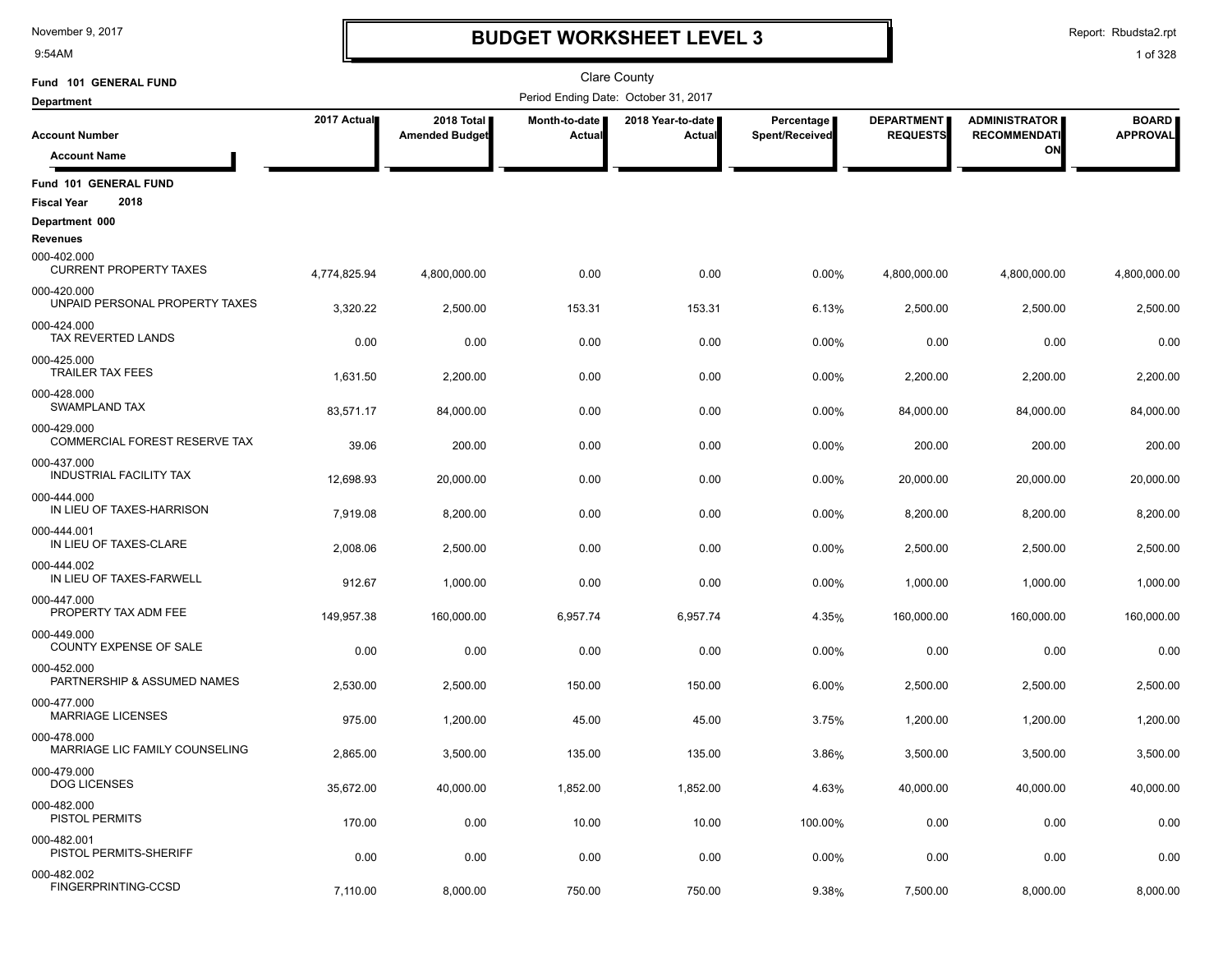9:54AM

# **BUDGET WORKSHEET LEVEL 3**

Report: Rbudsta2.rpt

| Fund 101 GENERAL FUND                                    |              |                                     |                         | <b>Clare County</b>                  |                              |                                      |                                             |                                 |
|----------------------------------------------------------|--------------|-------------------------------------|-------------------------|--------------------------------------|------------------------------|--------------------------------------|---------------------------------------------|---------------------------------|
| <b>Department</b>                                        |              |                                     |                         | Period Ending Date: October 31, 2017 |                              |                                      |                                             |                                 |
| <b>Account Number</b>                                    | 2017 Actual  | 2018 Total<br><b>Amended Budget</b> | Month-to-date<br>Actual | 2018 Year-to-date<br>Actual          | Percentage<br>Spent/Received | <b>DEPARTMENT</b><br><b>REQUESTS</b> | <b>ADMINISTRATOR</b><br><b>RECOMMENDATI</b> | <b>BOARD</b><br><b>APPROVAL</b> |
| <b>Account Name</b>                                      |              |                                     |                         |                                      |                              |                                      | ON                                          |                                 |
| Fund 101 GENERAL FUND                                    |              |                                     |                         |                                      |                              |                                      |                                             |                                 |
| 2018<br><b>Fiscal Year</b>                               |              |                                     |                         |                                      |                              |                                      |                                             |                                 |
| Department 000                                           |              |                                     |                         |                                      |                              |                                      |                                             |                                 |
| Revenues<br>000-402.000<br><b>CURRENT PROPERTY TAXES</b> | 4,774,825.94 | 4,800,000.00                        | 0.00                    | 0.00                                 | 0.00%                        | 4,800,000.00                         | 4,800,000.00                                | 4,800,000.00                    |
| 000-420.000<br>UNPAID PERSONAL PROPERTY TAXES            | 3,320.22     | 2,500.00                            | 153.31                  | 153.31                               | 6.13%                        | 2,500.00                             | 2,500.00                                    | 2,500.00                        |
| 000-424.000<br>TAX REVERTED LANDS                        | 0.00         | 0.00                                | 0.00                    | 0.00                                 | 0.00%                        | 0.00                                 | 0.00                                        | 0.00                            |
| 000-425.000<br><b>TRAILER TAX FEES</b>                   | 1,631.50     | 2,200.00                            | 0.00                    | 0.00                                 | 0.00%                        | 2,200.00                             | 2,200.00                                    | 2,200.00                        |
| 000-428.000<br><b>SWAMPLAND TAX</b>                      | 83,571.17    | 84.000.00                           | 0.00                    | 0.00                                 | 0.00%                        | 84,000.00                            | 84,000.00                                   | 84,000.00                       |
| 000-429.000<br><b>COMMERCIAL FOREST RESERVE TAX</b>      | 39.06        | 200.00                              | 0.00                    | 0.00                                 | 0.00%                        | 200.00                               | 200.00                                      | 200.00                          |
| 000-437.000<br>INDUSTRIAL FACILITY TAX                   | 12,698.93    | 20,000.00                           | 0.00                    | 0.00                                 | 0.00%                        | 20,000.00                            | 20,000.00                                   | 20,000.00                       |
| 000-444.000<br>IN LIEU OF TAXES-HARRISON                 | 7,919.08     | 8,200.00                            | 0.00                    | 0.00                                 | 0.00%                        | 8,200.00                             | 8,200.00                                    | 8,200.00                        |
| 000-444.001<br>IN LIEU OF TAXES-CLARE                    | 2,008.06     | 2,500.00                            | 0.00                    | 0.00                                 | 0.00%                        | 2,500.00                             | 2,500.00                                    | 2,500.00                        |
| 000-444.002<br>IN LIEU OF TAXES-FARWELL                  | 912.67       | 1,000.00                            | 0.00                    | 0.00                                 | 0.00%                        | 1,000.00                             | 1,000.00                                    | 1,000.00                        |
| 000-447.000<br>PROPERTY TAX ADM FEE                      | 149,957.38   | 160,000.00                          | 6,957.74                | 6,957.74                             | 4.35%                        | 160,000.00                           | 160,000.00                                  | 160,000.00                      |
| 000-449.000<br>COUNTY EXPENSE OF SALE                    | 0.00         | 0.00                                | 0.00                    | 0.00                                 | 0.00%                        | 0.00                                 | 0.00                                        | 0.00                            |
| 000-452.000<br>PARTNERSHIP & ASSUMED NAMES               | 2,530.00     | 2,500.00                            | 150.00                  | 150.00                               | 6.00%                        | 2,500.00                             | 2,500.00                                    | 2,500.00                        |
| 000-477.000<br><b>MARRIAGE LICENSES</b>                  | 975.00       | 1,200.00                            | 45.00                   | 45.00                                | 3.75%                        | 1,200.00                             | 1,200.00                                    | 1,200.00                        |
| 000-478.000<br>MARRIAGE LIC FAMILY COUNSELING            | 2,865.00     | 3,500.00                            | 135.00                  | 135.00                               | 3.86%                        | 3,500.00                             | 3,500.00                                    | 3,500.00                        |
| 000-479.000<br><b>DOG LICENSES</b>                       | 35,672.00    | 40,000.00                           | 1,852.00                | 1,852.00                             | 4.63%                        | 40,000.00                            | 40,000.00                                   | 40,000.00                       |
| 000-482.000<br>PISTOL PERMITS                            | 170.00       | 0.00                                | 10.00                   | 10.00                                | 100.00%                      | 0.00                                 | 0.00                                        | 0.00                            |
| 000-482.001<br>PISTOL PERMITS-SHERIFF                    | 0.00         | 0.00                                | 0.00                    | 0.00                                 | 0.00%                        | 0.00                                 | 0.00                                        | 0.00                            |
| 000-482.002<br>FINGERPRINTING-CCSD                       | 7,110.00     | 8,000.00                            | 750.00                  | 750.00                               | 9.38%                        | 7,500.00                             | 8,000.00                                    | 8,000.00                        |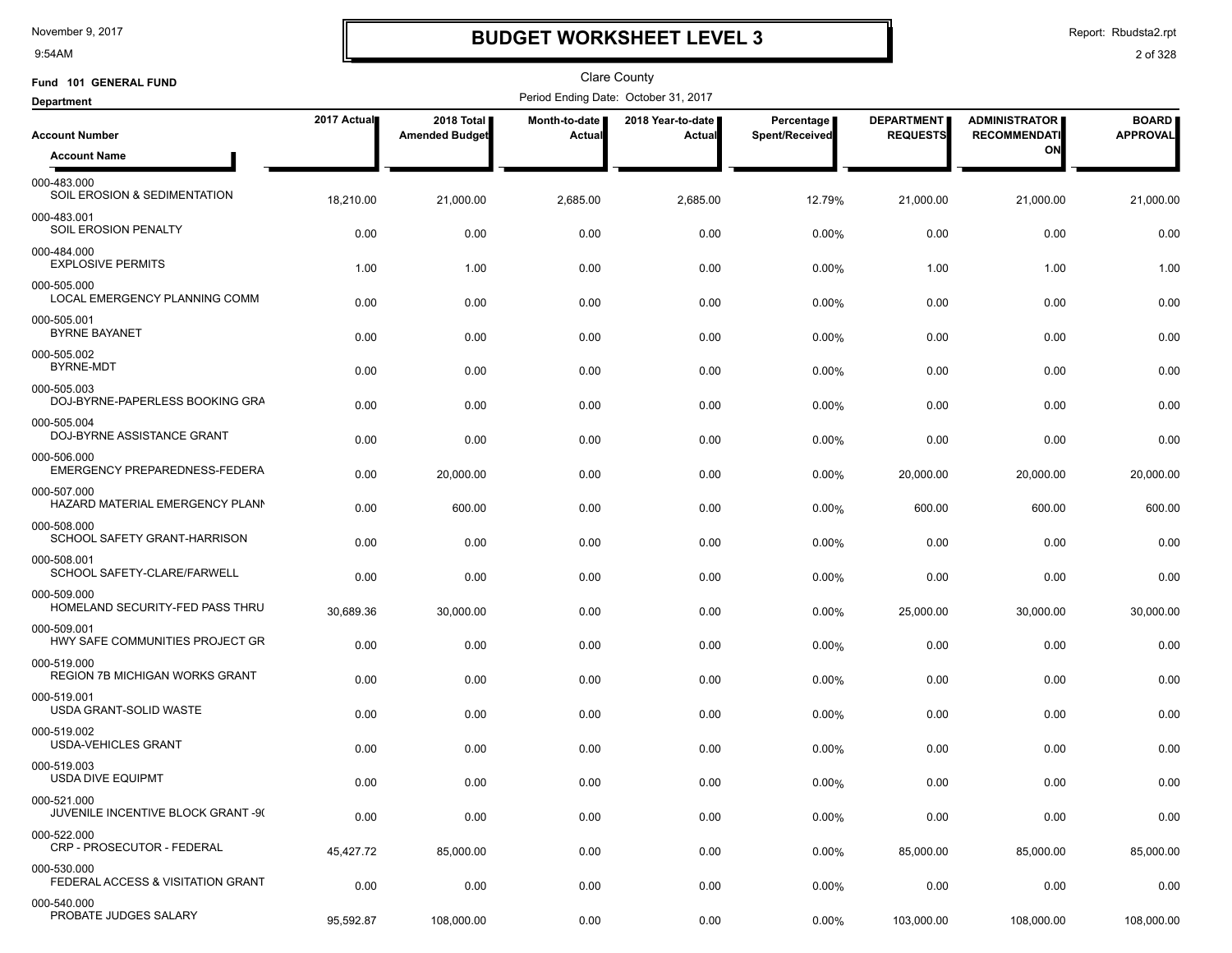9:54AM

# **BUDGET WORKSHEET LEVEL 3**

Report: Rbudsta2.rpt

| Fund 101 GENERAL FUND                             |             |                                     |                         | <b>Clare County</b>                  |                              |                                      |                                             |                                 |
|---------------------------------------------------|-------------|-------------------------------------|-------------------------|--------------------------------------|------------------------------|--------------------------------------|---------------------------------------------|---------------------------------|
| <b>Department</b>                                 |             |                                     |                         | Period Ending Date: October 31, 2017 |                              |                                      |                                             |                                 |
| <b>Account Number</b>                             | 2017 Actual | 2018 Total<br><b>Amended Budget</b> | Month-to-date<br>Actual | 2018 Year-to-date<br>Actual          | Percentage<br>Spent/Received | <b>DEPARTMENT</b><br><b>REQUESTS</b> | <b>ADMINISTRATOR</b><br><b>RECOMMENDATI</b> | <b>BOARD</b><br><b>APPROVAL</b> |
| <b>Account Name</b>                               |             |                                     |                         |                                      |                              |                                      | ΟN                                          |                                 |
| 000-483.000<br>SOIL EROSION & SEDIMENTATION       | 18,210.00   | 21,000.00                           | 2,685.00                | 2,685.00                             | 12.79%                       | 21,000.00                            | 21,000.00                                   | 21,000.00                       |
| 000-483.001<br>SOIL EROSION PENALTY               | 0.00        | 0.00                                | 0.00                    | 0.00                                 | 0.00%                        | 0.00                                 | 0.00                                        | 0.00                            |
| 000-484.000<br><b>EXPLOSIVE PERMITS</b>           | 1.00        | 1.00                                | 0.00                    | 0.00                                 | 0.00%                        | 1.00                                 | 1.00                                        | 1.00                            |
| 000-505.000<br>LOCAL EMERGENCY PLANNING COMM      | 0.00        | 0.00                                | 0.00                    | 0.00                                 | $0.00\%$                     | 0.00                                 | 0.00                                        | 0.00                            |
| 000-505.001<br><b>BYRNE BAYANET</b>               | 0.00        | 0.00                                | 0.00                    | 0.00                                 | 0.00%                        | 0.00                                 | 0.00                                        | 0.00                            |
| 000-505.002<br>BYRNE-MDT                          | 0.00        | 0.00                                | 0.00                    | 0.00                                 | 0.00%                        | 0.00                                 | 0.00                                        | 0.00                            |
| 000-505.003<br>DOJ-BYRNE-PAPERLESS BOOKING GRA    | 0.00        | 0.00                                | 0.00                    | 0.00                                 | 0.00%                        | 0.00                                 | 0.00                                        | 0.00                            |
| 000-505.004<br>DOJ-BYRNE ASSISTANCE GRANT         | 0.00        | 0.00                                | 0.00                    | 0.00                                 | 0.00%                        | 0.00                                 | 0.00                                        | 0.00                            |
| 000-506.000<br>EMERGENCY PREPAREDNESS-FEDERA      | 0.00        | 20,000.00                           | 0.00                    | 0.00                                 | 0.00%                        | 20,000.00                            | 20,000.00                                   | 20,000.00                       |
| 000-507.000<br>HAZARD MATERIAL EMERGENCY PLANN    | 0.00        | 600.00                              | 0.00                    | 0.00                                 | 0.00%                        | 600.00                               | 600.00                                      | 600.00                          |
| 000-508.000<br>SCHOOL SAFETY GRANT-HARRISON       | 0.00        | 0.00                                | 0.00                    | 0.00                                 | 0.00%                        | 0.00                                 | 0.00                                        | 0.00                            |
| 000-508.001<br>SCHOOL SAFETY-CLARE/FARWELL        | 0.00        | 0.00                                | 0.00                    | 0.00                                 | 0.00%                        | 0.00                                 | 0.00                                        | 0.00                            |
| 000-509.000<br>HOMELAND SECURITY-FED PASS THRU    | 30,689.36   | 30,000.00                           | 0.00                    | 0.00                                 | 0.00%                        | 25,000.00                            | 30,000.00                                   | 30,000.00                       |
| 000-509.001<br>HWY SAFE COMMUNITIES PROJECT GR    | 0.00        | 0.00                                | 0.00                    | 0.00                                 | 0.00%                        | 0.00                                 | 0.00                                        | 0.00                            |
| 000-519.000<br>REGION 7B MICHIGAN WORKS GRANT     | 0.00        | 0.00                                | 0.00                    | 0.00                                 | 0.00%                        | 0.00                                 | 0.00                                        | 0.00                            |
| 000-519.001<br>USDA GRANT-SOLID WASTE             | 0.00        | 0.00                                | 0.00                    | 0.00                                 | $0.00\%$                     | 0.00                                 | 0.00                                        | 0.00                            |
| 000-519.002<br><b>USDA-VEHICLES GRANT</b>         | 0.00        | 0.00                                | 0.00                    | 0.00                                 | $0.00\%$                     | 0.00                                 | 0.00                                        | 0.00                            |
| 000-519.003<br><b>USDA DIVE EQUIPMT</b>           | 0.00        | 0.00                                | 0.00                    | 0.00                                 | 0.00%                        | 0.00                                 | 0.00                                        | 0.00                            |
| 000-521.000<br>JUVENILE INCENTIVE BLOCK GRANT -9( | 0.00        | 0.00                                | 0.00                    | 0.00                                 | 0.00%                        | 0.00                                 | 0.00                                        | 0.00                            |
| 000-522.000<br>CRP - PROSECUTOR - FEDERAL         | 45,427.72   | 85,000.00                           | 0.00                    | 0.00                                 | $0.00\%$                     | 85,000.00                            | 85,000.00                                   | 85,000.00                       |
| 000-530.000<br>FEDERAL ACCESS & VISITATION GRANT  | 0.00        | 0.00                                | 0.00                    | 0.00                                 | 0.00%                        | 0.00                                 | 0.00                                        | 0.00                            |
| 000-540.000<br>PROBATE JUDGES SALARY              | 95,592.87   | 108,000.00                          | 0.00                    | 0.00                                 | 0.00%                        | 103,000.00                           | 108,000.00                                  | 108,000.00                      |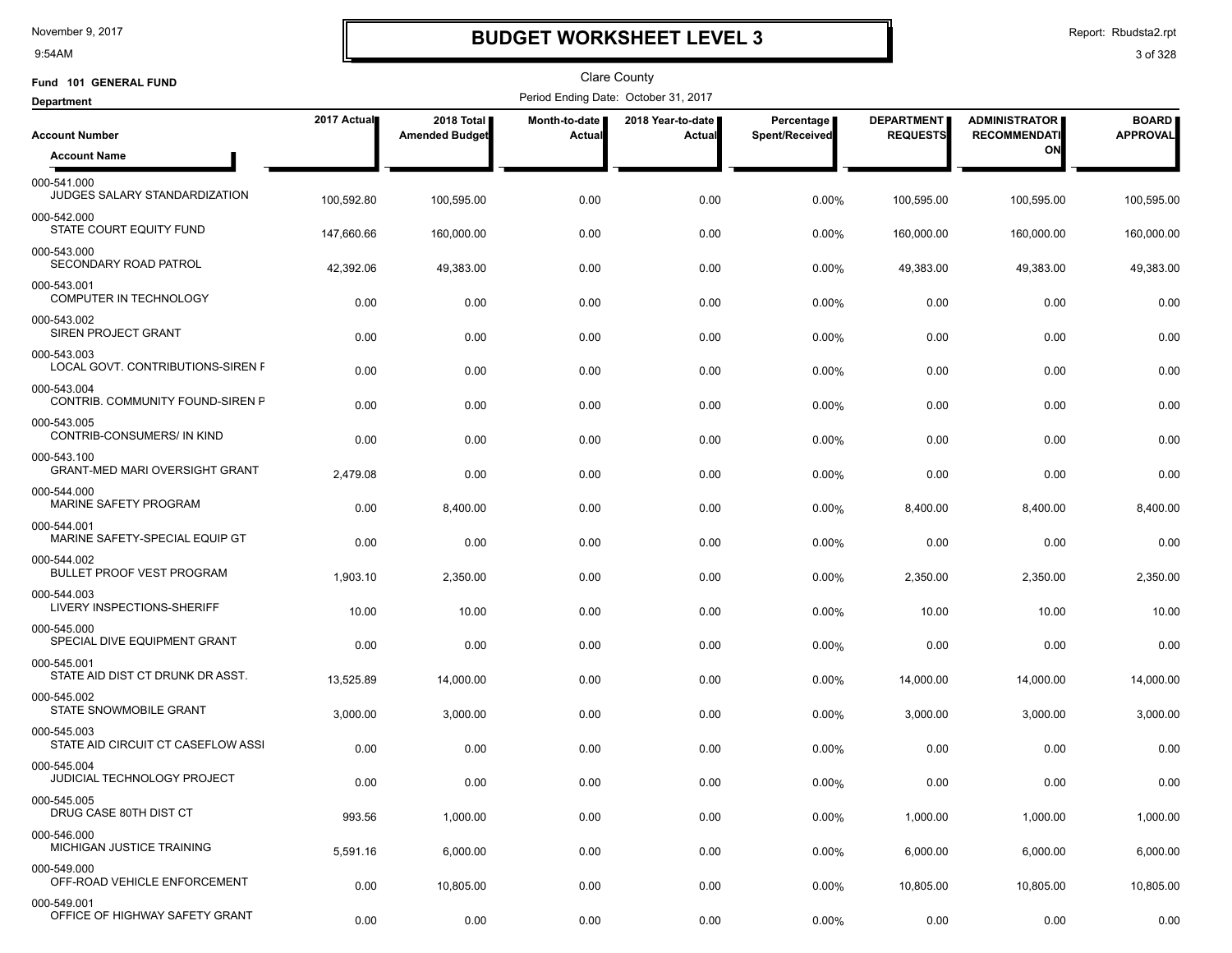9:54AM

# **BUDGET WORKSHEET LEVEL 3**

Report: Rbudsta2.rpt

| Fund 101 GENERAL FUND                                |             |                                     |                                       | <b>Clare County</b>                  |                              |                                      |                                             |                                 |
|------------------------------------------------------|-------------|-------------------------------------|---------------------------------------|--------------------------------------|------------------------------|--------------------------------------|---------------------------------------------|---------------------------------|
| <b>Department</b>                                    |             |                                     |                                       | Period Ending Date: October 31, 2017 |                              |                                      |                                             |                                 |
| <b>Account Number</b>                                | 2017 Actual | 2018 Total<br><b>Amended Budget</b> | <b>Month-to-date</b><br><b>Actual</b> | 2018 Year-to-date  <br>Actual        | Percentage<br>Spent/Received | <b>DEPARTMENT</b><br><b>REQUESTS</b> | <b>ADMINISTRATOR</b><br><b>RECOMMENDATI</b> | <b>BOARD</b><br><b>APPROVAL</b> |
| <b>Account Name</b>                                  |             |                                     |                                       |                                      |                              |                                      | ON                                          |                                 |
| 000-541.000<br>JUDGES SALARY STANDARDIZATION         | 100,592.80  | 100,595.00                          | 0.00                                  | 0.00                                 | 0.00%                        | 100,595.00                           | 100,595.00                                  | 100,595.00                      |
| 000-542.000<br>STATE COURT EQUITY FUND               | 147.660.66  | 160,000.00                          | 0.00                                  | 0.00                                 | 0.00%                        | 160,000.00                           | 160,000.00                                  | 160,000.00                      |
| 000-543.000<br>SECONDARY ROAD PATROL                 | 42,392.06   | 49,383.00                           | 0.00                                  | 0.00                                 | 0.00%                        | 49,383.00                            | 49,383.00                                   | 49,383.00                       |
| 000-543.001<br><b>COMPUTER IN TECHNOLOGY</b>         | 0.00        | 0.00                                | 0.00                                  | 0.00                                 | 0.00%                        | 0.00                                 | 0.00                                        | 0.00                            |
| 000-543.002<br>SIREN PROJECT GRANT                   | 0.00        | 0.00                                | 0.00                                  | 0.00                                 | 0.00%                        | 0.00                                 | 0.00                                        | 0.00                            |
| 000-543.003<br>LOCAL GOVT. CONTRIBUTIONS-SIREN F     | 0.00        | 0.00                                | 0.00                                  | 0.00                                 | 0.00%                        | 0.00                                 | 0.00                                        | 0.00                            |
| 000-543.004<br>CONTRIB. COMMUNITY FOUND-SIREN P      | 0.00        | 0.00                                | 0.00                                  | 0.00                                 | 0.00%                        | 0.00                                 | 0.00                                        | 0.00                            |
| 000-543.005<br>CONTRIB-CONSUMERS/ IN KIND            | 0.00        | 0.00                                | 0.00                                  | 0.00                                 | 0.00%                        | 0.00                                 | 0.00                                        | 0.00                            |
| 000-543.100<br><b>GRANT-MED MARI OVERSIGHT GRANT</b> | 2,479.08    | 0.00                                | 0.00                                  | 0.00                                 | 0.00%                        | 0.00                                 | 0.00                                        | 0.00                            |
| 000-544.000<br>MARINE SAFETY PROGRAM                 | 0.00        | 8,400.00                            | 0.00                                  | 0.00                                 | 0.00%                        | 8,400.00                             | 8,400.00                                    | 8,400.00                        |
| 000-544.001<br>MARINE SAFETY-SPECIAL EQUIP GT        | 0.00        | 0.00                                | 0.00                                  | 0.00                                 | 0.00%                        | 0.00                                 | 0.00                                        | 0.00                            |
| 000-544.002<br><b>BULLET PROOF VEST PROGRAM</b>      | 1,903.10    | 2,350.00                            | 0.00                                  | 0.00                                 | 0.00%                        | 2,350.00                             | 2,350.00                                    | 2,350.00                        |
| 000-544.003<br>LIVERY INSPECTIONS-SHERIFF            | 10.00       | 10.00                               | 0.00                                  | 0.00                                 | 0.00%                        | 10.00                                | 10.00                                       | 10.00                           |
| 000-545.000<br>SPECIAL DIVE EQUIPMENT GRANT          | 0.00        | 0.00                                | 0.00                                  | 0.00                                 | 0.00%                        | 0.00                                 | 0.00                                        | 0.00                            |
| 000-545.001<br>STATE AID DIST CT DRUNK DR ASST.      | 13,525.89   | 14,000.00                           | 0.00                                  | 0.00                                 | 0.00%                        | 14,000.00                            | 14,000.00                                   | 14,000.00                       |
| 000-545.002<br>STATE SNOWMOBILE GRANT                | 3,000.00    | 3,000.00                            | 0.00                                  | 0.00                                 | 0.00%                        | 3,000.00                             | 3,000.00                                    | 3,000.00                        |
| 000-545.003<br>STATE AID CIRCUIT CT CASEFLOW ASSI    | 0.00        | 0.00                                | 0.00                                  | 0.00                                 | 0.00%                        | 0.00                                 | 0.00                                        | 0.00                            |
| 000-545.004<br>JUDICIAL TECHNOLOGY PROJECT           | 0.00        | 0.00                                | 0.00                                  | 0.00                                 | 0.00%                        | 0.00                                 | 0.00                                        | 0.00                            |
| 000-545.005<br>DRUG CASE 80TH DIST CT                | 993.56      | 1,000.00                            | 0.00                                  | 0.00                                 | 0.00%                        | 1,000.00                             | 1,000.00                                    | 1,000.00                        |
| 000-546.000<br>MICHIGAN JUSTICE TRAINING             | 5,591.16    | 6,000.00                            | 0.00                                  | 0.00                                 | $0.00\%$                     | 6,000.00                             | 6,000.00                                    | 6,000.00                        |
| 000-549.000<br>OFF-ROAD VEHICLE ENFORCEMENT          | 0.00        | 10,805.00                           | 0.00                                  | 0.00                                 | 0.00%                        | 10,805.00                            | 10,805.00                                   | 10,805.00                       |
| 000-549.001<br>OFFICE OF HIGHWAY SAFETY GRANT        | 0.00        | 0.00                                | 0.00                                  | 0.00                                 | 0.00%                        | 0.00                                 | 0.00                                        | 0.00                            |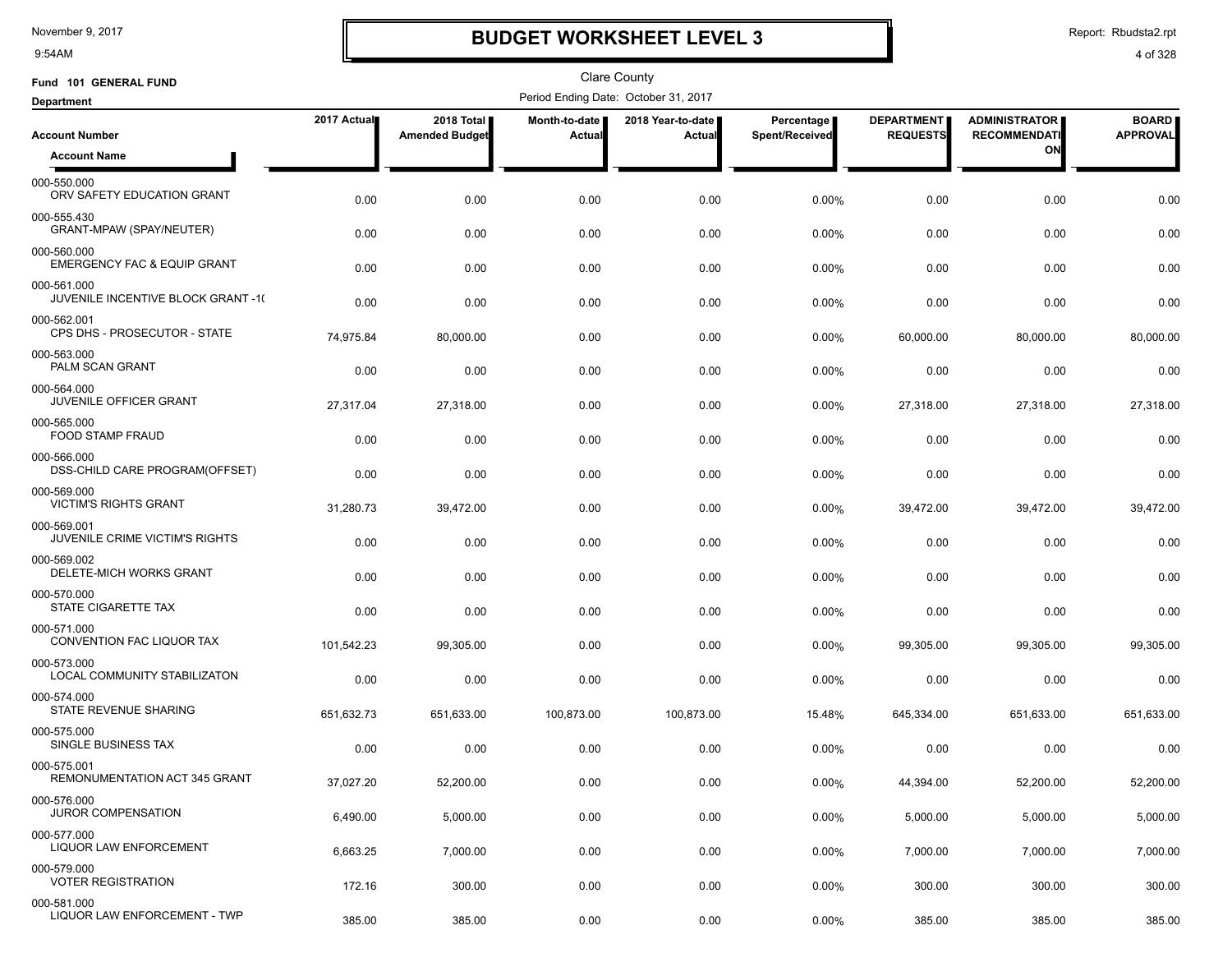9:54AM

# **BUDGET WORKSHEET LEVEL 3**

Report: Rbudsta2.rpt

| Fund 101 GENERAL FUND                                 |             |                                     |                         | Clare County                         |                              |                                      |                                             |                                 |
|-------------------------------------------------------|-------------|-------------------------------------|-------------------------|--------------------------------------|------------------------------|--------------------------------------|---------------------------------------------|---------------------------------|
| <b>Department</b>                                     |             |                                     |                         | Period Ending Date: October 31, 2017 |                              |                                      |                                             |                                 |
| <b>Account Number</b>                                 | 2017 Actual | 2018 Total<br><b>Amended Budget</b> | Month-to-date<br>Actual | 2018 Year-to-date<br>Actual          | Percentage<br>Spent/Received | <b>DEPARTMENT</b><br><b>REQUESTS</b> | <b>ADMINISTRATOR</b><br><b>RECOMMENDATI</b> | <b>BOARD</b><br><b>APPROVAL</b> |
| <b>Account Name</b>                                   |             |                                     |                         |                                      |                              |                                      | ON                                          |                                 |
| 000-550.000<br>ORV SAFETY EDUCATION GRANT             | 0.00        | 0.00                                | 0.00                    | 0.00                                 | 0.00%                        | 0.00                                 | 0.00                                        | 0.00                            |
| 000-555.430<br>GRANT-MPAW (SPAY/NEUTER)               | 0.00        | 0.00                                | 0.00                    | 0.00                                 | 0.00%                        | 0.00                                 | 0.00                                        | 0.00                            |
| 000-560.000<br><b>EMERGENCY FAC &amp; EQUIP GRANT</b> | 0.00        | 0.00                                | 0.00                    | 0.00                                 | 0.00%                        | 0.00                                 | 0.00                                        | 0.00                            |
| 000-561.000<br>JUVENILE INCENTIVE BLOCK GRANT -1(     | 0.00        | 0.00                                | 0.00                    | 0.00                                 | 0.00%                        | 0.00                                 | 0.00                                        | 0.00                            |
| 000-562.001<br>CPS DHS - PROSECUTOR - STATE           | 74,975.84   | 80,000.00                           | 0.00                    | 0.00                                 | 0.00%                        | 60,000.00                            | 80,000.00                                   | 80,000.00                       |
| 000-563.000<br>PALM SCAN GRANT                        | 0.00        | 0.00                                | 0.00                    | 0.00                                 | 0.00%                        | 0.00                                 | 0.00                                        | 0.00                            |
| 000-564.000<br><b>JUVENILE OFFICER GRANT</b>          | 27,317.04   | 27,318.00                           | 0.00                    | 0.00                                 | 0.00%                        | 27,318.00                            | 27,318.00                                   | 27,318.00                       |
| 000-565.000<br>FOOD STAMP FRAUD                       | 0.00        | 0.00                                | 0.00                    | 0.00                                 | 0.00%                        | 0.00                                 | 0.00                                        | 0.00                            |
| 000-566.000<br>DSS-CHILD CARE PROGRAM(OFFSET)         | 0.00        | 0.00                                | 0.00                    | 0.00                                 | 0.00%                        | 0.00                                 | 0.00                                        | 0.00                            |
| 000-569.000<br><b>VICTIM'S RIGHTS GRANT</b>           | 31,280.73   | 39,472.00                           | 0.00                    | 0.00                                 | 0.00%                        | 39,472.00                            | 39,472.00                                   | 39,472.00                       |
| 000-569.001<br>JUVENILE CRIME VICTIM'S RIGHTS         | 0.00        | 0.00                                | 0.00                    | 0.00                                 | 0.00%                        | 0.00                                 | 0.00                                        | 0.00                            |
| 000-569.002<br>DELETE-MICH WORKS GRANT                | 0.00        | 0.00                                | 0.00                    | 0.00                                 | 0.00%                        | 0.00                                 | 0.00                                        | 0.00                            |
| 000-570.000<br>STATE CIGARETTE TAX                    | 0.00        | 0.00                                | 0.00                    | 0.00                                 | 0.00%                        | 0.00                                 | 0.00                                        | 0.00                            |
| 000-571.000<br>CONVENTION FAC LIQUOR TAX              | 101,542.23  | 99,305.00                           | 0.00                    | 0.00                                 | $0.00\%$                     | 99,305.00                            | 99,305.00                                   | 99,305.00                       |
| 000-573.000<br>LOCAL COMMUNITY STABILIZATON           | 0.00        | 0.00                                | 0.00                    | 0.00                                 | 0.00%                        | 0.00                                 | 0.00                                        | 0.00                            |
| 000-574.000<br>STATE REVENUE SHARING                  | 651,632.73  | 651,633.00                          | 100,873.00              | 100,873.00                           | 15.48%                       | 645,334.00                           | 651,633.00                                  | 651,633.00                      |
| 000-575.000<br>SINGLE BUSINESS TAX                    | 0.00        | 0.00                                | 0.00                    | 0.00                                 | 0.00%                        | 0.00                                 | 0.00                                        | 0.00                            |
| 000-575.001<br>REMONUMENTATION ACT 345 GRANT          | 37,027.20   | 52,200.00                           | 0.00                    | 0.00                                 | 0.00%                        | 44,394.00                            | 52,200.00                                   | 52,200.00                       |
| 000-576.000<br><b>JUROR COMPENSATION</b>              | 6,490.00    | 5,000.00                            | 0.00                    | 0.00                                 | 0.00%                        | 5,000.00                             | 5,000.00                                    | 5,000.00                        |
| 000-577.000<br>LIQUOR LAW ENFORCEMENT                 | 6,663.25    | 7,000.00                            | 0.00                    | 0.00                                 | 0.00%                        | 7,000.00                             | 7,000.00                                    | 7,000.00                        |
| 000-579.000<br><b>VOTER REGISTRATION</b>              | 172.16      | 300.00                              | 0.00                    | 0.00                                 | 0.00%                        | 300.00                               | 300.00                                      | 300.00                          |
| 000-581.000<br>LIQUOR LAW ENFORCEMENT - TWP           | 385.00      | 385.00                              | 0.00                    | 0.00                                 | 0.00%                        | 385.00                               | 385.00                                      | 385.00                          |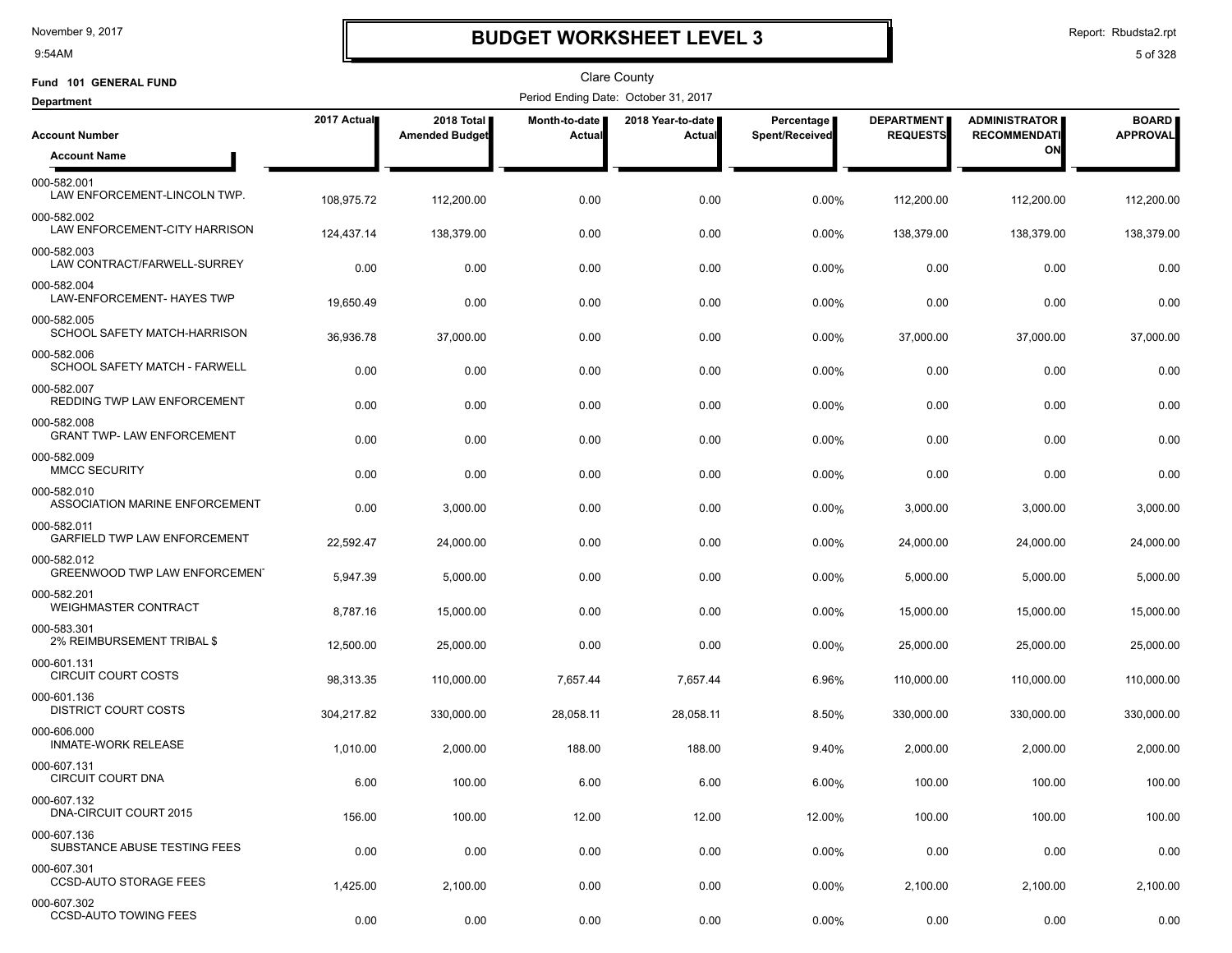9:54AM

# **BUDGET WORKSHEET LEVEL 3**

Report: Rbudsta2.rpt

| Fund 101 GENERAL FUND                            |             |                                     |                                       | <b>Clare County</b>                  |                              |                                      |                                             |                                 |
|--------------------------------------------------|-------------|-------------------------------------|---------------------------------------|--------------------------------------|------------------------------|--------------------------------------|---------------------------------------------|---------------------------------|
| <b>Department</b>                                |             |                                     |                                       | Period Ending Date: October 31, 2017 |                              |                                      |                                             |                                 |
| <b>Account Number</b>                            | 2017 Actual | 2018 Total<br><b>Amended Budget</b> | <b>Month-to-date</b><br><b>Actual</b> | 2018 Year-to-date  <br>Actual        | Percentage<br>Spent/Received | <b>DEPARTMENT</b><br><b>REQUESTS</b> | <b>ADMINISTRATOR</b><br><b>RECOMMENDATI</b> | <b>BOARD</b><br><b>APPROVAL</b> |
| <b>Account Name</b>                              |             |                                     |                                       |                                      |                              |                                      | ON                                          |                                 |
| 000-582.001<br>LAW ENFORCEMENT-LINCOLN TWP.      | 108,975.72  | 112,200.00                          | 0.00                                  | 0.00                                 | 0.00%                        | 112,200.00                           | 112,200.00                                  | 112,200.00                      |
| 000-582.002<br>LAW ENFORCEMENT-CITY HARRISON     | 124,437.14  | 138,379.00                          | 0.00                                  | 0.00                                 | 0.00%                        | 138,379.00                           | 138,379.00                                  | 138,379.00                      |
| 000-582.003<br>LAW CONTRACT/FARWELL-SURREY       | 0.00        | 0.00                                | 0.00                                  | 0.00                                 | 0.00%                        | 0.00                                 | 0.00                                        | 0.00                            |
| 000-582.004<br>LAW-ENFORCEMENT- HAYES TWP        | 19,650.49   | 0.00                                | 0.00                                  | 0.00                                 | 0.00%                        | 0.00                                 | 0.00                                        | 0.00                            |
| 000-582.005<br>SCHOOL SAFETY MATCH-HARRISON      | 36,936.78   | 37,000.00                           | 0.00                                  | 0.00                                 | 0.00%                        | 37,000.00                            | 37,000.00                                   | 37,000.00                       |
| 000-582.006<br>SCHOOL SAFETY MATCH - FARWELL     | 0.00        | 0.00                                | 0.00                                  | 0.00                                 | 0.00%                        | 0.00                                 | 0.00                                        | 0.00                            |
| 000-582.007<br>REDDING TWP LAW ENFORCEMENT       | 0.00        | 0.00                                | 0.00                                  | 0.00                                 | 0.00%                        | 0.00                                 | 0.00                                        | 0.00                            |
| 000-582.008<br><b>GRANT TWP- LAW ENFORCEMENT</b> | 0.00        | 0.00                                | 0.00                                  | 0.00                                 | 0.00%                        | 0.00                                 | 0.00                                        | 0.00                            |
| 000-582.009<br><b>MMCC SECURITY</b>              | 0.00        | 0.00                                | 0.00                                  | 0.00                                 | 0.00%                        | 0.00                                 | 0.00                                        | 0.00                            |
| 000-582.010<br>ASSOCIATION MARINE ENFORCEMENT    | 0.00        | 3,000.00                            | 0.00                                  | 0.00                                 | 0.00%                        | 3,000.00                             | 3,000.00                                    | 3,000.00                        |
| 000-582.011<br>GARFIELD TWP LAW ENFORCEMENT      | 22,592.47   | 24,000.00                           | 0.00                                  | 0.00                                 | 0.00%                        | 24,000.00                            | 24,000.00                                   | 24,000.00                       |
| 000-582.012<br>GREENWOOD TWP LAW ENFORCEMEN'     | 5,947.39    | 5,000.00                            | 0.00                                  | 0.00                                 | 0.00%                        | 5,000.00                             | 5,000.00                                    | 5,000.00                        |
| 000-582.201<br><b>WEIGHMASTER CONTRACT</b>       | 8,787.16    | 15,000.00                           | 0.00                                  | 0.00                                 | 0.00%                        | 15,000.00                            | 15,000.00                                   | 15,000.00                       |
| 000-583.301<br>2% REIMBURSEMENT TRIBAL \$        | 12,500.00   | 25,000.00                           | 0.00                                  | 0.00                                 | 0.00%                        | 25,000.00                            | 25,000.00                                   | 25,000.00                       |
| 000-601.131<br><b>CIRCUIT COURT COSTS</b>        | 98.313.35   | 110,000.00                          | 7,657.44                              | 7,657.44                             | 6.96%                        | 110,000.00                           | 110,000.00                                  | 110,000.00                      |
| 000-601.136<br><b>DISTRICT COURT COSTS</b>       | 304,217.82  | 330,000.00                          | 28,058.11                             | 28,058.11                            | 8.50%                        | 330,000.00                           | 330,000.00                                  | 330,000.00                      |
| 000-606.000<br><b>INMATE-WORK RELEASE</b>        | 1,010.00    | 2,000.00                            | 188.00                                | 188.00                               | 9.40%                        | 2,000.00                             | 2,000.00                                    | 2,000.00                        |
| 000-607.131<br><b>CIRCUIT COURT DNA</b>          | 6.00        | 100.00                              | 6.00                                  | 6.00                                 | 6.00%                        | 100.00                               | 100.00                                      | 100.00                          |
| 000-607.132<br>DNA-CIRCUIT COURT 2015            | 156.00      | 100.00                              | 12.00                                 | 12.00                                | 12.00%                       | 100.00                               | 100.00                                      | 100.00                          |
| 000-607.136<br>SUBSTANCE ABUSE TESTING FEES      | 0.00        | 0.00                                | 0.00                                  | 0.00                                 | $0.00\%$                     | 0.00                                 | 0.00                                        | 0.00                            |
| 000-607.301<br><b>CCSD-AUTO STORAGE FEES</b>     | 1,425.00    | 2,100.00                            | 0.00                                  | 0.00                                 | 0.00%                        | 2,100.00                             | 2,100.00                                    | 2,100.00                        |
| 000-607.302<br><b>CCSD-AUTO TOWING FEES</b>      | 0.00        | 0.00                                | 0.00                                  | 0.00                                 | 0.00%                        | 0.00                                 | 0.00                                        | 0.00                            |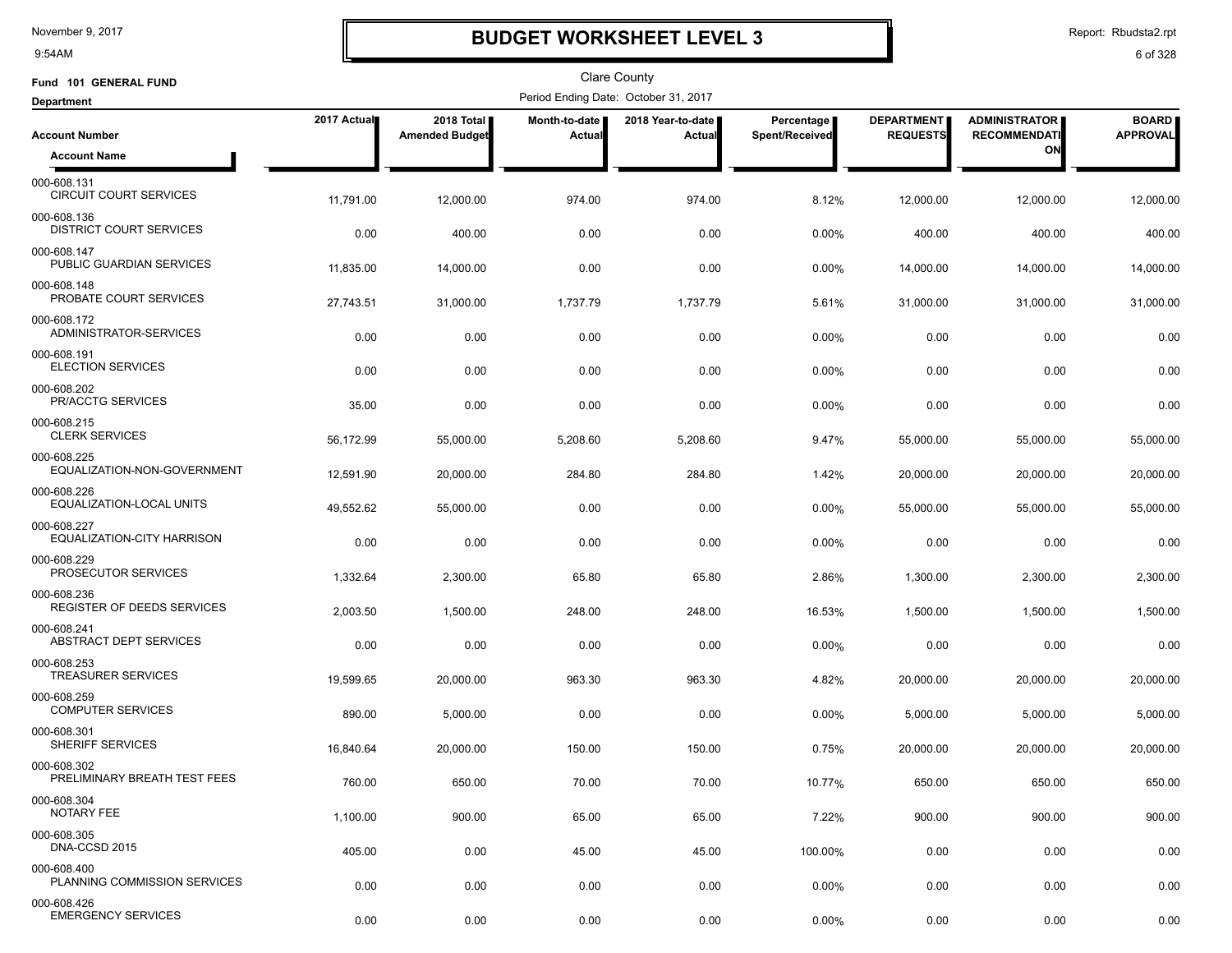9:54AM

# **BUDGET WORKSHEET LEVEL 3**

Report: Rbudsta2.rpt

| Fund 101 GENERAL FUND                            |             |                                     |                                | <b>Clare County</b>                  |                              |                                      |                                             |                                 |
|--------------------------------------------------|-------------|-------------------------------------|--------------------------------|--------------------------------------|------------------------------|--------------------------------------|---------------------------------------------|---------------------------------|
| <b>Department</b>                                |             |                                     |                                | Period Ending Date: October 31, 2017 |                              |                                      |                                             |                                 |
| <b>Account Number</b>                            | 2017 Actual | 2018 Total<br><b>Amended Budget</b> | Month-to-date<br><b>Actual</b> | 2018 Year-to-date  <br>Actual        | Percentage<br>Spent/Received | <b>DEPARTMENT</b><br><b>REQUESTS</b> | <b>ADMINISTRATOR</b><br><b>RECOMMENDATI</b> | <b>BOARD</b><br><b>APPROVAL</b> |
| <b>Account Name</b>                              |             |                                     |                                |                                      |                              |                                      | ON                                          |                                 |
| 000-608.131<br><b>CIRCUIT COURT SERVICES</b>     | 11,791.00   | 12,000.00                           | 974.00                         | 974.00                               | 8.12%                        | 12,000.00                            | 12,000.00                                   | 12,000.00                       |
| 000-608.136<br>DISTRICT COURT SERVICES           | 0.00        | 400.00                              | 0.00                           | 0.00                                 | 0.00%                        | 400.00                               | 400.00                                      | 400.00                          |
| 000-608.147<br>PUBLIC GUARDIAN SERVICES          | 11,835.00   | 14,000.00                           | 0.00                           | 0.00                                 | 0.00%                        | 14,000.00                            | 14,000.00                                   | 14,000.00                       |
| 000-608.148<br>PROBATE COURT SERVICES            | 27,743.51   | 31,000.00                           | 1,737.79                       | 1,737.79                             | 5.61%                        | 31,000.00                            | 31,000.00                                   | 31,000.00                       |
| 000-608.172<br>ADMINISTRATOR-SERVICES            | 0.00        | 0.00                                | 0.00                           | 0.00                                 | 0.00%                        | 0.00                                 | 0.00                                        | 0.00                            |
| 000-608.191<br><b>ELECTION SERVICES</b>          | 0.00        | 0.00                                | 0.00                           | 0.00                                 | 0.00%                        | 0.00                                 | 0.00                                        | 0.00                            |
| 000-608.202<br>PR/ACCTG SERVICES                 | 35.00       | 0.00                                | 0.00                           | 0.00                                 | 0.00%                        | 0.00                                 | 0.00                                        | 0.00                            |
| 000-608.215<br><b>CLERK SERVICES</b>             | 56,172.99   | 55,000.00                           | 5,208.60                       | 5,208.60                             | 9.47%                        | 55,000.00                            | 55,000.00                                   | 55,000.00                       |
| 000-608.225<br>EQUALIZATION-NON-GOVERNMENT       | 12,591.90   | 20,000.00                           | 284.80                         | 284.80                               | 1.42%                        | 20,000.00                            | 20,000.00                                   | 20,000.00                       |
| 000-608.226<br>EQUALIZATION-LOCAL UNITS          | 49,552.62   | 55,000.00                           | 0.00                           | 0.00                                 | 0.00%                        | 55,000.00                            | 55,000.00                                   | 55,000.00                       |
| 000-608.227<br>EQUALIZATION-CITY HARRISON        | 0.00        | 0.00                                | 0.00                           | 0.00                                 | 0.00%                        | 0.00                                 | 0.00                                        | 0.00                            |
| 000-608.229<br>PROSECUTOR SERVICES               | 1,332.64    | 2,300.00                            | 65.80                          | 65.80                                | 2.86%                        | 1,300.00                             | 2,300.00                                    | 2,300.00                        |
| 000-608.236<br><b>REGISTER OF DEEDS SERVICES</b> | 2,003.50    | 1,500.00                            | 248.00                         | 248.00                               | 16.53%                       | 1,500.00                             | 1,500.00                                    | 1,500.00                        |
| 000-608.241<br>ABSTRACT DEPT SERVICES            | 0.00        | 0.00                                | 0.00                           | 0.00                                 | 0.00%                        | 0.00                                 | 0.00                                        | 0.00                            |
| 000-608.253<br><b>TREASURER SERVICES</b>         | 19,599.65   | 20.000.00                           | 963.30                         | 963.30                               | 4.82%                        | 20,000.00                            | 20,000.00                                   | 20,000.00                       |
| 000-608.259<br><b>COMPUTER SERVICES</b>          | 890.00      | 5,000.00                            | 0.00                           | 0.00                                 | 0.00%                        | 5,000.00                             | 5,000.00                                    | 5,000.00                        |
| 000-608.301<br><b>SHERIFF SERVICES</b>           | 16,840.64   | 20,000.00                           | 150.00                         | 150.00                               | 0.75%                        | 20,000.00                            | 20,000.00                                   | 20,000.00                       |
| 000-608.302<br>PRELIMINARY BREATH TEST FEES      | 760.00      | 650.00                              | 70.00                          | 70.00                                | 10.77%                       | 650.00                               | 650.00                                      | 650.00                          |
| 000-608.304<br>NOTARY FEE                        | 1,100.00    | 900.00                              | 65.00                          | 65.00                                | 7.22%                        | 900.00                               | 900.00                                      | 900.00                          |
| 000-608.305<br>DNA-CCSD 2015                     | 405.00      | 0.00                                | 45.00                          | 45.00                                | 100.00%                      | 0.00                                 | 0.00                                        | 0.00                            |
| 000-608.400<br>PLANNING COMMISSION SERVICES      | 0.00        | 0.00                                | 0.00                           | 0.00                                 | 0.00%                        | 0.00                                 | 0.00                                        | 0.00                            |
| 000-608.426<br><b>EMERGENCY SERVICES</b>         | 0.00        | 0.00                                | 0.00                           | 0.00                                 | 0.00%                        | 0.00                                 | 0.00                                        | 0.00                            |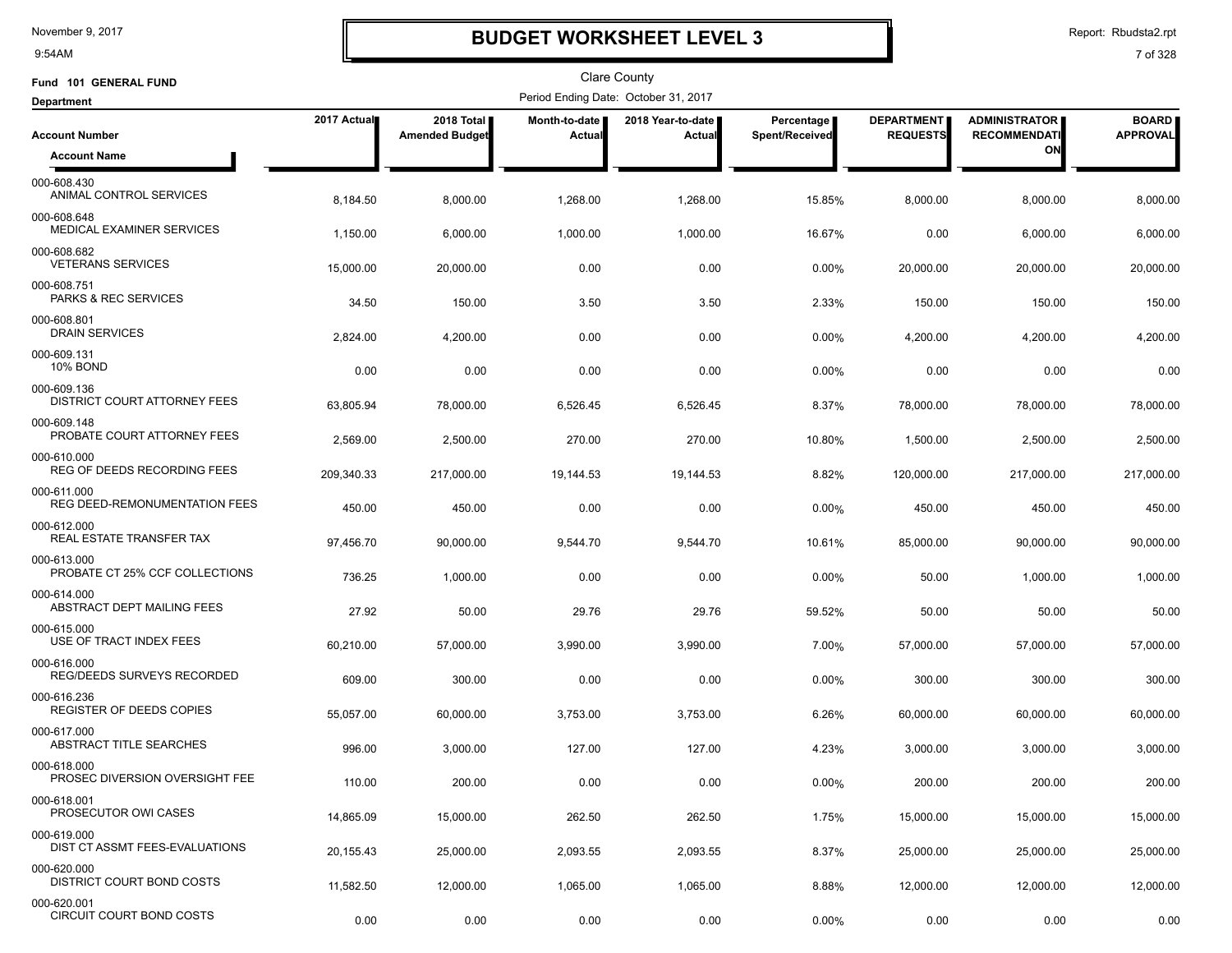9:54AM

# **BUDGET WORKSHEET LEVEL 3**

Report: Rbudsta2.rpt

| Fund 101 GENERAL FUND                          |             |                                     |                         | <b>Clare County</b>                  |                              |                                      |                                             |                                 |
|------------------------------------------------|-------------|-------------------------------------|-------------------------|--------------------------------------|------------------------------|--------------------------------------|---------------------------------------------|---------------------------------|
| <b>Department</b>                              |             |                                     |                         | Period Ending Date: October 31, 2017 |                              |                                      |                                             |                                 |
| <b>Account Number</b>                          | 2017 Actual | 2018 Total<br><b>Amended Budget</b> | Month-to-date<br>Actual | 2018 Year-to-date  <br>Actual        | Percentage<br>Spent/Received | <b>DEPARTMENT</b><br><b>REQUESTS</b> | <b>ADMINISTRATOR</b><br><b>RECOMMENDATI</b> | <b>BOARD</b><br><b>APPROVAL</b> |
| <b>Account Name</b>                            |             |                                     |                         |                                      |                              |                                      | ON                                          |                                 |
| 000-608.430<br>ANIMAL CONTROL SERVICES         | 8,184.50    | 8,000.00                            | 1,268.00                | 1,268.00                             | 15.85%                       | 8,000.00                             | 8,000.00                                    | 8,000.00                        |
| 000-608.648<br>MEDICAL EXAMINER SERVICES       | 1,150.00    | 6,000.00                            | 1,000.00                | 1,000.00                             | 16.67%                       | 0.00                                 | 6,000.00                                    | 6,000.00                        |
| 000-608.682<br><b>VETERANS SERVICES</b>        | 15,000.00   | 20,000.00                           | 0.00                    | 0.00                                 | 0.00%                        | 20,000.00                            | 20,000.00                                   | 20,000.00                       |
| 000-608.751<br>PARKS & REC SERVICES            | 34.50       | 150.00                              | 3.50                    | 3.50                                 | 2.33%                        | 150.00                               | 150.00                                      | 150.00                          |
| 000-608.801<br><b>DRAIN SERVICES</b>           | 2,824.00    | 4,200.00                            | 0.00                    | 0.00                                 | 0.00%                        | 4,200.00                             | 4,200.00                                    | 4,200.00                        |
| 000-609.131<br><b>10% BOND</b>                 | 0.00        | 0.00                                | 0.00                    | 0.00                                 | 0.00%                        | 0.00                                 | 0.00                                        | 0.00                            |
| 000-609.136<br>DISTRICT COURT ATTORNEY FEES    | 63,805.94   | 78,000.00                           | 6,526.45                | 6,526.45                             | 8.37%                        | 78,000.00                            | 78,000.00                                   | 78,000.00                       |
| 000-609.148<br>PROBATE COURT ATTORNEY FEES     | 2,569.00    | 2,500.00                            | 270.00                  | 270.00                               | 10.80%                       | 1,500.00                             | 2,500.00                                    | 2,500.00                        |
| 000-610.000<br>REG OF DEEDS RECORDING FEES     | 209,340.33  | 217,000.00                          | 19,144.53               | 19,144.53                            | 8.82%                        | 120,000.00                           | 217,000.00                                  | 217,000.00                      |
| 000-611.000<br>REG DEED-REMONUMENTATION FEES   | 450.00      | 450.00                              | 0.00                    | 0.00                                 | 0.00%                        | 450.00                               | 450.00                                      | 450.00                          |
| 000-612.000<br>REAL ESTATE TRANSFER TAX        | 97,456.70   | 90,000.00                           | 9,544.70                | 9,544.70                             | 10.61%                       | 85,000.00                            | 90,000.00                                   | 90,000.00                       |
| 000-613.000<br>PROBATE CT 25% CCF COLLECTIONS  | 736.25      | 1,000.00                            | 0.00                    | 0.00                                 | 0.00%                        | 50.00                                | 1,000.00                                    | 1,000.00                        |
| 000-614.000<br>ABSTRACT DEPT MAILING FEES      | 27.92       | 50.00                               | 29.76                   | 29.76                                | 59.52%                       | 50.00                                | 50.00                                       | 50.00                           |
| 000-615.000<br>USE OF TRACT INDEX FEES         | 60,210.00   | 57,000.00                           | 3,990.00                | 3,990.00                             | 7.00%                        | 57,000.00                            | 57,000.00                                   | 57,000.00                       |
| 000-616.000<br>REG/DEEDS SURVEYS RECORDED      | 609.00      | 300.00                              | 0.00                    | 0.00                                 | 0.00%                        | 300.00                               | 300.00                                      | 300.00                          |
| 000-616.236<br><b>REGISTER OF DEEDS COPIES</b> | 55,057.00   | 60,000.00                           | 3,753.00                | 3,753.00                             | 6.26%                        | 60,000.00                            | 60,000.00                                   | 60,000.00                       |
| 000-617.000<br>ABSTRACT TITLE SEARCHES         | 996.00      | 3,000.00                            | 127.00                  | 127.00                               | 4.23%                        | 3,000.00                             | 3,000.00                                    | 3,000.00                        |
| 000-618.000<br>PROSEC DIVERSION OVERSIGHT FEE  | 110.00      | 200.00                              | 0.00                    | 0.00                                 | 0.00%                        | 200.00                               | 200.00                                      | 200.00                          |
| 000-618.001<br>PROSECUTOR OWI CASES            | 14,865.09   | 15,000.00                           | 262.50                  | 262.50                               | 1.75%                        | 15,000.00                            | 15,000.00                                   | 15,000.00                       |
| 000-619.000<br>DIST CT ASSMT FEES-EVALUATIONS  | 20,155.43   | 25,000.00                           | 2,093.55                | 2,093.55                             | 8.37%                        | 25,000.00                            | 25,000.00                                   | 25,000.00                       |
| 000-620.000<br>DISTRICT COURT BOND COSTS       | 11,582.50   | 12,000.00                           | 1,065.00                | 1,065.00                             | 8.88%                        | 12,000.00                            | 12,000.00                                   | 12,000.00                       |
| 000-620.001<br>CIRCUIT COURT BOND COSTS        | 0.00        | 0.00                                | 0.00                    | 0.00                                 | 0.00%                        | 0.00                                 | 0.00                                        | 0.00                            |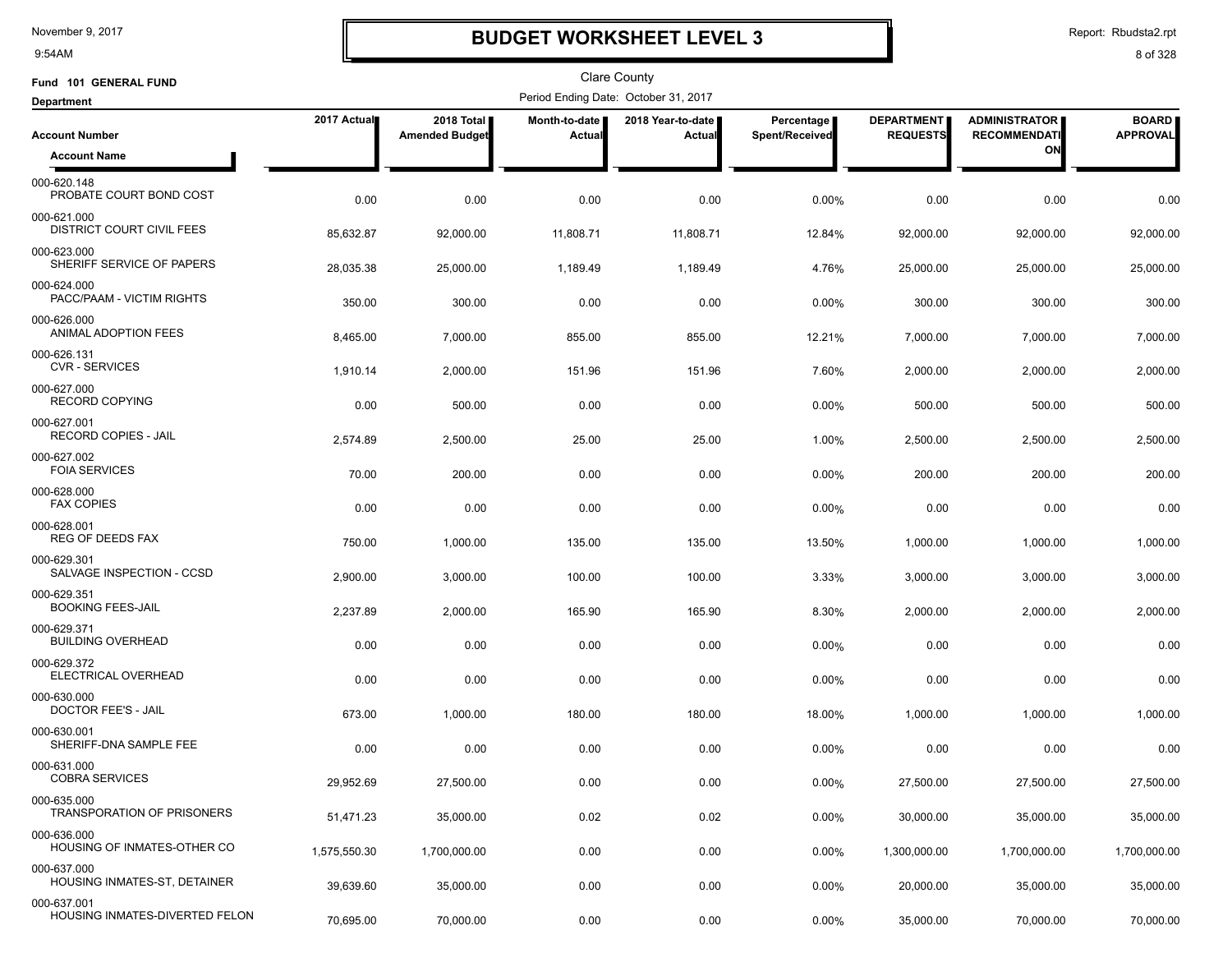9:54AM

# **BUDGET WORKSHEET LEVEL 3**

Report: Rbudsta2.rpt

| Fund 101 GENERAL FUND                              |              |                                     |                         | Clare County                         |                              |                                      |                                             |                                 |
|----------------------------------------------------|--------------|-------------------------------------|-------------------------|--------------------------------------|------------------------------|--------------------------------------|---------------------------------------------|---------------------------------|
| <b>Department</b>                                  |              |                                     |                         | Period Ending Date: October 31, 2017 |                              |                                      |                                             |                                 |
| <b>Account Number</b>                              | 2017 Actual  | 2018 Total<br><b>Amended Budget</b> | Month-to-date<br>Actual | 2018 Year-to-date<br>Actual          | Percentage<br>Spent/Received | <b>DEPARTMENT</b><br><b>REQUESTS</b> | <b>ADMINISTRATOR</b><br><b>RECOMMENDATI</b> | <b>BOARD</b><br><b>APPROVAL</b> |
| <b>Account Name</b>                                |              |                                     |                         |                                      |                              |                                      | ON                                          |                                 |
| 000-620.148<br>PROBATE COURT BOND COST             | 0.00         | 0.00                                | 0.00                    | 0.00                                 | 0.00%                        | 0.00                                 | 0.00                                        | 0.00                            |
| 000-621.000<br>DISTRICT COURT CIVIL FEES           | 85,632.87    | 92,000.00                           | 11,808.71               | 11,808.71                            | 12.84%                       | 92,000.00                            | 92,000.00                                   | 92,000.00                       |
| 000-623.000<br>SHERIFF SERVICE OF PAPERS           | 28,035.38    | 25,000.00                           | 1,189.49                | 1,189.49                             | 4.76%                        | 25,000.00                            | 25,000.00                                   | 25,000.00                       |
| 000-624.000<br>PACC/PAAM - VICTIM RIGHTS           | 350.00       | 300.00                              | 0.00                    | 0.00                                 | 0.00%                        | 300.00                               | 300.00                                      | 300.00                          |
| 000-626.000<br>ANIMAL ADOPTION FEES                | 8,465.00     | 7,000.00                            | 855.00                  | 855.00                               | 12.21%                       | 7,000.00                             | 7,000.00                                    | 7,000.00                        |
| 000-626.131<br><b>CVR - SERVICES</b>               | 1,910.14     | 2,000.00                            | 151.96                  | 151.96                               | 7.60%                        | 2,000.00                             | 2,000.00                                    | 2,000.00                        |
| 000-627.000<br><b>RECORD COPYING</b>               | 0.00         | 500.00                              | 0.00                    | 0.00                                 | 0.00%                        | 500.00                               | 500.00                                      | 500.00                          |
| 000-627.001<br>RECORD COPIES - JAIL                | 2,574.89     | 2,500.00                            | 25.00                   | 25.00                                | 1.00%                        | 2,500.00                             | 2,500.00                                    | 2,500.00                        |
| 000-627.002<br><b>FOIA SERVICES</b>                | 70.00        | 200.00                              | 0.00                    | 0.00                                 | $0.00\%$                     | 200.00                               | 200.00                                      | 200.00                          |
| 000-628.000<br><b>FAX COPIES</b>                   | 0.00         | 0.00                                | 0.00                    | 0.00                                 | 0.00%                        | 0.00                                 | 0.00                                        | 0.00                            |
| 000-628.001<br><b>REG OF DEEDS FAX</b>             | 750.00       | 1,000.00                            | 135.00                  | 135.00                               | 13.50%                       | 1,000.00                             | 1,000.00                                    | 1,000.00                        |
| 000-629.301<br>SALVAGE INSPECTION - CCSD           | 2,900.00     | 3,000.00                            | 100.00                  | 100.00                               | 3.33%                        | 3,000.00                             | 3,000.00                                    | 3,000.00                        |
| 000-629.351<br><b>BOOKING FEES-JAIL</b>            | 2,237.89     | 2,000.00                            | 165.90                  | 165.90                               | 8.30%                        | 2,000.00                             | 2,000.00                                    | 2,000.00                        |
| 000-629.371<br><b>BUILDING OVERHEAD</b>            | 0.00         | 0.00                                | 0.00                    | 0.00                                 | 0.00%                        | 0.00                                 | 0.00                                        | 0.00                            |
| 000-629.372<br>ELECTRICAL OVERHEAD                 | 0.00         | 0.00                                | 0.00                    | 0.00                                 | 0.00%                        | 0.00                                 | 0.00                                        | 0.00                            |
| 000-630.000<br>DOCTOR FEE'S - JAIL                 | 673.00       | 1,000.00                            | 180.00                  | 180.00                               | 18.00%                       | 1,000.00                             | 1,000.00                                    | 1,000.00                        |
| 000-630.001<br>SHERIFF-DNA SAMPLE FEE              | 0.00         | 0.00                                | 0.00                    | 0.00                                 | 0.00%                        | 0.00                                 | 0.00                                        | 0.00                            |
| 000-631.000<br><b>COBRA SERVICES</b>               | 29,952.69    | 27,500.00                           | 0.00                    | 0.00                                 | 0.00%                        | 27,500.00                            | 27,500.00                                   | 27,500.00                       |
| 000-635.000<br><b>TRANSPORATION OF PRISONERS</b>   | 51,471.23    | 35,000.00                           | 0.02                    | 0.02                                 | 0.00%                        | 30,000.00                            | 35,000.00                                   | 35,000.00                       |
| 000-636.000<br>HOUSING OF INMATES-OTHER CO         | 1,575,550.30 | 1,700,000.00                        | 0.00                    | 0.00                                 | $0.00\%$                     | 1,300,000.00                         | 1,700,000.00                                | 1,700,000.00                    |
| 000-637.000<br><b>HOUSING INMATES-ST, DETAINER</b> | 39,639.60    | 35,000.00                           | 0.00                    | 0.00                                 | 0.00%                        | 20,000.00                            | 35,000.00                                   | 35,000.00                       |
| 000-637.001<br>HOUSING INMATES-DIVERTED FELON      | 70,695.00    | 70,000.00                           | 0.00                    | 0.00                                 | 0.00%                        | 35,000.00                            | 70,000.00                                   | 70,000.00                       |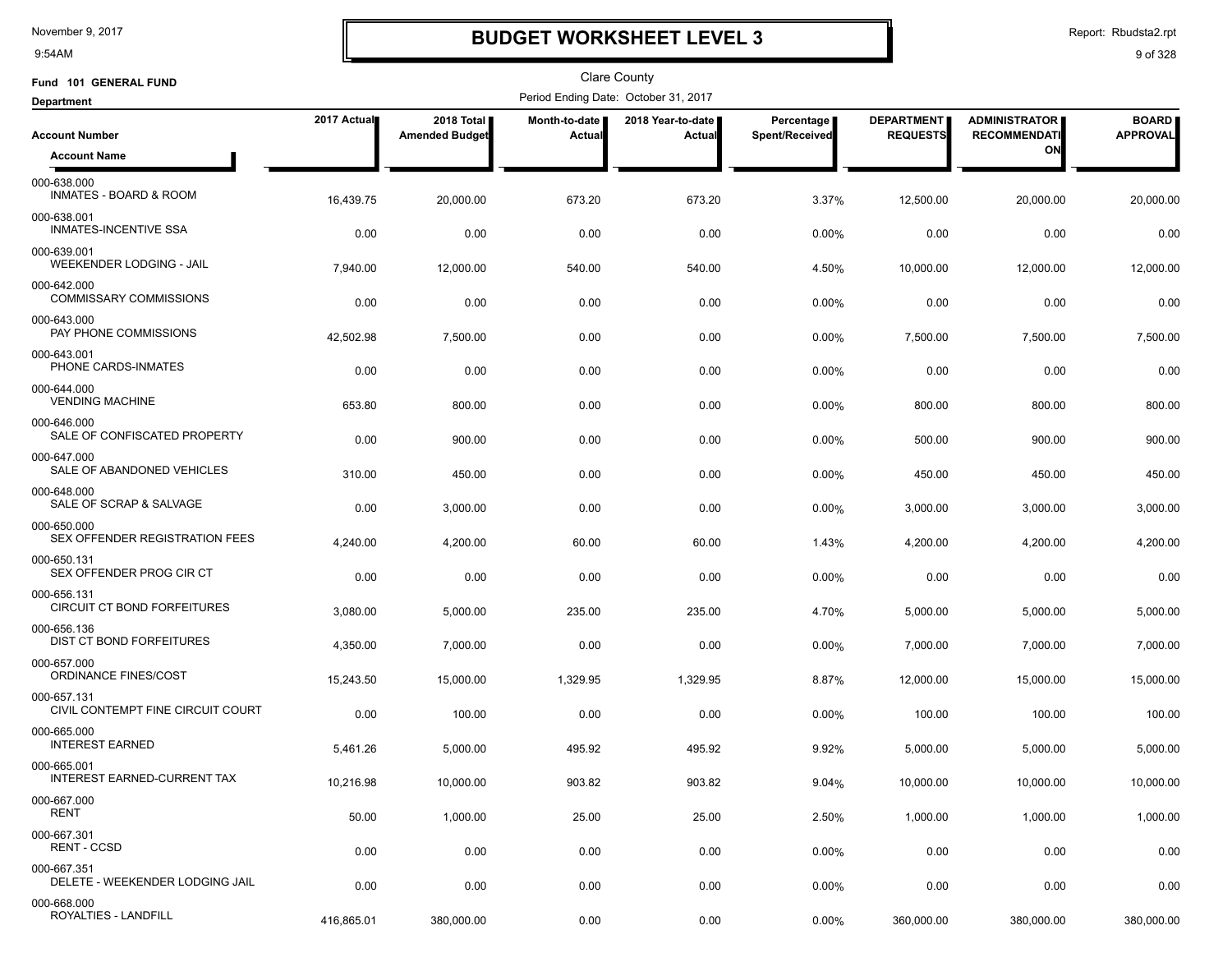9:54AM

# **BUDGET WORKSHEET LEVEL 3**

Report: Rbudsta2.rpt

| Fund 101 GENERAL FUND                             |             |                                     |                         | <b>Clare County</b>                  |                              |                                      |                                             |                                 |
|---------------------------------------------------|-------------|-------------------------------------|-------------------------|--------------------------------------|------------------------------|--------------------------------------|---------------------------------------------|---------------------------------|
| <b>Department</b>                                 |             |                                     |                         | Period Ending Date: October 31, 2017 |                              |                                      |                                             |                                 |
| <b>Account Number</b>                             | 2017 Actual | 2018 Total<br><b>Amended Budget</b> | Month-to-date<br>Actual | 2018 Year-to-date<br>Actual          | Percentage<br>Spent/Received | <b>DEPARTMENT</b><br><b>REQUESTS</b> | <b>ADMINISTRATOR</b><br><b>RECOMMENDATI</b> | <b>BOARD</b><br><b>APPROVAL</b> |
| <b>Account Name</b>                               |             |                                     |                         |                                      |                              |                                      | ON                                          |                                 |
| 000-638.000<br><b>INMATES - BOARD &amp; ROOM</b>  | 16,439.75   | 20,000.00                           | 673.20                  | 673.20                               | 3.37%                        | 12,500.00                            | 20,000.00                                   | 20,000.00                       |
| 000-638.001<br>INMATES-INCENTIVE SSA              | 0.00        | 0.00                                | 0.00                    | 0.00                                 | 0.00%                        | 0.00                                 | 0.00                                        | 0.00                            |
| 000-639.001<br>WEEKENDER LODGING - JAIL           | 7,940.00    | 12,000.00                           | 540.00                  | 540.00                               | 4.50%                        | 10,000.00                            | 12,000.00                                   | 12,000.00                       |
| 000-642.000<br><b>COMMISSARY COMMISSIONS</b>      | 0.00        | 0.00                                | 0.00                    | 0.00                                 | 0.00%                        | 0.00                                 | 0.00                                        | 0.00                            |
| 000-643.000<br>PAY PHONE COMMISSIONS              | 42,502.98   | 7,500.00                            | 0.00                    | 0.00                                 | 0.00%                        | 7,500.00                             | 7,500.00                                    | 7,500.00                        |
| 000-643.001<br>PHONE CARDS-INMATES                | 0.00        | 0.00                                | 0.00                    | 0.00                                 | 0.00%                        | 0.00                                 | 0.00                                        | 0.00                            |
| 000-644.000<br><b>VENDING MACHINE</b>             | 653.80      | 800.00                              | 0.00                    | 0.00                                 | 0.00%                        | 800.00                               | 800.00                                      | 800.00                          |
| 000-646.000<br>SALE OF CONFISCATED PROPERTY       | 0.00        | 900.00                              | 0.00                    | 0.00                                 | 0.00%                        | 500.00                               | 900.00                                      | 900.00                          |
| 000-647.000<br>SALE OF ABANDONED VEHICLES         | 310.00      | 450.00                              | 0.00                    | 0.00                                 | 0.00%                        | 450.00                               | 450.00                                      | 450.00                          |
| 000-648.000<br>SALE OF SCRAP & SALVAGE            | 0.00        | 3,000.00                            | 0.00                    | 0.00                                 | 0.00%                        | 3,000.00                             | 3,000.00                                    | 3,000.00                        |
| 000-650.000<br>SEX OFFENDER REGISTRATION FEES     | 4,240.00    | 4,200.00                            | 60.00                   | 60.00                                | 1.43%                        | 4,200.00                             | 4,200.00                                    | 4,200.00                        |
| 000-650.131<br>SEX OFFENDER PROG CIR CT           | 0.00        | 0.00                                | 0.00                    | 0.00                                 | 0.00%                        | 0.00                                 | 0.00                                        | 0.00                            |
| 000-656.131<br>CIRCUIT CT BOND FORFEITURES        | 3,080.00    | 5,000.00                            | 235.00                  | 235.00                               | 4.70%                        | 5,000.00                             | 5,000.00                                    | 5,000.00                        |
| 000-656.136<br>DIST CT BOND FORFEITURES           | 4,350.00    | 7,000.00                            | 0.00                    | 0.00                                 | 0.00%                        | 7,000.00                             | 7,000.00                                    | 7,000.00                        |
| 000-657.000<br>ORDINANCE FINES/COST               | 15,243.50   | 15,000.00                           | 1,329.95                | 1,329.95                             | 8.87%                        | 12,000.00                            | 15,000.00                                   | 15,000.00                       |
| 000-657.131<br>CIVIL CONTEMPT FINE CIRCUIT COURT  | 0.00        | 100.00                              | 0.00                    | 0.00                                 | $0.00\%$                     | 100.00                               | 100.00                                      | 100.00                          |
| 000-665.000<br><b>INTEREST EARNED</b>             | 5,461.26    | 5,000.00                            | 495.92                  | 495.92                               | 9.92%                        | 5,000.00                             | 5,000.00                                    | 5,000.00                        |
| 000-665.001<br><b>INTEREST EARNED-CURRENT TAX</b> | 10,216.98   | 10,000.00                           | 903.82                  | 903.82                               | 9.04%                        | 10,000.00                            | 10,000.00                                   | 10,000.00                       |
| 000-667.000<br>RENT                               | 50.00       | 1,000.00                            | 25.00                   | 25.00                                | 2.50%                        | 1,000.00                             | 1,000.00                                    | 1,000.00                        |
| 000-667.301<br><b>RENT - CCSD</b>                 | 0.00        | 0.00                                | 0.00                    | 0.00                                 | $0.00\%$                     | 0.00                                 | 0.00                                        | 0.00                            |
| 000-667.351<br>DELETE - WEEKENDER LODGING JAIL    | 0.00        | 0.00                                | 0.00                    | 0.00                                 | 0.00%                        | 0.00                                 | 0.00                                        | 0.00                            |
| 000-668.000<br>ROYALTIES - LANDFILL               | 416,865.01  | 380,000.00                          | 0.00                    | 0.00                                 | 0.00%                        | 360,000.00                           | 380,000.00                                  | 380,000.00                      |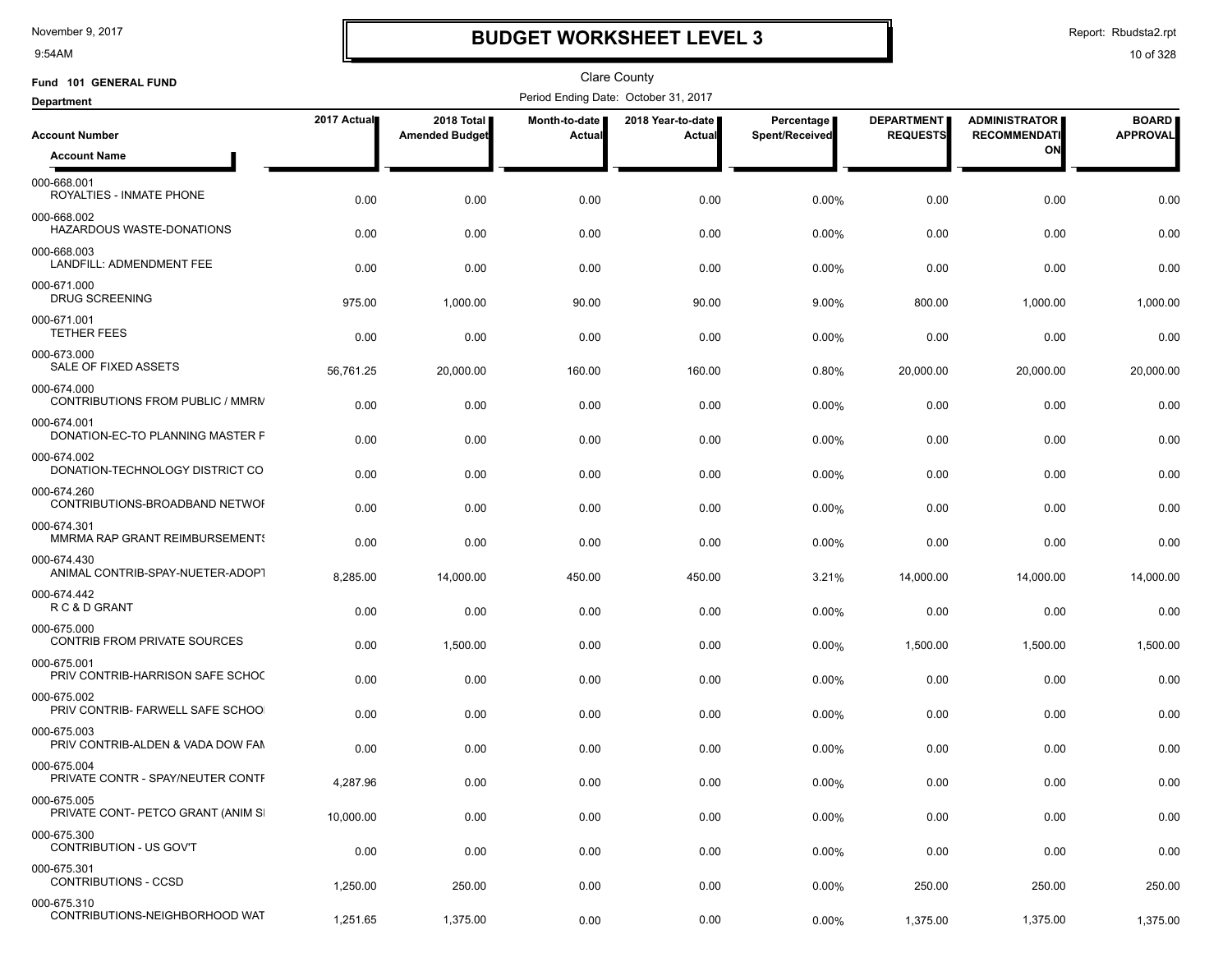9:54AM

# **BUDGET WORKSHEET LEVEL 3**

Report: Rbudsta2.rpt

| Fund 101 GENERAL FUND                              |             |                                     |                                | <b>Clare County</b>                  |                              |                                      |                                             |                                 |
|----------------------------------------------------|-------------|-------------------------------------|--------------------------------|--------------------------------------|------------------------------|--------------------------------------|---------------------------------------------|---------------------------------|
| <b>Department</b>                                  |             |                                     |                                | Period Ending Date: October 31, 2017 |                              |                                      |                                             |                                 |
| <b>Account Number</b>                              | 2017 Actual | 2018 Total<br><b>Amended Budget</b> | Month-to-date<br><b>Actual</b> | 2018 Year-to-date<br>Actual          | Percentage<br>Spent/Received | <b>DEPARTMENT</b><br><b>REQUESTS</b> | <b>ADMINISTRATOR</b><br><b>RECOMMENDATI</b> | <b>BOARD</b><br><b>APPROVAL</b> |
| <b>Account Name</b>                                |             |                                     |                                |                                      |                              |                                      | ON                                          |                                 |
| 000-668.001<br>ROYALTIES - INMATE PHONE            | 0.00        | 0.00                                | 0.00                           | 0.00                                 | 0.00%                        | 0.00                                 | 0.00                                        | 0.00                            |
| 000-668.002<br>HAZARDOUS WASTE-DONATIONS           | 0.00        | 0.00                                | 0.00                           | 0.00                                 | 0.00%                        | 0.00                                 | 0.00                                        | 0.00                            |
| 000-668.003<br>LANDFILL: ADMENDMENT FEE            | 0.00        | 0.00                                | 0.00                           | 0.00                                 | 0.00%                        | 0.00                                 | 0.00                                        | 0.00                            |
| 000-671.000<br><b>DRUG SCREENING</b>               | 975.00      | 1,000.00                            | 90.00                          | 90.00                                | 9.00%                        | 800.00                               | 1,000.00                                    | 1,000.00                        |
| 000-671.001<br><b>TETHER FEES</b>                  | 0.00        | 0.00                                | 0.00                           | 0.00                                 | 0.00%                        | 0.00                                 | 0.00                                        | 0.00                            |
| 000-673.000<br>SALE OF FIXED ASSETS                | 56,761.25   | 20,000.00                           | 160.00                         | 160.00                               | 0.80%                        | 20,000.00                            | 20,000.00                                   | 20,000.00                       |
| 000-674.000<br>CONTRIBUTIONS FROM PUBLIC / MMRN    | 0.00        | 0.00                                | 0.00                           | 0.00                                 | 0.00%                        | 0.00                                 | 0.00                                        | 0.00                            |
| 000-674.001<br>DONATION-EC-TO PLANNING MASTER F    | 0.00        | 0.00                                | 0.00                           | 0.00                                 | 0.00%                        | 0.00                                 | 0.00                                        | 0.00                            |
| 000-674.002<br>DONATION-TECHNOLOGY DISTRICT CO     | 0.00        | 0.00                                | 0.00                           | 0.00                                 | 0.00%                        | 0.00                                 | 0.00                                        | 0.00                            |
| 000-674.260<br>CONTRIBUTIONS-BROADBAND NETWOR      | 0.00        | 0.00                                | 0.00                           | 0.00                                 | 0.00%                        | 0.00                                 | 0.00                                        | 0.00                            |
| 000-674.301<br>MMRMA RAP GRANT REIMBURSEMENTS      | 0.00        | 0.00                                | 0.00                           | 0.00                                 | 0.00%                        | 0.00                                 | 0.00                                        | 0.00                            |
| 000-674.430<br>ANIMAL CONTRIB-SPAY-NUETER-ADOPT    | 8,285.00    | 14,000.00                           | 450.00                         | 450.00                               | 3.21%                        | 14,000.00                            | 14,000.00                                   | 14,000.00                       |
| 000-674.442<br>R C & D GRANT                       | 0.00        | 0.00                                | 0.00                           | 0.00                                 | 0.00%                        | 0.00                                 | 0.00                                        | 0.00                            |
| 000-675.000<br><b>CONTRIB FROM PRIVATE SOURCES</b> | 0.00        | 1,500.00                            | 0.00                           | 0.00                                 | 0.00%                        | 1,500.00                             | 1,500.00                                    | 1,500.00                        |
| 000-675.001<br>PRIV CONTRIB-HARRISON SAFE SCHOC    | 0.00        | 0.00                                | 0.00                           | 0.00                                 | 0.00%                        | 0.00                                 | 0.00                                        | 0.00                            |
| 000-675.002<br>PRIV CONTRIB- FARWELL SAFE SCHOO    | 0.00        | 0.00                                | 0.00                           | 0.00                                 | 0.00%                        | 0.00                                 | 0.00                                        | 0.00                            |
| 000-675.003<br>PRIV CONTRIB-ALDEN & VADA DOW FAN   | 0.00        | 0.00                                | 0.00                           | 0.00                                 | 0.00%                        | 0.00                                 | 0.00                                        | 0.00                            |
| 000-675.004<br>PRIVATE CONTR - SPAY/NEUTER CONTF   | 4,287.96    | 0.00                                | 0.00                           | 0.00                                 | 0.00%                        | 0.00                                 | 0.00                                        | 0.00                            |
| 000-675.005<br>PRIVATE CONT- PETCO GRANT (ANIM SI  | 10,000.00   | 0.00                                | 0.00                           | 0.00                                 | 0.00%                        | 0.00                                 | 0.00                                        | 0.00                            |
| 000-675.300<br>CONTRIBUTION - US GOV'T             | 0.00        | 0.00                                | 0.00                           | 0.00                                 | $0.00\%$                     | 0.00                                 | 0.00                                        | 0.00                            |
| 000-675.301<br><b>CONTRIBUTIONS - CCSD</b>         | 1,250.00    | 250.00                              | 0.00                           | 0.00                                 | 0.00%                        | 250.00                               | 250.00                                      | 250.00                          |
| 000-675.310<br>CONTRIBUTIONS-NEIGHBORHOOD WAT      | 1,251.65    | 1,375.00                            | 0.00                           | 0.00                                 | 0.00%                        | 1,375.00                             | 1,375.00                                    | 1,375.00                        |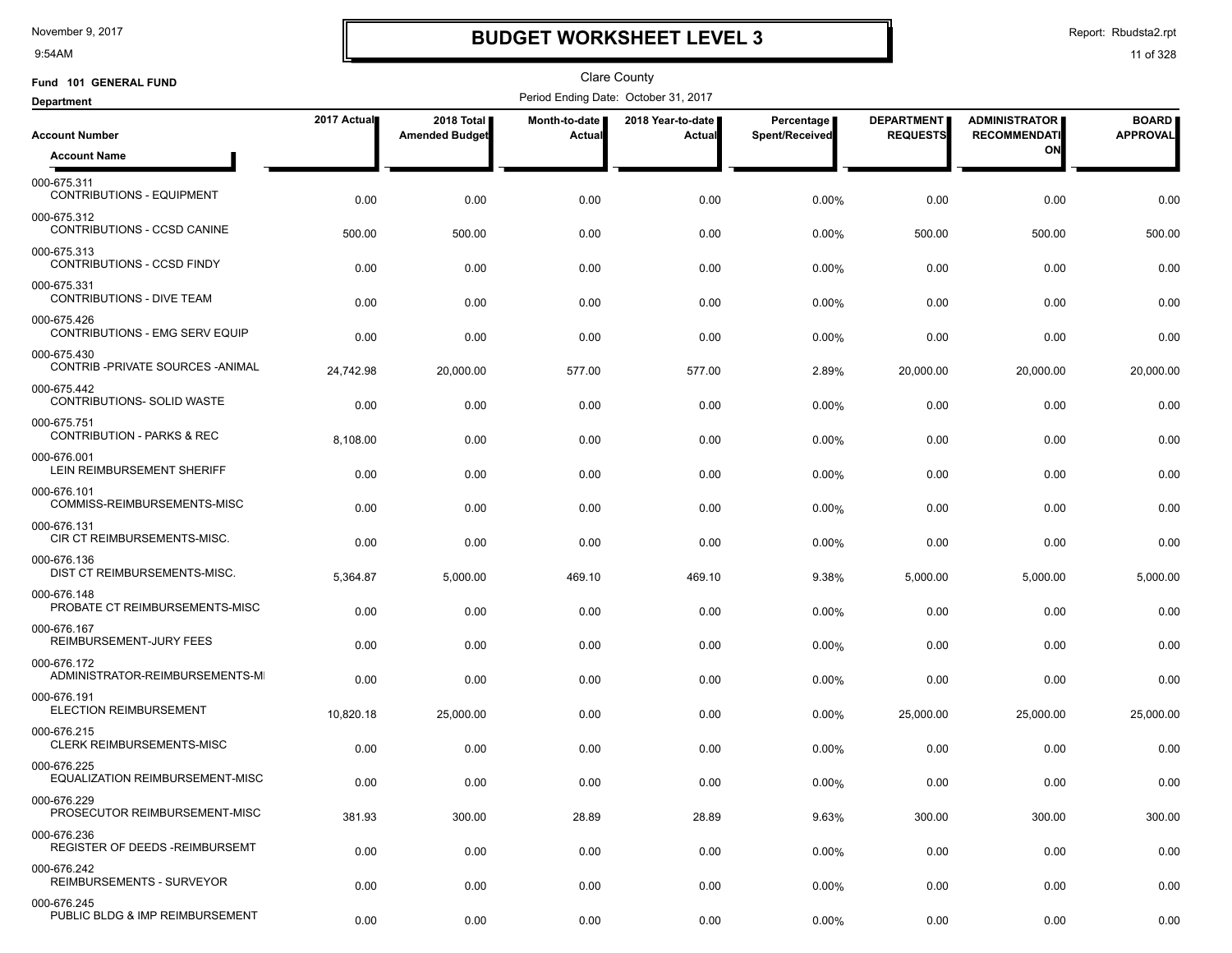9:54AM

# **BUDGET WORKSHEET LEVEL 3**

Report: Rbudsta2.rpt

| Fund 101 GENERAL FUND                                |             |                                     |                         | Clare County                         |                              |                                      |                                             |                                 |
|------------------------------------------------------|-------------|-------------------------------------|-------------------------|--------------------------------------|------------------------------|--------------------------------------|---------------------------------------------|---------------------------------|
| <b>Department</b>                                    |             |                                     |                         | Period Ending Date: October 31, 2017 |                              |                                      |                                             |                                 |
| <b>Account Number</b>                                | 2017 Actual | 2018 Total<br><b>Amended Budget</b> | Month-to-date<br>Actual | 2018 Year-to-date  <br>Actual        | Percentage<br>Spent/Received | <b>DEPARTMENT</b><br><b>REQUESTS</b> | <b>ADMINISTRATOR</b><br><b>RECOMMENDATI</b> | <b>BOARD</b><br><b>APPROVAL</b> |
| <b>Account Name</b>                                  |             |                                     |                         |                                      |                              |                                      | ON                                          |                                 |
| 000-675.311<br><b>CONTRIBUTIONS - EQUIPMENT</b>      | 0.00        | 0.00                                | 0.00                    | 0.00                                 | 0.00%                        | 0.00                                 | 0.00                                        | 0.00                            |
| 000-675.312<br>CONTRIBUTIONS - CCSD CANINE           | 500.00      | 500.00                              | 0.00                    | 0.00                                 | 0.00%                        | 500.00                               | 500.00                                      | 500.00                          |
| 000-675.313<br>CONTRIBUTIONS - CCSD FINDY            | 0.00        | 0.00                                | 0.00                    | 0.00                                 | $0.00\%$                     | 0.00                                 | 0.00                                        | 0.00                            |
| 000-675.331<br><b>CONTRIBUTIONS - DIVE TEAM</b>      | 0.00        | 0.00                                | 0.00                    | 0.00                                 | $0.00\%$                     | 0.00                                 | 0.00                                        | 0.00                            |
| 000-675.426<br>CONTRIBUTIONS - EMG SERV EQUIP        | 0.00        | 0.00                                | 0.00                    | 0.00                                 | 0.00%                        | 0.00                                 | 0.00                                        | 0.00                            |
| 000-675.430<br>CONTRIB-PRIVATE SOURCES-ANIMAL        | 24,742.98   | 20,000.00                           | 577.00                  | 577.00                               | 2.89%                        | 20,000.00                            | 20,000.00                                   | 20,000.00                       |
| 000-675.442<br>CONTRIBUTIONS- SOLID WASTE            | 0.00        | 0.00                                | 0.00                    | 0.00                                 | 0.00%                        | 0.00                                 | 0.00                                        | 0.00                            |
| 000-675.751<br><b>CONTRIBUTION - PARKS &amp; REC</b> | 8,108.00    | 0.00                                | 0.00                    | 0.00                                 | 0.00%                        | 0.00                                 | 0.00                                        | 0.00                            |
| 000-676.001<br>LEIN REIMBURSEMENT SHERIFF            | 0.00        | 0.00                                | 0.00                    | 0.00                                 | 0.00%                        | 0.00                                 | 0.00                                        | 0.00                            |
| 000-676.101<br>COMMISS-REIMBURSEMENTS-MISC           | 0.00        | 0.00                                | 0.00                    | 0.00                                 | 0.00%                        | 0.00                                 | 0.00                                        | 0.00                            |
| 000-676.131<br>CIR CT REIMBURSEMENTS-MISC.           | 0.00        | 0.00                                | 0.00                    | 0.00                                 | 0.00%                        | 0.00                                 | 0.00                                        | 0.00                            |
| 000-676.136<br>DIST CT REIMBURSEMENTS-MISC.          | 5,364.87    | 5,000.00                            | 469.10                  | 469.10                               | 9.38%                        | 5,000.00                             | 5,000.00                                    | 5,000.00                        |
| 000-676.148<br>PROBATE CT REIMBURSEMENTS-MISC        | 0.00        | 0.00                                | 0.00                    | 0.00                                 | 0.00%                        | 0.00                                 | 0.00                                        | 0.00                            |
| 000-676.167<br>REIMBURSEMENT-JURY FEES               | 0.00        | 0.00                                | 0.00                    | 0.00                                 | $0.00\%$                     | 0.00                                 | 0.00                                        | 0.00                            |
| 000-676.172<br>ADMINISTRATOR-REIMBURSEMENTS-MI       | 0.00        | 0.00                                | 0.00                    | 0.00                                 | 0.00%                        | 0.00                                 | 0.00                                        | 0.00                            |
| 000-676.191<br><b>ELECTION REIMBURSEMENT</b>         | 10,820.18   | 25.000.00                           | 0.00                    | 0.00                                 | $0.00\%$                     | 25,000.00                            | 25,000.00                                   | 25,000.00                       |
| 000-676.215<br><b>CLERK REIMBURSEMENTS-MISC</b>      | 0.00        | 0.00                                | 0.00                    | 0.00                                 | $0.00\%$                     | 0.00                                 | 0.00                                        | 0.00                            |
| 000-676.225<br>EQUALIZATION REIMBURSEMENT-MISC       | 0.00        | 0.00                                | 0.00                    | 0.00                                 | 0.00%                        | 0.00                                 | 0.00                                        | 0.00                            |
| 000-676.229<br>PROSECUTOR REIMBURSEMENT-MISC         | 381.93      | 300.00                              | 28.89                   | 28.89                                | 9.63%                        | 300.00                               | 300.00                                      | 300.00                          |
| 000-676.236<br>REGISTER OF DEEDS -REIMBURSEMT        | 0.00        | 0.00                                | 0.00                    | 0.00                                 | 0.00%                        | 0.00                                 | 0.00                                        | 0.00                            |
| 000-676.242<br>REIMBURSEMENTS - SURVEYOR             | 0.00        | 0.00                                | 0.00                    | 0.00                                 | 0.00%                        | 0.00                                 | 0.00                                        | 0.00                            |
| 000-676.245<br>PUBLIC BLDG & IMP REIMBURSEMENT       | 0.00        | 0.00                                | 0.00                    | 0.00                                 | 0.00%                        | 0.00                                 | 0.00                                        | 0.00                            |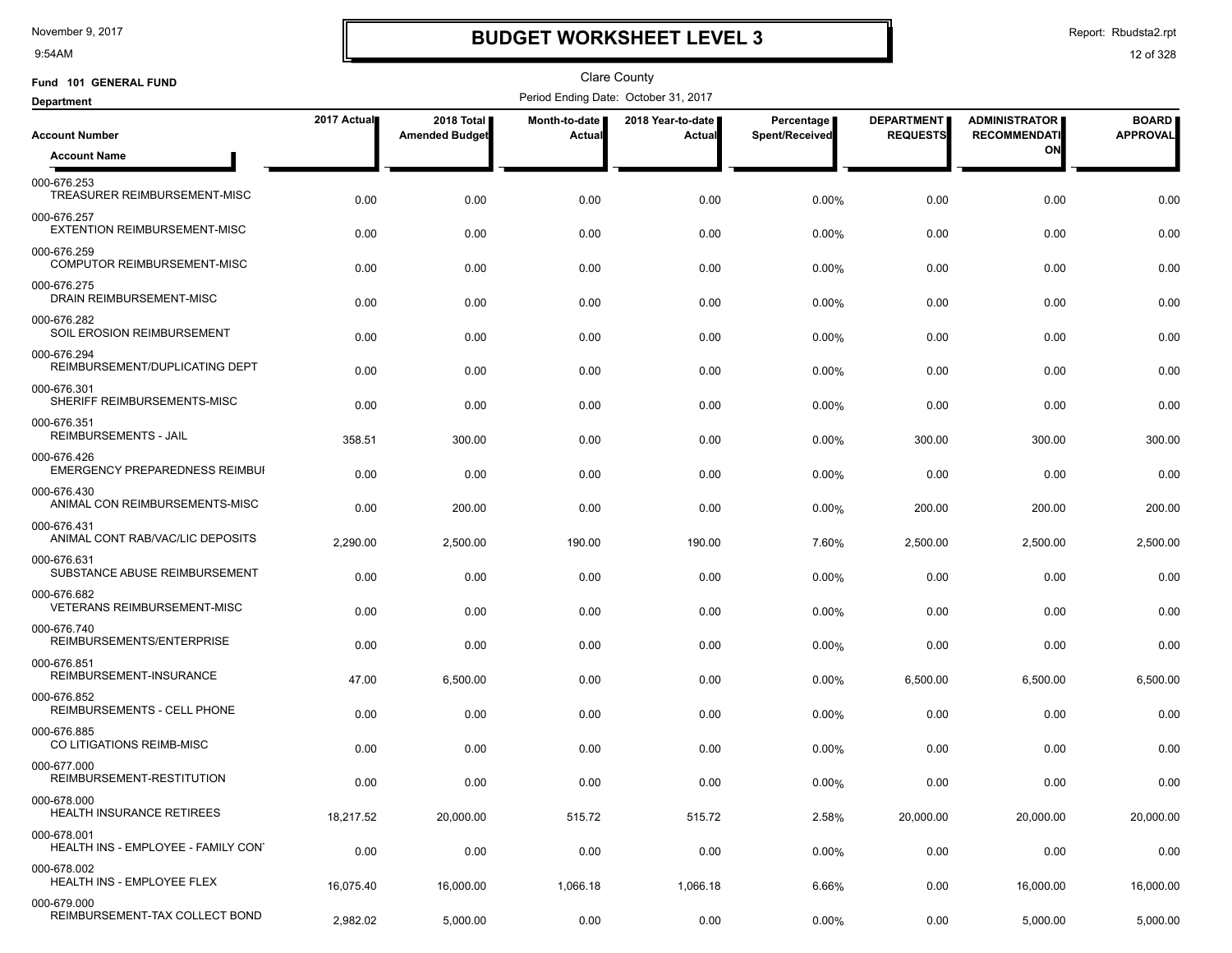9:54AM

# **BUDGET WORKSHEET LEVEL 3**

Report: Rbudsta2.rpt

| Fund 101 GENERAL FUND                              |             |                                     |                         | Clare County                         |                              |                                      |                                             |                                 |
|----------------------------------------------------|-------------|-------------------------------------|-------------------------|--------------------------------------|------------------------------|--------------------------------------|---------------------------------------------|---------------------------------|
| <b>Department</b>                                  |             |                                     |                         | Period Ending Date: October 31, 2017 |                              |                                      |                                             |                                 |
| <b>Account Number</b>                              | 2017 Actual | 2018 Total<br><b>Amended Budget</b> | Month-to-date<br>Actual | 2018 Year-to-date<br>Actual          | Percentage<br>Spent/Received | <b>DEPARTMENT</b><br><b>REQUESTS</b> | <b>ADMINISTRATOR</b><br><b>RECOMMENDATI</b> | <b>BOARD</b><br><b>APPROVAL</b> |
| <b>Account Name</b>                                |             |                                     |                         |                                      |                              |                                      | ON                                          |                                 |
| 000-676.253<br>TREASURER REIMBURSEMENT-MISC        | 0.00        | 0.00                                | 0.00                    | 0.00                                 | 0.00%                        | 0.00                                 | 0.00                                        | 0.00                            |
| 000-676.257<br><b>EXTENTION REIMBURSEMENT-MISC</b> | 0.00        | 0.00                                | 0.00                    | 0.00                                 | 0.00%                        | 0.00                                 | 0.00                                        | 0.00                            |
| 000-676.259<br>COMPUTOR REIMBURSEMENT-MISC         | 0.00        | 0.00                                | 0.00                    | 0.00                                 | 0.00%                        | 0.00                                 | 0.00                                        | 0.00                            |
| 000-676.275<br>DRAIN REIMBURSEMENT-MISC            | 0.00        | 0.00                                | 0.00                    | 0.00                                 | 0.00%                        | 0.00                                 | 0.00                                        | 0.00                            |
| 000-676.282<br>SOIL EROSION REIMBURSEMENT          | 0.00        | 0.00                                | 0.00                    | 0.00                                 | 0.00%                        | 0.00                                 | 0.00                                        | 0.00                            |
| 000-676.294<br>REIMBURSEMENT/DUPLICATING DEPT      | 0.00        | 0.00                                | 0.00                    | 0.00                                 | 0.00%                        | 0.00                                 | 0.00                                        | 0.00                            |
| 000-676.301<br>SHERIFF REIMBURSEMENTS-MISC         | 0.00        | 0.00                                | 0.00                    | 0.00                                 | 0.00%                        | 0.00                                 | 0.00                                        | 0.00                            |
| 000-676.351<br><b>REIMBURSEMENTS - JAIL</b>        | 358.51      | 300.00                              | 0.00                    | 0.00                                 | 0.00%                        | 300.00                               | 300.00                                      | 300.00                          |
| 000-676.426<br>EMERGENCY PREPAREDNESS REIMBUI      | 0.00        | 0.00                                | 0.00                    | 0.00                                 | 0.00%                        | 0.00                                 | 0.00                                        | 0.00                            |
| 000-676.430<br>ANIMAL CON REIMBURSEMENTS-MISC      | 0.00        | 200.00                              | 0.00                    | 0.00                                 | 0.00%                        | 200.00                               | 200.00                                      | 200.00                          |
| 000-676.431<br>ANIMAL CONT RAB/VAC/LIC DEPOSITS    | 2,290.00    | 2,500.00                            | 190.00                  | 190.00                               | 7.60%                        | 2,500.00                             | 2,500.00                                    | 2,500.00                        |
| 000-676.631<br>SUBSTANCE ABUSE REIMBURSEMENT       | 0.00        | 0.00                                | 0.00                    | 0.00                                 | 0.00%                        | 0.00                                 | 0.00                                        | 0.00                            |
| 000-676.682<br><b>VETERANS REIMBURSEMENT-MISC</b>  | 0.00        | 0.00                                | 0.00                    | 0.00                                 | 0.00%                        | 0.00                                 | 0.00                                        | 0.00                            |
| 000-676.740<br>REIMBURSEMENTS/ENTERPRISE           | 0.00        | 0.00                                | 0.00                    | 0.00                                 | 0.00%                        | 0.00                                 | 0.00                                        | 0.00                            |
| 000-676.851<br>REIMBURSEMENT-INSURANCE             | 47.00       | 6,500.00                            | 0.00                    | 0.00                                 | 0.00%                        | 6,500.00                             | 6,500.00                                    | 6,500.00                        |
| 000-676.852<br>REIMBURSEMENTS - CELL PHONE         | 0.00        | 0.00                                | 0.00                    | 0.00                                 | 0.00%                        | 0.00                                 | 0.00                                        | 0.00                            |
| 000-676.885<br>CO LITIGATIONS REIMB-MISC           | 0.00        | 0.00                                | 0.00                    | 0.00                                 | 0.00%                        | 0.00                                 | 0.00                                        | 0.00                            |
| 000-677.000<br>REIMBURSEMENT-RESTITUTION           | 0.00        | 0.00                                | 0.00                    | 0.00                                 | 0.00%                        | 0.00                                 | 0.00                                        | 0.00                            |
| 000-678.000<br>HEALTH INSURANCE RETIREES           | 18,217.52   | 20,000.00                           | 515.72                  | 515.72                               | 2.58%                        | 20,000.00                            | 20,000.00                                   | 20,000.00                       |
| 000-678.001<br>HEALTH INS - EMPLOYEE - FAMILY CON' | 0.00        | 0.00                                | 0.00                    | 0.00                                 | $0.00\%$                     | 0.00                                 | 0.00                                        | 0.00                            |
| 000-678.002<br>HEALTH INS - EMPLOYEE FLEX          | 16,075.40   | 16,000.00                           | 1,066.18                | 1,066.18                             | 6.66%                        | 0.00                                 | 16,000.00                                   | 16,000.00                       |
| 000-679.000<br>REIMBURSEMENT-TAX COLLECT BOND      | 2,982.02    | 5,000.00                            | 0.00                    | 0.00                                 | 0.00%                        | 0.00                                 | 5,000.00                                    | 5,000.00                        |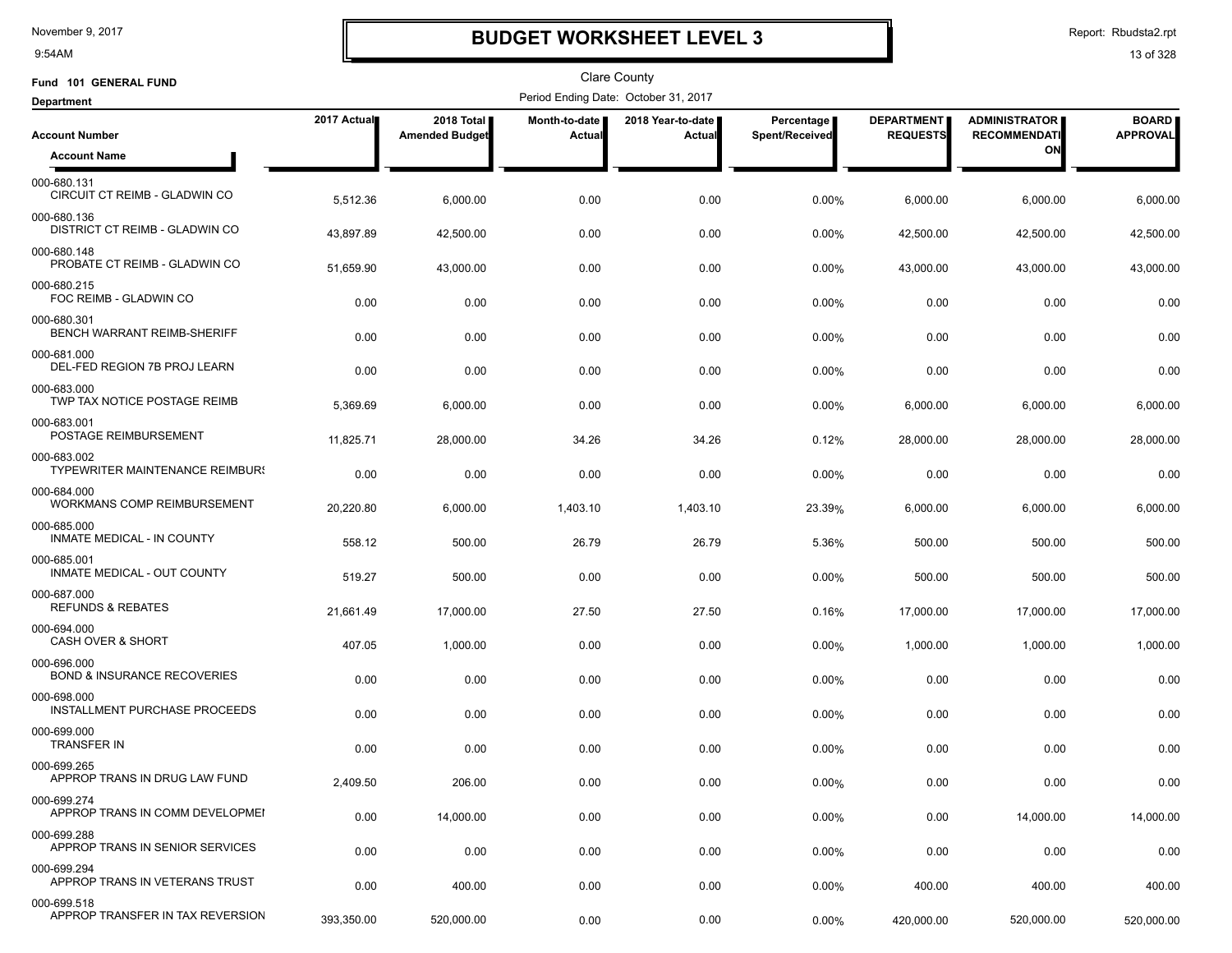9:54AM

# **BUDGET WORKSHEET LEVEL 3**

Report: Rbudsta2.rpt

| Fund 101 GENERAL FUND                                 |             |                                     |                         | <b>Clare County</b>                  |                              |                                      |                                             |                                 |
|-------------------------------------------------------|-------------|-------------------------------------|-------------------------|--------------------------------------|------------------------------|--------------------------------------|---------------------------------------------|---------------------------------|
| <b>Department</b>                                     |             |                                     |                         | Period Ending Date: October 31, 2017 |                              |                                      |                                             |                                 |
| <b>Account Number</b>                                 | 2017 Actual | 2018 Total<br><b>Amended Budget</b> | Month-to-date<br>Actual | 2018 Year-to-date  <br>Actual        | Percentage<br>Spent/Received | <b>DEPARTMENT</b><br><b>REQUESTS</b> | <b>ADMINISTRATOR</b><br><b>RECOMMENDATI</b> | <b>BOARD</b><br><b>APPROVAL</b> |
| <b>Account Name</b>                                   |             |                                     |                         |                                      |                              |                                      | ON                                          |                                 |
| 000-680.131<br>CIRCUIT CT REIMB - GLADWIN CO          | 5,512.36    | 6,000.00                            | 0.00                    | 0.00                                 | 0.00%                        | 6,000.00                             | 6,000.00                                    | 6,000.00                        |
| 000-680.136<br>DISTRICT CT REIMB - GLADWIN CO         | 43,897.89   | 42,500.00                           | 0.00                    | 0.00                                 | 0.00%                        | 42,500.00                            | 42,500.00                                   | 42,500.00                       |
| 000-680.148<br>PROBATE CT REIMB - GLADWIN CO          | 51,659.90   | 43,000.00                           | 0.00                    | 0.00                                 | $0.00\%$                     | 43,000.00                            | 43,000.00                                   | 43,000.00                       |
| 000-680.215<br>FOC REIMB - GLADWIN CO                 | 0.00        | 0.00                                | 0.00                    | 0.00                                 | 0.00%                        | 0.00                                 | 0.00                                        | 0.00                            |
| 000-680.301<br>BENCH WARRANT REIMB-SHERIFF            | 0.00        | 0.00                                | 0.00                    | 0.00                                 | 0.00%                        | 0.00                                 | 0.00                                        | 0.00                            |
| 000-681.000<br>DEL-FED REGION 7B PROJ LEARN           | 0.00        | 0.00                                | 0.00                    | 0.00                                 | 0.00%                        | 0.00                                 | 0.00                                        | 0.00                            |
| 000-683.000<br>TWP TAX NOTICE POSTAGE REIMB           | 5,369.69    | 6,000.00                            | 0.00                    | 0.00                                 | 0.00%                        | 6,000.00                             | 6,000.00                                    | 6,000.00                        |
| 000-683.001<br>POSTAGE REIMBURSEMENT                  | 11,825.71   | 28,000.00                           | 34.26                   | 34.26                                | 0.12%                        | 28,000.00                            | 28,000.00                                   | 28,000.00                       |
| 000-683.002<br><b>TYPEWRITER MAINTENANCE REIMBURS</b> | 0.00        | 0.00                                | 0.00                    | 0.00                                 | 0.00%                        | 0.00                                 | 0.00                                        | 0.00                            |
| 000-684.000<br><b>WORKMANS COMP REIMBURSEMENT</b>     | 20,220.80   | 6,000.00                            | 1,403.10                | 1,403.10                             | 23.39%                       | 6,000.00                             | 6,000.00                                    | 6,000.00                        |
| 000-685.000<br>INMATE MEDICAL - IN COUNTY             | 558.12      | 500.00                              | 26.79                   | 26.79                                | 5.36%                        | 500.00                               | 500.00                                      | 500.00                          |
| 000-685.001<br>INMATE MEDICAL - OUT COUNTY            | 519.27      | 500.00                              | 0.00                    | 0.00                                 | 0.00%                        | 500.00                               | 500.00                                      | 500.00                          |
| 000-687.000<br><b>REFUNDS &amp; REBATES</b>           | 21,661.49   | 17,000.00                           | 27.50                   | 27.50                                | 0.16%                        | 17,000.00                            | 17,000.00                                   | 17,000.00                       |
| 000-694.000<br><b>CASH OVER &amp; SHORT</b>           | 407.05      | 1,000.00                            | 0.00                    | 0.00                                 | $0.00\%$                     | 1,000.00                             | 1,000.00                                    | 1,000.00                        |
| 000-696.000<br><b>BOND &amp; INSURANCE RECOVERIES</b> | 0.00        | 0.00                                | 0.00                    | 0.00                                 | 0.00%                        | 0.00                                 | 0.00                                        | 0.00                            |
| 000-698.000<br><b>INSTALLMENT PURCHASE PROCEEDS</b>   | 0.00        | 0.00                                | 0.00                    | 0.00                                 | $0.00\%$                     | 0.00                                 | 0.00                                        | 0.00                            |
| 000-699.000<br><b>TRANSFER IN</b>                     | 0.00        | 0.00                                | 0.00                    | 0.00                                 | $0.00\%$                     | 0.00                                 | 0.00                                        | 0.00                            |
| 000-699.265<br>APPROP TRANS IN DRUG LAW FUND          | 2,409.50    | 206.00                              | 0.00                    | 0.00                                 | 0.00%                        | 0.00                                 | 0.00                                        | 0.00                            |
| 000-699.274<br>APPROP TRANS IN COMM DEVELOPMEI        | 0.00        | 14,000.00                           | 0.00                    | 0.00                                 | $0.00\%$                     | 0.00                                 | 14,000.00                                   | 14,000.00                       |
| 000-699.288<br>APPROP TRANS IN SENIOR SERVICES        | 0.00        | 0.00                                | 0.00                    | 0.00                                 | 0.00%                        | 0.00                                 | 0.00                                        | 0.00                            |
| 000-699.294<br>APPROP TRANS IN VETERANS TRUST         | 0.00        | 400.00                              | 0.00                    | 0.00                                 | 0.00%                        | 400.00                               | 400.00                                      | 400.00                          |
| 000-699.518<br>APPROP TRANSFER IN TAX REVERSION       | 393,350.00  | 520,000.00                          | 0.00                    | 0.00                                 | 0.00%                        | 420,000.00                           | 520,000.00                                  | 520,000.00                      |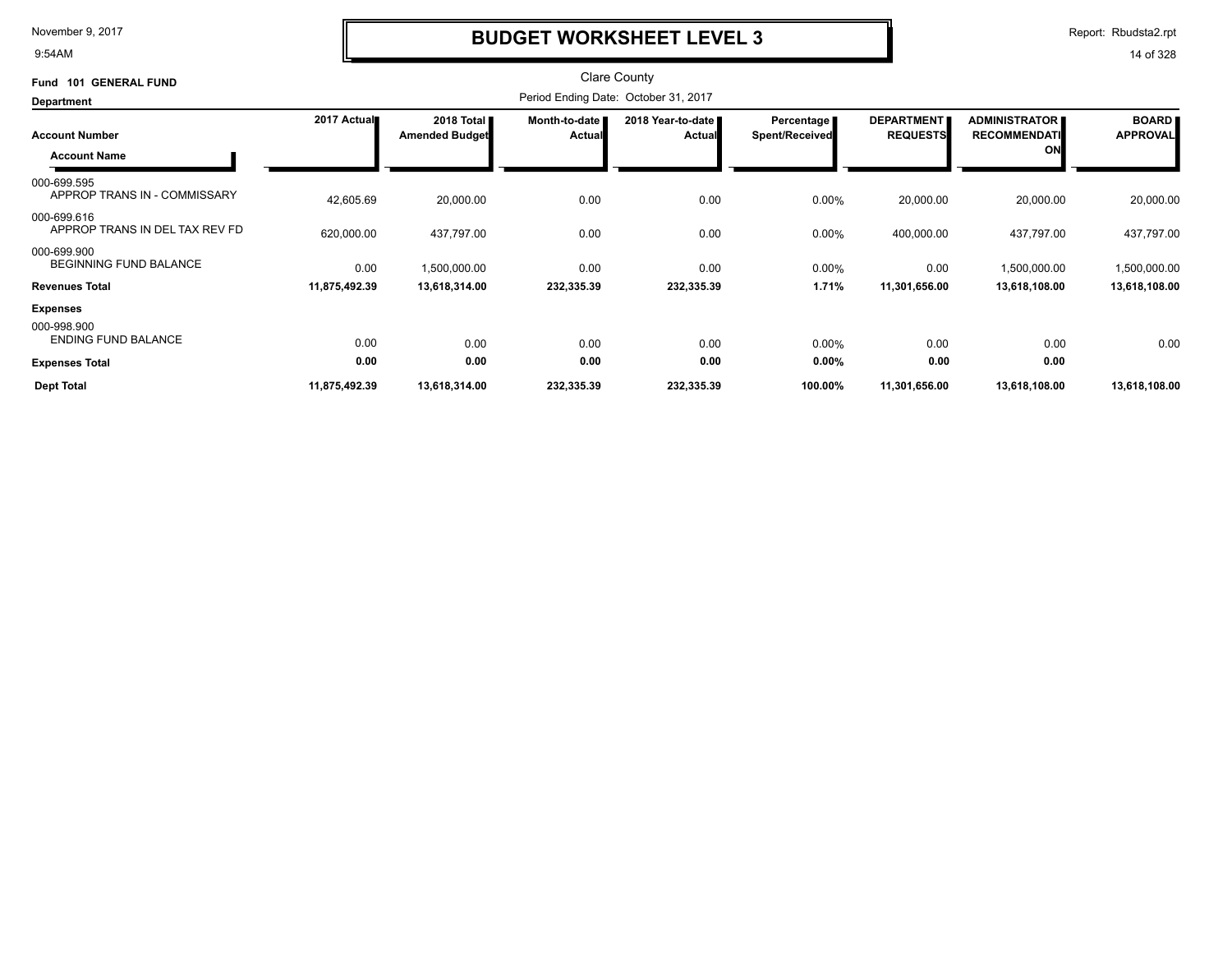9:54AM

# **BUDGET WORKSHEET LEVEL 3**

Report: Rbudsta2.rpt

| 101 GENERAL FUND<br>Fund                      |               |                                     |                                  | <b>Clare County</b>                  |                                     |                                      |                                             |                                 |
|-----------------------------------------------|---------------|-------------------------------------|----------------------------------|--------------------------------------|-------------------------------------|--------------------------------------|---------------------------------------------|---------------------------------|
| <b>Department</b>                             |               |                                     |                                  | Period Ending Date: October 31, 2017 |                                     |                                      |                                             |                                 |
| <b>Account Number</b>                         | 2017 Actual   | 2018 Total<br><b>Amended Budget</b> | Month-to-date  <br><b>Actual</b> | 2018 Year-to-date<br>Actual          | Percentage<br><b>Spent/Received</b> | <b>DEPARTMENT</b><br><b>REQUESTS</b> | <b>ADMINISTRATOR</b><br><b>RECOMMENDATI</b> | <b>BOARD</b><br><b>APPROVAL</b> |
| <b>Account Name</b>                           |               |                                     |                                  |                                      |                                     |                                      | ON                                          |                                 |
| 000-699.595<br>APPROP TRANS IN - COMMISSARY   | 42,605.69     | 20,000.00                           | 0.00                             | 0.00                                 | 0.00%                               | 20,000.00                            | 20,000.00                                   | 20,000.00                       |
| 000-699.616<br>APPROP TRANS IN DEL TAX REV FD | 620,000.00    | 437,797.00                          | 0.00                             | 0.00                                 | 0.00%                               | 400,000.00                           | 437,797.00                                  | 437,797.00                      |
| 000-699.900<br><b>BEGINNING FUND BALANCE</b>  | 0.00          | 1,500,000.00                        | 0.00                             | 0.00                                 | 0.00%                               | 0.00                                 | 1,500,000.00                                | 1,500,000.00                    |
| <b>Revenues Total</b>                         | 11,875,492.39 | 13,618,314.00                       | 232,335.39                       | 232,335.39                           | 1.71%                               | 11,301,656.00                        | 13,618,108.00                               | 13,618,108.00                   |
| <b>Expenses</b>                               |               |                                     |                                  |                                      |                                     |                                      |                                             |                                 |
| 000-998.900<br><b>ENDING FUND BALANCE</b>     | 0.00          | 0.00                                | 0.00                             | 0.00                                 | 0.00%                               | 0.00                                 | 0.00                                        | 0.00                            |
| <b>Expenses Total</b>                         | 0.00          | 0.00                                | 0.00                             | 0.00                                 | $0.00\%$                            | 0.00                                 | 0.00                                        |                                 |
| <b>Dept Total</b>                             | 11,875,492.39 | 13,618,314.00                       | 232,335.39                       | 232,335.39                           | 100.00%                             | 11,301,656.00                        | 13,618,108.00                               | 13,618,108.00                   |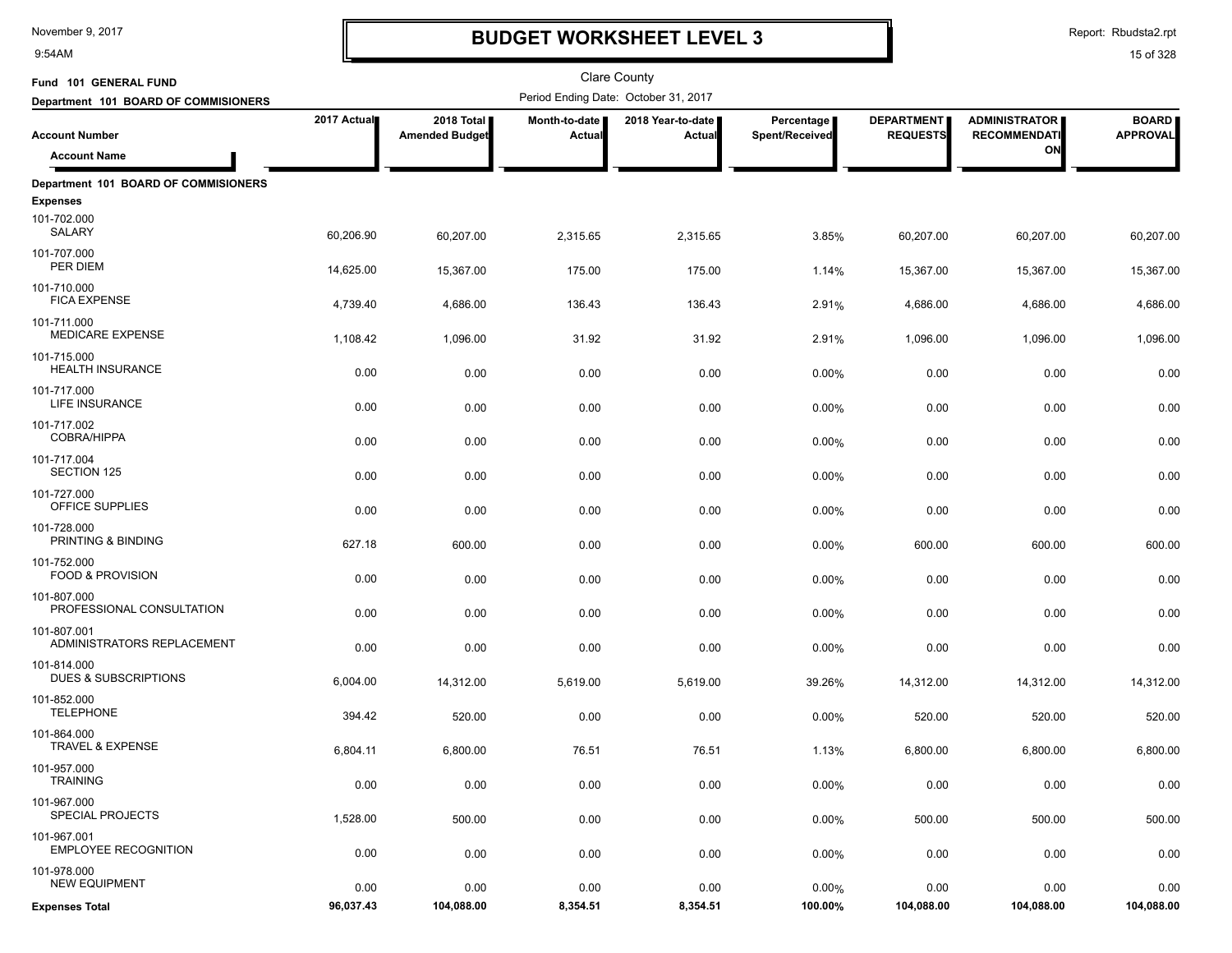9:54AM

# **BUDGET WORKSHEET LEVEL 3**

Report: Rbudsta2.rpt

| Fund 101 GENERAL FUND                                   |             |                                     |                         | <b>Clare County</b>                  |                              |                                      |                                             |                                 |
|---------------------------------------------------------|-------------|-------------------------------------|-------------------------|--------------------------------------|------------------------------|--------------------------------------|---------------------------------------------|---------------------------------|
| Department 101 BOARD OF COMMISIONERS                    |             |                                     |                         | Period Ending Date: October 31, 2017 |                              |                                      |                                             |                                 |
| <b>Account Number</b>                                   | 2017 Actual | 2018 Total<br><b>Amended Budget</b> | Month-to-date<br>Actual | 2018 Year-to-date  <br>Actual        | Percentage<br>Spent/Received | <b>DEPARTMENT</b><br><b>REQUESTS</b> | <b>ADMINISTRATOR</b><br><b>RECOMMENDATI</b> | <b>BOARD</b><br><b>APPROVAL</b> |
| <b>Account Name</b>                                     |             |                                     |                         |                                      |                              |                                      | ON                                          |                                 |
| Department 101 BOARD OF COMMISIONERS<br><b>Expenses</b> |             |                                     |                         |                                      |                              |                                      |                                             |                                 |
| 101-702.000<br>SALARY                                   | 60,206.90   | 60,207.00                           | 2,315.65                | 2,315.65                             | 3.85%                        | 60,207.00                            | 60,207.00                                   | 60,207.00                       |
| 101-707.000<br>PER DIEM                                 | 14,625.00   | 15,367.00                           | 175.00                  | 175.00                               | 1.14%                        | 15,367.00                            | 15,367.00                                   | 15,367.00                       |
| 101-710.000<br><b>FICA EXPENSE</b>                      | 4,739.40    | 4,686.00                            | 136.43                  | 136.43                               | 2.91%                        | 4,686.00                             | 4,686.00                                    | 4,686.00                        |
| 101-711.000<br><b>MEDICARE EXPENSE</b>                  | 1,108.42    | 1,096.00                            | 31.92                   | 31.92                                | 2.91%                        | 1,096.00                             | 1,096.00                                    | 1,096.00                        |
| 101-715.000<br><b>HEALTH INSURANCE</b>                  | 0.00        | 0.00                                | 0.00                    | 0.00                                 | 0.00%                        | 0.00                                 | 0.00                                        | 0.00                            |
| 101-717.000<br><b>LIFE INSURANCE</b>                    | 0.00        | 0.00                                | 0.00                    | 0.00                                 | 0.00%                        | 0.00                                 | 0.00                                        | 0.00                            |
| 101-717.002<br><b>COBRA/HIPPA</b>                       | 0.00        | 0.00                                | 0.00                    | 0.00                                 | 0.00%                        | 0.00                                 | 0.00                                        | 0.00                            |
| 101-717.004<br><b>SECTION 125</b>                       | 0.00        | 0.00                                | 0.00                    | 0.00                                 | 0.00%                        | 0.00                                 | 0.00                                        | 0.00                            |
| 101-727.000<br><b>OFFICE SUPPLIES</b>                   | 0.00        | 0.00                                | 0.00                    | 0.00                                 | 0.00%                        | 0.00                                 | 0.00                                        | 0.00                            |
| 101-728.000<br>PRINTING & BINDING                       | 627.18      | 600.00                              | 0.00                    | 0.00                                 | 0.00%                        | 600.00                               | 600.00                                      | 600.00                          |
| 101-752.000<br><b>FOOD &amp; PROVISION</b>              | 0.00        | 0.00                                | 0.00                    | 0.00                                 | 0.00%                        | 0.00                                 | 0.00                                        | 0.00                            |
| 101-807.000<br>PROFESSIONAL CONSULTATION                | 0.00        | 0.00                                | 0.00                    | 0.00                                 | 0.00%                        | 0.00                                 | 0.00                                        | 0.00                            |
| 101-807.001<br>ADMINISTRATORS REPLACEMENT               | 0.00        | 0.00                                | 0.00                    | 0.00                                 | 0.00%                        | 0.00                                 | 0.00                                        | 0.00                            |
| 101-814.000<br><b>DUES &amp; SUBSCRIPTIONS</b>          | 6,004.00    | 14,312.00                           | 5,619.00                | 5,619.00                             | 39.26%                       | 14,312.00                            | 14,312.00                                   | 14,312.00                       |
| 101-852.000<br><b>TELEPHONE</b>                         | 394.42      | 520.00                              | 0.00                    | 0.00                                 | 0.00%                        | 520.00                               | 520.00                                      | 520.00                          |
| 101-864.000<br><b>TRAVEL &amp; EXPENSE</b>              | 6,804.11    | 6,800.00                            | 76.51                   | 76.51                                | 1.13%                        | 6,800.00                             | 6,800.00                                    | 6,800.00                        |
| 101-957.000<br><b>TRAINING</b>                          | 0.00        | 0.00                                | 0.00                    | 0.00                                 | 0.00%                        | 0.00                                 | 0.00                                        | 0.00                            |
| 101-967.000<br>SPECIAL PROJECTS                         | 1,528.00    | 500.00                              | 0.00                    | 0.00                                 | 0.00%                        | 500.00                               | 500.00                                      | 500.00                          |
| 101-967.001<br><b>EMPLOYEE RECOGNITION</b>              | 0.00        | 0.00                                | 0.00                    | 0.00                                 | 0.00%                        | 0.00                                 | 0.00                                        | 0.00                            |
| 101-978.000<br><b>NEW EQUIPMENT</b>                     | 0.00        | 0.00                                | 0.00                    | 0.00                                 | 0.00%                        | 0.00                                 | 0.00                                        | 0.00                            |
| <b>Expenses Total</b>                                   | 96,037.43   | 104,088.00                          | 8,354.51                | 8,354.51                             | 100.00%                      | 104,088.00                           | 104,088.00                                  | 104,088.00                      |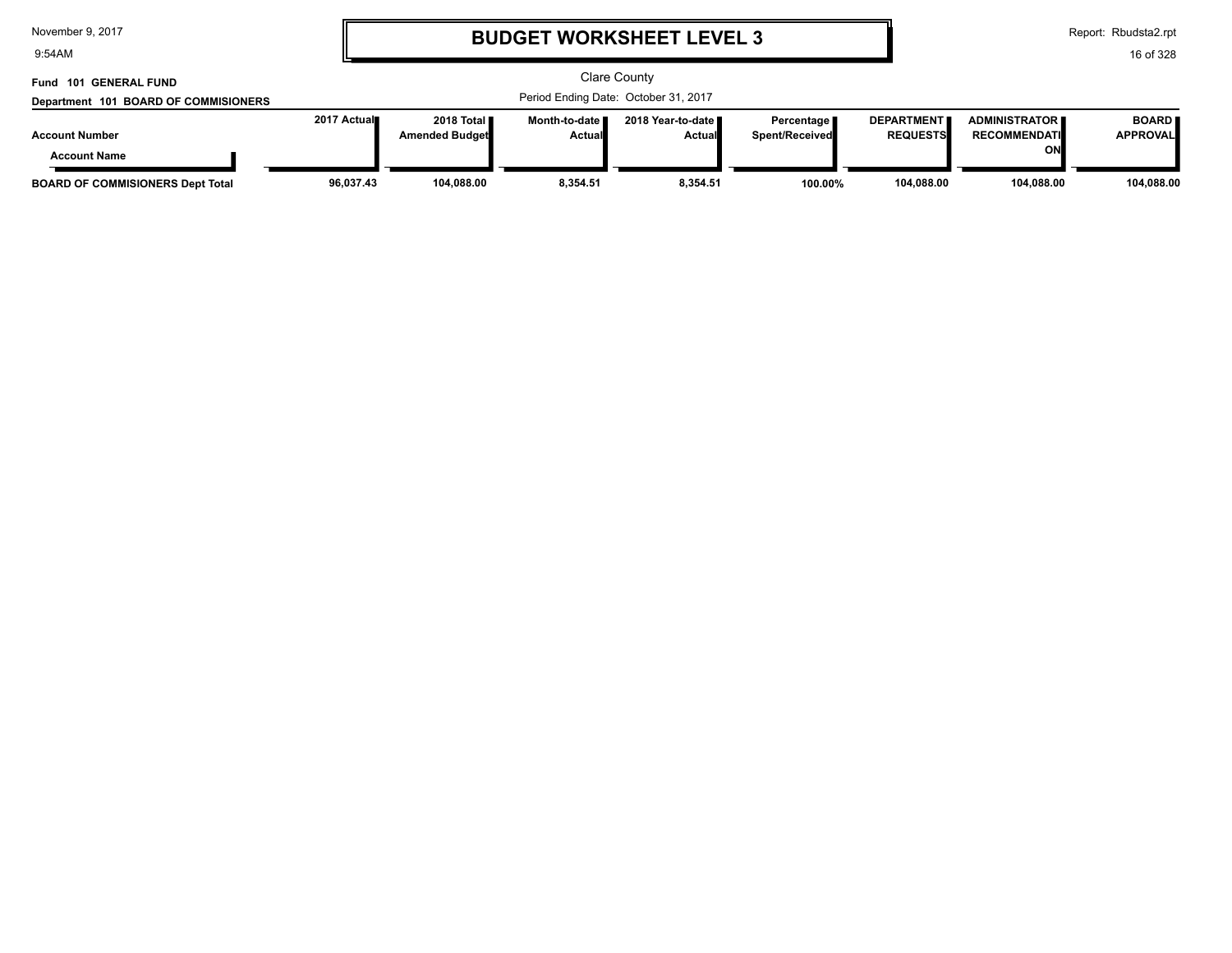9:54AM

# **BUDGET WORKSHEET LEVEL 3**

Report: Rbudsta2.rpt

| Fund 101 GENERAL FUND                   |                                      |                       |                 | <b>Clare County</b> |                |                   |                         |                 |
|-----------------------------------------|--------------------------------------|-----------------------|-----------------|---------------------|----------------|-------------------|-------------------------|-----------------|
| Department 101 BOARD OF COMMISIONERS    | Period Ending Date: October 31, 2017 |                       |                 |                     |                |                   |                         |                 |
|                                         | 2017 Actual∎                         | 2018 Total            | Month-to-date I | 2018 Year-to-date ■ | Percentage     | <b>DEPARTMENT</b> | <b>ADMINISTRATOR II</b> | <b>BOARD</b>    |
| <b>Account Number</b>                   |                                      | <b>Amended Budget</b> | Actual          | <b>Actual</b>       | Spent/Received | <b>REQUESTS</b>   | <b>RECOMMENDATI</b>     | <b>APPROVAL</b> |
| <b>Account Name</b>                     |                                      |                       |                 |                     |                |                   | ΟN                      |                 |
| <b>BOARD OF COMMISIONERS Dept Total</b> | 96,037.43                            | 104.088.00            | 8.354.51        | 8.354.51            | 100.00%        | 104,088.00        | 104.088.00              | 104,088.00      |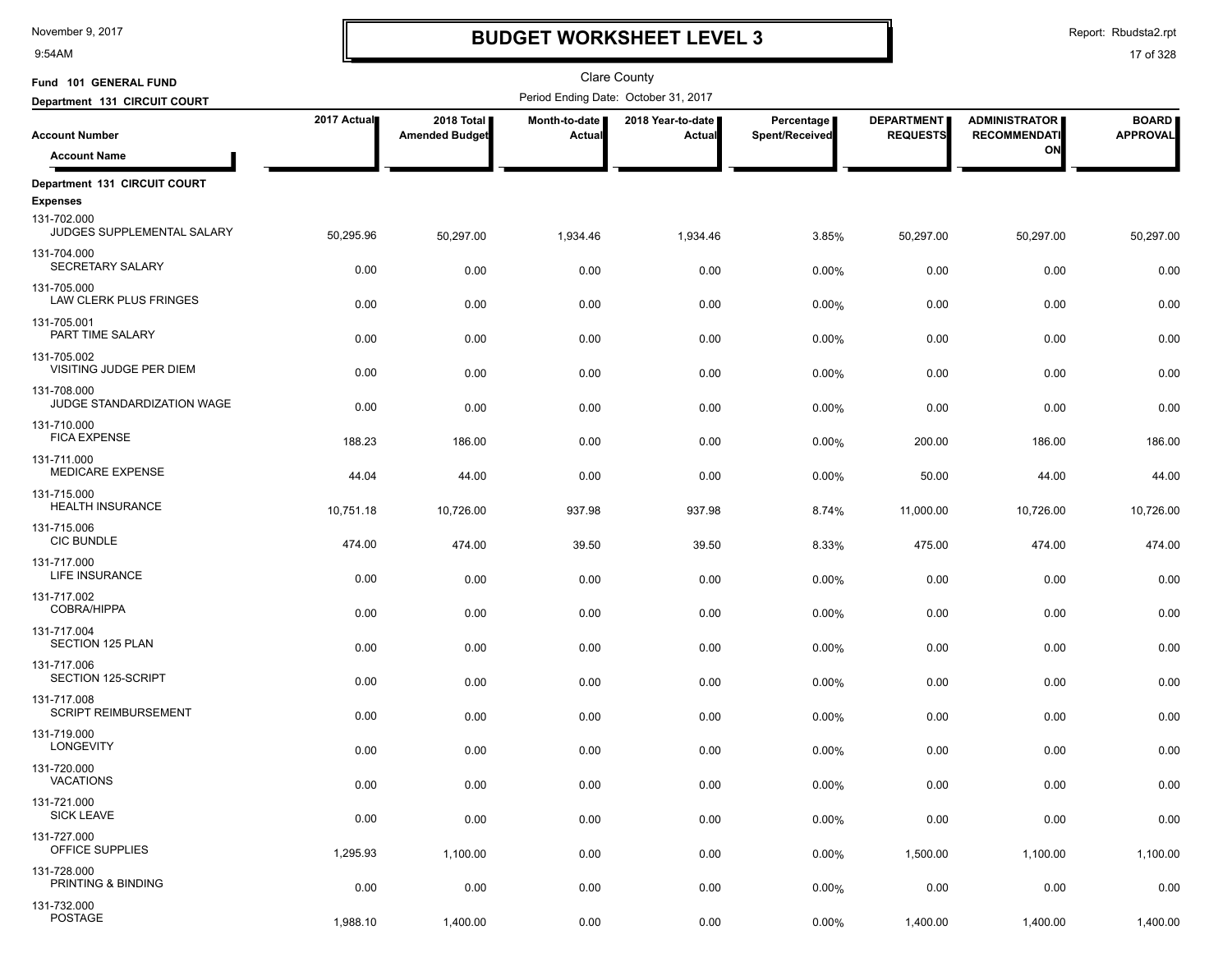9:54AM

# **BUDGET WORKSHEET LEVEL 3**

Report: Rbudsta2.rpt

| Fund 101 GENERAL FUND                                        |                  |                                     |                                | <b>Clare County</b>                  |                              |                                      |                                             |                                 |
|--------------------------------------------------------------|------------------|-------------------------------------|--------------------------------|--------------------------------------|------------------------------|--------------------------------------|---------------------------------------------|---------------------------------|
| Department 131 CIRCUIT COURT                                 |                  |                                     |                                | Period Ending Date: October 31, 2017 |                              |                                      |                                             |                                 |
| <b>Account Number</b>                                        | 2017 Actual      | 2018 Total<br><b>Amended Budget</b> | Month-to-date<br><b>Actual</b> | 2018 Year-to-date<br>Actual          | Percentage<br>Spent/Received | <b>DEPARTMENT</b><br><b>REQUESTS</b> | <b>ADMINISTRATOR</b><br><b>RECOMMENDATI</b> | <b>BOARD</b><br><b>APPROVAL</b> |
| <b>Account Name</b>                                          |                  |                                     |                                |                                      |                              |                                      | ON                                          |                                 |
| Department 131 CIRCUIT COURT                                 |                  |                                     |                                |                                      |                              |                                      |                                             |                                 |
| <b>Expenses</b><br>131-702.000<br>JUDGES SUPPLEMENTAL SALARY | 50,295.96        | 50,297.00                           | 1,934.46                       | 1,934.46                             | 3.85%                        | 50,297.00                            | 50,297.00                                   | 50,297.00                       |
| 131-704.000<br>SECRETARY SALARY                              | 0.00             | 0.00                                | 0.00                           | 0.00                                 | 0.00%                        | 0.00                                 | 0.00                                        | 0.00                            |
| 131-705.000<br>LAW CLERK PLUS FRINGES                        | 0.00             | 0.00                                | 0.00                           | 0.00                                 | 0.00%                        | 0.00                                 | 0.00                                        | 0.00                            |
| 131-705.001<br>PART TIME SALARY                              | 0.00             | 0.00                                | 0.00                           | 0.00                                 | 0.00%                        | 0.00                                 | 0.00                                        | 0.00                            |
| 131-705.002<br>VISITING JUDGE PER DIEM                       | 0.00             | 0.00                                | 0.00                           | 0.00                                 | 0.00%                        | 0.00                                 | 0.00                                        | 0.00                            |
| 131-708.000<br>JUDGE STANDARDIZATION WAGE                    | 0.00             | 0.00                                | 0.00                           | 0.00                                 | 0.00%                        | 0.00                                 | 0.00                                        | 0.00                            |
| 131-710.000<br><b>FICA EXPENSE</b><br>131-711.000            | 188.23           | 186.00                              | 0.00                           | 0.00                                 | 0.00%                        | 200.00                               | 186.00                                      | 186.00                          |
| <b>MEDICARE EXPENSE</b><br>131-715.000                       | 44.04            | 44.00                               | 0.00                           | 0.00                                 | 0.00%                        | 50.00                                | 44.00                                       | 44.00                           |
| <b>HEALTH INSURANCE</b><br>131-715.006                       | 10,751.18        | 10,726.00                           | 937.98                         | 937.98                               | 8.74%                        | 11,000.00                            | 10,726.00                                   | 10,726.00                       |
| <b>CIC BUNDLE</b><br>131-717.000                             | 474.00           | 474.00                              | 39.50                          | 39.50                                | 8.33%                        | 475.00                               | 474.00                                      | 474.00                          |
| LIFE INSURANCE<br>131-717.002                                | 0.00             | 0.00                                | 0.00                           | 0.00                                 | 0.00%                        | 0.00                                 | 0.00                                        | 0.00                            |
| <b>COBRA/HIPPA</b><br>131-717.004                            | 0.00             | 0.00                                | 0.00                           | 0.00                                 | 0.00%                        | 0.00                                 | 0.00                                        | 0.00                            |
| <b>SECTION 125 PLAN</b><br>131-717.006                       | 0.00             | 0.00                                | 0.00                           | 0.00                                 | 0.00%                        | 0.00                                 | 0.00                                        | 0.00                            |
| SECTION 125-SCRIPT<br>131-717.008                            | 0.00             | 0.00                                | 0.00                           | 0.00                                 | 0.00%                        | 0.00                                 | 0.00                                        | 0.00                            |
| <b>SCRIPT REIMBURSEMENT</b><br>131-719.000                   | 0.00             | 0.00                                | 0.00                           | 0.00                                 | 0.00%                        | 0.00                                 | 0.00                                        | 0.00                            |
| <b>LONGEVITY</b><br>131-720.000<br>VACATIONS                 | 0.00             | 0.00                                | 0.00                           | 0.00                                 | 0.00%                        | 0.00                                 | 0.00                                        | 0.00                            |
| 131-721.000<br><b>SICK LEAVE</b>                             | 0.00             | 0.00                                | 0.00                           | 0.00                                 | 0.00%                        | 0.00                                 | 0.00                                        | 0.00                            |
| 131-727.000<br>OFFICE SUPPLIES                               | 0.00             | 0.00                                | 0.00                           | 0.00                                 | 0.00%                        | 0.00                                 | 0.00                                        | 0.00                            |
| 131-728.000<br>PRINTING & BINDING                            | 1,295.93<br>0.00 | 1,100.00                            | 0.00                           | 0.00                                 | 0.00%                        | 1,500.00                             | 1,100.00                                    | 1,100.00                        |
| 131-732.000<br>POSTAGE                                       | 1,988.10         | 0.00<br>1,400.00                    | 0.00<br>0.00                   | 0.00<br>0.00                         | 0.00%<br>0.00%               | 0.00<br>1,400.00                     | 0.00<br>1,400.00                            | 0.00<br>1,400.00                |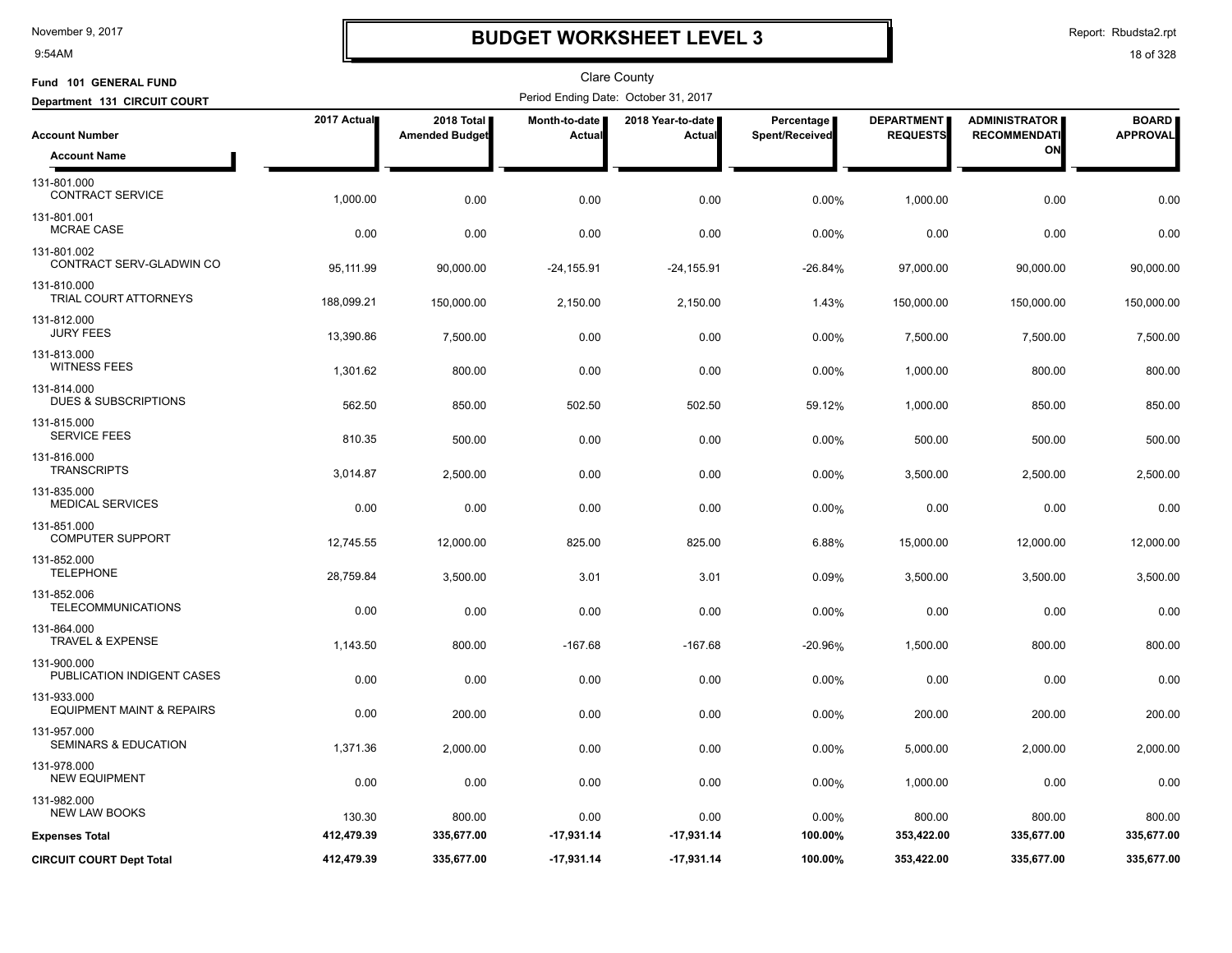9:54AM

# **BUDGET WORKSHEET LEVEL 3**

Report: Rbudsta2.rpt

| Fund 101 GENERAL FUND                               |             |                                     |                         | <b>Clare County</b>                  |                              |                                      |                                             |                                 |
|-----------------------------------------------------|-------------|-------------------------------------|-------------------------|--------------------------------------|------------------------------|--------------------------------------|---------------------------------------------|---------------------------------|
| Department 131 CIRCUIT COURT                        |             |                                     |                         | Period Ending Date: October 31, 2017 |                              |                                      |                                             |                                 |
| <b>Account Number</b>                               | 2017 Actual | 2018 Total<br><b>Amended Budget</b> | Month-to-date<br>Actual | 2018 Year-to-date<br>Actual          | Percentage<br>Spent/Received | <b>DEPARTMENT</b><br><b>REQUESTS</b> | <b>ADMINISTRATOR</b><br><b>RECOMMENDATI</b> | <b>BOARD</b><br><b>APPROVAL</b> |
| <b>Account Name</b>                                 |             |                                     |                         |                                      |                              |                                      | ON                                          |                                 |
| 131-801.000<br><b>CONTRACT SERVICE</b>              | 1,000.00    | 0.00                                | 0.00                    | 0.00                                 | 0.00%                        | 1,000.00                             | 0.00                                        | 0.00                            |
| 131-801.001<br><b>MCRAE CASE</b>                    | 0.00        | 0.00                                | 0.00                    | 0.00                                 | 0.00%                        | 0.00                                 | 0.00                                        | 0.00                            |
| 131-801.002<br>CONTRACT SERV-GLADWIN CO             | 95,111.99   | 90,000.00                           | $-24, 155.91$           | $-24, 155.91$                        | $-26.84%$                    | 97,000.00                            | 90,000.00                                   | 90,000.00                       |
| 131-810.000<br>TRIAL COURT ATTORNEYS                | 188,099.21  | 150,000.00                          | 2,150.00                | 2,150.00                             | 1.43%                        | 150,000.00                           | 150,000.00                                  | 150,000.00                      |
| 131-812.000<br><b>JURY FEES</b>                     | 13,390.86   | 7,500.00                            | 0.00                    | 0.00                                 | 0.00%                        | 7,500.00                             | 7,500.00                                    | 7,500.00                        |
| 131-813.000<br><b>WITNESS FEES</b>                  | 1,301.62    | 800.00                              | 0.00                    | 0.00                                 | 0.00%                        | 1,000.00                             | 800.00                                      | 800.00                          |
| 131-814.000<br><b>DUES &amp; SUBSCRIPTIONS</b>      | 562.50      | 850.00                              | 502.50                  | 502.50                               | 59.12%                       | 1,000.00                             | 850.00                                      | 850.00                          |
| 131-815.000<br><b>SERVICE FEES</b>                  | 810.35      | 500.00                              | 0.00                    | 0.00                                 | 0.00%                        | 500.00                               | 500.00                                      | 500.00                          |
| 131-816.000<br><b>TRANSCRIPTS</b>                   | 3,014.87    | 2,500.00                            | 0.00                    | 0.00                                 | 0.00%                        | 3,500.00                             | 2,500.00                                    | 2,500.00                        |
| 131-835.000<br><b>MEDICAL SERVICES</b>              | 0.00        | 0.00                                | 0.00                    | 0.00                                 | 0.00%                        | 0.00                                 | 0.00                                        | 0.00                            |
| 131-851.000<br><b>COMPUTER SUPPORT</b>              | 12,745.55   | 12,000.00                           | 825.00                  | 825.00                               | 6.88%                        | 15,000.00                            | 12,000.00                                   | 12,000.00                       |
| 131-852.000<br><b>TELEPHONE</b>                     | 28,759.84   | 3,500.00                            | 3.01                    | 3.01                                 | 0.09%                        | 3,500.00                             | 3,500.00                                    | 3,500.00                        |
| 131-852.006<br><b>TELECOMMUNICATIONS</b>            | 0.00        | 0.00                                | 0.00                    | 0.00                                 | 0.00%                        | 0.00                                 | 0.00                                        | 0.00                            |
| 131-864.000<br><b>TRAVEL &amp; EXPENSE</b>          | 1,143.50    | 800.00                              | $-167.68$               | $-167.68$                            | -20.96%                      | 1,500.00                             | 800.00                                      | 800.00                          |
| 131-900.000<br>PUBLICATION INDIGENT CASES           | 0.00        | 0.00                                | 0.00                    | 0.00                                 | 0.00%                        | 0.00                                 | 0.00                                        | 0.00                            |
| 131-933.000<br><b>EQUIPMENT MAINT &amp; REPAIRS</b> | 0.00        | 200.00                              | 0.00                    | 0.00                                 | 0.00%                        | 200.00                               | 200.00                                      | 200.00                          |
| 131-957.000<br><b>SEMINARS &amp; EDUCATION</b>      | 1,371.36    | 2,000.00                            | 0.00                    | 0.00                                 | 0.00%                        | 5,000.00                             | 2,000.00                                    | 2,000.00                        |
| 131-978.000<br><b>NEW EQUIPMENT</b>                 | 0.00        | 0.00                                | 0.00                    | 0.00                                 | 0.00%                        | 1,000.00                             | 0.00                                        | 0.00                            |
| 131-982.000<br><b>NEW LAW BOOKS</b>                 | 130.30      | 800.00                              | 0.00                    | 0.00                                 | 0.00%                        | 800.00                               | 800.00                                      | 800.00                          |
| <b>Expenses Total</b>                               | 412,479.39  | 335,677.00                          | $-17,931.14$            | $-17,931.14$                         | 100.00%                      | 353,422.00                           | 335,677.00                                  | 335,677.00                      |
| <b>CIRCUIT COURT Dept Total</b>                     | 412,479.39  | 335,677.00                          | $-17,931.14$            | $-17,931.14$                         | 100.00%                      | 353,422.00                           | 335,677.00                                  | 335,677.00                      |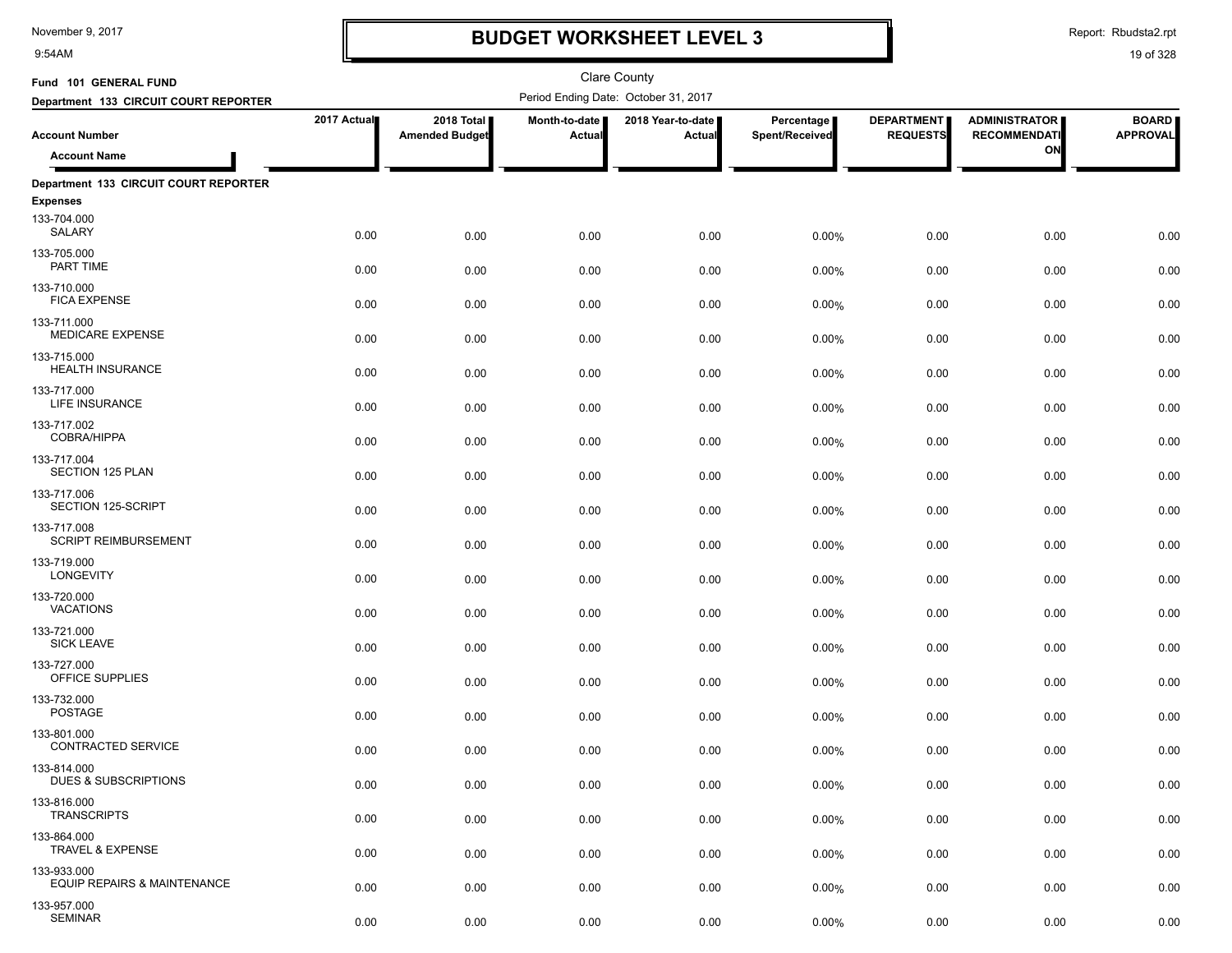9:54AM

# **BUDGET WORKSHEET LEVEL 3**

Report: Rbudsta2.rpt

| Fund 101 GENERAL FUND                                                |              |                                     |                         | <b>Clare County</b>                  |                              |                                      |                                             |                                 |
|----------------------------------------------------------------------|--------------|-------------------------------------|-------------------------|--------------------------------------|------------------------------|--------------------------------------|---------------------------------------------|---------------------------------|
| Department 133 CIRCUIT COURT REPORTER                                |              |                                     |                         | Period Ending Date: October 31, 2017 |                              |                                      |                                             |                                 |
| <b>Account Number</b>                                                | 2017 Actual  | 2018 Total<br><b>Amended Budget</b> | Month-to-date<br>Actual | 2018 Year-to-date  <br>Actual        | Percentage<br>Spent/Received | <b>DEPARTMENT</b><br><b>REQUESTS</b> | <b>ADMINISTRATOR</b><br><b>RECOMMENDATI</b> | <b>BOARD</b><br><b>APPROVAL</b> |
| <b>Account Name</b>                                                  |              |                                     |                         |                                      |                              |                                      | ON                                          |                                 |
| Department 133 CIRCUIT COURT REPORTER                                |              |                                     |                         |                                      |                              |                                      |                                             |                                 |
| <b>Expenses</b>                                                      |              |                                     |                         |                                      |                              |                                      |                                             |                                 |
| 133-704.000<br>SALARY                                                | 0.00         | 0.00                                | 0.00                    | 0.00                                 | 0.00%                        | 0.00                                 | 0.00                                        | 0.00                            |
| 133-705.000<br>PART TIME                                             | 0.00         | 0.00                                | 0.00                    | 0.00                                 | 0.00%                        | 0.00                                 | 0.00                                        | 0.00                            |
| 133-710.000<br><b>FICA EXPENSE</b>                                   | 0.00         | 0.00                                | 0.00                    | 0.00                                 | 0.00%                        | 0.00                                 | 0.00                                        | 0.00                            |
| 133-711.000<br><b>MEDICARE EXPENSE</b>                               | 0.00         | 0.00                                | 0.00                    | 0.00                                 | 0.00%                        | 0.00                                 | 0.00                                        | 0.00                            |
| 133-715.000<br><b>HEALTH INSURANCE</b><br>133-717.000                | 0.00         | 0.00                                | 0.00                    | 0.00                                 | 0.00%                        | 0.00                                 | 0.00                                        | 0.00                            |
| LIFE INSURANCE                                                       | 0.00         | 0.00                                | 0.00                    | 0.00                                 | 0.00%                        | 0.00                                 | 0.00                                        | 0.00                            |
| 133-717.002<br>COBRA/HIPPA<br>133-717.004                            | 0.00         | 0.00                                | 0.00                    | 0.00                                 | 0.00%                        | 0.00                                 | 0.00                                        | 0.00                            |
| SECTION 125 PLAN<br>133-717.006                                      | 0.00         | 0.00                                | 0.00                    | 0.00                                 | 0.00%                        | 0.00                                 | 0.00                                        | 0.00                            |
| SECTION 125-SCRIPT<br>133-717.008                                    | 0.00         | 0.00                                | 0.00                    | 0.00                                 | 0.00%                        | 0.00                                 | 0.00                                        | 0.00                            |
| <b>SCRIPT REIMBURSEMENT</b><br>133-719.000                           | 0.00         | 0.00                                | 0.00                    | 0.00                                 | 0.00%                        | 0.00                                 | 0.00                                        | 0.00                            |
| <b>LONGEVITY</b><br>133-720.000                                      | 0.00         | 0.00                                | 0.00                    | 0.00                                 | 0.00%                        | 0.00                                 | 0.00                                        | 0.00                            |
| <b>VACATIONS</b><br>133-721.000                                      | 0.00         | 0.00                                | 0.00                    | 0.00                                 | 0.00%                        | 0.00                                 | 0.00                                        | 0.00                            |
| <b>SICK LEAVE</b><br>133-727.000                                     | 0.00         | 0.00                                | 0.00                    | 0.00                                 | 0.00%                        | 0.00                                 | 0.00                                        | 0.00                            |
| OFFICE SUPPLIES<br>133-732.000                                       | 0.00         | 0.00                                | 0.00                    | 0.00                                 | 0.00%                        | 0.00                                 | 0.00                                        | 0.00                            |
| POSTAGE<br>133-801.000                                               | 0.00         | 0.00                                | 0.00                    | 0.00                                 | 0.00%                        | 0.00                                 | 0.00                                        | 0.00                            |
| CONTRACTED SERVICE<br>133-814.000<br><b>DUES &amp; SUBSCRIPTIONS</b> | 0.00         | 0.00                                | 0.00                    | 0.00                                 | 0.00%                        | 0.00                                 | 0.00                                        | 0.00                            |
| 133-816.000<br><b>TRANSCRIPTS</b>                                    | 0.00         | 0.00                                | 0.00                    | 0.00                                 | 0.00%                        | 0.00                                 | 0.00                                        | 0.00                            |
| 133-864.000<br><b>TRAVEL &amp; EXPENSE</b>                           | 0.00         | 0.00                                | 0.00                    | 0.00                                 | 0.00%                        | 0.00                                 | 0.00                                        | 0.00                            |
| 133-933.000<br>EQUIP REPAIRS & MAINTENANCE                           | 0.00<br>0.00 | 0.00<br>0.00                        | 0.00<br>0.00            | 0.00<br>0.00                         | 0.00%<br>0.00%               | 0.00<br>0.00                         | 0.00<br>0.00                                | 0.00<br>0.00                    |
| 133-957.000<br><b>SEMINAR</b>                                        | 0.00         | 0.00                                | 0.00                    | 0.00                                 | 0.00%                        | 0.00                                 | 0.00                                        | 0.00                            |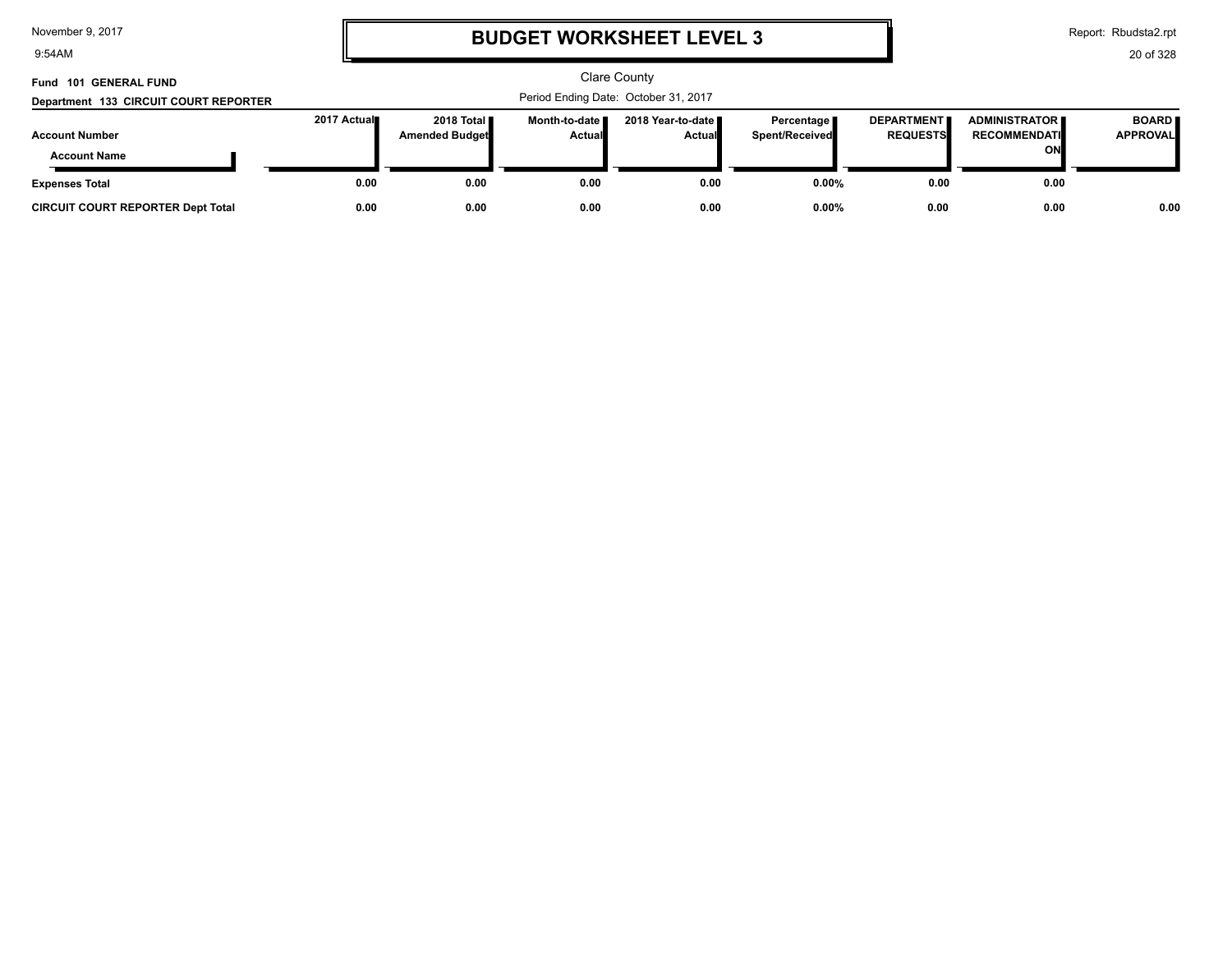9:54AM

# **BUDGET WORKSHEET LEVEL 3**

Report: Rbudsta2.rpt

| Fund 101 GENERAL FUND<br>Department 133 CIRCUIT COURT REPORTER |              | <b>Clare County</b><br>Period Ending Date: October 31, 2017 |                                  |                                      |                                |                                      |                                                     |                                 |  |
|----------------------------------------------------------------|--------------|-------------------------------------------------------------|----------------------------------|--------------------------------------|--------------------------------|--------------------------------------|-----------------------------------------------------|---------------------------------|--|
| <b>Account Number</b><br><b>Account Name</b>                   | 2017 Actual∎ | 2018 Total <b>II</b><br>Amended Budget                      | Month-to-date ■<br><b>Actual</b> | 2018 Year-to-date ∎<br><b>Actual</b> | Percentage  <br>Spent/Received | <b>DEPARTMENT</b><br><b>REQUESTS</b> | <b>ADMINISTRATOR I</b><br><b>RECOMMENDATI</b><br>ON | <b>BOARD</b><br><b>APPROVAL</b> |  |
| <b>Expenses Total</b>                                          | 0.00         | 0.00                                                        | 0.00                             | 0.00                                 | $0.00\%$                       | 0.00                                 | 0.00                                                |                                 |  |
| <b>CIRCUIT COURT REPORTER Dept Total</b>                       | 0.00         | 0.00                                                        | 0.00                             | 0.00                                 | $0.00\%$                       | 0.00                                 | 0.00                                                | 0.00                            |  |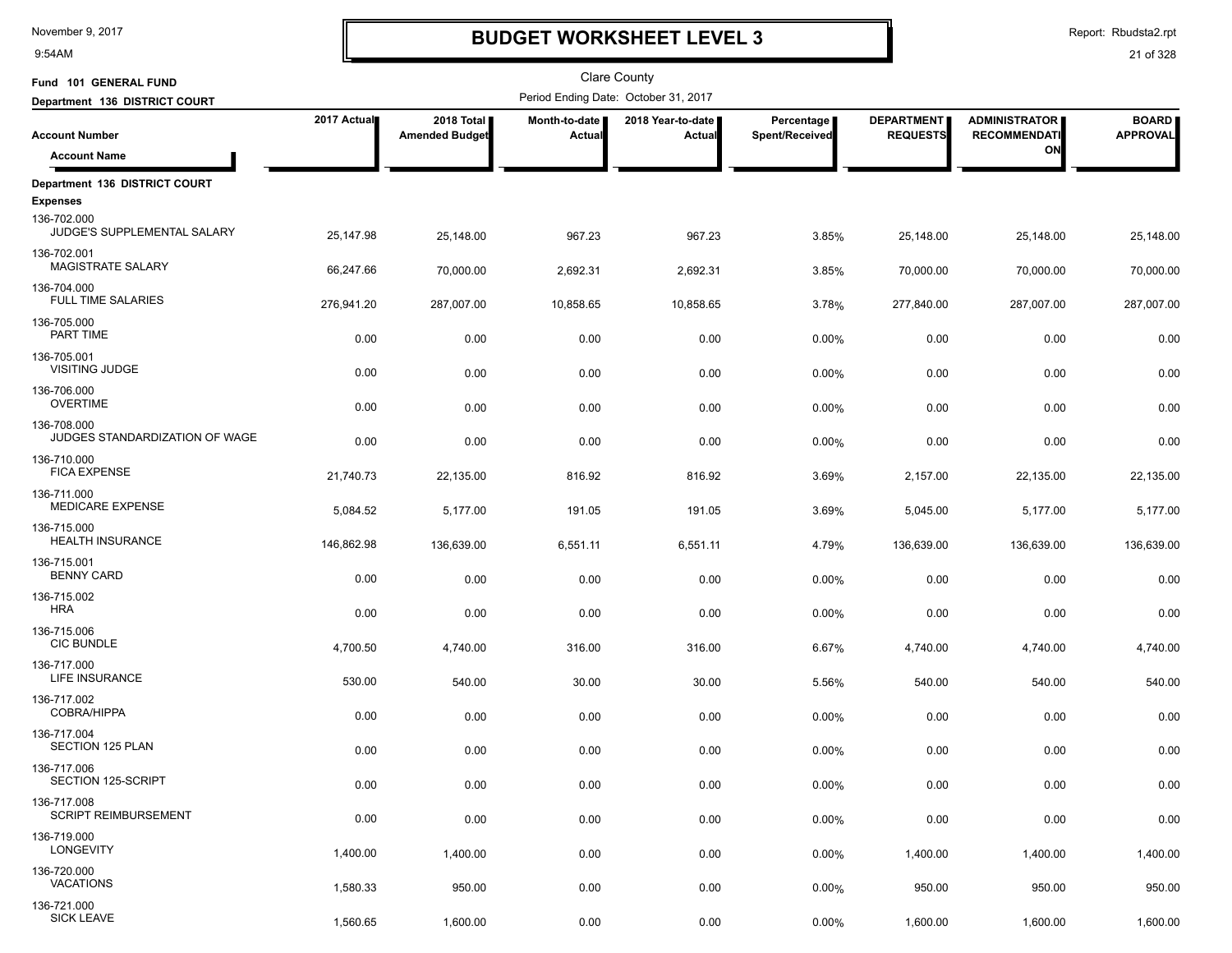9:54AM

# **BUDGET WORKSHEET LEVEL 3**

Report: Rbudsta2.rpt

| Fund 101 GENERAL FUND                                         |             |                                     |                         | Clare County                         |                              |                                      |                                             |                                 |
|---------------------------------------------------------------|-------------|-------------------------------------|-------------------------|--------------------------------------|------------------------------|--------------------------------------|---------------------------------------------|---------------------------------|
| Department 136 DISTRICT COURT                                 |             |                                     |                         | Period Ending Date: October 31, 2017 |                              |                                      |                                             |                                 |
| <b>Account Number</b>                                         | 2017 Actual | 2018 Total<br><b>Amended Budget</b> | Month-to-date<br>Actual | 2018 Year-to-date<br>Actual          | Percentage<br>Spent/Received | <b>DEPARTMENT</b><br><b>REQUESTS</b> | <b>ADMINISTRATOR</b><br><b>RECOMMENDATI</b> | <b>BOARD</b><br><b>APPROVAL</b> |
| <b>Account Name</b>                                           |             |                                     |                         |                                      |                              |                                      | ON                                          |                                 |
| Department 136 DISTRICT COURT                                 |             |                                     |                         |                                      |                              |                                      |                                             |                                 |
| <b>Expenses</b><br>136-702.000<br>JUDGE'S SUPPLEMENTAL SALARY | 25,147.98   | 25,148.00                           | 967.23                  | 967.23                               | 3.85%                        | 25,148.00                            | 25,148.00                                   | 25,148.00                       |
| 136-702.001<br>MAGISTRATE SALARY                              | 66,247.66   | 70,000.00                           | 2,692.31                | 2,692.31                             | 3.85%                        | 70,000.00                            | 70,000.00                                   | 70,000.00                       |
| 136-704.000<br><b>FULL TIME SALARIES</b>                      | 276,941.20  | 287,007.00                          | 10,858.65               | 10,858.65                            | 3.78%                        | 277,840.00                           | 287,007.00                                  | 287,007.00                      |
| 136-705.000<br>PART TIME                                      | 0.00        | 0.00                                | 0.00                    | 0.00                                 | 0.00%                        | 0.00                                 | 0.00                                        | 0.00                            |
| 136-705.001<br><b>VISITING JUDGE</b>                          | 0.00        | 0.00                                | 0.00                    | 0.00                                 | 0.00%                        | 0.00                                 | 0.00                                        | 0.00                            |
| 136-706.000<br><b>OVERTIME</b>                                | 0.00        | 0.00                                | 0.00                    | 0.00                                 | 0.00%                        | 0.00                                 | 0.00                                        | 0.00                            |
| 136-708.000<br>JUDGES STANDARDIZATION OF WAGE                 | 0.00        | 0.00                                | 0.00                    | 0.00                                 | 0.00%                        | 0.00                                 | 0.00                                        | 0.00                            |
| 136-710.000<br><b>FICA EXPENSE</b>                            | 21,740.73   | 22,135.00                           | 816.92                  | 816.92                               | 3.69%                        | 2,157.00                             | 22,135.00                                   | 22,135.00                       |
| 136-711.000<br><b>MEDICARE EXPENSE</b><br>136-715.000         | 5,084.52    | 5,177.00                            | 191.05                  | 191.05                               | 3.69%                        | 5,045.00                             | 5,177.00                                    | 5,177.00                        |
| <b>HEALTH INSURANCE</b><br>136-715.001                        | 146,862.98  | 136,639.00                          | 6,551.11                | 6,551.11                             | 4.79%                        | 136,639.00                           | 136,639.00                                  | 136,639.00                      |
| <b>BENNY CARD</b><br>136-715.002                              | 0.00        | 0.00                                | 0.00                    | 0.00                                 | 0.00%                        | 0.00                                 | 0.00                                        | 0.00                            |
| <b>HRA</b><br>136-715.006                                     | 0.00        | 0.00                                | 0.00                    | 0.00                                 | 0.00%                        | 0.00                                 | 0.00                                        | 0.00                            |
| <b>CIC BUNDLE</b><br>136-717.000                              | 4,700.50    | 4,740.00                            | 316.00                  | 316.00                               | 6.67%                        | 4,740.00                             | 4,740.00                                    | 4,740.00                        |
| LIFE INSURANCE<br>136-717.002                                 | 530.00      | 540.00                              | 30.00                   | 30.00                                | 5.56%                        | 540.00                               | 540.00                                      | 540.00                          |
| COBRA/HIPPA<br>136-717.004                                    | 0.00        | 0.00                                | 0.00                    | 0.00                                 | 0.00%                        | 0.00                                 | 0.00                                        | 0.00                            |
| <b>SECTION 125 PLAN</b><br>136-717.006                        | 0.00        | 0.00                                | 0.00                    | 0.00                                 | 0.00%                        | 0.00                                 | 0.00                                        | 0.00                            |
| SECTION 125-SCRIPT<br>136-717.008                             | 0.00        | 0.00                                | 0.00                    | 0.00                                 | 0.00%                        | 0.00                                 | 0.00                                        | 0.00                            |
| <b>SCRIPT REIMBURSEMENT</b><br>136-719.000                    | 0.00        | 0.00                                | 0.00                    | 0.00                                 | 0.00%                        | 0.00                                 | 0.00                                        | 0.00                            |
| <b>LONGEVITY</b><br>136-720.000                               | 1,400.00    | 1,400.00                            | 0.00                    | 0.00                                 | 0.00%                        | 1,400.00                             | 1,400.00                                    | 1,400.00                        |
| <b>VACATIONS</b><br>136-721.000                               | 1,580.33    | 950.00                              | 0.00                    | 0.00                                 | 0.00%                        | 950.00                               | 950.00                                      | 950.00                          |
| <b>SICK LEAVE</b>                                             | 1,560.65    | 1,600.00                            | 0.00                    | 0.00                                 | 0.00%                        | 1,600.00                             | 1,600.00                                    | 1,600.00                        |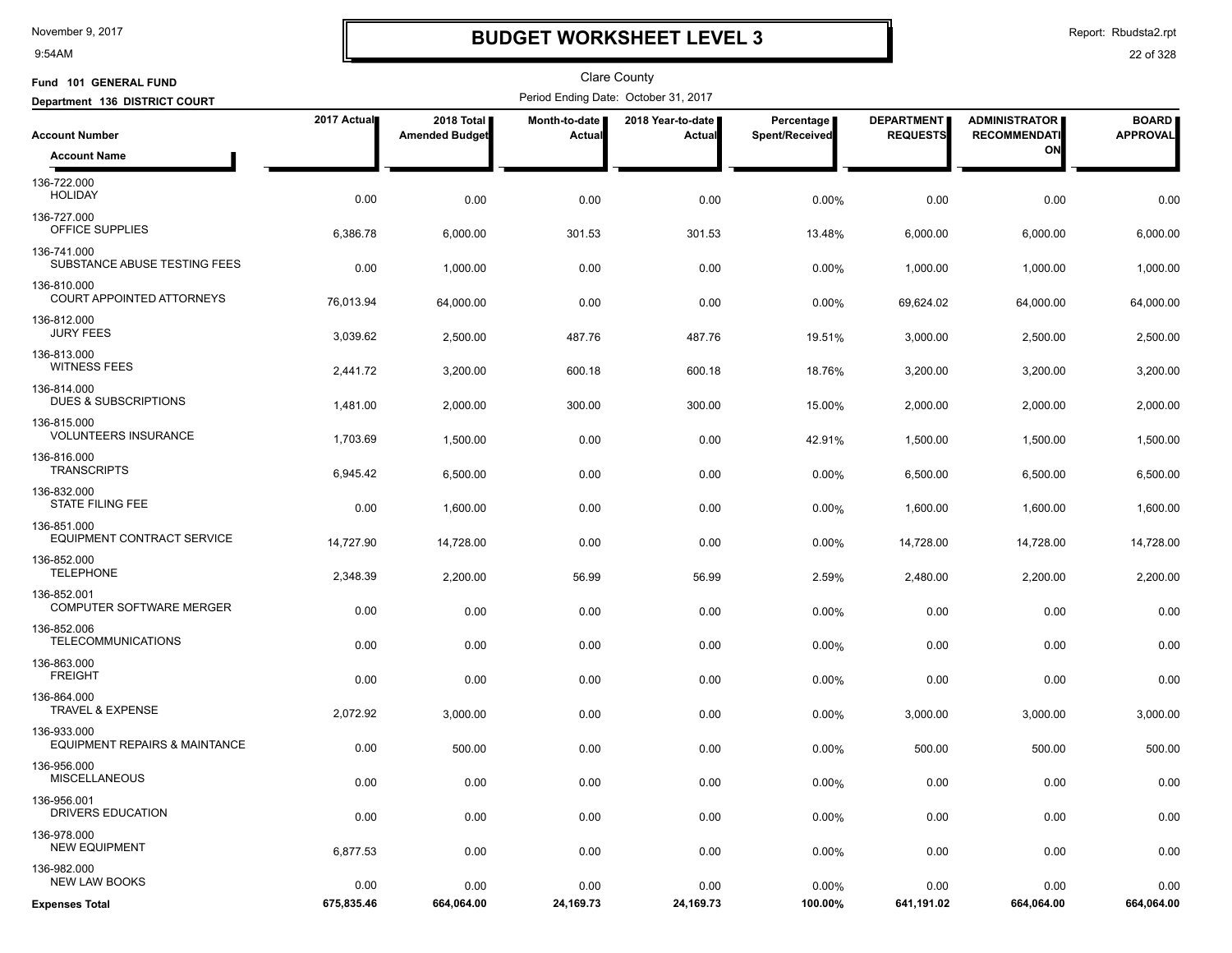9:54AM

# **BUDGET WORKSHEET LEVEL 3**

Report: Rbudsta2.rpt

| Fund 101 GENERAL FUND                                   |             |                                     |                         | <b>Clare County</b>                  |                                     |                                      |                                             |                                 |
|---------------------------------------------------------|-------------|-------------------------------------|-------------------------|--------------------------------------|-------------------------------------|--------------------------------------|---------------------------------------------|---------------------------------|
| Department 136 DISTRICT COURT                           |             |                                     |                         | Period Ending Date: October 31, 2017 |                                     |                                      |                                             |                                 |
| <b>Account Number</b>                                   | 2017 Actual | 2018 Total<br><b>Amended Budget</b> | Month-to-date<br>Actual | 2018 Year-to-date<br>Actual          | <b>Percentage</b><br>Spent/Received | <b>DEPARTMENT</b><br><b>REQUESTS</b> | <b>ADMINISTRATOR</b><br><b>RECOMMENDATI</b> | <b>BOARD</b><br><b>APPROVAL</b> |
| <b>Account Name</b>                                     |             |                                     |                         |                                      |                                     |                                      | ON                                          |                                 |
| 136-722.000<br><b>HOLIDAY</b>                           | 0.00        | 0.00                                | 0.00                    | 0.00                                 | 0.00%                               | 0.00                                 | 0.00                                        | 0.00                            |
| 136-727.000<br>OFFICE SUPPLIES                          | 6,386.78    | 6,000.00                            | 301.53                  | 301.53                               | 13.48%                              | 6,000.00                             | 6,000.00                                    | 6,000.00                        |
| 136-741.000<br>SUBSTANCE ABUSE TESTING FEES             | 0.00        | 1,000.00                            | 0.00                    | 0.00                                 | 0.00%                               | 1,000.00                             | 1,000.00                                    | 1,000.00                        |
| 136-810.000<br>COURT APPOINTED ATTORNEYS                | 76,013.94   | 64,000.00                           | 0.00                    | 0.00                                 | $0.00\%$                            | 69,624.02                            | 64,000.00                                   | 64,000.00                       |
| 136-812.000<br><b>JURY FEES</b>                         | 3,039.62    | 2,500.00                            | 487.76                  | 487.76                               | 19.51%                              | 3,000.00                             | 2,500.00                                    | 2,500.00                        |
| 136-813.000<br><b>WITNESS FEES</b>                      | 2,441.72    | 3,200.00                            | 600.18                  | 600.18                               | 18.76%                              | 3,200.00                             | 3,200.00                                    | 3,200.00                        |
| 136-814.000<br>DUES & SUBSCRIPTIONS                     | 1,481.00    | 2,000.00                            | 300.00                  | 300.00                               | 15.00%                              | 2,000.00                             | 2,000.00                                    | 2,000.00                        |
| 136-815.000<br><b>VOLUNTEERS INSURANCE</b>              | 1,703.69    | 1,500.00                            | 0.00                    | 0.00                                 | 42.91%                              | 1,500.00                             | 1,500.00                                    | 1,500.00                        |
| 136-816.000<br><b>TRANSCRIPTS</b>                       | 6,945.42    | 6,500.00                            | 0.00                    | 0.00                                 | 0.00%                               | 6,500.00                             | 6,500.00                                    | 6,500.00                        |
| 136-832.000<br><b>STATE FILING FEE</b>                  | 0.00        | 1,600.00                            | 0.00                    | 0.00                                 | 0.00%                               | 1,600.00                             | 1,600.00                                    | 1,600.00                        |
| 136-851.000<br>EQUIPMENT CONTRACT SERVICE               | 14,727.90   | 14,728.00                           | 0.00                    | 0.00                                 | 0.00%                               | 14,728.00                            | 14,728.00                                   | 14,728.00                       |
| 136-852.000<br><b>TELEPHONE</b>                         | 2,348.39    | 2,200.00                            | 56.99                   | 56.99                                | 2.59%                               | 2,480.00                             | 2,200.00                                    | 2,200.00                        |
| 136-852.001<br><b>COMPUTER SOFTWARE MERGER</b>          | 0.00        | 0.00                                | 0.00                    | 0.00                                 | 0.00%                               | 0.00                                 | 0.00                                        | 0.00                            |
| 136-852.006<br><b>TELECOMMUNICATIONS</b>                | 0.00        | 0.00                                | 0.00                    | 0.00                                 | 0.00%                               | 0.00                                 | 0.00                                        | 0.00                            |
| 136-863.000<br><b>FREIGHT</b>                           | 0.00        | 0.00                                | 0.00                    | 0.00                                 | 0.00%                               | 0.00                                 | 0.00                                        | 0.00                            |
| 136-864.000<br><b>TRAVEL &amp; EXPENSE</b>              | 2,072.92    | 3,000.00                            | 0.00                    | 0.00                                 | $0.00\%$                            | 3,000.00                             | 3,000.00                                    | 3,000.00                        |
| 136-933.000<br><b>EQUIPMENT REPAIRS &amp; MAINTANCE</b> | 0.00        | 500.00                              | 0.00                    | 0.00                                 | $0.00\%$                            | 500.00                               | 500.00                                      | 500.00                          |
| 136-956.000<br><b>MISCELLANEOUS</b>                     | 0.00        | 0.00                                | 0.00                    | 0.00                                 | 0.00%                               | 0.00                                 | 0.00                                        | 0.00                            |
| 136-956.001<br>DRIVERS EDUCATION                        | 0.00        | 0.00                                | 0.00                    | 0.00                                 | 0.00%                               | 0.00                                 | 0.00                                        | 0.00                            |
| 136-978.000<br><b>NEW EQUIPMENT</b>                     | 6,877.53    | 0.00                                | 0.00                    | 0.00                                 | $0.00\%$                            | 0.00                                 | 0.00                                        | 0.00                            |
| 136-982.000<br><b>NEW LAW BOOKS</b>                     | 0.00        | 0.00                                | 0.00                    | 0.00                                 | 0.00%                               | 0.00                                 | 0.00                                        | 0.00                            |
| <b>Expenses Total</b>                                   | 675,835.46  | 664,064.00                          | 24,169.73               | 24,169.73                            | 100.00%                             | 641,191.02                           | 664,064.00                                  | 664,064.00                      |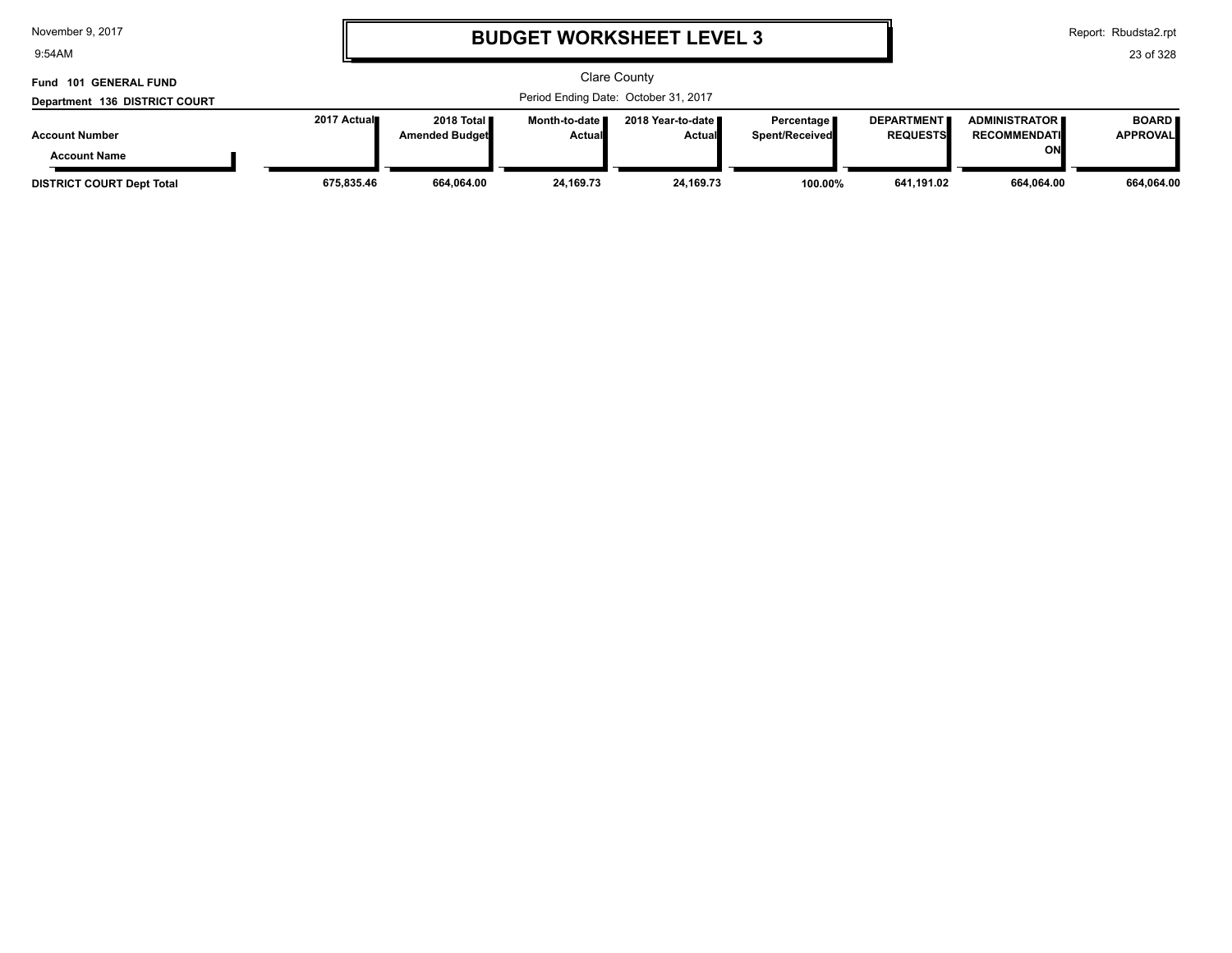9:54AM

# **BUDGET WORKSHEET LEVEL 3**

Report: Rbudsta2.rpt

| Fund 101 GENERAL FUND            |             |                                              |                                  | <b>Clare County</b>                   |                                |                                      |                                                |                                 |
|----------------------------------|-------------|----------------------------------------------|----------------------------------|---------------------------------------|--------------------------------|--------------------------------------|------------------------------------------------|---------------------------------|
| Department 136 DISTRICT COURT    |             |                                              |                                  | Period Ending Date: October 31, 2017  |                                |                                      |                                                |                                 |
| <b>Account Number</b>            | 2017 Actual | 2018 Total <b>I</b><br><b>Amended Budget</b> | Month-to-date ■<br><b>Actual</b> | 2018 Year-to-date II<br><b>Actual</b> | Percentage I<br>Spent/Received | <b>DEPARTMENT</b><br><b>REQUESTS</b> | <b>ADMINISTRATOR II</b><br><b>RECOMMENDATI</b> | <b>BOARD</b><br><b>APPROVAL</b> |
| <b>Account Name</b>              |             |                                              |                                  |                                       |                                |                                      | ΟN                                             |                                 |
| <b>DISTRICT COURT Dept Total</b> | 675,835.46  | 664,064.00                                   | 24,169.73                        | 24,169.73                             | 100.00%                        | 641,191.02                           | 664,064.00                                     | 664,064.00                      |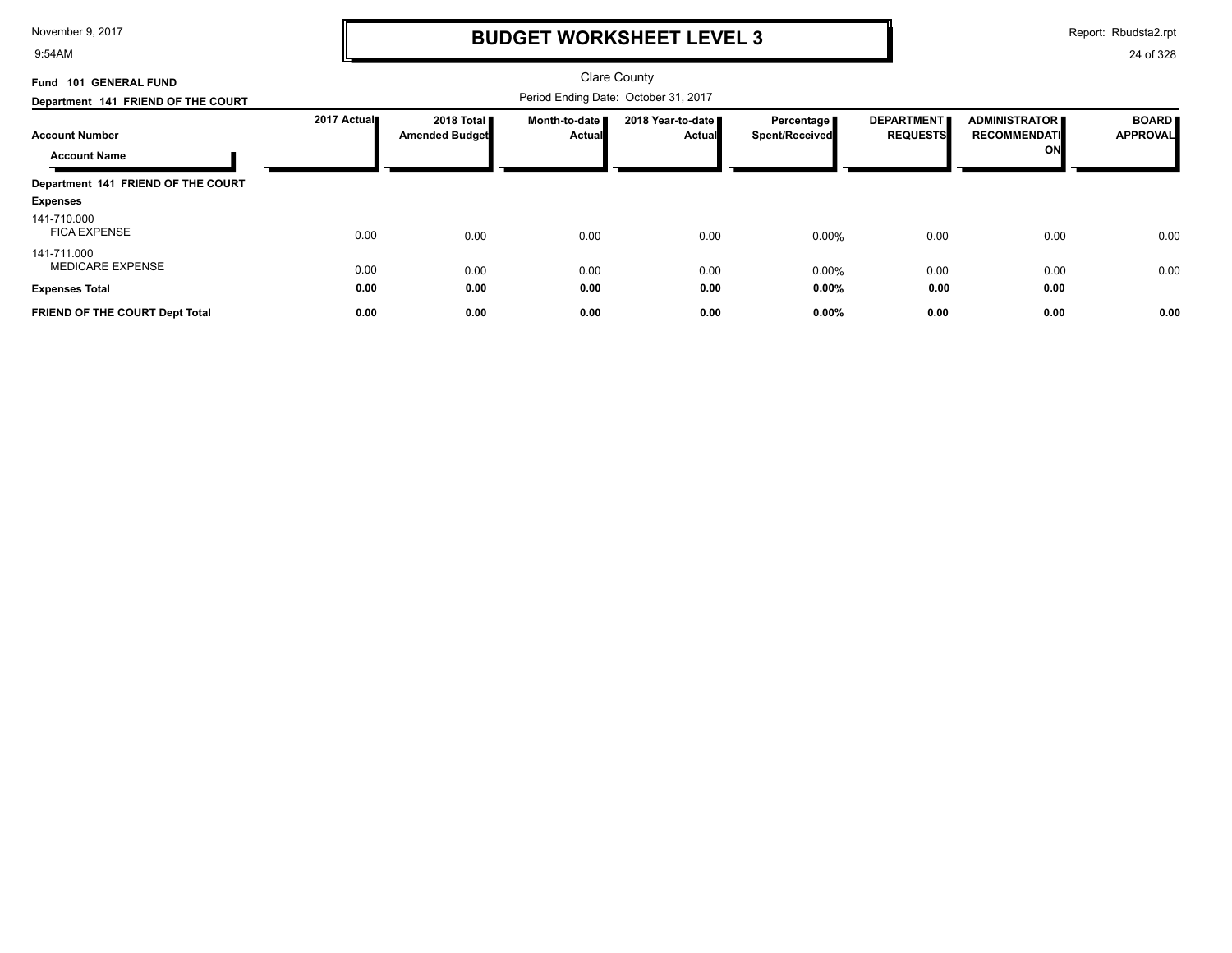9:54AM

# **BUDGET WORKSHEET LEVEL 3**

Report: Rbudsta2.rpt

| Fund 101 GENERAL FUND                        |             |                                               |                                | Clare County                         |                              |                                      |                                            |                                 |
|----------------------------------------------|-------------|-----------------------------------------------|--------------------------------|--------------------------------------|------------------------------|--------------------------------------|--------------------------------------------|---------------------------------|
| Department 141 FRIEND OF THE COURT           |             |                                               |                                | Period Ending Date: October 31, 2017 |                              |                                      |                                            |                                 |
| <b>Account Number</b><br><b>Account Name</b> | 2017 Actual | 2018 Total <b>II</b><br><b>Amended Budget</b> | Month-to-date<br><b>Actual</b> | 2018 Year-to-date ■<br><b>Actual</b> | Percentage<br>Spent/Received | <b>DEPARTMENT</b><br><b>REQUESTS</b> | ADMINISTRATOR<br><b>RECOMMENDATI</b><br>ON | <b>BOARD</b><br><b>APPROVAL</b> |
| Department 141 FRIEND OF THE COURT           |             |                                               |                                |                                      |                              |                                      |                                            |                                 |
| <b>Expenses</b>                              |             |                                               |                                |                                      |                              |                                      |                                            |                                 |
| 141-710.000<br><b>FICA EXPENSE</b>           | 0.00        | 0.00                                          | 0.00                           | 0.00                                 | 0.00%                        | 0.00                                 | 0.00                                       | 0.00                            |
| 141-711.000<br><b>MEDICARE EXPENSE</b>       | 0.00        | 0.00                                          | 0.00                           | 0.00                                 | 0.00%                        | 0.00                                 | 0.00                                       | 0.00                            |
| <b>Expenses Total</b>                        | 0.00        | 0.00                                          | 0.00                           | 0.00                                 | $0.00\%$                     | 0.00                                 | 0.00                                       |                                 |
| FRIEND OF THE COURT Dept Total               | 0.00        | 0.00                                          | 0.00                           | 0.00                                 | 0.00%                        | 0.00                                 | 0.00                                       | 0.00                            |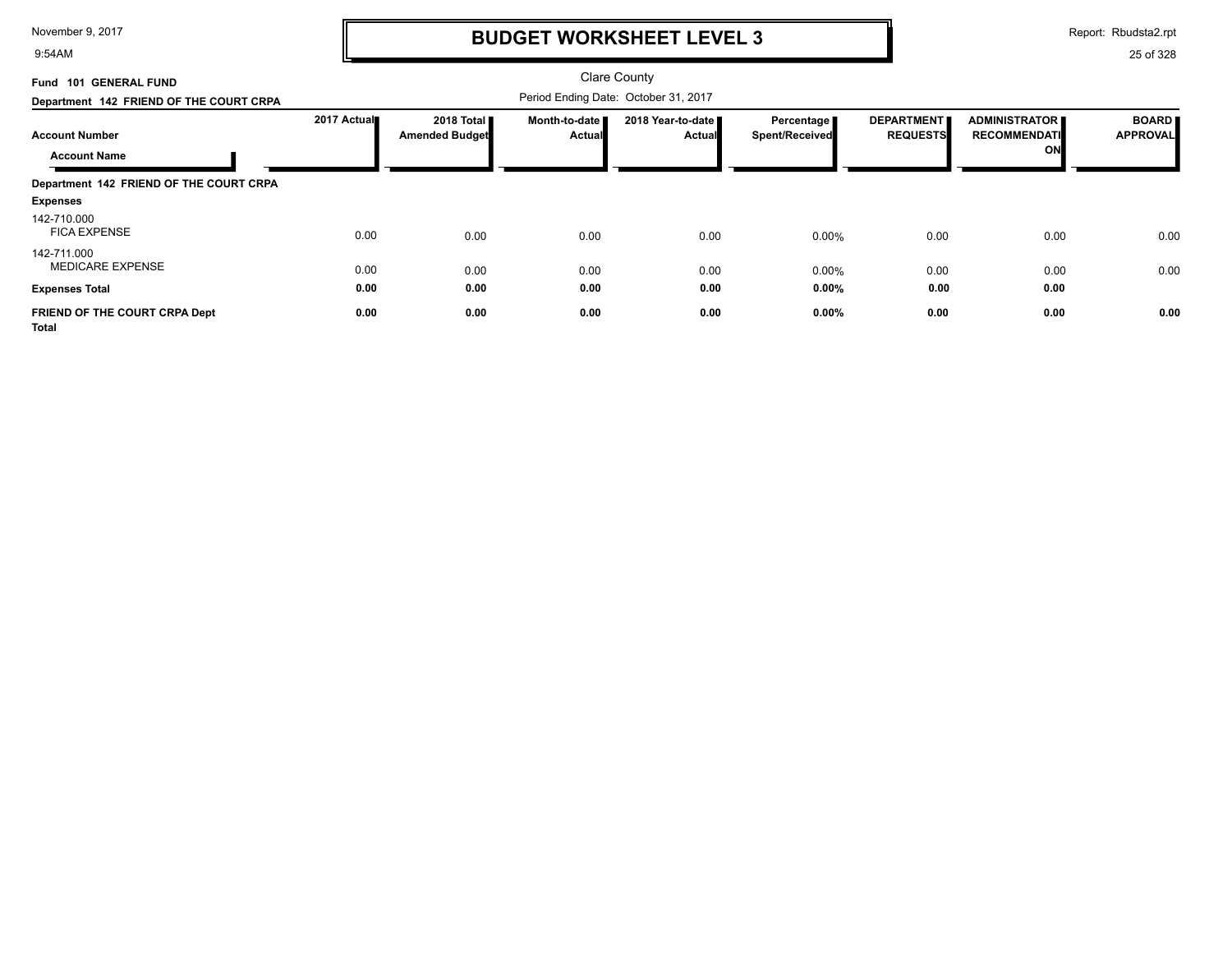9:54AM

# **BUDGET WORKSHEET LEVEL 3**

Report: Rbudsta2.rpt

| Fund 101 GENERAL FUND                         |             |                                       |                                      | <b>Clare County</b>         |                                     |                                      |                                                   |                                 |
|-----------------------------------------------|-------------|---------------------------------------|--------------------------------------|-----------------------------|-------------------------------------|--------------------------------------|---------------------------------------------------|---------------------------------|
| Department 142 FRIEND OF THE COURT CRPA       |             |                                       | Period Ending Date: October 31, 2017 |                             |                                     |                                      |                                                   |                                 |
| <b>Account Number</b><br><b>Account Name</b>  | 2017 Actual | 2018 Total ■<br><b>Amended Budget</b> | Month-to-date<br><b>Actual</b>       | 2018 Year-to-date<br>Actual | Percentage<br><b>Spent/Received</b> | <b>DEPARTMENT</b><br><b>REQUESTS</b> | <b>ADMINISTRATOR</b><br><b>RECOMMENDATI</b><br>ON | <b>BOARD</b><br><b>APPROVAL</b> |
| Department 142 FRIEND OF THE COURT CRPA       |             |                                       |                                      |                             |                                     |                                      |                                                   |                                 |
| <b>Expenses</b>                               |             |                                       |                                      |                             |                                     |                                      |                                                   |                                 |
| 142-710.000<br><b>FICA EXPENSE</b>            | 0.00        | 0.00                                  | 0.00                                 | 0.00                        | $0.00\%$                            | 0.00                                 | 0.00                                              | 0.00                            |
| 142-711.000<br><b>MEDICARE EXPENSE</b>        | 0.00        | 0.00                                  | 0.00                                 | 0.00                        | $0.00\%$                            | 0.00                                 | 0.00                                              | 0.00                            |
| <b>Expenses Total</b>                         | 0.00        | 0.00                                  | 0.00                                 | 0.00                        | $0.00\%$                            | 0.00                                 | 0.00                                              |                                 |
| FRIEND OF THE COURT CRPA Dept<br><b>Total</b> | 0.00        | 0.00                                  | 0.00                                 | 0.00                        | $0.00\%$                            | 0.00                                 | 0.00                                              | 0.00                            |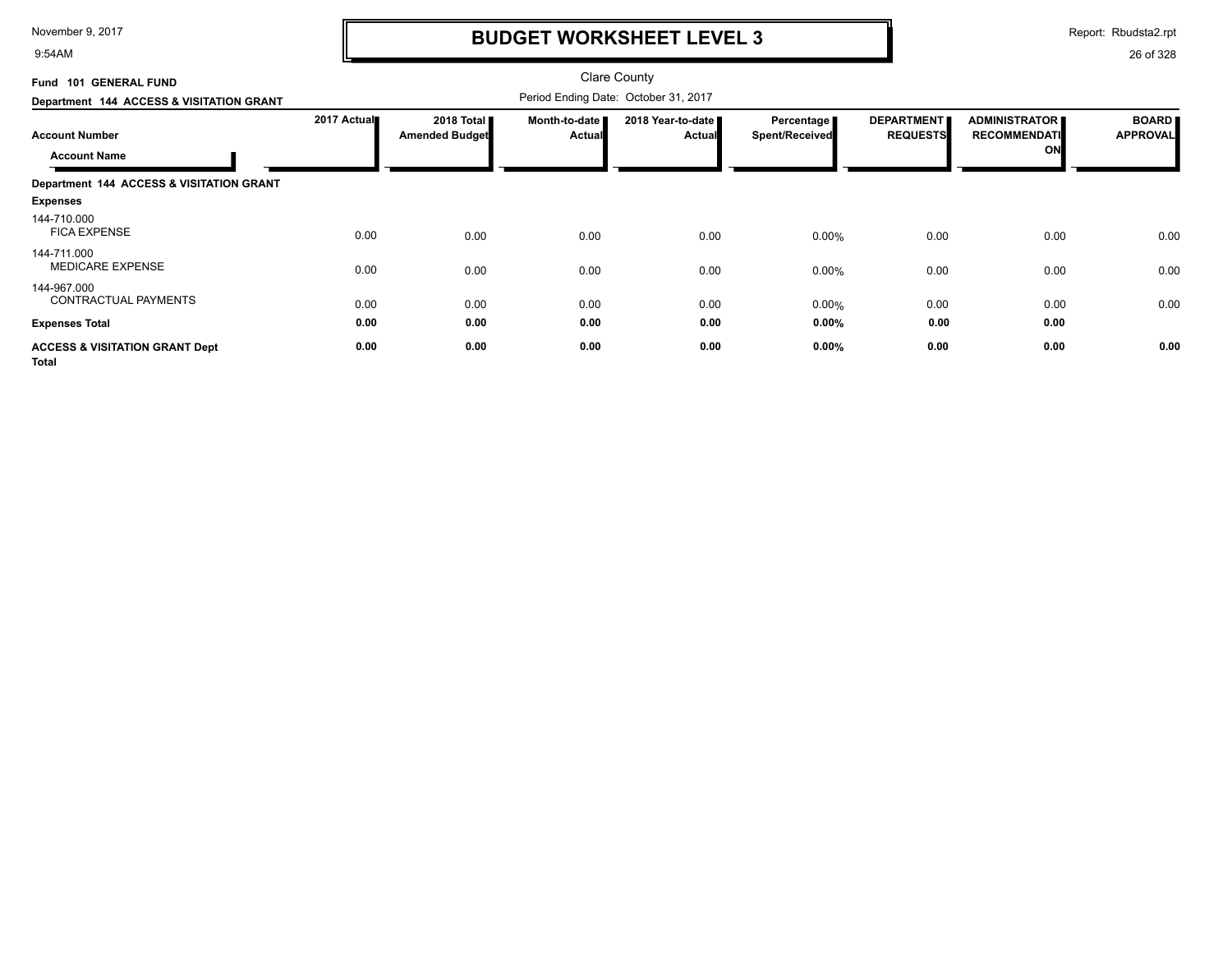9:54AM

# **BUDGET WORKSHEET LEVEL 3**

Report: Rbudsta2.rpt

| Fund 101 GENERAL FUND<br>Department 144 ACCESS & VISITATION GRANT |             |                              |                                | <b>Clare County</b><br>Period Ending Date: October 31, 2017 |                                     |                                      |                                                   |                                 |
|-------------------------------------------------------------------|-------------|------------------------------|--------------------------------|-------------------------------------------------------------|-------------------------------------|--------------------------------------|---------------------------------------------------|---------------------------------|
| <b>Account Number</b><br><b>Account Name</b>                      | 2017 Actual | 2018 Total<br>Amended Budget | Month-to-date<br><b>Actual</b> | 2018 Year-to-date<br><b>Actual</b>                          | <b>Percentage</b><br>Spent/Received | <b>DEPARTMENT</b><br><b>REQUESTS</b> | <b>ADMINISTRATOR</b><br><b>RECOMMENDATI</b><br>ON | <b>BOARD</b><br><b>APPROVAL</b> |
| Department 144 ACCESS & VISITATION GRANT                          |             |                              |                                |                                                             |                                     |                                      |                                                   |                                 |
| <b>Expenses</b>                                                   |             |                              |                                |                                                             |                                     |                                      |                                                   |                                 |
| 144-710.000<br><b>FICA EXPENSE</b>                                | 0.00        | 0.00                         | 0.00                           | 0.00                                                        | $0.00\%$                            | 0.00                                 | 0.00                                              | 0.00                            |
| 144-711.000<br><b>MEDICARE EXPENSE</b>                            | 0.00        | 0.00                         | 0.00                           | 0.00                                                        | $0.00\%$                            | 0.00                                 | 0.00                                              | 0.00                            |
| 144-967.000<br>CONTRACTUAL PAYMENTS                               | 0.00        | 0.00                         | 0.00                           | 0.00                                                        | $0.00\%$                            | 0.00                                 | 0.00                                              | 0.00                            |
| <b>Expenses Total</b>                                             | 0.00        | 0.00                         | 0.00                           | 0.00                                                        | $0.00\%$                            | 0.00                                 | 0.00                                              |                                 |
| <b>ACCESS &amp; VISITATION GRANT Dept</b><br><b>Total</b>         | 0.00        | 0.00                         | 0.00                           | 0.00                                                        | 0.00%                               | 0.00                                 | 0.00                                              | 0.00                            |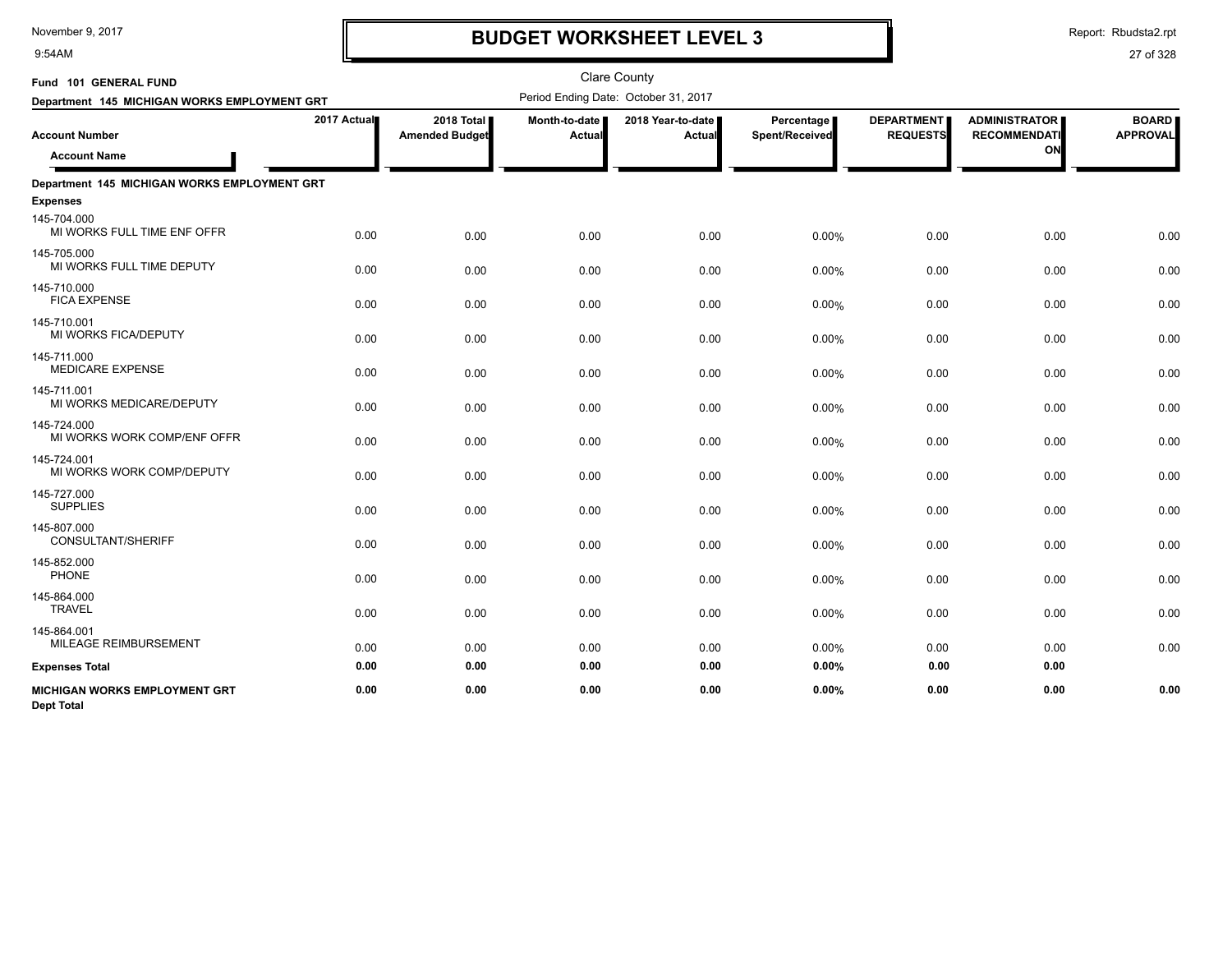9:54AM

# **BUDGET WORKSHEET LEVEL 3**

| Fund 101 GENERAL FUND                                     |             |                                     |                         | <b>Clare County</b>                  |                              |                                      |                                                   |                                 |
|-----------------------------------------------------------|-------------|-------------------------------------|-------------------------|--------------------------------------|------------------------------|--------------------------------------|---------------------------------------------------|---------------------------------|
| Department 145 MICHIGAN WORKS EMPLOYMENT GRT              |             |                                     |                         | Period Ending Date: October 31, 2017 |                              |                                      |                                                   |                                 |
| <b>Account Number</b><br><b>Account Name</b>              | 2017 Actual | 2018 Total<br><b>Amended Budget</b> | Month-to-date<br>Actual | 2018 Year-to-date<br>Actual          | Percentage<br>Spent/Received | <b>DEPARTMENT</b><br><b>REQUESTS</b> | <b>ADMINISTRATOR</b><br><b>RECOMMENDATI</b><br>ON | <b>BOARD</b><br><b>APPROVAL</b> |
| Department 145 MICHIGAN WORKS EMPLOYMENT GRT              |             |                                     |                         |                                      |                              |                                      |                                                   |                                 |
| <b>Expenses</b>                                           |             |                                     |                         |                                      |                              |                                      |                                                   |                                 |
| 145-704.000<br>MI WORKS FULL TIME ENF OFFR                | 0.00        | 0.00                                | 0.00                    | 0.00                                 | 0.00%                        | 0.00                                 | 0.00                                              | 0.00                            |
| 145-705.000<br>MI WORKS FULL TIME DEPUTY                  | 0.00        | 0.00                                | 0.00                    | 0.00                                 | 0.00%                        | 0.00                                 | 0.00                                              | 0.00                            |
| 145-710.000<br><b>FICA EXPENSE</b>                        | 0.00        | 0.00                                | 0.00                    | 0.00                                 | 0.00%                        | 0.00                                 | 0.00                                              | 0.00                            |
| 145-710.001<br>MI WORKS FICA/DEPUTY                       | 0.00        | 0.00                                | 0.00                    | 0.00                                 | 0.00%                        | 0.00                                 | 0.00                                              | 0.00                            |
| 145-711.000<br><b>MEDICARE EXPENSE</b>                    | 0.00        | 0.00                                | 0.00                    | 0.00                                 | 0.00%                        | 0.00                                 | 0.00                                              | 0.00                            |
| 145-711.001<br>MI WORKS MEDICARE/DEPUTY                   | 0.00        | 0.00                                | 0.00                    | 0.00                                 | 0.00%                        | 0.00                                 | 0.00                                              | 0.00                            |
| 145-724.000<br>MI WORKS WORK COMP/ENF OFFR                | 0.00        | 0.00                                | 0.00                    | 0.00                                 | 0.00%                        | 0.00                                 | 0.00                                              | 0.00                            |
| 145-724.001<br>MI WORKS WORK COMP/DEPUTY                  | 0.00        | 0.00                                | 0.00                    | 0.00                                 | 0.00%                        | 0.00                                 | 0.00                                              | 0.00                            |
| 145-727.000<br><b>SUPPLIES</b>                            | 0.00        | 0.00                                | 0.00                    | 0.00                                 | 0.00%                        | 0.00                                 | 0.00                                              | 0.00                            |
| 145-807.000<br><b>CONSULTANT/SHERIFF</b>                  | 0.00        | 0.00                                | 0.00                    | 0.00                                 | 0.00%                        | 0.00                                 | 0.00                                              | 0.00                            |
| 145-852.000<br>PHONE                                      | 0.00        | 0.00                                | 0.00                    | 0.00                                 | 0.00%                        | 0.00                                 | 0.00                                              | 0.00                            |
| 145-864.000<br><b>TRAVEL</b>                              | 0.00        | 0.00                                | 0.00                    | 0.00                                 | 0.00%                        | 0.00                                 | 0.00                                              | 0.00                            |
| 145-864.001<br>MILEAGE REIMBURSEMENT                      | 0.00        | 0.00                                | 0.00                    | 0.00                                 | 0.00%                        | 0.00                                 | 0.00                                              | 0.00                            |
| <b>Expenses Total</b>                                     | 0.00        | 0.00                                | 0.00                    | 0.00                                 | 0.00%                        | 0.00                                 | 0.00                                              |                                 |
| <b>MICHIGAN WORKS EMPLOYMENT GRT</b><br><b>Dept Total</b> | 0.00        | 0.00                                | 0.00                    | 0.00                                 | 0.00%                        | 0.00                                 | 0.00                                              | 0.00                            |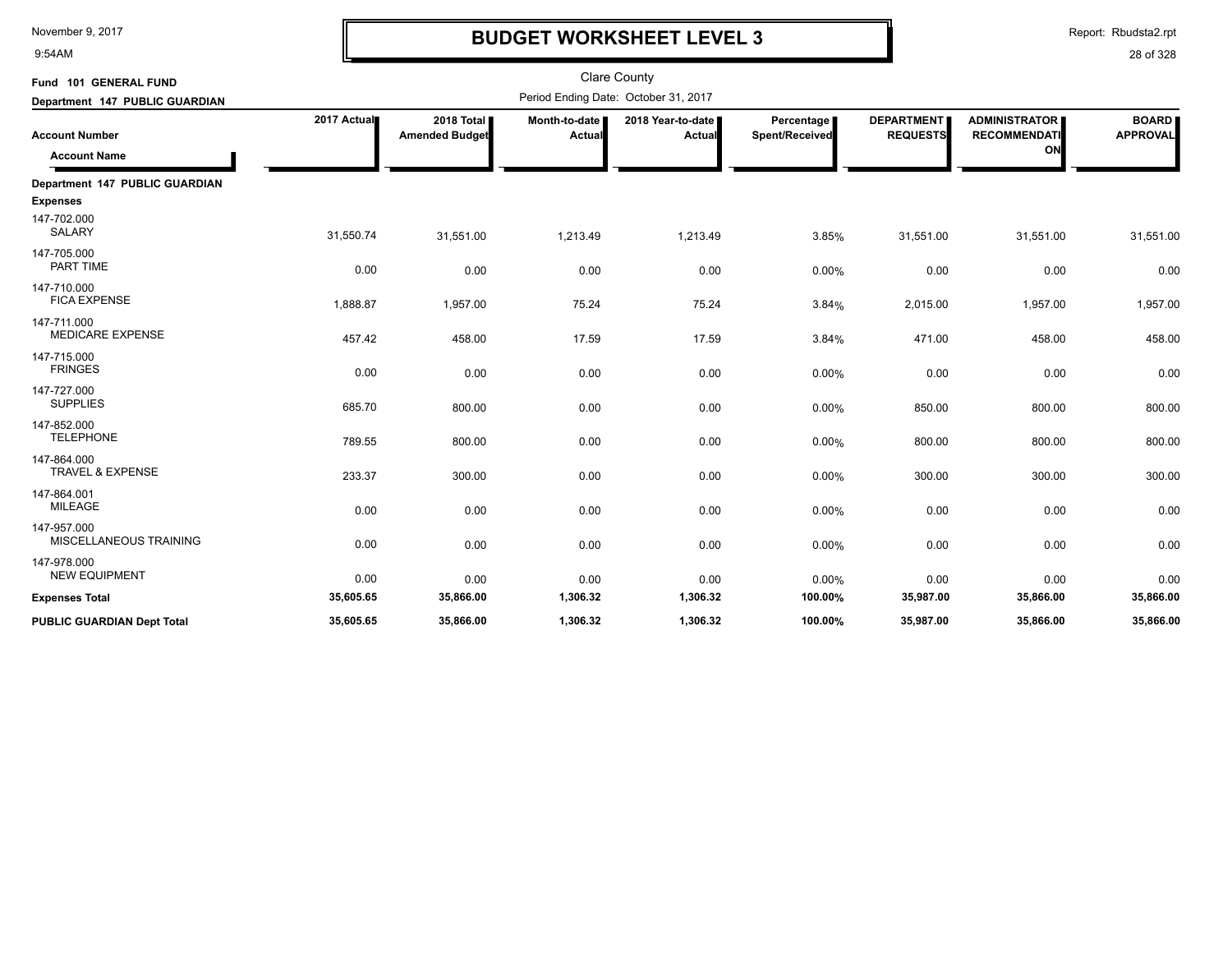9:54AM

# **BUDGET WORKSHEET LEVEL 3**

Report: Rbudsta2.rpt

| Fund 101 GENERAL FUND                        |             |                                     |                         | <b>Clare County</b>                  |                              |                                      |                                                   |                                 |
|----------------------------------------------|-------------|-------------------------------------|-------------------------|--------------------------------------|------------------------------|--------------------------------------|---------------------------------------------------|---------------------------------|
| Department 147 PUBLIC GUARDIAN               |             |                                     |                         | Period Ending Date: October 31, 2017 |                              |                                      |                                                   |                                 |
| <b>Account Number</b><br><b>Account Name</b> | 2017 Actual | 2018 Total<br><b>Amended Budget</b> | Month-to-date<br>Actual | 2018 Year-to-date<br>Actual          | Percentage<br>Spent/Received | <b>DEPARTMENT</b><br><b>REQUESTS</b> | <b>ADMINISTRATOR</b><br><b>RECOMMENDATI</b><br>ON | <b>BOARD</b><br><b>APPROVAL</b> |
| Department 147 PUBLIC GUARDIAN               |             |                                     |                         |                                      |                              |                                      |                                                   |                                 |
| <b>Expenses</b>                              |             |                                     |                         |                                      |                              |                                      |                                                   |                                 |
| 147-702.000<br><b>SALARY</b>                 | 31,550.74   | 31,551.00                           | 1,213.49                | 1,213.49                             | 3.85%                        | 31,551.00                            | 31,551.00                                         | 31,551.00                       |
| 147-705.000<br>PART TIME                     | 0.00        | 0.00                                | 0.00                    | 0.00                                 | $0.00\%$                     | 0.00                                 | 0.00                                              | 0.00                            |
| 147-710.000<br><b>FICA EXPENSE</b>           | 1,888.87    | 1,957.00                            | 75.24                   | 75.24                                | 3.84%                        | 2,015.00                             | 1,957.00                                          | 1,957.00                        |
| 147-711.000<br><b>MEDICARE EXPENSE</b>       | 457.42      | 458.00                              | 17.59                   | 17.59                                | 3.84%                        | 471.00                               | 458.00                                            | 458.00                          |
| 147-715.000<br><b>FRINGES</b>                | 0.00        | 0.00                                | 0.00                    | 0.00                                 | 0.00%                        | 0.00                                 | 0.00                                              | 0.00                            |
| 147-727.000<br><b>SUPPLIES</b>               | 685.70      | 800.00                              | 0.00                    | 0.00                                 | $0.00\%$                     | 850.00                               | 800.00                                            | 800.00                          |
| 147-852.000<br><b>TELEPHONE</b>              | 789.55      | 800.00                              | 0.00                    | 0.00                                 | 0.00%                        | 800.00                               | 800.00                                            | 800.00                          |
| 147-864.000<br><b>TRAVEL &amp; EXPENSE</b>   | 233.37      | 300.00                              | 0.00                    | 0.00                                 | 0.00%                        | 300.00                               | 300.00                                            | 300.00                          |
| 147-864.001<br><b>MILEAGE</b>                | 0.00        | 0.00                                | 0.00                    | 0.00                                 | 0.00%                        | 0.00                                 | 0.00                                              | 0.00                            |
| 147-957.000<br>MISCELLANEOUS TRAINING        | 0.00        | 0.00                                | 0.00                    | 0.00                                 | 0.00%                        | 0.00                                 | 0.00                                              | 0.00                            |
| 147-978.000<br><b>NEW EQUIPMENT</b>          | 0.00        | 0.00                                | 0.00                    | 0.00                                 | 0.00%                        | 0.00                                 | 0.00                                              | 0.00                            |
| <b>Expenses Total</b>                        | 35,605.65   | 35,866.00                           | 1,306.32                | 1,306.32                             | 100.00%                      | 35,987.00                            | 35,866.00                                         | 35,866.00                       |
| <b>PUBLIC GUARDIAN Dept Total</b>            | 35,605.65   | 35.866.00                           | 1,306.32                | 1,306.32                             | 100.00%                      | 35,987.00                            | 35,866.00                                         | 35,866.00                       |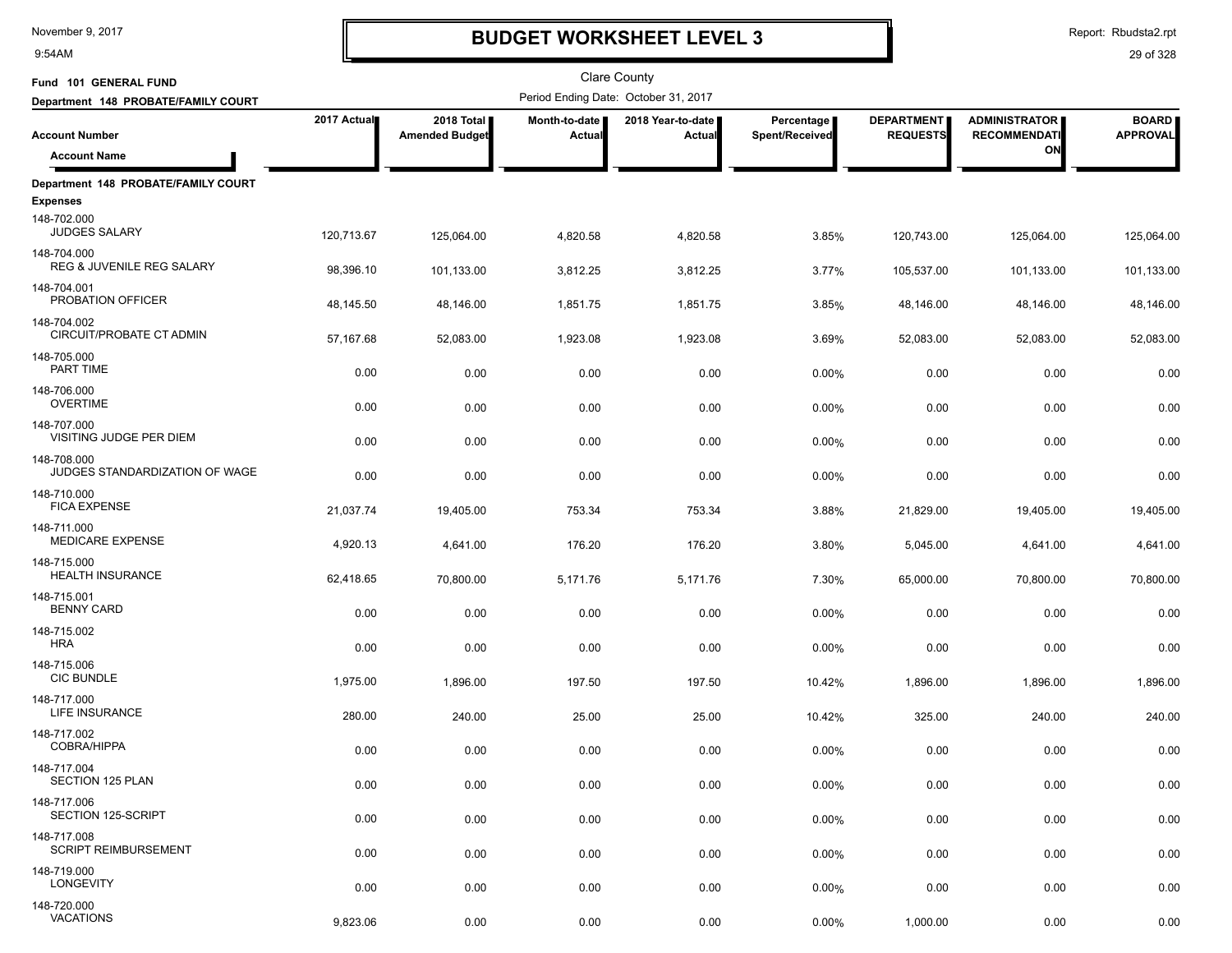9:54AM

# **BUDGET WORKSHEET LEVEL 3**

Report: Rbudsta2.rpt

| Fund 101 GENERAL FUND                         |             |                                     |                                | Clare County                         |                              |                                      |                                             |                                 |
|-----------------------------------------------|-------------|-------------------------------------|--------------------------------|--------------------------------------|------------------------------|--------------------------------------|---------------------------------------------|---------------------------------|
| Department 148 PROBATE/FAMILY COURT           |             |                                     |                                | Period Ending Date: October 31, 2017 |                              |                                      |                                             |                                 |
| <b>Account Number</b>                         | 2017 Actual | 2018 Total<br><b>Amended Budget</b> | Month-to-date<br><b>Actual</b> | 2018 Year-to-date  <br>Actual        | Percentage<br>Spent/Received | <b>DEPARTMENT</b><br><b>REQUESTS</b> | <b>ADMINISTRATOR</b><br><b>RECOMMENDATI</b> | <b>BOARD</b><br><b>APPROVAL</b> |
| <b>Account Name</b>                           |             |                                     |                                |                                      |                              |                                      | ON                                          |                                 |
| Department 148 PROBATE/FAMILY COURT           |             |                                     |                                |                                      |                              |                                      |                                             |                                 |
| <b>Expenses</b>                               |             |                                     |                                |                                      |                              |                                      |                                             |                                 |
| 148-702.000<br><b>JUDGES SALARY</b>           | 120,713.67  | 125,064.00                          | 4,820.58                       | 4,820.58                             | 3.85%                        | 120,743.00                           | 125,064.00                                  | 125,064.00                      |
| 148-704.000<br>REG & JUVENILE REG SALARY      | 98,396.10   | 101,133.00                          | 3,812.25                       | 3,812.25                             | 3.77%                        | 105,537.00                           | 101,133.00                                  | 101,133.00                      |
| 148-704.001<br>PROBATION OFFICER              | 48,145.50   | 48,146.00                           | 1,851.75                       | 1,851.75                             | 3.85%                        | 48,146.00                            | 48,146.00                                   | 48,146.00                       |
| 148-704.002<br>CIRCUIT/PROBATE CT ADMIN       | 57,167.68   | 52,083.00                           | 1,923.08                       | 1,923.08                             | 3.69%                        | 52,083.00                            | 52,083.00                                   | 52,083.00                       |
| 148-705.000<br>PART TIME                      | 0.00        | 0.00                                | 0.00                           | 0.00                                 | 0.00%                        | 0.00                                 | 0.00                                        | 0.00                            |
| 148-706.000<br><b>OVERTIME</b>                | 0.00        | 0.00                                | 0.00                           | 0.00                                 | 0.00%                        | 0.00                                 | 0.00                                        | 0.00                            |
| 148-707.000<br>VISITING JUDGE PER DIEM        | 0.00        | 0.00                                | 0.00                           | 0.00                                 | 0.00%                        | 0.00                                 | 0.00                                        | 0.00                            |
| 148-708.000<br>JUDGES STANDARDIZATION OF WAGE | 0.00        | 0.00                                | 0.00                           | 0.00                                 | 0.00%                        | 0.00                                 | 0.00                                        | 0.00                            |
| 148-710.000<br><b>FICA EXPENSE</b>            | 21,037.74   | 19,405.00                           | 753.34                         | 753.34                               | 3.88%                        | 21,829.00                            | 19,405.00                                   | 19,405.00                       |
| 148-711.000<br><b>MEDICARE EXPENSE</b>        | 4,920.13    | 4,641.00                            | 176.20                         | 176.20                               | 3.80%                        | 5,045.00                             | 4,641.00                                    | 4,641.00                        |
| 148-715.000<br><b>HEALTH INSURANCE</b>        | 62,418.65   | 70,800.00                           | 5,171.76                       | 5,171.76                             | 7.30%                        | 65,000.00                            | 70,800.00                                   | 70,800.00                       |
| 148-715.001<br><b>BENNY CARD</b>              | 0.00        | 0.00                                | 0.00                           | 0.00                                 | 0.00%                        | 0.00                                 | 0.00                                        | 0.00                            |
| 148-715.002<br><b>HRA</b>                     | 0.00        | 0.00                                | 0.00                           | 0.00                                 | 0.00%                        | 0.00                                 | 0.00                                        | 0.00                            |
| 148-715.006<br><b>CIC BUNDLE</b>              | 1,975.00    | 1,896.00                            | 197.50                         | 197.50                               | 10.42%                       | 1,896.00                             | 1,896.00                                    | 1,896.00                        |
| 148-717.000<br>LIFE INSURANCE                 | 280.00      | 240.00                              | 25.00                          | 25.00                                | 10.42%                       | 325.00                               | 240.00                                      | 240.00                          |
| 148-717.002<br><b>COBRA/HIPPA</b>             | 0.00        | 0.00                                | 0.00                           | 0.00                                 | 0.00%                        | 0.00                                 | 0.00                                        | 0.00                            |
| 148-717.004<br>SECTION 125 PLAN               | 0.00        | 0.00                                | 0.00                           | 0.00                                 | 0.00%                        | 0.00                                 | 0.00                                        | 0.00                            |
| 148-717.006<br>SECTION 125-SCRIPT             | 0.00        | 0.00                                | 0.00                           | 0.00                                 | 0.00%                        | 0.00                                 | 0.00                                        | 0.00                            |
| 148-717.008<br><b>SCRIPT REIMBURSEMENT</b>    | 0.00        | 0.00                                | 0.00                           | 0.00                                 | 0.00%                        | 0.00                                 | 0.00                                        | 0.00                            |
| 148-719.000<br>LONGEVITY                      | 0.00        | 0.00                                | 0.00                           | 0.00                                 | 0.00%                        | 0.00                                 | 0.00                                        | 0.00                            |
| 148-720.000<br>VACATIONS                      | 9,823.06    | 0.00                                | 0.00                           | 0.00                                 | 0.00%                        | 1,000.00                             | 0.00                                        | 0.00                            |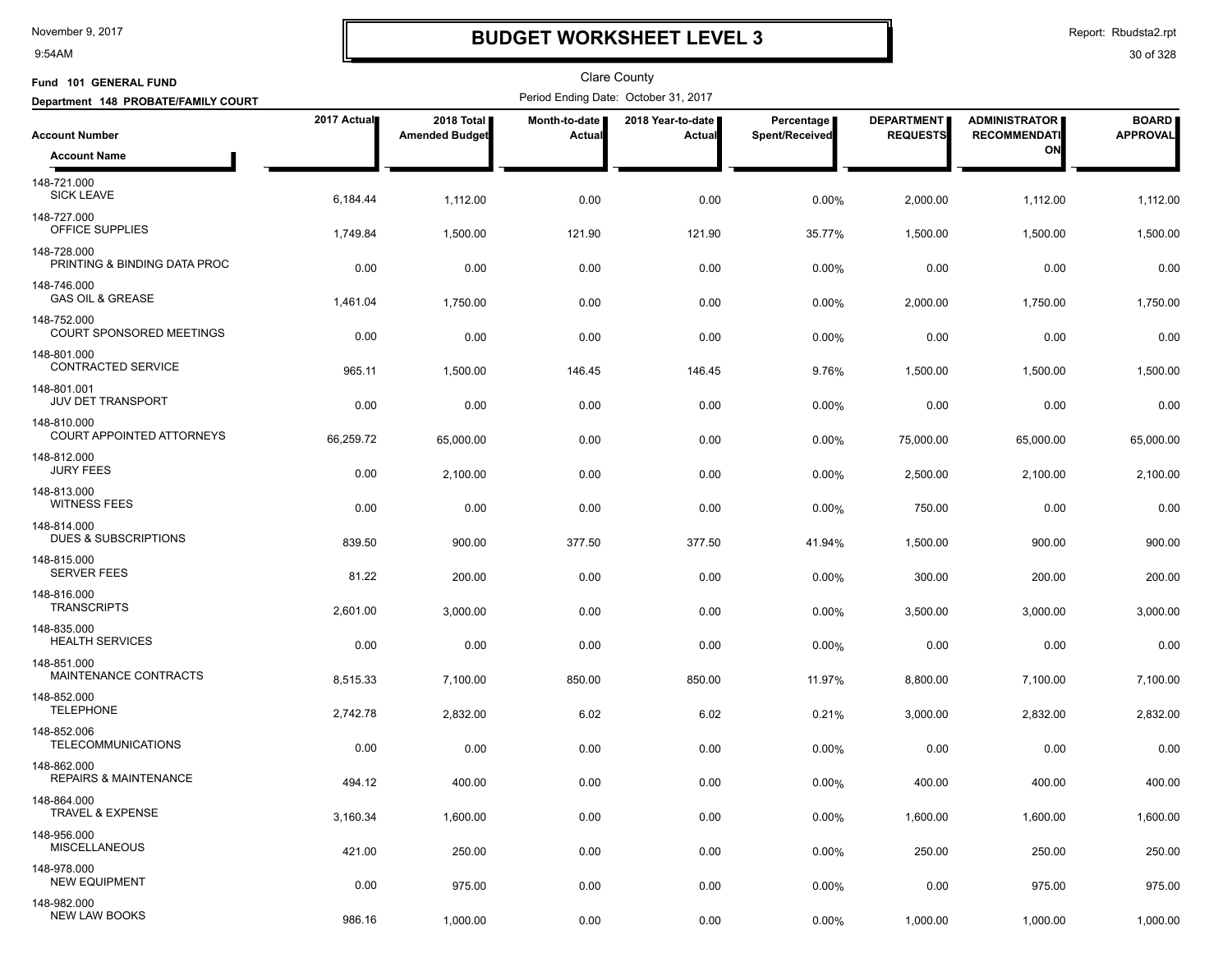9:54AM

# **BUDGET WORKSHEET LEVEL 3**

Report: Rbudsta2.rpt

| Fund 101 GENERAL FUND                           |             |                                     |                         | <b>Clare County</b>                  |                              |                                      |                                             |                                 |
|-------------------------------------------------|-------------|-------------------------------------|-------------------------|--------------------------------------|------------------------------|--------------------------------------|---------------------------------------------|---------------------------------|
| Department 148 PROBATE/FAMILY COURT             |             |                                     |                         | Period Ending Date: October 31, 2017 |                              |                                      |                                             |                                 |
| <b>Account Number</b>                           | 2017 Actual | 2018 Total<br><b>Amended Budget</b> | Month-to-date<br>Actual | 2018 Year-to-date  <br>Actual        | Percentage<br>Spent/Received | <b>DEPARTMENT</b><br><b>REQUESTS</b> | <b>ADMINISTRATOR</b><br><b>RECOMMENDATI</b> | <b>BOARD</b><br><b>APPROVAL</b> |
| <b>Account Name</b>                             |             |                                     |                         |                                      |                              |                                      | ON                                          |                                 |
| 148-721.000<br><b>SICK LEAVE</b>                | 6,184.44    | 1,112.00                            | 0.00                    | 0.00                                 | 0.00%                        | 2,000.00                             | 1,112.00                                    | 1,112.00                        |
| 148-727.000<br>OFFICE SUPPLIES                  | 1,749.84    | 1,500.00                            | 121.90                  | 121.90                               | 35.77%                       | 1,500.00                             | 1,500.00                                    | 1,500.00                        |
| 148-728.000<br>PRINTING & BINDING DATA PROC     | 0.00        | 0.00                                | 0.00                    | 0.00                                 | 0.00%                        | 0.00                                 | 0.00                                        | 0.00                            |
| 148-746.000<br><b>GAS OIL &amp; GREASE</b>      | 1,461.04    | 1,750.00                            | 0.00                    | 0.00                                 | 0.00%                        | 2,000.00                             | 1,750.00                                    | 1,750.00                        |
| 148-752.000<br>COURT SPONSORED MEETINGS         | 0.00        | 0.00                                | 0.00                    | 0.00                                 | 0.00%                        | 0.00                                 | 0.00                                        | 0.00                            |
| 148-801.000<br>CONTRACTED SERVICE               | 965.11      | 1,500.00                            | 146.45                  | 146.45                               | 9.76%                        | 1,500.00                             | 1,500.00                                    | 1,500.00                        |
| 148-801.001<br><b>JUV DET TRANSPORT</b>         | 0.00        | 0.00                                | 0.00                    | 0.00                                 | 0.00%                        | 0.00                                 | 0.00                                        | 0.00                            |
| 148-810.000<br>COURT APPOINTED ATTORNEYS        | 66,259.72   | 65,000.00                           | 0.00                    | 0.00                                 | 0.00%                        | 75,000.00                            | 65,000.00                                   | 65,000.00                       |
| 148-812.000<br><b>JURY FEES</b>                 | 0.00        | 2,100.00                            | 0.00                    | 0.00                                 | 0.00%                        | 2,500.00                             | 2,100.00                                    | 2,100.00                        |
| 148-813.000<br><b>WITNESS FEES</b>              | 0.00        | 0.00                                | 0.00                    | 0.00                                 | 0.00%                        | 750.00                               | 0.00                                        | 0.00                            |
| 148-814.000<br><b>DUES &amp; SUBSCRIPTIONS</b>  | 839.50      | 900.00                              | 377.50                  | 377.50                               | 41.94%                       | 1,500.00                             | 900.00                                      | 900.00                          |
| 148-815.000<br><b>SERVER FEES</b>               | 81.22       | 200.00                              | 0.00                    | 0.00                                 | 0.00%                        | 300.00                               | 200.00                                      | 200.00                          |
| 148-816.000<br><b>TRANSCRIPTS</b>               | 2,601.00    | 3,000.00                            | 0.00                    | 0.00                                 | 0.00%                        | 3,500.00                             | 3,000.00                                    | 3,000.00                        |
| 148-835.000<br><b>HEALTH SERVICES</b>           | 0.00        | 0.00                                | 0.00                    | 0.00                                 | 0.00%                        | 0.00                                 | 0.00                                        | 0.00                            |
| 148-851.000<br>MAINTENANCE CONTRACTS            | 8,515.33    | 7,100.00                            | 850.00                  | 850.00                               | 11.97%                       | 8,800.00                             | 7,100.00                                    | 7,100.00                        |
| 148-852.000<br><b>TELEPHONE</b>                 | 2,742.78    | 2,832.00                            | 6.02                    | 6.02                                 | 0.21%                        | 3,000.00                             | 2,832.00                                    | 2,832.00                        |
| 148-852.006<br><b>TELECOMMUNICATIONS</b>        | 0.00        | 0.00                                | 0.00                    | 0.00                                 | $0.00\%$                     | 0.00                                 | 0.00                                        | 0.00                            |
| 148-862.000<br><b>REPAIRS &amp; MAINTENANCE</b> | 494.12      | 400.00                              | 0.00                    | 0.00                                 | 0.00%                        | 400.00                               | 400.00                                      | 400.00                          |
| 148-864.000<br><b>TRAVEL &amp; EXPENSE</b>      | 3,160.34    | 1,600.00                            | 0.00                    | 0.00                                 | 0.00%                        | 1,600.00                             | 1,600.00                                    | 1,600.00                        |
| 148-956.000<br><b>MISCELLANEOUS</b>             | 421.00      | 250.00                              | 0.00                    | 0.00                                 | 0.00%                        | 250.00                               | 250.00                                      | 250.00                          |
| 148-978.000<br><b>NEW EQUIPMENT</b>             | 0.00        | 975.00                              | 0.00                    | 0.00                                 | 0.00%                        | 0.00                                 | 975.00                                      | 975.00                          |
| 148-982.000<br><b>NEW LAW BOOKS</b>             | 986.16      | 1,000.00                            | 0.00                    | 0.00                                 | 0.00%                        | 1,000.00                             | 1,000.00                                    | 1,000.00                        |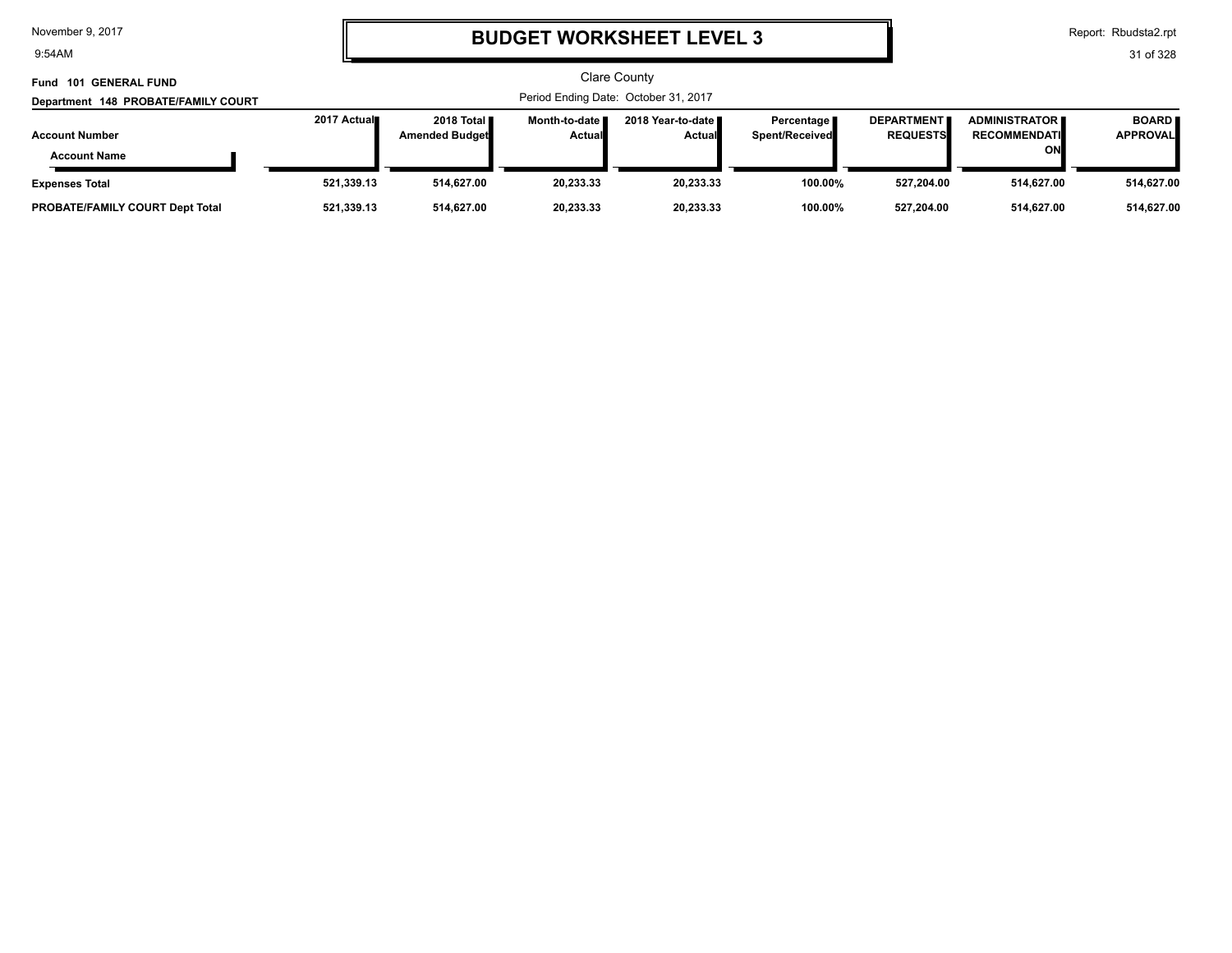9:54AM

# **BUDGET WORKSHEET LEVEL 3**

Report: Rbudsta2.rpt

| Fund 101 GENERAL FUND                        |              |                                               |                                  | Clare County                         |                                |                                      |                                                     |                                 |
|----------------------------------------------|--------------|-----------------------------------------------|----------------------------------|--------------------------------------|--------------------------------|--------------------------------------|-----------------------------------------------------|---------------------------------|
| Department 148 PROBATE/FAMILY COURT          |              |                                               |                                  | Period Ending Date: October 31, 2017 |                                |                                      |                                                     |                                 |
| <b>Account Number</b><br><b>Account Name</b> | 2017 Actual∎ | 2018 Total <b>II</b><br><b>Amended Budget</b> | Month-to-date I<br><b>Actual</b> | 2018 Year-to-date ∎<br><b>Actual</b> | Percentage  <br>Spent/Received | <b>DEPARTMENT</b><br><b>REQUESTS</b> | <b>ADMINISTRATOR I</b><br><b>RECOMMENDATI</b><br>ON | <b>BOARD</b><br><b>APPROVAL</b> |
| <b>Expenses Total</b>                        | 521,339.13   | 514.627.00                                    | 20.233.33                        | 20,233.33                            | 100.00%                        | 527.204.00                           | 514,627.00                                          | 514,627.00                      |
| <b>PROBATE/FAMILY COURT Dept Total</b>       | 521,339.13   | 514,627.00                                    | 20,233.33                        | 20,233.33                            | 100.00%                        | 527,204.00                           | 514,627.00                                          | 514,627.00                      |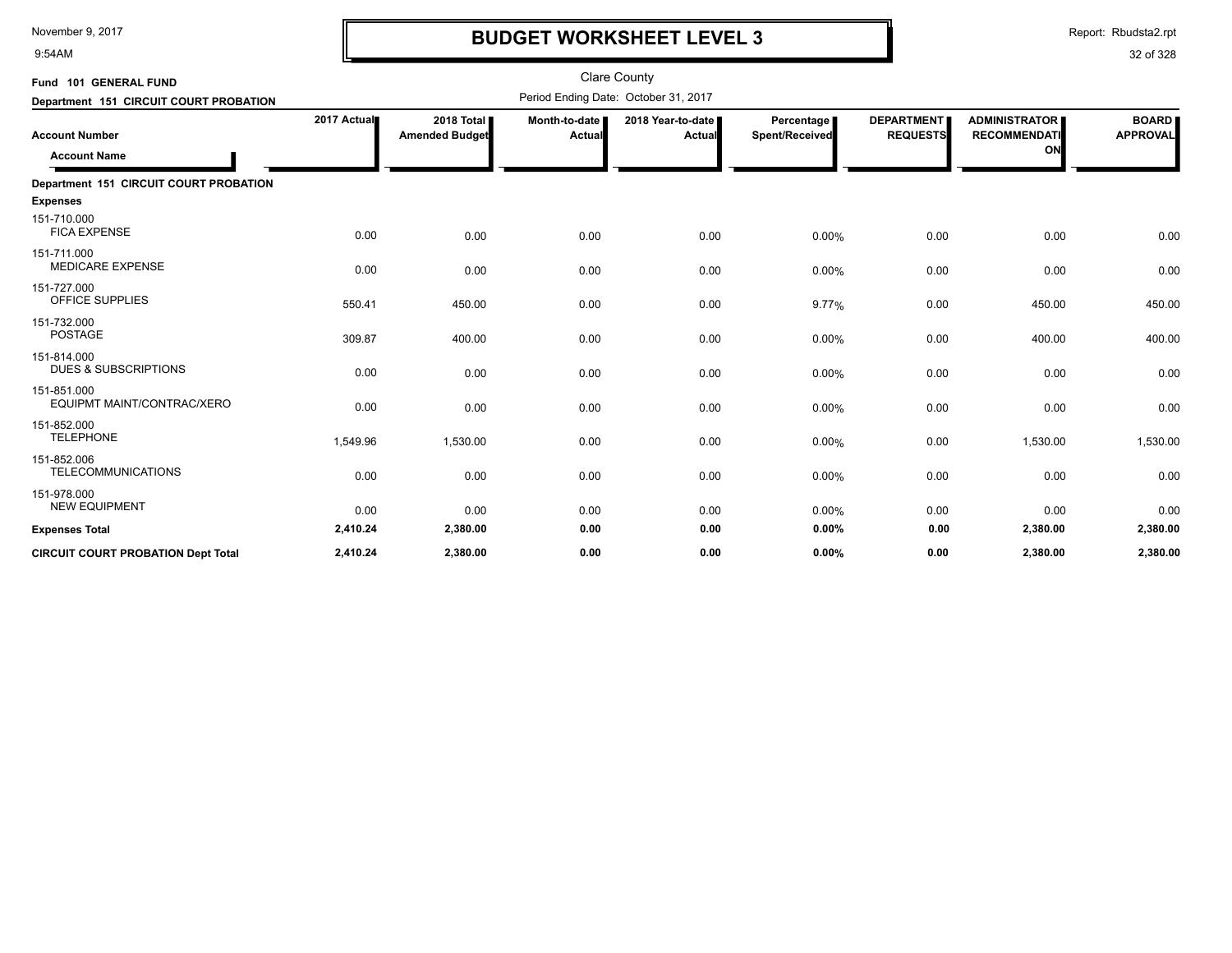9:54AM

# **BUDGET WORKSHEET LEVEL 3**

Report: Rbudsta2.rpt

| Fund 101 GENERAL FUND                          |             |                                       |                           | <b>Clare County</b>                  |                                     |                                      |                                                   |                                 |
|------------------------------------------------|-------------|---------------------------------------|---------------------------|--------------------------------------|-------------------------------------|--------------------------------------|---------------------------------------------------|---------------------------------|
| Department 151 CIRCUIT COURT PROBATION         |             |                                       |                           | Period Ending Date: October 31, 2017 |                                     |                                      |                                                   |                                 |
| <b>Account Number</b><br><b>Account Name</b>   | 2017 Actual | 2018 Total I<br><b>Amended Budget</b> | Month-to-date  <br>Actual | 2018 Year-to-date<br>Actual          | <b>Percentage</b><br>Spent/Received | <b>DEPARTMENT</b><br><b>REQUESTS</b> | <b>ADMINISTRATOR</b><br><b>RECOMMENDATI</b><br>ON | <b>BOARD</b><br><b>APPROVAL</b> |
| Department 151 CIRCUIT COURT PROBATION         |             |                                       |                           |                                      |                                     |                                      |                                                   |                                 |
| <b>Expenses</b>                                |             |                                       |                           |                                      |                                     |                                      |                                                   |                                 |
| 151-710.000<br><b>FICA EXPENSE</b>             | 0.00        | 0.00                                  | 0.00                      | 0.00                                 | 0.00%                               | 0.00                                 | 0.00                                              | 0.00                            |
| 151-711.000<br><b>MEDICARE EXPENSE</b>         | 0.00        | 0.00                                  | 0.00                      | 0.00                                 | 0.00%                               | 0.00                                 | 0.00                                              | 0.00                            |
| 151-727.000<br>OFFICE SUPPLIES                 | 550.41      | 450.00                                | 0.00                      | 0.00                                 | 9.77%                               | 0.00                                 | 450.00                                            | 450.00                          |
| 151-732.000<br><b>POSTAGE</b>                  | 309.87      | 400.00                                | 0.00                      | 0.00                                 | 0.00%                               | 0.00                                 | 400.00                                            | 400.00                          |
| 151-814.000<br><b>DUES &amp; SUBSCRIPTIONS</b> | 0.00        | 0.00                                  | 0.00                      | 0.00                                 | 0.00%                               | 0.00                                 | 0.00                                              | 0.00                            |
| 151-851.000<br>EQUIPMT MAINT/CONTRAC/XERO      | 0.00        | 0.00                                  | 0.00                      | 0.00                                 | 0.00%                               | 0.00                                 | 0.00                                              | 0.00                            |
| 151-852.000<br><b>TELEPHONE</b>                | 1,549.96    | 1,530.00                              | 0.00                      | 0.00                                 | 0.00%                               | 0.00                                 | 1,530.00                                          | 1,530.00                        |
| 151-852.006<br>TELECOMMUNICATIONS              | 0.00        | 0.00                                  | 0.00                      | 0.00                                 | 0.00%                               | 0.00                                 | 0.00                                              | 0.00                            |
| 151-978.000<br><b>NEW EQUIPMENT</b>            | 0.00        | 0.00                                  | 0.00                      | 0.00                                 | 0.00%                               | 0.00                                 | 0.00                                              | 0.00                            |
| <b>Expenses Total</b>                          | 2,410.24    | 2,380.00                              | 0.00                      | 0.00                                 | 0.00%                               | 0.00                                 | 2,380.00                                          | 2,380.00                        |
| <b>CIRCUIT COURT PROBATION Dept Total</b>      | 2,410.24    | 2,380.00                              | 0.00                      | 0.00                                 | 0.00%                               | 0.00                                 | 2,380.00                                          | 2,380.00                        |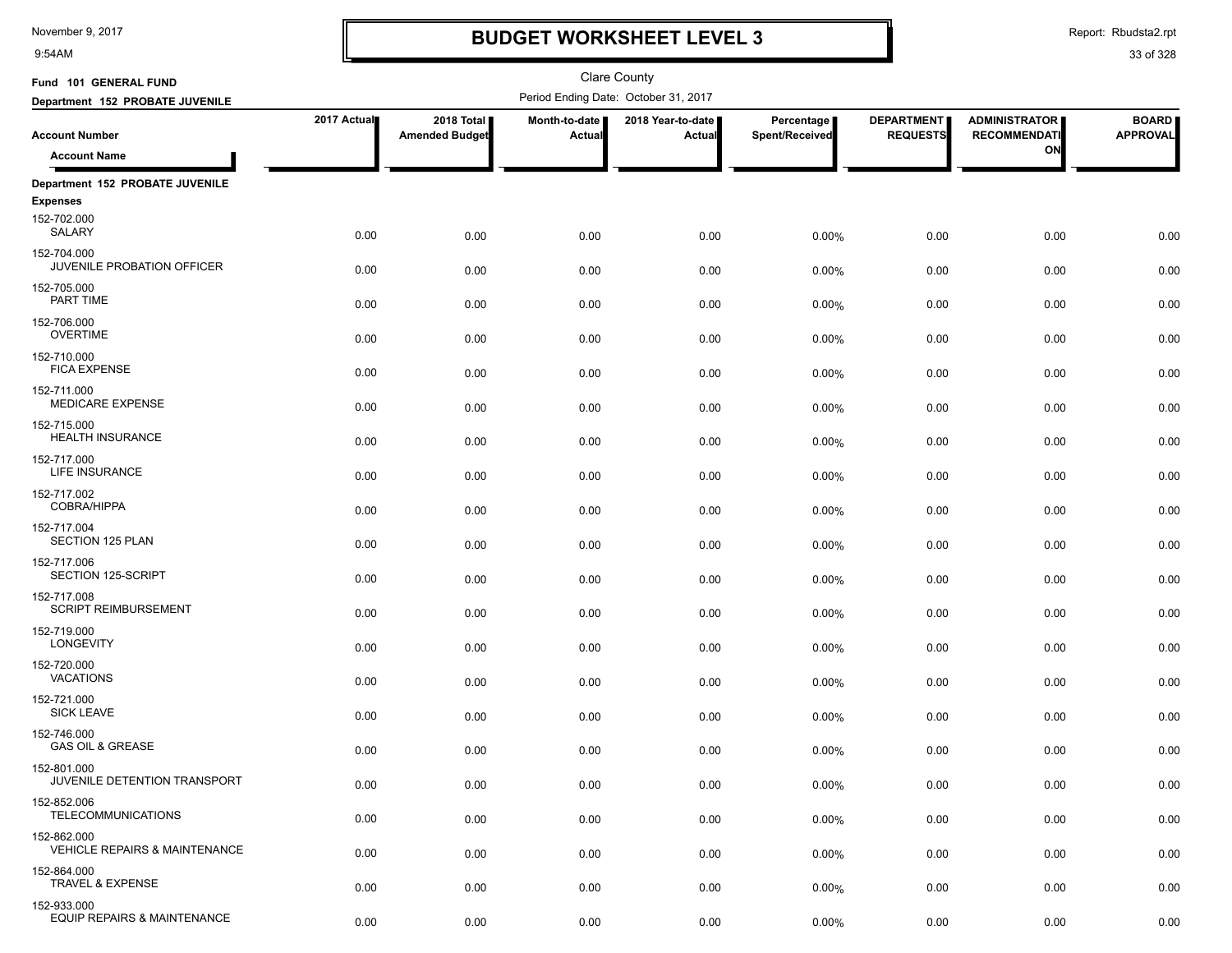9:54AM

# **BUDGET WORKSHEET LEVEL 3**

Report: Rbudsta2.rpt

| Fund 101 GENERAL FUND                                   |             |                                     |                         | <b>Clare County</b>                  |                              |                                      |                                             |                                 |
|---------------------------------------------------------|-------------|-------------------------------------|-------------------------|--------------------------------------|------------------------------|--------------------------------------|---------------------------------------------|---------------------------------|
| Department 152 PROBATE JUVENILE                         |             |                                     |                         | Period Ending Date: October 31, 2017 |                              |                                      |                                             |                                 |
| <b>Account Number</b>                                   | 2017 Actual | 2018 Total<br><b>Amended Budget</b> | Month-to-date<br>Actual | 2018 Year-to-date<br>Actual          | Percentage<br>Spent/Received | <b>DEPARTMENT</b><br><b>REQUESTS</b> | <b>ADMINISTRATOR</b><br><b>RECOMMENDATI</b> | <b>BOARD</b><br><b>APPROVAL</b> |
| <b>Account Name</b>                                     |             |                                     |                         |                                      |                              |                                      | ON                                          |                                 |
| Department 152 PROBATE JUVENILE                         |             |                                     |                         |                                      |                              |                                      |                                             |                                 |
| <b>Expenses</b>                                         |             |                                     |                         |                                      |                              |                                      |                                             |                                 |
| 152-702.000<br>SALARY                                   | 0.00        | 0.00                                | 0.00                    | 0.00                                 | 0.00%                        | 0.00                                 | 0.00                                        | 0.00                            |
| 152-704.000<br>JUVENILE PROBATION OFFICER               | 0.00        | 0.00                                | 0.00                    | 0.00                                 | 0.00%                        | 0.00                                 | 0.00                                        | 0.00                            |
| 152-705.000<br>PART TIME                                | 0.00        | 0.00                                | 0.00                    | 0.00                                 | 0.00%                        | 0.00                                 | 0.00                                        | 0.00                            |
| 152-706.000<br><b>OVERTIME</b>                          | 0.00        | 0.00                                | 0.00                    | 0.00                                 | 0.00%                        | 0.00                                 | 0.00                                        | 0.00                            |
| 152-710.000<br><b>FICA EXPENSE</b>                      | 0.00        | 0.00                                | 0.00                    | 0.00                                 | 0.00%                        | 0.00                                 | 0.00                                        | 0.00                            |
| 152-711.000<br><b>MEDICARE EXPENSE</b>                  | 0.00        | 0.00                                | 0.00                    | 0.00                                 | 0.00%                        | 0.00                                 | 0.00                                        | 0.00                            |
| 152-715.000<br><b>HEALTH INSURANCE</b>                  | 0.00        | 0.00                                | 0.00                    | 0.00                                 | 0.00%                        | 0.00                                 | 0.00                                        | 0.00                            |
| 152-717.000<br>LIFE INSURANCE                           | 0.00        | 0.00                                | 0.00                    | 0.00                                 | 0.00%                        | 0.00                                 | 0.00                                        | 0.00                            |
| 152-717.002<br><b>COBRA/HIPPA</b>                       | 0.00        | 0.00                                | 0.00                    | 0.00                                 | 0.00%                        | 0.00                                 | 0.00                                        | 0.00                            |
| 152-717.004<br>SECTION 125 PLAN                         | 0.00        | 0.00                                | 0.00                    | 0.00                                 | 0.00%                        | 0.00                                 | 0.00                                        | 0.00                            |
| 152-717.006<br>SECTION 125-SCRIPT                       | 0.00        | 0.00                                | 0.00                    | 0.00                                 | 0.00%                        | 0.00                                 | 0.00                                        | 0.00                            |
| 152-717.008<br><b>SCRIPT REIMBURSEMENT</b>              | 0.00        | 0.00                                | 0.00                    | 0.00                                 | 0.00%                        | 0.00                                 | 0.00                                        | 0.00                            |
| 152-719.000<br>LONGEVITY<br>152-720.000                 | 0.00        | 0.00                                | 0.00                    | 0.00                                 | 0.00%                        | 0.00                                 | 0.00                                        | 0.00                            |
| <b>VACATIONS</b><br>152-721.000                         | 0.00        | 0.00                                | 0.00                    | 0.00                                 | 0.00%                        | 0.00                                 | 0.00                                        | 0.00                            |
| <b>SICK LEAVE</b><br>152-746.000                        | 0.00        | 0.00                                | 0.00                    | 0.00                                 | 0.00%                        | 0.00                                 | 0.00                                        | 0.00                            |
| <b>GAS OIL &amp; GREASE</b><br>152-801.000              | 0.00        | 0.00                                | 0.00                    | 0.00                                 | 0.00%                        | 0.00                                 | 0.00                                        | 0.00                            |
| JUVENILE DETENTION TRANSPORT                            | 0.00        | 0.00                                | 0.00                    | 0.00                                 | 0.00%                        | 0.00                                 | 0.00                                        | 0.00                            |
| 152-852.006<br><b>TELECOMMUNICATIONS</b>                | 0.00        | 0.00                                | 0.00                    | 0.00                                 | 0.00%                        | 0.00                                 | 0.00                                        | 0.00                            |
| 152-862.000<br><b>VEHICLE REPAIRS &amp; MAINTENANCE</b> | 0.00        | 0.00                                | 0.00                    | 0.00                                 | 0.00%                        | 0.00                                 | 0.00                                        | 0.00                            |
| 152-864.000<br><b>TRAVEL &amp; EXPENSE</b>              | 0.00        | 0.00                                | 0.00                    | 0.00                                 | 0.00%                        | 0.00                                 | 0.00                                        | 0.00                            |
| 152-933.000<br>EQUIP REPAIRS & MAINTENANCE              | 0.00        | 0.00                                | 0.00                    | 0.00                                 | $0.00\%$                     | 0.00                                 | 0.00                                        | 0.00                            |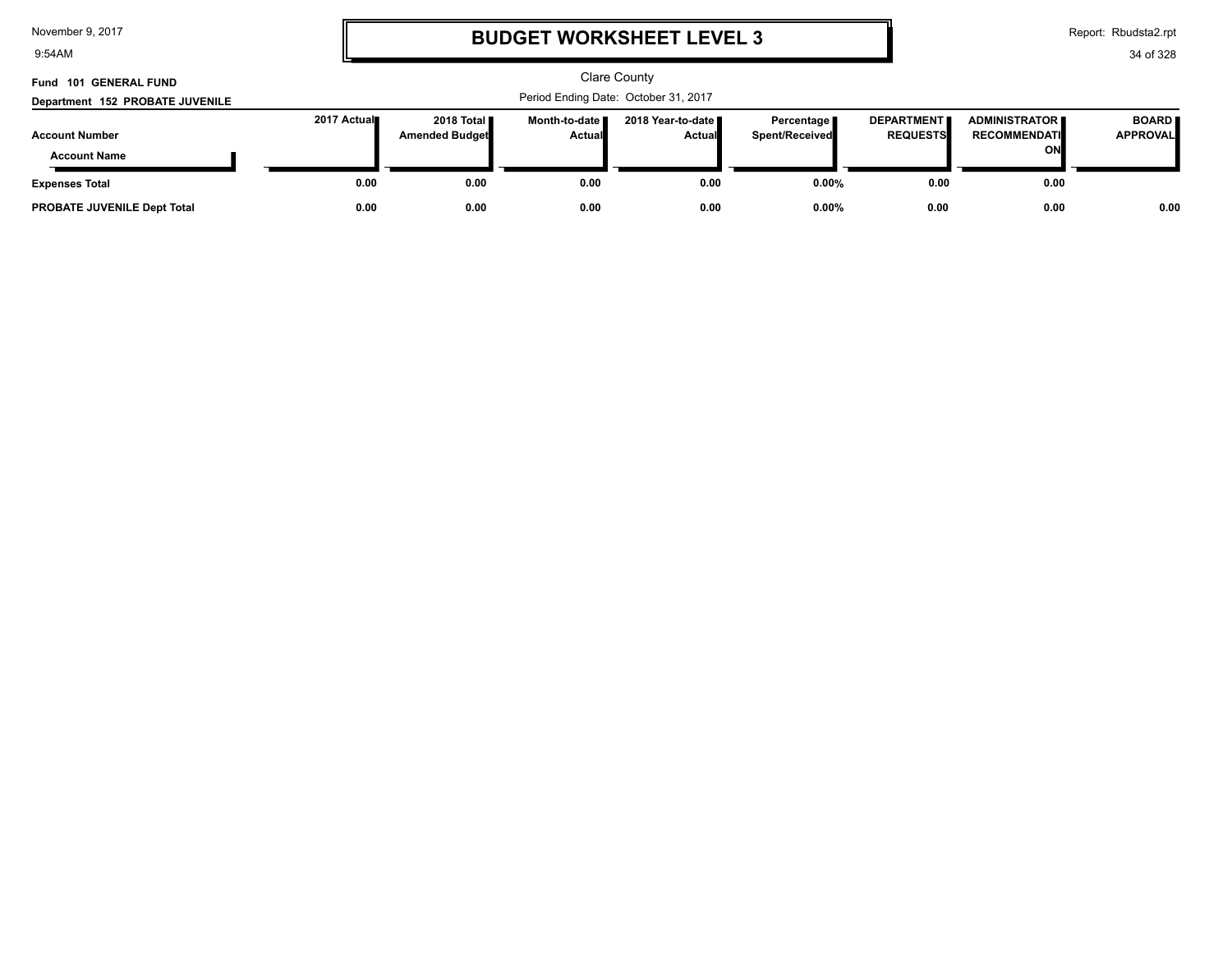9:54AM

# **BUDGET WORKSHEET LEVEL 3**

Report: Rbudsta2.rpt

| Fund 101 GENERAL FUND                        |                                      |                                       |                                  | <b>Clare County</b>            |                                       |                                      |                                                      |                                 |  |
|----------------------------------------------|--------------------------------------|---------------------------------------|----------------------------------|--------------------------------|---------------------------------------|--------------------------------------|------------------------------------------------------|---------------------------------|--|
| Department 152 PROBATE JUVENILE              | Period Ending Date: October 31, 2017 |                                       |                                  |                                |                                       |                                      |                                                      |                                 |  |
| <b>Account Number</b><br><b>Account Name</b> | 2017 Actual                          | 2018 Total <b>I</b><br>Amended Budget | Month-to-date I<br><b>Actual</b> | 2018 Year-to-date II<br>Actual | Percentage <b>I</b><br>Spent/Received | <b>DEPARTMENT</b><br><b>REQUESTS</b> | <b>ADMINISTRATOR II</b><br><b>RECOMMENDATI</b><br>ON | <b>BOARD</b><br><b>APPROVAL</b> |  |
| <b>Expenses Total</b>                        | 0.00                                 | 0.00                                  | 0.00                             | 0.00                           | $0.00\%$                              | 0.00                                 | 0.00                                                 |                                 |  |
| <b>PROBATE JUVENILE Dept Total</b>           | 0.00                                 | 0.00                                  | 0.00                             | 0.00                           | $0.00\%$                              | 0.00                                 | 0.00                                                 | 0.00                            |  |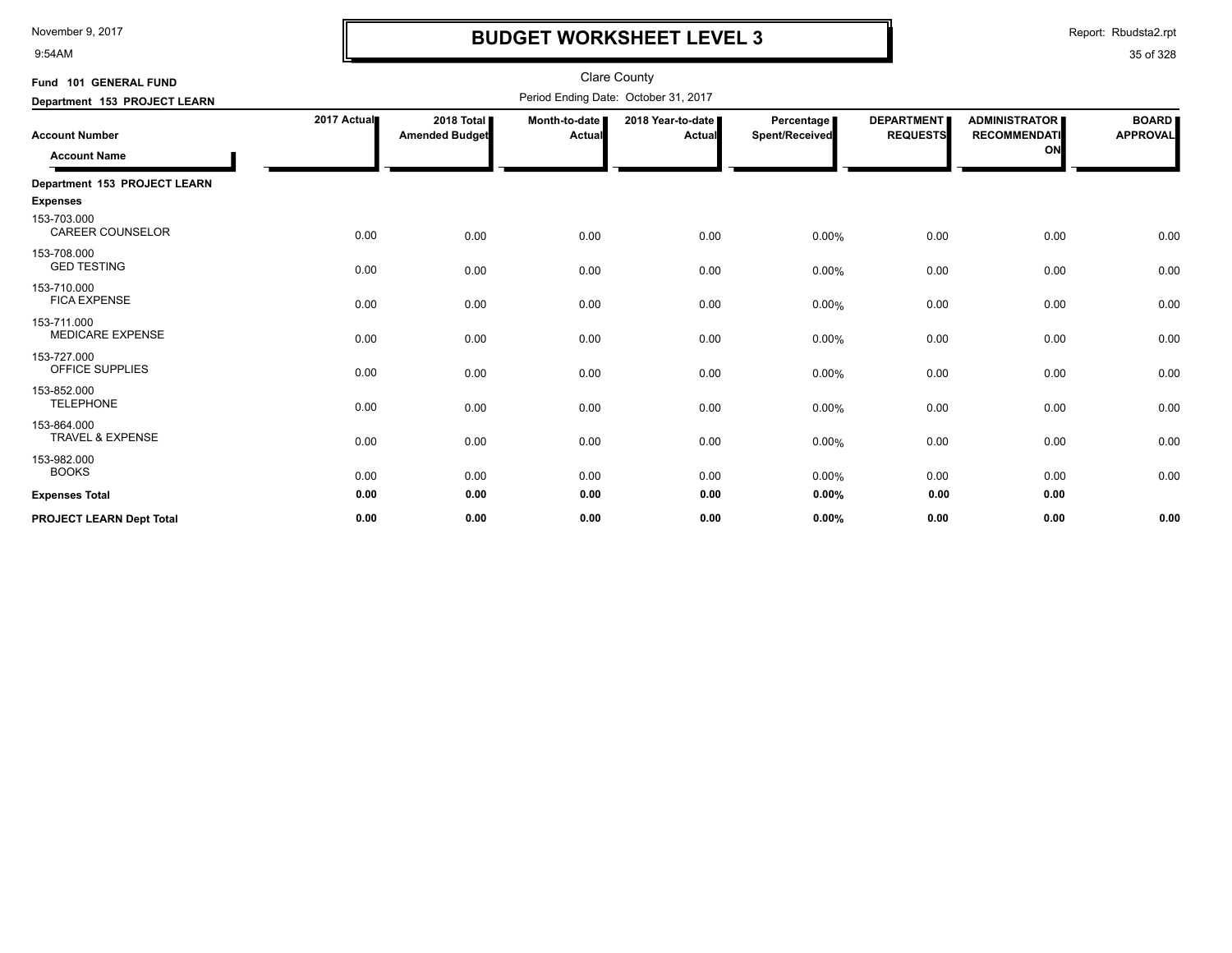9:54AM

# **BUDGET WORKSHEET LEVEL 3**

Report: Rbudsta2.rpt

| Fund 101 GENERAL FUND                        |             |                                               |                                | Clare County                         |                              |                                      |                                                   |                                 |
|----------------------------------------------|-------------|-----------------------------------------------|--------------------------------|--------------------------------------|------------------------------|--------------------------------------|---------------------------------------------------|---------------------------------|
| Department 153 PROJECT LEARN                 |             |                                               |                                | Period Ending Date: October 31, 2017 |                              |                                      |                                                   |                                 |
| <b>Account Number</b><br><b>Account Name</b> | 2017 Actual | 2018 Total <b>II</b><br><b>Amended Budget</b> | Month-to-date<br><b>Actual</b> | 2018 Year-to-date<br>Actual          | Percentage<br>Spent/Received | <b>DEPARTMENT</b><br><b>REQUESTS</b> | <b>ADMINISTRATOR</b><br><b>RECOMMENDATI</b><br>ON | <b>BOARD</b><br><b>APPROVAL</b> |
| Department 153 PROJECT LEARN                 |             |                                               |                                |                                      |                              |                                      |                                                   |                                 |
| <b>Expenses</b>                              |             |                                               |                                |                                      |                              |                                      |                                                   |                                 |
| 153-703.000<br><b>CAREER COUNSELOR</b>       | 0.00        | 0.00                                          | 0.00                           | 0.00                                 | 0.00%                        | 0.00                                 | 0.00                                              | 0.00                            |
| 153-708.000<br><b>GED TESTING</b>            | 0.00        | 0.00                                          | 0.00                           | 0.00                                 | 0.00%                        | 0.00                                 | 0.00                                              | 0.00                            |
| 153-710.000<br><b>FICA EXPENSE</b>           | 0.00        | 0.00                                          | 0.00                           | 0.00                                 | 0.00%                        | 0.00                                 | 0.00                                              | 0.00                            |
| 153-711.000<br><b>MEDICARE EXPENSE</b>       | 0.00        | 0.00                                          | 0.00                           | 0.00                                 | 0.00%                        | 0.00                                 | 0.00                                              | 0.00                            |
| 153-727.000<br>OFFICE SUPPLIES               | 0.00        | 0.00                                          | 0.00                           | 0.00                                 | 0.00%                        | 0.00                                 | 0.00                                              | 0.00                            |
| 153-852.000<br><b>TELEPHONE</b>              | 0.00        | 0.00                                          | 0.00                           | 0.00                                 | 0.00%                        | 0.00                                 | 0.00                                              | 0.00                            |
| 153-864.000<br><b>TRAVEL &amp; EXPENSE</b>   | 0.00        | 0.00                                          | 0.00                           | 0.00                                 | 0.00%                        | 0.00                                 | 0.00                                              | 0.00                            |
| 153-982.000<br><b>BOOKS</b>                  | 0.00        | 0.00                                          | 0.00                           | 0.00                                 | 0.00%                        | 0.00                                 | 0.00                                              | 0.00                            |
| <b>Expenses Total</b>                        | 0.00        | 0.00                                          | 0.00                           | 0.00                                 | 0.00%                        | 0.00                                 | 0.00                                              |                                 |
| <b>PROJECT LEARN Dept Total</b>              | 0.00        | 0.00                                          | 0.00                           | 0.00                                 | 0.00%                        | 0.00                                 | 0.00                                              | 0.00                            |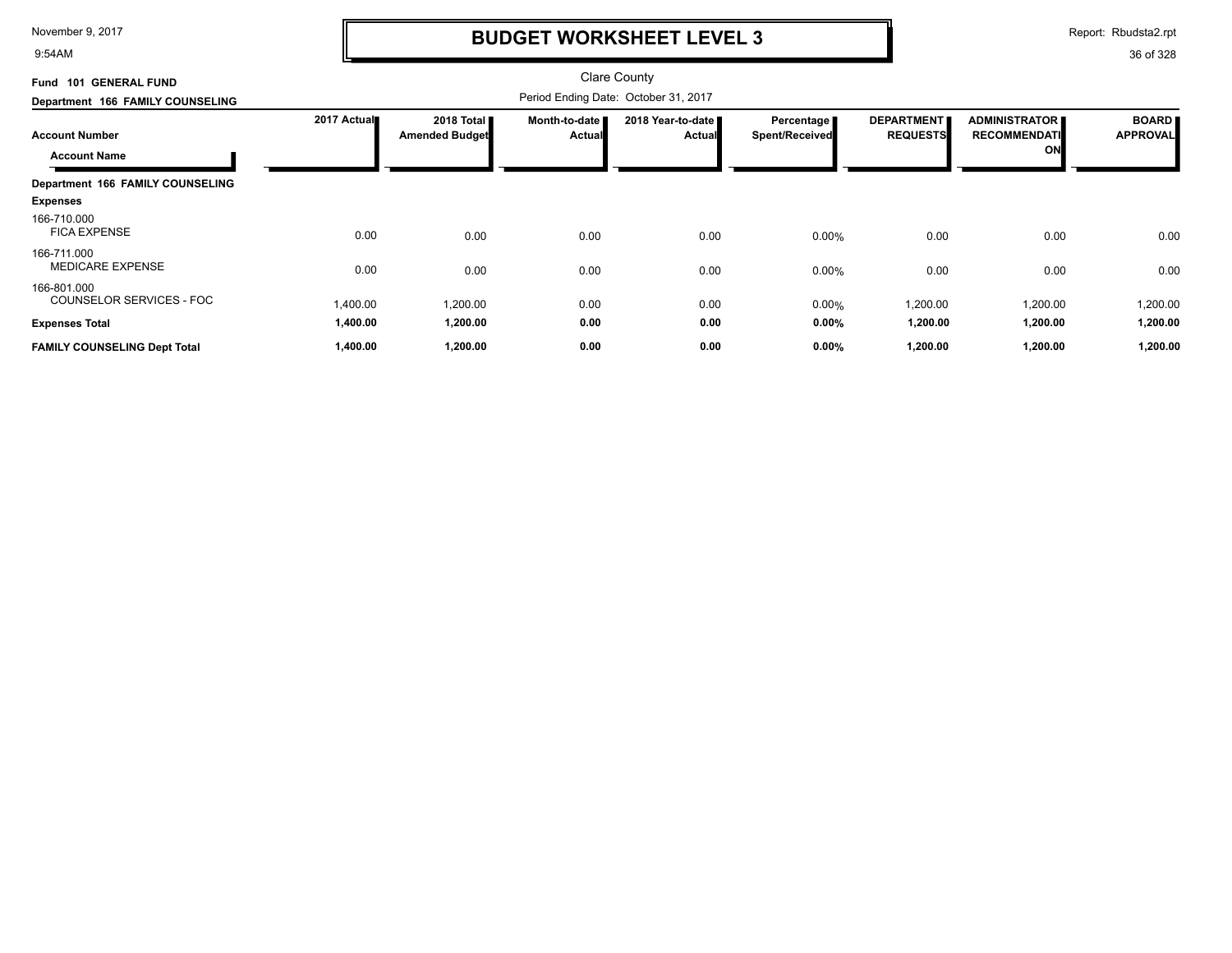9:54AM

# **BUDGET WORKSHEET LEVEL 3**

Report: Rbudsta2.rpt

| Fund 101 GENERAL FUND                        |             |                                      |                                | <b>Clare County</b>                |                              |                                      |                                            |                                 |  |  |
|----------------------------------------------|-------------|--------------------------------------|--------------------------------|------------------------------------|------------------------------|--------------------------------------|--------------------------------------------|---------------------------------|--|--|
| Department 166 FAMILY COUNSELING             |             | Period Ending Date: October 31, 2017 |                                |                                    |                              |                                      |                                            |                                 |  |  |
| <b>Account Number</b><br><b>Account Name</b> | 2017 Actual | 2018 Total<br><b>Amended Budget</b>  | Month-to-date<br><b>Actual</b> | 2018 Year-to-date<br><b>Actual</b> | Percentage<br>Spent/Received | <b>DEPARTMENT</b><br><b>REQUESTS</b> | ADMINISTRATOR<br><b>RECOMMENDATI</b><br>ON | <b>BOARD</b><br><b>APPROVAL</b> |  |  |
| Department 166 FAMILY COUNSELING             |             |                                      |                                |                                    |                              |                                      |                                            |                                 |  |  |
| <b>Expenses</b>                              |             |                                      |                                |                                    |                              |                                      |                                            |                                 |  |  |
| 166-710.000<br><b>FICA EXPENSE</b>           | 0.00        | 0.00                                 | 0.00                           | 0.00                               | 0.00%                        | 0.00                                 | 0.00                                       | 0.00                            |  |  |
| 166-711.000<br><b>MEDICARE EXPENSE</b>       | 0.00        | 0.00                                 | 0.00                           | 0.00                               | 0.00%                        | 0.00                                 | 0.00                                       | 0.00                            |  |  |
| 166-801.000<br>COUNSELOR SERVICES - FOC      | 1,400.00    | 1,200.00                             | 0.00                           | 0.00                               | 0.00%                        | 1,200.00                             | 1,200.00                                   | 1,200.00                        |  |  |
| <b>Expenses Total</b>                        | 1,400.00    | 1,200.00                             | 0.00                           | 0.00                               | 0.00%                        | 1,200.00                             | 1,200.00                                   | 1,200.00                        |  |  |
| <b>FAMILY COUNSELING Dept Total</b>          | 1,400.00    | 1,200.00                             | 0.00                           | 0.00                               | 0.00%                        | 1,200.00                             | 1,200.00                                   | 1,200.00                        |  |  |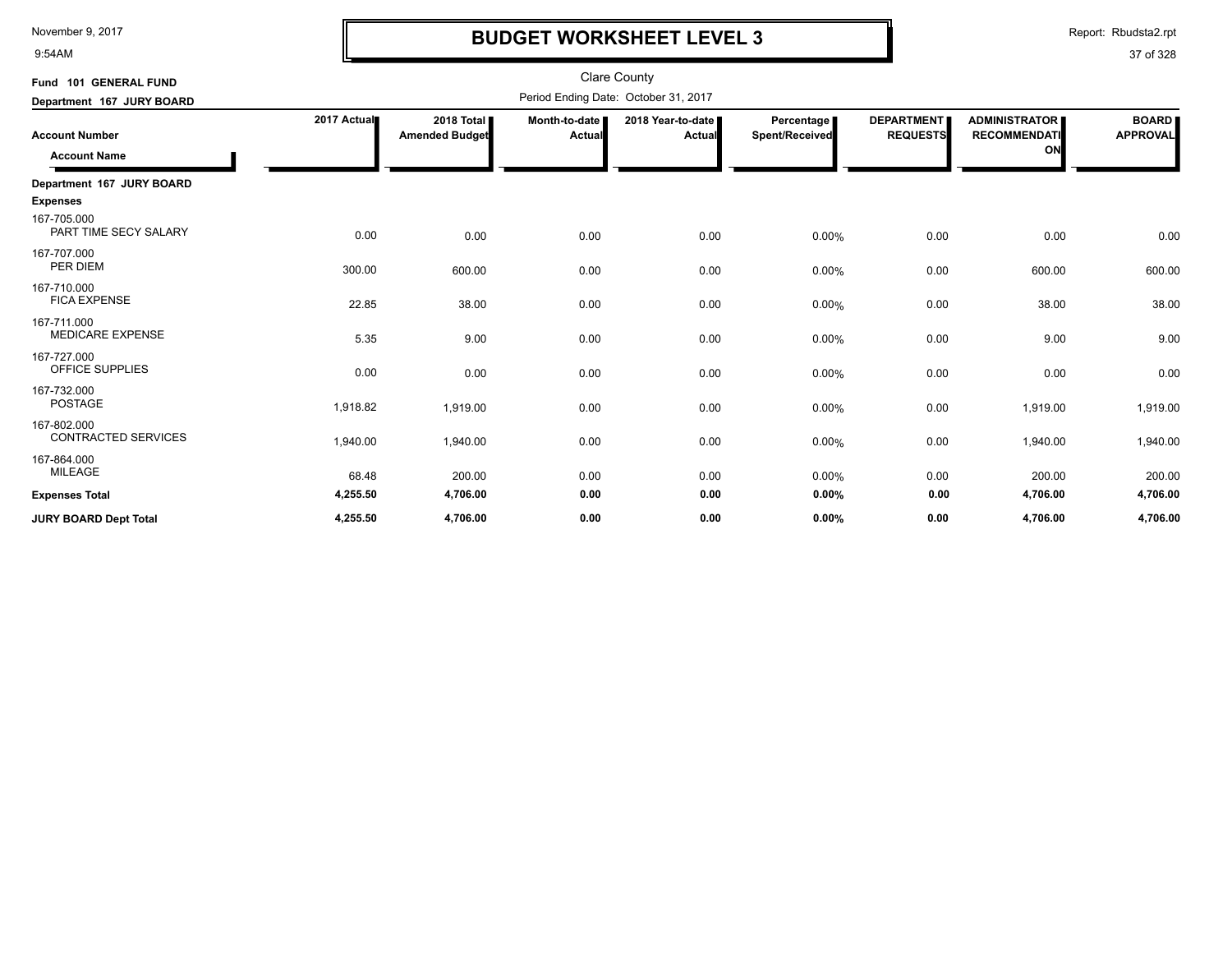9:54AM

## **BUDGET WORKSHEET LEVEL 3**

Report: Rbudsta2.rpt

| Fund 101 GENERAL FUND                        |             |                                     |                                | <b>Clare County</b>                  |                                     |                                      |                                                   |                                 |
|----------------------------------------------|-------------|-------------------------------------|--------------------------------|--------------------------------------|-------------------------------------|--------------------------------------|---------------------------------------------------|---------------------------------|
| Department 167 JURY BOARD                    |             |                                     |                                | Period Ending Date: October 31, 2017 |                                     |                                      |                                                   |                                 |
| <b>Account Number</b><br><b>Account Name</b> | 2017 Actual | 2018 Total<br><b>Amended Budget</b> | Month-to-date<br><b>Actual</b> | 2018 Year-to-date<br>Actual          | <b>Percentage</b><br>Spent/Received | <b>DEPARTMENT</b><br><b>REQUESTS</b> | <b>ADMINISTRATOR</b><br><b>RECOMMENDATI</b><br>ON | <b>BOARD</b><br><b>APPROVAL</b> |
| Department 167 JURY BOARD                    |             |                                     |                                |                                      |                                     |                                      |                                                   |                                 |
| <b>Expenses</b>                              |             |                                     |                                |                                      |                                     |                                      |                                                   |                                 |
| 167-705.000<br>PART TIME SECY SALARY         | 0.00        | 0.00                                | 0.00                           | 0.00                                 | 0.00%                               | 0.00                                 | 0.00                                              | 0.00                            |
| 167-707.000<br>PER DIEM                      | 300.00      | 600.00                              | 0.00                           | 0.00                                 | 0.00%                               | 0.00                                 | 600.00                                            | 600.00                          |
| 167-710.000<br><b>FICA EXPENSE</b>           | 22.85       | 38.00                               | 0.00                           | 0.00                                 | 0.00%                               | 0.00                                 | 38.00                                             | 38.00                           |
| 167-711.000<br><b>MEDICARE EXPENSE</b>       | 5.35        | 9.00                                | 0.00                           | 0.00                                 | 0.00%                               | 0.00                                 | 9.00                                              | 9.00                            |
| 167-727.000<br>OFFICE SUPPLIES               | 0.00        | 0.00                                | 0.00                           | 0.00                                 | 0.00%                               | 0.00                                 | 0.00                                              | 0.00                            |
| 167-732.000<br><b>POSTAGE</b>                | 1,918.82    | 1,919.00                            | 0.00                           | 0.00                                 | $0.00\%$                            | 0.00                                 | 1,919.00                                          | 1,919.00                        |
| 167-802.000<br><b>CONTRACTED SERVICES</b>    | 1,940.00    | 1,940.00                            | 0.00                           | 0.00                                 | 0.00%                               | 0.00                                 | 1,940.00                                          | 1,940.00                        |
| 167-864.000<br><b>MILEAGE</b>                | 68.48       | 200.00                              | 0.00                           | 0.00                                 | 0.00%                               | 0.00                                 | 200.00                                            | 200.00                          |
| <b>Expenses Total</b>                        | 4,255.50    | 4,706.00                            | 0.00                           | 0.00                                 | 0.00%                               | 0.00                                 | 4,706.00                                          | 4,706.00                        |
| <b>JURY BOARD Dept Total</b>                 | 4,255.50    | 4,706.00                            | 0.00                           | 0.00                                 | 0.00%                               | 0.00                                 | 4,706.00                                          | 4,706.00                        |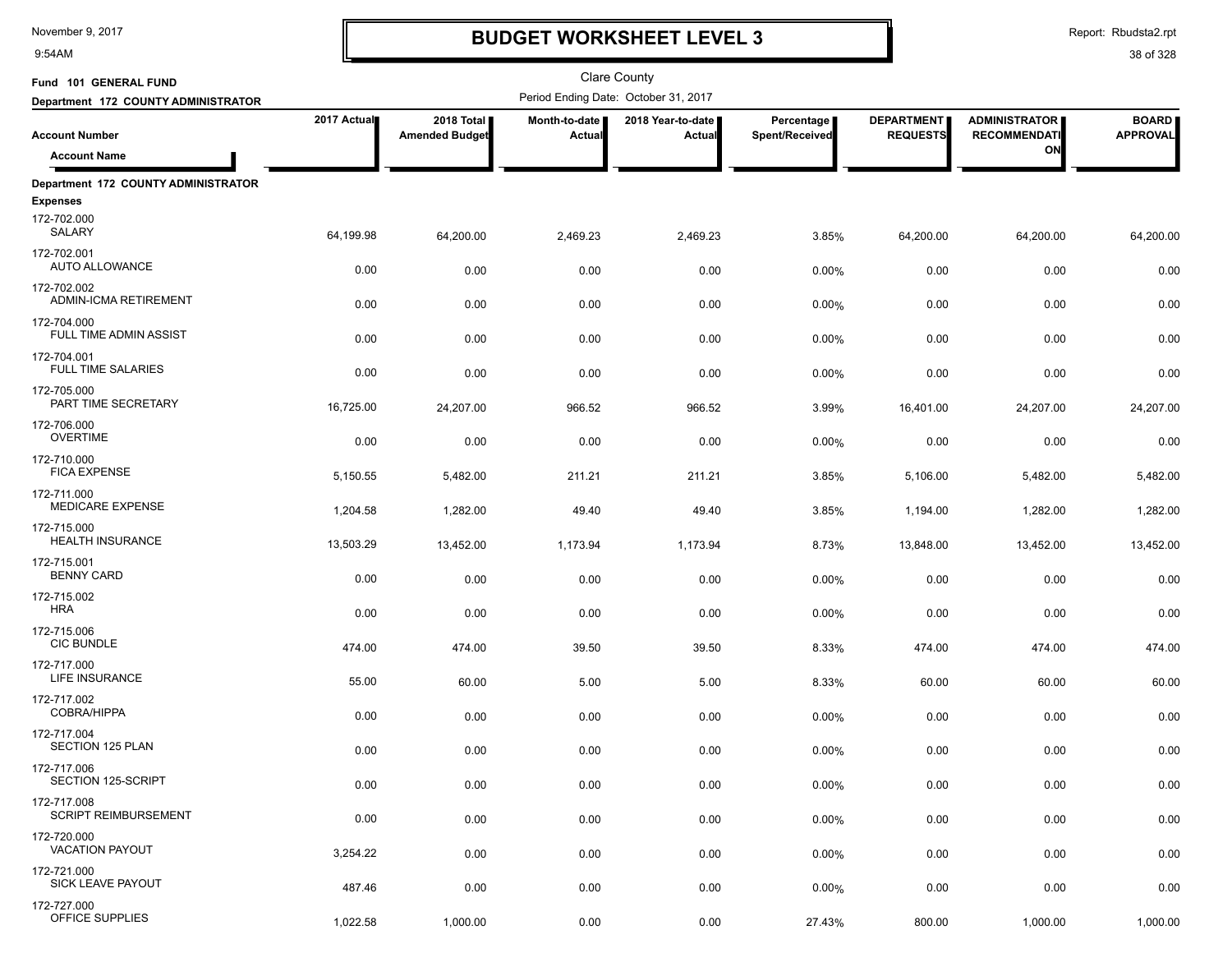9:54AM

# **BUDGET WORKSHEET LEVEL 3**

Report: Rbudsta2.rpt

| Fund 101 GENERAL FUND                      |             |                                     |                         | <b>Clare County</b>                  |                              |                                      |                                             |                                 |
|--------------------------------------------|-------------|-------------------------------------|-------------------------|--------------------------------------|------------------------------|--------------------------------------|---------------------------------------------|---------------------------------|
| Department 172 COUNTY ADMINISTRATOR        |             |                                     |                         | Period Ending Date: October 31, 2017 |                              |                                      |                                             |                                 |
| <b>Account Number</b>                      | 2017 Actual | 2018 Total<br><b>Amended Budget</b> | Month-to-date<br>Actual | 2018 Year-to-date<br>Actual          | Percentage<br>Spent/Received | <b>DEPARTMENT</b><br><b>REQUESTS</b> | <b>ADMINISTRATOR</b><br><b>RECOMMENDATI</b> | <b>BOARD</b><br><b>APPROVAL</b> |
| <b>Account Name</b>                        |             |                                     |                         |                                      |                              |                                      | ON                                          |                                 |
| Department 172 COUNTY ADMINISTRATOR        |             |                                     |                         |                                      |                              |                                      |                                             |                                 |
| <b>Expenses</b>                            |             |                                     |                         |                                      |                              |                                      |                                             |                                 |
| 172-702.000<br>SALARY                      | 64,199.98   | 64,200.00                           | 2,469.23                | 2,469.23                             | 3.85%                        | 64,200.00                            | 64,200.00                                   | 64,200.00                       |
| 172-702.001<br><b>AUTO ALLOWANCE</b>       | 0.00        | 0.00                                | 0.00                    | 0.00                                 | 0.00%                        | 0.00                                 | 0.00                                        | 0.00                            |
| 172-702.002<br>ADMIN-ICMA RETIREMENT       | 0.00        | 0.00                                | 0.00                    | 0.00                                 | $0.00\%$                     | 0.00                                 | 0.00                                        | 0.00                            |
| 172-704.000<br>FULL TIME ADMIN ASSIST      | 0.00        | 0.00                                | 0.00                    | 0.00                                 | 0.00%                        | 0.00                                 | 0.00                                        | 0.00                            |
| 172-704.001<br><b>FULL TIME SALARIES</b>   | 0.00        | 0.00                                | 0.00                    | 0.00                                 | 0.00%                        | 0.00                                 | 0.00                                        | 0.00                            |
| 172-705.000<br>PART TIME SECRETARY         | 16,725.00   | 24,207.00                           | 966.52                  | 966.52                               | 3.99%                        | 16,401.00                            | 24,207.00                                   | 24,207.00                       |
| 172-706.000<br><b>OVERTIME</b>             | 0.00        | 0.00                                | 0.00                    | 0.00                                 | 0.00%                        | 0.00                                 | 0.00                                        | 0.00                            |
| 172-710.000<br><b>FICA EXPENSE</b>         | 5,150.55    | 5,482.00                            | 211.21                  | 211.21                               | 3.85%                        | 5,106.00                             | 5,482.00                                    | 5,482.00                        |
| 172-711.000<br><b>MEDICARE EXPENSE</b>     | 1,204.58    | 1,282.00                            | 49.40                   | 49.40                                | 3.85%                        | 1,194.00                             | 1,282.00                                    | 1,282.00                        |
| 172-715.000<br><b>HEALTH INSURANCE</b>     | 13,503.29   | 13,452.00                           | 1,173.94                | 1,173.94                             | 8.73%                        | 13,848.00                            | 13,452.00                                   | 13,452.00                       |
| 172-715.001<br><b>BENNY CARD</b>           | 0.00        | 0.00                                | 0.00                    | 0.00                                 | 0.00%                        | 0.00                                 | 0.00                                        | 0.00                            |
| 172-715.002<br><b>HRA</b>                  | 0.00        | 0.00                                | 0.00                    | 0.00                                 | 0.00%                        | 0.00                                 | 0.00                                        | 0.00                            |
| 172-715.006<br><b>CIC BUNDLE</b>           | 474.00      | 474.00                              | 39.50                   | 39.50                                | 8.33%                        | 474.00                               | 474.00                                      | 474.00                          |
| 172-717.000<br><b>LIFE INSURANCE</b>       | 55.00       | 60.00                               | 5.00                    | 5.00                                 | 8.33%                        | 60.00                                | 60.00                                       | 60.00                           |
| 172-717.002<br>COBRA/HIPPA                 | 0.00        | 0.00                                | 0.00                    | 0.00                                 | 0.00%                        | 0.00                                 | 0.00                                        | 0.00                            |
| 172-717.004<br><b>SECTION 125 PLAN</b>     | 0.00        | 0.00                                | 0.00                    | 0.00                                 | 0.00%                        | 0.00                                 | 0.00                                        | 0.00                            |
| 172-717.006<br>SECTION 125-SCRIPT          | 0.00        | 0.00                                | 0.00                    | 0.00                                 | 0.00%                        | 0.00                                 | 0.00                                        | 0.00                            |
| 172-717.008<br><b>SCRIPT REIMBURSEMENT</b> | 0.00        | 0.00                                | 0.00                    | 0.00                                 | 0.00%                        | 0.00                                 | 0.00                                        | 0.00                            |
| 172-720.000<br><b>VACATION PAYOUT</b>      | 3,254.22    | 0.00                                | 0.00                    | 0.00                                 | 0.00%                        | 0.00                                 | 0.00                                        | 0.00                            |
| 172-721.000<br>SICK LEAVE PAYOUT           | 487.46      | 0.00                                | 0.00                    | 0.00                                 | 0.00%                        | 0.00                                 | 0.00                                        | 0.00                            |
| 172-727.000<br>OFFICE SUPPLIES             | 1,022.58    | 1,000.00                            | 0.00                    | 0.00                                 | 27.43%                       | 800.00                               | 1,000.00                                    | 1,000.00                        |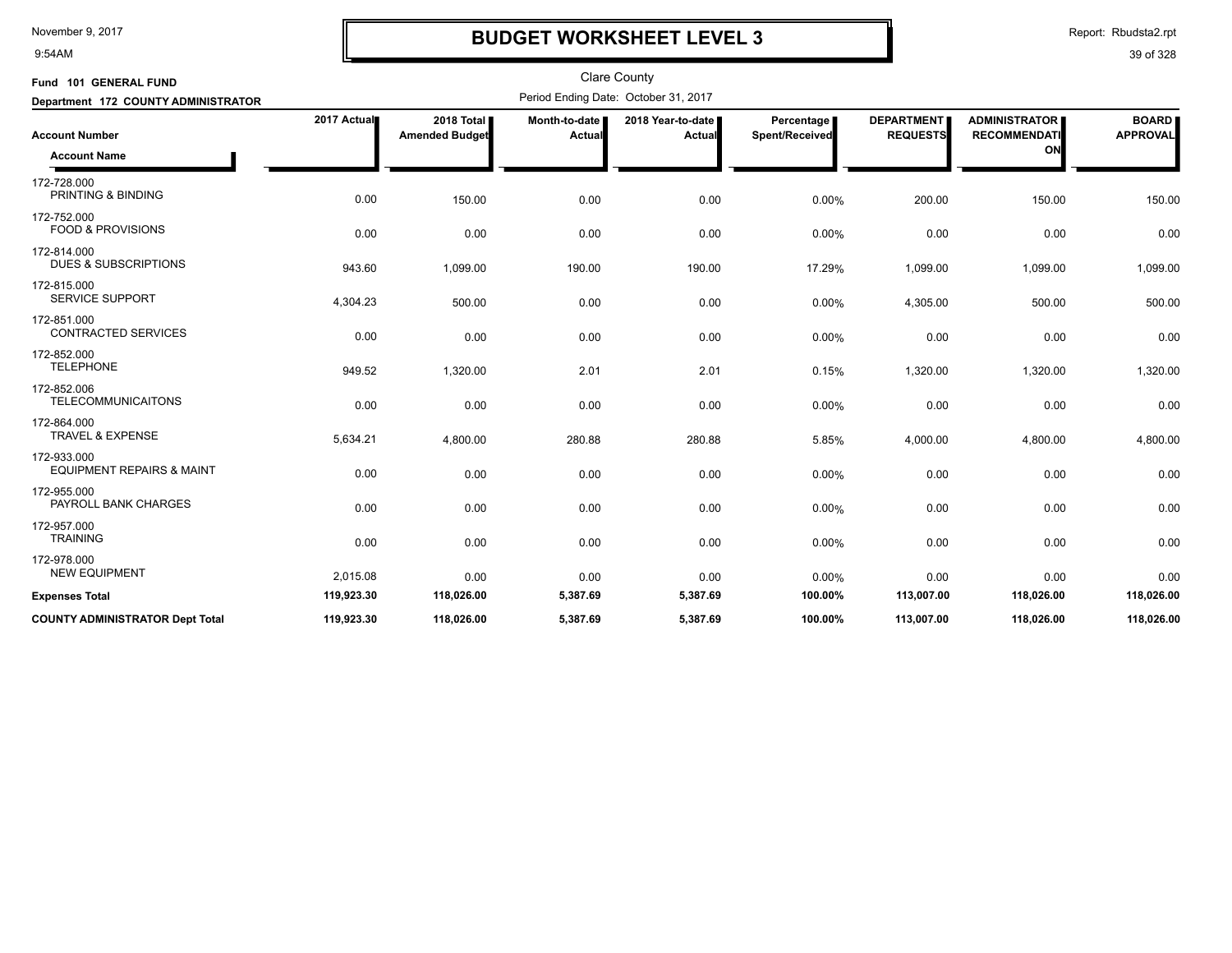9:54AM

## **BUDGET WORKSHEET LEVEL 3**

Report: Rbudsta2.rpt

| Fund 101 GENERAL FUND                               |             |                                     |                         | <b>Clare County</b>                  |                              |                                      |                                                   |                                 |
|-----------------------------------------------------|-------------|-------------------------------------|-------------------------|--------------------------------------|------------------------------|--------------------------------------|---------------------------------------------------|---------------------------------|
| Department 172 COUNTY ADMINISTRATOR                 |             |                                     |                         | Period Ending Date: October 31, 2017 |                              |                                      |                                                   |                                 |
| <b>Account Number</b><br><b>Account Name</b>        | 2017 Actual | 2018 Total<br><b>Amended Budget</b> | Month-to-date<br>Actual | 2018 Year-to-date I<br>Actual        | Percentage<br>Spent/Received | <b>DEPARTMENT</b><br><b>REQUESTS</b> | <b>ADMINISTRATOR</b><br><b>RECOMMENDATI</b><br>ON | <b>BOARD</b><br><b>APPROVAL</b> |
| 172-728.000<br>PRINTING & BINDING                   | 0.00        | 150.00                              | 0.00                    | 0.00                                 | 0.00%                        | 200.00                               | 150.00                                            | 150.00                          |
| 172-752.000<br><b>FOOD &amp; PROVISIONS</b>         | 0.00        | 0.00                                | 0.00                    | 0.00                                 | 0.00%                        | 0.00                                 | 0.00                                              | 0.00                            |
| 172-814.000<br><b>DUES &amp; SUBSCRIPTIONS</b>      | 943.60      | 1,099.00                            | 190.00                  | 190.00                               | 17.29%                       | 1,099.00                             | 1,099.00                                          | 1,099.00                        |
| 172-815.000<br><b>SERVICE SUPPORT</b>               | 4,304.23    | 500.00                              | 0.00                    | 0.00                                 | $0.00\%$                     | 4,305.00                             | 500.00                                            | 500.00                          |
| 172-851.000<br><b>CONTRACTED SERVICES</b>           | 0.00        | 0.00                                | 0.00                    | 0.00                                 | 0.00%                        | 0.00                                 | 0.00                                              | 0.00                            |
| 172-852.000<br><b>TELEPHONE</b>                     | 949.52      | 1,320.00                            | 2.01                    | 2.01                                 | 0.15%                        | 1,320.00                             | 1,320.00                                          | 1,320.00                        |
| 172-852.006<br><b>TELECOMMUNICAITONS</b>            | 0.00        | 0.00                                | 0.00                    | 0.00                                 | 0.00%                        | 0.00                                 | 0.00                                              | 0.00                            |
| 172-864.000<br><b>TRAVEL &amp; EXPENSE</b>          | 5,634.21    | 4,800.00                            | 280.88                  | 280.88                               | 5.85%                        | 4,000.00                             | 4,800.00                                          | 4,800.00                        |
| 172-933.000<br><b>EQUIPMENT REPAIRS &amp; MAINT</b> | 0.00        | 0.00                                | 0.00                    | 0.00                                 | 0.00%                        | 0.00                                 | 0.00                                              | 0.00                            |
| 172-955.000<br>PAYROLL BANK CHARGES                 | 0.00        | 0.00                                | 0.00                    | 0.00                                 | 0.00%                        | 0.00                                 | 0.00                                              | 0.00                            |
| 172-957.000<br><b>TRAINING</b>                      | 0.00        | 0.00                                | 0.00                    | 0.00                                 | 0.00%                        | 0.00                                 | 0.00                                              | 0.00                            |
| 172-978.000<br><b>NEW EQUIPMENT</b>                 | 2,015.08    | 0.00                                | 0.00                    | 0.00                                 | 0.00%                        | 0.00                                 | 0.00                                              | 0.00                            |
| <b>Expenses Total</b>                               | 119,923.30  | 118,026.00                          | 5,387.69                | 5,387.69                             | 100.00%                      | 113,007.00                           | 118,026.00                                        | 118,026.00                      |
| <b>COUNTY ADMINISTRATOR Dept Total</b>              | 119,923.30  | 118.026.00                          | 5,387.69                | 5,387.69                             | 100.00%                      | 113,007.00                           | 118,026.00                                        | 118,026.00                      |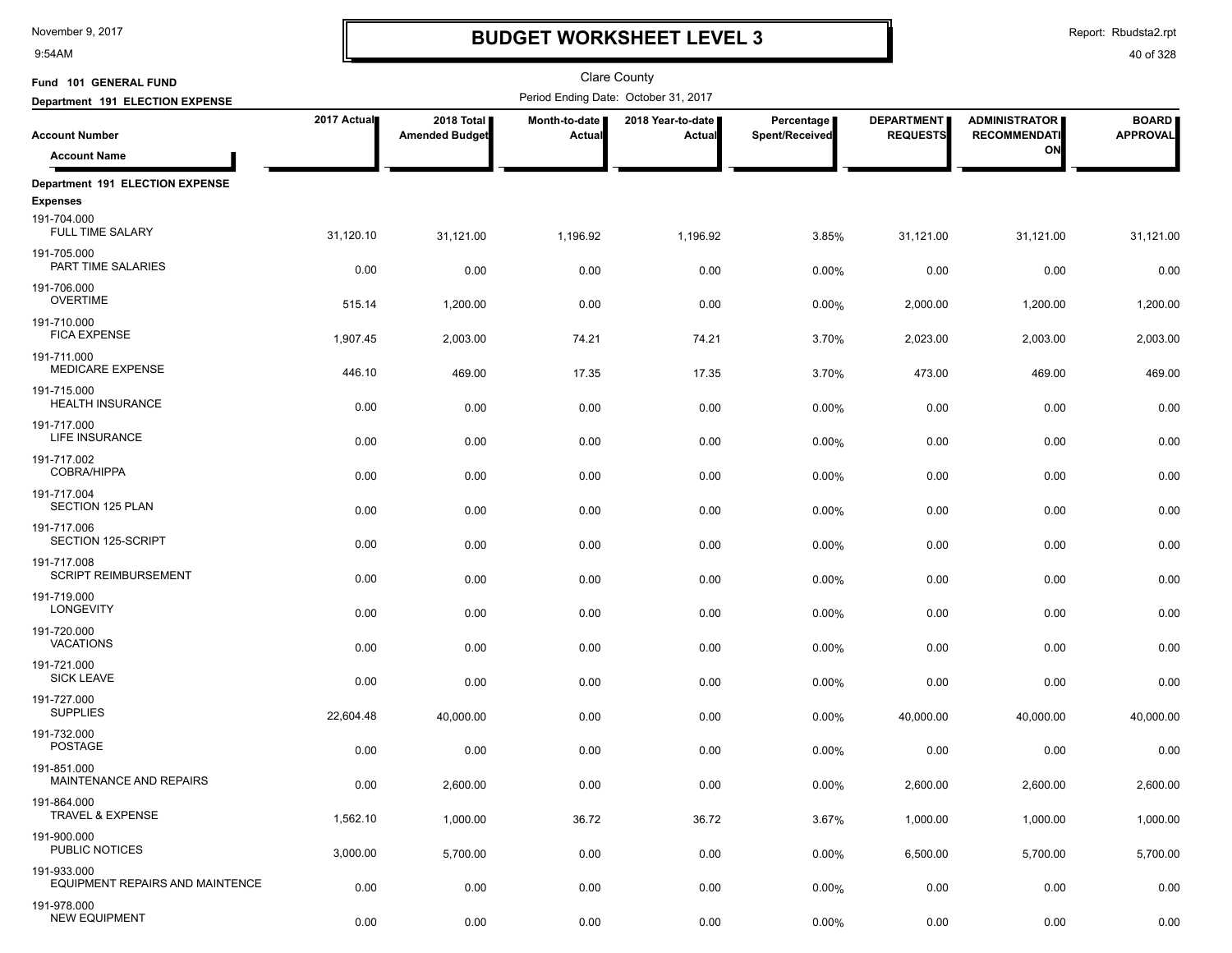9:54AM

### **BUDGET WORKSHEET LEVEL 3**

Report: Rbudsta2.rpt

| Fund 101 GENERAL FUND                                                 |              |                                     |                                | Clare County                         |                              |                                      |                                             |                                 |
|-----------------------------------------------------------------------|--------------|-------------------------------------|--------------------------------|--------------------------------------|------------------------------|--------------------------------------|---------------------------------------------|---------------------------------|
| Department 191 ELECTION EXPENSE                                       |              |                                     |                                | Period Ending Date: October 31, 2017 |                              |                                      |                                             |                                 |
| <b>Account Number</b>                                                 | 2017 Actual  | 2018 Total<br><b>Amended Budget</b> | Month-to-date<br><b>Actual</b> | 2018 Year-to-date<br><b>Actual</b>   | Percentage<br>Spent/Received | <b>DEPARTMENT</b><br><b>REQUESTS</b> | <b>ADMINISTRATOR</b><br><b>RECOMMENDATI</b> | <b>BOARD</b><br><b>APPROVAL</b> |
| <b>Account Name</b>                                                   |              |                                     |                                |                                      |                              |                                      | ON                                          |                                 |
| Department 191 ELECTION EXPENSE                                       |              |                                     |                                |                                      |                              |                                      |                                             |                                 |
| <b>Expenses</b><br>191-704.000<br>FULL TIME SALARY                    | 31,120.10    | 31,121.00                           | 1,196.92                       | 1,196.92                             | 3.85%                        | 31,121.00                            | 31,121.00                                   | 31,121.00                       |
| 191-705.000<br>PART TIME SALARIES                                     | 0.00         | 0.00                                | 0.00                           | 0.00                                 | 0.00%                        | 0.00                                 | 0.00                                        | 0.00                            |
| 191-706.000<br><b>OVERTIME</b>                                        | 515.14       | 1,200.00                            | 0.00                           | 0.00                                 | 0.00%                        | 2,000.00                             | 1,200.00                                    | 1,200.00                        |
| 191-710.000<br><b>FICA EXPENSE</b>                                    | 1,907.45     | 2,003.00                            | 74.21                          | 74.21                                | 3.70%                        | 2,023.00                             | 2,003.00                                    | 2,003.00                        |
| 191-711.000<br><b>MEDICARE EXPENSE</b>                                | 446.10       | 469.00                              | 17.35                          | 17.35                                | 3.70%                        | 473.00                               | 469.00                                      | 469.00                          |
| 191-715.000<br><b>HEALTH INSURANCE</b>                                | 0.00         | 0.00                                | 0.00                           | 0.00                                 | 0.00%                        | 0.00                                 | 0.00                                        | 0.00                            |
| 191-717.000<br>LIFE INSURANCE                                         | 0.00         | 0.00                                | 0.00                           | 0.00                                 | 0.00%                        | 0.00                                 | 0.00                                        | 0.00                            |
| 191-717.002<br><b>COBRA/HIPPA</b><br>191-717.004                      | 0.00         | 0.00                                | 0.00                           | 0.00                                 | 0.00%                        | 0.00                                 | 0.00                                        | 0.00                            |
| <b>SECTION 125 PLAN</b><br>191-717.006                                | 0.00         | 0.00                                | 0.00                           | 0.00                                 | 0.00%                        | 0.00                                 | 0.00                                        | 0.00                            |
| SECTION 125-SCRIPT<br>191-717.008                                     | 0.00         | 0.00                                | 0.00                           | 0.00                                 | 0.00%                        | 0.00                                 | 0.00                                        | 0.00                            |
| <b>SCRIPT REIMBURSEMENT</b><br>191-719.000                            | 0.00         | 0.00                                | 0.00                           | 0.00                                 | 0.00%                        | 0.00                                 | 0.00                                        | 0.00                            |
| <b>LONGEVITY</b><br>191-720.000                                       | 0.00         | 0.00                                | 0.00                           | 0.00                                 | 0.00%                        | 0.00                                 | 0.00                                        | 0.00                            |
| <b>VACATIONS</b><br>191-721.000                                       | 0.00         | 0.00                                | 0.00                           | 0.00                                 | 0.00%                        | 0.00                                 | 0.00                                        | 0.00                            |
| <b>SICK LEAVE</b><br>191-727.000                                      | 0.00         | 0.00                                | 0.00                           | 0.00                                 | 0.00%                        | 0.00                                 | 0.00                                        | 0.00                            |
| <b>SUPPLIES</b><br>191-732.000                                        | 22,604.48    | 40,000.00                           | 0.00                           | 0.00                                 | 0.00%                        | 40,000.00                            | 40,000.00                                   | 40,000.00                       |
| <b>POSTAGE</b><br>191-851.000                                         | 0.00         | 0.00                                | 0.00                           | 0.00                                 | 0.00%                        | 0.00                                 | 0.00                                        | 0.00                            |
| MAINTENANCE AND REPAIRS<br>191-864.000<br><b>TRAVEL &amp; EXPENSE</b> | 0.00         | 2,600.00                            | 0.00                           | 0.00                                 | 0.00%                        | 2,600.00                             | 2,600.00                                    | 2,600.00                        |
| 191-900.000<br>PUBLIC NOTICES                                         | 1,562.10     | 1,000.00                            | 36.72                          | 36.72                                | 3.67%                        | 1,000.00                             | 1,000.00                                    | 1,000.00                        |
| 191-933.000<br>EQUIPMENT REPAIRS AND MAINTENCE                        | 3,000.00     | 5,700.00                            | 0.00                           | 0.00                                 | $0.00\%$                     | 6,500.00                             | 5,700.00                                    | 5,700.00                        |
| 191-978.000<br><b>NEW EQUIPMENT</b>                                   | 0.00<br>0.00 | 0.00<br>0.00                        | 0.00<br>0.00                   | 0.00<br>0.00                         | 0.00%<br>0.00%               | 0.00<br>0.00                         | 0.00<br>0.00                                | 0.00<br>0.00                    |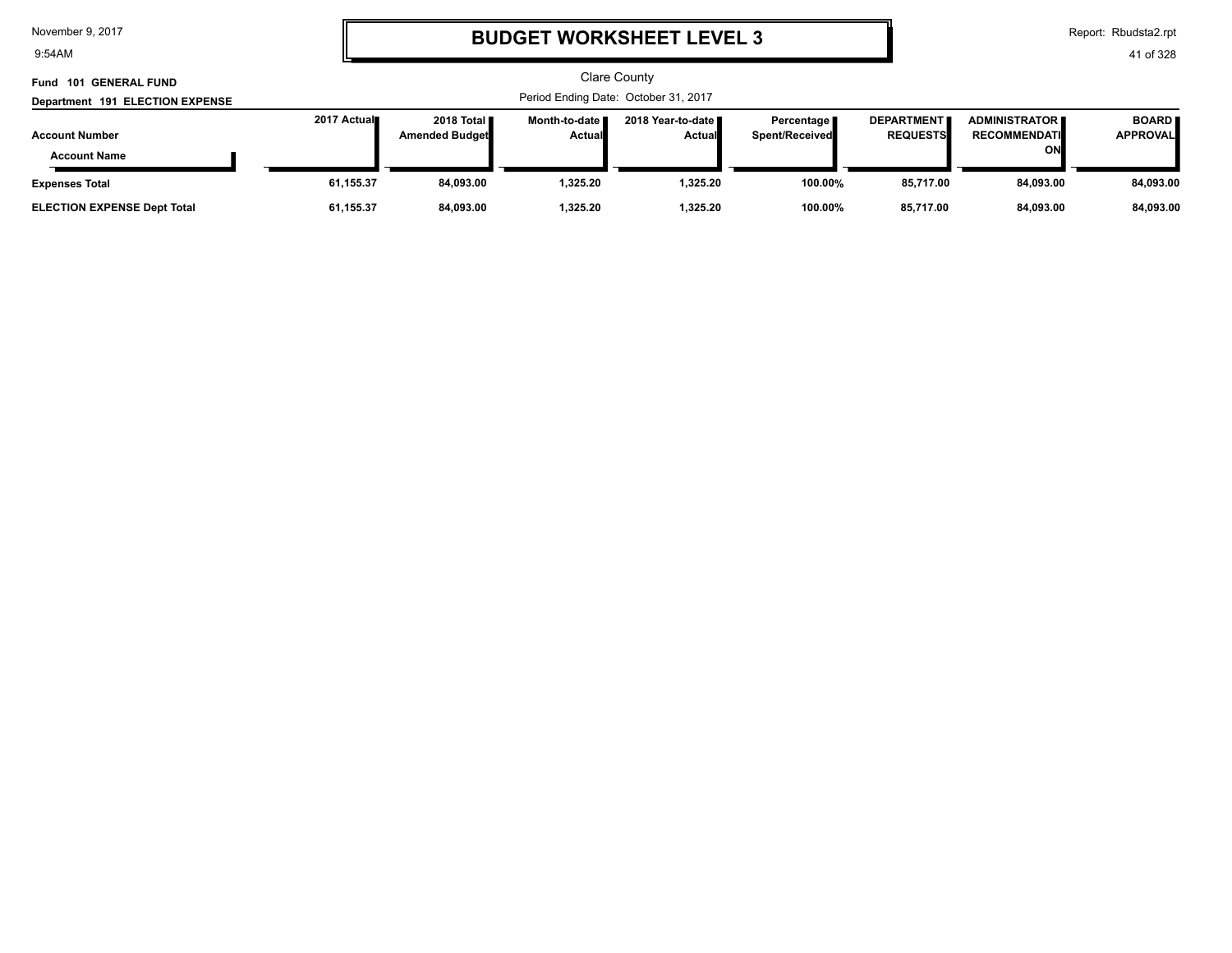9:54AM

# **BUDGET WORKSHEET LEVEL 3**

Report: Rbudsta2.rpt

| Fund 101 GENERAL FUND                        |                                      |                                        |                                  | <b>Clare County</b>                  |                                |                                      |                                                   |                                 |  |
|----------------------------------------------|--------------------------------------|----------------------------------------|----------------------------------|--------------------------------------|--------------------------------|--------------------------------------|---------------------------------------------------|---------------------------------|--|
| Department 191 ELECTION EXPENSE              | Period Ending Date: October 31, 2017 |                                        |                                  |                                      |                                |                                      |                                                   |                                 |  |
| <b>Account Number</b><br><b>Account Name</b> | 2017 Actual                          | 2018 Total <b>II</b><br>Amended Budget | Month-to-date I<br><b>Actual</b> | 2018 Year-to-date ■<br><b>Actual</b> | Percentage I<br>Spent/Received | <b>DEPARTMENT</b><br><b>REQUESTS</b> | <b>ADMINISTRATOR</b><br><b>RECOMMENDATI</b><br>ON | <b>BOARD</b><br><b>APPROVAL</b> |  |
| <b>Expenses Total</b>                        | 61,155.37                            | 84,093.00                              | 325.20. ا                        | 1.325.20                             | 100.00%                        | 85,717.00                            | 84.093.00                                         | 84,093.00                       |  |
| <b>ELECTION EXPENSE Dept Total</b>           | 61,155.37                            | 84.093.00                              | 1.325.20                         | 1.325.20                             | 100.00%                        | 85.717.00                            | 84.093.00                                         | 84,093.00                       |  |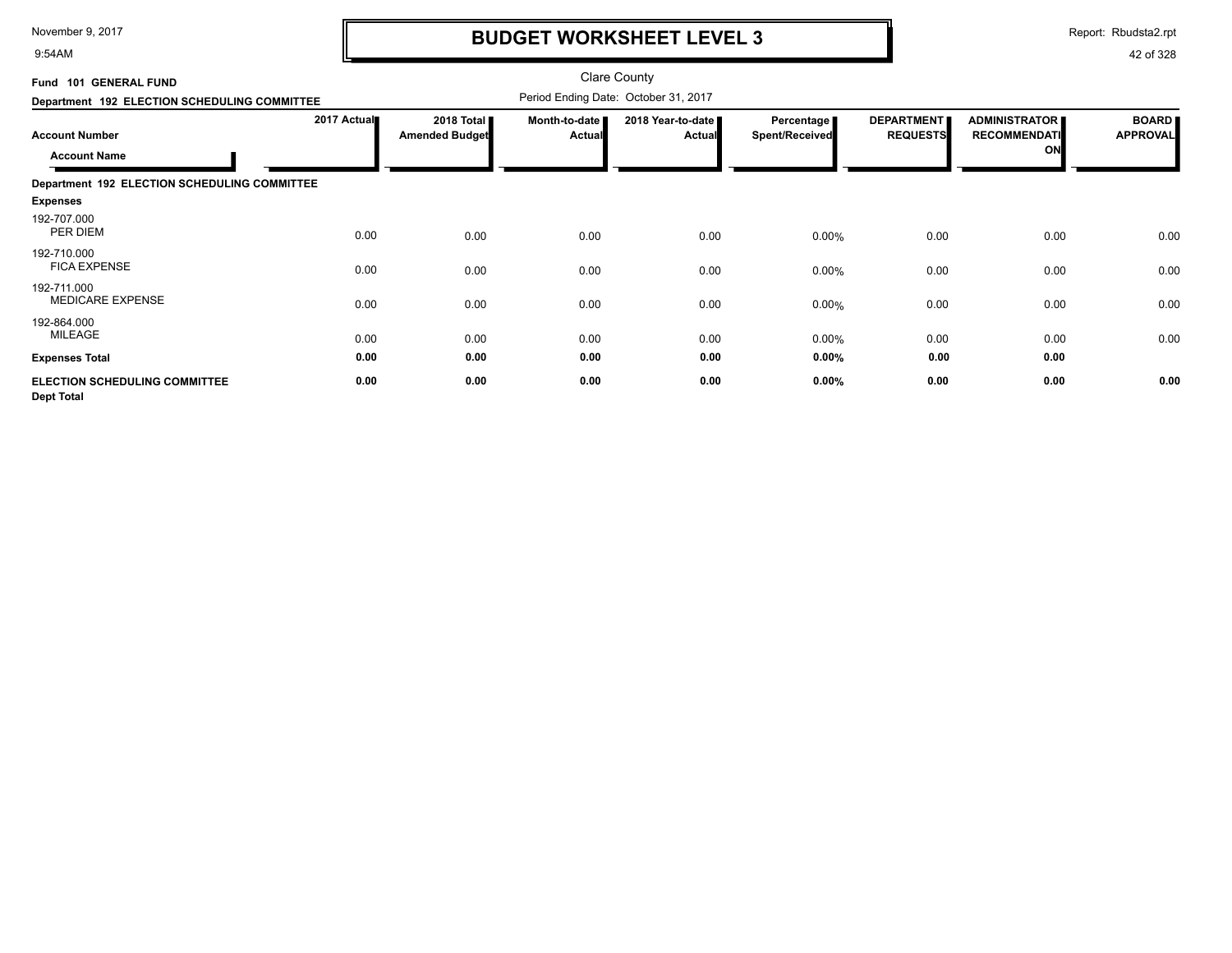9:54AM

## **BUDGET WORKSHEET LEVEL 3**

Report: Rbudsta2.rpt

| Fund 101 GENERAL FUND                                     |             |                                     |                         | <b>Clare County</b>                  |                              |                                      |                                                   |                                 |
|-----------------------------------------------------------|-------------|-------------------------------------|-------------------------|--------------------------------------|------------------------------|--------------------------------------|---------------------------------------------------|---------------------------------|
| Department 192 ELECTION SCHEDULING COMMITTEE              |             |                                     |                         | Period Ending Date: October 31, 2017 |                              |                                      |                                                   |                                 |
| <b>Account Number</b><br><b>Account Name</b>              | 2017 Actual | 2018 Total<br><b>Amended Budget</b> | Month-to-date<br>Actual | 2018 Year-to-date<br><b>Actual</b>   | Percentage<br>Spent/Received | <b>DEPARTMENT</b><br><b>REQUESTS</b> | <b>ADMINISTRATOR</b><br><b>RECOMMENDATI</b><br>ON | <b>BOARD</b><br><b>APPROVAL</b> |
| Department 192 ELECTION SCHEDULING COMMITTEE              |             |                                     |                         |                                      |                              |                                      |                                                   |                                 |
| <b>Expenses</b>                                           |             |                                     |                         |                                      |                              |                                      |                                                   |                                 |
| 192-707.000<br>PER DIEM                                   | 0.00        | 0.00                                | 0.00                    | 0.00                                 | 0.00%                        | 0.00                                 | 0.00                                              | 0.00                            |
| 192-710.000<br><b>FICA EXPENSE</b>                        | 0.00        | 0.00                                | 0.00                    | 0.00                                 | 0.00%                        | 0.00                                 | 0.00                                              | 0.00                            |
| 192-711.000<br><b>MEDICARE EXPENSE</b>                    | 0.00        | 0.00                                | 0.00                    | 0.00                                 | 0.00%                        | 0.00                                 | 0.00                                              | 0.00                            |
| 192-864.000<br>MILEAGE                                    | 0.00        | 0.00                                | 0.00                    | 0.00                                 | 0.00%                        | 0.00                                 | 0.00                                              | 0.00                            |
| <b>Expenses Total</b>                                     | 0.00        | 0.00                                | 0.00                    | 0.00                                 | 0.00%                        | 0.00                                 | 0.00                                              |                                 |
| <b>ELECTION SCHEDULING COMMITTEE</b><br><b>Dept Total</b> | 0.00        | 0.00                                | 0.00                    | 0.00                                 | 0.00%                        | 0.00                                 | 0.00                                              | 0.00                            |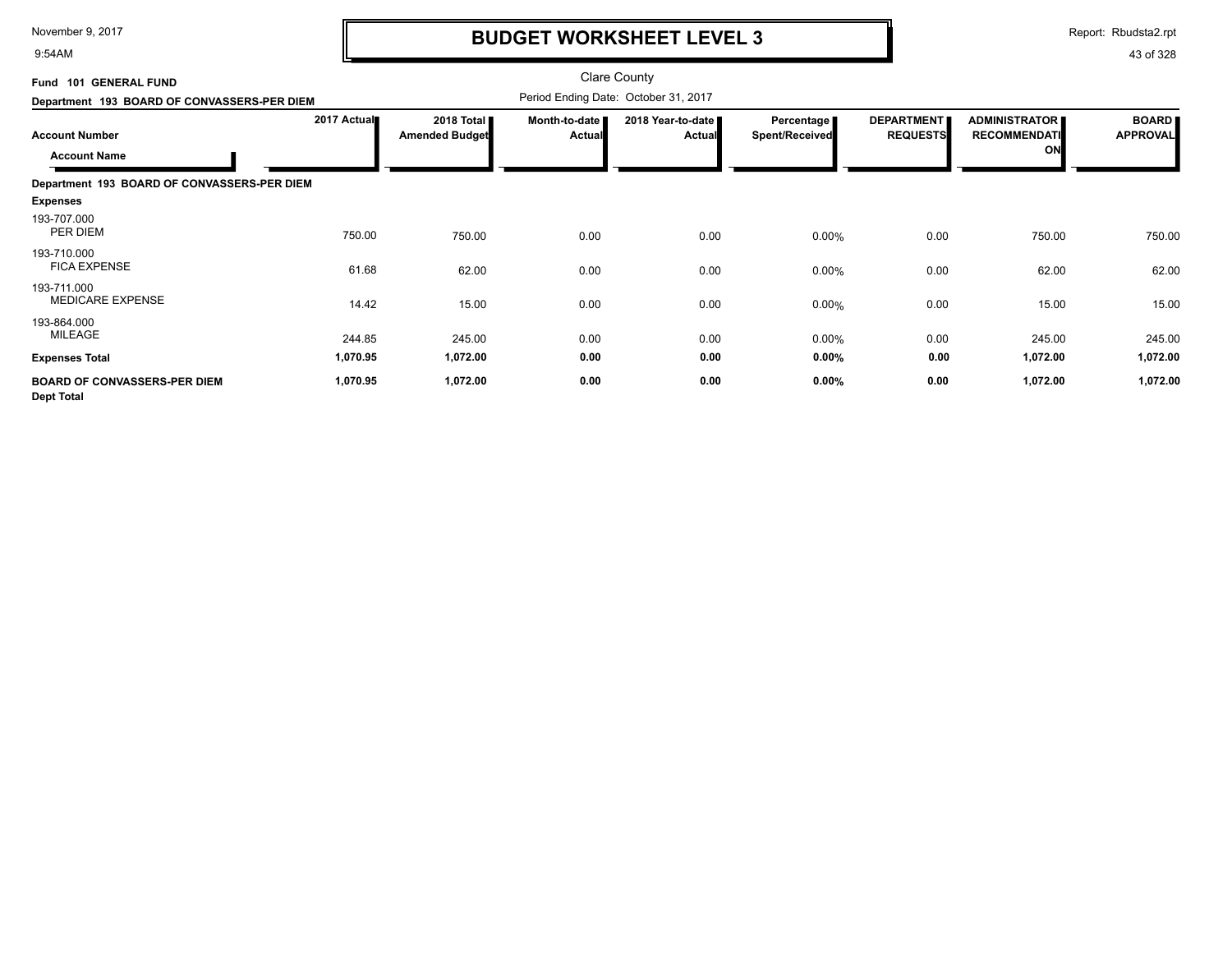9:54AM

## **BUDGET WORKSHEET LEVEL 3**

Report: Rbudsta2.rpt

| Fund 101 GENERAL FUND                                    |             |                                     |                                | <b>Clare County</b>                  |                                            |                                      |                                                   |                                 |
|----------------------------------------------------------|-------------|-------------------------------------|--------------------------------|--------------------------------------|--------------------------------------------|--------------------------------------|---------------------------------------------------|---------------------------------|
| Department 193 BOARD OF CONVASSERS-PER DIEM              |             |                                     |                                | Period Ending Date: October 31, 2017 |                                            |                                      |                                                   |                                 |
| <b>Account Number</b><br><b>Account Name</b>             | 2017 Actual | 2018 Total<br><b>Amended Budget</b> | Month-to-date<br><b>Actual</b> | 2018 Year-to-date<br>Actual          | <b>Percentage</b><br><b>Spent/Received</b> | <b>DEPARTMENT</b><br><b>REQUESTS</b> | <b>ADMINISTRATOR</b><br><b>RECOMMENDATI</b><br>ON | <b>BOARD</b><br><b>APPROVAL</b> |
| Department 193 BOARD OF CONVASSERS-PER DIEM              |             |                                     |                                |                                      |                                            |                                      |                                                   |                                 |
| <b>Expenses</b>                                          |             |                                     |                                |                                      |                                            |                                      |                                                   |                                 |
| 193-707.000<br>PER DIEM                                  | 750.00      | 750.00                              | 0.00                           | 0.00                                 | 0.00%                                      | 0.00                                 | 750.00                                            | 750.00                          |
| 193-710.000<br><b>FICA EXPENSE</b>                       | 61.68       | 62.00                               | 0.00                           | 0.00                                 | 0.00%                                      | 0.00                                 | 62.00                                             | 62.00                           |
| 193-711.000<br><b>MEDICARE EXPENSE</b>                   | 14.42       | 15.00                               | 0.00                           | 0.00                                 | 0.00%                                      | 0.00                                 | 15.00                                             | 15.00                           |
| 193-864.000<br>MILEAGE                                   | 244.85      | 245.00                              | 0.00                           | 0.00                                 | 0.00%                                      | 0.00                                 | 245.00                                            | 245.00                          |
| <b>Expenses Total</b>                                    | 1,070.95    | 1,072.00                            | 0.00                           | 0.00                                 | 0.00%                                      | 0.00                                 | 1,072.00                                          | 1,072.00                        |
| <b>BOARD OF CONVASSERS-PER DIEM</b><br><b>Dept Total</b> | 1,070.95    | 1,072.00                            | 0.00                           | 0.00                                 | 0.00%                                      | 0.00                                 | 1,072.00                                          | 1,072.00                        |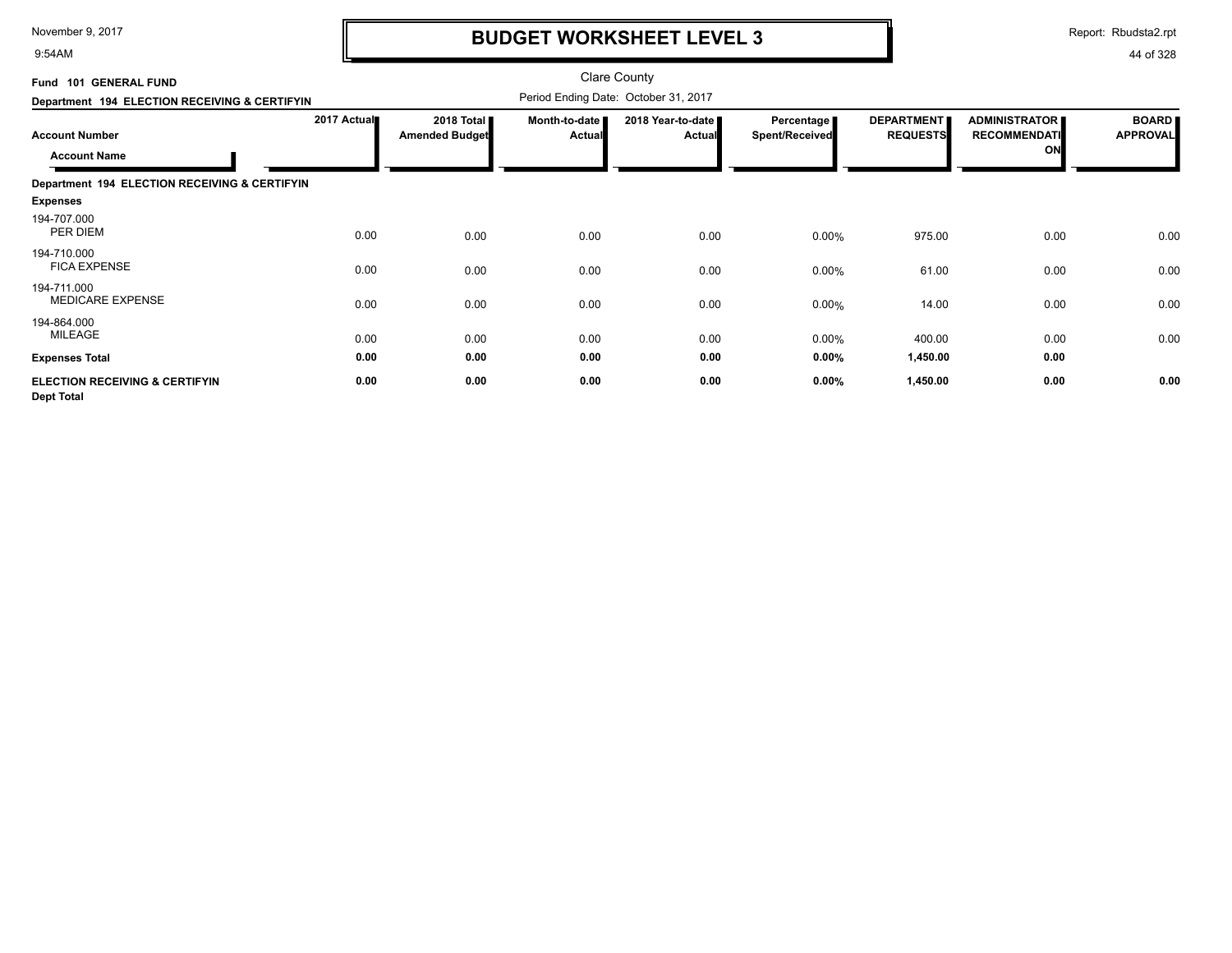9:54AM

## **BUDGET WORKSHEET LEVEL 3**

Report: Rbudsta2.rpt

| Fund 101 GENERAL FUND                                          |             |                                     |                           | <b>Clare County</b>                  |                                     |                                      |                                                   |                                 |
|----------------------------------------------------------------|-------------|-------------------------------------|---------------------------|--------------------------------------|-------------------------------------|--------------------------------------|---------------------------------------------------|---------------------------------|
| Department 194 ELECTION RECEIVING & CERTIFYIN                  |             |                                     |                           | Period Ending Date: October 31, 2017 |                                     |                                      |                                                   |                                 |
| <b>Account Number</b><br><b>Account Name</b>                   | 2017 Actual | 2018 Total<br><b>Amended Budget</b> | Month-to-date I<br>Actual | 2018 Year-to-date<br><b>Actual</b>   | Percentage<br><b>Spent/Received</b> | <b>DEPARTMENT</b><br><b>REQUESTS</b> | <b>ADMINISTRATOR</b><br><b>RECOMMENDATI</b><br>ON | <b>BOARD</b><br><b>APPROVAL</b> |
| Department 194 ELECTION RECEIVING & CERTIFYIN                  |             |                                     |                           |                                      |                                     |                                      |                                                   |                                 |
| <b>Expenses</b>                                                |             |                                     |                           |                                      |                                     |                                      |                                                   |                                 |
| 194-707.000<br>PER DIEM                                        | 0.00        | 0.00                                | 0.00                      | 0.00                                 | 0.00%                               | 975.00                               | 0.00                                              | 0.00                            |
| 194-710.000<br><b>FICA EXPENSE</b>                             | 0.00        | 0.00                                | 0.00                      | 0.00                                 | 0.00%                               | 61.00                                | 0.00                                              | 0.00                            |
| 194-711.000<br><b>MEDICARE EXPENSE</b>                         | 0.00        | 0.00                                | 0.00                      | 0.00                                 | 0.00%                               | 14.00                                | 0.00                                              | 0.00                            |
| 194-864.000<br>MILEAGE                                         | 0.00        | 0.00                                | 0.00                      | 0.00                                 | 0.00%                               | 400.00                               | 0.00                                              | 0.00                            |
| <b>Expenses Total</b>                                          | 0.00        | 0.00                                | 0.00                      | 0.00                                 | 0.00%                               | 1,450.00                             | 0.00                                              |                                 |
| <b>ELECTION RECEIVING &amp; CERTIFYIN</b><br><b>Dept Total</b> | 0.00        | 0.00                                | 0.00                      | 0.00                                 | 0.00%                               | 1,450.00                             | 0.00                                              | 0.00                            |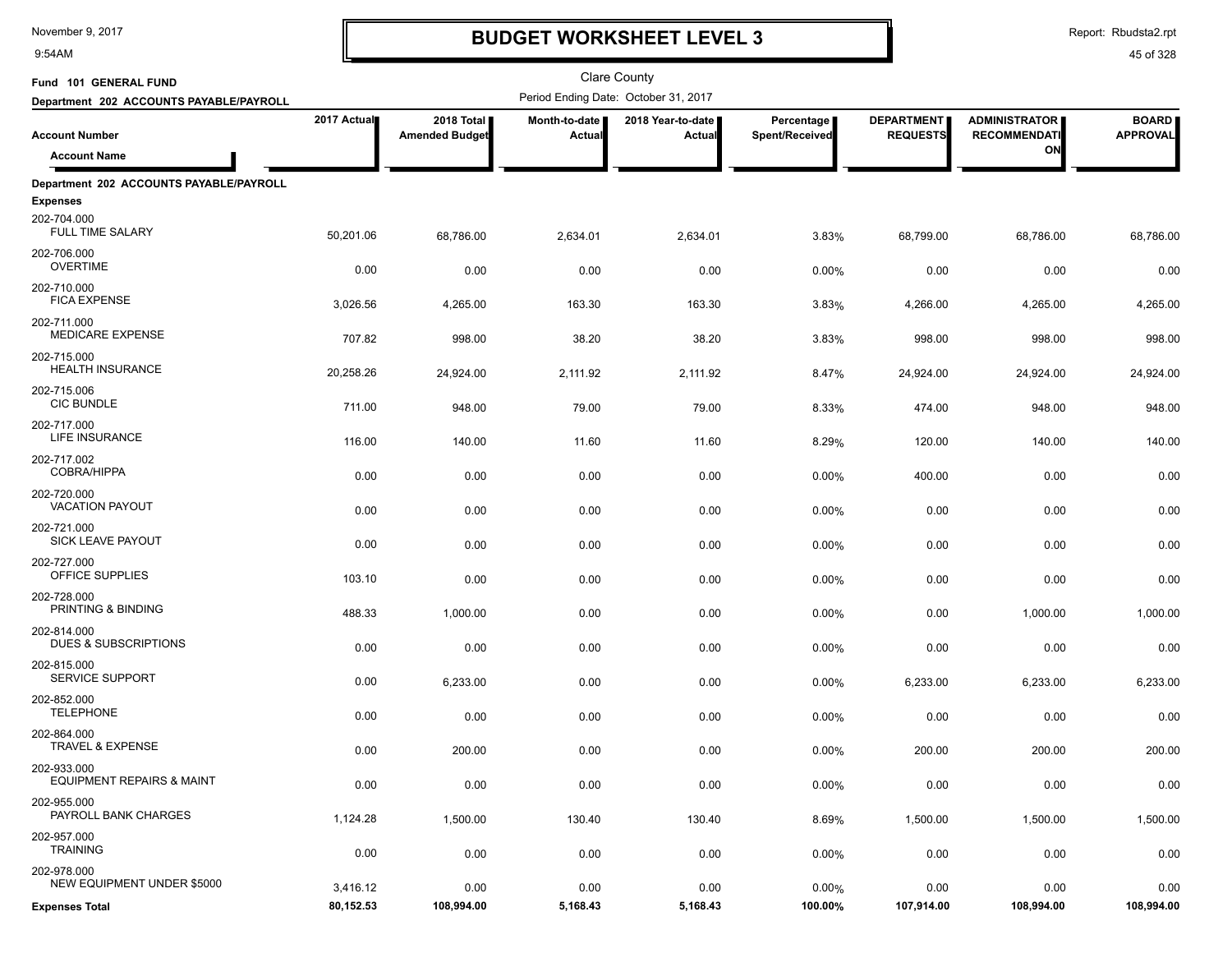9:54AM

## **BUDGET WORKSHEET LEVEL 3**

Report: Rbudsta2.rpt

| Fund 101 GENERAL FUND                                                     |             |                                     |                         | Clare County                         |                              |                                      |                                             |                                 |
|---------------------------------------------------------------------------|-------------|-------------------------------------|-------------------------|--------------------------------------|------------------------------|--------------------------------------|---------------------------------------------|---------------------------------|
| Department 202 ACCOUNTS PAYABLE/PAYROLL                                   |             |                                     |                         | Period Ending Date: October 31, 2017 |                              |                                      |                                             |                                 |
| <b>Account Number</b>                                                     | 2017 Actual | 2018 Total<br><b>Amended Budget</b> | Month-to-date<br>Actual | 2018 Year-to-date  <br>Actual        | Percentage<br>Spent/Received | <b>DEPARTMENT</b><br><b>REQUESTS</b> | <b>ADMINISTRATOR</b><br><b>RECOMMENDATI</b> | <b>BOARD</b><br><b>APPROVAL</b> |
| <b>Account Name</b>                                                       |             |                                     |                         |                                      |                              |                                      | ON                                          |                                 |
| Department 202 ACCOUNTS PAYABLE/PAYROLL<br><b>Expenses</b><br>202-704.000 |             |                                     |                         |                                      |                              |                                      |                                             |                                 |
| <b>FULL TIME SALARY</b>                                                   | 50,201.06   | 68,786.00                           | 2,634.01                | 2,634.01                             | 3.83%                        | 68,799.00                            | 68,786.00                                   | 68,786.00                       |
| 202-706.000<br><b>OVERTIME</b>                                            | 0.00        | 0.00                                | 0.00                    | 0.00                                 | 0.00%                        | 0.00                                 | 0.00                                        | 0.00                            |
| 202-710.000<br><b>FICA EXPENSE</b>                                        | 3,026.56    | 4,265.00                            | 163.30                  | 163.30                               | 3.83%                        | 4,266.00                             | 4,265.00                                    | 4,265.00                        |
| 202-711.000<br><b>MEDICARE EXPENSE</b>                                    | 707.82      | 998.00                              | 38.20                   | 38.20                                | 3.83%                        | 998.00                               | 998.00                                      | 998.00                          |
| 202-715.000<br><b>HEALTH INSURANCE</b>                                    | 20,258.26   | 24,924.00                           | 2,111.92                | 2,111.92                             | 8.47%                        | 24,924.00                            | 24,924.00                                   | 24,924.00                       |
| 202-715.006<br><b>CIC BUNDLE</b>                                          | 711.00      | 948.00                              | 79.00                   | 79.00                                | 8.33%                        | 474.00                               | 948.00                                      | 948.00                          |
| 202-717.000<br>LIFE INSURANCE                                             | 116.00      | 140.00                              | 11.60                   | 11.60                                | 8.29%                        | 120.00                               | 140.00                                      | 140.00                          |
| 202-717.002<br><b>COBRA/HIPPA</b>                                         | 0.00        | 0.00                                | 0.00                    | 0.00                                 | 0.00%                        | 400.00                               | 0.00                                        | 0.00                            |
| 202-720.000<br><b>VACATION PAYOUT</b>                                     | 0.00        | 0.00                                | 0.00                    | 0.00                                 | 0.00%                        | 0.00                                 | 0.00                                        | 0.00                            |
| 202-721.000<br><b>SICK LEAVE PAYOUT</b><br>202-727.000                    | 0.00        | 0.00                                | 0.00                    | 0.00                                 | 0.00%                        | 0.00                                 | 0.00                                        | 0.00                            |
| OFFICE SUPPLIES                                                           | 103.10      | 0.00                                | 0.00                    | 0.00                                 | 0.00%                        | 0.00                                 | 0.00                                        | 0.00                            |
| 202-728.000<br>PRINTING & BINDING<br>202-814.000                          | 488.33      | 1,000.00                            | 0.00                    | 0.00                                 | 0.00%                        | 0.00                                 | 1,000.00                                    | 1,000.00                        |
| DUES & SUBSCRIPTIONS<br>202-815.000                                       | 0.00        | 0.00                                | 0.00                    | 0.00                                 | 0.00%                        | 0.00                                 | 0.00                                        | 0.00                            |
| <b>SERVICE SUPPORT</b><br>202-852.000                                     | 0.00        | 6,233.00                            | 0.00                    | 0.00                                 | 0.00%                        | 6,233.00                             | 6,233.00                                    | 6,233.00                        |
| <b>TELEPHONE</b><br>202-864.000                                           | 0.00        | 0.00                                | 0.00                    | 0.00                                 | 0.00%                        | 0.00                                 | 0.00                                        | 0.00                            |
| <b>TRAVEL &amp; EXPENSE</b>                                               | 0.00        | 200.00                              | 0.00                    | 0.00                                 | 0.00%                        | 200.00                               | 200.00                                      | 200.00                          |
| 202-933.000<br><b>EQUIPMENT REPAIRS &amp; MAINT</b>                       | 0.00        | 0.00                                | 0.00                    | 0.00                                 | 0.00%                        | 0.00                                 | 0.00                                        | 0.00                            |
| 202-955.000<br>PAYROLL BANK CHARGES<br>202-957.000                        | 1,124.28    | 1,500.00                            | 130.40                  | 130.40                               | 8.69%                        | 1,500.00                             | 1,500.00                                    | 1,500.00                        |
| <b>TRAINING</b>                                                           | 0.00        | 0.00                                | 0.00                    | 0.00                                 | 0.00%                        | 0.00                                 | 0.00                                        | 0.00                            |
| 202-978.000<br>NEW EQUIPMENT UNDER \$5000                                 | 3,416.12    | 0.00                                | 0.00                    | 0.00                                 | 0.00%                        | 0.00                                 | 0.00                                        | 0.00                            |
| <b>Expenses Total</b>                                                     | 80,152.53   | 108,994.00                          | 5,168.43                | 5,168.43                             | 100.00%                      | 107,914.00                           | 108,994.00                                  | 108,994.00                      |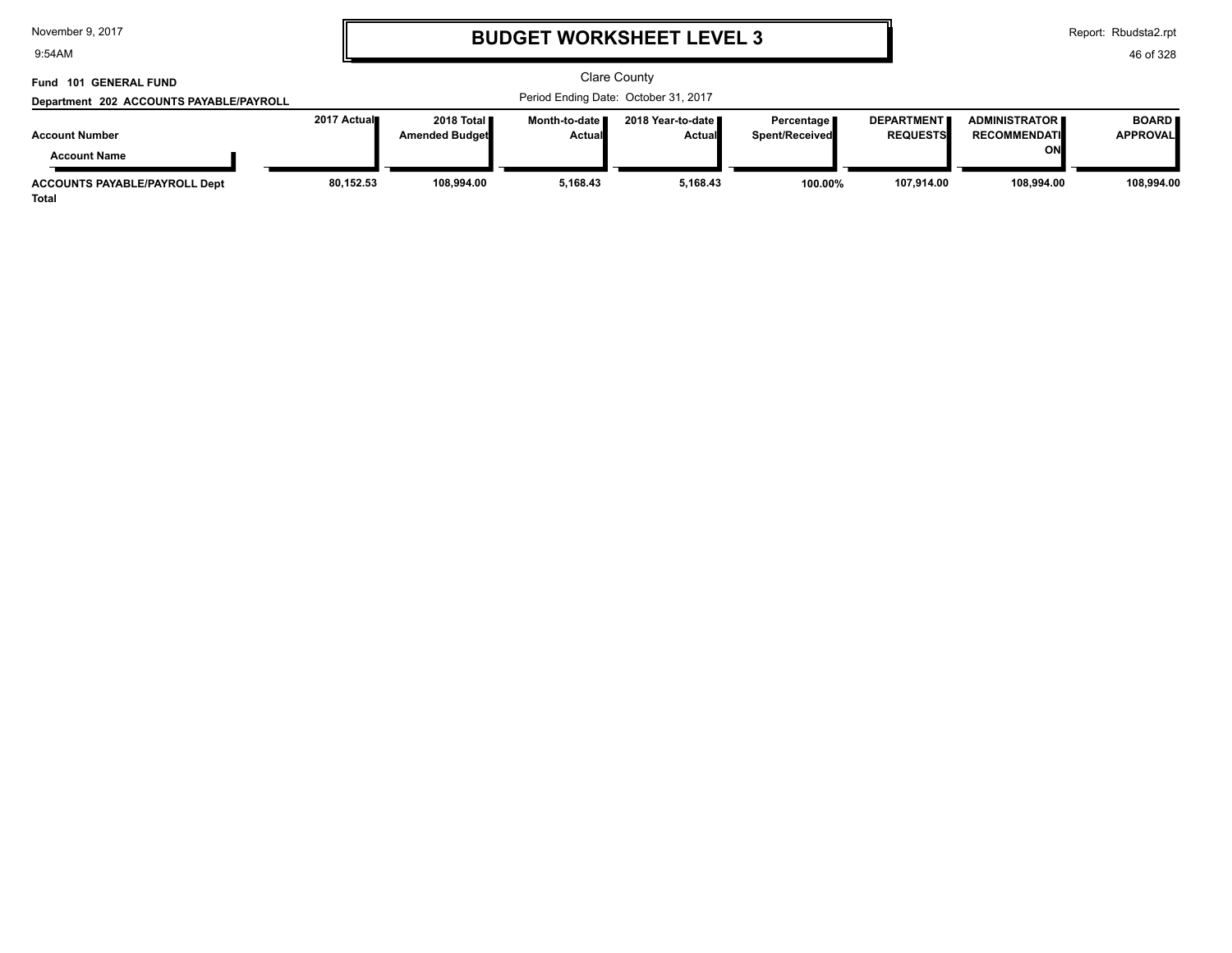9:54AM

# **BUDGET WORKSHEET LEVEL 3**

Report: Rbudsta2.rpt

| Fund 101 GENERAL FUND                                |              |                                       |                           | <b>Clare County</b>                  |                                       |                                      |                                                   |                                 |
|------------------------------------------------------|--------------|---------------------------------------|---------------------------|--------------------------------------|---------------------------------------|--------------------------------------|---------------------------------------------------|---------------------------------|
| Department 202 ACCOUNTS PAYABLE/PAYROLL              |              | Period Ending Date: October 31, 2017  |                           |                                      |                                       |                                      |                                                   |                                 |
| <b>Account Number</b><br><b>Account Name</b>         | 2017 Actual∎ | 2018 Total <b>I</b><br>Amended Budget | Month-to-date I<br>Actual | 2018 Year-to-date ∎<br><b>Actual</b> | Percentage  <br><b>Spent/Received</b> | <b>DEPARTMENT</b><br><b>REQUESTS</b> | <b>ADMINISTRATOR</b><br><b>RECOMMENDATI</b><br>ΟN | <b>BOARD</b><br><b>APPROVAL</b> |
| <b>ACCOUNTS PAYABLE/PAYROLL Dept</b><br><b>Total</b> | 80,152.53    | 108,994.00                            | 5,168.43                  | 5,168.43                             | 100.00%                               | 107,914.00                           | 108.994.00                                        | 108.994.00                      |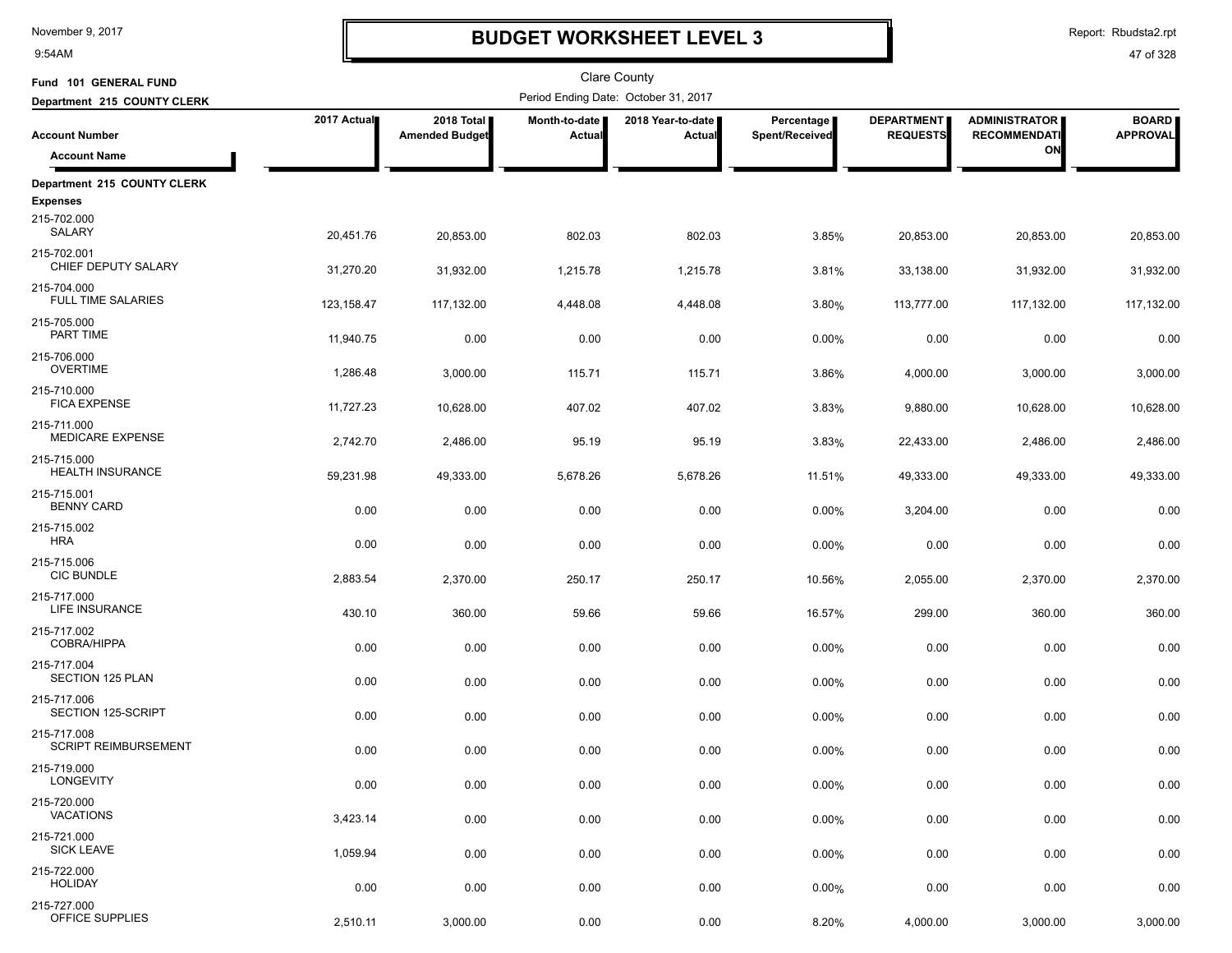9:54AM

## **BUDGET WORKSHEET LEVEL 3**

Report: Rbudsta2.rpt

| Fund 101 GENERAL FUND                          |             |                                     |                         | Clare County                         |                              |                                      |                                             |                                 |
|------------------------------------------------|-------------|-------------------------------------|-------------------------|--------------------------------------|------------------------------|--------------------------------------|---------------------------------------------|---------------------------------|
| Department 215 COUNTY CLERK                    |             |                                     |                         | Period Ending Date: October 31, 2017 |                              |                                      |                                             |                                 |
| <b>Account Number</b>                          | 2017 Actual | 2018 Total<br><b>Amended Budget</b> | Month-to-date<br>Actual | 2018 Year-to-date<br>Actual          | Percentage<br>Spent/Received | <b>DEPARTMENT</b><br><b>REQUESTS</b> | <b>ADMINISTRATOR</b><br><b>RECOMMENDATI</b> | <b>BOARD</b><br><b>APPROVAL</b> |
| <b>Account Name</b>                            |             |                                     |                         |                                      |                              |                                      | ON                                          |                                 |
| Department 215 COUNTY CLERK                    |             |                                     |                         |                                      |                              |                                      |                                             |                                 |
| <b>Expenses</b><br>215-702.000<br>SALARY       | 20,451.76   | 20,853.00                           | 802.03                  | 802.03                               | 3.85%                        | 20,853.00                            | 20,853.00                                   | 20,853.00                       |
| 215-702.001<br>CHIEF DEPUTY SALARY             | 31,270.20   | 31,932.00                           | 1,215.78                | 1,215.78                             | 3.81%                        | 33,138.00                            | 31,932.00                                   | 31,932.00                       |
| 215-704.000<br><b>FULL TIME SALARIES</b>       | 123, 158.47 | 117,132.00                          | 4,448.08                | 4,448.08                             | 3.80%                        | 113,777.00                           | 117,132.00                                  | 117,132.00                      |
| 215-705.000<br>PART TIME                       | 11,940.75   | 0.00                                | 0.00                    | 0.00                                 | 0.00%                        | 0.00                                 | 0.00                                        | 0.00                            |
| 215-706.000<br><b>OVERTIME</b>                 | 1,286.48    | 3,000.00                            | 115.71                  | 115.71                               | 3.86%                        | 4,000.00                             | 3,000.00                                    | 3,000.00                        |
| 215-710.000<br><b>FICA EXPENSE</b>             | 11,727.23   | 10,628.00                           | 407.02                  | 407.02                               | 3.83%                        | 9,880.00                             | 10,628.00                                   | 10,628.00                       |
| 215-711.000<br>MEDICARE EXPENSE<br>215-715.000 | 2,742.70    | 2,486.00                            | 95.19                   | 95.19                                | 3.83%                        | 22,433.00                            | 2,486.00                                    | 2,486.00                        |
| <b>HEALTH INSURANCE</b><br>215-715.001         | 59,231.98   | 49,333.00                           | 5,678.26                | 5,678.26                             | 11.51%                       | 49,333.00                            | 49,333.00                                   | 49,333.00                       |
| <b>BENNY CARD</b><br>215-715.002               | 0.00        | 0.00                                | 0.00                    | 0.00                                 | 0.00%                        | 3,204.00                             | 0.00                                        | 0.00                            |
| <b>HRA</b><br>215-715.006                      | 0.00        | 0.00                                | 0.00                    | 0.00                                 | 0.00%                        | 0.00                                 | 0.00                                        | 0.00                            |
| <b>CIC BUNDLE</b><br>215-717.000               | 2,883.54    | 2,370.00                            | 250.17                  | 250.17                               | 10.56%                       | 2,055.00                             | 2,370.00                                    | 2,370.00                        |
| LIFE INSURANCE<br>215-717.002                  | 430.10      | 360.00                              | 59.66                   | 59.66                                | 16.57%                       | 299.00                               | 360.00                                      | 360.00                          |
| COBRA/HIPPA<br>215-717.004                     | 0.00        | 0.00                                | 0.00                    | 0.00                                 | 0.00%                        | 0.00                                 | 0.00                                        | 0.00                            |
| SECTION 125 PLAN<br>215-717.006                | 0.00        | 0.00                                | 0.00                    | 0.00                                 | 0.00%                        | 0.00                                 | 0.00                                        | 0.00                            |
| SECTION 125-SCRIPT<br>215-717.008              | 0.00        | 0.00                                | 0.00                    | 0.00                                 | 0.00%                        | 0.00                                 | 0.00                                        | 0.00                            |
| <b>SCRIPT REIMBURSEMENT</b><br>215-719.000     | 0.00        | 0.00                                | 0.00                    | 0.00                                 | 0.00%                        | 0.00                                 | 0.00                                        | 0.00                            |
| LONGEVITY                                      | 0.00        | 0.00                                | 0.00                    | 0.00                                 | 0.00%                        | 0.00                                 | 0.00                                        | 0.00                            |
| 215-720.000<br><b>VACATIONS</b>                | 3,423.14    | 0.00                                | 0.00                    | 0.00                                 | 0.00%                        | 0.00                                 | 0.00                                        | 0.00                            |
| 215-721.000<br><b>SICK LEAVE</b>               | 1,059.94    | 0.00                                | 0.00                    | 0.00                                 | 0.00%                        | 0.00                                 | 0.00                                        | 0.00                            |
| 215-722.000<br><b>HOLIDAY</b>                  | 0.00        | 0.00                                | 0.00                    | 0.00                                 | 0.00%                        | 0.00                                 | 0.00                                        | 0.00                            |
| 215-727.000<br>OFFICE SUPPLIES                 | 2,510.11    | 3,000.00                            | 0.00                    | 0.00                                 | 8.20%                        | 4,000.00                             | 3,000.00                                    | 3,000.00                        |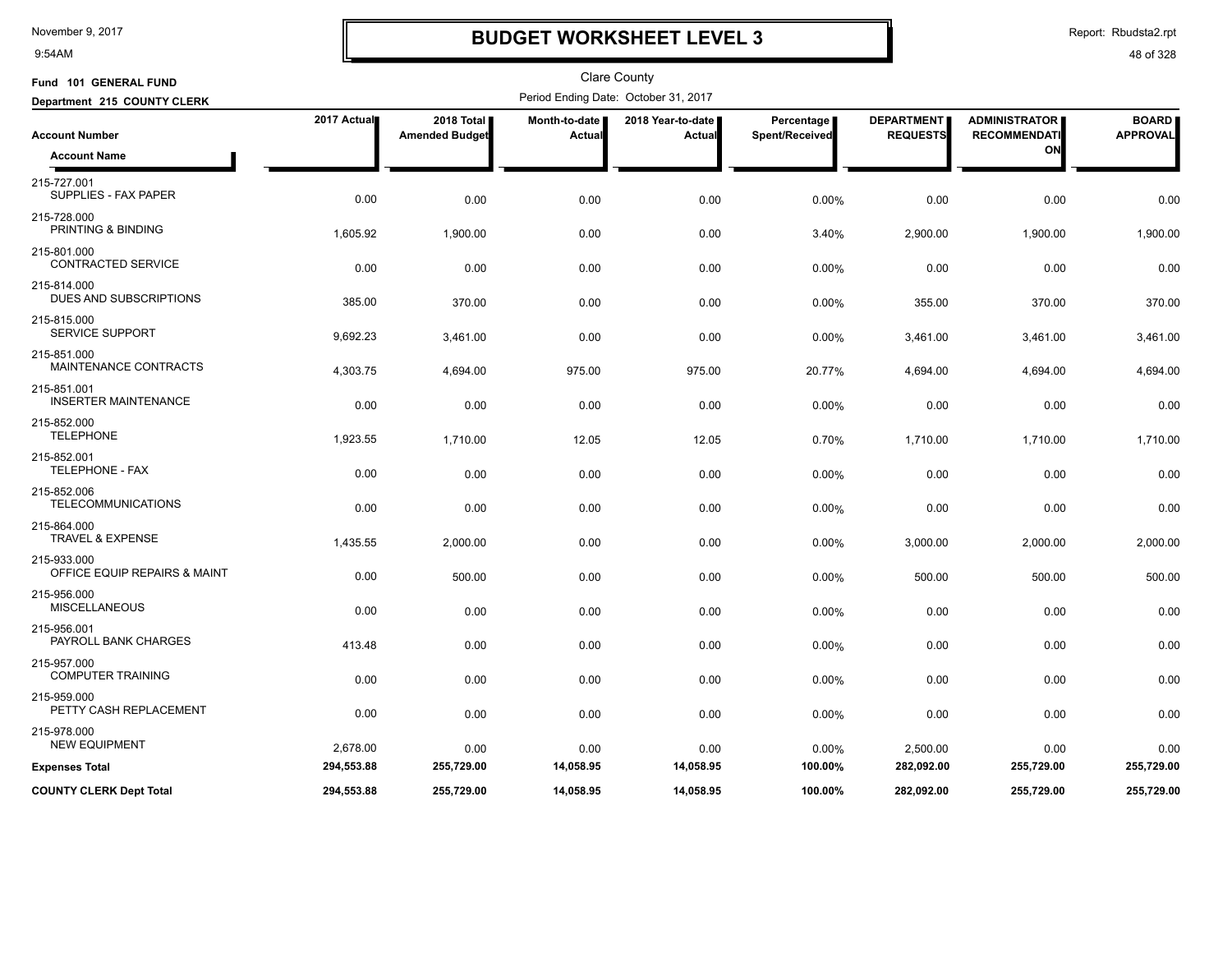9:54AM

## **BUDGET WORKSHEET LEVEL 3**

Report: Rbudsta2.rpt

| Fund 101 GENERAL FUND                       |             |                                     |                         | Clare County                         |                              |                                      |                                             |                                 |
|---------------------------------------------|-------------|-------------------------------------|-------------------------|--------------------------------------|------------------------------|--------------------------------------|---------------------------------------------|---------------------------------|
| Department 215 COUNTY CLERK                 |             |                                     |                         | Period Ending Date: October 31, 2017 |                              |                                      |                                             |                                 |
| <b>Account Number</b>                       | 2017 Actual | 2018 Total<br><b>Amended Budget</b> | Month-to-date<br>Actual | 2018 Year-to-date<br>Actual          | Percentage<br>Spent/Received | <b>DEPARTMENT</b><br><b>REQUESTS</b> | <b>ADMINISTRATOR</b><br><b>RECOMMENDATI</b> | <b>BOARD</b><br><b>APPROVAL</b> |
| <b>Account Name</b>                         |             |                                     |                         |                                      |                              |                                      | ON                                          |                                 |
| 215-727.001<br>SUPPLIES - FAX PAPER         | 0.00        | 0.00                                | 0.00                    | 0.00                                 | 0.00%                        | 0.00                                 | 0.00                                        | 0.00                            |
| 215-728.000<br>PRINTING & BINDING           | 1,605.92    | 1,900.00                            | 0.00                    | 0.00                                 | 3.40%                        | 2,900.00                             | 1,900.00                                    | 1,900.00                        |
| 215-801.000<br><b>CONTRACTED SERVICE</b>    | 0.00        | 0.00                                | 0.00                    | 0.00                                 | 0.00%                        | 0.00                                 | 0.00                                        | 0.00                            |
| 215-814.000<br>DUES AND SUBSCRIPTIONS       | 385.00      | 370.00                              | 0.00                    | 0.00                                 | 0.00%                        | 355.00                               | 370.00                                      | 370.00                          |
| 215-815.000<br><b>SERVICE SUPPORT</b>       | 9,692.23    | 3,461.00                            | 0.00                    | 0.00                                 | 0.00%                        | 3,461.00                             | 3,461.00                                    | 3,461.00                        |
| 215-851.000<br><b>MAINTENANCE CONTRACTS</b> | 4,303.75    | 4,694.00                            | 975.00                  | 975.00                               | 20.77%                       | 4,694.00                             | 4,694.00                                    | 4,694.00                        |
| 215-851.001<br><b>INSERTER MAINTENANCE</b>  | 0.00        | 0.00                                | 0.00                    | 0.00                                 | 0.00%                        | 0.00                                 | 0.00                                        | 0.00                            |
| 215-852.000<br><b>TELEPHONE</b>             | 1,923.55    | 1,710.00                            | 12.05                   | 12.05                                | 0.70%                        | 1,710.00                             | 1,710.00                                    | 1,710.00                        |
| 215-852.001<br>TELEPHONE - FAX              | 0.00        | 0.00                                | 0.00                    | 0.00                                 | 0.00%                        | 0.00                                 | 0.00                                        | 0.00                            |
| 215-852.006<br><b>TELECOMMUNICATIONS</b>    | 0.00        | 0.00                                | 0.00                    | 0.00                                 | 0.00%                        | 0.00                                 | 0.00                                        | 0.00                            |
| 215-864.000<br><b>TRAVEL &amp; EXPENSE</b>  | 1,435.55    | 2,000.00                            | 0.00                    | 0.00                                 | 0.00%                        | 3,000.00                             | 2,000.00                                    | 2,000.00                        |
| 215-933.000<br>OFFICE EQUIP REPAIRS & MAINT | 0.00        | 500.00                              | 0.00                    | 0.00                                 | 0.00%                        | 500.00                               | 500.00                                      | 500.00                          |
| 215-956.000<br><b>MISCELLANEOUS</b>         | 0.00        | 0.00                                | 0.00                    | 0.00                                 | 0.00%                        | 0.00                                 | 0.00                                        | 0.00                            |
| 215-956.001<br>PAYROLL BANK CHARGES         | 413.48      | 0.00                                | 0.00                    | 0.00                                 | 0.00%                        | 0.00                                 | 0.00                                        | 0.00                            |
| 215-957.000<br><b>COMPUTER TRAINING</b>     | 0.00        | 0.00                                | 0.00                    | 0.00                                 | 0.00%                        | 0.00                                 | 0.00                                        | 0.00                            |
| 215-959.000<br>PETTY CASH REPLACEMENT       | 0.00        | 0.00                                | 0.00                    | 0.00                                 | 0.00%                        | 0.00                                 | 0.00                                        | 0.00                            |
| 215-978.000<br><b>NEW EQUIPMENT</b>         | 2,678.00    | 0.00                                | 0.00                    | 0.00                                 | 0.00%                        | 2,500.00                             | 0.00                                        | 0.00                            |
| <b>Expenses Total</b>                       | 294,553.88  | 255,729.00                          | 14,058.95               | 14,058.95                            | 100.00%                      | 282,092.00                           | 255,729.00                                  | 255,729.00                      |
| <b>COUNTY CLERK Dept Total</b>              | 294.553.88  | 255.729.00                          | 14.058.95               | 14.058.95                            | 100.00%                      | 282.092.00                           | 255.729.00                                  | 255,729.00                      |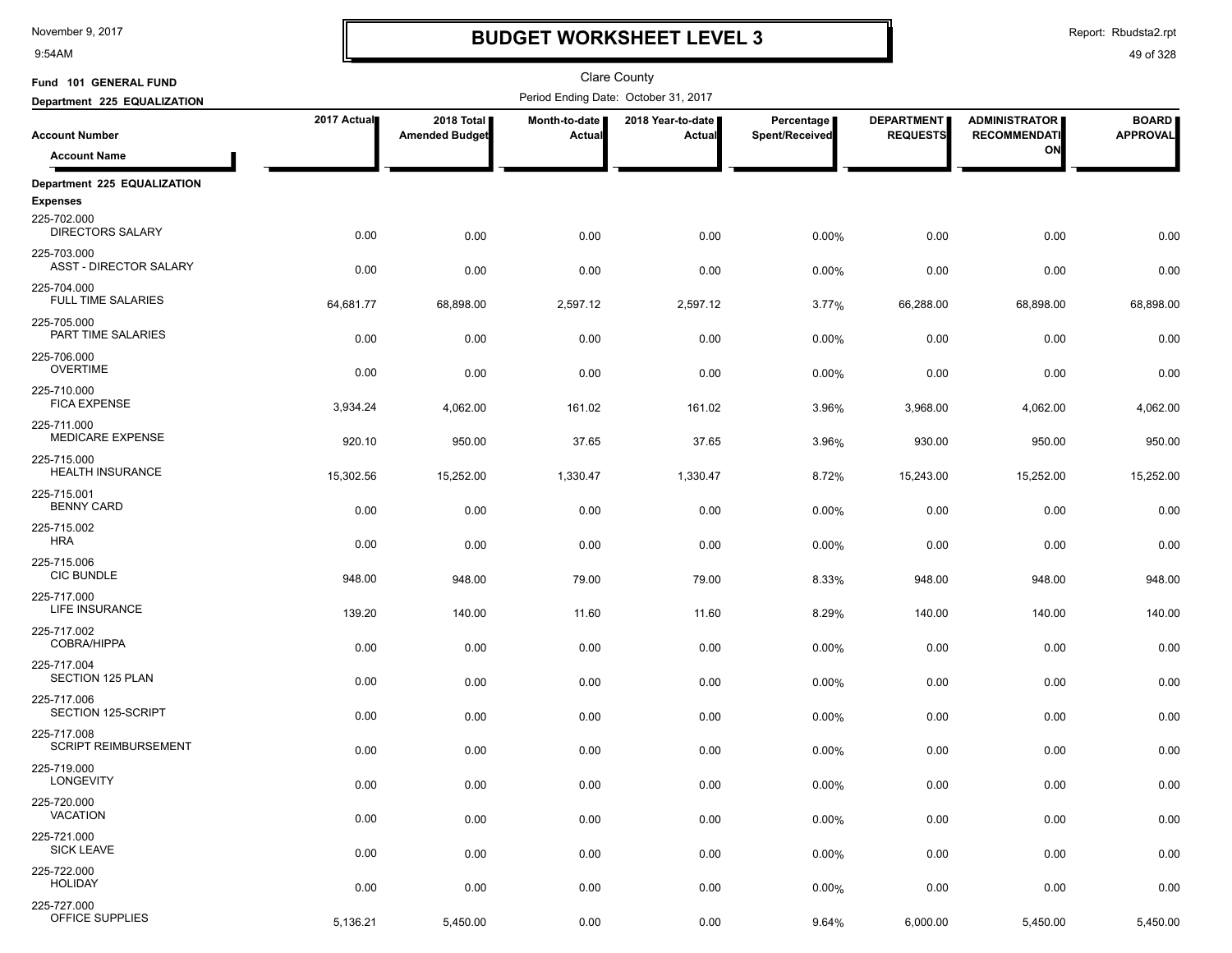9:54AM

### **BUDGET WORKSHEET LEVEL 3**

Report: Rbudsta2.rpt

| Fund 101 GENERAL FUND                                     |             |                                     |                         | Clare County                         |                              |                                      |                                             |                                 |
|-----------------------------------------------------------|-------------|-------------------------------------|-------------------------|--------------------------------------|------------------------------|--------------------------------------|---------------------------------------------|---------------------------------|
| Department 225 EQUALIZATION                               |             |                                     |                         | Period Ending Date: October 31, 2017 |                              |                                      |                                             |                                 |
| <b>Account Number</b>                                     | 2017 Actual | 2018 Total<br><b>Amended Budget</b> | Month-to-date<br>Actual | 2018 Year-to-date<br><b>Actual</b>   | Percentage<br>Spent/Received | <b>DEPARTMENT</b><br><b>REQUESTS</b> | <b>ADMINISTRATOR</b><br><b>RECOMMENDATI</b> | <b>BOARD</b><br><b>APPROVAL</b> |
| <b>Account Name</b>                                       |             |                                     |                         |                                      |                              |                                      | ON                                          |                                 |
| Department 225 EQUALIZATION                               |             |                                     |                         |                                      |                              |                                      |                                             |                                 |
| <b>Expenses</b><br>225-702.000<br><b>DIRECTORS SALARY</b> | 0.00        | 0.00                                | 0.00                    | 0.00                                 | 0.00%                        | 0.00                                 | 0.00                                        | 0.00                            |
| 225-703.000<br><b>ASST - DIRECTOR SALARY</b>              | 0.00        | 0.00                                | 0.00                    | 0.00                                 | 0.00%                        | 0.00                                 | 0.00                                        | 0.00                            |
| 225-704.000<br><b>FULL TIME SALARIES</b>                  | 64,681.77   | 68,898.00                           | 2,597.12                | 2,597.12                             | 3.77%                        | 66,288.00                            | 68,898.00                                   | 68,898.00                       |
| 225-705.000<br>PART TIME SALARIES                         | 0.00        | 0.00                                | 0.00                    | 0.00                                 | 0.00%                        | 0.00                                 | 0.00                                        | 0.00                            |
| 225-706.000<br><b>OVERTIME</b>                            | 0.00        | 0.00                                | 0.00                    | 0.00                                 | 0.00%                        | 0.00                                 | 0.00                                        | 0.00                            |
| 225-710.000<br><b>FICA EXPENSE</b>                        | 3,934.24    | 4,062.00                            | 161.02                  | 161.02                               | 3.96%                        | 3,968.00                             | 4,062.00                                    | 4,062.00                        |
| 225-711.000<br>MEDICARE EXPENSE                           | 920.10      | 950.00                              | 37.65                   | 37.65                                | 3.96%                        | 930.00                               | 950.00                                      | 950.00                          |
| 225-715.000<br><b>HEALTH INSURANCE</b><br>225-715.001     | 15,302.56   | 15,252.00                           | 1,330.47                | 1,330.47                             | 8.72%                        | 15,243.00                            | 15,252.00                                   | 15,252.00                       |
| <b>BENNY CARD</b><br>225-715.002                          | 0.00        | 0.00                                | 0.00                    | 0.00                                 | 0.00%                        | 0.00                                 | 0.00                                        | 0.00                            |
| <b>HRA</b><br>225-715.006                                 | 0.00        | 0.00                                | 0.00                    | 0.00                                 | 0.00%                        | 0.00                                 | 0.00                                        | 0.00                            |
| <b>CIC BUNDLE</b><br>225-717.000                          | 948.00      | 948.00                              | 79.00                   | 79.00                                | 8.33%                        | 948.00                               | 948.00                                      | 948.00                          |
| LIFE INSURANCE<br>225-717.002                             | 139.20      | 140.00                              | 11.60                   | 11.60                                | 8.29%                        | 140.00                               | 140.00                                      | 140.00                          |
| COBRA/HIPPA<br>225-717.004                                | 0.00        | 0.00                                | 0.00                    | 0.00                                 | 0.00%                        | 0.00                                 | 0.00                                        | 0.00                            |
| SECTION 125 PLAN<br>225-717.006                           | 0.00        | 0.00                                | 0.00                    | 0.00                                 | 0.00%                        | 0.00                                 | 0.00                                        | 0.00                            |
| SECTION 125-SCRIPT<br>225-717.008                         | 0.00        | 0.00                                | 0.00                    | 0.00                                 | 0.00%                        | 0.00                                 | 0.00                                        | 0.00                            |
| <b>SCRIPT REIMBURSEMENT</b><br>225-719.000                | 0.00        | 0.00                                | 0.00                    | 0.00                                 | 0.00%                        | 0.00                                 | 0.00                                        | 0.00                            |
| LONGEVITY                                                 | 0.00        | 0.00                                | 0.00                    | 0.00                                 | 0.00%                        | 0.00                                 | 0.00                                        | 0.00                            |
| 225-720.000<br><b>VACATION</b>                            | 0.00        | 0.00                                | 0.00                    | 0.00                                 | 0.00%                        | 0.00                                 | 0.00                                        | 0.00                            |
| 225-721.000<br><b>SICK LEAVE</b>                          | 0.00        | 0.00                                | 0.00                    | 0.00                                 | 0.00%                        | 0.00                                 | 0.00                                        | 0.00                            |
| 225-722.000<br><b>HOLIDAY</b>                             | 0.00        | 0.00                                | 0.00                    | 0.00                                 | 0.00%                        | 0.00                                 | 0.00                                        | 0.00                            |
| 225-727.000<br>OFFICE SUPPLIES                            | 5,136.21    | 5,450.00                            | 0.00                    | 0.00                                 | 9.64%                        | 6,000.00                             | 5,450.00                                    | 5,450.00                        |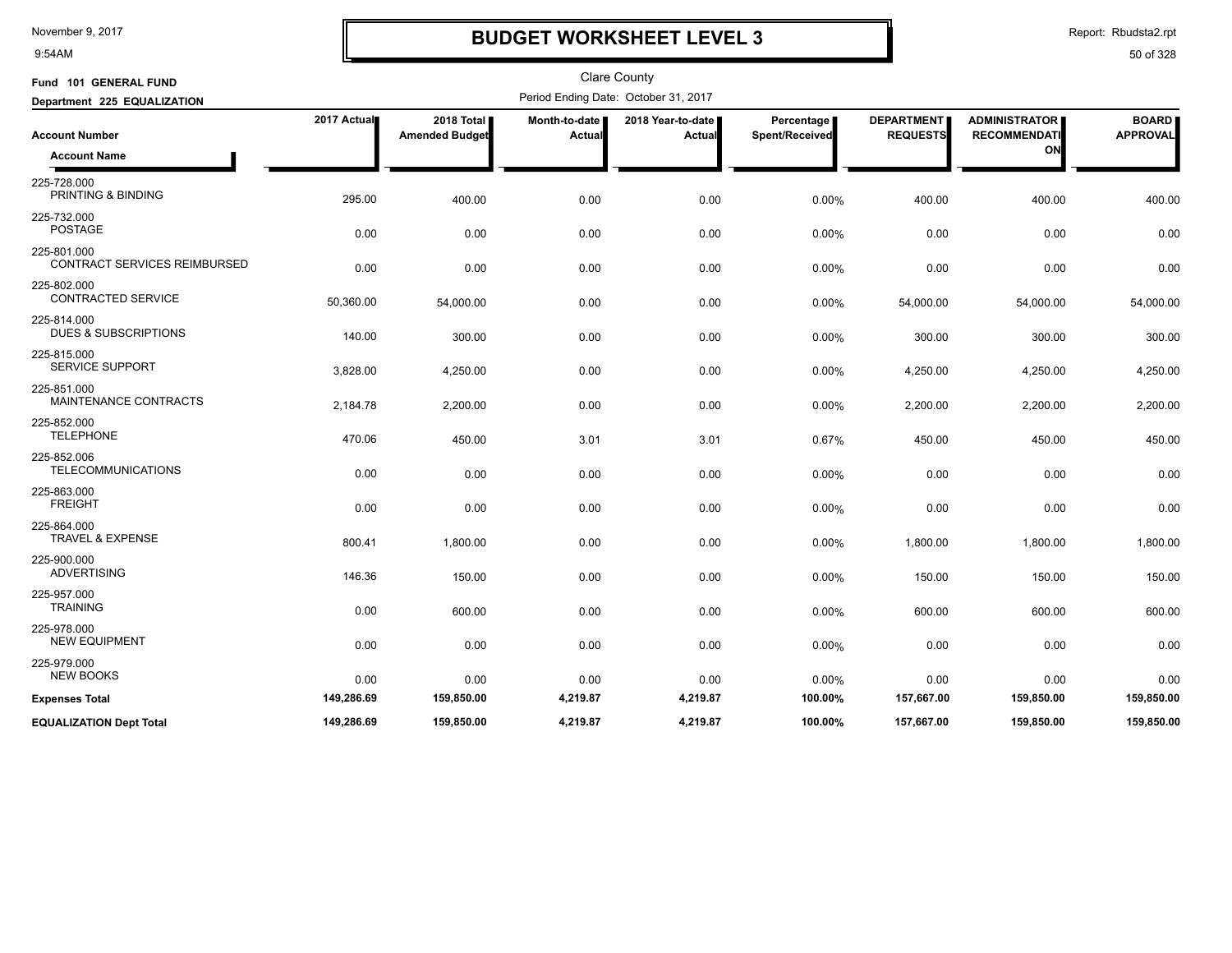9:54AM

## **BUDGET WORKSHEET LEVEL 3**

Report: Rbudsta2.rpt

| Fund 101 GENERAL FUND                              |             |                                     |                                | <b>Clare County</b>                  |                                     |                                      |                                                   |                                 |
|----------------------------------------------------|-------------|-------------------------------------|--------------------------------|--------------------------------------|-------------------------------------|--------------------------------------|---------------------------------------------------|---------------------------------|
| Department 225 EQUALIZATION                        |             |                                     |                                | Period Ending Date: October 31, 2017 |                                     |                                      |                                                   |                                 |
| <b>Account Number</b><br><b>Account Name</b>       | 2017 Actual | 2018 Total<br><b>Amended Budget</b> | Month-to-date<br><b>Actual</b> | 2018 Year-to-date<br>Actual          | <b>Percentage</b><br>Spent/Received | <b>DEPARTMENT</b><br><b>REQUESTS</b> | <b>ADMINISTRATOR</b><br><b>RECOMMENDATI</b><br>ON | <b>BOARD</b><br><b>APPROVAL</b> |
| 225-728.000<br>PRINTING & BINDING                  | 295.00      | 400.00                              | 0.00                           | 0.00                                 | 0.00%                               | 400.00                               | 400.00                                            | 400.00                          |
| 225-732.000<br><b>POSTAGE</b>                      | 0.00        | 0.00                                | 0.00                           | 0.00                                 | 0.00%                               | 0.00                                 | 0.00                                              | 0.00                            |
| 225-801.000<br><b>CONTRACT SERVICES REIMBURSED</b> | 0.00        | 0.00                                | 0.00                           | 0.00                                 | 0.00%                               | 0.00                                 | 0.00                                              | 0.00                            |
| 225-802.000<br>CONTRACTED SERVICE                  | 50,360.00   | 54,000.00                           | 0.00                           | 0.00                                 | 0.00%                               | 54,000.00                            | 54,000.00                                         | 54,000.00                       |
| 225-814.000<br><b>DUES &amp; SUBSCRIPTIONS</b>     | 140.00      | 300.00                              | 0.00                           | 0.00                                 | 0.00%                               | 300.00                               | 300.00                                            | 300.00                          |
| 225-815.000<br><b>SERVICE SUPPORT</b>              | 3,828.00    | 4,250.00                            | 0.00                           | 0.00                                 | 0.00%                               | 4,250.00                             | 4,250.00                                          | 4,250.00                        |
| 225-851.000<br>MAINTENANCE CONTRACTS               | 2,184.78    | 2,200.00                            | 0.00                           | 0.00                                 | 0.00%                               | 2,200.00                             | 2,200.00                                          | 2,200.00                        |
| 225-852.000<br><b>TELEPHONE</b>                    | 470.06      | 450.00                              | 3.01                           | 3.01                                 | 0.67%                               | 450.00                               | 450.00                                            | 450.00                          |
| 225-852.006<br><b>TELECOMMUNICATIONS</b>           | 0.00        | 0.00                                | 0.00                           | 0.00                                 | 0.00%                               | 0.00                                 | 0.00                                              | 0.00                            |
| 225-863.000<br><b>FREIGHT</b>                      | 0.00        | 0.00                                | 0.00                           | 0.00                                 | 0.00%                               | 0.00                                 | 0.00                                              | 0.00                            |
| 225-864.000<br><b>TRAVEL &amp; EXPENSE</b>         | 800.41      | 1,800.00                            | 0.00                           | 0.00                                 | 0.00%                               | 1,800.00                             | 1,800.00                                          | 1,800.00                        |
| 225-900.000<br><b>ADVERTISING</b>                  | 146.36      | 150.00                              | 0.00                           | 0.00                                 | 0.00%                               | 150.00                               | 150.00                                            | 150.00                          |
| 225-957.000<br><b>TRAINING</b>                     | 0.00        | 600.00                              | 0.00                           | 0.00                                 | 0.00%                               | 600.00                               | 600.00                                            | 600.00                          |
| 225-978.000<br><b>NEW EQUIPMENT</b>                | 0.00        | 0.00                                | 0.00                           | 0.00                                 | 0.00%                               | 0.00                                 | 0.00                                              | 0.00                            |
| 225-979.000<br><b>NEW BOOKS</b>                    | 0.00        | 0.00                                | 0.00                           | 0.00                                 | 0.00%                               | 0.00                                 | 0.00                                              | 0.00                            |
| <b>Expenses Total</b>                              | 149,286.69  | 159,850.00                          | 4,219.87                       | 4,219.87                             | 100.00%                             | 157,667.00                           | 159,850.00                                        | 159,850.00                      |
| <b>EQUALIZATION Dept Total</b>                     | 149,286.69  | 159,850.00                          | 4,219.87                       | 4,219.87                             | 100.00%                             | 157,667.00                           | 159,850.00                                        | 159,850.00                      |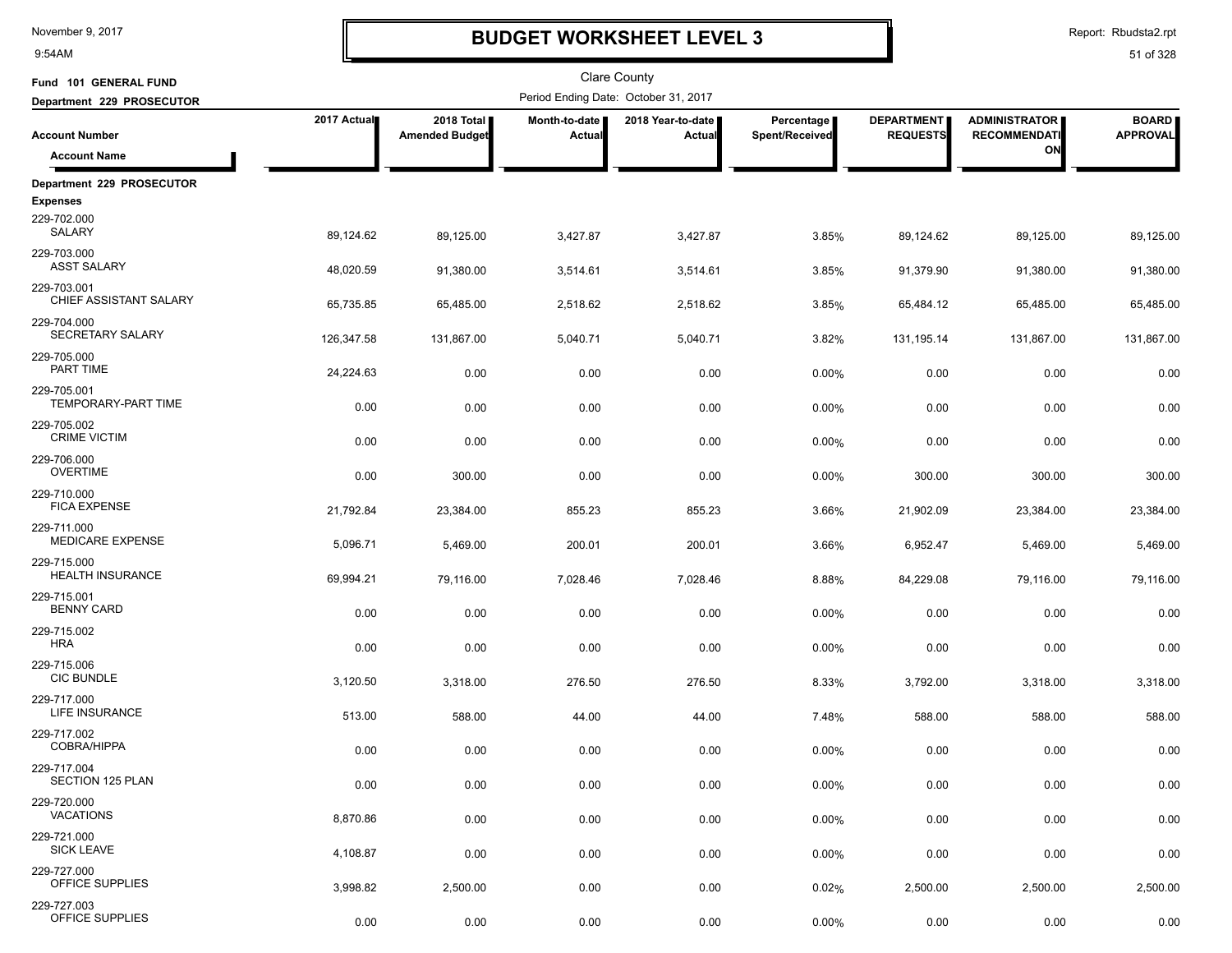9:54AM

# **BUDGET WORKSHEET LEVEL 3**

Report: Rbudsta2.rpt

| Fund 101 GENERAL FUND                  |             |                                     |                         | <b>Clare County</b>                  |                              |                                      |                                             |                                 |
|----------------------------------------|-------------|-------------------------------------|-------------------------|--------------------------------------|------------------------------|--------------------------------------|---------------------------------------------|---------------------------------|
| Department 229 PROSECUTOR              |             |                                     |                         | Period Ending Date: October 31, 2017 |                              |                                      |                                             |                                 |
| <b>Account Number</b>                  | 2017 Actual | 2018 Total<br><b>Amended Budget</b> | Month-to-date<br>Actual | 2018 Year-to-date<br>Actual          | Percentage<br>Spent/Received | <b>DEPARTMENT</b><br><b>REQUESTS</b> | <b>ADMINISTRATOR</b><br><b>RECOMMENDATI</b> | <b>BOARD</b><br><b>APPROVAL</b> |
| <b>Account Name</b>                    |             |                                     |                         |                                      |                              |                                      | ON                                          |                                 |
| Department 229 PROSECUTOR              |             |                                     |                         |                                      |                              |                                      |                                             |                                 |
| <b>Expenses</b>                        |             |                                     |                         |                                      |                              |                                      |                                             |                                 |
| 229-702.000<br>SALARY                  | 89,124.62   | 89,125.00                           | 3,427.87                | 3,427.87                             | 3.85%                        | 89,124.62                            | 89,125.00                                   | 89,125.00                       |
| 229-703.000<br><b>ASST SALARY</b>      | 48,020.59   | 91,380.00                           | 3,514.61                | 3,514.61                             | 3.85%                        | 91,379.90                            | 91,380.00                                   | 91,380.00                       |
| 229-703.001<br>CHIEF ASSISTANT SALARY  | 65,735.85   | 65,485.00                           | 2,518.62                | 2,518.62                             | 3.85%                        | 65,484.12                            | 65,485.00                                   | 65,485.00                       |
| 229-704.000<br>SECRETARY SALARY        | 126,347.58  | 131,867.00                          | 5,040.71                | 5,040.71                             | 3.82%                        | 131,195.14                           | 131,867.00                                  | 131,867.00                      |
| 229-705.000<br>PART TIME               | 24,224.63   | 0.00                                | 0.00                    | 0.00                                 | 0.00%                        | 0.00                                 | 0.00                                        | 0.00                            |
| 229-705.001<br>TEMPORARY-PART TIME     | 0.00        | 0.00                                | 0.00                    | 0.00                                 | 0.00%                        | 0.00                                 | 0.00                                        | 0.00                            |
| 229-705.002<br><b>CRIME VICTIM</b>     | 0.00        | 0.00                                | 0.00                    | 0.00                                 | 0.00%                        | 0.00                                 | 0.00                                        | 0.00                            |
| 229-706.000<br><b>OVERTIME</b>         | 0.00        | 300.00                              | 0.00                    | 0.00                                 | 0.00%                        | 300.00                               | 300.00                                      | 300.00                          |
| 229-710.000<br><b>FICA EXPENSE</b>     |             |                                     |                         |                                      |                              |                                      |                                             |                                 |
| 229-711.000<br><b>MEDICARE EXPENSE</b> | 21,792.84   | 23,384.00                           | 855.23                  | 855.23                               | 3.66%                        | 21,902.09                            | 23,384.00                                   | 23,384.00                       |
| 229-715.000                            | 5,096.71    | 5,469.00                            | 200.01                  | 200.01                               | 3.66%                        | 6,952.47                             | 5,469.00                                    | 5,469.00                        |
| <b>HEALTH INSURANCE</b>                | 69,994.21   | 79,116.00                           | 7,028.46                | 7,028.46                             | 8.88%                        | 84,229.08                            | 79,116.00                                   | 79,116.00                       |
| 229-715.001<br><b>BENNY CARD</b>       | 0.00        | 0.00                                | 0.00                    | 0.00                                 | 0.00%                        | 0.00                                 | 0.00                                        | 0.00                            |
| 229-715.002<br><b>HRA</b>              | 0.00        | 0.00                                | 0.00                    | 0.00                                 | 0.00%                        | 0.00                                 | 0.00                                        | 0.00                            |
| 229-715.006<br><b>CIC BUNDLE</b>       | 3,120.50    | 3,318.00                            | 276.50                  | 276.50                               | 8.33%                        | 3,792.00                             | 3,318.00                                    | 3,318.00                        |
| 229-717.000<br>LIFE INSURANCE          | 513.00      | 588.00                              | 44.00                   | 44.00                                | 7.48%                        | 588.00                               | 588.00                                      | 588.00                          |
| 229-717.002<br><b>COBRA/HIPPA</b>      | 0.00        | 0.00                                | 0.00                    | 0.00                                 | 0.00%                        | 0.00                                 | 0.00                                        | 0.00                            |
| 229-717.004<br>SECTION 125 PLAN        | 0.00        | 0.00                                | 0.00                    | 0.00                                 | 0.00%                        | 0.00                                 | 0.00                                        | 0.00                            |
| 229-720.000<br><b>VACATIONS</b>        | 8,870.86    | 0.00                                | 0.00                    | 0.00                                 | 0.00%                        | 0.00                                 | 0.00                                        | 0.00                            |
| 229-721.000<br><b>SICK LEAVE</b>       | 4,108.87    | 0.00                                | 0.00                    | 0.00                                 | 0.00%                        | 0.00                                 | 0.00                                        | 0.00                            |
| 229-727.000<br>OFFICE SUPPLIES         | 3,998.82    | 2,500.00                            | 0.00                    | 0.00                                 | 0.02%                        | 2,500.00                             | 2,500.00                                    | 2,500.00                        |
| 229-727.003<br>OFFICE SUPPLIES         | 0.00        | 0.00                                | 0.00                    | 0.00                                 | 0.00%                        | 0.00                                 | 0.00                                        | 0.00                            |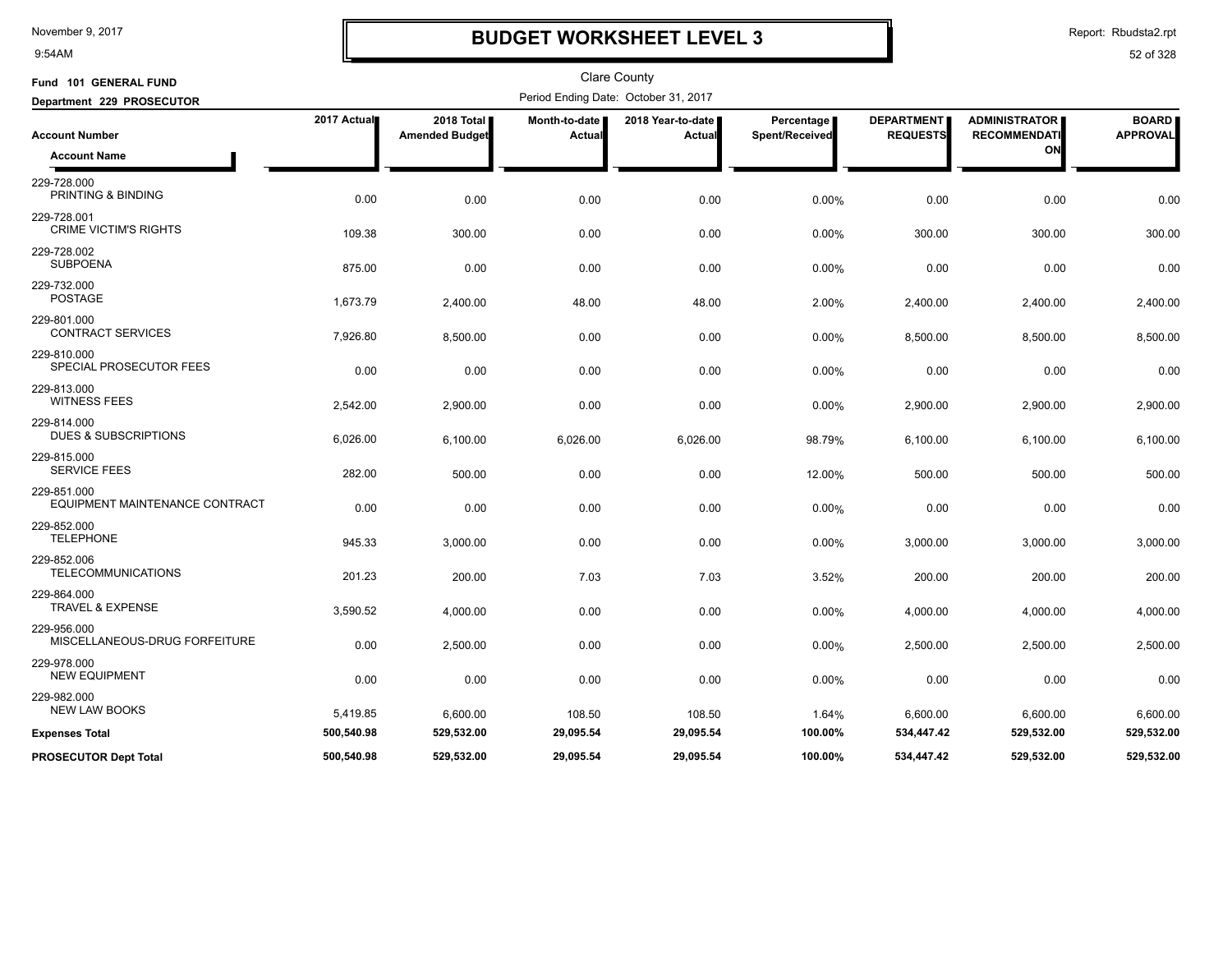9:54AM

## **BUDGET WORKSHEET LEVEL 3**

Report: Rbudsta2.rpt

| Fund 101 GENERAL FUND                          |             |                                     |                         | Clare County                         |                              |                                      |                                             |                                 |
|------------------------------------------------|-------------|-------------------------------------|-------------------------|--------------------------------------|------------------------------|--------------------------------------|---------------------------------------------|---------------------------------|
| Department 229 PROSECUTOR                      |             |                                     |                         | Period Ending Date: October 31, 2017 |                              |                                      |                                             |                                 |
| <b>Account Number</b>                          | 2017 Actual | 2018 Total<br><b>Amended Budget</b> | Month-to-date<br>Actual | 2018 Year-to-date<br>Actual          | Percentage<br>Spent/Received | <b>DEPARTMENT</b><br><b>REQUESTS</b> | <b>ADMINISTRATOR</b><br><b>RECOMMENDATI</b> | <b>BOARD</b><br><b>APPROVAL</b> |
| <b>Account Name</b>                            |             |                                     |                         |                                      |                              |                                      | ON                                          |                                 |
| 229-728.000<br>PRINTING & BINDING              | 0.00        | 0.00                                | 0.00                    | 0.00                                 | 0.00%                        | 0.00                                 | 0.00                                        | 0.00                            |
| 229-728.001<br><b>CRIME VICTIM'S RIGHTS</b>    | 109.38      | 300.00                              | 0.00                    | 0.00                                 | 0.00%                        | 300.00                               | 300.00                                      | 300.00                          |
| 229-728.002<br><b>SUBPOENA</b>                 | 875.00      | 0.00                                | 0.00                    | 0.00                                 | 0.00%                        | 0.00                                 | 0.00                                        | 0.00                            |
| 229-732.000<br><b>POSTAGE</b>                  | 1,673.79    | 2,400.00                            | 48.00                   | 48.00                                | 2.00%                        | 2,400.00                             | 2,400.00                                    | 2,400.00                        |
| 229-801.000<br><b>CONTRACT SERVICES</b>        | 7,926.80    | 8,500.00                            | 0.00                    | 0.00                                 | 0.00%                        | 8,500.00                             | 8,500.00                                    | 8,500.00                        |
| 229-810.000<br>SPECIAL PROSECUTOR FEES         | 0.00        | 0.00                                | 0.00                    | 0.00                                 | 0.00%                        | 0.00                                 | 0.00                                        | 0.00                            |
| 229-813.000<br><b>WITNESS FEES</b>             | 2,542.00    | 2,900.00                            | 0.00                    | 0.00                                 | 0.00%                        | 2,900.00                             | 2,900.00                                    | 2,900.00                        |
| 229-814.000<br><b>DUES &amp; SUBSCRIPTIONS</b> | 6,026.00    | 6,100.00                            | 6,026.00                | 6,026.00                             | 98.79%                       | 6,100.00                             | 6,100.00                                    | 6,100.00                        |
| 229-815.000<br><b>SERVICE FEES</b>             | 282.00      | 500.00                              | 0.00                    | 0.00                                 | 12.00%                       | 500.00                               | 500.00                                      | 500.00                          |
| 229-851.000<br>EQUIPMENT MAINTENANCE CONTRACT  | 0.00        | 0.00                                | 0.00                    | 0.00                                 | 0.00%                        | 0.00                                 | 0.00                                        | 0.00                            |
| 229-852.000<br><b>TELEPHONE</b>                | 945.33      | 3,000.00                            | 0.00                    | 0.00                                 | 0.00%                        | 3,000.00                             | 3,000.00                                    | 3,000.00                        |
| 229-852.006<br><b>TELECOMMUNICATIONS</b>       | 201.23      | 200.00                              | 7.03                    | 7.03                                 | 3.52%                        | 200.00                               | 200.00                                      | 200.00                          |
| 229-864.000<br>TRAVEL & EXPENSE                | 3,590.52    | 4,000.00                            | 0.00                    | 0.00                                 | 0.00%                        | 4,000.00                             | 4,000.00                                    | 4,000.00                        |
| 229-956.000<br>MISCELLANEOUS-DRUG FORFEITURE   | 0.00        | 2,500.00                            | 0.00                    | 0.00                                 | 0.00%                        | 2,500.00                             | 2,500.00                                    | 2,500.00                        |
| 229-978.000<br><b>NEW EQUIPMENT</b>            | 0.00        | 0.00                                | 0.00                    | 0.00                                 | 0.00%                        | 0.00                                 | 0.00                                        | 0.00                            |
| 229-982.000<br><b>NEW LAW BOOKS</b>            | 5,419.85    | 6,600.00                            | 108.50                  | 108.50                               | 1.64%                        | 6,600.00                             | 6,600.00                                    | 6,600.00                        |
| <b>Expenses Total</b>                          | 500,540.98  | 529,532.00                          | 29,095.54               | 29,095.54                            | 100.00%                      | 534,447.42                           | 529,532.00                                  | 529,532.00                      |
| <b>PROSECUTOR Dept Total</b>                   | 500,540.98  | 529,532.00                          | 29,095.54               | 29,095.54                            | 100.00%                      | 534,447.42                           | 529,532.00                                  | 529,532.00                      |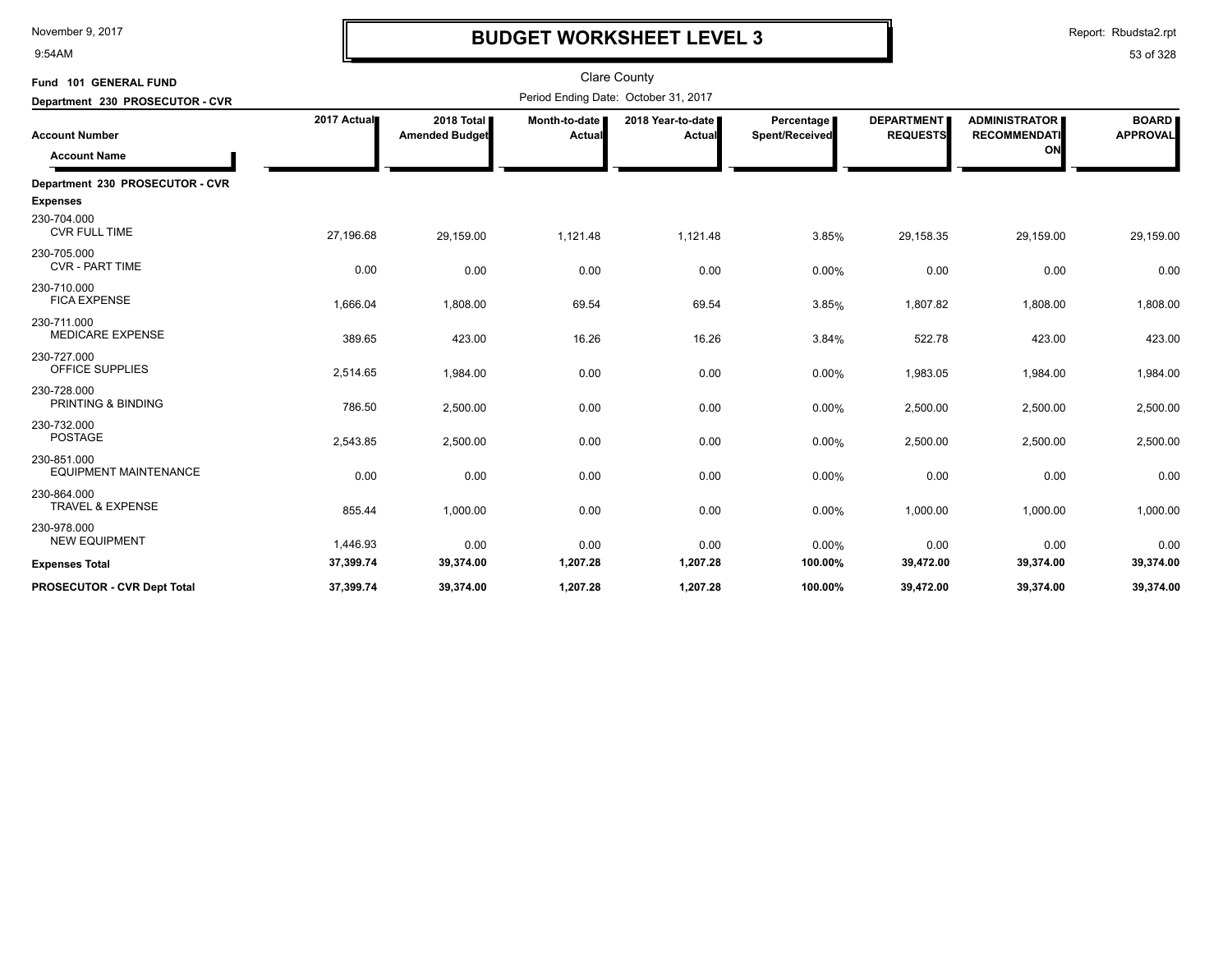9:54AM

# **BUDGET WORKSHEET LEVEL 3**

Report: Rbudsta2.rpt

| Fund 101 GENERAL FUND                       |             |                                     |                         | <b>Clare County</b>                  |                              |                                      |                                             |                                 |
|---------------------------------------------|-------------|-------------------------------------|-------------------------|--------------------------------------|------------------------------|--------------------------------------|---------------------------------------------|---------------------------------|
| Department 230 PROSECUTOR - CVR             |             |                                     |                         | Period Ending Date: October 31, 2017 |                              |                                      |                                             |                                 |
| <b>Account Number</b>                       | 2017 Actual | 2018 Total<br><b>Amended Budget</b> | Month-to-date<br>Actual | 2018 Year-to-date<br><b>Actual</b>   | Percentage<br>Spent/Received | <b>DEPARTMENT</b><br><b>REQUESTS</b> | <b>ADMINISTRATOR</b><br><b>RECOMMENDATI</b> | <b>BOARD</b><br><b>APPROVAL</b> |
| <b>Account Name</b>                         |             |                                     |                         |                                      |                              |                                      | ON                                          |                                 |
| Department 230 PROSECUTOR - CVR             |             |                                     |                         |                                      |                              |                                      |                                             |                                 |
| <b>Expenses</b>                             |             |                                     |                         |                                      |                              |                                      |                                             |                                 |
| 230-704.000<br><b>CVR FULL TIME</b>         | 27,196.68   | 29,159.00                           | 1,121.48                | 1,121.48                             | 3.85%                        | 29,158.35                            | 29,159.00                                   | 29,159.00                       |
| 230-705.000<br><b>CVR - PART TIME</b>       | 0.00        | 0.00                                | 0.00                    | 0.00                                 | 0.00%                        | 0.00                                 | 0.00                                        | 0.00                            |
| 230-710.000<br><b>FICA EXPENSE</b>          | 1,666.04    | 1,808.00                            | 69.54                   | 69.54                                | 3.85%                        | 1,807.82                             | 1,808.00                                    | 1,808.00                        |
| 230-711.000<br><b>MEDICARE EXPENSE</b>      | 389.65      | 423.00                              | 16.26                   | 16.26                                | 3.84%                        | 522.78                               | 423.00                                      | 423.00                          |
| 230-727.000<br>OFFICE SUPPLIES              | 2,514.65    | 1,984.00                            | 0.00                    | 0.00                                 | 0.00%                        | 1,983.05                             | 1,984.00                                    | 1,984.00                        |
| 230-728.000<br>PRINTING & BINDING           | 786.50      | 2,500.00                            | 0.00                    | 0.00                                 | 0.00%                        | 2,500.00                             | 2,500.00                                    | 2,500.00                        |
| 230-732.000<br><b>POSTAGE</b>               | 2,543.85    | 2,500.00                            | 0.00                    | 0.00                                 | 0.00%                        | 2,500.00                             | 2,500.00                                    | 2,500.00                        |
| 230-851.000<br><b>EQUIPMENT MAINTENANCE</b> | 0.00        | 0.00                                | 0.00                    | 0.00                                 | 0.00%                        | 0.00                                 | 0.00                                        | 0.00                            |
| 230-864.000<br><b>TRAVEL &amp; EXPENSE</b>  | 855.44      | 1,000.00                            | 0.00                    | 0.00                                 | 0.00%                        | 1,000.00                             | 1,000.00                                    | 1,000.00                        |
| 230-978.000<br><b>NEW EQUIPMENT</b>         | 1,446.93    | 0.00                                | 0.00                    | 0.00                                 | 0.00%                        | 0.00                                 | 0.00                                        | 0.00                            |
| <b>Expenses Total</b>                       | 37,399.74   | 39,374.00                           | 1,207.28                | 1,207.28                             | 100.00%                      | 39,472.00                            | 39,374.00                                   | 39,374.00                       |
| PROSECUTOR - CVR Dept Total                 | 37,399.74   | 39,374.00                           | 1,207.28                | 1,207.28                             | 100.00%                      | 39,472.00                            | 39,374.00                                   | 39,374.00                       |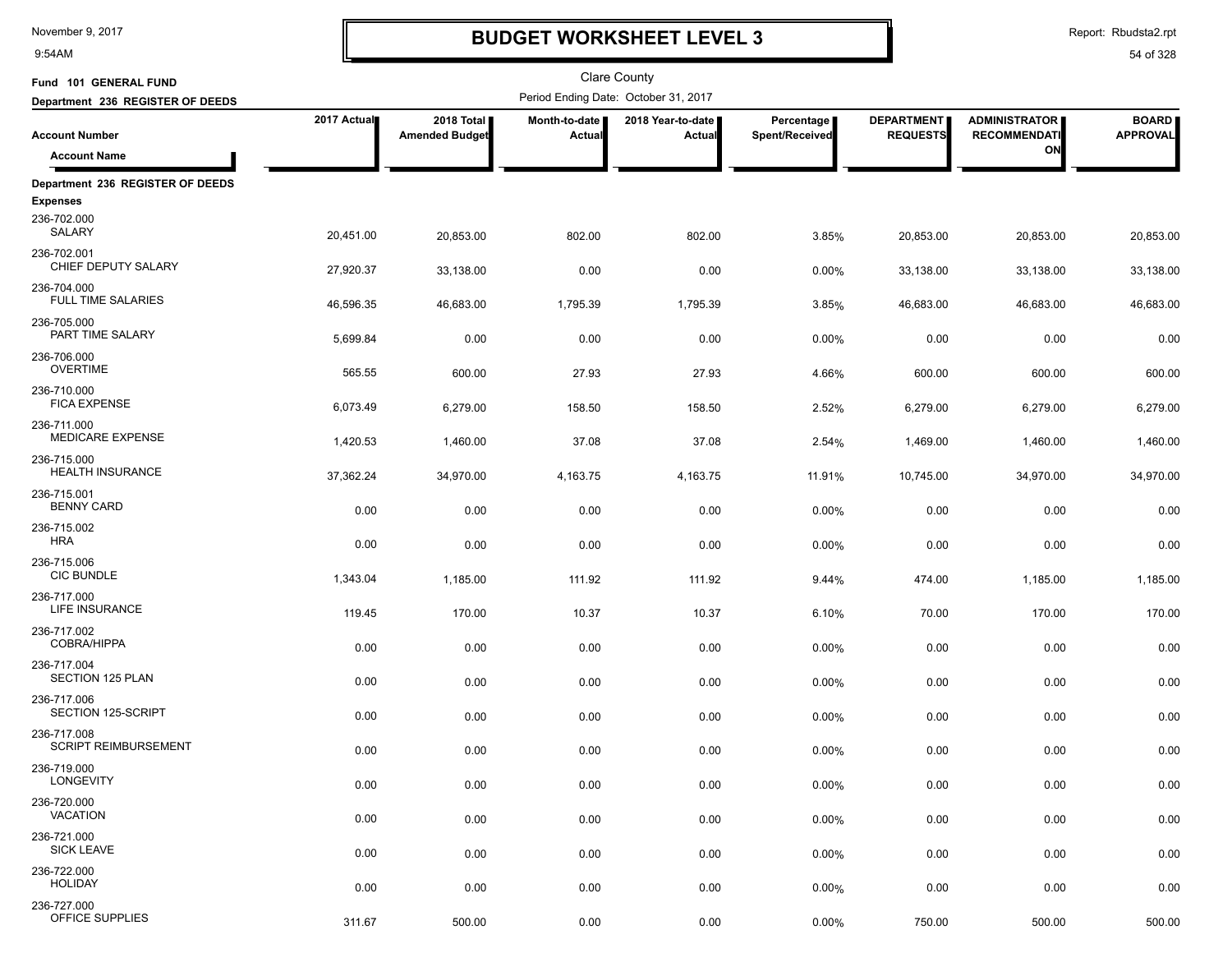9:54AM

## **BUDGET WORKSHEET LEVEL 3**

Report: Rbudsta2.rpt

| Fund 101 GENERAL FUND                      |             |                                     |                         | Clare County                         |                              |                                      |                                             |                                 |
|--------------------------------------------|-------------|-------------------------------------|-------------------------|--------------------------------------|------------------------------|--------------------------------------|---------------------------------------------|---------------------------------|
| Department 236 REGISTER OF DEEDS           |             |                                     |                         | Period Ending Date: October 31, 2017 |                              |                                      |                                             |                                 |
| <b>Account Number</b>                      | 2017 Actual | 2018 Total<br><b>Amended Budget</b> | Month-to-date<br>Actual | 2018 Year-to-date<br>Actual          | Percentage<br>Spent/Received | <b>DEPARTMENT</b><br><b>REQUESTS</b> | <b>ADMINISTRATOR</b><br><b>RECOMMENDATI</b> | <b>BOARD</b><br><b>APPROVAL</b> |
| <b>Account Name</b>                        |             |                                     |                         |                                      |                              |                                      | ON                                          |                                 |
| Department 236 REGISTER OF DEEDS           |             |                                     |                         |                                      |                              |                                      |                                             |                                 |
| <b>Expenses</b>                            |             |                                     |                         |                                      |                              |                                      |                                             |                                 |
| 236-702.000<br>SALARY                      | 20,451.00   | 20,853.00                           | 802.00                  | 802.00                               | 3.85%                        | 20,853.00                            | 20,853.00                                   | 20,853.00                       |
| 236-702.001<br>CHIEF DEPUTY SALARY         | 27,920.37   | 33,138.00                           | 0.00                    | 0.00                                 | 0.00%                        | 33,138.00                            | 33,138.00                                   | 33,138.00                       |
| 236-704.000<br><b>FULL TIME SALARIES</b>   | 46,596.35   | 46,683.00                           | 1,795.39                | 1,795.39                             | 3.85%                        | 46,683.00                            | 46,683.00                                   | 46,683.00                       |
| 236-705.000<br>PART TIME SALARY            | 5,699.84    | 0.00                                | 0.00                    | 0.00                                 | 0.00%                        | 0.00                                 | 0.00                                        | 0.00                            |
| 236-706.000<br><b>OVERTIME</b>             | 565.55      | 600.00                              | 27.93                   | 27.93                                | 4.66%                        | 600.00                               | 600.00                                      | 600.00                          |
| 236-710.000<br><b>FICA EXPENSE</b>         | 6,073.49    | 6,279.00                            | 158.50                  | 158.50                               | 2.52%                        | 6,279.00                             | 6,279.00                                    | 6,279.00                        |
| 236-711.000<br>MEDICARE EXPENSE            | 1,420.53    | 1,460.00                            | 37.08                   | 37.08                                | 2.54%                        | 1,469.00                             | 1,460.00                                    | 1,460.00                        |
| 236-715.000<br><b>HEALTH INSURANCE</b>     | 37,362.24   | 34,970.00                           | 4,163.75                | 4,163.75                             | 11.91%                       | 10,745.00                            | 34,970.00                                   | 34,970.00                       |
| 236-715.001<br><b>BENNY CARD</b>           | 0.00        | 0.00                                | 0.00                    | 0.00                                 | 0.00%                        | 0.00                                 | 0.00                                        | 0.00                            |
| 236-715.002<br><b>HRA</b>                  | 0.00        | 0.00                                | 0.00                    | 0.00                                 | 0.00%                        | 0.00                                 | 0.00                                        | 0.00                            |
| 236-715.006<br><b>CIC BUNDLE</b>           | 1,343.04    | 1,185.00                            | 111.92                  | 111.92                               | 9.44%                        | 474.00                               | 1,185.00                                    | 1,185.00                        |
| 236-717.000<br>LIFE INSURANCE              | 119.45      | 170.00                              | 10.37                   | 10.37                                | 6.10%                        | 70.00                                | 170.00                                      | 170.00                          |
| 236-717.002<br>COBRA/HIPPA                 | 0.00        | 0.00                                | 0.00                    | 0.00                                 | 0.00%                        | 0.00                                 | 0.00                                        | 0.00                            |
| 236-717.004<br>SECTION 125 PLAN            | 0.00        | 0.00                                | 0.00                    | 0.00                                 | 0.00%                        | 0.00                                 | 0.00                                        | 0.00                            |
| 236-717.006<br>SECTION 125-SCRIPT          | 0.00        | 0.00                                | 0.00                    | 0.00                                 | 0.00%                        | 0.00                                 | 0.00                                        | 0.00                            |
| 236-717.008<br><b>SCRIPT REIMBURSEMENT</b> | 0.00        | 0.00                                | 0.00                    | 0.00                                 | 0.00%                        | 0.00                                 | 0.00                                        | 0.00                            |
| 236-719.000<br>LONGEVITY                   | 0.00        | 0.00                                | 0.00                    | 0.00                                 | 0.00%                        | 0.00                                 | 0.00                                        | 0.00                            |
| 236-720.000<br><b>VACATION</b>             | 0.00        | 0.00                                | 0.00                    | 0.00                                 | 0.00%                        | 0.00                                 | 0.00                                        | 0.00                            |
| 236-721.000<br><b>SICK LEAVE</b>           | 0.00        | 0.00                                | 0.00                    | 0.00                                 | 0.00%                        | 0.00                                 | 0.00                                        | 0.00                            |
| 236-722.000<br><b>HOLIDAY</b>              | 0.00        | 0.00                                | 0.00                    | 0.00                                 | 0.00%                        | 0.00                                 | 0.00                                        | 0.00                            |
| 236-727.000<br>OFFICE SUPPLIES             | 311.67      | 500.00                              | 0.00                    | 0.00                                 | 0.00%                        | 750.00                               | 500.00                                      | 500.00                          |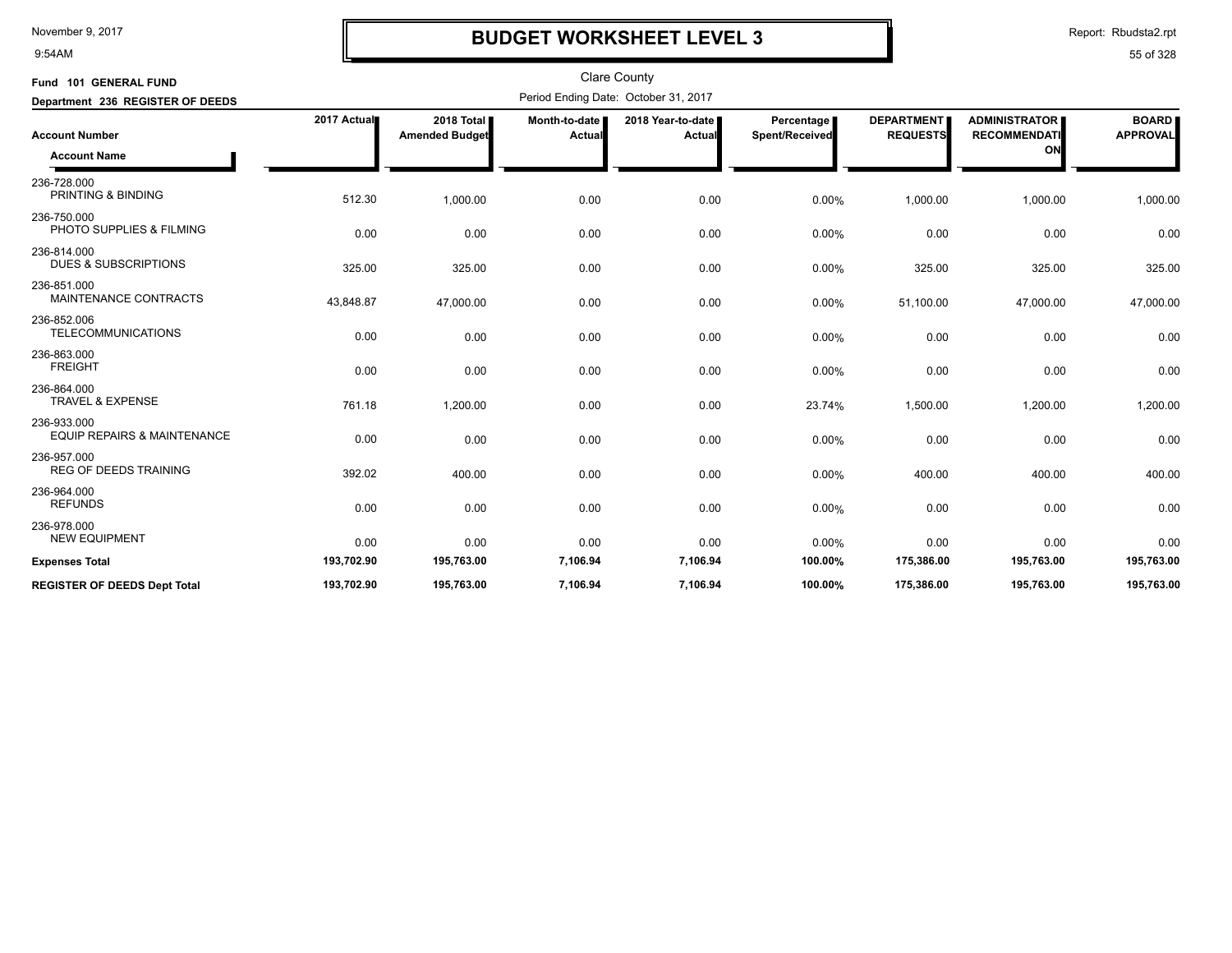9:54AM

## **BUDGET WORKSHEET LEVEL 3**

Report: Rbudsta2.rpt

| Fund 101 GENERAL FUND                                 |             |                                     |                         | <b>Clare County</b>                  |                              |                                      |                                             |                                 |
|-------------------------------------------------------|-------------|-------------------------------------|-------------------------|--------------------------------------|------------------------------|--------------------------------------|---------------------------------------------|---------------------------------|
| Department 236 REGISTER OF DEEDS                      |             |                                     |                         | Period Ending Date: October 31, 2017 |                              |                                      |                                             |                                 |
| <b>Account Number</b>                                 | 2017 Actual | 2018 Total<br><b>Amended Budget</b> | Month-to-date<br>Actual | 2018 Year-to-date  <br>Actual        | Percentage<br>Spent/Received | <b>DEPARTMENT</b><br><b>REQUESTS</b> | <b>ADMINISTRATOR</b><br><b>RECOMMENDATI</b> | <b>BOARD</b><br><b>APPROVAL</b> |
| <b>Account Name</b>                                   |             |                                     |                         |                                      |                              |                                      | ON                                          |                                 |
| 236-728.000<br><b>PRINTING &amp; BINDING</b>          | 512.30      | 1,000.00                            | 0.00                    | 0.00                                 | 0.00%                        | 1,000.00                             | 1,000.00                                    | 1,000.00                        |
| 236-750.000<br>PHOTO SUPPLIES & FILMING               | 0.00        | 0.00                                | 0.00                    | 0.00                                 | 0.00%                        | 0.00                                 | 0.00                                        | 0.00                            |
| 236-814.000<br><b>DUES &amp; SUBSCRIPTIONS</b>        | 325.00      | 325.00                              | 0.00                    | 0.00                                 | 0.00%                        | 325.00                               | 325.00                                      | 325.00                          |
| 236-851.000<br>MAINTENANCE CONTRACTS                  | 43,848.87   | 47,000.00                           | 0.00                    | 0.00                                 | 0.00%                        | 51,100.00                            | 47,000.00                                   | 47,000.00                       |
| 236-852.006<br><b>TELECOMMUNICATIONS</b>              | 0.00        | 0.00                                | 0.00                    | 0.00                                 | 0.00%                        | 0.00                                 | 0.00                                        | 0.00                            |
| 236-863.000<br><b>FREIGHT</b>                         | 0.00        | 0.00                                | 0.00                    | 0.00                                 | 0.00%                        | 0.00                                 | 0.00                                        | 0.00                            |
| 236-864.000<br><b>TRAVEL &amp; EXPENSE</b>            | 761.18      | 1,200.00                            | 0.00                    | 0.00                                 | 23.74%                       | 1,500.00                             | 1,200.00                                    | 1,200.00                        |
| 236-933.000<br><b>EQUIP REPAIRS &amp; MAINTENANCE</b> | 0.00        | 0.00                                | 0.00                    | 0.00                                 | 0.00%                        | 0.00                                 | 0.00                                        | 0.00                            |
| 236-957.000<br><b>REG OF DEEDS TRAINING</b>           | 392.02      | 400.00                              | 0.00                    | 0.00                                 | 0.00%                        | 400.00                               | 400.00                                      | 400.00                          |
| 236-964.000<br><b>REFUNDS</b>                         | 0.00        | 0.00                                | 0.00                    | 0.00                                 | 0.00%                        | 0.00                                 | 0.00                                        | 0.00                            |
| 236-978.000<br><b>NEW EQUIPMENT</b>                   | 0.00        | 0.00                                | 0.00                    | 0.00                                 | 0.00%                        | 0.00                                 | 0.00                                        | 0.00                            |
| <b>Expenses Total</b>                                 | 193,702.90  | 195,763.00                          | 7,106.94                | 7,106.94                             | 100.00%                      | 175,386.00                           | 195,763.00                                  | 195,763.00                      |
| <b>REGISTER OF DEEDS Dept Total</b>                   | 193,702.90  | 195,763.00                          | 7,106.94                | 7,106.94                             | 100.00%                      | 175,386.00                           | 195,763.00                                  | 195,763.00                      |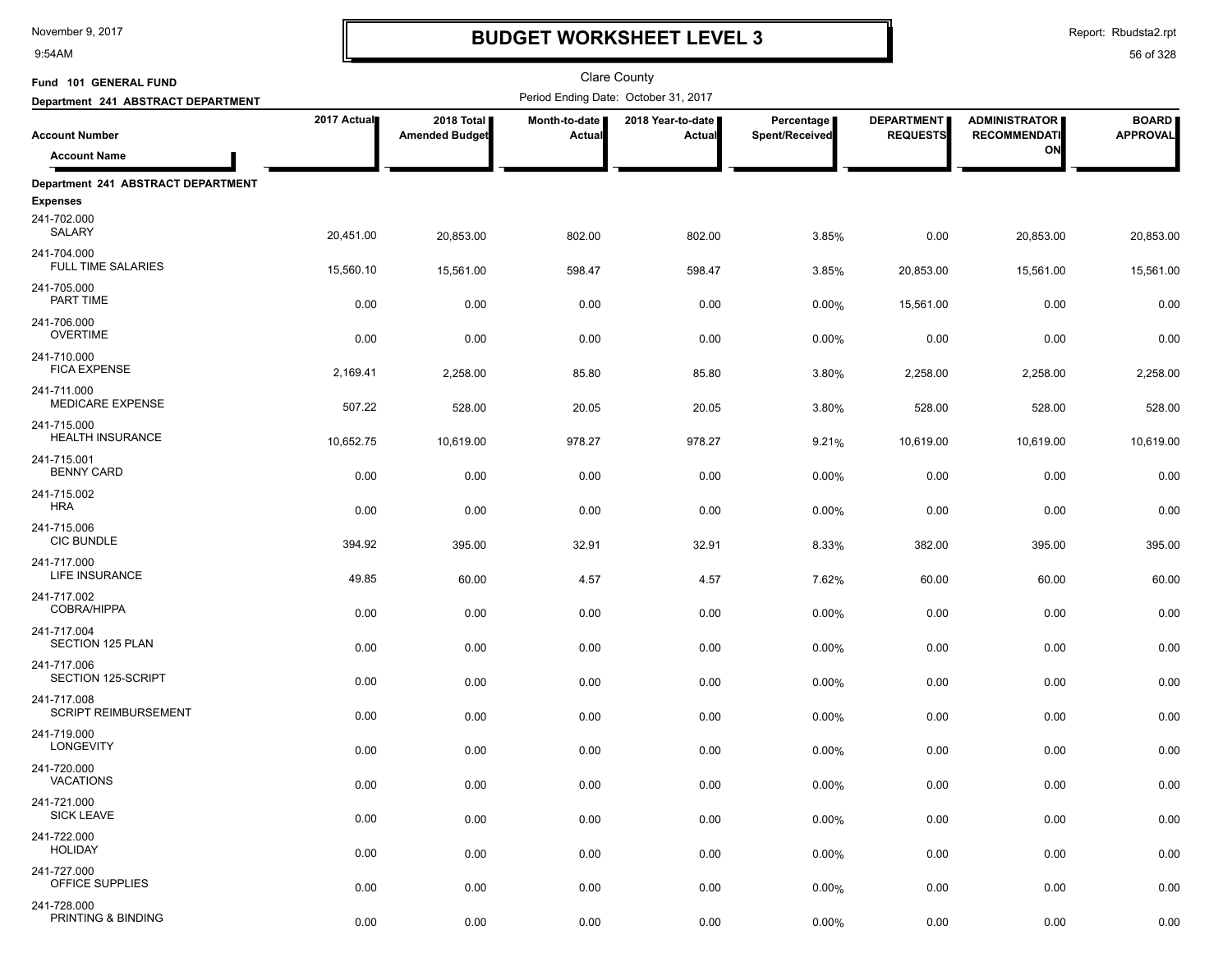9:54AM

## **BUDGET WORKSHEET LEVEL 3**

Clare County

Report: Rbudsta2.rpt

| Fund 101 GENERAL FUND                      |             |                                     |                           | <b>Clare County</b>                  |                              |                                      |                                             |                                 |
|--------------------------------------------|-------------|-------------------------------------|---------------------------|--------------------------------------|------------------------------|--------------------------------------|---------------------------------------------|---------------------------------|
| Department 241 ABSTRACT DEPARTMENT         |             |                                     |                           | Period Ending Date: October 31, 2017 |                              |                                      |                                             |                                 |
| <b>Account Number</b>                      | 2017 Actual | 2018 Total<br><b>Amended Budget</b> | Month-to-date  <br>Actual | 2018 Year-to-date<br><b>Actual</b>   | Percentage<br>Spent/Received | <b>DEPARTMENT</b><br><b>REQUESTS</b> | <b>ADMINISTRATOR</b><br><b>RECOMMENDATI</b> | <b>BOARD</b><br><b>APPROVAL</b> |
| <b>Account Name</b>                        |             |                                     |                           |                                      |                              |                                      | ON                                          |                                 |
| Department 241 ABSTRACT DEPARTMENT         |             |                                     |                           |                                      |                              |                                      |                                             |                                 |
| <b>Expenses</b><br>241-702.000<br>SALARY   | 20,451.00   | 20,853.00                           | 802.00                    | 802.00                               | 3.85%                        | 0.00                                 | 20,853.00                                   | 20,853.00                       |
| 241-704.000<br><b>FULL TIME SALARIES</b>   | 15,560.10   | 15,561.00                           | 598.47                    | 598.47                               | 3.85%                        | 20,853.00                            | 15,561.00                                   | 15,561.00                       |
| 241-705.000<br>PART TIME                   | 0.00        | 0.00                                | 0.00                      | 0.00                                 | 0.00%                        | 15,561.00                            | 0.00                                        | 0.00                            |
| 241-706.000<br><b>OVERTIME</b>             | 0.00        | 0.00                                | 0.00                      | 0.00                                 | 0.00%                        | 0.00                                 | 0.00                                        | 0.00                            |
| 241-710.000<br><b>FICA EXPENSE</b>         | 2,169.41    | 2,258.00                            | 85.80                     | 85.80                                | 3.80%                        | 2,258.00                             | 2,258.00                                    | 2,258.00                        |
| 241-711.000<br>MEDICARE EXPENSE            | 507.22      | 528.00                              | 20.05                     | 20.05                                | 3.80%                        | 528.00                               | 528.00                                      | 528.00                          |
| 241-715.000<br><b>HEALTH INSURANCE</b>     | 10,652.75   | 10,619.00                           | 978.27                    | 978.27                               | 9.21%                        | 10,619.00                            | 10,619.00                                   | 10,619.00                       |
| 241-715.001<br><b>BENNY CARD</b>           | 0.00        | 0.00                                | 0.00                      | 0.00                                 | 0.00%                        | 0.00                                 | 0.00                                        | 0.00                            |
| 241-715.002<br><b>HRA</b>                  | 0.00        | 0.00                                | 0.00                      | 0.00                                 | 0.00%                        | 0.00                                 | 0.00                                        | 0.00                            |
| 241-715.006<br><b>CIC BUNDLE</b>           | 394.92      | 395.00                              | 32.91                     | 32.91                                | 8.33%                        | 382.00                               | 395.00                                      | 395.00                          |
| 241-717.000<br>LIFE INSURANCE              | 49.85       | 60.00                               | 4.57                      | 4.57                                 | 7.62%                        | 60.00                                | 60.00                                       | 60.00                           |
| 241-717.002<br>COBRA/HIPPA                 | 0.00        | 0.00                                | 0.00                      | 0.00                                 | 0.00%                        | 0.00                                 | 0.00                                        | 0.00                            |
| 241-717.004<br>SECTION 125 PLAN            | 0.00        | 0.00                                | 0.00                      | 0.00                                 | 0.00%                        | 0.00                                 | 0.00                                        | 0.00                            |
| 241-717.006<br>SECTION 125-SCRIPT          | 0.00        | 0.00                                | 0.00                      | 0.00                                 | 0.00%                        | 0.00                                 | 0.00                                        | 0.00                            |
| 241-717.008<br><b>SCRIPT REIMBURSEMENT</b> | 0.00        | 0.00                                | 0.00                      | 0.00                                 | 0.00%                        | 0.00                                 | 0.00                                        | 0.00                            |
| 241-719.000<br>LONGEVITY                   | 0.00        | 0.00                                | 0.00                      | 0.00                                 | 0.00%                        | 0.00                                 | 0.00                                        | 0.00                            |
| 241-720.000<br><b>VACATIONS</b>            | 0.00        | 0.00                                | 0.00                      | 0.00                                 | 0.00%                        | 0.00                                 | 0.00                                        | 0.00                            |
| 241-721.000<br><b>SICK LEAVE</b>           | 0.00        | 0.00                                | 0.00                      | 0.00                                 | 0.00%                        | 0.00                                 | 0.00                                        | 0.00                            |
| 241-722.000<br><b>HOLIDAY</b>              | 0.00        | 0.00                                | 0.00                      | 0.00                                 | 0.00%                        | 0.00                                 | 0.00                                        | 0.00                            |
| 241-727.000<br>OFFICE SUPPLIES             | 0.00        | 0.00                                | 0.00                      | 0.00                                 | 0.00%                        | 0.00                                 | 0.00                                        | 0.00                            |
| 241-728.000<br>PRINTING & BINDING          | 0.00        | 0.00                                | 0.00                      | 0.00                                 | $0.00\%$                     | 0.00                                 | 0.00                                        | 0.00                            |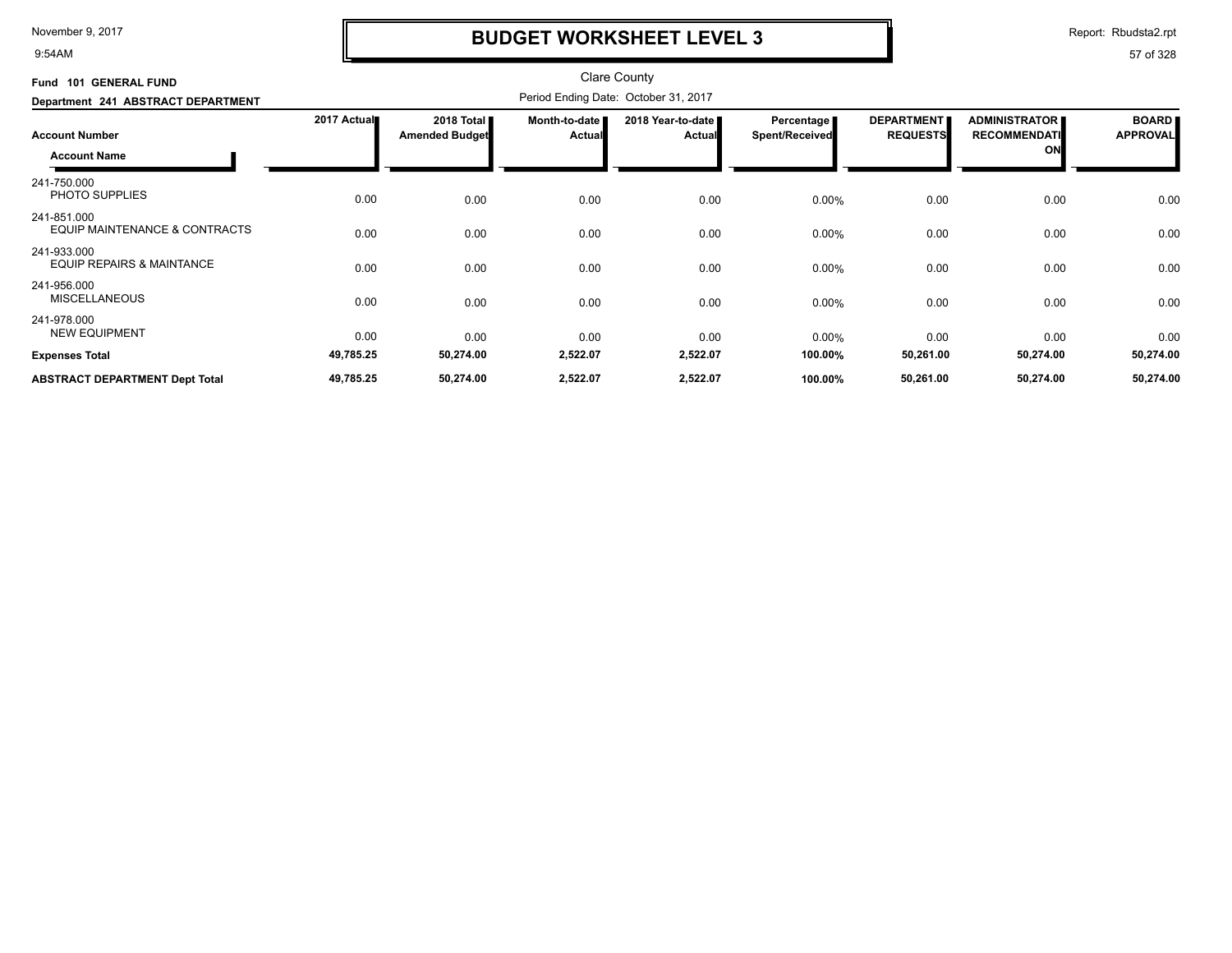9:54AM

## **BUDGET WORKSHEET LEVEL 3**

Report: Rbudsta2.rpt

| Fund 101 GENERAL FUND<br>Department 241 ABSTRACT DEPARTMENT    |                        |                                     |                                |                                    |                              |                                      |                                                   |                                 |
|----------------------------------------------------------------|------------------------|-------------------------------------|--------------------------------|------------------------------------|------------------------------|--------------------------------------|---------------------------------------------------|---------------------------------|
| <b>Account Number</b><br><b>Account Name</b>                   | 2017 Actual            | 2018 Total<br><b>Amended Budget</b> | Month-to-date<br><b>Actual</b> | 2018 Year-to-date<br><b>Actual</b> | Percentage<br>Spent/Received | <b>DEPARTMENT</b><br><b>REQUESTS</b> | <b>ADMINISTRATOR</b><br><b>RECOMMENDATI</b><br>ON | <b>BOARD</b><br><b>APPROVAL</b> |
| 241-750.000<br>PHOTO SUPPLIES                                  | 0.00                   | 0.00                                | 0.00                           | 0.00                               | $0.00\%$                     | 0.00                                 | 0.00                                              | 0.00                            |
| 241-851.000<br>EQUIP MAINTENANCE & CONTRACTS                   | 0.00                   | 0.00                                | 0.00                           | 0.00                               | $0.00\%$                     | 0.00                                 | 0.00                                              | 0.00                            |
| 241-933.000<br><b>EQUIP REPAIRS &amp; MAINTANCE</b>            | 0.00                   | 0.00                                | 0.00                           | 0.00                               | $0.00\%$                     | 0.00                                 | 0.00                                              | 0.00                            |
| 241-956.000<br><b>MISCELLANEOUS</b>                            | 0.00                   | 0.00                                | 0.00                           | 0.00                               | $0.00\%$                     | 0.00                                 | 0.00                                              | 0.00                            |
| 241-978.000<br><b>NEW EQUIPMENT</b>                            | 0.00                   | 0.00                                | 0.00                           | 0.00                               | $0.00\%$                     | 0.00                                 | 0.00                                              | 0.00                            |
| <b>Expenses Total</b><br><b>ABSTRACT DEPARTMENT Dept Total</b> | 49,785.25<br>49,785.25 | 50,274.00<br>50,274.00              | 2,522.07<br>2,522.07           | 2,522.07<br>2,522.07               | 100.00%<br>100.00%           | 50,261.00<br>50,261.00               | 50,274.00<br>50,274.00                            | 50,274.00<br>50,274.00          |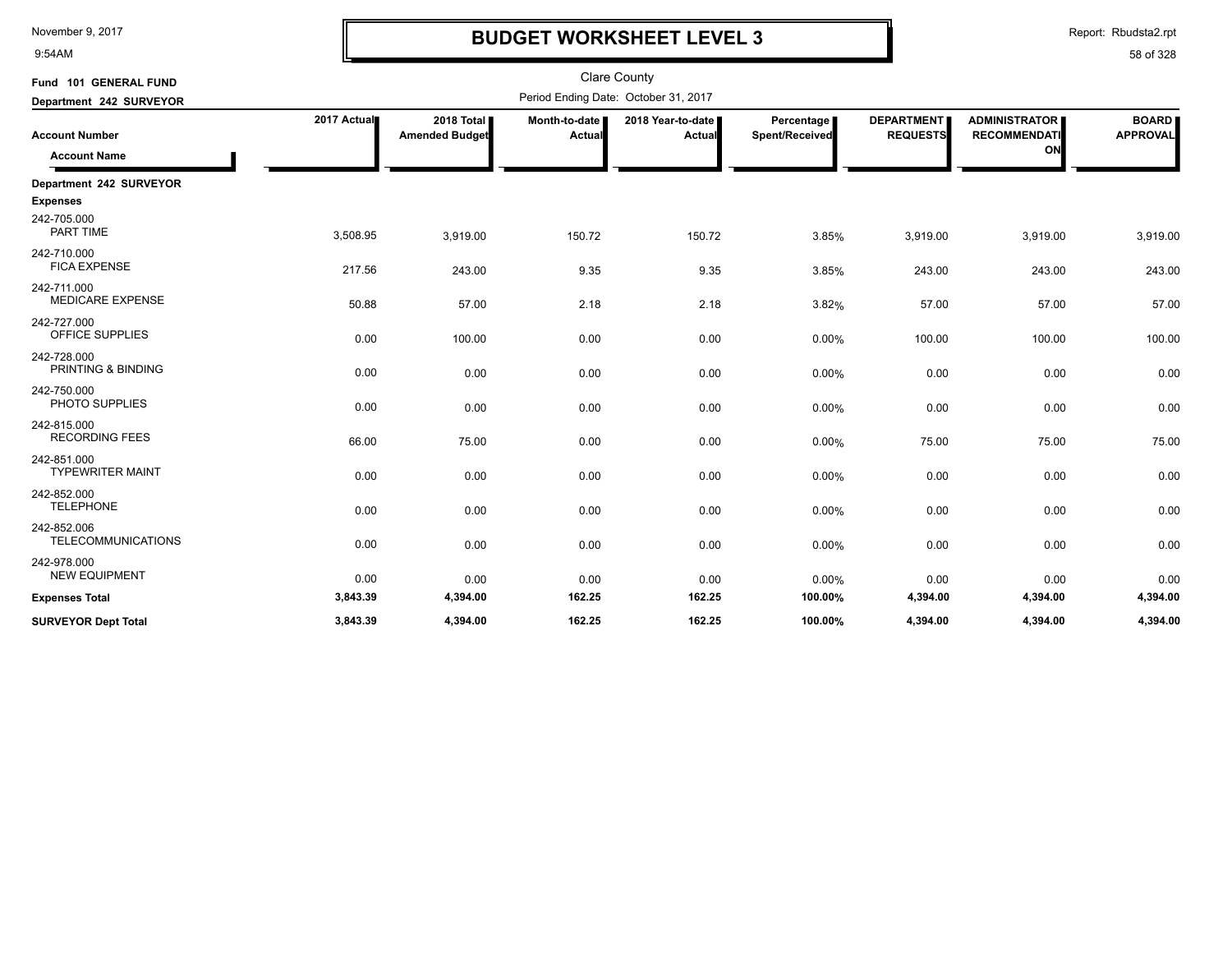9:54AM

## **BUDGET WORKSHEET LEVEL 3**

| Fund 101 GENERAL FUND                        |             |                                     |                           | <b>Clare County</b>                  |                              |                                      |                                                   |                                 |
|----------------------------------------------|-------------|-------------------------------------|---------------------------|--------------------------------------|------------------------------|--------------------------------------|---------------------------------------------------|---------------------------------|
| Department 242 SURVEYOR                      |             |                                     |                           | Period Ending Date: October 31, 2017 |                              |                                      |                                                   |                                 |
| <b>Account Number</b><br><b>Account Name</b> | 2017 Actual | 2018 Total<br><b>Amended Budget</b> | Month-to-date  <br>Actual | 2018 Year-to-date<br>Actual          | Percentage<br>Spent/Received | <b>DEPARTMENT</b><br><b>REQUESTS</b> | <b>ADMINISTRATOR</b><br><b>RECOMMENDATI</b><br>ON | <b>BOARD</b><br><b>APPROVAL</b> |
| Department 242 SURVEYOR                      |             |                                     |                           |                                      |                              |                                      |                                                   |                                 |
| <b>Expenses</b>                              |             |                                     |                           |                                      |                              |                                      |                                                   |                                 |
| 242-705.000<br>PART TIME                     | 3,508.95    | 3,919.00                            | 150.72                    | 150.72                               | 3.85%                        | 3,919.00                             | 3,919.00                                          | 3,919.00                        |
| 242-710.000<br><b>FICA EXPENSE</b>           | 217.56      | 243.00                              | 9.35                      | 9.35                                 | 3.85%                        | 243.00                               | 243.00                                            | 243.00                          |
| 242-711.000<br><b>MEDICARE EXPENSE</b>       | 50.88       | 57.00                               | 2.18                      | 2.18                                 | 3.82%                        | 57.00                                | 57.00                                             | 57.00                           |
| 242-727.000<br>OFFICE SUPPLIES               | 0.00        | 100.00                              | 0.00                      | 0.00                                 | 0.00%                        | 100.00                               | 100.00                                            | 100.00                          |
| 242-728.000<br>PRINTING & BINDING            | 0.00        | 0.00                                | 0.00                      | 0.00                                 | 0.00%                        | 0.00                                 | 0.00                                              | 0.00                            |
| 242-750.000<br>PHOTO SUPPLIES                | 0.00        | 0.00                                | 0.00                      | 0.00                                 | 0.00%                        | 0.00                                 | 0.00                                              | 0.00                            |
| 242-815.000<br><b>RECORDING FEES</b>         | 66.00       | 75.00                               | 0.00                      | 0.00                                 | 0.00%                        | 75.00                                | 75.00                                             | 75.00                           |
| 242-851.000<br><b>TYPEWRITER MAINT</b>       | 0.00        | 0.00                                | 0.00                      | 0.00                                 | 0.00%                        | 0.00                                 | 0.00                                              | 0.00                            |
| 242-852.000<br><b>TELEPHONE</b>              | 0.00        | 0.00                                | 0.00                      | 0.00                                 | 0.00%                        | 0.00                                 | 0.00                                              | 0.00                            |
| 242-852.006<br><b>TELECOMMUNICATIONS</b>     | 0.00        | 0.00                                | 0.00                      | 0.00                                 | 0.00%                        | 0.00                                 | 0.00                                              | 0.00                            |
| 242-978.000<br><b>NEW EQUIPMENT</b>          | 0.00        | 0.00                                | 0.00                      | 0.00                                 | 0.00%                        | 0.00                                 | 0.00                                              | 0.00                            |
| <b>Expenses Total</b>                        | 3,843.39    | 4,394.00                            | 162.25                    | 162.25                               | 100.00%                      | 4,394.00                             | 4,394.00                                          | 4,394.00                        |
| <b>SURVEYOR Dept Total</b>                   | 3,843.39    | 4,394.00                            | 162.25                    | 162.25                               | 100.00%                      | 4,394.00                             | 4,394.00                                          | 4,394.00                        |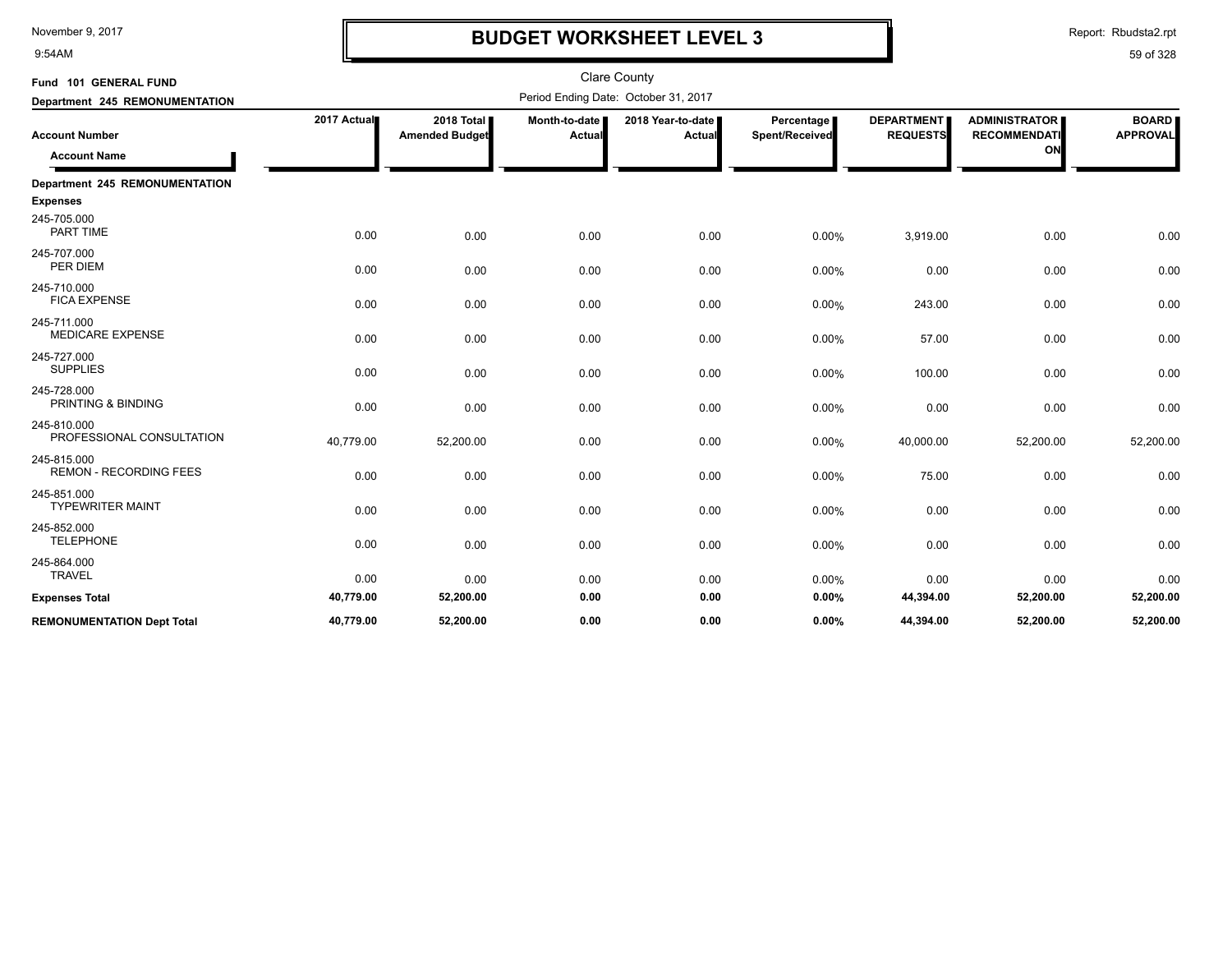9:54AM

## **BUDGET WORKSHEET LEVEL 3**

Report: Rbudsta2.rpt

| Fund 101 GENERAL FUND                        |             |                                     |                         | <b>Clare County</b>                  |                              |                                      |                                                   |                                 |
|----------------------------------------------|-------------|-------------------------------------|-------------------------|--------------------------------------|------------------------------|--------------------------------------|---------------------------------------------------|---------------------------------|
| Department 245 REMONUMENTATION               |             |                                     |                         | Period Ending Date: October 31, 2017 |                              |                                      |                                                   |                                 |
| <b>Account Number</b><br><b>Account Name</b> | 2017 Actual | 2018 Total<br><b>Amended Budget</b> | Month-to-date<br>Actual | 2018 Year-to-date<br>Actual          | Percentage<br>Spent/Received | <b>DEPARTMENT</b><br><b>REQUESTS</b> | <b>ADMINISTRATOR</b><br><b>RECOMMENDATI</b><br>ON | <b>BOARD</b><br><b>APPROVAL</b> |
| Department 245 REMONUMENTATION               |             |                                     |                         |                                      |                              |                                      |                                                   |                                 |
| <b>Expenses</b>                              |             |                                     |                         |                                      |                              |                                      |                                                   |                                 |
| 245-705.000<br><b>PART TIME</b>              | 0.00        | 0.00                                | 0.00                    | 0.00                                 | 0.00%                        | 3,919.00                             | 0.00                                              | 0.00                            |
| 245-707.000<br>PER DIEM                      | 0.00        | 0.00                                | 0.00                    | 0.00                                 | 0.00%                        | 0.00                                 | 0.00                                              | 0.00                            |
| 245-710.000<br><b>FICA EXPENSE</b>           | 0.00        | 0.00                                | 0.00                    | 0.00                                 | 0.00%                        | 243.00                               | 0.00                                              | 0.00                            |
| 245-711.000<br><b>MEDICARE EXPENSE</b>       | 0.00        | 0.00                                | 0.00                    | 0.00                                 | 0.00%                        | 57.00                                | 0.00                                              | 0.00                            |
| 245-727.000<br><b>SUPPLIES</b>               | 0.00        | 0.00                                | 0.00                    | 0.00                                 | 0.00%                        | 100.00                               | 0.00                                              | 0.00                            |
| 245-728.000<br>PRINTING & BINDING            | 0.00        | 0.00                                | 0.00                    | 0.00                                 | 0.00%                        | 0.00                                 | 0.00                                              | 0.00                            |
| 245-810.000<br>PROFESSIONAL CONSULTATION     | 40,779.00   | 52,200.00                           | 0.00                    | 0.00                                 | 0.00%                        | 40,000.00                            | 52,200.00                                         | 52,200.00                       |
| 245-815.000<br><b>REMON - RECORDING FEES</b> | 0.00        | 0.00                                | 0.00                    | 0.00                                 | 0.00%                        | 75.00                                | 0.00                                              | 0.00                            |
| 245-851.000<br><b>TYPEWRITER MAINT</b>       | 0.00        | 0.00                                | 0.00                    | 0.00                                 | 0.00%                        | 0.00                                 | 0.00                                              | 0.00                            |
| 245-852.000<br><b>TELEPHONE</b>              | 0.00        | 0.00                                | 0.00                    | 0.00                                 | 0.00%                        | 0.00                                 | 0.00                                              | 0.00                            |
| 245-864.000<br><b>TRAVEL</b>                 | 0.00        | 0.00                                | 0.00                    | 0.00                                 | 0.00%                        | 0.00                                 | 0.00                                              | 0.00                            |
| <b>Expenses Total</b>                        | 40,779.00   | 52,200.00                           | 0.00                    | 0.00                                 | 0.00%                        | 44,394.00                            | 52,200.00                                         | 52,200.00                       |
| <b>REMONUMENTATION Dept Total</b>            | 40,779.00   | 52,200.00                           | 0.00                    | 0.00                                 | 0.00%                        | 44,394.00                            | 52,200.00                                         | 52,200.00                       |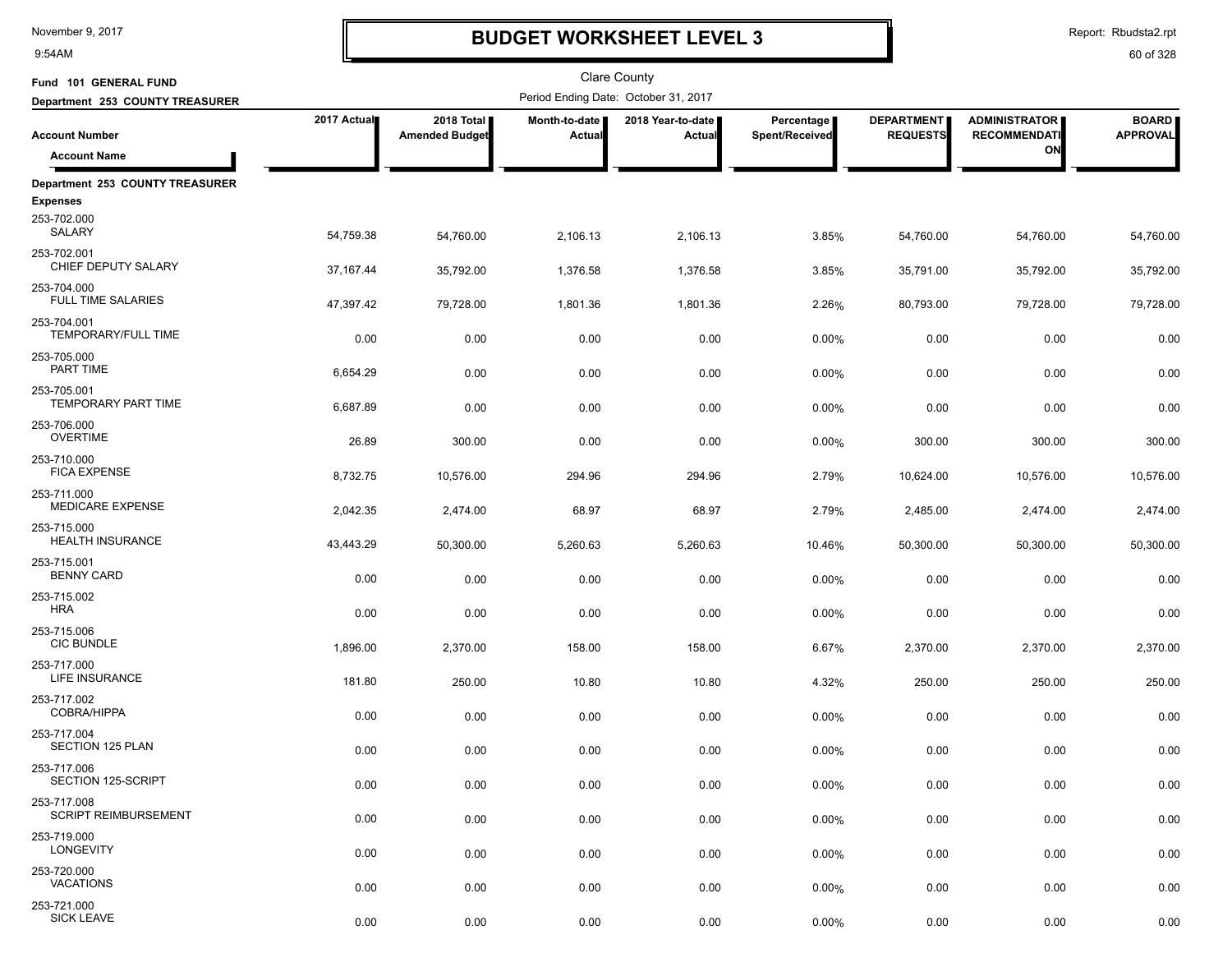9:54AM

## **BUDGET WORKSHEET LEVEL 3**

Report: Rbudsta2.rpt

| Fund 101 GENERAL FUND                      |             |                                     |                         | Clare County                         |                              |                                      |                                             |                                 |
|--------------------------------------------|-------------|-------------------------------------|-------------------------|--------------------------------------|------------------------------|--------------------------------------|---------------------------------------------|---------------------------------|
| Department 253 COUNTY TREASURER            |             |                                     |                         | Period Ending Date: October 31, 2017 |                              |                                      |                                             |                                 |
| <b>Account Number</b>                      | 2017 Actual | 2018 Total<br><b>Amended Budget</b> | Month-to-date<br>Actual | 2018 Year-to-date<br>Actual          | Percentage<br>Spent/Received | <b>DEPARTMENT</b><br><b>REQUESTS</b> | <b>ADMINISTRATOR</b><br><b>RECOMMENDATI</b> | <b>BOARD</b><br><b>APPROVAL</b> |
| <b>Account Name</b>                        |             |                                     |                         |                                      |                              |                                      | ON                                          |                                 |
| Department 253 COUNTY TREASURER            |             |                                     |                         |                                      |                              |                                      |                                             |                                 |
| <b>Expenses</b>                            |             |                                     |                         |                                      |                              |                                      |                                             |                                 |
| 253-702.000<br>SALARY                      | 54,759.38   | 54,760.00                           | 2,106.13                | 2,106.13                             | 3.85%                        | 54,760.00                            | 54,760.00                                   | 54,760.00                       |
| 253-702.001<br>CHIEF DEPUTY SALARY         | 37, 167. 44 | 35,792.00                           | 1,376.58                | 1,376.58                             | 3.85%                        | 35,791.00                            | 35,792.00                                   | 35,792.00                       |
| 253-704.000<br><b>FULL TIME SALARIES</b>   | 47,397.42   | 79,728.00                           | 1,801.36                | 1,801.36                             | 2.26%                        | 80,793.00                            | 79,728.00                                   | 79,728.00                       |
| 253-704.001<br>TEMPORARY/FULL TIME         | 0.00        | 0.00                                | 0.00                    | 0.00                                 | 0.00%                        | 0.00                                 | 0.00                                        | 0.00                            |
| 253-705.000<br>PART TIME                   | 6,654.29    | 0.00                                | 0.00                    | 0.00                                 | 0.00%                        | 0.00                                 | 0.00                                        | 0.00                            |
| 253-705.001<br>TEMPORARY PART TIME         | 6,687.89    | 0.00                                | 0.00                    | 0.00                                 | 0.00%                        | 0.00                                 | 0.00                                        | 0.00                            |
| 253-706.000<br><b>OVERTIME</b>             | 26.89       | 300.00                              | 0.00                    | 0.00                                 | 0.00%                        | 300.00                               | 300.00                                      | 300.00                          |
| 253-710.000<br><b>FICA EXPENSE</b>         | 8,732.75    | 10,576.00                           | 294.96                  | 294.96                               | 2.79%                        | 10.624.00                            | 10,576.00                                   | 10,576.00                       |
| 253-711.000<br><b>MEDICARE EXPENSE</b>     | 2,042.35    | 2,474.00                            | 68.97                   | 68.97                                | 2.79%                        | 2,485.00                             | 2,474.00                                    | 2,474.00                        |
| 253-715.000<br><b>HEALTH INSURANCE</b>     | 43,443.29   | 50,300.00                           | 5,260.63                | 5,260.63                             | 10.46%                       | 50,300.00                            | 50,300.00                                   | 50,300.00                       |
| 253-715.001<br><b>BENNY CARD</b>           | 0.00        | 0.00                                | 0.00                    | 0.00                                 | 0.00%                        | 0.00                                 | 0.00                                        | 0.00                            |
| 253-715.002<br><b>HRA</b>                  | 0.00        | 0.00                                | 0.00                    | 0.00                                 | 0.00%                        | 0.00                                 | 0.00                                        | 0.00                            |
| 253-715.006<br><b>CIC BUNDLE</b>           | 1,896.00    | 2,370.00                            | 158.00                  | 158.00                               | 6.67%                        | 2,370.00                             | 2,370.00                                    | 2,370.00                        |
| 253-717.000<br>LIFE INSURANCE              | 181.80      | 250.00                              | 10.80                   | 10.80                                | 4.32%                        | 250.00                               | 250.00                                      | 250.00                          |
| 253-717.002<br>COBRA/HIPPA                 | 0.00        | 0.00                                | 0.00                    | 0.00                                 | 0.00%                        | 0.00                                 | 0.00                                        | 0.00                            |
| 253-717.004<br><b>SECTION 125 PLAN</b>     | 0.00        | 0.00                                | 0.00                    | 0.00                                 | 0.00%                        | 0.00                                 | 0.00                                        | 0.00                            |
| 253-717.006<br>SECTION 125-SCRIPT          | 0.00        | 0.00                                | 0.00                    | 0.00                                 | 0.00%                        | 0.00                                 | 0.00                                        | 0.00                            |
| 253-717.008<br><b>SCRIPT REIMBURSEMENT</b> | 0.00        | 0.00                                | 0.00                    | 0.00                                 | 0.00%                        | 0.00                                 | 0.00                                        | 0.00                            |
| 253-719.000<br><b>LONGEVITY</b>            | 0.00        | 0.00                                | 0.00                    | 0.00                                 | 0.00%                        | 0.00                                 | 0.00                                        | 0.00                            |
| 253-720.000<br><b>VACATIONS</b>            | 0.00        | 0.00                                | 0.00                    | 0.00                                 | 0.00%                        | 0.00                                 | 0.00                                        | 0.00                            |
| 253-721.000<br><b>SICK LEAVE</b>           | 0.00        | 0.00                                | 0.00                    | 0.00                                 | 0.00%                        | 0.00                                 | 0.00                                        | 0.00                            |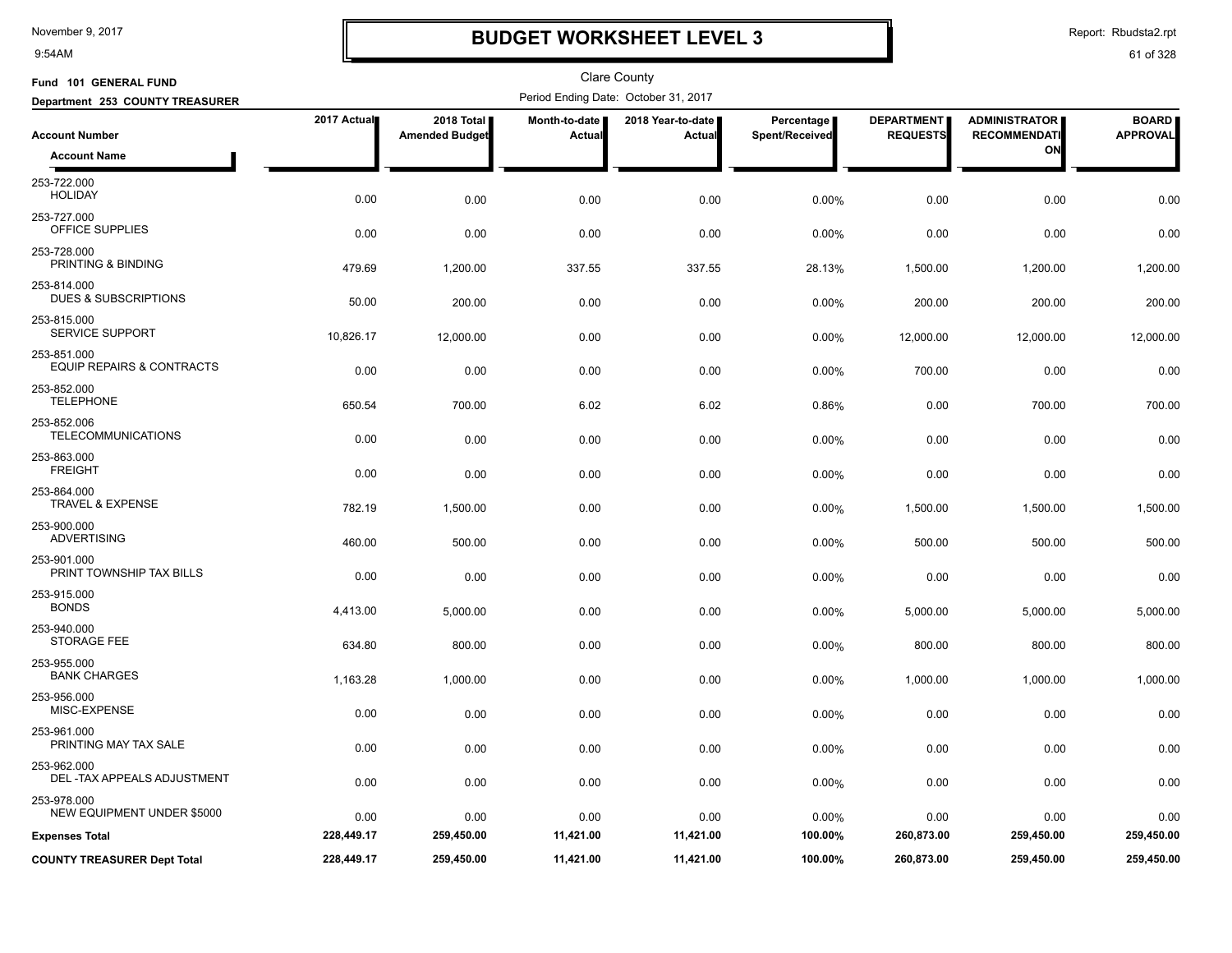9:54AM

## **BUDGET WORKSHEET LEVEL 3**

Report: Rbudsta2.rpt

| Fund 101 GENERAL FUND                               |             |                                     |                         | <b>Clare County</b>                  |                              |                                      |                                             |                                 |
|-----------------------------------------------------|-------------|-------------------------------------|-------------------------|--------------------------------------|------------------------------|--------------------------------------|---------------------------------------------|---------------------------------|
| Department 253 COUNTY TREASURER                     |             |                                     |                         | Period Ending Date: October 31, 2017 |                              |                                      |                                             |                                 |
| <b>Account Number</b>                               | 2017 Actual | 2018 Total<br><b>Amended Budget</b> | Month-to-date<br>Actual | 2018 Year-to-date<br>Actual          | Percentage<br>Spent/Received | <b>DEPARTMENT</b><br><b>REQUESTS</b> | <b>ADMINISTRATOR</b><br><b>RECOMMENDATI</b> | <b>BOARD</b><br><b>APPROVAL</b> |
| <b>Account Name</b>                                 |             |                                     |                         |                                      |                              |                                      | ON                                          |                                 |
| 253-722.000<br><b>HOLIDAY</b>                       | 0.00        | 0.00                                | 0.00                    | 0.00                                 | 0.00%                        | 0.00                                 | 0.00                                        | 0.00                            |
| 253-727.000<br>OFFICE SUPPLIES                      | 0.00        | 0.00                                | 0.00                    | 0.00                                 | 0.00%                        | 0.00                                 | 0.00                                        | 0.00                            |
| 253-728.000<br>PRINTING & BINDING                   | 479.69      | 1,200.00                            | 337.55                  | 337.55                               | 28.13%                       | 1,500.00                             | 1,200.00                                    | 1,200.00                        |
| 253-814.000<br><b>DUES &amp; SUBSCRIPTIONS</b>      | 50.00       | 200.00                              | 0.00                    | 0.00                                 | 0.00%                        | 200.00                               | 200.00                                      | 200.00                          |
| 253-815.000<br>SERVICE SUPPORT                      | 10,826.17   | 12,000.00                           | 0.00                    | 0.00                                 | 0.00%                        | 12,000.00                            | 12,000.00                                   | 12,000.00                       |
| 253-851.000<br><b>EQUIP REPAIRS &amp; CONTRACTS</b> | 0.00        | 0.00                                | 0.00                    | 0.00                                 | 0.00%                        | 700.00                               | 0.00                                        | 0.00                            |
| 253-852.000<br><b>TELEPHONE</b>                     | 650.54      | 700.00                              | 6.02                    | 6.02                                 | 0.86%                        | 0.00                                 | 700.00                                      | 700.00                          |
| 253-852.006<br><b>TELECOMMUNICATIONS</b>            | 0.00        | 0.00                                | 0.00                    | 0.00                                 | 0.00%                        | 0.00                                 | 0.00                                        | 0.00                            |
| 253-863.000<br><b>FREIGHT</b>                       | 0.00        | 0.00                                | 0.00                    | 0.00                                 | 0.00%                        | 0.00                                 | 0.00                                        | 0.00                            |
| 253-864.000<br><b>TRAVEL &amp; EXPENSE</b>          | 782.19      | 1,500.00                            | 0.00                    | 0.00                                 | 0.00%                        | 1,500.00                             | 1,500.00                                    | 1,500.00                        |
| 253-900.000<br><b>ADVERTISING</b>                   | 460.00      | 500.00                              | 0.00                    | 0.00                                 | 0.00%                        | 500.00                               | 500.00                                      | 500.00                          |
| 253-901.000<br>PRINT TOWNSHIP TAX BILLS             | 0.00        | 0.00                                | 0.00                    | 0.00                                 | 0.00%                        | 0.00                                 | 0.00                                        | 0.00                            |
| 253-915.000<br><b>BONDS</b>                         | 4,413.00    | 5,000.00                            | 0.00                    | 0.00                                 | 0.00%                        | 5,000.00                             | 5,000.00                                    | 5,000.00                        |
| 253-940.000<br><b>STORAGE FEE</b>                   | 634.80      | 800.00                              | 0.00                    | 0.00                                 | 0.00%                        | 800.00                               | 800.00                                      | 800.00                          |
| 253-955.000<br><b>BANK CHARGES</b>                  | 1,163.28    | 1,000.00                            | 0.00                    | 0.00                                 | 0.00%                        | 1,000.00                             | 1,000.00                                    | 1,000.00                        |
| 253-956.000<br>MISC-EXPENSE                         | 0.00        | 0.00                                | 0.00                    | 0.00                                 | 0.00%                        | 0.00                                 | 0.00                                        | 0.00                            |
| 253-961.000<br>PRINTING MAY TAX SALE                | 0.00        | 0.00                                | 0.00                    | 0.00                                 | 0.00%                        | 0.00                                 | 0.00                                        | 0.00                            |
| 253-962.000<br>DEL-TAX APPEALS ADJUSTMENT           | 0.00        | 0.00                                | 0.00                    | 0.00                                 | 0.00%                        | 0.00                                 | 0.00                                        | 0.00                            |
| 253-978.000<br>NEW EQUIPMENT UNDER \$5000           | 0.00        | 0.00                                | 0.00                    | 0.00                                 | 0.00%                        | 0.00                                 | 0.00                                        | 0.00                            |
| <b>Expenses Total</b>                               | 228,449.17  | 259,450.00                          | 11,421.00               | 11,421.00                            | 100.00%                      | 260,873.00                           | 259,450.00                                  | 259,450.00                      |
| <b>COUNTY TREASURER Dept Total</b>                  | 228,449.17  | 259,450.00                          | 11,421.00               | 11,421.00                            | 100.00%                      | 260,873.00                           | 259,450.00                                  | 259,450.00                      |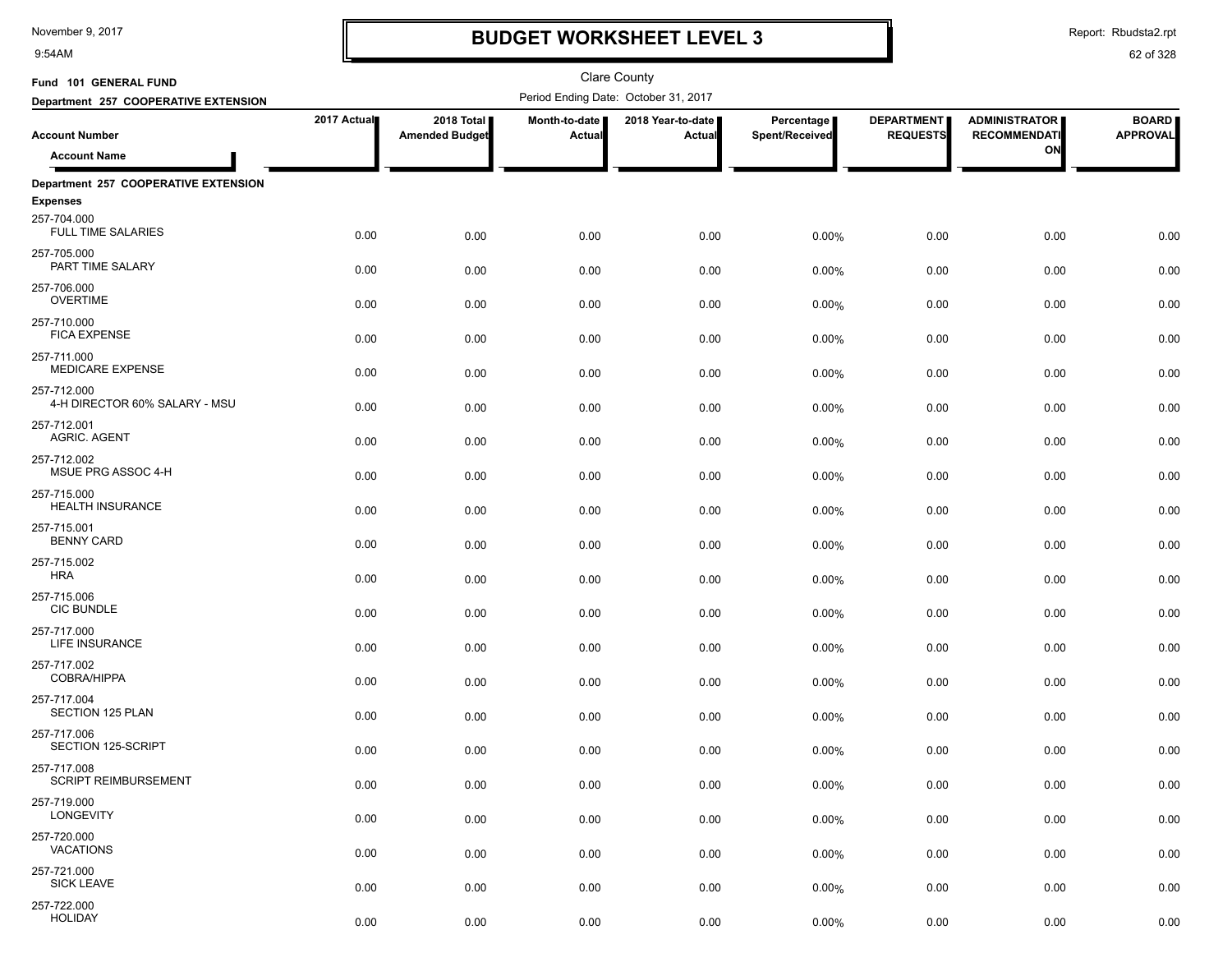9:54AM

# **BUDGET WORKSHEET LEVEL 3**

Report: Rbudsta2.rpt

| Fund 101 GENERAL FUND                        |             |                                     |                         | <b>Clare County</b>                  |                              |                                      |                                             |                                 |
|----------------------------------------------|-------------|-------------------------------------|-------------------------|--------------------------------------|------------------------------|--------------------------------------|---------------------------------------------|---------------------------------|
| Department 257 COOPERATIVE EXTENSION         |             |                                     |                         | Period Ending Date: October 31, 2017 |                              |                                      |                                             |                                 |
| <b>Account Number</b>                        | 2017 Actual | 2018 Total<br><b>Amended Budget</b> | Month-to-date<br>Actual | 2018 Year-to-date  <br>Actual        | Percentage<br>Spent/Received | <b>DEPARTMENT</b><br><b>REQUESTS</b> | <b>ADMINISTRATOR</b><br><b>RECOMMENDATI</b> | <b>BOARD</b><br><b>APPROVAL</b> |
| <b>Account Name</b>                          |             |                                     |                         |                                      |                              |                                      | ON                                          |                                 |
| Department 257 COOPERATIVE EXTENSION         |             |                                     |                         |                                      |                              |                                      |                                             |                                 |
| <b>Expenses</b>                              |             |                                     |                         |                                      |                              |                                      |                                             |                                 |
| 257-704.000<br><b>FULL TIME SALARIES</b>     | 0.00        | 0.00                                | 0.00                    | 0.00                                 | 0.00%                        | 0.00                                 | 0.00                                        | 0.00                            |
| 257-705.000<br>PART TIME SALARY              | 0.00        | 0.00                                | 0.00                    | 0.00                                 | 0.00%                        | 0.00                                 | 0.00                                        | 0.00                            |
| 257-706.000<br><b>OVERTIME</b>               | 0.00        | 0.00                                | 0.00                    | 0.00                                 | 0.00%                        | 0.00                                 | 0.00                                        | 0.00                            |
| 257-710.000<br><b>FICA EXPENSE</b>           | 0.00        | 0.00                                | 0.00                    | 0.00                                 | 0.00%                        | 0.00                                 | 0.00                                        | 0.00                            |
| 257-711.000<br><b>MEDICARE EXPENSE</b>       | 0.00        | 0.00                                | 0.00                    | 0.00                                 | 0.00%                        | 0.00                                 | 0.00                                        | 0.00                            |
| 257-712.000<br>4-H DIRECTOR 60% SALARY - MSU | 0.00        | 0.00                                | 0.00                    | 0.00                                 | 0.00%                        | 0.00                                 | 0.00                                        | 0.00                            |
| 257-712.001<br><b>AGRIC. AGENT</b>           | 0.00        | 0.00                                | 0.00                    | 0.00                                 | 0.00%                        | 0.00                                 | 0.00                                        | 0.00                            |
| 257-712.002<br>MSUE PRG ASSOC 4-H            | 0.00        | 0.00                                | 0.00                    | 0.00                                 | 0.00%                        | 0.00                                 | 0.00                                        | 0.00                            |
| 257-715.000<br><b>HEALTH INSURANCE</b>       | 0.00        | 0.00                                | 0.00                    | 0.00                                 | 0.00%                        | 0.00                                 | 0.00                                        | 0.00                            |
| 257-715.001<br><b>BENNY CARD</b>             | 0.00        | 0.00                                | 0.00                    | 0.00                                 | 0.00%                        | 0.00                                 | 0.00                                        | 0.00                            |
| 257-715.002<br><b>HRA</b>                    | 0.00        | 0.00                                | 0.00                    | 0.00                                 | 0.00%                        | 0.00                                 | 0.00                                        | 0.00                            |
| 257-715.006<br><b>CIC BUNDLE</b>             | 0.00        | 0.00                                | 0.00                    | 0.00                                 | 0.00%                        | 0.00                                 | 0.00                                        | 0.00                            |
| 257-717.000<br>LIFE INSURANCE                | 0.00        | 0.00                                | 0.00                    | 0.00                                 | 0.00%                        | 0.00                                 | 0.00                                        | 0.00                            |
| 257-717.002<br><b>COBRA/HIPPA</b>            | 0.00        | 0.00                                | 0.00                    | 0.00                                 | 0.00%                        | 0.00                                 | 0.00                                        | 0.00                            |
| 257-717.004<br>SECTION 125 PLAN              | 0.00        | 0.00                                | 0.00                    | 0.00                                 | 0.00%                        | 0.00                                 | 0.00                                        | 0.00                            |
| 257-717.006<br>SECTION 125-SCRIPT            | 0.00        | 0.00                                | 0.00                    | 0.00                                 | 0.00%                        | 0.00                                 | 0.00                                        | 0.00                            |
| 257-717.008<br><b>SCRIPT REIMBURSEMENT</b>   | 0.00        | 0.00                                | 0.00                    | 0.00                                 | 0.00%                        | 0.00                                 | 0.00                                        | 0.00                            |
| 257-719.000<br>LONGEVITY                     | 0.00        | 0.00                                | 0.00                    | 0.00                                 | 0.00%                        | 0.00                                 | 0.00                                        | 0.00                            |
| 257-720.000<br><b>VACATIONS</b>              | 0.00        | 0.00                                | 0.00                    | 0.00                                 | 0.00%                        | 0.00                                 | 0.00                                        | 0.00                            |
| 257-721.000<br><b>SICK LEAVE</b>             | 0.00        | 0.00                                | 0.00                    | 0.00                                 | 0.00%                        | 0.00                                 | 0.00                                        | 0.00                            |
| 257-722.000<br><b>HOLIDAY</b>                | 0.00        | 0.00                                | 0.00                    | 0.00                                 | 0.00%                        | 0.00                                 | 0.00                                        | 0.00                            |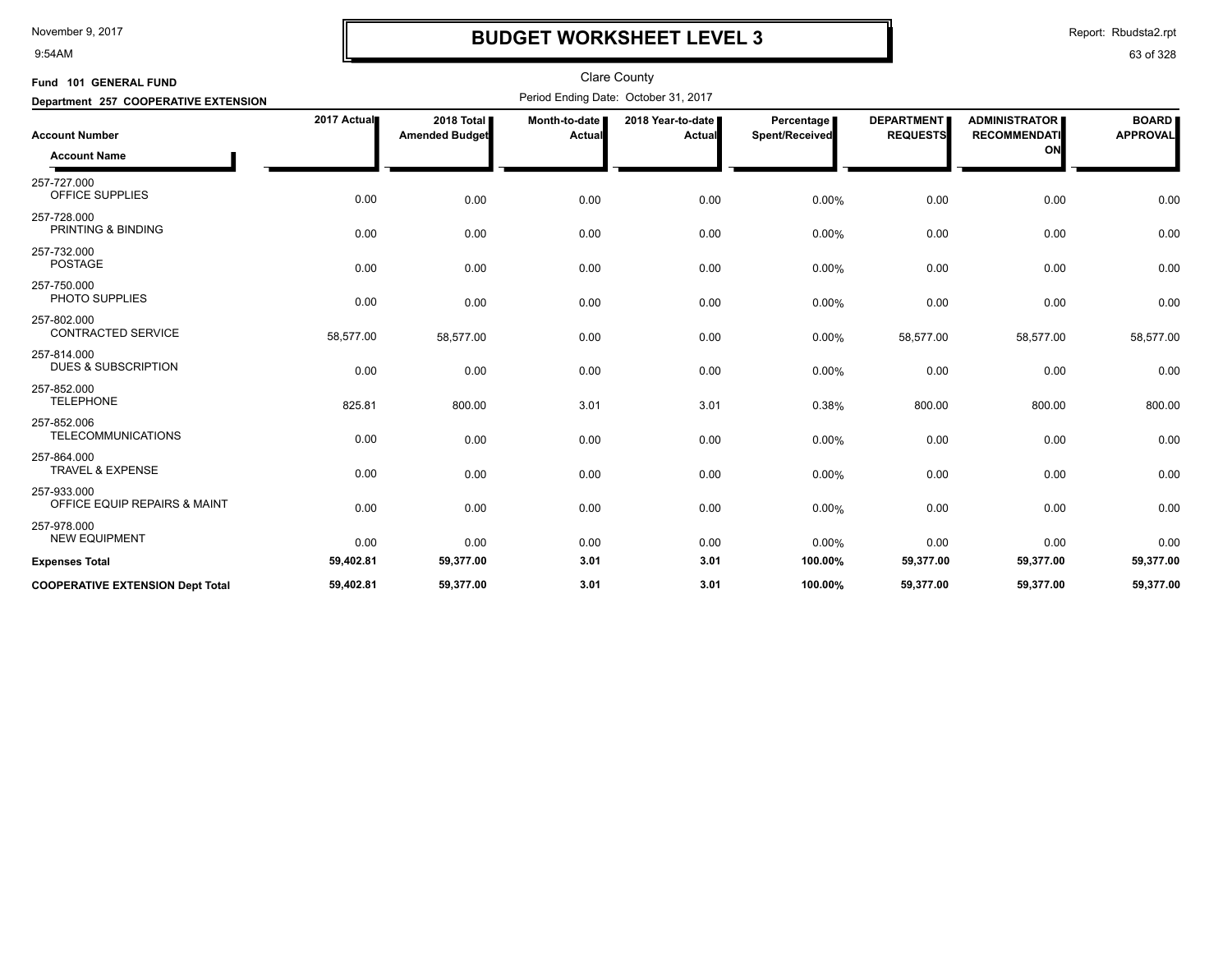9:54AM

## **BUDGET WORKSHEET LEVEL 3**

Report: Rbudsta2.rpt

| Fund 101 GENERAL FUND                         |             |                                     |                         | <b>Clare County</b>                  |                              |                                      |                                             |                                 |
|-----------------------------------------------|-------------|-------------------------------------|-------------------------|--------------------------------------|------------------------------|--------------------------------------|---------------------------------------------|---------------------------------|
| Department 257 COOPERATIVE EXTENSION          |             |                                     |                         | Period Ending Date: October 31, 2017 |                              |                                      |                                             |                                 |
| <b>Account Number</b>                         | 2017 Actual | 2018 Total<br><b>Amended Budget</b> | Month-to-date<br>Actual | 2018 Year-to-date<br>Actual          | Percentage<br>Spent/Received | <b>DEPARTMENT</b><br><b>REQUESTS</b> | <b>ADMINISTRATOR</b><br><b>RECOMMENDATI</b> | <b>BOARD</b><br><b>APPROVAL</b> |
| <b>Account Name</b>                           |             |                                     |                         |                                      |                              |                                      | ON                                          |                                 |
| 257-727.000<br>OFFICE SUPPLIES                | 0.00        | 0.00                                | 0.00                    | 0.00                                 | 0.00%                        | 0.00                                 | 0.00                                        | 0.00                            |
| 257-728.000<br>PRINTING & BINDING             | 0.00        | 0.00                                | 0.00                    | 0.00                                 | 0.00%                        | 0.00                                 | 0.00                                        | 0.00                            |
| 257-732.000<br><b>POSTAGE</b>                 | 0.00        | 0.00                                | 0.00                    | 0.00                                 | 0.00%                        | 0.00                                 | 0.00                                        | 0.00                            |
| 257-750.000<br>PHOTO SUPPLIES                 | 0.00        | 0.00                                | 0.00                    | 0.00                                 | 0.00%                        | 0.00                                 | 0.00                                        | 0.00                            |
| 257-802.000<br><b>CONTRACTED SERVICE</b>      | 58,577.00   | 58,577.00                           | 0.00                    | 0.00                                 | 0.00%                        | 58,577.00                            | 58,577.00                                   | 58,577.00                       |
| 257-814.000<br><b>DUES &amp; SUBSCRIPTION</b> | 0.00        | 0.00                                | 0.00                    | 0.00                                 | 0.00%                        | 0.00                                 | 0.00                                        | 0.00                            |
| 257-852.000<br><b>TELEPHONE</b>               | 825.81      | 800.00                              | 3.01                    | 3.01                                 | 0.38%                        | 800.00                               | 800.00                                      | 800.00                          |
| 257-852.006<br><b>TELECOMMUNICATIONS</b>      | 0.00        | 0.00                                | 0.00                    | 0.00                                 | 0.00%                        | 0.00                                 | 0.00                                        | 0.00                            |
| 257-864.000<br><b>TRAVEL &amp; EXPENSE</b>    | 0.00        | 0.00                                | 0.00                    | 0.00                                 | 0.00%                        | 0.00                                 | 0.00                                        | 0.00                            |
| 257-933.000<br>OFFICE EQUIP REPAIRS & MAINT   | 0.00        | 0.00                                | 0.00                    | 0.00                                 | 0.00%                        | 0.00                                 | 0.00                                        | 0.00                            |
| 257-978.000<br><b>NEW EQUIPMENT</b>           | 0.00        | 0.00                                | 0.00                    | 0.00                                 | 0.00%                        | 0.00                                 | 0.00                                        | 0.00                            |
| <b>Expenses Total</b>                         | 59,402.81   | 59,377.00                           | 3.01                    | 3.01                                 | 100.00%                      | 59,377.00                            | 59,377.00                                   | 59,377.00                       |
| <b>COOPERATIVE EXTENSION Dept Total</b>       | 59,402.81   | 59,377.00                           | 3.01                    | 3.01                                 | 100.00%                      | 59,377.00                            | 59,377.00                                   | 59,377.00                       |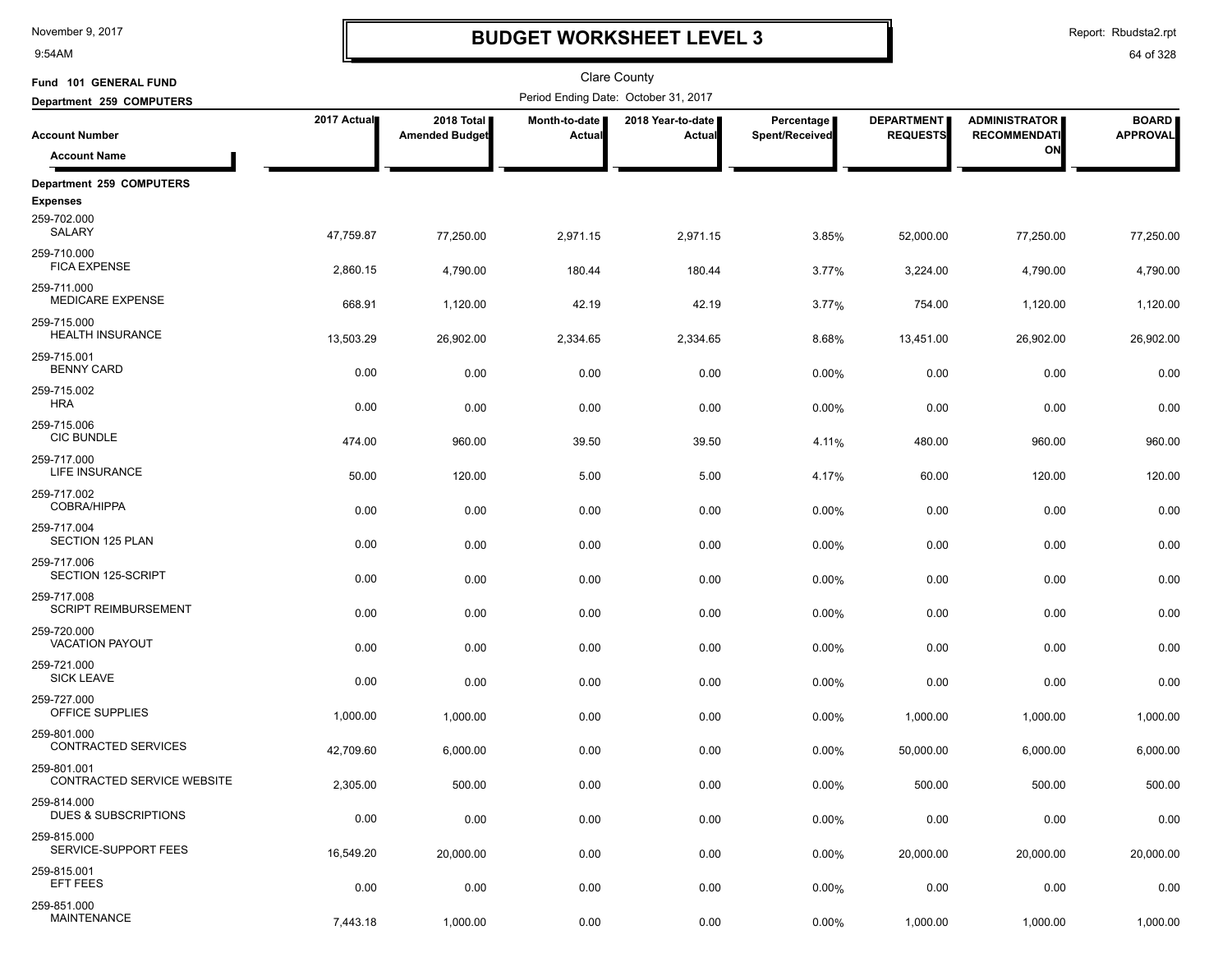9:54AM

## **BUDGET WORKSHEET LEVEL 3**

Report: Rbudsta2.rpt

| Fund 101 GENERAL FUND                          |             |                                     |                         | Clare County                         |                              |                                      |                                             |                                 |
|------------------------------------------------|-------------|-------------------------------------|-------------------------|--------------------------------------|------------------------------|--------------------------------------|---------------------------------------------|---------------------------------|
| Department 259 COMPUTERS                       |             |                                     |                         | Period Ending Date: October 31, 2017 |                              |                                      |                                             |                                 |
| <b>Account Number</b>                          | 2017 Actual | 2018 Total<br><b>Amended Budget</b> | Month-to-date<br>Actual | 2018 Year-to-date<br>Actual          | Percentage<br>Spent/Received | <b>DEPARTMENT</b><br><b>REQUESTS</b> | <b>ADMINISTRATOR</b><br><b>RECOMMENDATI</b> | <b>BOARD</b><br><b>APPROVAL</b> |
| <b>Account Name</b>                            |             |                                     |                         |                                      |                              |                                      | ON                                          |                                 |
| Department 259 COMPUTERS                       |             |                                     |                         |                                      |                              |                                      |                                             |                                 |
| <b>Expenses</b><br>259-702.000<br>SALARY       | 47,759.87   | 77,250.00                           | 2,971.15                | 2,971.15                             | 3.85%                        | 52,000.00                            | 77,250.00                                   | 77,250.00                       |
| 259-710.000<br><b>FICA EXPENSE</b>             | 2,860.15    | 4,790.00                            | 180.44                  | 180.44                               | 3.77%                        | 3,224.00                             | 4,790.00                                    | 4,790.00                        |
| 259-711.000<br><b>MEDICARE EXPENSE</b>         | 668.91      | 1,120.00                            | 42.19                   | 42.19                                | 3.77%                        | 754.00                               | 1,120.00                                    | 1,120.00                        |
| 259-715.000<br><b>HEALTH INSURANCE</b>         | 13,503.29   | 26,902.00                           | 2,334.65                | 2,334.65                             | 8.68%                        | 13,451.00                            | 26,902.00                                   | 26,902.00                       |
| 259-715.001<br><b>BENNY CARD</b>               | 0.00        | 0.00                                | 0.00                    | 0.00                                 | 0.00%                        | 0.00                                 | 0.00                                        | 0.00                            |
| 259-715.002<br><b>HRA</b>                      | 0.00        | 0.00                                | 0.00                    | 0.00                                 | 0.00%                        | 0.00                                 | 0.00                                        | 0.00                            |
| 259-715.006<br><b>CIC BUNDLE</b>               | 474.00      | 960.00                              | 39.50                   | 39.50                                | 4.11%                        | 480.00                               | 960.00                                      | 960.00                          |
| 259-717.000<br>LIFE INSURANCE                  | 50.00       | 120.00                              | 5.00                    | 5.00                                 | 4.17%                        | 60.00                                | 120.00                                      | 120.00                          |
| 259-717.002<br><b>COBRA/HIPPA</b>              | 0.00        | 0.00                                | 0.00                    | 0.00                                 | 0.00%                        | 0.00                                 | 0.00                                        | 0.00                            |
| 259-717.004<br>SECTION 125 PLAN                | 0.00        | 0.00                                | 0.00                    | 0.00                                 | 0.00%                        | 0.00                                 | 0.00                                        | 0.00                            |
| 259-717.006<br>SECTION 125-SCRIPT              | 0.00        | 0.00                                | 0.00                    | 0.00                                 | 0.00%                        | 0.00                                 | 0.00                                        | 0.00                            |
| 259-717.008<br><b>SCRIPT REIMBURSEMENT</b>     | 0.00        | 0.00                                | 0.00                    | 0.00                                 | 0.00%                        | 0.00                                 | 0.00                                        | 0.00                            |
| 259-720.000<br><b>VACATION PAYOUT</b>          | 0.00        | 0.00                                | 0.00                    | 0.00                                 | 0.00%                        | 0.00                                 | 0.00                                        | 0.00                            |
| 259-721.000<br><b>SICK LEAVE</b>               | 0.00        | 0.00                                | 0.00                    | 0.00                                 | 0.00%                        | 0.00                                 | 0.00                                        | 0.00                            |
| 259-727.000<br>OFFICE SUPPLIES                 | 1,000.00    | 1,000.00                            | 0.00                    | 0.00                                 | 0.00%                        | 1,000.00                             | 1,000.00                                    | 1,000.00                        |
| 259-801.000<br><b>CONTRACTED SERVICES</b>      | 42,709.60   | 6,000.00                            | 0.00                    | 0.00                                 | 0.00%                        | 50,000.00                            | 6,000.00                                    | 6,000.00                        |
| 259-801.001<br>CONTRACTED SERVICE WEBSITE      | 2,305.00    | 500.00                              | 0.00                    | 0.00                                 | 0.00%                        | 500.00                               | 500.00                                      | 500.00                          |
| 259-814.000<br><b>DUES &amp; SUBSCRIPTIONS</b> | 0.00        | 0.00                                | 0.00                    | 0.00                                 | 0.00%                        | 0.00                                 | 0.00                                        | 0.00                            |
| 259-815.000<br>SERVICE-SUPPORT FEES            | 16,549.20   | 20,000.00                           | 0.00                    | 0.00                                 | 0.00%                        | 20,000.00                            | 20,000.00                                   | 20,000.00                       |
| 259-815.001<br>EFT FEES                        | 0.00        | 0.00                                | 0.00                    | 0.00                                 | 0.00%                        | 0.00                                 | 0.00                                        | 0.00                            |
| 259-851.000<br><b>MAINTENANCE</b>              | 7,443.18    | 1,000.00                            | 0.00                    | 0.00                                 | 0.00%                        | 1,000.00                             | 1,000.00                                    | 1,000.00                        |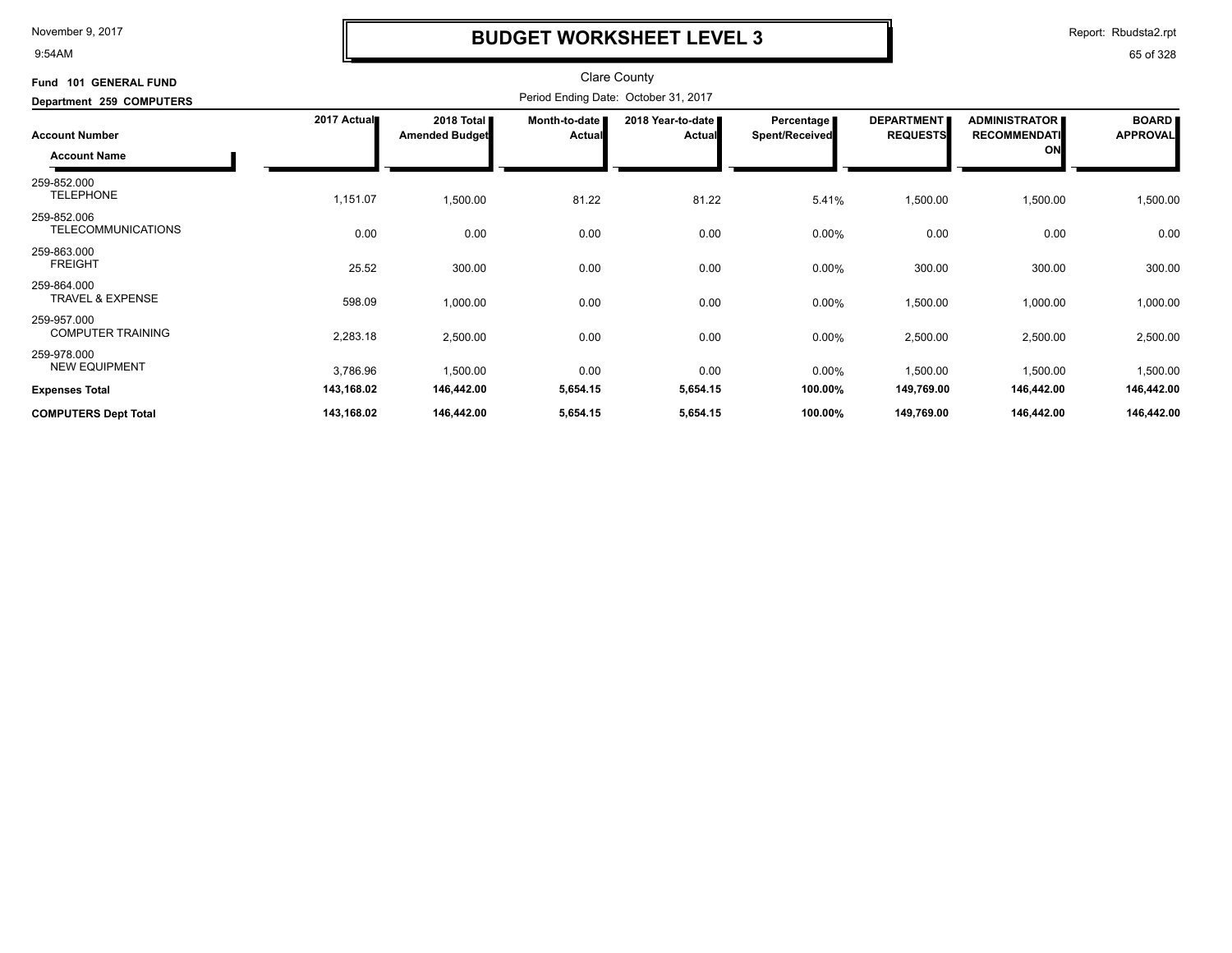9:54AM

## **BUDGET WORKSHEET LEVEL 3**

Report: Rbudsta2.rpt

| Fund 101 GENERAL FUND<br>Department 259 COMPUTERS |             | Clare County<br>Period Ending Date: October 31, 2017 |                         |                                    |                                     |                                      |                                                   |                                 |  |
|---------------------------------------------------|-------------|------------------------------------------------------|-------------------------|------------------------------------|-------------------------------------|--------------------------------------|---------------------------------------------------|---------------------------------|--|
| <b>Account Number</b>                             | 2017 Actual | 2018 Total<br><b>Amended Budget</b>                  | Month-to-date<br>Actual | 2018 Year-to-date<br><b>Actual</b> | <b>Percentage</b><br>Spent/Received | <b>DEPARTMENT</b><br><b>REQUESTS</b> | <b>ADMINISTRATOR</b><br><b>RECOMMENDATI</b><br>ON | <b>BOARD</b><br><b>APPROVAL</b> |  |
| <b>Account Name</b>                               |             |                                                      |                         |                                    |                                     |                                      |                                                   |                                 |  |
| 259-852.000<br><b>TELEPHONE</b>                   | 1,151.07    | 1,500.00                                             | 81.22                   | 81.22                              | 5.41%                               | 1,500.00                             | 1,500.00                                          | 1,500.00                        |  |
| 259-852.006<br><b>TELECOMMUNICATIONS</b>          | 0.00        | 0.00                                                 | 0.00                    | 0.00                               | 0.00%                               | 0.00                                 | 0.00                                              | 0.00                            |  |
| 259-863.000<br><b>FREIGHT</b>                     | 25.52       | 300.00                                               | 0.00                    | 0.00                               | $0.00\%$                            | 300.00                               | 300.00                                            | 300.00                          |  |
| 259-864.000<br><b>TRAVEL &amp; EXPENSE</b>        | 598.09      | 1,000.00                                             | 0.00                    | 0.00                               | $0.00\%$                            | 1,500.00                             | 1,000.00                                          | 1,000.00                        |  |
| 259-957.000<br><b>COMPUTER TRAINING</b>           | 2,283.18    | 2,500.00                                             | 0.00                    | 0.00                               | 0.00%                               | 2,500.00                             | 2,500.00                                          | 2,500.00                        |  |
| 259-978.000<br><b>NEW EQUIPMENT</b>               | 3,786.96    | 1,500.00                                             | 0.00                    | 0.00                               | $0.00\%$                            | 1,500.00                             | 1,500.00                                          | 1,500.00                        |  |
| <b>Expenses Total</b>                             | 143,168.02  | 146,442.00                                           | 5,654.15                | 5,654.15                           | 100.00%                             | 149,769.00                           | 146,442.00                                        | 146,442.00                      |  |
| <b>COMPUTERS Dept Total</b>                       | 143,168.02  | 146,442.00                                           | 5,654.15                | 5,654.15                           | 100.00%                             | 149,769.00                           | 146,442.00                                        | 146,442.00                      |  |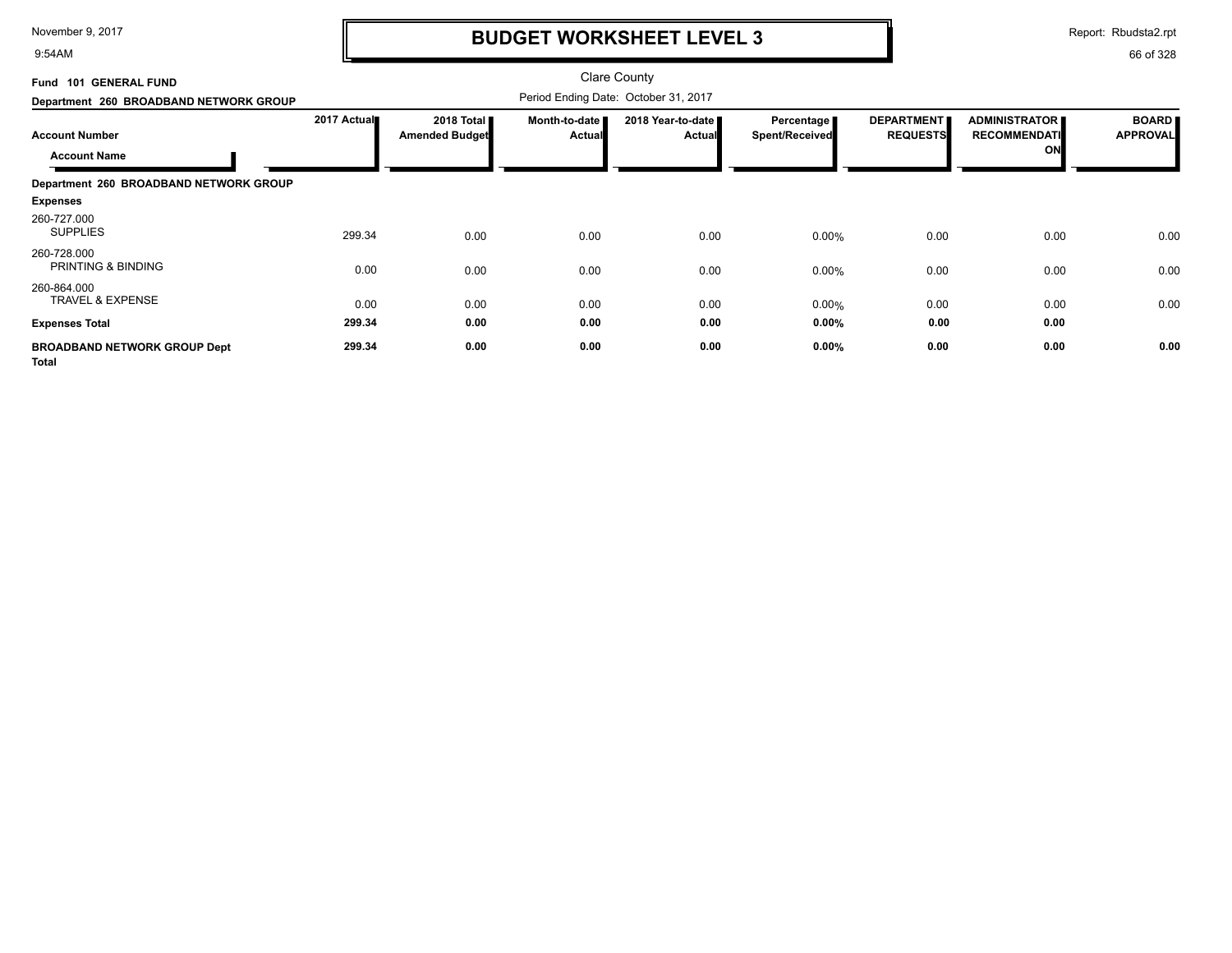9:54AM

## **BUDGET WORKSHEET LEVEL 3**

Report: Rbudsta2.rpt

| Fund 101 GENERAL FUND<br>Department 260 BROADBAND NETWORK GROUP | <b>Clare County</b><br>Period Ending Date: October 31, 2017 |                                               |                         |                                    |                                     |                                      |                                                   |                                 |
|-----------------------------------------------------------------|-------------------------------------------------------------|-----------------------------------------------|-------------------------|------------------------------------|-------------------------------------|--------------------------------------|---------------------------------------------------|---------------------------------|
| <b>Account Number</b><br><b>Account Name</b>                    | 2017 Actual                                                 | 2018 Total <b>II</b><br><b>Amended Budget</b> | Month-to-date<br>Actual | 2018 Year-to-date<br><b>Actual</b> | Percentage<br><b>Spent/Received</b> | <b>DEPARTMENT</b><br><b>REQUESTS</b> | <b>ADMINISTRATOR</b><br><b>RECOMMENDATI</b><br>ON | <b>BOARD</b><br><b>APPROVAL</b> |
| Department 260 BROADBAND NETWORK GROUP                          |                                                             |                                               |                         |                                    |                                     |                                      |                                                   |                                 |
| <b>Expenses</b>                                                 |                                                             |                                               |                         |                                    |                                     |                                      |                                                   |                                 |
| 260-727.000<br><b>SUPPLIES</b>                                  | 299.34                                                      | 0.00                                          | 0.00                    | 0.00                               | 0.00%                               | 0.00                                 | 0.00                                              | 0.00                            |
| 260-728.000<br>PRINTING & BINDING                               | 0.00                                                        | 0.00                                          | 0.00                    | 0.00                               | 0.00%                               | 0.00                                 | 0.00                                              | 0.00                            |
| 260-864.000<br><b>TRAVEL &amp; EXPENSE</b>                      | 0.00                                                        | 0.00                                          | 0.00                    | 0.00                               | 0.00%                               | 0.00                                 | 0.00                                              | 0.00                            |
| <b>Expenses Total</b>                                           | 299.34                                                      | 0.00                                          | 0.00                    | 0.00                               | 0.00%                               | 0.00                                 | 0.00                                              |                                 |
| <b>BROADBAND NETWORK GROUP Dept</b><br><b>Total</b>             | 299.34                                                      | 0.00                                          | 0.00                    | 0.00                               | 0.00%                               | 0.00                                 | 0.00                                              | 0.00                            |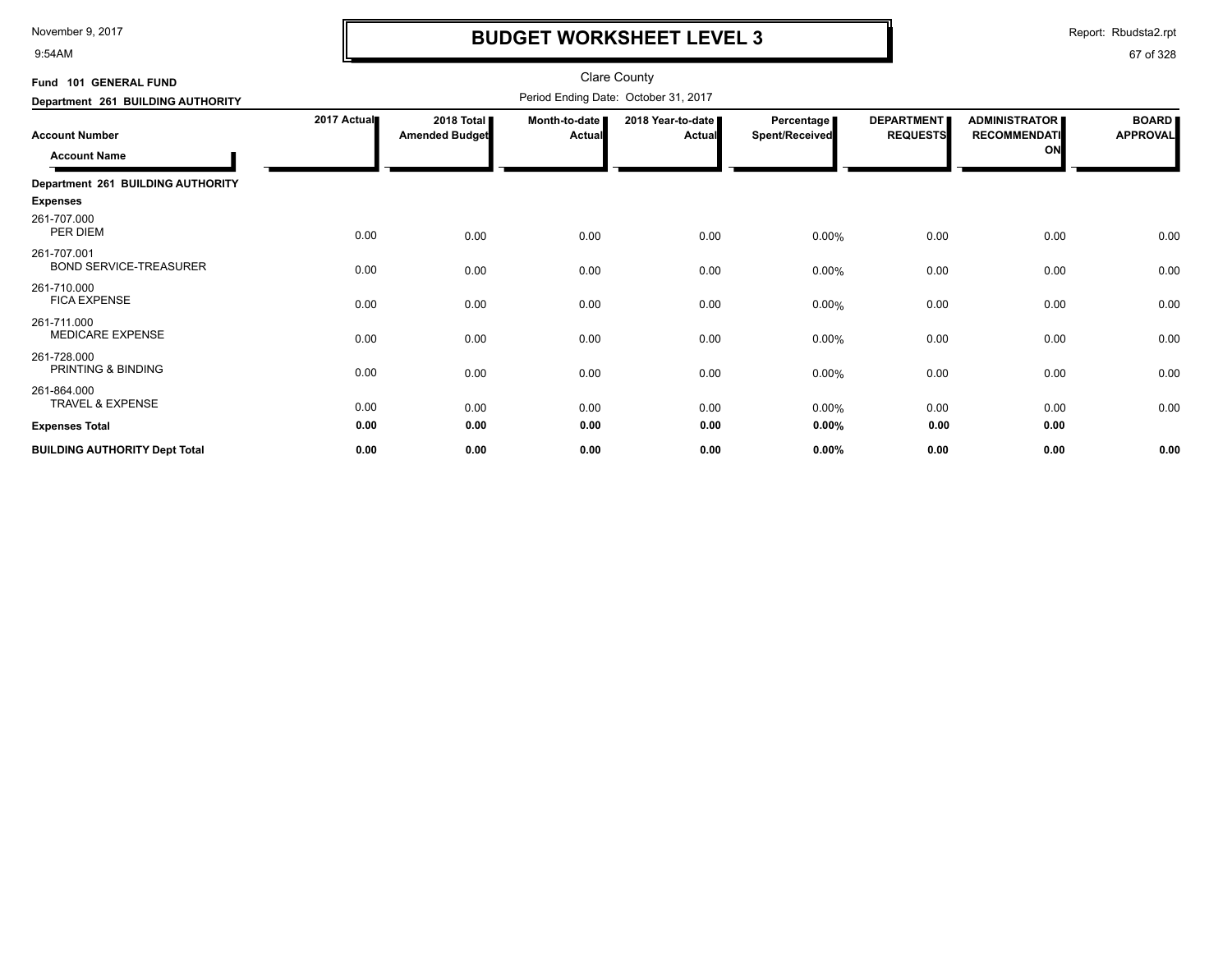9:54AM

## **BUDGET WORKSHEET LEVEL 3**

Report: Rbudsta2.rpt

| Fund 101 GENERAL FUND                        |             |                                     |                                | <b>Clare County</b>                  |                              |                                      |                                                   |                                 |
|----------------------------------------------|-------------|-------------------------------------|--------------------------------|--------------------------------------|------------------------------|--------------------------------------|---------------------------------------------------|---------------------------------|
| Department 261 BUILDING AUTHORITY            |             |                                     |                                | Period Ending Date: October 31, 2017 |                              |                                      |                                                   |                                 |
| <b>Account Number</b><br><b>Account Name</b> | 2017 Actual | 2018 Total<br><b>Amended Budget</b> | Month-to-date<br><b>Actual</b> | 2018 Year-to-date<br>Actual          | Percentage<br>Spent/Received | <b>DEPARTMENT</b><br><b>REQUESTS</b> | <b>ADMINISTRATOR</b><br><b>RECOMMENDATI</b><br>ON | <b>BOARD</b><br><b>APPROVAL</b> |
| Department 261 BUILDING AUTHORITY            |             |                                     |                                |                                      |                              |                                      |                                                   |                                 |
| <b>Expenses</b>                              |             |                                     |                                |                                      |                              |                                      |                                                   |                                 |
| 261-707.000<br>PER DIEM                      | 0.00        | 0.00                                | 0.00                           | 0.00                                 | $0.00\%$                     | 0.00                                 | 0.00                                              | 0.00                            |
| 261-707.001<br><b>BOND SERVICE-TREASURER</b> | 0.00        | 0.00                                | 0.00                           | 0.00                                 | $0.00\%$                     | 0.00                                 | 0.00                                              | 0.00                            |
| 261-710.000<br><b>FICA EXPENSE</b>           | 0.00        | 0.00                                | 0.00                           | 0.00                                 | $0.00\%$                     | 0.00                                 | 0.00                                              | 0.00                            |
| 261-711.000<br><b>MEDICARE EXPENSE</b>       | 0.00        | 0.00                                | 0.00                           | 0.00                                 | $0.00\%$                     | 0.00                                 | 0.00                                              | 0.00                            |
| 261-728.000<br>PRINTING & BINDING            | 0.00        | 0.00                                | 0.00                           | 0.00                                 | 0.00%                        | 0.00                                 | 0.00                                              | 0.00                            |
| 261-864.000<br><b>TRAVEL &amp; EXPENSE</b>   | 0.00        | 0.00                                | 0.00                           | 0.00                                 | $0.00\%$                     | 0.00                                 | 0.00                                              | 0.00                            |
| <b>Expenses Total</b>                        | 0.00        | 0.00                                | 0.00                           | 0.00                                 | $0.00\%$                     | 0.00                                 | 0.00                                              |                                 |
| <b>BUILDING AUTHORITY Dept Total</b>         | 0.00        | 0.00                                | 0.00                           | 0.00                                 | $0.00\%$                     | 0.00                                 | 0.00                                              | 0.00                            |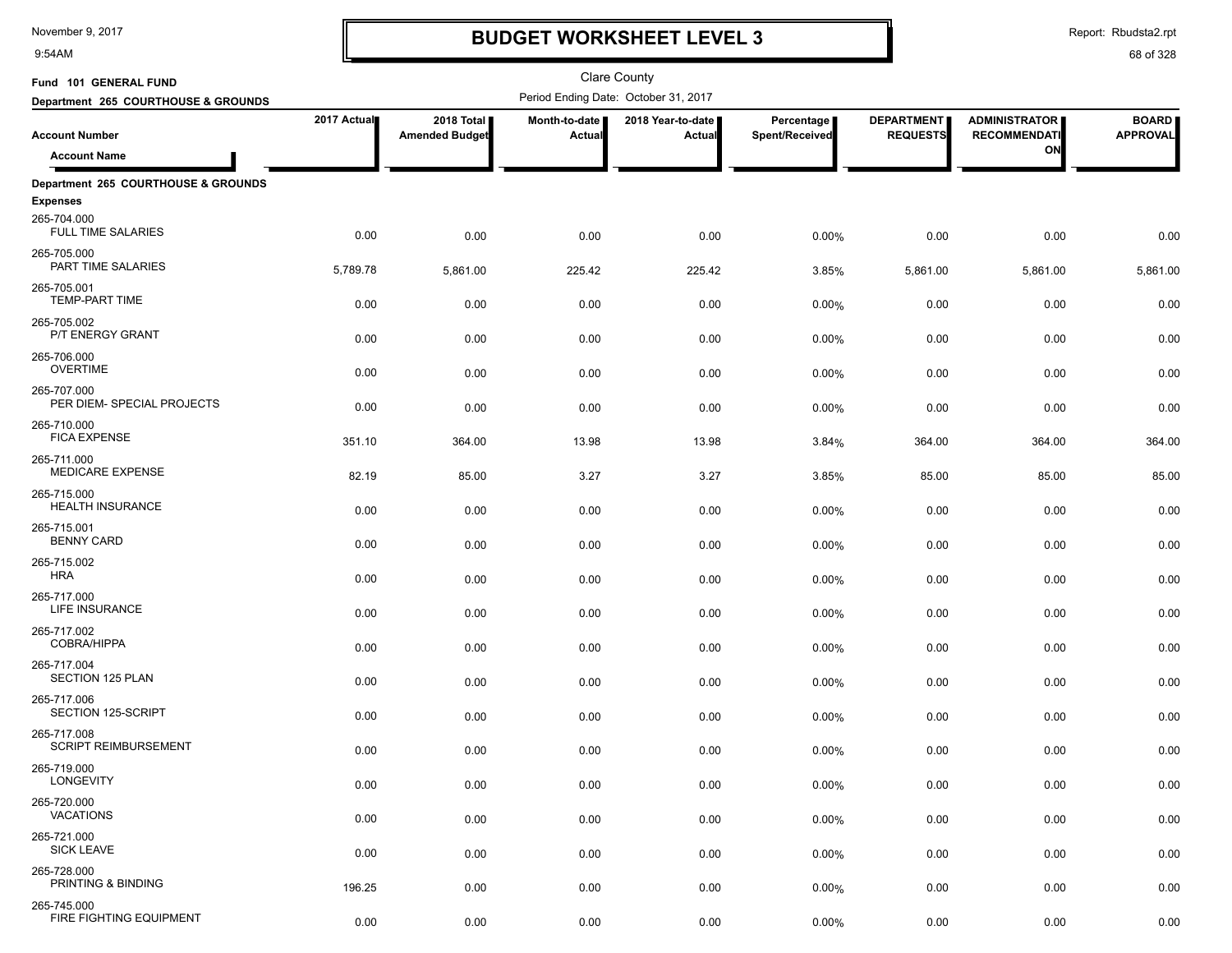9:54AM

# **BUDGET WORKSHEET LEVEL 3**

Report: Rbudsta2.rpt

| Fund 101 GENERAL FUND                      |             |                                     |                         | Clare County                         |                              |                                      |                                             |                                 |
|--------------------------------------------|-------------|-------------------------------------|-------------------------|--------------------------------------|------------------------------|--------------------------------------|---------------------------------------------|---------------------------------|
| Department 265 COURTHOUSE & GROUNDS        |             |                                     |                         | Period Ending Date: October 31, 2017 |                              |                                      |                                             |                                 |
| <b>Account Number</b>                      | 2017 Actual | 2018 Total<br><b>Amended Budget</b> | Month-to-date<br>Actual | 2018 Year-to-date<br>Actual          | Percentage<br>Spent/Received | <b>DEPARTMENT</b><br><b>REQUESTS</b> | <b>ADMINISTRATOR</b><br><b>RECOMMENDATI</b> | <b>BOARD</b><br><b>APPROVAL</b> |
| <b>Account Name</b>                        |             |                                     |                         |                                      |                              |                                      | ON                                          |                                 |
| Department 265 COURTHOUSE & GROUNDS        |             |                                     |                         |                                      |                              |                                      |                                             |                                 |
| <b>Expenses</b>                            |             |                                     |                         |                                      |                              |                                      |                                             |                                 |
| 265-704.000<br><b>FULL TIME SALARIES</b>   | 0.00        | 0.00                                | 0.00                    | 0.00                                 | 0.00%                        | 0.00                                 | 0.00                                        | 0.00                            |
| 265-705.000<br>PART TIME SALARIES          | 5,789.78    | 5,861.00                            | 225.42                  | 225.42                               | 3.85%                        | 5,861.00                             | 5,861.00                                    | 5,861.00                        |
| 265-705.001<br><b>TEMP-PART TIME</b>       | 0.00        | 0.00                                | 0.00                    | 0.00                                 | 0.00%                        | 0.00                                 | 0.00                                        | 0.00                            |
| 265-705.002<br>P/T ENERGY GRANT            | 0.00        | 0.00                                | 0.00                    | 0.00                                 | 0.00%                        | 0.00                                 | 0.00                                        | 0.00                            |
| 265-706.000<br><b>OVERTIME</b>             | 0.00        | 0.00                                | 0.00                    | 0.00                                 | 0.00%                        | 0.00                                 | 0.00                                        | 0.00                            |
| 265-707.000<br>PER DIEM- SPECIAL PROJECTS  | 0.00        | 0.00                                | 0.00                    | 0.00                                 | 0.00%                        | 0.00                                 | 0.00                                        | 0.00                            |
| 265-710.000<br><b>FICA EXPENSE</b>         | 351.10      | 364.00                              | 13.98                   | 13.98                                | 3.84%                        | 364.00                               | 364.00                                      | 364.00                          |
| 265-711.000<br>MEDICARE EXPENSE            | 82.19       | 85.00                               | 3.27                    | 3.27                                 | 3.85%                        | 85.00                                | 85.00                                       | 85.00                           |
| 265-715.000<br><b>HEALTH INSURANCE</b>     | 0.00        | 0.00                                | 0.00                    | 0.00                                 | 0.00%                        | 0.00                                 | 0.00                                        | 0.00                            |
| 265-715.001<br><b>BENNY CARD</b>           | 0.00        | 0.00                                | 0.00                    | 0.00                                 | 0.00%                        | 0.00                                 | 0.00                                        | 0.00                            |
| 265-715.002<br><b>HRA</b>                  | 0.00        | 0.00                                | 0.00                    | 0.00                                 | 0.00%                        | 0.00                                 | 0.00                                        | 0.00                            |
| 265-717.000<br>LIFE INSURANCE              | 0.00        | 0.00                                | 0.00                    | 0.00                                 | 0.00%                        | 0.00                                 | 0.00                                        | 0.00                            |
| 265-717.002<br>COBRA/HIPPA                 | 0.00        | 0.00                                | 0.00                    | 0.00                                 | 0.00%                        | 0.00                                 | 0.00                                        | 0.00                            |
| 265-717.004<br>SECTION 125 PLAN            | 0.00        | 0.00                                | 0.00                    | 0.00                                 | 0.00%                        | 0.00                                 | 0.00                                        | 0.00                            |
| 265-717.006<br>SECTION 125-SCRIPT          | 0.00        | 0.00                                | 0.00                    | 0.00                                 | 0.00%                        | 0.00                                 | 0.00                                        | 0.00                            |
| 265-717.008<br><b>SCRIPT REIMBURSEMENT</b> | 0.00        | 0.00                                | 0.00                    | 0.00                                 | 0.00%                        | 0.00                                 | 0.00                                        | 0.00                            |
| 265-719.000<br><b>LONGEVITY</b>            | 0.00        | 0.00                                | 0.00                    | 0.00                                 | 0.00%                        | 0.00                                 | 0.00                                        | 0.00                            |
| 265-720.000<br><b>VACATIONS</b>            | 0.00        | 0.00                                | 0.00                    | 0.00                                 | 0.00%                        | 0.00                                 | 0.00                                        | 0.00                            |
| 265-721.000<br><b>SICK LEAVE</b>           | 0.00        | 0.00                                | 0.00                    | 0.00                                 | 0.00%                        | 0.00                                 | 0.00                                        | 0.00                            |
| 265-728.000<br>PRINTING & BINDING          | 196.25      | 0.00                                | 0.00                    | 0.00                                 | 0.00%                        | 0.00                                 | 0.00                                        | 0.00                            |
| 265-745.000<br>FIRE FIGHTING EQUIPMENT     | 0.00        | 0.00                                | 0.00                    | 0.00                                 | 0.00%                        | 0.00                                 | 0.00                                        | 0.00                            |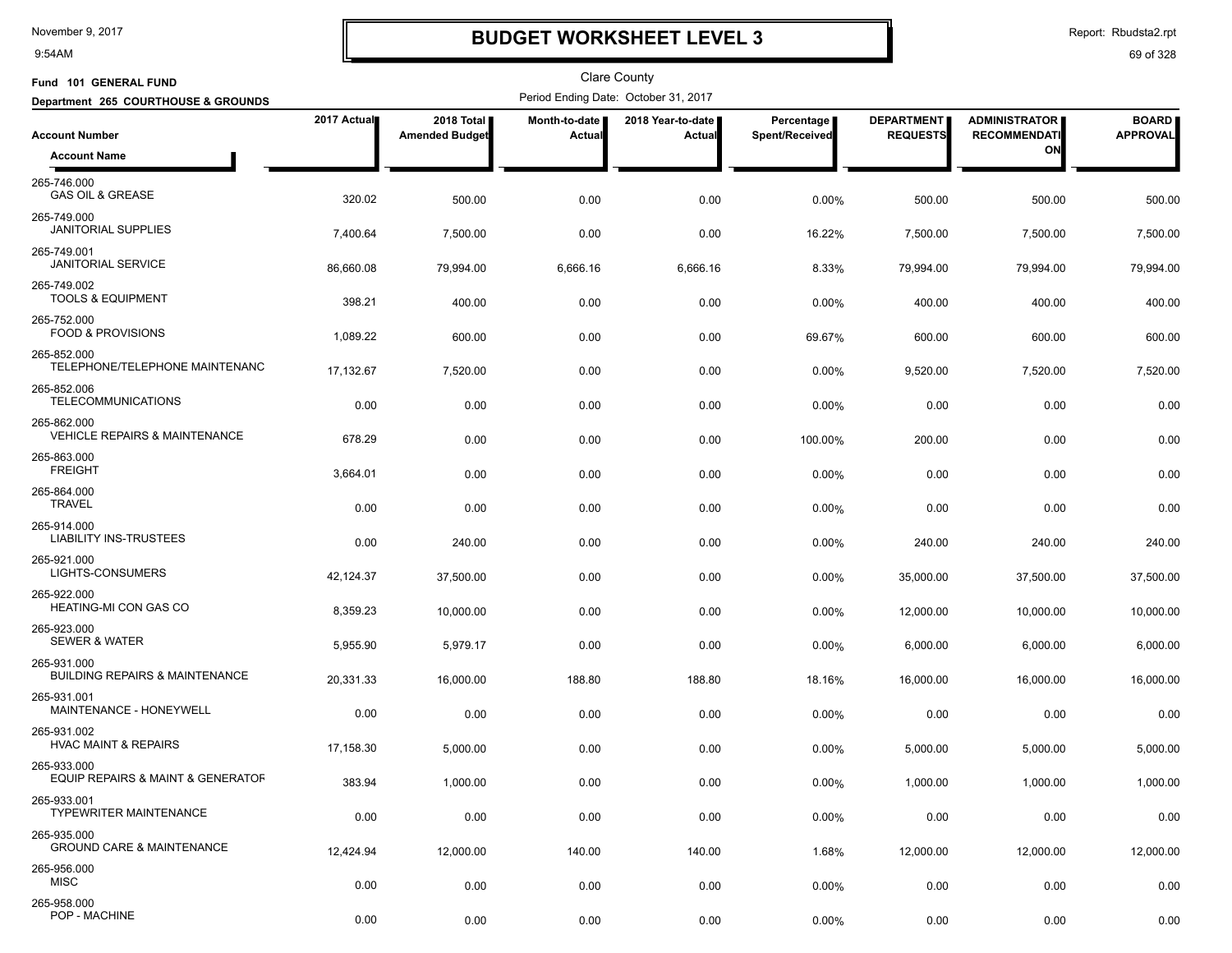9:54AM

# **BUDGET WORKSHEET LEVEL 3**

Report: Rbudsta2.rpt

| Fund 101 GENERAL FUND                                    |             |                                     |                         | <b>Clare County</b>                  |                                |                                      |                                             |                                 |
|----------------------------------------------------------|-------------|-------------------------------------|-------------------------|--------------------------------------|--------------------------------|--------------------------------------|---------------------------------------------|---------------------------------|
| Department 265 COURTHOUSE & GROUNDS                      |             |                                     |                         | Period Ending Date: October 31, 2017 |                                |                                      |                                             |                                 |
| <b>Account Number</b>                                    | 2017 Actual | 2018 Total<br><b>Amended Budget</b> | Month-to-date<br>Actual | 2018 Year-to-date<br>Actual          | Percentage  <br>Spent/Received | <b>DEPARTMENT</b><br><b>REQUESTS</b> | <b>ADMINISTRATOR</b><br><b>RECOMMENDATI</b> | <b>BOARD</b><br><b>APPROVAL</b> |
| <b>Account Name</b>                                      |             |                                     |                         |                                      |                                |                                      | ON                                          |                                 |
| 265-746.000<br><b>GAS OIL &amp; GREASE</b>               | 320.02      | 500.00                              | 0.00                    | 0.00                                 | 0.00%                          | 500.00                               | 500.00                                      | 500.00                          |
| 265-749.000<br><b>JANITORIAL SUPPLIES</b>                | 7,400.64    | 7,500.00                            | 0.00                    | 0.00                                 | 16.22%                         | 7,500.00                             | 7,500.00                                    | 7,500.00                        |
| 265-749.001<br><b>JANITORIAL SERVICE</b>                 | 86,660.08   | 79,994.00                           | 6,666.16                | 6,666.16                             | 8.33%                          | 79,994.00                            | 79,994.00                                   | 79,994.00                       |
| 265-749.002<br><b>TOOLS &amp; EQUIPMENT</b>              | 398.21      | 400.00                              | 0.00                    | 0.00                                 | $0.00\%$                       | 400.00                               | 400.00                                      | 400.00                          |
| 265-752.000<br><b>FOOD &amp; PROVISIONS</b>              | 1,089.22    | 600.00                              | 0.00                    | 0.00                                 | 69.67%                         | 600.00                               | 600.00                                      | 600.00                          |
| 265-852.000<br>TELEPHONE/TELEPHONE MAINTENANC            | 17,132.67   | 7,520.00                            | 0.00                    | 0.00                                 | 0.00%                          | 9,520.00                             | 7,520.00                                    | 7,520.00                        |
| 265-852.006<br><b>TELECOMMUNICATIONS</b>                 | 0.00        | 0.00                                | 0.00                    | 0.00                                 | 0.00%                          | 0.00                                 | 0.00                                        | 0.00                            |
| 265-862.000<br>VEHICLE REPAIRS & MAINTENANCE             | 678.29      | 0.00                                | 0.00                    | 0.00                                 | 100.00%                        | 200.00                               | 0.00                                        | 0.00                            |
| 265-863.000<br><b>FREIGHT</b>                            | 3,664.01    | 0.00                                | 0.00                    | 0.00                                 | 0.00%                          | 0.00                                 | 0.00                                        | 0.00                            |
| 265-864.000<br><b>TRAVEL</b>                             | 0.00        | 0.00                                | 0.00                    | 0.00                                 | 0.00%                          | 0.00                                 | 0.00                                        | 0.00                            |
| 265-914.000<br><b>LIABILITY INS-TRUSTEES</b>             | 0.00        | 240.00                              | 0.00                    | 0.00                                 | 0.00%                          | 240.00                               | 240.00                                      | 240.00                          |
| 265-921.000<br>LIGHTS-CONSUMERS                          | 42,124.37   | 37,500.00                           | 0.00                    | 0.00                                 | 0.00%                          | 35,000.00                            | 37,500.00                                   | 37,500.00                       |
| 265-922.000<br><b>HEATING-MI CON GAS CO</b>              | 8,359.23    | 10,000.00                           | 0.00                    | 0.00                                 | 0.00%                          | 12,000.00                            | 10,000.00                                   | 10,000.00                       |
| 265-923.000<br><b>SEWER &amp; WATER</b>                  | 5,955.90    | 5,979.17                            | 0.00                    | 0.00                                 | $0.00\%$                       | 6,000.00                             | 6,000.00                                    | 6,000.00                        |
| 265-931.000<br><b>BUILDING REPAIRS &amp; MAINTENANCE</b> | 20,331.33   | 16,000.00                           | 188.80                  | 188.80                               | 18.16%                         | 16,000.00                            | 16,000.00                                   | 16,000.00                       |
| 265-931.001<br>MAINTENANCE - HONEYWELL                   | 0.00        | 0.00                                | 0.00                    | 0.00                                 | 0.00%                          | 0.00                                 | 0.00                                        | 0.00                            |
| 265-931.002<br><b>HVAC MAINT &amp; REPAIRS</b>           | 17,158.30   | 5,000.00                            | 0.00                    | 0.00                                 | $0.00\%$                       | 5,000.00                             | 5,000.00                                    | 5,000.00                        |
| 265-933.000<br>EQUIP REPAIRS & MAINT & GENERATOF         | 383.94      | 1,000.00                            | 0.00                    | 0.00                                 | 0.00%                          | 1,000.00                             | 1,000.00                                    | 1,000.00                        |
| 265-933.001<br><b>TYPEWRITER MAINTENANCE</b>             | 0.00        | 0.00                                | 0.00                    | 0.00                                 | 0.00%                          | 0.00                                 | 0.00                                        | 0.00                            |
| 265-935.000<br><b>GROUND CARE &amp; MAINTENANCE</b>      | 12,424.94   | 12,000.00                           | 140.00                  | 140.00                               | 1.68%                          | 12,000.00                            | 12,000.00                                   | 12,000.00                       |
| 265-956.000<br>MISC                                      | 0.00        | 0.00                                | 0.00                    | 0.00                                 | 0.00%                          | 0.00                                 | 0.00                                        | 0.00                            |
| 265-958.000<br>POP - MACHINE                             | 0.00        | 0.00                                | 0.00                    | 0.00                                 | 0.00%                          | 0.00                                 | 0.00                                        | 0.00                            |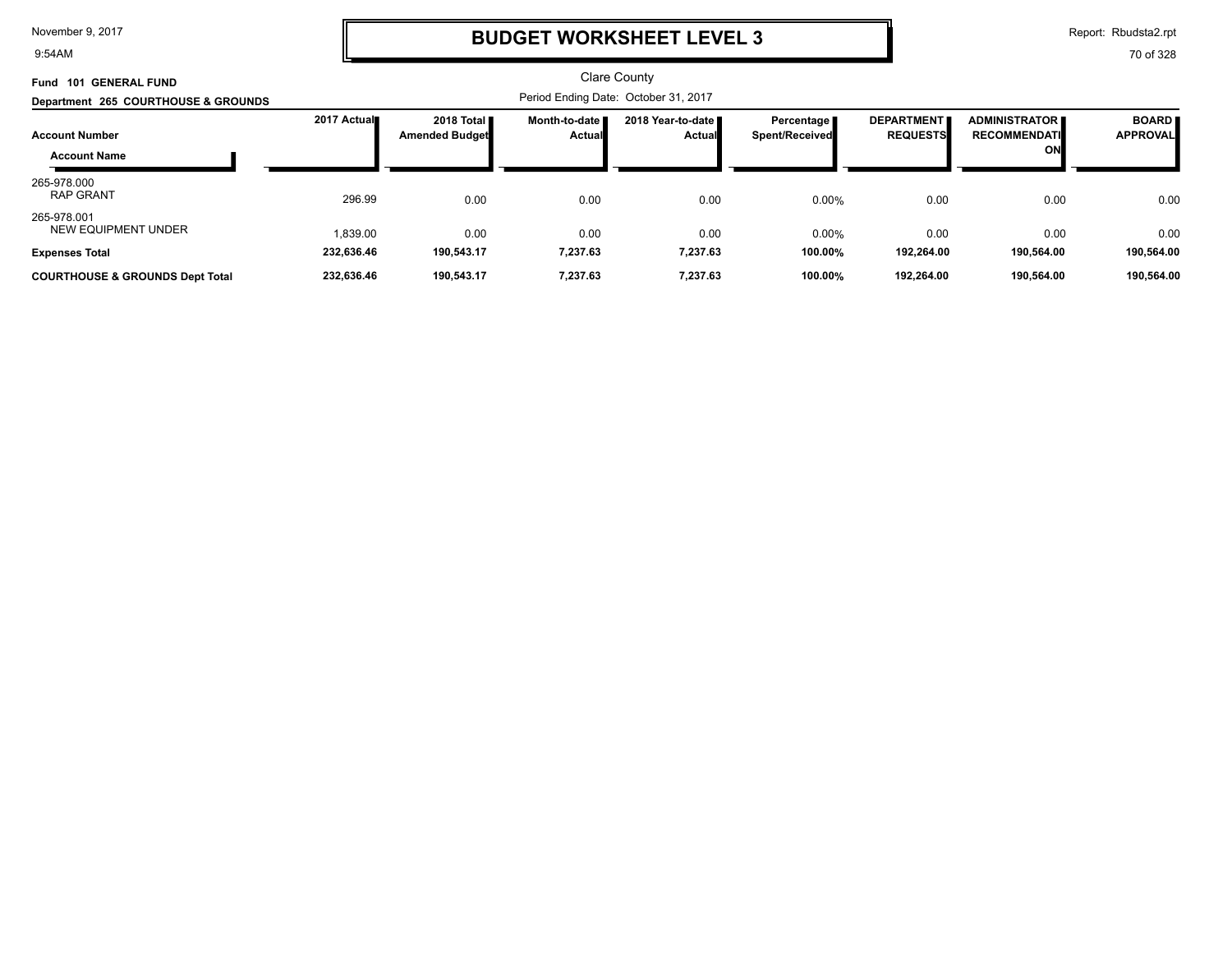9:54AM

### **BUDGET WORKSHEET LEVEL 3**

Report: Rbudsta2.rpt

| <b>GENERAL FUND</b><br><b>Fund 101</b>       |             |                                     |                                | <b>Clare County</b>                  |                              |                                      |                                                      |                                 |
|----------------------------------------------|-------------|-------------------------------------|--------------------------------|--------------------------------------|------------------------------|--------------------------------------|------------------------------------------------------|---------------------------------|
| Department 265 COURTHOUSE & GROUNDS          |             |                                     |                                | Period Ending Date: October 31, 2017 |                              |                                      |                                                      |                                 |
| <b>Account Number</b><br><b>Account Name</b> | 2017 Actual | 2018 Total<br><b>Amended Budget</b> | Month-to-date<br><b>Actual</b> | 2018 Year-to-date<br><b>Actual</b>   | Percentage<br>Spent/Received | <b>DEPARTMENT</b><br><b>REQUESTS</b> | <b>ADMINISTRATOR II</b><br><b>RECOMMENDATI</b><br>ON | <b>BOARD</b><br><b>APPROVAL</b> |
| 265-978.000<br><b>RAP GRANT</b>              | 296.99      | 0.00                                | 0.00                           | 0.00                                 | 0.00%                        | 0.00                                 | 0.00                                                 | 0.00                            |
| 265-978.001<br><b>NEW EQUIPMENT UNDER</b>    | 1.839.00    | 0.00                                | 0.00                           | 0.00                                 | 0.00%                        | 0.00                                 | 0.00                                                 | 0.00                            |
| <b>Expenses Total</b>                        | 232,636.46  | 190,543.17                          | 7,237.63                       | 7,237.63                             | 100.00%                      | 192,264.00                           | 190.564.00                                           | 190,564.00                      |
| <b>COURTHOUSE &amp; GROUNDS Dept Total</b>   | 232,636.46  | 190,543.17                          | 7,237.63                       | 7,237.63                             | 100.00%                      | 192.264.00                           | 190,564.00                                           | 190,564.00                      |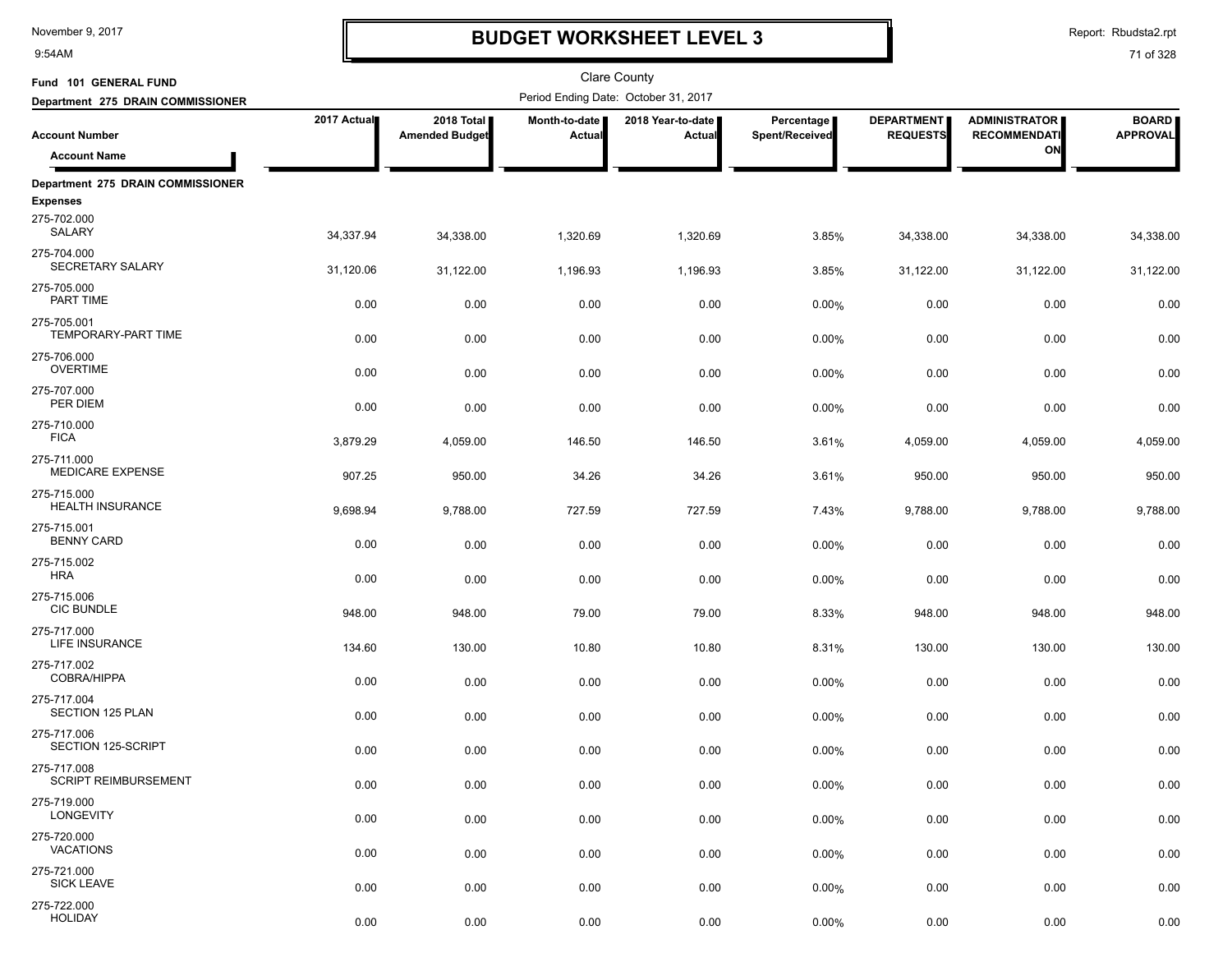9:54AM

# **BUDGET WORKSHEET LEVEL 3**

Report: Rbudsta2.rpt

| Fund 101 GENERAL FUND                      |             |                                     |                         | <b>Clare County</b>                  |                              |                                      |                                             |                                 |
|--------------------------------------------|-------------|-------------------------------------|-------------------------|--------------------------------------|------------------------------|--------------------------------------|---------------------------------------------|---------------------------------|
| Department 275 DRAIN COMMISSIONER          |             |                                     |                         | Period Ending Date: October 31, 2017 |                              |                                      |                                             |                                 |
| <b>Account Number</b>                      | 2017 Actual | 2018 Total<br><b>Amended Budget</b> | Month-to-date<br>Actual | 2018 Year-to-date<br>Actual          | Percentage<br>Spent/Received | <b>DEPARTMENT</b><br><b>REQUESTS</b> | <b>ADMINISTRATOR</b><br><b>RECOMMENDATI</b> | <b>BOARD</b><br><b>APPROVAL</b> |
| <b>Account Name</b>                        |             |                                     |                         |                                      |                              |                                      | ON                                          |                                 |
| Department 275 DRAIN COMMISSIONER          |             |                                     |                         |                                      |                              |                                      |                                             |                                 |
| <b>Expenses</b>                            |             |                                     |                         |                                      |                              |                                      |                                             |                                 |
| 275-702.000<br>SALARY                      | 34,337.94   | 34,338.00                           | 1,320.69                | 1,320.69                             | 3.85%                        | 34,338.00                            | 34,338.00                                   | 34,338.00                       |
| 275-704.000<br>SECRETARY SALARY            | 31,120.06   | 31,122.00                           | 1,196.93                | 1,196.93                             | 3.85%                        | 31,122.00                            | 31,122.00                                   | 31,122.00                       |
| 275-705.000<br>PART TIME                   | 0.00        | 0.00                                | 0.00                    | 0.00                                 | 0.00%                        | 0.00                                 | 0.00                                        | 0.00                            |
| 275-705.001<br>TEMPORARY-PART TIME         | 0.00        | 0.00                                | 0.00                    | 0.00                                 | 0.00%                        | 0.00                                 | 0.00                                        | 0.00                            |
| 275-706.000<br><b>OVERTIME</b>             | 0.00        | 0.00                                | 0.00                    | 0.00                                 | 0.00%                        | 0.00                                 | 0.00                                        | 0.00                            |
| 275-707.000<br>PER DIEM                    | 0.00        | 0.00                                | 0.00                    | 0.00                                 | 0.00%                        | 0.00                                 | 0.00                                        | 0.00                            |
| 275-710.000<br><b>FICA</b>                 | 3,879.29    | 4,059.00                            | 146.50                  | 146.50                               | 3.61%                        | 4,059.00                             | 4,059.00                                    | 4,059.00                        |
| 275-711.000<br>MEDICARE EXPENSE            | 907.25      | 950.00                              | 34.26                   | 34.26                                | 3.61%                        | 950.00                               | 950.00                                      | 950.00                          |
| 275-715.000<br>HEALTH INSURANCE            | 9,698.94    | 9,788.00                            | 727.59                  | 727.59                               | 7.43%                        | 9,788.00                             | 9,788.00                                    | 9,788.00                        |
| 275-715.001<br><b>BENNY CARD</b>           | 0.00        | 0.00                                | 0.00                    | 0.00                                 | 0.00%                        | 0.00                                 | 0.00                                        | 0.00                            |
| 275-715.002<br><b>HRA</b>                  | 0.00        | 0.00                                | 0.00                    | 0.00                                 | 0.00%                        | 0.00                                 | 0.00                                        | 0.00                            |
| 275-715.006<br><b>CIC BUNDLE</b>           | 948.00      | 948.00                              | 79.00                   | 79.00                                | 8.33%                        | 948.00                               | 948.00                                      | 948.00                          |
| 275-717.000<br>LIFE INSURANCE              | 134.60      | 130.00                              | 10.80                   | 10.80                                | 8.31%                        | 130.00                               | 130.00                                      | 130.00                          |
| 275-717.002<br>COBRA/HIPPA                 | 0.00        | 0.00                                | 0.00                    | 0.00                                 | 0.00%                        | 0.00                                 | 0.00                                        | 0.00                            |
| 275-717.004<br>SECTION 125 PLAN            | 0.00        | 0.00                                | 0.00                    | 0.00                                 | 0.00%                        | 0.00                                 | 0.00                                        | 0.00                            |
| 275-717.006<br>SECTION 125-SCRIPT          | 0.00        | 0.00                                | 0.00                    | 0.00                                 | 0.00%                        | 0.00                                 | 0.00                                        | 0.00                            |
| 275-717.008<br><b>SCRIPT REIMBURSEMENT</b> | 0.00        | 0.00                                | 0.00                    | 0.00                                 | 0.00%                        | 0.00                                 | 0.00                                        | 0.00                            |
| 275-719.000<br>LONGEVITY                   | 0.00        | 0.00                                | 0.00                    | 0.00                                 | 0.00%                        | 0.00                                 | 0.00                                        | 0.00                            |
| 275-720.000<br><b>VACATIONS</b>            | 0.00        | 0.00                                | 0.00                    | 0.00                                 | 0.00%                        | 0.00                                 | 0.00                                        | 0.00                            |
| 275-721.000<br><b>SICK LEAVE</b>           | 0.00        | 0.00                                | 0.00                    | 0.00                                 | 0.00%                        | 0.00                                 | 0.00                                        | 0.00                            |
| 275-722.000<br><b>HOLIDAY</b>              | 0.00        | 0.00                                | 0.00                    | 0.00                                 | 0.00%                        | 0.00                                 | 0.00                                        | 0.00                            |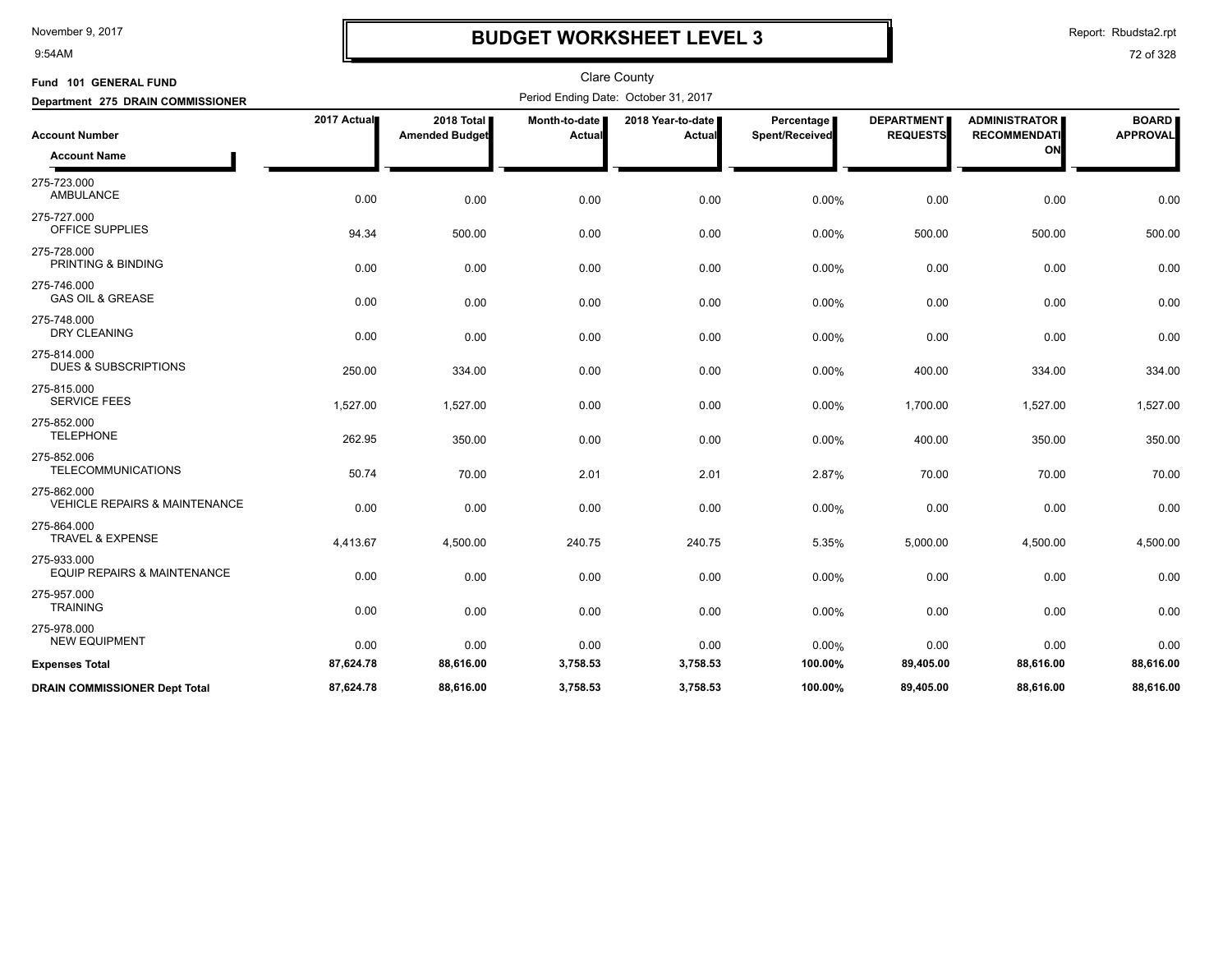9:54AM

## **BUDGET WORKSHEET LEVEL 3**

Report: Rbudsta2.rpt

| Fund 101 GENERAL FUND                                   |             |                                     |                         | <b>Clare County</b>                  |                              |                                      |                                             |                                 |
|---------------------------------------------------------|-------------|-------------------------------------|-------------------------|--------------------------------------|------------------------------|--------------------------------------|---------------------------------------------|---------------------------------|
| Department 275 DRAIN COMMISSIONER                       |             |                                     |                         | Period Ending Date: October 31, 2017 |                              |                                      |                                             |                                 |
| <b>Account Number</b>                                   | 2017 Actual | 2018 Total<br><b>Amended Budget</b> | Month-to-date<br>Actual | 2018 Year-to-date  <br><b>Actual</b> | Percentage<br>Spent/Received | <b>DEPARTMENT</b><br><b>REQUESTS</b> | <b>ADMINISTRATOR</b><br><b>RECOMMENDATI</b> | <b>BOARD</b><br><b>APPROVAL</b> |
| <b>Account Name</b>                                     |             |                                     |                         |                                      |                              |                                      | ON                                          |                                 |
| 275-723.000<br><b>AMBULANCE</b>                         | 0.00        | 0.00                                | 0.00                    | 0.00                                 | 0.00%                        | 0.00                                 | 0.00                                        | 0.00                            |
| 275-727.000<br>OFFICE SUPPLIES                          | 94.34       | 500.00                              | 0.00                    | 0.00                                 | 0.00%                        | 500.00                               | 500.00                                      | 500.00                          |
| 275-728.000<br>PRINTING & BINDING                       | 0.00        | 0.00                                | 0.00                    | 0.00                                 | 0.00%                        | 0.00                                 | 0.00                                        | 0.00                            |
| 275-746.000<br><b>GAS OIL &amp; GREASE</b>              | 0.00        | 0.00                                | 0.00                    | 0.00                                 | 0.00%                        | 0.00                                 | 0.00                                        | 0.00                            |
| 275-748.000<br>DRY CLEANING                             | 0.00        | 0.00                                | 0.00                    | 0.00                                 | 0.00%                        | 0.00                                 | 0.00                                        | 0.00                            |
| 275-814.000<br><b>DUES &amp; SUBSCRIPTIONS</b>          | 250.00      | 334.00                              | 0.00                    | 0.00                                 | 0.00%                        | 400.00                               | 334.00                                      | 334.00                          |
| 275-815.000<br><b>SERVICE FEES</b>                      | 1,527.00    | 1,527.00                            | 0.00                    | 0.00                                 | 0.00%                        | 1,700.00                             | 1,527.00                                    | 1,527.00                        |
| 275-852.000<br><b>TELEPHONE</b>                         | 262.95      | 350.00                              | 0.00                    | 0.00                                 | 0.00%                        | 400.00                               | 350.00                                      | 350.00                          |
| 275-852.006<br><b>TELECOMMUNICATIONS</b>                | 50.74       | 70.00                               | 2.01                    | 2.01                                 | 2.87%                        | 70.00                                | 70.00                                       | 70.00                           |
| 275-862.000<br><b>VEHICLE REPAIRS &amp; MAINTENANCE</b> | 0.00        | 0.00                                | 0.00                    | 0.00                                 | 0.00%                        | 0.00                                 | 0.00                                        | 0.00                            |
| 275-864.000<br><b>TRAVEL &amp; EXPENSE</b>              | 4,413.67    | 4,500.00                            | 240.75                  | 240.75                               | 5.35%                        | 5,000.00                             | 4,500.00                                    | 4,500.00                        |
| 275-933.000<br><b>EQUIP REPAIRS &amp; MAINTENANCE</b>   | 0.00        | 0.00                                | 0.00                    | 0.00                                 | 0.00%                        | 0.00                                 | 0.00                                        | 0.00                            |
| 275-957.000<br><b>TRAINING</b>                          | 0.00        | 0.00                                | 0.00                    | 0.00                                 | 0.00%                        | 0.00                                 | 0.00                                        | 0.00                            |
| 275-978.000<br><b>NEW EQUIPMENT</b>                     | 0.00        | 0.00                                | 0.00                    | 0.00                                 | 0.00%                        | 0.00                                 | 0.00                                        | 0.00                            |
| <b>Expenses Total</b>                                   | 87,624.78   | 88,616.00                           | 3,758.53                | 3,758.53                             | 100.00%                      | 89,405.00                            | 88,616.00                                   | 88,616.00                       |
| <b>DRAIN COMMISSIONER Dept Total</b>                    | 87,624.78   | 88.616.00                           | 3,758.53                | 3,758.53                             | 100.00%                      | 89.405.00                            | 88.616.00                                   | 88,616.00                       |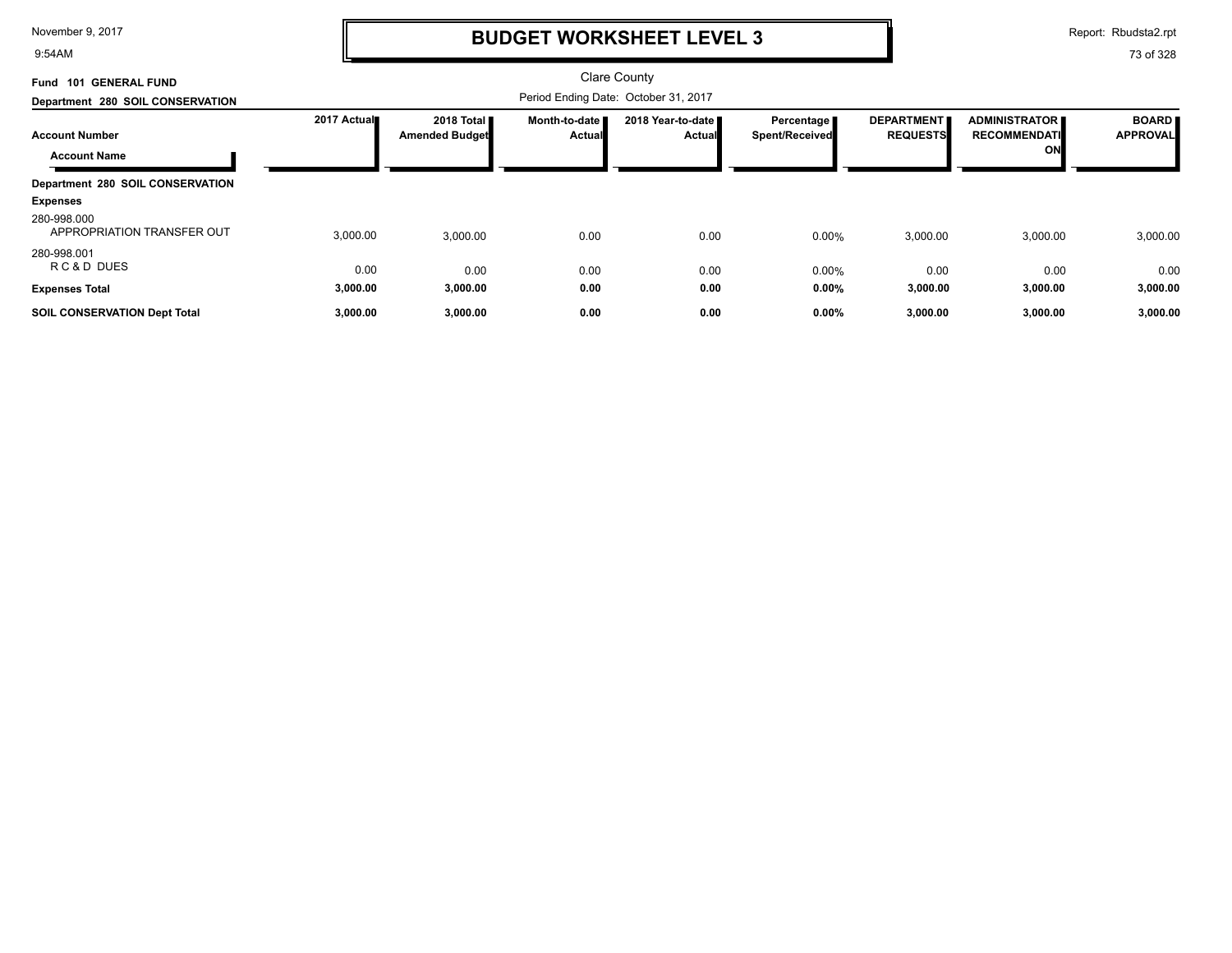9:54AM

## **BUDGET WORKSHEET LEVEL 3**

Report: Rbudsta2.rpt

| <b>GENERAL FUND</b><br>Fund 101              |             |                                               |                                  | <b>Clare County</b>                  |                                     |                                      |                                                   |                                 |
|----------------------------------------------|-------------|-----------------------------------------------|----------------------------------|--------------------------------------|-------------------------------------|--------------------------------------|---------------------------------------------------|---------------------------------|
| Department 280 SOIL CONSERVATION             |             |                                               |                                  | Period Ending Date: October 31, 2017 |                                     |                                      |                                                   |                                 |
| <b>Account Number</b><br><b>Account Name</b> | 2017 Actual | 2018 Total <b>II</b><br><b>Amended Budget</b> | Month-to-date I<br><b>Actual</b> | 2018 Year-to-date<br><b>Actual</b>   | Percentage<br><b>Spent/Received</b> | <b>DEPARTMENT</b><br><b>REQUESTS</b> | <b>ADMINISTRATOR</b><br><b>RECOMMENDATI</b><br>ON | <b>BOARD</b><br><b>APPROVAL</b> |
| Department 280 SOIL CONSERVATION             |             |                                               |                                  |                                      |                                     |                                      |                                                   |                                 |
| <b>Expenses</b>                              |             |                                               |                                  |                                      |                                     |                                      |                                                   |                                 |
| 280-998.000<br>APPROPRIATION TRANSFER OUT    | 3,000.00    | 3,000.00                                      | 0.00                             | 0.00                                 | 0.00%                               | 3,000.00                             | 3,000.00                                          | 3,000.00                        |
| 280-998.001<br>RC&D DUES                     | 0.00        | 0.00                                          | 0.00                             | 0.00                                 | $0.00\%$                            | 0.00                                 | 0.00                                              | 0.00                            |
| <b>Expenses Total</b>                        | 3,000.00    | 3,000.00                                      | 0.00                             | 0.00                                 | $0.00\%$                            | 3,000.00                             | 3,000.00                                          | 3,000.00                        |
| <b>SOIL CONSERVATION Dept Total</b>          | 3,000.00    | 3,000.00                                      | 0.00                             | 0.00                                 | 0.00%                               | 3,000.00                             | 3,000.00                                          | 3,000.00                        |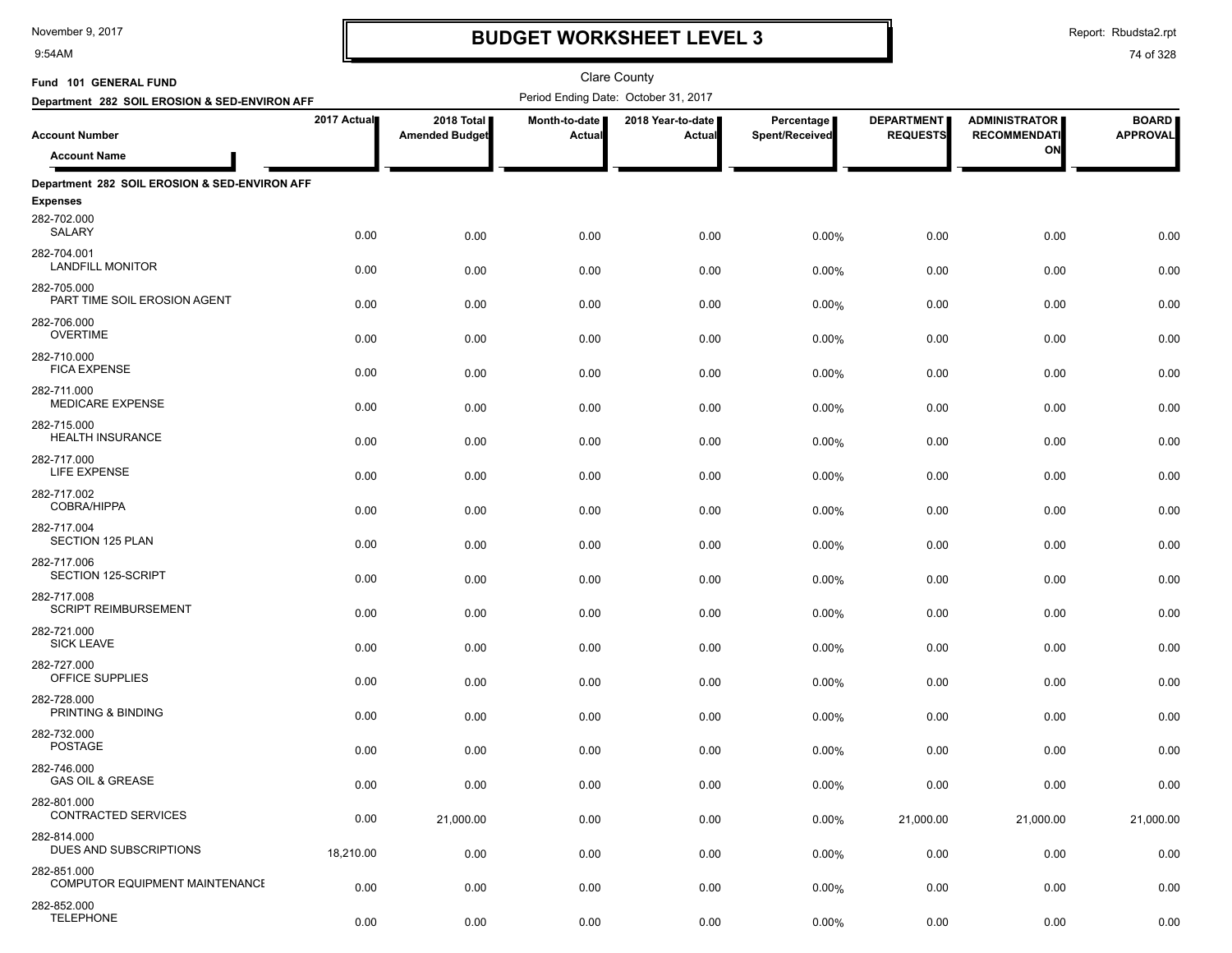9:54AM

## **BUDGET WORKSHEET LEVEL 3**

Report: Rbudsta2.rpt

| Fund 101 GENERAL FUND                                |             |                                     |                                | <b>Clare County</b>                  |                              |                                      |                                             |                                 |
|------------------------------------------------------|-------------|-------------------------------------|--------------------------------|--------------------------------------|------------------------------|--------------------------------------|---------------------------------------------|---------------------------------|
| Department 282 SOIL EROSION & SED-ENVIRON AFF        |             |                                     |                                | Period Ending Date: October 31, 2017 |                              |                                      |                                             |                                 |
| <b>Account Number</b>                                | 2017 Actual | 2018 Total<br><b>Amended Budget</b> | Month-to-date<br><b>Actual</b> | 2018 Year-to-date<br>Actual          | Percentage<br>Spent/Received | <b>DEPARTMENT</b><br><b>REQUESTS</b> | <b>ADMINISTRATOR</b><br><b>RECOMMENDATI</b> | <b>BOARD</b><br><b>APPROVAL</b> |
| <b>Account Name</b>                                  |             |                                     |                                |                                      |                              |                                      | ON                                          |                                 |
| Department 282 SOIL EROSION & SED-ENVIRON AFF        |             |                                     |                                |                                      |                              |                                      |                                             |                                 |
| <b>Expenses</b>                                      |             |                                     |                                |                                      |                              |                                      |                                             |                                 |
| 282-702.000<br>SALARY                                | 0.00        | 0.00                                | 0.00                           | 0.00                                 | 0.00%                        | 0.00                                 | 0.00                                        | 0.00                            |
| 282-704.001<br><b>LANDFILL MONITOR</b>               | 0.00        | 0.00                                | 0.00                           | 0.00                                 | 0.00%                        | 0.00                                 | 0.00                                        | 0.00                            |
| 282-705.000<br>PART TIME SOIL EROSION AGENT          | 0.00        | 0.00                                | 0.00                           | 0.00                                 | $0.00\%$                     | 0.00                                 | 0.00                                        | 0.00                            |
| 282-706.000<br><b>OVERTIME</b>                       | 0.00        | 0.00                                | 0.00                           | 0.00                                 | 0.00%                        | 0.00                                 | 0.00                                        | 0.00                            |
| 282-710.000<br><b>FICA EXPENSE</b>                   | 0.00        | 0.00                                | 0.00                           | 0.00                                 | 0.00%                        | 0.00                                 | 0.00                                        | 0.00                            |
| 282-711.000<br><b>MEDICARE EXPENSE</b>               | 0.00        | 0.00                                | 0.00                           | 0.00                                 | 0.00%                        | 0.00                                 | 0.00                                        | 0.00                            |
| 282-715.000<br><b>HEALTH INSURANCE</b>               | 0.00        | 0.00                                | 0.00                           | 0.00                                 | 0.00%                        | 0.00                                 | 0.00                                        | 0.00                            |
| 282-717.000<br>LIFE EXPENSE                          | 0.00        | 0.00                                | 0.00                           | 0.00                                 | 0.00%                        | 0.00                                 | 0.00                                        | 0.00                            |
| 282-717.002<br>COBRA/HIPPA                           | 0.00        | 0.00                                | 0.00                           | 0.00                                 | $0.00\%$                     | 0.00                                 | 0.00                                        | 0.00                            |
| 282-717.004<br>SECTION 125 PLAN                      | 0.00        | 0.00                                | 0.00                           | 0.00                                 | 0.00%                        | 0.00                                 | 0.00                                        | 0.00                            |
| 282-717.006<br>SECTION 125-SCRIPT                    | 0.00        | 0.00                                | 0.00                           | 0.00                                 | 0.00%                        | 0.00                                 | 0.00                                        | 0.00                            |
| 282-717.008<br><b>SCRIPT REIMBURSEMENT</b>           | 0.00        | 0.00                                | 0.00                           | 0.00                                 | 0.00%                        | 0.00                                 | 0.00                                        | 0.00                            |
| 282-721.000<br><b>SICK LEAVE</b>                     | 0.00        | 0.00                                | 0.00                           | 0.00                                 | 0.00%                        | 0.00                                 | 0.00                                        | 0.00                            |
| 282-727.000<br>OFFICE SUPPLIES                       | 0.00        | 0.00                                | 0.00                           | 0.00                                 | 0.00%                        | 0.00                                 | 0.00                                        | 0.00                            |
| 282-728.000<br>PRINTING & BINDING                    | 0.00        | 0.00                                | 0.00                           | 0.00                                 | 0.00%                        | 0.00                                 | 0.00                                        | 0.00                            |
| 282-732.000<br><b>POSTAGE</b>                        | 0.00        | 0.00                                | 0.00                           | 0.00                                 | 0.00%                        | 0.00                                 | 0.00                                        | 0.00                            |
| 282-746.000<br><b>GAS OIL &amp; GREASE</b>           | 0.00        | 0.00                                | 0.00                           | 0.00                                 | 0.00%                        | 0.00                                 | 0.00                                        | 0.00                            |
| 282-801.000<br>CONTRACTED SERVICES                   | 0.00        | 21,000.00                           | 0.00                           | 0.00                                 | 0.00%                        | 21,000.00                            | 21,000.00                                   | 21,000.00                       |
| 282-814.000<br>DUES AND SUBSCRIPTIONS                | 18,210.00   | 0.00                                | 0.00                           | 0.00                                 | $0.00\%$                     | 0.00                                 | 0.00                                        | 0.00                            |
| 282-851.000<br><b>COMPUTOR EQUIPMENT MAINTENANCE</b> | 0.00        | 0.00                                | 0.00                           | 0.00                                 | 0.00%                        | 0.00                                 | 0.00                                        | 0.00                            |
| 282-852.000<br><b>TELEPHONE</b>                      | 0.00        | 0.00                                | 0.00                           | 0.00                                 | 0.00%                        | 0.00                                 | 0.00                                        | 0.00                            |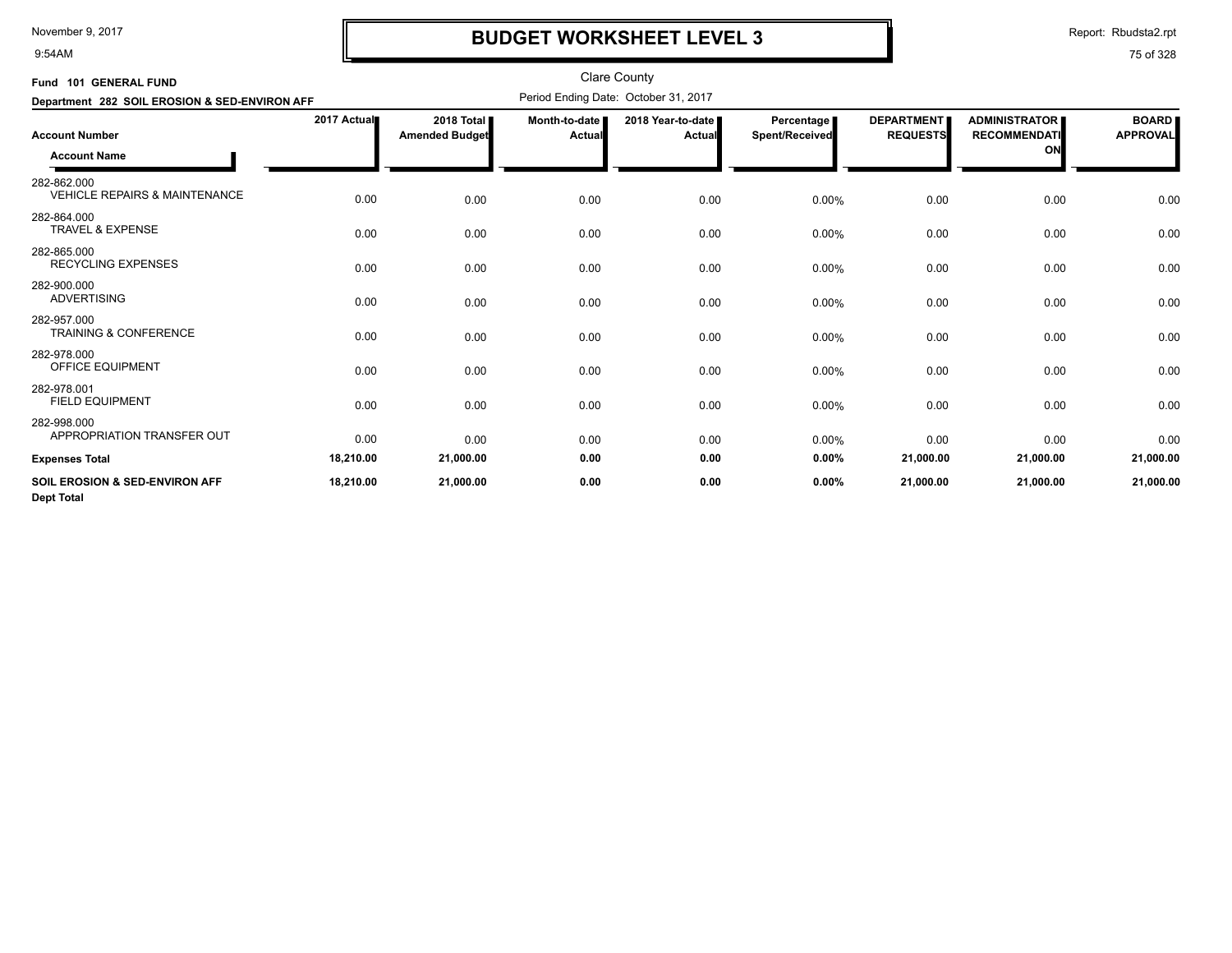9:54AM

# **BUDGET WORKSHEET LEVEL 3**

Report: Rbudsta2.rpt

| Fund 101 GENERAL FUND                                          |             |                                       |                                | <b>Clare County</b>                  |                                     |                                      |                                                   |                                 |
|----------------------------------------------------------------|-------------|---------------------------------------|--------------------------------|--------------------------------------|-------------------------------------|--------------------------------------|---------------------------------------------------|---------------------------------|
| Department 282 SOIL EROSION & SED-ENVIRON AFF                  |             |                                       |                                | Period Ending Date: October 31, 2017 |                                     |                                      |                                                   |                                 |
| <b>Account Number</b><br><b>Account Name</b>                   | 2017 Actual | 2018 Total I<br><b>Amended Budget</b> | Month-to-date<br><b>Actual</b> | 2018 Year-to-date<br>Actual          | <b>Percentage</b><br>Spent/Received | <b>DEPARTMENT</b><br><b>REQUESTS</b> | <b>ADMINISTRATOR</b><br><b>RECOMMENDATI</b><br>ON | <b>BOARD</b><br><b>APPROVAL</b> |
| 282-862.000<br><b>VEHICLE REPAIRS &amp; MAINTENANCE</b>        | 0.00        | 0.00                                  | 0.00                           | 0.00                                 | 0.00%                               | 0.00                                 | 0.00                                              | 0.00                            |
| 282-864.000<br><b>TRAVEL &amp; EXPENSE</b>                     | 0.00        | 0.00                                  | 0.00                           | 0.00                                 | 0.00%                               | 0.00                                 | 0.00                                              | 0.00                            |
| 282-865.000<br><b>RECYCLING EXPENSES</b>                       | 0.00        | 0.00                                  | 0.00                           | 0.00                                 | 0.00%                               | 0.00                                 | 0.00                                              | 0.00                            |
| 282-900.000<br><b>ADVERTISING</b>                              | 0.00        | 0.00                                  | 0.00                           | 0.00                                 | 0.00%                               | 0.00                                 | 0.00                                              | 0.00                            |
| 282-957.000<br><b>TRAINING &amp; CONFERENCE</b>                | 0.00        | 0.00                                  | 0.00                           | 0.00                                 | 0.00%                               | 0.00                                 | 0.00                                              | 0.00                            |
| 282-978.000<br><b>OFFICE EQUIPMENT</b>                         | 0.00        | 0.00                                  | 0.00                           | 0.00                                 | 0.00%                               | 0.00                                 | 0.00                                              | 0.00                            |
| 282-978.001<br><b>FIELD EQUIPMENT</b>                          | 0.00        | 0.00                                  | 0.00                           | 0.00                                 | 0.00%                               | 0.00                                 | 0.00                                              | 0.00                            |
| 282-998.000<br>APPROPRIATION TRANSFER OUT                      | 0.00        | 0.00                                  | 0.00                           | 0.00                                 | 0.00%                               | 0.00                                 | 0.00                                              | 0.00                            |
| <b>Expenses Total</b>                                          | 18,210.00   | 21,000.00                             | 0.00                           | 0.00                                 | 0.00%                               | 21,000.00                            | 21,000.00                                         | 21,000.00                       |
| <b>SOIL EROSION &amp; SED-ENVIRON AFF</b><br><b>Dept Total</b> | 18,210.00   | 21,000.00                             | 0.00                           | 0.00                                 | 0.00%                               | 21,000.00                            | 21,000.00                                         | 21,000.00                       |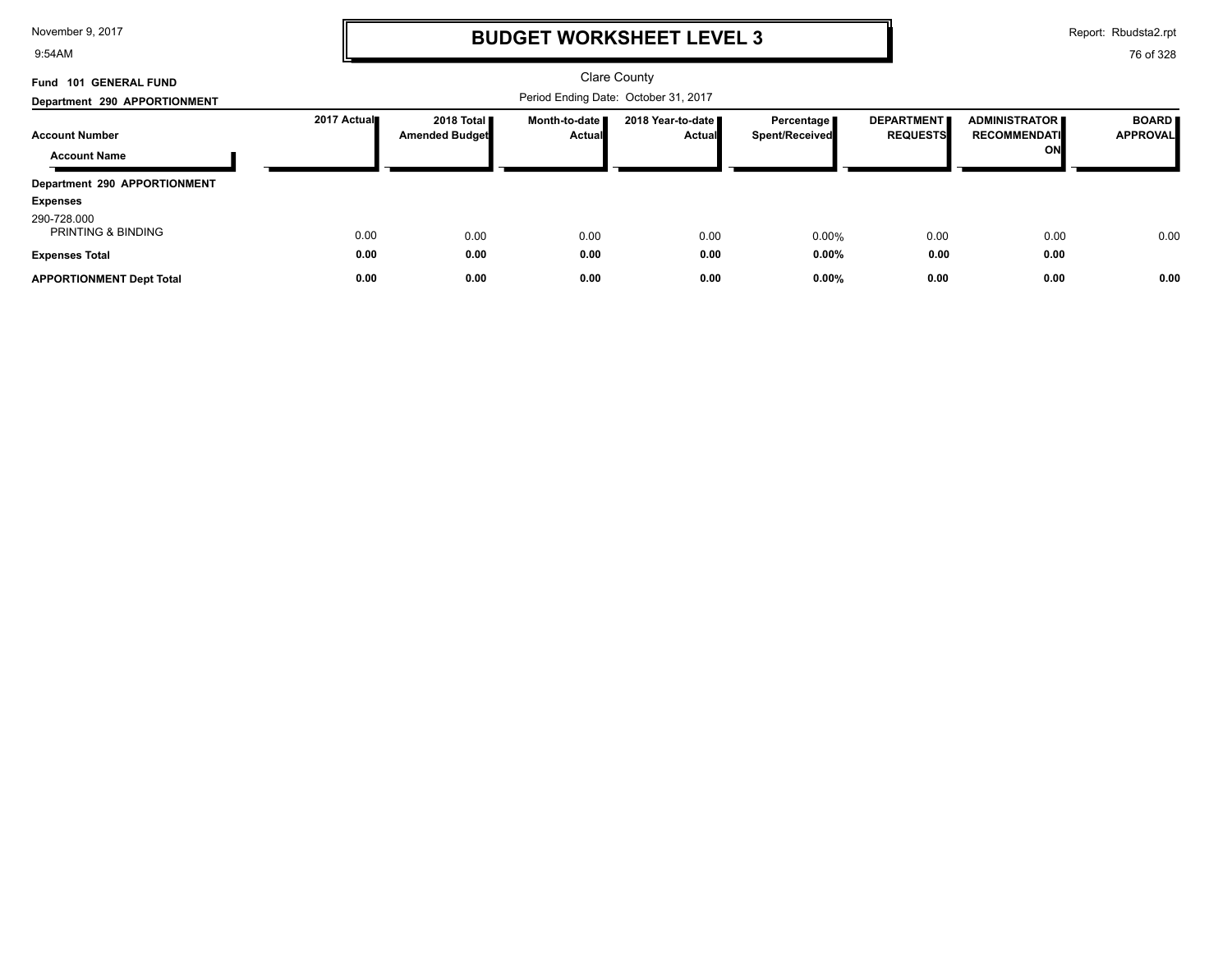9:54AM

# **BUDGET WORKSHEET LEVEL 3**

Report: Rbudsta2.rpt

| Fund 101 GENERAL FUND                        |             |                                               |                                  | <b>Clare County</b>                  |                              |                                      |                                             |                                 |
|----------------------------------------------|-------------|-----------------------------------------------|----------------------------------|--------------------------------------|------------------------------|--------------------------------------|---------------------------------------------|---------------------------------|
| Department 290 APPORTIONMENT                 |             |                                               |                                  |                                      |                              |                                      |                                             |                                 |
| <b>Account Number</b>                        | 2017 Actual | 2018 Total <b>II</b><br><b>Amended Budget</b> | Month-to-date I<br><b>Actual</b> | 2018 Year-to-date ■<br><b>Actual</b> | Percentage<br>Spent/Received | <b>DEPARTMENT</b><br><b>REQUESTS</b> | <b>ADMINISTRATOR</b><br><b>RECOMMENDATI</b> | <b>BOARD</b><br><b>APPROVAL</b> |
| <b>Account Name</b>                          |             |                                               |                                  |                                      |                              |                                      | ON                                          |                                 |
| Department 290 APPORTIONMENT                 |             |                                               |                                  |                                      |                              |                                      |                                             |                                 |
| <b>Expenses</b>                              |             |                                               |                                  |                                      |                              |                                      |                                             |                                 |
| 290-728.000<br><b>PRINTING &amp; BINDING</b> | 0.00        | 0.00                                          | 0.00                             | 0.00                                 | $0.00\%$                     | 0.00                                 | 0.00                                        | 0.00                            |
| <b>Expenses Total</b>                        | 0.00        | 0.00                                          | 0.00                             | 0.00                                 | $0.00\%$                     | 0.00                                 | 0.00                                        |                                 |
| <b>APPORTIONMENT Dept Total</b>              | 0.00        | 0.00                                          | 0.00                             | 0.00                                 | $0.00\%$                     | 0.00                                 | 0.00                                        | 0.00                            |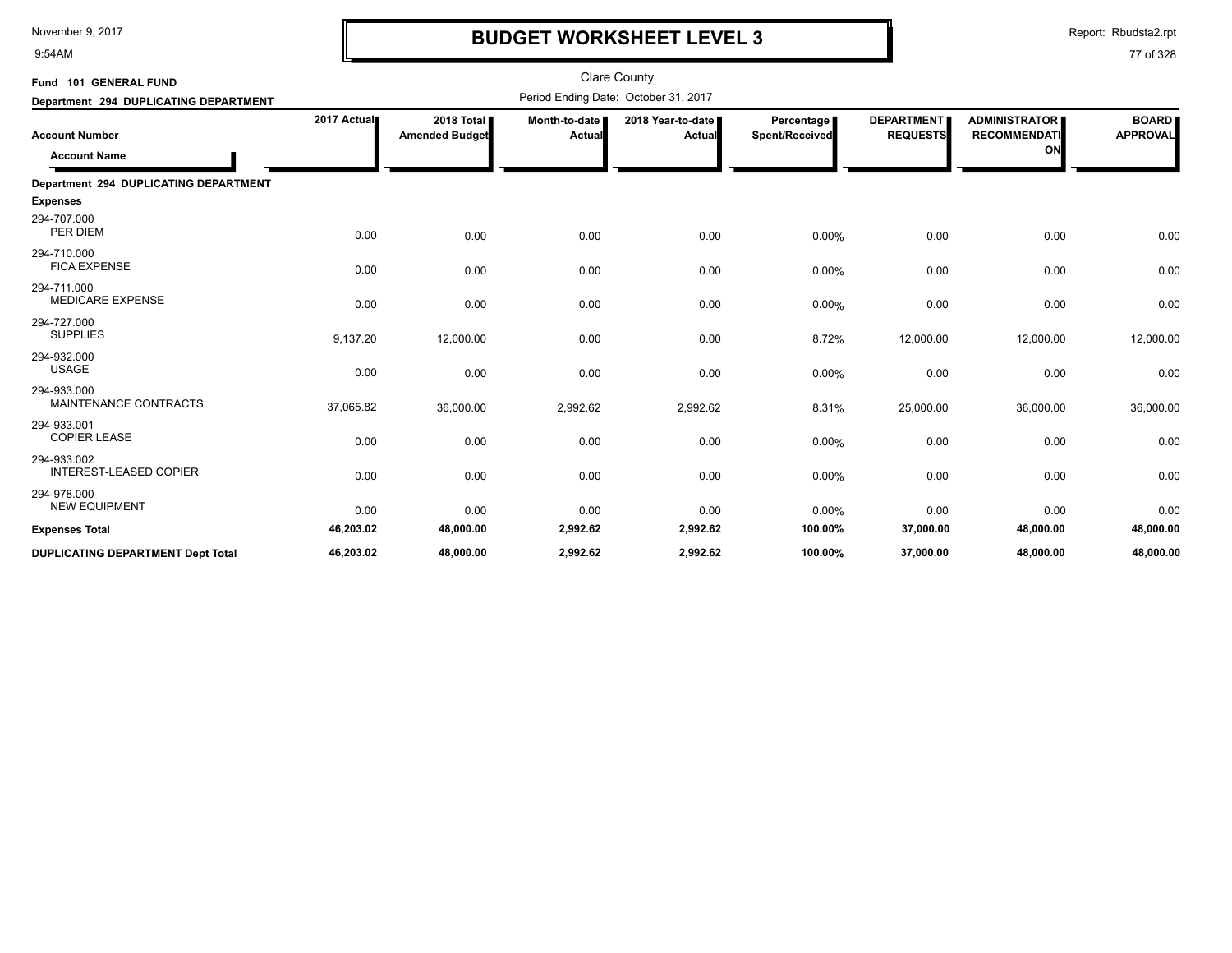9:54AM

# **BUDGET WORKSHEET LEVEL 3**

Report: Rbudsta2.rpt

| Fund 101 GENERAL FUND                        | <b>Clare County</b> |                                     |                                |                                      |                              |                                      |                                                   |                                 |  |
|----------------------------------------------|---------------------|-------------------------------------|--------------------------------|--------------------------------------|------------------------------|--------------------------------------|---------------------------------------------------|---------------------------------|--|
| Department 294 DUPLICATING DEPARTMENT        |                     |                                     |                                | Period Ending Date: October 31, 2017 |                              |                                      |                                                   |                                 |  |
| <b>Account Number</b><br><b>Account Name</b> | 2017 Actual         | 2018 Total<br><b>Amended Budget</b> | Month-to-date<br><b>Actual</b> | 2018 Year-to-date<br>Actual          | Percentage<br>Spent/Received | <b>DEPARTMENT</b><br><b>REQUESTS</b> | <b>ADMINISTRATOR</b><br><b>RECOMMENDATI</b><br>ON | <b>BOARD</b><br><b>APPROVAL</b> |  |
| Department 294 DUPLICATING DEPARTMENT        |                     |                                     |                                |                                      |                              |                                      |                                                   |                                 |  |
| <b>Expenses</b>                              |                     |                                     |                                |                                      |                              |                                      |                                                   |                                 |  |
| 294-707.000<br>PER DIEM                      | 0.00                | 0.00                                | 0.00                           | 0.00                                 | 0.00%                        | 0.00                                 | 0.00                                              | 0.00                            |  |
| 294-710.000<br><b>FICA EXPENSE</b>           | 0.00                | 0.00                                | 0.00                           | 0.00                                 | 0.00%                        | 0.00                                 | 0.00                                              | 0.00                            |  |
| 294-711.000<br><b>MEDICARE EXPENSE</b>       | 0.00                | 0.00                                | 0.00                           | 0.00                                 | 0.00%                        | 0.00                                 | 0.00                                              | 0.00                            |  |
| 294-727.000<br><b>SUPPLIES</b>               | 9,137.20            | 12,000.00                           | 0.00                           | 0.00                                 | 8.72%                        | 12,000.00                            | 12,000.00                                         | 12,000.00                       |  |
| 294-932.000<br><b>USAGE</b>                  | 0.00                | 0.00                                | 0.00                           | 0.00                                 | 0.00%                        | 0.00                                 | 0.00                                              | 0.00                            |  |
| 294-933.000<br>MAINTENANCE CONTRACTS         | 37,065.82           | 36,000.00                           | 2,992.62                       | 2,992.62                             | 8.31%                        | 25,000.00                            | 36,000.00                                         | 36,000.00                       |  |
| 294-933.001<br><b>COPIER LEASE</b>           | 0.00                | 0.00                                | 0.00                           | 0.00                                 | 0.00%                        | 0.00                                 | 0.00                                              | 0.00                            |  |
| 294-933.002<br><b>INTEREST-LEASED COPIER</b> | 0.00                | 0.00                                | 0.00                           | 0.00                                 | 0.00%                        | 0.00                                 | 0.00                                              | 0.00                            |  |
| 294-978.000<br><b>NEW EQUIPMENT</b>          | 0.00                | 0.00                                | 0.00                           | 0.00                                 | 0.00%                        | 0.00                                 | 0.00                                              | 0.00                            |  |
| <b>Expenses Total</b>                        | 46,203.02           | 48,000.00                           | 2,992.62                       | 2,992.62                             | 100.00%                      | 37,000.00                            | 48,000.00                                         | 48,000.00                       |  |
| <b>DUPLICATING DEPARTMENT Dept Total</b>     | 46,203.02           | 48,000.00                           | 2,992.62                       | 2,992.62                             | 100.00%                      | 37,000.00                            | 48,000.00                                         | 48,000.00                       |  |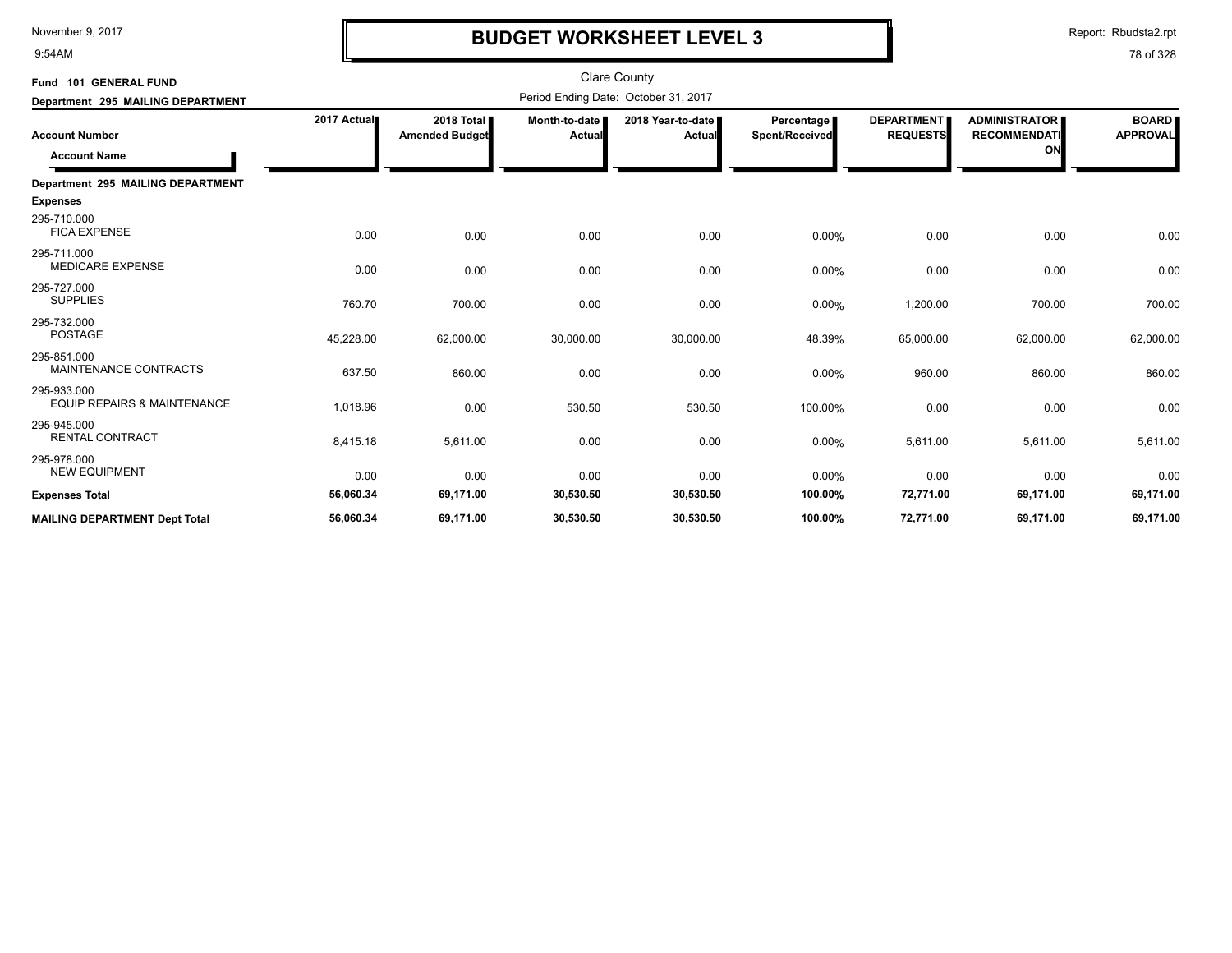9:54AM

## **BUDGET WORKSHEET LEVEL 3**

Report: Rbudsta2.rpt

| Fund 101 GENERAL FUND                                 |             |                                     |                         | <b>Clare County</b>                  |                              |                                      |                                                   |                                 |
|-------------------------------------------------------|-------------|-------------------------------------|-------------------------|--------------------------------------|------------------------------|--------------------------------------|---------------------------------------------------|---------------------------------|
| Department 295 MAILING DEPARTMENT                     |             |                                     |                         | Period Ending Date: October 31, 2017 |                              |                                      |                                                   |                                 |
| <b>Account Number</b><br><b>Account Name</b>          | 2017 Actual | 2018 Total<br><b>Amended Budget</b> | Month-to-date<br>Actual | 2018 Year-to-date<br>Actual          | Percentage<br>Spent/Received | <b>DEPARTMENT</b><br><b>REQUESTS</b> | <b>ADMINISTRATOR</b><br><b>RECOMMENDATI</b><br>ON | <b>BOARD</b><br><b>APPROVAL</b> |
| Department 295 MAILING DEPARTMENT                     |             |                                     |                         |                                      |                              |                                      |                                                   |                                 |
| <b>Expenses</b>                                       |             |                                     |                         |                                      |                              |                                      |                                                   |                                 |
| 295-710.000<br><b>FICA EXPENSE</b>                    | 0.00        | 0.00                                | 0.00                    | 0.00                                 | 0.00%                        | 0.00                                 | 0.00                                              | 0.00                            |
| 295-711.000<br><b>MEDICARE EXPENSE</b>                | 0.00        | 0.00                                | 0.00                    | 0.00                                 | 0.00%                        | 0.00                                 | 0.00                                              | 0.00                            |
| 295-727.000<br><b>SUPPLIES</b>                        | 760.70      | 700.00                              | 0.00                    | 0.00                                 | 0.00%                        | 1,200.00                             | 700.00                                            | 700.00                          |
| 295-732.000<br><b>POSTAGE</b>                         | 45,228.00   | 62,000.00                           | 30,000.00               | 30,000.00                            | 48.39%                       | 65,000.00                            | 62,000.00                                         | 62,000.00                       |
| 295-851.000<br>MAINTENANCE CONTRACTS                  | 637.50      | 860.00                              | 0.00                    | 0.00                                 | 0.00%                        | 960.00                               | 860.00                                            | 860.00                          |
| 295-933.000<br><b>EQUIP REPAIRS &amp; MAINTENANCE</b> | 1,018.96    | 0.00                                | 530.50                  | 530.50                               | 100.00%                      | 0.00                                 | 0.00                                              | 0.00                            |
| 295-945.000<br><b>RENTAL CONTRACT</b>                 | 8,415.18    | 5,611.00                            | 0.00                    | 0.00                                 | 0.00%                        | 5,611.00                             | 5,611.00                                          | 5,611.00                        |
| 295-978.000<br><b>NEW EQUIPMENT</b>                   | 0.00        | 0.00                                | 0.00                    | 0.00                                 | 0.00%                        | 0.00                                 | 0.00                                              | 0.00                            |
| <b>Expenses Total</b>                                 | 56,060.34   | 69,171.00                           | 30,530.50               | 30,530.50                            | 100.00%                      | 72,771.00                            | 69,171.00                                         | 69,171.00                       |
| <b>MAILING DEPARTMENT Dept Total</b>                  | 56,060.34   | 69,171.00                           | 30,530.50               | 30,530.50                            | 100.00%                      | 72,771.00                            | 69,171.00                                         | 69,171.00                       |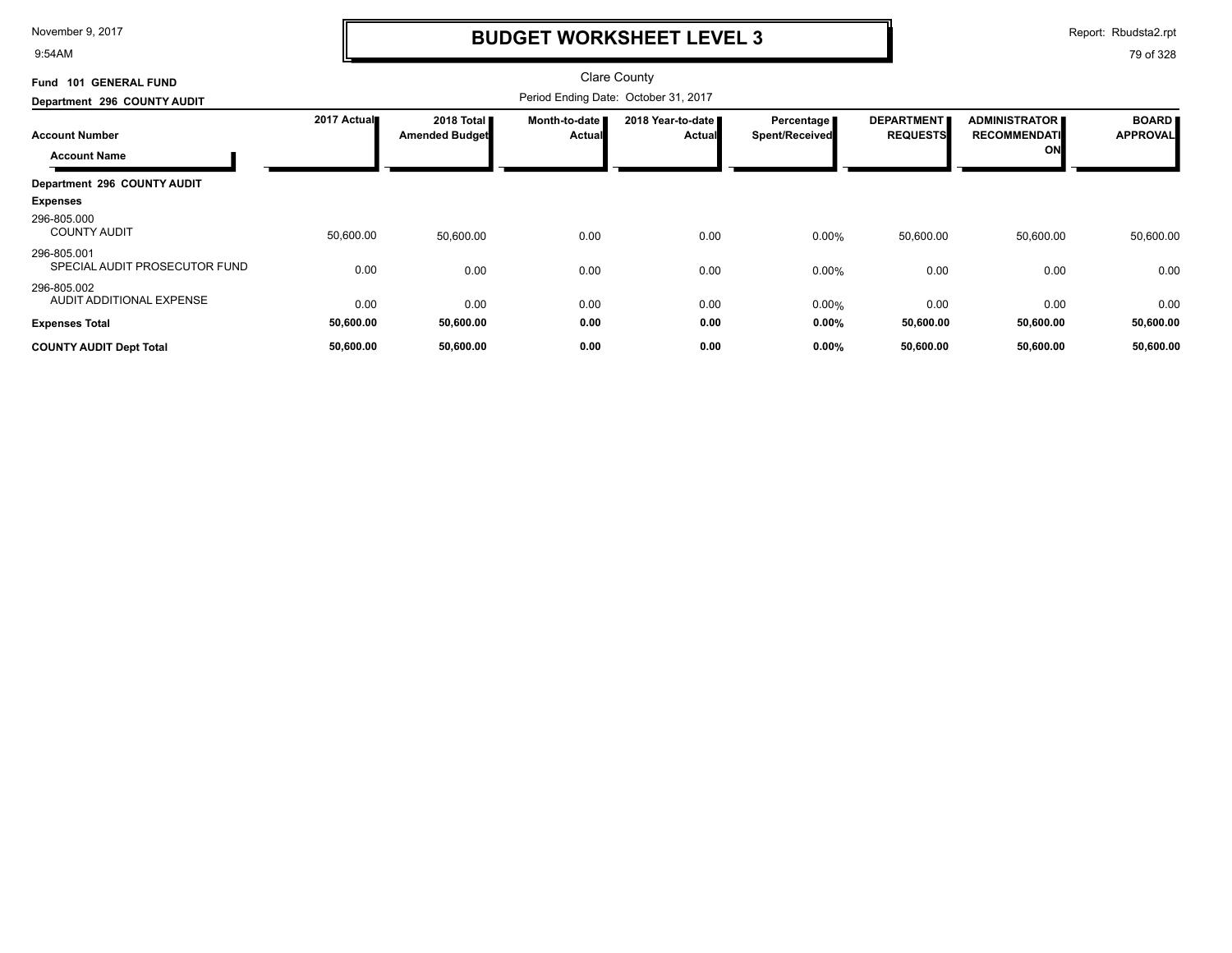9:54AM

# **BUDGET WORKSHEET LEVEL 3**

Report: Rbudsta2.rpt

| <b>GENERAL FUND</b><br><b>Fund 101</b>       |             |                                     |                           | Clare County                         |                              |                                      |                                                   |                                 |
|----------------------------------------------|-------------|-------------------------------------|---------------------------|--------------------------------------|------------------------------|--------------------------------------|---------------------------------------------------|---------------------------------|
| Department 296 COUNTY AUDIT                  |             |                                     |                           |                                      |                              |                                      |                                                   |                                 |
| <b>Account Number</b><br><b>Account Name</b> | 2017 Actual | 2018 Total<br><b>Amended Budget</b> | Month-to-date  <br>Actual | 2018 Year-to-date ■<br><b>Actual</b> | Percentage<br>Spent/Received | <b>DEPARTMENT</b><br><b>REQUESTS</b> | <b>ADMINISTRATOR</b><br><b>RECOMMENDATI</b><br>ON | <b>BOARD</b><br><b>APPROVAL</b> |
| Department 296 COUNTY AUDIT                  |             |                                     |                           |                                      |                              |                                      |                                                   |                                 |
| <b>Expenses</b>                              |             |                                     |                           |                                      |                              |                                      |                                                   |                                 |
| 296-805.000<br><b>COUNTY AUDIT</b>           | 50,600.00   | 50,600.00                           | 0.00                      | 0.00                                 | 0.00%                        | 50,600.00                            | 50,600.00                                         | 50,600.00                       |
| 296-805.001<br>SPECIAL AUDIT PROSECUTOR FUND | 0.00        | 0.00                                | 0.00                      | 0.00                                 | 0.00%                        | 0.00                                 | 0.00                                              | 0.00                            |
| 296-805.002<br>AUDIT ADDITIONAL EXPENSE      | 0.00        | 0.00                                | 0.00                      | 0.00                                 | 0.00%                        | 0.00                                 | 0.00                                              | 0.00                            |
| <b>Expenses Total</b>                        | 50,600.00   | 50,600.00                           | 0.00                      | 0.00                                 | 0.00%                        | 50,600.00                            | 50,600.00                                         | 50,600.00                       |
| <b>COUNTY AUDIT Dept Total</b>               | 50,600.00   | 50,600.00                           | 0.00                      | 0.00                                 | 0.00%                        | 50,600.00                            | 50,600.00                                         | 50,600.00                       |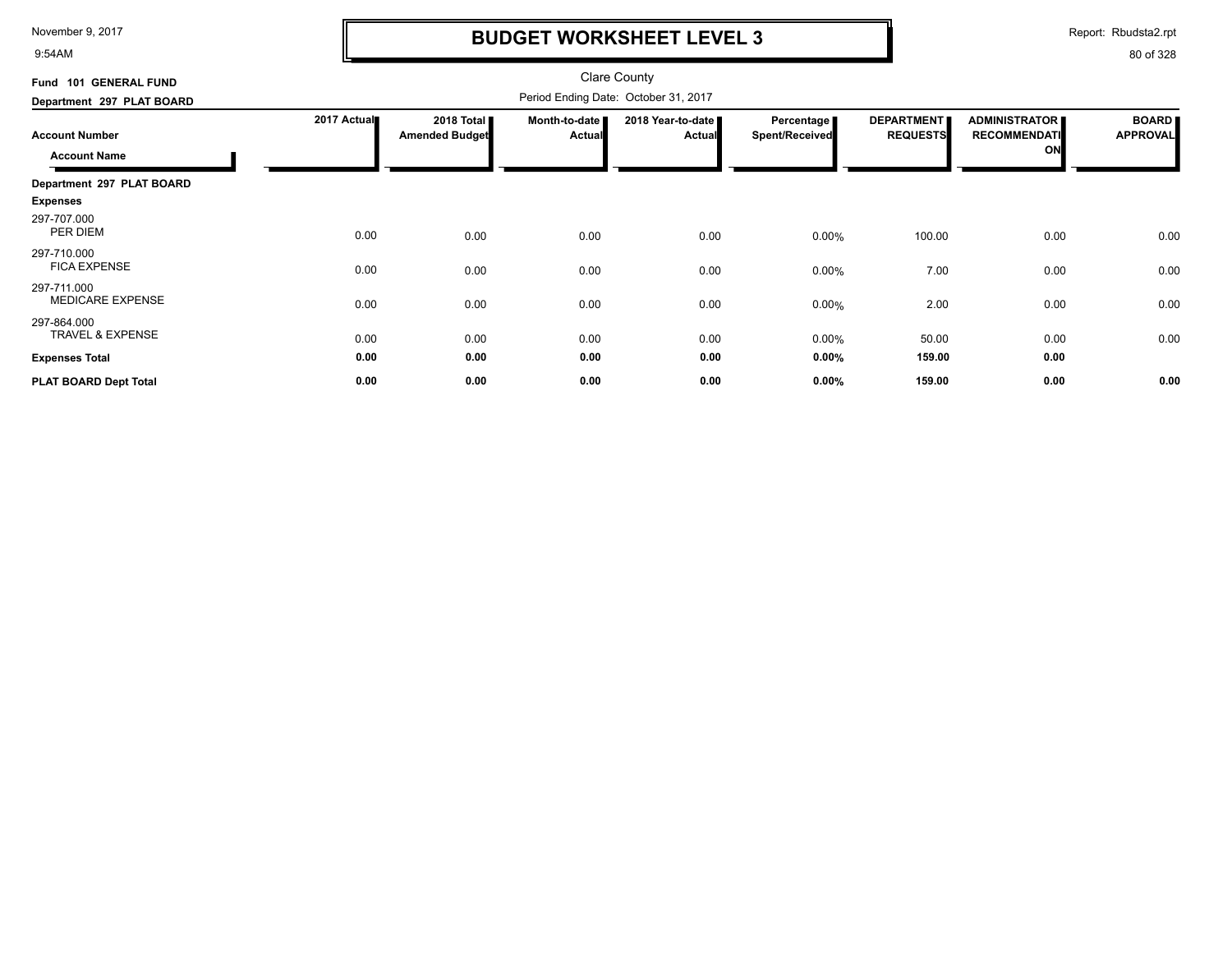9:54AM

## **BUDGET WORKSHEET LEVEL 3**

Report: Rbudsta2.rpt

| Fund 101 GENERAL FUND                      |             |                                     |                         | Clare County                         |                                     |                                      |                                             |                                 |
|--------------------------------------------|-------------|-------------------------------------|-------------------------|--------------------------------------|-------------------------------------|--------------------------------------|---------------------------------------------|---------------------------------|
| Department 297 PLAT BOARD                  |             |                                     |                         | Period Ending Date: October 31, 2017 |                                     |                                      |                                             |                                 |
| <b>Account Number</b>                      | 2017 Actual | 2018 Total<br><b>Amended Budget</b> | Month-to-date<br>Actual | 2018 Year-to-date<br><b>Actual</b>   | Percentage<br><b>Spent/Received</b> | <b>DEPARTMENT</b><br><b>REQUESTS</b> | <b>ADMINISTRATOR</b><br><b>RECOMMENDATI</b> | <b>BOARD</b><br><b>APPROVAL</b> |
| <b>Account Name</b>                        |             |                                     |                         |                                      |                                     |                                      | ON                                          |                                 |
| Department 297 PLAT BOARD                  |             |                                     |                         |                                      |                                     |                                      |                                             |                                 |
| <b>Expenses</b>                            |             |                                     |                         |                                      |                                     |                                      |                                             |                                 |
| 297-707.000<br>PER DIEM                    | 0.00        | 0.00                                | 0.00                    | 0.00                                 | $0.00\%$                            | 100.00                               | 0.00                                        | 0.00                            |
| 297-710.000<br><b>FICA EXPENSE</b>         | 0.00        | 0.00                                | 0.00                    | 0.00                                 | 0.00%                               | 7.00                                 | 0.00                                        | 0.00                            |
| 297-711.000<br><b>MEDICARE EXPENSE</b>     | 0.00        | 0.00                                | 0.00                    | 0.00                                 | 0.00%                               | 2.00                                 | 0.00                                        | 0.00                            |
| 297-864.000<br><b>TRAVEL &amp; EXPENSE</b> | 0.00        | 0.00                                | 0.00                    | 0.00                                 | 0.00%                               | 50.00                                | 0.00                                        | 0.00                            |
| <b>Expenses Total</b>                      | 0.00        | 0.00                                | 0.00                    | 0.00                                 | $0.00\%$                            | 159.00                               | 0.00                                        |                                 |
| PLAT BOARD Dept Total                      | 0.00        | 0.00                                | 0.00                    | 0.00                                 | 0.00%                               | 159.00                               | 0.00                                        | 0.00                            |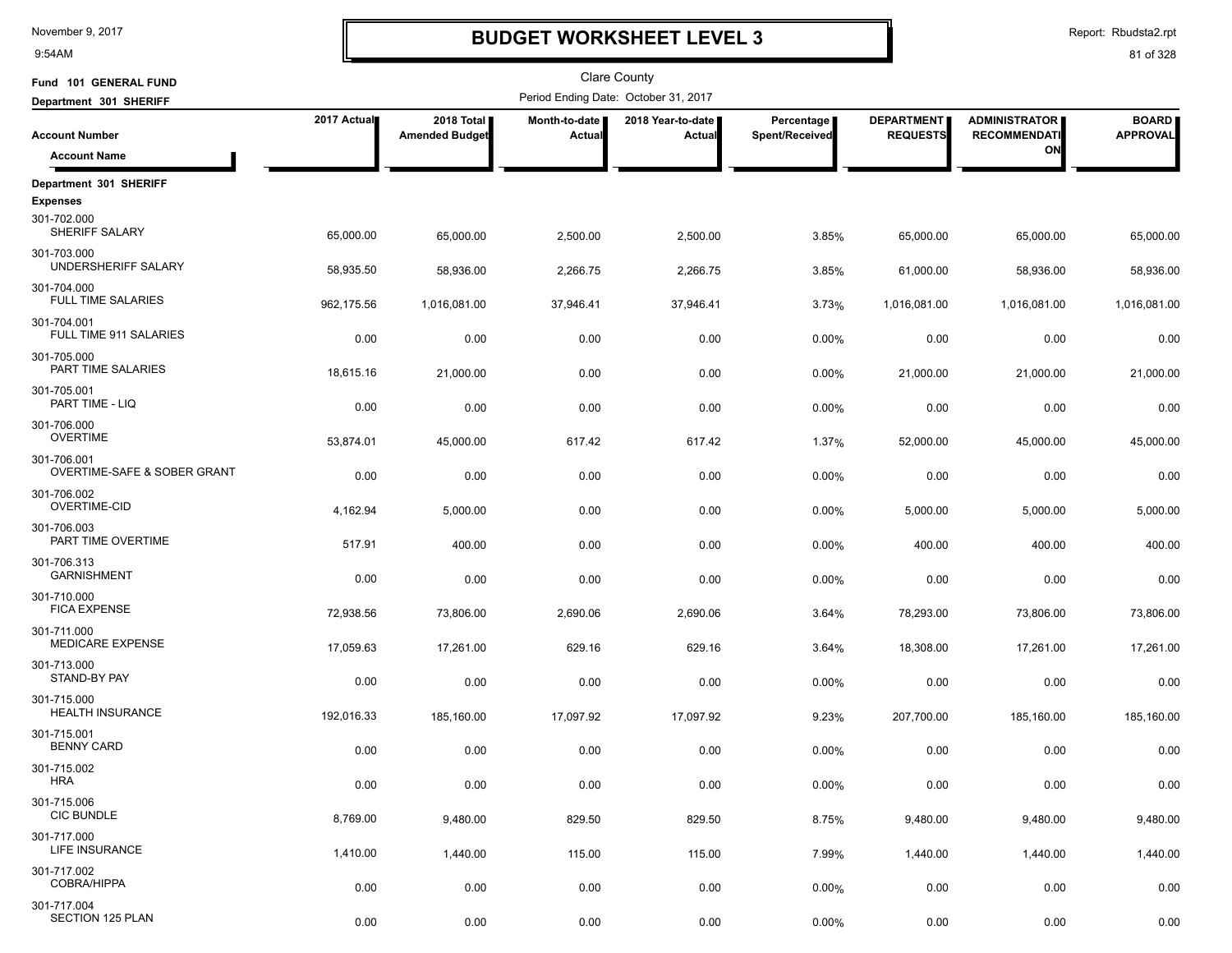9:54AM

## **BUDGET WORKSHEET LEVEL 3**

Report: Rbudsta2.rpt

| Fund 101 GENERAL FUND                      |             |                                     |                         | <b>Clare County</b>                  |                              |                                      |                                             |                                 |
|--------------------------------------------|-------------|-------------------------------------|-------------------------|--------------------------------------|------------------------------|--------------------------------------|---------------------------------------------|---------------------------------|
| Department 301 SHERIFF                     |             |                                     |                         | Period Ending Date: October 31, 2017 |                              |                                      |                                             |                                 |
| <b>Account Number</b>                      | 2017 Actual | 2018 Total<br><b>Amended Budget</b> | Month-to-date<br>Actual | 2018 Year-to-date<br>Actual          | Percentage<br>Spent/Received | <b>DEPARTMENT</b><br><b>REQUESTS</b> | <b>ADMINISTRATOR</b><br><b>RECOMMENDATI</b> | <b>BOARD</b><br><b>APPROVAL</b> |
| <b>Account Name</b>                        |             |                                     |                         |                                      |                              |                                      | ON                                          |                                 |
| Department 301 SHERIFF<br><b>Expenses</b>  |             |                                     |                         |                                      |                              |                                      |                                             |                                 |
| 301-702.000<br>SHERIFF SALARY              | 65,000.00   | 65,000.00                           | 2,500.00                | 2,500.00                             | 3.85%                        | 65,000.00                            | 65,000.00                                   | 65,000.00                       |
| 301-703.000<br>UNDERSHERIFF SALARY         | 58,935.50   | 58,936.00                           | 2,266.75                | 2,266.75                             | 3.85%                        | 61,000.00                            | 58,936.00                                   | 58,936.00                       |
| 301-704.000<br><b>FULL TIME SALARIES</b>   | 962,175.56  | 1,016,081.00                        | 37,946.41               | 37,946.41                            | 3.73%                        | 1,016,081.00                         | 1,016,081.00                                | 1,016,081.00                    |
| 301-704.001<br>FULL TIME 911 SALARIES      | 0.00        | 0.00                                | 0.00                    | 0.00                                 | 0.00%                        | 0.00                                 | 0.00                                        | 0.00                            |
| 301-705.000<br>PART TIME SALARIES          | 18,615.16   | 21,000.00                           | 0.00                    | 0.00                                 | 0.00%                        | 21,000.00                            | 21,000.00                                   | 21,000.00                       |
| 301-705.001<br>PART TIME - LIQ             | 0.00        | 0.00                                | 0.00                    | 0.00                                 | 0.00%                        | 0.00                                 | 0.00                                        | 0.00                            |
| 301-706.000<br><b>OVERTIME</b>             | 53,874.01   | 45,000.00                           | 617.42                  | 617.42                               | 1.37%                        | 52,000.00                            | 45,000.00                                   | 45,000.00                       |
| 301-706.001<br>OVERTIME-SAFE & SOBER GRANT | 0.00        | 0.00                                | 0.00                    | 0.00                                 | 0.00%                        | 0.00                                 | 0.00                                        | 0.00                            |
| 301-706.002<br><b>OVERTIME-CID</b>         | 4,162.94    | 5,000.00                            | 0.00                    | 0.00                                 | 0.00%                        | 5,000.00                             | 5,000.00                                    | 5,000.00                        |
| 301-706.003<br>PART TIME OVERTIME          | 517.91      | 400.00                              | 0.00                    | 0.00                                 | 0.00%                        | 400.00                               | 400.00                                      | 400.00                          |
| 301-706.313<br><b>GARNISHMENT</b>          | 0.00        | 0.00                                | 0.00                    | 0.00                                 | 0.00%                        | 0.00                                 | 0.00                                        | 0.00                            |
| 301-710.000<br><b>FICA EXPENSE</b>         | 72,938.56   | 73,806.00                           | 2,690.06                | 2,690.06                             | 3.64%                        | 78,293.00                            | 73,806.00                                   | 73,806.00                       |
| 301-711.000<br><b>MEDICARE EXPENSE</b>     | 17,059.63   | 17,261.00                           | 629.16                  | 629.16                               | 3.64%                        | 18,308.00                            | 17,261.00                                   | 17,261.00                       |
| 301-713.000<br>STAND-BY PAY                | 0.00        | 0.00                                | 0.00                    | 0.00                                 | 0.00%                        | 0.00                                 | 0.00                                        | 0.00                            |
| 301-715.000<br>HEALTH INSURANCE            | 192,016.33  | 185,160.00                          | 17,097.92               | 17,097.92                            | 9.23%                        | 207,700.00                           | 185,160.00                                  | 185,160.00                      |
| 301-715.001<br><b>BENNY CARD</b>           | 0.00        | 0.00                                | 0.00                    | 0.00                                 | 0.00%                        | 0.00                                 | 0.00                                        | 0.00                            |
| 301-715.002<br><b>HRA</b>                  | 0.00        | 0.00                                | 0.00                    | 0.00                                 | 0.00%                        | 0.00                                 | 0.00                                        | 0.00                            |
| 301-715.006<br><b>CIC BUNDLE</b>           | 8,769.00    | 9,480.00                            | 829.50                  | 829.50                               | 8.75%                        | 9,480.00                             | 9,480.00                                    | 9,480.00                        |
| 301-717.000<br>LIFE INSURANCE              | 1,410.00    | 1,440.00                            | 115.00                  | 115.00                               | 7.99%                        | 1,440.00                             | 1,440.00                                    | 1,440.00                        |
| 301-717.002<br><b>COBRA/HIPPA</b>          | 0.00        | 0.00                                | 0.00                    | 0.00                                 | 0.00%                        | 0.00                                 | 0.00                                        | 0.00                            |
| 301-717.004<br>SECTION 125 PLAN            | 0.00        | 0.00                                | 0.00                    | 0.00                                 | 0.00%                        | 0.00                                 | 0.00                                        | 0.00                            |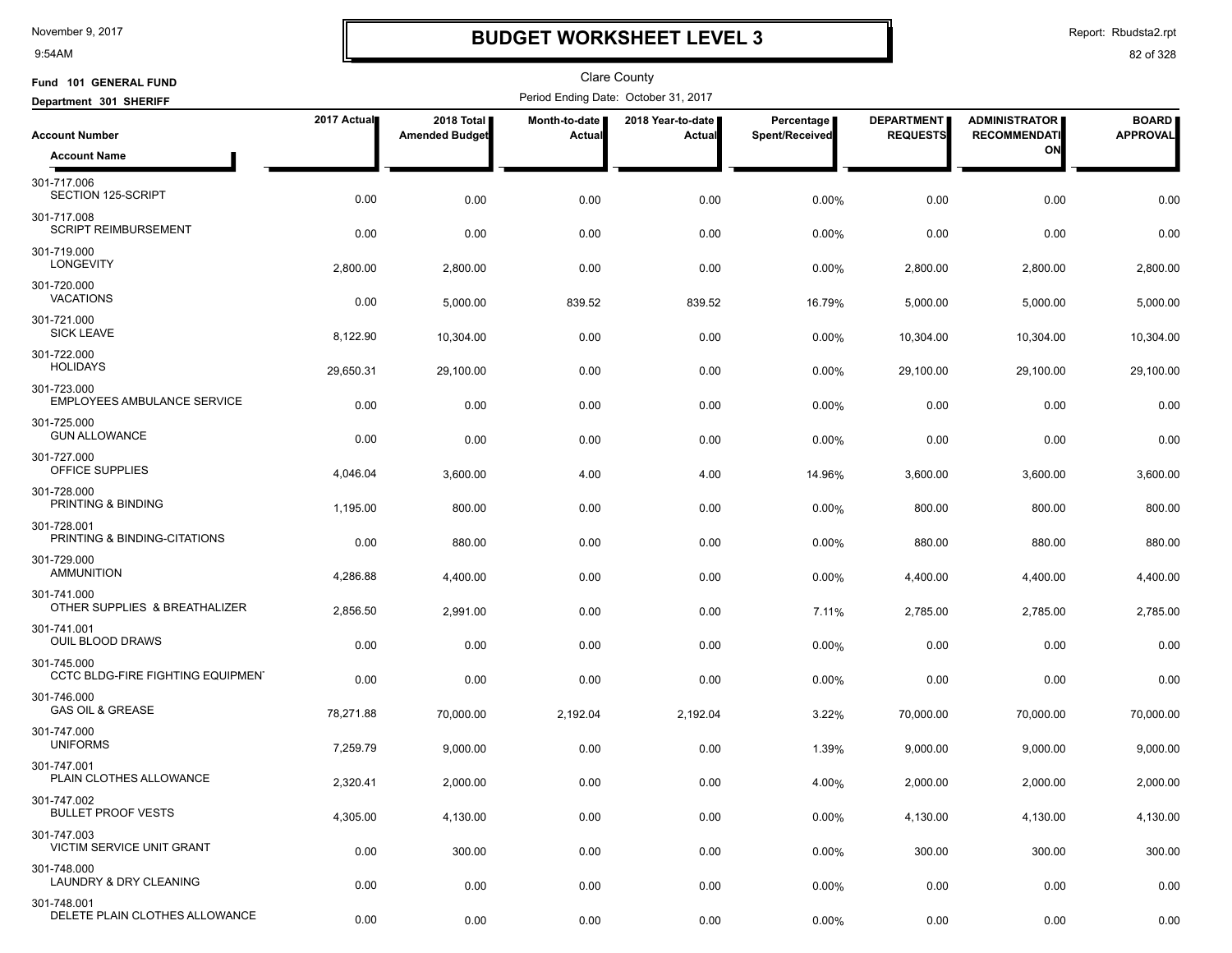9:54AM

## **BUDGET WORKSHEET LEVEL 3**

Report: Rbudsta2.rpt

| Fund 101 GENERAL FUND                                   |             |                                     |                         | Clare County                         |                              |                                      |                                             |                                 |
|---------------------------------------------------------|-------------|-------------------------------------|-------------------------|--------------------------------------|------------------------------|--------------------------------------|---------------------------------------------|---------------------------------|
| Department 301 SHERIFF                                  |             |                                     |                         | Period Ending Date: October 31, 2017 |                              |                                      |                                             |                                 |
| <b>Account Number</b>                                   | 2017 Actual | 2018 Total<br><b>Amended Budget</b> | Month-to-date<br>Actual | 2018 Year-to-date<br>Actual          | Percentage<br>Spent/Received | <b>DEPARTMENT</b><br><b>REQUESTS</b> | <b>ADMINISTRATOR</b><br><b>RECOMMENDATI</b> | <b>BOARD</b><br><b>APPROVAL</b> |
| <b>Account Name</b>                                     |             |                                     |                         |                                      |                              |                                      | ON                                          |                                 |
| 301-717.006<br>SECTION 125-SCRIPT                       | 0.00        | 0.00                                | 0.00                    | 0.00                                 | 0.00%                        | 0.00                                 | 0.00                                        | 0.00                            |
| 301-717.008<br><b>SCRIPT REIMBURSEMENT</b>              | 0.00        | 0.00                                | 0.00                    | 0.00                                 | 0.00%                        | 0.00                                 | 0.00                                        | 0.00                            |
| 301-719.000<br><b>LONGEVITY</b>                         | 2,800.00    | 2,800.00                            | 0.00                    | 0.00                                 | 0.00%                        | 2,800.00                             | 2,800.00                                    | 2,800.00                        |
| 301-720.000<br><b>VACATIONS</b>                         | 0.00        | 5,000.00                            | 839.52                  | 839.52                               | 16.79%                       | 5,000.00                             | 5,000.00                                    | 5,000.00                        |
| 301-721.000<br><b>SICK LEAVE</b>                        | 8,122.90    | 10,304.00                           | 0.00                    | 0.00                                 | 0.00%                        | 10,304.00                            | 10,304.00                                   | 10,304.00                       |
| 301-722.000<br><b>HOLIDAYS</b>                          | 29,650.31   | 29,100.00                           | 0.00                    | 0.00                                 | 0.00%                        | 29,100.00                            | 29,100.00                                   | 29,100.00                       |
| 301-723.000<br><b>EMPLOYEES AMBULANCE SERVICE</b>       | 0.00        | 0.00                                | 0.00                    | 0.00                                 | 0.00%                        | 0.00                                 | 0.00                                        | 0.00                            |
| 301-725.000<br><b>GUN ALLOWANCE</b>                     | 0.00        | 0.00                                | 0.00                    | 0.00                                 | 0.00%                        | 0.00                                 | 0.00                                        | 0.00                            |
| 301-727.000<br>OFFICE SUPPLIES                          | 4,046.04    | 3,600.00                            | 4.00                    | 4.00                                 | 14.96%                       | 3,600.00                             | 3,600.00                                    | 3,600.00                        |
| 301-728.000<br>PRINTING & BINDING                       | 1,195.00    | 800.00                              | 0.00                    | 0.00                                 | 0.00%                        | 800.00                               | 800.00                                      | 800.00                          |
| 301-728.001<br>PRINTING & BINDING-CITATIONS             | 0.00        | 880.00                              | 0.00                    | 0.00                                 | 0.00%                        | 880.00                               | 880.00                                      | 880.00                          |
| 301-729.000<br><b>AMMUNITION</b>                        | 4,286.88    | 4,400.00                            | 0.00                    | 0.00                                 | 0.00%                        | 4,400.00                             | 4,400.00                                    | 4,400.00                        |
| 301-741.000<br>OTHER SUPPLIES & BREATHALIZER            | 2,856.50    | 2,991.00                            | 0.00                    | 0.00                                 | 7.11%                        | 2,785.00                             | 2,785.00                                    | 2,785.00                        |
| 301-741.001<br><b>OUIL BLOOD DRAWS</b>                  | 0.00        | 0.00                                | 0.00                    | 0.00                                 | 0.00%                        | 0.00                                 | 0.00                                        | 0.00                            |
| 301-745.000<br><b>CCTC BLDG-FIRE FIGHTING EQUIPMENT</b> | 0.00        | 0.00                                | 0.00                    | 0.00                                 | 0.00%                        | 0.00                                 | 0.00                                        | 0.00                            |
| 301-746.000<br><b>GAS OIL &amp; GREASE</b>              | 78,271.88   | 70,000.00                           | 2,192.04                | 2,192.04                             | 3.22%                        | 70,000.00                            | 70,000.00                                   | 70,000.00                       |
| 301-747.000<br><b>UNIFORMS</b>                          | 7,259.79    | 9,000.00                            | 0.00                    | 0.00                                 | 1.39%                        | 9,000.00                             | 9,000.00                                    | 9,000.00                        |
| 301-747.001<br>PLAIN CLOTHES ALLOWANCE                  | 2,320.41    | 2,000.00                            | 0.00                    | 0.00                                 | 4.00%                        | 2,000.00                             | 2,000.00                                    | 2,000.00                        |
| 301-747.002<br><b>BULLET PROOF VESTS</b>                | 4,305.00    | 4,130.00                            | 0.00                    | 0.00                                 | 0.00%                        | 4,130.00                             | 4,130.00                                    | 4,130.00                        |
| 301-747.003<br>VICTIM SERVICE UNIT GRANT                | 0.00        | 300.00                              | 0.00                    | 0.00                                 | 0.00%                        | 300.00                               | 300.00                                      | 300.00                          |
| 301-748.000<br>LAUNDRY & DRY CLEANING                   | 0.00        | 0.00                                | 0.00                    | 0.00                                 | 0.00%                        | 0.00                                 | 0.00                                        | 0.00                            |
| 301-748.001<br>DELETE PLAIN CLOTHES ALLOWANCE           | 0.00        | 0.00                                | 0.00                    | 0.00                                 | 0.00%                        | 0.00                                 | 0.00                                        | 0.00                            |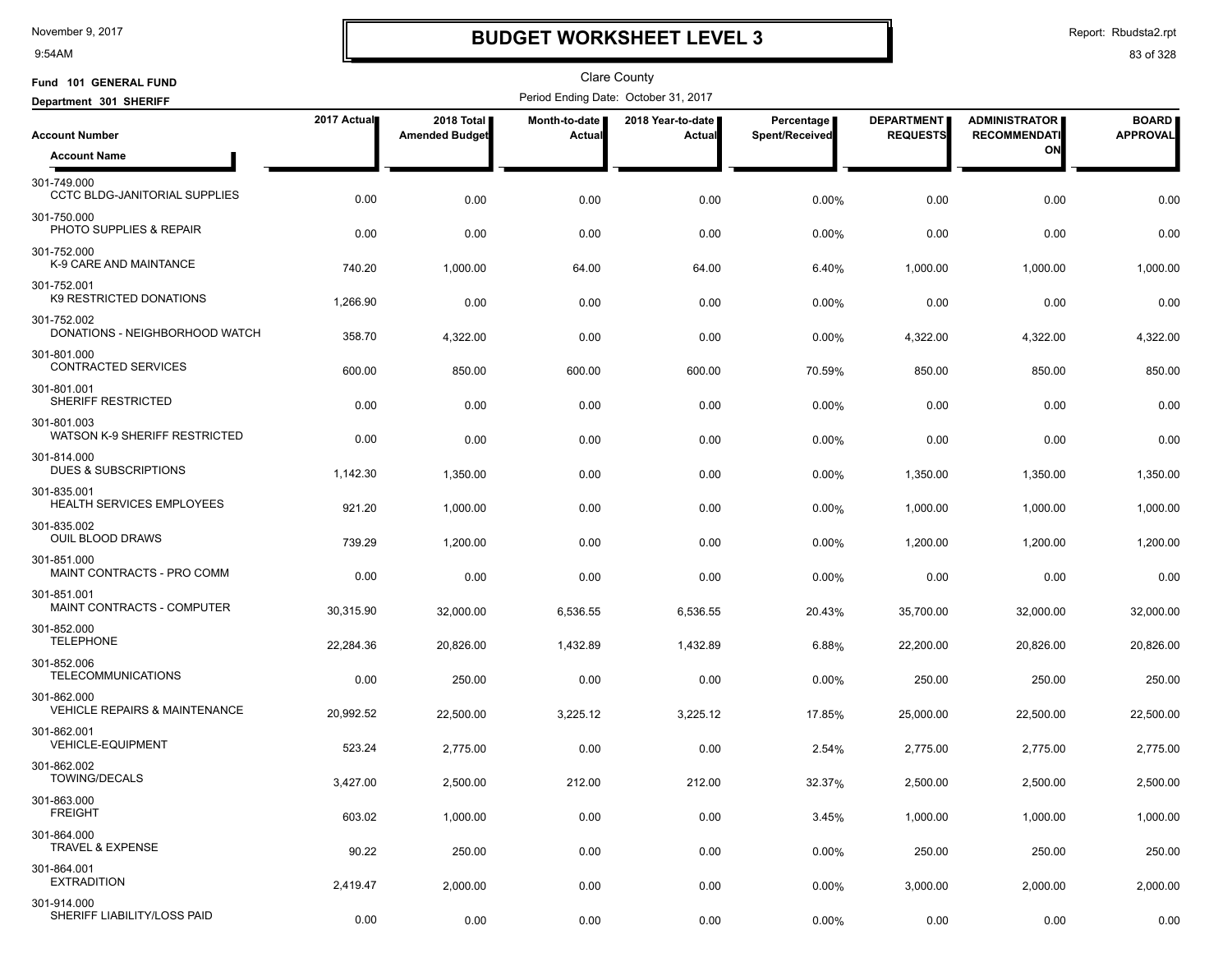9:54AM

# **BUDGET WORKSHEET LEVEL 3**

Report: Rbudsta2.rpt

| Fund 101 GENERAL FUND                                   |             |                                     |                         | <b>Clare County</b>                  |                              |                                      |                                             |                                 |
|---------------------------------------------------------|-------------|-------------------------------------|-------------------------|--------------------------------------|------------------------------|--------------------------------------|---------------------------------------------|---------------------------------|
| Department 301 SHERIFF                                  |             |                                     |                         | Period Ending Date: October 31, 2017 |                              |                                      |                                             |                                 |
| <b>Account Number</b>                                   | 2017 Actual | 2018 Total<br><b>Amended Budget</b> | Month-to-date<br>Actual | 2018 Year-to-date<br>Actual          | Percentage<br>Spent/Received | <b>DEPARTMENT</b><br><b>REQUESTS</b> | <b>ADMINISTRATOR</b><br><b>RECOMMENDATI</b> | <b>BOARD</b><br><b>APPROVAL</b> |
| <b>Account Name</b>                                     |             |                                     |                         |                                      |                              |                                      | ON                                          |                                 |
| 301-749.000<br><b>CCTC BLDG-JANITORIAL SUPPLIES</b>     | 0.00        | 0.00                                | 0.00                    | 0.00                                 | 0.00%                        | 0.00                                 | 0.00                                        | 0.00                            |
| 301-750.000<br>PHOTO SUPPLIES & REPAIR                  | 0.00        | 0.00                                | 0.00                    | 0.00                                 | 0.00%                        | 0.00                                 | 0.00                                        | 0.00                            |
| 301-752.000<br>K-9 CARE AND MAINTANCE                   | 740.20      | 1,000.00                            | 64.00                   | 64.00                                | 6.40%                        | 1,000.00                             | 1,000.00                                    | 1,000.00                        |
| 301-752.001<br>K9 RESTRICTED DONATIONS                  | 1,266.90    | 0.00                                | 0.00                    | 0.00                                 | 0.00%                        | 0.00                                 | 0.00                                        | 0.00                            |
| 301-752.002<br>DONATIONS - NEIGHBORHOOD WATCH           | 358.70      | 4,322.00                            | 0.00                    | 0.00                                 | 0.00%                        | 4,322.00                             | 4,322.00                                    | 4,322.00                        |
| 301-801.000<br><b>CONTRACTED SERVICES</b>               | 600.00      | 850.00                              | 600.00                  | 600.00                               | 70.59%                       | 850.00                               | 850.00                                      | 850.00                          |
| 301-801.001<br><b>SHERIFF RESTRICTED</b>                | 0.00        | 0.00                                | 0.00                    | 0.00                                 | 0.00%                        | 0.00                                 | 0.00                                        | 0.00                            |
| 301-801.003<br>WATSON K-9 SHERIFF RESTRICTED            | 0.00        | 0.00                                | 0.00                    | 0.00                                 | 0.00%                        | 0.00                                 | 0.00                                        | 0.00                            |
| 301-814.000<br><b>DUES &amp; SUBSCRIPTIONS</b>          | 1,142.30    | 1,350.00                            | 0.00                    | 0.00                                 | 0.00%                        | 1,350.00                             | 1,350.00                                    | 1,350.00                        |
| 301-835.001<br>HEALTH SERVICES EMPLOYEES                | 921.20      | 1,000.00                            | 0.00                    | 0.00                                 | 0.00%                        | 1,000.00                             | 1,000.00                                    | 1,000.00                        |
| 301-835.002<br><b>OUIL BLOOD DRAWS</b>                  | 739.29      | 1,200.00                            | 0.00                    | 0.00                                 | 0.00%                        | 1,200.00                             | 1,200.00                                    | 1,200.00                        |
| 301-851.000<br>MAINT CONTRACTS - PRO COMM               | 0.00        | 0.00                                | 0.00                    | 0.00                                 | 0.00%                        | 0.00                                 | 0.00                                        | 0.00                            |
| 301-851.001<br>MAINT CONTRACTS - COMPUTER               | 30,315.90   | 32,000.00                           | 6,536.55                | 6,536.55                             | 20.43%                       | 35,700.00                            | 32,000.00                                   | 32,000.00                       |
| 301-852.000<br><b>TELEPHONE</b>                         | 22,284.36   | 20,826.00                           | 1,432.89                | 1,432.89                             | 6.88%                        | 22,200.00                            | 20,826.00                                   | 20,826.00                       |
| 301-852.006<br><b>TELECOMMUNICATIONS</b>                | 0.00        | 250.00                              | 0.00                    | 0.00                                 | 0.00%                        | 250.00                               | 250.00                                      | 250.00                          |
| 301-862.000<br><b>VEHICLE REPAIRS &amp; MAINTENANCE</b> | 20,992.52   | 22,500.00                           | 3,225.12                | 3,225.12                             | 17.85%                       | 25,000.00                            | 22,500.00                                   | 22,500.00                       |
| 301-862.001<br><b>VEHICLE-EQUIPMENT</b>                 | 523.24      | 2,775.00                            | 0.00                    | 0.00                                 | 2.54%                        | 2,775.00                             | 2,775.00                                    | 2,775.00                        |
| 301-862.002<br>TOWING/DECALS                            | 3,427.00    | 2,500.00                            | 212.00                  | 212.00                               | 32.37%                       | 2,500.00                             | 2,500.00                                    | 2,500.00                        |
| 301-863.000<br><b>FREIGHT</b>                           | 603.02      | 1,000.00                            | 0.00                    | 0.00                                 | 3.45%                        | 1,000.00                             | 1,000.00                                    | 1,000.00                        |
| 301-864.000<br><b>TRAVEL &amp; EXPENSE</b>              | 90.22       | 250.00                              | 0.00                    | 0.00                                 | 0.00%                        | 250.00                               | 250.00                                      | 250.00                          |
| 301-864.001<br><b>EXTRADITION</b>                       | 2,419.47    | 2,000.00                            | 0.00                    | 0.00                                 | 0.00%                        | 3,000.00                             | 2,000.00                                    | 2,000.00                        |
| 301-914.000<br>SHERIFF LIABILITY/LOSS PAID              | 0.00        | 0.00                                | 0.00                    | 0.00                                 | 0.00%                        | 0.00                                 | 0.00                                        | 0.00                            |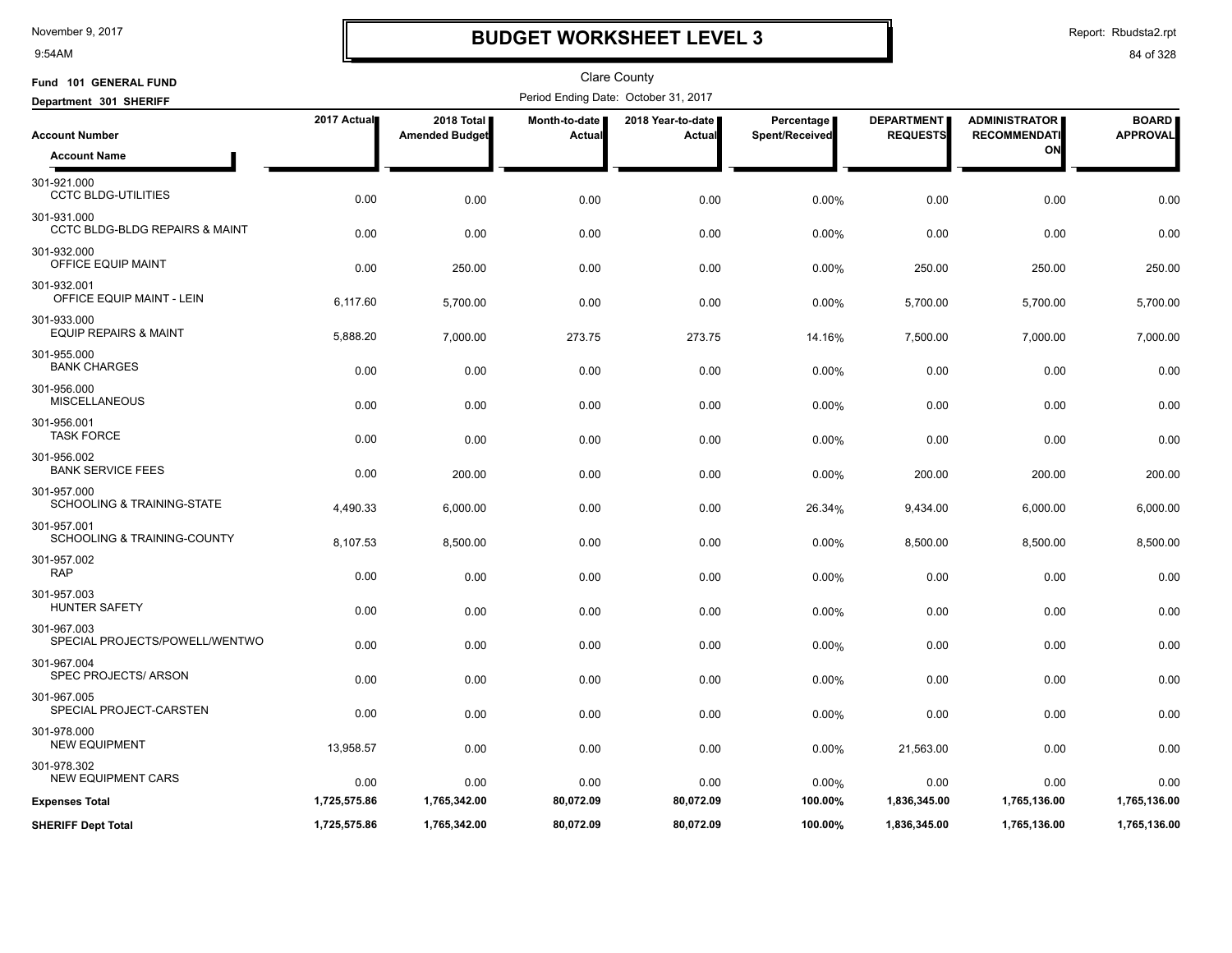9:54AM

# **BUDGET WORKSHEET LEVEL 3**

Report: Rbudsta2.rpt

| Fund 101 GENERAL FUND                                    |              |                                     |                         | <b>Clare County</b>                  |                              |                                      |                                             |                                 |
|----------------------------------------------------------|--------------|-------------------------------------|-------------------------|--------------------------------------|------------------------------|--------------------------------------|---------------------------------------------|---------------------------------|
| Department 301 SHERIFF                                   |              |                                     |                         | Period Ending Date: October 31, 2017 |                              |                                      |                                             |                                 |
| <b>Account Number</b>                                    | 2017 Actual  | 2018 Total<br><b>Amended Budget</b> | Month-to-date<br>Actual | 2018 Year-to-date<br><b>Actual</b>   | Percentage<br>Spent/Received | <b>DEPARTMENT</b><br><b>REQUESTS</b> | <b>ADMINISTRATOR</b><br><b>RECOMMENDATI</b> | <b>BOARD</b><br><b>APPROVAL</b> |
| <b>Account Name</b>                                      |              |                                     |                         |                                      |                              |                                      | ON                                          |                                 |
| 301-921.000<br><b>CCTC BLDG-UTILITIES</b>                | 0.00         | 0.00                                | 0.00                    | 0.00                                 | 0.00%                        | 0.00                                 | 0.00                                        | 0.00                            |
| 301-931.000<br><b>CCTC BLDG-BLDG REPAIRS &amp; MAINT</b> | 0.00         | 0.00                                | 0.00                    | 0.00                                 | 0.00%                        | 0.00                                 | 0.00                                        | 0.00                            |
| 301-932.000<br>OFFICE EQUIP MAINT                        | 0.00         | 250.00                              | 0.00                    | 0.00                                 | 0.00%                        | 250.00                               | 250.00                                      | 250.00                          |
| 301-932.001<br>OFFICE EQUIP MAINT - LEIN                 | 6,117.60     | 5,700.00                            | 0.00                    | 0.00                                 | 0.00%                        | 5,700.00                             | 5,700.00                                    | 5,700.00                        |
| 301-933.000<br><b>EQUIP REPAIRS &amp; MAINT</b>          | 5,888.20     | 7,000.00                            | 273.75                  | 273.75                               | 14.16%                       | 7,500.00                             | 7,000.00                                    | 7,000.00                        |
| 301-955.000<br><b>BANK CHARGES</b>                       | 0.00         | 0.00                                | 0.00                    | 0.00                                 | 0.00%                        | 0.00                                 | 0.00                                        | 0.00                            |
| 301-956.000<br><b>MISCELLANEOUS</b>                      | 0.00         | 0.00                                | 0.00                    | 0.00                                 | 0.00%                        | 0.00                                 | 0.00                                        | 0.00                            |
| 301-956.001<br><b>TASK FORCE</b>                         | 0.00         | 0.00                                | 0.00                    | 0.00                                 | 0.00%                        | 0.00                                 | 0.00                                        | 0.00                            |
| 301-956.002<br><b>BANK SERVICE FEES</b>                  | 0.00         | 200.00                              | 0.00                    | 0.00                                 | 0.00%                        | 200.00                               | 200.00                                      | 200.00                          |
| 301-957.000<br>SCHOOLING & TRAINING-STATE                | 4,490.33     | 6,000.00                            | 0.00                    | 0.00                                 | 26.34%                       | 9,434.00                             | 6,000.00                                    | 6,000.00                        |
| 301-957.001<br><b>SCHOOLING &amp; TRAINING-COUNTY</b>    | 8,107.53     | 8,500.00                            | 0.00                    | 0.00                                 | 0.00%                        | 8,500.00                             | 8,500.00                                    | 8,500.00                        |
| 301-957.002<br><b>RAP</b>                                | 0.00         | 0.00                                | 0.00                    | 0.00                                 | 0.00%                        | 0.00                                 | 0.00                                        | 0.00                            |
| 301-957.003<br><b>HUNTER SAFETY</b>                      | 0.00         | 0.00                                | 0.00                    | 0.00                                 | 0.00%                        | 0.00                                 | 0.00                                        | 0.00                            |
| 301-967.003<br>SPECIAL PROJECTS/POWELL/WENTWO            | 0.00         | 0.00                                | 0.00                    | 0.00                                 | 0.00%                        | 0.00                                 | 0.00                                        | 0.00                            |
| 301-967.004<br>SPEC PROJECTS/ ARSON                      | 0.00         | 0.00                                | 0.00                    | 0.00                                 | 0.00%                        | 0.00                                 | 0.00                                        | 0.00                            |
| 301-967.005<br>SPECIAL PROJECT-CARSTEN                   | 0.00         | 0.00                                | 0.00                    | 0.00                                 | 0.00%                        | 0.00                                 | 0.00                                        | 0.00                            |
| 301-978.000<br><b>NEW EQUIPMENT</b>                      | 13,958.57    | 0.00                                | 0.00                    | 0.00                                 | 0.00%                        | 21,563.00                            | 0.00                                        | 0.00                            |
| 301-978.302<br><b>NEW EQUIPMENT CARS</b>                 | 0.00         | 0.00                                | 0.00                    | 0.00                                 | 0.00%                        | 0.00                                 | 0.00                                        | 0.00                            |
| <b>Expenses Total</b>                                    | 1,725,575.86 | 1,765,342.00                        | 80,072.09               | 80,072.09                            | 100.00%                      | 1,836,345.00                         | 1,765,136.00                                | 1,765,136.00                    |
| <b>SHERIFF Dept Total</b>                                | 1,725,575.86 | 1,765,342.00                        | 80,072.09               | 80,072.09                            | 100.00%                      | 1,836,345.00                         | 1,765,136.00                                | 1,765,136.00                    |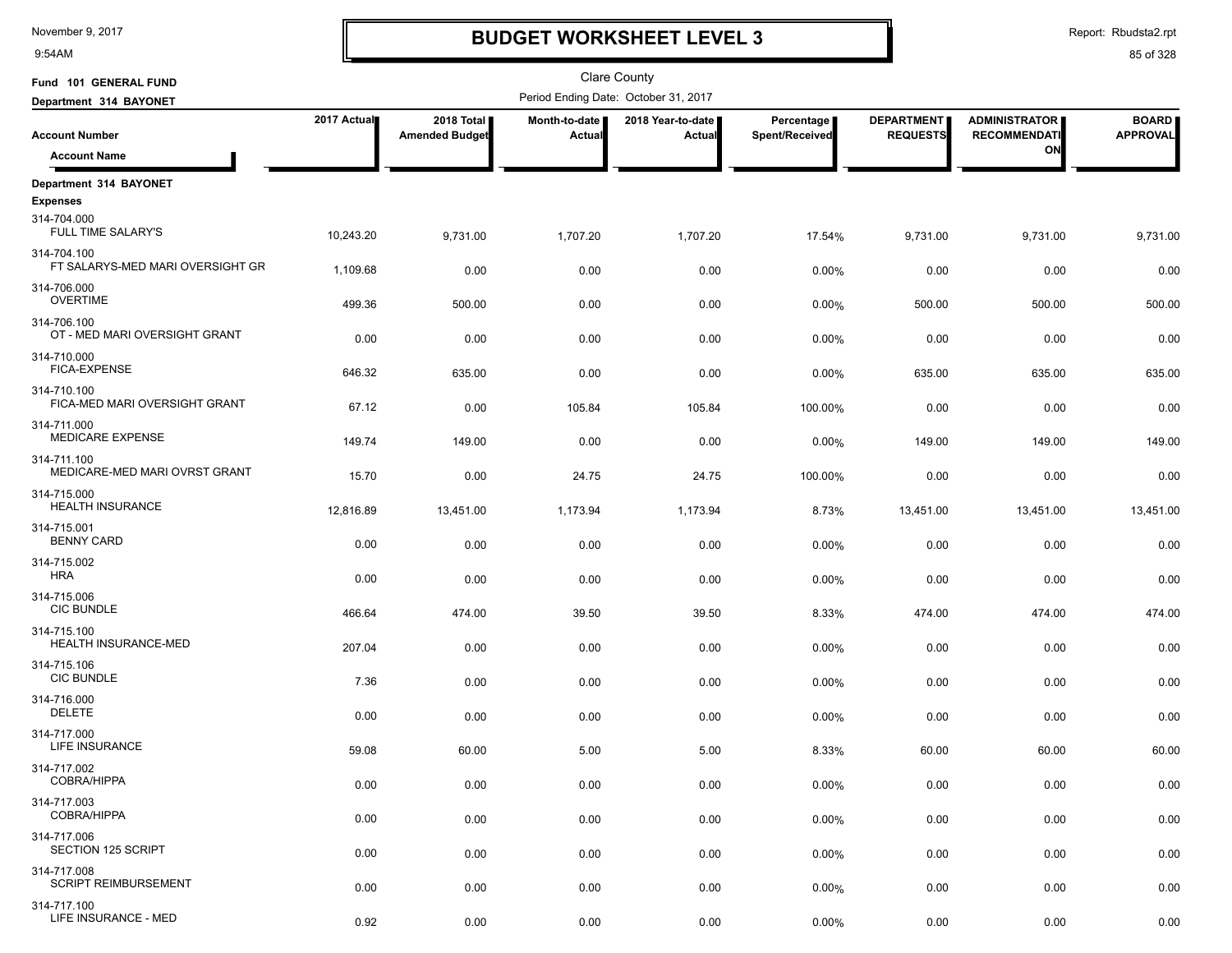9:54AM

# **BUDGET WORKSHEET LEVEL 3**

| Fund 101 GENERAL FUND                           |             |                                     |                                | Clare County                         |                              |                                      |                                             |                                 |
|-------------------------------------------------|-------------|-------------------------------------|--------------------------------|--------------------------------------|------------------------------|--------------------------------------|---------------------------------------------|---------------------------------|
| Department 314 BAYONET                          |             |                                     |                                | Period Ending Date: October 31, 2017 |                              |                                      |                                             |                                 |
| <b>Account Number</b>                           | 2017 Actual | 2018 Total<br><b>Amended Budget</b> | Month-to-date<br><b>Actual</b> | 2018 Year-to-date<br>Actual          | Percentage<br>Spent/Received | <b>DEPARTMENT</b><br><b>REQUESTS</b> | <b>ADMINISTRATOR</b><br><b>RECOMMENDATI</b> | <b>BOARD</b><br><b>APPROVAL</b> |
| <b>Account Name</b>                             |             |                                     |                                |                                      |                              |                                      | ON                                          |                                 |
| Department 314 BAYONET                          |             |                                     |                                |                                      |                              |                                      |                                             |                                 |
| <b>Expenses</b>                                 |             |                                     |                                |                                      |                              |                                      |                                             |                                 |
| 314-704.000<br>FULL TIME SALARY'S               | 10,243.20   | 9.731.00                            | 1,707.20                       | 1,707.20                             | 17.54%                       | 9,731.00                             | 9,731.00                                    | 9,731.00                        |
| 314-704.100<br>FT SALARYS-MED MARI OVERSIGHT GR | 1,109.68    | 0.00                                | 0.00                           | 0.00                                 | 0.00%                        | 0.00                                 | 0.00                                        | 0.00                            |
| 314-706.000<br><b>OVERTIME</b>                  | 499.36      | 500.00                              | 0.00                           | 0.00                                 | 0.00%                        | 500.00                               | 500.00                                      | 500.00                          |
| 314-706.100<br>OT - MED MARI OVERSIGHT GRANT    | 0.00        | 0.00                                | 0.00                           | 0.00                                 | 0.00%                        | 0.00                                 | 0.00                                        | 0.00                            |
| 314-710.000<br><b>FICA-EXPENSE</b>              | 646.32      | 635.00                              | 0.00                           | 0.00                                 | 0.00%                        | 635.00                               | 635.00                                      | 635.00                          |
| 314-710.100<br>FICA-MED MARI OVERSIGHT GRANT    | 67.12       | 0.00                                | 105.84                         | 105.84                               | 100.00%                      | 0.00                                 | 0.00                                        | 0.00                            |
| 314-711.000<br>MEDICARE EXPENSE                 | 149.74      | 149.00                              | 0.00                           | 0.00                                 | 0.00%                        | 149.00                               | 149.00                                      | 149.00                          |
| 314-711.100<br>MEDICARE-MED MARI OVRST GRANT    | 15.70       | 0.00                                | 24.75                          | 24.75                                | 100.00%                      | 0.00                                 | 0.00                                        | 0.00                            |
| 314-715.000<br>HEALTH INSURANCE                 | 12,816.89   | 13,451.00                           | 1,173.94                       | 1,173.94                             | 8.73%                        | 13,451.00                            | 13,451.00                                   | 13,451.00                       |
| 314-715.001<br><b>BENNY CARD</b>                |             |                                     |                                |                                      |                              |                                      |                                             |                                 |
| 314-715.002                                     | 0.00        | 0.00                                | 0.00                           | 0.00                                 | 0.00%                        | 0.00                                 | 0.00                                        | 0.00                            |
| <b>HRA</b>                                      | 0.00        | 0.00                                | 0.00                           | 0.00                                 | 0.00%                        | 0.00                                 | 0.00                                        | 0.00                            |
| 314-715.006<br>CIC BUNDLE                       | 466.64      | 474.00                              | 39.50                          | 39.50                                | 8.33%                        | 474.00                               | 474.00                                      | 474.00                          |
| 314-715.100<br>HEALTH INSURANCE-MED             | 207.04      | 0.00                                | 0.00                           | 0.00                                 | 0.00%                        | 0.00                                 | 0.00                                        | 0.00                            |
| 314-715.106<br><b>CIC BUNDLE</b>                | 7.36        | 0.00                                | 0.00                           | 0.00                                 | 0.00%                        | 0.00                                 | 0.00                                        | 0.00                            |
| 314-716.000<br><b>DELETE</b>                    | 0.00        | 0.00                                | 0.00                           | 0.00                                 | 0.00%                        | 0.00                                 | 0.00                                        | 0.00                            |
| 314-717.000<br>LIFE INSURANCE                   | 59.08       | 60.00                               | 5.00                           | 5.00                                 | 8.33%                        | 60.00                                | 60.00                                       | 60.00                           |
| 314-717.002<br>COBRA/HIPPA                      | 0.00        | 0.00                                | 0.00                           | 0.00                                 | 0.00%                        | 0.00                                 | 0.00                                        | 0.00                            |
| 314-717.003<br>COBRA/HIPPA                      | 0.00        | 0.00                                | 0.00                           | 0.00                                 | 0.00%                        | 0.00                                 | 0.00                                        | 0.00                            |
| 314-717.006<br><b>SECTION 125 SCRIPT</b>        | 0.00        | 0.00                                | 0.00                           | 0.00                                 | 0.00%                        | 0.00                                 | 0.00                                        | 0.00                            |
| 314-717.008<br><b>SCRIPT REIMBURSEMENT</b>      | 0.00        | 0.00                                | 0.00                           | 0.00                                 | 0.00%                        | 0.00                                 | 0.00                                        | 0.00                            |
| 314-717.100<br>LIFE INSURANCE - MED             | 0.92        | 0.00                                | 0.00                           | 0.00                                 | 0.00%                        | 0.00                                 | 0.00                                        | 0.00                            |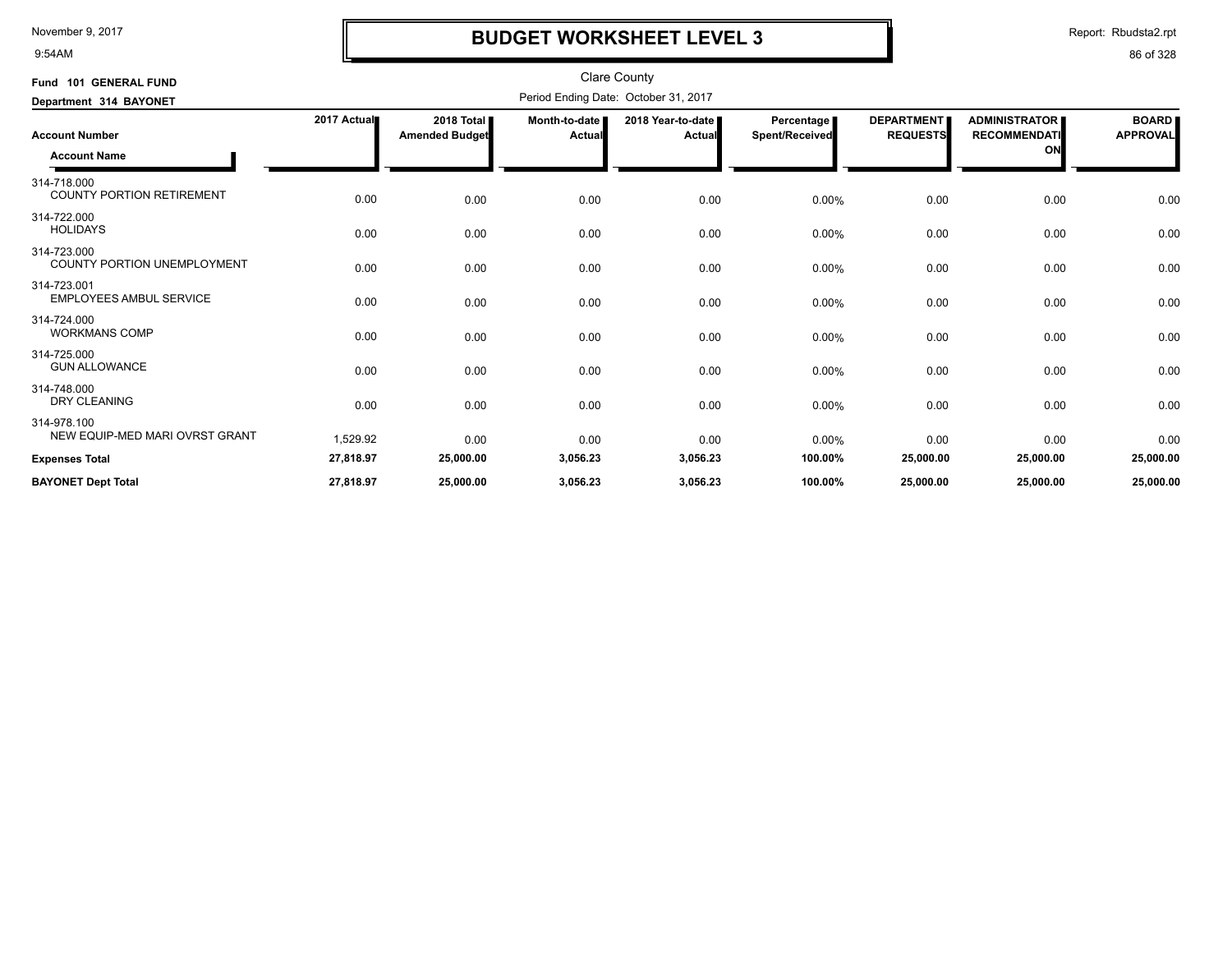9:54AM

# **BUDGET WORKSHEET LEVEL 3**

Report: Rbudsta2.rpt

| Fund 101 GENERAL FUND                           |             |                                               |                           | Clare County                         |                              |                                      |                                                   |                                 |
|-------------------------------------------------|-------------|-----------------------------------------------|---------------------------|--------------------------------------|------------------------------|--------------------------------------|---------------------------------------------------|---------------------------------|
| Department 314 BAYONET                          |             |                                               |                           | Period Ending Date: October 31, 2017 |                              |                                      |                                                   |                                 |
| <b>Account Number</b><br><b>Account Name</b>    | 2017 Actual | 2018 Total <b>II</b><br><b>Amended Budget</b> | Month-to-date  <br>Actual | 2018 Year-to-date<br>Actual          | Percentage<br>Spent/Received | <b>DEPARTMENT</b><br><b>REQUESTS</b> | <b>ADMINISTRATOR</b><br><b>RECOMMENDATI</b><br>ON | <b>BOARD</b><br><b>APPROVAL</b> |
| 314-718.000<br><b>COUNTY PORTION RETIREMENT</b> | 0.00        | 0.00                                          | 0.00                      | 0.00                                 | 0.00%                        | 0.00                                 | 0.00                                              | 0.00                            |
| 314-722.000<br><b>HOLIDAYS</b>                  | 0.00        | 0.00                                          | 0.00                      | 0.00                                 | 0.00%                        | 0.00                                 | 0.00                                              | 0.00                            |
| 314-723.000<br>COUNTY PORTION UNEMPLOYMENT      | 0.00        | 0.00                                          | 0.00                      | 0.00                                 | 0.00%                        | 0.00                                 | 0.00                                              | 0.00                            |
| 314-723.001<br><b>EMPLOYEES AMBUL SERVICE</b>   | 0.00        | 0.00                                          | 0.00                      | 0.00                                 | $0.00\%$                     | 0.00                                 | 0.00                                              | 0.00                            |
| 314-724.000<br><b>WORKMANS COMP</b>             | 0.00        | 0.00                                          | 0.00                      | 0.00                                 | 0.00%                        | 0.00                                 | 0.00                                              | 0.00                            |
| 314-725.000<br><b>GUN ALLOWANCE</b>             | 0.00        | 0.00                                          | 0.00                      | 0.00                                 | 0.00%                        | 0.00                                 | 0.00                                              | 0.00                            |
| 314-748.000<br><b>DRY CLEANING</b>              | 0.00        | 0.00                                          | 0.00                      | 0.00                                 | 0.00%                        | 0.00                                 | 0.00                                              | 0.00                            |
| 314-978.100<br>NEW EQUIP-MED MARI OVRST GRANT   | 1,529.92    | 0.00                                          | 0.00                      | 0.00                                 | 0.00%                        | 0.00                                 | 0.00                                              | 0.00                            |
| <b>Expenses Total</b>                           | 27,818.97   | 25,000.00                                     | 3,056.23                  | 3,056.23                             | 100.00%                      | 25,000.00                            | 25,000.00                                         | 25,000.00                       |
| <b>BAYONET Dept Total</b>                       | 27,818.97   | 25,000.00                                     | 3,056.23                  | 3,056.23                             | 100.00%                      | 25,000.00                            | 25,000.00                                         | 25.000.00                       |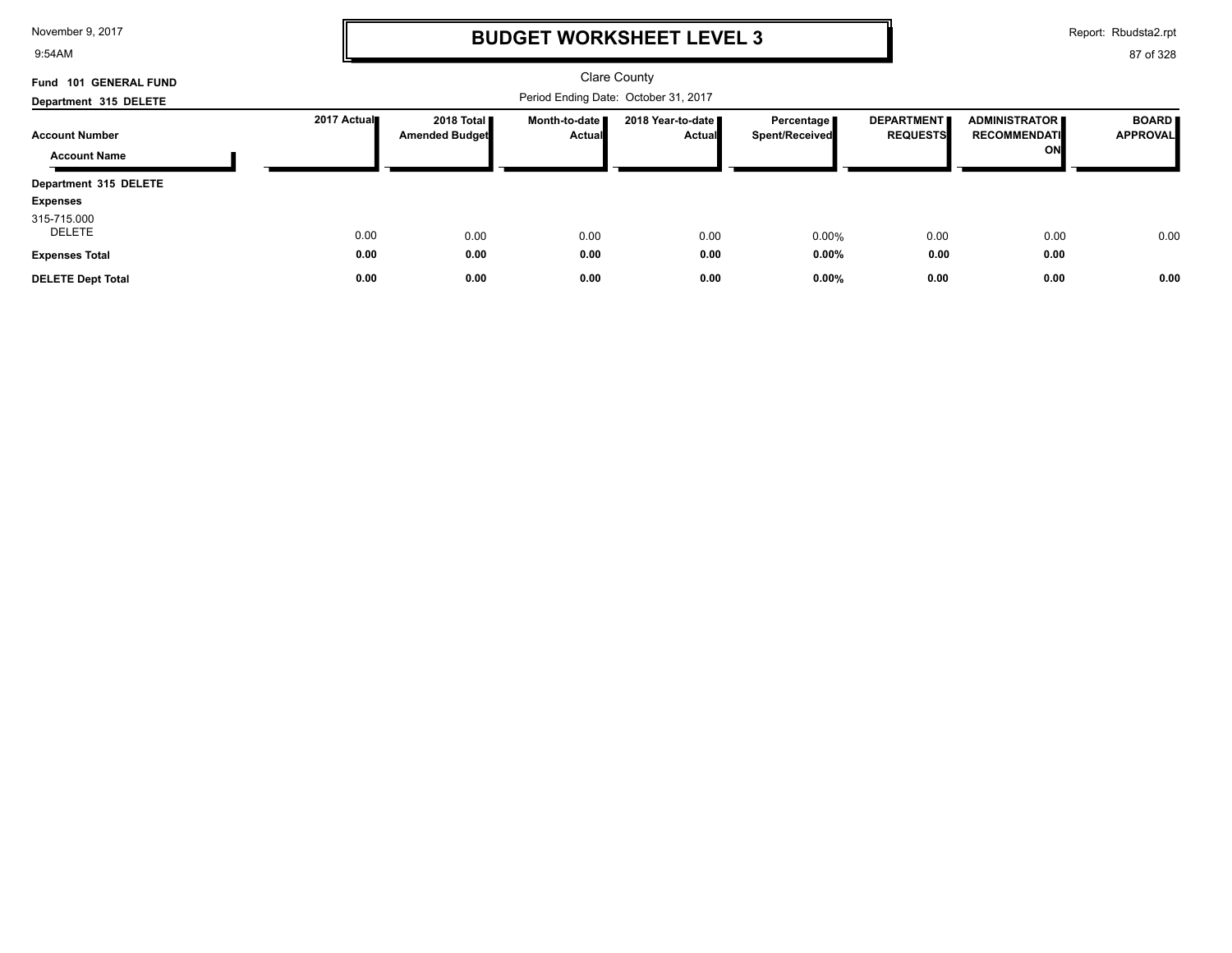9:54AM

# **BUDGET WORKSHEET LEVEL 3**

Report: Rbudsta2.rpt

| Fund 101 GENERAL FUND    |             |                                               |                                  | Clare County                       |                              |                                      |                                                   |                                 |  |
|--------------------------|-------------|-----------------------------------------------|----------------------------------|------------------------------------|------------------------------|--------------------------------------|---------------------------------------------------|---------------------------------|--|
| Department 315 DELETE    |             | Period Ending Date: October 31, 2017          |                                  |                                    |                              |                                      |                                                   |                                 |  |
| <b>Account Number</b>    | 2017 Actual | 2018 Total <b>II</b><br><b>Amended Budget</b> | Month-to-date I<br><b>Actual</b> | 2018 Year-to-date<br><b>Actual</b> | Percentage<br>Spent/Received | <b>DEPARTMENT</b><br><b>REQUESTS</b> | <b>ADMINISTRATOR</b><br><b>RECOMMENDATI</b><br>ON | <b>BOARD</b><br><b>APPROVAL</b> |  |
| <b>Account Name</b>      |             |                                               |                                  |                                    |                              |                                      |                                                   |                                 |  |
| Department 315 DELETE    |             |                                               |                                  |                                    |                              |                                      |                                                   |                                 |  |
| <b>Expenses</b>          |             |                                               |                                  |                                    |                              |                                      |                                                   |                                 |  |
| 315-715.000<br>DELETE    | 0.00        | 0.00                                          | 0.00                             | 0.00                               | $0.00\%$                     | 0.00                                 | 0.00                                              | 0.00                            |  |
| <b>Expenses Total</b>    | 0.00        | 0.00                                          | 0.00                             | 0.00                               | $0.00\%$                     | 0.00                                 | 0.00                                              |                                 |  |
| <b>DELETE Dept Total</b> | 0.00        | 0.00                                          | 0.00                             | 0.00                               | 0.00%                        | 0.00                                 | 0.00                                              | 0.00                            |  |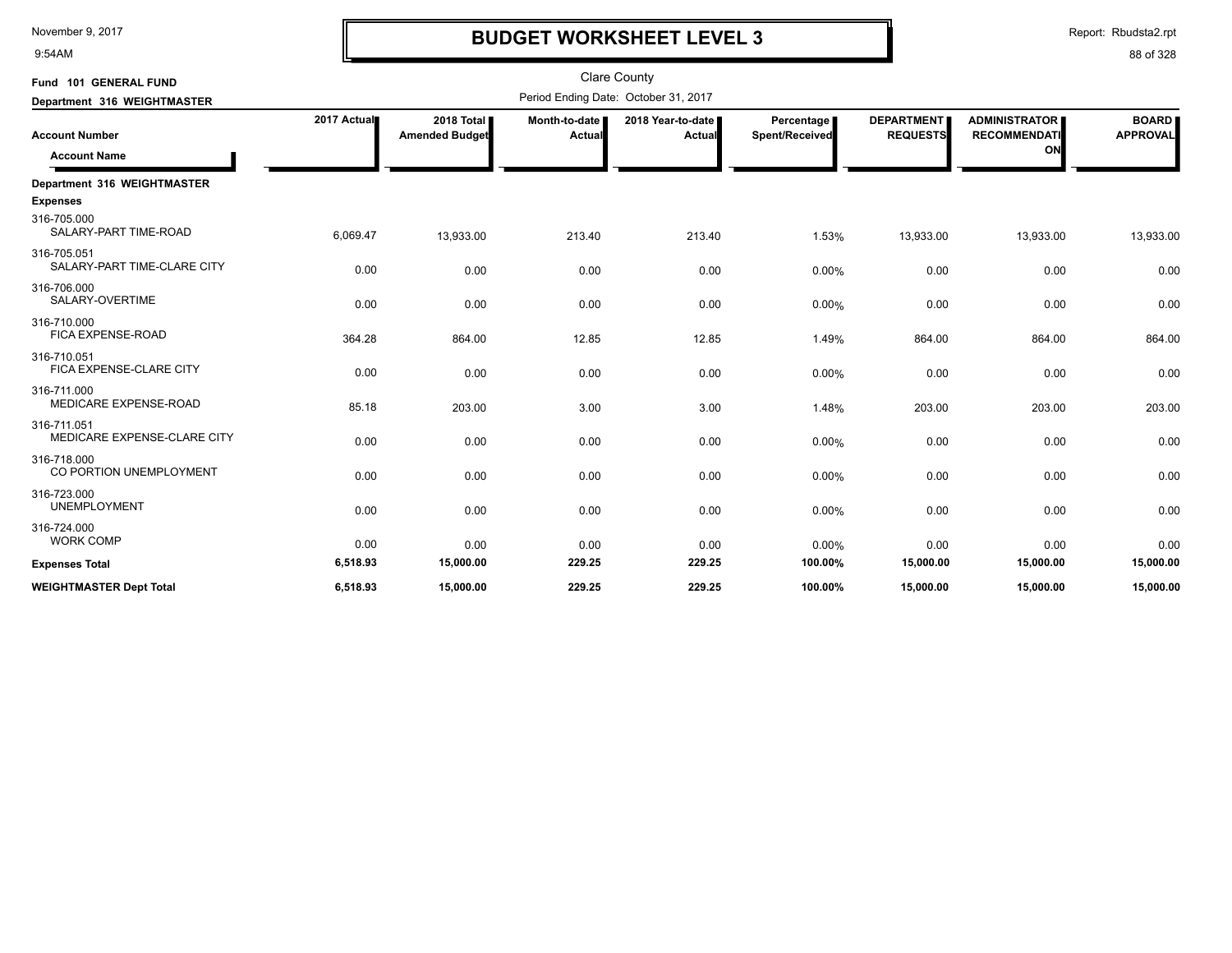9:54AM

# **BUDGET WORKSHEET LEVEL 3**

Report: Rbudsta2.rpt

| Fund 101 GENERAL FUND                          |             |                                     |                         | <b>Clare County</b>                  |                              |                                      |                                                   |                                 |
|------------------------------------------------|-------------|-------------------------------------|-------------------------|--------------------------------------|------------------------------|--------------------------------------|---------------------------------------------------|---------------------------------|
| Department 316 WEIGHTMASTER                    |             |                                     |                         | Period Ending Date: October 31, 2017 |                              |                                      |                                                   |                                 |
| <b>Account Number</b><br><b>Account Name</b>   | 2017 Actual | 2018 Total<br><b>Amended Budget</b> | Month-to-date<br>Actual | 2018 Year-to-date  <br>Actual        | Percentage<br>Spent/Received | <b>DEPARTMENT</b><br><b>REQUESTS</b> | <b>ADMINISTRATOR</b><br><b>RECOMMENDATI</b><br>ON | <b>BOARD</b><br><b>APPROVAL</b> |
| Department 316 WEIGHTMASTER<br><b>Expenses</b> |             |                                     |                         |                                      |                              |                                      |                                                   |                                 |
| 316-705.000<br>SALARY-PART TIME-ROAD           | 6,069.47    | 13,933.00                           | 213.40                  | 213.40                               | 1.53%                        | 13,933.00                            | 13,933.00                                         | 13,933.00                       |
| 316-705.051<br>SALARY-PART TIME-CLARE CITY     | 0.00        | 0.00                                | 0.00                    | 0.00                                 | $0.00\%$                     | 0.00                                 | 0.00                                              | 0.00                            |
| 316-706.000<br>SALARY-OVERTIME                 | 0.00        | 0.00                                | 0.00                    | 0.00                                 | 0.00%                        | 0.00                                 | 0.00                                              | 0.00                            |
| 316-710.000<br>FICA EXPENSE-ROAD               | 364.28      | 864.00                              | 12.85                   | 12.85                                | 1.49%                        | 864.00                               | 864.00                                            | 864.00                          |
| 316-710.051<br>FICA EXPENSE-CLARE CITY         | 0.00        | 0.00                                | 0.00                    | 0.00                                 | 0.00%                        | 0.00                                 | 0.00                                              | 0.00                            |
| 316-711.000<br>MEDICARE EXPENSE-ROAD           | 85.18       | 203.00                              | 3.00                    | 3.00                                 | 1.48%                        | 203.00                               | 203.00                                            | 203.00                          |
| 316-711.051<br>MEDICARE EXPENSE-CLARE CITY     | 0.00        | 0.00                                | 0.00                    | 0.00                                 | 0.00%                        | 0.00                                 | 0.00                                              | 0.00                            |
| 316-718.000<br>CO PORTION UNEMPLOYMENT         | 0.00        | 0.00                                | 0.00                    | 0.00                                 | 0.00%                        | 0.00                                 | 0.00                                              | 0.00                            |
| 316-723.000<br><b>UNEMPLOYMENT</b>             | 0.00        | 0.00                                | 0.00                    | 0.00                                 | 0.00%                        | 0.00                                 | 0.00                                              | 0.00                            |
| 316-724.000<br><b>WORK COMP</b>                | 0.00        | 0.00                                | 0.00                    | 0.00                                 | 0.00%                        | 0.00                                 | 0.00                                              | 0.00                            |
| <b>Expenses Total</b>                          | 6,518.93    | 15,000.00                           | 229.25                  | 229.25                               | 100.00%                      | 15,000.00                            | 15,000.00                                         | 15,000.00                       |
| <b>WEIGHTMASTER Dept Total</b>                 | 6,518.93    | 15,000.00                           | 229.25                  | 229.25                               | 100.00%                      | 15,000.00                            | 15,000.00                                         | 15,000.00                       |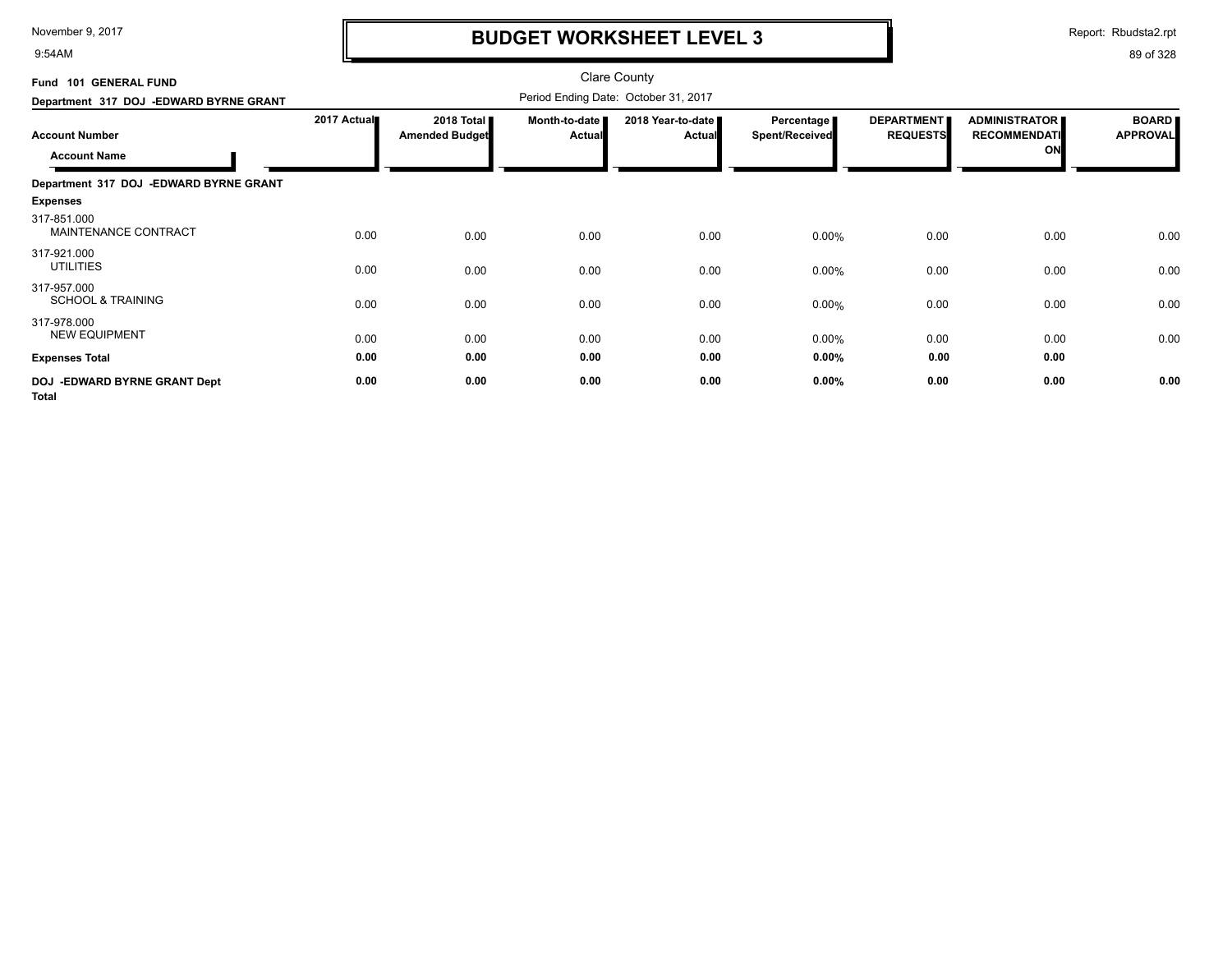9:54AM

# **BUDGET WORKSHEET LEVEL 3**

Report: Rbudsta2.rpt

| Fund 101 GENERAL FUND                         |             |                                     |                                | <b>Clare County</b>                  |                                     |                                      |                                                   |                                 |
|-----------------------------------------------|-------------|-------------------------------------|--------------------------------|--------------------------------------|-------------------------------------|--------------------------------------|---------------------------------------------------|---------------------------------|
| Department 317 DOJ -EDWARD BYRNE GRANT        |             |                                     |                                | Period Ending Date: October 31, 2017 |                                     |                                      |                                                   |                                 |
| <b>Account Number</b><br><b>Account Name</b>  | 2017 Actual | 2018 Total<br><b>Amended Budget</b> | Month-to-date<br><b>Actual</b> | 2018 Year-to-date<br><b>Actual</b>   | Percentage<br><b>Spent/Received</b> | <b>DEPARTMENT</b><br><b>REQUESTS</b> | <b>ADMINISTRATOR</b><br><b>RECOMMENDATI</b><br>ON | <b>BOARD</b><br><b>APPROVAL</b> |
| Department 317 DOJ -EDWARD BYRNE GRANT        |             |                                     |                                |                                      |                                     |                                      |                                                   |                                 |
| <b>Expenses</b>                               |             |                                     |                                |                                      |                                     |                                      |                                                   |                                 |
| 317-851.000<br>MAINTENANCE CONTRACT           | 0.00        | 0.00                                | 0.00                           | 0.00                                 | 0.00%                               | 0.00                                 | 0.00                                              | 0.00                            |
| 317-921.000<br><b>UTILITIES</b>               | 0.00        | 0.00                                | 0.00                           | 0.00                                 | 0.00%                               | 0.00                                 | 0.00                                              | 0.00                            |
| 317-957.000<br><b>SCHOOL &amp; TRAINING</b>   | 0.00        | 0.00                                | 0.00                           | 0.00                                 | 0.00%                               | 0.00                                 | 0.00                                              | 0.00                            |
| 317-978.000<br><b>NEW EQUIPMENT</b>           | 0.00        | 0.00                                | 0.00                           | 0.00                                 | 0.00%                               | 0.00                                 | 0.00                                              | 0.00                            |
| <b>Expenses Total</b>                         | 0.00        | 0.00                                | 0.00                           | 0.00                                 | $0.00\%$                            | 0.00                                 | 0.00                                              |                                 |
| DOJ - EDWARD BYRNE GRANT Dept<br><b>Total</b> | 0.00        | 0.00                                | 0.00                           | 0.00                                 | $0.00\%$                            | 0.00                                 | 0.00                                              | 0.00                            |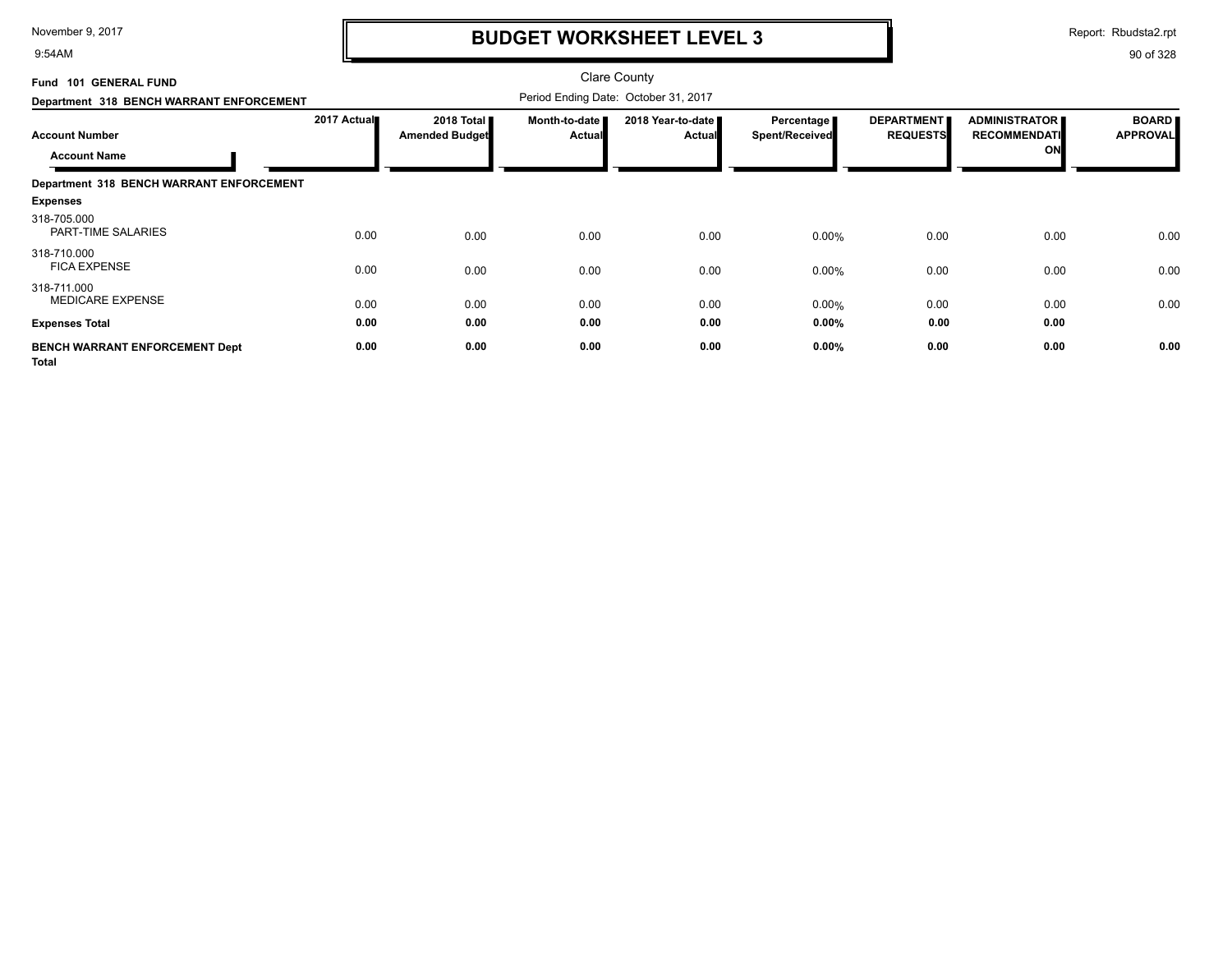9:54AM

## **BUDGET WORKSHEET LEVEL 3**

Report: Rbudsta2.rpt

| Fund 101 GENERAL FUND<br>Department 318 BENCH WARRANT ENFORCEMENT |             | <b>Clare County</b><br>Period Ending Date: October 31, 2017 |                         |                                    |                                     |                                      |                                                   |                                 |
|-------------------------------------------------------------------|-------------|-------------------------------------------------------------|-------------------------|------------------------------------|-------------------------------------|--------------------------------------|---------------------------------------------------|---------------------------------|
| <b>Account Number</b><br><b>Account Name</b>                      | 2017 Actual | 2018 Total <b>II</b><br><b>Amended Budget</b>               | Month-to-date<br>Actual | 2018 Year-to-date<br><b>Actual</b> | Percentage<br><b>Spent/Received</b> | <b>DEPARTMENT</b><br><b>REQUESTS</b> | <b>ADMINISTRATOR</b><br><b>RECOMMENDATI</b><br>ON | <b>BOARD</b><br><b>APPROVAL</b> |
| Department 318 BENCH WARRANT ENFORCEMENT                          |             |                                                             |                         |                                    |                                     |                                      |                                                   |                                 |
| <b>Expenses</b>                                                   |             |                                                             |                         |                                    |                                     |                                      |                                                   |                                 |
| 318-705.000<br>PART-TIME SALARIES                                 | 0.00        | 0.00                                                        | 0.00                    | 0.00                               | 0.00%                               | 0.00                                 | 0.00                                              | 0.00                            |
| 318-710.000<br><b>FICA EXPENSE</b>                                | 0.00        | 0.00                                                        | 0.00                    | 0.00                               | 0.00%                               | 0.00                                 | 0.00                                              | 0.00                            |
| 318-711.000<br><b>MEDICARE EXPENSE</b>                            | 0.00        | 0.00                                                        | 0.00                    | 0.00                               | 0.00%                               | 0.00                                 | 0.00                                              | 0.00                            |
| <b>Expenses Total</b>                                             | 0.00        | 0.00                                                        | 0.00                    | 0.00                               | 0.00%                               | 0.00                                 | 0.00                                              |                                 |
| <b>BENCH WARRANT ENFORCEMENT Dept</b><br><b>Total</b>             | 0.00        | 0.00                                                        | 0.00                    | 0.00                               | 0.00%                               | 0.00                                 | 0.00                                              | 0.00                            |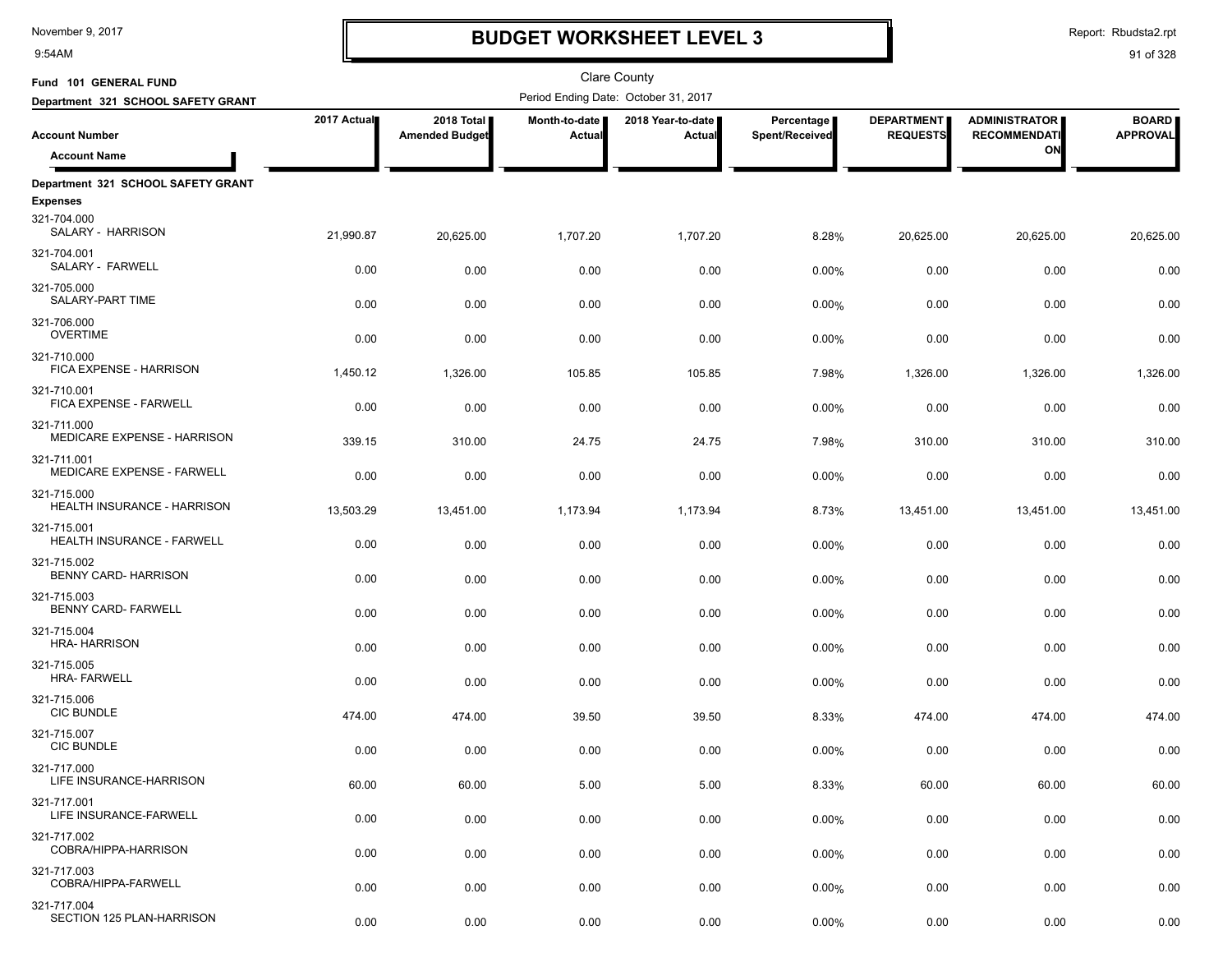9:54AM

## **BUDGET WORKSHEET LEVEL 3**

Report: Rbudsta2.rpt

| Fund 101 GENERAL FUND                               |             |                                     |                         | <b>Clare County</b>                  |                              |                                      |                                             |                                 |
|-----------------------------------------------------|-------------|-------------------------------------|-------------------------|--------------------------------------|------------------------------|--------------------------------------|---------------------------------------------|---------------------------------|
| Department 321 SCHOOL SAFETY GRANT                  |             |                                     |                         | Period Ending Date: October 31, 2017 |                              |                                      |                                             |                                 |
| <b>Account Number</b>                               | 2017 Actual | 2018 Total<br><b>Amended Budget</b> | Month-to-date<br>Actual | 2018 Year-to-date<br>Actual          | Percentage<br>Spent/Received | <b>DEPARTMENT</b><br><b>REQUESTS</b> | <b>ADMINISTRATOR</b><br><b>RECOMMENDATI</b> | <b>BOARD</b><br><b>APPROVAL</b> |
| <b>Account Name</b>                                 |             |                                     |                         |                                      |                              |                                      | ON                                          |                                 |
| Department 321 SCHOOL SAFETY GRANT                  |             |                                     |                         |                                      |                              |                                      |                                             |                                 |
| <b>Expenses</b><br>321-704.000<br>SALARY - HARRISON | 21,990.87   | 20,625.00                           | 1,707.20                | 1,707.20                             | 8.28%                        | 20,625.00                            | 20,625.00                                   | 20,625.00                       |
| 321-704.001<br>SALARY - FARWELL                     | 0.00        | 0.00                                | 0.00                    | 0.00                                 | 0.00%                        | 0.00                                 | 0.00                                        | 0.00                            |
| 321-705.000<br>SALARY-PART TIME                     | 0.00        | 0.00                                | 0.00                    | 0.00                                 | $0.00\%$                     | 0.00                                 | 0.00                                        | 0.00                            |
| 321-706.000<br><b>OVERTIME</b>                      | 0.00        | 0.00                                | 0.00                    | 0.00                                 | 0.00%                        | 0.00                                 | 0.00                                        | 0.00                            |
| 321-710.000<br>FICA EXPENSE - HARRISON              | 1,450.12    | 1,326.00                            | 105.85                  | 105.85                               | 7.98%                        | 1,326.00                             | 1,326.00                                    | 1,326.00                        |
| 321-710.001<br>FICA EXPENSE - FARWELL               | 0.00        | 0.00                                | 0.00                    | 0.00                                 | 0.00%                        | 0.00                                 | 0.00                                        | 0.00                            |
| 321-711.000<br>MEDICARE EXPENSE - HARRISON          | 339.15      | 310.00                              | 24.75                   | 24.75                                | 7.98%                        | 310.00                               | 310.00                                      | 310.00                          |
| 321-711.001<br><b>MEDICARE EXPENSE - FARWELL</b>    | 0.00        | 0.00                                | 0.00                    | 0.00                                 | 0.00%                        | 0.00                                 | 0.00                                        | 0.00                            |
| 321-715.000<br>HEALTH INSURANCE - HARRISON          | 13,503.29   | 13,451.00                           | 1,173.94                | 1,173.94                             | 8.73%                        | 13,451.00                            | 13,451.00                                   | 13,451.00                       |
| 321-715.001<br><b>HEALTH INSURANCE - FARWELL</b>    | 0.00        | 0.00                                | 0.00                    | 0.00                                 | 0.00%                        | 0.00                                 | 0.00                                        | 0.00                            |
| 321-715.002<br><b>BENNY CARD-HARRISON</b>           | 0.00        | 0.00                                | 0.00                    | 0.00                                 | 0.00%                        | 0.00                                 | 0.00                                        | 0.00                            |
| 321-715.003<br><b>BENNY CARD-FARWELL</b>            | 0.00        | 0.00                                | 0.00                    | 0.00                                 | 0.00%                        | 0.00                                 | 0.00                                        | 0.00                            |
| 321-715.004<br><b>HRA-HARRISON</b>                  | 0.00        | 0.00                                | 0.00                    | 0.00                                 | 0.00%                        | 0.00                                 | 0.00                                        | 0.00                            |
| 321-715.005<br><b>HRA-FARWELL</b>                   | 0.00        | 0.00                                | 0.00                    | 0.00                                 | 0.00%                        | 0.00                                 | 0.00                                        | 0.00                            |
| 321-715.006<br><b>CIC BUNDLE</b><br>321-715.007     | 474.00      | 474.00                              | 39.50                   | 39.50                                | 8.33%                        | 474.00                               | 474.00                                      | 474.00                          |
| <b>CIC BUNDLE</b>                                   | 0.00        | 0.00                                | 0.00                    | 0.00                                 | 0.00%                        | 0.00                                 | 0.00                                        | 0.00                            |
| 321-717.000<br>LIFE INSURANCE-HARRISON              | 60.00       | 60.00                               | 5.00                    | 5.00                                 | 8.33%                        | 60.00                                | 60.00                                       | 60.00                           |
| 321-717.001<br>LIFE INSURANCE-FARWELL               | 0.00        | 0.00                                | 0.00                    | 0.00                                 | 0.00%                        | 0.00                                 | 0.00                                        | 0.00                            |
| 321-717.002<br>COBRA/HIPPA-HARRISON                 | 0.00        | 0.00                                | 0.00                    | 0.00                                 | 0.00%                        | 0.00                                 | 0.00                                        | 0.00                            |
| 321-717.003<br>COBRA/HIPPA-FARWELL                  | 0.00        | 0.00                                | 0.00                    | 0.00                                 | 0.00%                        | 0.00                                 | 0.00                                        | 0.00                            |
| 321-717.004<br>SECTION 125 PLAN-HARRISON            | 0.00        | 0.00                                | 0.00                    | 0.00                                 | $0.00\%$                     | 0.00                                 | 0.00                                        | 0.00                            |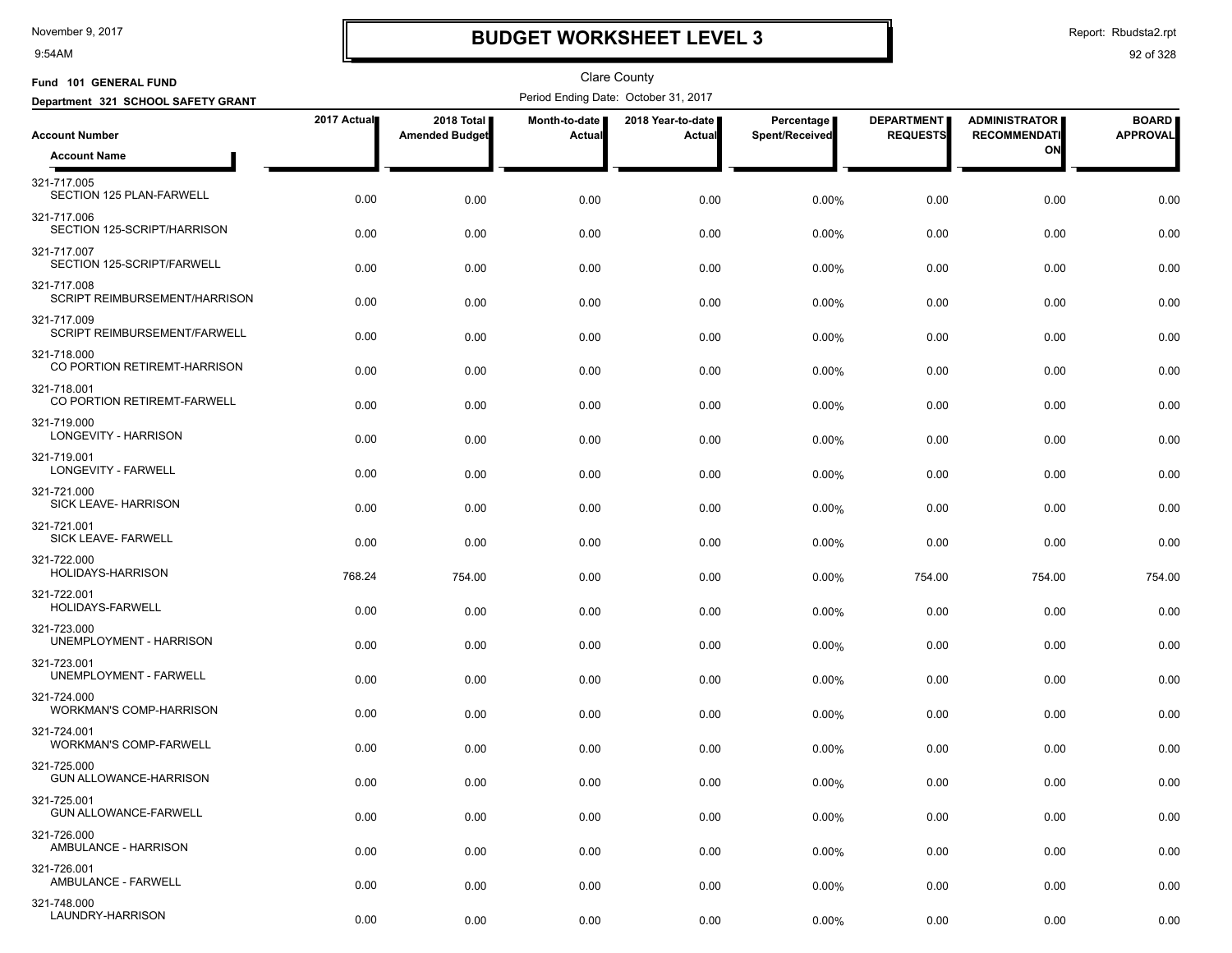9:54AM

# **BUDGET WORKSHEET LEVEL 3**

Report: Rbudsta2.rpt

| Fund 101 GENERAL FUND                        |             |                                     |                         | <b>Clare County</b>                  |                              |                                      |                                             |                                 |
|----------------------------------------------|-------------|-------------------------------------|-------------------------|--------------------------------------|------------------------------|--------------------------------------|---------------------------------------------|---------------------------------|
| Department 321 SCHOOL SAFETY GRANT           |             |                                     |                         | Period Ending Date: October 31, 2017 |                              |                                      |                                             |                                 |
| <b>Account Number</b>                        | 2017 Actual | 2018 Total<br><b>Amended Budget</b> | Month-to-date<br>Actual | 2018 Year-to-date<br>Actual          | Percentage<br>Spent/Received | <b>DEPARTMENT</b><br><b>REQUESTS</b> | <b>ADMINISTRATOR</b><br><b>RECOMMENDATI</b> | <b>BOARD</b><br><b>APPROVAL</b> |
| <b>Account Name</b>                          |             |                                     |                         |                                      |                              |                                      | ON                                          |                                 |
| 321-717.005<br>SECTION 125 PLAN-FARWELL      | 0.00        | 0.00                                | 0.00                    | 0.00                                 | 0.00%                        | 0.00                                 | 0.00                                        | 0.00                            |
| 321-717.006<br>SECTION 125-SCRIPT/HARRISON   | 0.00        | 0.00                                | 0.00                    | 0.00                                 | 0.00%                        | 0.00                                 | 0.00                                        | 0.00                            |
| 321-717.007<br>SECTION 125-SCRIPT/FARWELL    | 0.00        | 0.00                                | 0.00                    | 0.00                                 | 0.00%                        | 0.00                                 | 0.00                                        | 0.00                            |
| 321-717.008<br>SCRIPT REIMBURSEMENT/HARRISON | 0.00        | 0.00                                | 0.00                    | 0.00                                 | 0.00%                        | 0.00                                 | 0.00                                        | 0.00                            |
| 321-717.009<br>SCRIPT REIMBURSEMENT/FARWELL  | 0.00        | 0.00                                | 0.00                    | 0.00                                 | 0.00%                        | 0.00                                 | 0.00                                        | 0.00                            |
| 321-718.000<br>CO PORTION RETIREMT-HARRISON  | 0.00        | 0.00                                | 0.00                    | 0.00                                 | 0.00%                        | 0.00                                 | 0.00                                        | 0.00                            |
| 321-718.001<br>CO PORTION RETIREMT-FARWELL   | 0.00        | 0.00                                | 0.00                    | 0.00                                 | 0.00%                        | 0.00                                 | 0.00                                        | 0.00                            |
| 321-719.000<br>LONGEVITY - HARRISON          | 0.00        | 0.00                                | 0.00                    | 0.00                                 | 0.00%                        | 0.00                                 | 0.00                                        | 0.00                            |
| 321-719.001<br>LONGEVITY - FARWELL           | 0.00        | 0.00                                | 0.00                    | 0.00                                 | 0.00%                        | 0.00                                 | 0.00                                        | 0.00                            |
| 321-721.000<br>SICK LEAVE- HARRISON          | 0.00        | 0.00                                | 0.00                    | 0.00                                 | 0.00%                        | 0.00                                 | 0.00                                        | 0.00                            |
| 321-721.001<br>SICK LEAVE- FARWELL           | 0.00        | 0.00                                | 0.00                    | 0.00                                 | 0.00%                        | 0.00                                 | 0.00                                        | 0.00                            |
| 321-722.000<br>HOLIDAYS-HARRISON             | 768.24      | 754.00                              | 0.00                    | 0.00                                 | 0.00%                        | 754.00                               | 754.00                                      | 754.00                          |
| 321-722.001<br>HOLIDAYS-FARWELL              | 0.00        | 0.00                                | 0.00                    | 0.00                                 | 0.00%                        | 0.00                                 | 0.00                                        | 0.00                            |
| 321-723.000<br>UNEMPLOYMENT - HARRISON       | 0.00        | 0.00                                | 0.00                    | 0.00                                 | 0.00%                        | 0.00                                 | 0.00                                        | 0.00                            |
| 321-723.001<br>UNEMPLOYMENT - FARWELL        | 0.00        | 0.00                                | 0.00                    | 0.00                                 | 0.00%                        | 0.00                                 | 0.00                                        | 0.00                            |
| 321-724.000<br>WORKMAN'S COMP-HARRISON       | 0.00        | 0.00                                | 0.00                    | 0.00                                 | 0.00%                        | 0.00                                 | 0.00                                        | 0.00                            |
| 321-724.001<br><b>WORKMAN'S COMP-FARWELL</b> | 0.00        | 0.00                                | 0.00                    | 0.00                                 | 0.00%                        | 0.00                                 | 0.00                                        | 0.00                            |
| 321-725.000<br>GUN ALLOWANCE-HARRISON        | 0.00        | 0.00                                | 0.00                    | 0.00                                 | 0.00%                        | 0.00                                 | 0.00                                        | 0.00                            |
| 321-725.001<br>GUN ALLOWANCE-FARWELL         | 0.00        | 0.00                                | 0.00                    | 0.00                                 | 0.00%                        | 0.00                                 | 0.00                                        | 0.00                            |
| 321-726.000<br>AMBULANCE - HARRISON          | 0.00        | 0.00                                | 0.00                    | 0.00                                 | 0.00%                        | 0.00                                 | 0.00                                        | 0.00                            |
| 321-726.001<br>AMBULANCE - FARWELL           | 0.00        | 0.00                                | 0.00                    | 0.00                                 | 0.00%                        | 0.00                                 | 0.00                                        | 0.00                            |
| 321-748.000<br>LAUNDRY-HARRISON              | 0.00        | 0.00                                | 0.00                    | 0.00                                 | 0.00%                        | 0.00                                 | 0.00                                        | 0.00                            |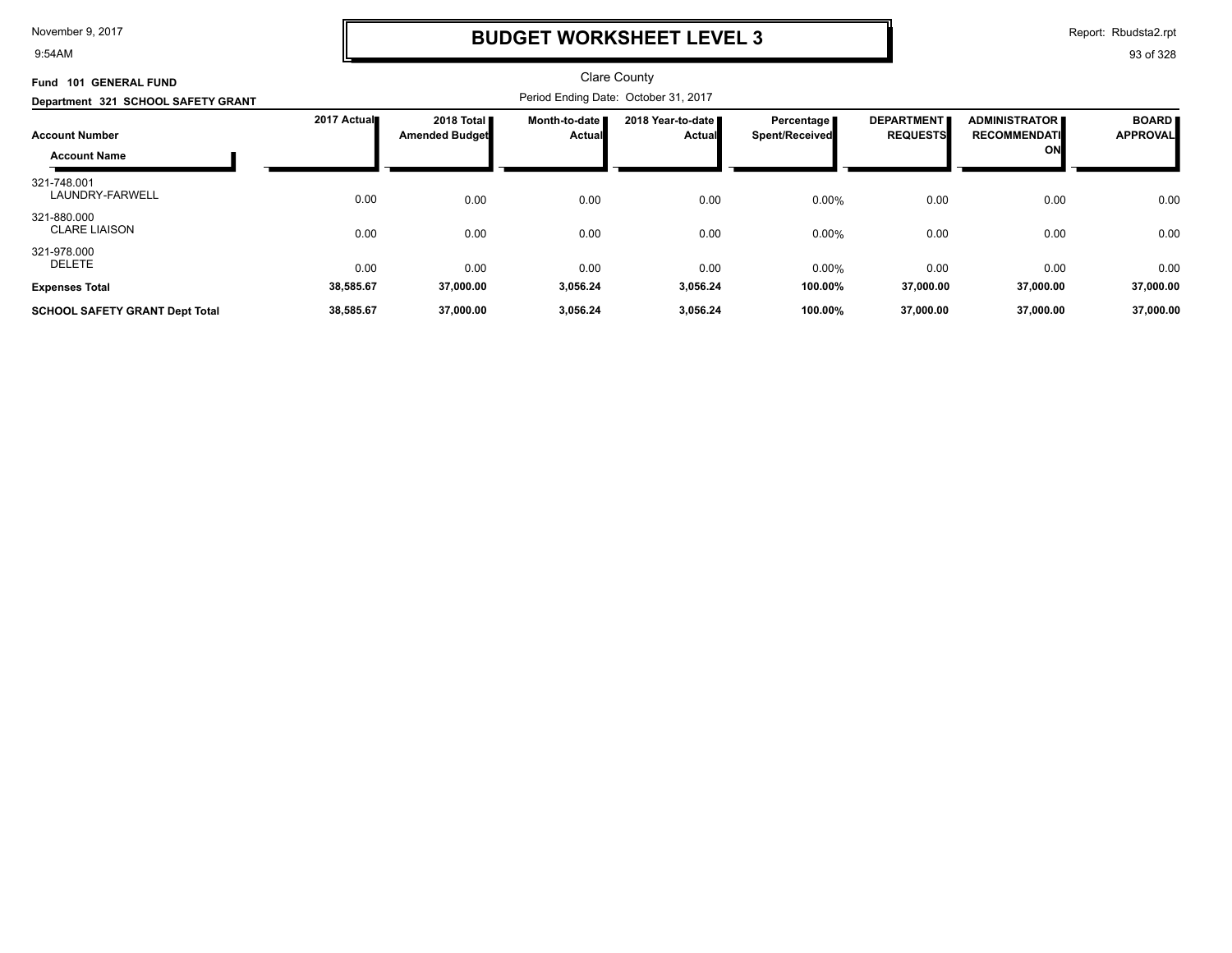9:54AM

## **BUDGET WORKSHEET LEVEL 3**

Report: Rbudsta2.rpt

| <b>GENERAL FUND</b><br>Fund 101       |             |                                      |                         | <b>Clare County</b>                |                                       |                                      |                                                   |                                 |  |
|---------------------------------------|-------------|--------------------------------------|-------------------------|------------------------------------|---------------------------------------|--------------------------------------|---------------------------------------------------|---------------------------------|--|
| Department 321 SCHOOL SAFETY GRANT    |             | Period Ending Date: October 31, 2017 |                         |                                    |                                       |                                      |                                                   |                                 |  |
| <b>Account Number</b>                 | 2017 Actual | 2018 Total<br><b>Amended Budget</b>  | Month-to-date<br>Actual | 2018 Year-to-date<br><b>Actual</b> | Percentage I<br><b>Spent/Received</b> | <b>DEPARTMENT</b><br><b>REQUESTS</b> | <b>ADMINISTRATOR</b><br><b>RECOMMENDATI</b><br>ON | <b>BOARD</b><br><b>APPROVAL</b> |  |
| <b>Account Name</b>                   |             |                                      |                         |                                    |                                       |                                      |                                                   |                                 |  |
| 321-748.001<br>LAUNDRY-FARWELL        | 0.00        | 0.00                                 | 0.00                    | 0.00                               | 0.00%                                 | 0.00                                 | 0.00                                              | 0.00                            |  |
| 321-880.000<br><b>CLARE LIAISON</b>   | 0.00        | 0.00                                 | 0.00                    | 0.00                               | 0.00%                                 | 0.00                                 | 0.00                                              | 0.00                            |  |
| 321-978.000<br>DELETE                 | 0.00        | 0.00                                 | 0.00                    | 0.00                               | 0.00%                                 | 0.00                                 | 0.00                                              | 0.00                            |  |
| <b>Expenses Total</b>                 | 38,585.67   | 37,000.00                            | 3,056.24                | 3,056.24                           | 100.00%                               | 37,000.00                            | 37,000.00                                         | 37,000.00                       |  |
| <b>SCHOOL SAFETY GRANT Dept Total</b> | 38,585.67   | 37,000.00                            | 3,056.24                | 3,056.24                           | 100.00%                               | 37,000.00                            | 37,000.00                                         | 37,000.00                       |  |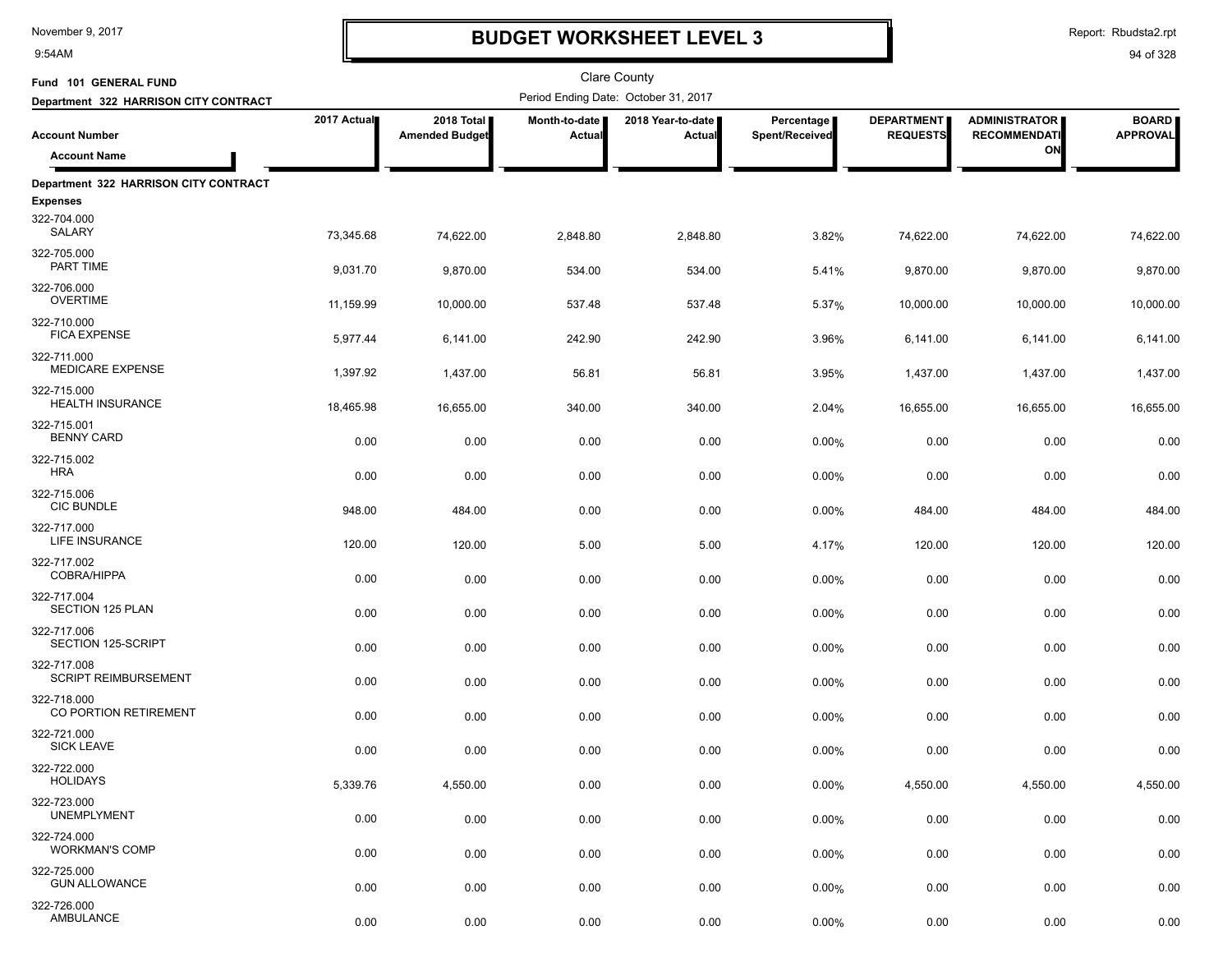9:54AM

# **BUDGET WORKSHEET LEVEL 3**

Report: Rbudsta2.rpt

| Fund 101 GENERAL FUND                      |             |                                     |                         | <b>Clare County</b>                  |                              |                                      |                                             |                                 |
|--------------------------------------------|-------------|-------------------------------------|-------------------------|--------------------------------------|------------------------------|--------------------------------------|---------------------------------------------|---------------------------------|
| Department 322 HARRISON CITY CONTRACT      |             |                                     |                         | Period Ending Date: October 31, 2017 |                              |                                      |                                             |                                 |
| <b>Account Number</b>                      | 2017 Actual | 2018 Total<br><b>Amended Budget</b> | Month-to-date<br>Actual | 2018 Year-to-date<br>Actual          | Percentage<br>Spent/Received | <b>DEPARTMENT</b><br><b>REQUESTS</b> | <b>ADMINISTRATOR</b><br><b>RECOMMENDATI</b> | <b>BOARD</b><br><b>APPROVAL</b> |
| <b>Account Name</b>                        |             |                                     |                         |                                      |                              |                                      | ON                                          |                                 |
| Department 322 HARRISON CITY CONTRACT      |             |                                     |                         |                                      |                              |                                      |                                             |                                 |
| <b>Expenses</b>                            |             |                                     |                         |                                      |                              |                                      |                                             |                                 |
| 322-704.000<br>SALARY                      | 73,345.68   | 74,622.00                           | 2,848.80                | 2,848.80                             | 3.82%                        | 74,622.00                            | 74,622.00                                   | 74,622.00                       |
| 322-705.000<br>PART TIME                   | 9,031.70    | 9,870.00                            | 534.00                  | 534.00                               | 5.41%                        | 9,870.00                             | 9,870.00                                    | 9,870.00                        |
| 322-706.000<br><b>OVERTIME</b>             | 11,159.99   | 10,000.00                           | 537.48                  | 537.48                               | 5.37%                        | 10,000.00                            | 10,000.00                                   | 10,000.00                       |
| 322-710.000<br><b>FICA EXPENSE</b>         | 5,977.44    | 6,141.00                            | 242.90                  | 242.90                               | 3.96%                        | 6,141.00                             | 6,141.00                                    | 6,141.00                        |
| 322-711.000<br><b>MEDICARE EXPENSE</b>     | 1,397.92    | 1,437.00                            | 56.81                   | 56.81                                | 3.95%                        | 1,437.00                             | 1,437.00                                    | 1,437.00                        |
| 322-715.000<br><b>HEALTH INSURANCE</b>     | 18,465.98   | 16,655.00                           | 340.00                  | 340.00                               | 2.04%                        | 16,655.00                            | 16,655.00                                   | 16,655.00                       |
| 322-715.001<br><b>BENNY CARD</b>           | 0.00        | 0.00                                | 0.00                    | 0.00                                 | 0.00%                        | 0.00                                 | 0.00                                        | 0.00                            |
| 322-715.002<br><b>HRA</b>                  | 0.00        | 0.00                                | 0.00                    | 0.00                                 | 0.00%                        | 0.00                                 | 0.00                                        | 0.00                            |
| 322-715.006<br><b>CIC BUNDLE</b>           | 948.00      | 484.00                              | 0.00                    | 0.00                                 | 0.00%                        | 484.00                               | 484.00                                      | 484.00                          |
| 322-717.000<br><b>LIFE INSURANCE</b>       | 120.00      | 120.00                              | 5.00                    | 5.00                                 | 4.17%                        | 120.00                               | 120.00                                      | 120.00                          |
| 322-717.002<br>COBRA/HIPPA                 | 0.00        | 0.00                                | 0.00                    | 0.00                                 | 0.00%                        | 0.00                                 | 0.00                                        | 0.00                            |
| 322-717.004<br>SECTION 125 PLAN            | 0.00        | 0.00                                | 0.00                    | 0.00                                 | 0.00%                        | 0.00                                 | 0.00                                        | 0.00                            |
| 322-717.006<br>SECTION 125-SCRIPT          | 0.00        | 0.00                                | 0.00                    | 0.00                                 | 0.00%                        | 0.00                                 | 0.00                                        | 0.00                            |
| 322-717.008<br><b>SCRIPT REIMBURSEMENT</b> | 0.00        | 0.00                                | 0.00                    | 0.00                                 | 0.00%                        | 0.00                                 | 0.00                                        | 0.00                            |
| 322-718.000<br>CO PORTION RETIREMENT       | 0.00        | 0.00                                | 0.00                    | 0.00                                 | 0.00%                        | 0.00                                 | 0.00                                        | 0.00                            |
| 322-721.000<br><b>SICK LEAVE</b>           | 0.00        | 0.00                                | 0.00                    | 0.00                                 | 0.00%                        | 0.00                                 | 0.00                                        | 0.00                            |
| 322-722.000<br><b>HOLIDAYS</b>             | 5,339.76    | 4,550.00                            | 0.00                    | 0.00                                 | 0.00%                        | 4,550.00                             | 4,550.00                                    | 4,550.00                        |
| 322-723.000<br><b>UNEMPLYMENT</b>          | 0.00        | 0.00                                | 0.00                    | 0.00                                 | 0.00%                        | 0.00                                 | 0.00                                        | 0.00                            |
| 322-724.000<br><b>WORKMAN'S COMP</b>       | 0.00        | 0.00                                | 0.00                    | 0.00                                 | 0.00%                        | 0.00                                 | 0.00                                        | 0.00                            |
| 322-725.000<br><b>GUN ALLOWANCE</b>        | 0.00        | 0.00                                | 0.00                    | 0.00                                 | 0.00%                        | 0.00                                 | 0.00                                        | 0.00                            |
| 322-726.000<br>AMBULANCE                   | 0.00        | 0.00                                | 0.00                    | 0.00                                 | 0.00%                        | 0.00                                 | 0.00                                        | 0.00                            |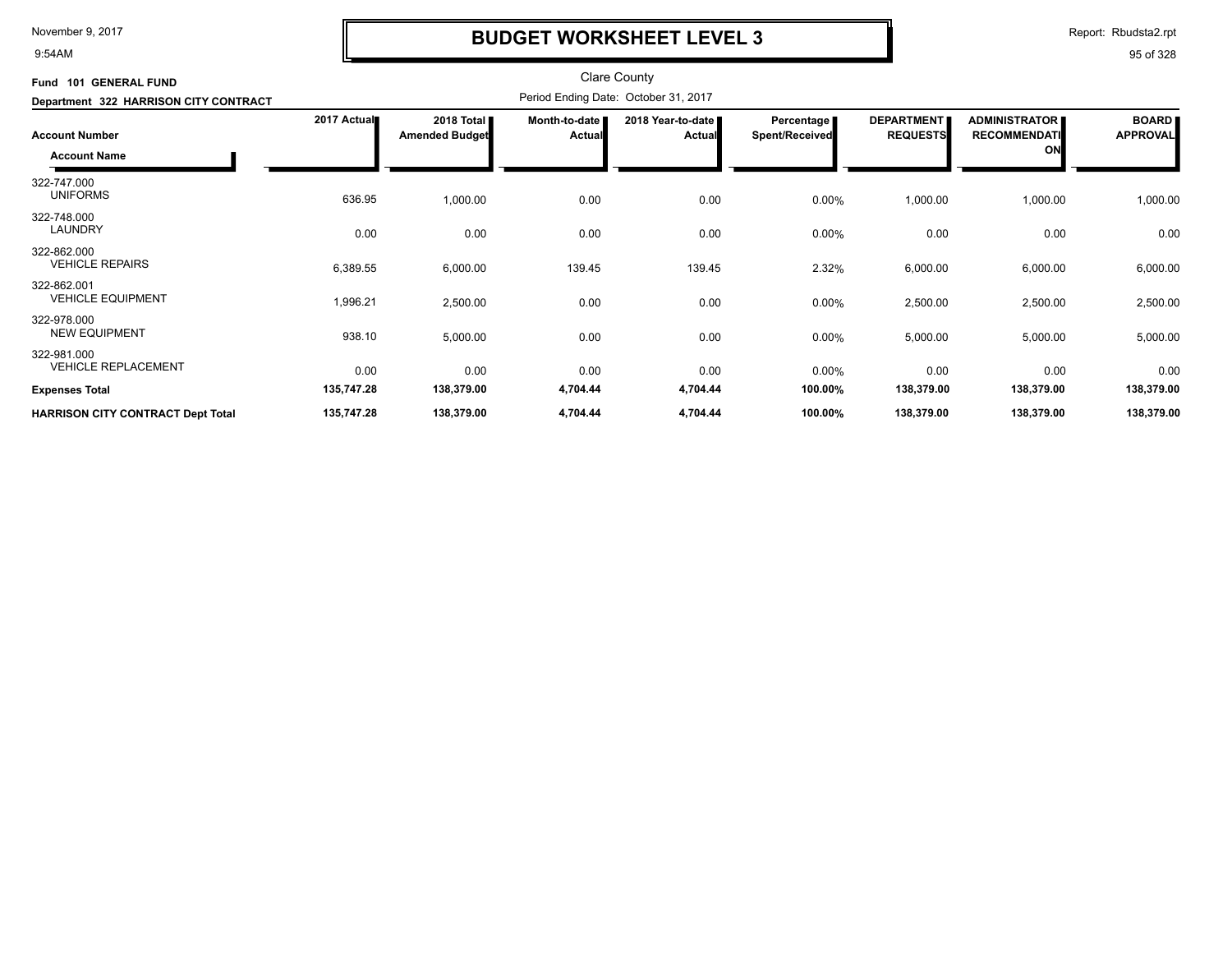9:54AM

# **BUDGET WORKSHEET LEVEL 3**

Report: Rbudsta2.rpt

| Fund 101 GENERAL FUND<br>Department 322 HARRISON CITY CONTRACT | <b>Clare County</b><br>Period Ending Date: October 31, 2017 |                                     |                                |                                    |                              |                                      |                                                   |                                 |
|----------------------------------------------------------------|-------------------------------------------------------------|-------------------------------------|--------------------------------|------------------------------------|------------------------------|--------------------------------------|---------------------------------------------------|---------------------------------|
| <b>Account Number</b><br><b>Account Name</b>                   | 2017 Actual                                                 | 2018 Total<br><b>Amended Budget</b> | Month-to-date<br><b>Actual</b> | 2018 Year-to-date<br><b>Actual</b> | Percentage<br>Spent/Received | <b>DEPARTMENT</b><br><b>REQUESTS</b> | <b>ADMINISTRATOR</b><br><b>RECOMMENDATI</b><br>ON | <b>BOARD</b><br><b>APPROVAL</b> |
| 322-747.000<br><b>UNIFORMS</b>                                 | 636.95                                                      | 1,000.00                            | 0.00                           | 0.00                               | 0.00%                        | 1,000.00                             | 1,000.00                                          | 1,000.00                        |
| 322-748.000<br><b>LAUNDRY</b>                                  | 0.00                                                        | 0.00                                | 0.00                           | 0.00                               | $0.00\%$                     | 0.00                                 | 0.00                                              | 0.00                            |
| 322-862.000<br><b>VEHICLE REPAIRS</b>                          | 6,389.55                                                    | 6,000.00                            | 139.45                         | 139.45                             | 2.32%                        | 6,000.00                             | 6,000.00                                          | 6,000.00                        |
| 322-862.001<br><b>VEHICLE EQUIPMENT</b>                        | 1,996.21                                                    | 2,500.00                            | 0.00                           | 0.00                               | 0.00%                        | 2,500.00                             | 2,500.00                                          | 2,500.00                        |
| 322-978.000<br><b>NEW EQUIPMENT</b>                            | 938.10                                                      | 5,000.00                            | 0.00                           | 0.00                               | 0.00%                        | 5,000.00                             | 5,000.00                                          | 5,000.00                        |
| 322-981.000<br><b>VEHICLE REPLACEMENT</b>                      | 0.00                                                        | 0.00                                | 0.00                           | 0.00                               | 0.00%                        | 0.00                                 | 0.00                                              | 0.00                            |
| <b>Expenses Total</b>                                          | 135,747.28                                                  | 138,379.00                          | 4,704.44                       | 4,704.44                           | 100.00%                      | 138,379.00                           | 138,379.00                                        | 138,379.00                      |
| <b>HARRISON CITY CONTRACT Dept Total</b>                       | 135,747.28                                                  | 138,379.00                          | 4,704.44                       | 4,704.44                           | 100.00%                      | 138,379.00                           | 138,379.00                                        | 138,379.00                      |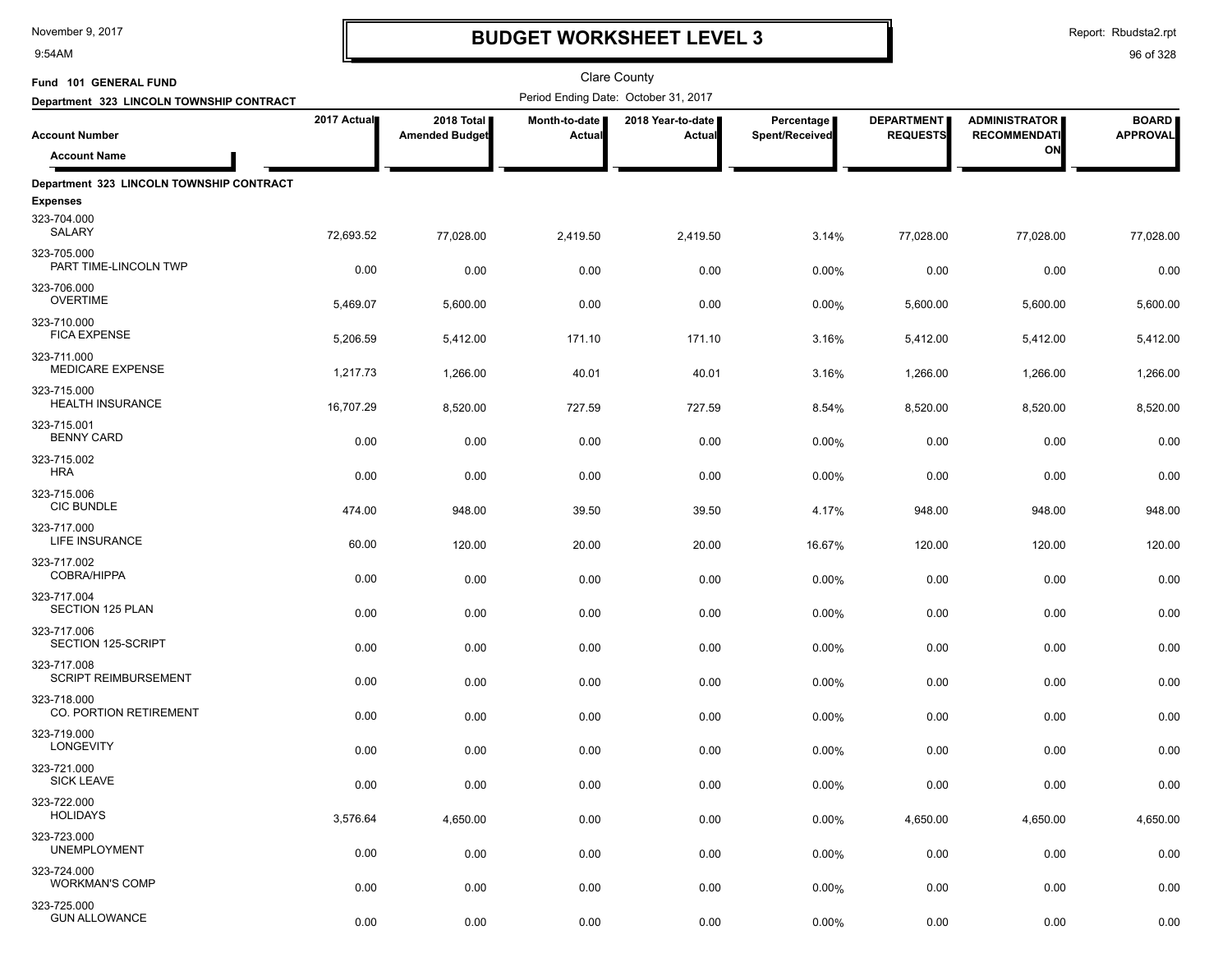9:54AM

## **BUDGET WORKSHEET LEVEL 3**

Report: Rbudsta2.rpt

| Fund 101 GENERAL FUND                      |             |                                     |                         | <b>Clare County</b>                  |                              |                                      |                                             |                                 |
|--------------------------------------------|-------------|-------------------------------------|-------------------------|--------------------------------------|------------------------------|--------------------------------------|---------------------------------------------|---------------------------------|
| Department 323 LINCOLN TOWNSHIP CONTRACT   |             |                                     |                         | Period Ending Date: October 31, 2017 |                              |                                      |                                             |                                 |
| <b>Account Number</b>                      | 2017 Actual | 2018 Total<br><b>Amended Budget</b> | Month-to-date<br>Actual | 2018 Year-to-date  <br>Actual        | Percentage<br>Spent/Received | <b>DEPARTMENT</b><br><b>REQUESTS</b> | <b>ADMINISTRATOR</b><br><b>RECOMMENDATI</b> | <b>BOARD</b><br><b>APPROVAL</b> |
| <b>Account Name</b>                        |             |                                     |                         |                                      |                              |                                      | ON                                          |                                 |
| Department 323 LINCOLN TOWNSHIP CONTRACT   |             |                                     |                         |                                      |                              |                                      |                                             |                                 |
| <b>Expenses</b>                            |             |                                     |                         |                                      |                              |                                      |                                             |                                 |
| 323-704.000<br>SALARY                      | 72,693.52   | 77.028.00                           | 2,419.50                | 2,419.50                             | 3.14%                        | 77,028.00                            | 77,028.00                                   | 77,028.00                       |
| 323-705.000<br>PART TIME-LINCOLN TWP       | 0.00        | 0.00                                | 0.00                    | 0.00                                 | 0.00%                        | 0.00                                 | 0.00                                        | 0.00                            |
| 323-706.000<br><b>OVERTIME</b>             | 5,469.07    | 5,600.00                            | 0.00                    | 0.00                                 | 0.00%                        | 5,600.00                             | 5,600.00                                    | 5,600.00                        |
| 323-710.000<br><b>FICA EXPENSE</b>         | 5,206.59    | 5,412.00                            | 171.10                  | 171.10                               | 3.16%                        | 5,412.00                             | 5,412.00                                    | 5,412.00                        |
| 323-711.000<br><b>MEDICARE EXPENSE</b>     | 1,217.73    | 1,266.00                            | 40.01                   | 40.01                                | 3.16%                        | 1,266.00                             | 1,266.00                                    | 1,266.00                        |
| 323-715.000<br><b>HEALTH INSURANCE</b>     | 16,707.29   | 8,520.00                            | 727.59                  | 727.59                               | 8.54%                        | 8,520.00                             | 8,520.00                                    | 8,520.00                        |
| 323-715.001<br><b>BENNY CARD</b>           | 0.00        | 0.00                                | 0.00                    | 0.00                                 | 0.00%                        | 0.00                                 | 0.00                                        | 0.00                            |
| 323-715.002<br><b>HRA</b>                  | 0.00        | 0.00                                | 0.00                    | 0.00                                 | 0.00%                        | 0.00                                 | 0.00                                        | 0.00                            |
| 323-715.006<br><b>CIC BUNDLE</b>           | 474.00      | 948.00                              | 39.50                   | 39.50                                | 4.17%                        | 948.00                               | 948.00                                      | 948.00                          |
| 323-717.000<br>LIFE INSURANCE              | 60.00       | 120.00                              | 20.00                   | 20.00                                | 16.67%                       | 120.00                               | 120.00                                      | 120.00                          |
| 323-717.002<br><b>COBRA/HIPPA</b>          | 0.00        | 0.00                                | 0.00                    | 0.00                                 | 0.00%                        | 0.00                                 | 0.00                                        | 0.00                            |
| 323-717.004<br>SECTION 125 PLAN            | 0.00        | 0.00                                | 0.00                    | 0.00                                 | 0.00%                        | 0.00                                 | 0.00                                        | 0.00                            |
| 323-717.006<br>SECTION 125-SCRIPT          | 0.00        | 0.00                                | 0.00                    | 0.00                                 | 0.00%                        | 0.00                                 | 0.00                                        | 0.00                            |
| 323-717.008<br><b>SCRIPT REIMBURSEMENT</b> | 0.00        | 0.00                                | 0.00                    | 0.00                                 | 0.00%                        | 0.00                                 | 0.00                                        | 0.00                            |
| 323-718.000<br>CO. PORTION RETIREMENT      | 0.00        | 0.00                                | 0.00                    | 0.00                                 | 0.00%                        | 0.00                                 | 0.00                                        | 0.00                            |
| 323-719.000<br><b>LONGEVITY</b>            | 0.00        | 0.00                                | 0.00                    | 0.00                                 | 0.00%                        | 0.00                                 | 0.00                                        | 0.00                            |
| 323-721.000<br><b>SICK LEAVE</b>           | 0.00        | 0.00                                | 0.00                    | 0.00                                 | 0.00%                        | 0.00                                 | 0.00                                        | 0.00                            |
| 323-722.000<br><b>HOLIDAYS</b>             | 3,576.64    | 4,650.00                            | 0.00                    | 0.00                                 | 0.00%                        | 4,650.00                             | 4,650.00                                    | 4,650.00                        |
| 323-723.000<br><b>UNEMPLOYMENT</b>         | 0.00        | 0.00                                | 0.00                    | 0.00                                 | 0.00%                        | 0.00                                 | 0.00                                        | 0.00                            |
| 323-724.000<br><b>WORKMAN'S COMP</b>       | 0.00        | 0.00                                | 0.00                    | 0.00                                 | 0.00%                        | 0.00                                 | 0.00                                        | 0.00                            |
| 323-725.000<br><b>GUN ALLOWANCE</b>        | 0.00        | 0.00                                | 0.00                    | 0.00                                 | $0.00\%$                     | 0.00                                 | 0.00                                        | 0.00                            |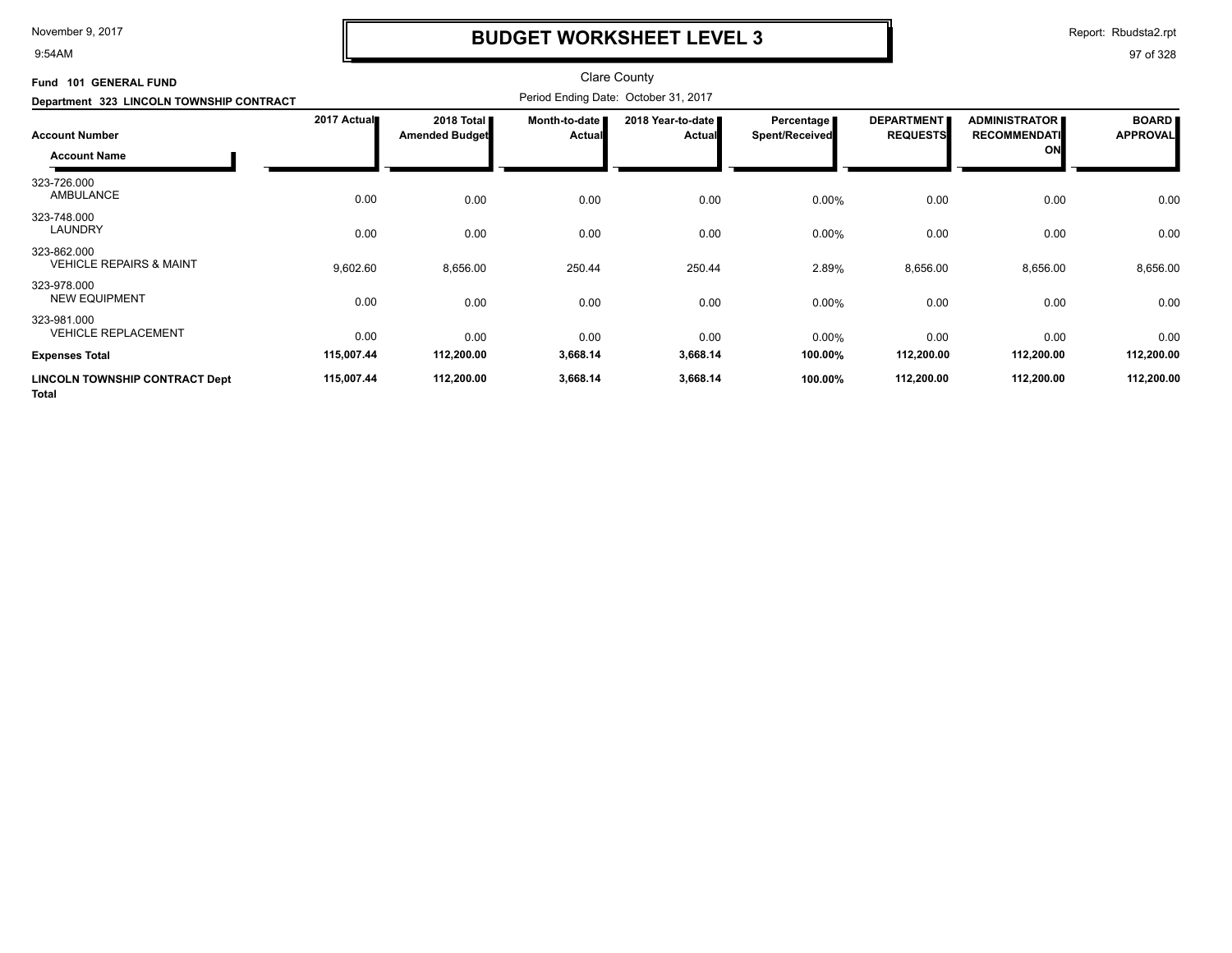9:54AM

# **BUDGET WORKSHEET LEVEL 3**

Report: Rbudsta2.rpt

| Fund 101 GENERAL FUND                                 |             |                                     |                           | <b>Clare County</b>                  |                              |                                      |                                                   |                                 |
|-------------------------------------------------------|-------------|-------------------------------------|---------------------------|--------------------------------------|------------------------------|--------------------------------------|---------------------------------------------------|---------------------------------|
| Department 323 LINCOLN TOWNSHIP CONTRACT              |             |                                     |                           | Period Ending Date: October 31, 2017 |                              |                                      |                                                   |                                 |
| <b>Account Number</b><br><b>Account Name</b>          | 2017 Actual | 2018 Total<br><b>Amended Budget</b> | Month-to-date I<br>Actual | 2018 Year-to-date<br><b>Actual</b>   | Percentage<br>Spent/Received | <b>DEPARTMENT</b><br><b>REQUESTS</b> | <b>ADMINISTRATOR</b><br><b>RECOMMENDATI</b><br>ON | <b>BOARD</b><br><b>APPROVAL</b> |
| 323-726.000<br>AMBULANCE                              | 0.00        | 0.00                                | 0.00                      | 0.00                                 | 0.00%                        | 0.00                                 | 0.00                                              | 0.00                            |
| 323-748.000<br><b>LAUNDRY</b>                         | 0.00        | 0.00                                | 0.00                      | 0.00                                 | 0.00%                        | 0.00                                 | 0.00                                              | 0.00                            |
| 323-862.000<br><b>VEHICLE REPAIRS &amp; MAINT</b>     | 9,602.60    | 8,656.00                            | 250.44                    | 250.44                               | 2.89%                        | 8,656.00                             | 8,656.00                                          | 8,656.00                        |
| 323-978.000<br><b>NEW EQUIPMENT</b>                   | 0.00        | 0.00                                | 0.00                      | 0.00                                 | 0.00%                        | 0.00                                 | 0.00                                              | 0.00                            |
| 323-981.000<br><b>VEHICLE REPLACEMENT</b>             | 0.00        | 0.00                                | 0.00                      | 0.00                                 | 0.00%                        | 0.00                                 | 0.00                                              | 0.00                            |
| <b>Expenses Total</b>                                 | 115,007.44  | 112,200.00                          | 3,668.14                  | 3,668.14                             | 100.00%                      | 112,200.00                           | 112,200.00                                        | 112,200.00                      |
| <b>LINCOLN TOWNSHIP CONTRACT Dept</b><br><b>Total</b> | 115,007.44  | 112,200.00                          | 3,668.14                  | 3,668.14                             | 100.00%                      | 112,200.00                           | 112,200.00                                        | 112,200.00                      |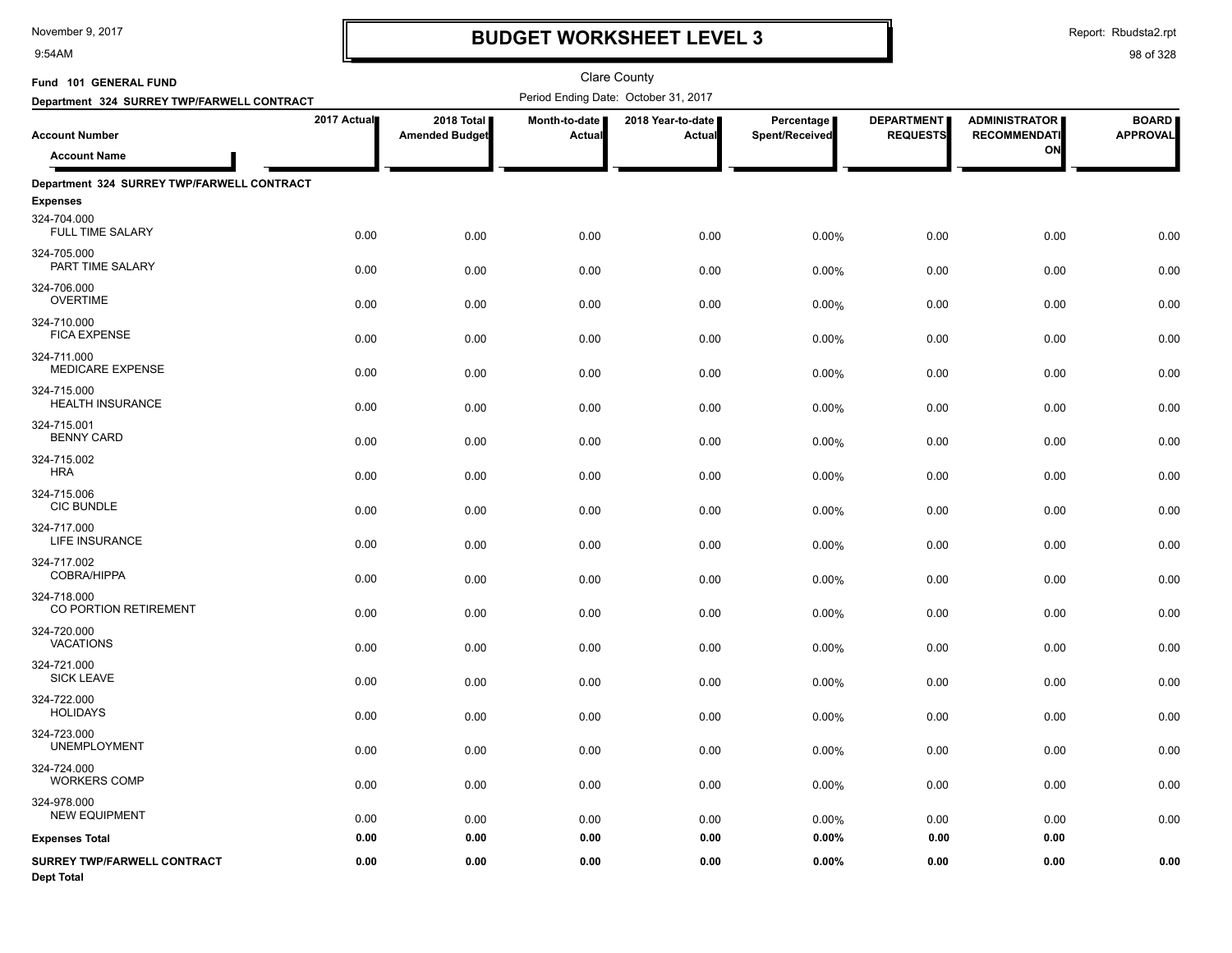9:54AM

# **BUDGET WORKSHEET LEVEL 3**

Report: Rbudsta2.rpt

| Fund 101 GENERAL FUND                            |             |                                     |                        | <b>Clare County</b>                  |                              |                                      |                                             |                                 |
|--------------------------------------------------|-------------|-------------------------------------|------------------------|--------------------------------------|------------------------------|--------------------------------------|---------------------------------------------|---------------------------------|
| Department 324 SURREY TWP/FARWELL CONTRACT       |             |                                     |                        | Period Ending Date: October 31, 2017 |                              |                                      |                                             |                                 |
| <b>Account Number</b>                            | 2017 Actual | 2018 Total<br><b>Amended Budget</b> | Month-to-date<br>Actua | 2018 Year-to-date<br><b>Actual</b>   | Percentage<br>Spent/Received | <b>DEPARTMENT</b><br><b>REQUESTS</b> | <b>ADMINISTRATOR</b><br><b>RECOMMENDATI</b> | <b>BOARD</b><br><b>APPROVAL</b> |
| <b>Account Name</b>                              |             |                                     |                        |                                      |                              |                                      | ON                                          |                                 |
| Department 324 SURREY TWP/FARWELL CONTRACT       |             |                                     |                        |                                      |                              |                                      |                                             |                                 |
| <b>Expenses</b>                                  |             |                                     |                        |                                      |                              |                                      |                                             |                                 |
| 324-704.000<br><b>FULL TIME SALARY</b>           | 0.00        | 0.00                                | 0.00                   | 0.00                                 | 0.00%                        | 0.00                                 | 0.00                                        | 0.00                            |
| 324-705.000<br>PART TIME SALARY                  | 0.00        | 0.00                                | 0.00                   | 0.00                                 | 0.00%                        | 0.00                                 | 0.00                                        | 0.00                            |
| 324-706.000<br><b>OVERTIME</b>                   | 0.00        | 0.00                                | 0.00                   | 0.00                                 | 0.00%                        | 0.00                                 | 0.00                                        | 0.00                            |
| 324-710.000<br><b>FICA EXPENSE</b>               | 0.00        | 0.00                                | 0.00                   | 0.00                                 | 0.00%                        | 0.00                                 | 0.00                                        | 0.00                            |
| 324-711.000<br><b>MEDICARE EXPENSE</b>           | 0.00        | 0.00                                | 0.00                   | 0.00                                 | 0.00%                        | 0.00                                 | 0.00                                        | 0.00                            |
| 324-715.000<br><b>HEALTH INSURANCE</b>           | 0.00        | 0.00                                | 0.00                   | 0.00                                 | 0.00%                        | 0.00                                 | 0.00                                        | 0.00                            |
| 324-715.001<br><b>BENNY CARD</b>                 | 0.00        | 0.00                                | 0.00                   | 0.00                                 | 0.00%                        | 0.00                                 | 0.00                                        | 0.00                            |
| 324-715.002<br><b>HRA</b>                        | 0.00        | 0.00                                | 0.00                   | 0.00                                 | 0.00%                        | 0.00                                 | 0.00                                        | 0.00                            |
| 324-715.006<br><b>CIC BUNDLE</b>                 | 0.00        | 0.00                                | 0.00                   | 0.00                                 | 0.00%                        | 0.00                                 | 0.00                                        | 0.00                            |
| 324-717.000<br><b>LIFE INSURANCE</b>             | 0.00        | 0.00                                | 0.00                   | 0.00                                 | 0.00%                        | 0.00                                 | 0.00                                        | 0.00                            |
| 324-717.002<br>COBRA/HIPPA                       | 0.00        | 0.00                                | 0.00                   | 0.00                                 | 0.00%                        | 0.00                                 | 0.00                                        | 0.00                            |
| 324-718.000<br>CO PORTION RETIREMENT             | 0.00        | 0.00                                | 0.00                   | 0.00                                 | 0.00%                        | 0.00                                 | 0.00                                        | 0.00                            |
| 324-720.000<br><b>VACATIONS</b>                  | 0.00        | 0.00                                | 0.00                   | 0.00                                 | 0.00%                        | 0.00                                 | 0.00                                        | 0.00                            |
| 324-721.000<br><b>SICK LEAVE</b>                 | 0.00        | 0.00                                | 0.00                   | 0.00                                 | 0.00%                        | 0.00                                 | 0.00                                        | 0.00                            |
| 324-722.000<br><b>HOLIDAYS</b>                   | 0.00        | 0.00                                | 0.00                   | 0.00                                 | 0.00%                        | 0.00                                 | 0.00                                        | 0.00                            |
| 324-723.000<br><b>UNEMPLOYMENT</b>               | 0.00        | 0.00                                | 0.00                   | 0.00                                 | 0.00%                        | 0.00                                 | 0.00                                        | 0.00                            |
| 324-724.000<br><b>WORKERS COMP</b>               | 0.00        | 0.00                                | 0.00                   | 0.00                                 | 0.00%                        | 0.00                                 | 0.00                                        | 0.00                            |
| 324-978.000<br><b>NEW EQUIPMENT</b>              | 0.00        | 0.00                                | 0.00                   | 0.00                                 | 0.00%                        | 0.00                                 | 0.00                                        | 0.00                            |
| <b>Expenses Total</b>                            | 0.00        | 0.00                                | 0.00                   | 0.00                                 | 0.00%                        | 0.00                                 | 0.00                                        |                                 |
| SURREY TWP/FARWELL CONTRACT<br><b>Dept Total</b> | 0.00        | 0.00                                | 0.00                   | 0.00                                 | 0.00%                        | 0.00                                 | 0.00                                        | 0.00                            |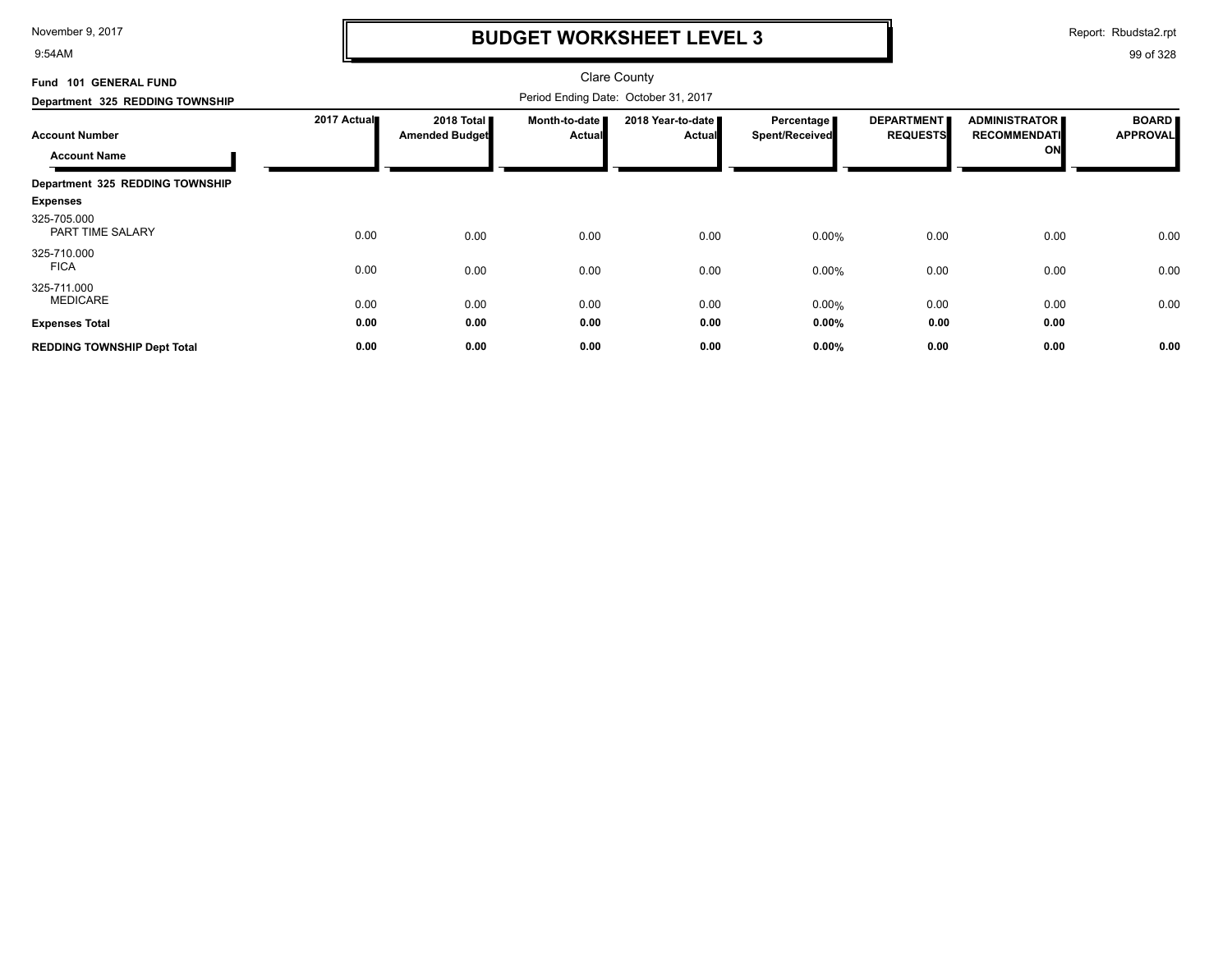9:54AM

## **BUDGET WORKSHEET LEVEL 3**

Report: Rbudsta2.rpt

| Fund 101 GENERAL FUND                        |             |                                               |                                | <b>Clare County</b>                  |                                     |                                      |                                                   |                                 |
|----------------------------------------------|-------------|-----------------------------------------------|--------------------------------|--------------------------------------|-------------------------------------|--------------------------------------|---------------------------------------------------|---------------------------------|
| Department 325 REDDING TOWNSHIP              |             |                                               |                                |                                      |                                     |                                      |                                                   |                                 |
| <b>Account Number</b><br><b>Account Name</b> | 2017 Actual | 2018 Total <b>II</b><br><b>Amended Budget</b> | Month-to-date<br><b>Actual</b> | 2018 Year-to-date ■<br><b>Actual</b> | <b>Percentage</b><br>Spent/Received | <b>DEPARTMENT</b><br><b>REQUESTS</b> | <b>ADMINISTRATOR</b><br><b>RECOMMENDATI</b><br>ON | <b>BOARD</b><br><b>APPROVAL</b> |
| Department 325 REDDING TOWNSHIP              |             |                                               |                                |                                      |                                     |                                      |                                                   |                                 |
| <b>Expenses</b>                              |             |                                               |                                |                                      |                                     |                                      |                                                   |                                 |
| 325-705.000<br>PART TIME SALARY              | 0.00        | 0.00                                          | 0.00                           | 0.00                                 | 0.00%                               | 0.00                                 | 0.00                                              | 0.00                            |
| 325-710.000<br><b>FICA</b>                   | 0.00        | 0.00                                          | 0.00                           | 0.00                                 | 0.00%                               | 0.00                                 | 0.00                                              | 0.00                            |
| 325-711.000<br><b>MEDICARE</b>               | 0.00        | 0.00                                          | 0.00                           | 0.00                                 | 0.00%                               | 0.00                                 | 0.00                                              | 0.00                            |
| <b>Expenses Total</b>                        | 0.00        | 0.00                                          | 0.00                           | 0.00                                 | 0.00%                               | 0.00                                 | 0.00                                              |                                 |
| <b>REDDING TOWNSHIP Dept Total</b>           | 0.00        | 0.00                                          | 0.00                           | 0.00                                 | 0.00%                               | 0.00                                 | 0.00                                              | 0.00                            |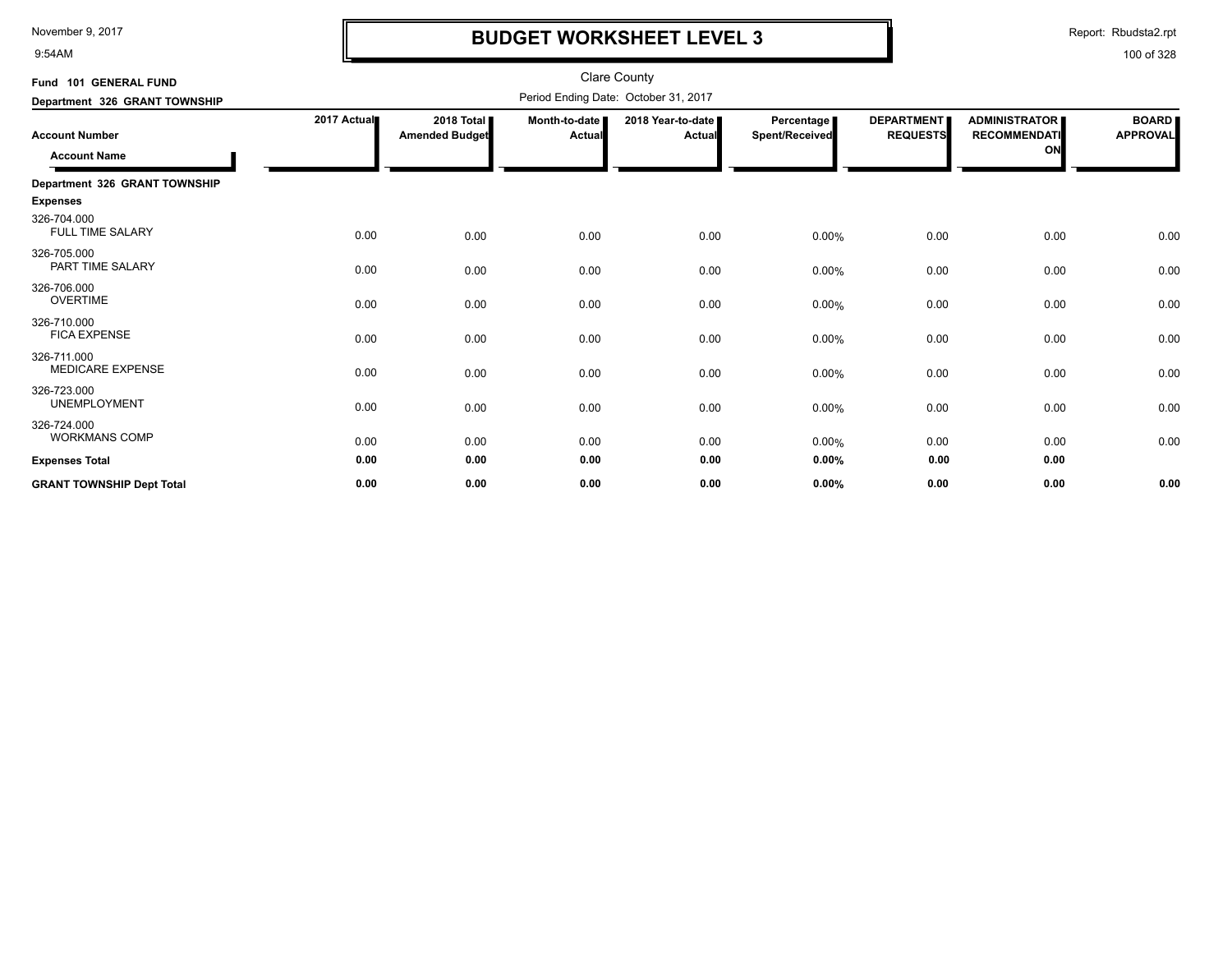9:54AM

# **BUDGET WORKSHEET LEVEL 3**

Report: Rbudsta2.rpt

| Fund 101 GENERAL FUND                        |             |                                     |                                | <b>Clare County</b>                  |                              |                                      |                                                   |                                 |
|----------------------------------------------|-------------|-------------------------------------|--------------------------------|--------------------------------------|------------------------------|--------------------------------------|---------------------------------------------------|---------------------------------|
| Department 326 GRANT TOWNSHIP                |             |                                     |                                | Period Ending Date: October 31, 2017 |                              |                                      |                                                   |                                 |
| <b>Account Number</b><br><b>Account Name</b> | 2017 Actual | 2018 Total<br><b>Amended Budget</b> | Month-to-date<br><b>Actual</b> | 2018 Year-to-date  <br><b>Actual</b> | Percentage<br>Spent/Received | <b>DEPARTMENT</b><br><b>REQUESTS</b> | <b>ADMINISTRATOR</b><br><b>RECOMMENDATI</b><br>ON | <b>BOARD</b><br><b>APPROVAL</b> |
| Department 326 GRANT TOWNSHIP                |             |                                     |                                |                                      |                              |                                      |                                                   |                                 |
| <b>Expenses</b>                              |             |                                     |                                |                                      |                              |                                      |                                                   |                                 |
| 326-704.000<br><b>FULL TIME SALARY</b>       | 0.00        | 0.00                                | 0.00                           | 0.00                                 | 0.00%                        | 0.00                                 | 0.00                                              | 0.00                            |
| 326-705.000<br>PART TIME SALARY              | 0.00        | 0.00                                | 0.00                           | 0.00                                 | 0.00%                        | 0.00                                 | 0.00                                              | 0.00                            |
| 326-706.000<br><b>OVERTIME</b>               | 0.00        | 0.00                                | 0.00                           | 0.00                                 | 0.00%                        | 0.00                                 | 0.00                                              | 0.00                            |
| 326-710.000<br><b>FICA EXPENSE</b>           | 0.00        | 0.00                                | 0.00                           | 0.00                                 | 0.00%                        | 0.00                                 | 0.00                                              | 0.00                            |
| 326-711.000<br><b>MEDICARE EXPENSE</b>       | 0.00        | 0.00                                | 0.00                           | 0.00                                 | 0.00%                        | 0.00                                 | 0.00                                              | 0.00                            |
| 326-723.000<br><b>UNEMPLOYMENT</b>           | 0.00        | 0.00                                | 0.00                           | 0.00                                 | 0.00%                        | 0.00                                 | 0.00                                              | 0.00                            |
| 326-724.000<br><b>WORKMANS COMP</b>          | 0.00        | 0.00                                | 0.00                           | 0.00                                 | 0.00%                        | 0.00                                 | 0.00                                              | 0.00                            |
| <b>Expenses Total</b>                        | 0.00        | 0.00                                | 0.00                           | 0.00                                 | 0.00%                        | 0.00                                 | 0.00                                              |                                 |
| <b>GRANT TOWNSHIP Dept Total</b>             | 0.00        | 0.00                                | 0.00                           | 0.00                                 | 0.00%                        | 0.00                                 | 0.00                                              | 0.00                            |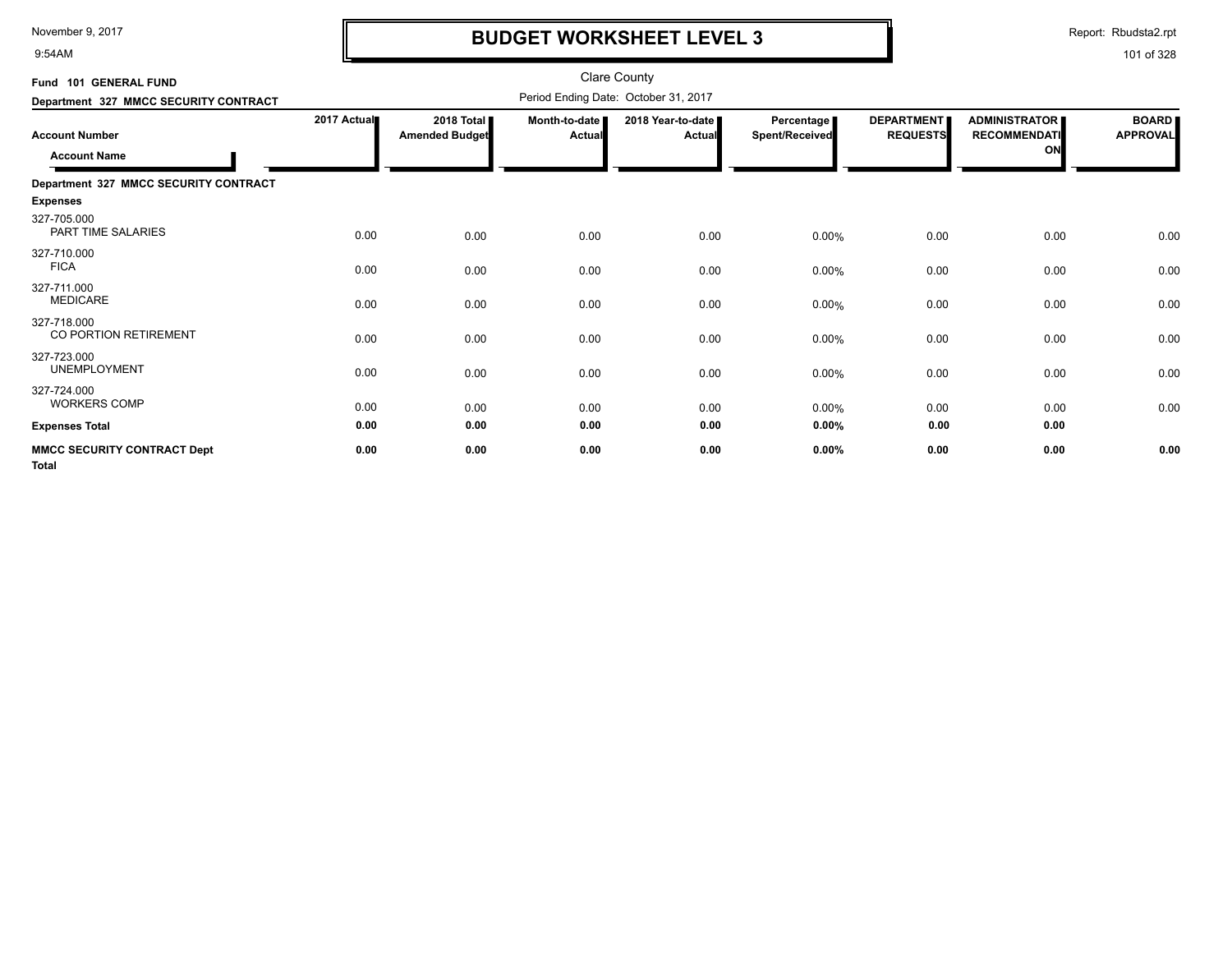9:54AM

## **BUDGET WORKSHEET LEVEL 3**

Report: Rbudsta2.rpt

| Fund 101 GENERAL FUND                              |             |                                     |                                | <b>Clare County</b>                  |                                     |                                      |                                                   |                                 |
|----------------------------------------------------|-------------|-------------------------------------|--------------------------------|--------------------------------------|-------------------------------------|--------------------------------------|---------------------------------------------------|---------------------------------|
| Department 327 MMCC SECURITY CONTRACT              |             |                                     |                                | Period Ending Date: October 31, 2017 |                                     |                                      |                                                   |                                 |
| <b>Account Number</b><br><b>Account Name</b>       | 2017 Actual | 2018 Total<br><b>Amended Budget</b> | Month-to-date<br><b>Actual</b> | 2018 Year-to-date<br>Actual          | <b>Percentage</b><br>Spent/Received | <b>DEPARTMENT</b><br><b>REQUESTS</b> | <b>ADMINISTRATOR</b><br><b>RECOMMENDATI</b><br>ON | <b>BOARD</b><br><b>APPROVAL</b> |
| Department 327 MMCC SECURITY CONTRACT              |             |                                     |                                |                                      |                                     |                                      |                                                   |                                 |
| <b>Expenses</b>                                    |             |                                     |                                |                                      |                                     |                                      |                                                   |                                 |
| 327-705.000<br>PART TIME SALARIES                  | 0.00        | 0.00                                | 0.00                           | 0.00                                 | $0.00\%$                            | 0.00                                 | 0.00                                              | 0.00                            |
| 327-710.000<br><b>FICA</b>                         | 0.00        | 0.00                                | 0.00                           | 0.00                                 | 0.00%                               | 0.00                                 | 0.00                                              | 0.00                            |
| 327-711.000<br><b>MEDICARE</b>                     | 0.00        | 0.00                                | 0.00                           | 0.00                                 | 0.00%                               | 0.00                                 | 0.00                                              | 0.00                            |
| 327-718.000<br>CO PORTION RETIREMENT               | 0.00        | 0.00                                | 0.00                           | 0.00                                 | $0.00\%$                            | 0.00                                 | 0.00                                              | 0.00                            |
| 327-723.000<br><b>UNEMPLOYMENT</b>                 | 0.00        | 0.00                                | 0.00                           | 0.00                                 | 0.00%                               | 0.00                                 | 0.00                                              | 0.00                            |
| 327-724.000<br><b>WORKERS COMP</b>                 | 0.00        | 0.00                                | 0.00                           | 0.00                                 | $0.00\%$                            | 0.00                                 | 0.00                                              | 0.00                            |
| <b>Expenses Total</b>                              | 0.00        | 0.00                                | 0.00                           | 0.00                                 | 0.00%                               | 0.00                                 | 0.00                                              |                                 |
| <b>MMCC SECURITY CONTRACT Dept</b><br><b>Total</b> | 0.00        | 0.00                                | 0.00                           | 0.00                                 | 0.00%                               | 0.00                                 | 0.00                                              | 0.00                            |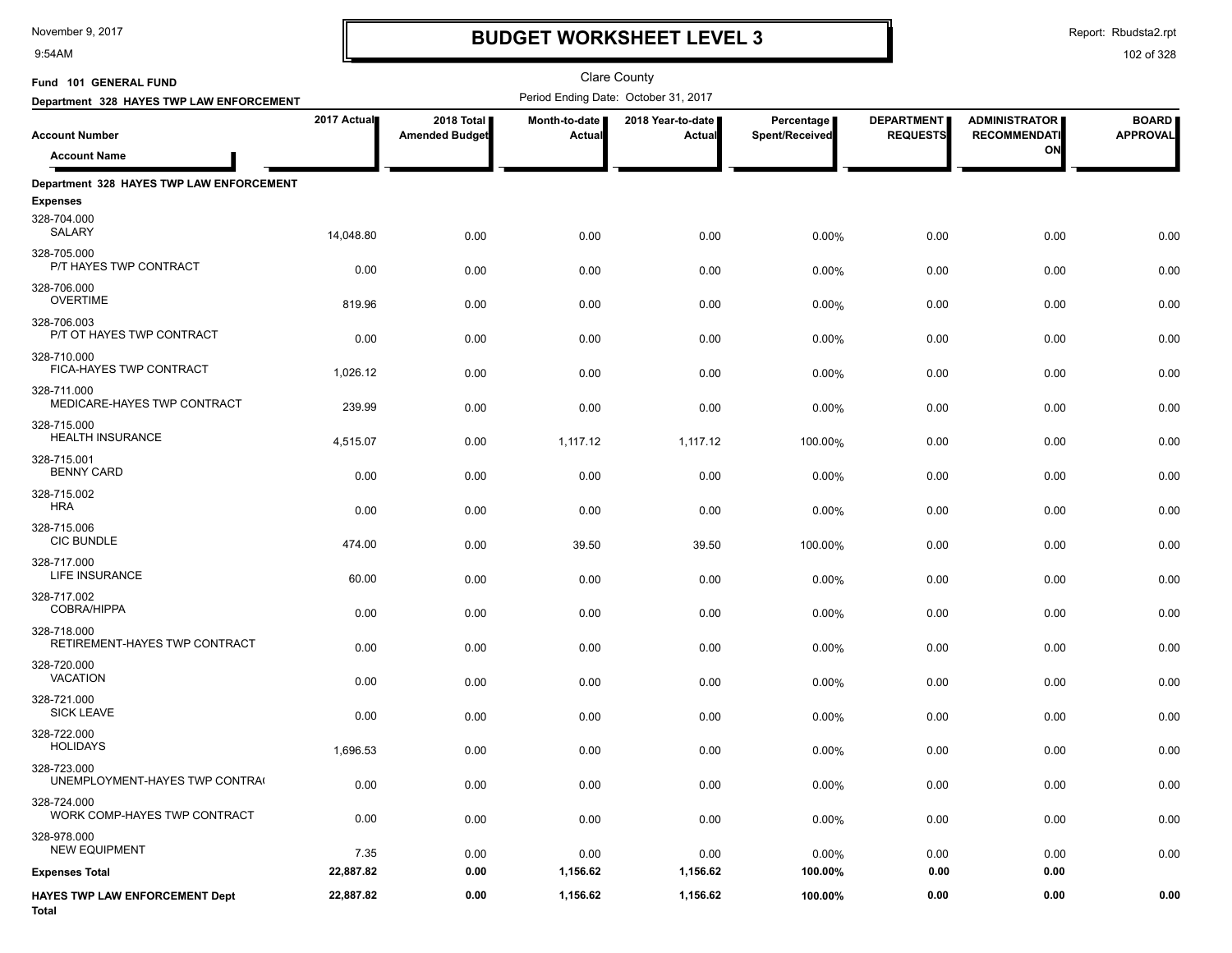9:54AM

## **BUDGET WORKSHEET LEVEL 3**

Clare County

Report: Rbudsta2.rpt

| Fund 101 GENERAL FUND                        |             |                                     |                         | <b>Clare County</b>                  |                                     |                                      |                                             |                                 |
|----------------------------------------------|-------------|-------------------------------------|-------------------------|--------------------------------------|-------------------------------------|--------------------------------------|---------------------------------------------|---------------------------------|
| Department 328 HAYES TWP LAW ENFORCEMENT     |             |                                     |                         | Period Ending Date: October 31, 2017 |                                     |                                      |                                             |                                 |
| <b>Account Number</b>                        | 2017 Actual | 2018 Total<br><b>Amended Budget</b> | Month-to-date<br>Actual | 2018 Year-to-date<br>Actual          | Percentage<br><b>Spent/Received</b> | <b>DEPARTMENT</b><br><b>REQUESTS</b> | <b>ADMINISTRATOR</b><br><b>RECOMMENDATI</b> | <b>BOARD</b><br><b>APPROVAL</b> |
| <b>Account Name</b>                          |             |                                     |                         |                                      |                                     |                                      | ON                                          |                                 |
| Department 328 HAYES TWP LAW ENFORCEMENT     |             |                                     |                         |                                      |                                     |                                      |                                             |                                 |
| <b>Expenses</b>                              |             |                                     |                         |                                      |                                     |                                      |                                             |                                 |
| 328-704.000<br>SALARY                        | 14,048.80   | 0.00                                | 0.00                    | 0.00                                 | 0.00%                               | 0.00                                 | 0.00                                        | 0.00                            |
| 328-705.000<br>P/T HAYES TWP CONTRACT        | 0.00        | 0.00                                | 0.00                    | 0.00                                 | 0.00%                               | 0.00                                 | 0.00                                        | 0.00                            |
| 328-706.000<br><b>OVERTIME</b>               | 819.96      | 0.00                                | 0.00                    | 0.00                                 | 0.00%                               | 0.00                                 | 0.00                                        | 0.00                            |
| 328-706.003<br>P/T OT HAYES TWP CONTRACT     | 0.00        | 0.00                                | 0.00                    | 0.00                                 | 0.00%                               | 0.00                                 | 0.00                                        | 0.00                            |
| 328-710.000<br>FICA-HAYES TWP CONTRACT       | 1,026.12    | 0.00                                | 0.00                    | 0.00                                 | 0.00%                               | 0.00                                 | 0.00                                        | 0.00                            |
| 328-711.000<br>MEDICARE-HAYES TWP CONTRACT   | 239.99      | 0.00                                | 0.00                    | 0.00                                 | 0.00%                               | 0.00                                 | 0.00                                        | 0.00                            |
| 328-715.000<br><b>HEALTH INSURANCE</b>       | 4,515.07    | 0.00                                | 1,117.12                | 1,117.12                             | 100.00%                             | 0.00                                 | 0.00                                        | 0.00                            |
| 328-715.001<br><b>BENNY CARD</b>             | 0.00        | 0.00                                | 0.00                    | 0.00                                 | 0.00%                               | 0.00                                 | 0.00                                        | 0.00                            |
| 328-715.002<br><b>HRA</b>                    | 0.00        | 0.00                                | 0.00                    | 0.00                                 | $0.00\%$                            | 0.00                                 | 0.00                                        | 0.00                            |
| 328-715.006<br><b>CIC BUNDLE</b>             | 474.00      | 0.00                                | 39.50                   | 39.50                                | 100.00%                             | 0.00                                 | 0.00                                        | 0.00                            |
| 328-717.000<br><b>LIFE INSURANCE</b>         | 60.00       | 0.00                                | 0.00                    | 0.00                                 | 0.00%                               | 0.00                                 | 0.00                                        | 0.00                            |
| 328-717.002<br>COBRA/HIPPA                   | 0.00        | 0.00                                | 0.00                    | 0.00                                 | 0.00%                               | 0.00                                 | 0.00                                        | 0.00                            |
| 328-718.000<br>RETIREMENT-HAYES TWP CONTRACT | 0.00        | 0.00                                | 0.00                    | 0.00                                 | 0.00%                               | 0.00                                 | 0.00                                        | 0.00                            |
| 328-720.000<br><b>VACATION</b>               | 0.00        | 0.00                                | 0.00                    | 0.00                                 | 0.00%                               | 0.00                                 | 0.00                                        | 0.00                            |
| 328-721.000<br><b>SICK LEAVE</b>             | 0.00        | 0.00                                | 0.00                    | 0.00                                 | 0.00%                               | 0.00                                 | 0.00                                        | 0.00                            |
| 328-722.000<br><b>HOLIDAYS</b>               | 1,696.53    | 0.00                                | 0.00                    | 0.00                                 | 0.00%                               | 0.00                                 | 0.00                                        | 0.00                            |
| 328-723.000<br>UNEMPLOYMENT-HAYES TWP CONTRA | 0.00        | 0.00                                | 0.00                    | 0.00                                 | 0.00%                               | 0.00                                 | 0.00                                        | 0.00                            |
| 328-724.000<br>WORK COMP-HAYES TWP CONTRACT  | 0.00        | 0.00                                | 0.00                    | 0.00                                 | 0.00%                               | 0.00                                 | 0.00                                        | 0.00                            |
| 328-978.000<br><b>NEW EQUIPMENT</b>          | 7.35        | 0.00                                | 0.00                    | 0.00                                 | 0.00%                               | 0.00                                 | 0.00                                        | 0.00                            |
| <b>Expenses Total</b>                        | 22,887.82   | 0.00                                | 1,156.62                | 1,156.62                             | 100.00%                             | 0.00                                 | 0.00                                        |                                 |
| HAYES TWP LAW ENFORCEMENT Dept<br>Total      | 22,887.82   | 0.00                                | 1,156.62                | 1,156.62                             | 100.00%                             | 0.00                                 | 0.00                                        | 0.00                            |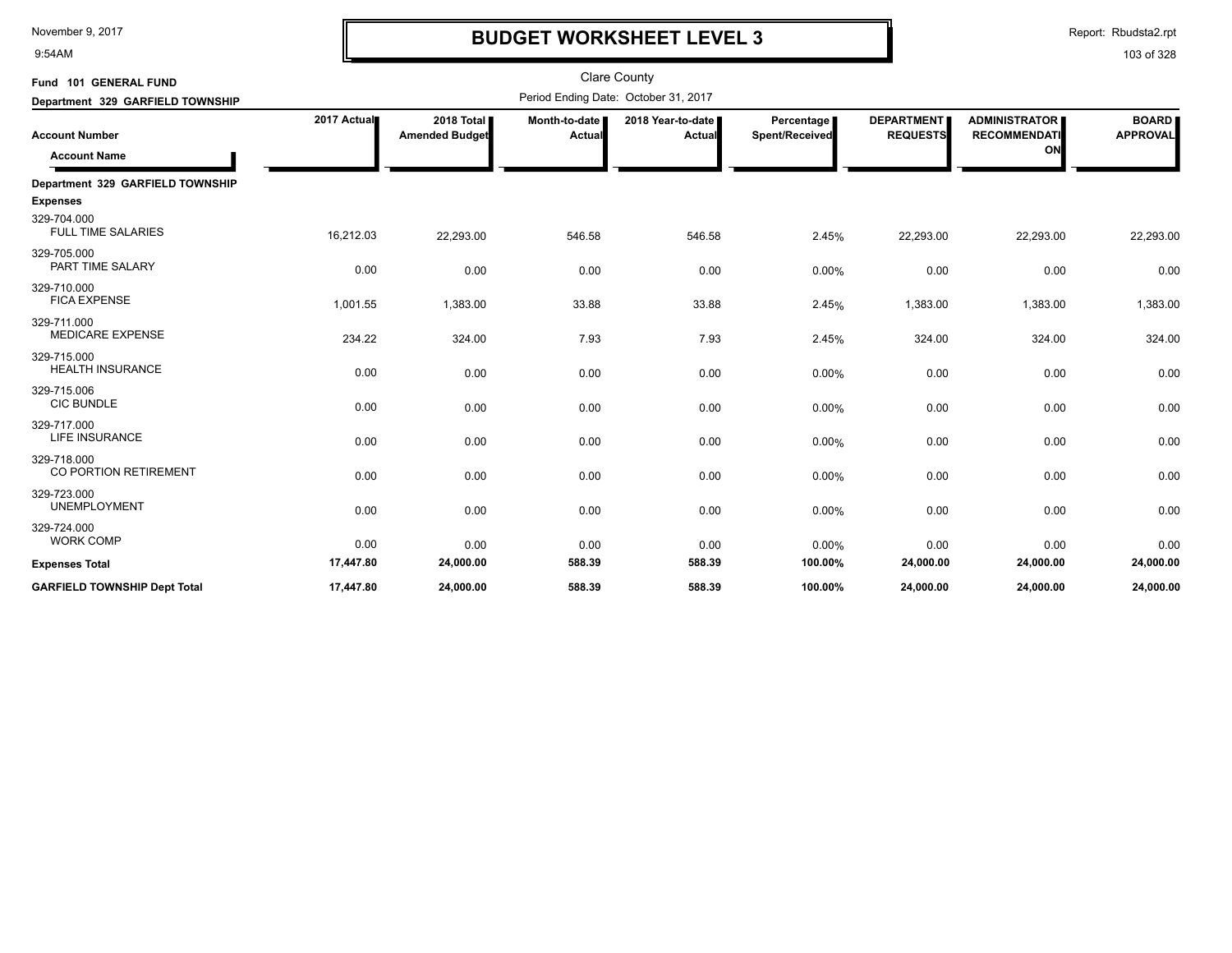9:54AM

## **BUDGET WORKSHEET LEVEL 3**

Report: Rbudsta2.rpt

| Fund 101 GENERAL FUND<br>Department 329 GARFIELD TOWNSHIP |             |                                     |                         | <b>Clare County</b><br>Period Ending Date: October 31, 2017 |                              |                                      |                                                   |                                 |
|-----------------------------------------------------------|-------------|-------------------------------------|-------------------------|-------------------------------------------------------------|------------------------------|--------------------------------------|---------------------------------------------------|---------------------------------|
| <b>Account Number</b><br><b>Account Name</b>              | 2017 Actual | 2018 Total<br><b>Amended Budget</b> | Month-to-date<br>Actual | 2018 Year-to-date  <br>Actual                               | Percentage<br>Spent/Received | <b>DEPARTMENT</b><br><b>REQUESTS</b> | <b>ADMINISTRATOR</b><br><b>RECOMMENDATI</b><br>ON | <b>BOARD</b><br><b>APPROVAL</b> |
| Department 329 GARFIELD TOWNSHIP<br><b>Expenses</b>       |             |                                     |                         |                                                             |                              |                                      |                                                   |                                 |
| 329-704.000<br><b>FULL TIME SALARIES</b>                  | 16,212.03   | 22,293.00                           | 546.58                  | 546.58                                                      | 2.45%                        | 22,293.00                            | 22,293.00                                         | 22,293.00                       |
| 329-705.000<br>PART TIME SALARY                           | 0.00        | 0.00                                | 0.00                    | 0.00                                                        | 0.00%                        | 0.00                                 | 0.00                                              | 0.00                            |
| 329-710.000<br><b>FICA EXPENSE</b>                        | 1,001.55    | 1,383.00                            | 33.88                   | 33.88                                                       | 2.45%                        | 1,383.00                             | 1,383.00                                          | 1,383.00                        |
| 329-711.000<br><b>MEDICARE EXPENSE</b>                    | 234.22      | 324.00                              | 7.93                    | 7.93                                                        | 2.45%                        | 324.00                               | 324.00                                            | 324.00                          |
| 329-715.000<br><b>HEALTH INSURANCE</b>                    | 0.00        | 0.00                                | 0.00                    | 0.00                                                        | 0.00%                        | 0.00                                 | 0.00                                              | 0.00                            |
| 329-715.006<br><b>CIC BUNDLE</b>                          | 0.00        | 0.00                                | 0.00                    | 0.00                                                        | 0.00%                        | 0.00                                 | 0.00                                              | 0.00                            |
| 329-717.000<br>LIFE INSURANCE                             | 0.00        | 0.00                                | 0.00                    | 0.00                                                        | 0.00%                        | 0.00                                 | 0.00                                              | 0.00                            |
| 329-718.000<br>CO PORTION RETIREMENT                      | 0.00        | 0.00                                | 0.00                    | 0.00                                                        | 0.00%                        | 0.00                                 | 0.00                                              | 0.00                            |
| 329-723.000<br><b>UNEMPLOYMENT</b>                        | 0.00        | 0.00                                | 0.00                    | 0.00                                                        | 0.00%                        | 0.00                                 | 0.00                                              | 0.00                            |
| 329-724.000<br><b>WORK COMP</b>                           | 0.00        | 0.00                                | 0.00                    | 0.00                                                        | 0.00%                        | 0.00                                 | 0.00                                              | 0.00                            |
| <b>Expenses Total</b>                                     | 17,447.80   | 24,000.00                           | 588.39                  | 588.39                                                      | 100.00%                      | 24,000.00                            | 24,000.00                                         | 24,000.00                       |
| <b>GARFIELD TOWNSHIP Dept Total</b>                       | 17,447.80   | 24,000.00                           | 588.39                  | 588.39                                                      | 100.00%                      | 24,000.00                            | 24,000.00                                         | 24,000.00                       |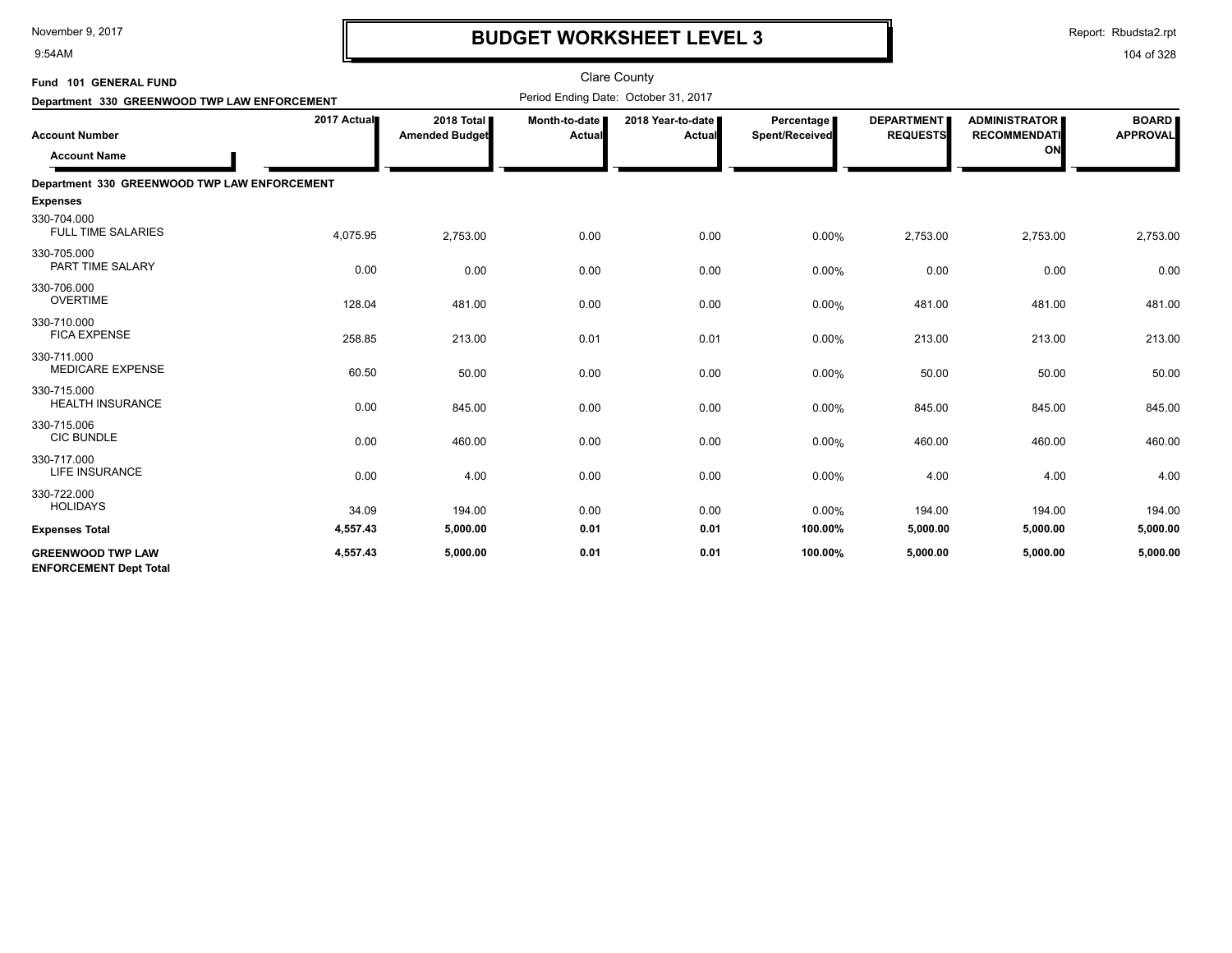9:54AM

## **BUDGET WORKSHEET LEVEL 3**

Report: Rbudsta2.rpt

| Fund 101 GENERAL FUND                                     |             |                                     |                           | <b>Clare County</b>                  |                                     |                                      |                                                   |                                 |
|-----------------------------------------------------------|-------------|-------------------------------------|---------------------------|--------------------------------------|-------------------------------------|--------------------------------------|---------------------------------------------------|---------------------------------|
| Department 330 GREENWOOD TWP LAW ENFORCEMENT              |             |                                     |                           | Period Ending Date: October 31, 2017 |                                     |                                      |                                                   |                                 |
| <b>Account Number</b><br><b>Account Name</b>              | 2017 Actual | 2018 Total<br><b>Amended Budget</b> | Month-to-date I<br>Actual | 2018 Year-to-date<br><b>Actual</b>   | <b>Percentage</b><br>Spent/Received | <b>DEPARTMENT</b><br><b>REQUESTS</b> | <b>ADMINISTRATOR</b><br><b>RECOMMENDATI</b><br>ON | <b>BOARD</b><br><b>APPROVAL</b> |
| Department 330 GREENWOOD TWP LAW ENFORCEMENT              |             |                                     |                           |                                      |                                     |                                      |                                                   |                                 |
| <b>Expenses</b>                                           |             |                                     |                           |                                      |                                     |                                      |                                                   |                                 |
| 330-704.000<br><b>FULL TIME SALARIES</b>                  | 4,075.95    | 2,753.00                            | 0.00                      | 0.00                                 | 0.00%                               | 2,753.00                             | 2,753.00                                          | 2,753.00                        |
| 330-705.000<br>PART TIME SALARY                           | 0.00        | 0.00                                | 0.00                      | 0.00                                 | 0.00%                               | 0.00                                 | 0.00                                              | 0.00                            |
| 330-706.000<br><b>OVERTIME</b>                            | 128.04      | 481.00                              | 0.00                      | 0.00                                 | 0.00%                               | 481.00                               | 481.00                                            | 481.00                          |
| 330-710.000<br><b>FICA EXPENSE</b>                        | 258.85      | 213.00                              | 0.01                      | 0.01                                 | 0.00%                               | 213.00                               | 213.00                                            | 213.00                          |
| 330-711.000<br><b>MEDICARE EXPENSE</b>                    | 60.50       | 50.00                               | 0.00                      | 0.00                                 | 0.00%                               | 50.00                                | 50.00                                             | 50.00                           |
| 330-715.000<br><b>HEALTH INSURANCE</b>                    | 0.00        | 845.00                              | 0.00                      | 0.00                                 | 0.00%                               | 845.00                               | 845.00                                            | 845.00                          |
| 330-715.006<br><b>CIC BUNDLE</b>                          | 0.00        | 460.00                              | 0.00                      | 0.00                                 | 0.00%                               | 460.00                               | 460.00                                            | 460.00                          |
| 330-717.000<br><b>LIFE INSURANCE</b>                      | 0.00        | 4.00                                | 0.00                      | 0.00                                 | 0.00%                               | 4.00                                 | 4.00                                              | 4.00                            |
| 330-722.000<br><b>HOLIDAYS</b>                            | 34.09       | 194.00                              | 0.00                      | 0.00                                 | 0.00%                               | 194.00                               | 194.00                                            | 194.00                          |
| <b>Expenses Total</b>                                     | 4,557.43    | 5,000.00                            | 0.01                      | 0.01                                 | 100.00%                             | 5,000.00                             | 5,000.00                                          | 5,000.00                        |
| <b>GREENWOOD TWP LAW</b><br><b>ENFORCEMENT Dept Total</b> | 4,557.43    | 5,000.00                            | 0.01                      | 0.01                                 | 100.00%                             | 5,000.00                             | 5,000.00                                          | 5,000.00                        |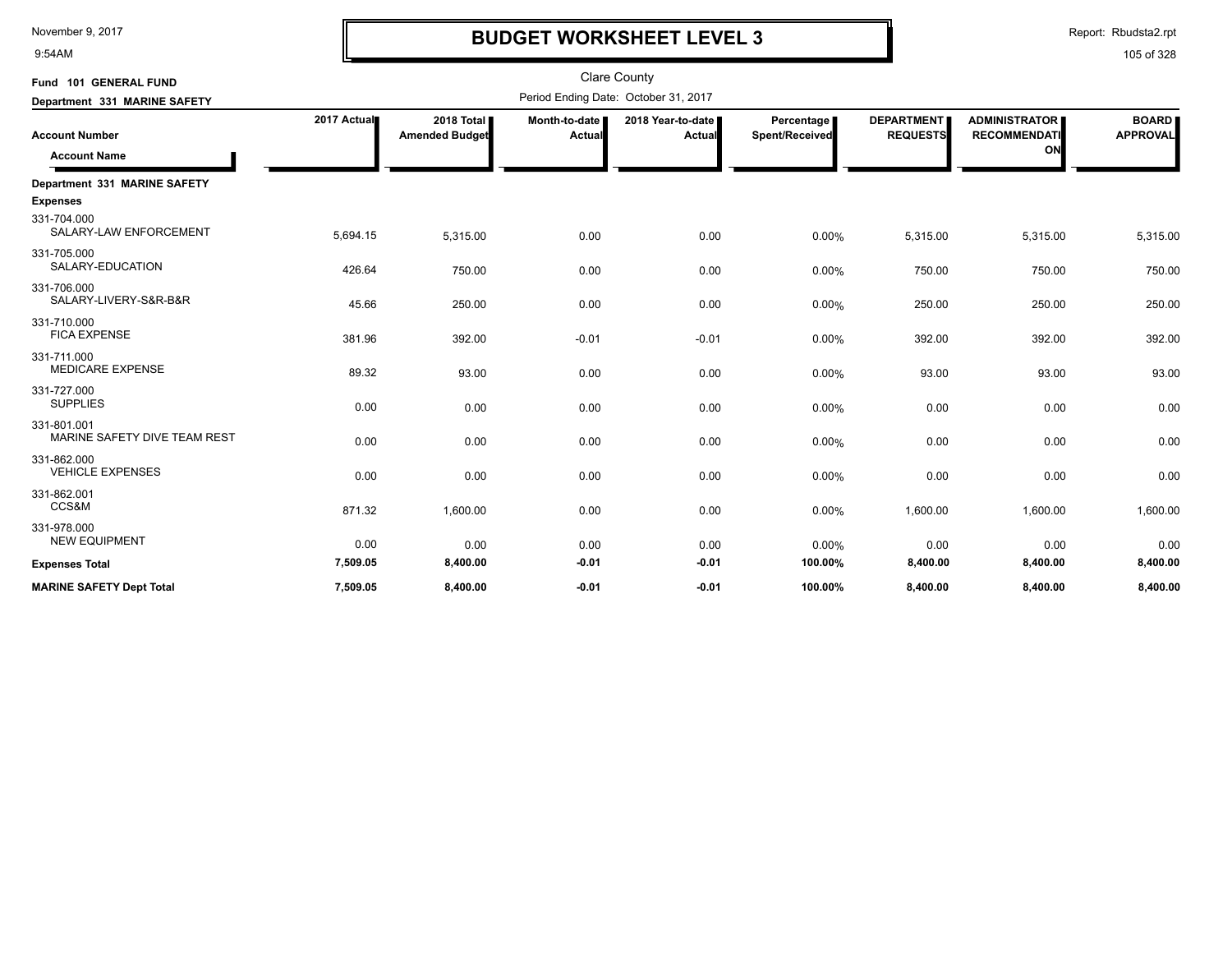9:54AM

## **BUDGET WORKSHEET LEVEL 3**

Report: Rbudsta2.rpt

| Fund 101 GENERAL FUND                       |             |                                     |                         | <b>Clare County</b>                  |                              |                                      |                                                   |                                 |
|---------------------------------------------|-------------|-------------------------------------|-------------------------|--------------------------------------|------------------------------|--------------------------------------|---------------------------------------------------|---------------------------------|
| Department 331 MARINE SAFETY                |             |                                     |                         | Period Ending Date: October 31, 2017 |                              |                                      |                                                   |                                 |
| <b>Account Number</b>                       | 2017 Actual | 2018 Total<br><b>Amended Budget</b> | Month-to-date<br>Actual | 2018 Year-to-date  <br>Actual        | Percentage<br>Spent/Received | <b>DEPARTMENT</b><br><b>REQUESTS</b> | <b>ADMINISTRATOR</b><br><b>RECOMMENDATI</b><br>ON | <b>BOARD</b><br><b>APPROVAL</b> |
| <b>Account Name</b>                         |             |                                     |                         |                                      |                              |                                      |                                                   |                                 |
| Department 331 MARINE SAFETY                |             |                                     |                         |                                      |                              |                                      |                                                   |                                 |
| <b>Expenses</b>                             |             |                                     |                         |                                      |                              |                                      |                                                   |                                 |
| 331-704.000<br>SALARY-LAW ENFORCEMENT       | 5,694.15    | 5,315.00                            | 0.00                    | 0.00                                 | 0.00%                        | 5,315.00                             | 5,315.00                                          | 5,315.00                        |
| 331-705.000<br>SALARY-EDUCATION             | 426.64      | 750.00                              | 0.00                    | 0.00                                 | 0.00%                        | 750.00                               | 750.00                                            | 750.00                          |
| 331-706.000<br>SALARY-LIVERY-S&R-B&R        | 45.66       | 250.00                              | 0.00                    | 0.00                                 | 0.00%                        | 250.00                               | 250.00                                            | 250.00                          |
| 331-710.000<br><b>FICA EXPENSE</b>          | 381.96      | 392.00                              | $-0.01$                 | $-0.01$                              | 0.00%                        | 392.00                               | 392.00                                            | 392.00                          |
| 331-711.000<br><b>MEDICARE EXPENSE</b>      | 89.32       | 93.00                               | 0.00                    | 0.00                                 | 0.00%                        | 93.00                                | 93.00                                             | 93.00                           |
| 331-727.000<br><b>SUPPLIES</b>              | 0.00        | 0.00                                | 0.00                    | 0.00                                 | $0.00\%$                     | 0.00                                 | 0.00                                              | 0.00                            |
| 331-801.001<br>MARINE SAFETY DIVE TEAM REST | 0.00        | 0.00                                | 0.00                    | 0.00                                 | 0.00%                        | 0.00                                 | 0.00                                              | 0.00                            |
| 331-862.000<br><b>VEHICLE EXPENSES</b>      | 0.00        | 0.00                                | 0.00                    | 0.00                                 | 0.00%                        | 0.00                                 | 0.00                                              | 0.00                            |
| 331-862.001<br>CCS&M                        | 871.32      | 1,600.00                            | 0.00                    | 0.00                                 | 0.00%                        | 1,600.00                             | 1,600.00                                          | 1,600.00                        |
| 331-978.000<br><b>NEW EQUIPMENT</b>         | 0.00        | 0.00                                | 0.00                    | 0.00                                 | 0.00%                        | 0.00                                 | 0.00                                              | 0.00                            |
| <b>Expenses Total</b>                       | 7,509.05    | 8,400.00                            | $-0.01$                 | $-0.01$                              | 100.00%                      | 8,400.00                             | 8,400.00                                          | 8,400.00                        |
| <b>MARINE SAFETY Dept Total</b>             | 7,509.05    | 8.400.00                            | $-0.01$                 | $-0.01$                              | 100.00%                      | 8.400.00                             | 8,400.00                                          | 8,400.00                        |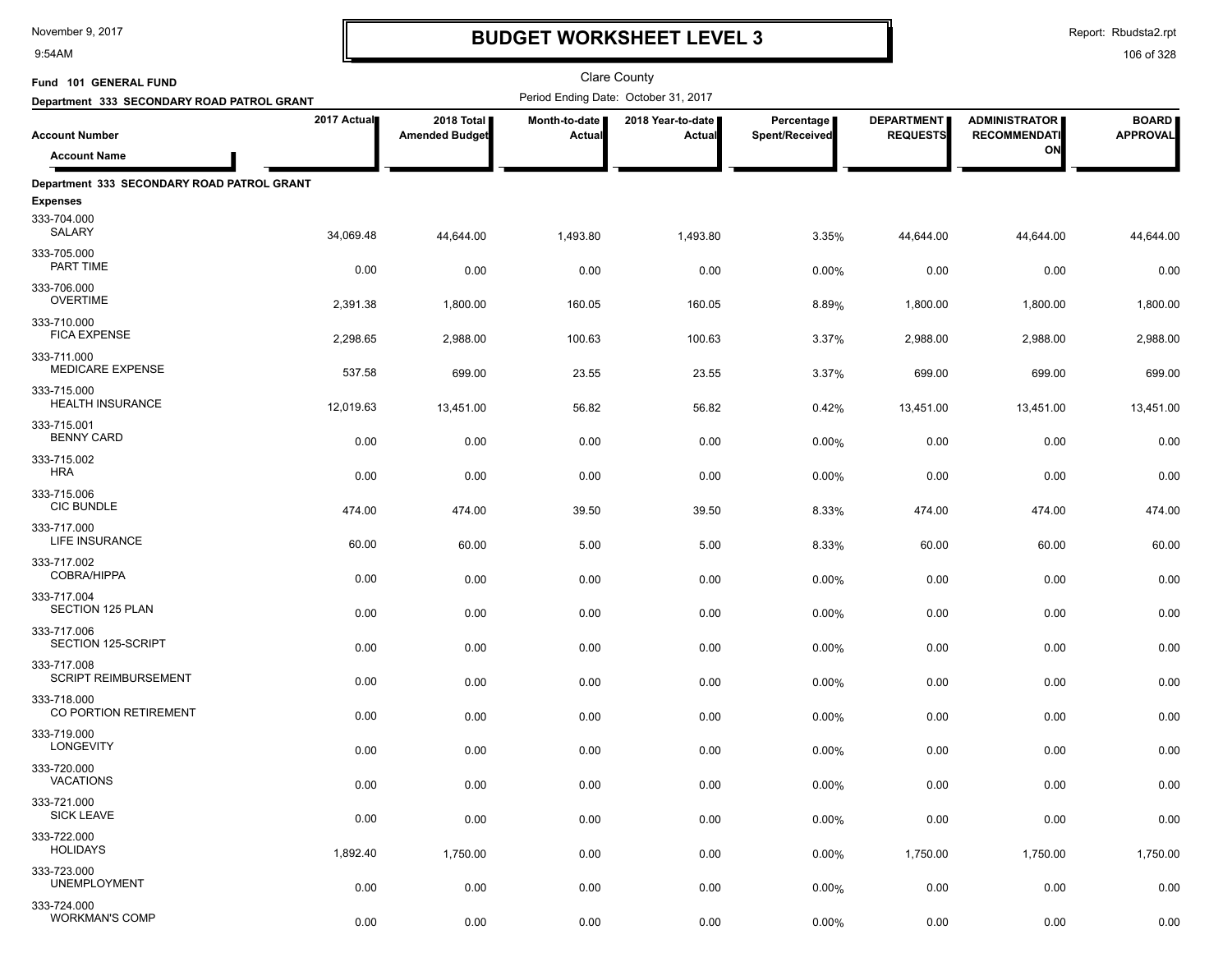9:54AM

## **BUDGET WORKSHEET LEVEL 3**

Report: Rbudsta2.rpt

| Fund 101 GENERAL FUND                           |             |                                     |                                | Clare County                         |                              |                                      |                                             |                                 |
|-------------------------------------------------|-------------|-------------------------------------|--------------------------------|--------------------------------------|------------------------------|--------------------------------------|---------------------------------------------|---------------------------------|
| Department 333 SECONDARY ROAD PATROL GRANT      |             |                                     |                                | Period Ending Date: October 31, 2017 |                              |                                      |                                             |                                 |
| <b>Account Number</b>                           | 2017 Actual | 2018 Total<br><b>Amended Budget</b> | Month-to-date<br><b>Actual</b> | 2018 Year-to-date  <br>Actual        | Percentage<br>Spent/Received | <b>DEPARTMENT</b><br><b>REQUESTS</b> | <b>ADMINISTRATOR</b><br><b>RECOMMENDATI</b> | <b>BOARD</b><br><b>APPROVAL</b> |
| <b>Account Name</b>                             |             |                                     |                                |                                      |                              |                                      | ON                                          |                                 |
| Department 333 SECONDARY ROAD PATROL GRANT      |             |                                     |                                |                                      |                              |                                      |                                             |                                 |
| <b>Expenses</b>                                 |             |                                     |                                |                                      |                              |                                      |                                             |                                 |
| 333-704.000<br>SALARY                           | 34,069.48   | 44,644.00                           | 1,493.80                       | 1,493.80                             | 3.35%                        | 44,644.00                            | 44,644.00                                   | 44,644.00                       |
| 333-705.000<br>PART TIME                        | 0.00        | 0.00                                | 0.00                           | 0.00                                 | 0.00%                        | 0.00                                 | 0.00                                        | 0.00                            |
| 333-706.000<br><b>OVERTIME</b>                  | 2,391.38    | 1,800.00                            | 160.05                         | 160.05                               | 8.89%                        | 1,800.00                             | 1,800.00                                    | 1,800.00                        |
| 333-710.000<br><b>FICA EXPENSE</b>              | 2,298.65    | 2,988.00                            | 100.63                         | 100.63                               | 3.37%                        | 2,988.00                             | 2,988.00                                    | 2,988.00                        |
| 333-711.000<br><b>MEDICARE EXPENSE</b>          | 537.58      | 699.00                              | 23.55                          | 23.55                                | 3.37%                        | 699.00                               | 699.00                                      | 699.00                          |
| 333-715.000<br><b>HEALTH INSURANCE</b>          | 12,019.63   | 13,451.00                           | 56.82                          | 56.82                                | 0.42%                        | 13,451.00                            | 13,451.00                                   | 13,451.00                       |
| 333-715.001<br><b>BENNY CARD</b>                | 0.00        | 0.00                                | 0.00                           | 0.00                                 | 0.00%                        | 0.00                                 | 0.00                                        | 0.00                            |
| 333-715.002<br><b>HRA</b>                       | 0.00        | 0.00                                | 0.00                           | 0.00                                 | 0.00%                        | 0.00                                 | 0.00                                        | 0.00                            |
| 333-715.006<br><b>CIC BUNDLE</b><br>333-717.000 | 474.00      | 474.00                              | 39.50                          | 39.50                                | 8.33%                        | 474.00                               | 474.00                                      | 474.00                          |
| LIFE INSURANCE<br>333-717.002                   | 60.00       | 60.00                               | 5.00                           | 5.00                                 | 8.33%                        | 60.00                                | 60.00                                       | 60.00                           |
| <b>COBRA/HIPPA</b><br>333-717.004               | 0.00        | 0.00                                | 0.00                           | 0.00                                 | 0.00%                        | 0.00                                 | 0.00                                        | 0.00                            |
| <b>SECTION 125 PLAN</b><br>333-717.006          | 0.00        | 0.00                                | 0.00                           | 0.00                                 | 0.00%                        | 0.00                                 | 0.00                                        | 0.00                            |
| SECTION 125-SCRIPT<br>333-717.008               | 0.00        | 0.00                                | 0.00                           | 0.00                                 | 0.00%                        | 0.00                                 | 0.00                                        | 0.00                            |
| <b>SCRIPT REIMBURSEMENT</b><br>333-718.000      | 0.00        | 0.00                                | 0.00                           | 0.00                                 | 0.00%                        | 0.00                                 | 0.00                                        | 0.00                            |
| CO PORTION RETIREMENT<br>333-719.000            | 0.00        | 0.00                                | 0.00                           | 0.00                                 | 0.00%                        | 0.00                                 | 0.00                                        | 0.00                            |
| <b>LONGEVITY</b><br>333-720.000                 | 0.00        | 0.00                                | 0.00                           | 0.00                                 | 0.00%                        | 0.00                                 | 0.00                                        | 0.00                            |
| <b>VACATIONS</b>                                | 0.00        | 0.00                                | 0.00                           | 0.00                                 | 0.00%                        | 0.00                                 | 0.00                                        | 0.00                            |
| 333-721.000<br><b>SICK LEAVE</b>                | 0.00        | 0.00                                | 0.00                           | 0.00                                 | 0.00%                        | 0.00                                 | 0.00                                        | 0.00                            |
| 333-722.000<br><b>HOLIDAYS</b>                  | 1,892.40    | 1,750.00                            | 0.00                           | 0.00                                 | 0.00%                        | 1,750.00                             | 1,750.00                                    | 1,750.00                        |
| 333-723.000<br><b>UNEMPLOYMENT</b>              | 0.00        | 0.00                                | 0.00                           | 0.00                                 | 0.00%                        | 0.00                                 | 0.00                                        | 0.00                            |
| 333-724.000<br><b>WORKMAN'S COMP</b>            | 0.00        | 0.00                                | 0.00                           | 0.00                                 | 0.00%                        | 0.00                                 | 0.00                                        | 0.00                            |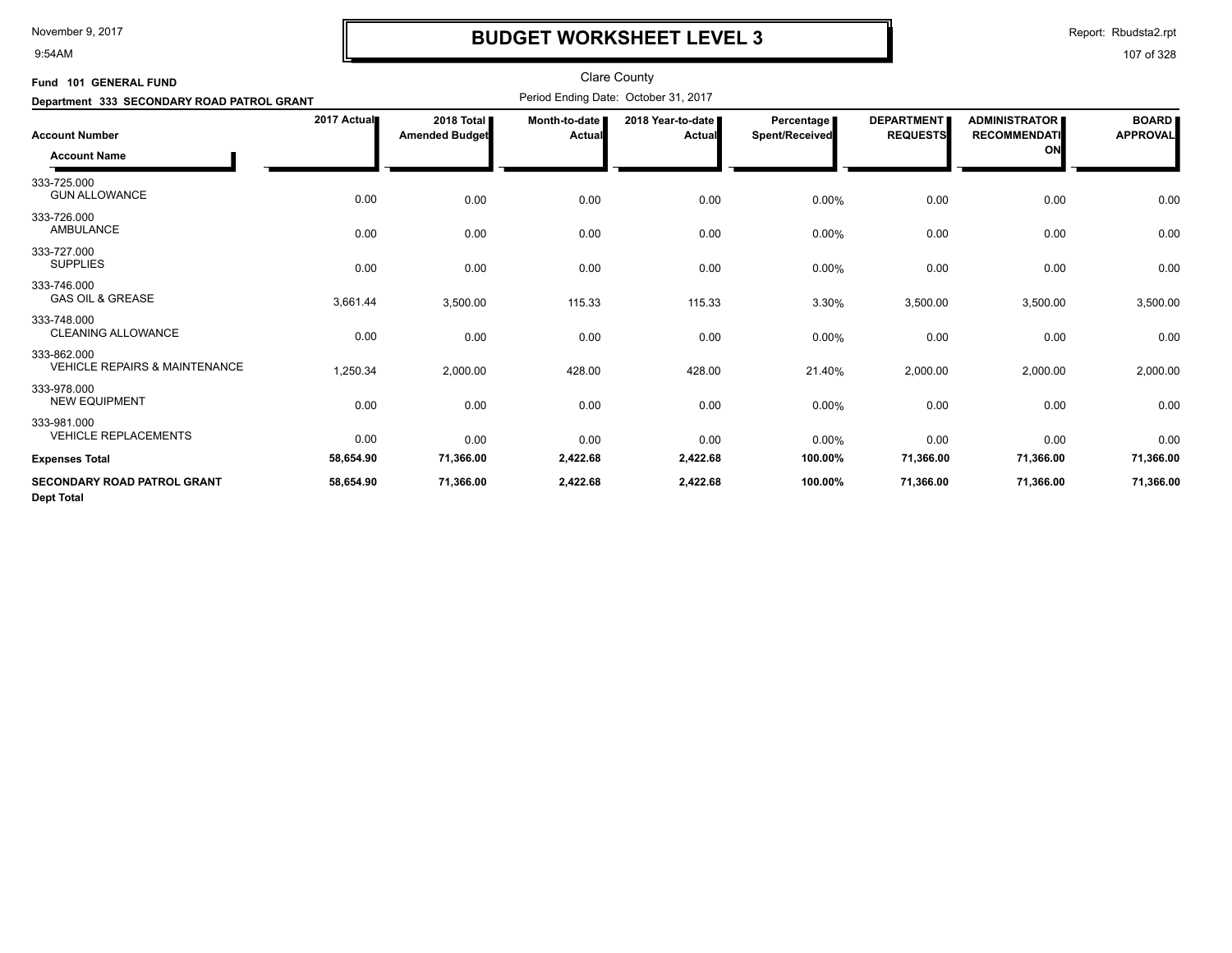9:54AM

# **BUDGET WORKSHEET LEVEL 3**

Report: Rbudsta2.rpt

| Fund 101 GENERAL FUND                                   |             |                                     |                                      | <b>Clare County</b>         |                              |                                      |                                                   |                                 |
|---------------------------------------------------------|-------------|-------------------------------------|--------------------------------------|-----------------------------|------------------------------|--------------------------------------|---------------------------------------------------|---------------------------------|
| Department 333 SECONDARY ROAD PATROL GRANT              |             |                                     | Period Ending Date: October 31, 2017 |                             |                              |                                      |                                                   |                                 |
| <b>Account Number</b><br><b>Account Name</b>            | 2017 Actual | 2018 Total<br><b>Amended Budget</b> | Month-to-date<br>Actual              | 2018 Year-to-date<br>Actual | Percentage<br>Spent/Received | <b>DEPARTMENT</b><br><b>REQUESTS</b> | <b>ADMINISTRATOR</b><br><b>RECOMMENDATI</b><br>ON | <b>BOARD</b><br><b>APPROVAL</b> |
| 333-725.000<br><b>GUN ALLOWANCE</b>                     | 0.00        | 0.00                                | 0.00                                 | 0.00                        | $0.00\%$                     | 0.00                                 | 0.00                                              | 0.00                            |
| 333-726.000<br>AMBULANCE                                | 0.00        | 0.00                                | 0.00                                 | 0.00                        | 0.00%                        | 0.00                                 | 0.00                                              | 0.00                            |
| 333-727.000<br><b>SUPPLIES</b>                          | 0.00        | 0.00                                | 0.00                                 | 0.00                        | $0.00\%$                     | 0.00                                 | 0.00                                              | 0.00                            |
| 333-746.000<br><b>GAS OIL &amp; GREASE</b>              | 3,661.44    | 3,500.00                            | 115.33                               | 115.33                      | 3.30%                        | 3,500.00                             | 3,500.00                                          | 3,500.00                        |
| 333-748.000<br><b>CLEANING ALLOWANCE</b>                | 0.00        | 0.00                                | 0.00                                 | 0.00                        | 0.00%                        | 0.00                                 | 0.00                                              | 0.00                            |
| 333-862.000<br><b>VEHICLE REPAIRS &amp; MAINTENANCE</b> | 1,250.34    | 2,000.00                            | 428.00                               | 428.00                      | 21.40%                       | 2,000.00                             | 2,000.00                                          | 2,000.00                        |
| 333-978.000<br><b>NEW EQUIPMENT</b>                     | 0.00        | 0.00                                | 0.00                                 | 0.00                        | 0.00%                        | 0.00                                 | 0.00                                              | 0.00                            |
| 333-981.000<br><b>VEHICLE REPLACEMENTS</b>              | 0.00        | 0.00                                | 0.00                                 | 0.00                        | 0.00%                        | 0.00                                 | 0.00                                              | 0.00                            |
| <b>Expenses Total</b>                                   | 58,654.90   | 71,366.00                           | 2,422.68                             | 2,422.68                    | 100.00%                      | 71,366.00                            | 71,366.00                                         | 71,366.00                       |
| <b>SECONDARY ROAD PATROL GRANT</b><br><b>Dept Total</b> | 58,654.90   | 71,366.00                           | 2,422.68                             | 2,422.68                    | 100.00%                      | 71,366.00                            | 71,366.00                                         | 71,366.00                       |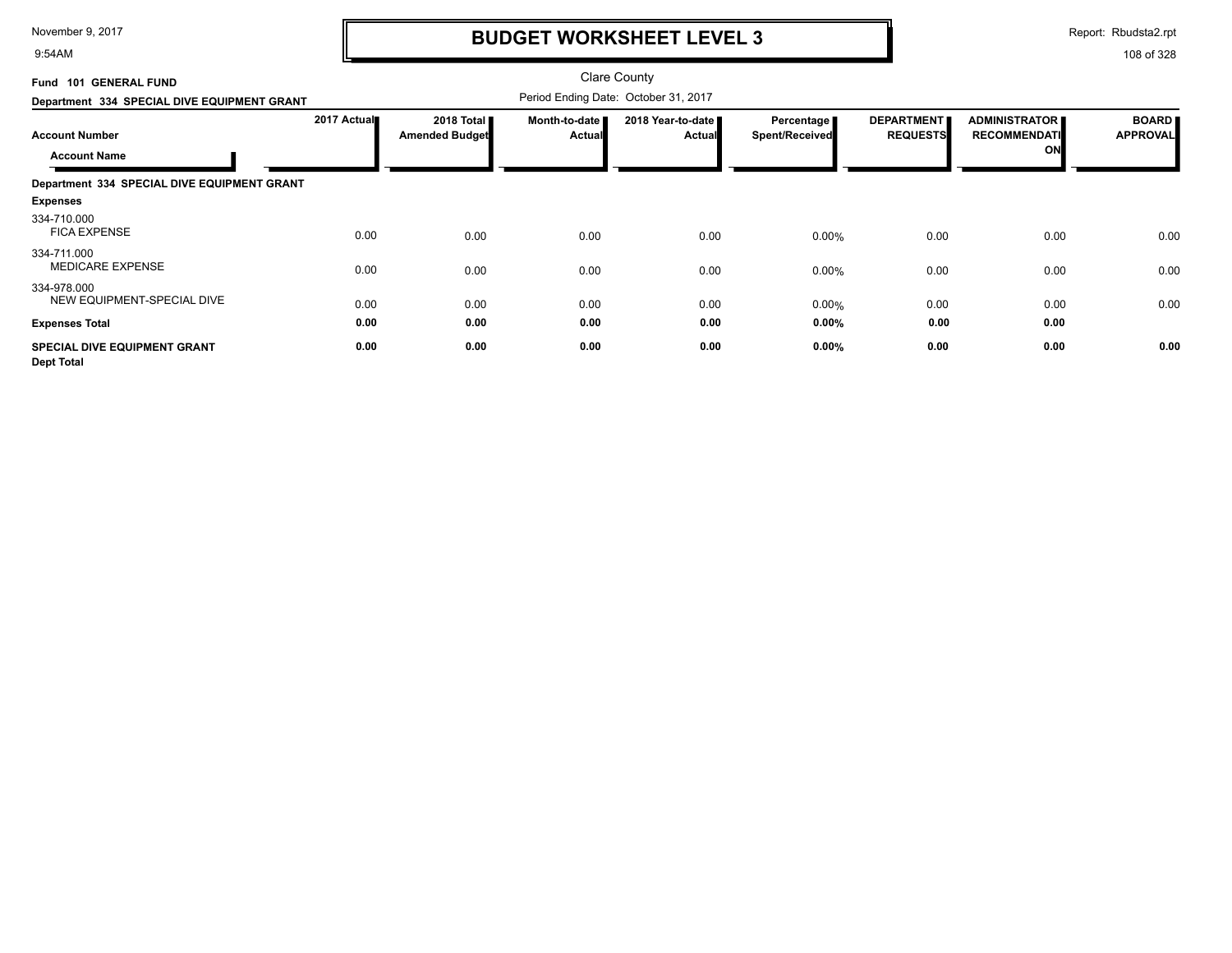9:54AM

## **BUDGET WORKSHEET LEVEL 3**

Report: Rbudsta2.rpt

| Fund 101 GENERAL FUND<br>Department 334 SPECIAL DIVE EQUIPMENT GRANT |             |                                     |                                |                                                                            |                                     |                                      |                                                   |                                 |
|----------------------------------------------------------------------|-------------|-------------------------------------|--------------------------------|----------------------------------------------------------------------------|-------------------------------------|--------------------------------------|---------------------------------------------------|---------------------------------|
| <b>Account Number</b><br><b>Account Name</b>                         | 2017 Actual | 2018 Total<br><b>Amended Budget</b> | Month-to-date<br><b>Actual</b> | Period Ending Date: October 31, 2017<br>2018 Year-to-date<br><b>Actual</b> | Percentage<br><b>Spent/Received</b> | <b>DEPARTMENT</b><br><b>REQUESTS</b> | <b>ADMINISTRATOR</b><br><b>RECOMMENDATI</b><br>ON | <b>BOARD</b><br><b>APPROVAL</b> |
| Department 334 SPECIAL DIVE EQUIPMENT GRANT                          |             |                                     |                                |                                                                            |                                     |                                      |                                                   |                                 |
| <b>Expenses</b>                                                      |             |                                     |                                |                                                                            |                                     |                                      |                                                   |                                 |
| 334-710.000<br><b>FICA EXPENSE</b>                                   | 0.00        | 0.00                                | 0.00                           | 0.00                                                                       | 0.00%                               | 0.00                                 | 0.00                                              | 0.00                            |
| 334-711.000<br><b>MEDICARE EXPENSE</b>                               | 0.00        | 0.00                                | 0.00                           | 0.00                                                                       | 0.00%                               | 0.00                                 | 0.00                                              | 0.00                            |
| 334-978.000<br>NEW EQUIPMENT-SPECIAL DIVE                            | 0.00        | 0.00                                | 0.00                           | 0.00                                                                       | 0.00%                               | 0.00                                 | 0.00                                              | 0.00                            |
| <b>Expenses Total</b>                                                | 0.00        | 0.00                                | 0.00                           | 0.00                                                                       | $0.00\%$                            | 0.00                                 | 0.00                                              |                                 |
| <b>SPECIAL DIVE EQUIPMENT GRANT</b><br><b>Dept Total</b>             | 0.00        | 0.00                                | 0.00                           | 0.00                                                                       | 0.00%                               | 0.00                                 | 0.00                                              | 0.00                            |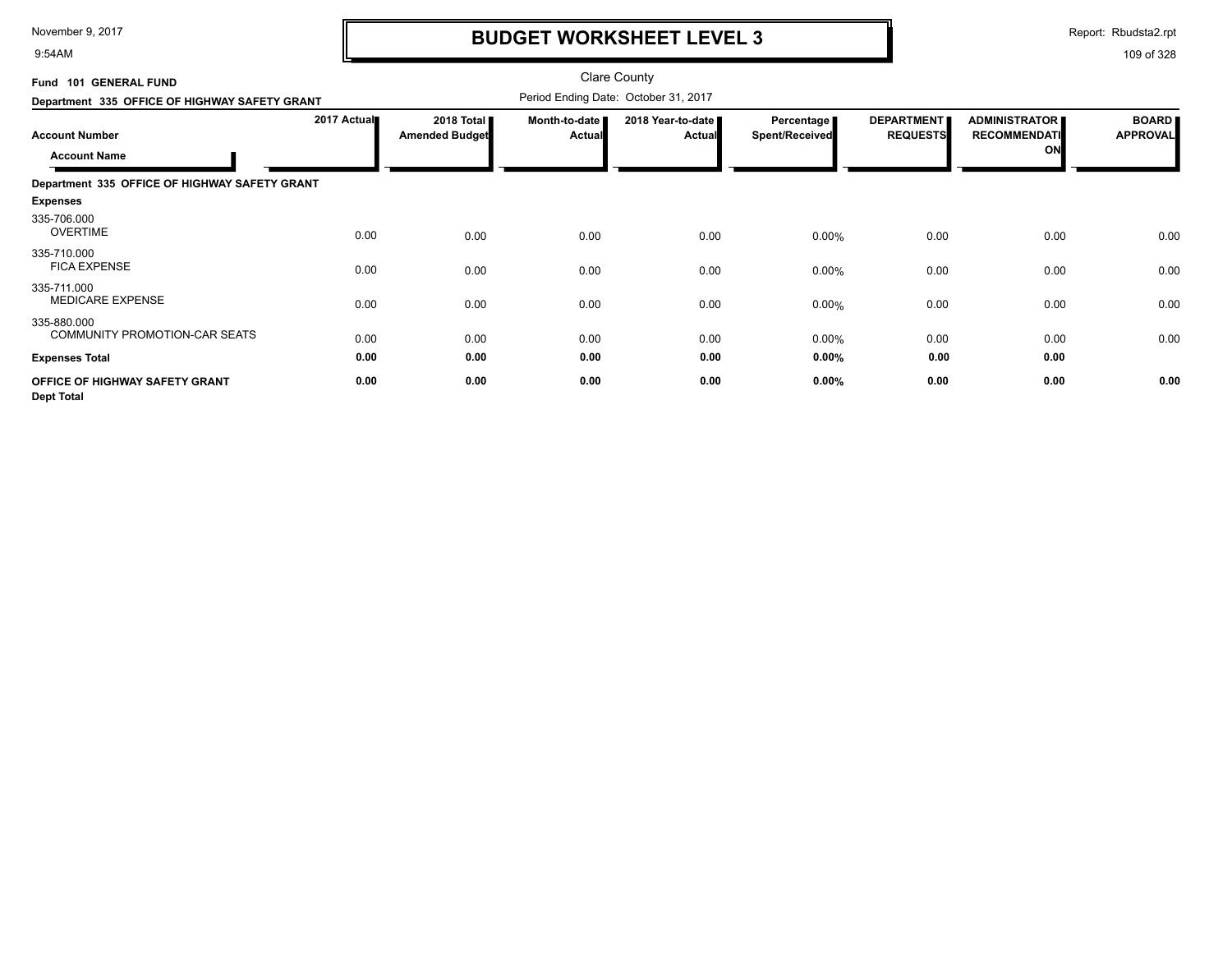9:54AM

## **BUDGET WORKSHEET LEVEL 3**

Report: Rbudsta2.rpt

| Fund 101 GENERAL FUND                               |             |                                     |                         | <b>Clare County</b>                  |                                            |                                      |                                                   |                                 |
|-----------------------------------------------------|-------------|-------------------------------------|-------------------------|--------------------------------------|--------------------------------------------|--------------------------------------|---------------------------------------------------|---------------------------------|
| Department 335 OFFICE OF HIGHWAY SAFETY GRANT       |             |                                     |                         | Period Ending Date: October 31, 2017 |                                            |                                      |                                                   |                                 |
| <b>Account Number</b><br><b>Account Name</b>        | 2017 Actual | 2018 Total<br><b>Amended Budget</b> | Month-to-date<br>Actual | 2018 Year-to-date<br><b>Actual</b>   | <b>Percentage</b><br><b>Spent/Received</b> | <b>DEPARTMENT</b><br><b>REQUESTS</b> | <b>ADMINISTRATOR</b><br><b>RECOMMENDATI</b><br>ON | <b>BOARD</b><br><b>APPROVAL</b> |
| Department 335 OFFICE OF HIGHWAY SAFETY GRANT       |             |                                     |                         |                                      |                                            |                                      |                                                   |                                 |
| <b>Expenses</b>                                     |             |                                     |                         |                                      |                                            |                                      |                                                   |                                 |
| 335-706.000<br><b>OVERTIME</b>                      | 0.00        | 0.00                                | 0.00                    | 0.00                                 | 0.00%                                      | 0.00                                 | 0.00                                              | 0.00                            |
| 335-710.000<br><b>FICA EXPENSE</b>                  | 0.00        | 0.00                                | 0.00                    | 0.00                                 | 0.00%                                      | 0.00                                 | 0.00                                              | 0.00                            |
| 335-711.000<br><b>MEDICARE EXPENSE</b>              | 0.00        | 0.00                                | 0.00                    | 0.00                                 | 0.00%                                      | 0.00                                 | 0.00                                              | 0.00                            |
| 335-880.000<br>COMMUNITY PROMOTION-CAR SEATS        | 0.00        | 0.00                                | 0.00                    | 0.00                                 | 0.00%                                      | 0.00                                 | 0.00                                              | 0.00                            |
| <b>Expenses Total</b>                               | 0.00        | 0.00                                | 0.00                    | 0.00                                 | 0.00%                                      | 0.00                                 | 0.00                                              |                                 |
| OFFICE OF HIGHWAY SAFETY GRANT<br><b>Dept Total</b> | 0.00        | 0.00                                | 0.00                    | 0.00                                 | 0.00%                                      | 0.00                                 | 0.00                                              | 0.00                            |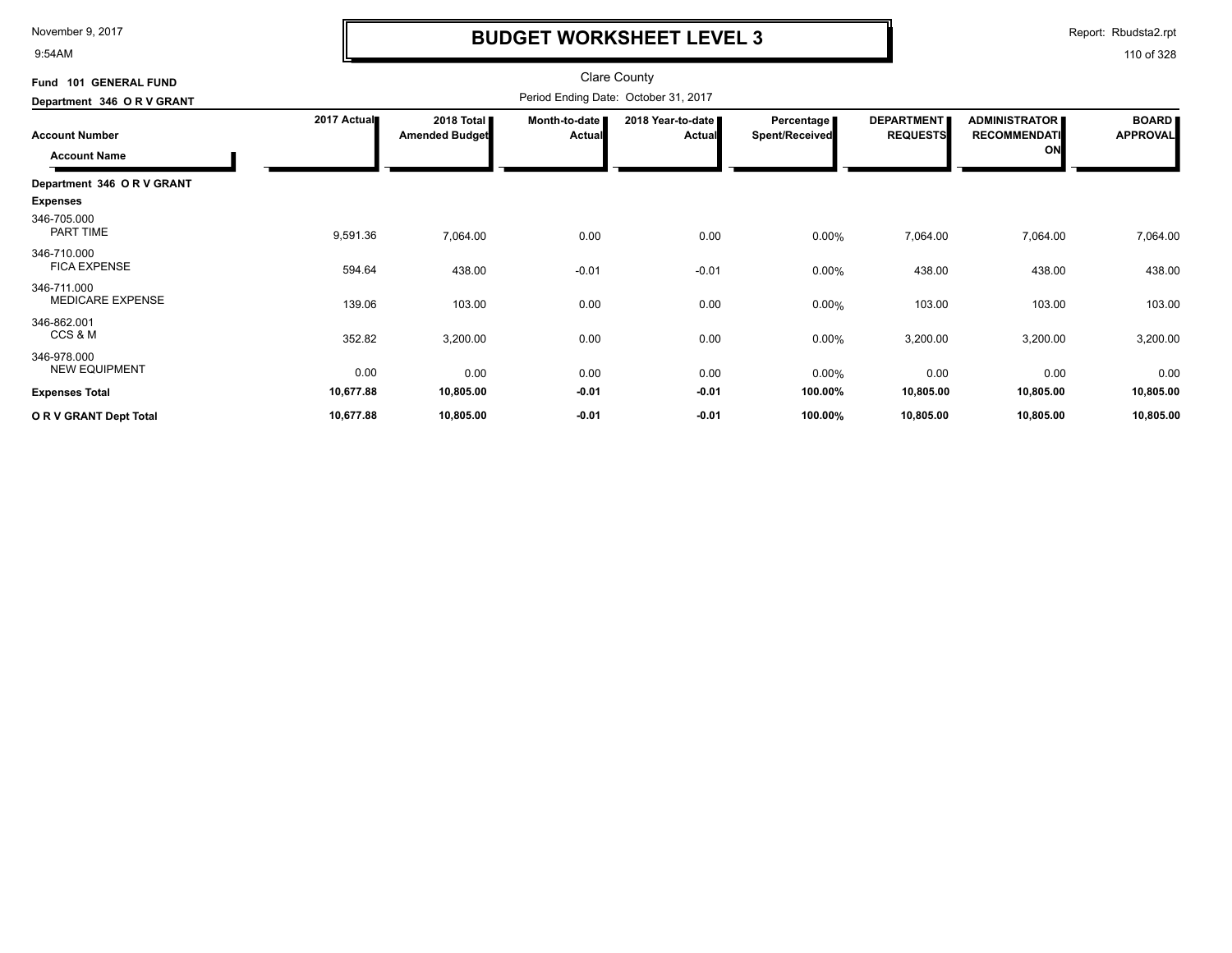9:54AM

## **BUDGET WORKSHEET LEVEL 3**

Report: Rbudsta2.rpt

| <b>GENERAL FUND</b><br>Fund 101     |             |                                     |                           | <b>Clare County</b>                  |                                            |                                      |                                                   |                                 |
|-------------------------------------|-------------|-------------------------------------|---------------------------|--------------------------------------|--------------------------------------------|--------------------------------------|---------------------------------------------------|---------------------------------|
| Department 346 OR V GRANT           |             |                                     |                           | Period Ending Date: October 31, 2017 |                                            |                                      |                                                   |                                 |
| <b>Account Number</b>               | 2017 Actual | 2018 Total<br><b>Amended Budget</b> | Month-to-date  <br>Actual | 2018 Year-to-date<br>Actual          | <b>Percentage</b><br><b>Spent/Received</b> | <b>DEPARTMENT</b><br><b>REQUESTS</b> | <b>ADMINISTRATOR</b><br><b>RECOMMENDATI</b><br>ON | <b>BOARD</b><br><b>APPROVAL</b> |
| <b>Account Name</b>                 |             |                                     |                           |                                      |                                            |                                      |                                                   |                                 |
| Department 346 O R V GRANT          |             |                                     |                           |                                      |                                            |                                      |                                                   |                                 |
| <b>Expenses</b>                     |             |                                     |                           |                                      |                                            |                                      |                                                   |                                 |
| 346-705.000<br>PART TIME            | 9,591.36    | 7,064.00                            | 0.00                      | 0.00                                 | 0.00%                                      | 7,064.00                             | 7,064.00                                          | 7,064.00                        |
| 346-710.000<br><b>FICA EXPENSE</b>  | 594.64      | 438.00                              | $-0.01$                   | $-0.01$                              | 0.00%                                      | 438.00                               | 438.00                                            | 438.00                          |
| 346-711.000<br>MEDICARE EXPENSE     | 139.06      | 103.00                              | 0.00                      | 0.00                                 | 0.00%                                      | 103.00                               | 103.00                                            | 103.00                          |
| 346-862.001<br>CCS & M              | 352.82      | 3,200.00                            | 0.00                      | 0.00                                 | 0.00%                                      | 3,200.00                             | 3,200.00                                          | 3,200.00                        |
| 346-978.000<br><b>NEW EQUIPMENT</b> | 0.00        | 0.00                                | 0.00                      | 0.00                                 | 0.00%                                      | 0.00                                 | 0.00                                              | 0.00                            |
| <b>Expenses Total</b>               | 10,677.88   | 10,805.00                           | $-0.01$                   | $-0.01$                              | 100.00%                                    | 10,805.00                            | 10,805.00                                         | 10,805.00                       |
| OR V GRANT Dept Total               | 10,677.88   | 10,805.00                           | $-0.01$                   | $-0.01$                              | 100.00%                                    | 10,805.00                            | 10,805.00                                         | 10,805.00                       |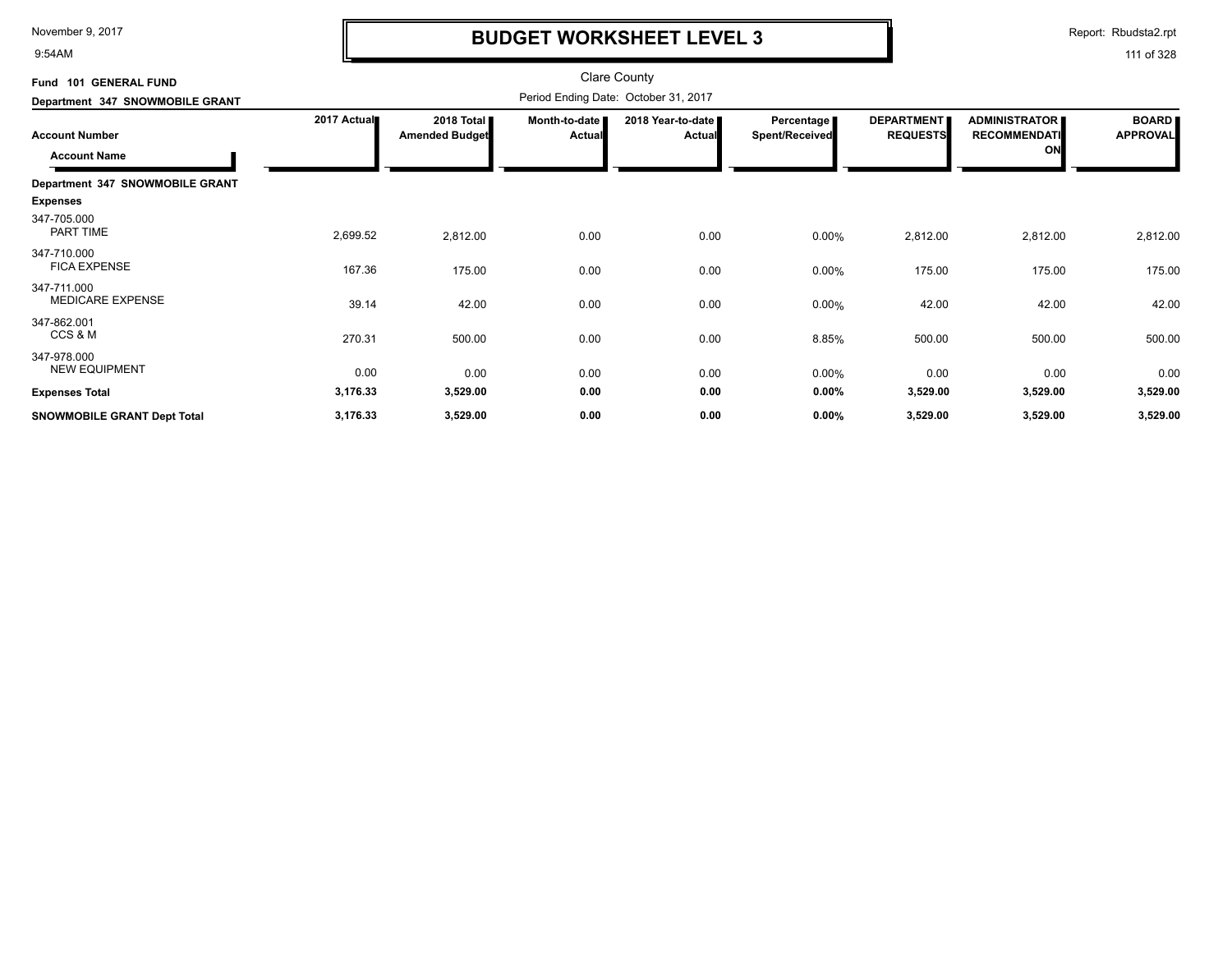9:54AM

## **BUDGET WORKSHEET LEVEL 3**

Report: Rbudsta2.rpt

| Fund 101 GENERAL FUND                        |             |                                     |                                  | <b>Clare County</b>                  |                              |                                      |                                                   |                                 |
|----------------------------------------------|-------------|-------------------------------------|----------------------------------|--------------------------------------|------------------------------|--------------------------------------|---------------------------------------------------|---------------------------------|
| Department 347 SNOWMOBILE GRANT              |             |                                     |                                  | Period Ending Date: October 31, 2017 |                              |                                      |                                                   |                                 |
| <b>Account Number</b><br><b>Account Name</b> | 2017 Actual | 2018 Total<br><b>Amended Budget</b> | Month-to-date I<br><b>Actual</b> | 2018 Year-to-date<br>Actual          | Percentage<br>Spent/Received | <b>DEPARTMENT</b><br><b>REQUESTS</b> | <b>ADMINISTRATOR</b><br><b>RECOMMENDATI</b><br>ON | <b>BOARD</b><br><b>APPROVAL</b> |
| Department 347 SNOWMOBILE GRANT              |             |                                     |                                  |                                      |                              |                                      |                                                   |                                 |
| <b>Expenses</b>                              |             |                                     |                                  |                                      |                              |                                      |                                                   |                                 |
| 347-705.000<br>PART TIME                     | 2,699.52    | 2,812.00                            | 0.00                             | 0.00                                 | 0.00%                        | 2,812.00                             | 2,812.00                                          | 2,812.00                        |
| 347-710.000<br><b>FICA EXPENSE</b>           | 167.36      | 175.00                              | 0.00                             | 0.00                                 | 0.00%                        | 175.00                               | 175.00                                            | 175.00                          |
| 347-711.000<br><b>MEDICARE EXPENSE</b>       | 39.14       | 42.00                               | 0.00                             | 0.00                                 | 0.00%                        | 42.00                                | 42.00                                             | 42.00                           |
| 347-862.001<br>CCS & M                       | 270.31      | 500.00                              | 0.00                             | 0.00                                 | 8.85%                        | 500.00                               | 500.00                                            | 500.00                          |
| 347-978.000<br><b>NEW EQUIPMENT</b>          | 0.00        | 0.00                                | 0.00                             | 0.00                                 | 0.00%                        | 0.00                                 | 0.00                                              | 0.00                            |
| <b>Expenses Total</b>                        | 3,176.33    | 3,529.00                            | 0.00                             | 0.00                                 | 0.00%                        | 3,529.00                             | 3,529.00                                          | 3,529.00                        |
| SNOWMOBILE GRANT Dept Total                  | 3,176.33    | 3,529.00                            | 0.00                             | 0.00                                 | 0.00%                        | 3,529.00                             | 3,529.00                                          | 3,529.00                        |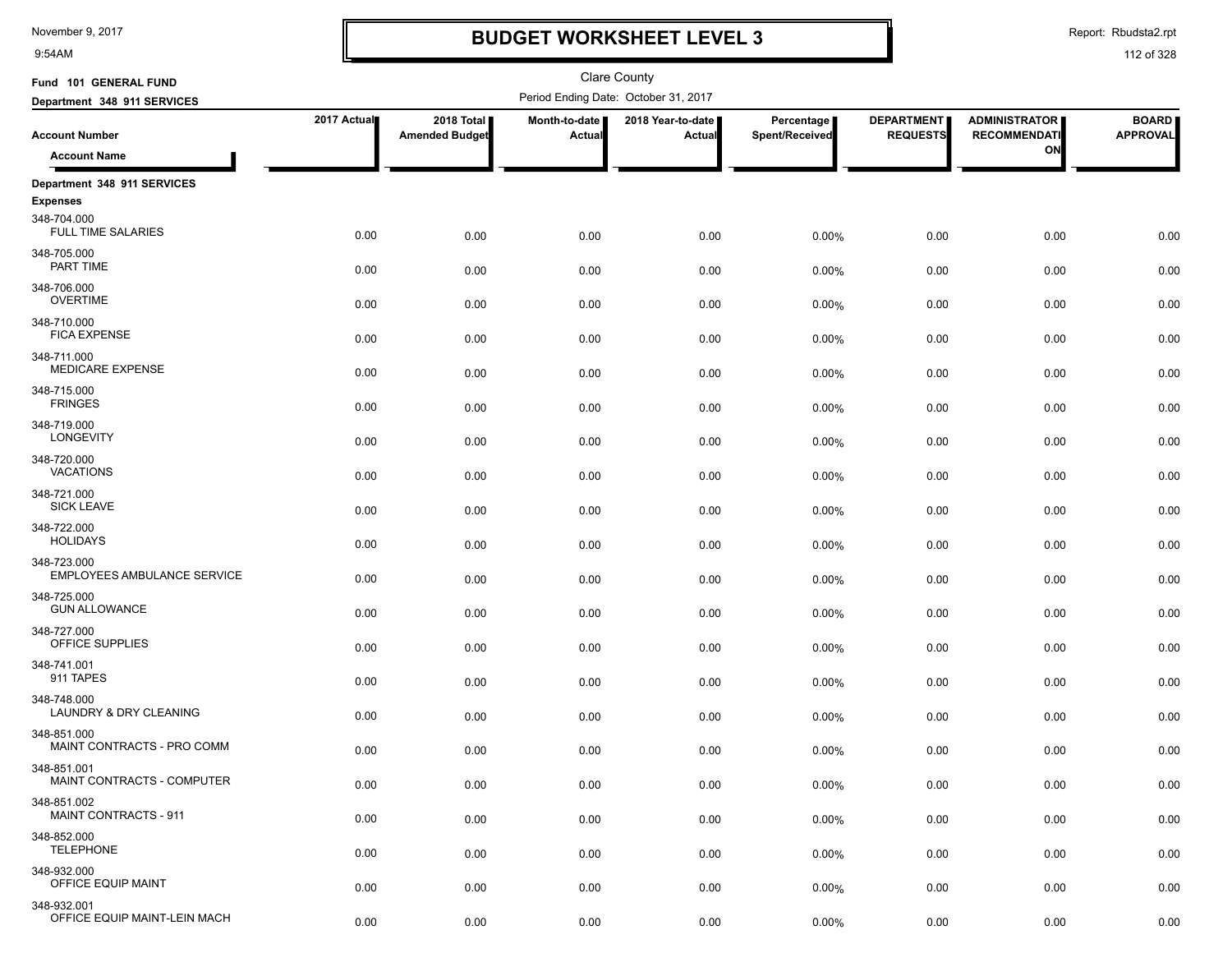9:54AM

### **BUDGET WORKSHEET LEVEL 3**

Report: Rbudsta2.rpt

| Fund 101 GENERAL FUND                                       |             |                                     |                         | Clare County                         |                              |                                      |                                             |                                 |
|-------------------------------------------------------------|-------------|-------------------------------------|-------------------------|--------------------------------------|------------------------------|--------------------------------------|---------------------------------------------|---------------------------------|
| Department 348 911 SERVICES                                 |             |                                     |                         | Period Ending Date: October 31, 2017 |                              |                                      |                                             |                                 |
| <b>Account Number</b>                                       | 2017 Actual | 2018 Total<br><b>Amended Budget</b> | Month-to-date<br>Actual | 2018 Year-to-date<br>Actual          | Percentage<br>Spent/Received | <b>DEPARTMENT</b><br><b>REQUESTS</b> | <b>ADMINISTRATOR</b><br><b>RECOMMENDATI</b> | <b>BOARD</b><br><b>APPROVAL</b> |
| <b>Account Name</b>                                         |             |                                     |                         |                                      |                              |                                      | ON                                          |                                 |
| Department 348 911 SERVICES                                 |             |                                     |                         |                                      |                              |                                      |                                             |                                 |
| <b>Expenses</b><br>348-704.000<br><b>FULL TIME SALARIES</b> | 0.00        | 0.00                                | 0.00                    | 0.00                                 | 0.00%                        | 0.00                                 | 0.00                                        | 0.00                            |
| 348-705.000<br>PART TIME                                    | 0.00        | 0.00                                | 0.00                    | 0.00                                 | 0.00%                        | 0.00                                 | 0.00                                        | 0.00                            |
| 348-706.000<br><b>OVERTIME</b>                              | 0.00        | 0.00                                | 0.00                    | 0.00                                 | 0.00%                        | 0.00                                 | 0.00                                        | 0.00                            |
| 348-710.000<br><b>FICA EXPENSE</b>                          | 0.00        | 0.00                                | 0.00                    | 0.00                                 | 0.00%                        | 0.00                                 | 0.00                                        | 0.00                            |
| 348-711.000<br>MEDICARE EXPENSE                             | 0.00        | 0.00                                | 0.00                    | 0.00                                 | 0.00%                        | 0.00                                 | 0.00                                        | 0.00                            |
| 348-715.000<br><b>FRINGES</b>                               | 0.00        | 0.00                                | 0.00                    | 0.00                                 | 0.00%                        | 0.00                                 | 0.00                                        | 0.00                            |
| 348-719.000<br>LONGEVITY                                    | 0.00        | 0.00                                | 0.00                    | 0.00                                 | 0.00%                        | 0.00                                 | 0.00                                        | 0.00                            |
| 348-720.000<br><b>VACATIONS</b>                             | 0.00        | 0.00                                | 0.00                    | 0.00                                 | 0.00%                        | 0.00                                 | 0.00                                        | 0.00                            |
| 348-721.000<br><b>SICK LEAVE</b>                            | 0.00        | 0.00                                | 0.00                    | 0.00                                 | 0.00%                        | 0.00                                 | 0.00                                        | 0.00                            |
| 348-722.000<br><b>HOLIDAYS</b>                              | 0.00        | 0.00                                | 0.00                    | 0.00                                 | 0.00%                        | 0.00                                 | 0.00                                        | 0.00                            |
| 348-723.000<br>EMPLOYEES AMBULANCE SERVICE                  | 0.00        | 0.00                                | 0.00                    | 0.00                                 | 0.00%                        | 0.00                                 | 0.00                                        | 0.00                            |
| 348-725.000<br><b>GUN ALLOWANCE</b>                         | 0.00        | 0.00                                | 0.00                    | 0.00                                 | 0.00%                        | 0.00                                 | 0.00                                        | 0.00                            |
| 348-727.000<br>OFFICE SUPPLIES                              | 0.00        | 0.00                                | 0.00                    | 0.00                                 | 0.00%                        | 0.00                                 | 0.00                                        | 0.00                            |
| 348-741.001<br>911 TAPES                                    | 0.00        | 0.00                                | 0.00                    | 0.00                                 | 0.00%                        | 0.00                                 | 0.00                                        | 0.00                            |
| 348-748.000<br>LAUNDRY & DRY CLEANING                       | 0.00        | 0.00                                | 0.00                    | 0.00                                 | 0.00%                        | 0.00                                 | 0.00                                        | 0.00                            |
| 348-851.000<br>MAINT CONTRACTS - PRO COMM                   | 0.00        | 0.00                                | 0.00                    | 0.00                                 | 0.00%                        | 0.00                                 | 0.00                                        | 0.00                            |
| 348-851.001<br>MAINT CONTRACTS - COMPUTER                   | 0.00        | 0.00                                | 0.00                    | 0.00                                 | 0.00%                        | 0.00                                 | 0.00                                        | 0.00                            |
| 348-851.002<br><b>MAINT CONTRACTS - 911</b>                 | 0.00        | 0.00                                | 0.00                    | 0.00                                 | 0.00%                        | 0.00                                 | 0.00                                        | 0.00                            |
| 348-852.000<br><b>TELEPHONE</b>                             | 0.00        | 0.00                                | 0.00                    | 0.00                                 | 0.00%                        | 0.00                                 | 0.00                                        | 0.00                            |
| 348-932.000<br>OFFICE EQUIP MAINT                           | 0.00        | 0.00                                | 0.00                    | 0.00                                 | 0.00%                        | 0.00                                 | 0.00                                        | 0.00                            |
| 348-932.001<br>OFFICE EQUIP MAINT-LEIN MACH                 | 0.00        | 0.00                                | 0.00                    | 0.00                                 | 0.00%                        | 0.00                                 | 0.00                                        | 0.00                            |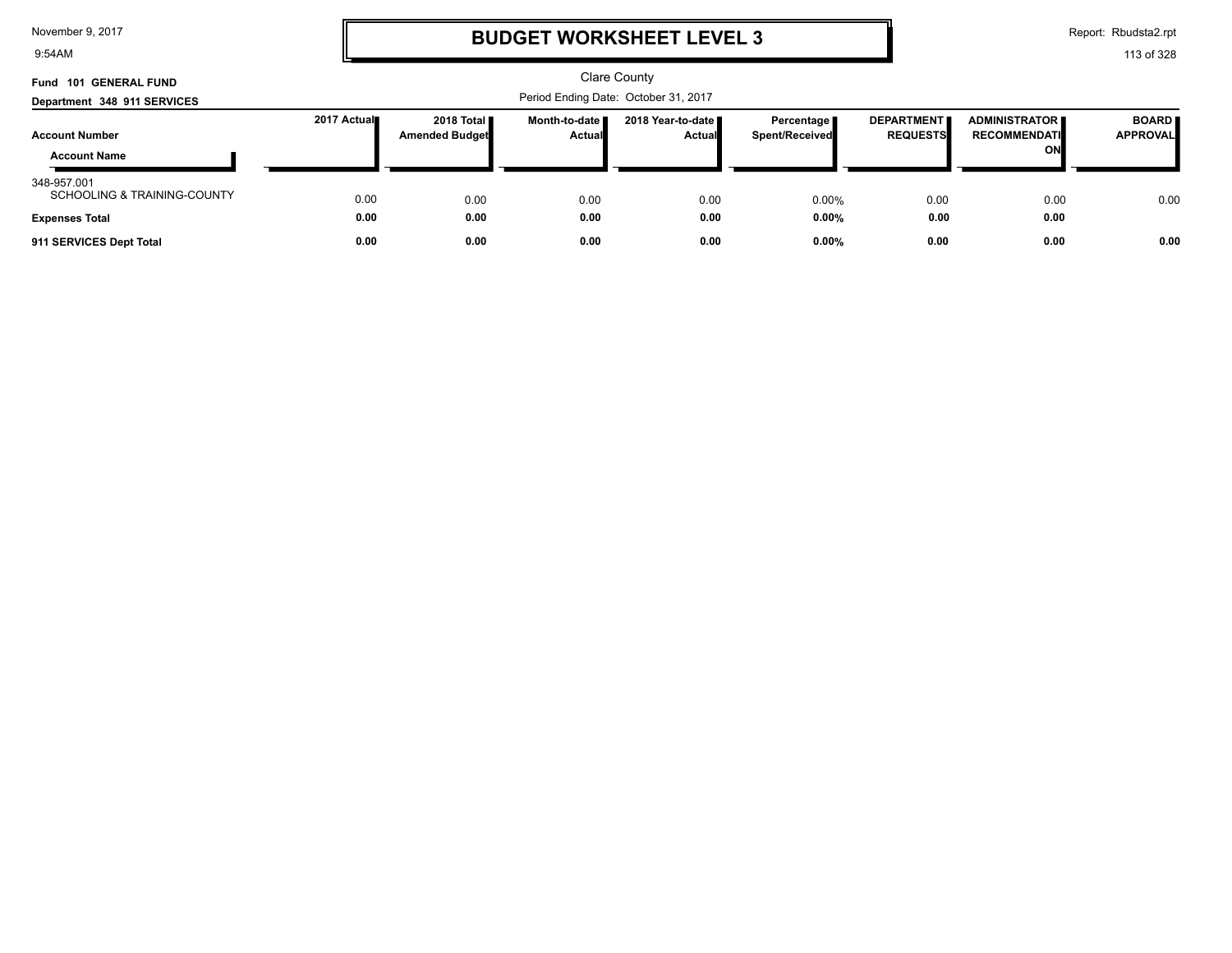9:54AM

### **BUDGET WORKSHEET LEVEL 3**

Report: Rbudsta2.rpt

| <b>GENERAL FUND</b><br>Fund<br>101                                             |              |                                               |                           | <b>Clare County</b>                  |                              |                                      |                                                   |                                 |
|--------------------------------------------------------------------------------|--------------|-----------------------------------------------|---------------------------|--------------------------------------|------------------------------|--------------------------------------|---------------------------------------------------|---------------------------------|
| Department 348 911 SERVICES                                                    |              | Period Ending Date: October 31, 2017          |                           |                                      |                              |                                      |                                                   |                                 |
| <b>Account Number</b><br><b>Account Name</b>                                   | 2017 Actual  | 2018 Total <b>II</b><br><b>Amended Budget</b> | Month-to-date I<br>Actual | 2018 Year-to-date ■<br><b>Actual</b> | Percentage<br>Spent/Received | <b>DEPARTMENT</b><br><b>REQUESTS</b> | <b>ADMINISTRATOR</b><br><b>RECOMMENDATI</b><br>ON | <b>BOARD</b><br><b>APPROVAL</b> |
| 348-957.001<br><b>SCHOOLING &amp; TRAINING-COUNTY</b><br><b>Expenses Total</b> | 0.00<br>0.00 | 0.00<br>0.00                                  | 0.00<br>0.00              | 0.00<br>0.00                         | 0.00%<br>$0.00\%$            | 0.00<br>0.00                         | 0.00<br>0.00                                      | 0.00                            |
| 911 SERVICES Dept Total                                                        | 0.00         | 0.00                                          | 0.00                      | 0.00                                 | $0.00\%$                     | 0.00                                 | 0.00                                              | 0.00                            |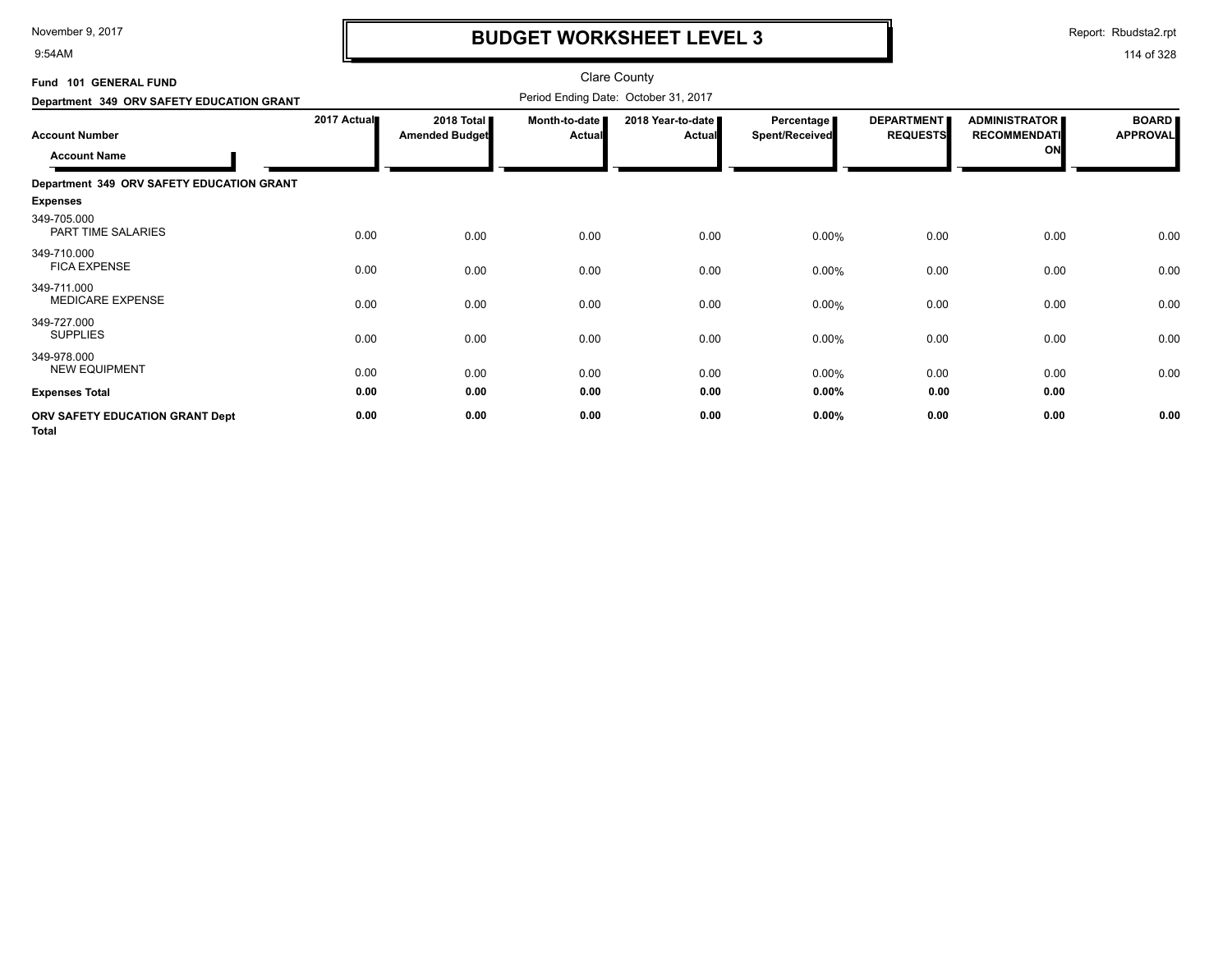9:54AM

## **BUDGET WORKSHEET LEVEL 3**

Report: Rbudsta2.rpt

| Fund 101 GENERAL FUND                           |             |                                     |                         | <b>Clare County</b>                  |                                     |                                      |                                                   |                                 |
|-------------------------------------------------|-------------|-------------------------------------|-------------------------|--------------------------------------|-------------------------------------|--------------------------------------|---------------------------------------------------|---------------------------------|
| Department 349 ORV SAFETY EDUCATION GRANT       |             |                                     |                         | Period Ending Date: October 31, 2017 |                                     |                                      |                                                   |                                 |
| <b>Account Number</b><br><b>Account Name</b>    | 2017 Actual | 2018 Total<br><b>Amended Budget</b> | Month-to-date<br>Actual | 2018 Year-to-date<br><b>Actual</b>   | Percentage<br><b>Spent/Received</b> | <b>DEPARTMENT</b><br><b>REQUESTS</b> | <b>ADMINISTRATOR</b><br><b>RECOMMENDATI</b><br>ON | <b>BOARD</b><br><b>APPROVAL</b> |
| Department 349 ORV SAFETY EDUCATION GRANT       |             |                                     |                         |                                      |                                     |                                      |                                                   |                                 |
| <b>Expenses</b>                                 |             |                                     |                         |                                      |                                     |                                      |                                                   |                                 |
| 349-705.000<br>PART TIME SALARIES               | 0.00        | 0.00                                | 0.00                    | 0.00                                 | 0.00%                               | 0.00                                 | 0.00                                              | 0.00                            |
| 349-710.000<br><b>FICA EXPENSE</b>              | 0.00        | 0.00                                | 0.00                    | 0.00                                 | 0.00%                               | 0.00                                 | 0.00                                              | 0.00                            |
| 349-711.000<br><b>MEDICARE EXPENSE</b>          | 0.00        | 0.00                                | 0.00                    | 0.00                                 | 0.00%                               | 0.00                                 | 0.00                                              | 0.00                            |
| 349-727.000<br><b>SUPPLIES</b>                  | 0.00        | 0.00                                | 0.00                    | 0.00                                 | 0.00%                               | 0.00                                 | 0.00                                              | 0.00                            |
| 349-978.000<br><b>NEW EQUIPMENT</b>             | 0.00        | 0.00                                | 0.00                    | 0.00                                 | 0.00%                               | 0.00                                 | 0.00                                              | 0.00                            |
| <b>Expenses Total</b>                           | 0.00        | 0.00                                | 0.00                    | 0.00                                 | 0.00%                               | 0.00                                 | 0.00                                              |                                 |
| ORV SAFETY EDUCATION GRANT Dept<br><b>Total</b> | 0.00        | 0.00                                | 0.00                    | 0.00                                 | 0.00%                               | 0.00                                 | 0.00                                              | 0.00                            |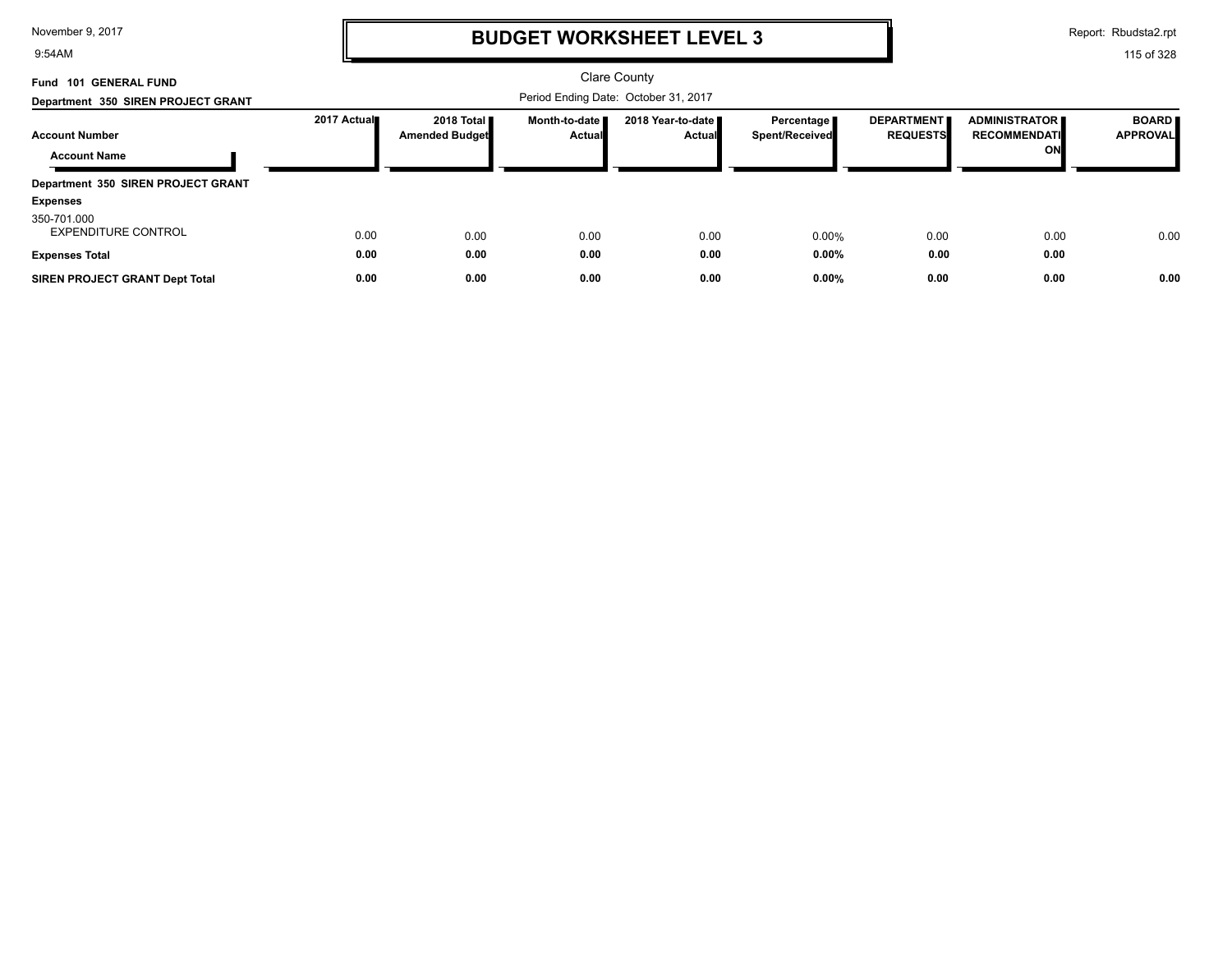9:54AM

## **BUDGET WORKSHEET LEVEL 3**

Report: Rbudsta2.rpt

| <b>GENERAL FUND</b><br>Fund 101           |             |                                       |                                      | <b>Clare County</b>                  |                                       |                                      |                                             |                                 |
|-------------------------------------------|-------------|---------------------------------------|--------------------------------------|--------------------------------------|---------------------------------------|--------------------------------------|---------------------------------------------|---------------------------------|
| Department 350 SIREN PROJECT GRANT        |             |                                       | Period Ending Date: October 31, 2017 |                                      |                                       |                                      |                                             |                                 |
| <b>Account Number</b>                     | 2017 Actual | 2018 Total I<br><b>Amended Budget</b> | Month-to-date ■<br><b>Actual</b>     | 2018 Year-to-date ■<br><b>Actual</b> | Percentage  <br><b>Spent/Received</b> | <b>DEPARTMENT</b><br><b>REQUESTS</b> | <b>ADMINISTRATOR</b><br><b>RECOMMENDATI</b> | <b>BOARD</b><br><b>APPROVAL</b> |
| <b>Account Name</b>                       |             |                                       |                                      |                                      |                                       |                                      | ON                                          |                                 |
| Department 350 SIREN PROJECT GRANT        |             |                                       |                                      |                                      |                                       |                                      |                                             |                                 |
| <b>Expenses</b>                           |             |                                       |                                      |                                      |                                       |                                      |                                             |                                 |
| 350-701.000<br><b>EXPENDITURE CONTROL</b> | 0.00        | 0.00                                  | 0.00                                 | 0.00                                 | 0.00%                                 | 0.00                                 | 0.00                                        | 0.00                            |
| <b>Expenses Total</b>                     | 0.00        | 0.00                                  | 0.00                                 | 0.00                                 | 0.00%                                 | 0.00                                 | 0.00                                        |                                 |
| <b>SIREN PROJECT GRANT Dept Total</b>     | 0.00        | 0.00                                  | 0.00                                 | 0.00                                 | 0.00%                                 | 0.00                                 | 0.00                                        | 0.00                            |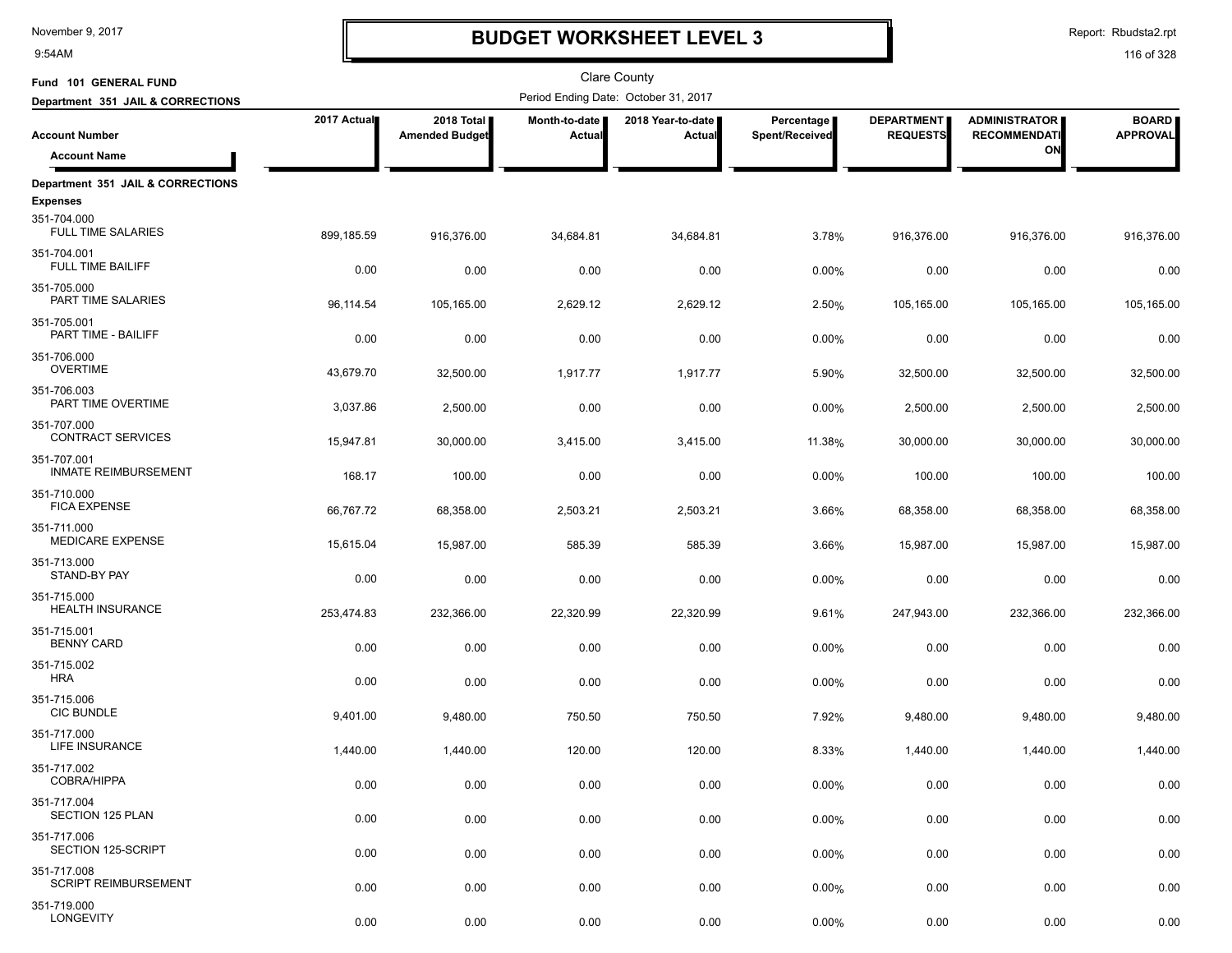9:54AM

## **BUDGET WORKSHEET LEVEL 3**

Report: Rbudsta2.rpt

| Fund 101 GENERAL FUND                                |             |                                     |                         | <b>Clare County</b>                  |                              |                                      |                                             |                                 |
|------------------------------------------------------|-------------|-------------------------------------|-------------------------|--------------------------------------|------------------------------|--------------------------------------|---------------------------------------------|---------------------------------|
| Department 351 JAIL & CORRECTIONS                    |             |                                     |                         | Period Ending Date: October 31, 2017 |                              |                                      |                                             |                                 |
| <b>Account Number</b>                                | 2017 Actual | 2018 Total<br><b>Amended Budget</b> | Month-to-date<br>Actual | 2018 Year-to-date<br>Actual          | Percentage<br>Spent/Received | <b>DEPARTMENT</b><br><b>REQUESTS</b> | <b>ADMINISTRATOR</b><br><b>RECOMMENDATI</b> | <b>BOARD</b><br><b>APPROVAL</b> |
| <b>Account Name</b>                                  |             |                                     |                         |                                      |                              |                                      | ON                                          |                                 |
| Department 351 JAIL & CORRECTIONS<br><b>Expenses</b> |             |                                     |                         |                                      |                              |                                      |                                             |                                 |
| 351-704.000<br><b>FULL TIME SALARIES</b>             | 899,185.59  | 916,376.00                          | 34,684.81               | 34,684.81                            | 3.78%                        | 916,376.00                           | 916,376.00                                  | 916,376.00                      |
| 351-704.001<br>FULL TIME BAILIFF                     | 0.00        | 0.00                                | 0.00                    | 0.00                                 | 0.00%                        | 0.00                                 | 0.00                                        | 0.00                            |
| 351-705.000<br>PART TIME SALARIES                    | 96,114.54   | 105,165.00                          | 2,629.12                | 2,629.12                             | 2.50%                        | 105,165.00                           | 105,165.00                                  | 105,165.00                      |
| 351-705.001<br>PART TIME - BAILIFF                   | 0.00        | 0.00                                | 0.00                    | 0.00                                 | 0.00%                        | 0.00                                 | 0.00                                        | 0.00                            |
| 351-706.000<br><b>OVERTIME</b>                       | 43,679.70   | 32,500.00                           | 1,917.77                | 1,917.77                             | 5.90%                        | 32,500.00                            | 32,500.00                                   | 32,500.00                       |
| 351-706.003<br>PART TIME OVERTIME                    | 3,037.86    | 2,500.00                            | 0.00                    | 0.00                                 | 0.00%                        | 2,500.00                             | 2,500.00                                    | 2,500.00                        |
| 351-707.000<br><b>CONTRACT SERVICES</b>              | 15,947.81   | 30,000.00                           | 3,415.00                | 3,415.00                             | 11.38%                       | 30,000.00                            | 30,000.00                                   | 30,000.00                       |
| 351-707.001<br><b>INMATE REIMBURSEMENT</b>           | 168.17      | 100.00                              | 0.00                    | 0.00                                 | 0.00%                        | 100.00                               | 100.00                                      | 100.00                          |
| 351-710.000<br><b>FICA EXPENSE</b>                   | 66,767.72   | 68,358.00                           | 2,503.21                | 2,503.21                             | 3.66%                        | 68,358.00                            | 68,358.00                                   | 68,358.00                       |
| 351-711.000<br><b>MEDICARE EXPENSE</b>               | 15,615.04   | 15,987.00                           | 585.39                  | 585.39                               | 3.66%                        | 15,987.00                            | 15,987.00                                   | 15,987.00                       |
| 351-713.000<br>STAND-BY PAY                          | 0.00        | 0.00                                | 0.00                    | 0.00                                 | 0.00%                        | 0.00                                 | 0.00                                        | 0.00                            |
| 351-715.000<br><b>HEALTH INSURANCE</b>               | 253,474.83  | 232,366.00                          | 22,320.99               | 22,320.99                            | 9.61%                        | 247,943.00                           | 232,366.00                                  | 232,366.00                      |
| 351-715.001<br><b>BENNY CARD</b>                     | 0.00        | 0.00                                | 0.00                    | 0.00                                 | 0.00%                        | 0.00                                 | 0.00                                        | 0.00                            |
| 351-715.002<br><b>HRA</b>                            | 0.00        | 0.00                                | 0.00                    | 0.00                                 | 0.00%                        | 0.00                                 | 0.00                                        | 0.00                            |
| 351-715.006<br><b>CIC BUNDLE</b>                     | 9,401.00    | 9,480.00                            | 750.50                  | 750.50                               | 7.92%                        | 9,480.00                             | 9,480.00                                    | 9,480.00                        |
| 351-717.000<br>LIFE INSURANCE                        | 1,440.00    | 1,440.00                            | 120.00                  | 120.00                               | 8.33%                        | 1,440.00                             | 1,440.00                                    | 1,440.00                        |
| 351-717.002<br>COBRA/HIPPA                           | 0.00        | 0.00                                | 0.00                    | 0.00                                 | 0.00%                        | 0.00                                 | 0.00                                        | 0.00                            |
| 351-717.004<br><b>SECTION 125 PLAN</b>               | 0.00        | 0.00                                | 0.00                    | 0.00                                 | 0.00%                        | 0.00                                 | 0.00                                        | 0.00                            |
| 351-717.006<br>SECTION 125-SCRIPT                    | 0.00        | 0.00                                | 0.00                    | 0.00                                 | 0.00%                        | 0.00                                 | 0.00                                        | 0.00                            |
| 351-717.008<br><b>SCRIPT REIMBURSEMENT</b>           | 0.00        | 0.00                                | 0.00                    | 0.00                                 | 0.00%                        | 0.00                                 | 0.00                                        | 0.00                            |
| 351-719.000<br>LONGEVITY                             | 0.00        | 0.00                                | 0.00                    | 0.00                                 | 0.00%                        | 0.00                                 | 0.00                                        | 0.00                            |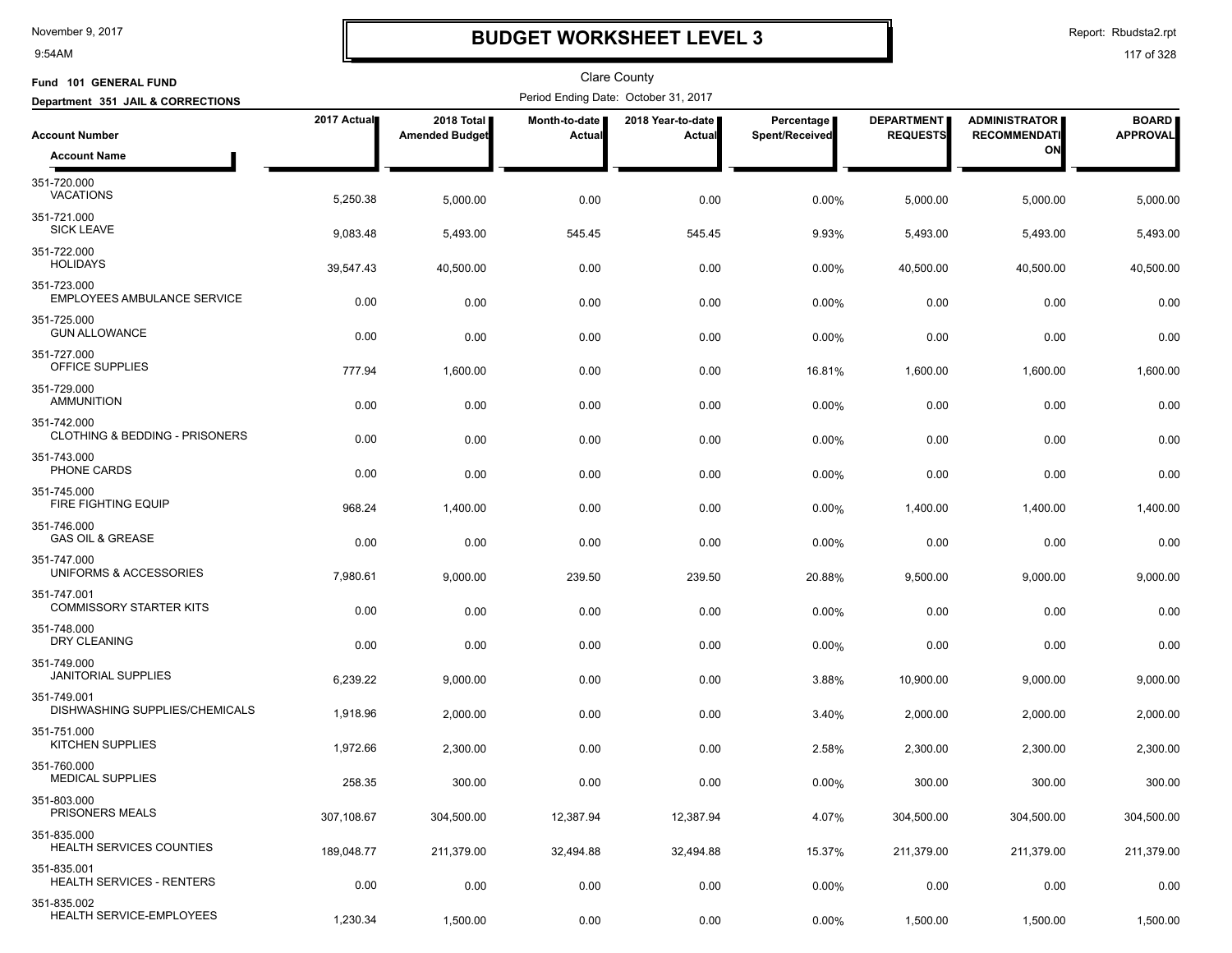9:54AM

## **BUDGET WORKSHEET LEVEL 3**

Report: Rbudsta2.rpt

| Fund 101 GENERAL FUND                             |             |                                     |                         | <b>Clare County</b>                  |                              |                                      |                                             |                                 |
|---------------------------------------------------|-------------|-------------------------------------|-------------------------|--------------------------------------|------------------------------|--------------------------------------|---------------------------------------------|---------------------------------|
| Department 351 JAIL & CORRECTIONS                 |             |                                     |                         | Period Ending Date: October 31, 2017 |                              |                                      |                                             |                                 |
| <b>Account Number</b>                             | 2017 Actual | 2018 Total<br><b>Amended Budget</b> | Month-to-date<br>Actual | 2018 Year-to-date  <br>Actual        | Percentage<br>Spent/Received | <b>DEPARTMENT</b><br><b>REQUESTS</b> | <b>ADMINISTRATOR</b><br><b>RECOMMENDATI</b> | <b>BOARD</b><br><b>APPROVAL</b> |
| <b>Account Name</b>                               |             |                                     |                         |                                      |                              |                                      | ON                                          |                                 |
| 351-720.000<br><b>VACATIONS</b>                   | 5,250.38    | 5,000.00                            | 0.00                    | 0.00                                 | 0.00%                        | 5,000.00                             | 5,000.00                                    | 5,000.00                        |
| 351-721.000<br><b>SICK LEAVE</b>                  | 9,083.48    | 5,493.00                            | 545.45                  | 545.45                               | 9.93%                        | 5,493.00                             | 5,493.00                                    | 5,493.00                        |
| 351-722.000<br><b>HOLIDAYS</b>                    | 39,547.43   | 40,500.00                           | 0.00                    | 0.00                                 | 0.00%                        | 40,500.00                            | 40,500.00                                   | 40,500.00                       |
| 351-723.000<br><b>EMPLOYEES AMBULANCE SERVICE</b> | 0.00        | 0.00                                | 0.00                    | 0.00                                 | 0.00%                        | 0.00                                 | 0.00                                        | 0.00                            |
| 351-725.000<br><b>GUN ALLOWANCE</b>               | 0.00        | 0.00                                | 0.00                    | 0.00                                 | 0.00%                        | 0.00                                 | 0.00                                        | 0.00                            |
| 351-727.000<br>OFFICE SUPPLIES                    | 777.94      | 1,600.00                            | 0.00                    | 0.00                                 | 16.81%                       | 1,600.00                             | 1,600.00                                    | 1,600.00                        |
| 351-729.000<br><b>AMMUNITION</b>                  | 0.00        | 0.00                                | 0.00                    | 0.00                                 | 0.00%                        | 0.00                                 | 0.00                                        | 0.00                            |
| 351-742.000<br>CLOTHING & BEDDING - PRISONERS     | 0.00        | 0.00                                | 0.00                    | 0.00                                 | 0.00%                        | 0.00                                 | 0.00                                        | 0.00                            |
| 351-743.000<br>PHONE CARDS                        | 0.00        | 0.00                                | 0.00                    | 0.00                                 | 0.00%                        | 0.00                                 | 0.00                                        | 0.00                            |
| 351-745.000<br><b>FIRE FIGHTING EQUIP</b>         | 968.24      | 1,400.00                            | 0.00                    | 0.00                                 | 0.00%                        | 1,400.00                             | 1,400.00                                    | 1,400.00                        |
| 351-746.000<br><b>GAS OIL &amp; GREASE</b>        | 0.00        | 0.00                                | 0.00                    | 0.00                                 | 0.00%                        | 0.00                                 | 0.00                                        | 0.00                            |
| 351-747.000<br>UNIFORMS & ACCESSORIES             | 7,980.61    | 9,000.00                            | 239.50                  | 239.50                               | 20.88%                       | 9,500.00                             | 9,000.00                                    | 9,000.00                        |
| 351-747.001<br><b>COMMISSORY STARTER KITS</b>     | 0.00        | 0.00                                | 0.00                    | 0.00                                 | 0.00%                        | 0.00                                 | 0.00                                        | 0.00                            |
| 351-748.000<br>DRY CLEANING                       | 0.00        | 0.00                                | 0.00                    | 0.00                                 | 0.00%                        | 0.00                                 | 0.00                                        | 0.00                            |
| 351-749.000<br><b>JANITORIAL SUPPLIES</b>         | 6,239.22    | 9,000.00                            | 0.00                    | 0.00                                 | 3.88%                        | 10,900.00                            | 9,000.00                                    | 9,000.00                        |
| 351-749.001<br>DISHWASHING SUPPLIES/CHEMICALS     | 1,918.96    | 2,000.00                            | 0.00                    | 0.00                                 | 3.40%                        | 2,000.00                             | 2,000.00                                    | 2,000.00                        |
| 351-751.000<br><b>KITCHEN SUPPLIES</b>            | 1,972.66    | 2,300.00                            | 0.00                    | 0.00                                 | 2.58%                        | 2,300.00                             | 2,300.00                                    | 2,300.00                        |
| 351-760.000<br><b>MEDICAL SUPPLIES</b>            | 258.35      | 300.00                              | 0.00                    | 0.00                                 | 0.00%                        | 300.00                               | 300.00                                      | 300.00                          |
| 351-803.000<br>PRISONERS MEALS                    | 307,108.67  | 304,500.00                          | 12,387.94               | 12,387.94                            | 4.07%                        | 304,500.00                           | 304,500.00                                  | 304,500.00                      |
| 351-835.000<br><b>HEALTH SERVICES COUNTIES</b>    | 189,048.77  | 211,379.00                          | 32,494.88               | 32,494.88                            | 15.37%                       | 211,379.00                           | 211,379.00                                  | 211,379.00                      |
| 351-835.001<br><b>HEALTH SERVICES - RENTERS</b>   | 0.00        | 0.00                                | 0.00                    | 0.00                                 | 0.00%                        | 0.00                                 | 0.00                                        | 0.00                            |
| 351-835.002<br>HEALTH SERVICE-EMPLOYEES           | 1,230.34    | 1,500.00                            | 0.00                    | 0.00                                 | 0.00%                        | 1,500.00                             | 1,500.00                                    | 1,500.00                        |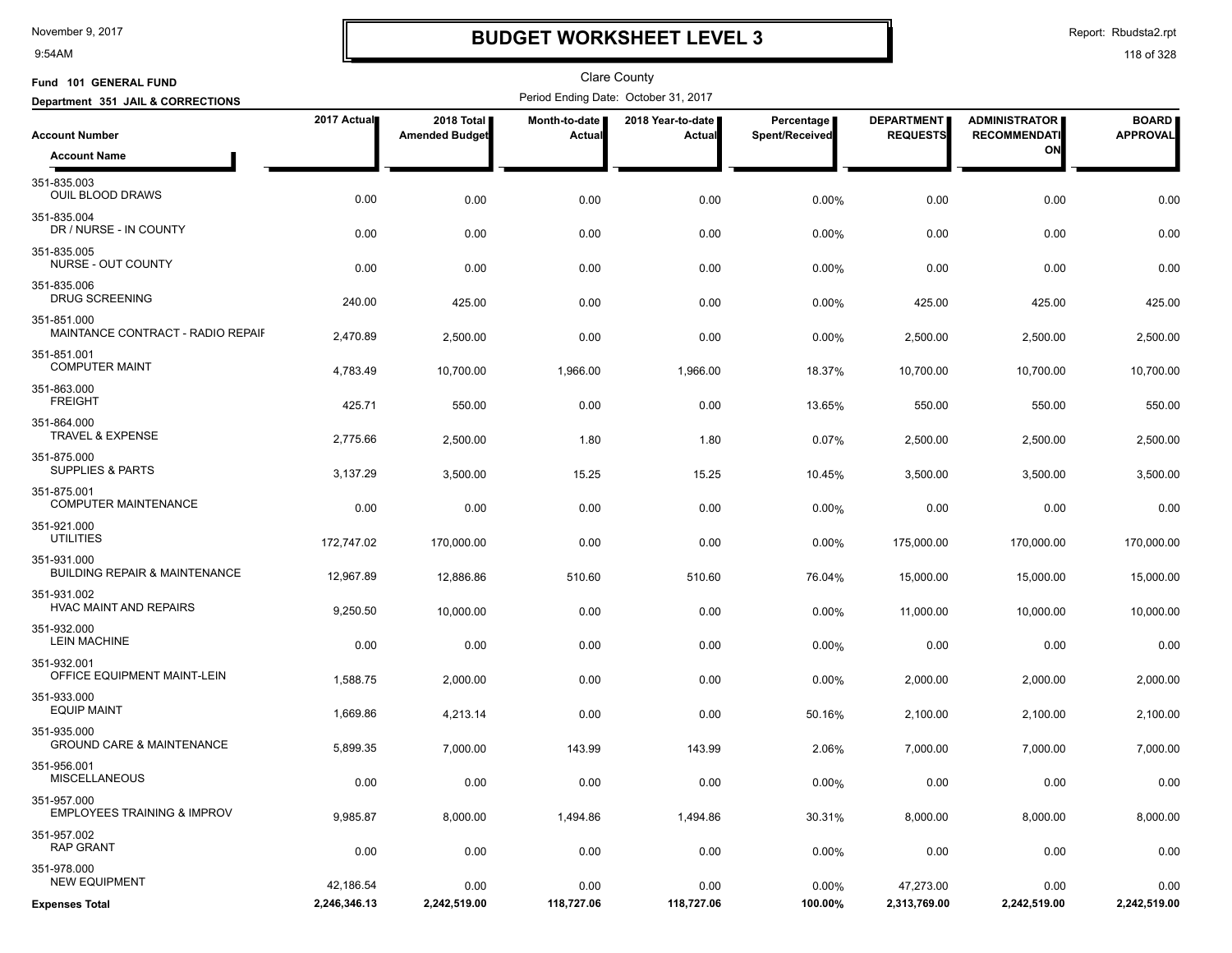9:54AM

## **BUDGET WORKSHEET LEVEL 3**

Report: Rbudsta2.rpt

| Fund 101 GENERAL FUND                                   |              |                                     |                         | <b>Clare County</b>                  |                              |                                      |                                             |                                 |
|---------------------------------------------------------|--------------|-------------------------------------|-------------------------|--------------------------------------|------------------------------|--------------------------------------|---------------------------------------------|---------------------------------|
| Department 351 JAIL & CORRECTIONS                       |              |                                     |                         | Period Ending Date: October 31, 2017 |                              |                                      |                                             |                                 |
| <b>Account Number</b>                                   | 2017 Actual  | 2018 Total<br><b>Amended Budget</b> | Month-to-date<br>Actual | 2018 Year-to-date<br>Actual          | Percentage<br>Spent/Received | <b>DEPARTMENT</b><br><b>REQUESTS</b> | <b>ADMINISTRATOR</b><br><b>RECOMMENDATI</b> | <b>BOARD</b><br><b>APPROVAL</b> |
| <b>Account Name</b>                                     |              |                                     |                         |                                      |                              |                                      | ON                                          |                                 |
| 351-835.003<br>OUIL BLOOD DRAWS                         | 0.00         | 0.00                                | 0.00                    | 0.00                                 | 0.00%                        | 0.00                                 | 0.00                                        | 0.00                            |
| 351-835.004<br>DR / NURSE - IN COUNTY                   | 0.00         | 0.00                                | 0.00                    | 0.00                                 | 0.00%                        | 0.00                                 | 0.00                                        | 0.00                            |
| 351-835.005<br>NURSE - OUT COUNTY                       | 0.00         | 0.00                                | 0.00                    | 0.00                                 | 0.00%                        | 0.00                                 | 0.00                                        | 0.00                            |
| 351-835.006<br><b>DRUG SCREENING</b>                    | 240.00       | 425.00                              | 0.00                    | 0.00                                 | $0.00\%$                     | 425.00                               | 425.00                                      | 425.00                          |
| 351-851.000<br>MAINTANCE CONTRACT - RADIO REPAIF        | 2,470.89     | 2,500.00                            | 0.00                    | 0.00                                 | 0.00%                        | 2,500.00                             | 2,500.00                                    | 2,500.00                        |
| 351-851.001<br><b>COMPUTER MAINT</b>                    | 4,783.49     | 10,700.00                           | 1,966.00                | 1,966.00                             | 18.37%                       | 10,700.00                            | 10,700.00                                   | 10,700.00                       |
| 351-863.000<br><b>FREIGHT</b>                           | 425.71       | 550.00                              | 0.00                    | 0.00                                 | 13.65%                       | 550.00                               | 550.00                                      | 550.00                          |
| 351-864.000<br><b>TRAVEL &amp; EXPENSE</b>              | 2,775.66     | 2,500.00                            | 1.80                    | 1.80                                 | 0.07%                        | 2,500.00                             | 2,500.00                                    | 2,500.00                        |
| 351-875.000<br><b>SUPPLIES &amp; PARTS</b>              | 3,137.29     | 3,500.00                            | 15.25                   | 15.25                                | 10.45%                       | 3,500.00                             | 3,500.00                                    | 3,500.00                        |
| 351-875.001<br><b>COMPUTER MAINTENANCE</b>              | 0.00         | 0.00                                | 0.00                    | 0.00                                 | 0.00%                        | 0.00                                 | 0.00                                        | 0.00                            |
| 351-921.000<br><b>UTILITIES</b>                         | 172,747.02   | 170,000.00                          | 0.00                    | 0.00                                 | $0.00\%$                     | 175,000.00                           | 170,000.00                                  | 170,000.00                      |
| 351-931.000<br><b>BUILDING REPAIR &amp; MAINTENANCE</b> | 12,967.89    | 12,886.86                           | 510.60                  | 510.60                               | 76.04%                       | 15,000.00                            | 15,000.00                                   | 15,000.00                       |
| 351-931.002<br><b>HVAC MAINT AND REPAIRS</b>            | 9,250.50     | 10,000.00                           | 0.00                    | 0.00                                 | 0.00%                        | 11,000.00                            | 10,000.00                                   | 10,000.00                       |
| 351-932.000<br><b>LEIN MACHINE</b>                      | 0.00         | 0.00                                | 0.00                    | 0.00                                 | 0.00%                        | 0.00                                 | 0.00                                        | 0.00                            |
| 351-932.001<br>OFFICE EQUIPMENT MAINT-LEIN              | 1,588.75     | 2,000.00                            | 0.00                    | 0.00                                 | 0.00%                        | 2,000.00                             | 2,000.00                                    | 2,000.00                        |
| 351-933.000<br><b>EQUIP MAINT</b>                       | 1,669.86     | 4,213.14                            | 0.00                    | 0.00                                 | 50.16%                       | 2,100.00                             | 2,100.00                                    | 2,100.00                        |
| 351-935.000<br><b>GROUND CARE &amp; MAINTENANCE</b>     | 5,899.35     | 7,000.00                            | 143.99                  | 143.99                               | 2.06%                        | 7,000.00                             | 7,000.00                                    | 7,000.00                        |
| 351-956.001<br><b>MISCELLANEOUS</b>                     | 0.00         | 0.00                                | 0.00                    | 0.00                                 | 0.00%                        | 0.00                                 | 0.00                                        | 0.00                            |
| 351-957.000<br><b>EMPLOYEES TRAINING &amp; IMPROV</b>   | 9,985.87     | 8,000.00                            | 1,494.86                | 1,494.86                             | 30.31%                       | 8,000.00                             | 8,000.00                                    | 8,000.00                        |
| 351-957.002<br><b>RAP GRANT</b>                         | 0.00         | 0.00                                | 0.00                    | 0.00                                 | 0.00%                        | 0.00                                 | 0.00                                        | 0.00                            |
| 351-978.000<br><b>NEW EQUIPMENT</b>                     | 42,186.54    | 0.00                                | 0.00                    | 0.00                                 | 0.00%                        | 47,273.00                            | 0.00                                        | 0.00                            |
| <b>Expenses Total</b>                                   | 2,246,346.13 | 2,242,519.00                        | 118,727.06              | 118,727.06                           | 100.00%                      | 2,313,769.00                         | 2,242,519.00                                | 2,242,519.00                    |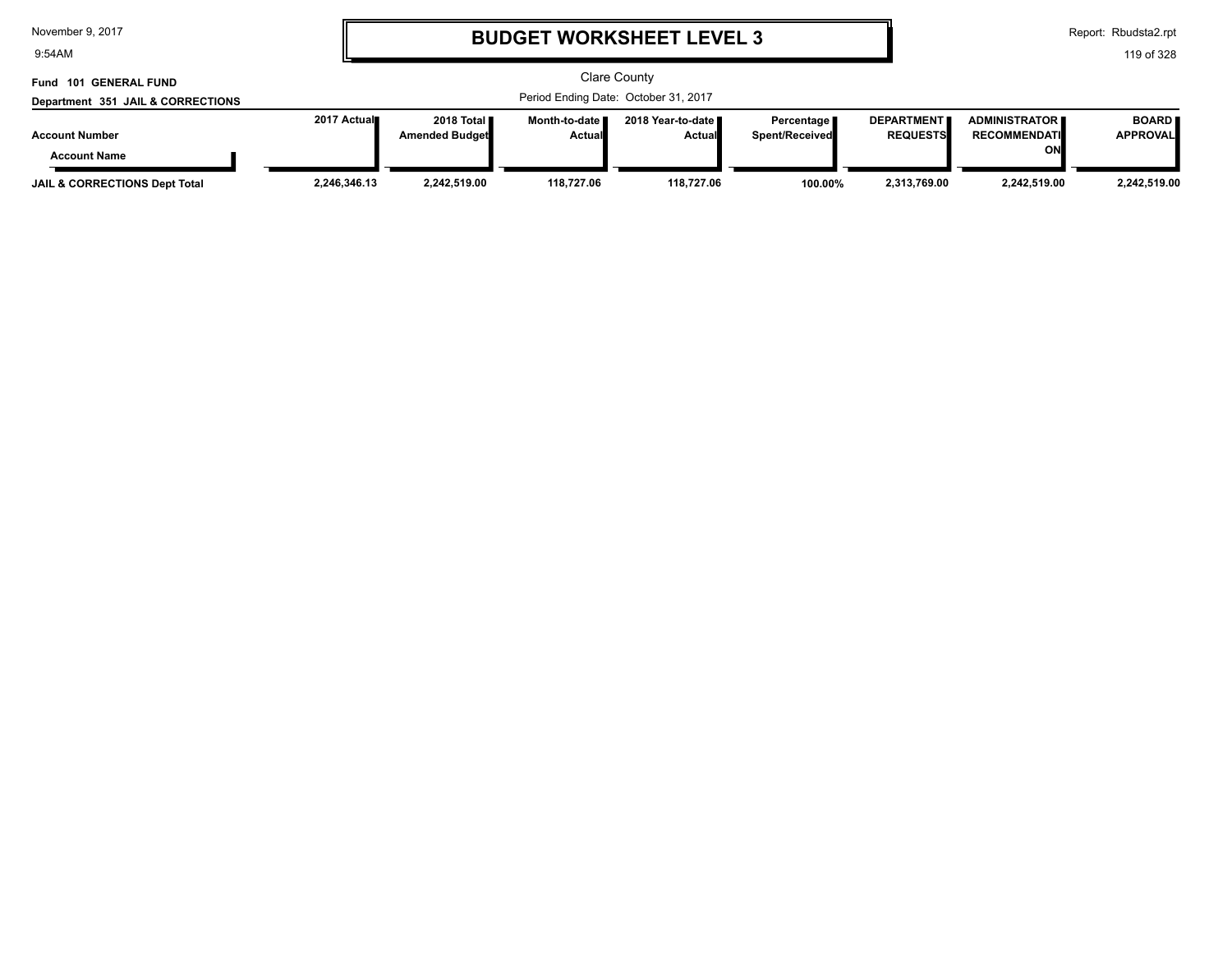9:54AM

# **BUDGET WORKSHEET LEVEL 3**

Report: Rbudsta2.rpt

| Fund 101 GENERAL FUND                    | Clare County |                                       |                                  |                                      |                                     |                                      |                                             |                                 |
|------------------------------------------|--------------|---------------------------------------|----------------------------------|--------------------------------------|-------------------------------------|--------------------------------------|---------------------------------------------|---------------------------------|
| Department 351 JAIL & CORRECTIONS        |              |                                       |                                  | Period Ending Date: October 31, 2017 |                                     |                                      |                                             |                                 |
| <b>Account Number</b>                    | 2017 Actual  | 2018 Total ■<br><b>Amended Budget</b> | Month-to-date ■<br><b>Actual</b> | 2018 Year-to-date ∎<br><b>Actual</b> | Percentage<br><b>Spent/Received</b> | <b>DEPARTMENT</b><br><b>REQUESTS</b> | <b>ADMINISTRATOR</b><br><b>RECOMMENDATI</b> | <b>BOARD</b><br><b>APPROVAL</b> |
| <b>Account Name</b>                      |              |                                       |                                  |                                      |                                     |                                      | ON                                          |                                 |
| <b>JAIL &amp; CORRECTIONS Dept Total</b> | 2,246,346.13 | 2,242,519.00                          | 118.727.06                       | 118.727.06                           | 100.00%                             | 2,313,769.00                         | 2.242.519.00                                | 2,242,519.00                    |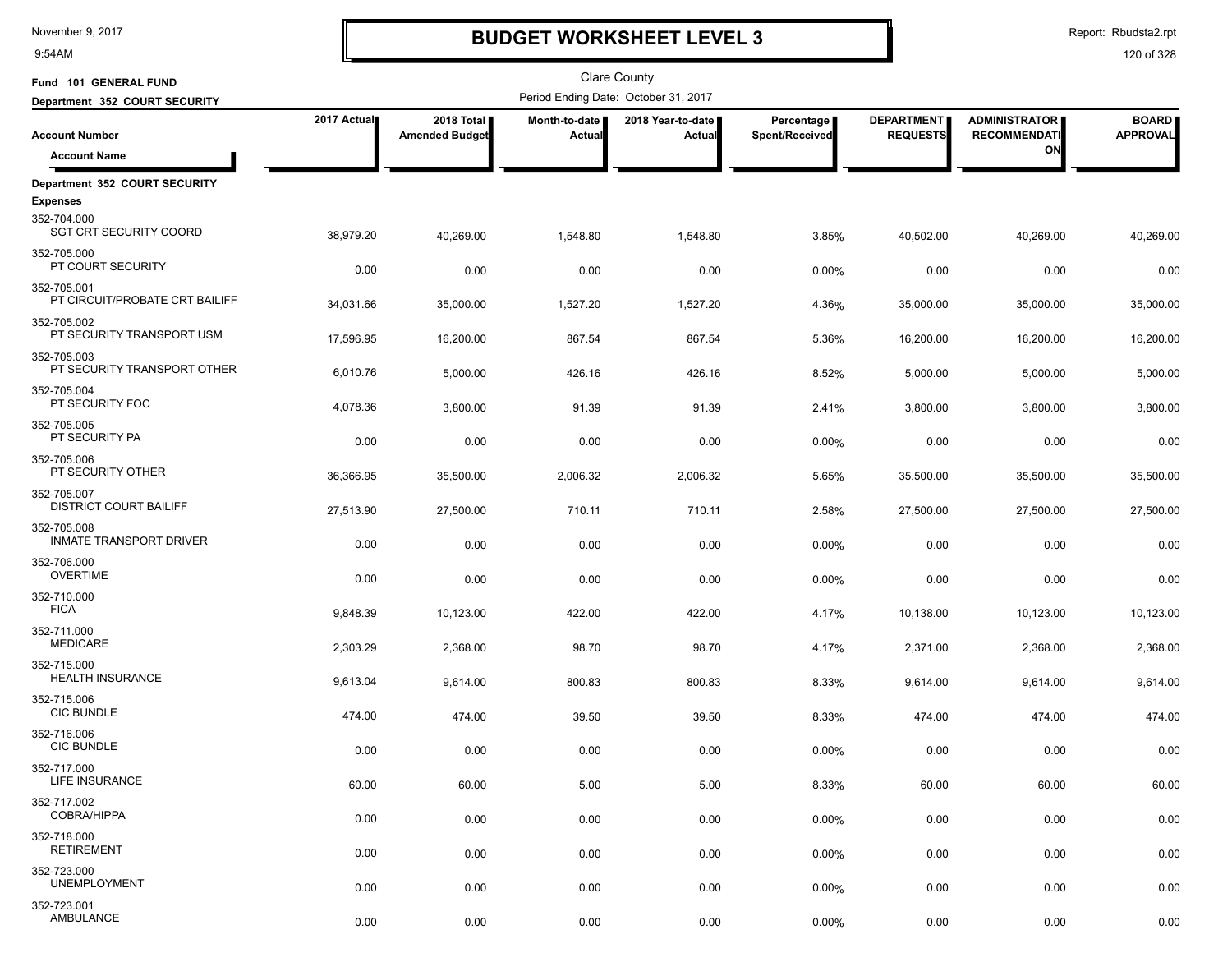9:54AM

## **BUDGET WORKSHEET LEVEL 3**

Clare County

Report: Rbudsta2.rpt

| Fund 101 GENERAL FUND                         |             |                                     |                           | <b>Clare County</b>                  |                              |                                      |                                             |                                 |
|-----------------------------------------------|-------------|-------------------------------------|---------------------------|--------------------------------------|------------------------------|--------------------------------------|---------------------------------------------|---------------------------------|
| Department 352 COURT SECURITY                 |             |                                     |                           | Period Ending Date: October 31, 2017 |                              |                                      |                                             |                                 |
| <b>Account Number</b>                         | 2017 Actual | 2018 Total<br><b>Amended Budget</b> | Month-to-date I<br>Actual | 2018 Year-to-date<br><b>Actual</b>   | Percentage<br>Spent/Received | <b>DEPARTMENT</b><br><b>REQUESTS</b> | <b>ADMINISTRATOR</b><br><b>RECOMMENDATI</b> | <b>BOARD</b><br><b>APPROVAL</b> |
| <b>Account Name</b>                           |             |                                     |                           |                                      |                              |                                      | ON                                          |                                 |
| Department 352 COURT SECURITY                 |             |                                     |                           |                                      |                              |                                      |                                             |                                 |
| <b>Expenses</b>                               |             |                                     |                           |                                      |                              |                                      |                                             |                                 |
| 352-704.000<br><b>SGT CRT SECURITY COORD</b>  | 38,979.20   | 40,269.00                           | 1,548.80                  | 1,548.80                             | 3.85%                        | 40,502.00                            | 40,269.00                                   | 40,269.00                       |
| 352-705.000<br>PT COURT SECURITY              | 0.00        | 0.00                                | 0.00                      | 0.00                                 | 0.00%                        | 0.00                                 | 0.00                                        | 0.00                            |
| 352-705.001<br>PT CIRCUIT/PROBATE CRT BAILIFF | 34,031.66   | 35,000.00                           | 1,527.20                  | 1,527.20                             | 4.36%                        | 35,000.00                            | 35,000.00                                   | 35,000.00                       |
| 352-705.002<br>PT SECURITY TRANSPORT USM      | 17,596.95   | 16,200.00                           | 867.54                    | 867.54                               | 5.36%                        | 16,200.00                            | 16,200.00                                   | 16,200.00                       |
| 352-705.003<br>PT SECURITY TRANSPORT OTHER    | 6,010.76    | 5,000.00                            | 426.16                    | 426.16                               | 8.52%                        | 5,000.00                             | 5,000.00                                    | 5,000.00                        |
| 352-705.004<br>PT SECURITY FOC                | 4,078.36    | 3,800.00                            | 91.39                     | 91.39                                | 2.41%                        | 3,800.00                             | 3,800.00                                    | 3,800.00                        |
| 352-705.005<br>PT SECURITY PA                 | 0.00        | 0.00                                | 0.00                      | 0.00                                 | 0.00%                        | 0.00                                 | 0.00                                        | 0.00                            |
| 352-705.006<br>PT SECURITY OTHER              | 36,366.95   | 35,500.00                           | 2,006.32                  | 2,006.32                             | 5.65%                        | 35,500.00                            | 35,500.00                                   | 35,500.00                       |
| 352-705.007<br><b>DISTRICT COURT BAILIFF</b>  | 27,513.90   | 27,500.00                           | 710.11                    | 710.11                               | 2.58%                        | 27,500.00                            | 27,500.00                                   | 27,500.00                       |
| 352-705.008<br><b>INMATE TRANSPORT DRIVER</b> | 0.00        | 0.00                                | 0.00                      | 0.00                                 | 0.00%                        | 0.00                                 | 0.00                                        | 0.00                            |
| 352-706.000<br><b>OVERTIME</b>                | 0.00        | 0.00                                | 0.00                      | 0.00                                 | 0.00%                        | 0.00                                 | 0.00                                        | 0.00                            |
| 352-710.000<br><b>FICA</b>                    | 9,848.39    | 10,123.00                           | 422.00                    | 422.00                               | 4.17%                        | 10,138.00                            | 10,123.00                                   | 10,123.00                       |
| 352-711.000<br><b>MEDICARE</b>                | 2,303.29    | 2,368.00                            | 98.70                     | 98.70                                | 4.17%                        | 2,371.00                             | 2,368.00                                    | 2,368.00                        |
| 352-715.000<br><b>HEALTH INSURANCE</b>        | 9,613.04    | 9,614.00                            | 800.83                    | 800.83                               | 8.33%                        | 9,614.00                             | 9,614.00                                    | 9,614.00                        |
| 352-715.006<br><b>CIC BUNDLE</b>              | 474.00      | 474.00                              | 39.50                     | 39.50                                | 8.33%                        | 474.00                               | 474.00                                      | 474.00                          |
| 352-716.006<br><b>CIC BUNDLE</b>              | 0.00        | 0.00                                | 0.00                      | 0.00                                 | 0.00%                        | 0.00                                 | 0.00                                        | 0.00                            |
| 352-717.000<br>LIFE INSURANCE                 | 60.00       | 60.00                               | 5.00                      | 5.00                                 | 8.33%                        | 60.00                                | 60.00                                       | 60.00                           |
| 352-717.002<br><b>COBRA/HIPPA</b>             | 0.00        | 0.00                                | 0.00                      | 0.00                                 | 0.00%                        | 0.00                                 | 0.00                                        | 0.00                            |
| 352-718.000<br><b>RETIREMENT</b>              | 0.00        | 0.00                                | 0.00                      | 0.00                                 | 0.00%                        | 0.00                                 | 0.00                                        | 0.00                            |
| 352-723.000<br><b>UNEMPLOYMENT</b>            | 0.00        | 0.00                                | 0.00                      | 0.00                                 | 0.00%                        | 0.00                                 | 0.00                                        | 0.00                            |
| 352-723.001<br>AMBULANCE                      | 0.00        | 0.00                                | 0.00                      | 0.00                                 | 0.00%                        | 0.00                                 | 0.00                                        | 0.00                            |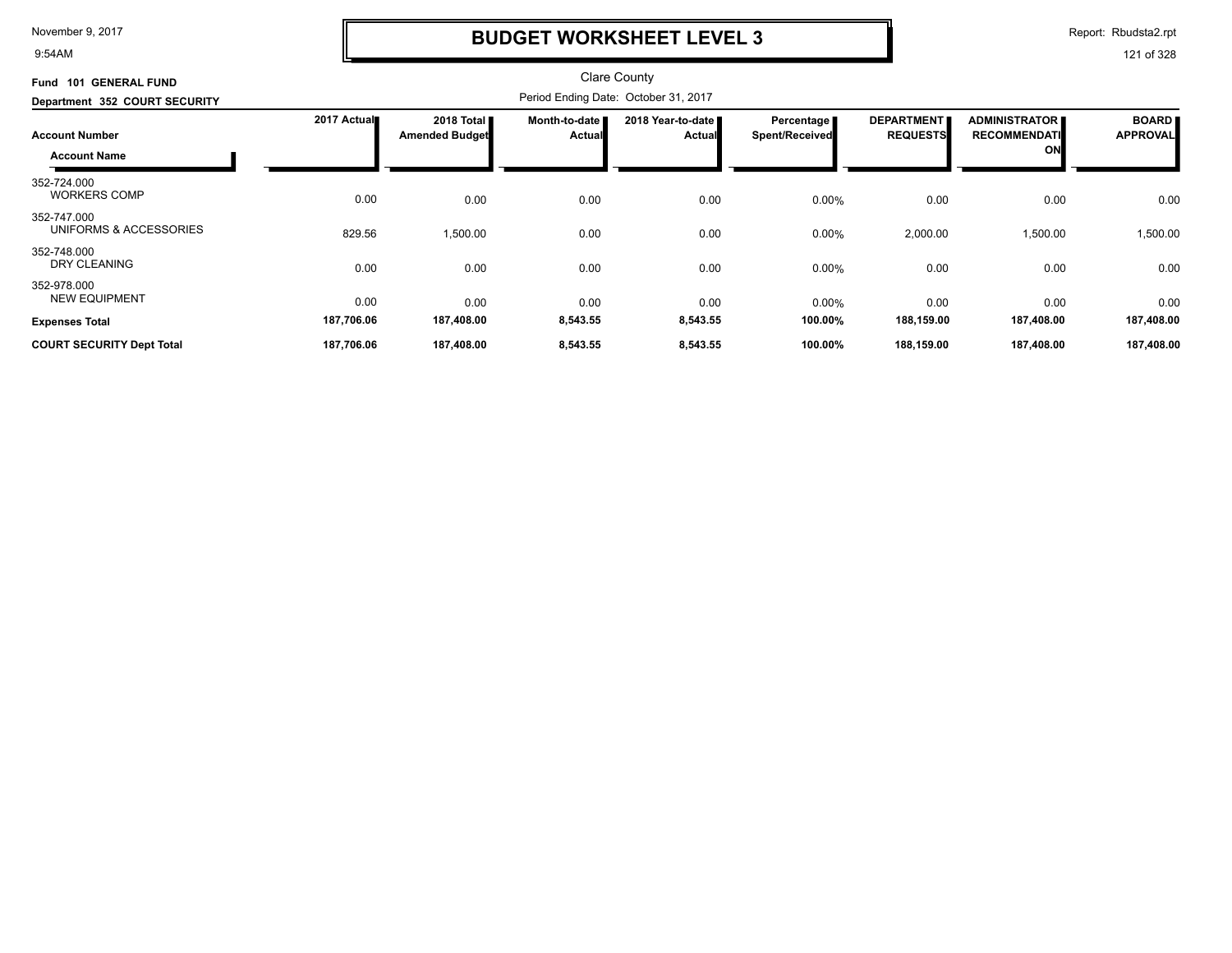9:54AM

### **BUDGET WORKSHEET LEVEL 3**

Report: Rbudsta2.rpt

| <b>GENERAL FUND</b><br><b>Fund 101</b>       |             |                                     |                         | <b>Clare County</b>                  |                              |                                      |                                            |                                 |
|----------------------------------------------|-------------|-------------------------------------|-------------------------|--------------------------------------|------------------------------|--------------------------------------|--------------------------------------------|---------------------------------|
| Department 352 COURT SECURITY                |             |                                     |                         | Period Ending Date: October 31, 2017 |                              |                                      |                                            |                                 |
| <b>Account Number</b><br><b>Account Name</b> | 2017 Actual | 2018 Total<br><b>Amended Budget</b> | Month-to-date<br>Actual | 2018 Year-to-date<br><b>Actual</b>   | Percentage<br>Spent/Received | <b>DEPARTMENT</b><br><b>REQUESTS</b> | ADMINISTRATOR<br><b>RECOMMENDATI</b><br>ON | <b>BOARD</b><br><b>APPROVAL</b> |
| 352-724.000<br><b>WORKERS COMP</b>           | 0.00        | 0.00                                | 0.00                    | 0.00                                 | 0.00%                        | 0.00                                 | 0.00                                       | 0.00                            |
| 352-747.000<br>UNIFORMS & ACCESSORIES        | 829.56      | 1,500.00                            | 0.00                    | 0.00                                 | 0.00%                        | 2,000.00                             | 1,500.00                                   | 1,500.00                        |
| 352-748.000<br><b>DRY CLEANING</b>           | 0.00        | 0.00                                | 0.00                    | 0.00                                 | 0.00%                        | 0.00                                 | 0.00                                       | 0.00                            |
| 352-978.000<br><b>NEW EQUIPMENT</b>          | 0.00        | 0.00                                | 0.00                    | 0.00                                 | 0.00%                        | 0.00                                 | 0.00                                       | 0.00                            |
| <b>Expenses Total</b>                        | 187,706.06  | 187,408.00                          | 8,543.55                | 8,543.55                             | 100.00%                      | 188,159.00                           | 187,408.00                                 | 187,408.00                      |
| <b>COURT SECURITY Dept Total</b>             | 187,706.06  | 187,408.00                          | 8,543.55                | 8,543.55                             | 100.00%                      | 188,159.00                           | 187,408.00                                 | 187,408.00                      |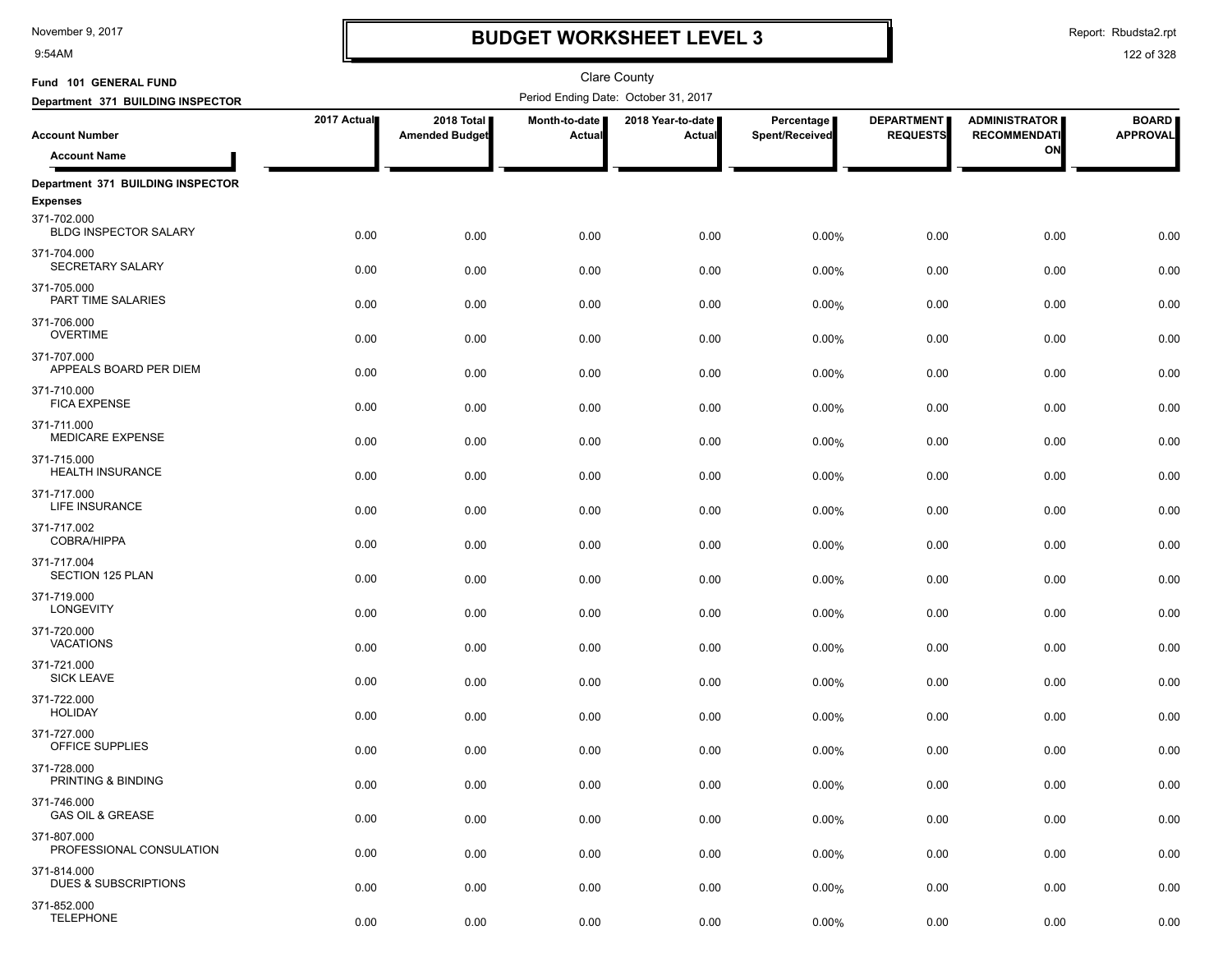9:54AM

# **BUDGET WORKSHEET LEVEL 3**

Report: Rbudsta2.rpt

| Fund 101 GENERAL FUND                          |             |                                     |                         | Clare County                         |                              |                                      |                                             |                                 |
|------------------------------------------------|-------------|-------------------------------------|-------------------------|--------------------------------------|------------------------------|--------------------------------------|---------------------------------------------|---------------------------------|
| Department 371 BUILDING INSPECTOR              |             |                                     |                         | Period Ending Date: October 31, 2017 |                              |                                      |                                             |                                 |
| <b>Account Number</b>                          | 2017 Actual | 2018 Total<br><b>Amended Budget</b> | Month-to-date<br>Actual | 2018 Year-to-date<br>Actual          | Percentage<br>Spent/Received | <b>DEPARTMENT</b><br><b>REQUESTS</b> | <b>ADMINISTRATOR</b><br><b>RECOMMENDATI</b> | <b>BOARD</b><br><b>APPROVAL</b> |
| <b>Account Name</b>                            |             |                                     |                         |                                      |                              |                                      | ON                                          |                                 |
| Department 371 BUILDING INSPECTOR              |             |                                     |                         |                                      |                              |                                      |                                             |                                 |
| <b>Expenses</b>                                |             |                                     |                         |                                      |                              |                                      |                                             |                                 |
| 371-702.000<br><b>BLDG INSPECTOR SALARY</b>    | 0.00        | 0.00                                | 0.00                    | 0.00                                 | 0.00%                        | 0.00                                 | 0.00                                        | 0.00                            |
| 371-704.000<br><b>SECRETARY SALARY</b>         | 0.00        | 0.00                                | 0.00                    | 0.00                                 | 0.00%                        | 0.00                                 | 0.00                                        | 0.00                            |
| 371-705.000<br>PART TIME SALARIES              | 0.00        | 0.00                                | 0.00                    | 0.00                                 | 0.00%                        | 0.00                                 | 0.00                                        | 0.00                            |
| 371-706.000<br><b>OVERTIME</b>                 | 0.00        | 0.00                                | 0.00                    | 0.00                                 | 0.00%                        | 0.00                                 | 0.00                                        | 0.00                            |
| 371-707.000<br>APPEALS BOARD PER DIEM          | 0.00        | 0.00                                | 0.00                    | 0.00                                 | 0.00%                        | 0.00                                 | 0.00                                        | 0.00                            |
| 371-710.000<br><b>FICA EXPENSE</b>             | 0.00        | 0.00                                | 0.00                    | 0.00                                 | 0.00%                        | 0.00                                 | 0.00                                        | 0.00                            |
| 371-711.000<br><b>MEDICARE EXPENSE</b>         | 0.00        | 0.00                                | 0.00                    | 0.00                                 | 0.00%                        | 0.00                                 | 0.00                                        | 0.00                            |
| 371-715.000<br><b>HEALTH INSURANCE</b>         | 0.00        | 0.00                                | 0.00                    | 0.00                                 | 0.00%                        | 0.00                                 | 0.00                                        | 0.00                            |
| 371-717.000<br>LIFE INSURANCE                  | 0.00        | 0.00                                | 0.00                    | 0.00                                 | 0.00%                        | 0.00                                 | 0.00                                        | 0.00                            |
| 371-717.002<br>COBRA/HIPPA                     | 0.00        | 0.00                                | 0.00                    | 0.00                                 | 0.00%                        | 0.00                                 | 0.00                                        | 0.00                            |
| 371-717.004<br>SECTION 125 PLAN                | 0.00        | 0.00                                | 0.00                    | 0.00                                 | 0.00%                        | 0.00                                 | 0.00                                        | 0.00                            |
| 371-719.000<br><b>LONGEVITY</b>                | 0.00        | 0.00                                | 0.00                    | 0.00                                 | 0.00%                        | 0.00                                 | 0.00                                        | 0.00                            |
| 371-720.000<br><b>VACATIONS</b>                | 0.00        | 0.00                                | 0.00                    | 0.00                                 | 0.00%                        | 0.00                                 | 0.00                                        | 0.00                            |
| 371-721.000<br><b>SICK LEAVE</b>               | 0.00        | 0.00                                | 0.00                    | 0.00                                 | 0.00%                        | 0.00                                 | 0.00                                        | 0.00                            |
| 371-722.000<br><b>HOLIDAY</b>                  | 0.00        | 0.00                                | 0.00                    | 0.00                                 | 0.00%                        | 0.00                                 | 0.00                                        | 0.00                            |
| 371-727.000<br>OFFICE SUPPLIES                 | 0.00        | 0.00                                | 0.00                    | 0.00                                 | 0.00%                        | 0.00                                 | 0.00                                        | 0.00                            |
| 371-728.000<br>PRINTING & BINDING              | 0.00        | 0.00                                | 0.00                    | 0.00                                 | 0.00%                        | 0.00                                 | 0.00                                        | 0.00                            |
| 371-746.000<br><b>GAS OIL &amp; GREASE</b>     | 0.00        | 0.00                                | 0.00                    | 0.00                                 | 0.00%                        | 0.00                                 | 0.00                                        | 0.00                            |
| 371-807.000<br>PROFESSIONAL CONSULATION        | 0.00        | 0.00                                | 0.00                    | 0.00                                 | 0.00%                        | 0.00                                 | 0.00                                        | 0.00                            |
| 371-814.000<br><b>DUES &amp; SUBSCRIPTIONS</b> | 0.00        | 0.00                                | 0.00                    | 0.00                                 | 0.00%                        | 0.00                                 | 0.00                                        | 0.00                            |
| 371-852.000<br><b>TELEPHONE</b>                | 0.00        | 0.00                                | 0.00                    | 0.00                                 | 0.00%                        | 0.00                                 | 0.00                                        | 0.00                            |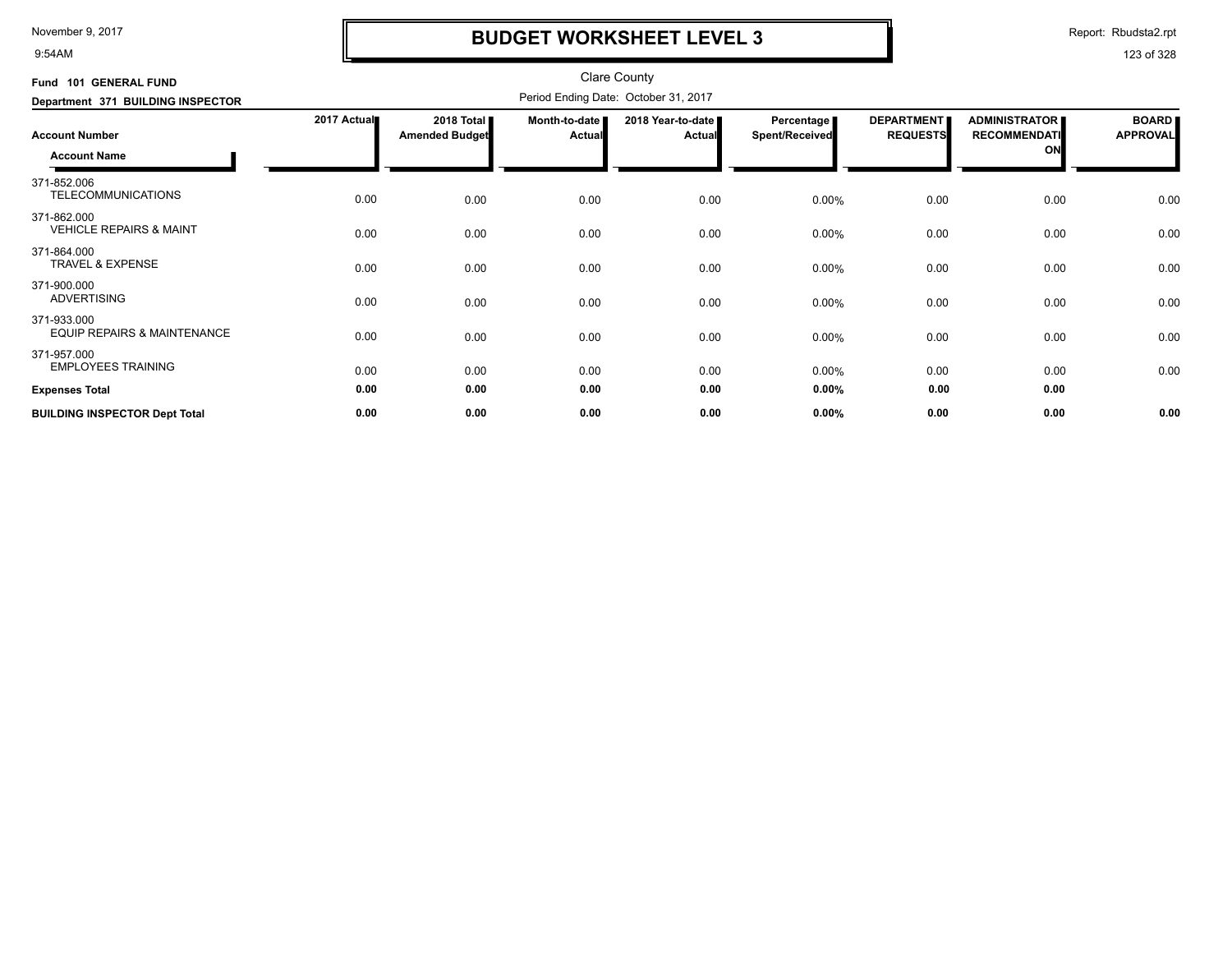9:54AM

## **BUDGET WORKSHEET LEVEL 3**

Report: Rbudsta2.rpt

| Fund 101 GENERAL FUND                             |             |                                     |                         | <b>Clare County</b>                  |                                            |                                      |                                                   |                                 |
|---------------------------------------------------|-------------|-------------------------------------|-------------------------|--------------------------------------|--------------------------------------------|--------------------------------------|---------------------------------------------------|---------------------------------|
| Department 371 BUILDING INSPECTOR                 |             |                                     |                         | Period Ending Date: October 31, 2017 |                                            |                                      |                                                   |                                 |
| <b>Account Number</b><br><b>Account Name</b>      | 2017 Actual | 2018 Total<br><b>Amended Budget</b> | Month-to-date<br>Actual | 2018 Year-to-date<br><b>Actual</b>   | <b>Percentage</b><br><b>Spent/Received</b> | <b>DEPARTMENT</b><br><b>REQUESTS</b> | <b>ADMINISTRATOR</b><br><b>RECOMMENDATI</b><br>ON | <b>BOARD</b><br><b>APPROVAL</b> |
| 371-852.006<br><b>TELECOMMUNICATIONS</b>          | 0.00        | 0.00                                | 0.00                    | 0.00                                 | 0.00%                                      | 0.00                                 | 0.00                                              | 0.00                            |
| 371-862.000<br><b>VEHICLE REPAIRS &amp; MAINT</b> | 0.00        | 0.00                                | 0.00                    | 0.00                                 | 0.00%                                      | 0.00                                 | 0.00                                              | 0.00                            |
| 371-864.000<br><b>TRAVEL &amp; EXPENSE</b>        | 0.00        | 0.00                                | 0.00                    | 0.00                                 | 0.00%                                      | 0.00                                 | 0.00                                              | 0.00                            |
| 371-900.000<br><b>ADVERTISING</b>                 | 0.00        | 0.00                                | 0.00                    | 0.00                                 | 0.00%                                      | 0.00                                 | 0.00                                              | 0.00                            |
| 371-933.000<br>EQUIP REPAIRS & MAINTENANCE        | 0.00        | 0.00                                | 0.00                    | 0.00                                 | 0.00%                                      | 0.00                                 | 0.00                                              | 0.00                            |
| 371-957.000<br><b>EMPLOYEES TRAINING</b>          | 0.00        | 0.00                                | 0.00                    | 0.00                                 | 0.00%                                      | 0.00                                 | 0.00                                              | 0.00                            |
| <b>Expenses Total</b>                             | 0.00        | 0.00                                | 0.00                    | 0.00                                 | 0.00%                                      | 0.00                                 | 0.00                                              |                                 |
| <b>BUILDING INSPECTOR Dept Total</b>              | 0.00        | 0.00                                | 0.00                    | 0.00                                 | 0.00%                                      | 0.00                                 | 0.00                                              | 0.00                            |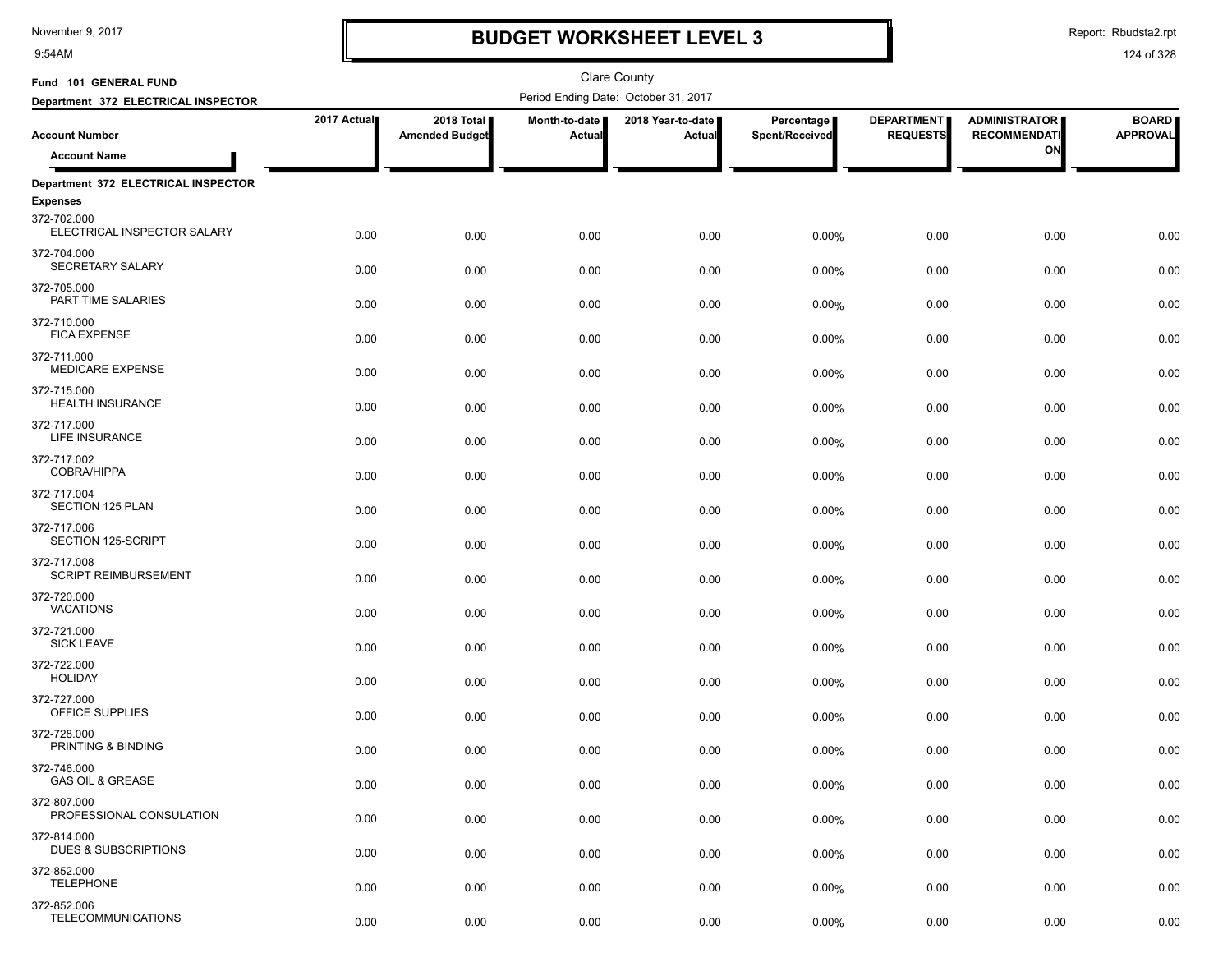9:54AM

# **BUDGET WORKSHEET LEVEL 3**

Report: Rbudsta2.rpt

| Fund 101 GENERAL FUND                          |             |                                     |                                | <b>Clare County</b>                  |                              |                                      |                                             |                                 |
|------------------------------------------------|-------------|-------------------------------------|--------------------------------|--------------------------------------|------------------------------|--------------------------------------|---------------------------------------------|---------------------------------|
| Department 372 ELECTRICAL INSPECTOR            |             |                                     |                                | Period Ending Date: October 31, 2017 |                              |                                      |                                             |                                 |
| <b>Account Number</b>                          | 2017 Actual | 2018 Total<br><b>Amended Budget</b> | Month-to-date<br><b>Actual</b> | 2018 Year-to-date<br>Actual          | Percentage<br>Spent/Received | <b>DEPARTMENT</b><br><b>REQUESTS</b> | <b>ADMINISTRATOR</b><br><b>RECOMMENDATI</b> | <b>BOARD</b><br><b>APPROVAL</b> |
| <b>Account Name</b>                            |             |                                     |                                |                                      |                              |                                      | ON                                          |                                 |
| Department 372 ELECTRICAL INSPECTOR            |             |                                     |                                |                                      |                              |                                      |                                             |                                 |
| <b>Expenses</b>                                |             |                                     |                                |                                      |                              |                                      |                                             |                                 |
| 372-702.000<br>ELECTRICAL INSPECTOR SALARY     | 0.00        | 0.00                                | 0.00                           | 0.00                                 | 0.00%                        | 0.00                                 | 0.00                                        | 0.00                            |
| 372-704.000<br>SECRETARY SALARY                | 0.00        | 0.00                                | 0.00                           | 0.00                                 | 0.00%                        | 0.00                                 | 0.00                                        | 0.00                            |
| 372-705.000<br>PART TIME SALARIES              | 0.00        | 0.00                                | 0.00                           | 0.00                                 | 0.00%                        | 0.00                                 | 0.00                                        | 0.00                            |
| 372-710.000<br><b>FICA EXPENSE</b>             | 0.00        | 0.00                                | 0.00                           | 0.00                                 | 0.00%                        | 0.00                                 | 0.00                                        | 0.00                            |
| 372-711.000<br><b>MEDICARE EXPENSE</b>         | 0.00        | 0.00                                | 0.00                           | 0.00                                 | 0.00%                        | 0.00                                 | 0.00                                        | 0.00                            |
| 372-715.000<br><b>HEALTH INSURANCE</b>         | 0.00        | 0.00                                | 0.00                           | 0.00                                 | 0.00%                        | 0.00                                 | 0.00                                        | 0.00                            |
| 372-717.000<br>LIFE INSURANCE                  | 0.00        | 0.00                                | 0.00                           | 0.00                                 | 0.00%                        | 0.00                                 | 0.00                                        | 0.00                            |
| 372-717.002<br><b>COBRA/HIPPA</b>              | 0.00        | 0.00                                | 0.00                           | 0.00                                 | 0.00%                        | 0.00                                 | 0.00                                        | 0.00                            |
| 372-717.004<br>SECTION 125 PLAN                | 0.00        | 0.00                                | 0.00                           | 0.00                                 | 0.00%                        | 0.00                                 | 0.00                                        | 0.00                            |
| 372-717.006<br>SECTION 125-SCRIPT              | 0.00        | 0.00                                | 0.00                           | 0.00                                 | 0.00%                        | 0.00                                 | 0.00                                        | 0.00                            |
| 372-717.008<br><b>SCRIPT REIMBURSEMENT</b>     | 0.00        | 0.00                                | 0.00                           | 0.00                                 | 0.00%                        | 0.00                                 | 0.00                                        | 0.00                            |
| 372-720.000<br><b>VACATIONS</b>                | 0.00        | 0.00                                | 0.00                           | 0.00                                 | 0.00%                        | 0.00                                 | 0.00                                        | 0.00                            |
| 372-721.000<br><b>SICK LEAVE</b>               | 0.00        | 0.00                                | 0.00                           | 0.00                                 | 0.00%                        | 0.00                                 | 0.00                                        | 0.00                            |
| 372-722.000<br><b>HOLIDAY</b>                  | 0.00        | 0.00                                | 0.00                           | 0.00                                 | 0.00%                        | 0.00                                 | 0.00                                        | 0.00                            |
| 372-727.000<br>OFFICE SUPPLIES                 | 0.00        | 0.00                                | 0.00                           | 0.00                                 | 0.00%                        | 0.00                                 | 0.00                                        | 0.00                            |
| 372-728.000<br>PRINTING & BINDING              | 0.00        | 0.00                                | 0.00                           | 0.00                                 | 0.00%                        | 0.00                                 | 0.00                                        | 0.00                            |
| 372-746.000<br><b>GAS OIL &amp; GREASE</b>     | 0.00        | 0.00                                | 0.00                           | 0.00                                 | 0.00%                        | 0.00                                 | 0.00                                        | 0.00                            |
| 372-807.000<br>PROFESSIONAL CONSULATION        | 0.00        | 0.00                                | 0.00                           | 0.00                                 | 0.00%                        | 0.00                                 | 0.00                                        | 0.00                            |
| 372-814.000<br><b>DUES &amp; SUBSCRIPTIONS</b> | 0.00        | 0.00                                | 0.00                           | 0.00                                 | 0.00%                        | 0.00                                 | 0.00                                        | 0.00                            |
| 372-852.000<br><b>TELEPHONE</b>                | 0.00        | 0.00                                | 0.00                           | 0.00                                 | 0.00%                        | 0.00                                 | 0.00                                        | 0.00                            |
| 372-852.006<br><b>TELECOMMUNICATIONS</b>       | 0.00        | 0.00                                | 0.00                           | 0.00                                 | 0.00%                        | 0.00                                 | 0.00                                        | 0.00                            |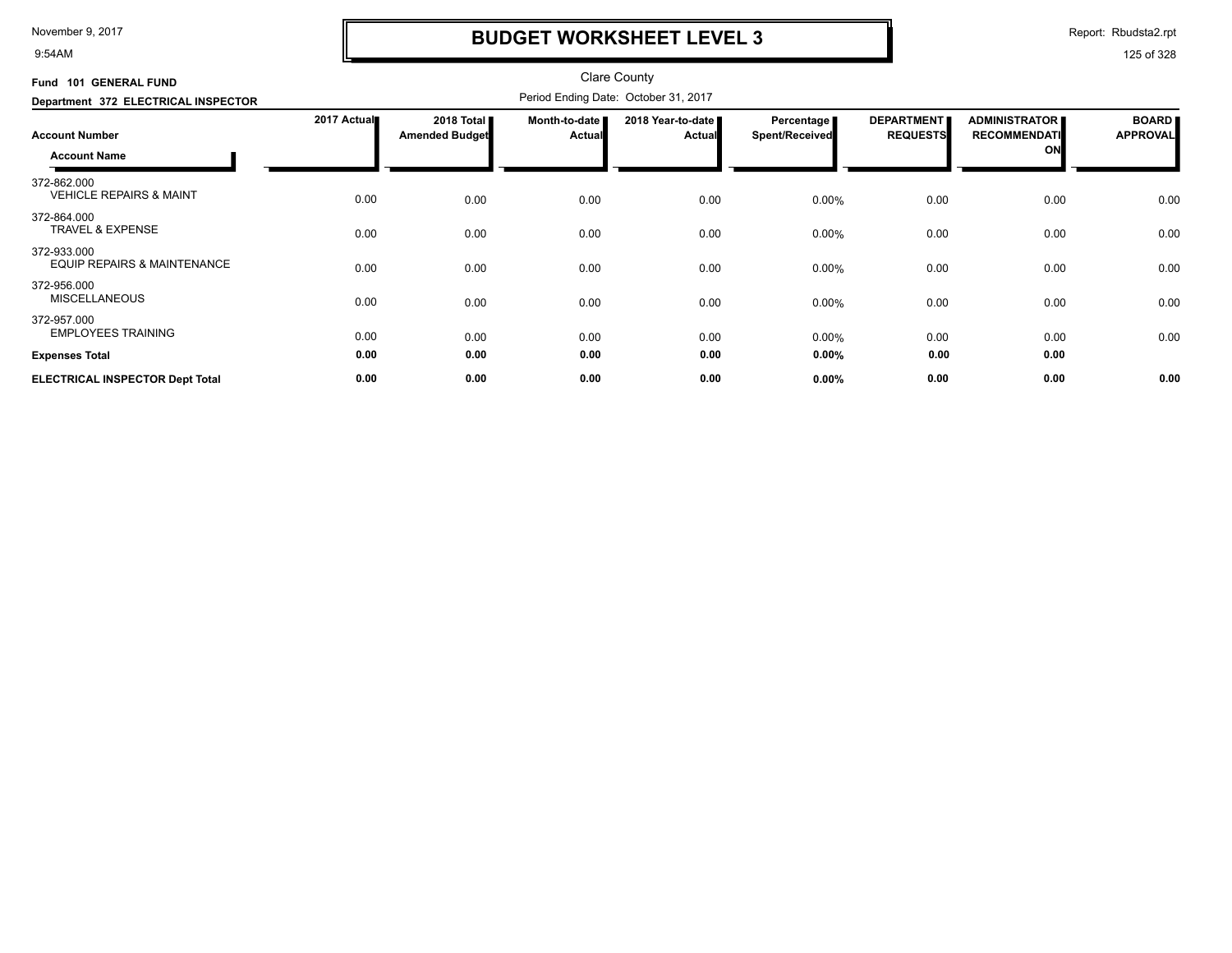9:54AM

## **BUDGET WORKSHEET LEVEL 3**

Report: Rbudsta2.rpt

| Fund 101 GENERAL FUND                                 |             |                                     |                                | <b>Clare County</b>                  |                                     |                                      |                                                   |                                 |
|-------------------------------------------------------|-------------|-------------------------------------|--------------------------------|--------------------------------------|-------------------------------------|--------------------------------------|---------------------------------------------------|---------------------------------|
| Department 372 ELECTRICAL INSPECTOR                   |             |                                     |                                | Period Ending Date: October 31, 2017 |                                     |                                      |                                                   |                                 |
| <b>Account Number</b><br><b>Account Name</b>          | 2017 Actual | 2018 Total<br><b>Amended Budget</b> | Month-to-date<br><b>Actual</b> | 2018 Year-to-date<br><b>Actual</b>   | <b>Percentage</b><br>Spent/Received | <b>DEPARTMENT</b><br><b>REQUESTS</b> | <b>ADMINISTRATOR</b><br><b>RECOMMENDATI</b><br>ON | <b>BOARD</b><br><b>APPROVAL</b> |
| 372-862.000<br><b>VEHICLE REPAIRS &amp; MAINT</b>     | 0.00        | 0.00                                | 0.00                           | 0.00                                 | 0.00%                               | 0.00                                 | 0.00                                              | 0.00                            |
| 372-864.000<br><b>TRAVEL &amp; EXPENSE</b>            | 0.00        | 0.00                                | 0.00                           | 0.00                                 | 0.00%                               | 0.00                                 | 0.00                                              | 0.00                            |
| 372-933.000<br><b>EQUIP REPAIRS &amp; MAINTENANCE</b> | 0.00        | 0.00                                | 0.00                           | 0.00                                 | 0.00%                               | 0.00                                 | 0.00                                              | 0.00                            |
| 372-956.000<br><b>MISCELLANEOUS</b>                   | 0.00        | 0.00                                | 0.00                           | 0.00                                 | 0.00%                               | 0.00                                 | 0.00                                              | 0.00                            |
| 372-957.000<br><b>EMPLOYEES TRAINING</b>              | 0.00        | 0.00                                | 0.00                           | 0.00                                 | 0.00%                               | 0.00                                 | 0.00                                              | 0.00                            |
| <b>Expenses Total</b>                                 | 0.00        | 0.00                                | 0.00                           | 0.00                                 | 0.00%                               | 0.00                                 | 0.00                                              |                                 |
| <b>ELECTRICAL INSPECTOR Dept Total</b>                | 0.00        | 0.00                                | 0.00                           | 0.00                                 | 0.00%                               | 0.00                                 | 0.00                                              | 0.00                            |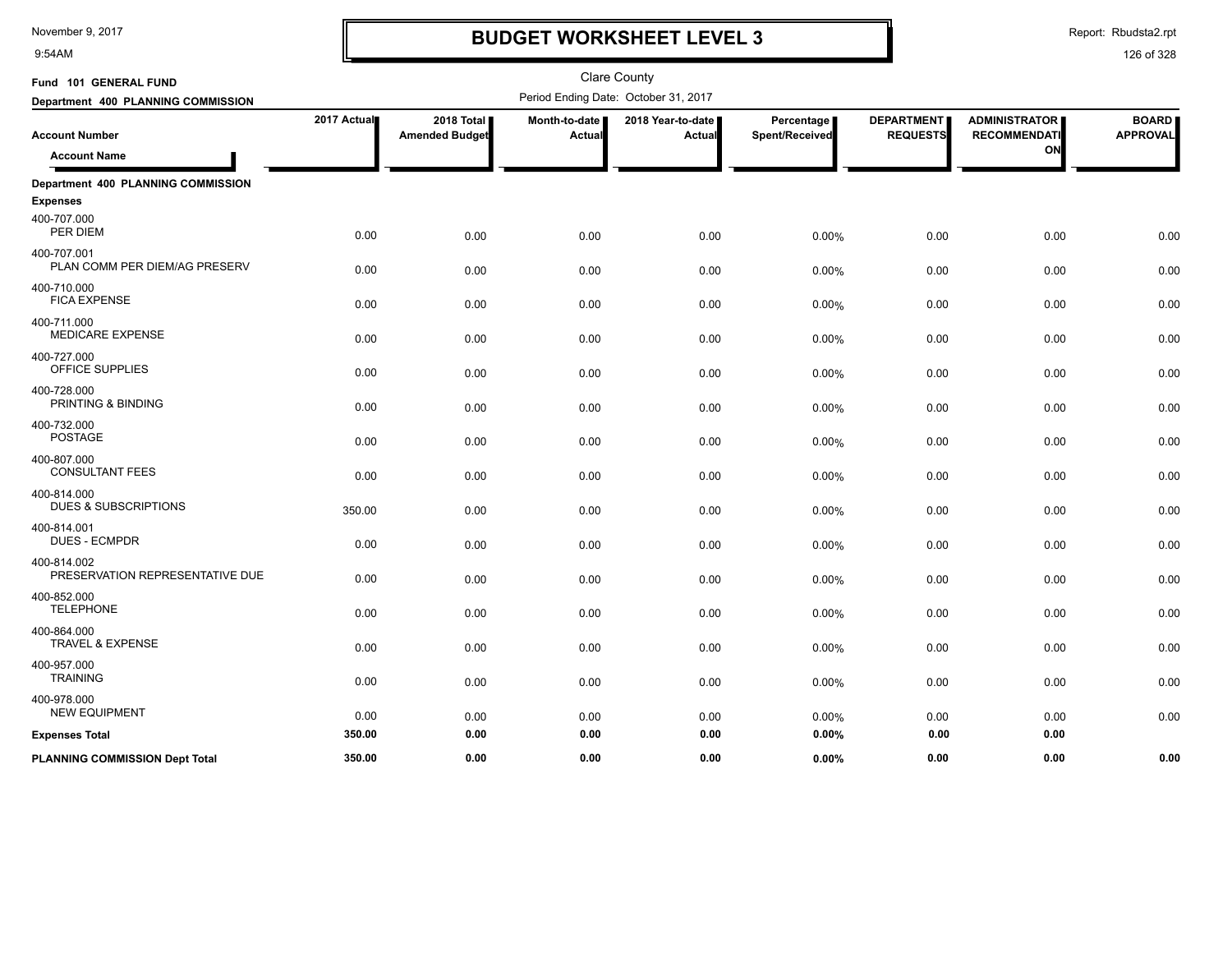9:54AM

## **BUDGET WORKSHEET LEVEL 3**

Report: Rbudsta2.rpt

| Fund 101 GENERAL FUND                          |             |                                     |                         | <b>Clare County</b>                  |                              |                                      |                                             |                                 |
|------------------------------------------------|-------------|-------------------------------------|-------------------------|--------------------------------------|------------------------------|--------------------------------------|---------------------------------------------|---------------------------------|
| Department 400 PLANNING COMMISSION             |             |                                     |                         | Period Ending Date: October 31, 2017 |                              |                                      |                                             |                                 |
| <b>Account Number</b>                          | 2017 Actual | 2018 Total<br><b>Amended Budget</b> | Month-to-date<br>Actual | 2018 Year-to-date  <br>Actual        | Percentage<br>Spent/Received | <b>DEPARTMENT</b><br><b>REQUESTS</b> | <b>ADMINISTRATOR</b><br><b>RECOMMENDATI</b> | <b>BOARD</b><br><b>APPROVAL</b> |
| <b>Account Name</b>                            |             |                                     |                         |                                      |                              |                                      | ON                                          |                                 |
| Department 400 PLANNING COMMISSION             |             |                                     |                         |                                      |                              |                                      |                                             |                                 |
| <b>Expenses</b>                                |             |                                     |                         |                                      |                              |                                      |                                             |                                 |
| 400-707.000<br>PER DIEM                        | 0.00        | 0.00                                | 0.00                    | 0.00                                 | 0.00%                        | 0.00                                 | 0.00                                        | 0.00                            |
| 400-707.001<br>PLAN COMM PER DIEM/AG PRESERV   | 0.00        | 0.00                                | 0.00                    | 0.00                                 | 0.00%                        | 0.00                                 | 0.00                                        | 0.00                            |
| 400-710.000<br><b>FICA EXPENSE</b>             | 0.00        | 0.00                                | 0.00                    | 0.00                                 | 0.00%                        | 0.00                                 | 0.00                                        | 0.00                            |
| 400-711.000<br><b>MEDICARE EXPENSE</b>         | 0.00        | 0.00                                | 0.00                    | 0.00                                 | $0.00\%$                     | 0.00                                 | 0.00                                        | 0.00                            |
| 400-727.000<br>OFFICE SUPPLIES                 | 0.00        | 0.00                                | 0.00                    | 0.00                                 | 0.00%                        | 0.00                                 | 0.00                                        | 0.00                            |
| 400-728.000<br>PRINTING & BINDING              | 0.00        | 0.00                                | 0.00                    | 0.00                                 | 0.00%                        | 0.00                                 | 0.00                                        | 0.00                            |
| 400-732.000<br><b>POSTAGE</b>                  | 0.00        | 0.00                                | 0.00                    | 0.00                                 | 0.00%                        | 0.00                                 | 0.00                                        | 0.00                            |
| 400-807.000<br><b>CONSULTANT FEES</b>          | 0.00        | 0.00                                | 0.00                    | 0.00                                 | $0.00\%$                     | 0.00                                 | 0.00                                        | 0.00                            |
| 400-814.000<br><b>DUES &amp; SUBSCRIPTIONS</b> | 350.00      | 0.00                                | 0.00                    | 0.00                                 | 0.00%                        | 0.00                                 | 0.00                                        | 0.00                            |
| 400-814.001<br><b>DUES - ECMPDR</b>            | 0.00        | 0.00                                | 0.00                    | 0.00                                 | $0.00\%$                     | 0.00                                 | 0.00                                        | 0.00                            |
| 400-814.002<br>PRESERVATION REPRESENTATIVE DUE | 0.00        | 0.00                                | 0.00                    | 0.00                                 | 0.00%                        | 0.00                                 | 0.00                                        | 0.00                            |
| 400-852.000<br><b>TELEPHONE</b>                | 0.00        | 0.00                                | 0.00                    | 0.00                                 | 0.00%                        | 0.00                                 | 0.00                                        | 0.00                            |
| 400-864.000<br><b>TRAVEL &amp; EXPENSE</b>     | 0.00        | 0.00                                | 0.00                    | 0.00                                 | $0.00\%$                     | 0.00                                 | 0.00                                        | 0.00                            |
| 400-957.000<br><b>TRAINING</b>                 | 0.00        | 0.00                                | 0.00                    | 0.00                                 | 0.00%                        | 0.00                                 | 0.00                                        | 0.00                            |
| 400-978.000<br><b>NEW EQUIPMENT</b>            | 0.00        | 0.00                                | 0.00                    | 0.00                                 | 0.00%                        | 0.00                                 | 0.00                                        | 0.00                            |
| <b>Expenses Total</b>                          | 350.00      | 0.00                                | 0.00                    | 0.00                                 | 0.00%                        | 0.00                                 | 0.00                                        |                                 |
| <b>PLANNING COMMISSION Dept Total</b>          | 350.00      | 0.00                                | 0.00                    | 0.00                                 | $0.00\%$                     | 0.00                                 | 0.00                                        | 0.00                            |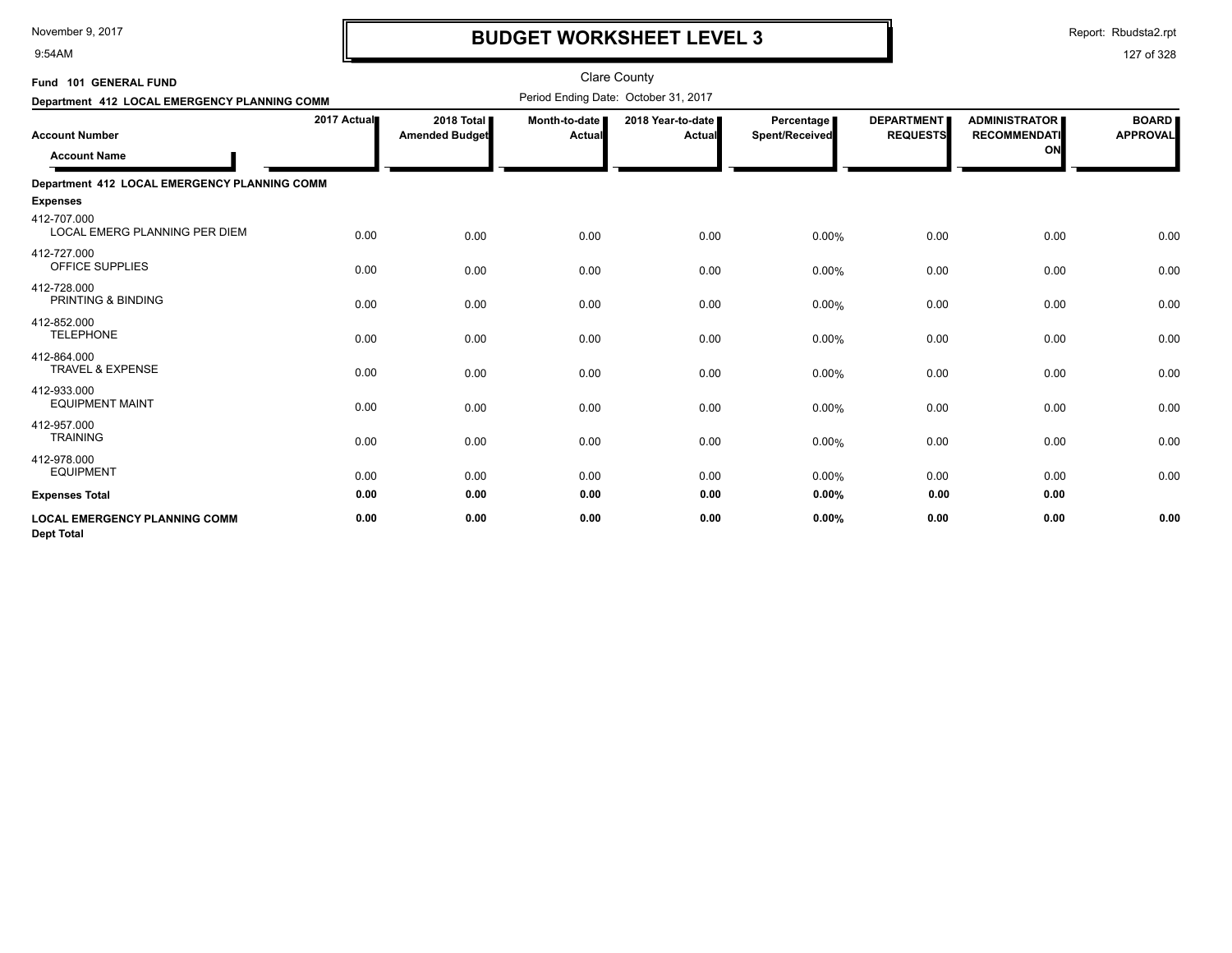9:54AM

## **BUDGET WORKSHEET LEVEL 3**

Report: Rbudsta2.rpt

| Fund 101 GENERAL FUND                                     |             |                                     |                         | <b>Clare County</b>                  |                              |                                      |                                                   |                                 |
|-----------------------------------------------------------|-------------|-------------------------------------|-------------------------|--------------------------------------|------------------------------|--------------------------------------|---------------------------------------------------|---------------------------------|
| Department 412 LOCAL EMERGENCY PLANNING COMM              |             |                                     |                         | Period Ending Date: October 31, 2017 |                              |                                      |                                                   |                                 |
| <b>Account Number</b><br><b>Account Name</b>              | 2017 Actual | 2018 Total<br><b>Amended Budget</b> | Month-to-date<br>Actual | 2018 Year-to-date<br>Actual          | Percentage<br>Spent/Received | <b>DEPARTMENT</b><br><b>REQUESTS</b> | <b>ADMINISTRATOR</b><br><b>RECOMMENDATI</b><br>ON | <b>BOARD</b><br><b>APPROVAL</b> |
| Department 412 LOCAL EMERGENCY PLANNING COMM              |             |                                     |                         |                                      |                              |                                      |                                                   |                                 |
| <b>Expenses</b>                                           |             |                                     |                         |                                      |                              |                                      |                                                   |                                 |
| 412-707.000<br><b>LOCAL EMERG PLANNING PER DIEM</b>       | 0.00        | 0.00                                | 0.00                    | 0.00                                 | 0.00%                        | 0.00                                 | 0.00                                              | 0.00                            |
| 412-727.000<br>OFFICE SUPPLIES                            | 0.00        | 0.00                                | 0.00                    | 0.00                                 | 0.00%                        | 0.00                                 | 0.00                                              | 0.00                            |
| 412-728.000<br>PRINTING & BINDING                         | 0.00        | 0.00                                | 0.00                    | 0.00                                 | 0.00%                        | 0.00                                 | 0.00                                              | 0.00                            |
| 412-852.000<br><b>TELEPHONE</b>                           | 0.00        | 0.00                                | 0.00                    | 0.00                                 | 0.00%                        | 0.00                                 | 0.00                                              | 0.00                            |
| 412-864.000<br><b>TRAVEL &amp; EXPENSE</b>                | 0.00        | 0.00                                | 0.00                    | 0.00                                 | 0.00%                        | 0.00                                 | 0.00                                              | 0.00                            |
| 412-933.000<br><b>EQUIPMENT MAINT</b>                     | 0.00        | 0.00                                | 0.00                    | 0.00                                 | 0.00%                        | 0.00                                 | 0.00                                              | 0.00                            |
| 412-957.000<br><b>TRAINING</b>                            | 0.00        | 0.00                                | 0.00                    | 0.00                                 | 0.00%                        | 0.00                                 | 0.00                                              | 0.00                            |
| 412-978.000<br><b>EQUIPMENT</b>                           | 0.00        | 0.00                                | 0.00                    | 0.00                                 | 0.00%                        | 0.00                                 | 0.00                                              | 0.00                            |
| <b>Expenses Total</b>                                     | 0.00        | 0.00                                | 0.00                    | 0.00                                 | 0.00%                        | 0.00                                 | 0.00                                              |                                 |
| <b>LOCAL EMERGENCY PLANNING COMM</b><br><b>Dept Total</b> | 0.00        | 0.00                                | 0.00                    | 0.00                                 | 0.00%                        | 0.00                                 | 0.00                                              | 0.00                            |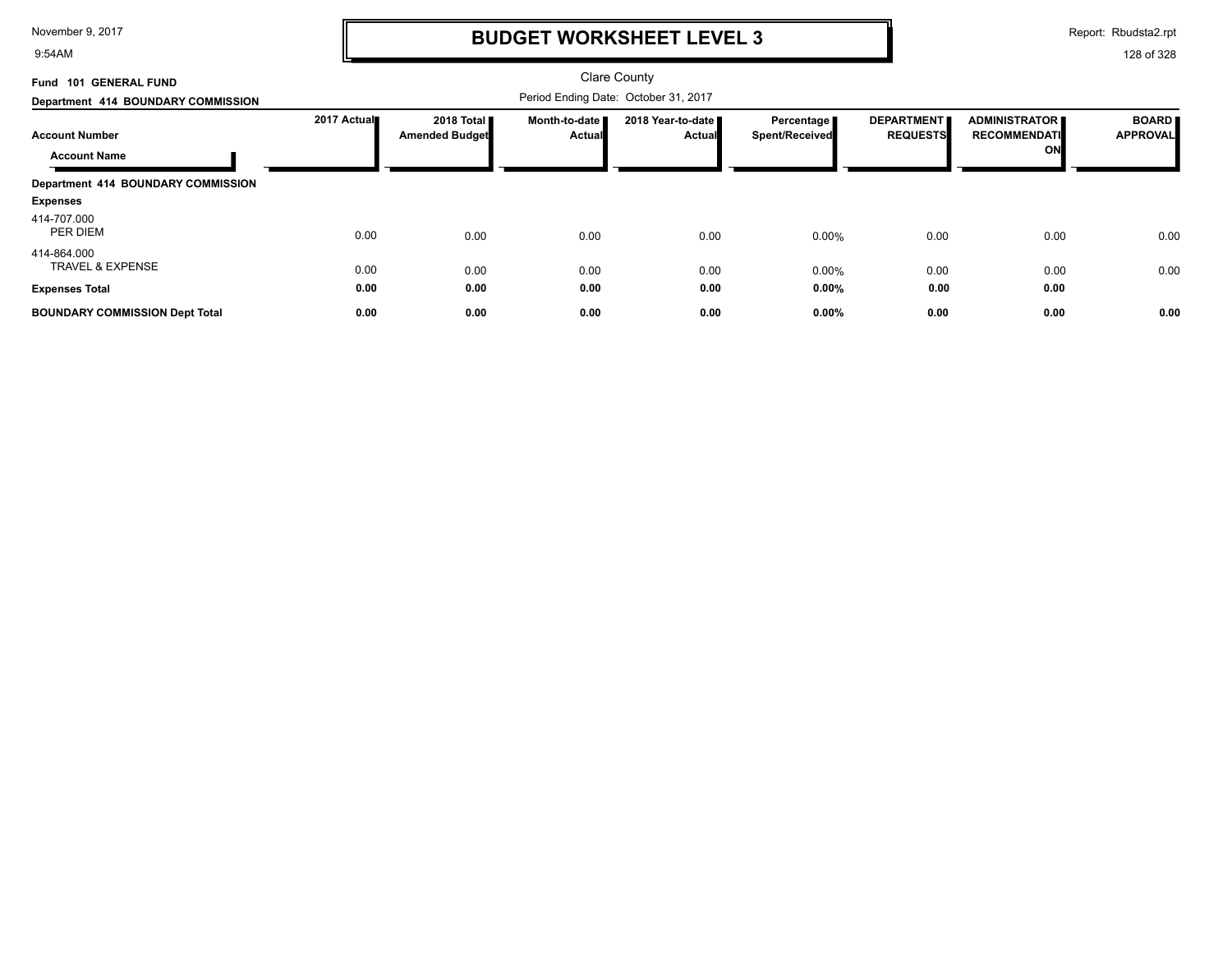9:54AM

### **BUDGET WORKSHEET LEVEL 3**

Report: Rbudsta2.rpt

| Fund 101 GENERAL FUND                      |             |                                              |                           | <b>Clare County</b>                  |                                       |                                      |                                      |                                 |
|--------------------------------------------|-------------|----------------------------------------------|---------------------------|--------------------------------------|---------------------------------------|--------------------------------------|--------------------------------------|---------------------------------|
| Department 414 BOUNDARY COMMISSION         |             |                                              |                           | Period Ending Date: October 31, 2017 |                                       |                                      |                                      |                                 |
| <b>Account Number</b>                      | 2017 Actual | 2018 Total <b>I</b><br><b>Amended Budget</b> | Month-to-date I<br>Actual | 2018 Year-to-date ■<br><b>Actual</b> | Percentage I<br><b>Spent/Received</b> | <b>DEPARTMENT</b><br><b>REQUESTS</b> | ADMINISTRATOR<br><b>RECOMMENDATI</b> | <b>BOARD</b><br><b>APPROVAL</b> |
| <b>Account Name</b>                        |             |                                              |                           |                                      |                                       |                                      | ON                                   |                                 |
| Department 414 BOUNDARY COMMISSION         |             |                                              |                           |                                      |                                       |                                      |                                      |                                 |
| <b>Expenses</b>                            |             |                                              |                           |                                      |                                       |                                      |                                      |                                 |
| 414-707.000<br>PER DIEM                    | 0.00        | 0.00                                         | 0.00                      | 0.00                                 | 0.00%                                 | 0.00                                 | 0.00                                 | 0.00                            |
| 414-864.000<br><b>TRAVEL &amp; EXPENSE</b> | 0.00        | 0.00                                         | 0.00                      | 0.00                                 | 0.00%                                 | 0.00                                 | 0.00                                 | 0.00                            |
| <b>Expenses Total</b>                      | 0.00        | 0.00                                         | 0.00                      | 0.00                                 | $0.00\%$                              | 0.00                                 | 0.00                                 |                                 |
| <b>BOUNDARY COMMISSION Dept Total</b>      | 0.00        | 0.00                                         | 0.00                      | 0.00                                 | 0.00%                                 | 0.00                                 | 0.00                                 | 0.00                            |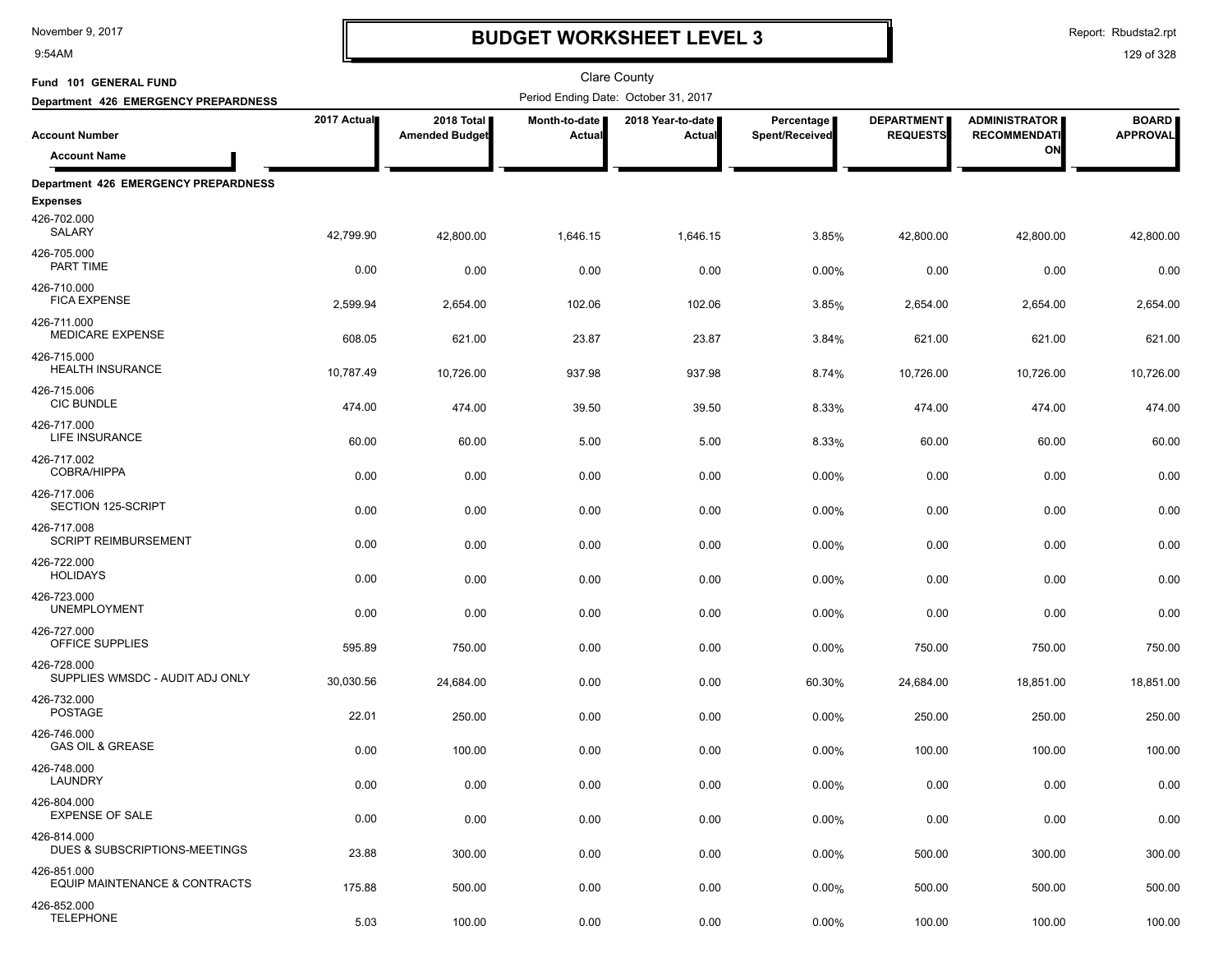9:54AM

## **BUDGET WORKSHEET LEVEL 3**

Report: Rbudsta2.rpt

| Fund 101 GENERAL FUND                          |             |                                     |                                | Clare County                         |                              |                                      |                                             |                                 |
|------------------------------------------------|-------------|-------------------------------------|--------------------------------|--------------------------------------|------------------------------|--------------------------------------|---------------------------------------------|---------------------------------|
| Department 426 EMERGENCY PREPARDNESS           |             |                                     |                                | Period Ending Date: October 31, 2017 |                              |                                      |                                             |                                 |
| <b>Account Number</b>                          | 2017 Actual | 2018 Total<br><b>Amended Budget</b> | Month-to-date<br><b>Actual</b> | 2018 Year-to-date  <br>Actual        | Percentage<br>Spent/Received | <b>DEPARTMENT</b><br><b>REQUESTS</b> | <b>ADMINISTRATOR</b><br><b>RECOMMENDATI</b> | <b>BOARD</b><br><b>APPROVAL</b> |
| <b>Account Name</b>                            |             |                                     |                                |                                      |                              |                                      | ON                                          |                                 |
| <b>Department 426 EMERGENCY PREPARDNESS</b>    |             |                                     |                                |                                      |                              |                                      |                                             |                                 |
| <b>Expenses</b>                                |             |                                     |                                |                                      |                              |                                      |                                             |                                 |
| 426-702.000<br>SALARY                          | 42,799.90   | 42,800.00                           | 1,646.15                       | 1,646.15                             | 3.85%                        | 42,800.00                            | 42,800.00                                   | 42,800.00                       |
| 426-705.000<br>PART TIME                       | 0.00        | 0.00                                | 0.00                           | 0.00                                 | 0.00%                        | 0.00                                 | 0.00                                        | 0.00                            |
| 426-710.000<br><b>FICA EXPENSE</b>             | 2,599.94    | 2,654.00                            | 102.06                         | 102.06                               | 3.85%                        | 2,654.00                             | 2,654.00                                    | 2,654.00                        |
| 426-711.000<br><b>MEDICARE EXPENSE</b>         | 608.05      | 621.00                              | 23.87                          | 23.87                                | 3.84%                        | 621.00                               | 621.00                                      | 621.00                          |
| 426-715.000<br><b>HEALTH INSURANCE</b>         | 10,787.49   | 10,726.00                           | 937.98                         | 937.98                               | 8.74%                        | 10,726.00                            | 10,726.00                                   | 10,726.00                       |
| 426-715.006<br><b>CIC BUNDLE</b>               | 474.00      | 474.00                              | 39.50                          | 39.50                                | 8.33%                        | 474.00                               | 474.00                                      | 474.00                          |
| 426-717.000<br>LIFE INSURANCE                  | 60.00       | 60.00                               | 5.00                           | 5.00                                 | 8.33%                        | 60.00                                | 60.00                                       | 60.00                           |
| 426-717.002<br><b>COBRA/HIPPA</b>              | 0.00        | 0.00                                | 0.00                           | 0.00                                 | 0.00%                        | 0.00                                 | 0.00                                        | 0.00                            |
| 426-717.006<br>SECTION 125-SCRIPT              | 0.00        | 0.00                                | 0.00                           | 0.00                                 | 0.00%                        | 0.00                                 | 0.00                                        | 0.00                            |
| 426-717.008<br><b>SCRIPT REIMBURSEMENT</b>     | 0.00        | 0.00                                | 0.00                           | 0.00                                 | 0.00%                        | 0.00                                 | 0.00                                        | 0.00                            |
| 426-722.000<br><b>HOLIDAYS</b>                 | 0.00        | 0.00                                | 0.00                           | 0.00                                 | 0.00%                        | 0.00                                 | 0.00                                        | 0.00                            |
| 426-723.000<br><b>UNEMPLOYMENT</b>             | 0.00        | 0.00                                | 0.00                           | 0.00                                 | 0.00%                        | 0.00                                 | 0.00                                        | 0.00                            |
| 426-727.000<br>OFFICE SUPPLIES                 | 595.89      | 750.00                              | 0.00                           | 0.00                                 | 0.00%                        | 750.00                               | 750.00                                      | 750.00                          |
| 426-728.000<br>SUPPLIES WMSDC - AUDIT ADJ ONLY | 30,030.56   | 24,684.00                           | 0.00                           | 0.00                                 | 60.30%                       | 24,684.00                            | 18,851.00                                   | 18,851.00                       |
| 426-732.000<br><b>POSTAGE</b>                  | 22.01       | 250.00                              | 0.00                           | 0.00                                 | 0.00%                        | 250.00                               | 250.00                                      | 250.00                          |
| 426-746.000<br><b>GAS OIL &amp; GREASE</b>     | 0.00        | 100.00                              | 0.00                           | 0.00                                 | 0.00%                        | 100.00                               | 100.00                                      | 100.00                          |
| 426-748.000<br>LAUNDRY                         | 0.00        | 0.00                                | 0.00                           | 0.00                                 | 0.00%                        | 0.00                                 | 0.00                                        | 0.00                            |
| 426-804.000<br><b>EXPENSE OF SALE</b>          | 0.00        | 0.00                                | 0.00                           | 0.00                                 | 0.00%                        | 0.00                                 | 0.00                                        | 0.00                            |
| 426-814.000<br>DUES & SUBSCRIPTIONS-MEETINGS   | 23.88       | 300.00                              | 0.00                           | 0.00                                 | 0.00%                        | 500.00                               | 300.00                                      | 300.00                          |
| 426-851.000<br>EQUIP MAINTENANCE & CONTRACTS   | 175.88      | 500.00                              | 0.00                           | 0.00                                 | 0.00%                        | 500.00                               | 500.00                                      | 500.00                          |
| 426-852.000<br><b>TELEPHONE</b>                | 5.03        | 100.00                              | 0.00                           | 0.00                                 | 0.00%                        | 100.00                               | 100.00                                      | 100.00                          |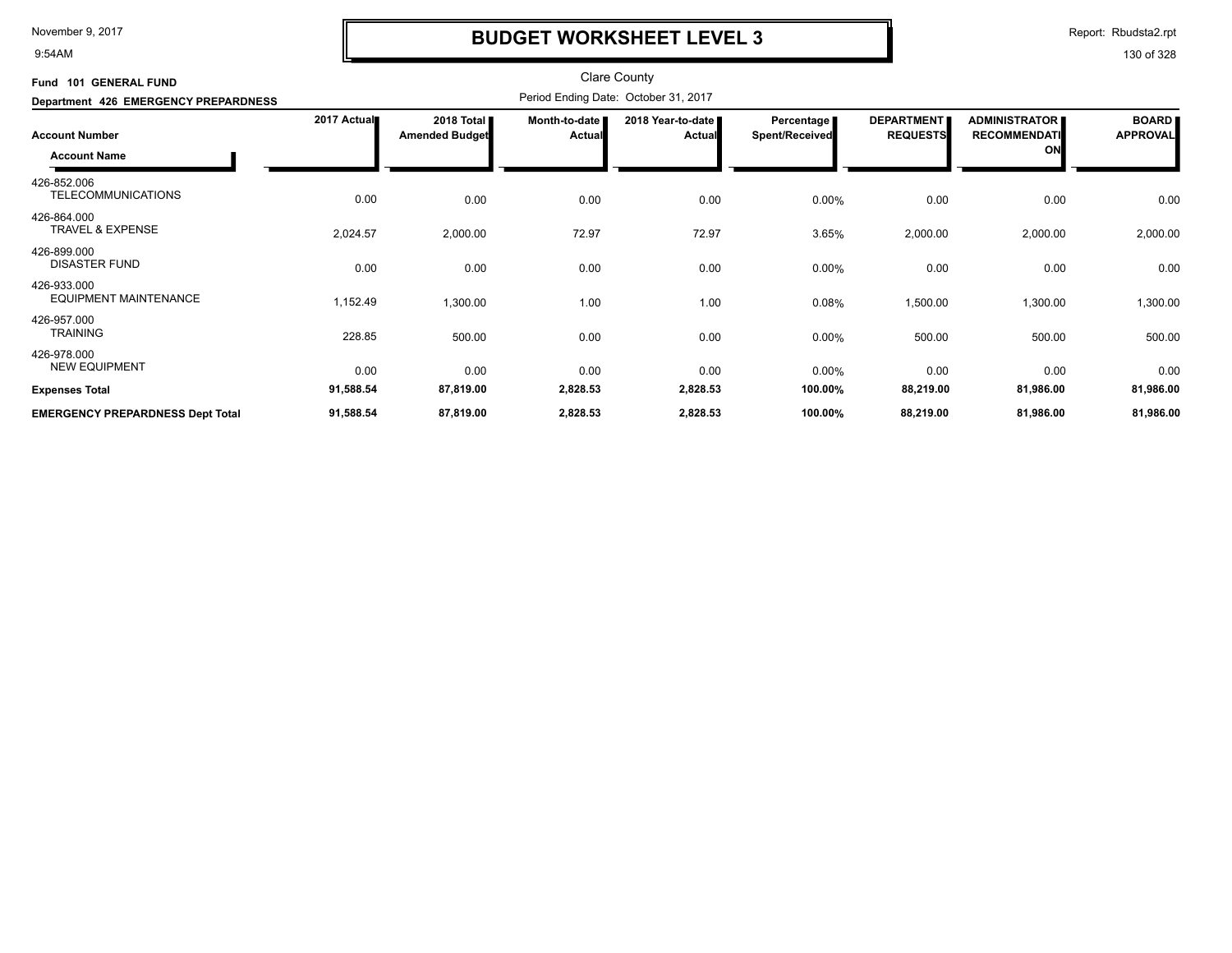9:54AM

## **BUDGET WORKSHEET LEVEL 3**

Report: Rbudsta2.rpt

| <b>GENERAL FUND</b><br><b>Fund 101</b>       |             |                                              |                           | <b>Clare County</b>                  |                                     |                                      |                                                   |                                 |
|----------------------------------------------|-------------|----------------------------------------------|---------------------------|--------------------------------------|-------------------------------------|--------------------------------------|---------------------------------------------------|---------------------------------|
| Department 426 EMERGENCY PREPARDNESS         |             |                                              |                           | Period Ending Date: October 31, 2017 |                                     |                                      |                                                   |                                 |
| <b>Account Number</b><br><b>Account Name</b> | 2017 Actual | 2018 Total <b>I</b><br><b>Amended Budget</b> | Month-to-date  <br>Actual | 2018 Year-to-date<br><b>Actual</b>   | Percentage<br><b>Spent/Received</b> | <b>DEPARTMENT</b><br><b>REQUESTS</b> | <b>ADMINISTRATOR</b><br><b>RECOMMENDATI</b><br>ON | <b>BOARD</b><br><b>APPROVAL</b> |
| 426-852.006<br><b>TELECOMMUNICATIONS</b>     | 0.00        | 0.00                                         | 0.00                      | 0.00                                 | 0.00%                               | 0.00                                 | 0.00                                              | 0.00                            |
| 426-864.000<br><b>TRAVEL &amp; EXPENSE</b>   | 2,024.57    | 2,000.00                                     | 72.97                     | 72.97                                | 3.65%                               | 2,000.00                             | 2,000.00                                          | 2,000.00                        |
| 426-899.000<br><b>DISASTER FUND</b>          | 0.00        | 0.00                                         | 0.00                      | 0.00                                 | $0.00\%$                            | 0.00                                 | 0.00                                              | 0.00                            |
| 426-933.000<br><b>EQUIPMENT MAINTENANCE</b>  | 1,152.49    | 1,300.00                                     | 1.00                      | 1.00                                 | 0.08%                               | 1,500.00                             | 1,300.00                                          | 1,300.00                        |
| 426-957.000<br><b>TRAINING</b>               | 228.85      | 500.00                                       | 0.00                      | 0.00                                 | 0.00%                               | 500.00                               | 500.00                                            | 500.00                          |
| 426-978.000<br><b>NEW EQUIPMENT</b>          | 0.00        | 0.00                                         | 0.00                      | 0.00                                 | 0.00%                               | 0.00                                 | 0.00                                              | 0.00                            |
| <b>Expenses Total</b>                        | 91,588.54   | 87,819.00                                    | 2,828.53                  | 2,828.53                             | 100.00%                             | 88,219.00                            | 81,986.00                                         | 81,986.00                       |
| <b>EMERGENCY PREPARDNESS Dept Total</b>      | 91,588.54   | 87,819.00                                    | 2,828.53                  | 2,828.53                             | 100.00%                             | 88,219.00                            | 81,986.00                                         | 81,986.00                       |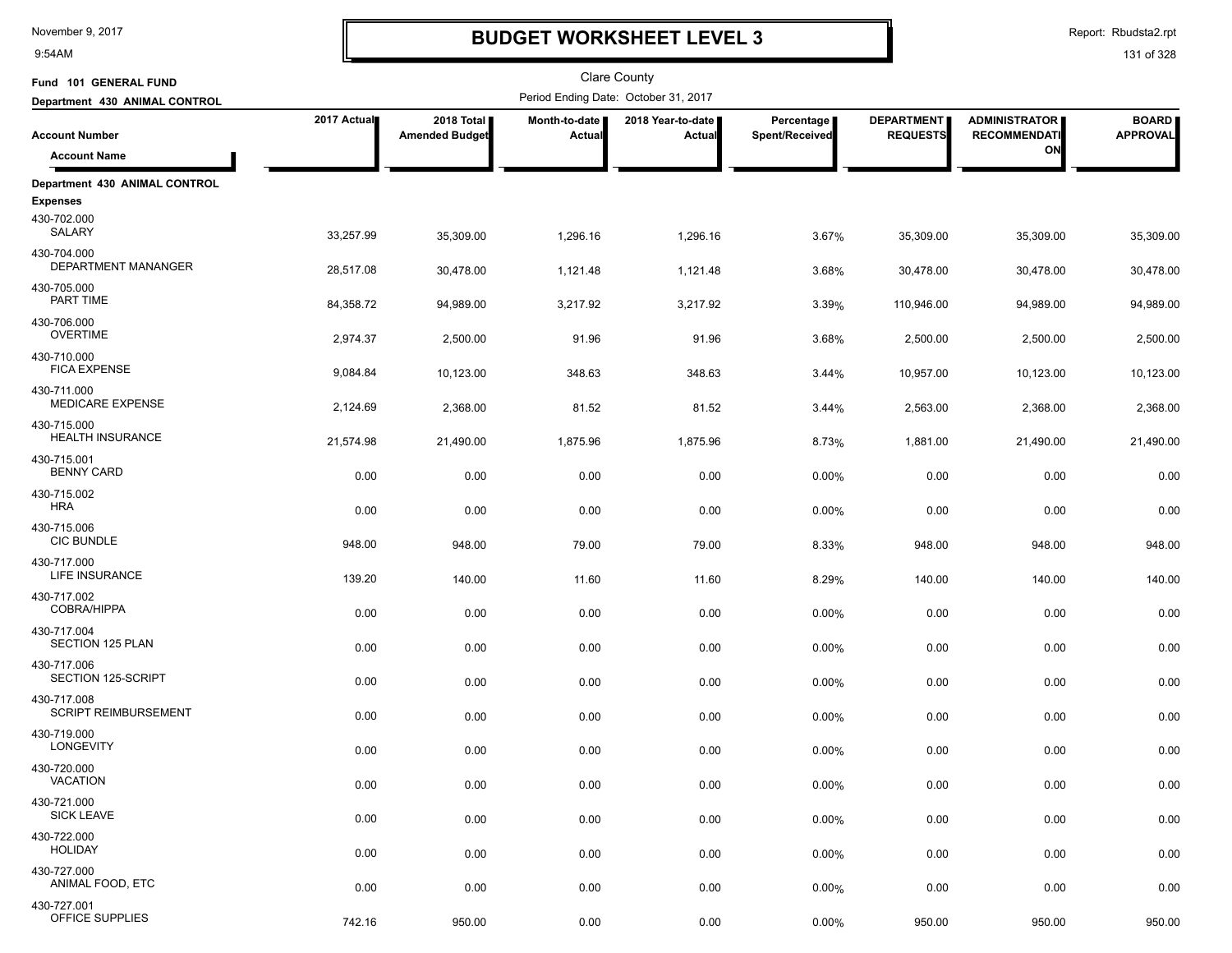9:54AM

## **BUDGET WORKSHEET LEVEL 3**

Report: Rbudsta2.rpt

| Fund 101 GENERAL FUND                      |             |                                     |                         | <b>Clare County</b>                  |                              |                                      |                                             |                                 |
|--------------------------------------------|-------------|-------------------------------------|-------------------------|--------------------------------------|------------------------------|--------------------------------------|---------------------------------------------|---------------------------------|
| Department 430 ANIMAL CONTROL              |             |                                     |                         | Period Ending Date: October 31, 2017 |                              |                                      |                                             |                                 |
| <b>Account Number</b>                      | 2017 Actual | 2018 Total<br><b>Amended Budget</b> | Month-to-date<br>Actual | 2018 Year-to-date<br>Actual          | Percentage<br>Spent/Received | <b>DEPARTMENT</b><br><b>REQUESTS</b> | <b>ADMINISTRATOR</b><br><b>RECOMMENDATI</b> | <b>BOARD</b><br><b>APPROVAL</b> |
| <b>Account Name</b>                        |             |                                     |                         |                                      |                              |                                      | ON                                          |                                 |
| Department 430 ANIMAL CONTROL              |             |                                     |                         |                                      |                              |                                      |                                             |                                 |
| <b>Expenses</b>                            |             |                                     |                         |                                      |                              |                                      |                                             |                                 |
| 430-702.000<br>SALARY                      | 33,257.99   | 35,309.00                           | 1,296.16                | 1,296.16                             | 3.67%                        | 35,309.00                            | 35,309.00                                   | 35,309.00                       |
| 430-704.000<br>DEPARTMENT MANANGER         | 28,517.08   | 30,478.00                           | 1,121.48                | 1,121.48                             | 3.68%                        | 30,478.00                            | 30,478.00                                   | 30,478.00                       |
| 430-705.000<br>PART TIME                   | 84,358.72   | 94,989.00                           | 3,217.92                | 3,217.92                             | 3.39%                        | 110,946.00                           | 94,989.00                                   | 94,989.00                       |
| 430-706.000<br><b>OVERTIME</b>             | 2,974.37    | 2,500.00                            | 91.96                   | 91.96                                | 3.68%                        | 2,500.00                             | 2,500.00                                    | 2,500.00                        |
| 430-710.000<br><b>FICA EXPENSE</b>         | 9,084.84    | 10,123.00                           | 348.63                  | 348.63                               | 3.44%                        | 10,957.00                            | 10,123.00                                   | 10,123.00                       |
| 430-711.000<br><b>MEDICARE EXPENSE</b>     | 2,124.69    | 2,368.00                            | 81.52                   | 81.52                                | 3.44%                        | 2,563.00                             | 2,368.00                                    | 2,368.00                        |
| 430-715.000<br>HEALTH INSURANCE            | 21,574.98   | 21,490.00                           | 1,875.96                | 1,875.96                             | 8.73%                        | 1,881.00                             | 21,490.00                                   | 21,490.00                       |
| 430-715.001<br><b>BENNY CARD</b>           | 0.00        | 0.00                                | 0.00                    | 0.00                                 | 0.00%                        | 0.00                                 | 0.00                                        | 0.00                            |
| 430-715.002<br><b>HRA</b>                  | 0.00        | 0.00                                | 0.00                    | 0.00                                 | 0.00%                        | 0.00                                 | 0.00                                        | 0.00                            |
| 430-715.006<br><b>CIC BUNDLE</b>           | 948.00      | 948.00                              | 79.00                   | 79.00                                | 8.33%                        | 948.00                               | 948.00                                      | 948.00                          |
| 430-717.000<br>LIFE INSURANCE              | 139.20      | 140.00                              | 11.60                   | 11.60                                | 8.29%                        | 140.00                               | 140.00                                      | 140.00                          |
| 430-717.002<br><b>COBRA/HIPPA</b>          | 0.00        | 0.00                                | 0.00                    | 0.00                                 | 0.00%                        | 0.00                                 | 0.00                                        | 0.00                            |
| 430-717.004<br>SECTION 125 PLAN            | 0.00        | 0.00                                | 0.00                    | 0.00                                 | 0.00%                        | 0.00                                 | 0.00                                        | 0.00                            |
| 430-717.006<br>SECTION 125-SCRIPT          | 0.00        | 0.00                                | 0.00                    | 0.00                                 | 0.00%                        | 0.00                                 | 0.00                                        | 0.00                            |
| 430-717.008<br><b>SCRIPT REIMBURSEMENT</b> | 0.00        | 0.00                                | 0.00                    | 0.00                                 | 0.00%                        | 0.00                                 | 0.00                                        | 0.00                            |
| 430-719.000<br><b>LONGEVITY</b>            | 0.00        | 0.00                                | 0.00                    | 0.00                                 | 0.00%                        | 0.00                                 | 0.00                                        | 0.00                            |
| 430-720.000<br>VACATION                    | 0.00        | 0.00                                | 0.00                    | 0.00                                 | 0.00%                        | 0.00                                 | 0.00                                        | 0.00                            |
| 430-721.000<br><b>SICK LEAVE</b>           | 0.00        | 0.00                                | 0.00                    | 0.00                                 | 0.00%                        | 0.00                                 | 0.00                                        | 0.00                            |
| 430-722.000<br><b>HOLIDAY</b>              | 0.00        | 0.00                                | 0.00                    | 0.00                                 | 0.00%                        | 0.00                                 | 0.00                                        | 0.00                            |
| 430-727.000<br>ANIMAL FOOD, ETC            | 0.00        | 0.00                                | 0.00                    | 0.00                                 | 0.00%                        | 0.00                                 | 0.00                                        | 0.00                            |
| 430-727.001<br>OFFICE SUPPLIES             | 742.16      | 950.00                              | 0.00                    | 0.00                                 | 0.00%                        | 950.00                               | 950.00                                      | 950.00                          |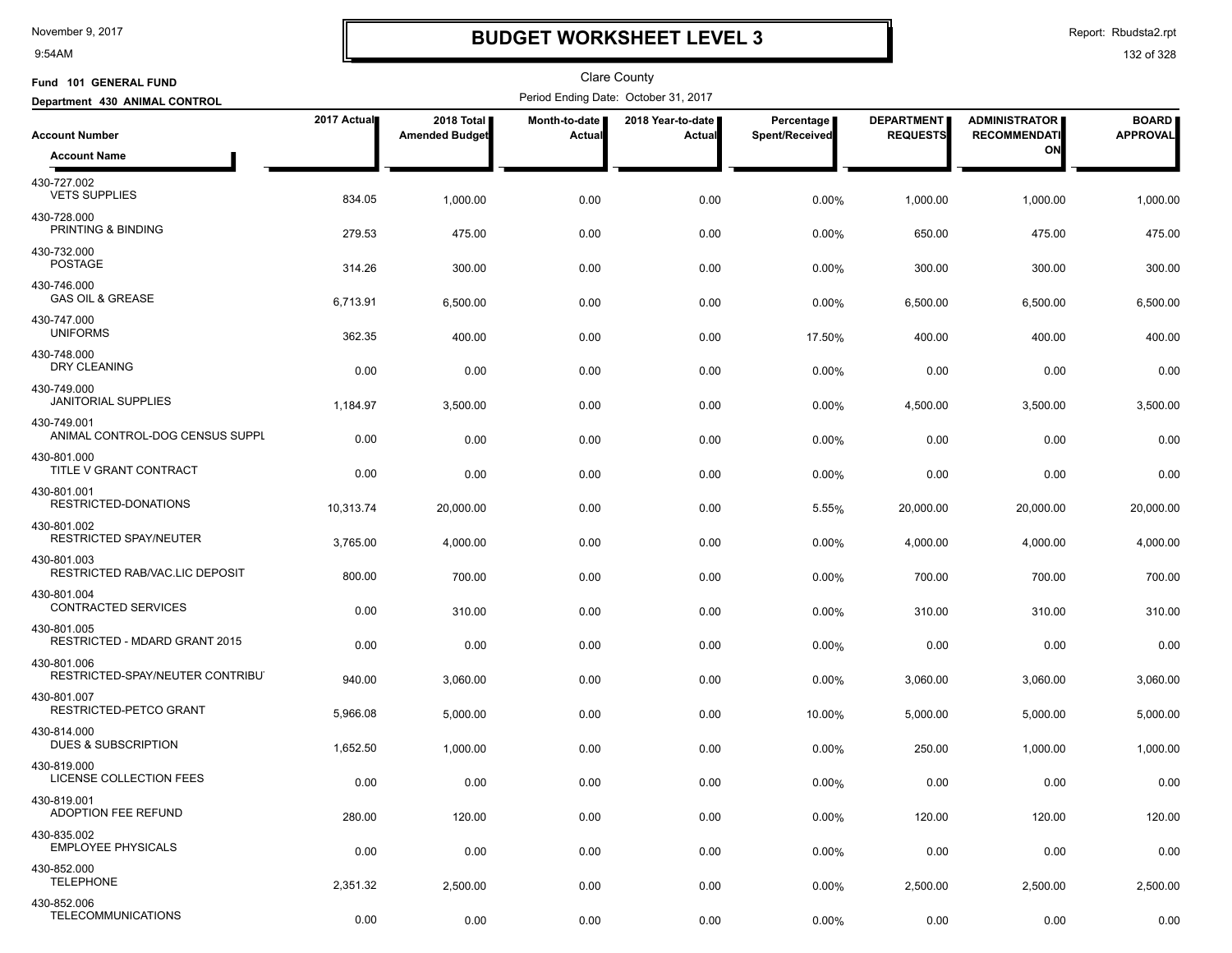9:54AM

### **BUDGET WORKSHEET LEVEL 3**

Clare County

Report: Rbudsta2.rpt

| Fund 101 GENERAL FUND                           |             |                                     |                         | <b>Clare County</b>                  |                              |                                      |                                             |                                 |
|-------------------------------------------------|-------------|-------------------------------------|-------------------------|--------------------------------------|------------------------------|--------------------------------------|---------------------------------------------|---------------------------------|
| Department 430 ANIMAL CONTROL                   |             |                                     |                         | Period Ending Date: October 31, 2017 |                              |                                      |                                             |                                 |
| <b>Account Number</b>                           | 2017 Actual | 2018 Total<br><b>Amended Budget</b> | Month-to-date<br>Actual | 2018 Year-to-date<br>Actual          | Percentage<br>Spent/Received | <b>DEPARTMENT</b><br><b>REQUESTS</b> | <b>ADMINISTRATOR</b><br><b>RECOMMENDATI</b> | <b>BOARD</b><br><b>APPROVAL</b> |
| <b>Account Name</b>                             |             |                                     |                         |                                      |                              |                                      | ON                                          |                                 |
| 430-727.002<br><b>VETS SUPPLIES</b>             | 834.05      | 1,000.00                            | 0.00                    | 0.00                                 | 0.00%                        | 1,000.00                             | 1,000.00                                    | 1,000.00                        |
| 430-728.000<br>PRINTING & BINDING               | 279.53      | 475.00                              | 0.00                    | 0.00                                 | 0.00%                        | 650.00                               | 475.00                                      | 475.00                          |
| 430-732.000<br><b>POSTAGE</b>                   | 314.26      | 300.00                              | 0.00                    | 0.00                                 | 0.00%                        | 300.00                               | 300.00                                      | 300.00                          |
| 430-746.000<br><b>GAS OIL &amp; GREASE</b>      | 6,713.91    | 6,500.00                            | 0.00                    | 0.00                                 | 0.00%                        | 6,500.00                             | 6,500.00                                    | 6,500.00                        |
| 430-747.000<br><b>UNIFORMS</b>                  | 362.35      | 400.00                              | 0.00                    | 0.00                                 | 17.50%                       | 400.00                               | 400.00                                      | 400.00                          |
| 430-748.000<br>DRY CLEANING                     | 0.00        | 0.00                                | 0.00                    | 0.00                                 | 0.00%                        | 0.00                                 | 0.00                                        | 0.00                            |
| 430-749.000<br><b>JANITORIAL SUPPLIES</b>       | 1,184.97    | 3,500.00                            | 0.00                    | 0.00                                 | 0.00%                        | 4,500.00                             | 3,500.00                                    | 3,500.00                        |
| 430-749.001<br>ANIMAL CONTROL-DOG CENSUS SUPPL  | 0.00        | 0.00                                | 0.00                    | 0.00                                 | 0.00%                        | 0.00                                 | 0.00                                        | 0.00                            |
| 430-801.000<br><b>TITLE V GRANT CONTRACT</b>    | 0.00        | 0.00                                | 0.00                    | 0.00                                 | 0.00%                        | 0.00                                 | 0.00                                        | 0.00                            |
| 430-801.001<br>RESTRICTED-DONATIONS             | 10,313.74   | 20,000.00                           | 0.00                    | 0.00                                 | 5.55%                        | 20,000.00                            | 20,000.00                                   | 20,000.00                       |
| 430-801.002<br><b>RESTRICTED SPAY/NEUTER</b>    | 3,765.00    | 4,000.00                            | 0.00                    | 0.00                                 | 0.00%                        | 4,000.00                             | 4,000.00                                    | 4,000.00                        |
| 430-801.003<br>RESTRICTED RAB/VAC.LIC DEPOSIT   | 800.00      | 700.00                              | 0.00                    | 0.00                                 | 0.00%                        | 700.00                               | 700.00                                      | 700.00                          |
| 430-801.004<br>CONTRACTED SERVICES              | 0.00        | 310.00                              | 0.00                    | 0.00                                 | 0.00%                        | 310.00                               | 310.00                                      | 310.00                          |
| 430-801.005<br>RESTRICTED - MDARD GRANT 2015    | 0.00        | 0.00                                | 0.00                    | 0.00                                 | 0.00%                        | 0.00                                 | 0.00                                        | 0.00                            |
| 430-801.006<br>RESTRICTED-SPAY/NEUTER CONTRIBUT | 940.00      | 3,060.00                            | 0.00                    | 0.00                                 | 0.00%                        | 3,060.00                             | 3,060.00                                    | 3,060.00                        |
| 430-801.007<br>RESTRICTED-PETCO GRANT           | 5,966.08    | 5,000.00                            | 0.00                    | 0.00                                 | 10.00%                       | 5,000.00                             | 5,000.00                                    | 5,000.00                        |
| 430-814.000<br>DUES & SUBSCRIPTION              | 1,652.50    | 1,000.00                            | 0.00                    | 0.00                                 | 0.00%                        | 250.00                               | 1,000.00                                    | 1,000.00                        |
| 430-819.000<br>LICENSE COLLECTION FEES          | 0.00        | 0.00                                | 0.00                    | 0.00                                 | 0.00%                        | 0.00                                 | 0.00                                        | 0.00                            |
| 430-819.001<br><b>ADOPTION FEE REFUND</b>       | 280.00      | 120.00                              | 0.00                    | 0.00                                 | 0.00%                        | 120.00                               | 120.00                                      | 120.00                          |
| 430-835.002<br><b>EMPLOYEE PHYSICALS</b>        | 0.00        | 0.00                                | 0.00                    | 0.00                                 | 0.00%                        | 0.00                                 | 0.00                                        | 0.00                            |
| 430-852.000<br><b>TELEPHONE</b>                 | 2,351.32    | 2,500.00                            | 0.00                    | 0.00                                 | 0.00%                        | 2,500.00                             | 2,500.00                                    | 2,500.00                        |
| 430-852.006<br><b>TELECOMMUNICATIONS</b>        | 0.00        | 0.00                                | 0.00                    | 0.00                                 | 0.00%                        | 0.00                                 | 0.00                                        | 0.00                            |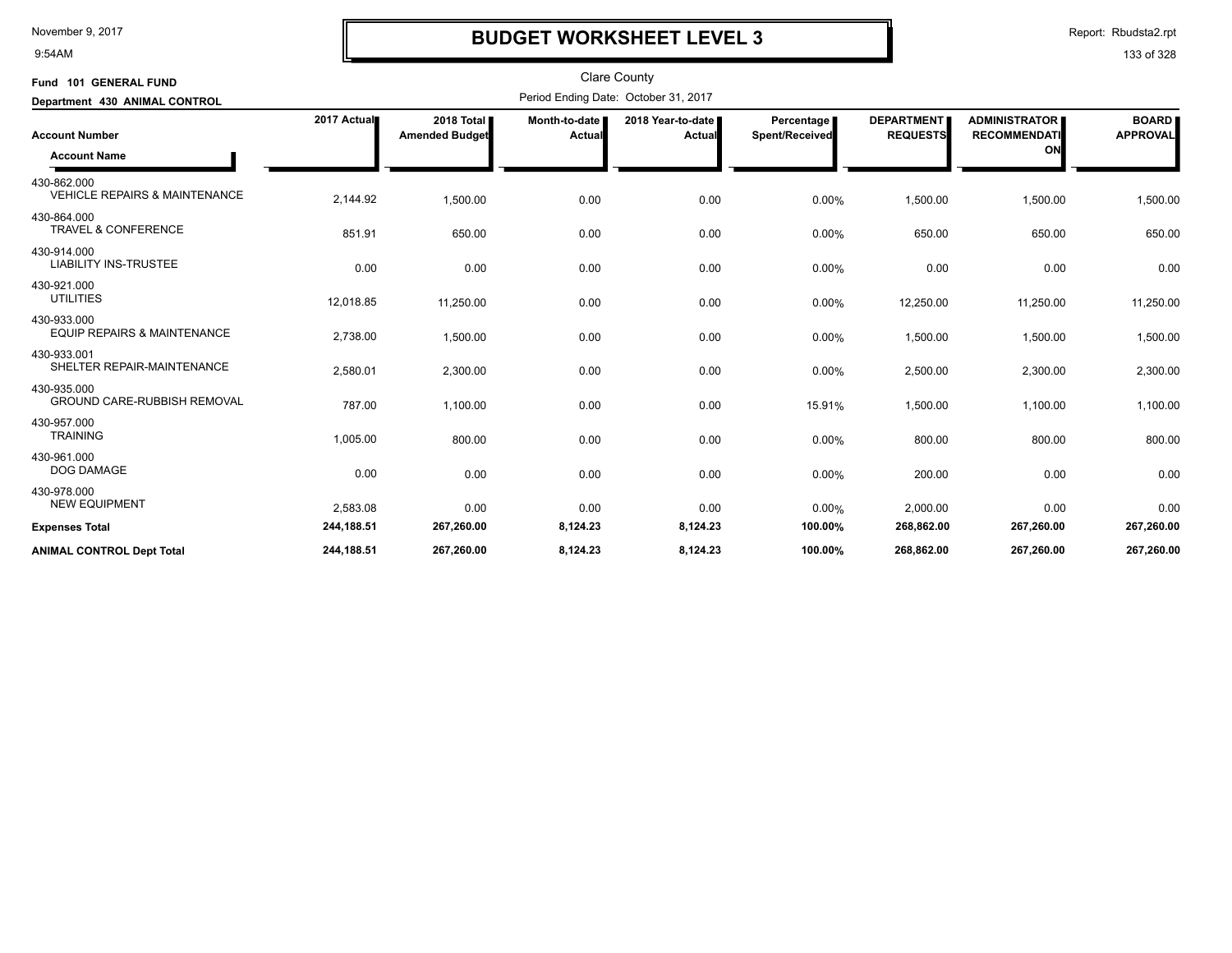9:54AM

## **BUDGET WORKSHEET LEVEL 3**

Report: Rbudsta2.rpt

| Fund 101 GENERAL FUND                                   |             |                                     |                         | <b>Clare County</b>                  |                                     |                                      |                                                   |                                 |
|---------------------------------------------------------|-------------|-------------------------------------|-------------------------|--------------------------------------|-------------------------------------|--------------------------------------|---------------------------------------------------|---------------------------------|
| Department 430 ANIMAL CONTROL                           |             |                                     |                         | Period Ending Date: October 31, 2017 |                                     |                                      |                                                   |                                 |
| <b>Account Number</b>                                   | 2017 Actual | 2018 Total<br><b>Amended Budget</b> | Month-to-date<br>Actual | 2018 Year-to-date<br>Actual          | <b>Percentage</b><br>Spent/Received | <b>DEPARTMENT</b><br><b>REQUESTS</b> | <b>ADMINISTRATOR</b><br><b>RECOMMENDATI</b><br>ON | <b>BOARD</b><br><b>APPROVAL</b> |
| <b>Account Name</b>                                     |             |                                     |                         |                                      |                                     |                                      |                                                   |                                 |
| 430-862.000<br><b>VEHICLE REPAIRS &amp; MAINTENANCE</b> | 2,144.92    | 1,500.00                            | 0.00                    | 0.00                                 | 0.00%                               | 1,500.00                             | 1,500.00                                          | 1,500.00                        |
| 430-864.000<br><b>TRAVEL &amp; CONFERENCE</b>           | 851.91      | 650.00                              | 0.00                    | 0.00                                 | 0.00%                               | 650.00                               | 650.00                                            | 650.00                          |
| 430-914.000<br><b>LIABILITY INS-TRUSTEE</b>             | 0.00        | 0.00                                | 0.00                    | 0.00                                 | 0.00%                               | 0.00                                 | 0.00                                              | 0.00                            |
| 430-921.000<br><b>UTILITIES</b>                         | 12,018.85   | 11,250.00                           | 0.00                    | 0.00                                 | 0.00%                               | 12,250.00                            | 11,250.00                                         | 11,250.00                       |
| 430-933.000<br><b>EQUIP REPAIRS &amp; MAINTENANCE</b>   | 2,738.00    | 1,500.00                            | 0.00                    | 0.00                                 | 0.00%                               | 1,500.00                             | 1,500.00                                          | 1,500.00                        |
| 430-933.001<br>SHELTER REPAIR-MAINTENANCE               | 2,580.01    | 2,300.00                            | 0.00                    | 0.00                                 | 0.00%                               | 2,500.00                             | 2,300.00                                          | 2,300.00                        |
| 430-935.000<br><b>GROUND CARE-RUBBISH REMOVAL</b>       | 787.00      | 1,100.00                            | 0.00                    | 0.00                                 | 15.91%                              | 1,500.00                             | 1,100.00                                          | 1,100.00                        |
| 430-957.000<br><b>TRAINING</b>                          | 1,005.00    | 800.00                              | 0.00                    | 0.00                                 | 0.00%                               | 800.00                               | 800.00                                            | 800.00                          |
| 430-961.000<br>DOG DAMAGE                               | 0.00        | 0.00                                | 0.00                    | 0.00                                 | 0.00%                               | 200.00                               | 0.00                                              | 0.00                            |
| 430-978.000<br><b>NEW EQUIPMENT</b>                     | 2,583.08    | 0.00                                | 0.00                    | 0.00                                 | 0.00%                               | 2,000.00                             | 0.00                                              | 0.00                            |
| <b>Expenses Total</b>                                   | 244,188.51  | 267,260.00                          | 8,124.23                | 8,124.23                             | 100.00%                             | 268,862.00                           | 267,260.00                                        | 267,260.00                      |
| <b>ANIMAL CONTROL Dept Total</b>                        | 244,188.51  | 267,260.00                          | 8,124.23                | 8,124.23                             | 100.00%                             | 268,862.00                           | 267,260.00                                        | 267,260.00                      |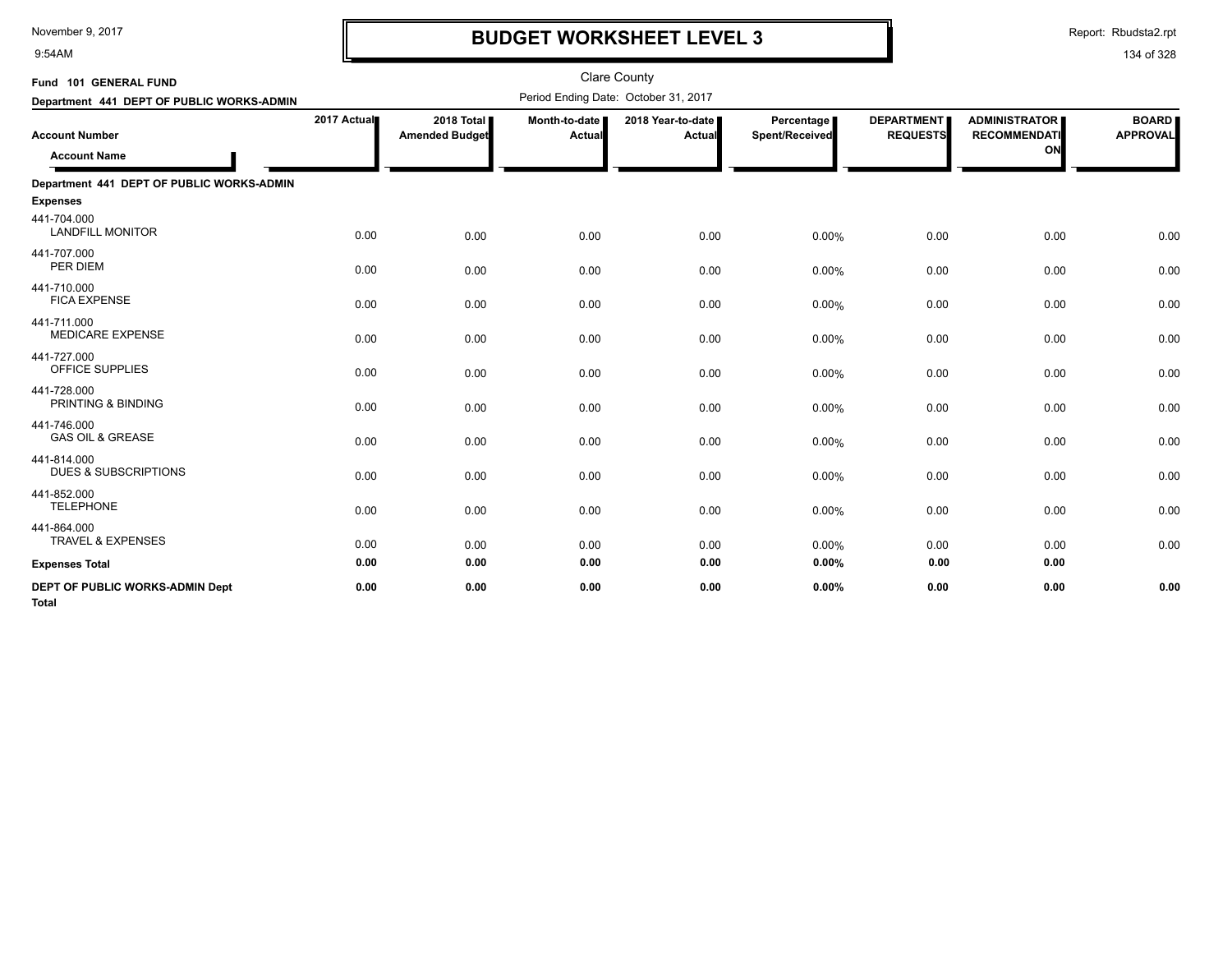9:54AM

## **BUDGET WORKSHEET LEVEL 3**

Report: Rbudsta2.rpt

| Fund 101 GENERAL FUND                           |             |                                     |                           | <b>Clare County</b>                  |                              |                                      |                                                   |                                 |
|-------------------------------------------------|-------------|-------------------------------------|---------------------------|--------------------------------------|------------------------------|--------------------------------------|---------------------------------------------------|---------------------------------|
| Department 441 DEPT OF PUBLIC WORKS-ADMIN       |             |                                     |                           | Period Ending Date: October 31, 2017 |                              |                                      |                                                   |                                 |
| <b>Account Number</b><br><b>Account Name</b>    | 2017 Actual | 2018 Total<br><b>Amended Budget</b> | Month-to-date  <br>Actual | 2018 Year-to-date<br>Actual          | Percentage<br>Spent/Received | <b>DEPARTMENT</b><br><b>REQUESTS</b> | <b>ADMINISTRATOR</b><br><b>RECOMMENDATI</b><br>ON | <b>BOARD</b><br><b>APPROVAL</b> |
| Department 441 DEPT OF PUBLIC WORKS-ADMIN       |             |                                     |                           |                                      |                              |                                      |                                                   |                                 |
| <b>Expenses</b>                                 |             |                                     |                           |                                      |                              |                                      |                                                   |                                 |
| 441-704.000<br><b>LANDFILL MONITOR</b>          | 0.00        | 0.00                                | 0.00                      | 0.00                                 | 0.00%                        | 0.00                                 | 0.00                                              | 0.00                            |
| 441-707.000<br>PER DIEM                         | 0.00        | 0.00                                | 0.00                      | 0.00                                 | 0.00%                        | 0.00                                 | 0.00                                              | 0.00                            |
| 441-710.000<br><b>FICA EXPENSE</b>              | 0.00        | 0.00                                | 0.00                      | 0.00                                 | 0.00%                        | 0.00                                 | 0.00                                              | 0.00                            |
| 441-711.000<br><b>MEDICARE EXPENSE</b>          | 0.00        | 0.00                                | 0.00                      | 0.00                                 | 0.00%                        | 0.00                                 | 0.00                                              | 0.00                            |
| 441-727.000<br>OFFICE SUPPLIES                  | 0.00        | 0.00                                | 0.00                      | 0.00                                 | 0.00%                        | 0.00                                 | 0.00                                              | 0.00                            |
| 441-728.000<br>PRINTING & BINDING               | 0.00        | 0.00                                | 0.00                      | 0.00                                 | 0.00%                        | 0.00                                 | 0.00                                              | 0.00                            |
| 441-746.000<br><b>GAS OIL &amp; GREASE</b>      | 0.00        | 0.00                                | 0.00                      | 0.00                                 | 0.00%                        | 0.00                                 | 0.00                                              | 0.00                            |
| 441-814.000<br><b>DUES &amp; SUBSCRIPTIONS</b>  | 0.00        | 0.00                                | 0.00                      | 0.00                                 | 0.00%                        | 0.00                                 | 0.00                                              | 0.00                            |
| 441-852.000<br><b>TELEPHONE</b>                 | 0.00        | 0.00                                | 0.00                      | 0.00                                 | 0.00%                        | 0.00                                 | 0.00                                              | 0.00                            |
| 441-864.000<br><b>TRAVEL &amp; EXPENSES</b>     | 0.00        | 0.00                                | 0.00                      | 0.00                                 | 0.00%                        | 0.00                                 | 0.00                                              | 0.00                            |
| <b>Expenses Total</b>                           | 0.00        | 0.00                                | 0.00                      | 0.00                                 | 0.00%                        | 0.00                                 | 0.00                                              |                                 |
| DEPT OF PUBLIC WORKS-ADMIN Dept<br><b>Total</b> | 0.00        | 0.00                                | 0.00                      | 0.00                                 | 0.00%                        | 0.00                                 | 0.00                                              | 0.00                            |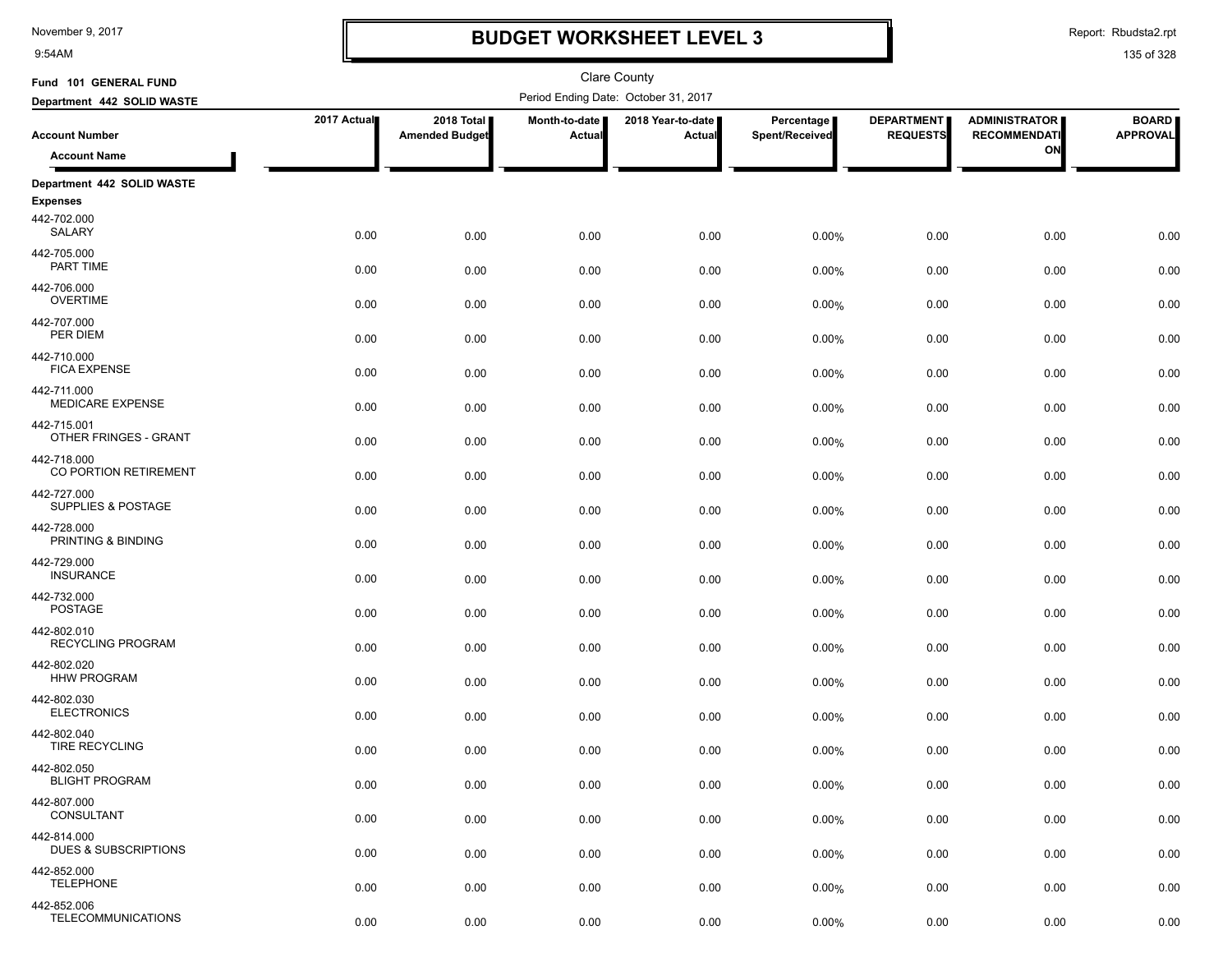9:54AM

## **BUDGET WORKSHEET LEVEL 3**

Report: Rbudsta2.rpt

| Fund 101 GENERAL FUND                          |             |                                     |                         | Clare County                         |                              |                                      |                                             |                                 |
|------------------------------------------------|-------------|-------------------------------------|-------------------------|--------------------------------------|------------------------------|--------------------------------------|---------------------------------------------|---------------------------------|
| Department 442 SOLID WASTE                     |             |                                     |                         | Period Ending Date: October 31, 2017 |                              |                                      |                                             |                                 |
| <b>Account Number</b>                          | 2017 Actual | 2018 Total<br><b>Amended Budget</b> | Month-to-date<br>Actual | 2018 Year-to-date<br>Actual          | Percentage<br>Spent/Received | <b>DEPARTMENT</b><br><b>REQUESTS</b> | <b>ADMINISTRATOR</b><br><b>RECOMMENDATI</b> | <b>BOARD</b><br><b>APPROVAL</b> |
| <b>Account Name</b>                            |             |                                     |                         |                                      |                              |                                      | ON                                          |                                 |
| Department 442 SOLID WASTE                     |             |                                     |                         |                                      |                              |                                      |                                             |                                 |
| <b>Expenses</b>                                |             |                                     |                         |                                      |                              |                                      |                                             |                                 |
| 442-702.000<br>SALARY                          | 0.00        | 0.00                                | 0.00                    | 0.00                                 | 0.00%                        | 0.00                                 | 0.00                                        | 0.00                            |
| 442-705.000<br>PART TIME                       | 0.00        | 0.00                                | 0.00                    | 0.00                                 | 0.00%                        | 0.00                                 | 0.00                                        | 0.00                            |
| 442-706.000<br><b>OVERTIME</b>                 | 0.00        | 0.00                                | 0.00                    | 0.00                                 | 0.00%                        | 0.00                                 | 0.00                                        | 0.00                            |
| 442-707.000<br>PER DIEM                        | 0.00        | 0.00                                | 0.00                    | 0.00                                 | 0.00%                        | 0.00                                 | 0.00                                        | 0.00                            |
| 442-710.000<br><b>FICA EXPENSE</b>             | 0.00        | 0.00                                | 0.00                    | 0.00                                 | 0.00%                        | 0.00                                 | 0.00                                        | 0.00                            |
| 442-711.000<br><b>MEDICARE EXPENSE</b>         | 0.00        | 0.00                                | 0.00                    | 0.00                                 | 0.00%                        | 0.00                                 | 0.00                                        | 0.00                            |
| 442-715.001<br>OTHER FRINGES - GRANT           | 0.00        | 0.00                                | 0.00                    | 0.00                                 | 0.00%                        | 0.00                                 | 0.00                                        | 0.00                            |
| 442-718.000<br>CO PORTION RETIREMENT           | 0.00        | 0.00                                | 0.00                    | 0.00                                 | 0.00%                        | 0.00                                 | 0.00                                        | 0.00                            |
| 442-727.000<br>SUPPLIES & POSTAGE              | 0.00        | 0.00                                | 0.00                    | 0.00                                 | 0.00%                        | 0.00                                 | 0.00                                        | 0.00                            |
| 442-728.000<br>PRINTING & BINDING              | 0.00        | 0.00                                | 0.00                    | 0.00                                 | 0.00%                        | 0.00                                 | 0.00                                        | 0.00                            |
| 442-729.000<br><b>INSURANCE</b>                | 0.00        | 0.00                                | 0.00                    | 0.00                                 | 0.00%                        | 0.00                                 | 0.00                                        | 0.00                            |
| 442-732.000<br><b>POSTAGE</b>                  | 0.00        | 0.00                                | 0.00                    | 0.00                                 | 0.00%                        | 0.00                                 | 0.00                                        | 0.00                            |
| 442-802.010<br><b>RECYCLING PROGRAM</b>        | 0.00        | 0.00                                | 0.00                    | 0.00                                 | 0.00%                        | 0.00                                 | 0.00                                        | 0.00                            |
| 442-802.020<br><b>HHW PROGRAM</b>              | 0.00        | 0.00                                | 0.00                    | 0.00                                 | 0.00%                        | 0.00                                 | 0.00                                        | 0.00                            |
| 442-802.030<br><b>ELECTRONICS</b>              | 0.00        | 0.00                                | 0.00                    | 0.00                                 | 0.00%                        | 0.00                                 | 0.00                                        | 0.00                            |
| 442-802.040<br><b>TIRE RECYCLING</b>           | 0.00        | 0.00                                | 0.00                    | 0.00                                 | 0.00%                        | 0.00                                 | 0.00                                        | 0.00                            |
| 442-802.050<br><b>BLIGHT PROGRAM</b>           | 0.00        | 0.00                                | 0.00                    | 0.00                                 | 0.00%                        | 0.00                                 | 0.00                                        | 0.00                            |
| 442-807.000<br>CONSULTANT                      | 0.00        | 0.00                                | 0.00                    | 0.00                                 | 0.00%                        | 0.00                                 | 0.00                                        | 0.00                            |
| 442-814.000<br><b>DUES &amp; SUBSCRIPTIONS</b> | 0.00        | 0.00                                | 0.00                    | 0.00                                 | 0.00%                        | 0.00                                 | 0.00                                        | 0.00                            |
| 442-852.000<br><b>TELEPHONE</b>                | 0.00        | 0.00                                | 0.00                    | 0.00                                 | 0.00%                        | 0.00                                 | 0.00                                        | 0.00                            |
| 442-852.006<br>TELECOMMUNICATIONS              | 0.00        | 0.00                                | 0.00                    | 0.00                                 | 0.00%                        | 0.00                                 | 0.00                                        | 0.00                            |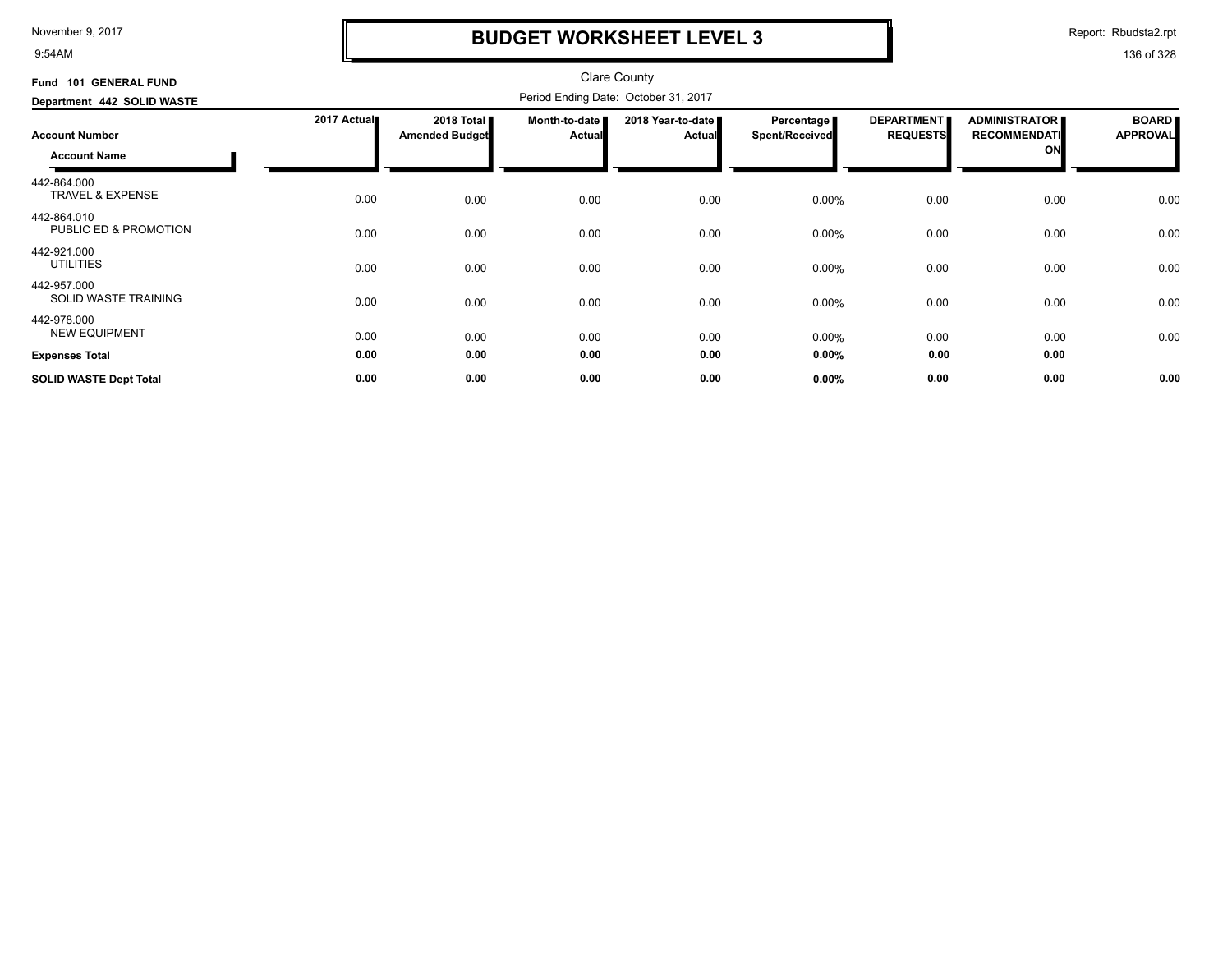9:54AM

## **BUDGET WORKSHEET LEVEL 3**

Report: Rbudsta2.rpt

| Fund 101 GENERAL FUND                      |             |                              |                         | <b>Clare County</b>                  |                                     |                                      |                                             |                                 |
|--------------------------------------------|-------------|------------------------------|-------------------------|--------------------------------------|-------------------------------------|--------------------------------------|---------------------------------------------|---------------------------------|
| Department 442 SOLID WASTE                 |             |                              |                         | Period Ending Date: October 31, 2017 |                                     |                                      |                                             |                                 |
| <b>Account Number</b>                      | 2017 Actual | 2018 Total<br>Amended Budget | Month-to-date<br>Actual | 2018 Year-to-date<br><b>Actual</b>   | Percentage<br><b>Spent/Received</b> | <b>DEPARTMENT</b><br><b>REQUESTS</b> | <b>ADMINISTRATOR</b><br><b>RECOMMENDATI</b> | <b>BOARD</b><br><b>APPROVAL</b> |
| <b>Account Name</b>                        |             |                              |                         |                                      |                                     |                                      | ON                                          |                                 |
| 442-864.000<br><b>TRAVEL &amp; EXPENSE</b> | 0.00        | 0.00                         | 0.00                    | 0.00                                 | 0.00%                               | 0.00                                 | 0.00                                        | 0.00                            |
| 442-864.010<br>PUBLIC ED & PROMOTION       | 0.00        | 0.00                         | 0.00                    | 0.00                                 | 0.00%                               | 0.00                                 | 0.00                                        | 0.00                            |
| 442-921.000<br><b>UTILITIES</b>            | 0.00        | 0.00                         | 0.00                    | 0.00                                 | $0.00\%$                            | 0.00                                 | 0.00                                        | 0.00                            |
| 442-957.000<br>SOLID WASTE TRAINING        | 0.00        | 0.00                         | 0.00                    | 0.00                                 | 0.00%                               | 0.00                                 | 0.00                                        | 0.00                            |
| 442-978.000<br><b>NEW EQUIPMENT</b>        | 0.00        | 0.00                         | 0.00                    | 0.00                                 | 0.00%                               | 0.00                                 | 0.00                                        | 0.00                            |
| <b>Expenses Total</b>                      | 0.00        | 0.00                         | 0.00                    | 0.00                                 | $0.00\%$                            | 0.00                                 | 0.00                                        |                                 |
| <b>SOLID WASTE Dept Total</b>              | 0.00        | 0.00                         | 0.00                    | 0.00                                 | $0.00\%$                            | 0.00                                 | 0.00                                        | 0.00                            |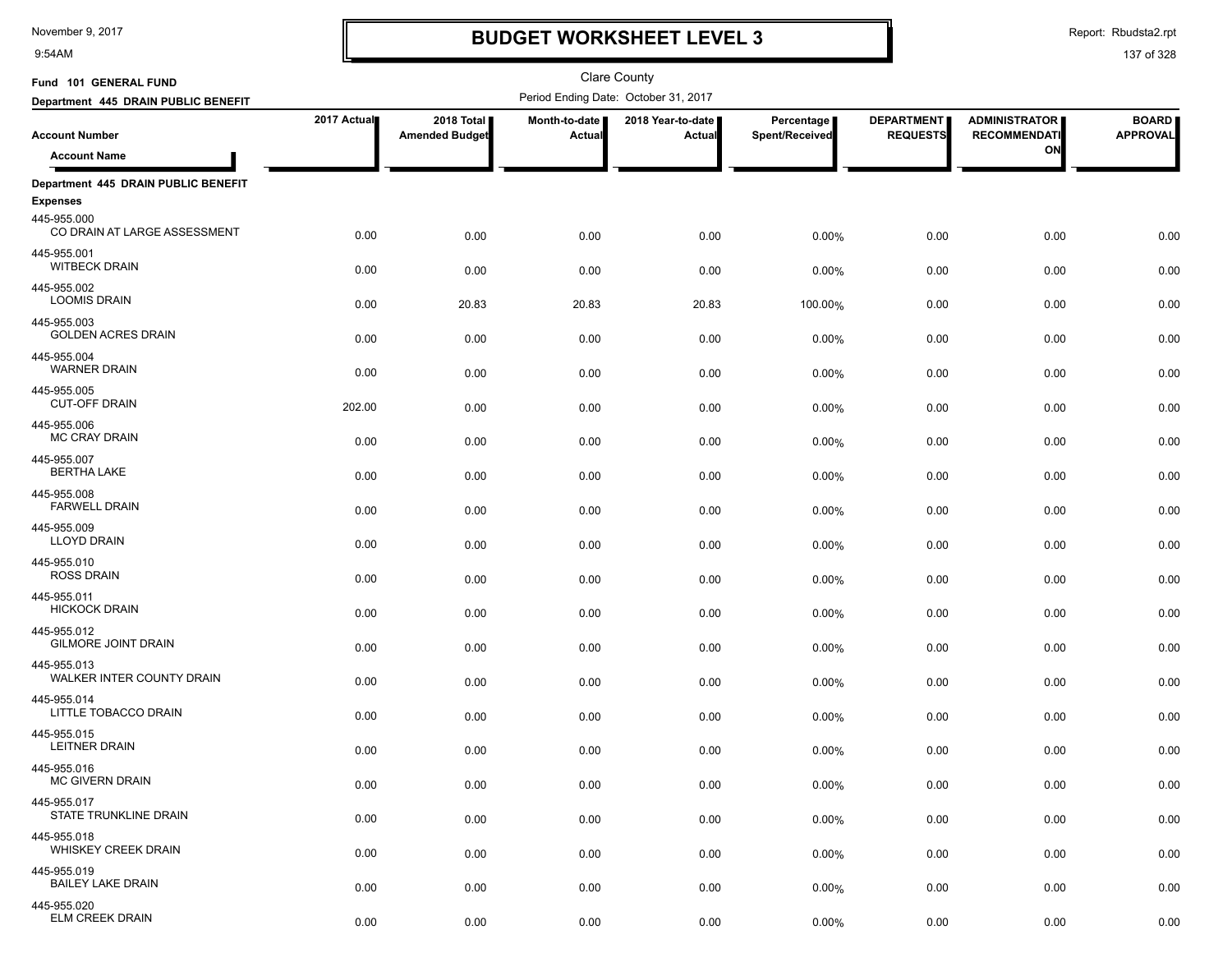9:54AM

## **BUDGET WORKSHEET LEVEL 3**

Clare County

Report: Rbudsta2.rpt

| Fund 101 GENERAL FUND                       |             |                                     |                           | <b>Clare County</b>                  |                              |                                      |                                             |                                 |
|---------------------------------------------|-------------|-------------------------------------|---------------------------|--------------------------------------|------------------------------|--------------------------------------|---------------------------------------------|---------------------------------|
| Department 445 DRAIN PUBLIC BENEFIT         |             |                                     |                           | Period Ending Date: October 31, 2017 |                              |                                      |                                             |                                 |
| <b>Account Number</b>                       | 2017 Actual | 2018 Total<br><b>Amended Budget</b> | Month-to-date  <br>Actual | 2018 Year-to-date  <br><b>Actual</b> | Percentage<br>Spent/Received | <b>DEPARTMENT</b><br><b>REQUESTS</b> | <b>ADMINISTRATOR</b><br><b>RECOMMENDATI</b> | <b>BOARD</b><br><b>APPROVAL</b> |
| <b>Account Name</b>                         |             |                                     |                           |                                      |                              |                                      | ON                                          |                                 |
| Department 445 DRAIN PUBLIC BENEFIT         |             |                                     |                           |                                      |                              |                                      |                                             |                                 |
| <b>Expenses</b>                             |             |                                     |                           |                                      |                              |                                      |                                             |                                 |
| 445-955.000<br>CO DRAIN AT LARGE ASSESSMENT | 0.00        | 0.00                                | 0.00                      | 0.00                                 | 0.00%                        | 0.00                                 | 0.00                                        | 0.00                            |
| 445-955.001<br><b>WITBECK DRAIN</b>         | 0.00        | 0.00                                | 0.00                      | 0.00                                 | 0.00%                        | 0.00                                 | 0.00                                        | 0.00                            |
| 445-955.002<br><b>LOOMIS DRAIN</b>          | 0.00        | 20.83                               | 20.83                     | 20.83                                | 100.00%                      | 0.00                                 | 0.00                                        | 0.00                            |
| 445-955.003<br><b>GOLDEN ACRES DRAIN</b>    | 0.00        | 0.00                                | 0.00                      | 0.00                                 | 0.00%                        | 0.00                                 | 0.00                                        | 0.00                            |
| 445-955.004<br><b>WARNER DRAIN</b>          | 0.00        | 0.00                                | 0.00                      | 0.00                                 | 0.00%                        | 0.00                                 | 0.00                                        | 0.00                            |
| 445-955.005<br><b>CUT-OFF DRAIN</b>         | 202.00      | 0.00                                | 0.00                      | 0.00                                 | 0.00%                        | 0.00                                 | 0.00                                        | 0.00                            |
| 445-955.006<br><b>MC CRAY DRAIN</b>         | 0.00        | 0.00                                | 0.00                      | 0.00                                 | 0.00%                        | 0.00                                 | 0.00                                        | 0.00                            |
| 445-955.007<br><b>BERTHA LAKE</b>           | 0.00        | 0.00                                | 0.00                      | 0.00                                 | 0.00%                        | 0.00                                 | 0.00                                        | 0.00                            |
| 445-955.008<br><b>FARWELL DRAIN</b>         | 0.00        | 0.00                                | 0.00                      | 0.00                                 | 0.00%                        | 0.00                                 | 0.00                                        | 0.00                            |
| 445-955.009<br><b>LLOYD DRAIN</b>           | 0.00        | 0.00                                | 0.00                      | 0.00                                 | 0.00%                        | 0.00                                 | 0.00                                        | 0.00                            |
| 445-955.010<br><b>ROSS DRAIN</b>            | 0.00        | 0.00                                | 0.00                      | 0.00                                 | 0.00%                        | 0.00                                 | 0.00                                        | 0.00                            |
| 445-955.011<br><b>HICKOCK DRAIN</b>         | 0.00        | 0.00                                | 0.00                      | 0.00                                 | 0.00%                        | 0.00                                 | 0.00                                        | 0.00                            |
| 445-955.012<br>GILMORE JOINT DRAIN          | 0.00        | 0.00                                | 0.00                      | 0.00                                 | 0.00%                        | 0.00                                 | 0.00                                        | 0.00                            |
| 445-955.013<br>WALKER INTER COUNTY DRAIN    | 0.00        | 0.00                                | 0.00                      | 0.00                                 | 0.00%                        | 0.00                                 | 0.00                                        | 0.00                            |
| 445-955.014<br>LITTLE TOBACCO DRAIN         | 0.00        | 0.00                                | 0.00                      | 0.00                                 | 0.00%                        | 0.00                                 | 0.00                                        | 0.00                            |
| 445-955.015<br><b>LEITNER DRAIN</b>         | 0.00        | 0.00                                | 0.00                      | 0.00                                 | 0.00%                        | 0.00                                 | 0.00                                        | 0.00                            |
| 445-955.016<br><b>MC GIVERN DRAIN</b>       | 0.00        | 0.00                                | 0.00                      | 0.00                                 | 0.00%                        | 0.00                                 | 0.00                                        | 0.00                            |
| 445-955.017<br>STATE TRUNKLINE DRAIN        | 0.00        | 0.00                                | 0.00                      | 0.00                                 | 0.00%                        | 0.00                                 | 0.00                                        | 0.00                            |
| 445-955.018<br><b>WHISKEY CREEK DRAIN</b>   | 0.00        | 0.00                                | 0.00                      | 0.00                                 | 0.00%                        | 0.00                                 | 0.00                                        | 0.00                            |
| 445-955.019<br><b>BAILEY LAKE DRAIN</b>     | 0.00        | 0.00                                | 0.00                      | 0.00                                 | 0.00%                        | 0.00                                 | 0.00                                        | 0.00                            |
| 445-955.020<br>ELM CREEK DRAIN              | 0.00        | 0.00                                | 0.00                      | 0.00                                 | 0.00%                        | 0.00                                 | 0.00                                        | 0.00                            |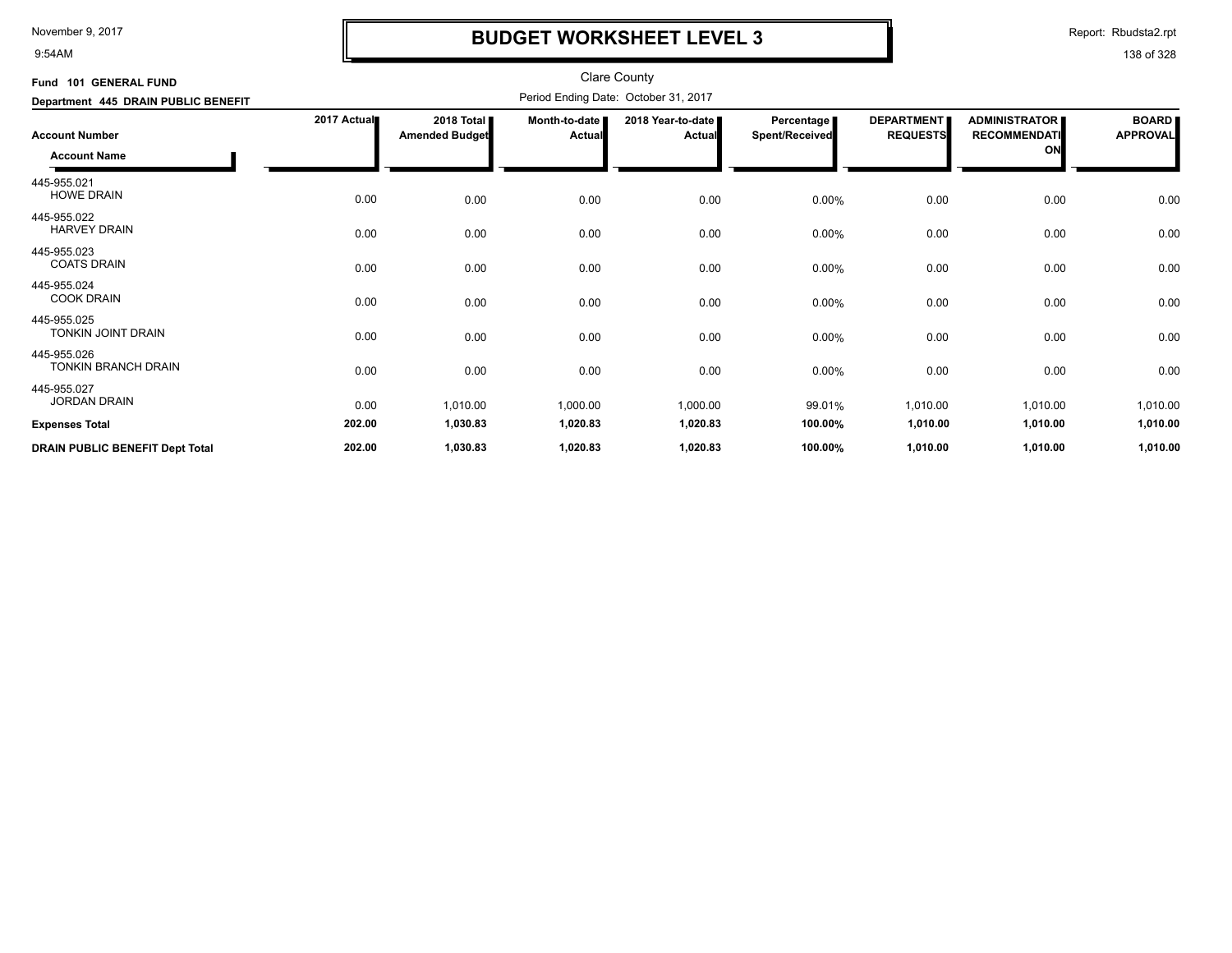9:54AM

## **BUDGET WORKSHEET LEVEL 3**

Report: Rbudsta2.rpt

| Fund 101 GENERAL FUND                        |             |                                     |                                | <b>Clare County</b>                  |                                            |                                      |                                                   |                                 |
|----------------------------------------------|-------------|-------------------------------------|--------------------------------|--------------------------------------|--------------------------------------------|--------------------------------------|---------------------------------------------------|---------------------------------|
| Department 445 DRAIN PUBLIC BENEFIT          |             |                                     |                                | Period Ending Date: October 31, 2017 |                                            |                                      |                                                   |                                 |
| <b>Account Number</b><br><b>Account Name</b> | 2017 Actual | 2018 Total<br><b>Amended Budget</b> | Month-to-date<br><b>Actual</b> | 2018 Year-to-date<br><b>Actual</b>   | <b>Percentage</b><br><b>Spent/Received</b> | <b>DEPARTMENT</b><br><b>REQUESTS</b> | <b>ADMINISTRATOR</b><br><b>RECOMMENDATI</b><br>ON | <b>BOARD</b><br><b>APPROVAL</b> |
| 445-955.021<br><b>HOWE DRAIN</b>             | 0.00        | 0.00                                | 0.00                           | 0.00                                 | 0.00%                                      | 0.00                                 | 0.00                                              | 0.00                            |
| 445-955.022<br><b>HARVEY DRAIN</b>           | 0.00        | 0.00                                | 0.00                           | 0.00                                 | 0.00%                                      | 0.00                                 | 0.00                                              | 0.00                            |
| 445-955.023<br><b>COATS DRAIN</b>            | 0.00        | 0.00                                | 0.00                           | 0.00                                 | 0.00%                                      | 0.00                                 | 0.00                                              | 0.00                            |
| 445-955.024<br><b>COOK DRAIN</b>             | 0.00        | 0.00                                | 0.00                           | 0.00                                 | 0.00%                                      | 0.00                                 | 0.00                                              | 0.00                            |
| 445-955.025<br>TONKIN JOINT DRAIN            | 0.00        | 0.00                                | 0.00                           | 0.00                                 | 0.00%                                      | 0.00                                 | 0.00                                              | 0.00                            |
| 445-955.026<br><b>TONKIN BRANCH DRAIN</b>    | 0.00        | 0.00                                | 0.00                           | 0.00                                 | 0.00%                                      | 0.00                                 | 0.00                                              | 0.00                            |
| 445-955.027<br><b>JORDAN DRAIN</b>           | 0.00        | 1,010.00                            | 1,000.00                       | 1,000.00                             | 99.01%                                     | 1,010.00                             | 1,010.00                                          | 1,010.00                        |
| <b>Expenses Total</b>                        | 202.00      | 1,030.83                            | 1,020.83                       | 1,020.83                             | 100.00%                                    | 1,010.00                             | 1,010.00                                          | 1,010.00                        |
| <b>DRAIN PUBLIC BENEFIT Dept Total</b>       | 202.00      | 1,030.83                            | 1,020.83                       | 1,020.83                             | 100.00%                                    | 1,010.00                             | 1,010.00                                          | 1,010.00                        |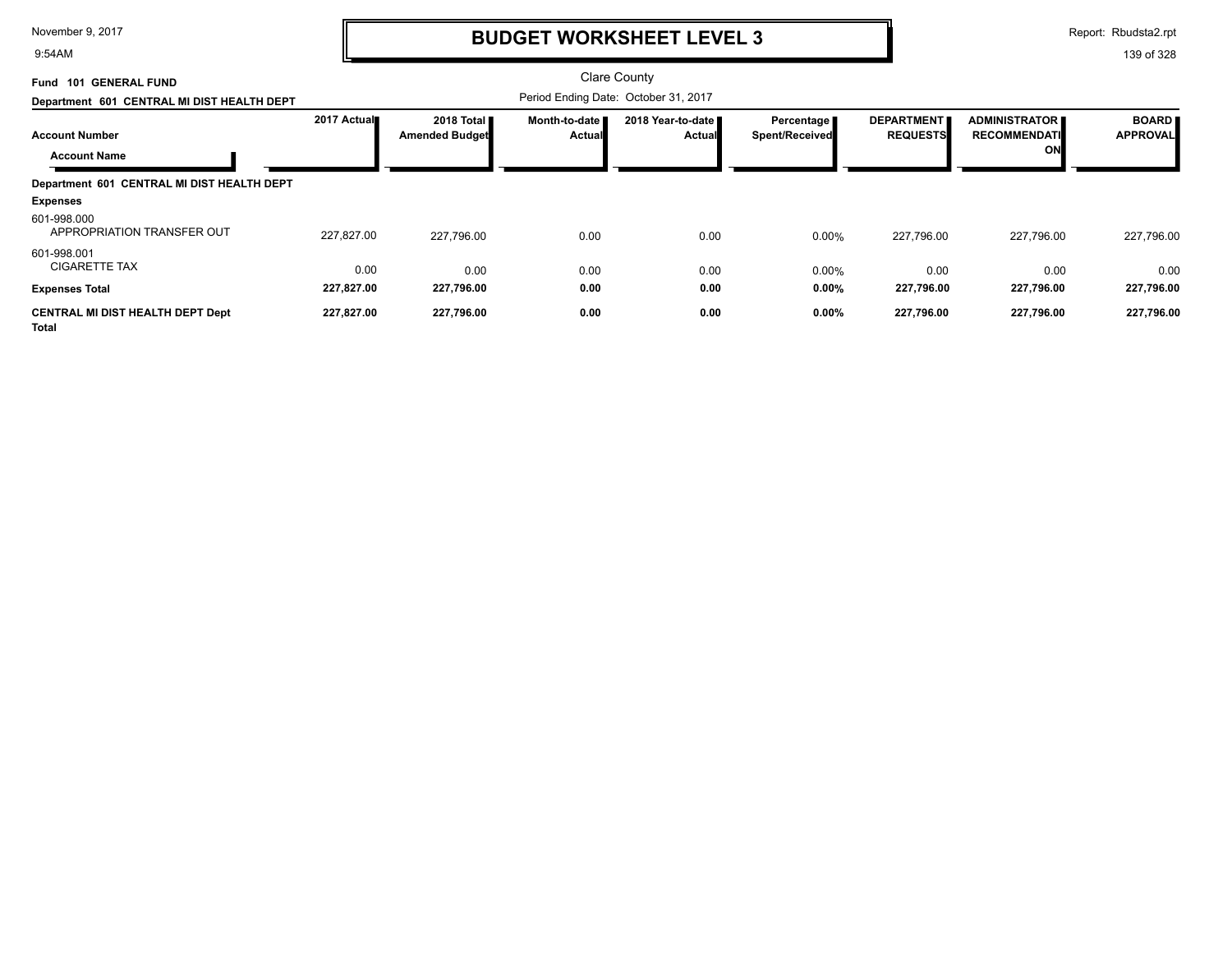9:54AM

## **BUDGET WORKSHEET LEVEL 3**

Report: Rbudsta2.rpt

| <b>101 GENERAL FUND</b><br>Fund                  |             |                                     |                           | <b>Clare County</b>                  |                                |                                      |                                             |                                 |
|--------------------------------------------------|-------------|-------------------------------------|---------------------------|--------------------------------------|--------------------------------|--------------------------------------|---------------------------------------------|---------------------------------|
| Department 601 CENTRAL MI DIST HEALTH DEPT       |             |                                     |                           | Period Ending Date: October 31, 2017 |                                |                                      |                                             |                                 |
| <b>Account Number</b>                            | 2017 Actual | 2018 Total<br><b>Amended Budget</b> | Month-to-date I<br>Actual | 2018 Year-to-date<br><b>Actual</b>   | Percentage I<br>Spent/Received | <b>DEPARTMENT</b><br><b>REQUESTS</b> | <b>ADMINISTRATOR</b><br><b>RECOMMENDATI</b> | <b>BOARD</b><br><b>APPROVAL</b> |
| <b>Account Name</b>                              |             |                                     |                           |                                      |                                |                                      | ON                                          |                                 |
| Department 601 CENTRAL MI DIST HEALTH DEPT       |             |                                     |                           |                                      |                                |                                      |                                             |                                 |
| <b>Expenses</b>                                  |             |                                     |                           |                                      |                                |                                      |                                             |                                 |
| 601-998.000<br>APPROPRIATION TRANSFER OUT        | 227.827.00  | 227.796.00                          | 0.00                      | 0.00                                 | 0.00%                          | 227,796.00                           | 227.796.00                                  | 227,796.00                      |
| 601-998.001<br><b>CIGARETTE TAX</b>              | 0.00        | 0.00                                | 0.00                      | 0.00                                 | 0.00%                          | 0.00                                 | 0.00                                        | 0.00                            |
| <b>Expenses Total</b>                            | 227,827.00  | 227,796.00                          | 0.00                      | 0.00                                 | 0.00%                          | 227,796.00                           | 227,796.00                                  | 227,796.00                      |
| <b>CENTRAL MI DIST HEALTH DEPT Dept</b><br>Total | 227,827.00  | 227,796.00                          | 0.00                      | 0.00                                 | 0.00%                          | 227,796.00                           | 227,796.00                                  | 227,796.00                      |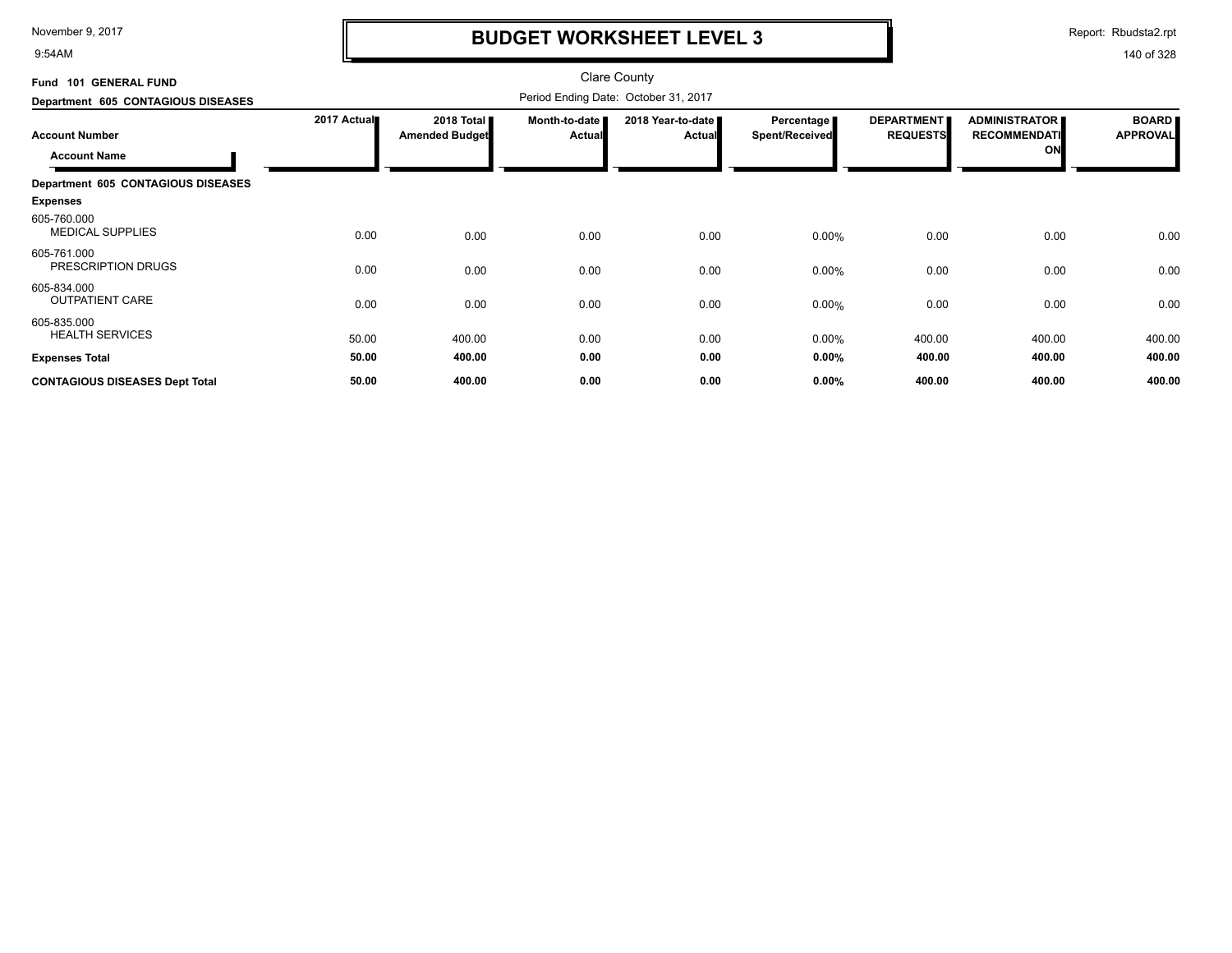9:54AM

## **BUDGET WORKSHEET LEVEL 3**

Report: Rbudsta2.rpt

| Fund 101 GENERAL FUND                  |             |                                               |                                  | <b>Clare County</b>                  |                              |                                      |                                             |                                 |
|----------------------------------------|-------------|-----------------------------------------------|----------------------------------|--------------------------------------|------------------------------|--------------------------------------|---------------------------------------------|---------------------------------|
| Department 605 CONTAGIOUS DISEASES     |             |                                               |                                  | Period Ending Date: October 31, 2017 |                              |                                      |                                             |                                 |
| <b>Account Number</b>                  | 2017 Actual | 2018 Total <b>II</b><br><b>Amended Budget</b> | Month-to-date  <br><b>Actual</b> | 2018 Year-to-date<br><b>Actual</b>   | Percentage<br>Spent/Received | <b>DEPARTMENT</b><br><b>REQUESTS</b> | <b>ADMINISTRATOR</b><br><b>RECOMMENDATI</b> | <b>BOARD</b><br><b>APPROVAL</b> |
| <b>Account Name</b>                    |             |                                               |                                  |                                      |                              |                                      | ON                                          |                                 |
| Department 605 CONTAGIOUS DISEASES     |             |                                               |                                  |                                      |                              |                                      |                                             |                                 |
| <b>Expenses</b>                        |             |                                               |                                  |                                      |                              |                                      |                                             |                                 |
| 605-760.000<br><b>MEDICAL SUPPLIES</b> | 0.00        | 0.00                                          | 0.00                             | 0.00                                 | 0.00%                        | 0.00                                 | 0.00                                        | 0.00                            |
| 605-761.000<br>PRESCRIPTION DRUGS      | 0.00        | 0.00                                          | 0.00                             | 0.00                                 | 0.00%                        | 0.00                                 | 0.00                                        | 0.00                            |
| 605-834.000<br><b>OUTPATIENT CARE</b>  | 0.00        | 0.00                                          | 0.00                             | 0.00                                 | 0.00%                        | 0.00                                 | 0.00                                        | 0.00                            |
| 605-835.000<br><b>HEALTH SERVICES</b>  | 50.00       | 400.00                                        | 0.00                             | 0.00                                 | 0.00%                        | 400.00                               | 400.00                                      | 400.00                          |
| <b>Expenses Total</b>                  | 50.00       | 400.00                                        | 0.00                             | 0.00                                 | 0.00%                        | 400.00                               | 400.00                                      | 400.00                          |
| <b>CONTAGIOUS DISEASES Dept Total</b>  | 50.00       | 400.00                                        | 0.00                             | 0.00                                 | 0.00%                        | 400.00                               | 400.00                                      | 400.00                          |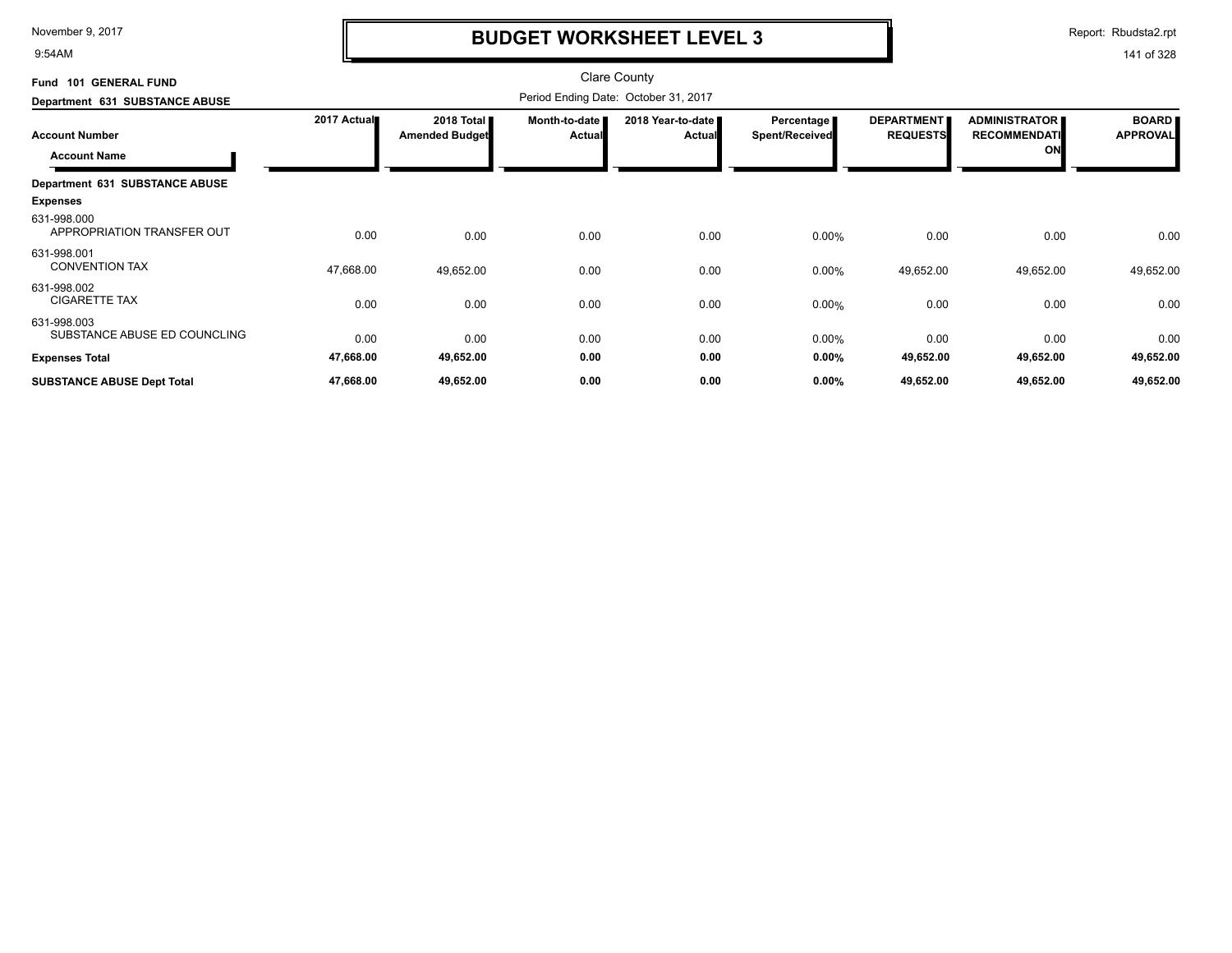9:54AM

## **BUDGET WORKSHEET LEVEL 3**

Report: Rbudsta2.rpt

| Fund 101 GENERAL FUND                       |             |                                     |                           | <b>Clare County</b>                  |                                     |                                      |                                             |                                 |
|---------------------------------------------|-------------|-------------------------------------|---------------------------|--------------------------------------|-------------------------------------|--------------------------------------|---------------------------------------------|---------------------------------|
| Department 631 SUBSTANCE ABUSE              |             |                                     |                           | Period Ending Date: October 31, 2017 |                                     |                                      |                                             |                                 |
| <b>Account Number</b>                       | 2017 Actual | 2018 Total<br><b>Amended Budget</b> | Month-to-date  <br>Actual | 2018 Year-to-date ■<br><b>Actual</b> | Percentage<br><b>Spent/Received</b> | <b>DEPARTMENT</b><br><b>REQUESTS</b> | <b>ADMINISTRATOR</b><br><b>RECOMMENDATI</b> | <b>BOARD</b><br><b>APPROVAL</b> |
| <b>Account Name</b>                         |             |                                     |                           |                                      |                                     |                                      | ON                                          |                                 |
| Department 631 SUBSTANCE ABUSE              |             |                                     |                           |                                      |                                     |                                      |                                             |                                 |
| <b>Expenses</b>                             |             |                                     |                           |                                      |                                     |                                      |                                             |                                 |
| 631-998.000<br>APPROPRIATION TRANSFER OUT   | 0.00        | 0.00                                | 0.00                      | 0.00                                 | $0.00\%$                            | 0.00                                 | 0.00                                        | 0.00                            |
| 631-998.001<br><b>CONVENTION TAX</b>        | 47,668.00   | 49,652.00                           | 0.00                      | 0.00                                 | $0.00\%$                            | 49,652.00                            | 49,652.00                                   | 49,652.00                       |
| 631-998.002<br><b>CIGARETTE TAX</b>         | 0.00        | 0.00                                | 0.00                      | 0.00                                 | 0.00%                               | 0.00                                 | 0.00                                        | 0.00                            |
| 631-998.003<br>SUBSTANCE ABUSE ED COUNCLING | 0.00        | 0.00                                | 0.00                      | 0.00                                 | 0.00%                               | 0.00                                 | 0.00                                        | 0.00                            |
| <b>Expenses Total</b>                       | 47,668.00   | 49,652.00                           | 0.00                      | 0.00                                 | $0.00\%$                            | 49,652.00                            | 49,652.00                                   | 49,652.00                       |
| <b>SUBSTANCE ABUSE Dept Total</b>           | 47,668.00   | 49,652.00                           | 0.00                      | 0.00                                 | $0.00\%$                            | 49,652.00                            | 49,652.00                                   | 49,652.00                       |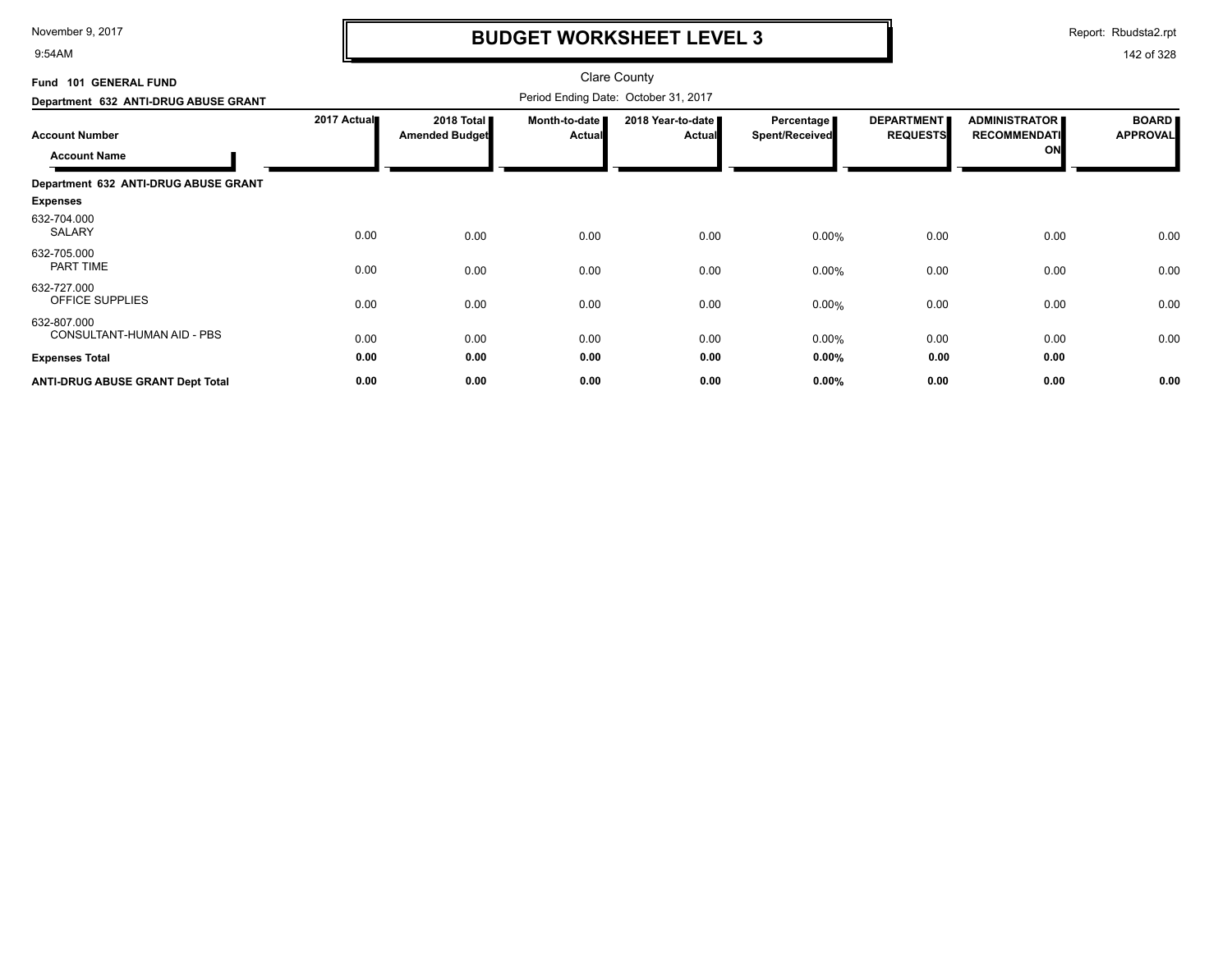9:54AM

## **BUDGET WORKSHEET LEVEL 3**

Report: Rbudsta2.rpt

| Fund 101 GENERAL FUND                     |             |                                     |                                | <b>Clare County</b>                  |                                     |                                      |                                             |                                 |
|-------------------------------------------|-------------|-------------------------------------|--------------------------------|--------------------------------------|-------------------------------------|--------------------------------------|---------------------------------------------|---------------------------------|
| Department 632 ANTI-DRUG ABUSE GRANT      |             |                                     |                                | Period Ending Date: October 31, 2017 |                                     |                                      |                                             |                                 |
| <b>Account Number</b>                     | 2017 Actual | 2018 Total<br><b>Amended Budget</b> | Month-to-date<br><b>Actual</b> | 2018 Year-to-date<br><b>Actual</b>   | <b>Percentage</b><br>Spent/Received | <b>DEPARTMENT</b><br><b>REQUESTS</b> | <b>ADMINISTRATOR</b><br><b>RECOMMENDATI</b> | <b>BOARD</b><br><b>APPROVAL</b> |
| <b>Account Name</b>                       |             |                                     |                                |                                      |                                     |                                      | ON                                          |                                 |
| Department 632 ANTI-DRUG ABUSE GRANT      |             |                                     |                                |                                      |                                     |                                      |                                             |                                 |
| <b>Expenses</b>                           |             |                                     |                                |                                      |                                     |                                      |                                             |                                 |
| 632-704.000<br><b>SALARY</b>              | 0.00        | 0.00                                | 0.00                           | 0.00                                 | $0.00\%$                            | 0.00                                 | 0.00                                        | 0.00                            |
| 632-705.000<br>PART TIME                  | 0.00        | 0.00                                | 0.00                           | 0.00                                 | $0.00\%$                            | 0.00                                 | 0.00                                        | 0.00                            |
| 632-727.000<br><b>OFFICE SUPPLIES</b>     | 0.00        | 0.00                                | 0.00                           | 0.00                                 | 0.00%                               | 0.00                                 | 0.00                                        | 0.00                            |
| 632-807.000<br>CONSULTANT-HUMAN AID - PBS | 0.00        | 0.00                                | 0.00                           | 0.00                                 | 0.00%                               | 0.00                                 | 0.00                                        | 0.00                            |
| <b>Expenses Total</b>                     | 0.00        | 0.00                                | 0.00                           | 0.00                                 | 0.00%                               | 0.00                                 | 0.00                                        |                                 |
| <b>ANTI-DRUG ABUSE GRANT Dept Total</b>   | 0.00        | 0.00                                | 0.00                           | 0.00                                 | 0.00%                               | 0.00                                 | 0.00                                        | 0.00                            |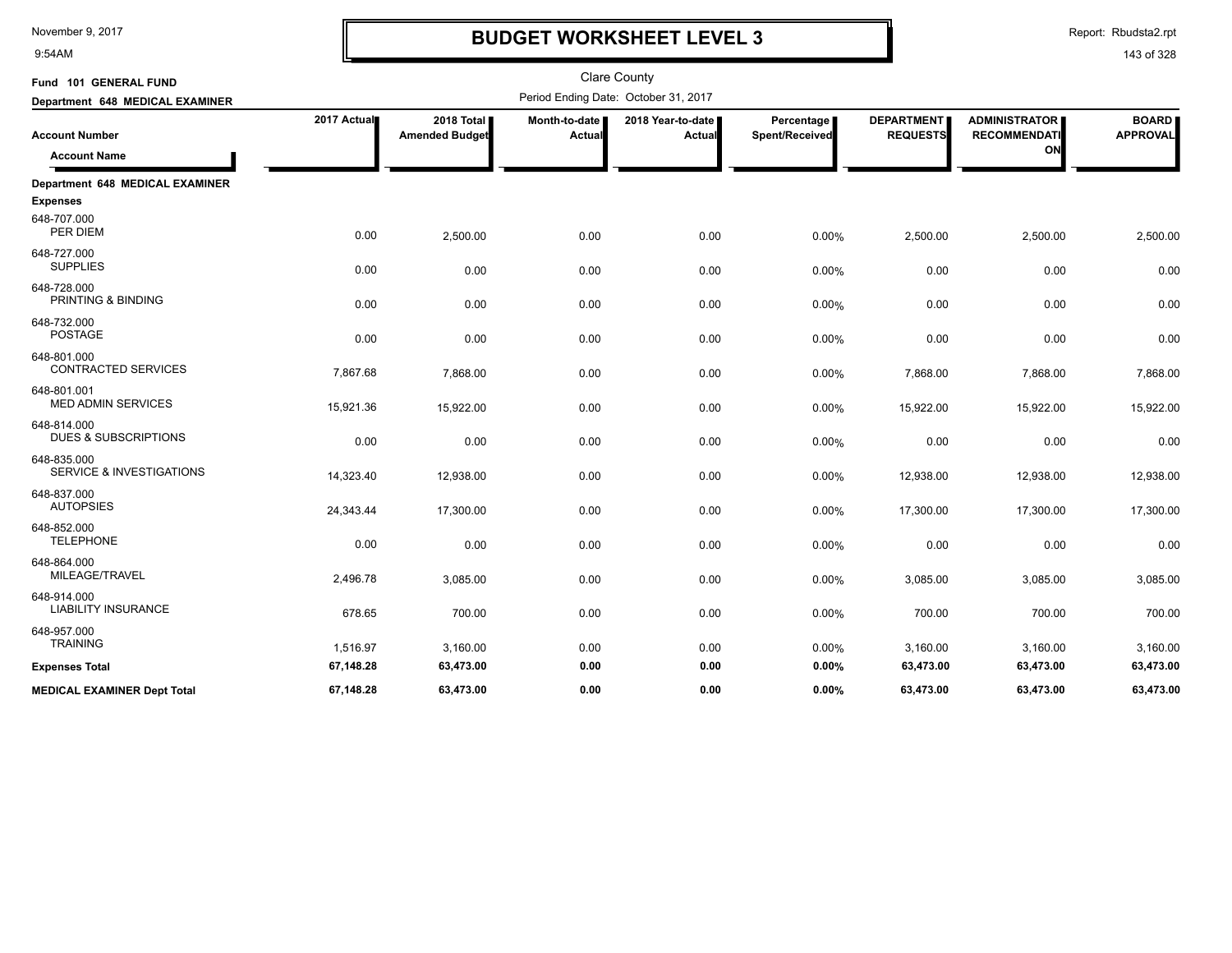9:54AM

## **BUDGET WORKSHEET LEVEL 3**

Report: Rbudsta2.rpt

| Fund 101 GENERAL FUND                              |             |                                     |                         | <b>Clare County</b>                  |                              |                                      |                                                   |                                 |
|----------------------------------------------------|-------------|-------------------------------------|-------------------------|--------------------------------------|------------------------------|--------------------------------------|---------------------------------------------------|---------------------------------|
| Department 648 MEDICAL EXAMINER                    |             |                                     |                         | Period Ending Date: October 31, 2017 |                              |                                      |                                                   |                                 |
| <b>Account Number</b><br><b>Account Name</b>       | 2017 Actual | 2018 Total<br><b>Amended Budget</b> | Month-to-date<br>Actual | 2018 Year-to-date<br>Actual          | Percentage<br>Spent/Received | <b>DEPARTMENT</b><br><b>REQUESTS</b> | <b>ADMINISTRATOR</b><br><b>RECOMMENDATI</b><br>ON | <b>BOARD</b><br><b>APPROVAL</b> |
| Department 648 MEDICAL EXAMINER<br><b>Expenses</b> |             |                                     |                         |                                      |                              |                                      |                                                   |                                 |
| 648-707.000<br>PER DIEM                            | 0.00        | 2,500.00                            | 0.00                    | 0.00                                 | 0.00%                        | 2,500.00                             | 2,500.00                                          | 2,500.00                        |
| 648-727.000<br><b>SUPPLIES</b>                     | 0.00        | 0.00                                | 0.00                    | 0.00                                 | 0.00%                        | 0.00                                 | 0.00                                              | 0.00                            |
| 648-728.000<br>PRINTING & BINDING                  | 0.00        | 0.00                                | 0.00                    | 0.00                                 | 0.00%                        | 0.00                                 | 0.00                                              | 0.00                            |
| 648-732.000<br><b>POSTAGE</b>                      | 0.00        | 0.00                                | 0.00                    | 0.00                                 | 0.00%                        | 0.00                                 | 0.00                                              | 0.00                            |
| 648-801.000<br><b>CONTRACTED SERVICES</b>          | 7,867.68    | 7,868.00                            | 0.00                    | 0.00                                 | 0.00%                        | 7,868.00                             | 7,868.00                                          | 7,868.00                        |
| 648-801.001<br><b>MED ADMIN SERVICES</b>           | 15,921.36   | 15,922.00                           | 0.00                    | 0.00                                 | 0.00%                        | 15,922.00                            | 15,922.00                                         | 15,922.00                       |
| 648-814.000<br><b>DUES &amp; SUBSCRIPTIONS</b>     | 0.00        | 0.00                                | 0.00                    | 0.00                                 | 0.00%                        | 0.00                                 | 0.00                                              | 0.00                            |
| 648-835.000<br><b>SERVICE &amp; INVESTIGATIONS</b> | 14,323.40   | 12,938.00                           | 0.00                    | 0.00                                 | 0.00%                        | 12,938.00                            | 12,938.00                                         | 12,938.00                       |
| 648-837.000<br><b>AUTOPSIES</b>                    | 24,343.44   | 17,300.00                           | 0.00                    | 0.00                                 | 0.00%                        | 17,300.00                            | 17,300.00                                         | 17,300.00                       |
| 648-852.000<br><b>TELEPHONE</b>                    | 0.00        | 0.00                                | 0.00                    | 0.00                                 | 0.00%                        | 0.00                                 | 0.00                                              | 0.00                            |
| 648-864.000<br>MILEAGE/TRAVEL                      | 2,496.78    | 3,085.00                            | 0.00                    | 0.00                                 | 0.00%                        | 3,085.00                             | 3,085.00                                          | 3,085.00                        |
| 648-914.000<br><b>LIABILITY INSURANCE</b>          | 678.65      | 700.00                              | 0.00                    | 0.00                                 | 0.00%                        | 700.00                               | 700.00                                            | 700.00                          |
| 648-957.000<br><b>TRAINING</b>                     | 1,516.97    | 3,160.00                            | 0.00                    | 0.00                                 | 0.00%                        | 3,160.00                             | 3,160.00                                          | 3,160.00                        |
| <b>Expenses Total</b>                              | 67,148.28   | 63,473.00                           | 0.00                    | 0.00                                 | 0.00%                        | 63,473.00                            | 63,473.00                                         | 63,473.00                       |
| <b>MEDICAL EXAMINER Dept Total</b>                 | 67.148.28   | 63.473.00                           | 0.00                    | 0.00                                 | 0.00%                        | 63,473.00                            | 63.473.00                                         | 63,473.00                       |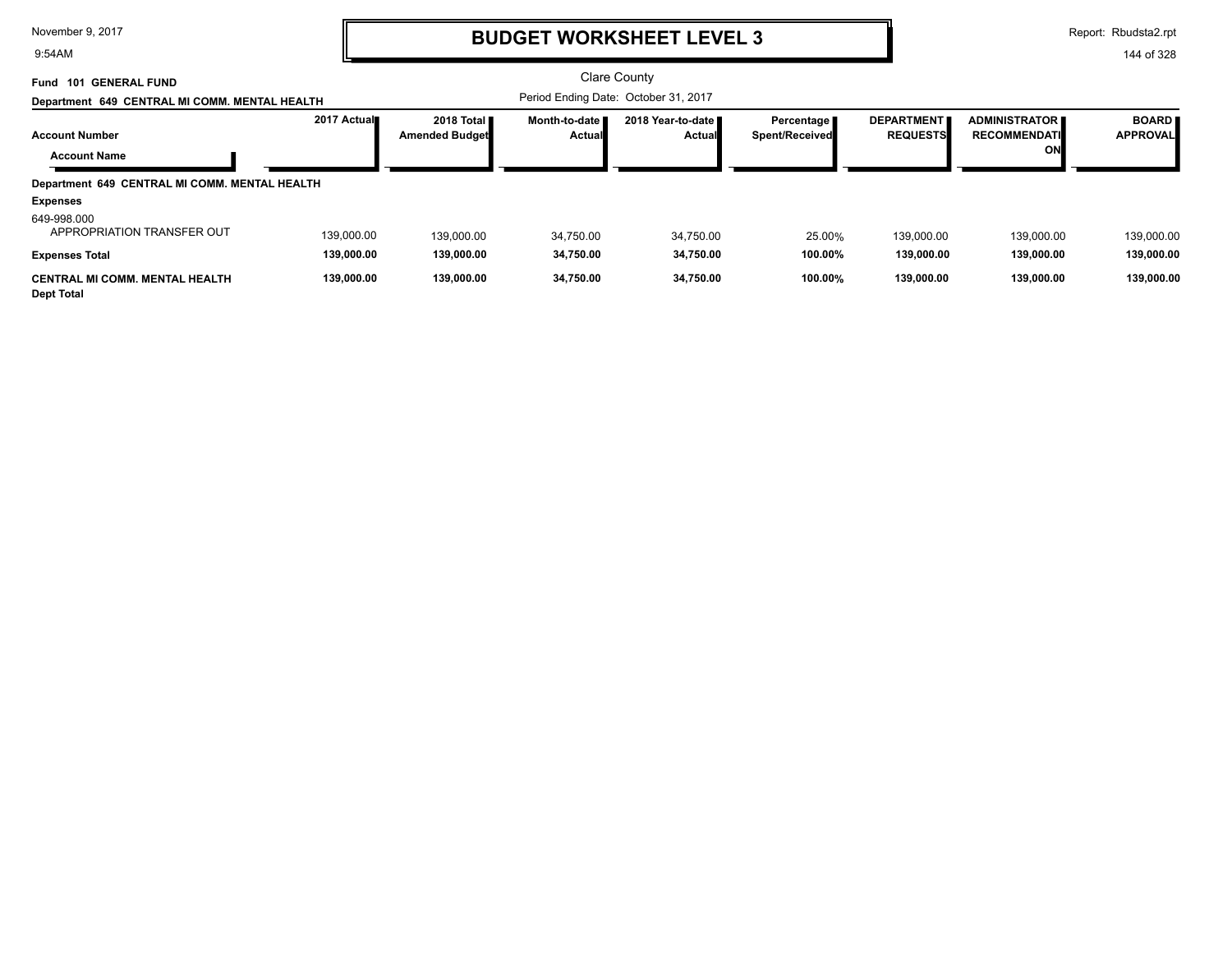9:54AM

## **BUDGET WORKSHEET LEVEL 3**

Report: Rbudsta2.rpt

| <b>101 GENERAL FUND</b><br>Fund<br>Department 649 CENTRAL MI COMM. MENTAL HEALTH |                          |                                     |                                  | Clare County<br>Period Ending Date: October 31, 2017 |                                     |                                      |                                                   |                                 |
|----------------------------------------------------------------------------------|--------------------------|-------------------------------------|----------------------------------|------------------------------------------------------|-------------------------------------|--------------------------------------|---------------------------------------------------|---------------------------------|
| <b>Account Number</b><br><b>Account Name</b>                                     | 2017 Actual              | 2018 Total<br><b>Amended Budget</b> | Month-to-date I<br><b>Actual</b> | 2018 Year-to-date<br>Actual                          | Percentage<br><b>Spent/Received</b> | <b>DEPARTMENT</b><br><b>REQUESTS</b> | <b>ADMINISTRATOR</b><br><b>RECOMMENDATI</b><br>ON | <b>BOARD</b><br><b>APPROVAL</b> |
| Department 649 CENTRAL MI COMM. MENTAL HEALTH                                    |                          |                                     |                                  |                                                      |                                     |                                      |                                                   |                                 |
| <b>Expenses</b>                                                                  |                          |                                     |                                  |                                                      |                                     |                                      |                                                   |                                 |
| 649-998.000<br>APPROPRIATION TRANSFER OUT<br><b>Expenses Total</b>               | 139.000.00<br>139,000.00 | 139,000.00<br>139,000.00            | 34.750.00<br>34,750.00           | 34,750.00<br>34,750.00                               | 25.00%<br>100.00%                   | 139,000.00<br>139,000.00             | 139,000.00<br>139,000.00                          | 139,000.00<br>139,000.00        |
| <b>CENTRAL MI COMM. MENTAL HEALTH</b><br><b>Dept Total</b>                       | 139,000.00               | 139.000.00                          | 34.750.00                        | 34,750.00                                            | 100.00%                             | 139.000.00                           | 139.000.00                                        | 139.000.00                      |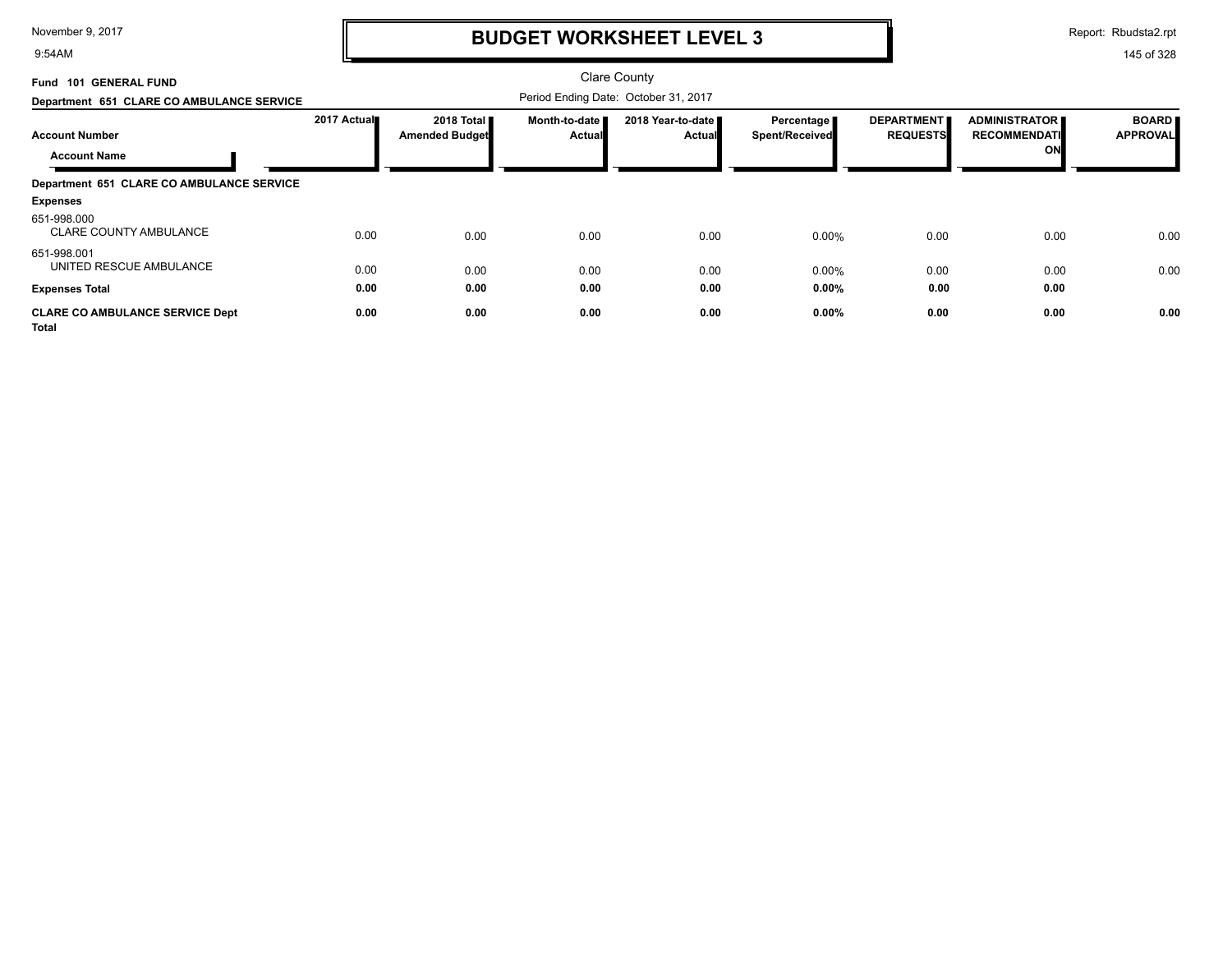9:54AM

# **BUDGET WORKSHEET LEVEL 3**

Report: Rbudsta2.rpt

| Fund 101 GENERAL FUND                                  |             |                                     |                                  | <b>Clare County</b>                  |                                     |                                      |                                                   |                                 |
|--------------------------------------------------------|-------------|-------------------------------------|----------------------------------|--------------------------------------|-------------------------------------|--------------------------------------|---------------------------------------------------|---------------------------------|
| Department 651 CLARE CO AMBULANCE SERVICE              |             |                                     |                                  | Period Ending Date: October 31, 2017 |                                     |                                      |                                                   |                                 |
| <b>Account Number</b><br><b>Account Name</b>           | 2017 Actual | 2018 Total<br><b>Amended Budget</b> | Month-to-date I<br><b>Actual</b> | 2018 Year-to-date<br><b>Actual</b>   | Percentage<br><b>Spent/Received</b> | <b>DEPARTMENT</b><br><b>REQUESTS</b> | <b>ADMINISTRATOR</b><br><b>RECOMMENDATI</b><br>ON | <b>BOARD</b><br><b>APPROVAL</b> |
| Department 651 CLARE CO AMBULANCE SERVICE              |             |                                     |                                  |                                      |                                     |                                      |                                                   |                                 |
| <b>Expenses</b>                                        |             |                                     |                                  |                                      |                                     |                                      |                                                   |                                 |
| 651-998.000<br><b>CLARE COUNTY AMBULANCE</b>           | 0.00        | 0.00                                | 0.00                             | 0.00                                 | 0.00%                               | 0.00                                 | 0.00                                              | 0.00                            |
| 651-998.001<br>UNITED RESCUE AMBULANCE                 | 0.00        | 0.00                                | 0.00                             | 0.00                                 | 0.00%                               | 0.00                                 | 0.00                                              | 0.00                            |
| <b>Expenses Total</b>                                  | 0.00        | 0.00                                | 0.00                             | 0.00                                 | 0.00%                               | 0.00                                 | 0.00                                              |                                 |
| <b>CLARE CO AMBULANCE SERVICE Dept</b><br><b>Total</b> | 0.00        | 0.00                                | 0.00                             | 0.00                                 | 0.00%                               | 0.00                                 | 0.00                                              | 0.00                            |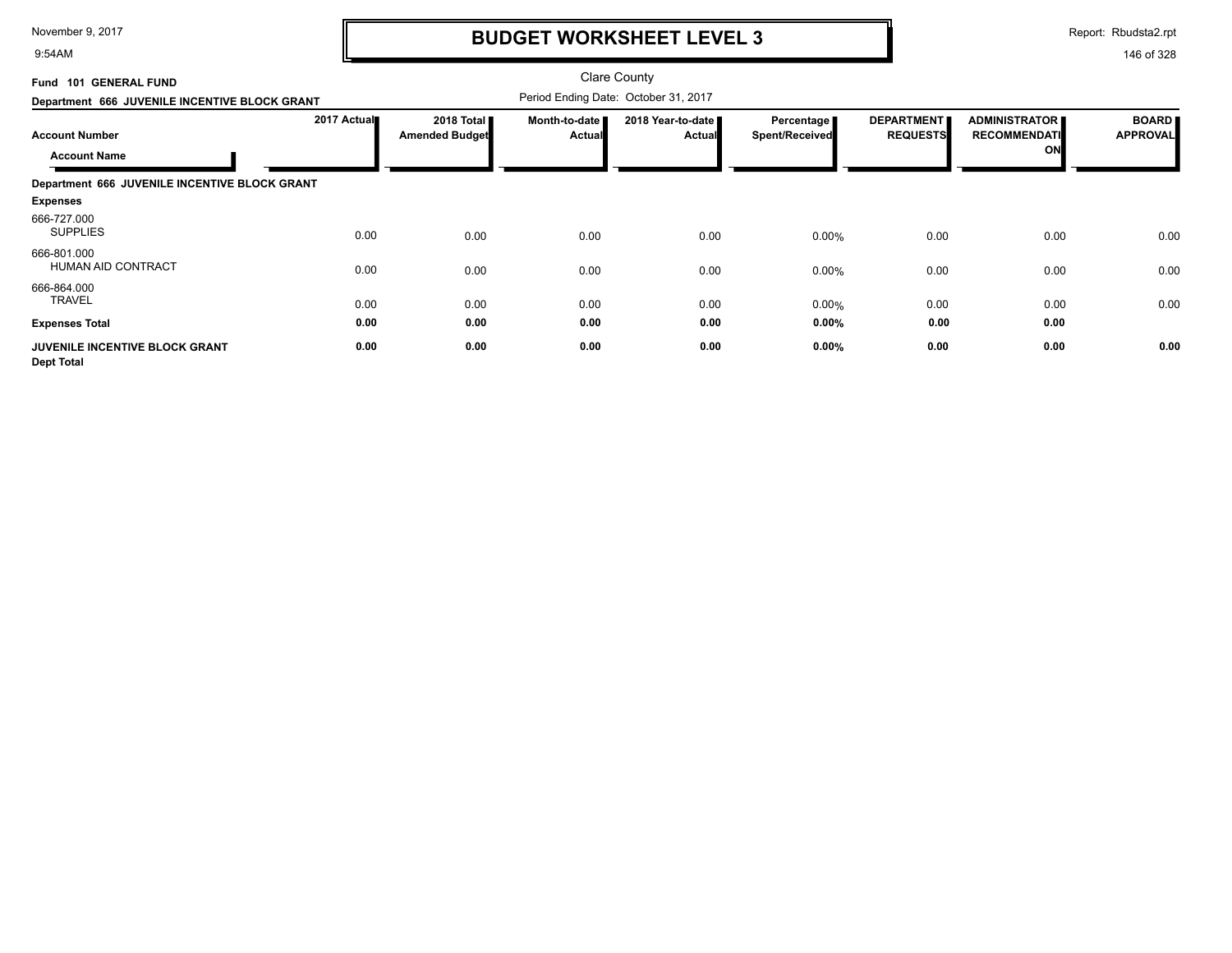9:54AM

# **BUDGET WORKSHEET LEVEL 3**

Report: Rbudsta2.rpt

| Fund 101 GENERAL FUND<br>Department 666 JUVENILE INCENTIVE BLOCK GRANT              |              |                              | <b>Clare County</b><br>Period Ending Date: October 31, 2017 |                             |                                     |                                      |                                                   |                                 |
|-------------------------------------------------------------------------------------|--------------|------------------------------|-------------------------------------------------------------|-----------------------------|-------------------------------------|--------------------------------------|---------------------------------------------------|---------------------------------|
| <b>Account Number</b><br><b>Account Name</b>                                        | 2017 Actual  | 2018 Total<br>Amended Budget | Month-to-date<br><b>Actual</b>                              | 2018 Year-to-date<br>Actual | Percentage<br><b>Spent/Received</b> | <b>DEPARTMENT</b><br><b>REQUESTS</b> | <b>ADMINISTRATOR</b><br><b>RECOMMENDATI</b><br>ON | <b>BOARD</b><br><b>APPROVAL</b> |
| Department 666 JUVENILE INCENTIVE BLOCK GRANT<br><b>Expenses</b>                    |              |                              |                                                             |                             |                                     |                                      |                                                   |                                 |
| 666-727.000<br><b>SUPPLIES</b>                                                      | 0.00         | 0.00                         | 0.00                                                        | 0.00                        | 0.00%                               | 0.00                                 | 0.00                                              | 0.00                            |
| 666-801.000<br>HUMAN AID CONTRACT                                                   | 0.00         | 0.00                         | 0.00                                                        | 0.00                        | 0.00%                               | 0.00                                 | 0.00                                              | 0.00                            |
| 666-864.000<br><b>TRAVEL</b>                                                        | 0.00         | 0.00                         | 0.00                                                        | 0.00                        | 0.00%                               | 0.00                                 | 0.00                                              | 0.00                            |
| <b>Expenses Total</b><br><b>JUVENILE INCENTIVE BLOCK GRANT</b><br><b>Dept Total</b> | 0.00<br>0.00 | 0.00<br>0.00                 | 0.00<br>0.00                                                | 0.00<br>0.00                | $0.00\%$<br>0.00%                   | 0.00<br>0.00                         | 0.00<br>0.00                                      | 0.00                            |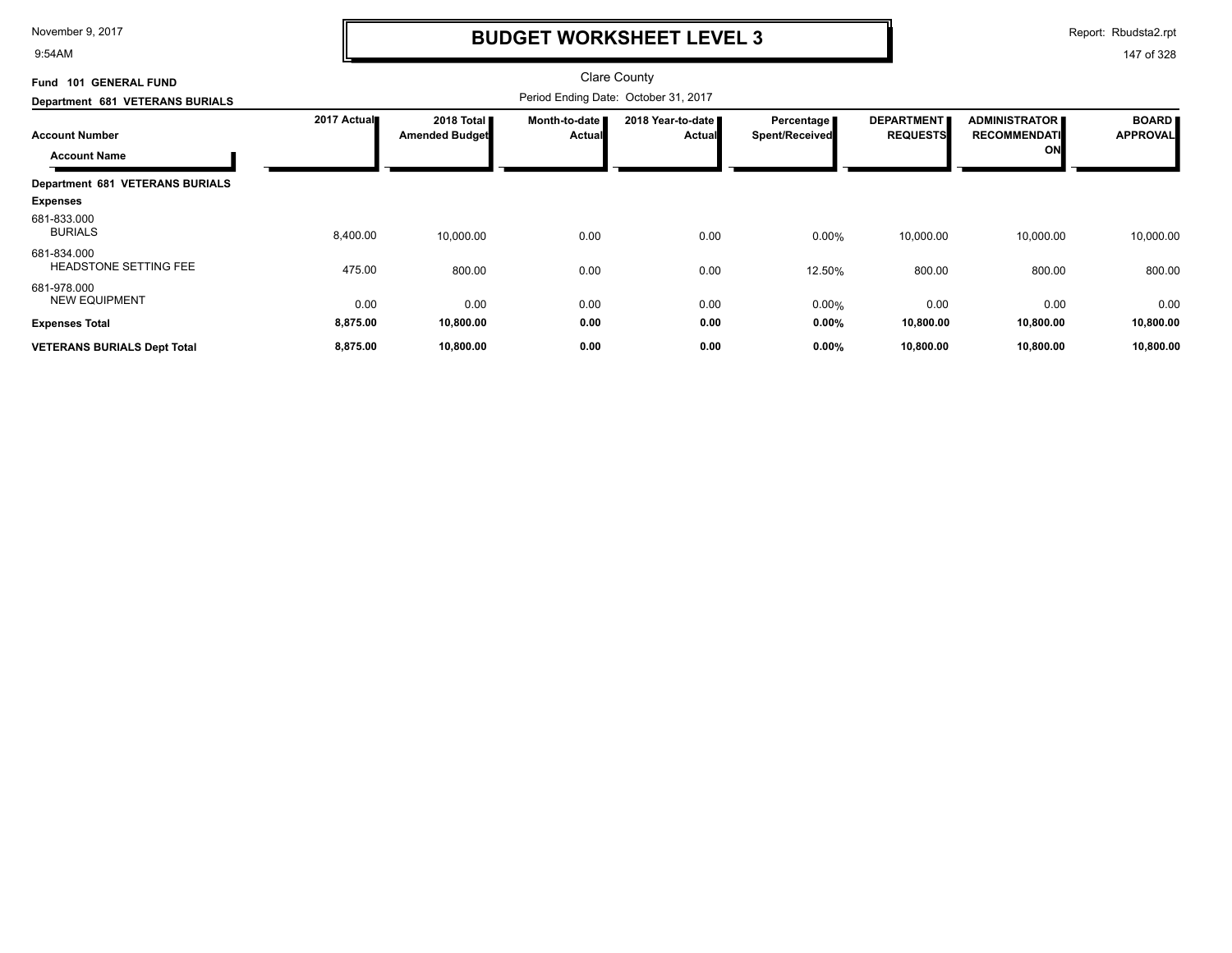9:54AM

### **BUDGET WORKSHEET LEVEL 3**

Report: Rbudsta2.rpt

| <b>GENERAL FUND</b><br>101<br>Fund           |             |                                     |                           | <b>Clare County</b>                  |                                     |                                      |                                                   |                                 |
|----------------------------------------------|-------------|-------------------------------------|---------------------------|--------------------------------------|-------------------------------------|--------------------------------------|---------------------------------------------------|---------------------------------|
| Department 681 VETERANS BURIALS              |             |                                     |                           | Period Ending Date: October 31, 2017 |                                     |                                      |                                                   |                                 |
| <b>Account Number</b><br><b>Account Name</b> | 2017 Actual | 2018 Total<br><b>Amended Budget</b> | Month-to-date  <br>Actual | 2018 Year-to-date<br><b>Actual</b>   | Percentage<br><b>Spent/Received</b> | <b>DEPARTMENT</b><br><b>REQUESTS</b> | <b>ADMINISTRATOR</b><br><b>RECOMMENDATI</b><br>ON | <b>BOARD</b><br><b>APPROVAL</b> |
| <b>Department 681 VETERANS BURIALS</b>       |             |                                     |                           |                                      |                                     |                                      |                                                   |                                 |
| <b>Expenses</b>                              |             |                                     |                           |                                      |                                     |                                      |                                                   |                                 |
| 681-833.000<br><b>BURIALS</b>                | 8,400.00    | 10,000.00                           | 0.00                      | 0.00                                 | 0.00%                               | 10,000.00                            | 10,000.00                                         | 10,000.00                       |
| 681-834.000<br><b>HEADSTONE SETTING FEE</b>  | 475.00      | 800.00                              | 0.00                      | 0.00                                 | 12.50%                              | 800.00                               | 800.00                                            | 800.00                          |
| 681-978.000<br><b>NEW EQUIPMENT</b>          | 0.00        | 0.00                                | 0.00                      | 0.00                                 | 0.00%                               | 0.00                                 | 0.00                                              | 0.00                            |
| <b>Expenses Total</b>                        | 8,875.00    | 10,800.00                           | 0.00                      | 0.00                                 | 0.00%                               | 10,800.00                            | 10,800.00                                         | 10,800.00                       |
| <b>VETERANS BURIALS Dept Total</b>           | 8,875.00    | 10,800.00                           | 0.00                      | 0.00                                 | 0.00%                               | 10,800.00                            | 10,800.00                                         | 10,800.00                       |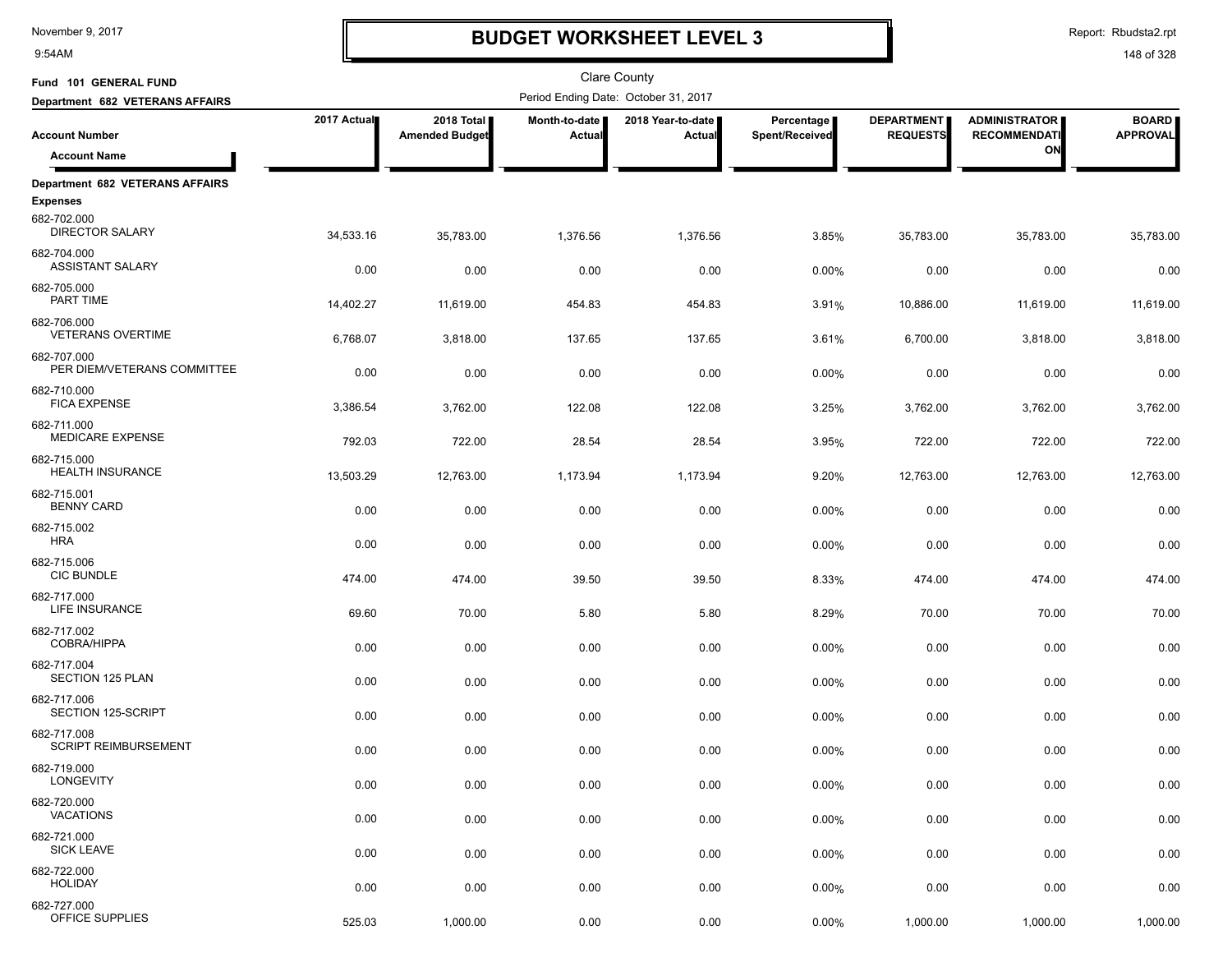9:54AM

### **BUDGET WORKSHEET LEVEL 3**

Report: Rbudsta2.rpt

| Fund 101 GENERAL FUND                                     |             |                                     |                         | <b>Clare County</b>                  |                              |                                      |                                             |                                 |
|-----------------------------------------------------------|-------------|-------------------------------------|-------------------------|--------------------------------------|------------------------------|--------------------------------------|---------------------------------------------|---------------------------------|
| Department 682 VETERANS AFFAIRS                           |             |                                     |                         | Period Ending Date: October 31, 2017 |                              |                                      |                                             |                                 |
| <b>Account Number</b>                                     | 2017 Actual | 2018 Total<br><b>Amended Budget</b> | Month-to-date<br>Actual | 2018 Year-to-date<br>Actual          | Percentage<br>Spent/Received | <b>DEPARTMENT</b><br><b>REQUESTS</b> | <b>ADMINISTRATOR</b><br><b>RECOMMENDATI</b> | <b>BOARD</b><br><b>APPROVAL</b> |
| <b>Account Name</b>                                       |             |                                     |                         |                                      |                              |                                      | ON                                          |                                 |
|                                                           |             |                                     |                         |                                      |                              |                                      |                                             |                                 |
| <b>Department 682 VETERANS AFFAIRS</b><br><b>Expenses</b> |             |                                     |                         |                                      |                              |                                      |                                             |                                 |
| 682-702.000<br><b>DIRECTOR SALARY</b>                     | 34,533.16   | 35,783.00                           | 1,376.56                | 1,376.56                             | 3.85%                        | 35,783.00                            | 35,783.00                                   | 35,783.00                       |
| 682-704.000<br><b>ASSISTANT SALARY</b>                    | 0.00        | 0.00                                | 0.00                    | 0.00                                 | 0.00%                        | 0.00                                 | 0.00                                        | 0.00                            |
| 682-705.000<br>PART TIME                                  | 14,402.27   | 11,619.00                           | 454.83                  | 454.83                               | 3.91%                        | 10,886.00                            | 11,619.00                                   | 11,619.00                       |
| 682-706.000<br><b>VETERANS OVERTIME</b>                   | 6,768.07    | 3,818.00                            | 137.65                  | 137.65                               | 3.61%                        | 6,700.00                             | 3,818.00                                    | 3,818.00                        |
| 682-707.000<br>PER DIEM/VETERANS COMMITTEE                | 0.00        | 0.00                                | 0.00                    | 0.00                                 | 0.00%                        | 0.00                                 | 0.00                                        | 0.00                            |
| 682-710.000<br><b>FICA EXPENSE</b>                        | 3,386.54    | 3,762.00                            | 122.08                  | 122.08                               | 3.25%                        | 3,762.00                             | 3,762.00                                    | 3,762.00                        |
| 682-711.000<br>MEDICARE EXPENSE                           | 792.03      | 722.00                              | 28.54                   | 28.54                                | 3.95%                        | 722.00                               | 722.00                                      | 722.00                          |
| 682-715.000<br><b>HEALTH INSURANCE</b>                    | 13,503.29   | 12,763.00                           | 1,173.94                | 1,173.94                             | 9.20%                        | 12,763.00                            | 12,763.00                                   | 12,763.00                       |
| 682-715.001<br><b>BENNY CARD</b>                          | 0.00        | 0.00                                | 0.00                    | 0.00                                 | 0.00%                        | 0.00                                 | 0.00                                        | 0.00                            |
| 682-715.002<br><b>HRA</b>                                 | 0.00        | 0.00                                | 0.00                    | 0.00                                 | 0.00%                        | 0.00                                 | 0.00                                        | 0.00                            |
| 682-715.006<br><b>CIC BUNDLE</b>                          | 474.00      | 474.00                              | 39.50                   | 39.50                                | 8.33%                        | 474.00                               | 474.00                                      | 474.00                          |
| 682-717.000<br>LIFE INSURANCE                             | 69.60       | 70.00                               | 5.80                    | 5.80                                 | 8.29%                        | 70.00                                | 70.00                                       | 70.00                           |
| 682-717.002<br>COBRA/HIPPA<br>682-717.004                 | 0.00        | 0.00                                | 0.00                    | 0.00                                 | 0.00%                        | 0.00                                 | 0.00                                        | 0.00                            |
| SECTION 125 PLAN<br>682-717.006                           | 0.00        | 0.00                                | 0.00                    | 0.00                                 | 0.00%                        | 0.00                                 | 0.00                                        | 0.00                            |
| SECTION 125-SCRIPT<br>682-717.008                         | 0.00        | 0.00                                | 0.00                    | 0.00                                 | 0.00%                        | 0.00                                 | 0.00                                        | 0.00                            |
| <b>SCRIPT REIMBURSEMENT</b>                               | 0.00        | 0.00                                | 0.00                    | 0.00                                 | 0.00%                        | 0.00                                 | 0.00                                        | 0.00                            |
| 682-719.000<br>LONGEVITY                                  | 0.00        | 0.00                                | 0.00                    | 0.00                                 | 0.00%                        | 0.00                                 | 0.00                                        | 0.00                            |
| 682-720.000<br><b>VACATIONS</b>                           | 0.00        | 0.00                                | 0.00                    | 0.00                                 | 0.00%                        | 0.00                                 | 0.00                                        | 0.00                            |
| 682-721.000<br><b>SICK LEAVE</b>                          | 0.00        | 0.00                                | 0.00                    | 0.00                                 | 0.00%                        | 0.00                                 | 0.00                                        | 0.00                            |
| 682-722.000<br><b>HOLIDAY</b>                             | 0.00        | 0.00                                | 0.00                    | 0.00                                 | 0.00%                        | 0.00                                 | 0.00                                        | 0.00                            |
| 682-727.000<br>OFFICE SUPPLIES                            | 525.03      | 1,000.00                            | 0.00                    | 0.00                                 | 0.00%                        | 1,000.00                             | 1,000.00                                    | 1,000.00                        |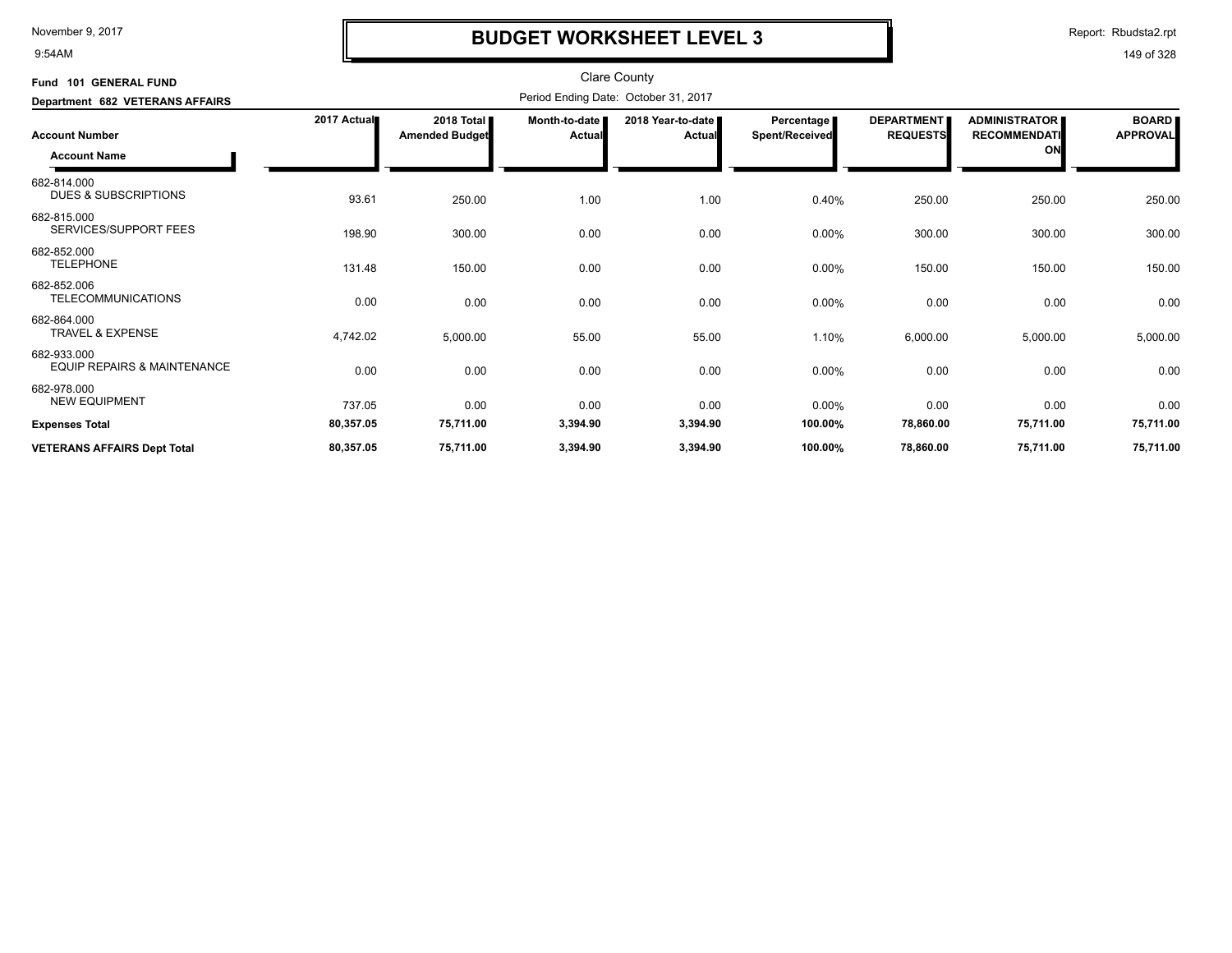9:54AM

# **BUDGET WORKSHEET LEVEL 3**

Report: Rbudsta2.rpt

| Fund 101 GENERAL FUND                                 |             |                                     |                           | <b>Clare County</b>                  |                                     |                                      |                                              |                                 |
|-------------------------------------------------------|-------------|-------------------------------------|---------------------------|--------------------------------------|-------------------------------------|--------------------------------------|----------------------------------------------|---------------------------------|
| Department 682 VETERANS AFFAIRS                       |             |                                     |                           | Period Ending Date: October 31, 2017 |                                     |                                      |                                              |                                 |
| <b>Account Number</b>                                 | 2017 Actual | 2018 Total<br><b>Amended Budget</b> | Month-to-date  <br>Actual | 2018 Year-to-date<br>Actual          | <b>Percentage</b><br>Spent/Received | <b>DEPARTMENT</b><br><b>REQUESTS</b> | <b>ADMINISTRATORI</b><br><b>RECOMMENDATI</b> | <b>BOARD</b><br><b>APPROVAL</b> |
| <b>Account Name</b>                                   |             |                                     |                           |                                      |                                     |                                      | ON                                           |                                 |
| 682-814.000<br><b>DUES &amp; SUBSCRIPTIONS</b>        | 93.61       | 250.00                              | 1.00                      | 1.00                                 | 0.40%                               | 250.00                               | 250.00                                       | 250.00                          |
| 682-815.000<br>SERVICES/SUPPORT FEES                  | 198.90      | 300.00                              | 0.00                      | 0.00                                 | 0.00%                               | 300.00                               | 300.00                                       | 300.00                          |
| 682-852.000<br><b>TELEPHONE</b>                       | 131.48      | 150.00                              | 0.00                      | 0.00                                 | $0.00\%$                            | 150.00                               | 150.00                                       | 150.00                          |
| 682-852.006<br><b>TELECOMMUNICATIONS</b>              | 0.00        | 0.00                                | 0.00                      | 0.00                                 | 0.00%                               | 0.00                                 | 0.00                                         | 0.00                            |
| 682-864.000<br>TRAVEL & EXPENSE                       | 4,742.02    | 5,000.00                            | 55.00                     | 55.00                                | 1.10%                               | 6,000.00                             | 5,000.00                                     | 5,000.00                        |
| 682-933.000<br><b>EQUIP REPAIRS &amp; MAINTENANCE</b> | 0.00        | 0.00                                | 0.00                      | 0.00                                 | 0.00%                               | 0.00                                 | 0.00                                         | 0.00                            |
| 682-978.000<br><b>NEW EQUIPMENT</b>                   | 737.05      | 0.00                                | 0.00                      | 0.00                                 | 0.00%                               | 0.00                                 | 0.00                                         | 0.00                            |
| <b>Expenses Total</b>                                 | 80,357.05   | 75,711.00                           | 3,394.90                  | 3,394.90                             | 100.00%                             | 78,860.00                            | 75,711.00                                    | 75,711.00                       |
| <b>VETERANS AFFAIRS Dept Total</b>                    | 80,357.05   | 75,711.00                           | 3,394.90                  | 3,394.90                             | 100.00%                             | 78,860.00                            | 75,711.00                                    | 75,711.00                       |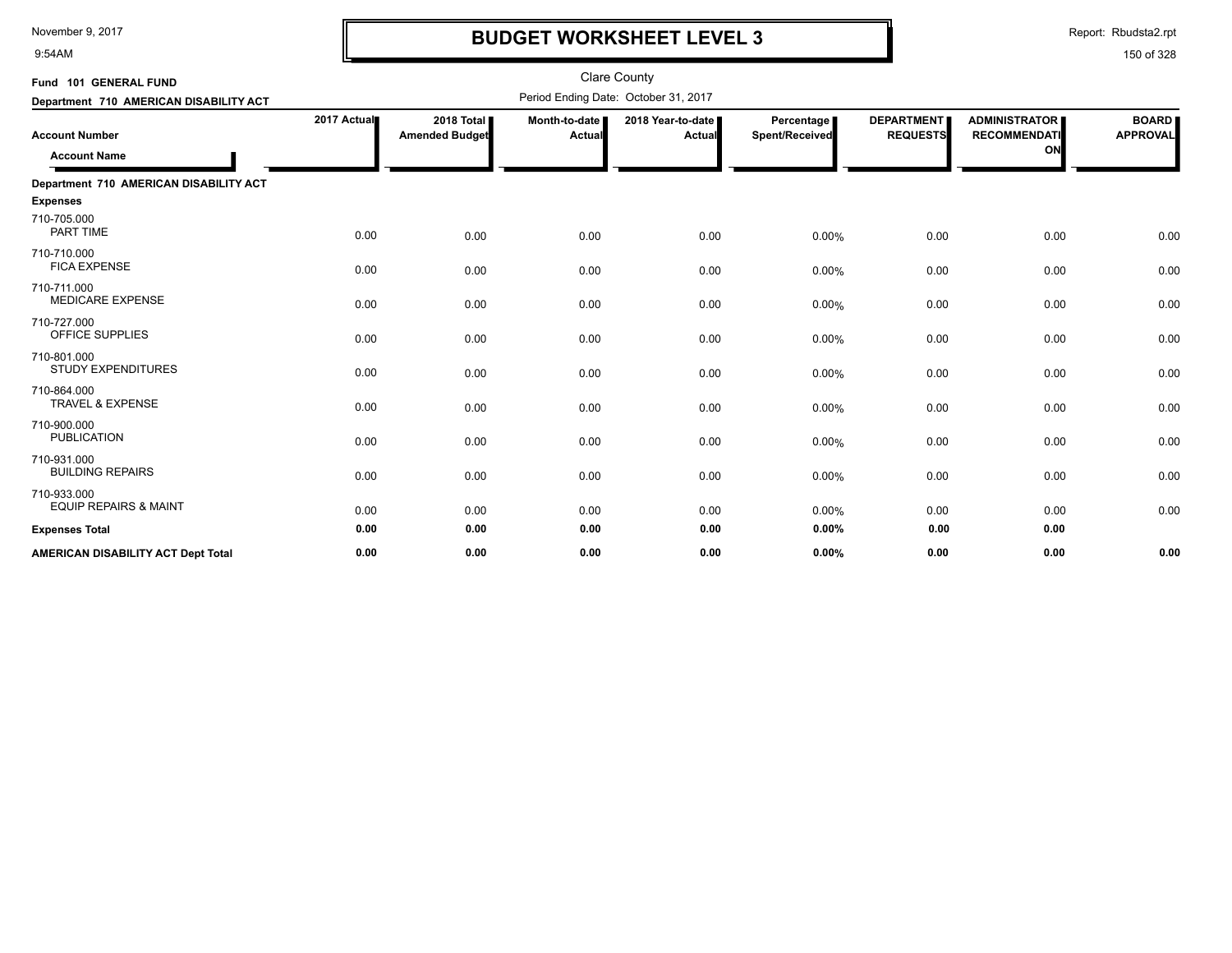9:54AM

# **BUDGET WORKSHEET LEVEL 3**

Report: Rbudsta2.rpt

| Fund 101 GENERAL FUND                           |             |                                       |                         | <b>Clare County</b>                  |                              |                                      |                                                   |                                 |
|-------------------------------------------------|-------------|---------------------------------------|-------------------------|--------------------------------------|------------------------------|--------------------------------------|---------------------------------------------------|---------------------------------|
| Department 710 AMERICAN DISABILITY ACT          |             |                                       |                         | Period Ending Date: October 31, 2017 |                              |                                      |                                                   |                                 |
| <b>Account Number</b><br><b>Account Name</b>    | 2017 Actual | 2018 Total I<br><b>Amended Budget</b> | Month-to-date<br>Actual | 2018 Year-to-date<br><b>Actual</b>   | Percentage<br>Spent/Received | <b>DEPARTMENT</b><br><b>REQUESTS</b> | <b>ADMINISTRATOR</b><br><b>RECOMMENDATI</b><br>ON | <b>BOARD</b><br><b>APPROVAL</b> |
| Department 710 AMERICAN DISABILITY ACT          |             |                                       |                         |                                      |                              |                                      |                                                   |                                 |
| Expenses                                        |             |                                       |                         |                                      |                              |                                      |                                                   |                                 |
| 710-705.000<br><b>PART TIME</b>                 | 0.00        | 0.00                                  | 0.00                    | 0.00                                 | 0.00%                        | 0.00                                 | 0.00                                              | 0.00                            |
| 710-710.000<br><b>FICA EXPENSE</b>              | 0.00        | 0.00                                  | 0.00                    | 0.00                                 | 0.00%                        | 0.00                                 | 0.00                                              | 0.00                            |
| 710-711.000<br><b>MEDICARE EXPENSE</b>          | 0.00        | 0.00                                  | 0.00                    | 0.00                                 | 0.00%                        | 0.00                                 | 0.00                                              | 0.00                            |
| 710-727.000<br>OFFICE SUPPLIES                  | 0.00        | 0.00                                  | 0.00                    | 0.00                                 | 0.00%                        | 0.00                                 | 0.00                                              | 0.00                            |
| 710-801.000<br><b>STUDY EXPENDITURES</b>        | 0.00        | 0.00                                  | 0.00                    | 0.00                                 | 0.00%                        | 0.00                                 | 0.00                                              | 0.00                            |
| 710-864.000<br><b>TRAVEL &amp; EXPENSE</b>      | 0.00        | 0.00                                  | 0.00                    | 0.00                                 | 0.00%                        | 0.00                                 | 0.00                                              | 0.00                            |
| 710-900.000<br><b>PUBLICATION</b>               | 0.00        | 0.00                                  | 0.00                    | 0.00                                 | 0.00%                        | 0.00                                 | 0.00                                              | 0.00                            |
| 710-931.000<br><b>BUILDING REPAIRS</b>          | 0.00        | 0.00                                  | 0.00                    | 0.00                                 | 0.00%                        | 0.00                                 | 0.00                                              | 0.00                            |
| 710-933.000<br><b>EQUIP REPAIRS &amp; MAINT</b> | 0.00        | 0.00                                  | 0.00                    | 0.00                                 | 0.00%                        | 0.00                                 | 0.00                                              | 0.00                            |
| <b>Expenses Total</b>                           | 0.00        | 0.00                                  | 0.00                    | 0.00                                 | $0.00\%$                     | 0.00                                 | 0.00                                              |                                 |
| <b>AMERICAN DISABILITY ACT Dept Total</b>       | 0.00        | 0.00                                  | 0.00                    | 0.00                                 | $0.00\%$                     | 0.00                                 | 0.00                                              | 0.00                            |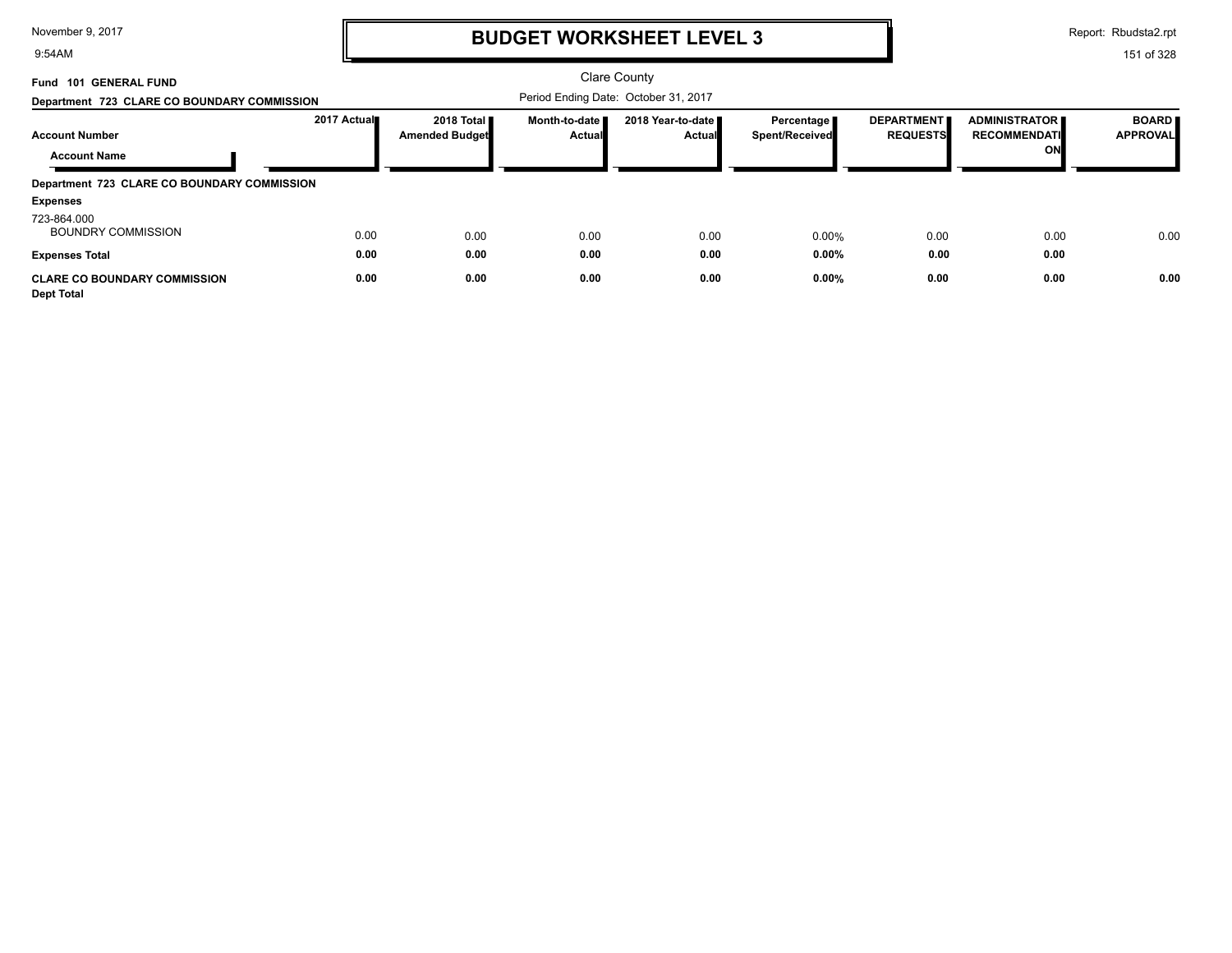9:54AM

# **BUDGET WORKSHEET LEVEL 3**

Report: Rbudsta2.rpt

| <b>101 GENERAL FUND</b><br>Fund<br>Department 723 CLARE CO BOUNDARY COMMISSION |             |                                     |                                | <b>Clare County</b><br>Period Ending Date: October 31, 2017 |                              |                                      |                                                   |                                 |
|--------------------------------------------------------------------------------|-------------|-------------------------------------|--------------------------------|-------------------------------------------------------------|------------------------------|--------------------------------------|---------------------------------------------------|---------------------------------|
| <b>Account Number</b>                                                          | 2017 Actual | 2018 Total<br><b>Amended Budget</b> | Month-to-date<br><b>Actual</b> | 2018 Year-to-date<br><b>Actual</b>                          | Percentage<br>Spent/Received | <b>DEPARTMENT</b><br><b>REQUESTS</b> | <b>ADMINISTRATOR</b><br><b>RECOMMENDATI</b><br>ON | <b>BOARD</b><br><b>APPROVAL</b> |
| <b>Account Name</b><br>Department 723 CLARE CO BOUNDARY COMMISSION             |             |                                     |                                |                                                             |                              |                                      |                                                   |                                 |
| <b>Expenses</b>                                                                |             |                                     |                                |                                                             |                              |                                      |                                                   |                                 |
| 723-864.000<br><b>BOUNDRY COMMISSION</b>                                       | 0.00        | 0.00                                | 0.00                           | 0.00                                                        | 0.00%                        | 0.00                                 | 0.00                                              | 0.00                            |
| <b>Expenses Total</b>                                                          | 0.00        | 0.00                                | 0.00                           | 0.00                                                        | 0.00%                        | 0.00                                 | 0.00                                              |                                 |
| <b>CLARE CO BOUNDARY COMMISSION</b><br><b>Dept Total</b>                       | 0.00        | 0.00                                | 0.00                           | 0.00                                                        | 0.00%                        | 0.00                                 | 0.00                                              | 0.00                            |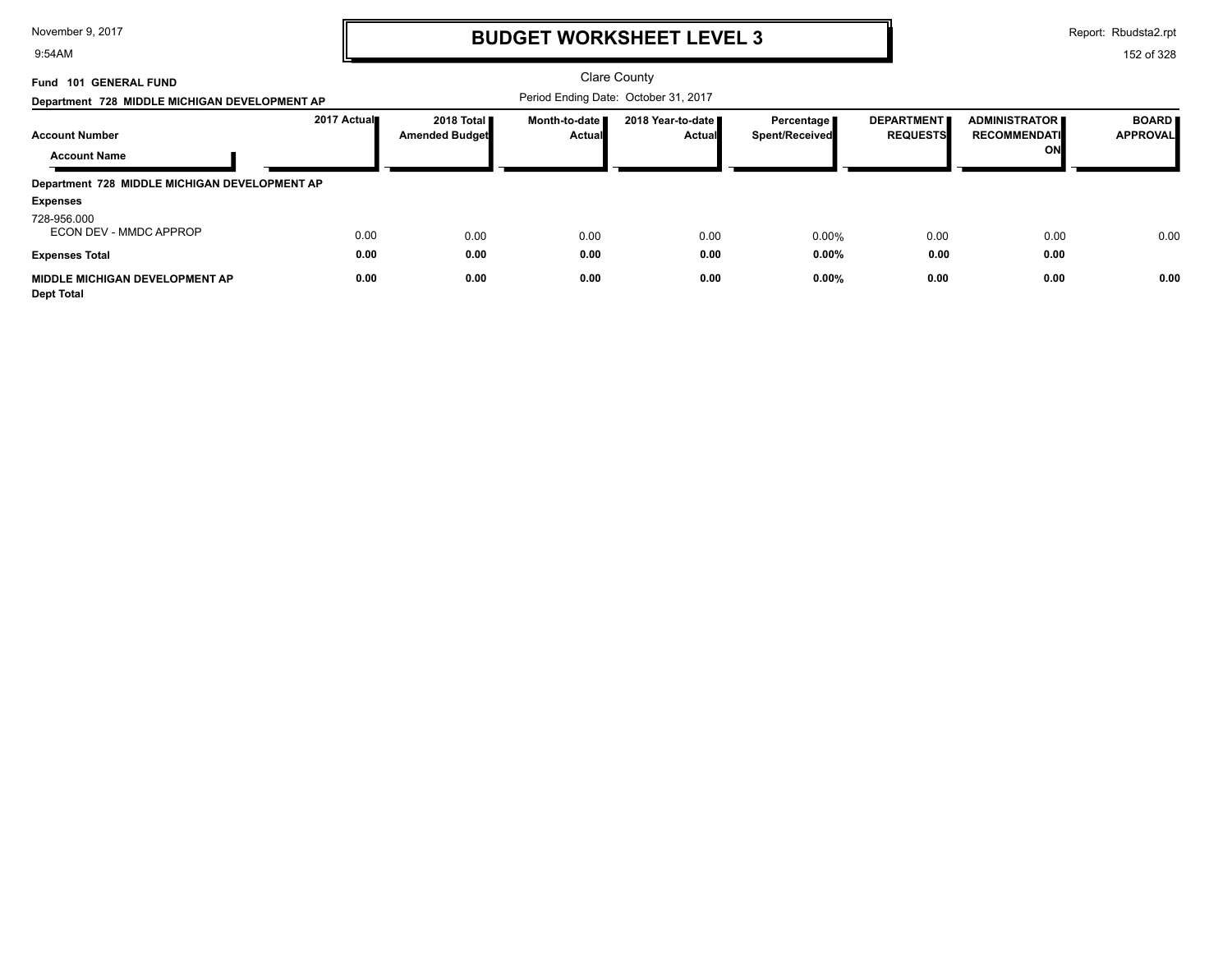9:54AM

# **BUDGET WORKSHEET LEVEL 3**

Report: Rbudsta2.rpt

| <b>101 GENERAL FUND</b><br>Fund<br>Department 728 MIDDLE MICHIGAN DEVELOPMENT AP        |              |                                     |                                | <b>Clare County</b><br>Period Ending Date: October 31, 2017 |                              |                                      |                                                   |                                 |
|-----------------------------------------------------------------------------------------|--------------|-------------------------------------|--------------------------------|-------------------------------------------------------------|------------------------------|--------------------------------------|---------------------------------------------------|---------------------------------|
| <b>Account Number</b>                                                                   | 2017 Actual  | 2018 Total<br><b>Amended Budget</b> | Month-to-date<br><b>Actual</b> | 2018 Year-to-date<br><b>Actual</b>                          | Percentage<br>Spent/Received | <b>DEPARTMENT</b><br><b>REQUESTS</b> | <b>ADMINISTRATOR</b><br><b>RECOMMENDATI</b><br>ON | <b>BOARD</b><br><b>APPROVAL</b> |
| <b>Account Name</b><br>Department 728 MIDDLE MICHIGAN DEVELOPMENT AP<br><b>Expenses</b> |              |                                     |                                |                                                             |                              |                                      |                                                   |                                 |
| 728-956.000<br>ECON DEV - MMDC APPROP<br><b>Expenses Total</b>                          | 0.00<br>0.00 | 0.00<br>0.00                        | 0.00<br>0.00                   | 0.00<br>0.00                                                | 0.00%<br>0.00%               | 0.00<br>0.00                         | 0.00<br>0.00                                      | 0.00                            |
| <b>MIDDLE MICHIGAN DEVELOPMENT AP</b><br><b>Dept Total</b>                              | 0.00         | 0.00                                | 0.00                           | 0.00                                                        | 0.00%                        | 0.00                                 | 0.00                                              | 0.00                            |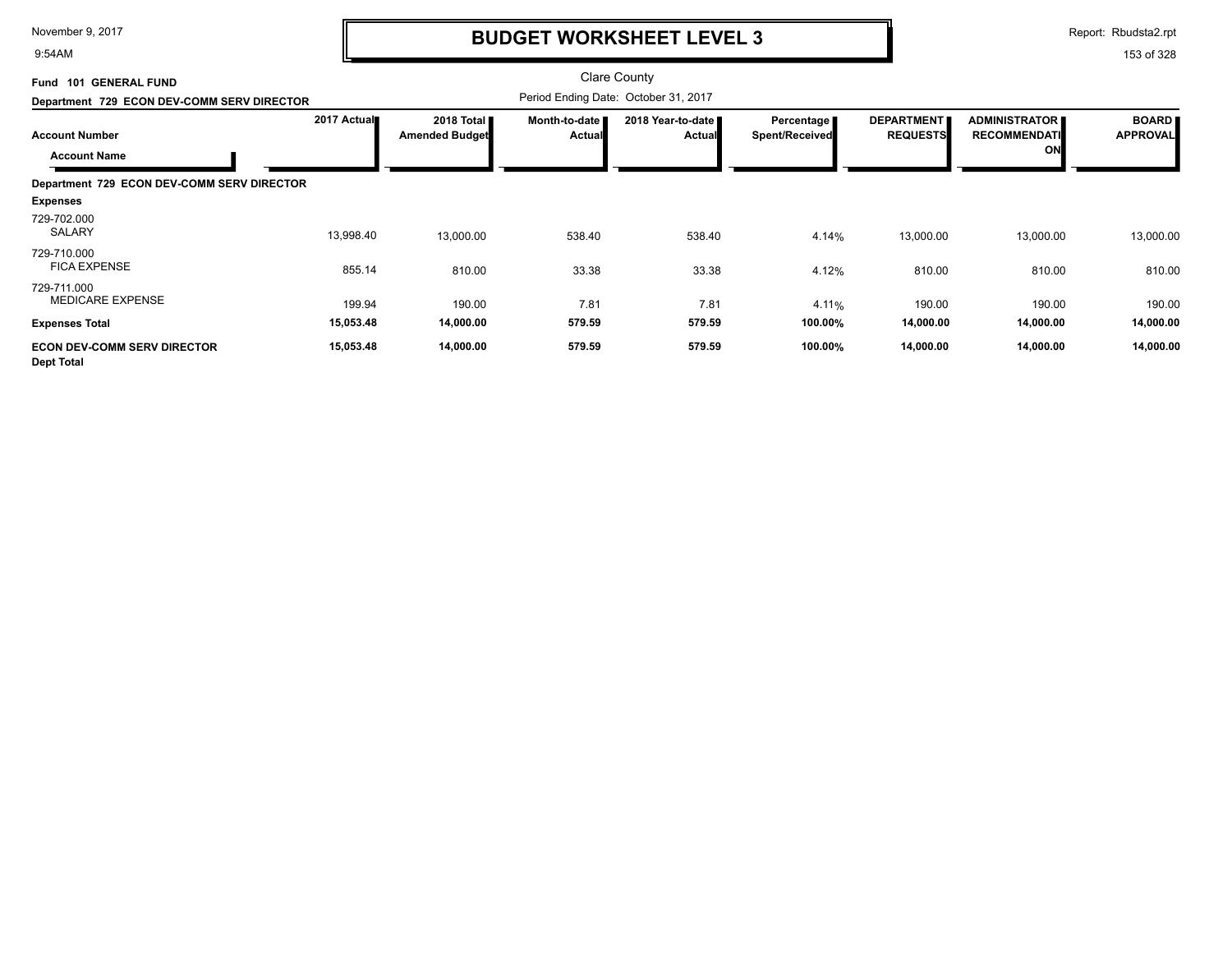9:54AM

### **BUDGET WORKSHEET LEVEL 3**

Report: Rbudsta2.rpt

| Fund 101 GENERAL FUND                            |             |                                       |                                | Clare County                         |                                            |                                      |                                                   |                                 |
|--------------------------------------------------|-------------|---------------------------------------|--------------------------------|--------------------------------------|--------------------------------------------|--------------------------------------|---------------------------------------------------|---------------------------------|
| Department 729 ECON DEV-COMM SERV DIRECTOR       |             |                                       |                                | Period Ending Date: October 31, 2017 |                                            |                                      |                                                   |                                 |
| <b>Account Number</b><br><b>Account Name</b>     | 2017 Actual | 2018 Total ■<br><b>Amended Budget</b> | Month-to-date<br><b>Actual</b> | 2018 Year-to-date<br><b>Actual</b>   | <b>Percentage</b><br><b>Spent/Received</b> | <b>DEPARTMENT</b><br><b>REQUESTS</b> | <b>ADMINISTRATOR</b><br><b>RECOMMENDATI</b><br>ON | <b>BOARD</b><br><b>APPROVAL</b> |
|                                                  |             |                                       |                                |                                      |                                            |                                      |                                                   |                                 |
| Department 729 ECON DEV-COMM SERV DIRECTOR       |             |                                       |                                |                                      |                                            |                                      |                                                   |                                 |
| <b>Expenses</b>                                  |             |                                       |                                |                                      |                                            |                                      |                                                   |                                 |
| 729-702.000<br>SALARY                            | 13,998.40   | 13,000.00                             | 538.40                         | 538.40                               | 4.14%                                      | 13,000.00                            | 13,000.00                                         | 13,000.00                       |
| 729-710.000<br><b>FICA EXPENSE</b>               | 855.14      | 810.00                                | 33.38                          | 33.38                                | 4.12%                                      | 810.00                               | 810.00                                            | 810.00                          |
| 729-711.000<br><b>MEDICARE EXPENSE</b>           | 199.94      | 190.00                                | 7.81                           | 7.81                                 | 4.11%                                      | 190.00                               | 190.00                                            | 190.00                          |
| <b>Expenses Total</b>                            | 15,053.48   | 14,000.00                             | 579.59                         | 579.59                               | 100.00%                                    | 14,000.00                            | 14,000.00                                         | 14,000.00                       |
| <b>ECON DEV-COMM SERV DIRECTOR</b><br>Dept Total | 15,053.48   | 14,000.00                             | 579.59                         | 579.59                               | 100.00%                                    | 14,000.00                            | 14,000.00                                         | 14,000.00                       |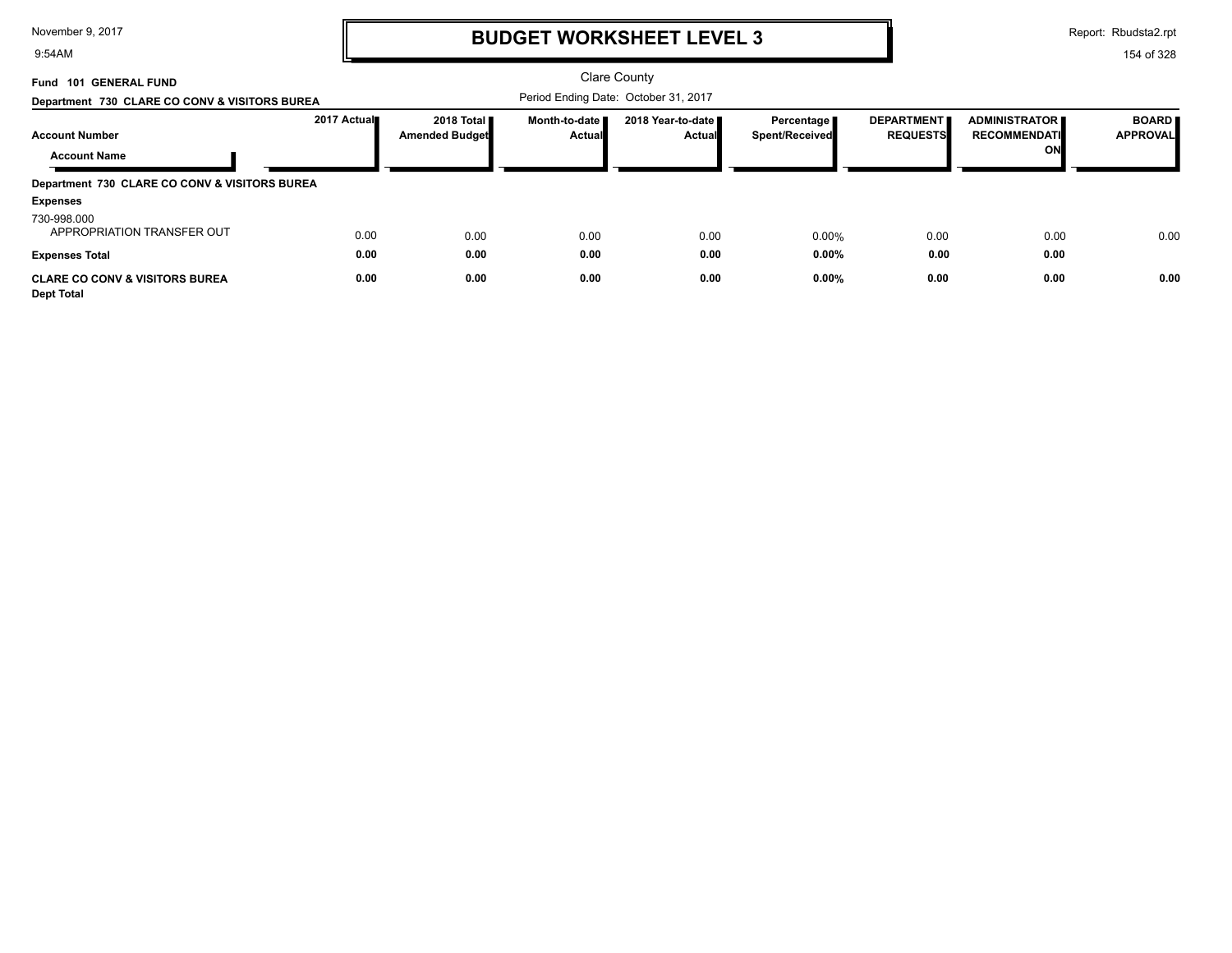9:54AM

# **BUDGET WORKSHEET LEVEL 3**

Report: Rbudsta2.rpt

| <b>101 GENERAL FUND</b><br>Fund<br>Department 730 CLARE CO CONV & VISITORS BUREA |             |                                     |                                | Clare County<br>Period Ending Date: October 31, 2017 |                              |                                      |                                             |                                 |
|----------------------------------------------------------------------------------|-------------|-------------------------------------|--------------------------------|------------------------------------------------------|------------------------------|--------------------------------------|---------------------------------------------|---------------------------------|
| <b>Account Number</b>                                                            | 2017 Actual | 2018 Total<br><b>Amended Budget</b> | Month-to-date<br><b>Actual</b> | 2018 Year-to-date<br><b>Actual</b>                   | Percentage<br>Spent/Received | <b>DEPARTMENT</b><br><b>REQUESTS</b> | <b>ADMINISTRATOR</b><br><b>RECOMMENDATI</b> | <b>BOARD</b><br><b>APPROVAL</b> |
| <b>Account Name</b>                                                              |             |                                     |                                |                                                      |                              |                                      | ON                                          |                                 |
| Department 730 CLARE CO CONV & VISITORS BUREA                                    |             |                                     |                                |                                                      |                              |                                      |                                             |                                 |
| <b>Expenses</b>                                                                  |             |                                     |                                |                                                      |                              |                                      |                                             |                                 |
| 730-998.000<br>APPROPRIATION TRANSFER OUT                                        | 0.00        | 0.00                                | 0.00                           | 0.00                                                 | 0.00%                        | 0.00                                 | 0.00                                        | 0.00                            |
| <b>Expenses Total</b>                                                            | 0.00        | 0.00                                | 0.00                           | 0.00                                                 | 0.00%                        | 0.00                                 | 0.00                                        |                                 |
| <b>CLARE CO CONV &amp; VISITORS BUREA</b><br><b>Dept Total</b>                   | 0.00        | 0.00                                | 0.00                           | 0.00                                                 | 0.00%                        | 0.00                                 | 0.00                                        | 0.00                            |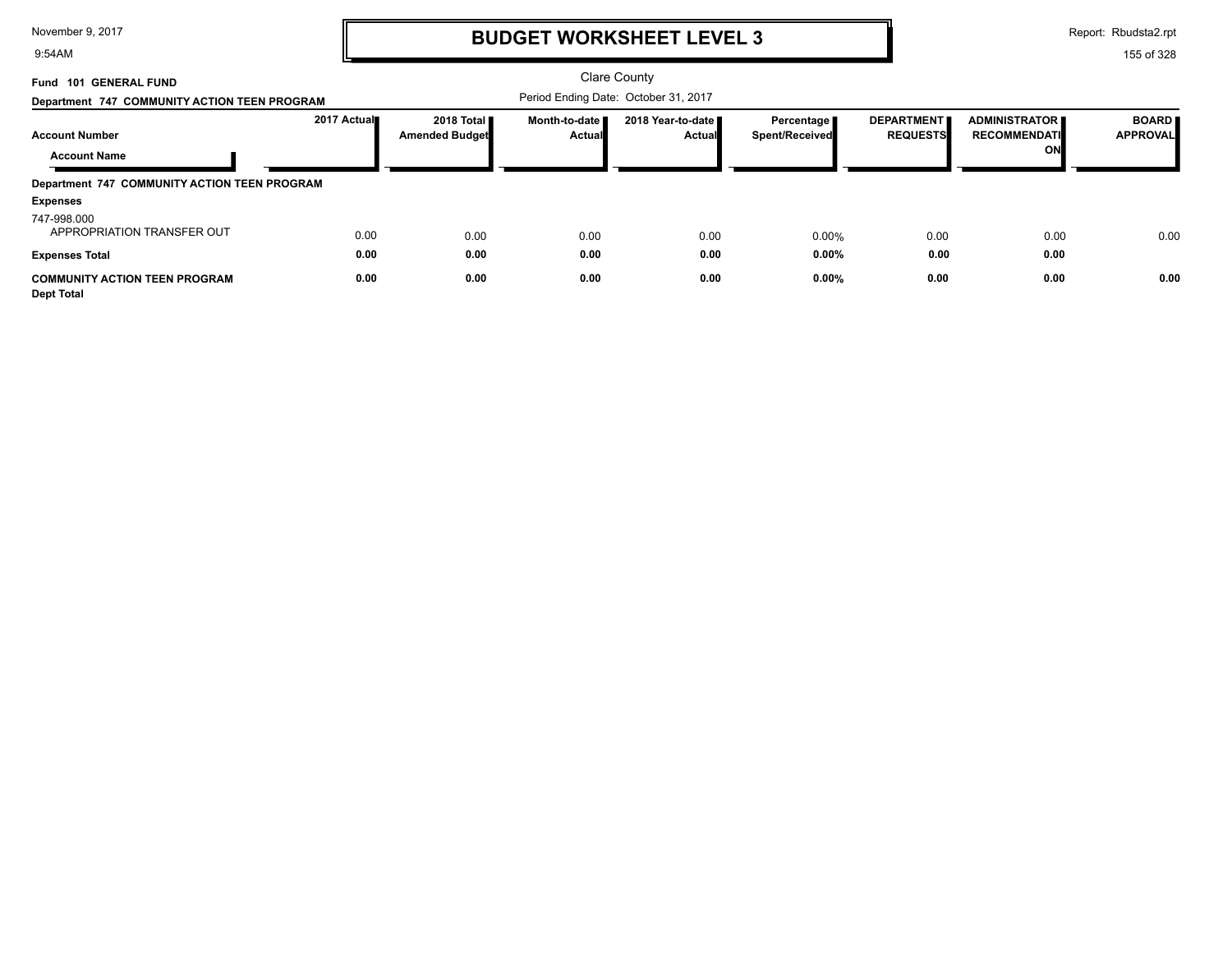9:54AM

# **BUDGET WORKSHEET LEVEL 3**

Report: Rbudsta2.rpt

| <b>101 GENERAL FUND</b><br>Fund<br>Department 747 COMMUNITY ACTION TEEN PROGRAM |              |                                       |                         | <b>Clare County</b><br>Period Ending Date: October 31, 2017 |                                              |                                      |                                                   |                                 |
|---------------------------------------------------------------------------------|--------------|---------------------------------------|-------------------------|-------------------------------------------------------------|----------------------------------------------|--------------------------------------|---------------------------------------------------|---------------------------------|
| <b>Account Number</b><br><b>Account Name</b>                                    | 2017 Actual  | 2018 Total I<br><b>Amended Budget</b> | Month-to-date<br>Actual | 2018 Year-to-date<br><b>Actual</b>                          | Percentage <b>P</b><br><b>Spent/Received</b> | <b>DEPARTMENT</b><br><b>REQUESTS</b> | <b>ADMINISTRATOR</b><br><b>RECOMMENDATI</b><br>ON | <b>BOARD</b><br><b>APPROVAL</b> |
| Department 747 COMMUNITY ACTION TEEN PROGRAM<br><b>Expenses</b>                 |              |                                       |                         |                                                             |                                              |                                      |                                                   |                                 |
| 747-998.000<br>APPROPRIATION TRANSFER OUT<br><b>Expenses Total</b>              | 0.00<br>0.00 | 0.00<br>0.00                          | 0.00<br>0.00            | 0.00<br>0.00                                                | 0.00%<br>0.00%                               | 0.00<br>0.00                         | 0.00<br>0.00                                      | 0.00                            |
| <b>COMMUNITY ACTION TEEN PROGRAM</b><br><b>Dept Total</b>                       | 0.00         | 0.00                                  | 0.00                    | 0.00                                                        | 0.00%                                        | 0.00                                 | 0.00                                              | 0.00                            |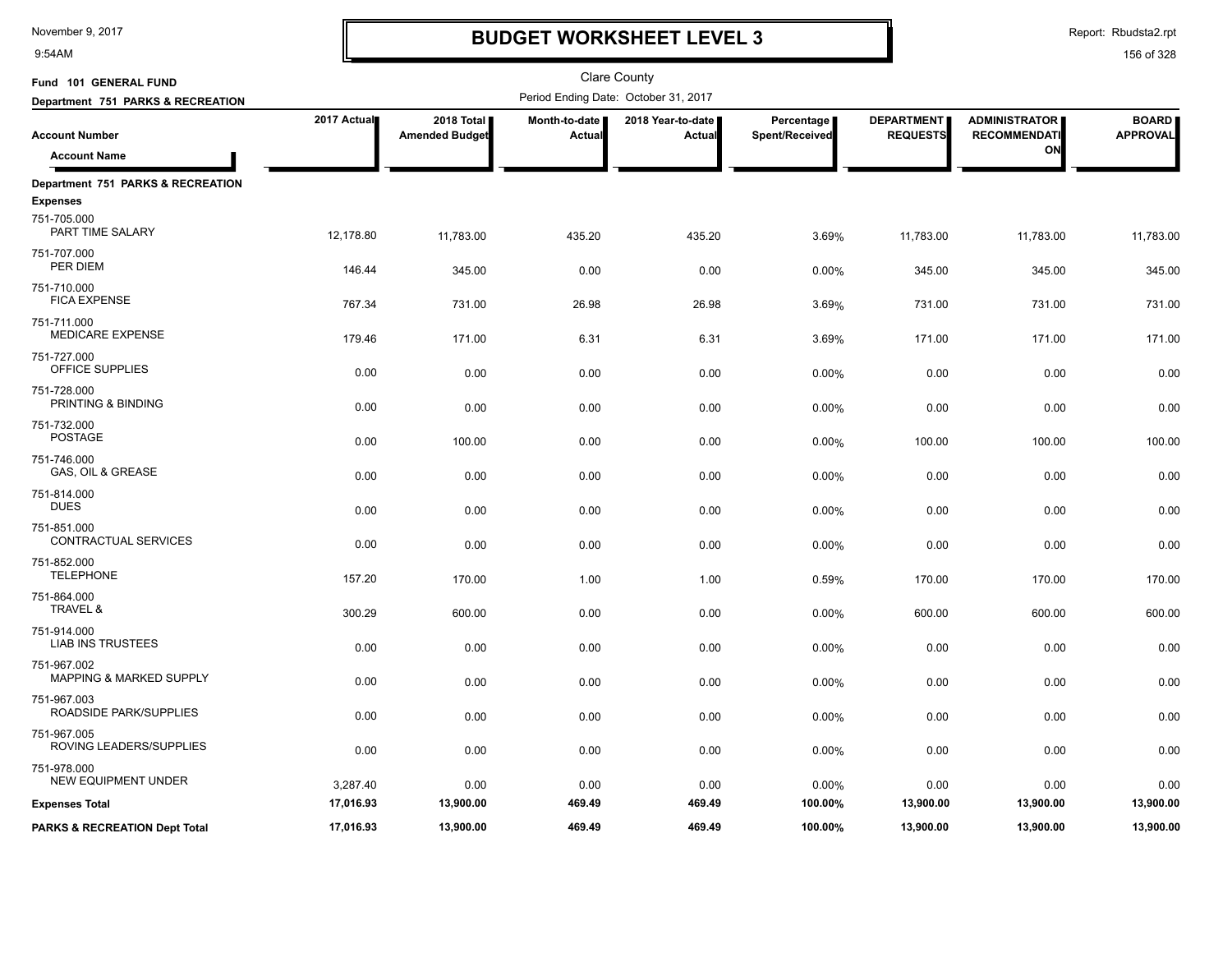9:54AM

# **BUDGET WORKSHEET LEVEL 3**

Report: Rbudsta2.rpt

| Fund 101 GENERAL FUND                             |             |                                     |                         | <b>Clare County</b>                  |                              |                                      |                                             |                                 |
|---------------------------------------------------|-------------|-------------------------------------|-------------------------|--------------------------------------|------------------------------|--------------------------------------|---------------------------------------------|---------------------------------|
| Department 751 PARKS & RECREATION                 |             |                                     |                         | Period Ending Date: October 31, 2017 |                              |                                      |                                             |                                 |
| <b>Account Number</b>                             | 2017 Actual | 2018 Total<br><b>Amended Budget</b> | Month-to-date<br>Actual | 2018 Year-to-date<br><b>Actual</b>   | Percentage<br>Spent/Received | <b>DEPARTMENT</b><br><b>REQUESTS</b> | <b>ADMINISTRATOR</b><br><b>RECOMMENDATI</b> | <b>BOARD</b><br><b>APPROVAL</b> |
| <b>Account Name</b>                               |             |                                     |                         |                                      |                              |                                      | ON                                          |                                 |
| Department 751 PARKS & RECREATION                 |             |                                     |                         |                                      |                              |                                      |                                             |                                 |
| <b>Expenses</b>                                   |             |                                     |                         |                                      |                              |                                      |                                             |                                 |
| 751-705.000<br>PART TIME SALARY                   | 12,178.80   | 11,783.00                           | 435.20                  | 435.20                               | 3.69%                        | 11,783.00                            | 11,783.00                                   | 11,783.00                       |
| 751-707.000<br>PER DIEM                           | 146.44      | 345.00                              | 0.00                    | 0.00                                 | 0.00%                        | 345.00                               | 345.00                                      | 345.00                          |
| 751-710.000<br><b>FICA EXPENSE</b>                | 767.34      | 731.00                              | 26.98                   | 26.98                                | 3.69%                        | 731.00                               | 731.00                                      | 731.00                          |
| 751-711.000                                       |             |                                     |                         |                                      |                              |                                      |                                             |                                 |
| <b>MEDICARE EXPENSE</b>                           | 179.46      | 171.00                              | 6.31                    | 6.31                                 | 3.69%                        | 171.00                               | 171.00                                      | 171.00                          |
| 751-727.000<br>OFFICE SUPPLIES                    | 0.00        | 0.00                                | 0.00                    | 0.00                                 | 0.00%                        | 0.00                                 | 0.00                                        | 0.00                            |
| 751-728.000<br>PRINTING & BINDING                 | 0.00        | 0.00                                | 0.00                    | 0.00                                 | 0.00%                        | 0.00                                 | 0.00                                        | 0.00                            |
| 751-732.000<br><b>POSTAGE</b>                     | 0.00        | 100.00                              | 0.00                    | 0.00                                 | 0.00%                        | 100.00                               | 100.00                                      | 100.00                          |
| 751-746.000<br>GAS, OIL & GREASE                  | 0.00        | 0.00                                | 0.00                    | 0.00                                 | 0.00%                        | 0.00                                 | 0.00                                        | 0.00                            |
| 751-814.000                                       |             |                                     |                         |                                      |                              |                                      |                                             |                                 |
| <b>DUES</b>                                       | 0.00        | 0.00                                | 0.00                    | 0.00                                 | 0.00%                        | 0.00                                 | 0.00                                        | 0.00                            |
| 751-851.000<br><b>CONTRACTUAL SERVICES</b>        | 0.00        | 0.00                                | 0.00                    | 0.00                                 | 0.00%                        | 0.00                                 | 0.00                                        | 0.00                            |
| 751-852.000<br><b>TELEPHONE</b>                   | 157.20      | 170.00                              | 1.00                    | 1.00                                 | 0.59%                        | 170.00                               | 170.00                                      | 170.00                          |
| 751-864.000<br>TRAVEL &                           | 300.29      | 600.00                              | 0.00                    | 0.00                                 | 0.00%                        | 600.00                               | 600.00                                      | 600.00                          |
| 751-914.000<br><b>LIAB INS TRUSTEES</b>           | 0.00        | 0.00                                | 0.00                    | 0.00                                 | 0.00%                        | 0.00                                 | 0.00                                        | 0.00                            |
| 751-967.002<br><b>MAPPING &amp; MARKED SUPPLY</b> | 0.00        | 0.00                                | 0.00                    | 0.00                                 |                              | 0.00                                 |                                             | 0.00                            |
|                                                   |             |                                     |                         |                                      | 0.00%                        |                                      | 0.00                                        |                                 |
| 751-967.003<br>ROADSIDE PARK/SUPPLIES             | 0.00        | 0.00                                | 0.00                    | 0.00                                 | 0.00%                        | 0.00                                 | 0.00                                        | 0.00                            |
| 751-967.005<br>ROVING LEADERS/SUPPLIES            | 0.00        | 0.00                                | 0.00                    | 0.00                                 | 0.00%                        | 0.00                                 | 0.00                                        | 0.00                            |
| 751-978.000                                       |             |                                     |                         |                                      |                              |                                      |                                             |                                 |
| <b>NEW EQUIPMENT UNDER</b>                        | 3,287.40    | 0.00                                | 0.00                    | 0.00                                 | 0.00%                        | 0.00                                 | 0.00                                        | 0.00                            |
| <b>Expenses Total</b>                             | 17,016.93   | 13,900.00                           | 469.49                  | 469.49                               | 100.00%                      | 13,900.00                            | 13,900.00                                   | 13,900.00                       |
| <b>PARKS &amp; RECREATION Dept Total</b>          | 17,016.93   | 13,900.00                           | 469.49                  | 469.49                               | 100.00%                      | 13,900.00                            | 13,900.00                                   | 13,900.00                       |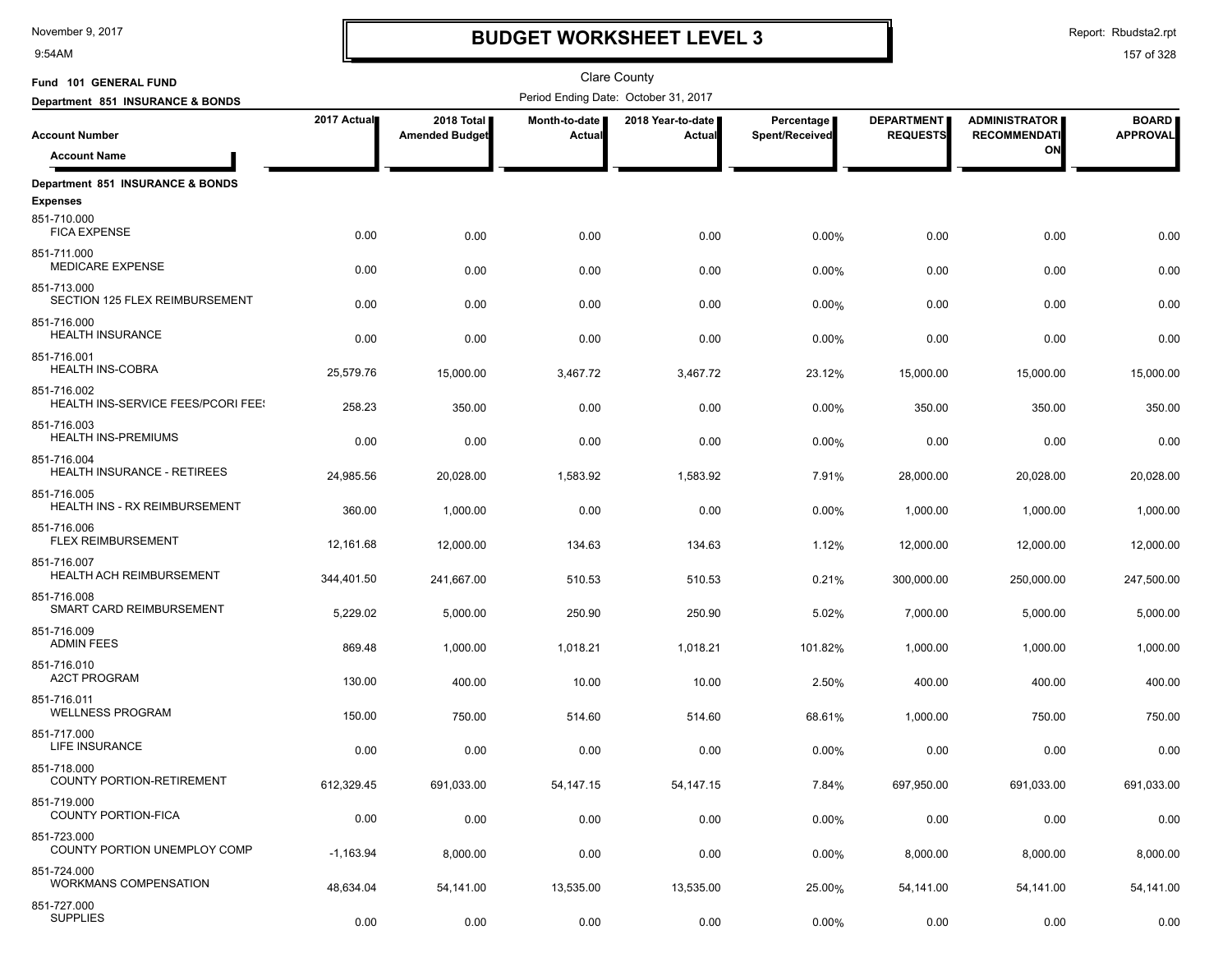9:54AM

# **BUDGET WORKSHEET LEVEL 3**

Report: Rbudsta2.rpt

| Fund 101 GENERAL FUND                             |             |                                     |                         | <b>Clare County</b>                  |                              |                                      |                                             |                                 |
|---------------------------------------------------|-------------|-------------------------------------|-------------------------|--------------------------------------|------------------------------|--------------------------------------|---------------------------------------------|---------------------------------|
| Department 851 INSURANCE & BONDS                  |             |                                     |                         | Period Ending Date: October 31, 2017 |                              |                                      |                                             |                                 |
| <b>Account Number</b>                             | 2017 Actual | 2018 Total<br><b>Amended Budget</b> | Month-to-date<br>Actual | 2018 Year-to-date<br>Actual          | Percentage<br>Spent/Received | <b>DEPARTMENT</b><br><b>REQUESTS</b> | <b>ADMINISTRATOR</b><br><b>RECOMMENDATI</b> | <b>BOARD</b><br><b>APPROVAL</b> |
| <b>Account Name</b>                               |             |                                     |                         |                                      |                              |                                      | ON                                          |                                 |
| Department 851 INSURANCE & BONDS                  |             |                                     |                         |                                      |                              |                                      |                                             |                                 |
| <b>Expenses</b>                                   |             |                                     |                         |                                      |                              |                                      |                                             |                                 |
| 851-710.000<br><b>FICA EXPENSE</b>                | 0.00        | 0.00                                | 0.00                    | 0.00                                 | 0.00%                        | 0.00                                 | 0.00                                        | 0.00                            |
| 851-711.000<br><b>MEDICARE EXPENSE</b>            | 0.00        | 0.00                                | 0.00                    | 0.00                                 | 0.00%                        | 0.00                                 | 0.00                                        | 0.00                            |
| 851-713.000<br>SECTION 125 FLEX REIMBURSEMENT     | 0.00        | 0.00                                | 0.00                    | 0.00                                 | 0.00%                        | 0.00                                 | 0.00                                        | 0.00                            |
| 851-716.000<br><b>HEALTH INSURANCE</b>            | 0.00        | 0.00                                | 0.00                    | 0.00                                 | 0.00%                        | 0.00                                 | 0.00                                        | 0.00                            |
| 851-716.001<br><b>HEALTH INS-COBRA</b>            | 25,579.76   | 15,000.00                           | 3,467.72                | 3,467.72                             | 23.12%                       | 15,000.00                            | 15,000.00                                   | 15,000.00                       |
| 851-716.002<br>HEALTH INS-SERVICE FEES/PCORI FEE: | 258.23      | 350.00                              | 0.00                    | 0.00                                 | 0.00%                        | 350.00                               | 350.00                                      | 350.00                          |
| 851-716.003<br><b>HEALTH INS-PREMIUMS</b>         | 0.00        | 0.00                                | 0.00                    | 0.00                                 | 0.00%                        | 0.00                                 | 0.00                                        | 0.00                            |
| 851-716.004<br><b>HEALTH INSURANCE - RETIREES</b> | 24,985.56   | 20,028.00                           | 1,583.92                | 1,583.92                             | 7.91%                        | 28,000.00                            | 20,028.00                                   | 20,028.00                       |
| 851-716.005<br>HEALTH INS - RX REIMBURSEMENT      | 360.00      | 1,000.00                            | 0.00                    | 0.00                                 | 0.00%                        | 1,000.00                             | 1,000.00                                    | 1,000.00                        |
| 851-716.006<br>FLEX REIMBURSEMENT                 | 12,161.68   | 12,000.00                           | 134.63                  | 134.63                               | 1.12%                        | 12,000.00                            | 12,000.00                                   | 12,000.00                       |
| 851-716.007<br><b>HEALTH ACH REIMBURSEMENT</b>    | 344,401.50  | 241,667.00                          | 510.53                  | 510.53                               | 0.21%                        | 300,000.00                           | 250,000.00                                  | 247,500.00                      |
| 851-716.008<br>SMART CARD REIMBURSEMENT           | 5,229.02    | 5,000.00                            | 250.90                  | 250.90                               | 5.02%                        | 7,000.00                             | 5,000.00                                    | 5,000.00                        |
| 851-716.009<br><b>ADMIN FEES</b>                  | 869.48      | 1,000.00                            | 1,018.21                | 1,018.21                             | 101.82%                      | 1,000.00                             | 1,000.00                                    | 1,000.00                        |
| 851-716.010<br><b>A2CT PROGRAM</b>                | 130.00      | 400.00                              | 10.00                   | 10.00                                | 2.50%                        | 400.00                               | 400.00                                      | 400.00                          |
| 851-716.011<br><b>WELLNESS PROGRAM</b>            | 150.00      | 750.00                              | 514.60                  | 514.60                               | 68.61%                       | 1,000.00                             | 750.00                                      | 750.00                          |
| 851-717.000<br>LIFE INSURANCE                     | 0.00        | 0.00                                | 0.00                    | 0.00                                 | 0.00%                        | 0.00                                 | 0.00                                        | 0.00                            |
| 851-718.000<br>COUNTY PORTION-RETIREMENT          | 612,329.45  | 691,033.00                          | 54, 147. 15             | 54,147.15                            | 7.84%                        | 697,950.00                           | 691,033.00                                  | 691,033.00                      |
| 851-719.000<br>COUNTY PORTION-FICA                | 0.00        | 0.00                                | 0.00                    | 0.00                                 | 0.00%                        | 0.00                                 | 0.00                                        | 0.00                            |
| 851-723.000<br>COUNTY PORTION UNEMPLOY COMP       | $-1,163.94$ | 8,000.00                            | 0.00                    | 0.00                                 | 0.00%                        | 8,000.00                             | 8,000.00                                    | 8,000.00                        |
| 851-724.000<br><b>WORKMANS COMPENSATION</b>       | 48,634.04   | 54,141.00                           | 13,535.00               | 13,535.00                            | 25.00%                       | 54,141.00                            | 54,141.00                                   | 54,141.00                       |
| 851-727.000<br><b>SUPPLIES</b>                    | 0.00        | 0.00                                | 0.00                    | 0.00                                 | 0.00%                        | 0.00                                 | 0.00                                        | 0.00                            |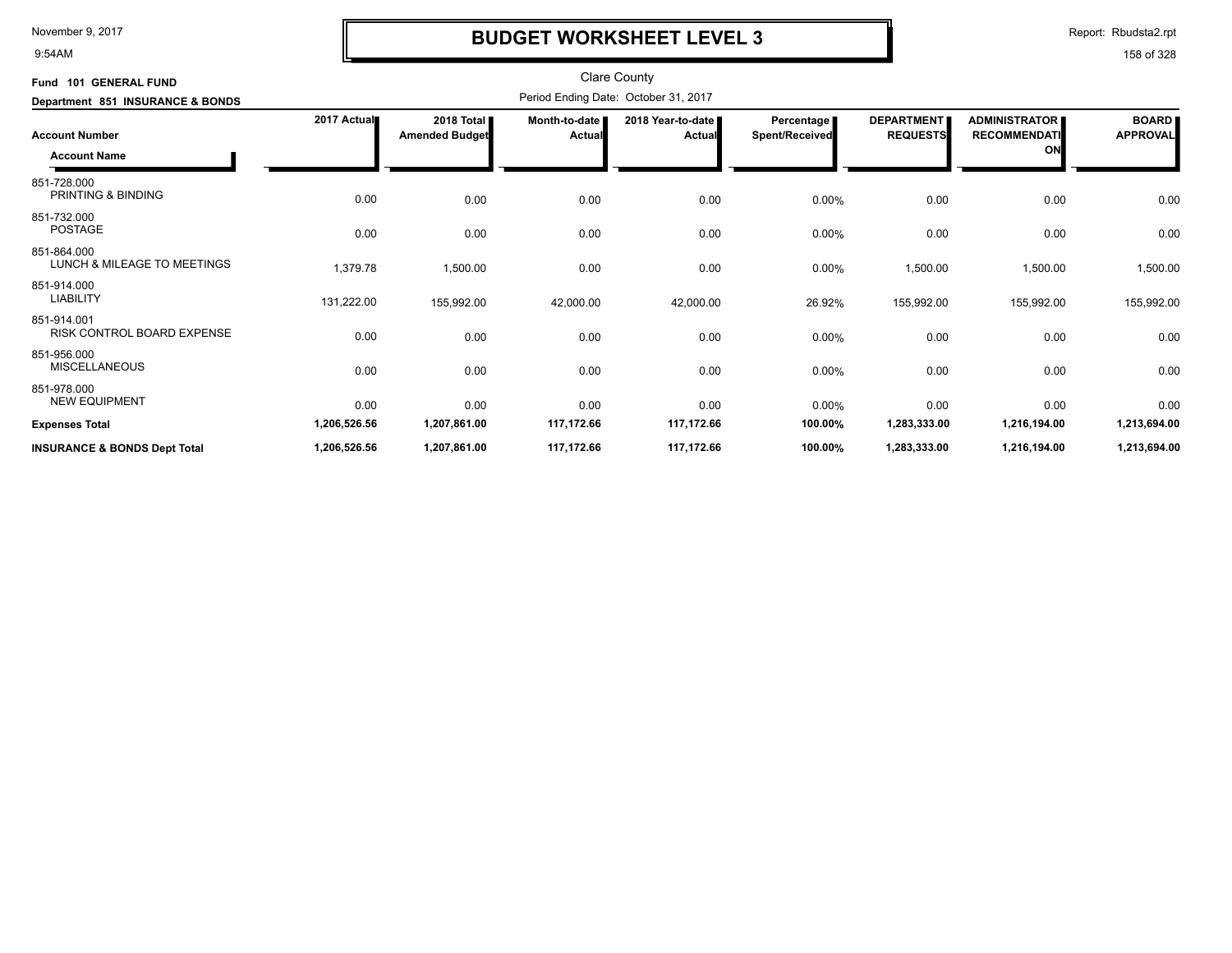9:54AM

# **BUDGET WORKSHEET LEVEL 3**

Report: Rbudsta2.rpt

| Fund 101 GENERAL FUND                        |              |                                     |                         | <b>Clare County</b>                  |                              |                                      |                                                   |                                 |
|----------------------------------------------|--------------|-------------------------------------|-------------------------|--------------------------------------|------------------------------|--------------------------------------|---------------------------------------------------|---------------------------------|
| Department 851 INSURANCE & BONDS             |              |                                     |                         | Period Ending Date: October 31, 2017 |                              |                                      |                                                   |                                 |
| <b>Account Number</b><br><b>Account Name</b> | 2017 Actual  | 2018 Total<br><b>Amended Budget</b> | Month-to-date<br>Actual | 2018 Year-to-date<br><b>Actual</b>   | Percentage<br>Spent/Received | <b>DEPARTMENT</b><br><b>REQUESTS</b> | <b>ADMINISTRATOR</b><br><b>RECOMMENDATI</b><br>ON | <b>BOARD</b><br><b>APPROVAL</b> |
| 851-728.000<br>PRINTING & BINDING            | 0.00         | 0.00                                | 0.00                    | 0.00                                 | 0.00%                        | 0.00                                 | 0.00                                              | 0.00                            |
| 851-732.000<br><b>POSTAGE</b>                | 0.00         | 0.00                                | 0.00                    | 0.00                                 | 0.00%                        | 0.00                                 | 0.00                                              | 0.00                            |
| 851-864.000<br>LUNCH & MILEAGE TO MEETINGS   | 1,379.78     | 1,500.00                            | 0.00                    | 0.00                                 | 0.00%                        | 1,500.00                             | 1,500.00                                          | 1,500.00                        |
| 851-914.000<br><b>LIABILITY</b>              | 131,222.00   | 155,992.00                          | 42,000.00               | 42,000.00                            | 26.92%                       | 155,992.00                           | 155,992.00                                        | 155,992.00                      |
| 851-914.001<br>RISK CONTROL BOARD EXPENSE    | 0.00         | 0.00                                | 0.00                    | 0.00                                 | 0.00%                        | 0.00                                 | 0.00                                              | 0.00                            |
| 851-956.000<br><b>MISCELLANEOUS</b>          | 0.00         | 0.00                                | 0.00                    | 0.00                                 | 0.00%                        | 0.00                                 | 0.00                                              | 0.00                            |
| 851-978.000<br><b>NEW EQUIPMENT</b>          | 0.00         | 0.00                                | 0.00                    | 0.00                                 | 0.00%                        | 0.00                                 | 0.00                                              | 0.00                            |
| <b>Expenses Total</b>                        | 1,206,526.56 | 1,207,861.00                        | 117,172.66              | 117,172.66                           | 100.00%                      | 1,283,333.00                         | 1,216,194.00                                      | 1,213,694.00                    |
| <b>INSURANCE &amp; BONDS Dept Total</b>      | 1,206,526.56 | 1,207,861.00                        | 117,172.66              | 117,172.66                           | 100.00%                      | 1,283,333.00                         | 1,216,194.00                                      | 1,213,694.00                    |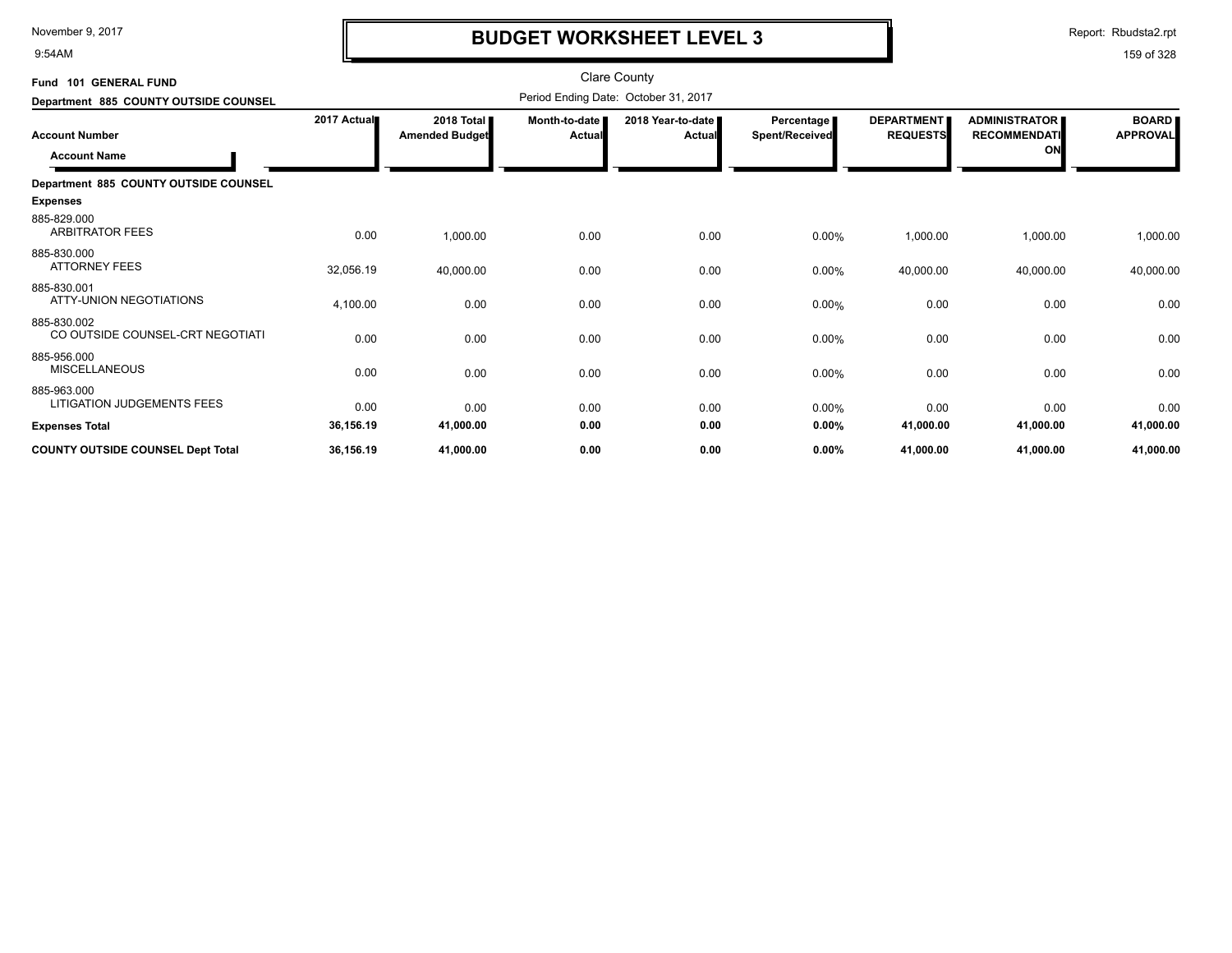9:54AM

# **BUDGET WORKSHEET LEVEL 3**

Report: Rbudsta2.rpt

| Fund 101 GENERAL FUND                           |             |                                     |                         | <b>Clare County</b>                  |                                     |                                      |                                                   |                                 |
|-------------------------------------------------|-------------|-------------------------------------|-------------------------|--------------------------------------|-------------------------------------|--------------------------------------|---------------------------------------------------|---------------------------------|
| Department 885 COUNTY OUTSIDE COUNSEL           |             |                                     |                         | Period Ending Date: October 31, 2017 |                                     |                                      |                                                   |                                 |
| <b>Account Number</b><br><b>Account Name</b>    | 2017 Actual | 2018 Total<br><b>Amended Budget</b> | Month-to-date<br>Actual | 2018 Year-to-date<br><b>Actual</b>   | Percentage<br><b>Spent/Received</b> | <b>DEPARTMENT</b><br><b>REQUESTS</b> | <b>ADMINISTRATOR</b><br><b>RECOMMENDATI</b><br>ON | <b>BOARD</b><br><b>APPROVAL</b> |
| Department 885 COUNTY OUTSIDE COUNSEL           |             |                                     |                         |                                      |                                     |                                      |                                                   |                                 |
| <b>Expenses</b>                                 |             |                                     |                         |                                      |                                     |                                      |                                                   |                                 |
| 885-829.000<br><b>ARBITRATOR FEES</b>           | 0.00        | 1,000.00                            | 0.00                    | 0.00                                 | 0.00%                               | 1,000.00                             | 1,000.00                                          | 1,000.00                        |
| 885-830.000<br><b>ATTORNEY FEES</b>             | 32,056.19   | 40,000.00                           | 0.00                    | 0.00                                 | 0.00%                               | 40,000.00                            | 40,000.00                                         | 40,000.00                       |
| 885-830.001<br>ATTY-UNION NEGOTIATIONS          | 4,100.00    | 0.00                                | 0.00                    | 0.00                                 | 0.00%                               | 0.00                                 | 0.00                                              | 0.00                            |
| 885-830.002<br>CO OUTSIDE COUNSEL-CRT NEGOTIATI | 0.00        | 0.00                                | 0.00                    | 0.00                                 | 0.00%                               | 0.00                                 | 0.00                                              | 0.00                            |
| 885-956.000<br><b>MISCELLANEOUS</b>             | 0.00        | 0.00                                | 0.00                    | 0.00                                 | 0.00%                               | 0.00                                 | 0.00                                              | 0.00                            |
| 885-963.000<br>LITIGATION JUDGEMENTS FEES       | 0.00        | 0.00                                | 0.00                    | 0.00                                 | $0.00\%$                            | 0.00                                 | 0.00                                              | 0.00                            |
| <b>Expenses Total</b>                           | 36,156.19   | 41,000.00                           | 0.00                    | 0.00                                 | 0.00%                               | 41,000.00                            | 41,000.00                                         | 41,000.00                       |
| <b>COUNTY OUTSIDE COUNSEL Dept Total</b>        | 36,156.19   | 41,000.00                           | 0.00                    | 0.00                                 | 0.00%                               | 41,000.00                            | 41,000.00                                         | 41,000.00                       |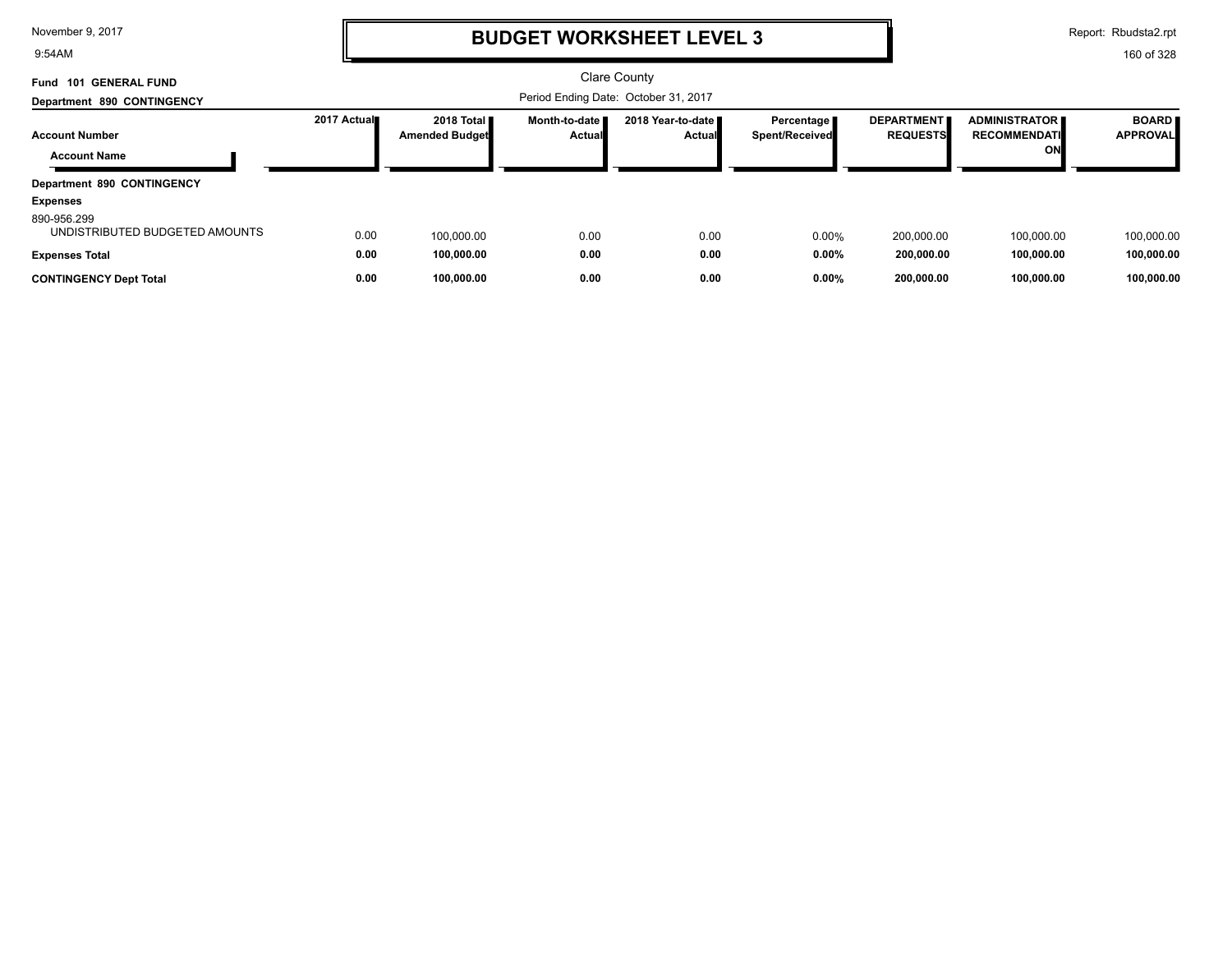9:54AM

# **BUDGET WORKSHEET LEVEL 3**

Report: Rbudsta2.rpt

| <b>GENERAL FUND</b><br>Fund<br>101            |             |                                     |                                      | <b>Clare County</b>                  |                                     |                                      |                                                     |                                 |
|-----------------------------------------------|-------------|-------------------------------------|--------------------------------------|--------------------------------------|-------------------------------------|--------------------------------------|-----------------------------------------------------|---------------------------------|
| Department 890 CONTINGENCY                    |             |                                     | Period Ending Date: October 31, 2017 |                                      |                                     |                                      |                                                     |                                 |
| <b>Account Number</b><br><b>Account Name</b>  | 2017 Actual | 2018 Total<br><b>Amended Budget</b> | Month-to-date I<br><b>Actual</b>     | 2018 Year-to-date ■<br><b>Actual</b> | Percentage<br><b>Spent/Received</b> | <b>DEPARTMENT</b><br><b>REQUESTS</b> | <b>ADMINISTRATOR I</b><br><b>RECOMMENDATI</b><br>ON | <b>BOARD</b><br><b>APPROVAL</b> |
| Department 890 CONTINGENCY<br><b>Expenses</b> |             |                                     |                                      |                                      |                                     |                                      |                                                     |                                 |
| 890-956.299<br>UNDISTRIBUTED BUDGETED AMOUNTS | 0.00        | 100,000.00                          | 0.00                                 | 0.00                                 | 0.00%                               | 200,000.00                           | 100,000.00                                          | 100,000.00                      |
| <b>Expenses Total</b>                         | 0.00        | 100,000.00                          | 0.00                                 | 0.00                                 | 0.00%                               | 200,000.00                           | 100.000.00                                          | 100,000.00                      |
| <b>CONTINGENCY Dept Total</b>                 | 0.00        | 100.000.00                          | 0.00                                 | 0.00                                 | 0.00%                               | 200.000.00                           | 100.000.00                                          | 100.000.00                      |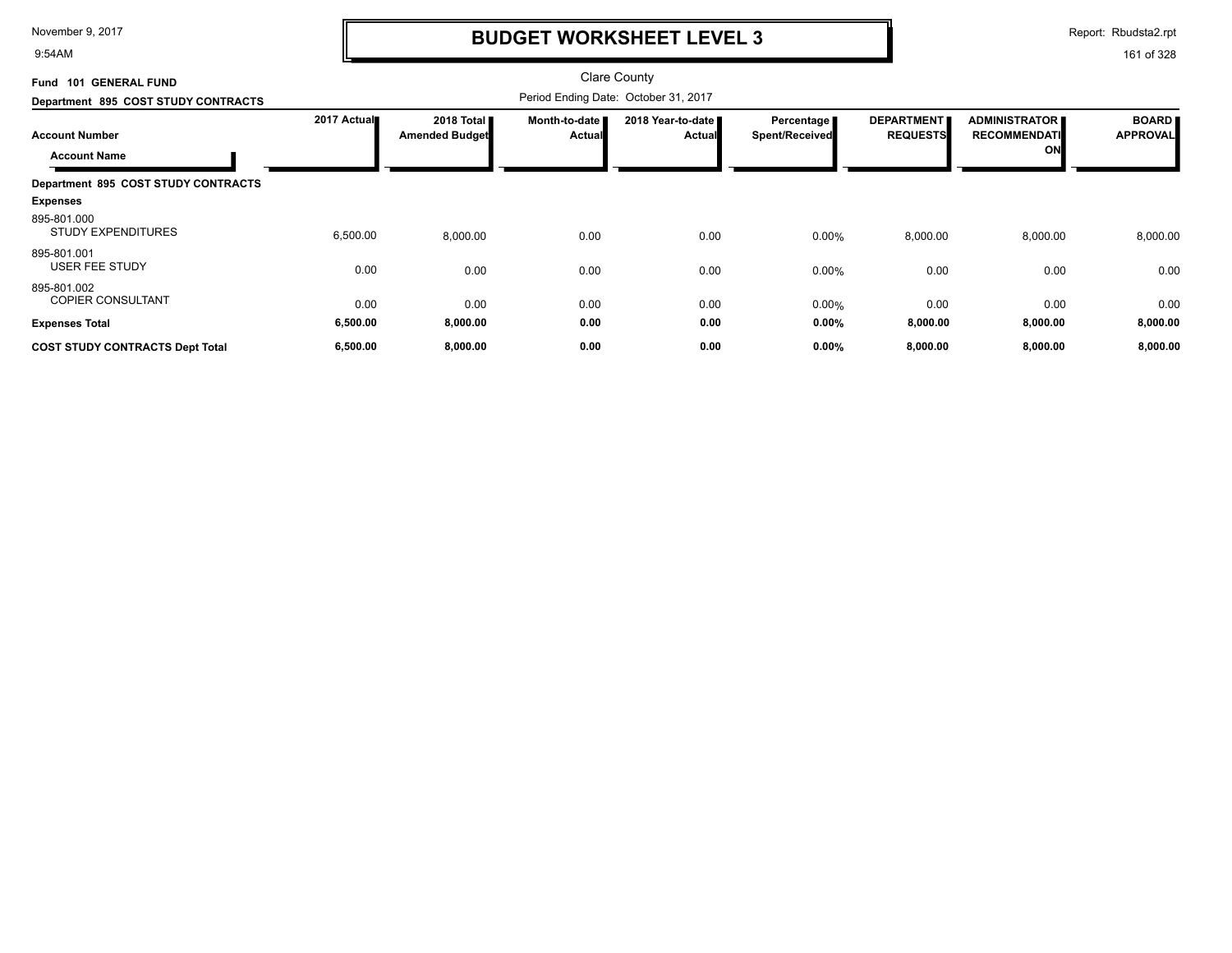9:54AM

### **BUDGET WORKSHEET LEVEL 3**

Report: Rbudsta2.rpt

| <b>GENERAL FUND</b><br><b>Fund 101</b>       |             |                                     |                                | <b>Clare County</b>                  |                                       |                                      |                                                   |                                 |
|----------------------------------------------|-------------|-------------------------------------|--------------------------------|--------------------------------------|---------------------------------------|--------------------------------------|---------------------------------------------------|---------------------------------|
| Department 895 COST STUDY CONTRACTS          |             |                                     |                                | Period Ending Date: October 31, 2017 |                                       |                                      |                                                   |                                 |
| <b>Account Number</b><br><b>Account Name</b> | 2017 Actual | 2018 Total<br><b>Amended Budget</b> | Month-to-date<br><b>Actual</b> | 2018 Year-to-date<br><b>Actual</b>   | Percentage  <br><b>Spent/Received</b> | <b>DEPARTMENT</b><br><b>REQUESTS</b> | <b>ADMINISTRATOR</b><br><b>RECOMMENDATI</b><br>ON | <b>BOARD</b><br><b>APPROVAL</b> |
| Department 895 COST STUDY CONTRACTS          |             |                                     |                                |                                      |                                       |                                      |                                                   |                                 |
| <b>Expenses</b>                              |             |                                     |                                |                                      |                                       |                                      |                                                   |                                 |
| 895-801.000<br><b>STUDY EXPENDITURES</b>     | 6,500.00    | 8,000.00                            | 0.00                           | 0.00                                 | 0.00%                                 | 8,000.00                             | 8,000.00                                          | 8,000.00                        |
| 895-801.001<br><b>USER FEE STUDY</b>         | 0.00        | 0.00                                | 0.00                           | 0.00                                 | 0.00%                                 | 0.00                                 | 0.00                                              | 0.00                            |
| 895-801.002<br><b>COPIER CONSULTANT</b>      | 0.00        | 0.00                                | 0.00                           | 0.00                                 | 0.00%                                 | 0.00                                 | 0.00                                              | 0.00                            |
| <b>Expenses Total</b>                        | 6,500.00    | 8,000.00                            | 0.00                           | 0.00                                 | 0.00%                                 | 8,000.00                             | 8,000.00                                          | 8,000.00                        |
| <b>COST STUDY CONTRACTS Dept Total</b>       | 6,500.00    | 8,000.00                            | 0.00                           | 0.00                                 | 0.00%                                 | 8,000.00                             | 8,000.00                                          | 8,000.00                        |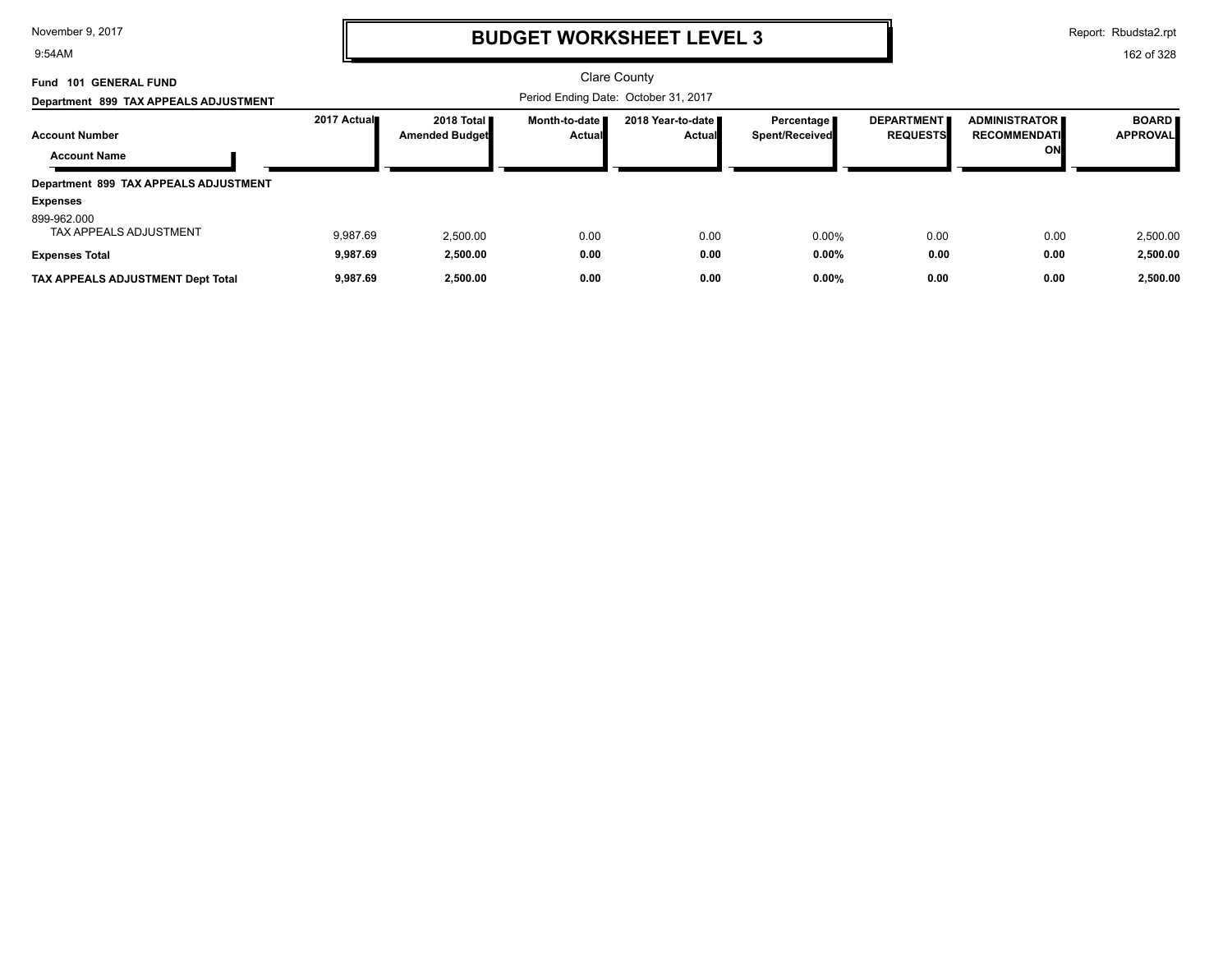9:54AM

# **BUDGET WORKSHEET LEVEL 3**

Report: Rbudsta2.rpt

| <b>GENERAL FUND</b><br><b>Fund 101</b> |             |                                     |                                      | Clare County                         |                                |                                      |                                             |                                 |
|----------------------------------------|-------------|-------------------------------------|--------------------------------------|--------------------------------------|--------------------------------|--------------------------------------|---------------------------------------------|---------------------------------|
| Department 899 TAX APPEALS ADJUSTMENT  |             |                                     | Period Ending Date: October 31, 2017 |                                      |                                |                                      |                                             |                                 |
| <b>Account Number</b>                  | 2017 Actual | 2018 Total<br><b>Amended Budget</b> | Month-to-date I<br>Actual            | 2018 Year-to-date ■<br><b>Actual</b> | Percentage I<br>Spent/Received | <b>DEPARTMENT</b><br><b>REQUESTS</b> | <b>ADMINISTRATOR</b><br><b>RECOMMENDATI</b> | <b>BOARD</b><br><b>APPROVAL</b> |
| <b>Account Name</b>                    |             |                                     |                                      |                                      |                                |                                      | ON                                          |                                 |
| Department 899 TAX APPEALS ADJUSTMENT  |             |                                     |                                      |                                      |                                |                                      |                                             |                                 |
| <b>Expenses</b>                        |             |                                     |                                      |                                      |                                |                                      |                                             |                                 |
| 899-962.000<br>TAX APPEALS ADJUSTMENT  | 9.987.69    | 2,500.00                            | 0.00                                 | 0.00                                 | $0.00\%$                       | 0.00                                 | 0.00                                        | 2,500.00                        |
| <b>Expenses Total</b>                  | 9,987.69    | 2,500.00                            | 0.00                                 | 0.00                                 | $0.00\%$                       | 0.00                                 | 0.00                                        | 2,500.00                        |
| TAX APPEALS ADJUSTMENT Dept Total      | 9,987.69    | 2.500.00                            | 0.00                                 | 0.00                                 | $0.00\%$                       | 0.00                                 | 0.00                                        | 2,500.00                        |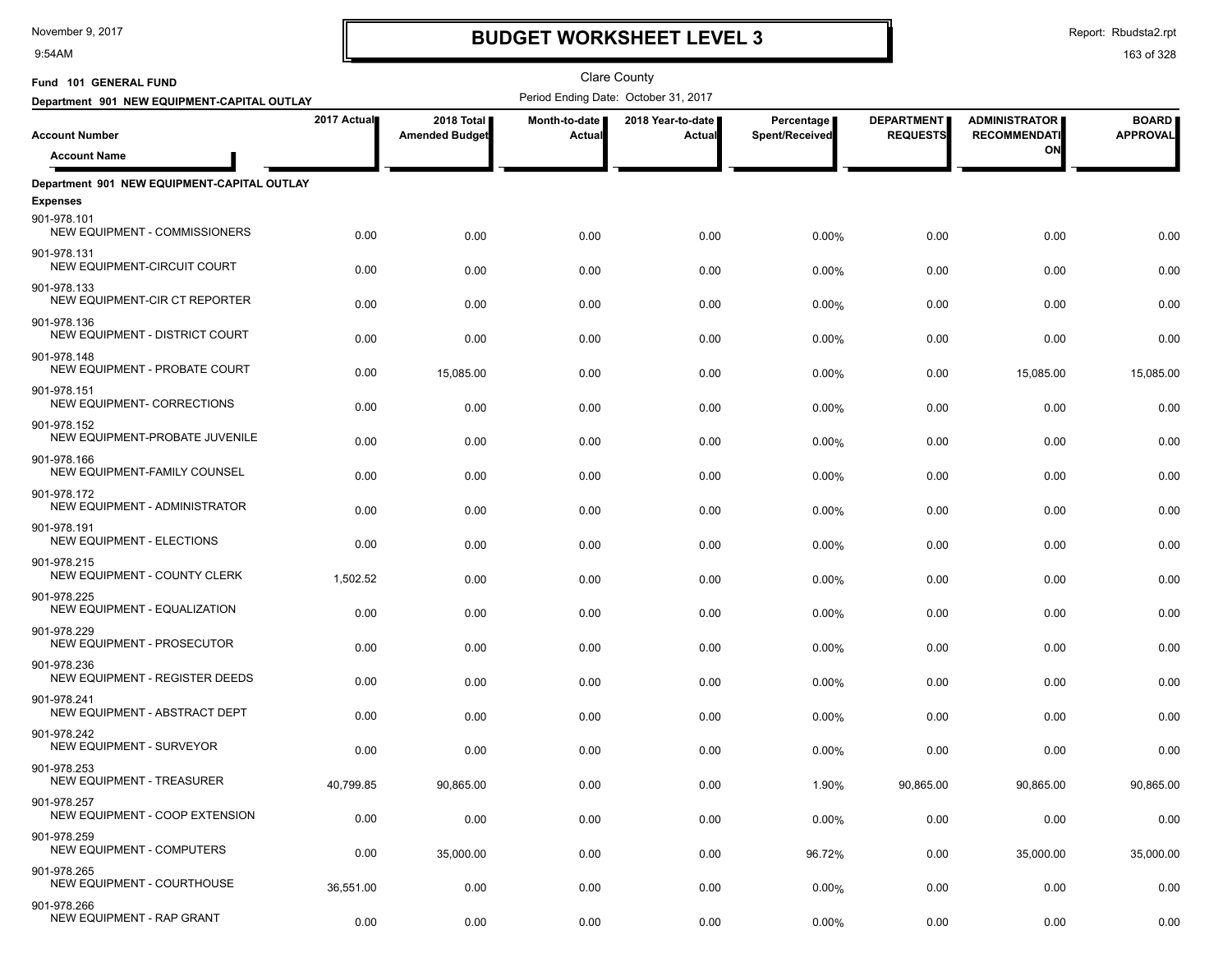9:54AM

# **BUDGET WORKSHEET LEVEL 3**

Clare County

Report: Rbudsta2.rpt

| Fund 101 GENERAL FUND                            |             |                                     |                         | <b>Clare County</b>                  |                              |                                      |                                             |                                 |
|--------------------------------------------------|-------------|-------------------------------------|-------------------------|--------------------------------------|------------------------------|--------------------------------------|---------------------------------------------|---------------------------------|
| Department 901 NEW EQUIPMENT-CAPITAL OUTLAY      |             |                                     |                         | Period Ending Date: October 31, 2017 |                              |                                      |                                             |                                 |
| <b>Account Number</b>                            | 2017 Actual | 2018 Total<br><b>Amended Budget</b> | Month-to-date<br>Actual | 2018 Year-to-date  <br>Actual        | Percentage<br>Spent/Received | <b>DEPARTMENT</b><br><b>REQUESTS</b> | <b>ADMINISTRATOR</b><br><b>RECOMMENDATI</b> | <b>BOARD</b><br><b>APPROVAL</b> |
| <b>Account Name</b>                              |             |                                     |                         |                                      |                              |                                      | ΟN                                          |                                 |
|                                                  |             |                                     |                         |                                      |                              |                                      |                                             |                                 |
| Department 901 NEW EQUIPMENT-CAPITAL OUTLAY      |             |                                     |                         |                                      |                              |                                      |                                             |                                 |
| <b>Expenses</b><br>901-978.101                   |             |                                     |                         |                                      |                              |                                      |                                             |                                 |
| NEW EQUIPMENT - COMMISSIONERS                    | 0.00        | 0.00                                | 0.00                    | 0.00                                 | 0.00%                        | 0.00                                 | 0.00                                        | 0.00                            |
| 901-978.131<br>NEW EQUIPMENT-CIRCUIT COURT       | 0.00        | 0.00                                | 0.00                    | 0.00                                 | 0.00%                        | 0.00                                 | 0.00                                        | 0.00                            |
| 901-978.133<br>NEW EQUIPMENT-CIR CT REPORTER     | 0.00        | 0.00                                | 0.00                    | 0.00                                 | 0.00%                        | 0.00                                 | 0.00                                        | 0.00                            |
| 901-978.136<br>NEW EQUIPMENT - DISTRICT COURT    | 0.00        | 0.00                                | 0.00                    | 0.00                                 | 0.00%                        | 0.00                                 | 0.00                                        | 0.00                            |
| 901-978.148<br>NEW EQUIPMENT - PROBATE COURT     | 0.00        | 15,085.00                           | 0.00                    | 0.00                                 | 0.00%                        | 0.00                                 | 15,085.00                                   | 15,085.00                       |
| 901-978.151<br>NEW EQUIPMENT- CORRECTIONS        | 0.00        | 0.00                                | 0.00                    | 0.00                                 | 0.00%                        | 0.00                                 | 0.00                                        | 0.00                            |
| 901-978.152<br>NEW EQUIPMENT-PROBATE JUVENILE    | 0.00        | 0.00                                | 0.00                    | 0.00                                 | 0.00%                        | 0.00                                 | 0.00                                        | 0.00                            |
| 901-978.166<br>NEW EQUIPMENT-FAMILY COUNSEL      | 0.00        | 0.00                                | 0.00                    | 0.00                                 | 0.00%                        | 0.00                                 | 0.00                                        | 0.00                            |
| 901-978.172<br>NEW EQUIPMENT - ADMINISTRATOR     | 0.00        | 0.00                                | 0.00                    | 0.00                                 | 0.00%                        | 0.00                                 | 0.00                                        | 0.00                            |
| 901-978.191<br><b>NEW EQUIPMENT - ELECTIONS</b>  | 0.00        | 0.00                                | 0.00                    | 0.00                                 | 0.00%                        | 0.00                                 | 0.00                                        | 0.00                            |
| 901-978.215<br>NEW EQUIPMENT - COUNTY CLERK      | 1,502.52    | 0.00                                | 0.00                    | 0.00                                 | 0.00%                        | 0.00                                 | 0.00                                        | 0.00                            |
| 901-978.225<br>NEW EQUIPMENT - EQUALIZATION      | 0.00        | 0.00                                | 0.00                    | 0.00                                 | 0.00%                        | 0.00                                 | 0.00                                        | 0.00                            |
| 901-978.229<br>NEW EQUIPMENT - PROSECUTOR        | 0.00        | 0.00                                | 0.00                    | 0.00                                 | 0.00%                        | 0.00                                 | 0.00                                        | 0.00                            |
| 901-978.236<br>NEW EQUIPMENT - REGISTER DEEDS    | 0.00        | 0.00                                | 0.00                    | 0.00                                 | 0.00%                        | 0.00                                 | 0.00                                        | 0.00                            |
| 901-978.241<br>NEW EQUIPMENT - ABSTRACT DEPT     | 0.00        | 0.00                                | 0.00                    | 0.00                                 | 0.00%                        | 0.00                                 | 0.00                                        | 0.00                            |
| 901-978.242<br><b>NEW EQUIPMENT - SURVEYOR</b>   | 0.00        | 0.00                                | 0.00                    | 0.00                                 | 0.00%                        | 0.00                                 | 0.00                                        | 0.00                            |
| 901-978.253<br><b>NEW EQUIPMENT - TREASURER</b>  | 40,799.85   | 90,865.00                           | 0.00                    | 0.00                                 | 1.90%                        | 90,865.00                            | 90,865.00                                   | 90,865.00                       |
| 901-978.257<br>NEW EQUIPMENT - COOP EXTENSION    | 0.00        | 0.00                                | 0.00                    | 0.00                                 | 0.00%                        | 0.00                                 | 0.00                                        | 0.00                            |
| 901-978.259<br>NEW EQUIPMENT - COMPUTERS         | 0.00        | 35,000.00                           | 0.00                    | 0.00                                 | 96.72%                       | 0.00                                 | 35,000.00                                   | 35,000.00                       |
| 901-978.265<br><b>NEW EQUIPMENT - COURTHOUSE</b> | 36,551.00   | 0.00                                | 0.00                    | 0.00                                 | 0.00%                        | 0.00                                 | 0.00                                        | 0.00                            |
| 901-978.266<br>NEW EQUIPMENT - RAP GRANT         | 0.00        | 0.00                                | 0.00                    | 0.00                                 | 0.00%                        | 0.00                                 | 0.00                                        | 0.00                            |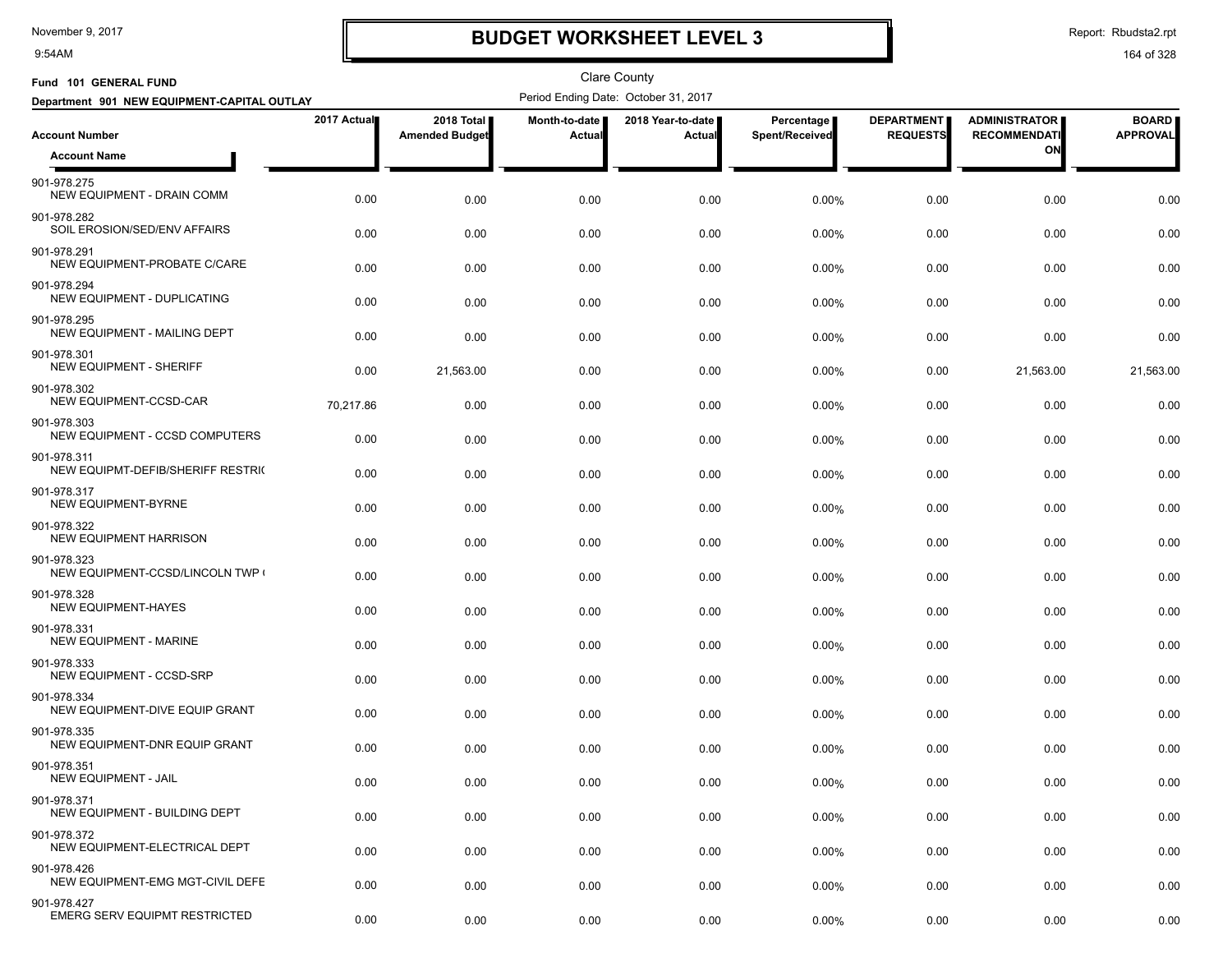9:54AM

# **BUDGET WORKSHEET LEVEL 3**

Report: Rbudsta2.rpt

| Fund 101 GENERAL FUND                               |             |                                     |                         | <b>Clare County</b>                  |                              |                                      |                                             |                                 |
|-----------------------------------------------------|-------------|-------------------------------------|-------------------------|--------------------------------------|------------------------------|--------------------------------------|---------------------------------------------|---------------------------------|
| Department 901 NEW EQUIPMENT-CAPITAL OUTLAY         |             |                                     |                         | Period Ending Date: October 31, 2017 |                              |                                      |                                             |                                 |
| <b>Account Number</b>                               | 2017 Actual | 2018 Total<br><b>Amended Budget</b> | Month-to-date<br>Actual | 2018 Year-to-date<br>Actual          | Percentage<br>Spent/Received | <b>DEPARTMENT</b><br><b>REQUESTS</b> | <b>ADMINISTRATOR</b><br><b>RECOMMENDATI</b> | <b>BOARD</b><br><b>APPROVAL</b> |
| <b>Account Name</b>                                 |             |                                     |                         |                                      |                              |                                      | ΟN                                          |                                 |
| 901-978.275<br>NEW EQUIPMENT - DRAIN COMM           | 0.00        | 0.00                                | 0.00                    | 0.00                                 | 0.00%                        | 0.00                                 | 0.00                                        | 0.00                            |
| 901-978.282<br>SOIL EROSION/SED/ENV AFFAIRS         | 0.00        | 0.00                                | 0.00                    | 0.00                                 | 0.00%                        | 0.00                                 | 0.00                                        | 0.00                            |
| 901-978.291<br>NEW EQUIPMENT-PROBATE C/CARE         | 0.00        | 0.00                                | 0.00                    | 0.00                                 | $0.00\%$                     | 0.00                                 | 0.00                                        | 0.00                            |
| 901-978.294<br>NEW EQUIPMENT - DUPLICATING          | 0.00        | 0.00                                | 0.00                    | 0.00                                 | $0.00\%$                     | 0.00                                 | 0.00                                        | 0.00                            |
| 901-978.295<br>NEW EQUIPMENT - MAILING DEPT         | 0.00        | 0.00                                | 0.00                    | 0.00                                 | 0.00%                        | 0.00                                 | 0.00                                        | 0.00                            |
| 901-978.301<br><b>NEW EQUIPMENT - SHERIFF</b>       | 0.00        | 21,563.00                           | 0.00                    | 0.00                                 | 0.00%                        | 0.00                                 | 21,563.00                                   | 21,563.00                       |
| 901-978.302<br>NEW EQUIPMENT-CCSD-CAR               | 70,217.86   | 0.00                                | 0.00                    | 0.00                                 | $0.00\%$                     | 0.00                                 | 0.00                                        | 0.00                            |
| 901-978.303<br>NEW EQUIPMENT - CCSD COMPUTERS       | 0.00        | 0.00                                | 0.00                    | 0.00                                 | 0.00%                        | 0.00                                 | 0.00                                        | 0.00                            |
| 901-978.311<br>NEW EQUIPMT-DEFIB/SHERIFF RESTRIC    | 0.00        | 0.00                                | 0.00                    | 0.00                                 | 0.00%                        | 0.00                                 | 0.00                                        | 0.00                            |
| 901-978.317<br><b>NEW EQUIPMENT-BYRNE</b>           | 0.00        | 0.00                                | 0.00                    | 0.00                                 | $0.00\%$                     | 0.00                                 | 0.00                                        | 0.00                            |
| 901-978.322<br><b>NEW EQUIPMENT HARRISON</b>        | 0.00        | 0.00                                | 0.00                    | 0.00                                 | 0.00%                        | 0.00                                 | 0.00                                        | 0.00                            |
| 901-978.323<br>NEW EQUIPMENT-CCSD/LINCOLN TWP       | 0.00        | 0.00                                | 0.00                    | 0.00                                 | 0.00%                        | 0.00                                 | 0.00                                        | 0.00                            |
| 901-978.328<br><b>NEW EQUIPMENT-HAYES</b>           | 0.00        | 0.00                                | 0.00                    | 0.00                                 | 0.00%                        | 0.00                                 | 0.00                                        | 0.00                            |
| 901-978.331<br><b>NEW EQUIPMENT - MARINE</b>        | 0.00        | 0.00                                | 0.00                    | 0.00                                 | 0.00%                        | 0.00                                 | 0.00                                        | 0.00                            |
| 901-978.333<br>NEW EQUIPMENT - CCSD-SRP             | 0.00        | 0.00                                | 0.00                    | 0.00                                 | 0.00%                        | 0.00                                 | 0.00                                        | 0.00                            |
| 901-978.334<br>NEW EQUIPMENT-DIVE EQUIP GRANT       | 0.00        | 0.00                                | 0.00                    | 0.00                                 | $0.00\%$                     | 0.00                                 | 0.00                                        | 0.00                            |
| 901-978.335<br>NEW EQUIPMENT-DNR EQUIP GRANT        | 0.00        | 0.00                                | 0.00                    | 0.00                                 | $0.00\%$                     | 0.00                                 | 0.00                                        | 0.00                            |
| 901-978.351<br>NEW EQUIPMENT - JAIL                 | 0.00        | 0.00                                | 0.00                    | 0.00                                 | 0.00%                        | 0.00                                 | 0.00                                        | 0.00                            |
| 901-978.371<br>NEW EQUIPMENT - BUILDING DEPT        | 0.00        | 0.00                                | 0.00                    | 0.00                                 | 0.00%                        | 0.00                                 | 0.00                                        | 0.00                            |
| 901-978.372<br>NEW EQUIPMENT-ELECTRICAL DEPT        | 0.00        | 0.00                                | 0.00                    | 0.00                                 | 0.00%                        | 0.00                                 | 0.00                                        | 0.00                            |
| 901-978.426<br>NEW EQUIPMENT-EMG MGT-CIVIL DEFE     | 0.00        | 0.00                                | 0.00                    | 0.00                                 | 0.00%                        | 0.00                                 | 0.00                                        | 0.00                            |
| 901-978.427<br><b>EMERG SERV EQUIPMT RESTRICTED</b> | 0.00        | 0.00                                | 0.00                    | 0.00                                 | 0.00%                        | 0.00                                 | 0.00                                        | 0.00                            |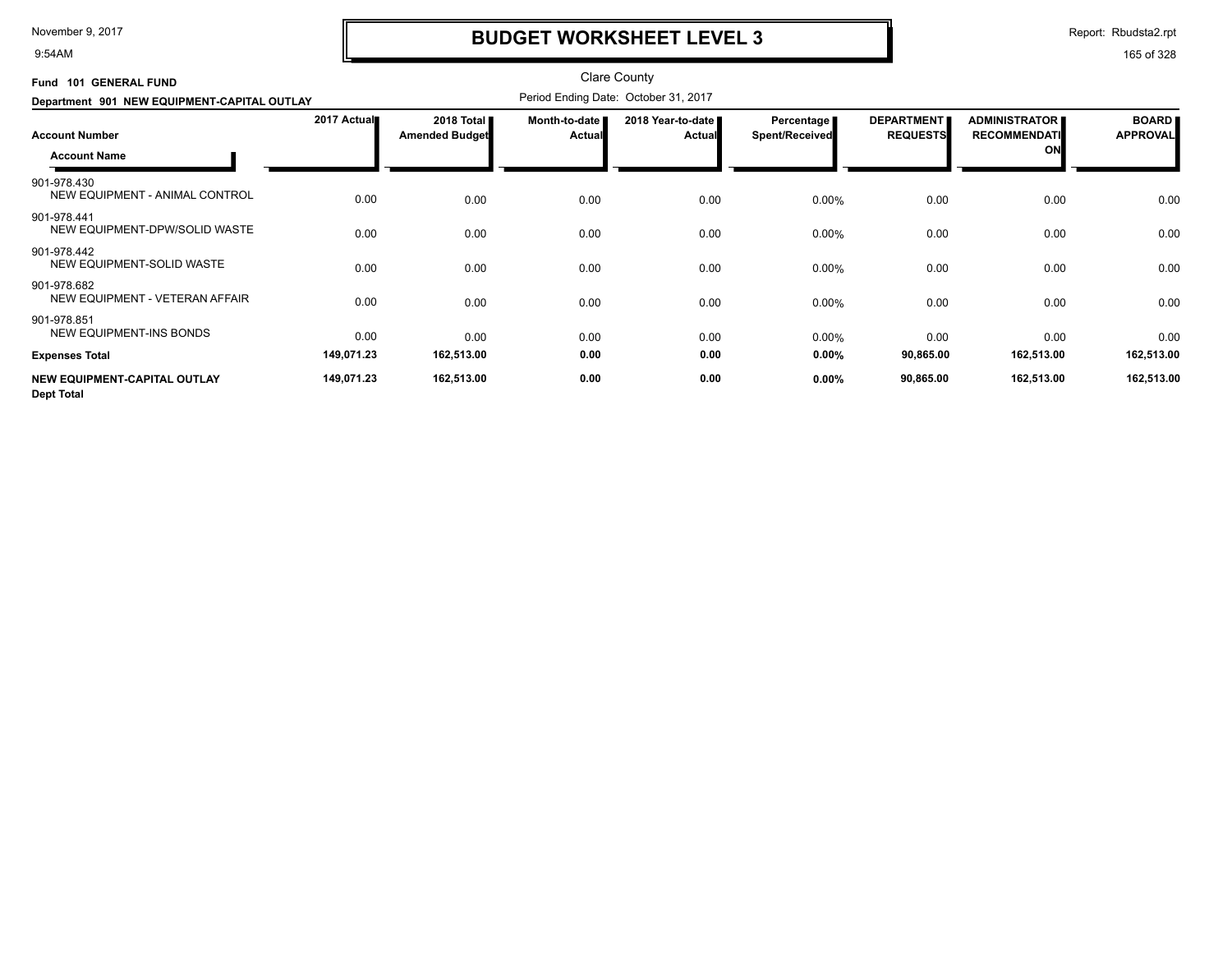9:54AM

# **BUDGET WORKSHEET LEVEL 3**

Report: Rbudsta2.rpt

| Fund 101 GENERAL FUND                             |             |                                     |                         | <b>Clare County</b>                  |                                     |                                      |                                                   |                                 |
|---------------------------------------------------|-------------|-------------------------------------|-------------------------|--------------------------------------|-------------------------------------|--------------------------------------|---------------------------------------------------|---------------------------------|
| Department 901 NEW EQUIPMENT-CAPITAL OUTLAY       |             |                                     |                         | Period Ending Date: October 31, 2017 |                                     |                                      |                                                   |                                 |
| <b>Account Number</b><br><b>Account Name</b>      | 2017 Actual | 2018 Total<br><b>Amended Budget</b> | Month-to-date<br>Actual | 2018 Year-to-date<br><b>Actual</b>   | Percentage<br><b>Spent/Received</b> | <b>DEPARTMENT</b><br><b>REQUESTS</b> | <b>ADMINISTRATOR</b><br><b>RECOMMENDATI</b><br>ON | <b>BOARD</b><br><b>APPROVAL</b> |
| 901-978.430<br>NEW EQUIPMENT - ANIMAL CONTROL     | 0.00        | 0.00                                | 0.00                    | 0.00                                 | 0.00%                               | 0.00                                 | 0.00                                              | 0.00                            |
| 901-978.441<br>NEW EQUIPMENT-DPW/SOLID WASTE      | 0.00        | 0.00                                | 0.00                    | 0.00                                 | 0.00%                               | 0.00                                 | 0.00                                              | 0.00                            |
| 901-978.442<br>NEW EQUIPMENT-SOLID WASTE          | 0.00        | 0.00                                | 0.00                    | 0.00                                 | 0.00%                               | 0.00                                 | 0.00                                              | 0.00                            |
| 901-978.682<br>NEW EQUIPMENT - VETERAN AFFAIR     | 0.00        | 0.00                                | 0.00                    | 0.00                                 | 0.00%                               | 0.00                                 | 0.00                                              | 0.00                            |
| 901-978.851<br><b>NEW EQUIPMENT-INS BONDS</b>     | 0.00        | 0.00                                | 0.00                    | 0.00                                 | 0.00%                               | 0.00                                 | 0.00                                              | 0.00                            |
| <b>Expenses Total</b>                             | 149,071.23  | 162,513.00                          | 0.00                    | 0.00                                 | 0.00%                               | 90,865.00                            | 162,513.00                                        | 162,513.00                      |
| <b>NEW EQUIPMENT-CAPITAL OUTLAY</b><br>Dept Total | 149,071.23  | 162,513.00                          | 0.00                    | 0.00                                 | 0.00%                               | 90,865.00                            | 162,513.00                                        | 162,513.00                      |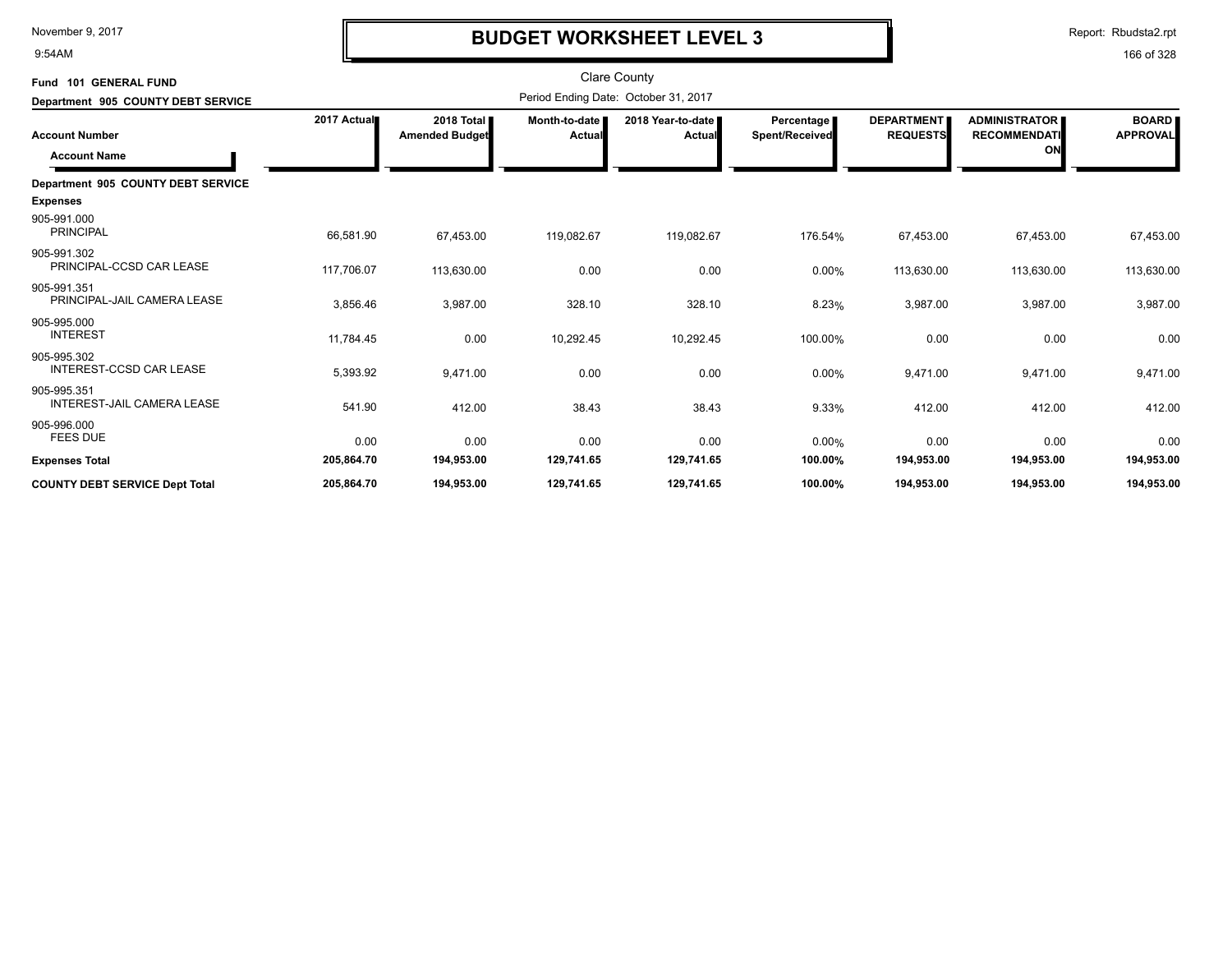9:54AM

# **BUDGET WORKSHEET LEVEL 3**

Report: Rbudsta2.rpt

| Fund 101 GENERAL FUND                         |             |                                     |                           | Clare County                         |                              |                                      |                                                   |                                 |
|-----------------------------------------------|-------------|-------------------------------------|---------------------------|--------------------------------------|------------------------------|--------------------------------------|---------------------------------------------------|---------------------------------|
| Department 905 COUNTY DEBT SERVICE            |             |                                     |                           | Period Ending Date: October 31, 2017 |                              |                                      |                                                   |                                 |
| <b>Account Number</b><br><b>Account Name</b>  | 2017 Actual | 2018 Total<br><b>Amended Budget</b> | Month-to-date  <br>Actual | 2018 Year-to-date<br>Actual          | Percentage<br>Spent/Received | <b>DEPARTMENT</b><br><b>REQUESTS</b> | <b>ADMINISTRATOR</b><br><b>RECOMMENDATI</b><br>ON | <b>BOARD</b><br><b>APPROVAL</b> |
| Department 905 COUNTY DEBT SERVICE            |             |                                     |                           |                                      |                              |                                      |                                                   |                                 |
| <b>Expenses</b>                               |             |                                     |                           |                                      |                              |                                      |                                                   |                                 |
| 905-991.000<br><b>PRINCIPAL</b>               | 66,581.90   | 67,453.00                           | 119,082.67                | 119,082.67                           | 176.54%                      | 67,453.00                            | 67,453.00                                         | 67,453.00                       |
| 905-991.302<br>PRINCIPAL-CCSD CAR LEASE       | 117,706.07  | 113,630.00                          | 0.00                      | 0.00                                 | 0.00%                        | 113,630.00                           | 113,630.00                                        | 113,630.00                      |
| 905-991.351<br>PRINCIPAL-JAIL CAMERA LEASE    | 3,856.46    | 3,987.00                            | 328.10                    | 328.10                               | 8.23%                        | 3,987.00                             | 3,987.00                                          | 3,987.00                        |
| 905-995.000<br><b>INTEREST</b>                | 11,784.45   | 0.00                                | 10,292.45                 | 10,292.45                            | 100.00%                      | 0.00                                 | 0.00                                              | 0.00                            |
| 905-995.302<br><b>INTEREST-CCSD CAR LEASE</b> | 5,393.92    | 9,471.00                            | 0.00                      | 0.00                                 | 0.00%                        | 9,471.00                             | 9,471.00                                          | 9,471.00                        |
| 905-995.351<br>INTEREST-JAIL CAMERA LEASE     | 541.90      | 412.00                              | 38.43                     | 38.43                                | 9.33%                        | 412.00                               | 412.00                                            | 412.00                          |
| 905-996.000<br><b>FEES DUE</b>                | 0.00        | 0.00                                | 0.00                      | 0.00                                 | 0.00%                        | 0.00                                 | 0.00                                              | 0.00                            |
| <b>Expenses Total</b>                         | 205,864.70  | 194,953.00                          | 129,741.65                | 129,741.65                           | 100.00%                      | 194,953.00                           | 194,953.00                                        | 194,953.00                      |
| <b>COUNTY DEBT SERVICE Dept Total</b>         | 205,864.70  | 194,953.00                          | 129,741.65                | 129,741.65                           | 100.00%                      | 194,953.00                           | 194,953.00                                        | 194,953.00                      |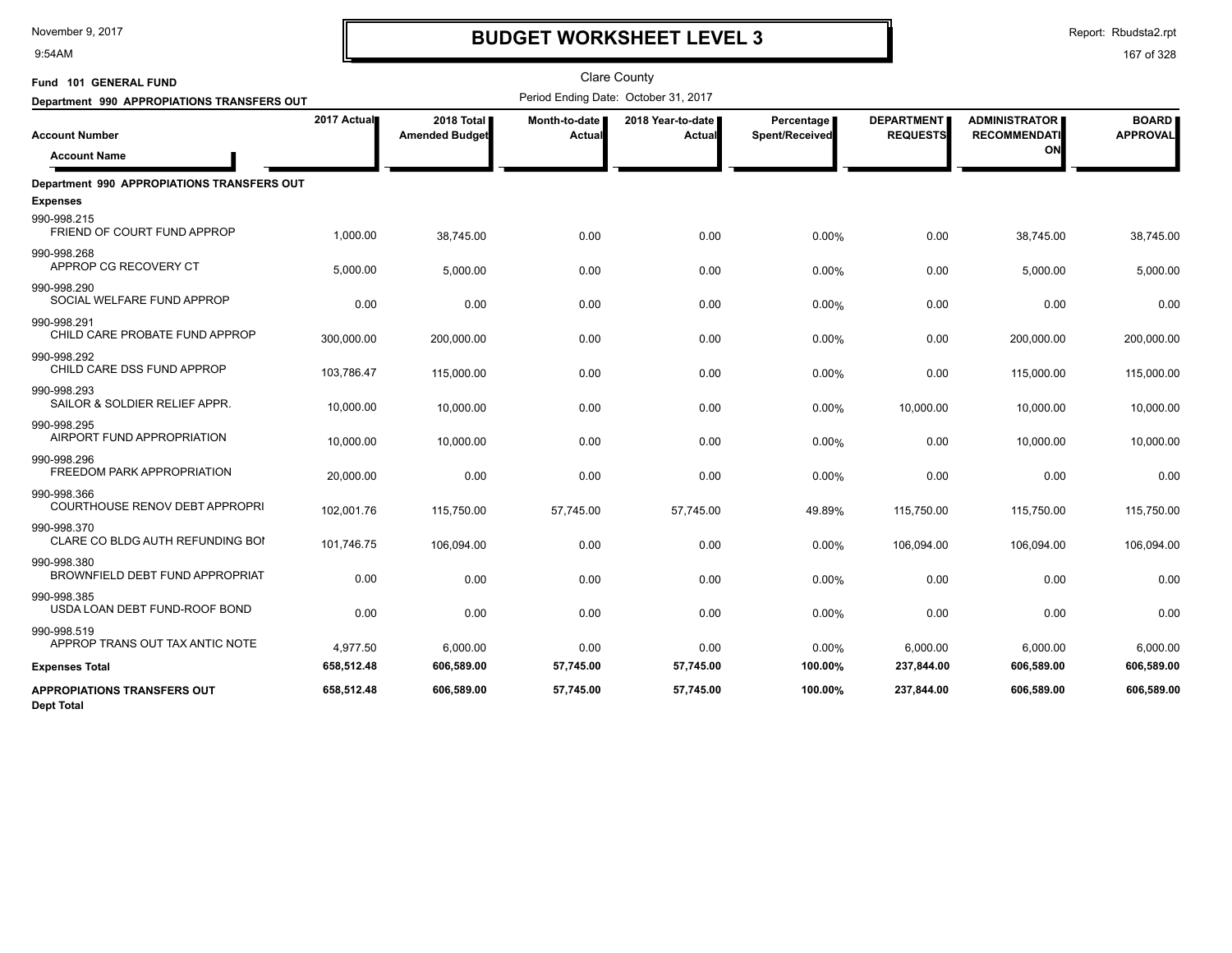9:54AM

# **BUDGET WORKSHEET LEVEL 3**

Report: Rbudsta2.rpt

| Fund 101 GENERAL FUND                                                               |                         |                                     |                         | <b>Clare County</b>                  |                              |                                      |                                                   |                                 |
|-------------------------------------------------------------------------------------|-------------------------|-------------------------------------|-------------------------|--------------------------------------|------------------------------|--------------------------------------|---------------------------------------------------|---------------------------------|
| Department 990 APPROPIATIONS TRANSFERS OUT                                          |                         |                                     |                         | Period Ending Date: October 31, 2017 |                              |                                      |                                                   |                                 |
| <b>Account Number</b><br><b>Account Name</b>                                        | 2017 Actual             | 2018 Total<br><b>Amended Budget</b> | Month-to-date<br>Actual | 2018 Year-to-date  <br>Actual        | Percentage<br>Spent/Received | <b>DEPARTMENT</b><br><b>REQUESTS</b> | <b>ADMINISTRATOR</b><br><b>RECOMMENDATI</b><br>ON | <b>BOARD</b><br><b>APPROVAL</b> |
| <b>Department 990 APPROPIATIONS TRANSFERS OUT</b><br><b>Expenses</b><br>990-998.215 |                         |                                     |                         |                                      |                              |                                      |                                                   |                                 |
| FRIEND OF COURT FUND APPROP<br>990-998.268<br>APPROP CG RECOVERY CT                 | 1,000.00<br>5,000.00    | 38,745.00<br>5,000.00               | 0.00<br>0.00            | 0.00<br>0.00                         | 0.00%<br>0.00%               | 0.00<br>0.00                         | 38,745.00<br>5,000.00                             | 38,745.00<br>5,000.00           |
| 990-998.290<br>SOCIAL WELFARE FUND APPROP                                           | 0.00                    | 0.00                                | 0.00                    | 0.00                                 | 0.00%                        | 0.00                                 | 0.00                                              | 0.00                            |
| 990-998.291<br>CHILD CARE PROBATE FUND APPROP<br>990-998.292                        | 300,000.00              | 200,000.00                          | 0.00                    | 0.00                                 | 0.00%                        | 0.00                                 | 200,000.00                                        | 200,000.00                      |
| CHILD CARE DSS FUND APPROP<br>990-998.293                                           | 103,786.47              | 115,000.00                          | 0.00                    | 0.00                                 | 0.00%                        | 0.00                                 | 115,000.00                                        | 115,000.00                      |
| SAILOR & SOLDIER RELIEF APPR.<br>990-998.295                                        | 10,000.00               | 10,000.00                           | 0.00                    | 0.00                                 | 0.00%                        | 10,000.00                            | 10,000.00                                         | 10,000.00                       |
| AIRPORT FUND APPROPRIATION<br>990-998.296<br>FREEDOM PARK APPROPRIATION             | 10,000.00               | 10.000.00                           | 0.00                    | 0.00                                 | 0.00%                        | 0.00                                 | 10,000.00                                         | 10,000.00                       |
| 990-998.366<br>COURTHOUSE RENOV DEBT APPROPRI                                       | 20,000.00<br>102,001.76 | 0.00<br>115,750.00                  | 0.00<br>57,745.00       | 0.00<br>57,745.00                    | 0.00%<br>49.89%              | 0.00<br>115,750.00                   | 0.00<br>115,750.00                                | 0.00<br>115,750.00              |
| 990-998.370<br>CLARE CO BLDG AUTH REFUNDING BOI                                     | 101,746.75              | 106,094.00                          | 0.00                    | 0.00                                 | 0.00%                        | 106,094.00                           | 106,094.00                                        | 106,094.00                      |
| 990-998.380<br>BROWNFIELD DEBT FUND APPROPRIAT<br>990-998.385                       | 0.00                    | 0.00                                | 0.00                    | 0.00                                 | 0.00%                        | 0.00                                 | 0.00                                              | 0.00                            |
| USDA LOAN DEBT FUND-ROOF BOND<br>990-998.519                                        | 0.00                    | 0.00                                | 0.00                    | 0.00                                 | 0.00%                        | 0.00                                 | 0.00                                              | 0.00                            |
| APPROP TRANS OUT TAX ANTIC NOTE<br><b>Expenses Total</b>                            | 4,977.50<br>658,512.48  | 6,000.00<br>606,589.00              | 0.00<br>57,745.00       | 0.00<br>57,745.00                    | 0.00%<br>100.00%             | 6,000.00<br>237,844.00               | 6,000.00<br>606,589.00                            | 6,000.00<br>606,589.00          |
| <b>APPROPIATIONS TRANSFERS OUT</b><br><b>Dept Total</b>                             | 658,512.48              | 606,589.00                          | 57,745.00               | 57,745.00                            | 100.00%                      | 237,844.00                           | 606,589.00                                        | 606,589.00                      |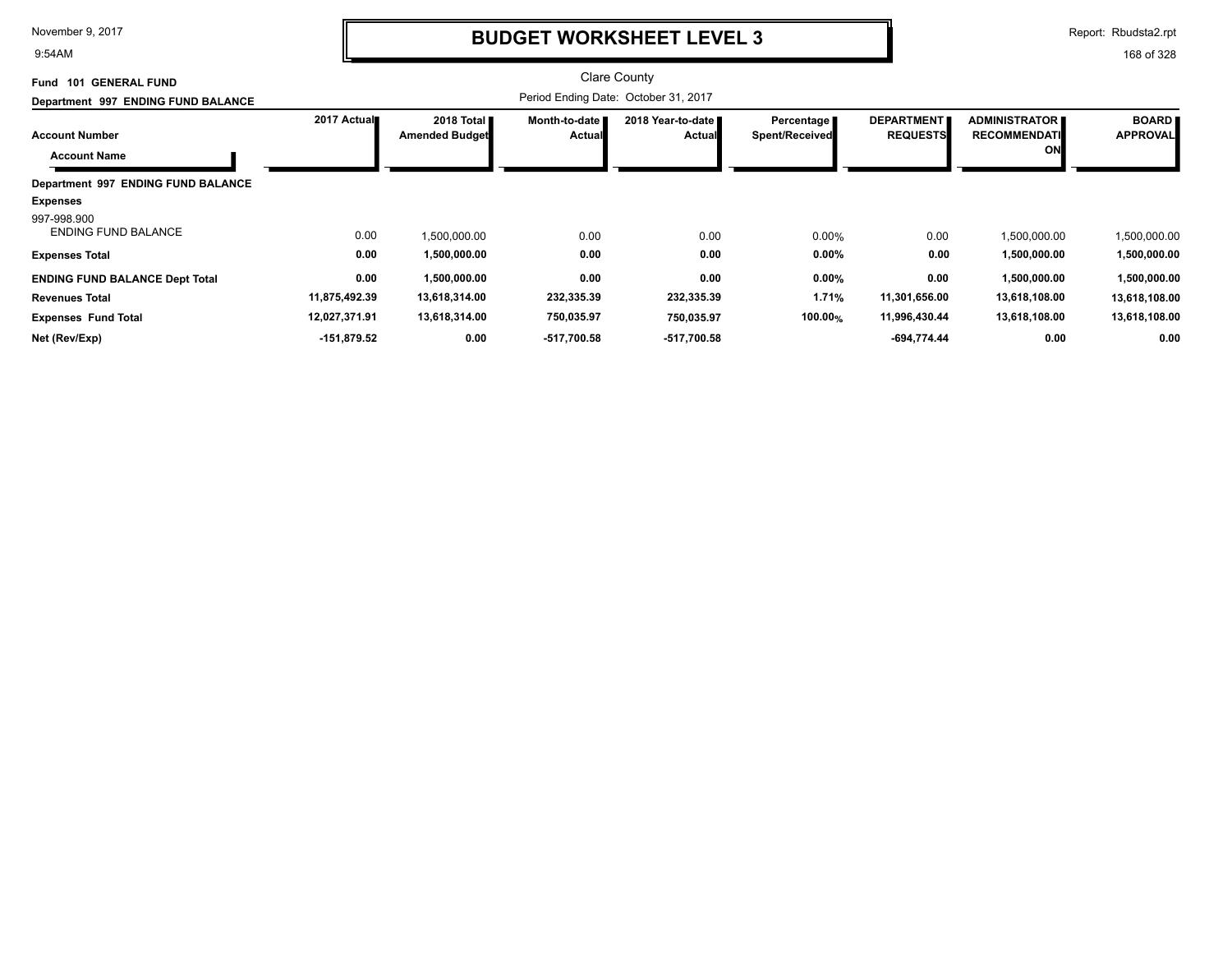9:54AM

## **BUDGET WORKSHEET LEVEL 3**

Report: Rbudsta2.rpt

| <b>GENERAL FUND</b><br>101<br>Fund           |               |                                               |                                  | <b>Clare County</b>                  |                                     |                                      |                                                   |                                 |
|----------------------------------------------|---------------|-----------------------------------------------|----------------------------------|--------------------------------------|-------------------------------------|--------------------------------------|---------------------------------------------------|---------------------------------|
| Department 997 ENDING FUND BALANCE           |               |                                               |                                  |                                      |                                     |                                      |                                                   |                                 |
| <b>Account Number</b><br><b>Account Name</b> | 2017 Actual   | 2018 Total <b>II</b><br><b>Amended Budget</b> | Month-to-date I<br><b>Actual</b> | 2018 Year-to-date I<br><b>Actual</b> | Percentage<br><b>Spent/Received</b> | <b>DEPARTMENT</b><br><b>REQUESTS</b> | <b>ADMINISTRATOR</b><br><b>RECOMMENDATI</b><br>ON | <b>BOARD</b><br><b>APPROVAL</b> |
| Department 997 ENDING FUND BALANCE           |               |                                               |                                  |                                      |                                     |                                      |                                                   |                                 |
| <b>Expenses</b>                              |               |                                               |                                  |                                      |                                     |                                      |                                                   |                                 |
| 997-998.900<br><b>ENDING FUND BALANCE</b>    | 0.00          | 1,500,000.00                                  | 0.00                             | 0.00                                 | 0.00%                               | 0.00                                 | 1,500,000.00                                      | 1,500,000.00                    |
| <b>Expenses Total</b>                        | 0.00          | 1,500,000.00                                  | 0.00                             | 0.00                                 | 0.00%                               | 0.00                                 | 1,500,000.00                                      | 1,500,000.00                    |
| <b>ENDING FUND BALANCE Dept Total</b>        | 0.00          | 1,500,000.00                                  | 0.00                             | 0.00                                 | 0.00%                               | 0.00                                 | 1,500,000.00                                      | 1,500,000.00                    |
| <b>Revenues Total</b>                        | 11,875,492.39 | 13,618,314.00                                 | 232,335.39                       | 232,335.39                           | 1.71%                               | 11,301,656.00                        | 13,618,108.00                                     | 13,618,108.00                   |
| <b>Expenses Fund Total</b>                   | 12,027,371.91 | 13,618,314.00                                 | 750,035.97                       | 750,035.97                           | 100.00%                             | 11,996,430.44                        | 13,618,108.00                                     | 13,618,108.00                   |
| Net (Rev/Exp)                                | -151,879.52   | 0.00                                          | -517,700.58                      | -517,700.58                          |                                     | -694,774.44                          | 0.00                                              | 0.00                            |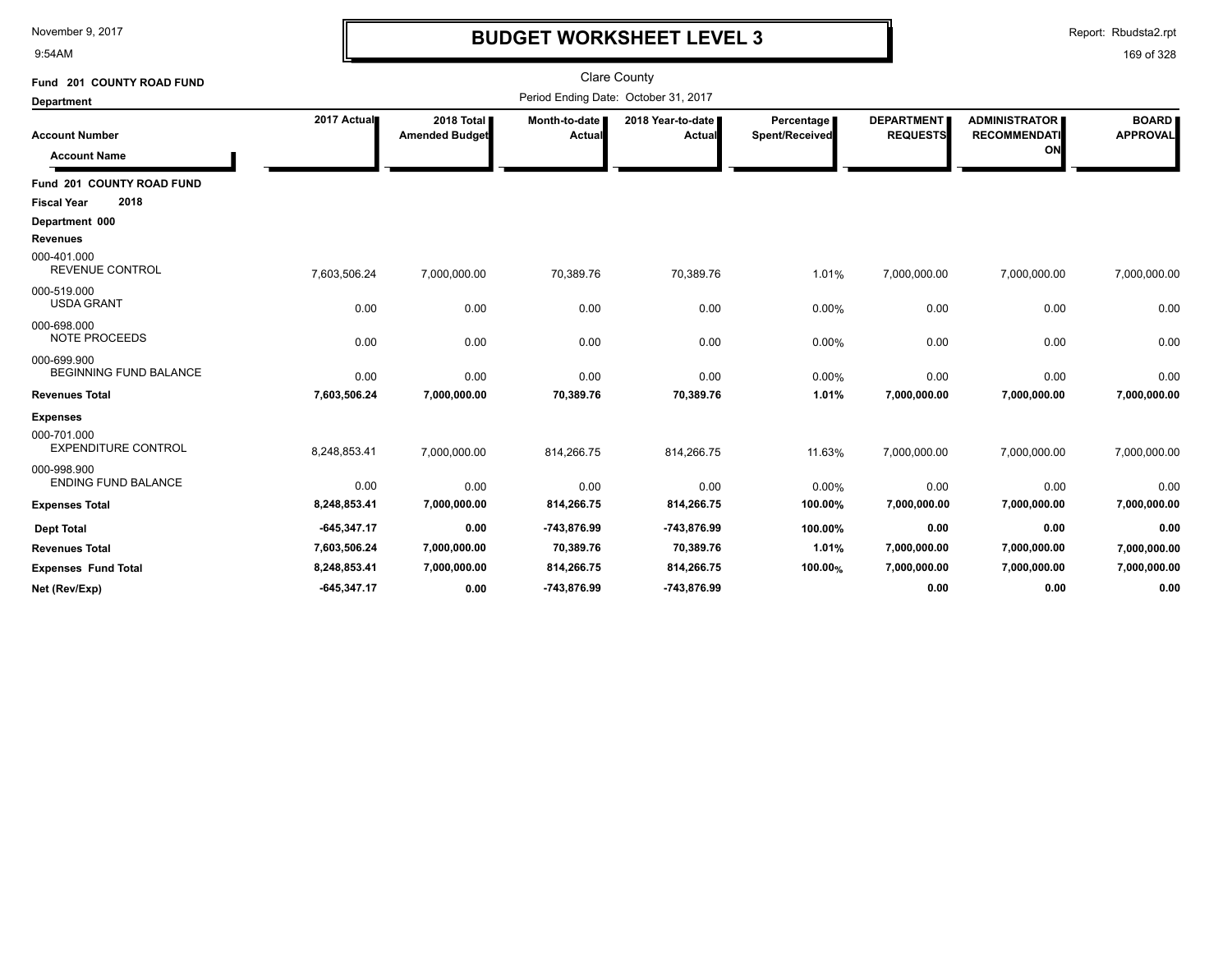9:54AM

# **BUDGET WORKSHEET LEVEL 3**

Report: Rbudsta2.rpt

| Fund 201 COUNTY ROAD FUND                                                  |               |                                     |                         | <b>Clare County</b>                  |                                     |                                      |                                                   |                                 |
|----------------------------------------------------------------------------|---------------|-------------------------------------|-------------------------|--------------------------------------|-------------------------------------|--------------------------------------|---------------------------------------------------|---------------------------------|
| <b>Department</b>                                                          |               |                                     |                         | Period Ending Date: October 31, 2017 |                                     |                                      |                                                   |                                 |
| <b>Account Number</b><br><b>Account Name</b>                               | 2017 Actual   | 2018 Total<br><b>Amended Budget</b> | Month-to-date<br>Actual | 2018 Year-to-date  <br>Actual        | <b>Percentage</b><br>Spent/Received | <b>DEPARTMENT</b><br><b>REQUESTS</b> | <b>ADMINISTRATOR</b><br><b>RECOMMENDATI</b><br>ON | <b>BOARD</b><br><b>APPROVAL</b> |
| Fund 201 COUNTY ROAD FUND                                                  |               |                                     |                         |                                      |                                     |                                      |                                                   |                                 |
| 2018<br><b>Fiscal Year</b>                                                 |               |                                     |                         |                                      |                                     |                                      |                                                   |                                 |
| Department 000<br><b>Revenues</b><br>000-401.000<br><b>REVENUE CONTROL</b> |               |                                     |                         |                                      |                                     |                                      |                                                   |                                 |
|                                                                            | 7,603,506.24  | 7,000,000.00                        | 70,389.76               | 70,389.76                            | 1.01%                               | 7,000,000.00                         | 7,000,000.00                                      | 7,000,000.00                    |
| 000-519.000<br><b>USDA GRANT</b>                                           | 0.00          | 0.00                                | 0.00                    | 0.00                                 | 0.00%                               | 0.00                                 | 0.00                                              | 0.00                            |
| 000-698.000<br><b>NOTE PROCEEDS</b>                                        | 0.00          | 0.00                                | 0.00                    | 0.00                                 | 0.00%                               | 0.00                                 | 0.00                                              | 0.00                            |
| 000-699.900<br><b>BEGINNING FUND BALANCE</b>                               | 0.00          | 0.00                                | 0.00                    | 0.00                                 | 0.00%                               | 0.00                                 | 0.00                                              | 0.00                            |
| <b>Revenues Total</b>                                                      | 7,603,506.24  | 7,000,000.00                        | 70,389.76               | 70,389.76                            | 1.01%                               | 7,000,000.00                         | 7,000,000.00                                      | 7,000,000.00                    |
| <b>Expenses</b><br>000-701.000<br><b>EXPENDITURE CONTROL</b>               | 8,248,853.41  | 7,000,000.00                        | 814,266.75              | 814,266.75                           | 11.63%                              | 7,000,000.00                         | 7,000,000.00                                      | 7,000,000.00                    |
| 000-998.900<br><b>ENDING FUND BALANCE</b>                                  | 0.00          | 0.00                                | 0.00                    | 0.00                                 | 0.00%                               | 0.00                                 | 0.00                                              | 0.00                            |
| <b>Expenses Total</b>                                                      | 8,248,853.41  | 7,000,000.00                        | 814,266.75              | 814,266.75                           | 100.00%                             | 7,000,000.00                         | 7,000,000.00                                      | 7,000,000.00                    |
| <b>Dept Total</b>                                                          | $-645,347.17$ | 0.00                                | -743,876.99             | -743,876.99                          | 100.00%                             | 0.00                                 | 0.00                                              | 0.00                            |
| <b>Revenues Total</b>                                                      | 7,603,506.24  | 7,000,000.00                        | 70,389.76               | 70,389.76                            | 1.01%                               | 7,000,000.00                         | 7,000,000.00                                      | 7,000,000.00                    |
| <b>Expenses Fund Total</b>                                                 | 8,248,853.41  | 7,000,000.00                        | 814,266.75              | 814,266.75                           | 100.00%                             | 7,000,000.00                         | 7,000,000.00                                      | 7,000,000.00                    |
| Net (Rev/Exp)                                                              | $-645.347.17$ | 0.00                                | -743,876.99             | -743,876.99                          |                                     | 0.00                                 | 0.00                                              | 0.00                            |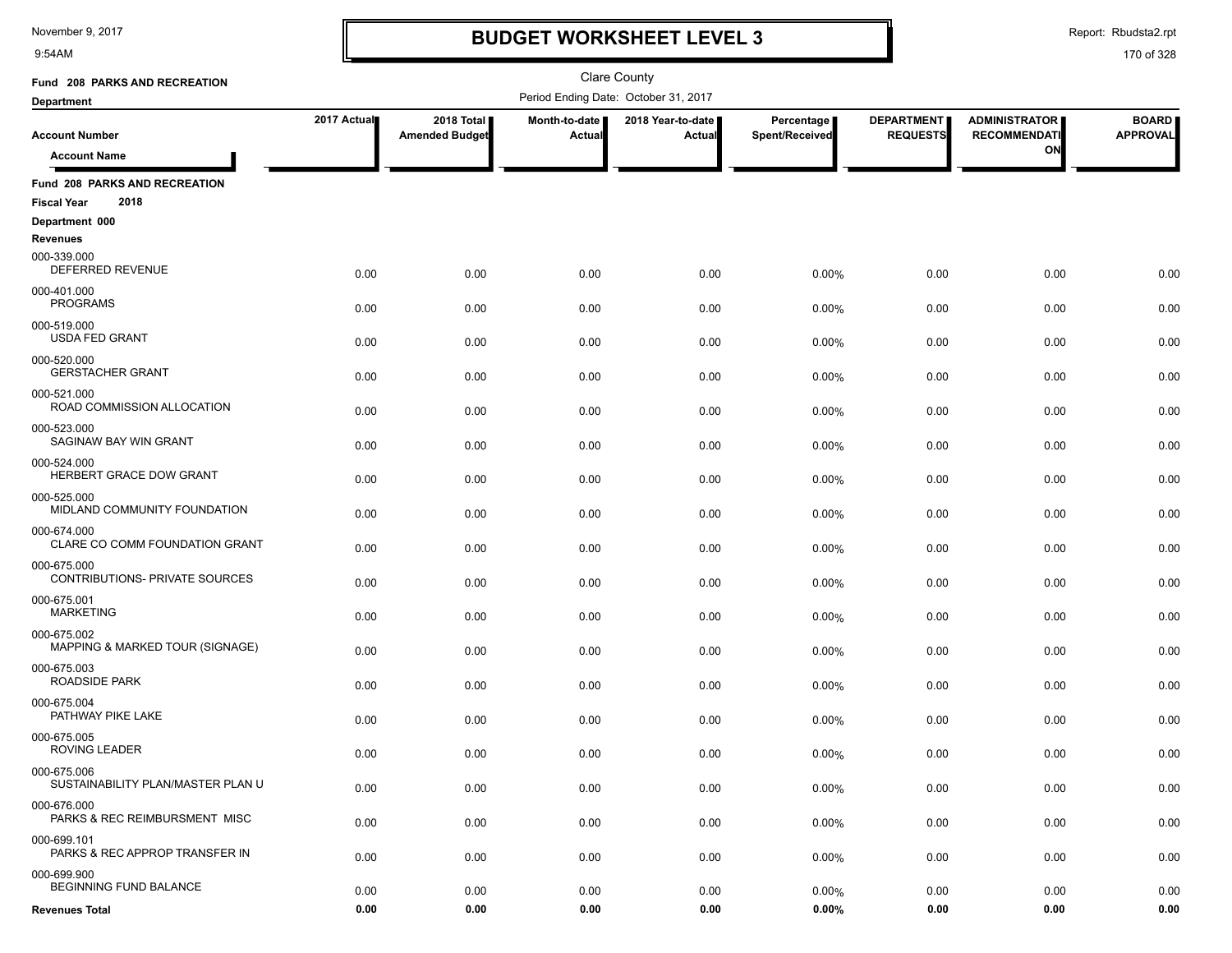9:54AM

# **BUDGET WORKSHEET LEVEL 3**

Report: Rbudsta2.rpt

| Fund 208 PARKS AND RECREATION                                                     |              |                                     |                         | Clare County                         |                              |                                      |                                             |                                 |
|-----------------------------------------------------------------------------------|--------------|-------------------------------------|-------------------------|--------------------------------------|------------------------------|--------------------------------------|---------------------------------------------|---------------------------------|
| <b>Department</b>                                                                 |              |                                     |                         | Period Ending Date: October 31, 2017 |                              |                                      |                                             |                                 |
| <b>Account Number</b>                                                             | 2017 Actual  | 2018 Total<br><b>Amended Budget</b> | Month-to-date<br>Actual | 2018 Year-to-date<br>Actual          | Percentage<br>Spent/Received | <b>DEPARTMENT</b><br><b>REQUESTS</b> | <b>ADMINISTRATOR</b><br><b>RECOMMENDATI</b> | <b>BOARD</b><br><b>APPROVAL</b> |
| <b>Account Name</b>                                                               |              |                                     |                         |                                      |                              |                                      | ON                                          |                                 |
| Fund 208 PARKS AND RECREATION<br>2018<br><b>Fiscal Year</b>                       |              |                                     |                         |                                      |                              |                                      |                                             |                                 |
| Department 000                                                                    |              |                                     |                         |                                      |                              |                                      |                                             |                                 |
| Revenues<br>000-339.000<br>DEFERRED REVENUE                                       | 0.00         | 0.00                                | 0.00                    | 0.00                                 | 0.00%                        | 0.00                                 | 0.00                                        | 0.00                            |
| 000-401.000<br><b>PROGRAMS</b>                                                    | 0.00         | 0.00                                | 0.00                    | 0.00                                 | 0.00%                        | 0.00                                 | 0.00                                        | 0.00                            |
| 000-519.000<br><b>USDA FED GRANT</b>                                              | 0.00         | 0.00                                | 0.00                    | 0.00                                 | 0.00%                        | 0.00                                 | 0.00                                        | 0.00                            |
| 000-520.000<br><b>GERSTACHER GRANT</b>                                            | 0.00         | 0.00                                | 0.00                    | 0.00                                 | 0.00%                        | 0.00                                 | 0.00                                        | 0.00                            |
| 000-521.000<br>ROAD COMMISSION ALLOCATION                                         | 0.00         | 0.00                                | 0.00                    | 0.00                                 | 0.00%                        | 0.00                                 | 0.00                                        | 0.00                            |
| 000-523.000<br>SAGINAW BAY WIN GRANT                                              | 0.00         | 0.00                                | 0.00                    | 0.00                                 | 0.00%                        | 0.00                                 | 0.00                                        | 0.00                            |
| 000-524.000<br>HERBERT GRACE DOW GRANT                                            | 0.00         | 0.00                                | 0.00                    | 0.00                                 | 0.00%                        | 0.00                                 | 0.00                                        | 0.00                            |
| 000-525.000<br>MIDLAND COMMUNITY FOUNDATION                                       | 0.00         | 0.00                                | 0.00                    | 0.00                                 | 0.00%                        | 0.00                                 | 0.00                                        | 0.00                            |
| 000-674.000<br>CLARE CO COMM FOUNDATION GRANT<br>000-675.000                      | 0.00         | 0.00                                | 0.00                    | 0.00                                 | 0.00%                        | 0.00                                 | 0.00                                        | 0.00                            |
| CONTRIBUTIONS- PRIVATE SOURCES<br>000-675.001                                     | 0.00         | 0.00                                | 0.00                    | 0.00                                 | 0.00%                        | 0.00                                 | 0.00                                        | 0.00                            |
| <b>MARKETING</b><br>000-675.002                                                   | 0.00         | 0.00                                | 0.00                    | 0.00                                 | 0.00%                        | 0.00                                 | 0.00                                        | 0.00                            |
| MAPPING & MARKED TOUR (SIGNAGE)<br>000-675.003                                    | 0.00         | 0.00                                | 0.00                    | 0.00                                 | 0.00%                        | 0.00                                 | 0.00                                        | 0.00                            |
| <b>ROADSIDE PARK</b><br>000-675.004                                               | 0.00         | 0.00                                | 0.00                    | 0.00                                 | 0.00%                        | 0.00                                 | 0.00                                        | 0.00                            |
| PATHWAY PIKE LAKE<br>000-675.005                                                  | 0.00         | 0.00                                | 0.00                    | 0.00                                 | 0.00%                        | 0.00                                 | 0.00                                        | 0.00                            |
| <b>ROVING LEADER</b><br>000-675.006                                               | 0.00         | 0.00                                | 0.00                    | 0.00                                 | 0.00%                        | 0.00                                 | 0.00                                        | 0.00                            |
| SUSTAINABILITY PLAN/MASTER PLAN U<br>000-676.000<br>PARKS & REC REIMBURSMENT MISC | 0.00         | 0.00                                | 0.00                    | 0.00                                 | 0.00%                        | 0.00                                 | 0.00                                        | 0.00                            |
| 000-699.101<br>PARKS & REC APPROP TRANSFER IN                                     | 0.00         | 0.00                                | 0.00                    | 0.00                                 | 0.00%                        | 0.00                                 | 0.00                                        | 0.00                            |
| 000-699.900<br><b>BEGINNING FUND BALANCE</b>                                      | 0.00<br>0.00 | 0.00<br>0.00                        | 0.00<br>0.00            | 0.00<br>0.00                         | 0.00%<br>0.00%               | 0.00<br>0.00                         | 0.00<br>0.00                                | 0.00<br>0.00                    |
| <b>Revenues Total</b>                                                             | 0.00         | 0.00                                | 0.00                    | 0.00                                 | $0.00\%$                     | 0.00                                 | 0.00                                        | 0.00                            |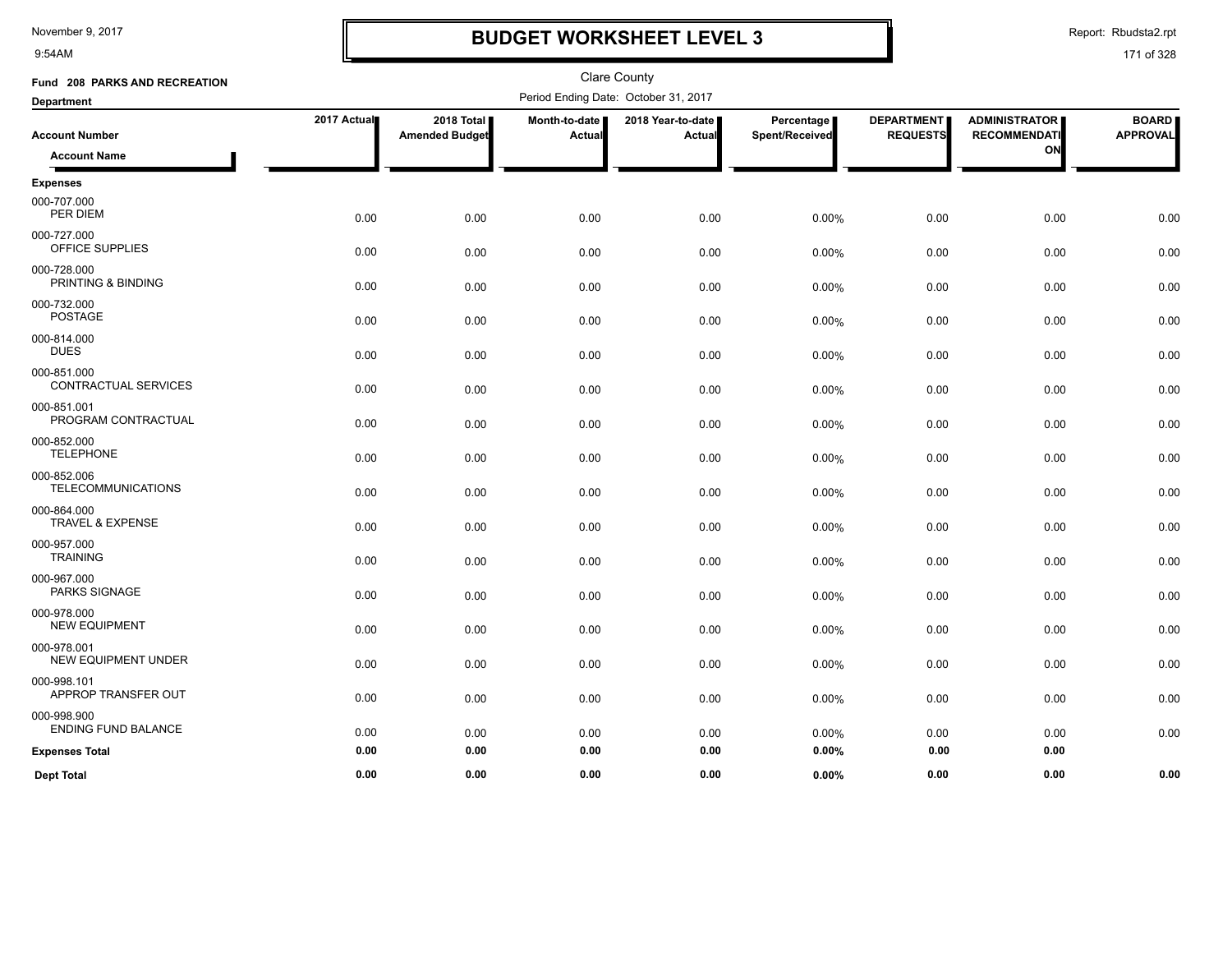9:54AM

# **BUDGET WORKSHEET LEVEL 3**

Report: Rbudsta2.rpt

| Fund 208 PARKS AND RECREATION                |             |                                     |                         | <b>Clare County</b>                  |                              |                                      |                                                   |                                 |
|----------------------------------------------|-------------|-------------------------------------|-------------------------|--------------------------------------|------------------------------|--------------------------------------|---------------------------------------------------|---------------------------------|
| <b>Department</b>                            |             |                                     |                         | Period Ending Date: October 31, 2017 |                              |                                      |                                                   |                                 |
| <b>Account Number</b><br><b>Account Name</b> | 2017 Actual | 2018 Total<br><b>Amended Budget</b> | Month-to-date<br>Actual | 2018 Year-to-date<br>Actual          | Percentage<br>Spent/Received | <b>DEPARTMENT</b><br><b>REQUESTS</b> | <b>ADMINISTRATOR</b><br><b>RECOMMENDATI</b><br>ON | <b>BOARD</b><br><b>APPROVAL</b> |
|                                              |             |                                     |                         |                                      |                              |                                      |                                                   |                                 |
| <b>Expenses</b><br>000-707.000<br>PER DIEM   | 0.00        | 0.00                                | 0.00                    | 0.00                                 | 0.00%                        | 0.00                                 | 0.00                                              | 0.00                            |
| 000-727.000<br>OFFICE SUPPLIES               | 0.00        | 0.00                                | 0.00                    | 0.00                                 | 0.00%                        | 0.00                                 | 0.00                                              | 0.00                            |
| 000-728.000<br>PRINTING & BINDING            | 0.00        | 0.00                                | 0.00                    | 0.00                                 | 0.00%                        | 0.00                                 | 0.00                                              | 0.00                            |
| 000-732.000<br><b>POSTAGE</b>                | 0.00        | 0.00                                | 0.00                    | 0.00                                 | 0.00%                        | 0.00                                 | 0.00                                              | 0.00                            |
| 000-814.000<br><b>DUES</b>                   | 0.00        | 0.00                                | 0.00                    | 0.00                                 | 0.00%                        | 0.00                                 | 0.00                                              | 0.00                            |
| 000-851.000<br>CONTRACTUAL SERVICES          | 0.00        | 0.00                                | 0.00                    | 0.00                                 | 0.00%                        | 0.00                                 | 0.00                                              | 0.00                            |
| 000-851.001<br>PROGRAM CONTRACTUAL           | 0.00        | 0.00                                | 0.00                    | 0.00                                 | 0.00%                        | 0.00                                 | 0.00                                              | 0.00                            |
| 000-852.000<br><b>TELEPHONE</b>              | 0.00        | 0.00                                | 0.00                    | 0.00                                 | 0.00%                        | 0.00                                 | 0.00                                              | 0.00                            |
| 000-852.006<br><b>TELECOMMUNICATIONS</b>     | 0.00        | 0.00                                | 0.00                    | 0.00                                 | 0.00%                        | 0.00                                 | 0.00                                              | 0.00                            |
| 000-864.000<br><b>TRAVEL &amp; EXPENSE</b>   | 0.00        | 0.00                                | 0.00                    | 0.00                                 | 0.00%                        | 0.00                                 | 0.00                                              | 0.00                            |
| 000-957.000<br><b>TRAINING</b>               | 0.00        | 0.00                                | 0.00                    | 0.00                                 | 0.00%                        | 0.00                                 | 0.00                                              | 0.00                            |
| 000-967.000<br>PARKS SIGNAGE                 | 0.00        | 0.00                                | 0.00                    | 0.00                                 | 0.00%                        | 0.00                                 | 0.00                                              | 0.00                            |
| 000-978.000<br><b>NEW EQUIPMENT</b>          | 0.00        | 0.00                                | 0.00                    | 0.00                                 | 0.00%                        | 0.00                                 | 0.00                                              | 0.00                            |
| 000-978.001<br><b>NEW EQUIPMENT UNDER</b>    | 0.00        | 0.00                                | 0.00                    | 0.00                                 | 0.00%                        | 0.00                                 | 0.00                                              | 0.00                            |
| 000-998.101<br>APPROP TRANSFER OUT           | 0.00        | 0.00                                | 0.00                    | 0.00                                 | 0.00%                        | 0.00                                 | 0.00                                              | 0.00                            |
| 000-998.900<br><b>ENDING FUND BALANCE</b>    | 0.00        | 0.00                                | 0.00                    | 0.00                                 | 0.00%                        | 0.00                                 | 0.00                                              | 0.00                            |
| <b>Expenses Total</b>                        | 0.00        | 0.00                                | 0.00                    | 0.00                                 | 0.00%                        | 0.00                                 | 0.00                                              |                                 |
| <b>Dept Total</b>                            | 0.00        | 0.00                                | 0.00                    | 0.00                                 | 0.00%                        | 0.00                                 | 0.00                                              | 0.00                            |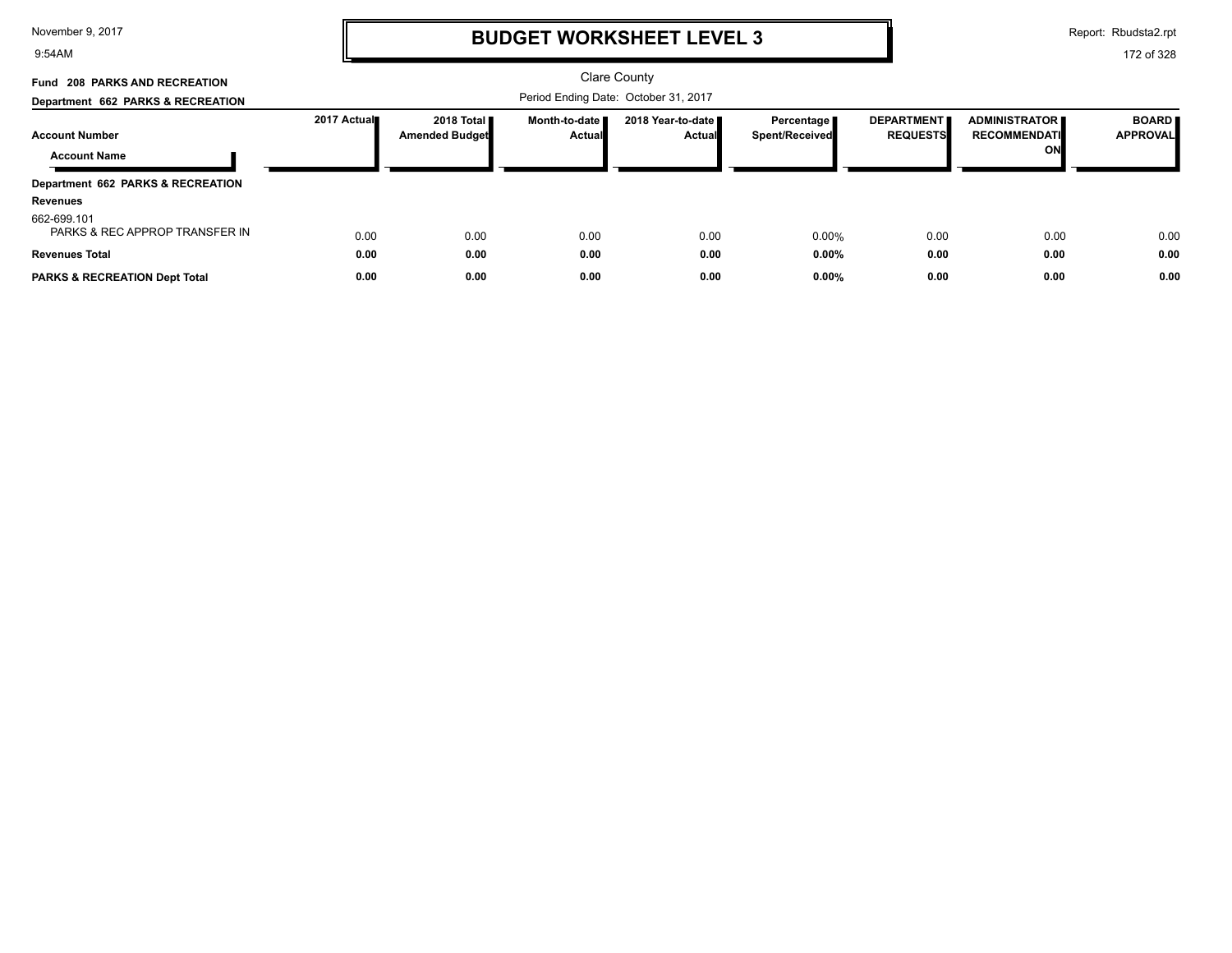9:54AM

# **BUDGET WORKSHEET LEVEL 3**

Report: Rbudsta2.rpt

| Fund 208 PARKS AND RECREATION                 |             |                       |                 | Clare County                         |                       |                   |                      |                 |
|-----------------------------------------------|-------------|-----------------------|-----------------|--------------------------------------|-----------------------|-------------------|----------------------|-----------------|
| Department 662 PARKS & RECREATION             |             |                       |                 | Period Ending Date: October 31, 2017 |                       |                   |                      |                 |
|                                               | 2017 Actual | 2018 Total            | Month-to-date I | 2018 Year-to-date ■                  | Percentage            | <b>DEPARTMENT</b> | <b>ADMINISTRATOR</b> | <b>BOARD</b>    |
| <b>Account Number</b>                         |             | <b>Amended Budget</b> | Actual          | <b>Actual</b>                        | <b>Spent/Received</b> | <b>REQUESTS</b>   | <b>RECOMMENDATI</b>  | <b>APPROVAL</b> |
| <b>Account Name</b>                           |             |                       |                 |                                      |                       |                   | ON                   |                 |
| Department 662 PARKS & RECREATION             |             |                       |                 |                                      |                       |                   |                      |                 |
| <b>Revenues</b>                               |             |                       |                 |                                      |                       |                   |                      |                 |
| 662-699.101<br>PARKS & REC APPROP TRANSFER IN | 0.00        | 0.00                  | 0.00            | 0.00                                 | 0.00%                 | 0.00              | 0.00                 | 0.00            |
| <b>Revenues Total</b>                         | 0.00        | 0.00                  | 0.00            | 0.00                                 | 0.00%                 | 0.00              | 0.00                 | 0.00            |
| <b>PARKS &amp; RECREATION Dept Total</b>      | 0.00        | 0.00                  | 0.00            | 0.00                                 | 0.00%                 | 0.00              | 0.00                 | 0.00            |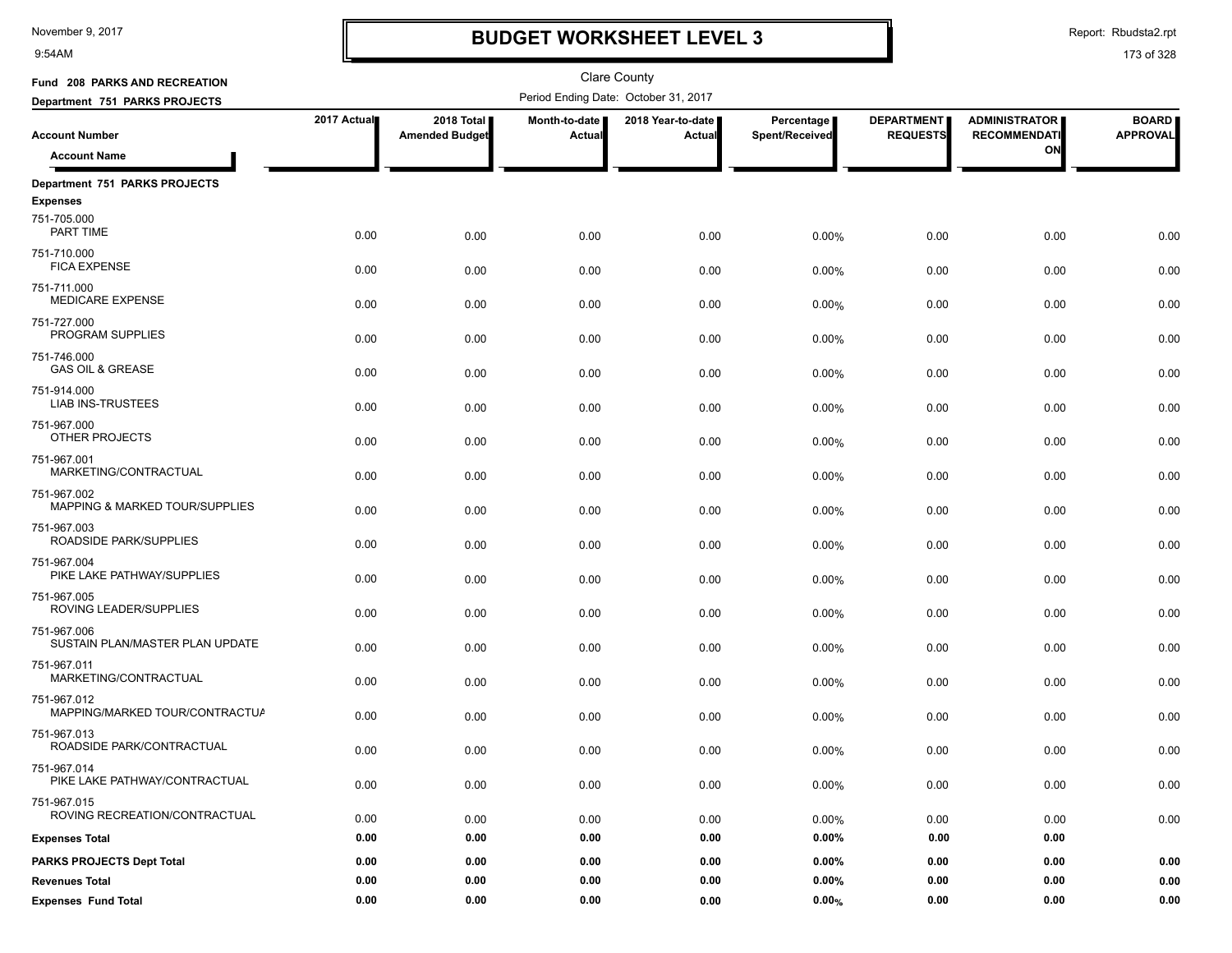9:54AM

# **BUDGET WORKSHEET LEVEL 3**

Report: Rbudsta2.rpt

| Fund 208 PARKS AND RECREATION                    |             |                                     |                                | <b>Clare County</b>                  |                              |                                      |                                             |                                 |
|--------------------------------------------------|-------------|-------------------------------------|--------------------------------|--------------------------------------|------------------------------|--------------------------------------|---------------------------------------------|---------------------------------|
| Department 751 PARKS PROJECTS                    |             |                                     |                                | Period Ending Date: October 31, 2017 |                              |                                      |                                             |                                 |
| <b>Account Number</b>                            | 2017 Actual | 2018 Total<br><b>Amended Budget</b> | Month-to-date<br><b>Actual</b> | 2018 Year-to-date<br>Actual          | Percentage<br>Spent/Received | <b>DEPARTMENT</b><br><b>REQUESTS</b> | <b>ADMINISTRATOR</b><br><b>RECOMMENDATI</b> | <b>BOARD</b><br><b>APPROVAL</b> |
| <b>Account Name</b>                              |             |                                     |                                |                                      |                              |                                      | ON                                          |                                 |
| Department 751 PARKS PROJECTS<br><b>Expenses</b> |             |                                     |                                |                                      |                              |                                      |                                             |                                 |
| 751-705.000<br>PART TIME                         | 0.00        | 0.00                                | 0.00                           | 0.00                                 | 0.00%                        | 0.00                                 | 0.00                                        | 0.00                            |
| 751-710.000<br><b>FICA EXPENSE</b>               | 0.00        | 0.00                                | 0.00                           | 0.00                                 | 0.00%                        | 0.00                                 | 0.00                                        | 0.00                            |
| 751-711.000<br><b>MEDICARE EXPENSE</b>           | 0.00        | 0.00                                | 0.00                           | 0.00                                 | $0.00\%$                     | 0.00                                 | 0.00                                        | 0.00                            |
| 751-727.000<br>PROGRAM SUPPLIES                  | 0.00        | 0.00                                | 0.00                           | 0.00                                 | 0.00%                        | 0.00                                 | 0.00                                        | 0.00                            |
| 751-746.000<br><b>GAS OIL &amp; GREASE</b>       | 0.00        | 0.00                                | 0.00                           | 0.00                                 | 0.00%                        | 0.00                                 | 0.00                                        | 0.00                            |
| 751-914.000<br><b>LIAB INS-TRUSTEES</b>          | 0.00        | 0.00                                | 0.00                           | 0.00                                 | 0.00%                        | 0.00                                 | 0.00                                        | 0.00                            |
| 751-967.000<br>OTHER PROJECTS                    | 0.00        | 0.00                                | 0.00                           | 0.00                                 | 0.00%                        | 0.00                                 | 0.00                                        | 0.00                            |
| 751-967.001<br>MARKETING/CONTRACTUAL             | 0.00        | 0.00                                | 0.00                           | 0.00                                 | 0.00%                        | 0.00                                 | 0.00                                        | 0.00                            |
| 751-967.002<br>MAPPING & MARKED TOUR/SUPPLIES    | 0.00        | 0.00                                | 0.00                           | 0.00                                 | $0.00\%$                     | 0.00                                 | 0.00                                        | 0.00                            |
| 751-967.003<br>ROADSIDE PARK/SUPPLIES            | 0.00        | 0.00                                | 0.00                           | 0.00                                 | 0.00%                        | 0.00                                 | 0.00                                        | 0.00                            |
| 751-967.004<br>PIKE LAKE PATHWAY/SUPPLIES        | 0.00        | 0.00                                | 0.00                           | 0.00                                 | 0.00%                        | 0.00                                 | 0.00                                        | 0.00                            |
| 751-967.005<br>ROVING LEADER/SUPPLIES            | 0.00        | 0.00                                | 0.00                           | 0.00                                 | 0.00%                        | 0.00                                 | 0.00                                        | 0.00                            |
| 751-967.006<br>SUSTAIN PLAN/MASTER PLAN UPDATE   | 0.00        | 0.00                                | 0.00                           | 0.00                                 | 0.00%                        | 0.00                                 | 0.00                                        | 0.00                            |
| 751-967.011<br>MARKETING/CONTRACTUAL             | 0.00        | 0.00                                | 0.00                           | 0.00                                 | 0.00%                        | 0.00                                 | 0.00                                        | 0.00                            |
| 751-967.012<br>MAPPING/MARKED TOUR/CONTRACTUA    | 0.00        | 0.00                                | 0.00                           | 0.00                                 | 0.00%                        | 0.00                                 | 0.00                                        | 0.00                            |
| 751-967.013<br>ROADSIDE PARK/CONTRACTUAL         | 0.00        | 0.00                                | 0.00                           | 0.00                                 | 0.00%                        | 0.00                                 | 0.00                                        | 0.00                            |
| 751-967.014<br>PIKE LAKE PATHWAY/CONTRACTUAL     | 0.00        | 0.00                                | 0.00                           | 0.00                                 | 0.00%                        | 0.00                                 | 0.00                                        | $0.00\,$                        |
| 751-967.015<br>ROVING RECREATION/CONTRACTUAL     | 0.00        | 0.00                                | 0.00                           | 0.00                                 | 0.00%                        | 0.00                                 | 0.00                                        | 0.00                            |
| <b>Expenses Total</b>                            | 0.00        | 0.00                                | 0.00                           | 0.00                                 | $0.00\%$                     | 0.00                                 | 0.00                                        |                                 |
| <b>PARKS PROJECTS Dept Total</b>                 | 0.00        | 0.00                                | 0.00                           | 0.00                                 | $0.00\%$                     | 0.00                                 | 0.00                                        | 0.00                            |
| <b>Revenues Total</b>                            | 0.00        | 0.00                                | 0.00                           | 0.00                                 | $0.00\%$                     | 0.00                                 | 0.00                                        | 0.00                            |
| <b>Expenses Fund Total</b>                       | 0.00        | 0.00                                | 0.00                           | 0.00                                 | 0.00%                        | 0.00                                 | 0.00                                        | 0.00                            |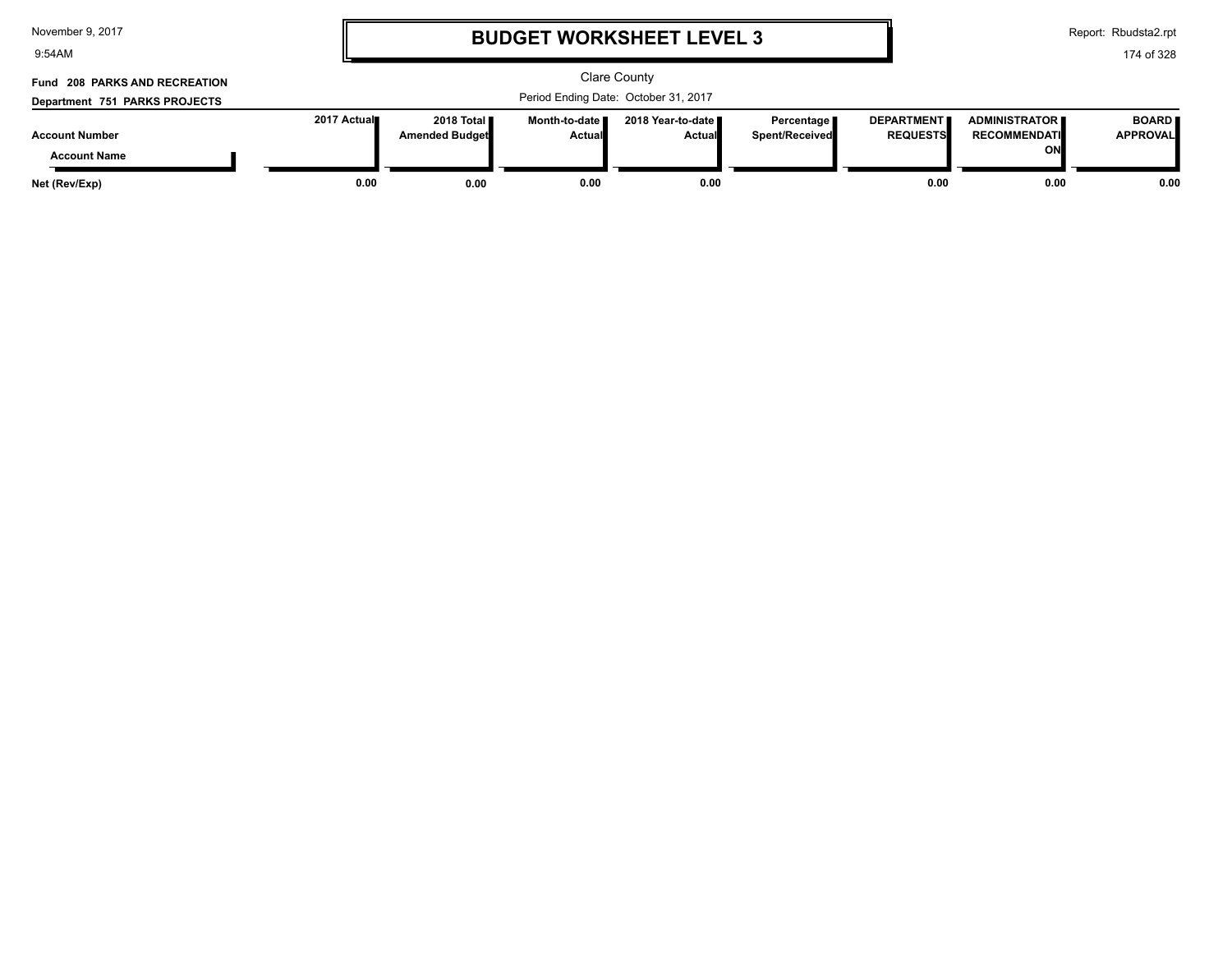| November 9, 2017 |  |  |  |
|------------------|--|--|--|
|------------------|--|--|--|

9:54AM

### **BUDGET WORKSHEET LEVEL 3**

Report: Rbudsta2.rpt

### 174 of 328

#### Clare County Period Ending Date: October 31, 2017 **Account Number Department 751 PARKS PROJECTS Fund 208 PARKS AND RECREATION 2017 Actual 2018 Total Amended Budget Month-to-date Actual 2018 Year-to-date Actual Percentage Spent/Received DEPARTMENT REQUESTS ADMINISTRATOR RECOMMENDATI ON BOARD APPROVAL Account Name Net (Rev/Exp) 0.00 0.00 0.00 0.00 0.00 0.00 0.00**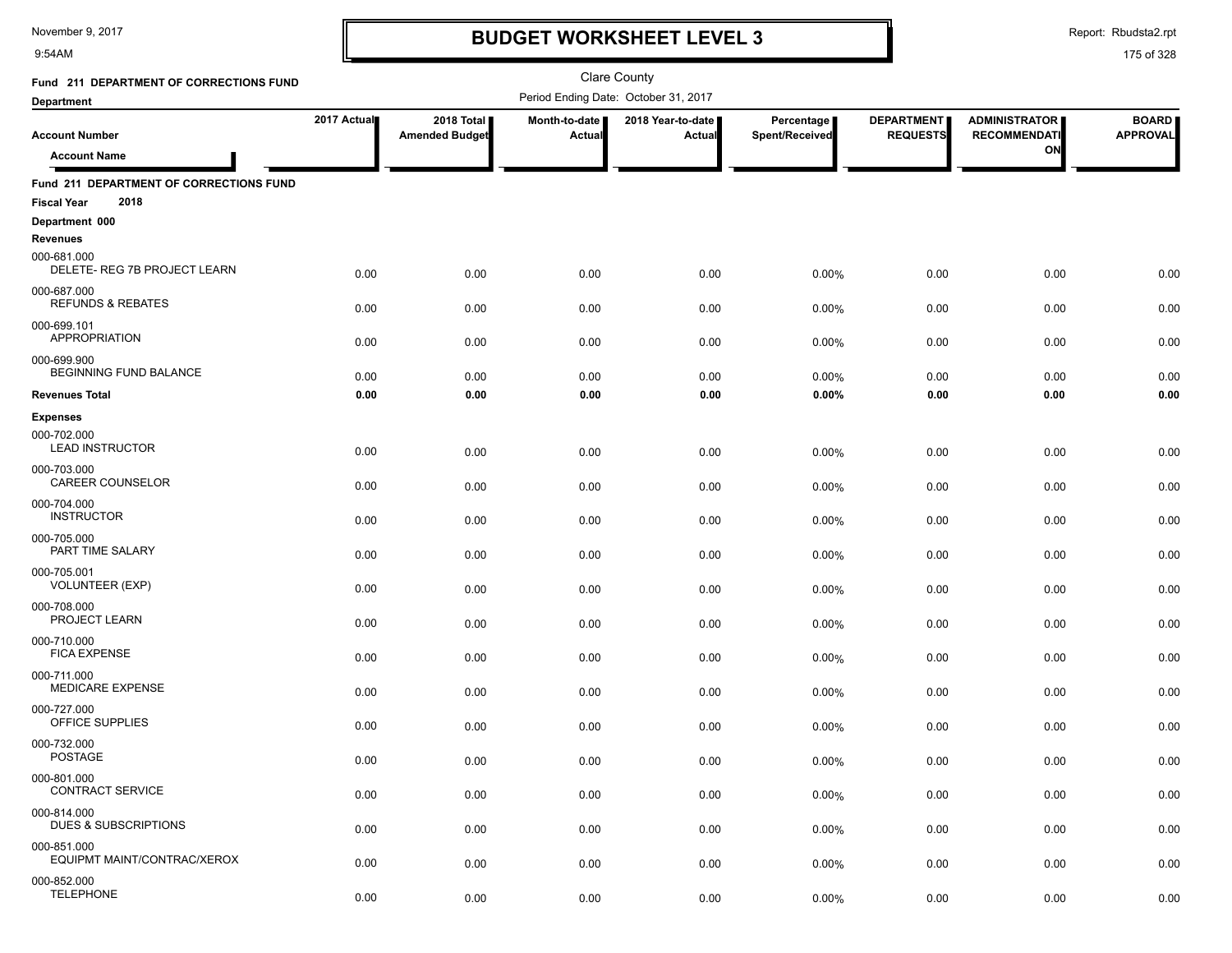9:54AM

# **BUDGET WORKSHEET LEVEL 3**

Report: Rbudsta2.rpt

| Fund 211 DEPARTMENT OF CORRECTIONS FUND                               |             |                                     |                                | <b>Clare County</b>                  |                              |                                      |                                             |                                 |
|-----------------------------------------------------------------------|-------------|-------------------------------------|--------------------------------|--------------------------------------|------------------------------|--------------------------------------|---------------------------------------------|---------------------------------|
| <b>Department</b>                                                     |             |                                     |                                | Period Ending Date: October 31, 2017 |                              |                                      |                                             |                                 |
| <b>Account Number</b>                                                 | 2017 Actual | 2018 Total<br><b>Amended Budget</b> | Month-to-date<br><b>Actual</b> | 2018 Year-to-date<br>Actual          | Percentage<br>Spent/Received | <b>DEPARTMENT</b><br><b>REQUESTS</b> | <b>ADMINISTRATOR</b><br><b>RECOMMENDATI</b> | <b>BOARD</b><br><b>APPROVAL</b> |
| <b>Account Name</b>                                                   |             |                                     |                                |                                      |                              |                                      | ON                                          |                                 |
| Fund 211 DEPARTMENT OF CORRECTIONS FUND<br>2018<br><b>Fiscal Year</b> |             |                                     |                                |                                      |                              |                                      |                                             |                                 |
| Department 000                                                        |             |                                     |                                |                                      |                              |                                      |                                             |                                 |
| <b>Revenues</b>                                                       |             |                                     |                                |                                      |                              |                                      |                                             |                                 |
| 000-681.000<br>DELETE- REG 7B PROJECT LEARN                           | 0.00        | 0.00                                | 0.00                           | 0.00                                 | 0.00%                        | 0.00                                 | 0.00                                        | 0.00                            |
| 000-687.000<br><b>REFUNDS &amp; REBATES</b>                           | 0.00        | 0.00                                | 0.00                           | 0.00                                 | 0.00%                        | 0.00                                 | 0.00                                        | 0.00                            |
| 000-699.101<br><b>APPROPRIATION</b>                                   | 0.00        | 0.00                                | 0.00                           | 0.00                                 | 0.00%                        | 0.00                                 | 0.00                                        | 0.00                            |
| 000-699.900<br>BEGINNING FUND BALANCE                                 | 0.00        | 0.00                                | 0.00                           | 0.00                                 | 0.00%                        | 0.00                                 | 0.00                                        | 0.00                            |
| <b>Revenues Total</b>                                                 | 0.00        | 0.00                                | 0.00                           | 0.00                                 | 0.00%                        | 0.00                                 | 0.00                                        | 0.00                            |
| <b>Expenses</b>                                                       |             |                                     |                                |                                      |                              |                                      |                                             |                                 |
| 000-702.000<br><b>LEAD INSTRUCTOR</b>                                 | 0.00        | 0.00                                | 0.00                           | 0.00                                 | 0.00%                        | 0.00                                 | 0.00                                        | 0.00                            |
| 000-703.000<br><b>CAREER COUNSELOR</b>                                | 0.00        | 0.00                                | 0.00                           | 0.00                                 | 0.00%                        | 0.00                                 | 0.00                                        | 0.00                            |
| 000-704.000<br><b>INSTRUCTOR</b>                                      | 0.00        | 0.00                                | 0.00                           | 0.00                                 | 0.00%                        | 0.00                                 | 0.00                                        | 0.00                            |
| 000-705.000<br>PART TIME SALARY                                       | 0.00        | 0.00                                | 0.00                           | 0.00                                 | 0.00%                        | 0.00                                 | 0.00                                        | 0.00                            |
| 000-705.001<br><b>VOLUNTEER (EXP)</b>                                 | 0.00        | 0.00                                | 0.00                           | 0.00                                 | 0.00%                        | 0.00                                 | 0.00                                        | 0.00                            |
| 000-708.000<br>PROJECT LEARN                                          | 0.00        | 0.00                                | 0.00                           | 0.00                                 | 0.00%                        | 0.00                                 | 0.00                                        | 0.00                            |
| 000-710.000<br><b>FICA EXPENSE</b>                                    | 0.00        | 0.00                                | 0.00                           | 0.00                                 | 0.00%                        | 0.00                                 | 0.00                                        | 0.00                            |
| 000-711.000<br>MEDICARE EXPENSE                                       | 0.00        | 0.00                                | 0.00                           | 0.00                                 | 0.00%                        | 0.00                                 | 0.00                                        | 0.00                            |
| 000-727.000<br>OFFICE SUPPLIES                                        | 0.00        | 0.00                                | 0.00                           | 0.00                                 | 0.00%                        | 0.00                                 | 0.00                                        | 0.00                            |
| 000-732.000<br><b>POSTAGE</b>                                         | 0.00        | 0.00                                | 0.00                           | 0.00                                 | 0.00%                        | 0.00                                 | 0.00                                        | 0.00                            |
| 000-801.000<br><b>CONTRACT SERVICE</b>                                | 0.00        |                                     |                                |                                      |                              |                                      |                                             |                                 |
| 000-814.000<br><b>DUES &amp; SUBSCRIPTIONS</b>                        |             | 0.00                                | 0.00                           | 0.00                                 | 0.00%                        | 0.00                                 | 0.00                                        | 0.00                            |
| 000-851.000                                                           | 0.00        | 0.00                                | 0.00                           | 0.00                                 | 0.00%                        | 0.00                                 | 0.00                                        | 0.00                            |
| EQUIPMT MAINT/CONTRAC/XEROX                                           | 0.00        | 0.00                                | 0.00                           | 0.00                                 | 0.00%                        | 0.00                                 | 0.00                                        | 0.00                            |
| 000-852.000<br><b>TELEPHONE</b>                                       | 0.00        | 0.00                                | 0.00                           | 0.00                                 | 0.00%                        | 0.00                                 | 0.00                                        | 0.00                            |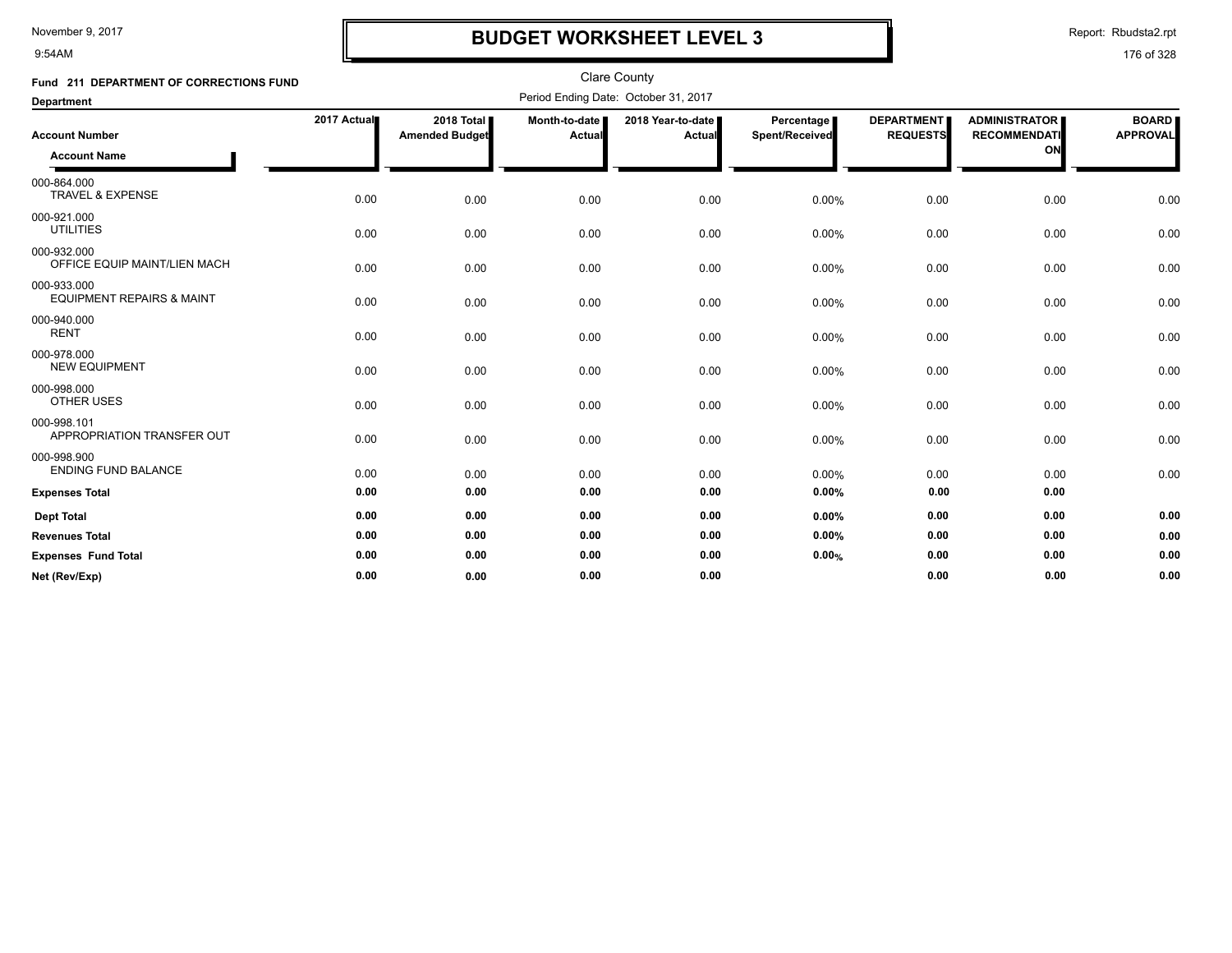9:54AM

# **BUDGET WORKSHEET LEVEL 3**

Report: Rbudsta2.rpt

| Fund 211 DEPARTMENT OF CORRECTIONS FUND             |             |                                     |                         | <b>Clare County</b>                  |                              |                                      |                                             |                                 |
|-----------------------------------------------------|-------------|-------------------------------------|-------------------------|--------------------------------------|------------------------------|--------------------------------------|---------------------------------------------|---------------------------------|
| <b>Department</b>                                   |             |                                     |                         | Period Ending Date: October 31, 2017 |                              |                                      |                                             |                                 |
| <b>Account Number</b>                               | 2017 Actual | 2018 Total<br><b>Amended Budget</b> | Month-to-date<br>Actual | 2018 Year-to-date<br>Actual          | Percentage<br>Spent/Received | <b>DEPARTMENT</b><br><b>REQUESTS</b> | <b>ADMINISTRATOR</b><br><b>RECOMMENDATI</b> | <b>BOARD</b><br><b>APPROVAL</b> |
| <b>Account Name</b>                                 |             |                                     |                         |                                      |                              |                                      | ON                                          |                                 |
| 000-864.000<br><b>TRAVEL &amp; EXPENSE</b>          | 0.00        | 0.00                                | 0.00                    | 0.00                                 | 0.00%                        | 0.00                                 | 0.00                                        | 0.00                            |
| 000-921.000<br><b>UTILITIES</b>                     | 0.00        | 0.00                                | 0.00                    | 0.00                                 | 0.00%                        | 0.00                                 | 0.00                                        | 0.00                            |
| 000-932.000<br>OFFICE EQUIP MAINT/LIEN MACH         | 0.00        | 0.00                                | 0.00                    | 0.00                                 | 0.00%                        | 0.00                                 | 0.00                                        | 0.00                            |
| 000-933.000<br><b>EQUIPMENT REPAIRS &amp; MAINT</b> | 0.00        | 0.00                                | 0.00                    | 0.00                                 | 0.00%                        | 0.00                                 | 0.00                                        | 0.00                            |
| 000-940.000<br><b>RENT</b>                          | 0.00        | 0.00                                | 0.00                    | 0.00                                 | 0.00%                        | 0.00                                 | 0.00                                        | 0.00                            |
| 000-978.000<br><b>NEW EQUIPMENT</b>                 | 0.00        | 0.00                                | 0.00                    | 0.00                                 | 0.00%                        | 0.00                                 | 0.00                                        | 0.00                            |
| 000-998.000<br>OTHER USES                           | 0.00        | 0.00                                | 0.00                    | 0.00                                 | 0.00%                        | 0.00                                 | 0.00                                        | 0.00                            |
| 000-998.101<br>APPROPRIATION TRANSFER OUT           | 0.00        | 0.00                                | 0.00                    | 0.00                                 | 0.00%                        | 0.00                                 | 0.00                                        | 0.00                            |
| 000-998.900<br><b>ENDING FUND BALANCE</b>           | 0.00        | 0.00                                | 0.00                    | 0.00                                 | $0.00\%$                     | 0.00                                 | 0.00                                        | 0.00                            |
| <b>Expenses Total</b>                               | 0.00        | 0.00                                | 0.00                    | 0.00                                 | 0.00%                        | 0.00                                 | 0.00                                        |                                 |
| <b>Dept Total</b>                                   | 0.00        | 0.00                                | 0.00                    | 0.00                                 | 0.00%                        | 0.00                                 | 0.00                                        | 0.00                            |
| <b>Revenues Total</b>                               | 0.00        | 0.00                                | 0.00                    | 0.00                                 | $0.00\%$                     | 0.00                                 | 0.00                                        | 0.00                            |
| <b>Expenses Fund Total</b>                          | 0.00        | 0.00                                | 0.00                    | 0.00                                 | 0.00%                        | 0.00                                 | 0.00                                        | 0.00                            |
| Net (Rev/Exp)                                       | 0.00        | 0.00                                | 0.00                    | 0.00                                 |                              | 0.00                                 | 0.00                                        | 0.00                            |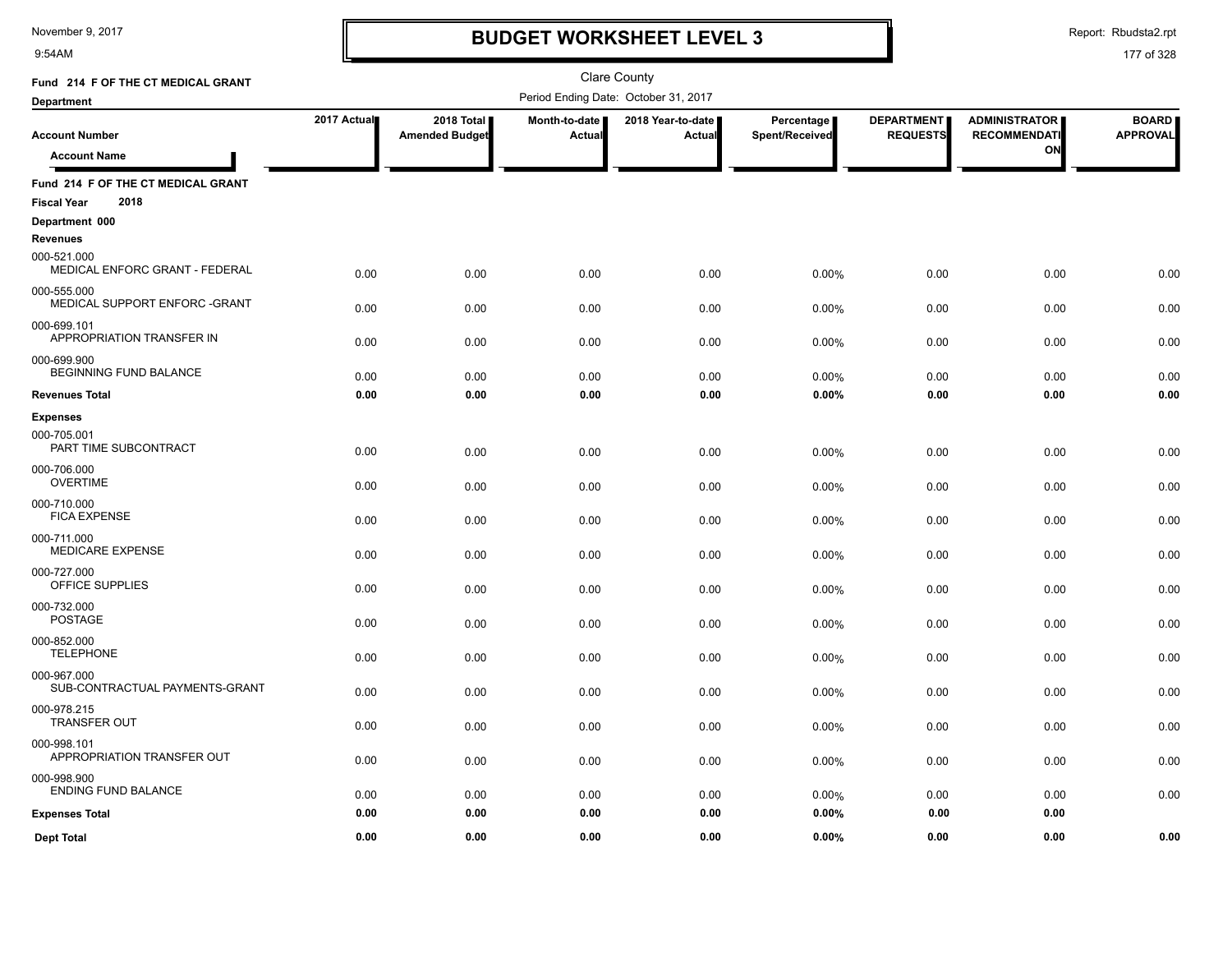9:54AM

# **BUDGET WORKSHEET LEVEL 3**

Report: Rbudsta2.rpt

| Fund 214 F OF THE CT MEDICAL GRANT                               |              |                                     |                         | <b>Clare County</b>                  |                              |                                      |                                                   |                                 |
|------------------------------------------------------------------|--------------|-------------------------------------|-------------------------|--------------------------------------|------------------------------|--------------------------------------|---------------------------------------------------|---------------------------------|
| <b>Department</b>                                                |              |                                     |                         | Period Ending Date: October 31, 2017 |                              |                                      |                                                   |                                 |
| <b>Account Number</b><br><b>Account Name</b>                     | 2017 Actual  | 2018 Total<br><b>Amended Budget</b> | Month-to-date<br>Actual | 2018 Year-to-date<br>Actual          | Percentage<br>Spent/Received | <b>DEPARTMENT</b><br><b>REQUESTS</b> | <b>ADMINISTRATOR</b><br><b>RECOMMENDATI</b><br>ON | <b>BOARD</b><br><b>APPROVAL</b> |
| Fund 214 F OF THE CT MEDICAL GRANT<br>2018<br><b>Fiscal Year</b> |              |                                     |                         |                                      |                              |                                      |                                                   |                                 |
| Department 000                                                   |              |                                     |                         |                                      |                              |                                      |                                                   |                                 |
| <b>Revenues</b>                                                  |              |                                     |                         |                                      |                              |                                      |                                                   |                                 |
| 000-521.000<br>MEDICAL ENFORC GRANT - FEDERAL                    | 0.00         | 0.00                                | 0.00                    | 0.00                                 | 0.00%                        | 0.00                                 | 0.00                                              | 0.00                            |
| 000-555.000<br>MEDICAL SUPPORT ENFORC - GRANT                    | 0.00         | 0.00                                | 0.00                    | 0.00                                 | 0.00%                        | 0.00                                 | 0.00                                              | 0.00                            |
| 000-699.101<br>APPROPRIATION TRANSFER IN                         | 0.00         | 0.00                                | 0.00                    | 0.00                                 | 0.00%                        | 0.00                                 | 0.00                                              | 0.00                            |
| 000-699.900<br><b>BEGINNING FUND BALANCE</b>                     |              |                                     |                         |                                      |                              |                                      |                                                   |                                 |
| <b>Revenues Total</b>                                            | 0.00<br>0.00 | 0.00<br>0.00                        | 0.00<br>0.00            | 0.00<br>0.00                         | 0.00%<br>0.00%               | 0.00<br>0.00                         | 0.00<br>0.00                                      | 0.00<br>0.00                    |
| <b>Expenses</b>                                                  |              |                                     |                         |                                      |                              |                                      |                                                   |                                 |
| 000-705.001<br>PART TIME SUBCONTRACT                             | 0.00         | 0.00                                | 0.00                    | 0.00                                 | 0.00%                        | 0.00                                 | 0.00                                              | 0.00                            |
| 000-706.000<br><b>OVERTIME</b>                                   | 0.00         | 0.00                                | 0.00                    | 0.00                                 | 0.00%                        | 0.00                                 | 0.00                                              | 0.00                            |
| 000-710.000<br><b>FICA EXPENSE</b>                               | 0.00         | 0.00                                | 0.00                    | 0.00                                 | 0.00%                        | 0.00                                 | 0.00                                              | 0.00                            |
| 000-711.000<br><b>MEDICARE EXPENSE</b>                           | 0.00         | 0.00                                | 0.00                    | 0.00                                 | 0.00%                        | 0.00                                 | 0.00                                              | 0.00                            |
| 000-727.000<br>OFFICE SUPPLIES                                   | 0.00         | 0.00                                | 0.00                    | 0.00                                 | 0.00%                        | 0.00                                 | 0.00                                              | 0.00                            |
| 000-732.000<br>POSTAGE                                           | 0.00         | 0.00                                | 0.00                    | 0.00                                 | 0.00%                        | 0.00                                 | 0.00                                              | 0.00                            |
| 000-852.000<br><b>TELEPHONE</b>                                  | 0.00         | 0.00                                | 0.00                    | 0.00                                 | 0.00%                        | 0.00                                 | 0.00                                              | 0.00                            |
| 000-967.000<br>SUB-CONTRACTUAL PAYMENTS-GRANT                    | 0.00         | 0.00                                | 0.00                    | 0.00                                 | 0.00%                        | 0.00                                 | 0.00                                              | 0.00                            |
| 000-978.215<br><b>TRANSFER OUT</b>                               | 0.00         | 0.00                                | 0.00                    | 0.00                                 | 0.00%                        | 0.00                                 | 0.00                                              | 0.00                            |
| 000-998.101<br>APPROPRIATION TRANSFER OUT                        | 0.00         | 0.00                                | 0.00                    | 0.00                                 | 0.00%                        | 0.00                                 | 0.00                                              | 0.00                            |
| 000-998.900<br><b>ENDING FUND BALANCE</b>                        | 0.00         | 0.00                                | 0.00                    | 0.00                                 | 0.00%                        | 0.00                                 | 0.00                                              | 0.00                            |
| <b>Expenses Total</b>                                            | 0.00         | 0.00                                | 0.00                    | 0.00                                 | 0.00%                        | 0.00                                 | 0.00                                              |                                 |
| <b>Dept Total</b>                                                | 0.00         | 0.00                                | 0.00                    | 0.00                                 | 0.00%                        | 0.00                                 | 0.00                                              | 0.00                            |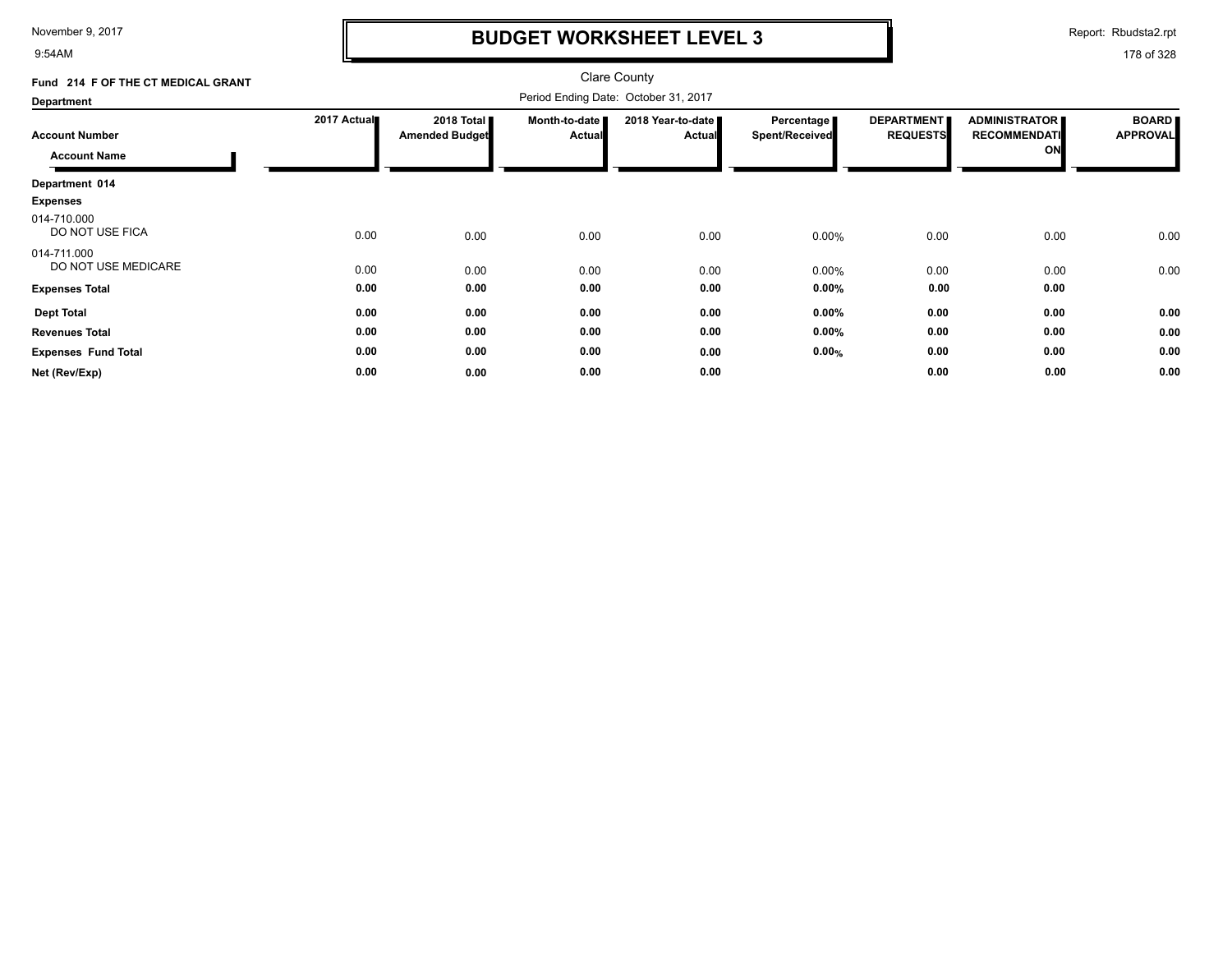9:54AM

# **BUDGET WORKSHEET LEVEL 3**

Report: Rbudsta2.rpt

| Fund 214 F OF THE CT MEDICAL GRANT |             |                                     |                                | <b>Clare County</b>                |                                     |                                      |                                                   |                                 |
|------------------------------------|-------------|-------------------------------------|--------------------------------|------------------------------------|-------------------------------------|--------------------------------------|---------------------------------------------------|---------------------------------|
| <b>Department</b>                  |             |                                     |                                |                                    |                                     |                                      |                                                   |                                 |
| <b>Account Number</b>              | 2017 Actual | 2018 Total<br><b>Amended Budget</b> | Month-to-date<br><b>Actual</b> | 2018 Year-to-date<br><b>Actual</b> | Percentage<br><b>Spent/Received</b> | <b>DEPARTMENT</b><br><b>REQUESTS</b> | <b>ADMINISTRATOR</b><br><b>RECOMMENDATI</b><br>ON | <b>BOARD</b><br><b>APPROVAL</b> |
| <b>Account Name</b>                |             |                                     |                                |                                    |                                     |                                      |                                                   |                                 |
| Department 014                     |             |                                     |                                |                                    |                                     |                                      |                                                   |                                 |
| <b>Expenses</b>                    |             |                                     |                                |                                    |                                     |                                      |                                                   |                                 |
| 014-710.000<br>DO NOT USE FICA     | 0.00        | 0.00                                | 0.00                           | 0.00                               | 0.00%                               | 0.00                                 | 0.00                                              | 0.00                            |
| 014-711.000<br>DO NOT USE MEDICARE | 0.00        | 0.00                                | 0.00                           | 0.00                               | 0.00%                               | 0.00                                 | 0.00                                              | 0.00                            |
| <b>Expenses Total</b>              | 0.00        | 0.00                                | 0.00                           | 0.00                               | 0.00%                               | 0.00                                 | 0.00                                              |                                 |
| <b>Dept Total</b>                  | 0.00        | 0.00                                | 0.00                           | 0.00                               | 0.00%                               | 0.00                                 | 0.00                                              | 0.00                            |
| <b>Revenues Total</b>              | 0.00        | 0.00                                | 0.00                           | 0.00                               | 0.00%                               | 0.00                                 | 0.00                                              | 0.00                            |
| <b>Expenses Fund Total</b>         | 0.00        | 0.00                                | 0.00                           | 0.00                               | 0.00%                               | 0.00                                 | 0.00                                              | 0.00                            |
| Net (Rev/Exp)                      | 0.00        | 0.00                                | 0.00                           | 0.00                               |                                     | 0.00                                 | 0.00                                              | 0.00                            |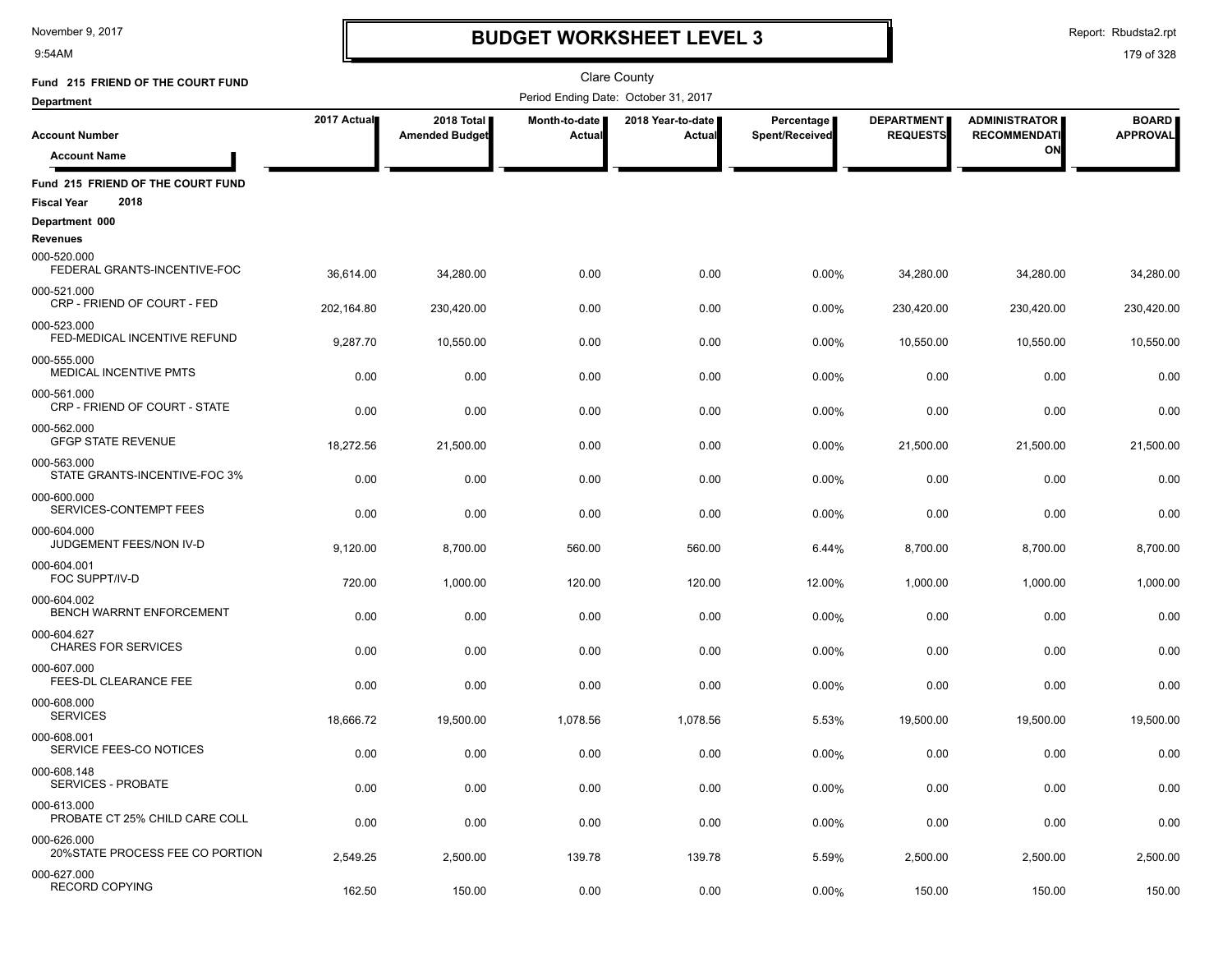9:54AM

# **BUDGET WORKSHEET LEVEL 3**

Report: Rbudsta2.rpt

| Fund 215 FRIEND OF THE COURT FUND              |             |                                     |                         | <b>Clare County</b>                  |                              |                                      |                                             |                                 |
|------------------------------------------------|-------------|-------------------------------------|-------------------------|--------------------------------------|------------------------------|--------------------------------------|---------------------------------------------|---------------------------------|
| <b>Department</b>                              |             |                                     |                         | Period Ending Date: October 31, 2017 |                              |                                      |                                             |                                 |
| <b>Account Number</b>                          | 2017 Actual | 2018 Total<br><b>Amended Budget</b> | Month-to-date<br>Actual | 2018 Year-to-date<br>Actual          | Percentage<br>Spent/Received | <b>DEPARTMENT</b><br><b>REQUESTS</b> | <b>ADMINISTRATOR</b><br><b>RECOMMENDATI</b> | <b>BOARD</b><br><b>APPROVAL</b> |
| <b>Account Name</b>                            |             |                                     |                         |                                      |                              |                                      | ON                                          |                                 |
| Fund 215 FRIEND OF THE COURT FUND              |             |                                     |                         |                                      |                              |                                      |                                             |                                 |
| 2018<br><b>Fiscal Year</b>                     |             |                                     |                         |                                      |                              |                                      |                                             |                                 |
| Department 000<br><b>Revenues</b>              |             |                                     |                         |                                      |                              |                                      |                                             |                                 |
| 000-520.000<br>FEDERAL GRANTS-INCENTIVE-FOC    | 36,614.00   | 34,280.00                           | 0.00                    | 0.00                                 | 0.00%                        | 34,280.00                            | 34,280.00                                   | 34,280.00                       |
| 000-521.000<br>CRP - FRIEND OF COURT - FED     | 202,164.80  | 230,420.00                          | 0.00                    | 0.00                                 | 0.00%                        | 230,420.00                           | 230,420.00                                  | 230,420.00                      |
| 000-523.000<br>FED-MEDICAL INCENTIVE REFUND    | 9,287.70    | 10,550.00                           | 0.00                    | 0.00                                 | 0.00%                        | 10,550.00                            | 10,550.00                                   | 10,550.00                       |
| 000-555.000<br>MEDICAL INCENTIVE PMTS          | 0.00        | 0.00                                | 0.00                    | 0.00                                 | 0.00%                        | 0.00                                 | 0.00                                        | 0.00                            |
| 000-561.000<br>CRP - FRIEND OF COURT - STATE   | 0.00        | 0.00                                | 0.00                    | 0.00                                 | 0.00%                        | 0.00                                 | 0.00                                        | 0.00                            |
| 000-562.000<br><b>GFGP STATE REVENUE</b>       | 18,272.56   | 21,500.00                           | 0.00                    | 0.00                                 | 0.00%                        | 21,500.00                            | 21,500.00                                   | 21,500.00                       |
| 000-563.000<br>STATE GRANTS-INCENTIVE-FOC 3%   | 0.00        | 0.00                                | 0.00                    | 0.00                                 | 0.00%                        | 0.00                                 | 0.00                                        | 0.00                            |
| 000-600.000<br>SERVICES-CONTEMPT FEES          | 0.00        | 0.00                                | 0.00                    | 0.00                                 | 0.00%                        | 0.00                                 | 0.00                                        | 0.00                            |
| 000-604.000<br>JUDGEMENT FEES/NON IV-D         | 9,120.00    | 8,700.00                            | 560.00                  | 560.00                               | 6.44%                        | 8,700.00                             | 8,700.00                                    | 8,700.00                        |
| 000-604.001<br>FOC SUPPT/IV-D                  | 720.00      | 1,000.00                            | 120.00                  | 120.00                               | 12.00%                       | 1,000.00                             | 1,000.00                                    | 1,000.00                        |
| 000-604.002<br>BENCH WARRNT ENFORCEMENT        | 0.00        | 0.00                                | 0.00                    | 0.00                                 | 0.00%                        | 0.00                                 | 0.00                                        | 0.00                            |
| 000-604.627<br><b>CHARES FOR SERVICES</b>      | 0.00        |                                     |                         |                                      |                              |                                      |                                             | 0.00                            |
| 000-607.000<br>FEES-DL CLEARANCE FEE           |             | 0.00                                | 0.00                    | 0.00                                 | 0.00%                        | 0.00                                 | 0.00                                        |                                 |
| 000-608.000<br><b>SERVICES</b>                 | 0.00        | 0.00                                | 0.00                    | 0.00                                 | 0.00%                        | 0.00                                 | 0.00                                        | 0.00                            |
| 000-608.001<br>SERVICE FEES-CO NOTICES         | 18,666.72   | 19,500.00                           | 1,078.56                | 1,078.56                             | 5.53%                        | 19,500.00                            | 19,500.00                                   | 19,500.00                       |
|                                                | 0.00        | 0.00                                | 0.00                    | 0.00                                 | 0.00%                        | 0.00                                 | 0.00                                        | 0.00                            |
| 000-608.148<br>SERVICES - PROBATE              | 0.00        | 0.00                                | 0.00                    | 0.00                                 | 0.00%                        | 0.00                                 | 0.00                                        | 0.00                            |
| 000-613.000<br>PROBATE CT 25% CHILD CARE COLL  | 0.00        | 0.00                                | 0.00                    | 0.00                                 | 0.00%                        | 0.00                                 | 0.00                                        | 0.00                            |
| 000-626.000<br>20%STATE PROCESS FEE CO PORTION | 2,549.25    | 2,500.00                            | 139.78                  | 139.78                               | 5.59%                        | 2,500.00                             | 2,500.00                                    | 2,500.00                        |
| 000-627.000<br><b>RECORD COPYING</b>           | 162.50      | 150.00                              | 0.00                    | 0.00                                 | 0.00%                        | 150.00                               | 150.00                                      | 150.00                          |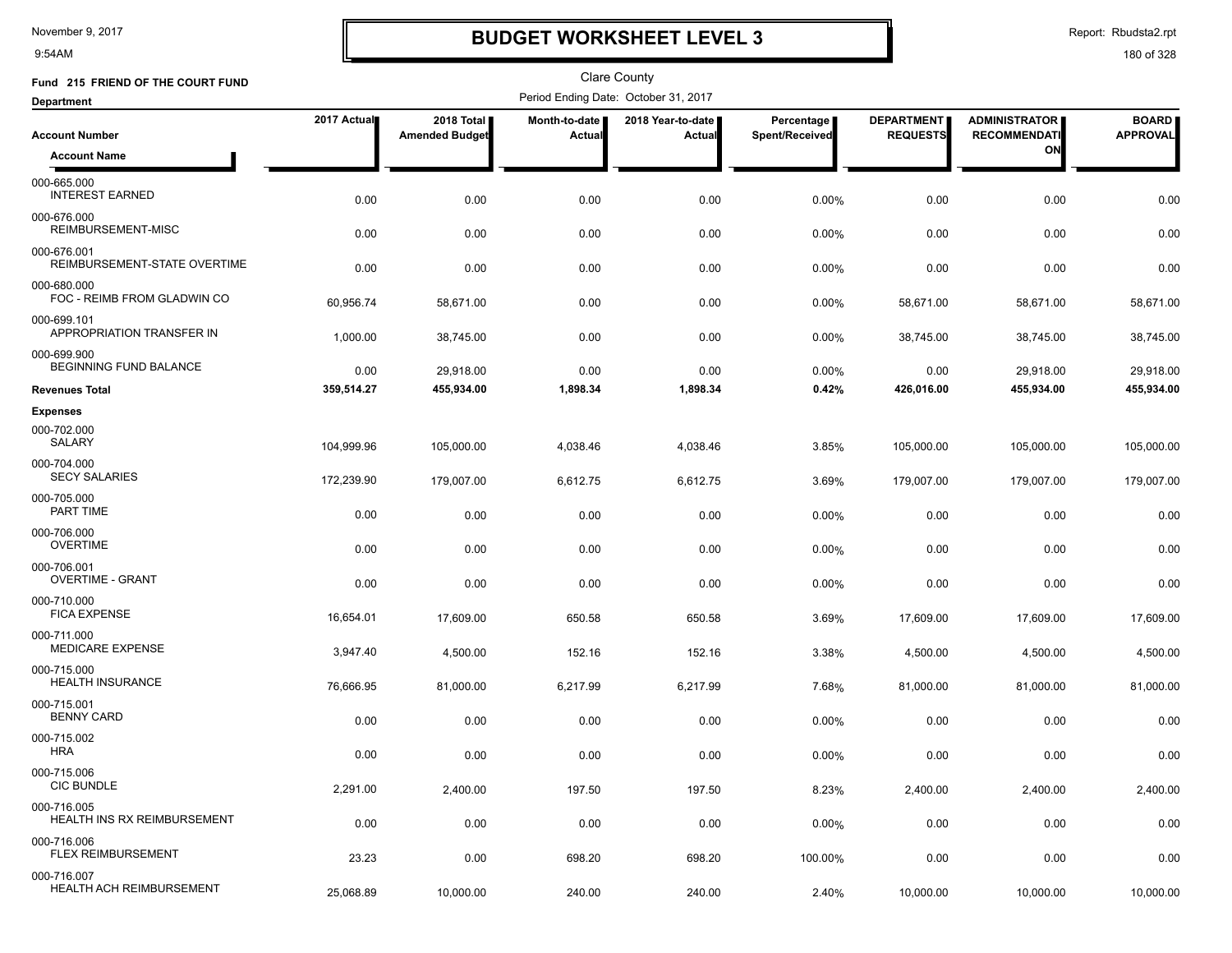9:54AM

# **BUDGET WORKSHEET LEVEL 3**

Report: Rbudsta2.rpt

| Fund 215 FRIEND OF THE COURT FUND           |             |                                     |                                | Clare County                         |                              |                                      |                                                   |                                 |
|---------------------------------------------|-------------|-------------------------------------|--------------------------------|--------------------------------------|------------------------------|--------------------------------------|---------------------------------------------------|---------------------------------|
| <b>Department</b>                           |             |                                     |                                | Period Ending Date: October 31, 2017 |                              |                                      |                                                   |                                 |
| <b>Account Number</b>                       | 2017 Actual | 2018 Total<br><b>Amended Budget</b> | Month-to-date<br><b>Actual</b> | 2018 Year-to-date<br>Actual          | Percentage<br>Spent/Received | <b>DEPARTMENT</b><br><b>REQUESTS</b> | <b>ADMINISTRATOR</b><br><b>RECOMMENDATI</b><br>ON | <b>BOARD</b><br><b>APPROVAL</b> |
| <b>Account Name</b>                         |             |                                     |                                |                                      |                              |                                      |                                                   |                                 |
| 000-665.000<br><b>INTEREST EARNED</b>       | 0.00        | 0.00                                | 0.00                           | 0.00                                 | 0.00%                        | 0.00                                 | 0.00                                              | 0.00                            |
| 000-676.000<br>REIMBURSEMENT-MISC           | 0.00        | 0.00                                | 0.00                           | 0.00                                 | 0.00%                        | 0.00                                 | 0.00                                              | 0.00                            |
| 000-676.001<br>REIMBURSEMENT-STATE OVERTIME | 0.00        | 0.00                                | 0.00                           | 0.00                                 | 0.00%                        | 0.00                                 | 0.00                                              | 0.00                            |
| 000-680.000<br>FOC - REIMB FROM GLADWIN CO  | 60,956.74   | 58,671.00                           | 0.00                           | 0.00                                 | 0.00%                        | 58,671.00                            | 58,671.00                                         | 58,671.00                       |
| 000-699.101<br>APPROPRIATION TRANSFER IN    | 1,000.00    | 38,745.00                           | 0.00                           | 0.00                                 | 0.00%                        | 38,745.00                            | 38,745.00                                         | 38,745.00                       |
| 000-699.900<br>BEGINNING FUND BALANCE       | 0.00        | 29,918.00                           | 0.00                           | 0.00                                 | 0.00%                        | 0.00                                 | 29,918.00                                         | 29,918.00                       |
| <b>Revenues Total</b>                       | 359,514.27  | 455,934.00                          | 1,898.34                       | 1,898.34                             | 0.42%                        | 426,016.00                           | 455,934.00                                        | 455,934.00                      |
| <b>Expenses</b>                             |             |                                     |                                |                                      |                              |                                      |                                                   |                                 |
| 000-702.000<br>SALARY                       | 104,999.96  | 105,000.00                          | 4,038.46                       | 4,038.46                             | 3.85%                        | 105,000.00                           | 105,000.00                                        | 105,000.00                      |
| 000-704.000<br><b>SECY SALARIES</b>         | 172,239.90  | 179,007.00                          | 6,612.75                       | 6,612.75                             | 3.69%                        | 179,007.00                           | 179,007.00                                        | 179,007.00                      |
| 000-705.000<br>PART TIME                    | 0.00        | 0.00                                | 0.00                           | 0.00                                 | 0.00%                        | 0.00                                 | 0.00                                              | 0.00                            |
| 000-706.000<br><b>OVERTIME</b>              | 0.00        | 0.00                                | 0.00                           | 0.00                                 | 0.00%                        | 0.00                                 | 0.00                                              | 0.00                            |
| 000-706.001<br><b>OVERTIME - GRANT</b>      | 0.00        | 0.00                                | 0.00                           | 0.00                                 | 0.00%                        | 0.00                                 | 0.00                                              | 0.00                            |
| 000-710.000<br><b>FICA EXPENSE</b>          | 16,654.01   | 17,609.00                           | 650.58                         | 650.58                               | 3.69%                        | 17,609.00                            | 17,609.00                                         | 17,609.00                       |
| 000-711.000<br><b>MEDICARE EXPENSE</b>      | 3,947.40    | 4,500.00                            | 152.16                         | 152.16                               | 3.38%                        | 4,500.00                             | 4,500.00                                          | 4,500.00                        |
| 000-715.000<br><b>HEALTH INSURANCE</b>      | 76,666.95   | 81,000.00                           | 6,217.99                       | 6,217.99                             | 7.68%                        | 81,000.00                            | 81,000.00                                         | 81,000.00                       |
| 000-715.001<br><b>BENNY CARD</b>            | 0.00        | 0.00                                | 0.00                           | 0.00                                 | 0.00%                        | 0.00                                 | 0.00                                              | 0.00                            |
| 000-715.002<br><b>HRA</b>                   | 0.00        | 0.00                                | 0.00                           | 0.00                                 | 0.00%                        | 0.00                                 | 0.00                                              | 0.00                            |
| 000-715.006<br><b>CIC BUNDLE</b>            |             |                                     |                                |                                      |                              |                                      |                                                   |                                 |
| 000-716.005<br>HEALTH INS RX REIMBURSEMENT  | 2,291.00    | 2,400.00                            | 197.50                         | 197.50                               | 8.23%                        | 2,400.00                             | 2,400.00                                          | 2,400.00                        |
| 000-716.006                                 | 0.00        | 0.00                                | 0.00                           | 0.00                                 | 0.00%                        | 0.00                                 | 0.00                                              | 0.00                            |
| FLEX REIMBURSEMENT                          | 23.23       | 0.00                                | 698.20                         | 698.20                               | 100.00%                      | 0.00                                 | 0.00                                              | 0.00                            |
| 000-716.007<br>HEALTH ACH REIMBURSEMENT     | 25,068.89   | 10,000.00                           | 240.00                         | 240.00                               | 2.40%                        | 10,000.00                            | 10,000.00                                         | 10,000.00                       |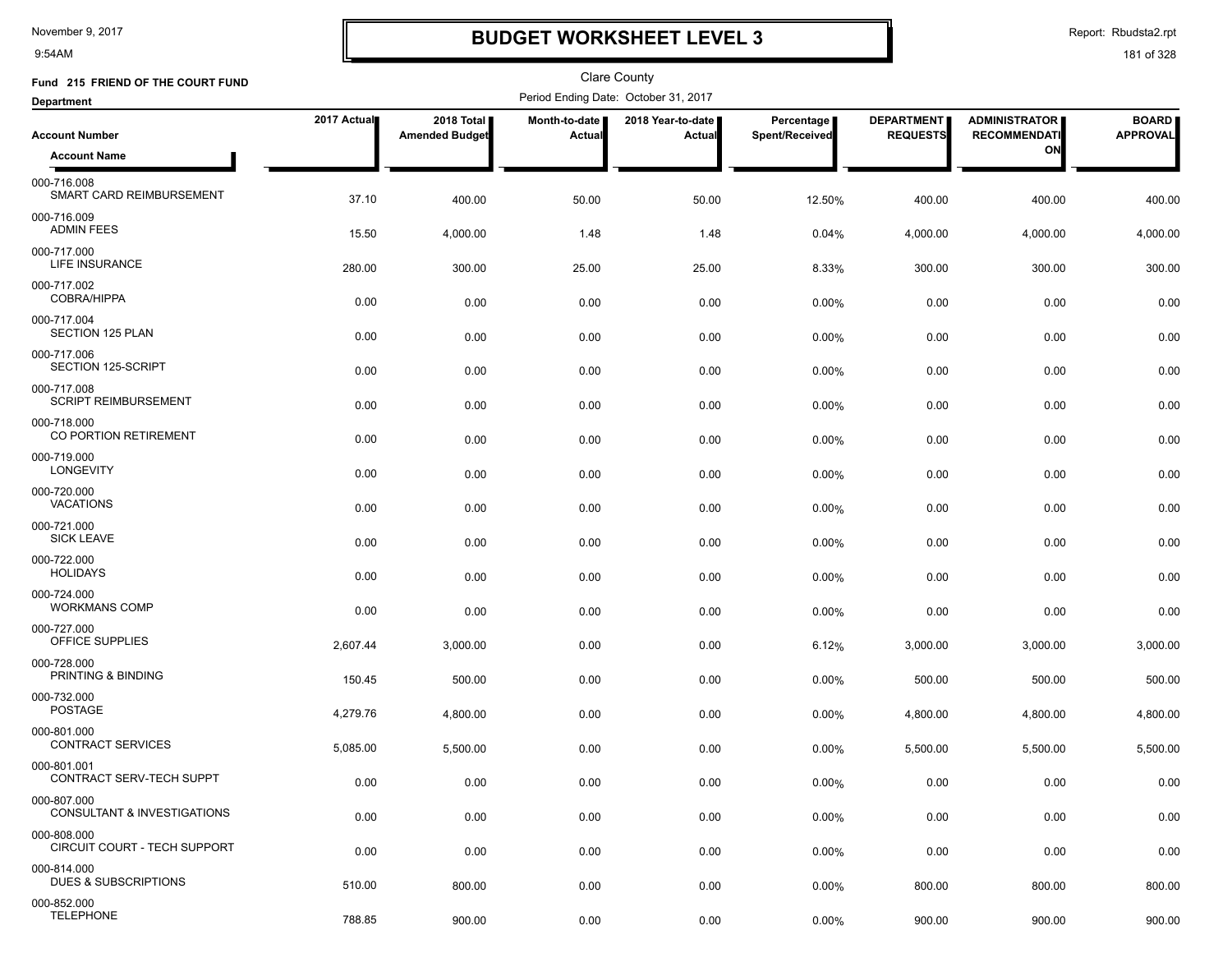9:54AM

### **BUDGET WORKSHEET LEVEL 3**

Report: Rbudsta2.rpt

| Fund 215 FRIEND OF THE COURT FUND           |             |                                     |                         | <b>Clare County</b>                  |                              |                                      |                                             |                                 |
|---------------------------------------------|-------------|-------------------------------------|-------------------------|--------------------------------------|------------------------------|--------------------------------------|---------------------------------------------|---------------------------------|
| <b>Department</b>                           |             |                                     |                         | Period Ending Date: October 31, 2017 |                              |                                      |                                             |                                 |
| <b>Account Number</b>                       | 2017 Actual | 2018 Total<br><b>Amended Budget</b> | Month-to-date<br>Actual | 2018 Year-to-date  <br>Actual        | Percentage<br>Spent/Received | <b>DEPARTMENT</b><br><b>REQUESTS</b> | <b>ADMINISTRATOR</b><br><b>RECOMMENDATI</b> | <b>BOARD</b><br><b>APPROVAL</b> |
| <b>Account Name</b>                         |             |                                     |                         |                                      |                              |                                      | ON                                          |                                 |
| 000-716.008<br>SMART CARD REIMBURSEMENT     | 37.10       | 400.00                              | 50.00                   | 50.00                                | 12.50%                       | 400.00                               | 400.00                                      | 400.00                          |
| 000-716.009<br><b>ADMIN FEES</b>            | 15.50       | 4,000.00                            | 1.48                    | 1.48                                 | 0.04%                        | 4,000.00                             | 4,000.00                                    | 4,000.00                        |
| 000-717.000<br><b>LIFE INSURANCE</b>        | 280.00      | 300.00                              | 25.00                   | 25.00                                | 8.33%                        | 300.00                               | 300.00                                      | 300.00                          |
| 000-717.002<br><b>COBRA/HIPPA</b>           | 0.00        | 0.00                                | 0.00                    | 0.00                                 | 0.00%                        | 0.00                                 | 0.00                                        | 0.00                            |
| 000-717.004<br><b>SECTION 125 PLAN</b>      | 0.00        | 0.00                                | 0.00                    | 0.00                                 | 0.00%                        | 0.00                                 | 0.00                                        | 0.00                            |
| 000-717.006<br>SECTION 125-SCRIPT           | 0.00        | 0.00                                | 0.00                    | 0.00                                 | 0.00%                        | 0.00                                 | 0.00                                        | 0.00                            |
| 000-717.008<br><b>SCRIPT REIMBURSEMENT</b>  | 0.00        | 0.00                                | 0.00                    | 0.00                                 | 0.00%                        | 0.00                                 | 0.00                                        | 0.00                            |
| 000-718.000<br>CO PORTION RETIREMENT        | 0.00        | 0.00                                | 0.00                    | 0.00                                 | 0.00%                        | 0.00                                 | 0.00                                        | 0.00                            |
| 000-719.000<br>LONGEVITY                    | 0.00        | 0.00                                | 0.00                    | 0.00                                 | 0.00%                        | 0.00                                 | 0.00                                        | 0.00                            |
| 000-720.000<br><b>VACATIONS</b>             | 0.00        | 0.00                                | 0.00                    | 0.00                                 | 0.00%                        | 0.00                                 | 0.00                                        | 0.00                            |
| 000-721.000<br><b>SICK LEAVE</b>            | 0.00        | 0.00                                | 0.00                    | 0.00                                 | 0.00%                        | 0.00                                 | 0.00                                        | 0.00                            |
| 000-722.000<br><b>HOLIDAYS</b>              | 0.00        | 0.00                                | 0.00                    | 0.00                                 | 0.00%                        | 0.00                                 | 0.00                                        | 0.00                            |
| 000-724.000<br><b>WORKMANS COMP</b>         | 0.00        | 0.00                                | 0.00                    | 0.00                                 | 0.00%                        | 0.00                                 | 0.00                                        | 0.00                            |
| 000-727.000<br>OFFICE SUPPLIES              | 2,607.44    | 3,000.00                            | 0.00                    | 0.00                                 | 6.12%                        | 3,000.00                             | 3,000.00                                    | 3,000.00                        |
| 000-728.000<br>PRINTING & BINDING           | 150.45      | 500.00                              | 0.00                    | 0.00                                 | 0.00%                        | 500.00                               | 500.00                                      | 500.00                          |
| 000-732.000<br><b>POSTAGE</b>               | 4,279.76    | 4,800.00                            | 0.00                    | 0.00                                 | 0.00%                        | 4,800.00                             | 4,800.00                                    | 4,800.00                        |
| 000-801.000<br><b>CONTRACT SERVICES</b>     | 5,085.00    | 5,500.00                            | 0.00                    | 0.00                                 | 0.00%                        | 5,500.00                             | 5,500.00                                    | 5,500.00                        |
| 000-801.001<br>CONTRACT SERV-TECH SUPPT     | 0.00        | 0.00                                | 0.00                    | 0.00                                 | 0.00%                        | 0.00                                 | 0.00                                        | 0.00                            |
| 000-807.000<br>CONSULTANT & INVESTIGATIONS  | 0.00        | 0.00                                | 0.00                    | 0.00                                 | 0.00%                        | 0.00                                 | 0.00                                        | 0.00                            |
| 000-808.000<br>CIRCUIT COURT - TECH SUPPORT | 0.00        | 0.00                                | 0.00                    | 0.00                                 | $0.00\%$                     | 0.00                                 | 0.00                                        | 0.00                            |
| 000-814.000<br>DUES & SUBSCRIPTIONS         | 510.00      | 800.00                              | 0.00                    | 0.00                                 | 0.00%                        | 800.00                               | 800.00                                      | 800.00                          |
| 000-852.000<br><b>TELEPHONE</b>             | 788.85      | 900.00                              | 0.00                    | 0.00                                 | 0.00%                        | 900.00                               | 900.00                                      | 900.00                          |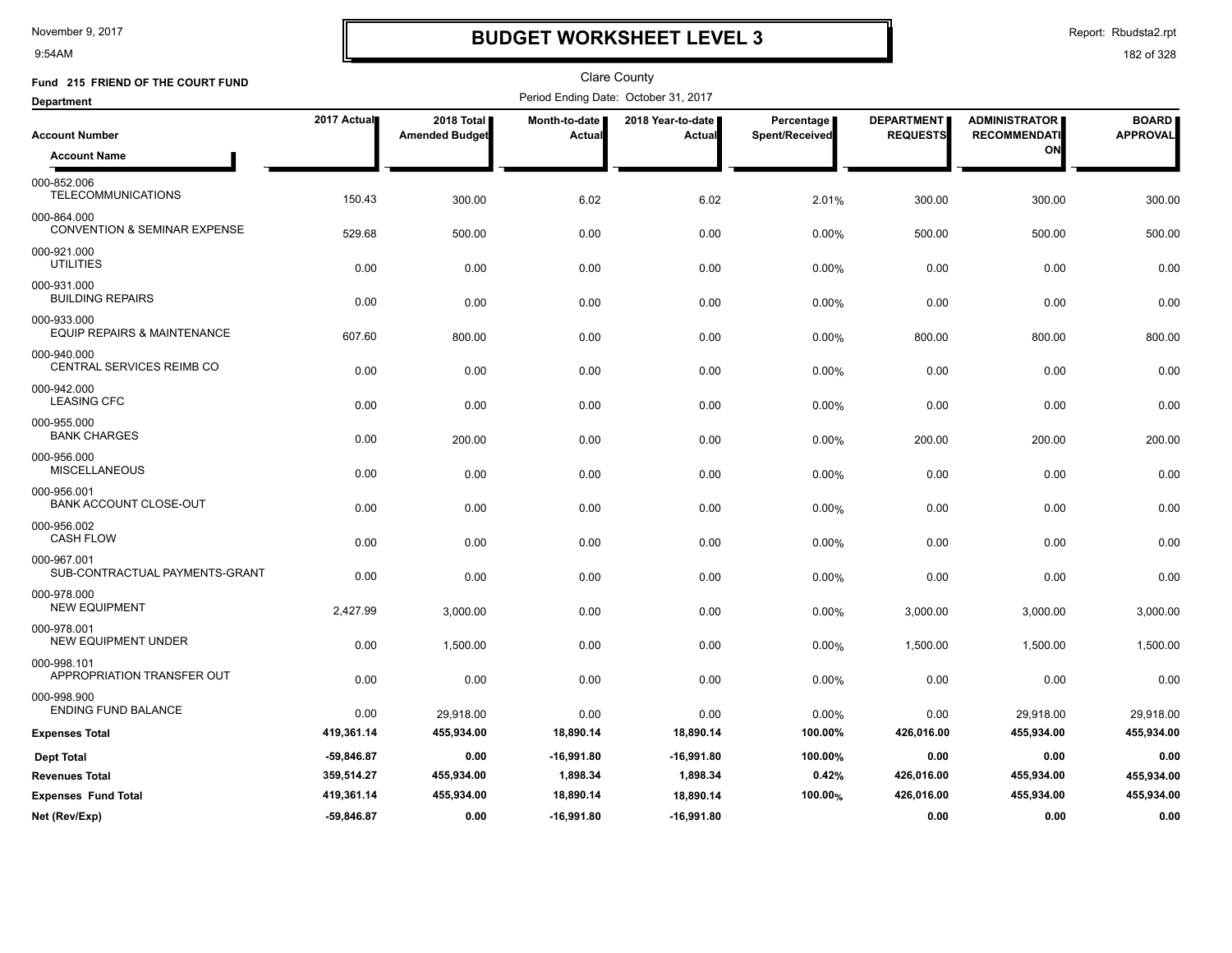9:54AM

## **BUDGET WORKSHEET LEVEL 3**

Report: Rbudsta2.rpt

| Fund 215 FRIEND OF THE COURT FUND                      |              |                                     |                         | <b>Clare County</b>                  |                              |                                      |                                             |                                 |
|--------------------------------------------------------|--------------|-------------------------------------|-------------------------|--------------------------------------|------------------------------|--------------------------------------|---------------------------------------------|---------------------------------|
| <b>Department</b>                                      |              |                                     |                         | Period Ending Date: October 31, 2017 |                              |                                      |                                             |                                 |
| <b>Account Number</b>                                  | 2017 Actual  | 2018 Total<br><b>Amended Budget</b> | Month-to-date<br>Actual | 2018 Year-to-date<br>Actual          | Percentage<br>Spent/Received | <b>DEPARTMENT</b><br><b>REQUESTS</b> | <b>ADMINISTRATOR</b><br><b>RECOMMENDATI</b> | <b>BOARD</b><br><b>APPROVAL</b> |
| <b>Account Name</b>                                    |              |                                     |                         |                                      |                              |                                      | ON                                          |                                 |
| 000-852.006<br><b>TELECOMMUNICATIONS</b>               | 150.43       | 300.00                              | 6.02                    | 6.02                                 | 2.01%                        | 300.00                               | 300.00                                      | 300.00                          |
| 000-864.000<br><b>CONVENTION &amp; SEMINAR EXPENSE</b> | 529.68       | 500.00                              | 0.00                    | 0.00                                 | 0.00%                        | 500.00                               | 500.00                                      | 500.00                          |
| 000-921.000<br><b>UTILITIES</b>                        | 0.00         | 0.00                                | 0.00                    | 0.00                                 | 0.00%                        | 0.00                                 | 0.00                                        | 0.00                            |
| 000-931.000<br><b>BUILDING REPAIRS</b>                 | 0.00         | 0.00                                | 0.00                    | 0.00                                 | 0.00%                        | 0.00                                 | 0.00                                        | 0.00                            |
| 000-933.000<br><b>EQUIP REPAIRS &amp; MAINTENANCE</b>  | 607.60       | 800.00                              | 0.00                    | 0.00                                 | 0.00%                        | 800.00                               | 800.00                                      | 800.00                          |
| 000-940.000<br>CENTRAL SERVICES REIMB CO               | 0.00         | 0.00                                | 0.00                    | 0.00                                 | 0.00%                        | 0.00                                 | 0.00                                        | 0.00                            |
| 000-942.000<br><b>LEASING CFC</b>                      | 0.00         | 0.00                                | 0.00                    | 0.00                                 | 0.00%                        | 0.00                                 | 0.00                                        | 0.00                            |
| 000-955.000<br><b>BANK CHARGES</b>                     | 0.00         | 200.00                              | 0.00                    | 0.00                                 | 0.00%                        | 200.00                               | 200.00                                      | 200.00                          |
| 000-956.000<br><b>MISCELLANEOUS</b>                    | 0.00         | 0.00                                | 0.00                    | 0.00                                 | 0.00%                        | 0.00                                 | 0.00                                        | 0.00                            |
| 000-956.001<br><b>BANK ACCOUNT CLOSE-OUT</b>           | 0.00         | 0.00                                | 0.00                    | 0.00                                 | 0.00%                        | 0.00                                 | 0.00                                        | 0.00                            |
| 000-956.002<br><b>CASH FLOW</b>                        | 0.00         | 0.00                                | 0.00                    | 0.00                                 | 0.00%                        | 0.00                                 | 0.00                                        | 0.00                            |
| 000-967.001<br>SUB-CONTRACTUAL PAYMENTS-GRANT          | 0.00         | 0.00                                | 0.00                    | 0.00                                 | 0.00%                        | 0.00                                 | 0.00                                        | 0.00                            |
| 000-978.000<br><b>NEW EQUIPMENT</b>                    | 2,427.99     | 3,000.00                            | 0.00                    | 0.00                                 | 0.00%                        | 3,000.00                             | 3,000.00                                    | 3,000.00                        |
| 000-978.001<br><b>NEW EQUIPMENT UNDER</b>              | 0.00         | 1,500.00                            | 0.00                    | 0.00                                 | 0.00%                        | 1,500.00                             | 1,500.00                                    | 1,500.00                        |
| 000-998.101<br>APPROPRIATION TRANSFER OUT              | 0.00         | 0.00                                | 0.00                    | 0.00                                 | 0.00%                        | 0.00                                 | 0.00                                        | 0.00                            |
| 000-998.900<br><b>ENDING FUND BALANCE</b>              | 0.00         | 29,918.00                           | 0.00                    | 0.00                                 | 0.00%                        | 0.00                                 | 29,918.00                                   | 29,918.00                       |
| <b>Expenses Total</b>                                  | 419,361.14   | 455,934.00                          | 18,890.14               | 18,890.14                            | 100.00%                      | 426,016.00                           | 455,934.00                                  | 455,934.00                      |
| <b>Dept Total</b>                                      | -59,846.87   | 0.00                                | $-16,991.80$            | $-16,991.80$                         | 100.00%                      | 0.00                                 | 0.00                                        | 0.00                            |
| <b>Revenues Total</b>                                  | 359,514.27   | 455,934.00                          | 1,898.34                | 1,898.34                             | 0.42%                        | 426,016.00                           | 455,934.00                                  | 455,934.00                      |
| <b>Expenses Fund Total</b>                             | 419,361.14   | 455,934.00                          | 18,890.14               | 18,890.14                            | 100.00%                      | 426,016.00                           | 455,934.00                                  | 455,934.00                      |
| Net (Rev/Exp)                                          | $-59,846.87$ | 0.00                                | $-16,991.80$            | $-16,991.80$                         |                              | 0.00                                 | 0.00                                        | 0.00                            |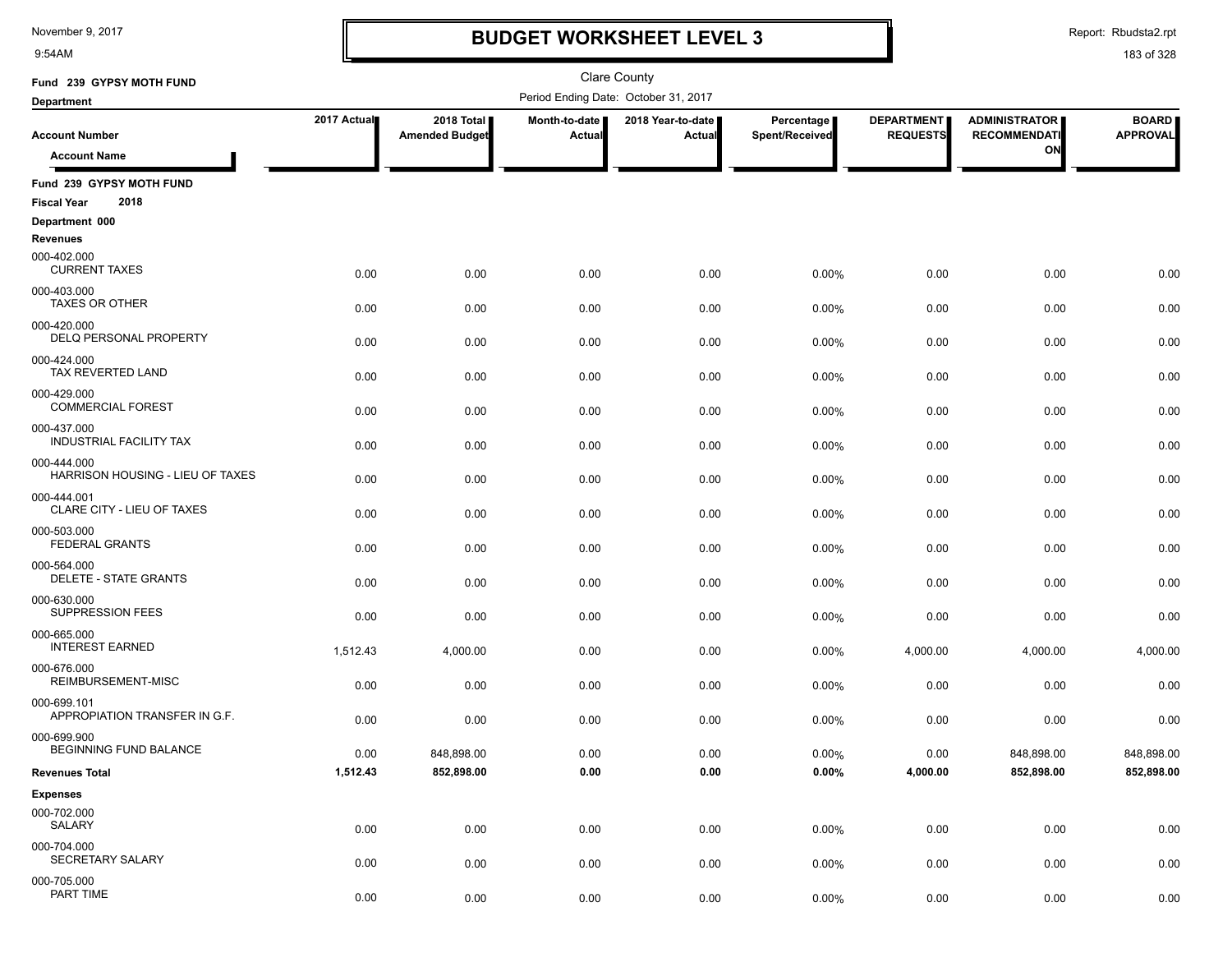9:54AM

### **BUDGET WORKSHEET LEVEL 3**

Clare County

Report: Rbudsta2.rpt

| Fund 239 GYPSY MOTH FUND                               |             |                                     |                           | <b>Clare County</b>                  |                                     |                                      |                                             |                                 |
|--------------------------------------------------------|-------------|-------------------------------------|---------------------------|--------------------------------------|-------------------------------------|--------------------------------------|---------------------------------------------|---------------------------------|
| <b>Department</b>                                      |             |                                     |                           | Period Ending Date: October 31, 2017 |                                     |                                      |                                             |                                 |
| <b>Account Number</b>                                  | 2017 Actual | 2018 Total<br><b>Amended Budget</b> | Month-to-date  <br>Actual | 2018 Year-to-date<br>Actual          | <b>Percentage</b><br>Spent/Received | <b>DEPARTMENT</b><br><b>REQUESTS</b> | <b>ADMINISTRATOR</b><br><b>RECOMMENDATI</b> | <b>BOARD</b><br><b>APPROVAL</b> |
| <b>Account Name</b>                                    |             |                                     |                           |                                      |                                     |                                      | ON                                          |                                 |
|                                                        |             |                                     |                           |                                      |                                     |                                      |                                             |                                 |
| Fund 239 GYPSY MOTH FUND<br>2018<br><b>Fiscal Year</b> |             |                                     |                           |                                      |                                     |                                      |                                             |                                 |
| Department 000                                         |             |                                     |                           |                                      |                                     |                                      |                                             |                                 |
| <b>Revenues</b>                                        |             |                                     |                           |                                      |                                     |                                      |                                             |                                 |
| 000-402.000<br><b>CURRENT TAXES</b>                    | 0.00        | 0.00                                | 0.00                      | 0.00                                 | 0.00%                               | 0.00                                 | 0.00                                        | 0.00                            |
| 000-403.000<br><b>TAXES OR OTHER</b>                   | 0.00        | 0.00                                | 0.00                      | 0.00                                 | 0.00%                               | 0.00                                 | 0.00                                        | 0.00                            |
| 000-420.000<br>DELQ PERSONAL PROPERTY                  | 0.00        | 0.00                                | 0.00                      | 0.00                                 | 0.00%                               | 0.00                                 | 0.00                                        | 0.00                            |
| 000-424.000<br>TAX REVERTED LAND                       | 0.00        | 0.00                                | 0.00                      | 0.00                                 | 0.00%                               | 0.00                                 | 0.00                                        | 0.00                            |
| 000-429.000<br><b>COMMERCIAL FOREST</b>                | 0.00        | 0.00                                | 0.00                      | 0.00                                 | 0.00%                               | 0.00                                 | 0.00                                        | 0.00                            |
| 000-437.000<br><b>INDUSTRIAL FACILITY TAX</b>          | 0.00        | 0.00                                | 0.00                      | 0.00                                 | 0.00%                               | 0.00                                 | 0.00                                        | 0.00                            |
| 000-444.000<br>HARRISON HOUSING - LIEU OF TAXES        | 0.00        | 0.00                                | 0.00                      | 0.00                                 | 0.00%                               | 0.00                                 | 0.00                                        | 0.00                            |
| 000-444.001<br>CLARE CITY - LIEU OF TAXES              | 0.00        | 0.00                                | 0.00                      | 0.00                                 | 0.00%                               | 0.00                                 | 0.00                                        | 0.00                            |
| 000-503.000<br><b>FEDERAL GRANTS</b>                   | 0.00        | 0.00                                | 0.00                      | 0.00                                 | 0.00%                               | 0.00                                 | 0.00                                        | 0.00                            |
| 000-564.000<br>DELETE - STATE GRANTS                   | 0.00        | 0.00                                | 0.00                      | 0.00                                 | 0.00%                               | 0.00                                 | 0.00                                        | 0.00                            |
| 000-630.000<br><b>SUPPRESSION FEES</b>                 | 0.00        | 0.00                                | 0.00                      | 0.00                                 | 0.00%                               | 0.00                                 | 0.00                                        | 0.00                            |
| 000-665.000<br><b>INTEREST EARNED</b>                  | 1,512.43    | 4,000.00                            | 0.00                      | 0.00                                 | 0.00%                               | 4,000.00                             | 4,000.00                                    | 4,000.00                        |
| 000-676.000<br>REIMBURSEMENT-MISC                      | 0.00        | 0.00                                | 0.00                      | 0.00                                 | 0.00%                               | 0.00                                 | 0.00                                        | 0.00                            |
| 000-699.101<br>APPROPIATION TRANSFER IN G.F.           | 0.00        | 0.00                                | 0.00                      | 0.00                                 | 0.00%                               | 0.00                                 | 0.00                                        | 0.00                            |
| 000-699.900<br>BEGINNING FUND BALANCE                  | 0.00        | 848,898.00                          | 0.00                      | 0.00                                 | 0.00%                               | 0.00                                 | 848,898.00                                  | 848,898.00                      |
| <b>Revenues Total</b>                                  | 1,512.43    | 852,898.00                          | $\bf 0.00$                | $\bf 0.00$                           | $0.00\%$                            | 4,000.00                             | 852,898.00                                  | 852,898.00                      |
| <b>Expenses</b>                                        |             |                                     |                           |                                      |                                     |                                      |                                             |                                 |
| 000-702.000<br>SALARY                                  | 0.00        | 0.00                                | 0.00                      | 0.00                                 | 0.00%                               | 0.00                                 | 0.00                                        | 0.00                            |
| 000-704.000<br>SECRETARY SALARY                        | 0.00        | 0.00                                | 0.00                      | 0.00                                 | 0.00%                               | 0.00                                 | 0.00                                        | 0.00                            |
| 000-705.000<br>PART TIME                               | 0.00        | 0.00                                | 0.00                      | 0.00                                 | 0.00%                               | 0.00                                 | 0.00                                        | 0.00                            |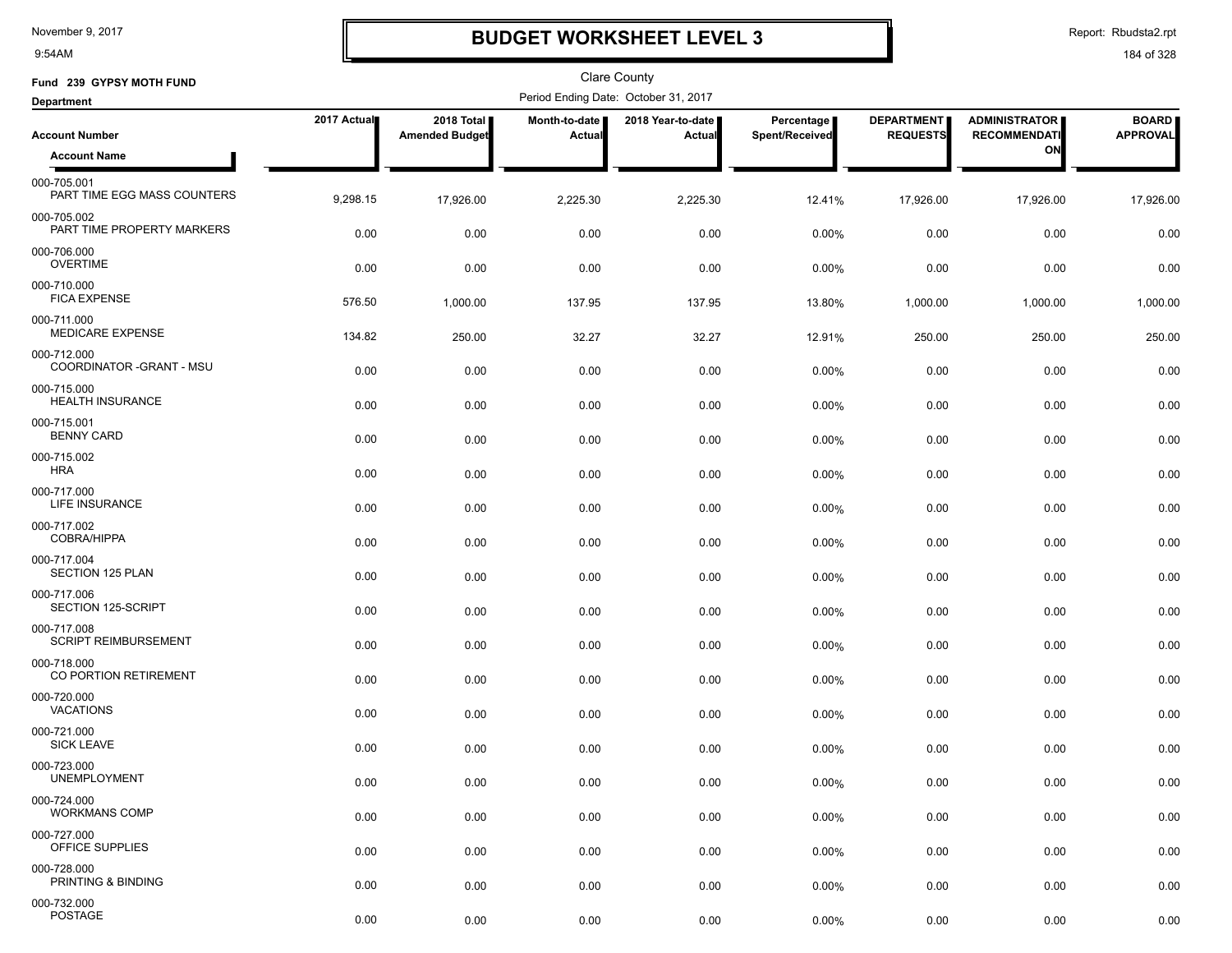9:54AM

### **BUDGET WORKSHEET LEVEL 3**

Report: Rbudsta2.rpt

| Fund 239 GYPSY MOTH FUND                                  |             |                                     |                         | <b>Clare County</b>                  |                              |                                      |                                             |                                 |
|-----------------------------------------------------------|-------------|-------------------------------------|-------------------------|--------------------------------------|------------------------------|--------------------------------------|---------------------------------------------|---------------------------------|
| <b>Department</b>                                         |             |                                     |                         | Period Ending Date: October 31, 2017 |                              |                                      |                                             |                                 |
| <b>Account Number</b>                                     | 2017 Actual | 2018 Total<br><b>Amended Budget</b> | Month-to-date<br>Actual | 2018 Year-to-date<br>Actual          | Percentage<br>Spent/Received | <b>DEPARTMENT</b><br><b>REQUESTS</b> | <b>ADMINISTRATOR</b><br><b>RECOMMENDATI</b> | <b>BOARD</b><br><b>APPROVAL</b> |
| <b>Account Name</b>                                       |             |                                     |                         |                                      |                              |                                      | ON                                          |                                 |
| 000-705.001<br>PART TIME EGG MASS COUNTERS                | 9,298.15    | 17,926.00                           | 2,225.30                | 2,225.30                             | 12.41%                       | 17,926.00                            | 17,926.00                                   | 17,926.00                       |
| 000-705.002<br>PART TIME PROPERTY MARKERS                 | 0.00        | 0.00                                | 0.00                    | 0.00                                 | 0.00%                        | 0.00                                 | 0.00                                        | 0.00                            |
| 000-706.000<br><b>OVERTIME</b>                            | 0.00        | 0.00                                | 0.00                    | 0.00                                 | 0.00%                        | 0.00                                 | 0.00                                        | 0.00                            |
| 000-710.000<br><b>FICA EXPENSE</b>                        | 576.50      | 1,000.00                            | 137.95                  | 137.95                               | 13.80%                       | 1,000.00                             | 1,000.00                                    | 1,000.00                        |
| 000-711.000<br><b>MEDICARE EXPENSE</b>                    | 134.82      | 250.00                              | 32.27                   | 32.27                                | 12.91%                       | 250.00                               | 250.00                                      | 250.00                          |
| 000-712.000<br>COORDINATOR - GRANT - MSU                  | 0.00        | 0.00                                | 0.00                    | 0.00                                 | 0.00%                        | 0.00                                 | 0.00                                        | 0.00                            |
| 000-715.000<br><b>HEALTH INSURANCE</b>                    | 0.00        | 0.00                                | 0.00                    | 0.00                                 | 0.00%                        | 0.00                                 | 0.00                                        | 0.00                            |
| 000-715.001<br><b>BENNY CARD</b>                          | 0.00        | 0.00                                | 0.00                    | 0.00                                 | 0.00%                        | 0.00                                 | 0.00                                        | 0.00                            |
| 000-715.002<br><b>HRA</b>                                 | 0.00        | 0.00                                | 0.00                    | 0.00                                 | 0.00%                        | 0.00                                 | 0.00                                        | 0.00                            |
| 000-717.000<br>LIFE INSURANCE                             | 0.00        | 0.00                                | 0.00                    | 0.00                                 | 0.00%                        | 0.00                                 | 0.00                                        | 0.00                            |
| 000-717.002<br><b>COBRA/HIPPA</b><br>000-717.004          | 0.00        | 0.00                                | 0.00                    | 0.00                                 | 0.00%                        | 0.00                                 | 0.00                                        | 0.00                            |
| SECTION 125 PLAN<br>000-717.006                           | 0.00        | 0.00                                | 0.00                    | 0.00                                 | 0.00%                        | 0.00                                 | 0.00                                        | 0.00                            |
| SECTION 125-SCRIPT                                        | 0.00        | 0.00                                | 0.00                    | 0.00                                 | 0.00%                        | 0.00                                 | 0.00                                        | 0.00                            |
| 000-717.008<br><b>SCRIPT REIMBURSEMENT</b><br>000-718.000 | 0.00        | 0.00                                | 0.00                    | 0.00                                 | 0.00%                        | 0.00                                 | 0.00                                        | 0.00                            |
| CO PORTION RETIREMENT<br>000-720.000                      | 0.00        | 0.00                                | 0.00                    | 0.00                                 | 0.00%                        | 0.00                                 | 0.00                                        | 0.00                            |
| VACATIONS<br>000-721.000                                  | 0.00        | 0.00                                | 0.00                    | 0.00                                 | 0.00%                        | 0.00                                 | 0.00                                        | 0.00                            |
| <b>SICK LEAVE</b><br>000-723.000                          | 0.00        | 0.00                                | 0.00                    | 0.00                                 | $0.00\%$                     | 0.00                                 | 0.00                                        | 0.00                            |
| <b>UNEMPLOYMENT</b>                                       | 0.00        | 0.00                                | 0.00                    | 0.00                                 | 0.00%                        | 0.00                                 | 0.00                                        | 0.00                            |
| 000-724.000<br><b>WORKMANS COMP</b>                       | 0.00        | 0.00                                | 0.00                    | 0.00                                 | $0.00\%$                     | 0.00                                 | 0.00                                        | 0.00                            |
| 000-727.000<br>OFFICE SUPPLIES                            | 0.00        | 0.00                                | 0.00                    | 0.00                                 | 0.00%                        | 0.00                                 | 0.00                                        | 0.00                            |
| 000-728.000<br>PRINTING & BINDING                         | 0.00        | 0.00                                | 0.00                    | 0.00                                 | 0.00%                        | 0.00                                 | 0.00                                        | 0.00                            |
| 000-732.000<br>POSTAGE                                    | 0.00        | 0.00                                | 0.00                    | 0.00                                 | 0.00%                        | 0.00                                 | 0.00                                        | 0.00                            |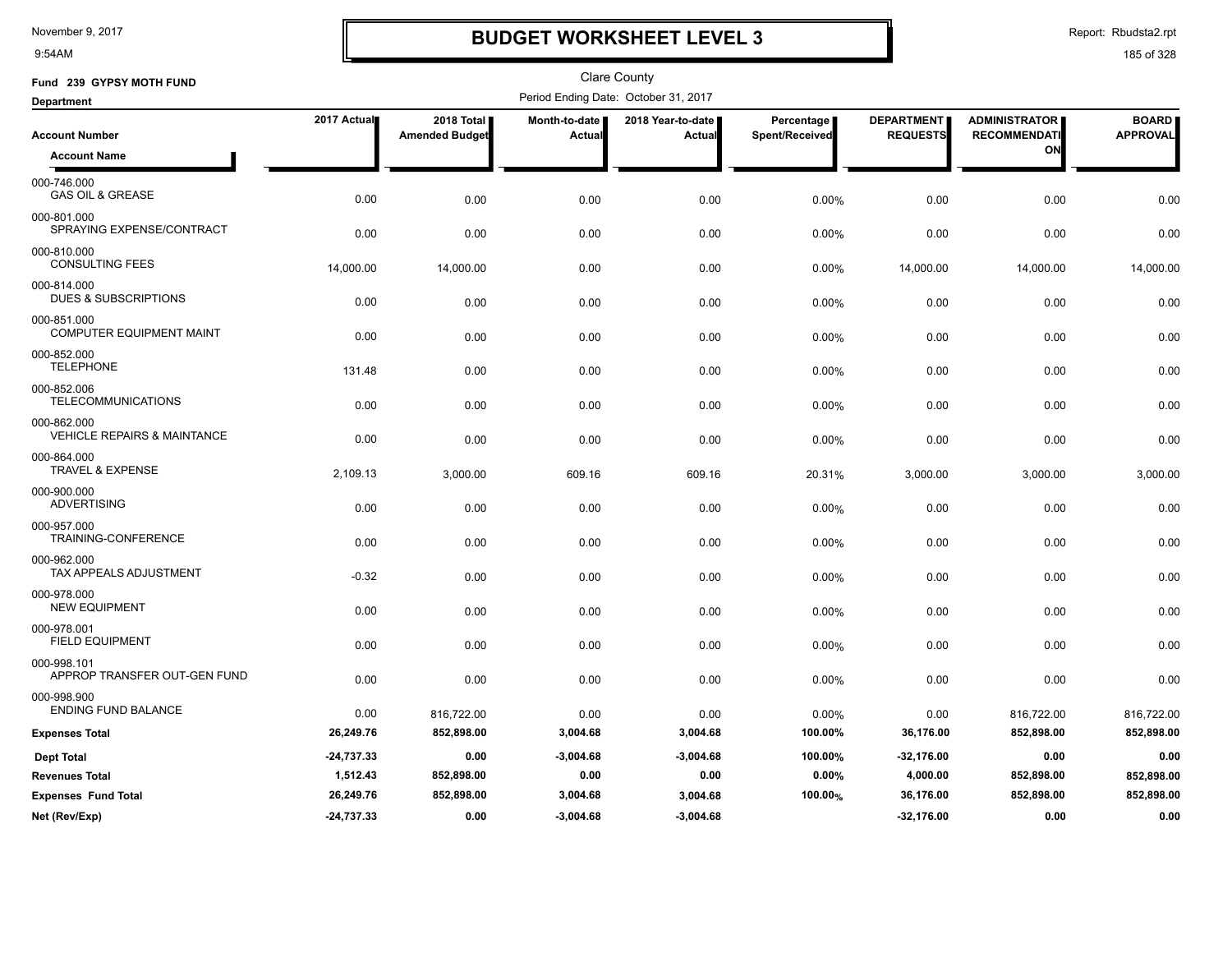9:54AM

### **BUDGET WORKSHEET LEVEL 3**

Report: Rbudsta2.rpt

| Fund 239 GYPSY MOTH FUND                              |              |                                     |                         | Clare County                         |                              |                                      |                                             |                                 |
|-------------------------------------------------------|--------------|-------------------------------------|-------------------------|--------------------------------------|------------------------------|--------------------------------------|---------------------------------------------|---------------------------------|
| <b>Department</b>                                     |              |                                     |                         | Period Ending Date: October 31, 2017 |                              |                                      |                                             |                                 |
| <b>Account Number</b>                                 | 2017 Actual  | 2018 Total<br><b>Amended Budget</b> | Month-to-date<br>Actual | 2018 Year-to-date<br>Actual          | Percentage<br>Spent/Received | <b>DEPARTMENT</b><br><b>REQUESTS</b> | <b>ADMINISTRATOR</b><br><b>RECOMMENDATI</b> | <b>BOARD</b><br><b>APPROVAL</b> |
| <b>Account Name</b>                                   |              |                                     |                         |                                      |                              |                                      | ON                                          |                                 |
| 000-746.000<br><b>GAS OIL &amp; GREASE</b>            | 0.00         | 0.00                                | 0.00                    | 0.00                                 | 0.00%                        | 0.00                                 | 0.00                                        | 0.00                            |
| 000-801.000<br>SPRAYING EXPENSE/CONTRACT              | 0.00         | 0.00                                | 0.00                    | 0.00                                 | 0.00%                        | 0.00                                 | 0.00                                        | 0.00                            |
| 000-810.000<br><b>CONSULTING FEES</b>                 | 14,000.00    | 14,000.00                           | 0.00                    | 0.00                                 | 0.00%                        | 14,000.00                            | 14,000.00                                   | 14,000.00                       |
| 000-814.000<br><b>DUES &amp; SUBSCRIPTIONS</b>        | 0.00         | 0.00                                | 0.00                    | 0.00                                 | 0.00%                        | 0.00                                 | 0.00                                        | 0.00                            |
| 000-851.000<br><b>COMPUTER EQUIPMENT MAINT</b>        | 0.00         | 0.00                                | 0.00                    | 0.00                                 | 0.00%                        | 0.00                                 | 0.00                                        | 0.00                            |
| 000-852.000<br><b>TELEPHONE</b>                       | 131.48       | 0.00                                | 0.00                    | 0.00                                 | 0.00%                        | 0.00                                 | 0.00                                        | 0.00                            |
| 000-852.006<br><b>TELECOMMUNICATIONS</b>              | 0.00         | 0.00                                | 0.00                    | 0.00                                 | 0.00%                        | 0.00                                 | 0.00                                        | 0.00                            |
| 000-862.000<br><b>VEHICLE REPAIRS &amp; MAINTANCE</b> | 0.00         | 0.00                                | 0.00                    | 0.00                                 | 0.00%                        | 0.00                                 | 0.00                                        | 0.00                            |
| 000-864.000<br><b>TRAVEL &amp; EXPENSE</b>            | 2,109.13     | 3,000.00                            | 609.16                  | 609.16                               | 20.31%                       | 3,000.00                             | 3,000.00                                    | 3,000.00                        |
| 000-900.000<br><b>ADVERTISING</b>                     | 0.00         | 0.00                                | 0.00                    | 0.00                                 | 0.00%                        | 0.00                                 | 0.00                                        | 0.00                            |
| 000-957.000<br>TRAINING-CONFERENCE                    | 0.00         | 0.00                                | 0.00                    | 0.00                                 | 0.00%                        | 0.00                                 | 0.00                                        | 0.00                            |
| 000-962.000<br><b>TAX APPEALS ADJUSTMENT</b>          | $-0.32$      | 0.00                                | 0.00                    | 0.00                                 | 0.00%                        | 0.00                                 | 0.00                                        | 0.00                            |
| 000-978.000<br><b>NEW EQUIPMENT</b>                   | 0.00         | 0.00                                | 0.00                    | 0.00                                 | 0.00%                        | 0.00                                 | 0.00                                        | 0.00                            |
| 000-978.001<br><b>FIELD EQUIPMENT</b>                 | 0.00         | 0.00                                | 0.00                    | 0.00                                 | 0.00%                        | 0.00                                 | 0.00                                        | 0.00                            |
| 000-998.101<br>APPROP TRANSFER OUT-GEN FUND           | 0.00         | 0.00                                | 0.00                    | 0.00                                 | 0.00%                        | 0.00                                 | 0.00                                        | 0.00                            |
| 000-998.900<br><b>ENDING FUND BALANCE</b>             | 0.00         | 816,722.00                          | 0.00                    | 0.00                                 | 0.00%                        | 0.00                                 | 816,722.00                                  | 816,722.00                      |
| <b>Expenses Total</b>                                 | 26,249.76    | 852,898.00                          | 3,004.68                | 3,004.68                             | 100.00%                      | 36,176.00                            | 852,898.00                                  | 852,898.00                      |
| <b>Dept Total</b>                                     | $-24,737.33$ | 0.00                                | $-3,004.68$             | $-3,004.68$                          | 100.00%                      | -32,176.00                           | 0.00                                        | 0.00                            |
| <b>Revenues Total</b>                                 | 1,512.43     | 852,898.00                          | 0.00                    | 0.00                                 | 0.00%                        | 4,000.00                             | 852,898.00                                  | 852,898.00                      |
| <b>Expenses Fund Total</b>                            | 26,249.76    | 852,898.00                          | 3,004.68                | 3,004.68                             | 100.00%                      | 36,176.00                            | 852,898.00                                  | 852,898.00                      |
| Net (Rev/Exp)                                         | $-24,737.33$ | 0.00                                | $-3,004.68$             | $-3,004.68$                          |                              | $-32,176.00$                         | 0.00                                        | 0.00                            |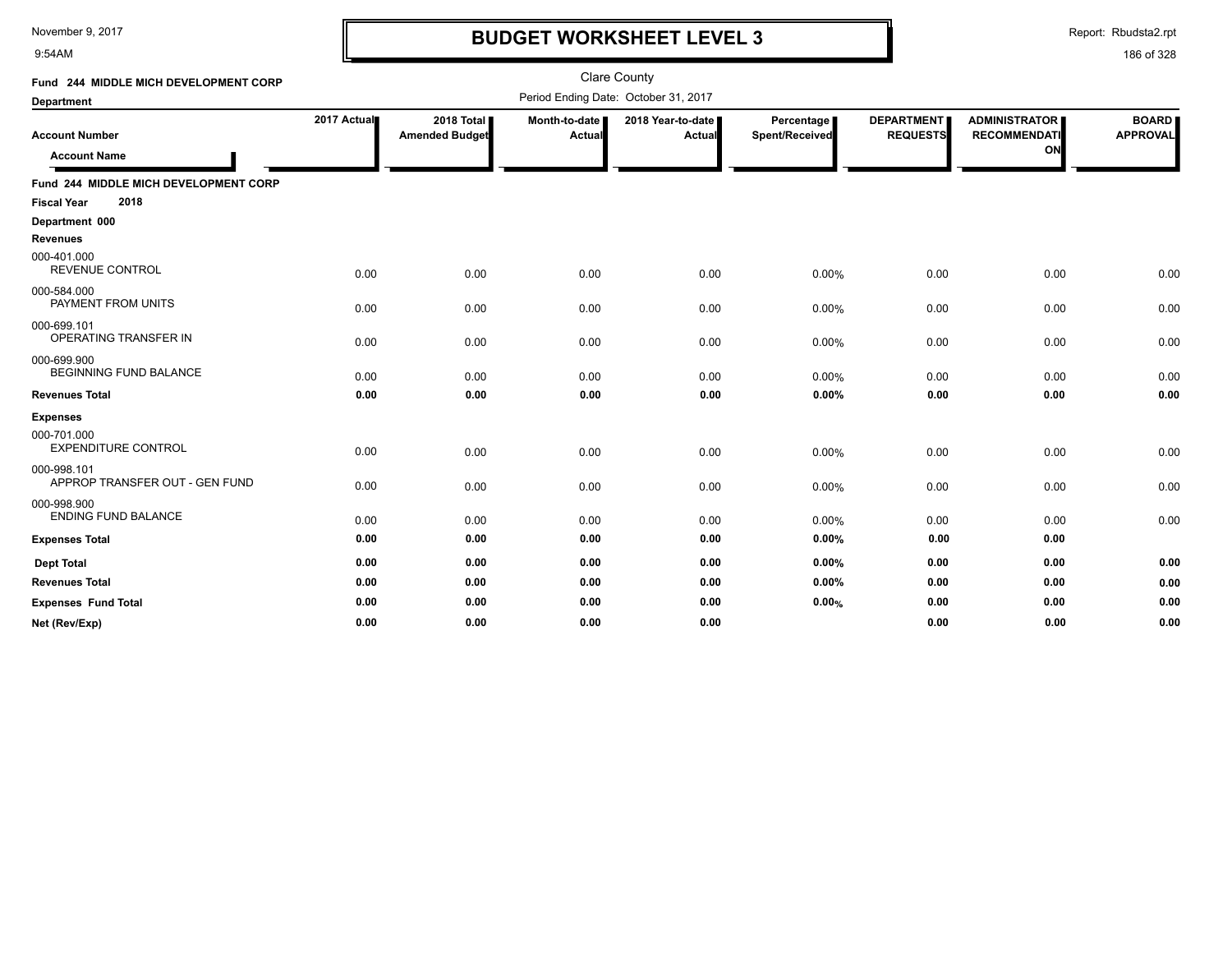9:54AM

# **BUDGET WORKSHEET LEVEL 3**

Report: Rbudsta2.rpt

| Fund 244 MIDDLE MICH DEVELOPMENT CORP         |             |                                     |                         | <b>Clare County</b>                  |                              |                                      |                                                   |                                 |
|-----------------------------------------------|-------------|-------------------------------------|-------------------------|--------------------------------------|------------------------------|--------------------------------------|---------------------------------------------------|---------------------------------|
| <b>Department</b>                             |             |                                     |                         | Period Ending Date: October 31, 2017 |                              |                                      |                                                   |                                 |
| <b>Account Number</b><br><b>Account Name</b>  | 2017 Actual | 2018 Total<br><b>Amended Budget</b> | Month-to-date<br>Actual | 2018 Year-to-date<br>Actual          | Percentage<br>Spent/Received | <b>DEPARTMENT</b><br><b>REQUESTS</b> | <b>ADMINISTRATOR</b><br><b>RECOMMENDATI</b><br>ON | <b>BOARD</b><br><b>APPROVAL</b> |
| Fund 244 MIDDLE MICH DEVELOPMENT CORP         |             |                                     |                         |                                      |                              |                                      |                                                   |                                 |
| 2018<br><b>Fiscal Year</b>                    |             |                                     |                         |                                      |                              |                                      |                                                   |                                 |
| Department 000                                |             |                                     |                         |                                      |                              |                                      |                                                   |                                 |
| <b>Revenues</b>                               |             |                                     |                         |                                      |                              |                                      |                                                   |                                 |
| 000-401.000<br><b>REVENUE CONTROL</b>         | 0.00        | 0.00                                | 0.00                    | 0.00                                 | 0.00%                        | 0.00                                 | 0.00                                              | 0.00                            |
| 000-584.000<br>PAYMENT FROM UNITS             | 0.00        | 0.00                                | 0.00                    | 0.00                                 | 0.00%                        | 0.00                                 | 0.00                                              | 0.00                            |
| 000-699.101<br>OPERATING TRANSFER IN          | 0.00        | 0.00                                | 0.00                    | 0.00                                 | 0.00%                        | 0.00                                 | 0.00                                              | 0.00                            |
| 000-699.900<br><b>BEGINNING FUND BALANCE</b>  | 0.00        | 0.00                                | 0.00                    | 0.00                                 | 0.00%                        | 0.00                                 | 0.00                                              | 0.00                            |
| <b>Revenues Total</b>                         | 0.00        | 0.00                                | 0.00                    | 0.00                                 | 0.00%                        | 0.00                                 | 0.00                                              | 0.00                            |
| <b>Expenses</b>                               |             |                                     |                         |                                      |                              |                                      |                                                   |                                 |
| 000-701.000<br><b>EXPENDITURE CONTROL</b>     | 0.00        | 0.00                                | 0.00                    | 0.00                                 | 0.00%                        | 0.00                                 | 0.00                                              | 0.00                            |
| 000-998.101<br>APPROP TRANSFER OUT - GEN FUND | 0.00        | 0.00                                | 0.00                    | 0.00                                 | 0.00%                        | 0.00                                 | 0.00                                              | 0.00                            |
| 000-998.900<br><b>ENDING FUND BALANCE</b>     | 0.00        | 0.00                                | 0.00                    | 0.00                                 | 0.00%                        | 0.00                                 | 0.00                                              | 0.00                            |
| <b>Expenses Total</b>                         | 0.00        | 0.00                                | 0.00                    | 0.00                                 | 0.00%                        | 0.00                                 | 0.00                                              |                                 |
| <b>Dept Total</b>                             | 0.00        | 0.00                                | 0.00                    | 0.00                                 | 0.00%                        | 0.00                                 | 0.00                                              | 0.00                            |
| <b>Revenues Total</b>                         | 0.00        | 0.00                                | 0.00                    | 0.00                                 | 0.00%                        | 0.00                                 | 0.00                                              | 0.00                            |
| <b>Expenses Fund Total</b>                    | 0.00        | 0.00                                | 0.00                    | 0.00                                 | 0.00%                        | 0.00                                 | 0.00                                              | 0.00                            |
| Net (Rev/Exp)                                 | 0.00        | 0.00                                | 0.00                    | 0.00                                 |                              | 0.00                                 | 0.00                                              | 0.00                            |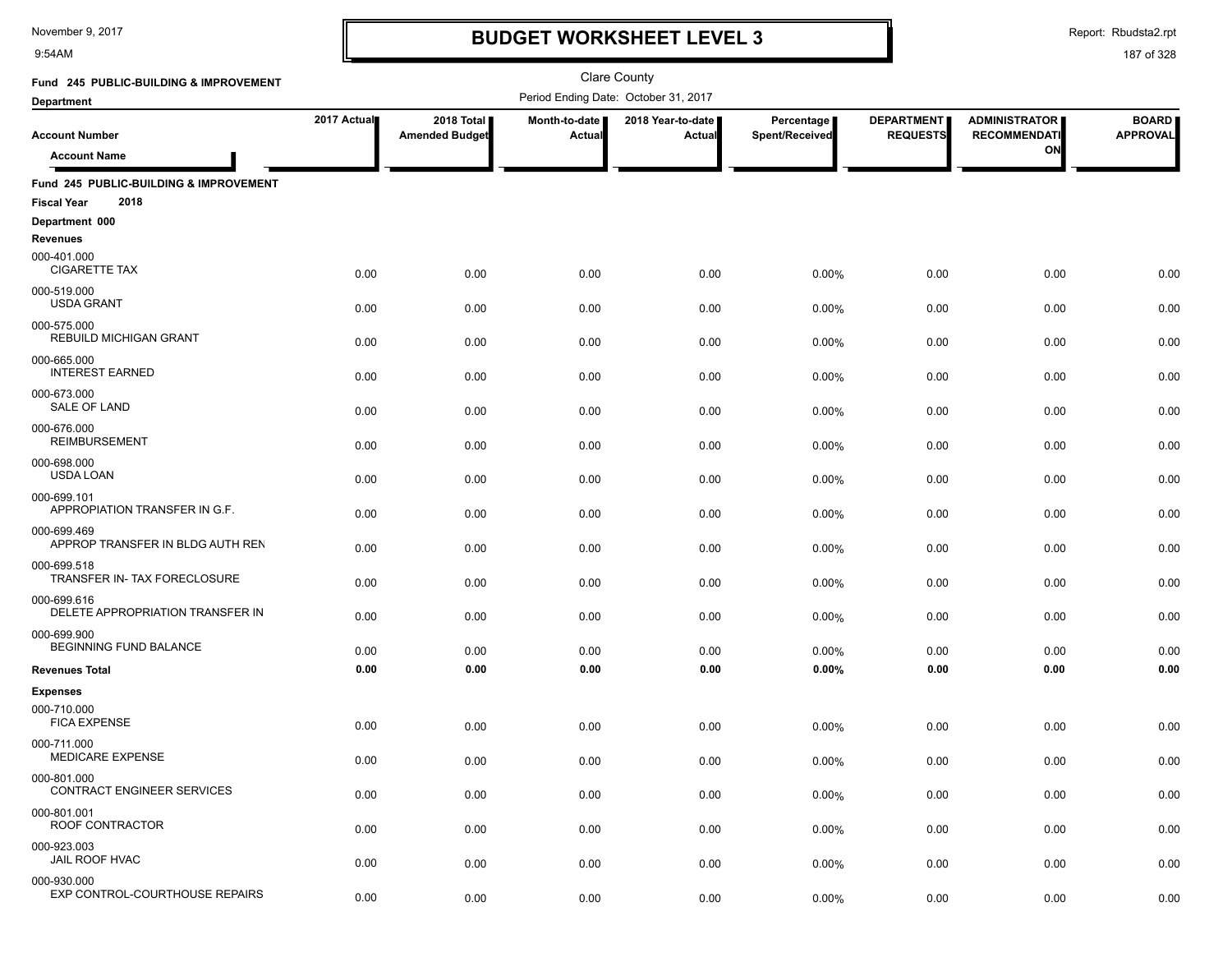9:54AM

### **BUDGET WORKSHEET LEVEL 3**

Report: Rbudsta2.rpt

| Fund 245 PUBLIC-BUILDING & IMPROVEMENT                               |             |                                     |                         | <b>Clare County</b>                  |                              |                                      |                                             |                                 |
|----------------------------------------------------------------------|-------------|-------------------------------------|-------------------------|--------------------------------------|------------------------------|--------------------------------------|---------------------------------------------|---------------------------------|
| <b>Department</b>                                                    |             |                                     |                         | Period Ending Date: October 31, 2017 |                              |                                      |                                             |                                 |
| <b>Account Number</b>                                                | 2017 Actual | 2018 Total<br><b>Amended Budget</b> | Month-to-date<br>Actual | 2018 Year-to-date<br>Actual          | Percentage<br>Spent/Received | <b>DEPARTMENT</b><br><b>REQUESTS</b> | <b>ADMINISTRATOR</b><br><b>RECOMMENDATI</b> | <b>BOARD</b><br><b>APPROVAL</b> |
| <b>Account Name</b>                                                  |             |                                     |                         |                                      |                              |                                      | ON                                          |                                 |
| Fund 245 PUBLIC-BUILDING & IMPROVEMENT<br>2018<br><b>Fiscal Year</b> |             |                                     |                         |                                      |                              |                                      |                                             |                                 |
| Department 000                                                       |             |                                     |                         |                                      |                              |                                      |                                             |                                 |
| <b>Revenues</b>                                                      |             |                                     |                         |                                      |                              |                                      |                                             |                                 |
| 000-401.000<br><b>CIGARETTE TAX</b>                                  | 0.00        | 0.00                                | 0.00                    | 0.00                                 | 0.00%                        | 0.00                                 | 0.00                                        | 0.00                            |
| 000-519.000<br><b>USDA GRANT</b>                                     | 0.00        | 0.00                                | 0.00                    | 0.00                                 | 0.00%                        | 0.00                                 | 0.00                                        | 0.00                            |
| 000-575.000<br><b>REBUILD MICHIGAN GRANT</b>                         | 0.00        | 0.00                                | 0.00                    | 0.00                                 | 0.00%                        | 0.00                                 | 0.00                                        | 0.00                            |
| 000-665.000<br><b>INTEREST EARNED</b>                                | 0.00        | 0.00                                | 0.00                    | 0.00                                 | 0.00%                        | 0.00                                 | 0.00                                        | 0.00                            |
| 000-673.000<br><b>SALE OF LAND</b>                                   | 0.00        | 0.00                                | 0.00                    | 0.00                                 | 0.00%                        | 0.00                                 | 0.00                                        | 0.00                            |
| 000-676.000<br><b>REIMBURSEMENT</b>                                  | 0.00        | 0.00                                | 0.00                    | 0.00                                 | 0.00%                        | 0.00                                 | 0.00                                        | 0.00                            |
| 000-698.000<br>USDA LOAN                                             | 0.00        | 0.00                                | 0.00                    | 0.00                                 | 0.00%                        | 0.00                                 | 0.00                                        | 0.00                            |
| 000-699.101<br>APPROPIATION TRANSFER IN G.F.                         | 0.00        | 0.00                                | 0.00                    | 0.00                                 | 0.00%                        | 0.00                                 | 0.00                                        | 0.00                            |
| 000-699.469<br>APPROP TRANSFER IN BLDG AUTH REN                      | 0.00        | 0.00                                | 0.00                    | 0.00                                 | 0.00%                        | 0.00                                 | 0.00                                        | 0.00                            |
| 000-699.518<br>TRANSFER IN- TAX FORECLOSURE                          | 0.00        | 0.00                                | 0.00                    | 0.00                                 | 0.00%                        | 0.00                                 | 0.00                                        | 0.00                            |
| 000-699.616<br>DELETE APPROPRIATION TRANSFER IN                      | 0.00        | 0.00                                | 0.00                    | 0.00                                 | 0.00%                        | 0.00                                 | 0.00                                        | 0.00                            |
| 000-699.900<br>BEGINNING FUND BALANCE                                | 0.00        | 0.00                                | 0.00                    | 0.00                                 | 0.00%                        | 0.00                                 | 0.00                                        | 0.00                            |
| <b>Revenues Total</b>                                                | 0.00        | 0.00                                | 0.00                    | 0.00                                 | 0.00%                        | 0.00                                 | 0.00                                        | 0.00                            |
| <b>Expenses</b>                                                      |             |                                     |                         |                                      |                              |                                      |                                             |                                 |
| 000-710.000<br><b>FICA EXPENSE</b>                                   | 0.00        | 0.00                                | 0.00                    | 0.00                                 | 0.00%                        | 0.00                                 | 0.00                                        | 0.00                            |
| 000-711.000<br><b>MEDICARE EXPENSE</b>                               | 0.00        | 0.00                                | 0.00                    | 0.00                                 | 0.00%                        | 0.00                                 | 0.00                                        | 0.00                            |
| 000-801.000<br>CONTRACT ENGINEER SERVICES                            | 0.00        | 0.00                                | 0.00                    | 0.00                                 | 0.00%                        | 0.00                                 | 0.00                                        | 0.00                            |
| 000-801.001<br>ROOF CONTRACTOR                                       | 0.00        | 0.00                                | 0.00                    | 0.00                                 | 0.00%                        | 0.00                                 | 0.00                                        | 0.00                            |
| 000-923.003<br>JAIL ROOF HVAC                                        | 0.00        | 0.00                                | 0.00                    | 0.00                                 | 0.00%                        | 0.00                                 | 0.00                                        | 0.00                            |
| 000-930.000<br>EXP CONTROL-COURTHOUSE REPAIRS                        | 0.00        | 0.00                                | 0.00                    | 0.00                                 | 0.00%                        | 0.00                                 | 0.00                                        | 0.00                            |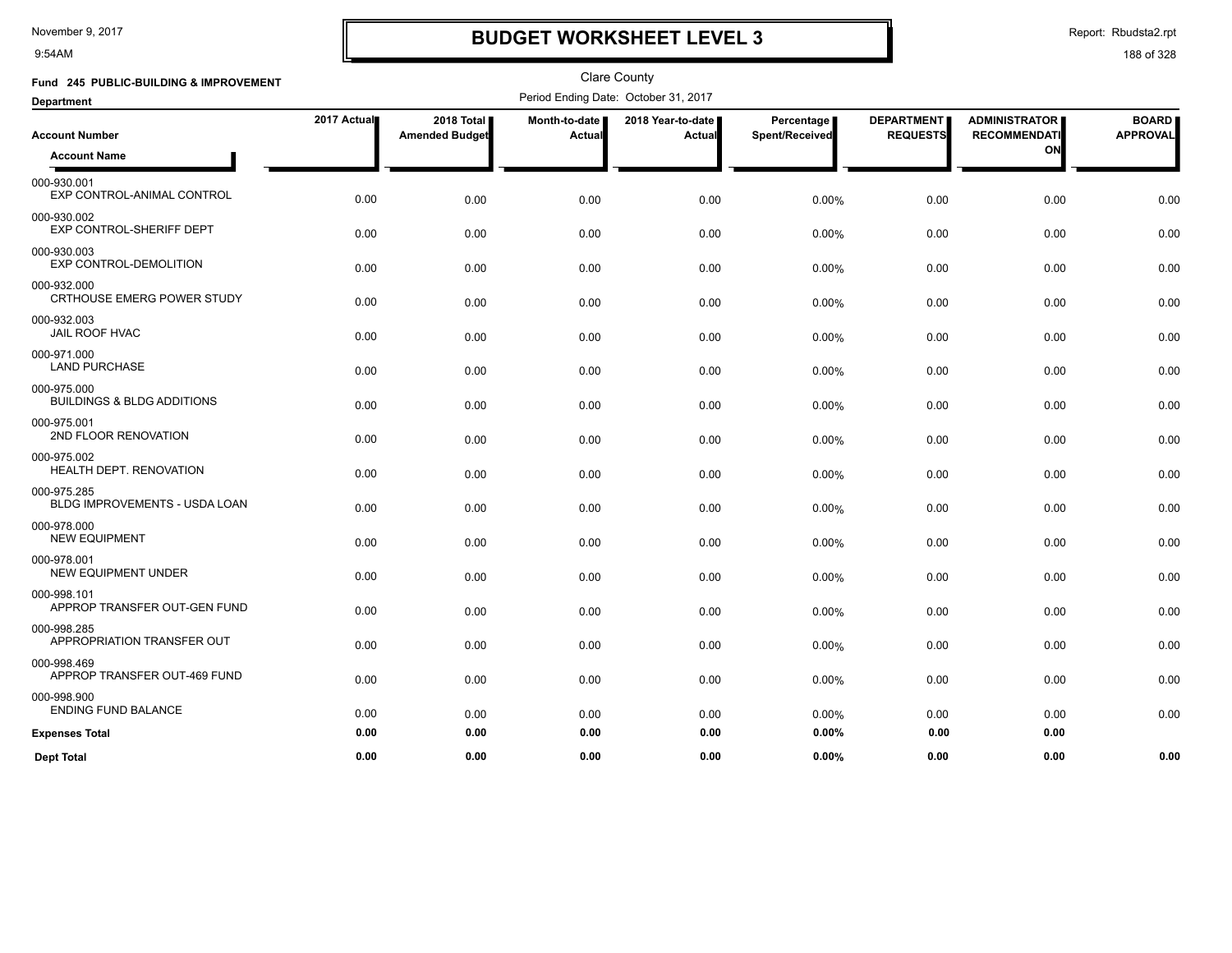9:54AM

## **BUDGET WORKSHEET LEVEL 3**

Report: Rbudsta2.rpt

| Fund 245 PUBLIC-BUILDING & IMPROVEMENT               |             |                                     | <b>Clare County</b><br>Period Ending Date: October 31, 2017 |                             |                              |                                      |                                             |                                 |  |
|------------------------------------------------------|-------------|-------------------------------------|-------------------------------------------------------------|-----------------------------|------------------------------|--------------------------------------|---------------------------------------------|---------------------------------|--|
| <b>Department</b>                                    |             |                                     |                                                             |                             |                              |                                      |                                             |                                 |  |
| <b>Account Number</b>                                | 2017 Actual | 2018 Total<br><b>Amended Budget</b> | Month-to-date<br>Actual                                     | 2018 Year-to-date<br>Actual | Percentage<br>Spent/Received | <b>DEPARTMENT</b><br><b>REQUESTS</b> | <b>ADMINISTRATOR</b><br><b>RECOMMENDATI</b> | <b>BOARD</b><br><b>APPROVAL</b> |  |
| <b>Account Name</b>                                  |             |                                     |                                                             |                             |                              |                                      | ON                                          |                                 |  |
| 000-930.001<br>EXP CONTROL-ANIMAL CONTROL            | 0.00        | 0.00                                | 0.00                                                        | 0.00                        | 0.00%                        | 0.00                                 | 0.00                                        | 0.00                            |  |
| 000-930.002<br>EXP CONTROL-SHERIFF DEPT              | 0.00        | 0.00                                | 0.00                                                        | 0.00                        | 0.00%                        | 0.00                                 | 0.00                                        | 0.00                            |  |
| 000-930.003<br><b>EXP CONTROL-DEMOLITION</b>         | 0.00        | 0.00                                | 0.00                                                        | 0.00                        | 0.00%                        | 0.00                                 | 0.00                                        | 0.00                            |  |
| 000-932.000<br><b>CRTHOUSE EMERG POWER STUDY</b>     | 0.00        | 0.00                                | 0.00                                                        | 0.00                        | 0.00%                        | 0.00                                 | 0.00                                        | 0.00                            |  |
| 000-932.003<br><b>JAIL ROOF HVAC</b>                 | 0.00        | 0.00                                | 0.00                                                        | 0.00                        | 0.00%                        | 0.00                                 | 0.00                                        | 0.00                            |  |
| 000-971.000<br><b>LAND PURCHASE</b>                  | 0.00        | 0.00                                | 0.00                                                        | 0.00                        | 0.00%                        | 0.00                                 | 0.00                                        | 0.00                            |  |
| 000-975.000<br><b>BUILDINGS &amp; BLDG ADDITIONS</b> | 0.00        | 0.00                                | 0.00                                                        | 0.00                        | 0.00%                        | 0.00                                 | 0.00                                        | 0.00                            |  |
| 000-975.001<br>2ND FLOOR RENOVATION                  | 0.00        | 0.00                                | 0.00                                                        | 0.00                        | 0.00%                        | 0.00                                 | 0.00                                        | 0.00                            |  |
| 000-975.002<br>HEALTH DEPT. RENOVATION               | 0.00        | 0.00                                | 0.00                                                        | 0.00                        | 0.00%                        | 0.00                                 | 0.00                                        | 0.00                            |  |
| 000-975.285<br><b>BLDG IMPROVEMENTS - USDA LOAN</b>  | 0.00        | 0.00                                | 0.00                                                        | 0.00                        | 0.00%                        | 0.00                                 | 0.00                                        | 0.00                            |  |
| 000-978.000<br><b>NEW EQUIPMENT</b>                  | 0.00        | 0.00                                | 0.00                                                        | 0.00                        | 0.00%                        | 0.00                                 | 0.00                                        | 0.00                            |  |
| 000-978.001<br><b>NEW EQUIPMENT UNDER</b>            | 0.00        | 0.00                                | 0.00                                                        | 0.00                        | 0.00%                        | 0.00                                 | 0.00                                        | 0.00                            |  |
| 000-998.101<br>APPROP TRANSFER OUT-GEN FUND          | 0.00        | 0.00                                | 0.00                                                        | 0.00                        | 0.00%                        | 0.00                                 | 0.00                                        | 0.00                            |  |
| 000-998.285<br>APPROPRIATION TRANSFER OUT            | 0.00        | 0.00                                | 0.00                                                        | 0.00                        | 0.00%                        | 0.00                                 | 0.00                                        | 0.00                            |  |
| 000-998.469<br>APPROP TRANSFER OUT-469 FUND          | 0.00        | 0.00                                | 0.00                                                        | 0.00                        | 0.00%                        | 0.00                                 | 0.00                                        | 0.00                            |  |
| 000-998.900<br><b>ENDING FUND BALANCE</b>            | 0.00        | 0.00                                | 0.00                                                        | 0.00                        | 0.00%                        | 0.00                                 | 0.00                                        | 0.00                            |  |
| <b>Expenses Total</b>                                | 0.00        | 0.00                                | 0.00                                                        | 0.00                        | 0.00%                        | 0.00                                 | 0.00                                        |                                 |  |
| <b>Dept Total</b>                                    | 0.00        | 0.00                                | 0.00                                                        | 0.00                        | 0.00%                        | 0.00                                 | 0.00                                        | 0.00                            |  |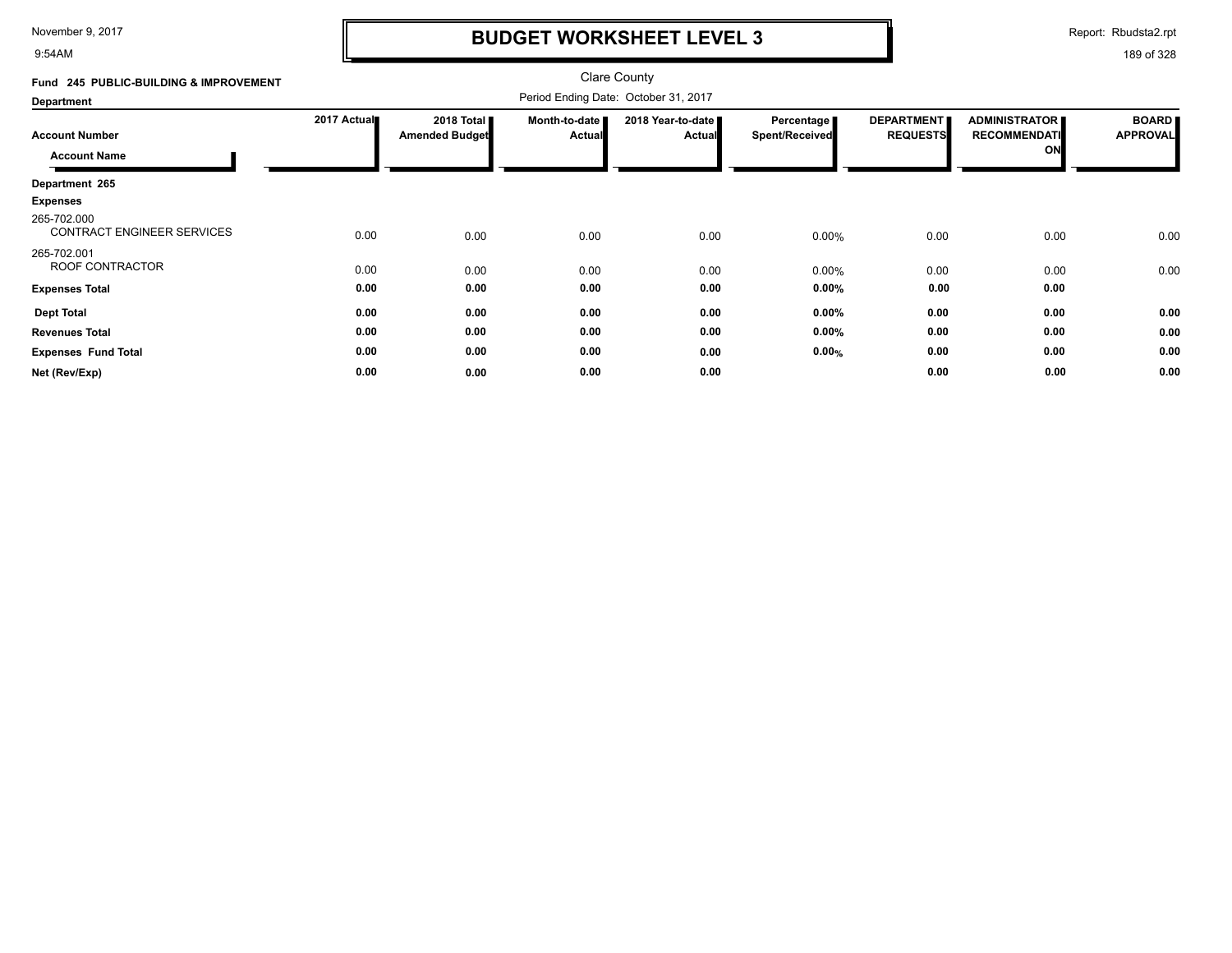9:54AM

## **BUDGET WORKSHEET LEVEL 3**

Report: Rbudsta2.rpt

| Fund 245 PUBLIC-BUILDING & IMPROVEMENT       |             |                                     |                         | <b>Clare County</b>                  |                              |                                      |                                                   |                                 |
|----------------------------------------------|-------------|-------------------------------------|-------------------------|--------------------------------------|------------------------------|--------------------------------------|---------------------------------------------------|---------------------------------|
| <b>Department</b>                            |             |                                     |                         | Period Ending Date: October 31, 2017 |                              |                                      |                                                   |                                 |
| <b>Account Number</b><br><b>Account Name</b> | 2017 Actual | 2018 Total<br><b>Amended Budget</b> | Month-to-date<br>Actual | 2018 Year-to-date<br><b>Actual</b>   | Percentage<br>Spent/Received | <b>DEPARTMENT</b><br><b>REQUESTS</b> | <b>ADMINISTRATOR</b><br><b>RECOMMENDATI</b><br>ON | <b>BOARD</b><br><b>APPROVAL</b> |
| Department 265                               |             |                                     |                         |                                      |                              |                                      |                                                   |                                 |
| <b>Expenses</b>                              |             |                                     |                         |                                      |                              |                                      |                                                   |                                 |
| 265-702.000<br>CONTRACT ENGINEER SERVICES    | 0.00        | 0.00                                | 0.00                    | 0.00                                 | $0.00\%$                     | 0.00                                 | 0.00                                              | 0.00                            |
| 265-702.001<br>ROOF CONTRACTOR               | 0.00        | 0.00                                | 0.00                    | 0.00                                 | 0.00%                        | 0.00                                 | 0.00                                              | 0.00                            |
| <b>Expenses Total</b>                        | 0.00        | 0.00                                | 0.00                    | 0.00                                 | $0.00\%$                     | 0.00                                 | 0.00                                              |                                 |
| <b>Dept Total</b>                            | 0.00        | 0.00                                | 0.00                    | 0.00                                 | $0.00\%$                     | 0.00                                 | 0.00                                              | 0.00                            |
| <b>Revenues Total</b>                        | 0.00        | 0.00                                | 0.00                    | 0.00                                 | $0.00\%$                     | 0.00                                 | 0.00                                              | 0.00                            |
| <b>Expenses Fund Total</b>                   | 0.00        | 0.00                                | 0.00                    | 0.00                                 | 0.00%                        | 0.00                                 | 0.00                                              | 0.00                            |
| Net (Rev/Exp)                                | 0.00        | 0.00                                | 0.00                    | 0.00                                 |                              | 0.00                                 | 0.00                                              | 0.00                            |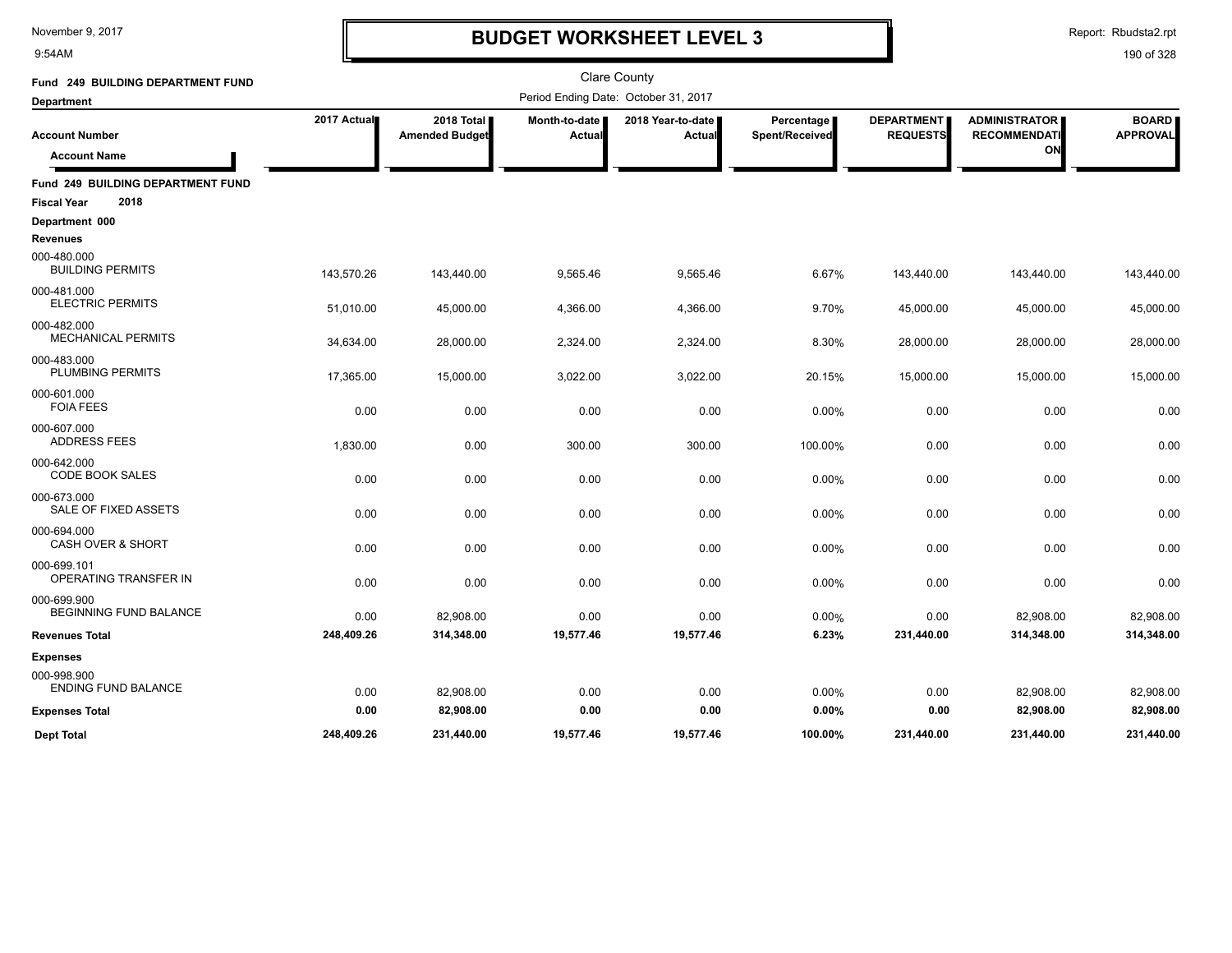9:54AM

## **BUDGET WORKSHEET LEVEL 3**

Report: Rbudsta2.rpt

| Fund 249 BUILDING DEPARTMENT FUND            |             |                                     |                         | <b>Clare County</b>                  |                              |                               |                                             |                                 |
|----------------------------------------------|-------------|-------------------------------------|-------------------------|--------------------------------------|------------------------------|-------------------------------|---------------------------------------------|---------------------------------|
| <b>Department</b>                            |             |                                     |                         | Period Ending Date: October 31, 2017 |                              |                               |                                             |                                 |
| <b>Account Number</b>                        | 2017 Actual | 2018 Total<br><b>Amended Budget</b> | Month-to-date<br>Actual | 2018 Year-to-date  <br>Actual        | Percentage<br>Spent/Received | DEPARTMENT<br><b>REQUESTS</b> | <b>ADMINISTRATOR</b><br><b>RECOMMENDATI</b> | <b>BOARD</b><br><b>APPROVAL</b> |
| <b>Account Name</b>                          |             |                                     |                         |                                      |                              |                               | ON                                          |                                 |
| Fund 249 BUILDING DEPARTMENT FUND            |             |                                     |                         |                                      |                              |                               |                                             |                                 |
| 2018<br><b>Fiscal Year</b>                   |             |                                     |                         |                                      |                              |                               |                                             |                                 |
| Department 000<br><b>Revenues</b>            |             |                                     |                         |                                      |                              |                               |                                             |                                 |
| 000-480.000<br><b>BUILDING PERMITS</b>       | 143,570.26  | 143,440.00                          | 9,565.46                | 9,565.46                             | 6.67%                        | 143,440.00                    | 143,440.00                                  | 143,440.00                      |
| 000-481.000<br><b>ELECTRIC PERMITS</b>       | 51,010.00   | 45,000.00                           | 4,366.00                | 4,366.00                             | 9.70%                        | 45,000.00                     | 45,000.00                                   | 45,000.00                       |
| 000-482.000<br><b>MECHANICAL PERMITS</b>     | 34,634.00   | 28,000.00                           | 2,324.00                | 2,324.00                             | 8.30%                        | 28,000.00                     | 28,000.00                                   | 28,000.00                       |
| 000-483.000<br>PLUMBING PERMITS              | 17,365.00   | 15,000.00                           | 3,022.00                | 3,022.00                             | 20.15%                       | 15,000.00                     | 15,000.00                                   | 15,000.00                       |
| 000-601.000<br><b>FOIA FEES</b>              | 0.00        | 0.00                                | 0.00                    | 0.00                                 | 0.00%                        | 0.00                          | 0.00                                        | 0.00                            |
| 000-607.000<br><b>ADDRESS FEES</b>           | 1,830.00    | 0.00                                | 300.00                  | 300.00                               | 100.00%                      | 0.00                          | 0.00                                        | 0.00                            |
| 000-642.000<br><b>CODE BOOK SALES</b>        | 0.00        | 0.00                                | 0.00                    | 0.00                                 | 0.00%                        | 0.00                          | 0.00                                        | 0.00                            |
| 000-673.000<br>SALE OF FIXED ASSETS          | 0.00        | 0.00                                | 0.00                    | 0.00                                 | 0.00%                        | 0.00                          | 0.00                                        | 0.00                            |
| 000-694.000<br><b>CASH OVER &amp; SHORT</b>  | 0.00        | 0.00                                | 0.00                    | 0.00                                 | 0.00%                        | 0.00                          | 0.00                                        | 0.00                            |
| 000-699.101<br>OPERATING TRANSFER IN         | 0.00        | 0.00                                | 0.00                    | 0.00                                 | 0.00%                        | 0.00                          | 0.00                                        | 0.00                            |
| 000-699.900<br><b>BEGINNING FUND BALANCE</b> | 0.00        | 82,908.00                           | 0.00                    | 0.00                                 | 0.00%                        | 0.00                          | 82,908.00                                   | 82,908.00                       |
| <b>Revenues Total</b>                        | 248,409.26  | 314,348.00                          | 19,577.46               | 19,577.46                            | 6.23%                        | 231,440.00                    | 314,348.00                                  | 314,348.00                      |
| <b>Expenses</b>                              |             |                                     |                         |                                      |                              |                               |                                             |                                 |
| 000-998.900<br><b>ENDING FUND BALANCE</b>    | 0.00        | 82,908.00                           | 0.00                    | 0.00                                 | 0.00%                        | 0.00                          | 82,908.00                                   | 82,908.00                       |
| <b>Expenses Total</b>                        | 0.00        | 82,908.00                           | 0.00                    | 0.00                                 | 0.00%                        | 0.00                          | 82,908.00                                   | 82,908.00                       |
| <b>Dept Total</b>                            | 248,409.26  | 231,440.00                          | 19,577.46               | 19,577.46                            | 100.00%                      | 231,440.00                    | 231,440.00                                  | 231,440.00                      |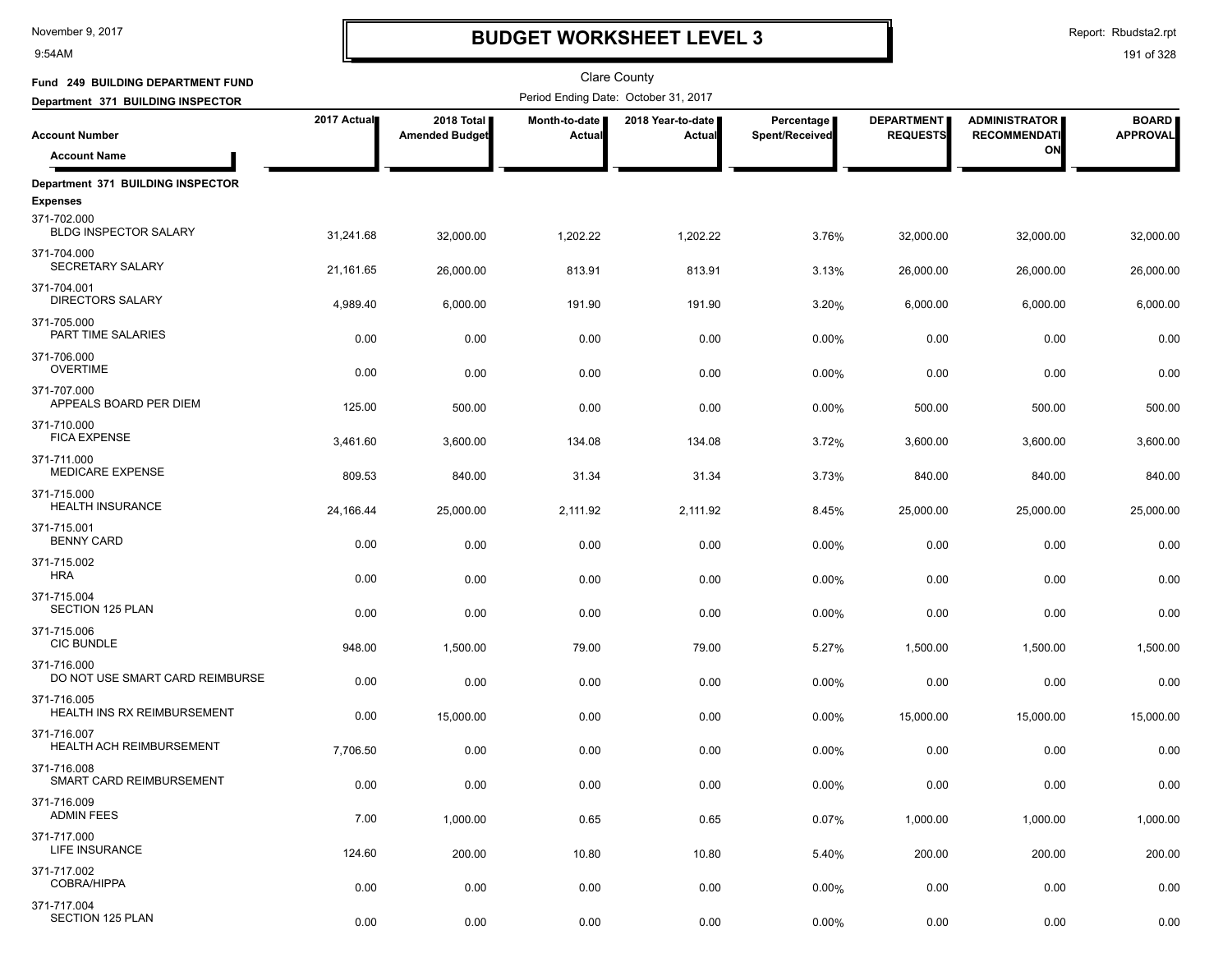9:54AM

# **BUDGET WORKSHEET LEVEL 3**

| Fund 249 BUILDING DEPARTMENT FUND              |             |                                     |                         | <b>Clare County</b>                  |                              |                                      |                                             |                                 |
|------------------------------------------------|-------------|-------------------------------------|-------------------------|--------------------------------------|------------------------------|--------------------------------------|---------------------------------------------|---------------------------------|
| Department 371 BUILDING INSPECTOR              |             |                                     |                         | Period Ending Date: October 31, 2017 |                              |                                      |                                             |                                 |
| <b>Account Number</b>                          | 2017 Actual | 2018 Total<br><b>Amended Budget</b> | Month-to-date<br>Actual | 2018 Year-to-date<br>Actual          | Percentage<br>Spent/Received | <b>DEPARTMENT</b><br><b>REQUESTS</b> | <b>ADMINISTRATOR</b><br><b>RECOMMENDATI</b> | <b>BOARD</b><br><b>APPROVAL</b> |
| <b>Account Name</b>                            |             |                                     |                         |                                      |                              |                                      | ON                                          |                                 |
| Department 371 BUILDING INSPECTOR              |             |                                     |                         |                                      |                              |                                      |                                             |                                 |
| <b>Expenses</b>                                |             |                                     |                         |                                      |                              |                                      |                                             |                                 |
| 371-702.000<br><b>BLDG INSPECTOR SALARY</b>    | 31,241.68   | 32,000.00                           | 1,202.22                | 1,202.22                             | 3.76%                        | 32,000.00                            | 32,000.00                                   | 32,000.00                       |
| 371-704.000<br>SECRETARY SALARY                | 21,161.65   | 26,000.00                           | 813.91                  | 813.91                               | 3.13%                        | 26,000.00                            | 26,000.00                                   | 26,000.00                       |
| 371-704.001<br><b>DIRECTORS SALARY</b>         | 4,989.40    | 6,000.00                            | 191.90                  | 191.90                               | 3.20%                        | 6,000.00                             | 6,000.00                                    | 6,000.00                        |
| 371-705.000<br>PART TIME SALARIES              | 0.00        | 0.00                                | 0.00                    | 0.00                                 | $0.00\%$                     | 0.00                                 | 0.00                                        | 0.00                            |
| 371-706.000<br><b>OVERTIME</b>                 | 0.00        | 0.00                                | 0.00                    | 0.00                                 | 0.00%                        | 0.00                                 | 0.00                                        | 0.00                            |
| 371-707.000<br>APPEALS BOARD PER DIEM          | 125.00      | 500.00                              | 0.00                    | 0.00                                 | 0.00%                        | 500.00                               | 500.00                                      | 500.00                          |
| 371-710.000<br><b>FICA EXPENSE</b>             | 3,461.60    | 3,600.00                            | 134.08                  | 134.08                               | 3.72%                        | 3,600.00                             | 3,600.00                                    | 3,600.00                        |
| 371-711.000<br>MEDICARE EXPENSE                | 809.53      | 840.00                              | 31.34                   | 31.34                                | 3.73%                        | 840.00                               | 840.00                                      | 840.00                          |
| 371-715.000<br><b>HEALTH INSURANCE</b>         | 24,166.44   | 25,000.00                           | 2,111.92                | 2,111.92                             | 8.45%                        | 25,000.00                            | 25,000.00                                   | 25,000.00                       |
| 371-715.001<br><b>BENNY CARD</b>               | 0.00        | 0.00                                | 0.00                    | 0.00                                 | $0.00\%$                     | 0.00                                 | 0.00                                        | 0.00                            |
| 371-715.002<br><b>HRA</b>                      | 0.00        | 0.00                                | 0.00                    | 0.00                                 | 0.00%                        | 0.00                                 | 0.00                                        | 0.00                            |
| 371-715.004<br><b>SECTION 125 PLAN</b>         | 0.00        | 0.00                                | 0.00                    | 0.00                                 | 0.00%                        | 0.00                                 | 0.00                                        | 0.00                            |
| 371-715.006<br><b>CIC BUNDLE</b>               | 948.00      | 1,500.00                            | 79.00                   | 79.00                                | 5.27%                        | 1,500.00                             | 1,500.00                                    | 1,500.00                        |
| 371-716.000<br>DO NOT USE SMART CARD REIMBURSE | 0.00        | 0.00                                | 0.00                    | 0.00                                 | 0.00%                        | 0.00                                 | 0.00                                        | 0.00                            |
| 371-716.005<br>HEALTH INS RX REIMBURSEMENT     | 0.00        | 15,000.00                           | 0.00                    | 0.00                                 | 0.00%                        | 15,000.00                            | 15,000.00                                   | 15,000.00                       |
| 371-716.007<br>HEALTH ACH REIMBURSEMENT        | 7,706.50    | 0.00                                | 0.00                    | 0.00                                 | 0.00%                        | 0.00                                 | 0.00                                        | 0.00                            |
| 371-716.008<br>SMART CARD REIMBURSEMENT        | 0.00        | 0.00                                | 0.00                    | 0.00                                 | 0.00%                        | 0.00                                 | 0.00                                        | 0.00                            |
| 371-716.009<br><b>ADMIN FEES</b>               | 7.00        | 1,000.00                            | 0.65                    | 0.65                                 | 0.07%                        | 1,000.00                             | 1,000.00                                    | 1,000.00                        |
| 371-717.000<br>LIFE INSURANCE                  | 124.60      | 200.00                              | 10.80                   | 10.80                                | 5.40%                        | 200.00                               | 200.00                                      | 200.00                          |
| 371-717.002<br>COBRA/HIPPA                     | 0.00        | 0.00                                | 0.00                    | 0.00                                 | 0.00%                        | 0.00                                 | 0.00                                        | 0.00                            |
| 371-717.004<br><b>SECTION 125 PLAN</b>         | 0.00        | 0.00                                | 0.00                    | 0.00                                 | $0.00\%$                     | 0.00                                 | 0.00                                        | 0.00                            |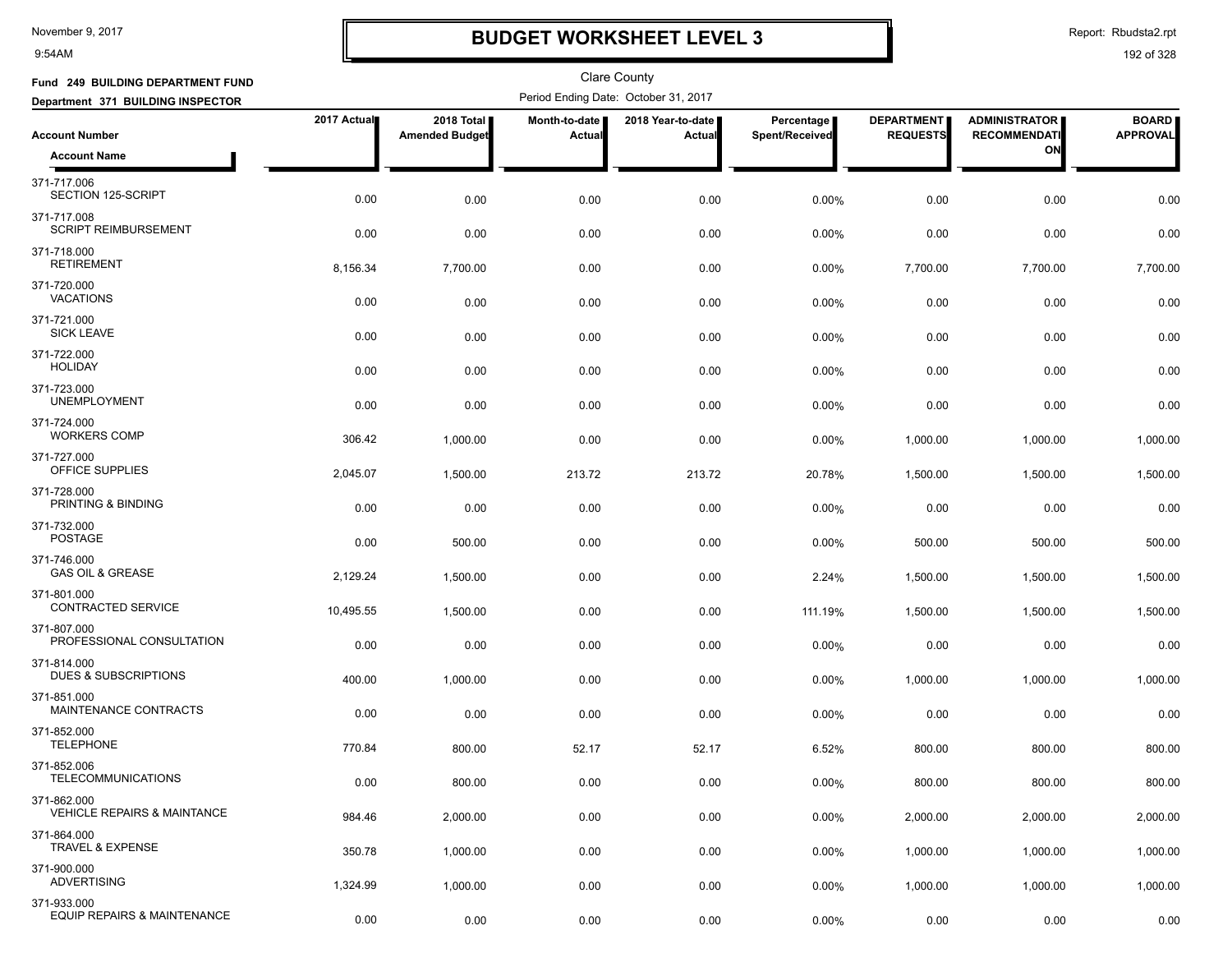9:54AM

### **BUDGET WORKSHEET LEVEL 3**

Report: Rbudsta2.rpt

| Fund 249 BUILDING DEPARTMENT FUND                     |             |                                     |                         | <b>Clare County</b>                  |                              |                                      |                                             |                                 |
|-------------------------------------------------------|-------------|-------------------------------------|-------------------------|--------------------------------------|------------------------------|--------------------------------------|---------------------------------------------|---------------------------------|
| Department 371 BUILDING INSPECTOR                     |             |                                     |                         | Period Ending Date: October 31, 2017 |                              |                                      |                                             |                                 |
| <b>Account Number</b>                                 | 2017 Actual | 2018 Total<br><b>Amended Budget</b> | Month-to-date<br>Actual | 2018 Year-to-date  <br>Actual        | Percentage<br>Spent/Received | <b>DEPARTMENT</b><br><b>REQUESTS</b> | <b>ADMINISTRATOR</b><br><b>RECOMMENDATI</b> | <b>BOARD</b><br><b>APPROVAL</b> |
| <b>Account Name</b>                                   |             |                                     |                         |                                      |                              |                                      | ON                                          |                                 |
| 371-717.006<br>SECTION 125-SCRIPT                     | 0.00        | 0.00                                | 0.00                    | 0.00                                 | 0.00%                        | 0.00                                 | 0.00                                        | 0.00                            |
| 371-717.008<br>SCRIPT REIMBURSEMENT                   | 0.00        | 0.00                                | 0.00                    | 0.00                                 | 0.00%                        | 0.00                                 | 0.00                                        | 0.00                            |
| 371-718.000<br><b>RETIREMENT</b>                      | 8,156.34    | 7,700.00                            | 0.00                    | 0.00                                 | 0.00%                        | 7,700.00                             | 7,700.00                                    | 7,700.00                        |
| 371-720.000<br><b>VACATIONS</b>                       | 0.00        | 0.00                                | 0.00                    | 0.00                                 | 0.00%                        | 0.00                                 | 0.00                                        | 0.00                            |
| 371-721.000<br><b>SICK LEAVE</b>                      | 0.00        | 0.00                                | 0.00                    | 0.00                                 | 0.00%                        | 0.00                                 | 0.00                                        | 0.00                            |
| 371-722.000<br><b>HOLIDAY</b>                         | 0.00        | 0.00                                | 0.00                    | 0.00                                 | 0.00%                        | 0.00                                 | 0.00                                        | 0.00                            |
| 371-723.000<br><b>UNEMPLOYMENT</b>                    | 0.00        | 0.00                                | 0.00                    | 0.00                                 | 0.00%                        | 0.00                                 | 0.00                                        | 0.00                            |
| 371-724.000<br><b>WORKERS COMP</b>                    | 306.42      | 1,000.00                            | 0.00                    | 0.00                                 | 0.00%                        | 1,000.00                             | 1,000.00                                    | 1,000.00                        |
| 371-727.000<br>OFFICE SUPPLIES                        | 2,045.07    | 1,500.00                            | 213.72                  | 213.72                               | 20.78%                       | 1,500.00                             | 1,500.00                                    | 1,500.00                        |
| 371-728.000<br>PRINTING & BINDING                     | 0.00        | 0.00                                | 0.00                    | 0.00                                 | 0.00%                        | 0.00                                 | 0.00                                        | 0.00                            |
| 371-732.000<br><b>POSTAGE</b>                         | 0.00        | 500.00                              | 0.00                    | 0.00                                 | 0.00%                        | 500.00                               | 500.00                                      | 500.00                          |
| 371-746.000<br><b>GAS OIL &amp; GREASE</b>            | 2,129.24    | 1,500.00                            | 0.00                    | 0.00                                 | 2.24%                        | 1,500.00                             | 1,500.00                                    | 1,500.00                        |
| 371-801.000<br><b>CONTRACTED SERVICE</b>              | 10,495.55   | 1,500.00                            | 0.00                    | 0.00                                 | 111.19%                      | 1,500.00                             | 1,500.00                                    | 1,500.00                        |
| 371-807.000<br>PROFESSIONAL CONSULTATION              | 0.00        | 0.00                                | 0.00                    | 0.00                                 | 0.00%                        | 0.00                                 | 0.00                                        | 0.00                            |
| 371-814.000<br>DUES & SUBSCRIPTIONS                   | 400.00      | 1,000.00                            | 0.00                    | 0.00                                 | 0.00%                        | 1,000.00                             | 1,000.00                                    | 1,000.00                        |
| 371-851.000<br>MAINTENANCE CONTRACTS                  | 0.00        | 0.00                                | 0.00                    | 0.00                                 | 0.00%                        | 0.00                                 | 0.00                                        | 0.00                            |
| 371-852.000<br><b>TELEPHONE</b>                       | 770.84      | 800.00                              | 52.17                   | 52.17                                | 6.52%                        | 800.00                               | 800.00                                      | 800.00                          |
| 371-852.006<br><b>TELECOMMUNICATIONS</b>              | 0.00        | 800.00                              | 0.00                    | 0.00                                 | 0.00%                        | 800.00                               | 800.00                                      | 800.00                          |
| 371-862.000<br><b>VEHICLE REPAIRS &amp; MAINTANCE</b> | 984.46      | 2,000.00                            | 0.00                    | 0.00                                 | 0.00%                        | 2,000.00                             | 2,000.00                                    | 2,000.00                        |
| 371-864.000<br><b>TRAVEL &amp; EXPENSE</b>            | 350.78      | 1,000.00                            | 0.00                    | 0.00                                 | $0.00\%$                     | 1,000.00                             | 1,000.00                                    | 1,000.00                        |
| 371-900.000<br><b>ADVERTISING</b>                     | 1,324.99    | 1,000.00                            | 0.00                    | 0.00                                 | 0.00%                        | 1,000.00                             | 1,000.00                                    | 1,000.00                        |
| 371-933.000<br>EQUIP REPAIRS & MAINTENANCE            | 0.00        | 0.00                                | 0.00                    | 0.00                                 | 0.00%                        | 0.00                                 | 0.00                                        | 0.00                            |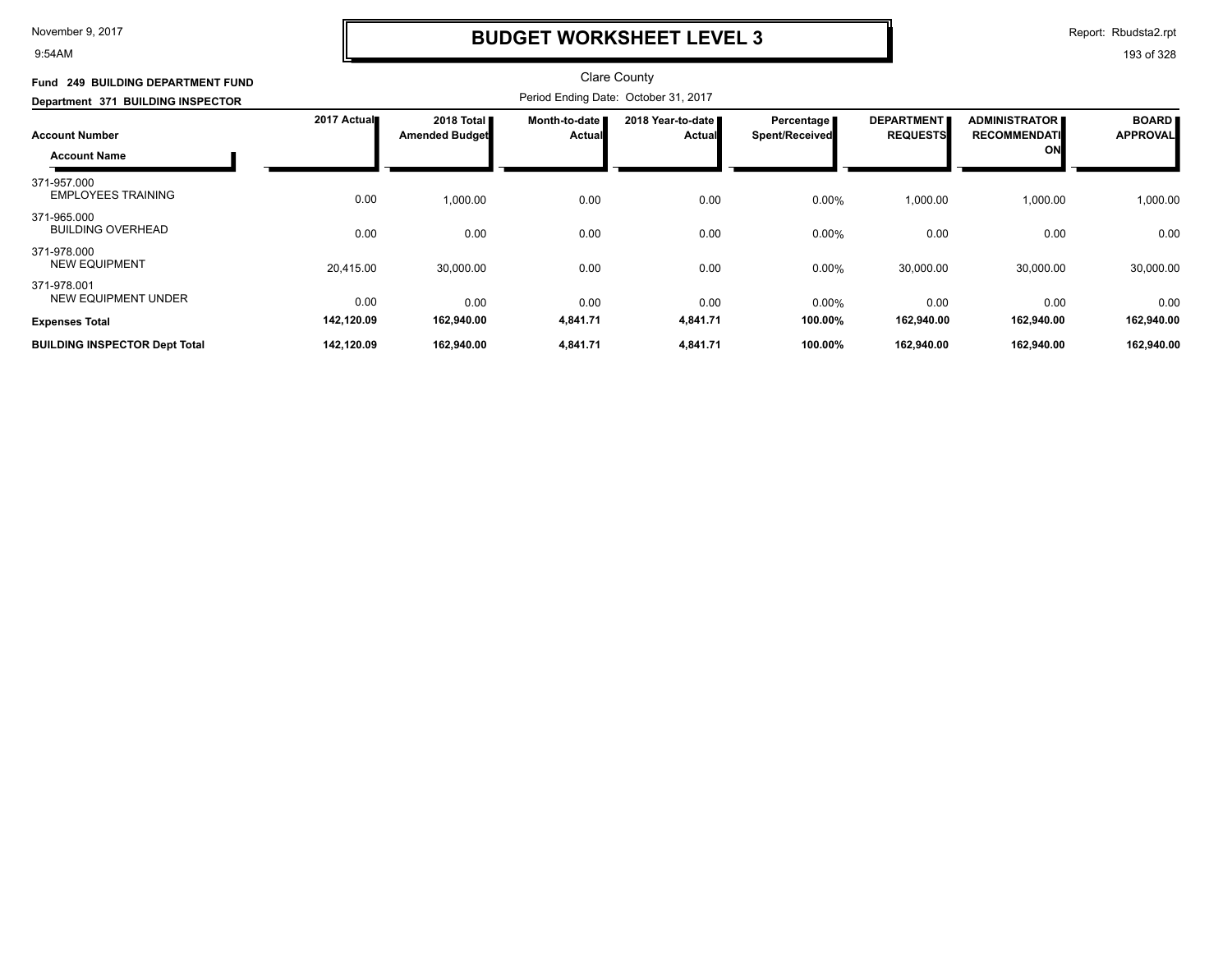9:54AM

### **BUDGET WORKSHEET LEVEL 3**

Report: Rbudsta2.rpt

| Fund 249 BUILDING DEPARTMENT FUND            |             |                                              |                                | <b>Clare County</b>                  |                                       |                                      |                                                           |                                 |
|----------------------------------------------|-------------|----------------------------------------------|--------------------------------|--------------------------------------|---------------------------------------|--------------------------------------|-----------------------------------------------------------|---------------------------------|
| Department 371 BUILDING INSPECTOR            |             |                                              |                                | Period Ending Date: October 31, 2017 |                                       |                                      |                                                           |                                 |
| <b>Account Number</b><br><b>Account Name</b> | 2017 Actual | 2018 Total <b>I</b><br><b>Amended Budget</b> | Month-to-date<br><b>Actual</b> | 2018 Year-to-date<br>Actual          | Percentage  <br><b>Spent/Received</b> | <b>DEPARTMENT</b><br><b>REQUESTS</b> | <b>ADMINISTRATOR</b><br><b>RECOMMENDATI</b><br><b>ONL</b> | <b>BOARD</b><br><b>APPROVAL</b> |
| 371-957.000<br><b>EMPLOYEES TRAINING</b>     | 0.00        | 1,000.00                                     | 0.00                           | 0.00                                 | 0.00%                                 | 1,000.00                             | 1,000.00                                                  | 1,000.00                        |
| 371-965.000<br><b>BUILDING OVERHEAD</b>      | 0.00        | 0.00                                         | 0.00                           | 0.00                                 | 0.00%                                 | 0.00                                 | 0.00                                                      | 0.00                            |
| 371-978.000<br><b>NEW EQUIPMENT</b>          | 20,415.00   | 30,000.00                                    | 0.00                           | 0.00                                 | 0.00%                                 | 30,000.00                            | 30,000.00                                                 | 30,000.00                       |
| 371-978.001<br><b>NEW EQUIPMENT UNDER</b>    | 0.00        | 0.00                                         | 0.00                           | 0.00                                 | 0.00%                                 | 0.00                                 | 0.00                                                      | 0.00                            |
| <b>Expenses Total</b>                        | 142,120.09  | 162,940.00                                   | 4,841.71                       | 4,841.71                             | 100.00%                               | 162,940.00                           | 162,940.00                                                | 162,940.00                      |
| <b>BUILDING INSPECTOR Dept Total</b>         | 142,120.09  | 162,940.00                                   | 4,841.71                       | 4,841.71                             | 100.00%                               | 162,940.00                           | 162,940.00                                                | 162,940.00                      |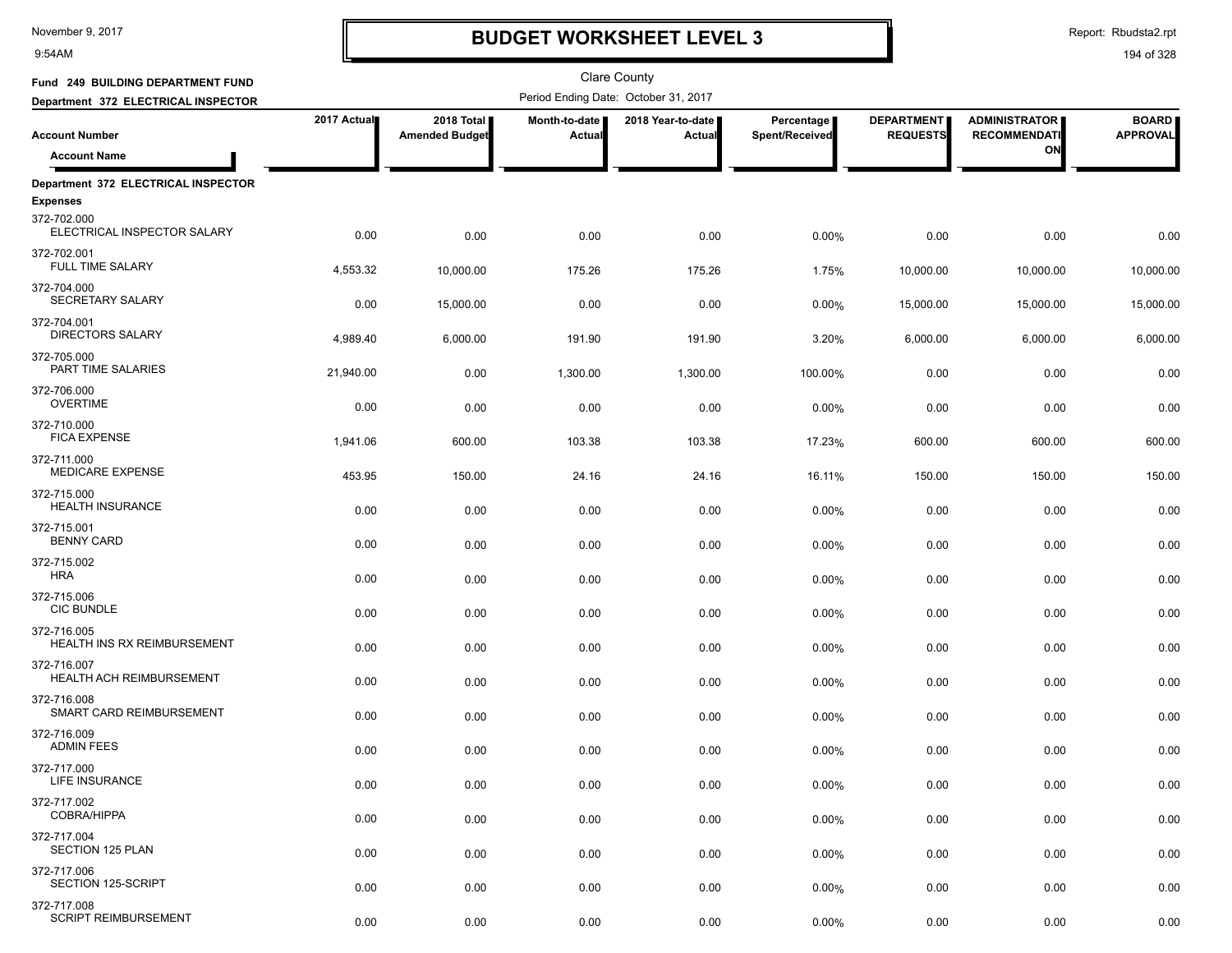9:54AM

### **BUDGET WORKSHEET LEVEL 3**

Clare County

Report: Rbudsta2.rpt

| Fund 249 BUILDING DEPARTMENT FUND          |             |                                     |                           | <b>Clare County</b>                  |                              |                                      |                                             |                                 |
|--------------------------------------------|-------------|-------------------------------------|---------------------------|--------------------------------------|------------------------------|--------------------------------------|---------------------------------------------|---------------------------------|
| Department 372 ELECTRICAL INSPECTOR        |             |                                     |                           | Period Ending Date: October 31, 2017 |                              |                                      |                                             |                                 |
| <b>Account Number</b>                      | 2017 Actual | 2018 Total<br><b>Amended Budget</b> | Month-to-date  <br>Actual | 2018 Year-to-date<br><b>Actual</b>   | Percentage<br>Spent/Received | <b>DEPARTMENT</b><br><b>REQUESTS</b> | <b>ADMINISTRATOR</b><br><b>RECOMMENDATI</b> | <b>BOARD</b><br><b>APPROVAL</b> |
| <b>Account Name</b>                        |             |                                     |                           |                                      |                              |                                      | ON                                          |                                 |
| Department 372 ELECTRICAL INSPECTOR        |             |                                     |                           |                                      |                              |                                      |                                             |                                 |
| <b>Expenses</b>                            |             |                                     |                           |                                      |                              |                                      |                                             |                                 |
| 372-702.000<br>ELECTRICAL INSPECTOR SALARY | 0.00        | 0.00                                | 0.00                      | 0.00                                 | 0.00%                        | 0.00                                 | 0.00                                        | 0.00                            |
| 372-702.001<br><b>FULL TIME SALARY</b>     | 4,553.32    | 10,000.00                           | 175.26                    | 175.26                               | 1.75%                        | 10,000.00                            | 10,000.00                                   | 10,000.00                       |
| 372-704.000<br>SECRETARY SALARY            | 0.00        | 15,000.00                           | 0.00                      | 0.00                                 | 0.00%                        | 15,000.00                            | 15,000.00                                   | 15,000.00                       |
| 372-704.001<br><b>DIRECTORS SALARY</b>     | 4,989.40    | 6,000.00                            | 191.90                    | 191.90                               | 3.20%                        | 6,000.00                             | 6,000.00                                    | 6,000.00                        |
| 372-705.000<br>PART TIME SALARIES          | 21,940.00   | 0.00                                | 1,300.00                  | 1,300.00                             | 100.00%                      | 0.00                                 | 0.00                                        | 0.00                            |
| 372-706.000<br><b>OVERTIME</b>             | 0.00        | 0.00                                | 0.00                      | 0.00                                 | 0.00%                        | 0.00                                 | 0.00                                        | 0.00                            |
| 372-710.000<br><b>FICA EXPENSE</b>         | 1,941.06    | 600.00                              | 103.38                    | 103.38                               | 17.23%                       | 600.00                               | 600.00                                      | 600.00                          |
| 372-711.000<br><b>MEDICARE EXPENSE</b>     | 453.95      | 150.00                              | 24.16                     | 24.16                                | 16.11%                       | 150.00                               | 150.00                                      | 150.00                          |
| 372-715.000<br><b>HEALTH INSURANCE</b>     | 0.00        | 0.00                                | 0.00                      | 0.00                                 | 0.00%                        | 0.00                                 | 0.00                                        | 0.00                            |
| 372-715.001<br><b>BENNY CARD</b>           | 0.00        | 0.00                                | 0.00                      | 0.00                                 | 0.00%                        | 0.00                                 | 0.00                                        | 0.00                            |
| 372-715.002<br><b>HRA</b>                  | 0.00        | 0.00                                | 0.00                      | 0.00                                 | 0.00%                        | 0.00                                 | 0.00                                        | 0.00                            |
| 372-715.006<br><b>CIC BUNDLE</b>           | 0.00        | 0.00                                | 0.00                      | 0.00                                 | 0.00%                        | 0.00                                 | 0.00                                        | 0.00                            |
| 372-716.005<br>HEALTH INS RX REIMBURSEMENT | 0.00        | 0.00                                | 0.00                      | 0.00                                 | 0.00%                        | 0.00                                 | 0.00                                        | 0.00                            |
| 372-716.007<br>HEALTH ACH REIMBURSEMENT    | 0.00        | 0.00                                | 0.00                      | 0.00                                 | 0.00%                        | 0.00                                 | 0.00                                        | 0.00                            |
| 372-716.008<br>SMART CARD REIMBURSEMENT    | 0.00        | 0.00                                | 0.00                      | 0.00                                 | 0.00%                        | 0.00                                 | 0.00                                        | 0.00                            |
| 372-716.009<br><b>ADMIN FEES</b>           | 0.00        | 0.00                                | 0.00                      | 0.00                                 | 0.00%                        | 0.00                                 | 0.00                                        | 0.00                            |
| 372-717.000<br>LIFE INSURANCE              | 0.00        | 0.00                                | 0.00                      | 0.00                                 | 0.00%                        | 0.00                                 | 0.00                                        | 0.00                            |
| 372-717.002<br>COBRA/HIPPA                 | 0.00        | 0.00                                | 0.00                      | 0.00                                 | 0.00%                        | 0.00                                 | 0.00                                        | 0.00                            |
| 372-717.004<br><b>SECTION 125 PLAN</b>     | 0.00        | 0.00                                | 0.00                      | 0.00                                 | 0.00%                        | 0.00                                 | 0.00                                        | 0.00                            |
| 372-717.006<br>SECTION 125-SCRIPT          | 0.00        | 0.00                                | 0.00                      | 0.00                                 | 0.00%                        | 0.00                                 | 0.00                                        | 0.00                            |
| 372-717.008<br><b>SCRIPT REIMBURSEMENT</b> | 0.00        | 0.00                                | 0.00                      | 0.00                                 | 0.00%                        | 0.00                                 | 0.00                                        | 0.00                            |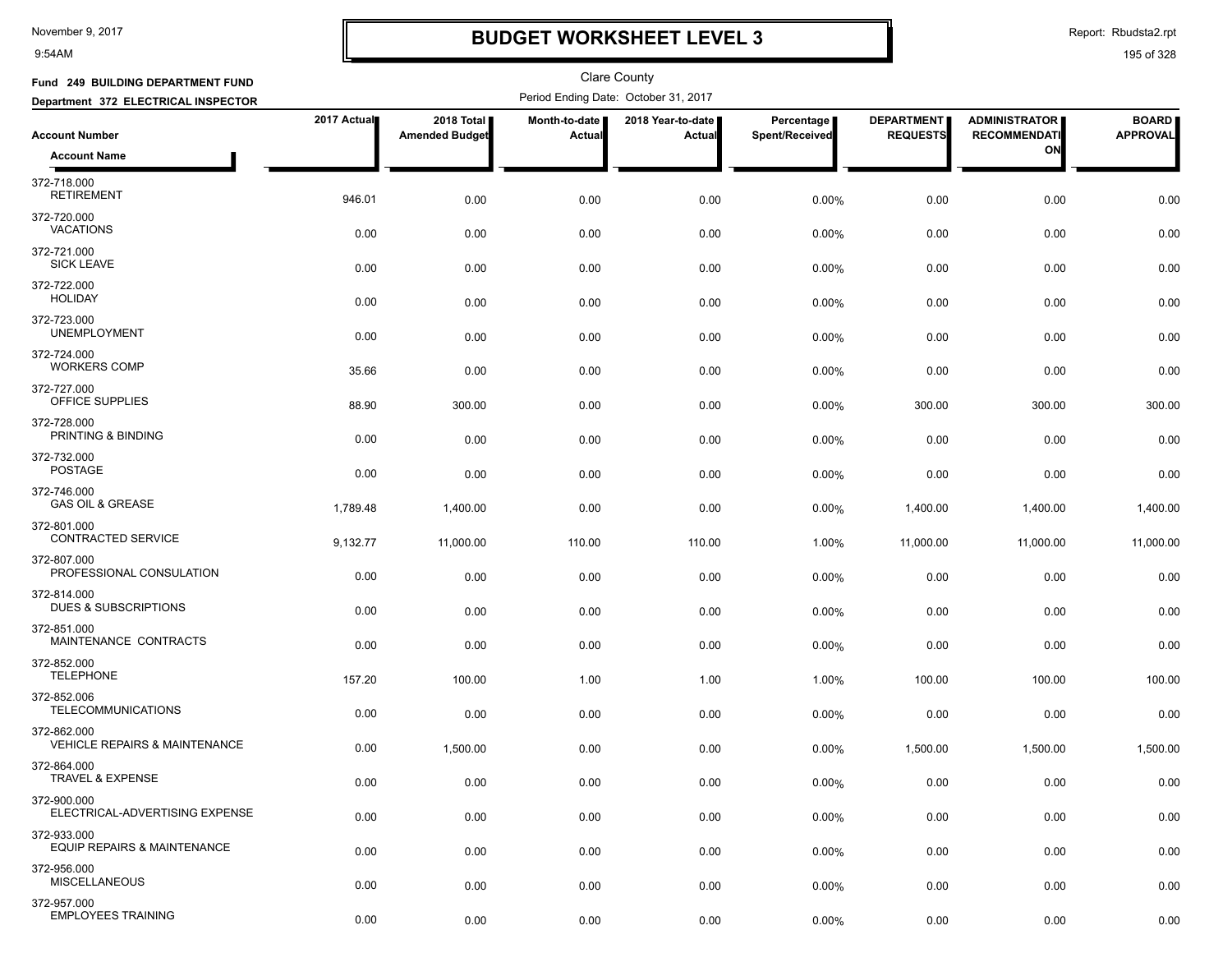9:54AM

## **BUDGET WORKSHEET LEVEL 3**

Report: Rbudsta2.rpt

| Fund 249 BUILDING DEPARTMENT FUND                       |             |                                     |                                | <b>Clare County</b>                  |                              |                                      |                                             |                                 |
|---------------------------------------------------------|-------------|-------------------------------------|--------------------------------|--------------------------------------|------------------------------|--------------------------------------|---------------------------------------------|---------------------------------|
| Department 372 ELECTRICAL INSPECTOR                     |             |                                     |                                | Period Ending Date: October 31, 2017 |                              |                                      |                                             |                                 |
| <b>Account Number</b>                                   | 2017 Actual | 2018 Total<br><b>Amended Budget</b> | Month-to-date<br><b>Actual</b> | 2018 Year-to-date  <br>Actual        | Percentage<br>Spent/Received | <b>DEPARTMENT</b><br><b>REQUESTS</b> | <b>ADMINISTRATOR</b><br><b>RECOMMENDATI</b> | <b>BOARD</b><br><b>APPROVAL</b> |
| <b>Account Name</b>                                     |             |                                     |                                |                                      |                              |                                      | ON                                          |                                 |
| 372-718.000<br><b>RETIREMENT</b>                        | 946.01      | 0.00                                | 0.00                           | 0.00                                 | 0.00%                        | 0.00                                 | 0.00                                        | 0.00                            |
| 372-720.000<br><b>VACATIONS</b>                         | 0.00        | 0.00                                | 0.00                           | 0.00                                 | 0.00%                        | 0.00                                 | 0.00                                        | 0.00                            |
| 372-721.000<br><b>SICK LEAVE</b>                        | 0.00        | 0.00                                | 0.00                           | 0.00                                 | 0.00%                        | 0.00                                 | 0.00                                        | 0.00                            |
| 372-722.000<br><b>HOLIDAY</b>                           | 0.00        | 0.00                                | 0.00                           | 0.00                                 | 0.00%                        | 0.00                                 | 0.00                                        | 0.00                            |
| 372-723.000<br><b>UNEMPLOYMENT</b>                      | 0.00        | 0.00                                | 0.00                           | 0.00                                 | 0.00%                        | 0.00                                 | 0.00                                        | 0.00                            |
| 372-724.000<br><b>WORKERS COMP</b>                      | 35.66       | 0.00                                | 0.00                           | 0.00                                 | 0.00%                        | 0.00                                 | 0.00                                        | 0.00                            |
| 372-727.000<br>OFFICE SUPPLIES                          | 88.90       | 300.00                              | 0.00                           | 0.00                                 | 0.00%                        | 300.00                               | 300.00                                      | 300.00                          |
| 372-728.000<br>PRINTING & BINDING                       | 0.00        | 0.00                                | 0.00                           | 0.00                                 | 0.00%                        | 0.00                                 | 0.00                                        | 0.00                            |
| 372-732.000<br><b>POSTAGE</b>                           | 0.00        | 0.00                                | 0.00                           | 0.00                                 | 0.00%                        | 0.00                                 | 0.00                                        | 0.00                            |
| 372-746.000<br><b>GAS OIL &amp; GREASE</b>              | 1,789.48    | 1,400.00                            | 0.00                           | 0.00                                 | 0.00%                        | 1,400.00                             | 1,400.00                                    | 1,400.00                        |
| 372-801.000<br><b>CONTRACTED SERVICE</b>                | 9,132.77    | 11,000.00                           | 110.00                         | 110.00                               | 1.00%                        | 11,000.00                            | 11,000.00                                   | 11,000.00                       |
| 372-807.000<br>PROFESSIONAL CONSULATION                 | 0.00        | 0.00                                | 0.00                           | 0.00                                 | 0.00%                        | 0.00                                 | 0.00                                        | 0.00                            |
| 372-814.000<br><b>DUES &amp; SUBSCRIPTIONS</b>          | 0.00        | 0.00                                | 0.00                           | 0.00                                 | 0.00%                        | 0.00                                 | 0.00                                        | 0.00                            |
| 372-851.000<br>MAINTENANCE CONTRACTS                    | 0.00        | 0.00                                | 0.00                           | 0.00                                 | 0.00%                        | 0.00                                 | 0.00                                        | 0.00                            |
| 372-852.000<br><b>TELEPHONE</b>                         | 157.20      | 100.00                              | 1.00                           | 1.00                                 | 1.00%                        | 100.00                               | 100.00                                      | 100.00                          |
| 372-852.006<br><b>TELECOMMUNICATIONS</b>                | 0.00        | 0.00                                | 0.00                           | 0.00                                 | 0.00%                        | 0.00                                 | 0.00                                        | 0.00                            |
| 372-862.000<br><b>VEHICLE REPAIRS &amp; MAINTENANCE</b> | 0.00        | 1,500.00                            | 0.00                           | 0.00                                 | 0.00%                        | 1,500.00                             | 1,500.00                                    | 1,500.00                        |
| 372-864.000<br>TRAVEL & EXPENSE                         | 0.00        | 0.00                                | 0.00                           | 0.00                                 | 0.00%                        | 0.00                                 | 0.00                                        | 0.00                            |
| 372-900.000<br>ELECTRICAL-ADVERTISING EXPENSE           | 0.00        | 0.00                                | 0.00                           | 0.00                                 | 0.00%                        | 0.00                                 | 0.00                                        | 0.00                            |
| 372-933.000<br>EQUIP REPAIRS & MAINTENANCE              | 0.00        | 0.00                                | 0.00                           | 0.00                                 | $0.00\%$                     | 0.00                                 | 0.00                                        | 0.00                            |
| 372-956.000<br><b>MISCELLANEOUS</b>                     | 0.00        | 0.00                                | 0.00                           | 0.00                                 | 0.00%                        | 0.00                                 | 0.00                                        | 0.00                            |
| 372-957.000<br><b>EMPLOYEES TRAINING</b>                | 0.00        | 0.00                                | 0.00                           | 0.00                                 | 0.00%                        | 0.00                                 | 0.00                                        | 0.00                            |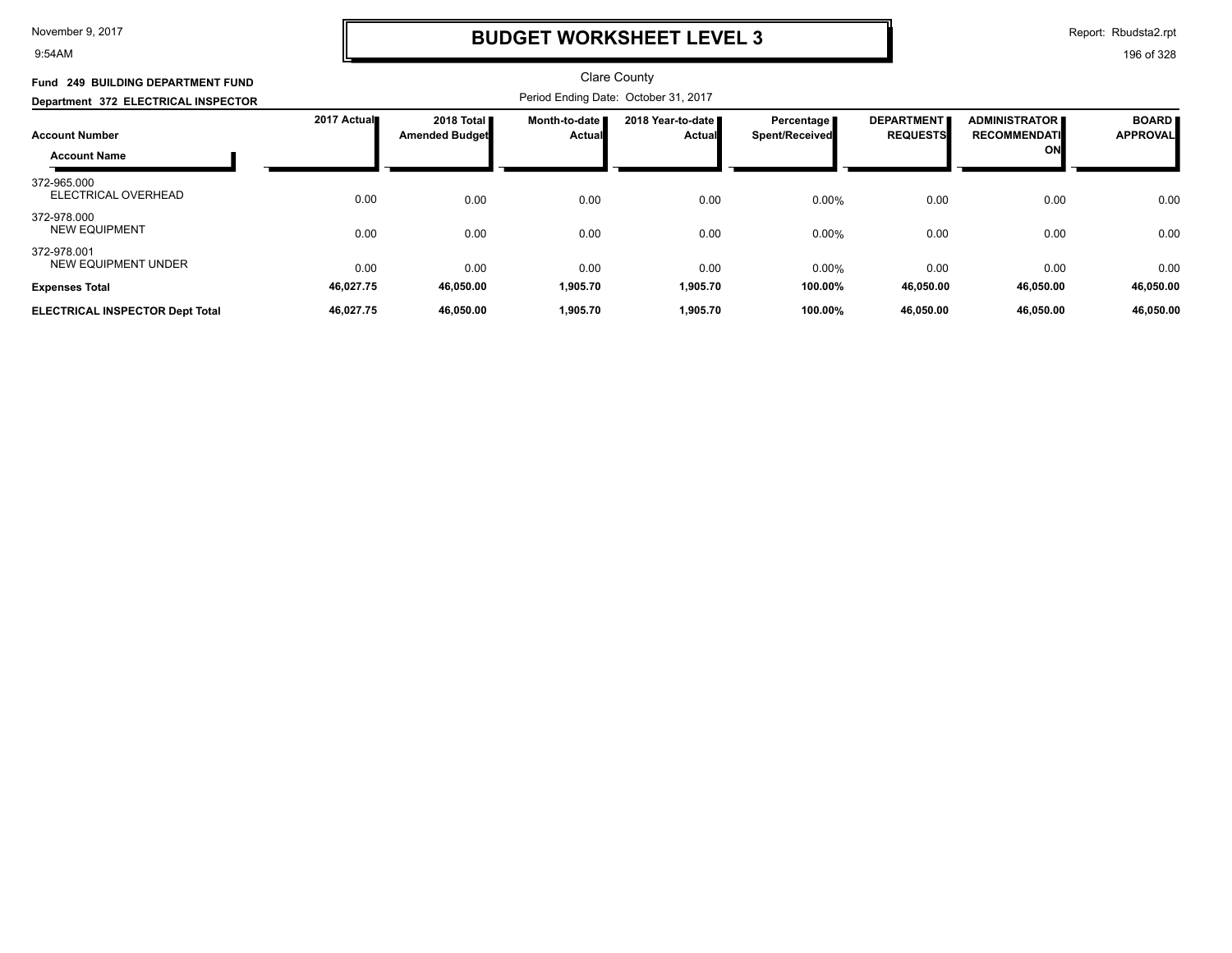9:54AM

### **BUDGET WORKSHEET LEVEL 3**

Report: Rbudsta2.rpt

| 2017 Actual | 2018 Total <b>II</b><br><b>Amended Budget</b> | <b>Month-to-date I</b><br><b>Actual</b> | 2018 Year-to-date ■<br><b>Actual</b> | Percentage<br><b>Spent/Received</b>                                                 | <b>DEPARTMENT</b><br><b>REQUESTS</b> | <b>ADMINISTRATOR</b><br><b>RECOMMENDATI</b><br>ON | <b>BOARD</b><br><b>APPROVAL</b> |
|-------------|-----------------------------------------------|-----------------------------------------|--------------------------------------|-------------------------------------------------------------------------------------|--------------------------------------|---------------------------------------------------|---------------------------------|
| 0.00        | 0.00                                          | 0.00                                    | 0.00                                 | 0.00%                                                                               | 0.00                                 | 0.00                                              | 0.00                            |
| 0.00        | 0.00                                          | 0.00                                    | 0.00                                 | 0.00%                                                                               | 0.00                                 | 0.00                                              | 0.00                            |
| 0.00        | 0.00                                          | 0.00                                    | 0.00                                 | 0.00%                                                                               | 0.00                                 | 0.00                                              | 0.00                            |
|             |                                               |                                         |                                      |                                                                                     |                                      |                                                   | 46,050.00<br>46,050.00          |
|             | 46,027.75<br>46,027.75                        | 46,050.00<br>46,050.00                  | 1,905.70<br>1,905.70                 | <b>Clare County</b><br>Period Ending Date: October 31, 2017<br>1,905.70<br>1,905.70 | 100.00%<br>100.00%                   | 46,050.00<br>46,050.00                            | 46,050.00<br>46,050.00          |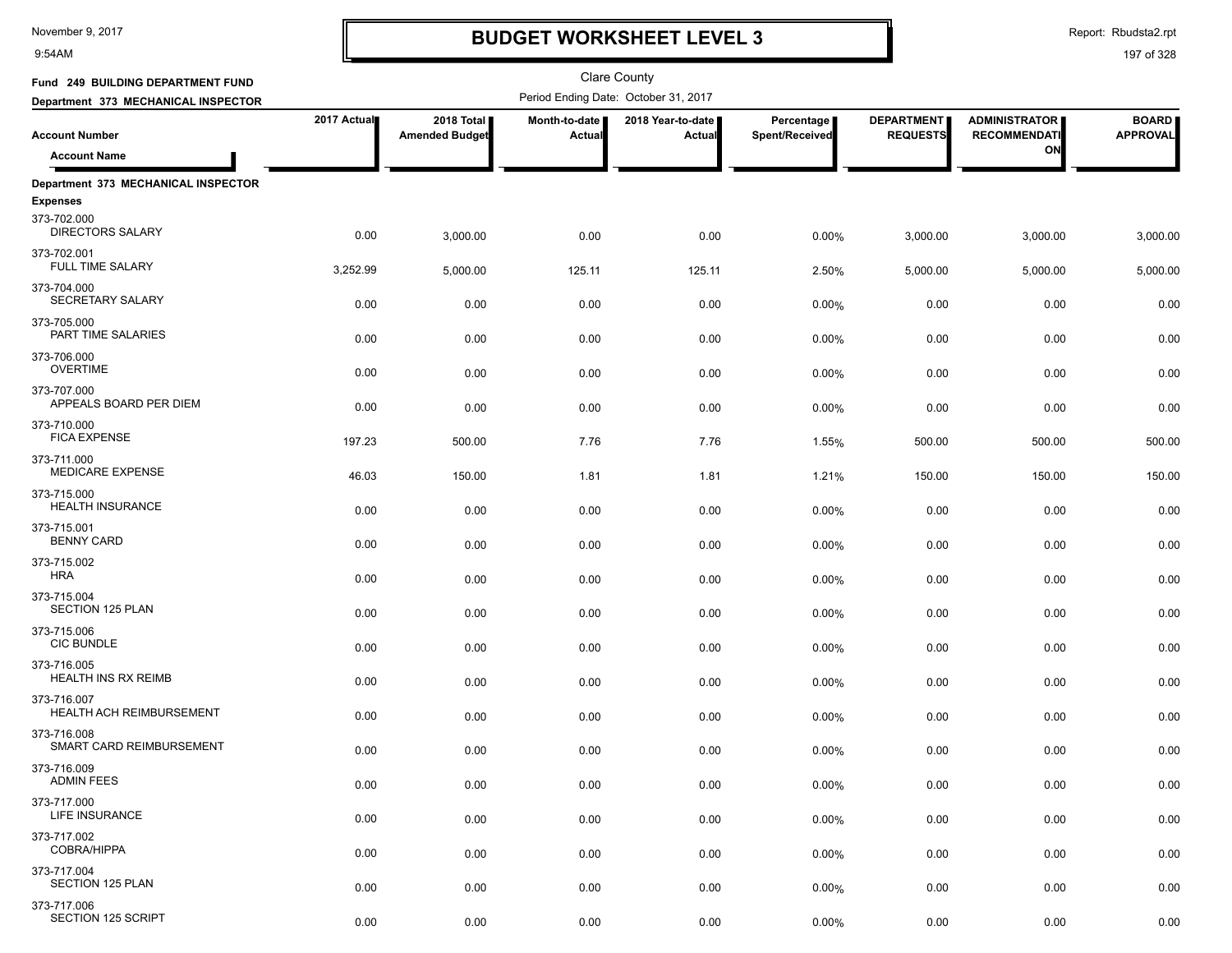9:54AM

# **BUDGET WORKSHEET LEVEL 3**

Report: Rbudsta2.rpt

| Fund 249 BUILDING DEPARTMENT FUND       |             |                                     |                         | <b>Clare County</b>                  |                              |                                      |                                             |                                 |
|-----------------------------------------|-------------|-------------------------------------|-------------------------|--------------------------------------|------------------------------|--------------------------------------|---------------------------------------------|---------------------------------|
| Department 373 MECHANICAL INSPECTOR     |             |                                     |                         | Period Ending Date: October 31, 2017 |                              |                                      |                                             |                                 |
| <b>Account Number</b>                   | 2017 Actual | 2018 Total<br><b>Amended Budget</b> | Month-to-date<br>Actual | 2018 Year-to-date  <br>Actual        | Percentage<br>Spent/Received | <b>DEPARTMENT</b><br><b>REQUESTS</b> | <b>ADMINISTRATOR</b><br><b>RECOMMENDATI</b> | <b>BOARD</b><br><b>APPROVAL</b> |
| <b>Account Name</b>                     |             |                                     |                         |                                      |                              |                                      | ON                                          |                                 |
| Department 373 MECHANICAL INSPECTOR     |             |                                     |                         |                                      |                              |                                      |                                             |                                 |
| <b>Expenses</b>                         |             |                                     |                         |                                      |                              |                                      |                                             |                                 |
| 373-702.000<br><b>DIRECTORS SALARY</b>  | 0.00        | 3,000.00                            | 0.00                    | 0.00                                 | 0.00%                        | 3,000.00                             | 3,000.00                                    | 3,000.00                        |
| 373-702.001<br><b>FULL TIME SALARY</b>  | 3,252.99    | 5,000.00                            | 125.11                  | 125.11                               | 2.50%                        | 5,000.00                             | 5,000.00                                    | 5,000.00                        |
| 373-704.000<br>SECRETARY SALARY         | 0.00        | 0.00                                | 0.00                    | 0.00                                 | 0.00%                        | 0.00                                 | 0.00                                        | 0.00                            |
| 373-705.000<br>PART TIME SALARIES       | 0.00        | 0.00                                | 0.00                    | 0.00                                 | 0.00%                        | 0.00                                 | 0.00                                        | 0.00                            |
| 373-706.000<br><b>OVERTIME</b>          | 0.00        | 0.00                                | 0.00                    | 0.00                                 | 0.00%                        | 0.00                                 | 0.00                                        | 0.00                            |
| 373-707.000<br>APPEALS BOARD PER DIEM   | 0.00        | 0.00                                | 0.00                    | 0.00                                 | 0.00%                        | 0.00                                 | 0.00                                        | 0.00                            |
| 373-710.000<br><b>FICA EXPENSE</b>      | 197.23      | 500.00                              | 7.76                    | 7.76                                 | 1.55%                        | 500.00                               | 500.00                                      | 500.00                          |
| 373-711.000<br>MEDICARE EXPENSE         | 46.03       | 150.00                              | 1.81                    | 1.81                                 | 1.21%                        | 150.00                               | 150.00                                      | 150.00                          |
| 373-715.000<br>HEALTH INSURANCE         | 0.00        | 0.00                                | 0.00                    | 0.00                                 | 0.00%                        | 0.00                                 | 0.00                                        | 0.00                            |
| 373-715.001<br><b>BENNY CARD</b>        | 0.00        | 0.00                                | 0.00                    | 0.00                                 | 0.00%                        | 0.00                                 | 0.00                                        | 0.00                            |
| 373-715.002<br><b>HRA</b>               | 0.00        | 0.00                                | 0.00                    | 0.00                                 | 0.00%                        | 0.00                                 | 0.00                                        | 0.00                            |
| 373-715.004<br><b>SECTION 125 PLAN</b>  | 0.00        | 0.00                                | 0.00                    | 0.00                                 | 0.00%                        | 0.00                                 | 0.00                                        | 0.00                            |
| 373-715.006<br><b>CIC BUNDLE</b>        | 0.00        | 0.00                                | 0.00                    | 0.00                                 | 0.00%                        | 0.00                                 | 0.00                                        | 0.00                            |
| 373-716.005<br>HEALTH INS RX REIMB      | 0.00        | 0.00                                | 0.00                    | 0.00                                 | 0.00%                        | 0.00                                 | 0.00                                        | 0.00                            |
| 373-716.007<br>HEALTH ACH REIMBURSEMENT | 0.00        | 0.00                                | 0.00                    | 0.00                                 | 0.00%                        | 0.00                                 | 0.00                                        | 0.00                            |
| 373-716.008<br>SMART CARD REIMBURSEMENT | 0.00        | 0.00                                | 0.00                    | 0.00                                 | 0.00%                        | 0.00                                 | 0.00                                        | 0.00                            |
| 373-716.009<br><b>ADMIN FEES</b>        | 0.00        | 0.00                                | 0.00                    | 0.00                                 | 0.00%                        | 0.00                                 | 0.00                                        | 0.00                            |
| 373-717.000<br><b>LIFE INSURANCE</b>    | 0.00        | 0.00                                | 0.00                    | 0.00                                 | 0.00%                        | 0.00                                 | 0.00                                        | 0.00                            |
| 373-717.002<br><b>COBRA/HIPPA</b>       | 0.00        | 0.00                                | 0.00                    | 0.00                                 | 0.00%                        | 0.00                                 | 0.00                                        | 0.00                            |
| 373-717.004<br>SECTION 125 PLAN         | 0.00        | 0.00                                | 0.00                    | 0.00                                 | 0.00%                        | 0.00                                 | 0.00                                        | 0.00                            |
| 373-717.006<br>SECTION 125 SCRIPT       | 0.00        | 0.00                                | 0.00                    | 0.00                                 | 0.00%                        | 0.00                                 | 0.00                                        | 0.00                            |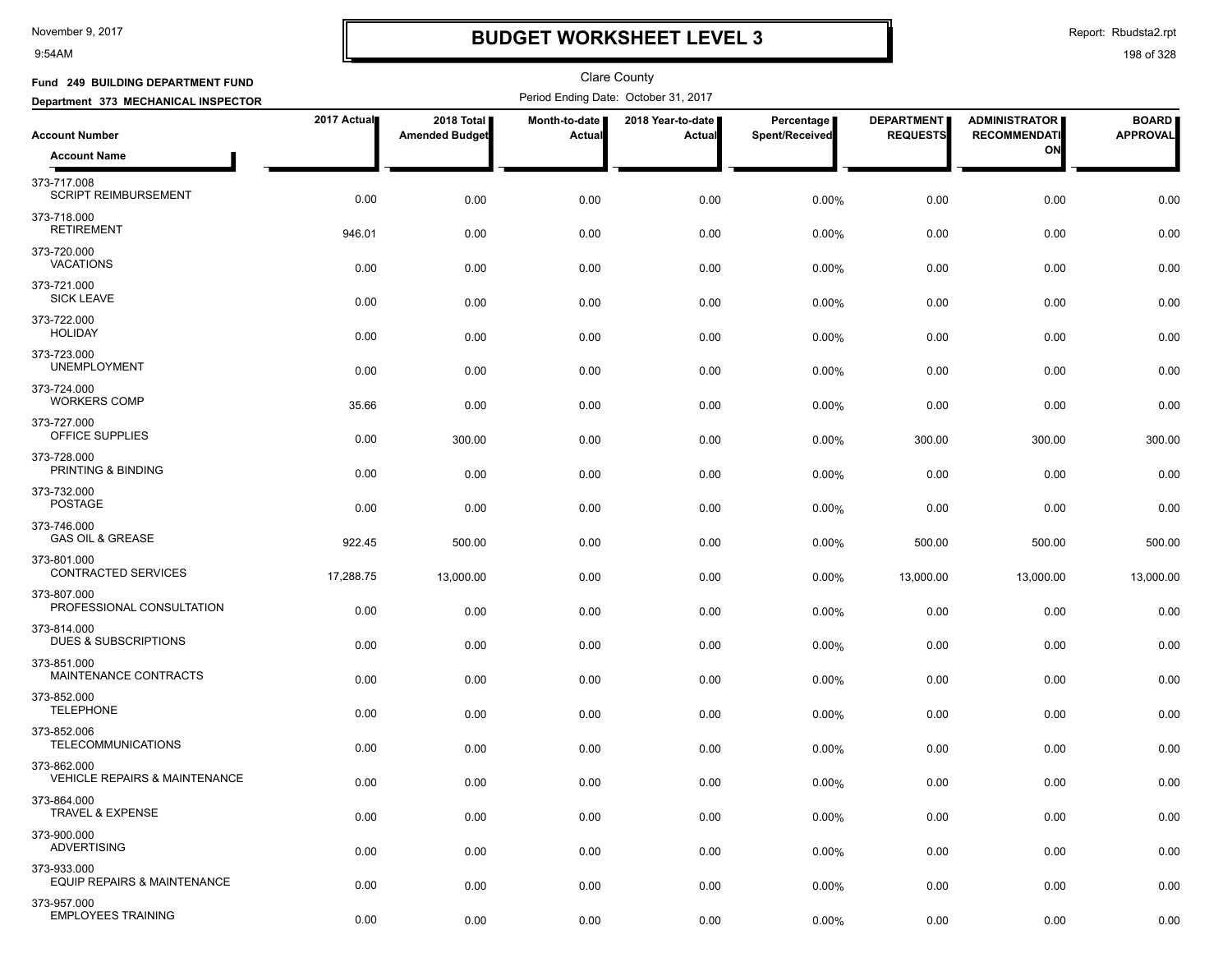9:54AM

## **BUDGET WORKSHEET LEVEL 3**

Report: Rbudsta2.rpt

| Fund 249 BUILDING DEPARTMENT FUND                       |             |                                     |                         | <b>Clare County</b>                  |                              |                                      |                                             |                                 |
|---------------------------------------------------------|-------------|-------------------------------------|-------------------------|--------------------------------------|------------------------------|--------------------------------------|---------------------------------------------|---------------------------------|
| Department 373 MECHANICAL INSPECTOR                     |             |                                     |                         | Period Ending Date: October 31, 2017 |                              |                                      |                                             |                                 |
| <b>Account Number</b>                                   | 2017 Actual | 2018 Total<br><b>Amended Budget</b> | Month-to-date<br>Actual | 2018 Year-to-date<br>Actual          | Percentage<br>Spent/Received | <b>DEPARTMENT</b><br><b>REQUESTS</b> | <b>ADMINISTRATOR</b><br><b>RECOMMENDATI</b> | <b>BOARD</b><br><b>APPROVAL</b> |
| <b>Account Name</b>                                     |             |                                     |                         |                                      |                              |                                      | ON                                          |                                 |
| 373-717.008<br><b>SCRIPT REIMBURSEMENT</b>              | 0.00        | 0.00                                | 0.00                    | 0.00                                 | 0.00%                        | 0.00                                 | 0.00                                        | 0.00                            |
| 373-718.000<br><b>RETIREMENT</b>                        | 946.01      | 0.00                                | 0.00                    | 0.00                                 | 0.00%                        | 0.00                                 | 0.00                                        | 0.00                            |
| 373-720.000<br><b>VACATIONS</b>                         | 0.00        | 0.00                                | 0.00                    | 0.00                                 | 0.00%                        | 0.00                                 | 0.00                                        | 0.00                            |
| 373-721.000<br><b>SICK LEAVE</b>                        | 0.00        | 0.00                                | 0.00                    | 0.00                                 | $0.00\%$                     | 0.00                                 | 0.00                                        | 0.00                            |
| 373-722.000<br><b>HOLIDAY</b>                           | 0.00        | 0.00                                | 0.00                    | 0.00                                 | 0.00%                        | 0.00                                 | 0.00                                        | 0.00                            |
| 373-723.000<br><b>UNEMPLOYMENT</b>                      | 0.00        | 0.00                                | 0.00                    | 0.00                                 | 0.00%                        | 0.00                                 | 0.00                                        | 0.00                            |
| 373-724.000<br><b>WORKERS COMP</b>                      | 35.66       | 0.00                                | 0.00                    | 0.00                                 | 0.00%                        | 0.00                                 | 0.00                                        | 0.00                            |
| 373-727.000<br>OFFICE SUPPLIES                          | 0.00        | 300.00                              | 0.00                    | 0.00                                 | 0.00%                        | 300.00                               | 300.00                                      | 300.00                          |
| 373-728.000<br>PRINTING & BINDING                       | 0.00        | 0.00                                | 0.00                    | 0.00                                 | 0.00%                        | 0.00                                 | 0.00                                        | 0.00                            |
| 373-732.000<br><b>POSTAGE</b>                           | 0.00        | 0.00                                | 0.00                    | 0.00                                 | $0.00\%$                     | 0.00                                 | 0.00                                        | 0.00                            |
| 373-746.000<br><b>GAS OIL &amp; GREASE</b>              | 922.45      | 500.00                              | 0.00                    | 0.00                                 | 0.00%                        | 500.00                               | 500.00                                      | 500.00                          |
| 373-801.000<br>CONTRACTED SERVICES                      | 17,288.75   | 13,000.00                           | 0.00                    | 0.00                                 | 0.00%                        | 13,000.00                            | 13,000.00                                   | 13,000.00                       |
| 373-807.000<br>PROFESSIONAL CONSULTATION                | 0.00        | 0.00                                | 0.00                    | 0.00                                 | 0.00%                        | 0.00                                 | 0.00                                        | 0.00                            |
| 373-814.000<br>DUES & SUBSCRIPTIONS                     | 0.00        | 0.00                                | 0.00                    | 0.00                                 | 0.00%                        | 0.00                                 | 0.00                                        | 0.00                            |
| 373-851.000<br>MAINTENANCE CONTRACTS                    | 0.00        | 0.00                                | 0.00                    | 0.00                                 | 0.00%                        | 0.00                                 | 0.00                                        | 0.00                            |
| 373-852.000<br><b>TELEPHONE</b>                         | 0.00        | 0.00                                | 0.00                    | 0.00                                 | $0.00\%$                     | 0.00                                 | 0.00                                        | 0.00                            |
| 373-852.006<br><b>TELECOMMUNICATIONS</b>                | 0.00        | 0.00                                | 0.00                    | 0.00                                 | 0.00%                        | 0.00                                 | 0.00                                        | 0.00                            |
| 373-862.000<br><b>VEHICLE REPAIRS &amp; MAINTENANCE</b> | 0.00        | 0.00                                | 0.00                    | 0.00                                 | 0.00%                        | 0.00                                 | 0.00                                        | 0.00                            |
| 373-864.000<br>TRAVEL & EXPENSE                         | 0.00        | 0.00                                | 0.00                    | 0.00                                 | 0.00%                        | 0.00                                 | 0.00                                        | 0.00                            |
| 373-900.000<br><b>ADVERTISING</b>                       | 0.00        | 0.00                                | 0.00                    | 0.00                                 | 0.00%                        | 0.00                                 | 0.00                                        | 0.00                            |
| 373-933.000<br>EQUIP REPAIRS & MAINTENANCE              | 0.00        | 0.00                                | 0.00                    | 0.00                                 | 0.00%                        | 0.00                                 | 0.00                                        | 0.00                            |
| 373-957.000<br><b>EMPLOYEES TRAINING</b>                | 0.00        | 0.00                                | 0.00                    | 0.00                                 | 0.00%                        | 0.00                                 | 0.00                                        | 0.00                            |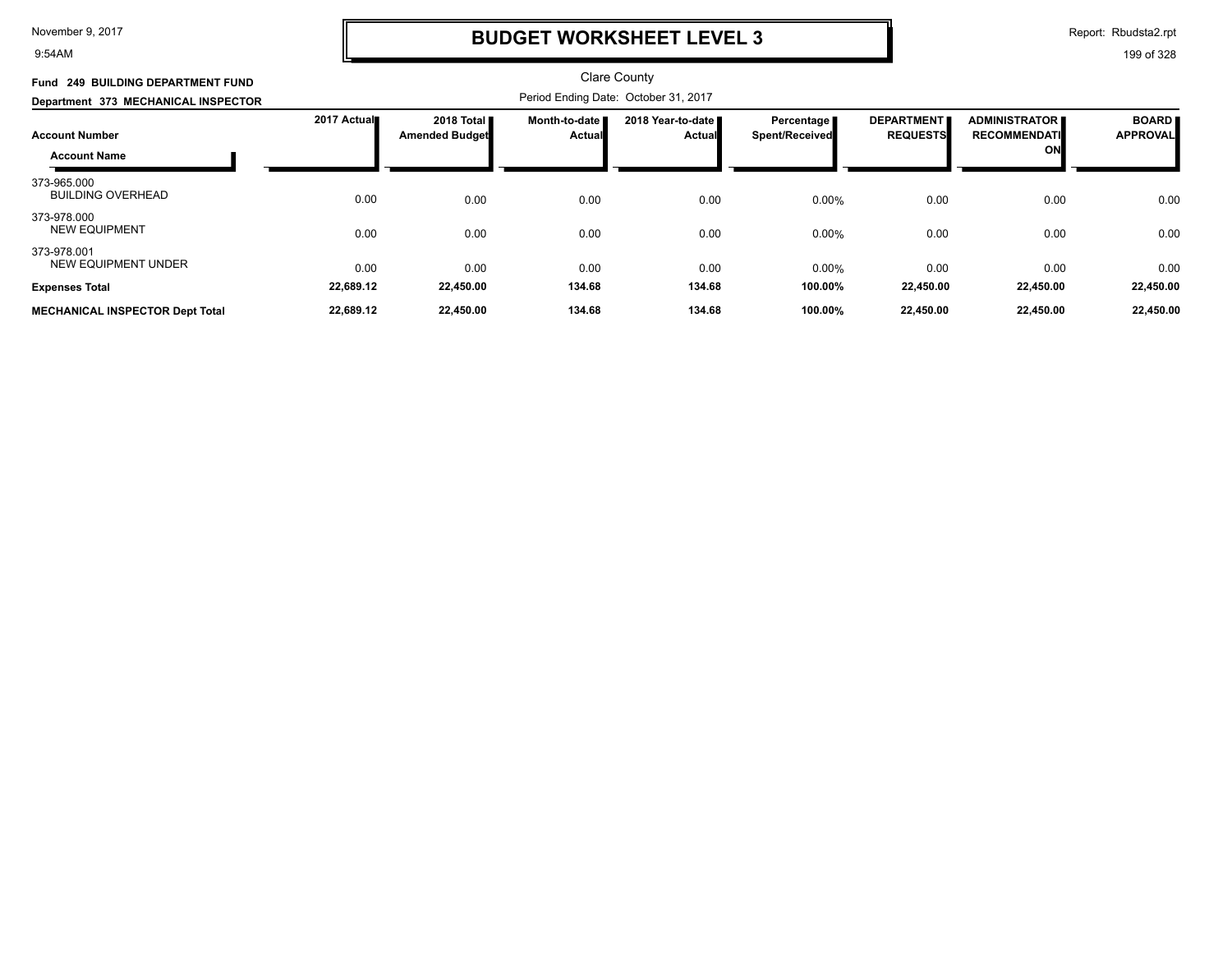9:54AM

## **BUDGET WORKSHEET LEVEL 3**

Report: Rbudsta2.rpt

| Fund 249 BUILDING DEPARTMENT FUND                                                   |             |                                               |                                  | <b>Clare County</b><br>Period Ending Date: October 31, 2017 |                                     |                                      |                                                   |                                 |
|-------------------------------------------------------------------------------------|-------------|-----------------------------------------------|----------------------------------|-------------------------------------------------------------|-------------------------------------|--------------------------------------|---------------------------------------------------|---------------------------------|
| Department 373 MECHANICAL INSPECTOR<br><b>Account Number</b><br><b>Account Name</b> | 2017 Actual | 2018 Total <b>II</b><br><b>Amended Budget</b> | Month-to-date  <br><b>Actual</b> | 2018 Year-to-date<br>Actual                                 | Percentage<br><b>Spent/Received</b> | <b>DEPARTMENT</b><br><b>REQUESTS</b> | <b>ADMINISTRATOR</b><br><b>RECOMMENDATI</b><br>ON | <b>BOARD</b><br><b>APPROVAL</b> |
| 373-965.000<br><b>BUILDING OVERHEAD</b>                                             | 0.00        | 0.00                                          | 0.00                             | 0.00                                                        | 0.00%                               | 0.00                                 | 0.00                                              | 0.00                            |
| 373-978.000<br><b>NEW EQUIPMENT</b>                                                 | 0.00        | 0.00                                          | 0.00                             | 0.00                                                        | 0.00%                               | 0.00                                 | 0.00                                              | 0.00                            |
| 373-978.001<br><b>NEW EQUIPMENT UNDER</b>                                           | 0.00        | 0.00                                          | 0.00                             | 0.00                                                        | 0.00%                               | 0.00                                 | 0.00                                              | 0.00                            |
| <b>Expenses Total</b>                                                               | 22,689.12   | 22,450.00                                     | 134.68                           | 134.68                                                      | 100.00%                             | 22,450.00                            | 22,450.00                                         | 22,450.00                       |
| <b>MECHANICAL INSPECTOR Dept Total</b>                                              | 22,689.12   | 22,450.00                                     | 134.68                           | 134.68                                                      | 100.00%                             | 22,450.00                            | 22,450.00                                         | 22,450.00                       |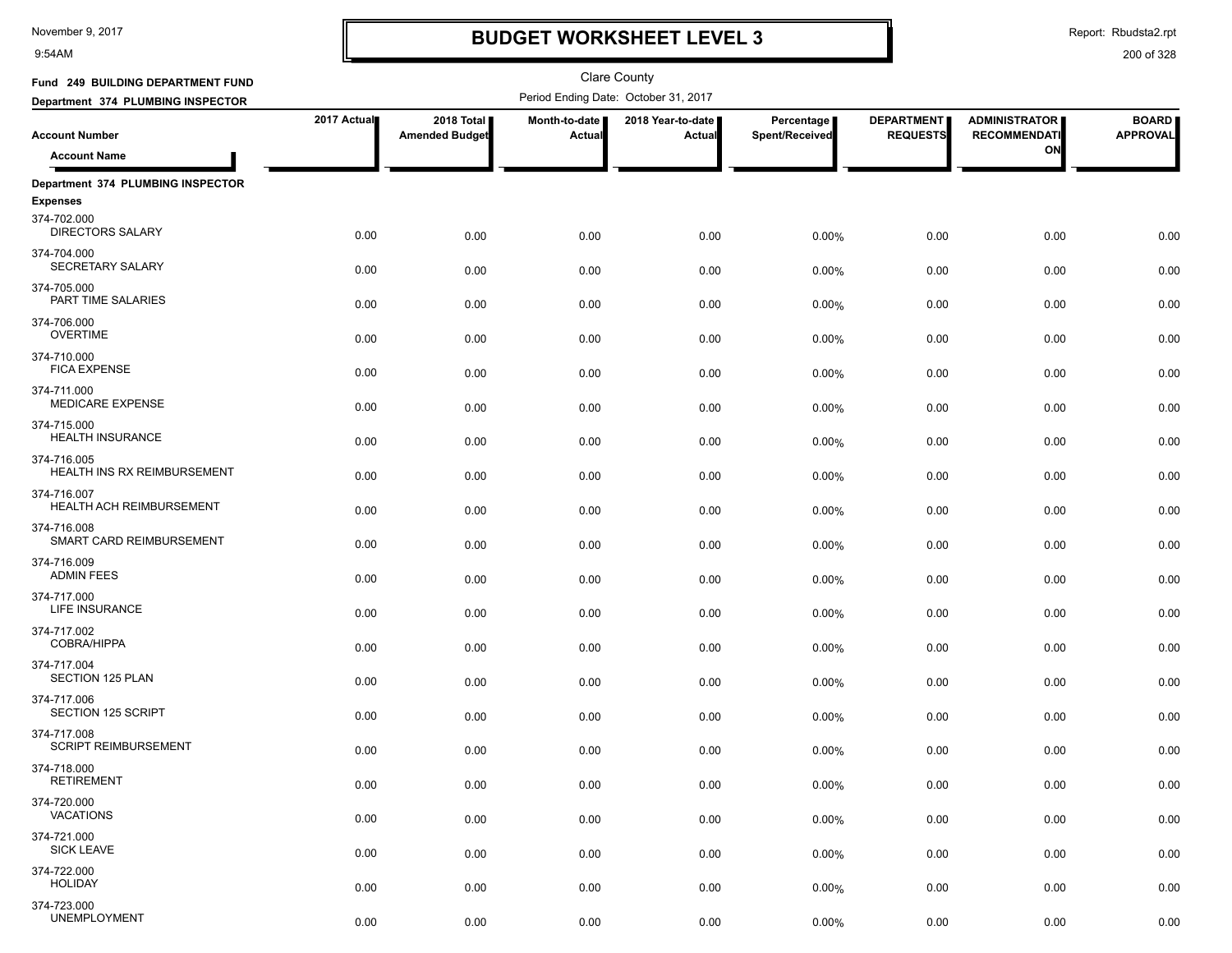9:54AM

## **BUDGET WORKSHEET LEVEL 3**

Report: Rbudsta2.rpt

| Fund 249 BUILDING DEPARTMENT FUND                      |             |                                     |                                | <b>Clare County</b>                  |                              |                                      |                                             |                                 |
|--------------------------------------------------------|-------------|-------------------------------------|--------------------------------|--------------------------------------|------------------------------|--------------------------------------|---------------------------------------------|---------------------------------|
| Department 374 PLUMBING INSPECTOR                      |             |                                     |                                | Period Ending Date: October 31, 2017 |                              |                                      |                                             |                                 |
| <b>Account Number</b>                                  | 2017 Actual | 2018 Total<br><b>Amended Budget</b> | Month-to-date<br><b>Actual</b> | 2018 Year-to-date  <br>Actual        | Percentage<br>Spent/Received | <b>DEPARTMENT</b><br><b>REQUESTS</b> | <b>ADMINISTRATOR</b><br><b>RECOMMENDATI</b> | <b>BOARD</b><br><b>APPROVAL</b> |
| <b>Account Name</b>                                    |             |                                     |                                |                                      |                              |                                      | ON                                          |                                 |
| Department 374 PLUMBING INSPECTOR                      |             |                                     |                                |                                      |                              |                                      |                                             |                                 |
| <b>Expenses</b>                                        |             |                                     |                                |                                      |                              |                                      |                                             |                                 |
| 374-702.000<br>DIRECTORS SALARY                        | 0.00        | 0.00                                | 0.00                           | 0.00                                 | 0.00%                        | 0.00                                 | 0.00                                        | 0.00                            |
| 374-704.000<br>SECRETARY SALARY                        | 0.00        | 0.00                                | 0.00                           | 0.00                                 | 0.00%                        | 0.00                                 | 0.00                                        | 0.00                            |
| 374-705.000<br>PART TIME SALARIES                      | 0.00        | 0.00                                | 0.00                           | 0.00                                 | 0.00%                        | 0.00                                 | 0.00                                        | 0.00                            |
| 374-706.000<br><b>OVERTIME</b>                         | 0.00        | 0.00                                | 0.00                           | 0.00                                 | 0.00%                        | 0.00                                 | 0.00                                        | 0.00                            |
| 374-710.000<br><b>FICA EXPENSE</b>                     | 0.00        | 0.00                                | 0.00                           | 0.00                                 | 0.00%                        | 0.00                                 | 0.00                                        | 0.00                            |
| 374-711.000<br><b>MEDICARE EXPENSE</b>                 | 0.00        | 0.00                                | 0.00                           | 0.00                                 | 0.00%                        | 0.00                                 | 0.00                                        | 0.00                            |
| 374-715.000<br>HEALTH INSURANCE                        | 0.00        | 0.00                                | 0.00                           | 0.00                                 | 0.00%                        | 0.00                                 | 0.00                                        | 0.00                            |
| 374-716.005<br>HEALTH INS RX REIMBURSEMENT             | 0.00        | 0.00                                | 0.00                           | 0.00                                 | 0.00%                        | 0.00                                 | 0.00                                        | 0.00                            |
| 374-716.007<br>HEALTH ACH REIMBURSEMENT                | 0.00        | 0.00                                | 0.00                           | 0.00                                 | 0.00%                        | 0.00                                 | 0.00                                        | 0.00                            |
| 374-716.008<br>SMART CARD REIMBURSEMENT<br>374-716.009 | 0.00        | 0.00                                | 0.00                           | 0.00                                 | 0.00%                        | 0.00                                 | 0.00                                        | 0.00                            |
| <b>ADMIN FEES</b><br>374-717.000                       | 0.00        | 0.00                                | 0.00                           | 0.00                                 | 0.00%                        | 0.00                                 | 0.00                                        | 0.00                            |
| <b>LIFE INSURANCE</b><br>374-717.002                   | 0.00        | 0.00                                | 0.00                           | 0.00                                 | 0.00%                        | 0.00                                 | 0.00                                        | 0.00                            |
| COBRA/HIPPA<br>374-717.004                             | 0.00        | 0.00                                | 0.00                           | 0.00                                 | 0.00%                        | 0.00                                 | 0.00                                        | 0.00                            |
| SECTION 125 PLAN<br>374-717.006                        | 0.00        | 0.00                                | 0.00                           | 0.00                                 | 0.00%                        | 0.00                                 | 0.00                                        | 0.00                            |
| SECTION 125 SCRIPT<br>374-717.008                      | 0.00        | 0.00                                | 0.00                           | 0.00                                 | 0.00%                        | 0.00                                 | 0.00                                        | 0.00                            |
| <b>SCRIPT REIMBURSEMENT</b><br>374-718.000             | 0.00        | 0.00                                | 0.00                           | 0.00                                 | 0.00%                        | 0.00                                 | 0.00                                        | 0.00                            |
| <b>RETIREMENT</b>                                      | 0.00        | 0.00                                | 0.00                           | 0.00                                 | 0.00%                        | 0.00                                 | 0.00                                        | 0.00                            |
| 374-720.000<br><b>VACATIONS</b>                        | 0.00        | 0.00                                | 0.00                           | 0.00                                 | 0.00%                        | 0.00                                 | 0.00                                        | 0.00                            |
| 374-721.000<br><b>SICK LEAVE</b>                       | 0.00        | 0.00                                | 0.00                           | 0.00                                 | 0.00%                        | 0.00                                 | 0.00                                        | 0.00                            |
| 374-722.000<br><b>HOLIDAY</b>                          | 0.00        | 0.00                                | 0.00                           | 0.00                                 | 0.00%                        | 0.00                                 | 0.00                                        | 0.00                            |
| 374-723.000<br><b>UNEMPLOYMENT</b>                     | 0.00        | 0.00                                | 0.00                           | 0.00                                 | $0.00\%$                     | 0.00                                 | 0.00                                        | 0.00                            |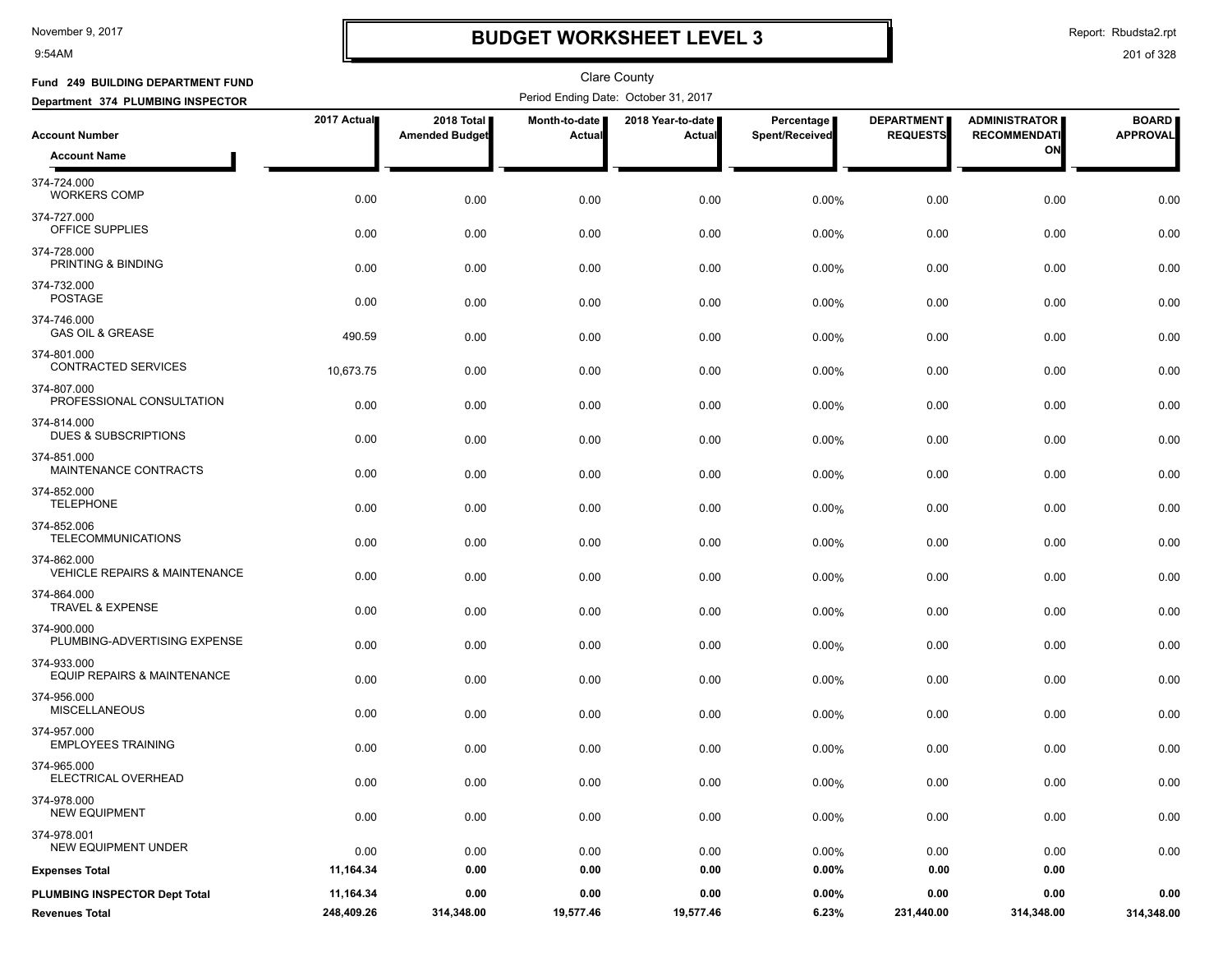9:54AM

## **BUDGET WORKSHEET LEVEL 3**

Report: Rbudsta2.rpt

| Fund 249 BUILDING DEPARTMENT FUND                       |             |                                     |                         | <b>Clare County</b>                  |                              |                                      |                                             |                                 |
|---------------------------------------------------------|-------------|-------------------------------------|-------------------------|--------------------------------------|------------------------------|--------------------------------------|---------------------------------------------|---------------------------------|
| Department 374 PLUMBING INSPECTOR                       |             |                                     |                         | Period Ending Date: October 31, 2017 |                              |                                      |                                             |                                 |
| <b>Account Number</b>                                   | 2017 Actual | 2018 Total<br><b>Amended Budget</b> | Month-to-date<br>Actual | 2018 Year-to-date<br>Actual          | Percentage<br>Spent/Received | <b>DEPARTMENT</b><br><b>REQUESTS</b> | <b>ADMINISTRATOR</b><br><b>RECOMMENDATI</b> | <b>BOARD</b><br><b>APPROVAL</b> |
| <b>Account Name</b>                                     |             |                                     |                         |                                      |                              |                                      | ON                                          |                                 |
| 374-724.000<br><b>WORKERS COMP</b>                      | 0.00        | 0.00                                | 0.00                    | 0.00                                 | 0.00%                        | 0.00                                 | 0.00                                        | 0.00                            |
| 374-727.000<br>OFFICE SUPPLIES                          | 0.00        | 0.00                                | 0.00                    | 0.00                                 | 0.00%                        | 0.00                                 | 0.00                                        | 0.00                            |
| 374-728.000<br>PRINTING & BINDING                       | 0.00        | 0.00                                | 0.00                    | 0.00                                 | 0.00%                        | 0.00                                 | 0.00                                        | 0.00                            |
| 374-732.000<br><b>POSTAGE</b>                           | 0.00        | 0.00                                | 0.00                    | 0.00                                 | $0.00\%$                     | 0.00                                 | 0.00                                        | 0.00                            |
| 374-746.000<br><b>GAS OIL &amp; GREASE</b>              | 490.59      | 0.00                                | 0.00                    | 0.00                                 | 0.00%                        | 0.00                                 | 0.00                                        | 0.00                            |
| 374-801.000<br>CONTRACTED SERVICES                      | 10,673.75   | 0.00                                | 0.00                    | 0.00                                 | 0.00%                        | 0.00                                 | 0.00                                        | 0.00                            |
| 374-807.000<br>PROFESSIONAL CONSULTATION                | 0.00        | 0.00                                | 0.00                    | 0.00                                 | $0.00\%$                     | 0.00                                 | 0.00                                        | 0.00                            |
| 374-814.000<br><b>DUES &amp; SUBSCRIPTIONS</b>          | 0.00        | 0.00                                | 0.00                    | 0.00                                 | 0.00%                        | 0.00                                 | 0.00                                        | 0.00                            |
| 374-851.000<br>MAINTENANCE CONTRACTS                    | 0.00        | 0.00                                | 0.00                    | 0.00                                 | 0.00%                        | 0.00                                 | 0.00                                        | 0.00                            |
| 374-852.000<br><b>TELEPHONE</b>                         | 0.00        | 0.00                                | 0.00                    | 0.00                                 | 0.00%                        | 0.00                                 | 0.00                                        | 0.00                            |
| 374-852.006<br><b>TELECOMMUNICATIONS</b>                | 0.00        | 0.00                                | 0.00                    | 0.00                                 | 0.00%                        | 0.00                                 | 0.00                                        | 0.00                            |
| 374-862.000<br><b>VEHICLE REPAIRS &amp; MAINTENANCE</b> | 0.00        | 0.00                                | 0.00                    | 0.00                                 | 0.00%                        | 0.00                                 | 0.00                                        | 0.00                            |
| 374-864.000<br><b>TRAVEL &amp; EXPENSE</b>              | 0.00        | 0.00                                | 0.00                    | 0.00                                 | 0.00%                        | 0.00                                 | 0.00                                        | 0.00                            |
| 374-900.000<br>PLUMBING-ADVERTISING EXPENSE             | 0.00        | 0.00                                | 0.00                    | 0.00                                 | 0.00%                        | 0.00                                 | 0.00                                        | 0.00                            |
| 374-933.000<br>EQUIP REPAIRS & MAINTENANCE              | 0.00        | 0.00                                | 0.00                    | 0.00                                 | 0.00%                        | 0.00                                 | 0.00                                        | 0.00                            |
| 374-956.000<br><b>MISCELLANEOUS</b>                     | 0.00        | 0.00                                | 0.00                    | 0.00                                 | 0.00%                        | 0.00                                 | 0.00                                        | 0.00                            |
| 374-957.000<br><b>EMPLOYEES TRAINING</b>                | 0.00        | 0.00                                | 0.00                    | 0.00                                 | $0.00\%$                     | 0.00                                 | 0.00                                        | 0.00                            |
| 374-965.000<br>ELECTRICAL OVERHEAD                      | 0.00        | 0.00                                | 0.00                    | 0.00                                 | 0.00%                        | 0.00                                 | 0.00                                        | $0.00\,$                        |
| 374-978.000<br><b>NEW EQUIPMENT</b>                     | 0.00        | 0.00                                | 0.00                    | 0.00                                 | 0.00%                        | 0.00                                 | 0.00                                        | 0.00                            |
| 374-978.001<br>NEW EQUIPMENT UNDER                      | 0.00        | 0.00                                | 0.00                    | 0.00                                 | 0.00%                        | 0.00                                 | 0.00                                        | 0.00                            |
| <b>Expenses Total</b>                                   | 11,164.34   | 0.00                                | 0.00                    | 0.00                                 | $0.00\%$                     | 0.00                                 | 0.00                                        |                                 |
| PLUMBING INSPECTOR Dept Total                           | 11,164.34   | 0.00                                | 0.00                    | 0.00                                 | $0.00\%$                     | 0.00                                 | 0.00                                        | 0.00                            |
| <b>Revenues Total</b>                                   | 248,409.26  | 314,348.00                          | 19,577.46               | 19,577.46                            | 6.23%                        | 231,440.00                           | 314,348.00                                  | 314,348.00                      |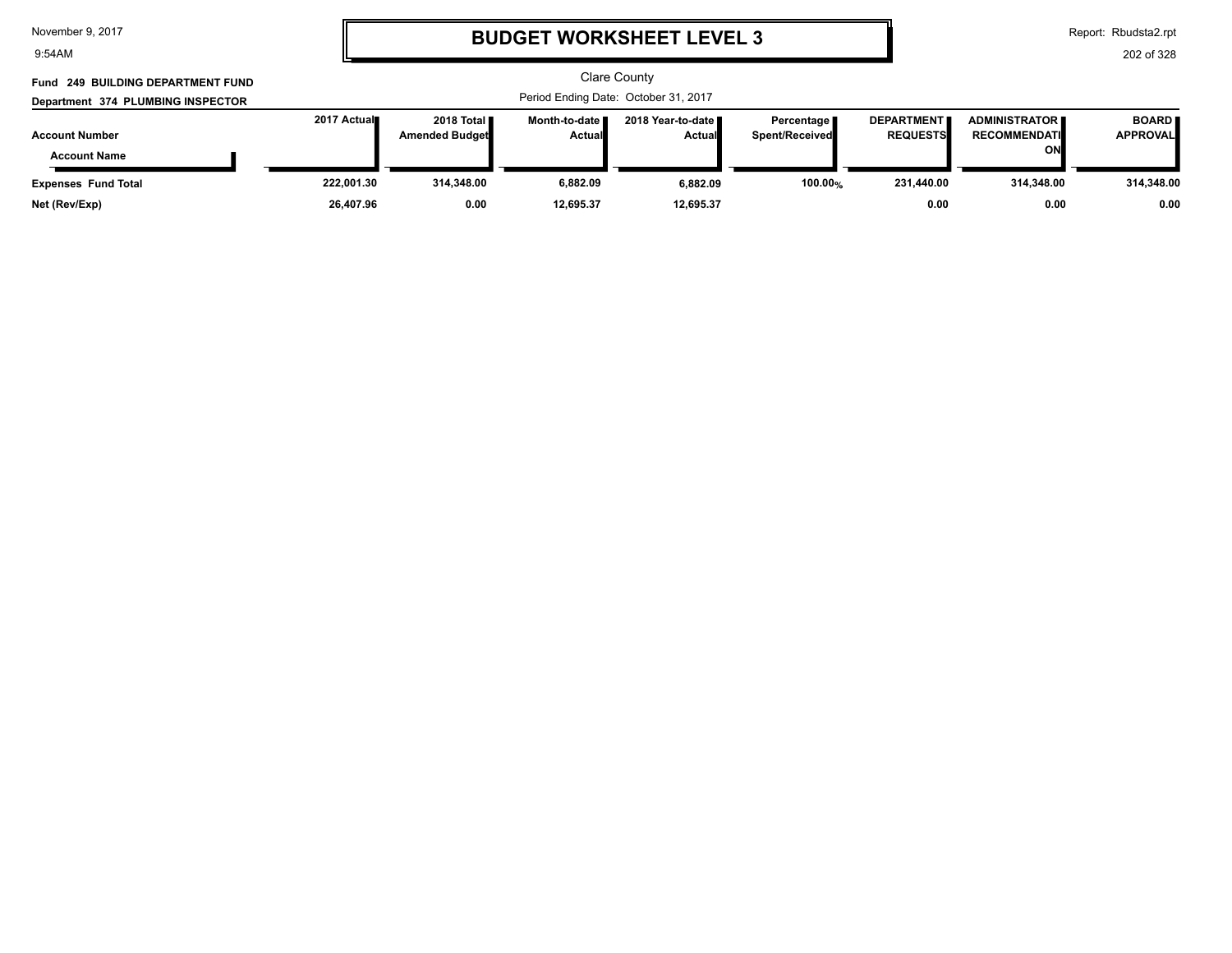9:54AM

# **BUDGET WORKSHEET LEVEL 3**

Report: Rbudsta2.rpt

| Fund 249 BUILDING DEPARTMENT FUND |             |                                               |                                  | <b>Clare County</b>                   |                                     |                                      |                                               |                                 |
|-----------------------------------|-------------|-----------------------------------------------|----------------------------------|---------------------------------------|-------------------------------------|--------------------------------------|-----------------------------------------------|---------------------------------|
| Department 374 PLUMBING INSPECTOR |             |                                               |                                  | Period Ending Date: October 31, 2017  |                                     |                                      |                                               |                                 |
| <b>Account Number</b>             | 2017 Actual | 2018 Total <b>II</b><br><b>Amended Budget</b> | Month-to-date ∎<br><b>Actual</b> | 2018 Year-to-date II<br><b>Actual</b> | Percentage<br><b>Spent/Received</b> | <b>DEPARTMENT</b><br><b>REQUESTS</b> | <b>ADMINISTRATOR E</b><br><b>RECOMMENDATI</b> | <b>BOARD</b><br><b>APPROVAL</b> |
| <b>Account Name</b>               |             |                                               |                                  |                                       |                                     |                                      | ON                                            |                                 |
| <b>Expenses Fund Total</b>        | 222,001.30  | 314,348.00                                    | 6.882.09                         | 6,882.09                              | 100.00%                             | 231,440.00                           | 314.348.00                                    | 314,348.00                      |
| Net (Rev/Exp)                     | 26,407.96   | 0.00                                          | 12.695.37                        | 12,695.37                             |                                     | 0.00                                 | 0.00                                          | 0.00                            |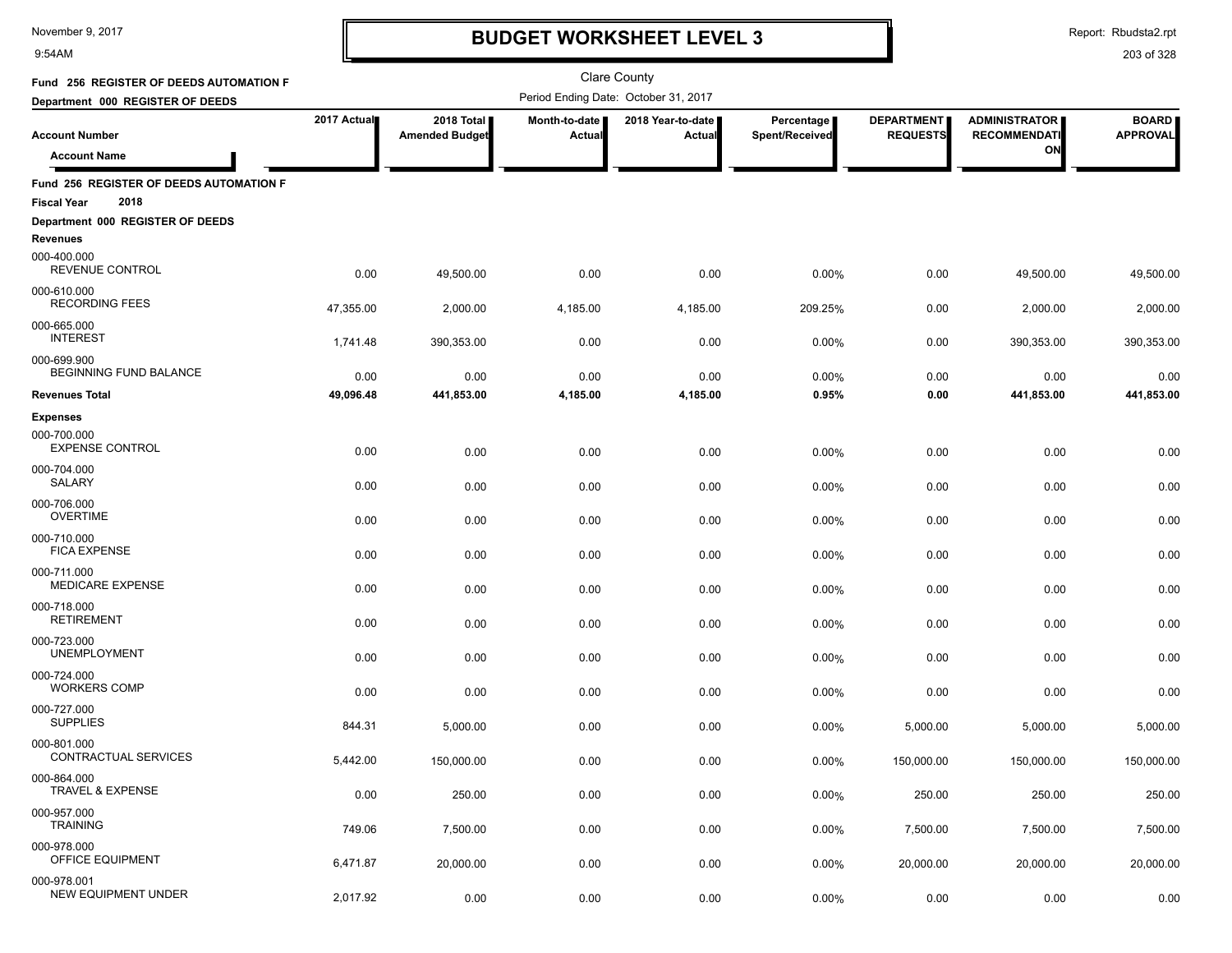9:54AM

### **BUDGET WORKSHEET LEVEL 3**

Report: Rbudsta2.rpt

| Fund 256 REGISTER OF DEEDS AUTOMATION F                               |             |                                     |                         | <b>Clare County</b>                  |                              |                                      |                                             |                                 |
|-----------------------------------------------------------------------|-------------|-------------------------------------|-------------------------|--------------------------------------|------------------------------|--------------------------------------|---------------------------------------------|---------------------------------|
| Department 000 REGISTER OF DEEDS                                      |             |                                     |                         | Period Ending Date: October 31, 2017 |                              |                                      |                                             |                                 |
| <b>Account Number</b>                                                 | 2017 Actual | 2018 Total<br><b>Amended Budget</b> | Month-to-date<br>Actual | 2018 Year-to-date<br>Actual          | Percentage<br>Spent/Received | <b>DEPARTMENT</b><br><b>REQUESTS</b> | <b>ADMINISTRATOR</b><br><b>RECOMMENDATI</b> | <b>BOARD</b><br><b>APPROVAL</b> |
| <b>Account Name</b>                                                   |             |                                     |                         |                                      |                              |                                      | ON                                          |                                 |
| Fund 256 REGISTER OF DEEDS AUTOMATION F<br>2018<br><b>Fiscal Year</b> |             |                                     |                         |                                      |                              |                                      |                                             |                                 |
| Department 000 REGISTER OF DEEDS<br>Revenues                          |             |                                     |                         |                                      |                              |                                      |                                             |                                 |
| 000-400.000<br>REVENUE CONTROL                                        | 0.00        | 49,500.00                           | 0.00                    | 0.00                                 | 0.00%                        | 0.00                                 | 49,500.00                                   | 49,500.00                       |
| 000-610.000<br><b>RECORDING FEES</b>                                  | 47,355.00   | 2,000.00                            | 4,185.00                | 4,185.00                             | 209.25%                      | 0.00                                 | 2,000.00                                    | 2,000.00                        |
| 000-665.000<br><b>INTEREST</b>                                        | 1,741.48    | 390,353.00                          | 0.00                    | 0.00                                 | 0.00%                        | 0.00                                 | 390,353.00                                  | 390,353.00                      |
| 000-699.900<br>BEGINNING FUND BALANCE                                 | 0.00        | 0.00                                | 0.00                    | 0.00                                 | 0.00%                        | 0.00                                 | 0.00                                        | 0.00                            |
| <b>Revenues Total</b>                                                 | 49,096.48   | 441,853.00                          | 4,185.00                | 4,185.00                             | 0.95%                        | 0.00                                 | 441,853.00                                  | 441,853.00                      |
| <b>Expenses</b><br>000-700.000<br><b>EXPENSE CONTROL</b>              | 0.00        | 0.00                                | 0.00                    | 0.00                                 | 0.00%                        | 0.00                                 | 0.00                                        | 0.00                            |
| 000-704.000<br><b>SALARY</b>                                          | 0.00        | 0.00                                | 0.00                    | 0.00                                 | 0.00%                        | 0.00                                 | 0.00                                        | 0.00                            |
| 000-706.000<br><b>OVERTIME</b>                                        | 0.00        | 0.00                                | 0.00                    | 0.00                                 | 0.00%                        | 0.00                                 | 0.00                                        | 0.00                            |
| 000-710.000<br><b>FICA EXPENSE</b>                                    | 0.00        | 0.00                                | 0.00                    | 0.00                                 | 0.00%                        | 0.00                                 | 0.00                                        | 0.00                            |
| 000-711.000<br><b>MEDICARE EXPENSE</b>                                | 0.00        | 0.00                                | 0.00                    | 0.00                                 | 0.00%                        | 0.00                                 | 0.00                                        | 0.00                            |
| 000-718.000<br><b>RETIREMENT</b>                                      | 0.00        | 0.00                                | 0.00                    | 0.00                                 | 0.00%                        | 0.00                                 | 0.00                                        | 0.00                            |
| 000-723.000<br><b>UNEMPLOYMENT</b>                                    | 0.00        | 0.00                                | 0.00                    | 0.00                                 | 0.00%                        | 0.00                                 | 0.00                                        | 0.00                            |
| 000-724.000<br><b>WORKERS COMP</b>                                    | 0.00        | 0.00                                | 0.00                    | 0.00                                 | 0.00%                        | 0.00                                 | 0.00                                        | 0.00                            |
| 000-727.000<br><b>SUPPLIES</b>                                        | 844.31      | 5,000.00                            | 0.00                    | 0.00                                 | 0.00%                        | 5,000.00                             | 5,000.00                                    | 5,000.00                        |
| 000-801.000<br>CONTRACTUAL SERVICES                                   | 5,442.00    | 150,000.00                          | 0.00                    | 0.00                                 | 0.00%                        | 150,000.00                           | 150,000.00                                  | 150,000.00                      |
| 000-864.000<br><b>TRAVEL &amp; EXPENSE</b>                            | 0.00        | 250.00                              | 0.00                    | 0.00                                 | 0.00%                        | 250.00                               | 250.00                                      | 250.00                          |
| 000-957.000<br><b>TRAINING</b>                                        | 749.06      | 7,500.00                            | 0.00                    | 0.00                                 | 0.00%                        | 7,500.00                             | 7,500.00                                    | 7,500.00                        |
| 000-978.000<br>OFFICE EQUIPMENT                                       | 6,471.87    | 20,000.00                           | 0.00                    | 0.00                                 | 0.00%                        | 20,000.00                            | 20,000.00                                   | 20,000.00                       |
| 000-978.001<br><b>NEW EQUIPMENT UNDER</b>                             | 2,017.92    | 0.00                                | 0.00                    | 0.00                                 | 0.00%                        | 0.00                                 | 0.00                                        | 0.00                            |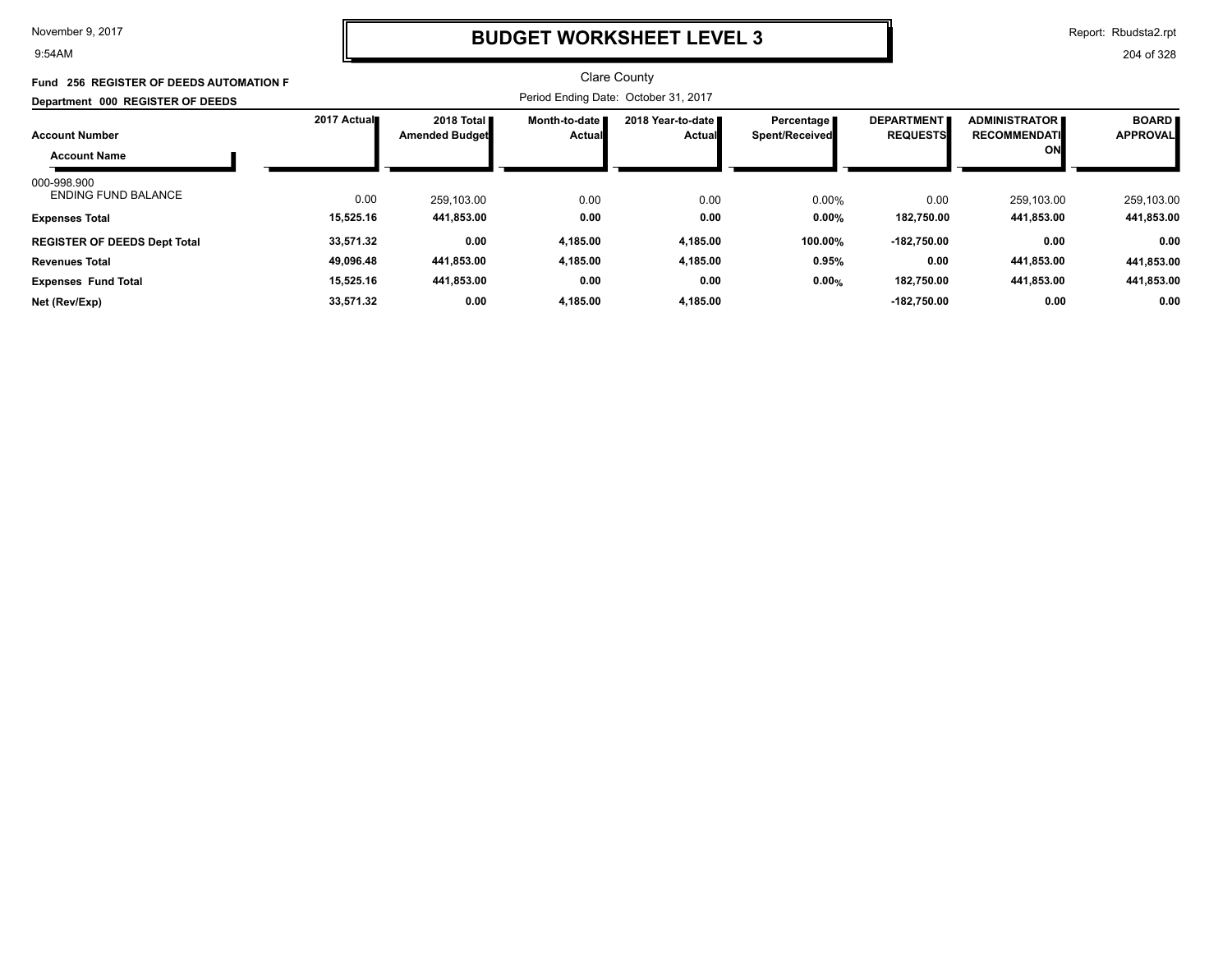9:54AM

### **BUDGET WORKSHEET LEVEL 3**

Report: Rbudsta2.rpt

| Fund 256 REGISTER OF DEEDS AUTOMATION F   |             |                                               |                                         | Clare County                         |                              |                                      |                                             |                                 |
|-------------------------------------------|-------------|-----------------------------------------------|-----------------------------------------|--------------------------------------|------------------------------|--------------------------------------|---------------------------------------------|---------------------------------|
| Department 000 REGISTER OF DEEDS          |             |                                               |                                         | Period Ending Date: October 31, 2017 |                              |                                      |                                             |                                 |
| <b>Account Number</b>                     | 2017 Actual | 2018 Total <b>II</b><br><b>Amended Budget</b> | <b>Month-to-date I</b><br><b>Actual</b> | 2018 Year-to-date ■<br><b>Actual</b> | Percentage<br>Spent/Received | <b>DEPARTMENT</b><br><b>REQUESTS</b> | <b>ADMINISTRATOR</b><br><b>RECOMMENDATI</b> | <b>BOARD</b><br><b>APPROVAL</b> |
| <b>Account Name</b>                       |             |                                               |                                         |                                      |                              |                                      | ON                                          |                                 |
| 000-998.900<br><b>ENDING FUND BALANCE</b> | 0.00        | 259.103.00                                    | 0.00                                    | 0.00                                 | 0.00%                        | 0.00                                 | 259.103.00                                  | 259,103.00                      |
| <b>Expenses Total</b>                     | 15,525.16   | 441,853.00                                    | 0.00                                    | 0.00                                 | $0.00\%$                     | 182,750.00                           | 441,853.00                                  | 441,853.00                      |
| <b>REGISTER OF DEEDS Dept Total</b>       | 33,571.32   | 0.00                                          | 4,185.00                                | 4,185.00                             | 100.00%                      | $-182,750.00$                        | 0.00                                        | 0.00                            |
| <b>Revenues Total</b>                     | 49,096.48   | 441,853.00                                    | 4,185.00                                | 4,185.00                             | 0.95%                        | 0.00                                 | 441,853.00                                  | 441,853.00                      |
| <b>Expenses Fund Total</b>                | 15,525.16   | 441,853.00                                    | 0.00                                    | 0.00                                 | 0.00%                        | 182,750.00                           | 441,853.00                                  | 441,853.00                      |
| Net (Rev/Exp)                             | 33,571.32   | 0.00                                          | 4,185.00                                | 4,185.00                             |                              | $-182,750.00$                        | 0.00                                        | 0.00                            |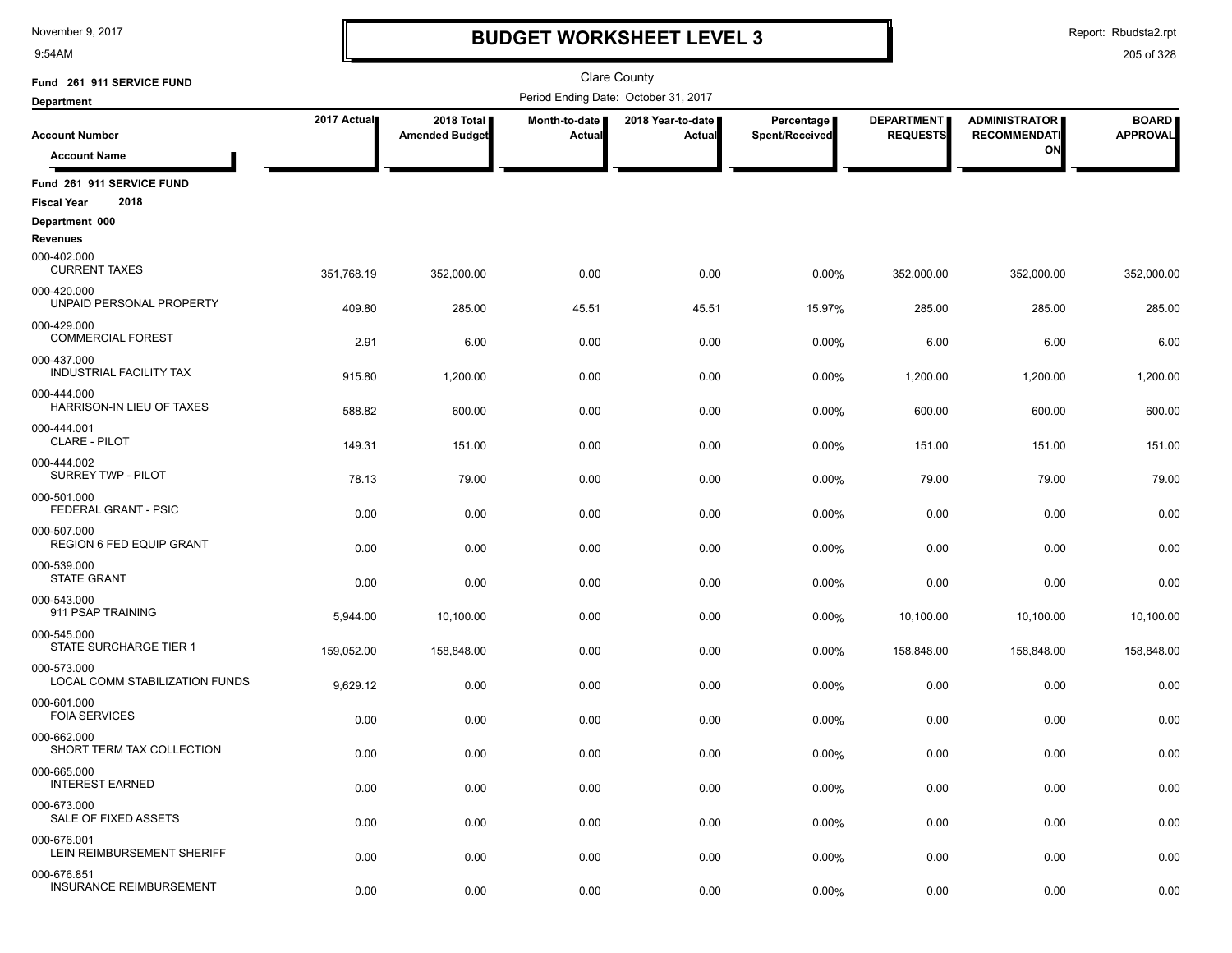9:54AM

### **BUDGET WORKSHEET LEVEL 3**

Report: Rbudsta2.rpt

| Fund 261 911 SERVICE FUND                      |             |                                     |                         | <b>Clare County</b>                  |                              |                                      |                                             |                                 |
|------------------------------------------------|-------------|-------------------------------------|-------------------------|--------------------------------------|------------------------------|--------------------------------------|---------------------------------------------|---------------------------------|
| <b>Department</b>                              |             |                                     |                         | Period Ending Date: October 31, 2017 |                              |                                      |                                             |                                 |
| <b>Account Number</b>                          | 2017 Actual | 2018 Total<br><b>Amended Budget</b> | Month-to-date<br>Actual | 2018 Year-to-date<br>Actual          | Percentage<br>Spent/Received | <b>DEPARTMENT</b><br><b>REQUESTS</b> | <b>ADMINISTRATOR</b><br><b>RECOMMENDATI</b> | <b>BOARD</b><br><b>APPROVAL</b> |
| <b>Account Name</b>                            |             |                                     |                         |                                      |                              |                                      | ON                                          |                                 |
| Fund 261 911 SERVICE FUND                      |             |                                     |                         |                                      |                              |                                      |                                             |                                 |
| 2018<br><b>Fiscal Year</b>                     |             |                                     |                         |                                      |                              |                                      |                                             |                                 |
| Department 000<br>Revenues                     |             |                                     |                         |                                      |                              |                                      |                                             |                                 |
| 000-402.000<br><b>CURRENT TAXES</b>            | 351,768.19  | 352,000.00                          | 0.00                    | 0.00                                 | 0.00%                        | 352,000.00                           | 352,000.00                                  | 352,000.00                      |
| 000-420.000<br>UNPAID PERSONAL PROPERTY        | 409.80      | 285.00                              | 45.51                   | 45.51                                | 15.97%                       | 285.00                               | 285.00                                      | 285.00                          |
| 000-429.000<br><b>COMMERCIAL FOREST</b>        | 2.91        | 6.00                                | 0.00                    | 0.00                                 | 0.00%                        | 6.00                                 | 6.00                                        | 6.00                            |
| 000-437.000<br>INDUSTRIAL FACILITY TAX         | 915.80      | 1,200.00                            | 0.00                    | 0.00                                 | 0.00%                        | 1,200.00                             | 1,200.00                                    | 1,200.00                        |
| 000-444.000<br>HARRISON-IN LIEU OF TAXES       | 588.82      | 600.00                              | 0.00                    | 0.00                                 | 0.00%                        | 600.00                               | 600.00                                      | 600.00                          |
| 000-444.001<br><b>CLARE - PILOT</b>            | 149.31      | 151.00                              | 0.00                    | 0.00                                 | 0.00%                        | 151.00                               | 151.00                                      | 151.00                          |
| 000-444.002<br>SURREY TWP - PILOT              | 78.13       | 79.00                               | 0.00                    | 0.00                                 | 0.00%                        | 79.00                                | 79.00                                       | 79.00                           |
| 000-501.000<br>FEDERAL GRANT - PSIC            | 0.00        | 0.00                                | 0.00                    | 0.00                                 | 0.00%                        | 0.00                                 | 0.00                                        | 0.00                            |
| 000-507.000<br><b>REGION 6 FED EQUIP GRANT</b> | 0.00        | 0.00                                | 0.00                    | 0.00                                 | 0.00%                        | 0.00                                 | 0.00                                        | 0.00                            |
| 000-539.000<br><b>STATE GRANT</b>              | 0.00        | 0.00                                | 0.00                    | 0.00                                 | 0.00%                        | 0.00                                 | 0.00                                        | 0.00                            |
| 000-543.000<br>911 PSAP TRAINING               | 5,944.00    | 10,100.00                           | 0.00                    | 0.00                                 | 0.00%                        | 10,100.00                            | 10,100.00                                   | 10,100.00                       |
| 000-545.000<br>STATE SURCHARGE TIER 1          | 159,052.00  | 158,848.00                          | 0.00                    | 0.00                                 | 0.00%                        | 158,848.00                           | 158,848.00                                  | 158,848.00                      |
| 000-573.000<br>LOCAL COMM STABILIZATION FUNDS  | 9,629.12    | 0.00                                | 0.00                    | 0.00                                 | 0.00%                        | 0.00                                 | 0.00                                        | 0.00                            |
| 000-601.000<br><b>FOIA SERVICES</b>            | 0.00        | 0.00                                | 0.00                    | 0.00                                 | 0.00%                        | 0.00                                 | 0.00                                        | 0.00                            |
| 000-662.000<br>SHORT TERM TAX COLLECTION       | 0.00        | 0.00                                | 0.00                    | 0.00                                 | 0.00%                        | 0.00                                 | 0.00                                        | 0.00                            |
| 000-665.000<br><b>INTEREST EARNED</b>          | 0.00        | 0.00                                | 0.00                    | 0.00                                 | 0.00%                        | 0.00                                 | 0.00                                        | 0.00                            |
| 000-673.000<br>SALE OF FIXED ASSETS            | 0.00        | 0.00                                | 0.00                    | 0.00                                 | 0.00%                        | 0.00                                 | 0.00                                        | 0.00                            |
| 000-676.001<br>LEIN REIMBURSEMENT SHERIFF      | 0.00        | 0.00                                | 0.00                    | 0.00                                 | 0.00%                        | 0.00                                 | 0.00                                        | 0.00                            |
| 000-676.851<br><b>INSURANCE REIMBURSEMENT</b>  | 0.00        | 0.00                                | 0.00                    | 0.00                                 | 0.00%                        | 0.00                                 | 0.00                                        | 0.00                            |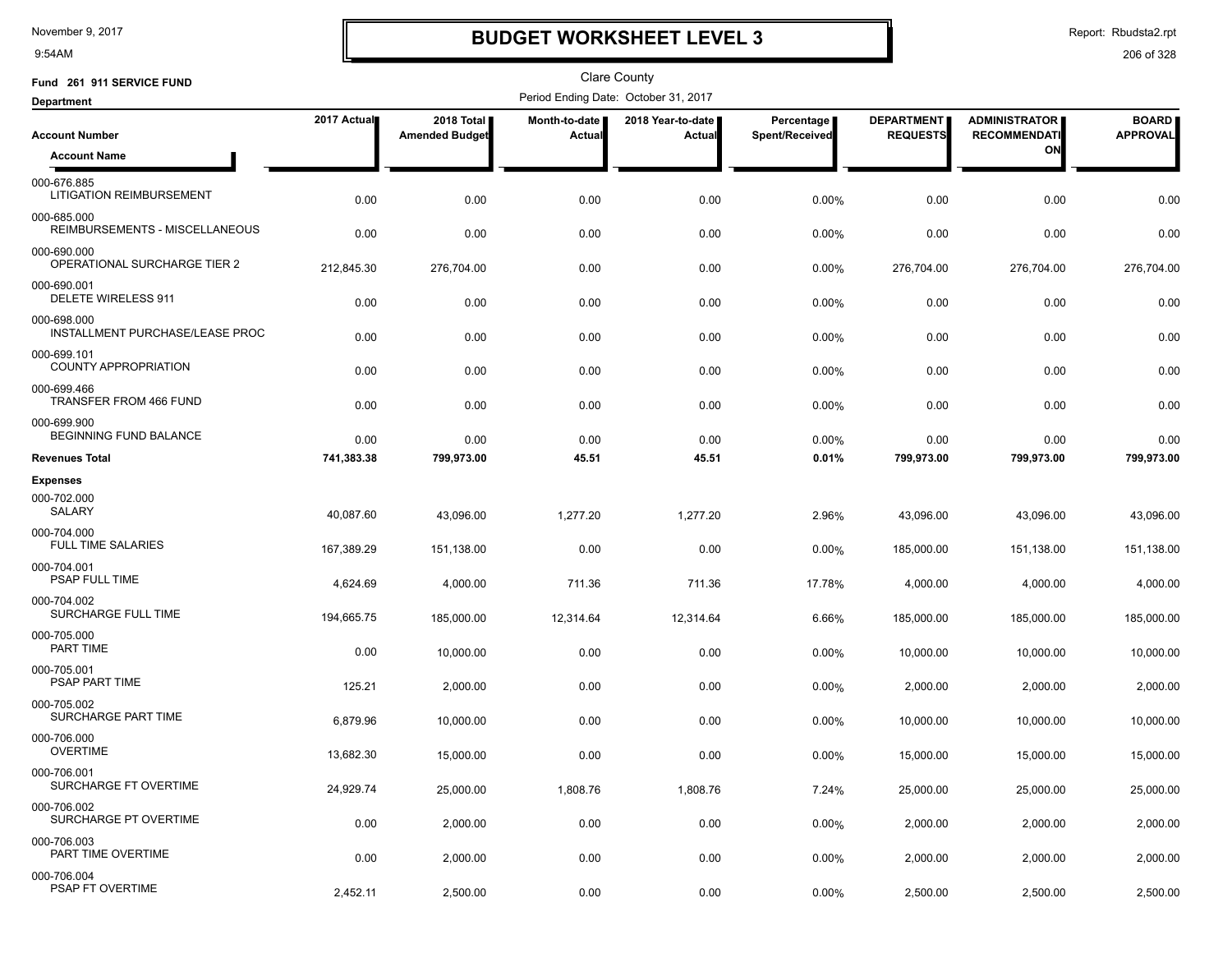9:54AM

### **BUDGET WORKSHEET LEVEL 3**

Report: Rbudsta2.rpt

| Fund 261 911 SERVICE FUND                      |             |                                     |                         | Clare County                         |                              |                                      |                                             |                                 |
|------------------------------------------------|-------------|-------------------------------------|-------------------------|--------------------------------------|------------------------------|--------------------------------------|---------------------------------------------|---------------------------------|
| <b>Department</b>                              |             |                                     |                         | Period Ending Date: October 31, 2017 |                              |                                      |                                             |                                 |
| <b>Account Number</b>                          | 2017 Actual | 2018 Total<br><b>Amended Budget</b> | Month-to-date<br>Actual | 2018 Year-to-date  <br>Actual        | Percentage<br>Spent/Received | <b>DEPARTMENT</b><br><b>REQUESTS</b> | <b>ADMINISTRATOR</b><br><b>RECOMMENDATI</b> | <b>BOARD</b><br><b>APPROVAL</b> |
| <b>Account Name</b>                            |             |                                     |                         |                                      |                              |                                      | ON                                          |                                 |
| 000-676.885<br><b>LITIGATION REIMBURSEMENT</b> | 0.00        | 0.00                                | 0.00                    | 0.00                                 | 0.00%                        | 0.00                                 | 0.00                                        | 0.00                            |
| 000-685.000<br>REIMBURSEMENTS - MISCELLANEOUS  | 0.00        | 0.00                                | 0.00                    | 0.00                                 | 0.00%                        | 0.00                                 | 0.00                                        | 0.00                            |
| 000-690.000<br>OPERATIONAL SURCHARGE TIER 2    | 212,845.30  | 276,704.00                          | 0.00                    | 0.00                                 | $0.00\%$                     | 276,704.00                           | 276,704.00                                  | 276,704.00                      |
| 000-690.001<br>DELETE WIRELESS 911             | 0.00        | 0.00                                | 0.00                    | 0.00                                 | $0.00\%$                     | 0.00                                 | 0.00                                        | 0.00                            |
| 000-698.000<br>INSTALLMENT PURCHASE/LEASE PROC | 0.00        | 0.00                                | 0.00                    | 0.00                                 | 0.00%                        | 0.00                                 | 0.00                                        | 0.00                            |
| 000-699.101<br><b>COUNTY APPROPRIATION</b>     | 0.00        | 0.00                                | 0.00                    | 0.00                                 | 0.00%                        | 0.00                                 | 0.00                                        | 0.00                            |
| 000-699.466<br><b>TRANSFER FROM 466 FUND</b>   | 0.00        | 0.00                                | 0.00                    | 0.00                                 | 0.00%                        | 0.00                                 | 0.00                                        | 0.00                            |
| 000-699.900<br>BEGINNING FUND BALANCE          | 0.00        | 0.00                                | 0.00                    | 0.00                                 | $0.00\%$                     | 0.00                                 | 0.00                                        | 0.00                            |
| <b>Revenues Total</b>                          | 741,383.38  | 799,973.00                          | 45.51                   | 45.51                                | 0.01%                        | 799,973.00                           | 799,973.00                                  | 799,973.00                      |
| <b>Expenses</b>                                |             |                                     |                         |                                      |                              |                                      |                                             |                                 |
| 000-702.000<br><b>SALARY</b>                   | 40,087.60   | 43,096.00                           | 1,277.20                | 1.277.20                             | 2.96%                        | 43,096.00                            | 43,096.00                                   | 43,096.00                       |
| 000-704.000<br><b>FULL TIME SALARIES</b>       | 167,389.29  | 151,138.00                          | 0.00                    | 0.00                                 | $0.00\%$                     | 185,000.00                           | 151,138.00                                  | 151,138.00                      |
| 000-704.001<br>PSAP FULL TIME                  | 4,624.69    | 4,000.00                            | 711.36                  | 711.36                               | 17.78%                       | 4,000.00                             | 4,000.00                                    | 4,000.00                        |
| 000-704.002<br>SURCHARGE FULL TIME             | 194,665.75  | 185,000.00                          | 12,314.64               | 12,314.64                            | 6.66%                        | 185,000.00                           | 185,000.00                                  | 185,000.00                      |
| 000-705.000<br>PART TIME                       | 0.00        | 10,000.00                           | 0.00                    | 0.00                                 | 0.00%                        | 10,000.00                            | 10,000.00                                   | 10,000.00                       |
| 000-705.001<br><b>PSAP PART TIME</b>           | 125.21      | 2,000.00                            | 0.00                    | 0.00                                 | 0.00%                        | 2,000.00                             | 2,000.00                                    | 2,000.00                        |
| 000-705.002<br>SURCHARGE PART TIME             | 6,879.96    | 10,000.00                           | 0.00                    | 0.00                                 | $0.00\%$                     | 10,000.00                            | 10,000.00                                   | 10,000.00                       |
| 000-706.000<br><b>OVERTIME</b>                 | 13,682.30   | 15,000.00                           | 0.00                    | 0.00                                 | $0.00\%$                     | 15,000.00                            | 15,000.00                                   | 15,000.00                       |
| 000-706.001<br>SURCHARGE FT OVERTIME           | 24,929.74   | 25,000.00                           | 1,808.76                | 1,808.76                             | 7.24%                        | 25,000.00                            | 25,000.00                                   | 25,000.00                       |
| 000-706.002<br>SURCHARGE PT OVERTIME           | 0.00        | 2,000.00                            | 0.00                    | 0.00                                 | 0.00%                        | 2,000.00                             | 2,000.00                                    | 2,000.00                        |
| 000-706.003<br>PART TIME OVERTIME              | 0.00        | 2,000.00                            | 0.00                    | 0.00                                 | 0.00%                        | 2,000.00                             | 2,000.00                                    | 2,000.00                        |
| 000-706.004<br>PSAP FT OVERTIME                | 2,452.11    | 2,500.00                            | 0.00                    | 0.00                                 | 0.00%                        | 2,500.00                             | 2,500.00                                    | 2,500.00                        |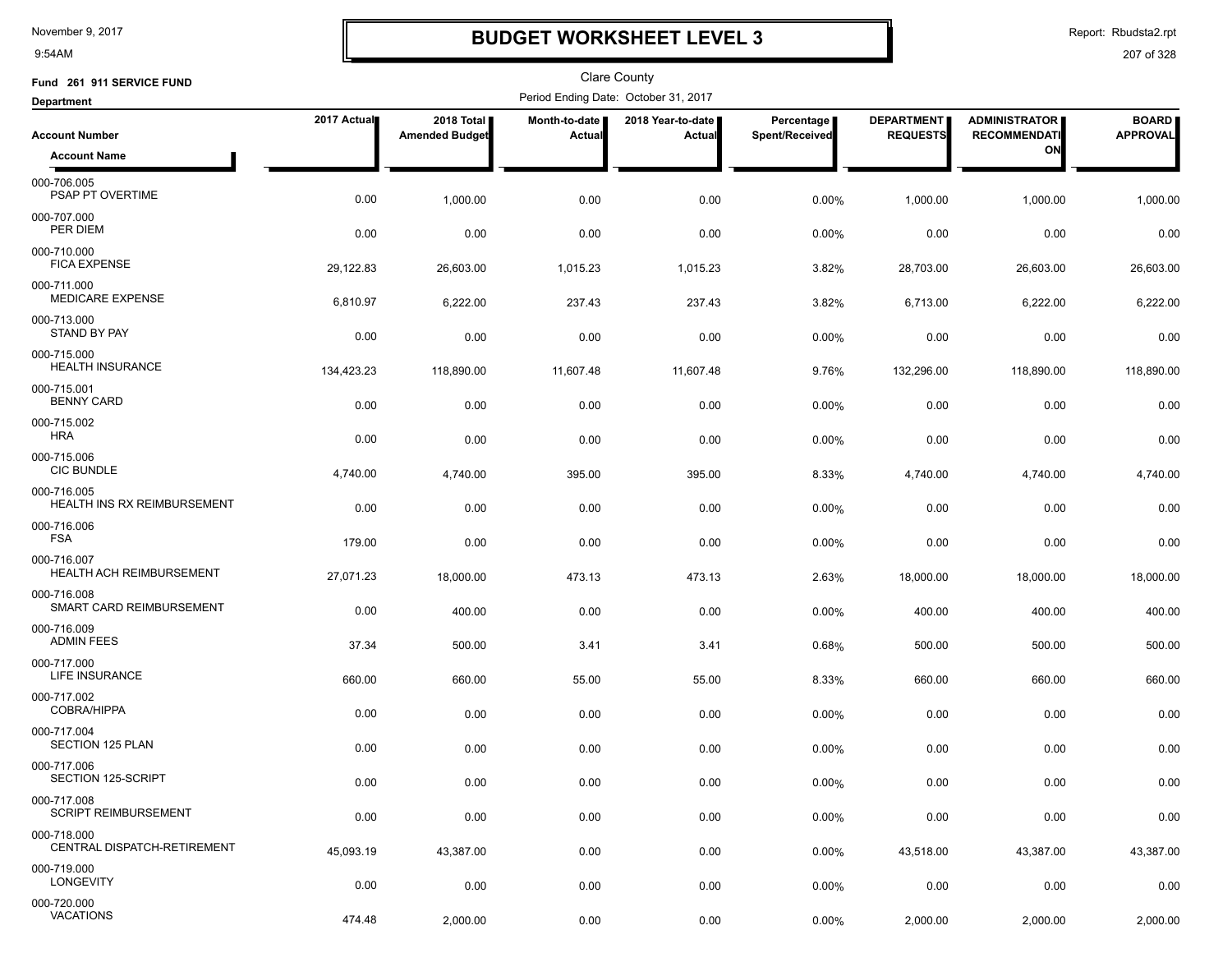9:54AM

### **BUDGET WORKSHEET LEVEL 3**

Report: Rbudsta2.rpt

| Fund 261 911 SERVICE FUND                      |             |                                     |                                | <b>Clare County</b>                  |                              |                                      |                                             |                                 |
|------------------------------------------------|-------------|-------------------------------------|--------------------------------|--------------------------------------|------------------------------|--------------------------------------|---------------------------------------------|---------------------------------|
| <b>Department</b>                              |             |                                     |                                | Period Ending Date: October 31, 2017 |                              |                                      |                                             |                                 |
| <b>Account Number</b>                          | 2017 Actual | 2018 Total<br><b>Amended Budget</b> | Month-to-date<br><b>Actual</b> | 2018 Year-to-date  <br>Actual        | Percentage<br>Spent/Received | <b>DEPARTMENT</b><br><b>REQUESTS</b> | <b>ADMINISTRATOR</b><br><b>RECOMMENDATI</b> | <b>BOARD</b><br><b>APPROVAL</b> |
| <b>Account Name</b>                            |             |                                     |                                |                                      |                              |                                      | ON                                          |                                 |
| 000-706.005<br>PSAP PT OVERTIME                | 0.00        | 1,000.00                            | 0.00                           | 0.00                                 | 0.00%                        | 1,000.00                             | 1,000.00                                    | 1,000.00                        |
| 000-707.000<br>PER DIEM                        | 0.00        | 0.00                                | 0.00                           | 0.00                                 | 0.00%                        | 0.00                                 | 0.00                                        | 0.00                            |
| 000-710.000<br><b>FICA EXPENSE</b>             | 29,122.83   | 26,603.00                           | 1,015.23                       | 1,015.23                             | 3.82%                        | 28,703.00                            | 26,603.00                                   | 26,603.00                       |
| 000-711.000<br><b>MEDICARE EXPENSE</b>         | 6,810.97    | 6,222.00                            | 237.43                         | 237.43                               | 3.82%                        | 6,713.00                             | 6,222.00                                    | 6,222.00                        |
| 000-713.000<br><b>STAND BY PAY</b>             | 0.00        | 0.00                                | 0.00                           | 0.00                                 | 0.00%                        | 0.00                                 | 0.00                                        | 0.00                            |
| 000-715.000<br><b>HEALTH INSURANCE</b>         | 134,423.23  | 118,890.00                          | 11,607.48                      | 11,607.48                            | 9.76%                        | 132,296.00                           | 118,890.00                                  | 118,890.00                      |
| 000-715.001<br><b>BENNY CARD</b>               | 0.00        | 0.00                                | 0.00                           | 0.00                                 | 0.00%                        | 0.00                                 | 0.00                                        | 0.00                            |
| 000-715.002<br><b>HRA</b>                      | 0.00        | 0.00                                | 0.00                           | 0.00                                 | 0.00%                        | 0.00                                 | 0.00                                        | 0.00                            |
| 000-715.006<br><b>CIC BUNDLE</b>               | 4,740.00    | 4,740.00                            | 395.00                         | 395.00                               | 8.33%                        | 4,740.00                             | 4,740.00                                    | 4,740.00                        |
| 000-716.005<br>HEALTH INS RX REIMBURSEMENT     | 0.00        | 0.00                                | 0.00                           | 0.00                                 | 0.00%                        | 0.00                                 | 0.00                                        | 0.00                            |
| 000-716.006<br><b>FSA</b>                      | 179.00      | 0.00                                | 0.00                           | 0.00                                 | 0.00%                        | 0.00                                 | 0.00                                        | 0.00                            |
| 000-716.007<br><b>HEALTH ACH REIMBURSEMENT</b> | 27,071.23   | 18,000.00                           | 473.13                         | 473.13                               | 2.63%                        | 18,000.00                            | 18,000.00                                   | 18,000.00                       |
| 000-716.008<br>SMART CARD REIMBURSEMENT        | 0.00        | 400.00                              | 0.00                           | 0.00                                 | 0.00%                        | 400.00                               | 400.00                                      | 400.00                          |
| 000-716.009<br><b>ADMIN FEES</b>               | 37.34       | 500.00                              | 3.41                           | 3.41                                 | 0.68%                        | 500.00                               | 500.00                                      | 500.00                          |
| 000-717.000<br>LIFE INSURANCE                  | 660.00      | 660.00                              | 55.00                          | 55.00                                | 8.33%                        | 660.00                               | 660.00                                      | 660.00                          |
| 000-717.002<br><b>COBRA/HIPPA</b>              | 0.00        | 0.00                                | 0.00                           | 0.00                                 | 0.00%                        | 0.00                                 | 0.00                                        | 0.00                            |
| 000-717.004<br><b>SECTION 125 PLAN</b>         | 0.00        | 0.00                                | 0.00                           | 0.00                                 | 0.00%                        | 0.00                                 | 0.00                                        | 0.00                            |
| 000-717.006<br>SECTION 125-SCRIPT              | 0.00        | 0.00                                | 0.00                           | 0.00                                 | 0.00%                        | 0.00                                 | 0.00                                        | 0.00                            |
| 000-717.008<br><b>SCRIPT REIMBURSEMENT</b>     | 0.00        | 0.00                                | 0.00                           | 0.00                                 | 0.00%                        | 0.00                                 | 0.00                                        | 0.00                            |
| 000-718.000<br>CENTRAL DISPATCH-RETIREMENT     | 45,093.19   | 43,387.00                           | 0.00                           | 0.00                                 | 0.00%                        | 43,518.00                            | 43,387.00                                   | 43,387.00                       |
| 000-719.000<br><b>LONGEVITY</b>                | 0.00        | 0.00                                | 0.00                           | 0.00                                 | 0.00%                        | 0.00                                 | 0.00                                        | 0.00                            |
| 000-720.000<br><b>VACATIONS</b>                | 474.48      | 2,000.00                            | 0.00                           | 0.00                                 | 0.00%                        | 2,000.00                             | 2,000.00                                    | 2,000.00                        |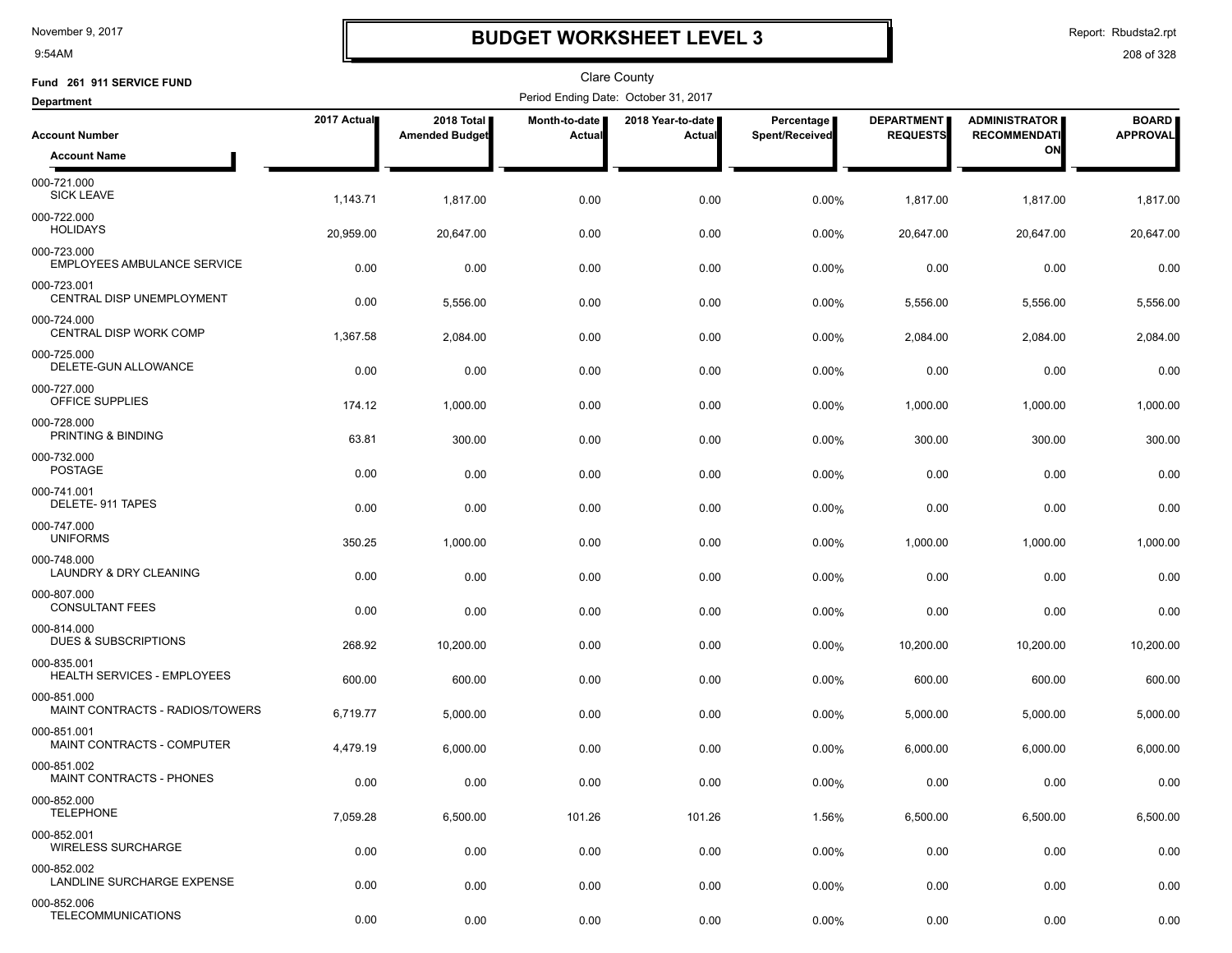9:54AM

### **BUDGET WORKSHEET LEVEL 3**

Report: Rbudsta2.rpt

| Fund 261 911 SERVICE FUND                         |             |                                     |                                | <b>Clare County</b>                  |                              |                                      |                                             |                                 |
|---------------------------------------------------|-------------|-------------------------------------|--------------------------------|--------------------------------------|------------------------------|--------------------------------------|---------------------------------------------|---------------------------------|
| <b>Department</b>                                 |             |                                     |                                | Period Ending Date: October 31, 2017 |                              |                                      |                                             |                                 |
| <b>Account Number</b>                             | 2017 Actual | 2018 Total<br><b>Amended Budget</b> | Month-to-date<br><b>Actual</b> | 2018 Year-to-date<br>Actual          | Percentage<br>Spent/Received | <b>DEPARTMENT</b><br><b>REQUESTS</b> | <b>ADMINISTRATOR</b><br><b>RECOMMENDATI</b> | <b>BOARD</b><br><b>APPROVAL</b> |
| <b>Account Name</b>                               |             |                                     |                                |                                      |                              |                                      | ON                                          |                                 |
| 000-721.000<br><b>SICK LEAVE</b>                  | 1,143.71    | 1,817.00                            | 0.00                           | 0.00                                 | 0.00%                        | 1,817.00                             | 1,817.00                                    | 1,817.00                        |
| 000-722.000<br><b>HOLIDAYS</b>                    | 20,959.00   | 20.647.00                           | 0.00                           | 0.00                                 | 0.00%                        | 20,647.00                            | 20,647.00                                   | 20,647.00                       |
| 000-723.000<br><b>EMPLOYEES AMBULANCE SERVICE</b> | 0.00        | 0.00                                | 0.00                           | 0.00                                 | 0.00%                        | 0.00                                 | 0.00                                        | 0.00                            |
| 000-723.001<br>CENTRAL DISP UNEMPLOYMENT          | 0.00        | 5,556.00                            | 0.00                           | 0.00                                 | 0.00%                        | 5,556.00                             | 5,556.00                                    | 5,556.00                        |
| 000-724.000<br>CENTRAL DISP WORK COMP             | 1,367.58    | 2,084.00                            | 0.00                           | 0.00                                 | 0.00%                        | 2,084.00                             | 2,084.00                                    | 2,084.00                        |
| 000-725.000<br>DELETE-GUN ALLOWANCE               | 0.00        | 0.00                                | 0.00                           | 0.00                                 | 0.00%                        | 0.00                                 | 0.00                                        | 0.00                            |
| 000-727.000<br>OFFICE SUPPLIES                    | 174.12      | 1,000.00                            | 0.00                           | 0.00                                 | 0.00%                        | 1,000.00                             | 1,000.00                                    | 1,000.00                        |
| 000-728.000<br>PRINTING & BINDING                 | 63.81       | 300.00                              | 0.00                           | 0.00                                 | 0.00%                        | 300.00                               | 300.00                                      | 300.00                          |
| 000-732.000<br><b>POSTAGE</b>                     | 0.00        | 0.00                                | 0.00                           | 0.00                                 | 0.00%                        | 0.00                                 | 0.00                                        | 0.00                            |
| 000-741.001<br>DELETE-911 TAPES                   | 0.00        | 0.00                                | 0.00                           | 0.00                                 | 0.00%                        | 0.00                                 | 0.00                                        | 0.00                            |
| 000-747.000<br><b>UNIFORMS</b>                    | 350.25      | 1,000.00                            | 0.00                           | 0.00                                 | 0.00%                        | 1,000.00                             | 1,000.00                                    | 1,000.00                        |
| 000-748.000<br>LAUNDRY & DRY CLEANING             | 0.00        | 0.00                                | 0.00                           | 0.00                                 | 0.00%                        | 0.00                                 | 0.00                                        | 0.00                            |
| 000-807.000<br><b>CONSULTANT FEES</b>             | 0.00        | 0.00                                | 0.00                           | 0.00                                 | 0.00%                        | 0.00                                 | 0.00                                        | 0.00                            |
| 000-814.000<br><b>DUES &amp; SUBSCRIPTIONS</b>    | 268.92      | 10,200.00                           | 0.00                           | 0.00                                 | $0.00\%$                     | 10,200.00                            | 10,200.00                                   | 10,200.00                       |
| 000-835.001<br>HEALTH SERVICES - EMPLOYEES        | 600.00      | 600.00                              | 0.00                           | 0.00                                 | 0.00%                        | 600.00                               | 600.00                                      | 600.00                          |
| 000-851.000<br>MAINT CONTRACTS - RADIOS/TOWERS    | 6,719.77    | 5,000.00                            | 0.00                           | 0.00                                 | 0.00%                        | 5,000.00                             | 5,000.00                                    | 5,000.00                        |
| 000-851.001<br>MAINT CONTRACTS - COMPUTER         | 4,479.19    | 6,000.00                            | 0.00                           | 0.00                                 | $0.00\%$                     | 6,000.00                             | 6,000.00                                    | 6,000.00                        |
| 000-851.002<br>MAINT CONTRACTS - PHONES           | 0.00        | 0.00                                | 0.00                           | 0.00                                 | 0.00%                        | 0.00                                 | 0.00                                        | 0.00                            |
| 000-852.000<br><b>TELEPHONE</b>                   | 7,059.28    | 6,500.00                            | 101.26                         | 101.26                               | 1.56%                        | 6,500.00                             | 6,500.00                                    | 6,500.00                        |
| 000-852.001<br><b>WIRELESS SURCHARGE</b>          | 0.00        | 0.00                                | 0.00                           | 0.00                                 | 0.00%                        | 0.00                                 | 0.00                                        | 0.00                            |
| 000-852.002<br>LANDLINE SURCHARGE EXPENSE         | 0.00        | 0.00                                | 0.00                           | 0.00                                 | 0.00%                        | 0.00                                 | 0.00                                        | 0.00                            |
| 000-852.006<br><b>TELECOMMUNICATIONS</b>          | 0.00        | 0.00                                | 0.00                           | 0.00                                 | 0.00%                        | 0.00                                 | 0.00                                        | 0.00                            |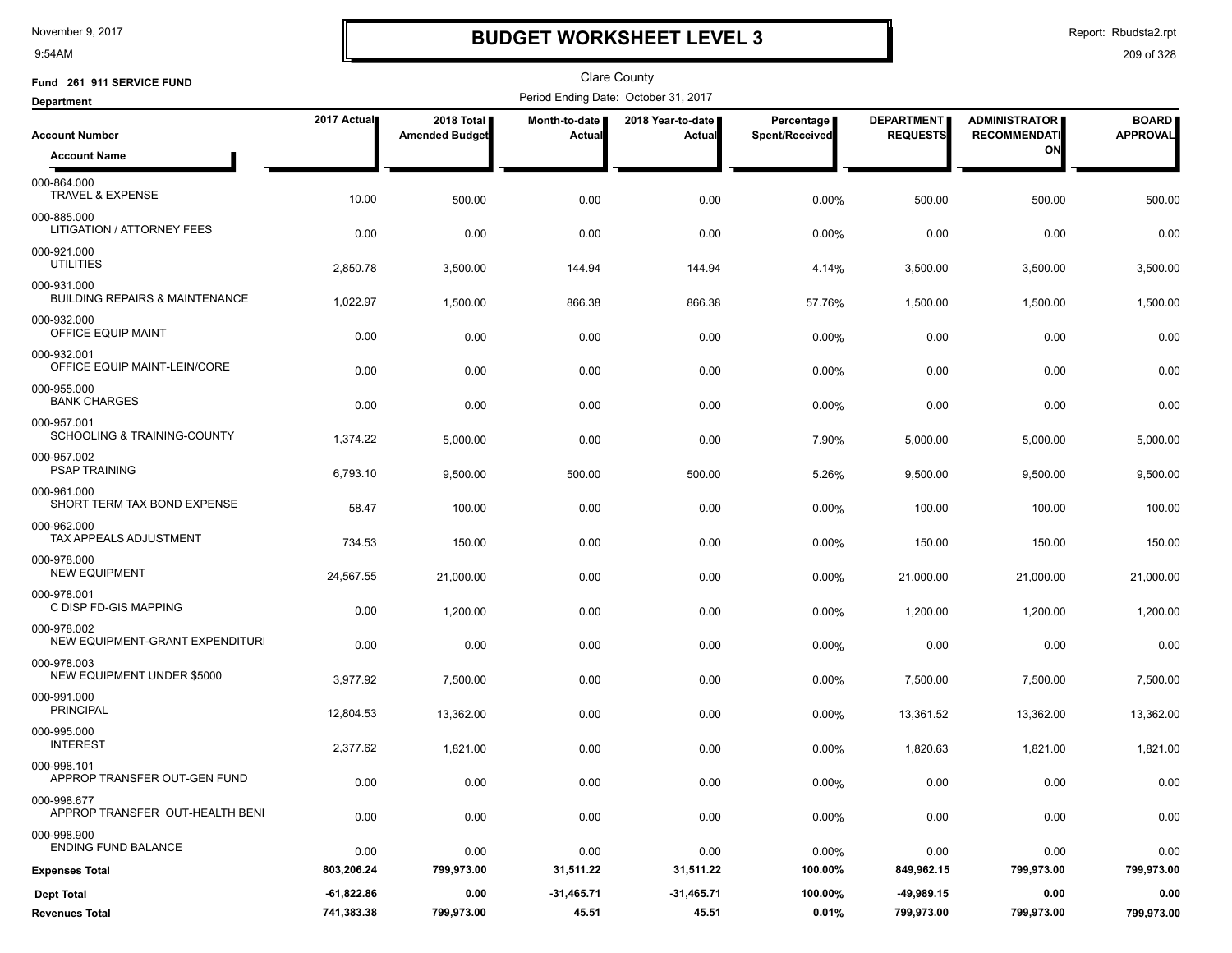9:54AM

## **BUDGET WORKSHEET LEVEL 3**

Report: Rbudsta2.rpt

| Fund 261 911 SERVICE FUND                                |              |                                     |                         | Clare County                         |                              |                                      |                                             |                                 |
|----------------------------------------------------------|--------------|-------------------------------------|-------------------------|--------------------------------------|------------------------------|--------------------------------------|---------------------------------------------|---------------------------------|
| <b>Department</b>                                        |              |                                     |                         | Period Ending Date: October 31, 2017 |                              |                                      |                                             |                                 |
| <b>Account Number</b>                                    | 2017 Actual  | 2018 Total<br><b>Amended Budget</b> | Month-to-date<br>Actual | 2018 Year-to-date<br>Actual          | Percentage<br>Spent/Received | <b>DEPARTMENT</b><br><b>REQUESTS</b> | <b>ADMINISTRATOR</b><br><b>RECOMMENDATI</b> | <b>BOARD</b><br><b>APPROVAL</b> |
| <b>Account Name</b>                                      |              |                                     |                         |                                      |                              |                                      | ON                                          |                                 |
| 000-864.000<br>TRAVEL & EXPENSE                          | 10.00        | 500.00                              | 0.00                    | 0.00                                 | 0.00%                        | 500.00                               | 500.00                                      | 500.00                          |
| 000-885.000<br>LITIGATION / ATTORNEY FEES                | 0.00         | 0.00                                | 0.00                    | 0.00                                 | 0.00%                        | 0.00                                 | 0.00                                        | 0.00                            |
| 000-921.000<br><b>UTILITIES</b>                          | 2,850.78     | 3,500.00                            | 144.94                  | 144.94                               | 4.14%                        | 3,500.00                             | 3,500.00                                    | 3,500.00                        |
| 000-931.000<br><b>BUILDING REPAIRS &amp; MAINTENANCE</b> | 1,022.97     | 1,500.00                            | 866.38                  | 866.38                               | 57.76%                       | 1,500.00                             | 1,500.00                                    | 1,500.00                        |
| 000-932.000<br>OFFICE EQUIP MAINT                        | 0.00         | 0.00                                | 0.00                    | 0.00                                 | 0.00%                        | 0.00                                 | 0.00                                        | 0.00                            |
| 000-932.001<br>OFFICE EQUIP MAINT-LEIN/CORE              | 0.00         | 0.00                                | 0.00                    | 0.00                                 | 0.00%                        | 0.00                                 | 0.00                                        | 0.00                            |
| 000-955.000<br><b>BANK CHARGES</b>                       | 0.00         | 0.00                                | 0.00                    | 0.00                                 | 0.00%                        | 0.00                                 | 0.00                                        | 0.00                            |
| 000-957.001<br>SCHOOLING & TRAINING-COUNTY               | 1,374.22     | 5,000.00                            | 0.00                    | 0.00                                 | 7.90%                        | 5,000.00                             | 5,000.00                                    | 5,000.00                        |
| 000-957.002<br><b>PSAP TRAINING</b>                      | 6,793.10     | 9,500.00                            | 500.00                  | 500.00                               | 5.26%                        | 9,500.00                             | 9,500.00                                    | 9,500.00                        |
| 000-961.000<br>SHORT TERM TAX BOND EXPENSE               | 58.47        | 100.00                              | 0.00                    | 0.00                                 | 0.00%                        | 100.00                               | 100.00                                      | 100.00                          |
| 000-962.000<br>TAX APPEALS ADJUSTMENT                    | 734.53       | 150.00                              | 0.00                    | 0.00                                 | 0.00%                        | 150.00                               | 150.00                                      | 150.00                          |
| 000-978.000<br><b>NEW EQUIPMENT</b>                      | 24,567.55    | 21,000.00                           | 0.00                    | 0.00                                 | 0.00%                        | 21,000.00                            | 21,000.00                                   | 21,000.00                       |
| 000-978.001<br>C DISP FD-GIS MAPPING                     | 0.00         | 1,200.00                            | 0.00                    | 0.00                                 | 0.00%                        | 1,200.00                             | 1,200.00                                    | 1,200.00                        |
| 000-978.002<br>NEW EQUIPMENT-GRANT EXPENDITURI           | 0.00         | 0.00                                | 0.00                    | 0.00                                 | $0.00\%$                     | 0.00                                 | 0.00                                        | 0.00                            |
| 000-978.003<br>NEW EQUIPMENT UNDER \$5000                | 3,977.92     | 7,500.00                            | 0.00                    | 0.00                                 | 0.00%                        | 7,500.00                             | 7,500.00                                    | 7,500.00                        |
| 000-991.000<br><b>PRINCIPAL</b>                          | 12,804.53    | 13,362.00                           | 0.00                    | 0.00                                 | 0.00%                        | 13,361.52                            | 13,362.00                                   | 13,362.00                       |
| 000-995.000<br><b>INTEREST</b>                           | 2,377.62     | 1,821.00                            | 0.00                    | 0.00                                 | 0.00%                        | 1,820.63                             | 1,821.00                                    | 1,821.00                        |
| 000-998.101<br>APPROP TRANSFER OUT-GEN FUND              | 0.00         | 0.00                                | 0.00                    | 0.00                                 | 0.00%                        | 0.00                                 | 0.00                                        | 0.00                            |
| 000-998.677<br>APPROP TRANSFER OUT-HEALTH BENI           | 0.00         | 0.00                                | 0.00                    | 0.00                                 | 0.00%                        | 0.00                                 | 0.00                                        | 0.00                            |
| 000-998.900<br><b>ENDING FUND BALANCE</b>                | 0.00         | 0.00                                | 0.00                    | 0.00                                 | $0.00\%$                     | 0.00                                 | 0.00                                        | 0.00                            |
| <b>Expenses Total</b>                                    | 803,206.24   | 799,973.00                          | 31,511.22               | 31,511.22                            | 100.00%                      | 849,962.15                           | 799,973.00                                  | 799,973.00                      |
| <b>Dept Total</b>                                        | $-61,822.86$ | 0.00                                | -31,465.71              | $-31,465.71$                         | 100.00%                      | $-49,989.15$                         | 0.00                                        | 0.00                            |
| <b>Revenues Total</b>                                    | 741,383.38   | 799,973.00                          | 45.51                   | 45.51                                | 0.01%                        | 799,973.00                           | 799,973.00                                  | 799,973.00                      |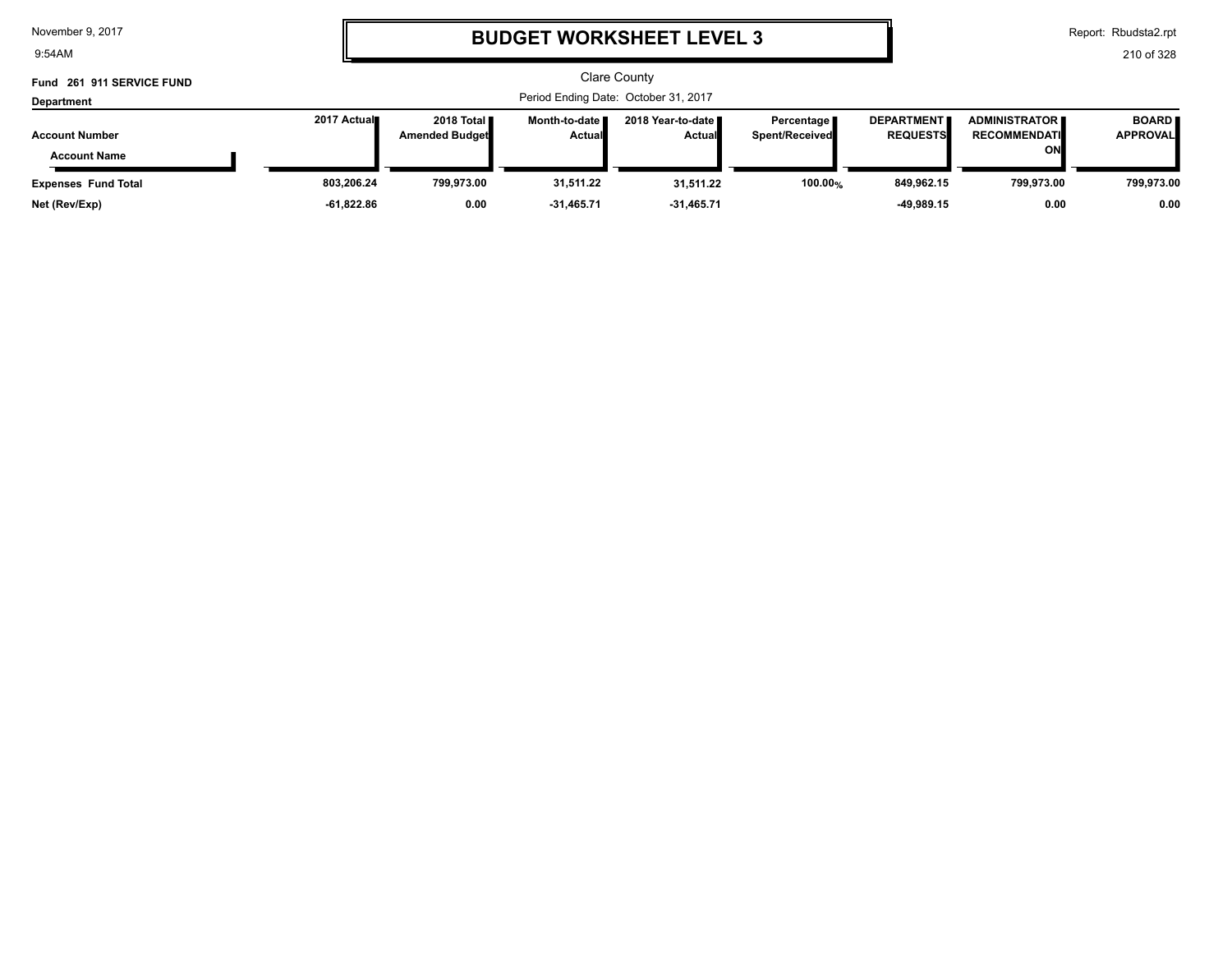9:54AM

# **BUDGET WORKSHEET LEVEL 3**

Report: Rbudsta2.rpt

| Fund 261 911 SERVICE FUND<br>Department      |             |                                       |                                  | Clare County<br>Period Ending Date: October 31, 2017 |                                     |                                      |                                                   |                                 |
|----------------------------------------------|-------------|---------------------------------------|----------------------------------|------------------------------------------------------|-------------------------------------|--------------------------------------|---------------------------------------------------|---------------------------------|
| <b>Account Number</b><br><b>Account Name</b> | 2017 Actual | 2018 Total ■<br><b>Amended Budget</b> | Month-to-date ■<br><b>Actual</b> | 2018 Year-to-date ∎<br><b>Actual</b>                 | Percentage<br><b>Spent/Received</b> | <b>DEPARTMENT</b><br><b>REQUESTS</b> | <b>ADMINISTRATOR</b><br><b>RECOMMENDATI</b><br>ON | <b>BOARD</b><br><b>APPROVAL</b> |
| <b>Expenses Fund Total</b>                   | 803.206.24  | 799.973.00                            | 31,511.22                        | 31,511.22                                            | 100.00%                             | 849.962.15                           | 799.973.00                                        | 799,973.00                      |
| Net (Rev/Exp)                                | -61,822.86  | 0.00                                  | $-31,465.71$                     | $-31,465.71$                                         |                                     | -49.989.15                           | 0.00                                              | 0.00                            |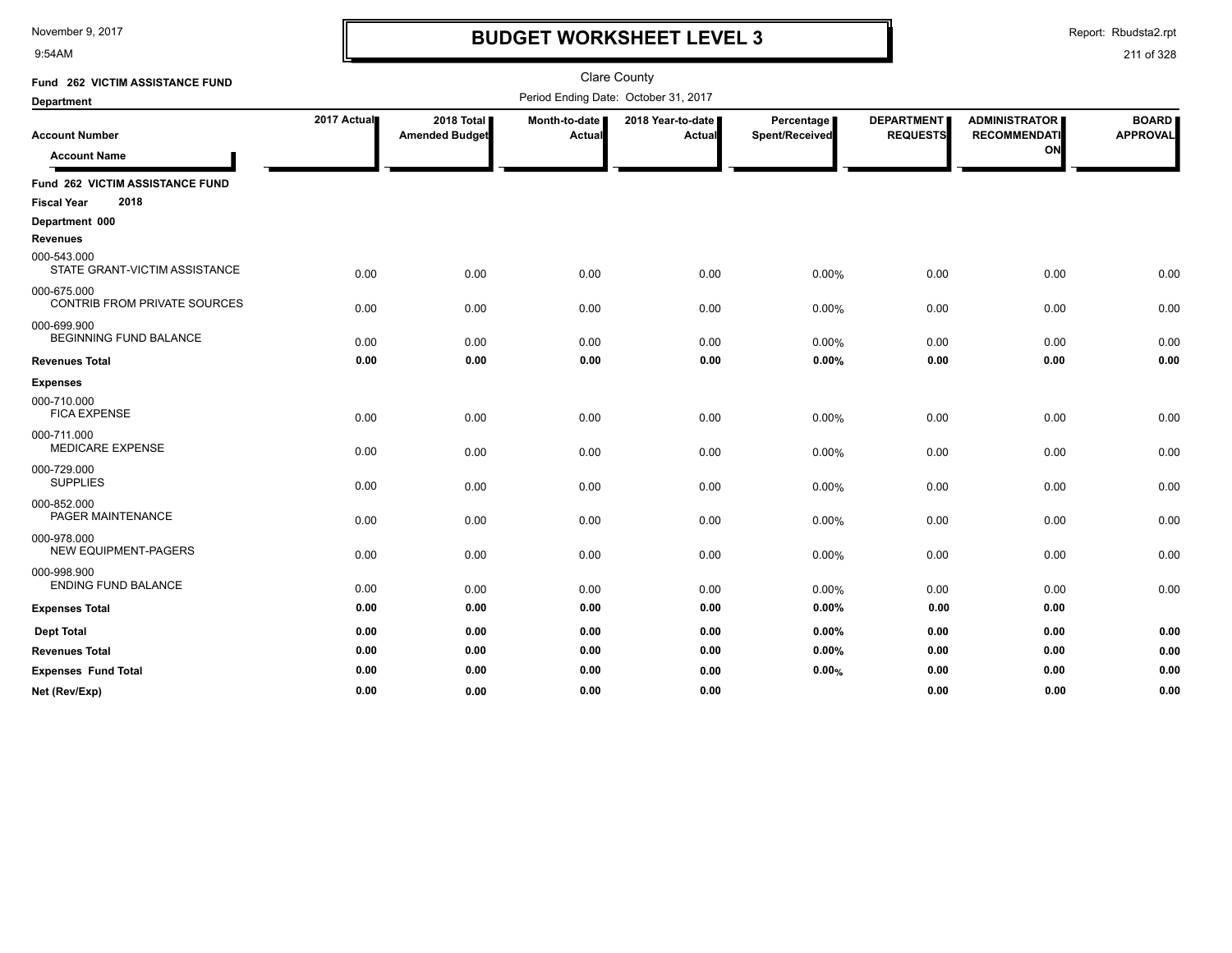9:54AM

## **BUDGET WORKSHEET LEVEL 3**

Report: Rbudsta2.rpt

| Fund 262 VICTIM ASSISTANCE FUND                    |             |                                     |                         | <b>Clare County</b>                  |                              |                                      |                                                   |                                 |
|----------------------------------------------------|-------------|-------------------------------------|-------------------------|--------------------------------------|------------------------------|--------------------------------------|---------------------------------------------------|---------------------------------|
| <b>Department</b>                                  |             |                                     |                         | Period Ending Date: October 31, 2017 |                              |                                      |                                                   |                                 |
| <b>Account Number</b><br><b>Account Name</b>       | 2017 Actual | 2018 Total<br><b>Amended Budget</b> | Month-to-date<br>Actual | 2018 Year-to-date  <br>Actual        | Percentage<br>Spent/Received | <b>DEPARTMENT</b><br><b>REQUESTS</b> | <b>ADMINISTRATOR</b><br><b>RECOMMENDATI</b><br>ON | <b>BOARD</b><br><b>APPROVAL</b> |
| <b>Fund 262 VICTIM ASSISTANCE FUND</b>             |             |                                     |                         |                                      |                              |                                      |                                                   |                                 |
| 2018<br><b>Fiscal Year</b>                         |             |                                     |                         |                                      |                              |                                      |                                                   |                                 |
| Department 000                                     |             |                                     |                         |                                      |                              |                                      |                                                   |                                 |
| <b>Revenues</b>                                    |             |                                     |                         |                                      |                              |                                      |                                                   |                                 |
| 000-543.000<br>STATE GRANT-VICTIM ASSISTANCE       | 0.00        | 0.00                                | 0.00                    | 0.00                                 | 0.00%                        | 0.00                                 | 0.00                                              | 0.00                            |
| 000-675.000<br><b>CONTRIB FROM PRIVATE SOURCES</b> | 0.00        | 0.00                                | 0.00                    | 0.00                                 | 0.00%                        | 0.00                                 | 0.00                                              | 0.00                            |
| 000-699.900<br><b>BEGINNING FUND BALANCE</b>       | 0.00        | 0.00                                | 0.00                    | 0.00                                 | 0.00%                        | 0.00                                 | 0.00                                              | 0.00                            |
| <b>Revenues Total</b>                              | 0.00        | 0.00                                | 0.00                    | 0.00                                 | 0.00%                        | 0.00                                 | 0.00                                              | 0.00                            |
| <b>Expenses</b>                                    |             |                                     |                         |                                      |                              |                                      |                                                   |                                 |
| 000-710.000<br><b>FICA EXPENSE</b>                 | 0.00        | 0.00                                | 0.00                    | 0.00                                 | 0.00%                        | 0.00                                 | 0.00                                              | 0.00                            |
| 000-711.000<br><b>MEDICARE EXPENSE</b>             | 0.00        | 0.00                                | 0.00                    | 0.00                                 | 0.00%                        | 0.00                                 | 0.00                                              | 0.00                            |
| 000-729.000<br><b>SUPPLIES</b>                     | 0.00        | 0.00                                | 0.00                    | 0.00                                 | 0.00%                        | 0.00                                 | 0.00                                              | 0.00                            |
| 000-852.000<br>PAGER MAINTENANCE                   | 0.00        | 0.00                                | 0.00                    | 0.00                                 | 0.00%                        | 0.00                                 | 0.00                                              | 0.00                            |
| 000-978.000<br>NEW EQUIPMENT-PAGERS                | 0.00        | 0.00                                | 0.00                    | 0.00                                 | 0.00%                        | 0.00                                 | 0.00                                              | 0.00                            |
| 000-998.900<br><b>ENDING FUND BALANCE</b>          | 0.00        | 0.00                                | 0.00                    | 0.00                                 | 0.00%                        | 0.00                                 | 0.00                                              | 0.00                            |
| <b>Expenses Total</b>                              | 0.00        | 0.00                                | 0.00                    | 0.00                                 | 0.00%                        | 0.00                                 | 0.00                                              |                                 |
| <b>Dept Total</b>                                  | 0.00        | 0.00                                | 0.00                    | 0.00                                 | 0.00%                        | 0.00                                 | 0.00                                              | 0.00                            |
| <b>Revenues Total</b>                              | 0.00        | 0.00                                | 0.00                    | 0.00                                 | 0.00%                        | 0.00                                 | 0.00                                              | 0.00                            |
| <b>Expenses Fund Total</b>                         | 0.00        | 0.00                                | 0.00                    | 0.00                                 | 0.00%                        | 0.00                                 | 0.00                                              | 0.00                            |
| Net (Rev/Exp)                                      | 0.00        | 0.00                                | 0.00                    | 0.00                                 |                              | 0.00                                 | 0.00                                              | 0.00                            |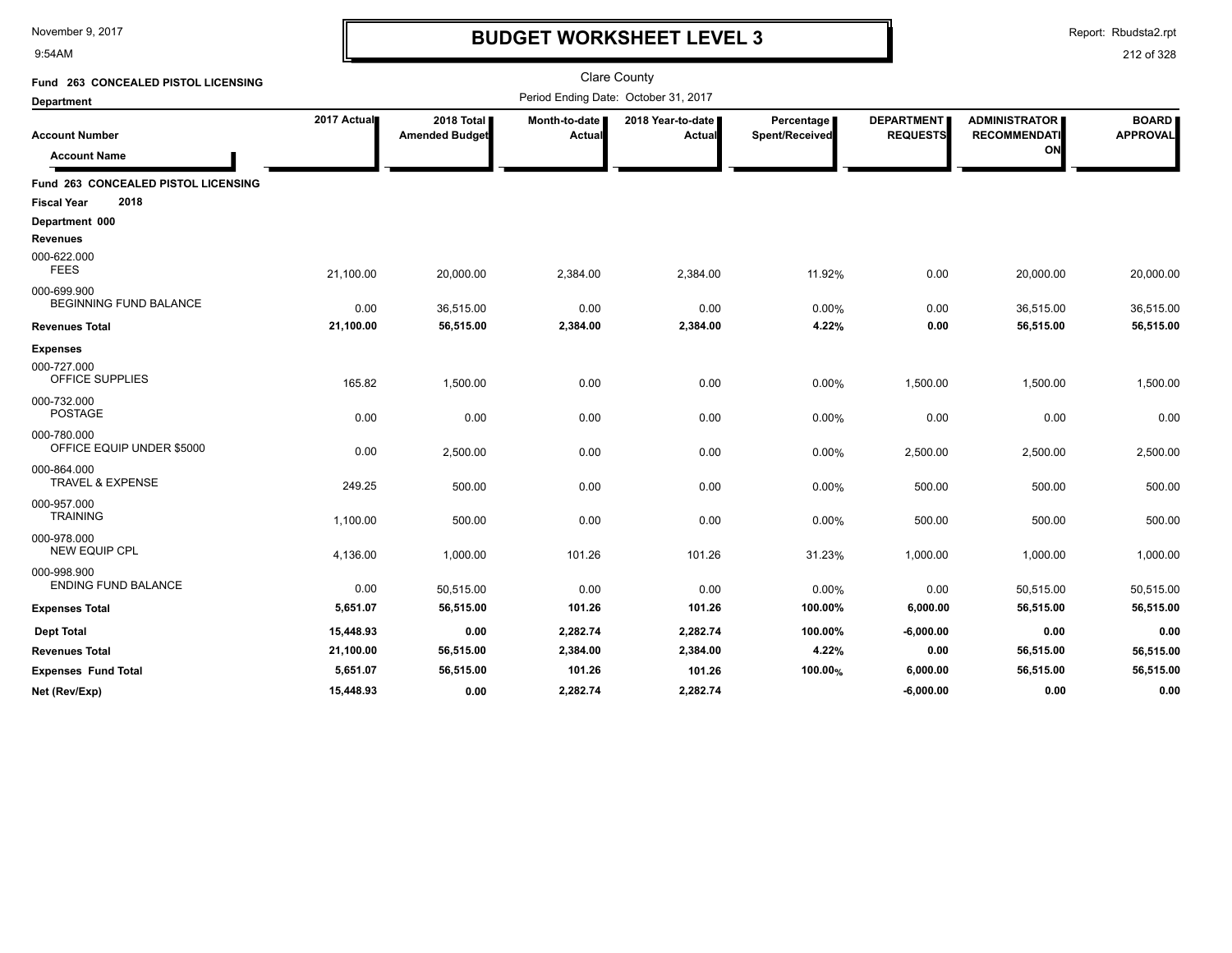9:54AM

### **BUDGET WORKSHEET LEVEL 3**

Report: Rbudsta2.rpt

| Fund 263 CONCEALED PISTOL LICENSING          |             |                                     |                         | <b>Clare County</b><br>Period Ending Date: October 31, 2017 |                              |                                      |                                                   |                                 |
|----------------------------------------------|-------------|-------------------------------------|-------------------------|-------------------------------------------------------------|------------------------------|--------------------------------------|---------------------------------------------------|---------------------------------|
| <b>Department</b>                            |             |                                     |                         |                                                             |                              |                                      |                                                   |                                 |
| Account Number<br><b>Account Name</b>        | 2017 Actual | 2018 Total<br><b>Amended Budget</b> | Month-to-date<br>Actual | 2018 Year-to-date<br><b>Actual</b>                          | Percentage<br>Spent/Received | <b>DEPARTMENT</b><br><b>REQUESTS</b> | <b>ADMINISTRATOR</b><br><b>RECOMMENDATI</b><br>ON | <b>BOARD</b><br><b>APPROVAL</b> |
| <b>Fund 263 CONCEALED PISTOL LICENSING</b>   |             |                                     |                         |                                                             |                              |                                      |                                                   |                                 |
| 2018<br><b>Fiscal Year</b>                   |             |                                     |                         |                                                             |                              |                                      |                                                   |                                 |
| Department 000                               |             |                                     |                         |                                                             |                              |                                      |                                                   |                                 |
| <b>Revenues</b>                              |             |                                     |                         |                                                             |                              |                                      |                                                   |                                 |
| 000-622.000<br><b>FEES</b>                   | 21,100.00   | 20,000.00                           | 2,384.00                | 2,384.00                                                    | 11.92%                       | 0.00                                 | 20,000.00                                         | 20,000.00                       |
| 000-699.900<br><b>BEGINNING FUND BALANCE</b> | 0.00        | 36,515.00                           | 0.00                    | 0.00                                                        | 0.00%                        | 0.00                                 | 36,515.00                                         | 36,515.00                       |
| <b>Revenues Total</b>                        | 21,100.00   | 56,515.00                           | 2,384.00                | 2,384.00                                                    | 4.22%                        | 0.00                                 | 56,515.00                                         | 56,515.00                       |
| <b>Expenses</b>                              |             |                                     |                         |                                                             |                              |                                      |                                                   |                                 |
| 000-727.000<br>OFFICE SUPPLIES               | 165.82      | 1,500.00                            | 0.00                    | 0.00                                                        | 0.00%                        | 1,500.00                             | 1,500.00                                          | 1,500.00                        |
| 000-732.000<br><b>POSTAGE</b>                | 0.00        | 0.00                                | 0.00                    | 0.00                                                        | 0.00%                        | 0.00                                 | 0.00                                              | 0.00                            |
| 000-780.000<br>OFFICE EQUIP UNDER \$5000     | 0.00        | 2,500.00                            | 0.00                    | 0.00                                                        | 0.00%                        | 2,500.00                             | 2,500.00                                          | 2,500.00                        |
| 000-864.000<br>TRAVEL & EXPENSE              | 249.25      | 500.00                              | 0.00                    | 0.00                                                        | 0.00%                        | 500.00                               | 500.00                                            | 500.00                          |
| 000-957.000<br><b>TRAINING</b>               | 1,100.00    | 500.00                              | 0.00                    | 0.00                                                        | 0.00%                        | 500.00                               | 500.00                                            | 500.00                          |
| 000-978.000<br><b>NEW EQUIP CPL</b>          | 4,136.00    | 1,000.00                            | 101.26                  | 101.26                                                      | 31.23%                       | 1,000.00                             | 1,000.00                                          | 1,000.00                        |
| 000-998.900<br><b>ENDING FUND BALANCE</b>    | 0.00        | 50,515.00                           | 0.00                    | 0.00                                                        | 0.00%                        | 0.00                                 | 50,515.00                                         | 50,515.00                       |
| <b>Expenses Total</b>                        | 5,651.07    | 56,515.00                           | 101.26                  | 101.26                                                      | 100.00%                      | 6,000.00                             | 56,515.00                                         | 56,515.00                       |
| <b>Dept Total</b>                            | 15,448.93   | 0.00                                | 2,282.74                | 2,282.74                                                    | 100.00%                      | $-6,000.00$                          | 0.00                                              | 0.00                            |
| <b>Revenues Total</b>                        | 21,100.00   | 56,515.00                           | 2,384.00                | 2,384.00                                                    | 4.22%                        | 0.00                                 | 56,515.00                                         | 56,515.00                       |
| <b>Expenses Fund Total</b>                   | 5,651.07    | 56,515.00                           | 101.26                  | 101.26                                                      | 100.00%                      | 6,000.00                             | 56,515.00                                         | 56,515.00                       |
| Net (Rev/Exp)                                | 15,448.93   | 0.00                                | 2,282.74                | 2,282.74                                                    |                              | $-6,000.00$                          | 0.00                                              | 0.00                            |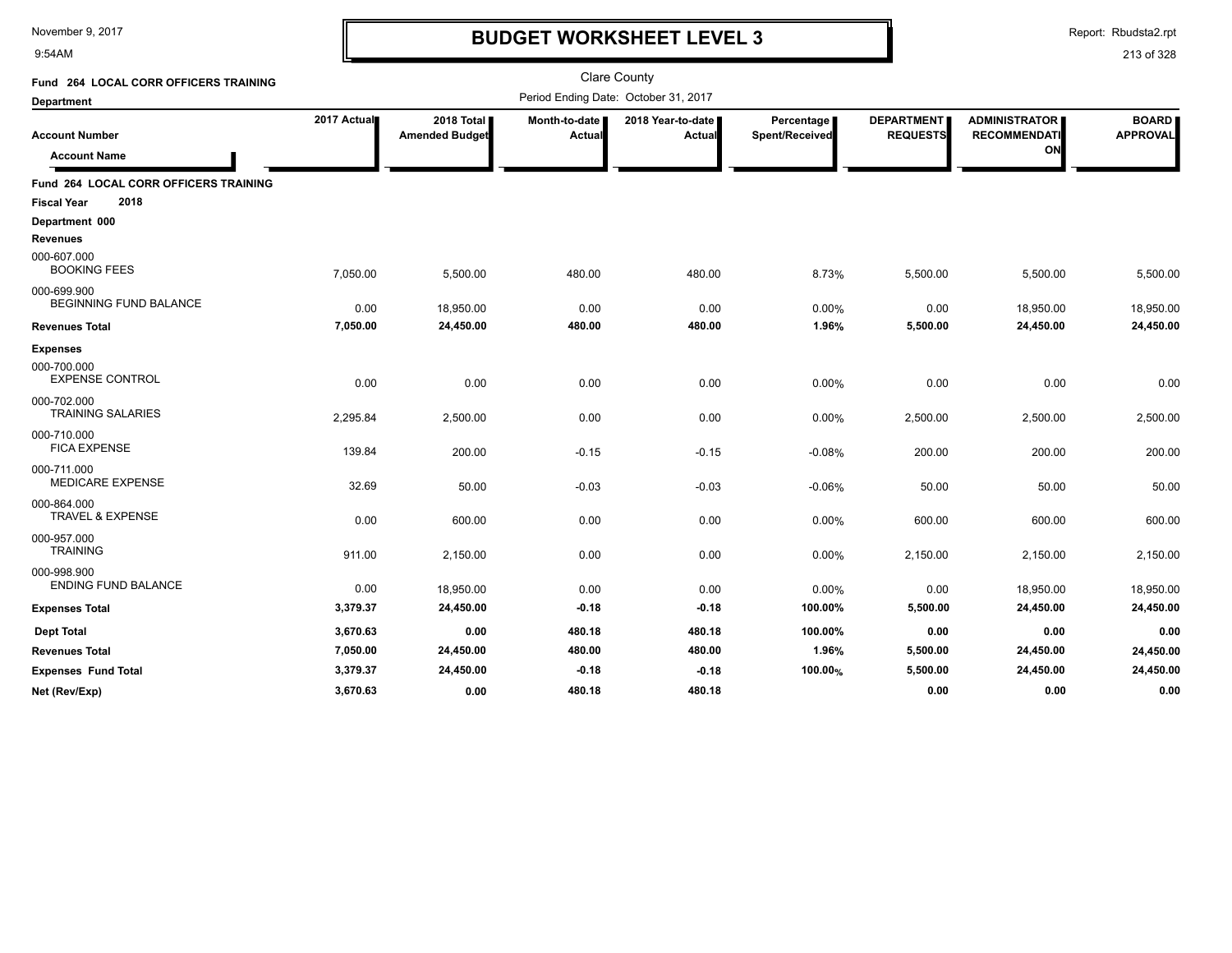9:54AM

## **BUDGET WORKSHEET LEVEL 3**

Report: Rbudsta2.rpt

| Fund 264 LOCAL CORR OFFICERS TRAINING                               |             |                                     |                         | <b>Clare County</b>                  |                              |                               |                                                   |                                 |
|---------------------------------------------------------------------|-------------|-------------------------------------|-------------------------|--------------------------------------|------------------------------|-------------------------------|---------------------------------------------------|---------------------------------|
| <b>Department</b>                                                   |             |                                     |                         | Period Ending Date: October 31, 2017 |                              |                               |                                                   |                                 |
| <b>Account Number</b><br><b>Account Name</b>                        | 2017 Actual | 2018 Total<br><b>Amended Budget</b> | Month-to-date<br>Actual | 2018 Year-to-date I<br>Actual        | Percentage<br>Spent/Received | DEPARTMENT<br><b>REQUESTS</b> | <b>ADMINISTRATOR</b><br><b>RECOMMENDATI</b><br>ON | <b>BOARD</b><br><b>APPROVAL</b> |
| Fund 264 LOCAL CORR OFFICERS TRAINING<br>2018<br><b>Fiscal Year</b> |             |                                     |                         |                                      |                              |                               |                                                   |                                 |
| Department 000<br><b>Revenues</b>                                   |             |                                     |                         |                                      |                              |                               |                                                   |                                 |
| 000-607.000<br><b>BOOKING FEES</b>                                  | 7,050.00    | 5,500.00                            | 480.00                  | 480.00                               | 8.73%                        | 5,500.00                      | 5,500.00                                          | 5,500.00                        |
| 000-699.900<br><b>BEGINNING FUND BALANCE</b>                        | 0.00        | 18,950.00                           | 0.00                    | 0.00                                 | 0.00%                        | 0.00                          | 18,950.00                                         | 18,950.00                       |
| <b>Revenues Total</b>                                               | 7,050.00    | 24,450.00                           | 480.00                  | 480.00                               | 1.96%                        | 5,500.00                      | 24,450.00                                         | 24,450.00                       |
| <b>Expenses</b>                                                     |             |                                     |                         |                                      |                              |                               |                                                   |                                 |
| 000-700.000<br><b>EXPENSE CONTROL</b>                               | 0.00        | 0.00                                | 0.00                    | 0.00                                 | 0.00%                        | 0.00                          | 0.00                                              | 0.00                            |
| 000-702.000<br><b>TRAINING SALARIES</b>                             | 2,295.84    | 2,500.00                            | 0.00                    | 0.00                                 | 0.00%                        | 2,500.00                      | 2,500.00                                          | 2,500.00                        |
| 000-710.000<br><b>FICA EXPENSE</b>                                  | 139.84      | 200.00                              | $-0.15$                 | $-0.15$                              | $-0.08%$                     | 200.00                        | 200.00                                            | 200.00                          |
| 000-711.000<br><b>MEDICARE EXPENSE</b>                              | 32.69       | 50.00                               | $-0.03$                 | $-0.03$                              | $-0.06%$                     | 50.00                         | 50.00                                             | 50.00                           |
| 000-864.000<br><b>TRAVEL &amp; EXPENSE</b>                          | 0.00        | 600.00                              | 0.00                    | 0.00                                 | 0.00%                        | 600.00                        | 600.00                                            | 600.00                          |
| 000-957.000<br><b>TRAINING</b>                                      | 911.00      | 2,150.00                            | 0.00                    | 0.00                                 | 0.00%                        | 2,150.00                      | 2,150.00                                          | 2,150.00                        |
| 000-998.900<br><b>ENDING FUND BALANCE</b>                           | 0.00        | 18,950.00                           | 0.00                    | 0.00                                 | 0.00%                        | 0.00                          | 18,950.00                                         | 18,950.00                       |
| <b>Expenses Total</b>                                               | 3,379.37    | 24,450.00                           | $-0.18$                 | $-0.18$                              | 100.00%                      | 5,500.00                      | 24,450.00                                         | 24,450.00                       |
| <b>Dept Total</b>                                                   | 3,670.63    | 0.00                                | 480.18                  | 480.18                               | 100.00%                      | 0.00                          | 0.00                                              | 0.00                            |
| <b>Revenues Total</b>                                               | 7,050.00    | 24,450.00                           | 480.00                  | 480.00                               | 1.96%                        | 5,500.00                      | 24,450.00                                         | 24,450.00                       |
| <b>Expenses Fund Total</b>                                          | 3,379.37    | 24,450.00                           | $-0.18$                 | $-0.18$                              | 100.00%                      | 5,500.00                      | 24,450.00                                         | 24,450.00                       |
| Net (Rev/Exp)                                                       | 3,670.63    | 0.00                                | 480.18                  | 480.18                               |                              | 0.00                          | 0.00                                              | 0.00                            |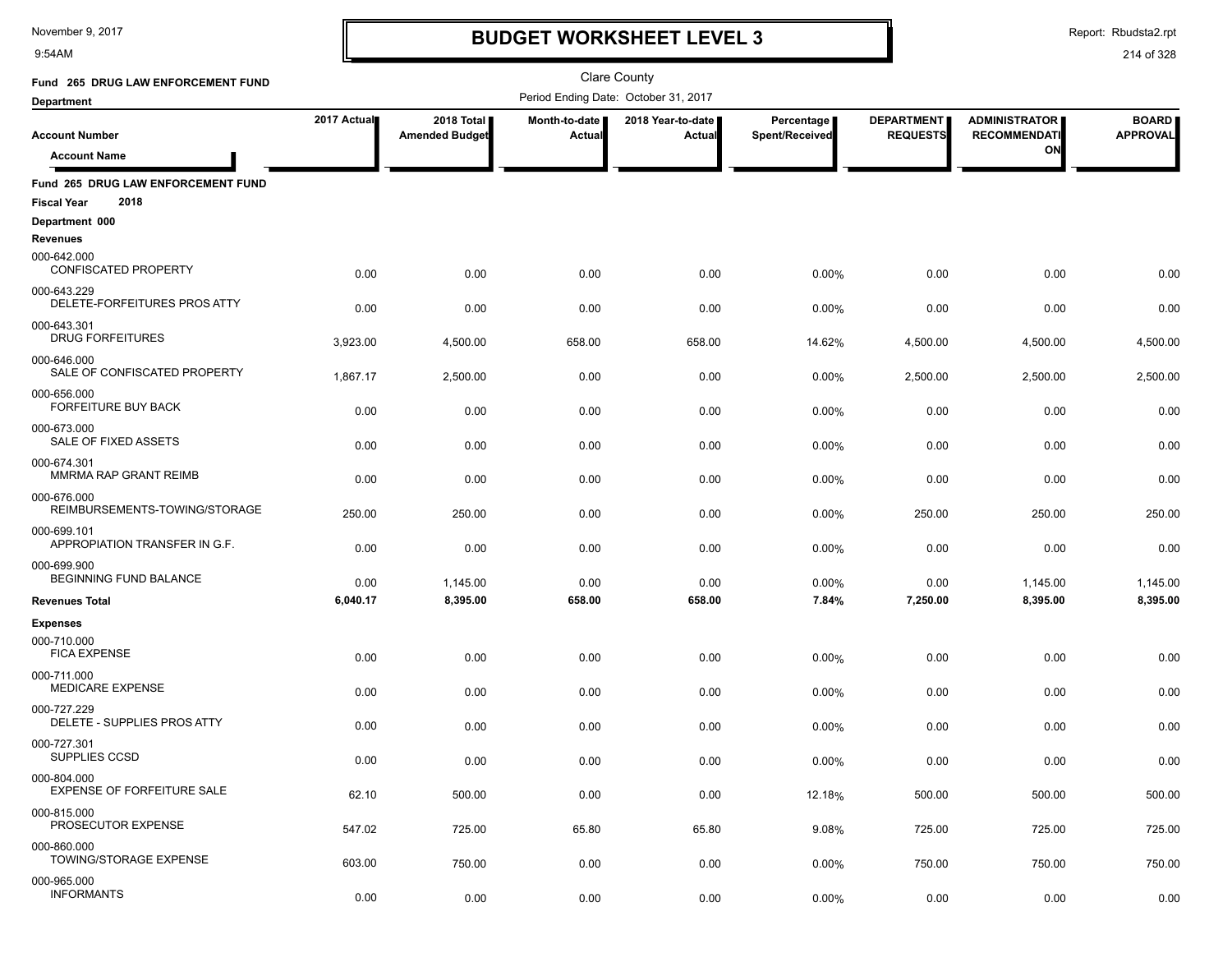9:54AM

## **BUDGET WORKSHEET LEVEL 3**

Report: Rbudsta2.rpt

| Fund 265 DRUG LAW ENFORCEMENT FUND                               |             |                                     |                         | Clare County                         |                              |                                      |                                             |                                 |
|------------------------------------------------------------------|-------------|-------------------------------------|-------------------------|--------------------------------------|------------------------------|--------------------------------------|---------------------------------------------|---------------------------------|
| <b>Department</b>                                                |             |                                     |                         | Period Ending Date: October 31, 2017 |                              |                                      |                                             |                                 |
| <b>Account Number</b>                                            | 2017 Actual | 2018 Total<br><b>Amended Budget</b> | Month-to-date<br>Actual | 2018 Year-to-date  <br><b>Actual</b> | Percentage<br>Spent/Received | <b>DEPARTMENT</b><br><b>REQUESTS</b> | <b>ADMINISTRATOR</b><br><b>RECOMMENDATI</b> | <b>BOARD</b><br><b>APPROVAL</b> |
| <b>Account Name</b>                                              |             |                                     |                         |                                      |                              |                                      | ON                                          |                                 |
| Fund 265 DRUG LAW ENFORCEMENT FUND<br>2018<br><b>Fiscal Year</b> |             |                                     |                         |                                      |                              |                                      |                                             |                                 |
| Department 000                                                   |             |                                     |                         |                                      |                              |                                      |                                             |                                 |
| <b>Revenues</b>                                                  |             |                                     |                         |                                      |                              |                                      |                                             |                                 |
| 000-642.000<br>CONFISCATED PROPERTY                              | 0.00        | 0.00                                | 0.00                    | 0.00                                 | 0.00%                        | 0.00                                 | 0.00                                        | 0.00                            |
| 000-643.229<br>DELETE-FORFEITURES PROS ATTY                      | 0.00        | 0.00                                | 0.00                    | 0.00                                 | 0.00%                        | 0.00                                 | 0.00                                        | 0.00                            |
| 000-643.301<br><b>DRUG FORFEITURES</b>                           | 3,923.00    | 4,500.00                            | 658.00                  | 658.00                               | 14.62%                       | 4,500.00                             | 4,500.00                                    | 4,500.00                        |
| 000-646.000<br>SALE OF CONFISCATED PROPERTY                      | 1,867.17    | 2,500.00                            | 0.00                    | 0.00                                 | 0.00%                        | 2,500.00                             | 2,500.00                                    | 2,500.00                        |
| 000-656.000<br><b>FORFEITURE BUY BACK</b>                        | 0.00        | 0.00                                | 0.00                    | 0.00                                 | 0.00%                        | 0.00                                 | 0.00                                        | 0.00                            |
| 000-673.000<br>SALE OF FIXED ASSETS                              | 0.00        | 0.00                                | 0.00                    | 0.00                                 | 0.00%                        | 0.00                                 | 0.00                                        | 0.00                            |
| 000-674.301<br>MMRMA RAP GRANT REIMB                             | 0.00        | 0.00                                | 0.00                    | 0.00                                 | 0.00%                        | 0.00                                 | 0.00                                        | 0.00                            |
| 000-676.000<br>REIMBURSEMENTS-TOWING/STORAGE                     | 250.00      | 250.00                              | 0.00                    | 0.00                                 | 0.00%                        | 250.00                               | 250.00                                      | 250.00                          |
| 000-699.101<br>APPROPIATION TRANSFER IN G.F.                     | 0.00        | 0.00                                | 0.00                    | 0.00                                 | 0.00%                        | 0.00                                 | 0.00                                        | 0.00                            |
| 000-699.900                                                      |             |                                     |                         |                                      |                              |                                      |                                             |                                 |
| BEGINNING FUND BALANCE                                           | 0.00        | 1,145.00                            | 0.00                    | 0.00                                 | 0.00%                        | 0.00                                 | 1,145.00                                    | 1,145.00                        |
| <b>Revenues Total</b>                                            | 6,040.17    | 8,395.00                            | 658.00                  | 658.00                               | 7.84%                        | 7,250.00                             | 8,395.00                                    | 8,395.00                        |
| <b>Expenses</b>                                                  |             |                                     |                         |                                      |                              |                                      |                                             |                                 |
| 000-710.000<br><b>FICA EXPENSE</b>                               | 0.00        | 0.00                                | 0.00                    | 0.00                                 | 0.00%                        | 0.00                                 | 0.00                                        | 0.00                            |
| 000-711.000<br><b>MEDICARE EXPENSE</b>                           | 0.00        | 0.00                                | 0.00                    | 0.00                                 | 0.00%                        | 0.00                                 | 0.00                                        | 0.00                            |
| 000-727.229<br>DELETE - SUPPLIES PROS ATTY                       | 0.00        | 0.00                                | 0.00                    | 0.00                                 | 0.00%                        | 0.00                                 | 0.00                                        | 0.00                            |
| 000-727.301<br>SUPPLIES CCSD                                     | 0.00        | 0.00                                | 0.00                    | 0.00                                 | 0.00%                        | 0.00                                 | 0.00                                        | 0.00                            |
| 000-804.000<br><b>EXPENSE OF FORFEITURE SALE</b>                 | 62.10       | 500.00                              | 0.00                    | 0.00                                 | 12.18%                       | 500.00                               | 500.00                                      | 500.00                          |
| 000-815.000<br>PROSECUTOR EXPENSE                                | 547.02      | 725.00                              | 65.80                   | 65.80                                | 9.08%                        | 725.00                               | 725.00                                      | 725.00                          |
| 000-860.000<br>TOWING/STORAGE EXPENSE                            | 603.00      | 750.00                              | 0.00                    | 0.00                                 | 0.00%                        | 750.00                               | 750.00                                      | 750.00                          |
| 000-965.000<br><b>INFORMANTS</b>                                 | 0.00        | 0.00                                | 0.00                    | 0.00                                 | 0.00%                        | 0.00                                 | 0.00                                        | 0.00                            |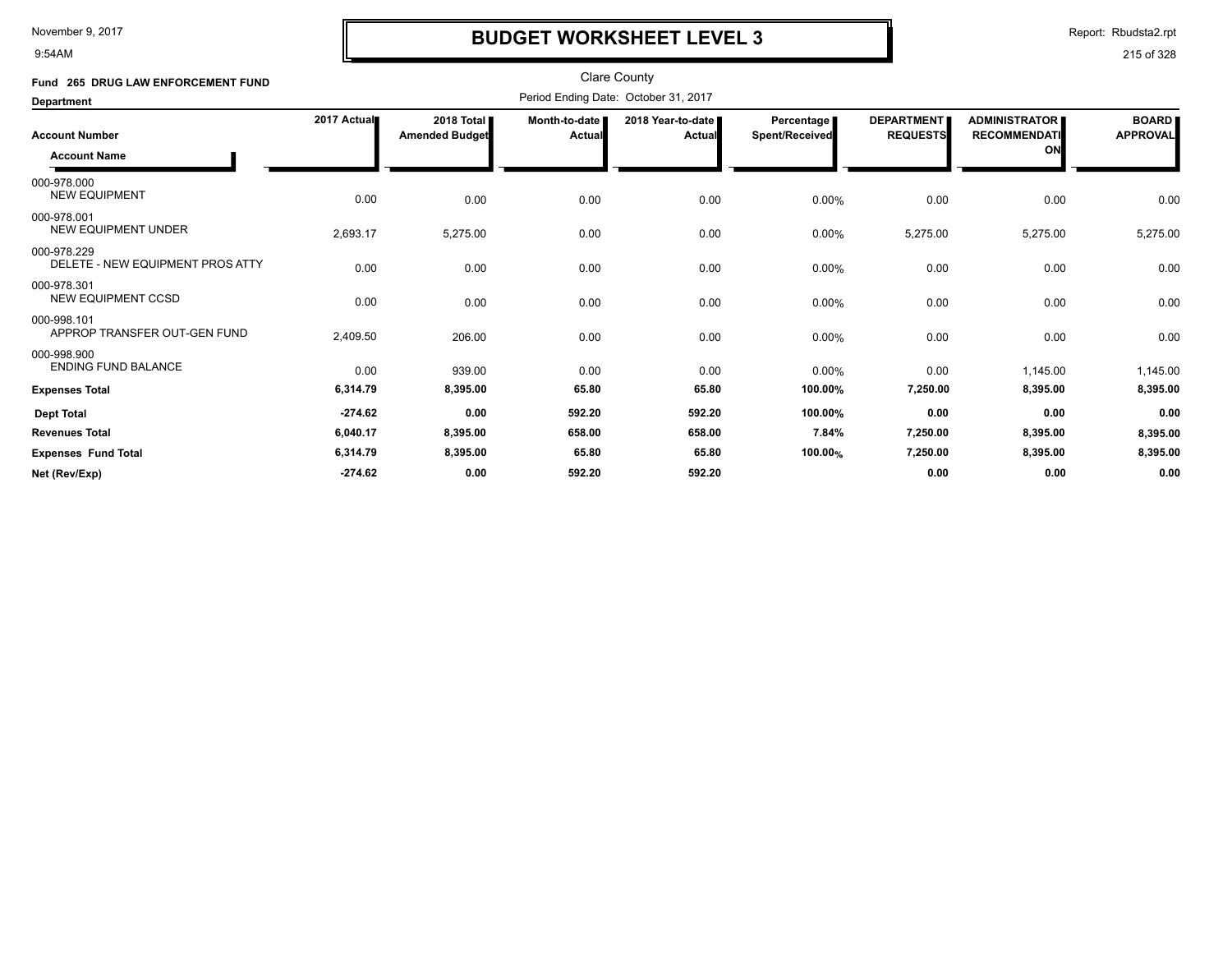9:54AM

## **BUDGET WORKSHEET LEVEL 3**

Report: Rbudsta2.rpt

| Fund 265 DRUG LAW ENFORCEMENT FUND              |             |                                     |                         | <b>Clare County</b>                  |                              |                                      |                                                   |                                 |
|-------------------------------------------------|-------------|-------------------------------------|-------------------------|--------------------------------------|------------------------------|--------------------------------------|---------------------------------------------------|---------------------------------|
| <b>Department</b>                               |             |                                     |                         | Period Ending Date: October 31, 2017 |                              |                                      |                                                   |                                 |
| <b>Account Number</b><br><b>Account Name</b>    | 2017 Actual | 2018 Total<br><b>Amended Budget</b> | Month-to-date<br>Actual | 2018 Year-to-date  <br>Actual        | Percentage<br>Spent/Received | <b>DEPARTMENT</b><br><b>REQUESTS</b> | <b>ADMINISTRATOR</b><br><b>RECOMMENDATI</b><br>ON | <b>BOARD</b><br><b>APPROVAL</b> |
| 000-978.000<br><b>NEW EQUIPMENT</b>             | 0.00        | 0.00                                | 0.00                    | 0.00                                 | 0.00%                        | 0.00                                 | 0.00                                              | 0.00                            |
| 000-978.001<br><b>NEW EQUIPMENT UNDER</b>       | 2,693.17    | 5,275.00                            | 0.00                    | 0.00                                 | 0.00%                        | 5,275.00                             | 5,275.00                                          | 5,275.00                        |
| 000-978.229<br>DELETE - NEW EQUIPMENT PROS ATTY | 0.00        | 0.00                                | 0.00                    | 0.00                                 | 0.00%                        | 0.00                                 | 0.00                                              | 0.00                            |
| 000-978.301<br><b>NEW EQUIPMENT CCSD</b>        | 0.00        | 0.00                                | 0.00                    | 0.00                                 | 0.00%                        | 0.00                                 | 0.00                                              | 0.00                            |
| 000-998.101<br>APPROP TRANSFER OUT-GEN FUND     | 2,409.50    | 206.00                              | 0.00                    | 0.00                                 | 0.00%                        | 0.00                                 | 0.00                                              | 0.00                            |
| 000-998.900<br><b>ENDING FUND BALANCE</b>       | 0.00        | 939.00                              | 0.00                    | 0.00                                 | 0.00%                        | 0.00                                 | 1,145.00                                          | 1,145.00                        |
| <b>Expenses Total</b>                           | 6,314.79    | 8,395.00                            | 65.80                   | 65.80                                | 100.00%                      | 7,250.00                             | 8,395.00                                          | 8,395.00                        |
| <b>Dept Total</b>                               | $-274.62$   | 0.00                                | 592.20                  | 592.20                               | 100.00%                      | 0.00                                 | 0.00                                              | 0.00                            |
| <b>Revenues Total</b>                           | 6,040.17    | 8,395.00                            | 658.00                  | 658.00                               | 7.84%                        | 7,250.00                             | 8,395.00                                          | 8,395.00                        |
| <b>Expenses Fund Total</b>                      | 6,314.79    | 8,395.00                            | 65.80                   | 65.80                                | 100.00%                      | 7,250.00                             | 8,395.00                                          | 8,395.00                        |
| Net (Rev/Exp)                                   | $-274.62$   | 0.00                                | 592.20                  | 592.20                               |                              | 0.00                                 | 0.00                                              | 0.00                            |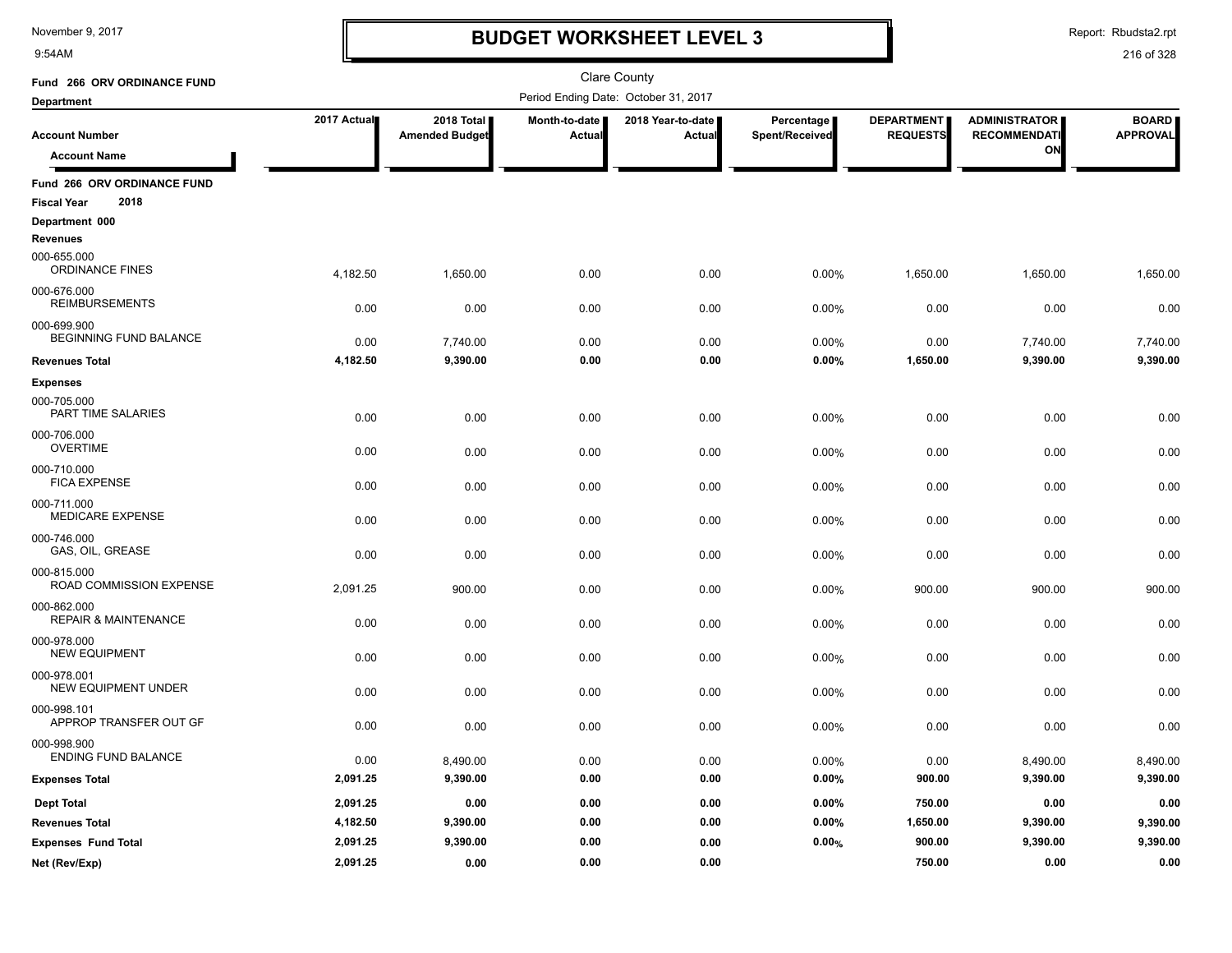9:54AM

## **BUDGET WORKSHEET LEVEL 3**

Report: Rbudsta2.rpt

| Fund 266 ORV ORDINANCE FUND                    |             |                                     |                         | <b>Clare County</b>                  |                              |                                      |                                             |                                 |
|------------------------------------------------|-------------|-------------------------------------|-------------------------|--------------------------------------|------------------------------|--------------------------------------|---------------------------------------------|---------------------------------|
| <b>Department</b>                              |             |                                     |                         | Period Ending Date: October 31, 2017 |                              |                                      |                                             |                                 |
| <b>Account Number</b>                          | 2017 Actual | 2018 Total<br><b>Amended Budget</b> | Month-to-date<br>Actual | 2018 Year-to-date<br><b>Actual</b>   | Percentage<br>Spent/Received | <b>DEPARTMENT</b><br><b>REQUESTS</b> | <b>ADMINISTRATOR</b><br><b>RECOMMENDATI</b> | <b>BOARD</b><br><b>APPROVAL</b> |
| <b>Account Name</b>                            |             |                                     |                         |                                      |                              |                                      | ON                                          |                                 |
| Fund 266 ORV ORDINANCE FUND                    |             |                                     |                         |                                      |                              |                                      |                                             |                                 |
| 2018<br><b>Fiscal Year</b>                     |             |                                     |                         |                                      |                              |                                      |                                             |                                 |
| Department 000                                 |             |                                     |                         |                                      |                              |                                      |                                             |                                 |
| <b>Revenues</b>                                |             |                                     |                         |                                      |                              |                                      |                                             |                                 |
| 000-655.000<br>ORDINANCE FINES                 | 4,182.50    | 1,650.00                            | 0.00                    | 0.00                                 | 0.00%                        | 1,650.00                             | 1,650.00                                    | 1,650.00                        |
| 000-676.000<br><b>REIMBURSEMENTS</b>           | 0.00        | 0.00                                | 0.00                    | 0.00                                 | 0.00%                        | 0.00                                 | 0.00                                        | 0.00                            |
| 000-699.900<br>BEGINNING FUND BALANCE          | 0.00        | 7,740.00                            | 0.00                    | 0.00                                 | 0.00%                        | 0.00                                 | 7,740.00                                    | 7,740.00                        |
| <b>Revenues Total</b>                          | 4,182.50    | 9,390.00                            | 0.00                    | 0.00                                 | 0.00%                        | 1,650.00                             | 9,390.00                                    | 9,390.00                        |
| <b>Expenses</b>                                |             |                                     |                         |                                      |                              |                                      |                                             |                                 |
| 000-705.000<br>PART TIME SALARIES              | 0.00        | 0.00                                | 0.00                    | 0.00                                 | 0.00%                        | 0.00                                 | 0.00                                        | 0.00                            |
| 000-706.000<br><b>OVERTIME</b>                 | 0.00        | 0.00                                | 0.00                    | 0.00                                 | 0.00%                        | 0.00                                 | 0.00                                        | 0.00                            |
| 000-710.000<br><b>FICA EXPENSE</b>             | 0.00        | 0.00                                | 0.00                    | 0.00                                 | 0.00%                        | 0.00                                 | 0.00                                        | 0.00                            |
| 000-711.000<br>MEDICARE EXPENSE                | 0.00        | 0.00                                | 0.00                    | 0.00                                 | 0.00%                        | 0.00                                 | 0.00                                        | 0.00                            |
| 000-746.000<br>GAS, OIL, GREASE                | 0.00        | 0.00                                | 0.00                    | 0.00                                 | 0.00%                        | 0.00                                 | 0.00                                        | 0.00                            |
| 000-815.000<br>ROAD COMMISSION EXPENSE         | 2,091.25    | 900.00                              | 0.00                    | 0.00                                 | 0.00%                        | 900.00                               | 900.00                                      | 900.00                          |
| 000-862.000<br><b>REPAIR &amp; MAINTENANCE</b> | 0.00        | 0.00                                | 0.00                    | 0.00                                 | 0.00%                        | 0.00                                 | 0.00                                        | 0.00                            |
| 000-978.000<br><b>NEW EQUIPMENT</b>            | 0.00        | 0.00                                | 0.00                    | 0.00                                 | 0.00%                        | 0.00                                 | 0.00                                        | 0.00                            |
| 000-978.001<br><b>NEW EQUIPMENT UNDER</b>      | 0.00        | 0.00                                | 0.00                    | 0.00                                 | 0.00%                        | 0.00                                 | 0.00                                        | 0.00                            |
| 000-998.101<br>APPROP TRANSFER OUT GF          | 0.00        | 0.00                                | 0.00                    | 0.00                                 | 0.00%                        | 0.00                                 | 0.00                                        | 0.00                            |
| 000-998.900<br><b>ENDING FUND BALANCE</b>      | 0.00        | 8,490.00                            | 0.00                    | 0.00                                 | 0.00%                        | 0.00                                 | 8,490.00                                    | 8,490.00                        |
| <b>Expenses Total</b>                          | 2,091.25    | 9,390.00                            | 0.00                    | 0.00                                 | 0.00%                        | 900.00                               | 9,390.00                                    | 9,390.00                        |
| <b>Dept Total</b>                              | 2,091.25    | 0.00                                | 0.00                    | 0.00                                 | 0.00%                        | 750.00                               | 0.00                                        | 0.00                            |
| <b>Revenues Total</b>                          | 4,182.50    | 9,390.00                            | 0.00                    | 0.00                                 | 0.00%                        | 1,650.00                             | 9,390.00                                    | 9,390.00                        |
| <b>Expenses Fund Total</b>                     | 2,091.25    | 9,390.00                            | 0.00                    | 0.00                                 | 0.00%                        | 900.00                               | 9,390.00                                    | 9,390.00                        |
| Net (Rev/Exp)                                  | 2,091.25    | 0.00                                | 0.00                    | 0.00                                 |                              | 750.00                               | 0.00                                        | 0.00                            |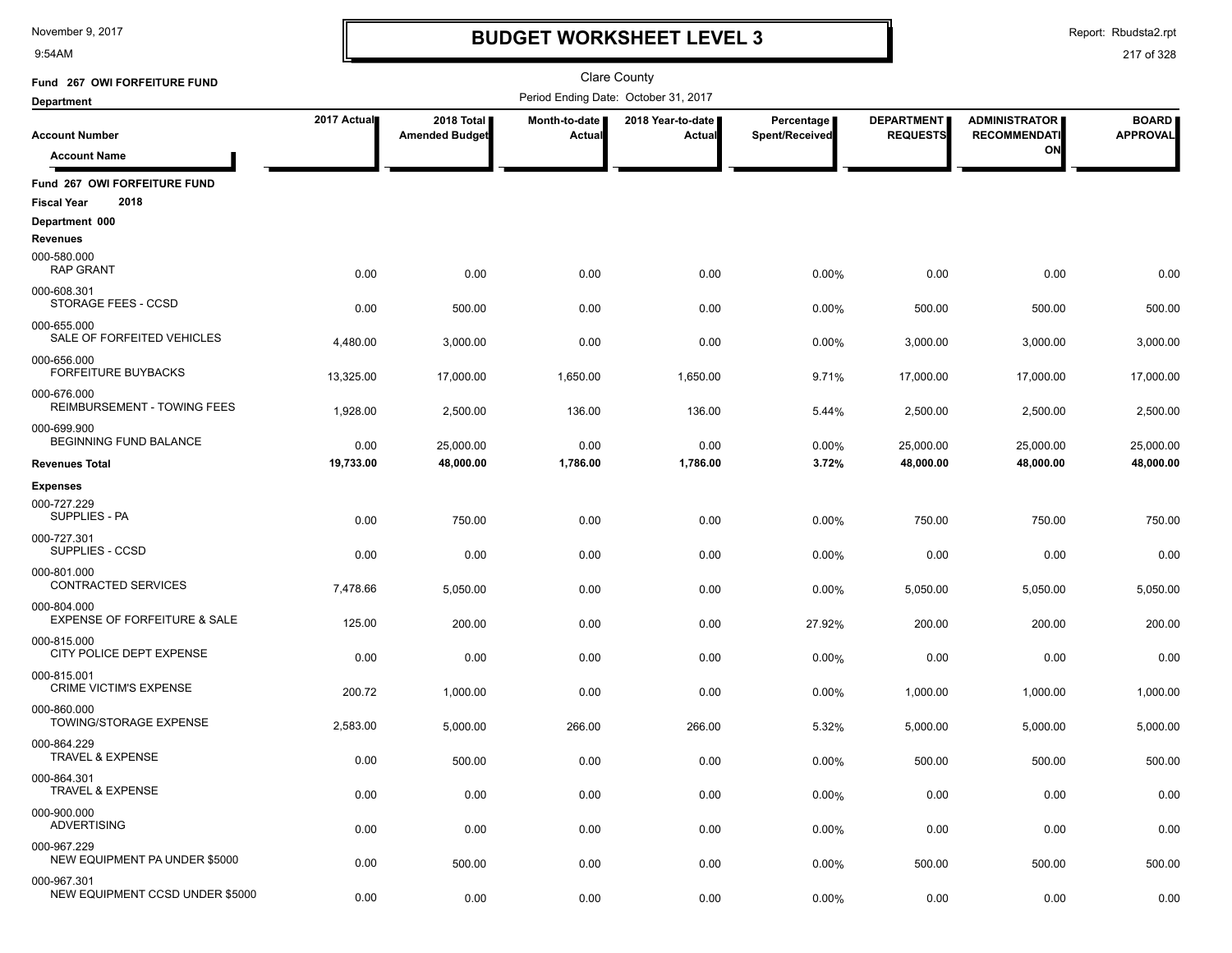9:54AM

# **BUDGET WORKSHEET LEVEL 3**

Report: Rbudsta2.rpt

| Fund 267 OWI FORFEITURE FUND                               |             |                                     |                                | <b>Clare County</b>                  |                              |                                      |                                             |                                 |
|------------------------------------------------------------|-------------|-------------------------------------|--------------------------------|--------------------------------------|------------------------------|--------------------------------------|---------------------------------------------|---------------------------------|
| <b>Department</b>                                          |             |                                     |                                | Period Ending Date: October 31, 2017 |                              |                                      |                                             |                                 |
| <b>Account Number</b>                                      | 2017 Actual | 2018 Total<br><b>Amended Budget</b> | Month-to-date<br><b>Actual</b> | 2018 Year-to-date<br>Actual          | Percentage<br>Spent/Received | <b>DEPARTMENT</b><br><b>REQUESTS</b> | <b>ADMINISTRATOR</b><br><b>RECOMMENDATI</b> | <b>BOARD</b><br><b>APPROVAL</b> |
| <b>Account Name</b>                                        |             |                                     |                                |                                      |                              |                                      | ON                                          |                                 |
| Fund 267 OWI FORFEITURE FUND<br>2018<br><b>Fiscal Year</b> |             |                                     |                                |                                      |                              |                                      |                                             |                                 |
| Department 000                                             |             |                                     |                                |                                      |                              |                                      |                                             |                                 |
| Revenues<br>000-580.000<br><b>RAP GRANT</b>                | 0.00        | 0.00                                | 0.00                           | 0.00                                 | 0.00%                        | 0.00                                 | 0.00                                        | 0.00                            |
| 000-608.301<br>STORAGE FEES - CCSD                         | 0.00        | 500.00                              | 0.00                           | 0.00                                 | 0.00%                        | 500.00                               | 500.00                                      | 500.00                          |
| 000-655.000<br>SALE OF FORFEITED VEHICLES                  | 4,480.00    | 3,000.00                            | 0.00                           | 0.00                                 | 0.00%                        | 3,000.00                             | 3,000.00                                    | 3,000.00                        |
| 000-656.000<br>FORFEITURE BUYBACKS                         | 13,325.00   | 17,000.00                           | 1,650.00                       | 1,650.00                             | 9.71%                        | 17,000.00                            | 17,000.00                                   | 17,000.00                       |
| 000-676.000<br>REIMBURSEMENT - TOWING FEES                 | 1,928.00    | 2,500.00                            | 136.00                         | 136.00                               | 5.44%                        | 2,500.00                             | 2,500.00                                    | 2,500.00                        |
| 000-699.900<br>BEGINNING FUND BALANCE                      | 0.00        | 25,000.00                           | 0.00                           | 0.00                                 | 0.00%                        | 25,000.00                            | 25,000.00                                   | 25,000.00                       |
| <b>Revenues Total</b>                                      | 19,733.00   | 48,000.00                           | 1,786.00                       | 1,786.00                             | 3.72%                        | 48,000.00                            | 48,000.00                                   | 48,000.00                       |
| <b>Expenses</b>                                            |             |                                     |                                |                                      |                              |                                      |                                             |                                 |
| 000-727.229<br>SUPPLIES - PA                               | 0.00        | 750.00                              | 0.00                           | 0.00                                 | 0.00%                        | 750.00                               | 750.00                                      | 750.00                          |
| 000-727.301<br>SUPPLIES - CCSD                             | 0.00        | 0.00                                | 0.00                           | 0.00                                 | 0.00%                        | 0.00                                 | 0.00                                        | 0.00                            |
| 000-801.000<br>CONTRACTED SERVICES                         | 7,478.66    | 5,050.00                            | 0.00                           | 0.00                                 | 0.00%                        | 5,050.00                             | 5,050.00                                    | 5,050.00                        |
| 000-804.000<br><b>EXPENSE OF FORFEITURE &amp; SALE</b>     | 125.00      | 200.00                              | 0.00                           | 0.00                                 | 27.92%                       | 200.00                               | 200.00                                      | 200.00                          |
| 000-815.000<br>CITY POLICE DEPT EXPENSE                    | 0.00        | 0.00                                | 0.00                           | 0.00                                 | 0.00%                        | 0.00                                 | 0.00                                        | 0.00                            |
| 000-815.001<br><b>CRIME VICTIM'S EXPENSE</b>               | 200.72      | 1,000.00                            | 0.00                           | 0.00                                 | 0.00%                        | 1,000.00                             | 1,000.00                                    | 1,000.00                        |
| 000-860.000<br>TOWING/STORAGE EXPENSE                      | 2,583.00    | 5,000.00                            | 266.00                         | 266.00                               | 5.32%                        | 5,000.00                             | 5,000.00                                    | 5,000.00                        |
| 000-864.229<br><b>TRAVEL &amp; EXPENSE</b>                 | 0.00        | 500.00                              | 0.00                           | 0.00                                 | 0.00%                        | 500.00                               | 500.00                                      | 500.00                          |
| 000-864.301<br><b>TRAVEL &amp; EXPENSE</b>                 | 0.00        | 0.00                                | 0.00                           | 0.00                                 | 0.00%                        | 0.00                                 | 0.00                                        | 0.00                            |
| 000-900.000<br><b>ADVERTISING</b>                          | 0.00        | 0.00                                | 0.00                           | 0.00                                 | 0.00%                        | 0.00                                 | 0.00                                        | 0.00                            |
| 000-967.229<br>NEW EQUIPMENT PA UNDER \$5000               | 0.00        | 500.00                              | 0.00                           | 0.00                                 | 0.00%                        | 500.00                               | 500.00                                      | 500.00                          |
| 000-967.301<br>NEW EQUIPMENT CCSD UNDER \$5000             | 0.00        | 0.00                                | 0.00                           | 0.00                                 | 0.00%                        | 0.00                                 | 0.00                                        | 0.00                            |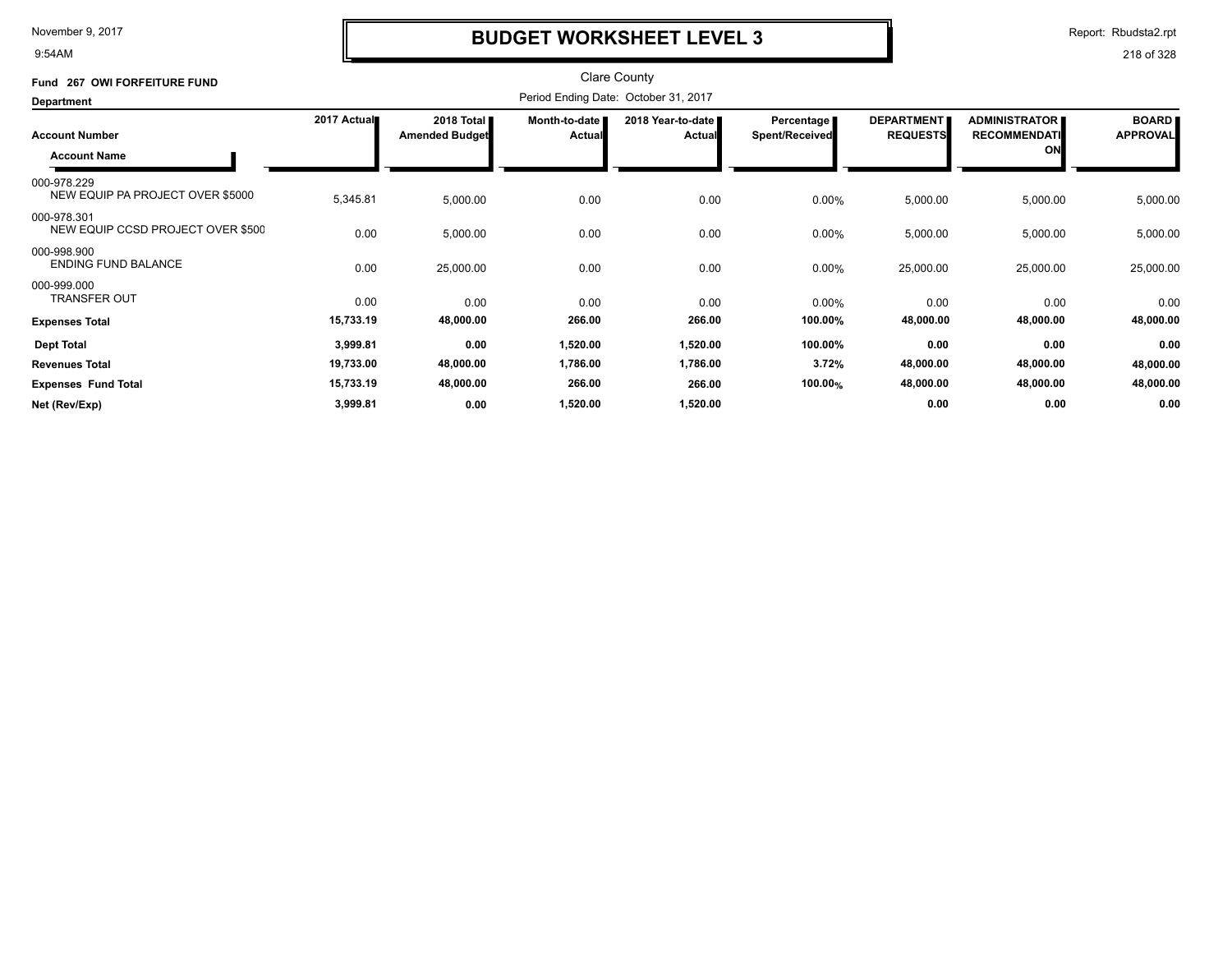9:54AM

### **BUDGET WORKSHEET LEVEL 3**

Report: Rbudsta2.rpt

| Fund 267 OWI FORFEITURE FUND                     |             |                                     |                                | <b>Clare County</b>                  |                                     |                                      |                                             |                                 |
|--------------------------------------------------|-------------|-------------------------------------|--------------------------------|--------------------------------------|-------------------------------------|--------------------------------------|---------------------------------------------|---------------------------------|
| Department                                       |             |                                     |                                | Period Ending Date: October 31, 2017 |                                     |                                      |                                             |                                 |
| <b>Account Number</b>                            | 2017 Actual | 2018 Total<br><b>Amended Budget</b> | Month-to-date<br><b>Actual</b> | 2018 Year-to-date<br><b>Actual</b>   | Percentage<br><b>Spent/Received</b> | <b>DEPARTMENT</b><br><b>REQUESTS</b> | <b>ADMINISTRATOR</b><br><b>RECOMMENDATI</b> | <b>BOARD</b><br><b>APPROVAL</b> |
| <b>Account Name</b>                              |             |                                     |                                |                                      |                                     |                                      | ON                                          |                                 |
| 000-978.229<br>NEW EQUIP PA PROJECT OVER \$5000  | 5,345.81    | 5,000.00                            | 0.00                           | 0.00                                 | 0.00%                               | 5,000.00                             | 5,000.00                                    | 5,000.00                        |
| 000-978.301<br>NEW EQUIP CCSD PROJECT OVER \$500 | 0.00        | 5,000.00                            | 0.00                           | 0.00                                 | 0.00%                               | 5,000.00                             | 5,000.00                                    | 5,000.00                        |
| 000-998.900<br><b>ENDING FUND BALANCE</b>        | 0.00        | 25,000.00                           | 0.00                           | 0.00                                 | $0.00\%$                            | 25,000.00                            | 25,000.00                                   | 25,000.00                       |
| 000-999.000<br><b>TRANSFER OUT</b>               | 0.00        | 0.00                                | 0.00                           | 0.00                                 | $0.00\%$                            | 0.00                                 | 0.00                                        | 0.00                            |
| <b>Expenses Total</b>                            | 15,733.19   | 48,000.00                           | 266.00                         | 266.00                               | 100.00%                             | 48,000.00                            | 48,000.00                                   | 48,000.00                       |
| <b>Dept Total</b>                                | 3,999.81    | 0.00                                | 1,520.00                       | 1,520.00                             | 100.00%                             | 0.00                                 | 0.00                                        | 0.00                            |
| <b>Revenues Total</b>                            | 19,733.00   | 48,000.00                           | 1,786.00                       | 1,786.00                             | 3.72%                               | 48,000.00                            | 48,000.00                                   | 48,000.00                       |
| <b>Expenses Fund Total</b>                       | 15,733.19   | 48,000.00                           | 266.00                         | 266.00                               | 100.00%                             | 48,000.00                            | 48,000.00                                   | 48,000.00                       |
| Net (Rev/Exp)                                    | 3,999.81    | 0.00                                | 1,520.00                       | 1,520.00                             |                                     | 0.00                                 | 0.00                                        | 0.00                            |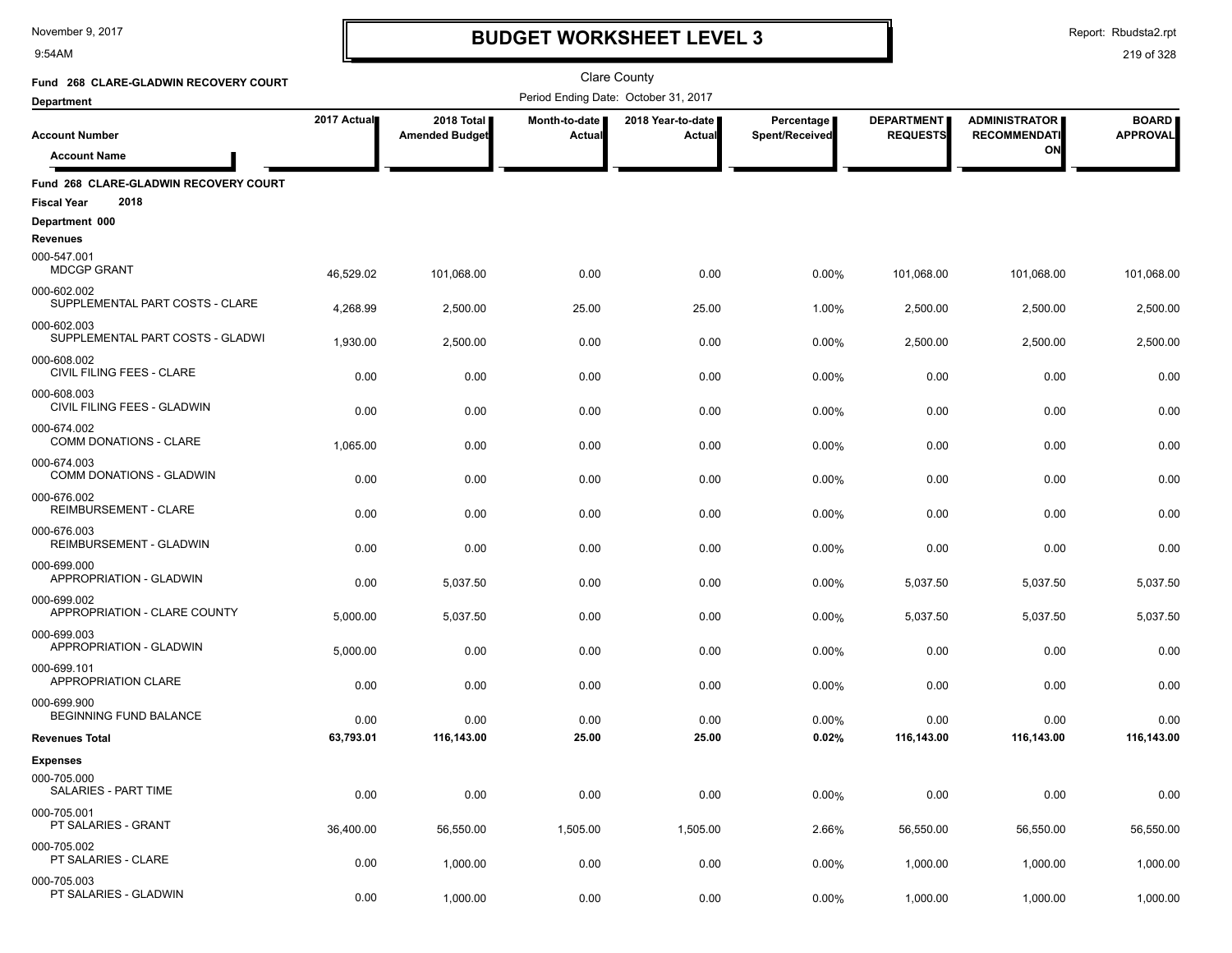9:54AM

### **BUDGET WORKSHEET LEVEL 3**

Report: Rbudsta2.rpt

| Fund 268 CLARE-GLADWIN RECOVERY COURT                               |             |                                     |                         | <b>Clare County</b>                  |                              |                                      |                                             |                                 |
|---------------------------------------------------------------------|-------------|-------------------------------------|-------------------------|--------------------------------------|------------------------------|--------------------------------------|---------------------------------------------|---------------------------------|
| <b>Department</b>                                                   |             |                                     |                         | Period Ending Date: October 31, 2017 |                              |                                      |                                             |                                 |
| <b>Account Number</b>                                               | 2017 Actual | 2018 Total<br><b>Amended Budget</b> | Month-to-date<br>Actual | 2018 Year-to-date<br>Actual          | Percentage<br>Spent/Received | <b>DEPARTMENT</b><br><b>REQUESTS</b> | <b>ADMINISTRATOR</b><br><b>RECOMMENDATI</b> | <b>BOARD</b><br><b>APPROVAL</b> |
| <b>Account Name</b>                                                 |             |                                     |                         |                                      |                              |                                      | ON                                          |                                 |
| Fund 268 CLARE-GLADWIN RECOVERY COURT<br>2018<br><b>Fiscal Year</b> |             |                                     |                         |                                      |                              |                                      |                                             |                                 |
| Department 000<br><b>Revenues</b>                                   |             |                                     |                         |                                      |                              |                                      |                                             |                                 |
| 000-547.001<br><b>MDCGP GRANT</b>                                   | 46,529.02   | 101,068.00                          | 0.00                    | 0.00                                 | 0.00%                        | 101,068.00                           | 101,068.00                                  | 101,068.00                      |
| 000-602.002<br>SUPPLEMENTAL PART COSTS - CLARE                      | 4,268.99    | 2,500.00                            | 25.00                   | 25.00                                | 1.00%                        | 2,500.00                             | 2,500.00                                    | 2,500.00                        |
| 000-602.003<br>SUPPLEMENTAL PART COSTS - GLADWI                     | 1,930.00    | 2,500.00                            | 0.00                    | 0.00                                 | 0.00%                        | 2,500.00                             | 2,500.00                                    | 2,500.00                        |
| 000-608.002<br>CIVIL FILING FEES - CLARE                            | 0.00        | 0.00                                | 0.00                    | 0.00                                 | 0.00%                        | 0.00                                 | 0.00                                        | 0.00                            |
| 000-608.003<br>CIVIL FILING FEES - GLADWIN                          | 0.00        | 0.00                                | 0.00                    | 0.00                                 | 0.00%                        | 0.00                                 | 0.00                                        | 0.00                            |
| 000-674.002<br>COMM DONATIONS - CLARE                               | 1,065.00    | 0.00                                | 0.00                    | 0.00                                 | 0.00%                        | 0.00                                 | 0.00                                        | 0.00                            |
| 000-674.003<br>COMM DONATIONS - GLADWIN                             | 0.00        | 0.00                                | 0.00                    | 0.00                                 | 0.00%                        | 0.00                                 | 0.00                                        | 0.00                            |
| 000-676.002<br>REIMBURSEMENT - CLARE                                | 0.00        | 0.00                                | 0.00                    | 0.00                                 | 0.00%                        | 0.00                                 | 0.00                                        | 0.00                            |
| 000-676.003<br>REIMBURSEMENT - GLADWIN                              | 0.00        | 0.00                                | 0.00                    | 0.00                                 | 0.00%                        | 0.00                                 | 0.00                                        | 0.00                            |
| 000-699.000<br>APPROPRIATION - GLADWIN                              | 0.00        | 5,037.50                            | 0.00                    | 0.00                                 | 0.00%                        | 5,037.50                             | 5,037.50                                    | 5,037.50                        |
| 000-699.002<br>APPROPRIATION - CLARE COUNTY                         | 5,000.00    | 5,037.50                            | 0.00                    | 0.00                                 | 0.00%                        | 5,037.50                             | 5,037.50                                    | 5,037.50                        |
| 000-699.003<br>APPROPRIATION - GLADWIN                              | 5,000.00    | 0.00                                | 0.00                    | 0.00                                 | 0.00%                        | 0.00                                 | 0.00                                        | 0.00                            |
| 000-699.101<br>APPROPRIATION CLARE                                  | 0.00        | 0.00                                | 0.00                    | 0.00                                 | 0.00%                        | 0.00                                 | 0.00                                        | 0.00                            |
| 000-699.900<br>BEGINNING FUND BALANCE                               | 0.00        | 0.00                                | 0.00                    | 0.00                                 | 0.00%                        | 0.00                                 | 0.00                                        | 0.00                            |
| <b>Revenues Total</b>                                               | 63,793.01   | 116,143.00                          | 25.00                   | 25.00                                | 0.02%                        | 116,143.00                           | 116,143.00                                  | 116,143.00                      |
| <b>Expenses</b>                                                     |             |                                     |                         |                                      |                              |                                      |                                             |                                 |
| 000-705.000<br>SALARIES - PART TIME                                 | 0.00        | 0.00                                | 0.00                    | 0.00                                 | 0.00%                        | 0.00                                 | 0.00                                        | 0.00                            |
| 000-705.001<br>PT SALARIES - GRANT                                  | 36,400.00   | 56,550.00                           | 1,505.00                | 1,505.00                             | 2.66%                        | 56,550.00                            | 56,550.00                                   | 56,550.00                       |
| 000-705.002<br>PT SALARIES - CLARE                                  | 0.00        | 1,000.00                            | 0.00                    | 0.00                                 | 0.00%                        | 1,000.00                             | 1,000.00                                    | 1,000.00                        |
| 000-705.003<br>PT SALARIES - GLADWIN                                | 0.00        | 1,000.00                            | 0.00                    | 0.00                                 | 0.00%                        | 1,000.00                             | 1,000.00                                    | 1,000.00                        |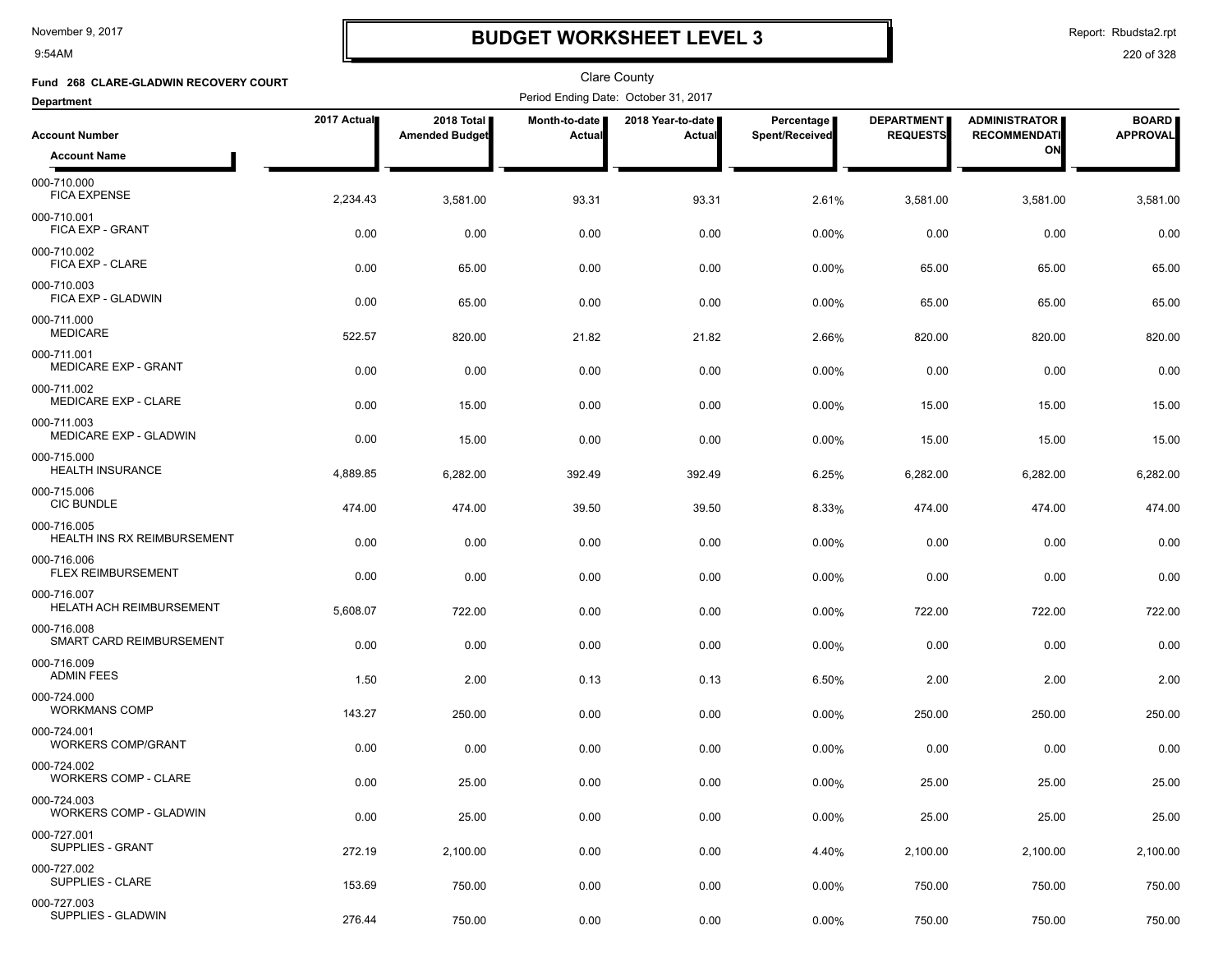9:54AM

# **BUDGET WORKSHEET LEVEL 3**

Report: Rbudsta2.rpt

| Fund 268 CLARE-GLADWIN RECOVERY COURT             |             |                                     |                                | <b>Clare County</b>                  |                              |                                      |                                             |                                 |
|---------------------------------------------------|-------------|-------------------------------------|--------------------------------|--------------------------------------|------------------------------|--------------------------------------|---------------------------------------------|---------------------------------|
| <b>Department</b>                                 |             |                                     |                                | Period Ending Date: October 31, 2017 |                              |                                      |                                             |                                 |
| <b>Account Number</b>                             | 2017 Actual | 2018 Total<br><b>Amended Budget</b> | <b>Month-to-date</b><br>Actual | 2018 Year-to-date  <br>Actual        | Percentage<br>Spent/Received | <b>DEPARTMENT</b><br><b>REQUESTS</b> | <b>ADMINISTRATOR</b><br><b>RECOMMENDATI</b> | <b>BOARD</b><br><b>APPROVAL</b> |
| <b>Account Name</b>                               |             |                                     |                                |                                      |                              |                                      | ON                                          |                                 |
| 000-710.000<br><b>FICA EXPENSE</b>                | 2,234.43    | 3,581.00                            | 93.31                          | 93.31                                | 2.61%                        | 3,581.00                             | 3,581.00                                    | 3,581.00                        |
| 000-710.001<br>FICA EXP - GRANT                   | 0.00        | 0.00                                | 0.00                           | 0.00                                 | 0.00%                        | 0.00                                 | 0.00                                        | 0.00                            |
| 000-710.002<br>FICA EXP - CLARE                   | 0.00        | 65.00                               | 0.00                           | 0.00                                 | 0.00%                        | 65.00                                | 65.00                                       | 65.00                           |
| 000-710.003<br>FICA EXP - GLADWIN                 | 0.00        | 65.00                               | 0.00                           | 0.00                                 | 0.00%                        | 65.00                                | 65.00                                       | 65.00                           |
| 000-711.000<br><b>MEDICARE</b>                    | 522.57      | 820.00                              | 21.82                          | 21.82                                | 2.66%                        | 820.00                               | 820.00                                      | 820.00                          |
| 000-711.001<br><b>MEDICARE EXP - GRANT</b>        | 0.00        | 0.00                                | 0.00                           | 0.00                                 | 0.00%                        | 0.00                                 | 0.00                                        | 0.00                            |
| 000-711.002<br>MEDICARE EXP - CLARE               | 0.00        | 15.00                               | 0.00                           | 0.00                                 | 0.00%                        | 15.00                                | 15.00                                       | 15.00                           |
| 000-711.003<br>MEDICARE EXP - GLADWIN             | 0.00        | 15.00                               | 0.00                           | 0.00                                 | 0.00%                        | 15.00                                | 15.00                                       | 15.00                           |
| 000-715.000<br><b>HEALTH INSURANCE</b>            | 4,889.85    | 6,282.00                            | 392.49                         | 392.49                               | 6.25%                        | 6,282.00                             | 6,282.00                                    | 6,282.00                        |
| 000-715.006<br><b>CIC BUNDLE</b>                  | 474.00      | 474.00                              | 39.50                          | 39.50                                | 8.33%                        | 474.00                               | 474.00                                      | 474.00                          |
| 000-716.005<br><b>HEALTH INS RX REIMBURSEMENT</b> | 0.00        | 0.00                                | 0.00                           | 0.00                                 | 0.00%                        | 0.00                                 | 0.00                                        | 0.00                            |
| 000-716.006<br><b>FLEX REIMBURSEMENT</b>          | 0.00        | 0.00                                | 0.00                           | 0.00                                 | 0.00%                        | 0.00                                 | 0.00                                        | 0.00                            |
| 000-716.007<br><b>HELATH ACH REIMBURSEMENT</b>    | 5,608.07    | 722.00                              | 0.00                           | 0.00                                 | 0.00%                        | 722.00                               | 722.00                                      | 722.00                          |
| 000-716.008<br>SMART CARD REIMBURSEMENT           | 0.00        | 0.00                                | 0.00                           | 0.00                                 | 0.00%                        | 0.00                                 | 0.00                                        | 0.00                            |
| 000-716.009<br><b>ADMIN FEES</b>                  | 1.50        | 2.00                                | 0.13                           | 0.13                                 | 6.50%                        | 2.00                                 | 2.00                                        | 2.00                            |
| 000-724.000<br><b>WORKMANS COMP</b>               | 143.27      | 250.00                              | 0.00                           | 0.00                                 | 0.00%                        | 250.00                               | 250.00                                      | 250.00                          |
| 000-724.001<br><b>WORKERS COMP/GRANT</b>          | 0.00        | 0.00                                | 0.00                           | 0.00                                 | 0.00%                        | 0.00                                 | 0.00                                        | 0.00                            |
| 000-724.002<br><b>WORKERS COMP - CLARE</b>        | 0.00        | 25.00                               | 0.00                           | 0.00                                 | 0.00%                        | 25.00                                | 25.00                                       | 25.00                           |
| 000-724.003<br><b>WORKERS COMP - GLADWIN</b>      | 0.00        | 25.00                               | 0.00                           | 0.00                                 | 0.00%                        | 25.00                                | 25.00                                       | 25.00                           |
| 000-727.001<br><b>SUPPLIES - GRANT</b>            | 272.19      | 2,100.00                            | 0.00                           | 0.00                                 | 4.40%                        | 2,100.00                             | 2,100.00                                    | 2,100.00                        |
| 000-727.002<br>SUPPLIES - CLARE                   | 153.69      | 750.00                              | 0.00                           | 0.00                                 | 0.00%                        | 750.00                               | 750.00                                      | 750.00                          |
| 000-727.003<br>SUPPLIES - GLADWIN                 | 276.44      | 750.00                              | 0.00                           | 0.00                                 | 0.00%                        | 750.00                               | 750.00                                      | 750.00                          |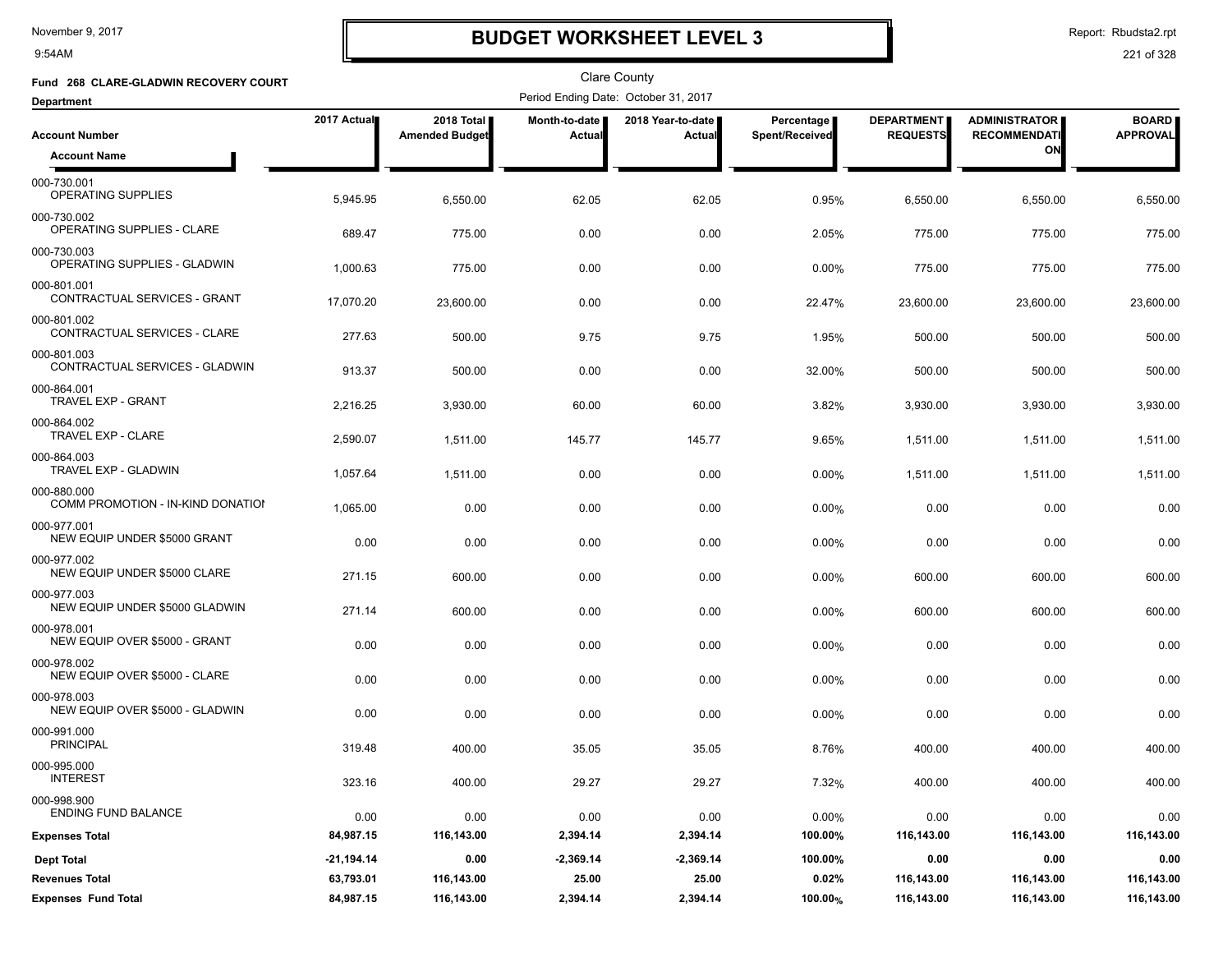9:54AM

# **BUDGET WORKSHEET LEVEL 3**

Report: Rbudsta2.rpt

| Fund 268 CLARE-GLADWIN RECOVERY COURT            |              |                                     |                                | <b>Clare County</b>                  |                              |                                      |                                             |                                 |
|--------------------------------------------------|--------------|-------------------------------------|--------------------------------|--------------------------------------|------------------------------|--------------------------------------|---------------------------------------------|---------------------------------|
| <b>Department</b>                                |              |                                     |                                | Period Ending Date: October 31, 2017 |                              |                                      |                                             |                                 |
| <b>Account Number</b>                            | 2017 Actual  | 2018 Total<br><b>Amended Budget</b> | <b>Month-to-date</b><br>Actual | 2018 Year-to-date<br>Actual          | Percentage<br>Spent/Received | <b>DEPARTMENT</b><br><b>REQUESTS</b> | <b>ADMINISTRATOR</b><br><b>RECOMMENDATI</b> | <b>BOARD</b><br><b>APPROVAL</b> |
| <b>Account Name</b>                              |              |                                     |                                |                                      |                              |                                      | ΟN                                          |                                 |
| 000-730.001<br>OPERATING SUPPLIES                | 5,945.95     | 6,550.00                            | 62.05                          | 62.05                                | 0.95%                        | 6,550.00                             | 6,550.00                                    | 6,550.00                        |
| 000-730.002<br>OPERATING SUPPLIES - CLARE        | 689.47       | 775.00                              | 0.00                           | 0.00                                 | 2.05%                        | 775.00                               | 775.00                                      | 775.00                          |
| 000-730.003<br>OPERATING SUPPLIES - GLADWIN      | 1,000.63     | 775.00                              | 0.00                           | 0.00                                 | $0.00\%$                     | 775.00                               | 775.00                                      | 775.00                          |
| 000-801.001<br>CONTRACTUAL SERVICES - GRANT      | 17,070.20    | 23,600.00                           | 0.00                           | 0.00                                 | 22.47%                       | 23,600.00                            | 23,600.00                                   | 23,600.00                       |
| 000-801.002<br>CONTRACTUAL SERVICES - CLARE      | 277.63       | 500.00                              | 9.75                           | 9.75                                 | 1.95%                        | 500.00                               | 500.00                                      | 500.00                          |
| 000-801.003<br>CONTRACTUAL SERVICES - GLADWIN    | 913.37       | 500.00                              | 0.00                           | 0.00                                 | 32.00%                       | 500.00                               | 500.00                                      | 500.00                          |
| 000-864.001<br>TRAVEL EXP - GRANT                | 2,216.25     | 3,930.00                            | 60.00                          | 60.00                                | 3.82%                        | 3,930.00                             | 3,930.00                                    | 3,930.00                        |
| 000-864.002<br>TRAVEL EXP - CLARE                | 2,590.07     | 1,511.00                            | 145.77                         | 145.77                               | 9.65%                        | 1,511.00                             | 1,511.00                                    | 1,511.00                        |
| 000-864.003<br>TRAVEL EXP - GLADWIN              | 1,057.64     | 1,511.00                            | 0.00                           | 0.00                                 | 0.00%                        | 1,511.00                             | 1,511.00                                    | 1,511.00                        |
| 000-880.000<br>COMM PROMOTION - IN-KIND DONATION | 1,065.00     | 0.00                                | 0.00                           | 0.00                                 | 0.00%                        | 0.00                                 | 0.00                                        | 0.00                            |
| 000-977.001<br>NEW EQUIP UNDER \$5000 GRANT      | 0.00         | 0.00                                | 0.00                           | 0.00                                 | 0.00%                        | 0.00                                 | 0.00                                        | 0.00                            |
| 000-977.002<br>NEW EQUIP UNDER \$5000 CLARE      | 271.15       | 600.00                              | 0.00                           | 0.00                                 | 0.00%                        | 600.00                               | 600.00                                      | 600.00                          |
| 000-977.003<br>NEW EQUIP UNDER \$5000 GLADWIN    | 271.14       | 600.00                              | 0.00                           | 0.00                                 | 0.00%                        | 600.00                               | 600.00                                      | 600.00                          |
| 000-978.001<br>NEW EQUIP OVER \$5000 - GRANT     | 0.00         | 0.00                                | 0.00                           | 0.00                                 | 0.00%                        | 0.00                                 | 0.00                                        | 0.00                            |
| 000-978.002<br>NEW EQUIP OVER \$5000 - CLARE     | 0.00         | 0.00                                | 0.00                           | 0.00                                 | 0.00%                        | 0.00                                 | 0.00                                        | 0.00                            |
| 000-978.003<br>NEW EQUIP OVER \$5000 - GLADWIN   | 0.00         | 0.00                                | 0.00                           | 0.00                                 | $0.00\%$                     | 0.00                                 | 0.00                                        | 0.00                            |
| 000-991.000<br><b>PRINCIPAL</b>                  | 319.48       | 400.00                              | 35.05                          | 35.05                                | 8.76%                        | 400.00                               | 400.00                                      | 400.00                          |
| 000-995.000<br><b>INTEREST</b>                   | 323.16       | 400.00                              | 29.27                          | 29.27                                | 7.32%                        | 400.00                               | 400.00                                      | 400.00                          |
| 000-998.900<br><b>ENDING FUND BALANCE</b>        | 0.00         | 0.00                                | 0.00                           | 0.00                                 | 0.00%                        | 0.00                                 | 0.00                                        | 0.00                            |
| <b>Expenses Total</b>                            | 84,987.15    | 116,143.00                          | 2,394.14                       | 2,394.14                             | 100.00%                      | 116,143.00                           | 116,143.00                                  | 116,143.00                      |
| <b>Dept Total</b>                                | $-21,194.14$ | 0.00                                | $-2,369.14$                    | $-2,369.14$                          | 100.00%                      | 0.00                                 | 0.00                                        | 0.00                            |
| <b>Revenues Total</b>                            | 63,793.01    | 116,143.00                          | 25.00                          | 25.00                                | 0.02%                        | 116,143.00                           | 116,143.00                                  | 116,143.00                      |
| <b>Expenses Fund Total</b>                       | 84,987.15    | 116,143.00                          | 2,394.14                       | 2,394.14                             | 100.00%                      | 116,143.00                           | 116,143.00                                  | 116,143.00                      |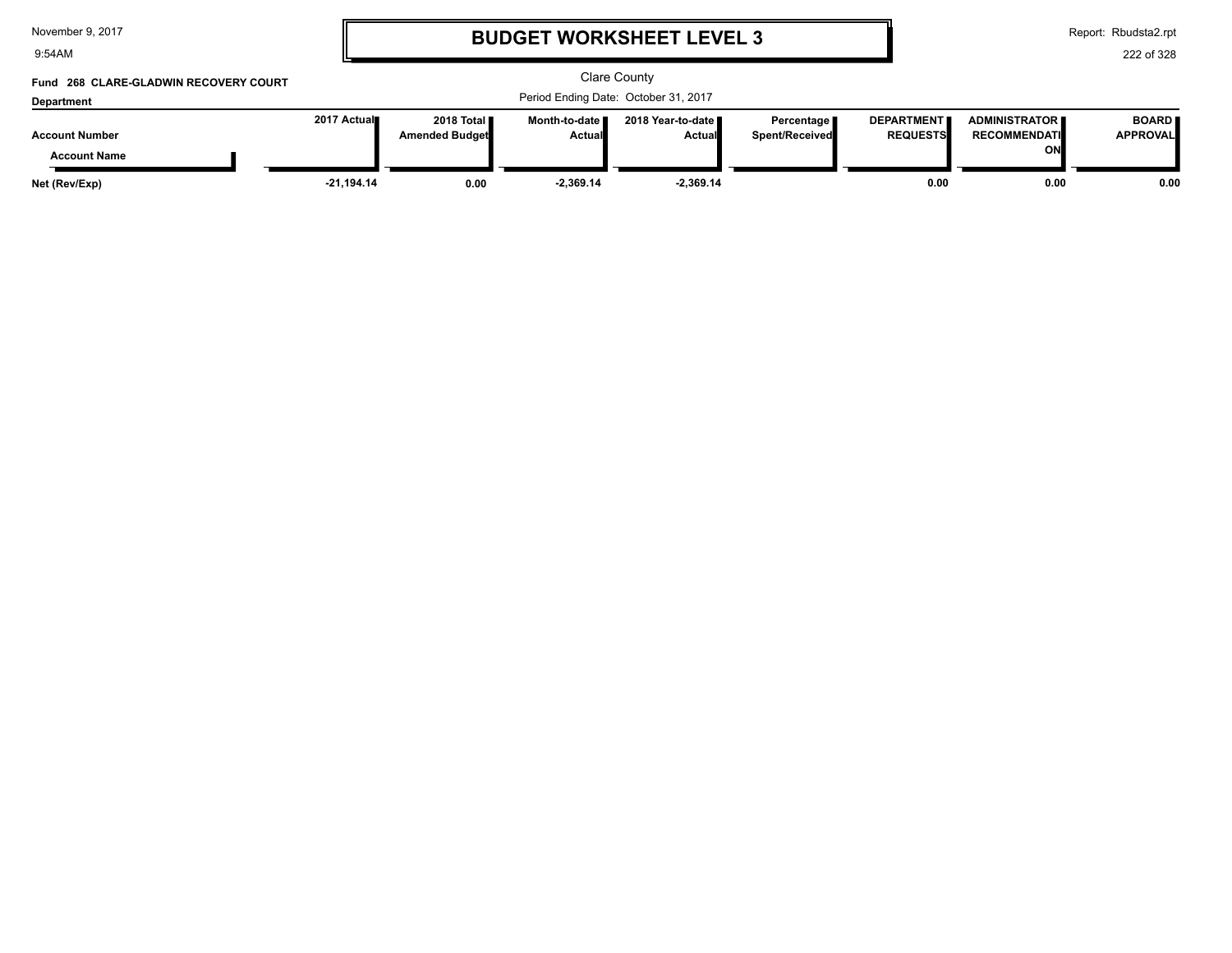9:54AM

### **BUDGET WORKSHEET LEVEL 3**

Report: Rbudsta2.rpt

#### 222 of 328

#### Clare County Period Ending Date: October 31, 2017 **Account Number Department Fund 268 CLARE-GLADWIN RECOVERY COURT 2017 Actual 2018 Total Amended Budget Month-to-date Actual 2018 Year-to-date Actual Percentage Spent/Received DEPARTMENT REQUESTS ADMINISTRATOR RECOMMENDATI ON BOARD APPROVAL Account Name Net (Rev/Exp) -21,194.14 0.00 -2,369.14 -2,369.14 0.00 0.00 0.00**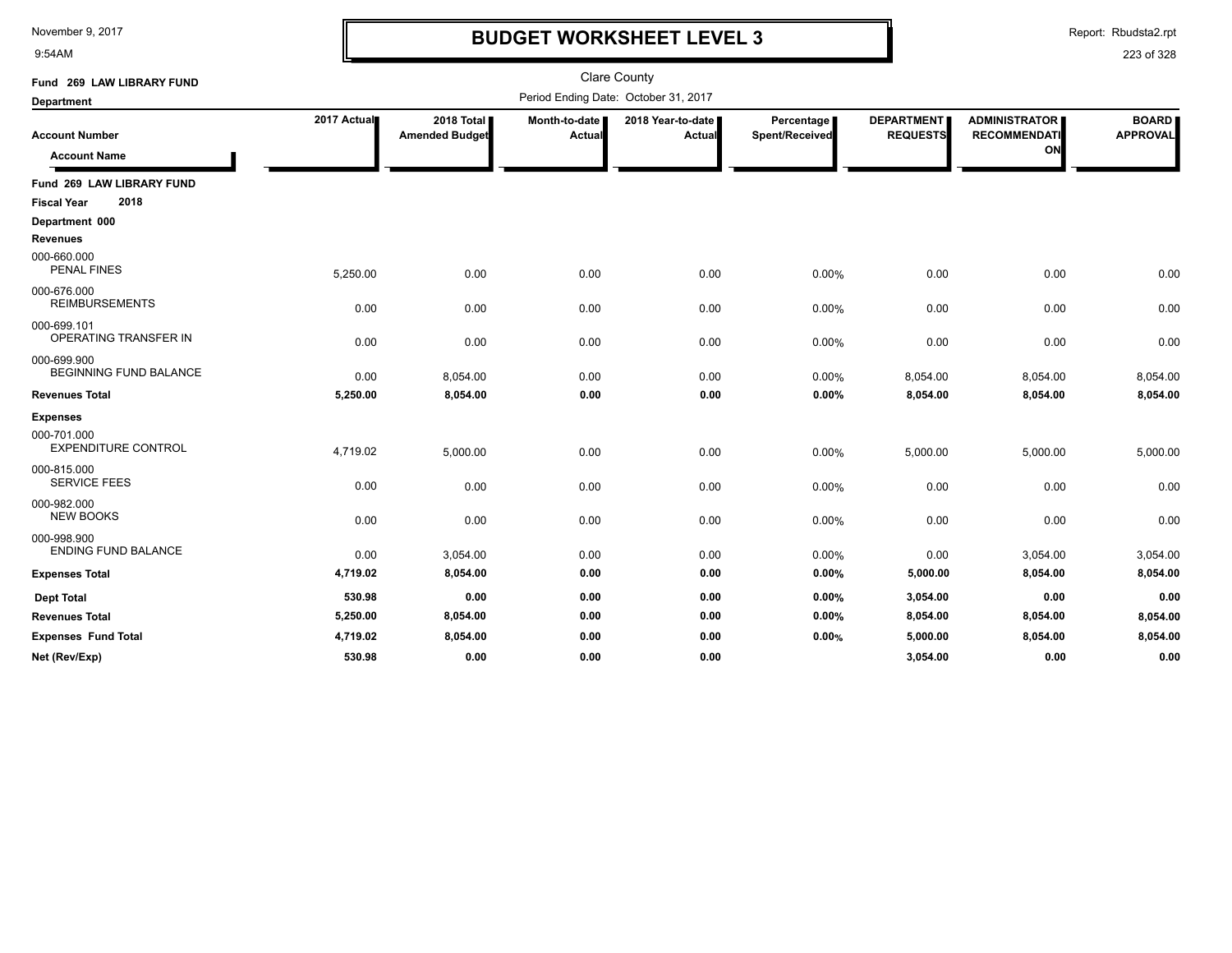9:54AM

### **BUDGET WORKSHEET LEVEL 3**

Report: Rbudsta2.rpt

| Fund 269 LAW LIBRARY FUND                    |             |                                     |                           | <b>Clare County</b>                  |                              |                                      |                                                   |                                 |
|----------------------------------------------|-------------|-------------------------------------|---------------------------|--------------------------------------|------------------------------|--------------------------------------|---------------------------------------------------|---------------------------------|
| <b>Department</b>                            |             |                                     |                           | Period Ending Date: October 31, 2017 |                              |                                      |                                                   |                                 |
| <b>Account Number</b><br><b>Account Name</b> | 2017 Actual | 2018 Total<br><b>Amended Budget</b> | Month-to-date  <br>Actual | 2018 Year-to-date  <br>Actual        | Percentage<br>Spent/Received | <b>DEPARTMENT</b><br><b>REQUESTS</b> | <b>ADMINISTRATOR</b><br><b>RECOMMENDATI</b><br>ON | <b>BOARD</b><br><b>APPROVAL</b> |
| Fund 269 LAW LIBRARY FUND                    |             |                                     |                           |                                      |                              |                                      |                                                   |                                 |
| 2018<br><b>Fiscal Year</b>                   |             |                                     |                           |                                      |                              |                                      |                                                   |                                 |
| Department 000<br><b>Revenues</b>            |             |                                     |                           |                                      |                              |                                      |                                                   |                                 |
| 000-660.000<br><b>PENAL FINES</b>            | 5,250.00    | 0.00                                | 0.00                      | 0.00                                 | 0.00%                        | 0.00                                 | 0.00                                              | 0.00                            |
| 000-676.000<br><b>REIMBURSEMENTS</b>         | 0.00        | 0.00                                | 0.00                      | 0.00                                 | 0.00%                        | 0.00                                 | 0.00                                              | 0.00                            |
| 000-699.101<br><b>OPERATING TRANSFER IN</b>  | 0.00        | 0.00                                | 0.00                      | 0.00                                 | 0.00%                        | 0.00                                 | 0.00                                              | 0.00                            |
| 000-699.900<br><b>BEGINNING FUND BALANCE</b> | 0.00        | 8,054.00                            | 0.00                      | 0.00                                 | 0.00%                        | 8,054.00                             | 8,054.00                                          | 8,054.00                        |
| <b>Revenues Total</b>                        | 5,250.00    | 8,054.00                            | 0.00                      | 0.00                                 | 0.00%                        | 8,054.00                             | 8,054.00                                          | 8,054.00                        |
| <b>Expenses</b>                              |             |                                     |                           |                                      |                              |                                      |                                                   |                                 |
| 000-701.000<br><b>EXPENDITURE CONTROL</b>    | 4,719.02    | 5,000.00                            | 0.00                      | 0.00                                 | 0.00%                        | 5,000.00                             | 5,000.00                                          | 5,000.00                        |
| 000-815.000<br><b>SERVICE FEES</b>           | 0.00        | 0.00                                | 0.00                      | 0.00                                 | 0.00%                        | 0.00                                 | 0.00                                              | 0.00                            |
| 000-982.000<br><b>NEW BOOKS</b>              | 0.00        | 0.00                                | 0.00                      | 0.00                                 | 0.00%                        | 0.00                                 | 0.00                                              | 0.00                            |
| 000-998.900<br><b>ENDING FUND BALANCE</b>    | 0.00        | 3,054.00                            | 0.00                      | 0.00                                 | 0.00%                        | 0.00                                 | 3,054.00                                          | 3,054.00                        |
| <b>Expenses Total</b>                        | 4,719.02    | 8,054.00                            | 0.00                      | 0.00                                 | 0.00%                        | 5,000.00                             | 8,054.00                                          | 8,054.00                        |
| <b>Dept Total</b>                            | 530.98      | 0.00                                | 0.00                      | 0.00                                 | 0.00%                        | 3,054.00                             | 0.00                                              | 0.00                            |
| <b>Revenues Total</b>                        | 5,250.00    | 8,054.00                            | 0.00                      | 0.00                                 | 0.00%                        | 8,054.00                             | 8,054.00                                          | 8,054.00                        |
| <b>Expenses Fund Total</b>                   | 4,719.02    | 8,054.00                            | 0.00                      | 0.00                                 | 0.00%                        | 5,000.00                             | 8,054.00                                          | 8,054.00                        |
| Net (Rev/Exp)                                | 530.98      | 0.00                                | 0.00                      | 0.00                                 |                              | 3.054.00                             | 0.00                                              | 0.00                            |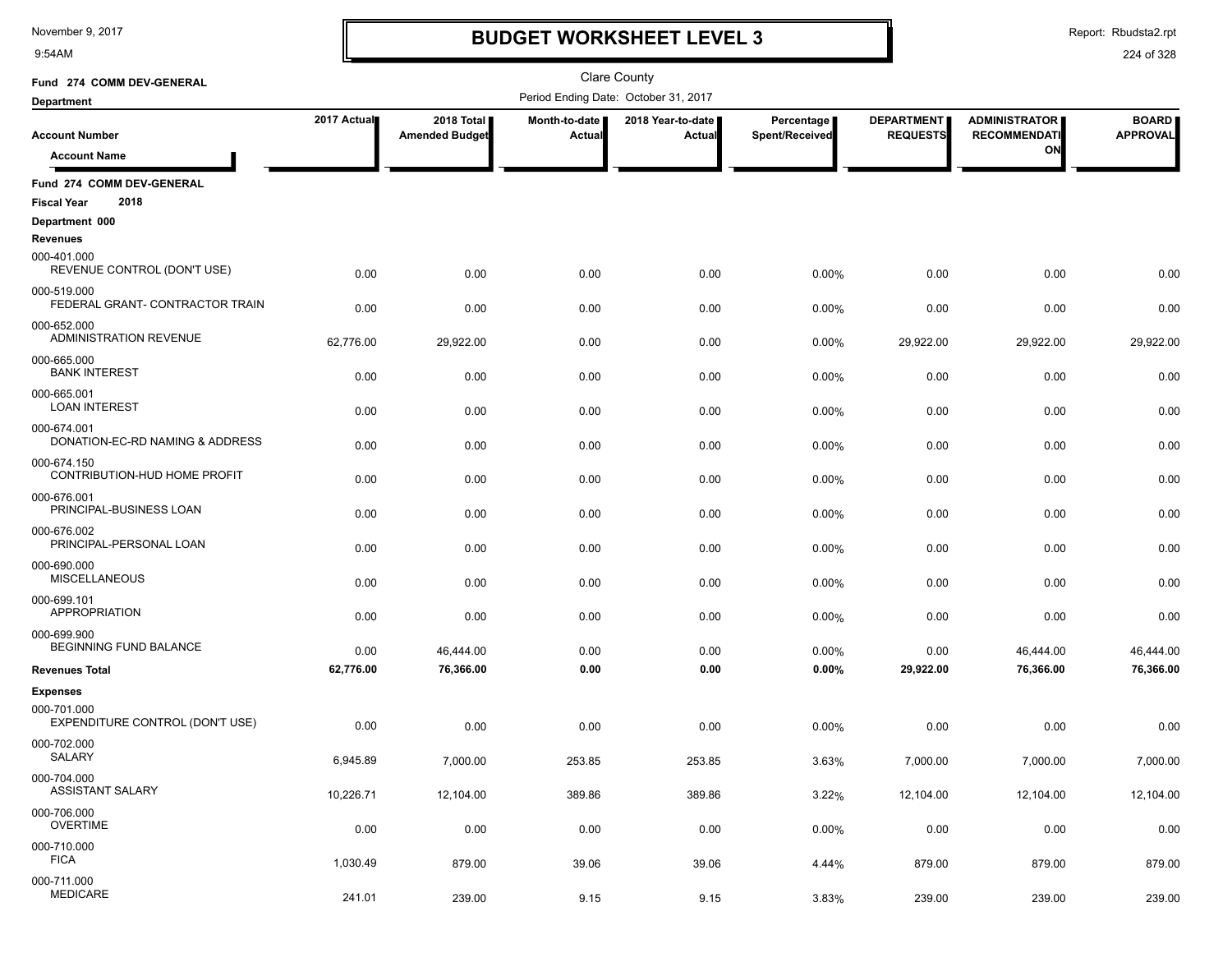9:54AM

# **BUDGET WORKSHEET LEVEL 3**

Report: Rbudsta2.rpt

| Fund 274 COMM DEV-GENERAL                               |             |                                     |                         | Clare County                         |                              |                                      |                                             |                                 |
|---------------------------------------------------------|-------------|-------------------------------------|-------------------------|--------------------------------------|------------------------------|--------------------------------------|---------------------------------------------|---------------------------------|
| <b>Department</b>                                       |             |                                     |                         | Period Ending Date: October 31, 2017 |                              |                                      |                                             |                                 |
| <b>Account Number</b>                                   | 2017 Actual | 2018 Total<br><b>Amended Budget</b> | Month-to-date<br>Actual | 2018 Year-to-date<br>Actual          | Percentage<br>Spent/Received | <b>DEPARTMENT</b><br><b>REQUESTS</b> | <b>ADMINISTRATOR</b><br><b>RECOMMENDATI</b> | <b>BOARD</b><br><b>APPROVAL</b> |
| <b>Account Name</b>                                     |             |                                     |                         |                                      |                              |                                      | ON                                          |                                 |
| Fund 274 COMM DEV-GENERAL<br>2018<br><b>Fiscal Year</b> |             |                                     |                         |                                      |                              |                                      |                                             |                                 |
| Department 000                                          |             |                                     |                         |                                      |                              |                                      |                                             |                                 |
| <b>Revenues</b>                                         |             |                                     |                         |                                      |                              |                                      |                                             |                                 |
| 000-401.000<br>REVENUE CONTROL (DON'T USE)              | 0.00        | 0.00                                | 0.00                    | 0.00                                 | 0.00%                        | 0.00                                 | 0.00                                        | 0.00                            |
| 000-519.000<br>FEDERAL GRANT- CONTRACTOR TRAIN          | 0.00        | 0.00                                | 0.00                    | 0.00                                 | 0.00%                        | 0.00                                 | 0.00                                        | 0.00                            |
| 000-652.000<br>ADMINISTRATION REVENUE                   | 62,776.00   | 29,922.00                           | 0.00                    | 0.00                                 | 0.00%                        | 29,922.00                            | 29,922.00                                   | 29,922.00                       |
| 000-665.000<br><b>BANK INTEREST</b>                     | 0.00        | 0.00                                | 0.00                    | 0.00                                 | 0.00%                        | 0.00                                 | 0.00                                        | 0.00                            |
| 000-665.001<br><b>LOAN INTEREST</b>                     | 0.00        | 0.00                                | 0.00                    | 0.00                                 | 0.00%                        | 0.00                                 | 0.00                                        | 0.00                            |
| 000-674.001<br>DONATION-EC-RD NAMING & ADDRESS          | 0.00        | 0.00                                | 0.00                    | 0.00                                 | 0.00%                        | 0.00                                 | 0.00                                        | 0.00                            |
| 000-674.150<br>CONTRIBUTION-HUD HOME PROFIT             | 0.00        | 0.00                                | 0.00                    | 0.00                                 | 0.00%                        | 0.00                                 | 0.00                                        | 0.00                            |
| 000-676.001<br>PRINCIPAL-BUSINESS LOAN                  | 0.00        | 0.00                                | 0.00                    | 0.00                                 | 0.00%                        | 0.00                                 | 0.00                                        | 0.00                            |
| 000-676.002<br>PRINCIPAL-PERSONAL LOAN                  | 0.00        | 0.00                                | 0.00                    | 0.00                                 | 0.00%                        | 0.00                                 | 0.00                                        | 0.00                            |
| 000-690.000<br><b>MISCELLANEOUS</b>                     | 0.00        | 0.00                                | 0.00                    | 0.00                                 | 0.00%                        | 0.00                                 | 0.00                                        | 0.00                            |
| 000-699.101<br><b>APPROPRIATION</b>                     | 0.00        | 0.00                                | 0.00                    | 0.00                                 | 0.00%                        | 0.00                                 | 0.00                                        | 0.00                            |
| 000-699.900<br>BEGINNING FUND BALANCE                   | 0.00        | 46,444.00                           | 0.00                    | 0.00                                 | 0.00%                        | 0.00                                 | 46,444.00                                   | 46,444.00                       |
| <b>Revenues Total</b>                                   | 62,776.00   | 76,366.00                           | 0.00                    | 0.00                                 | 0.00%                        | 29,922.00                            | 76,366.00                                   | 76,366.00                       |
| <b>Expenses</b>                                         |             |                                     |                         |                                      |                              |                                      |                                             |                                 |
| 000-701.000<br>EXPENDITURE CONTROL (DON'T USE)          | 0.00        | 0.00                                | 0.00                    | 0.00                                 | 0.00%                        | 0.00                                 | 0.00                                        | 0.00                            |
| 000-702.000<br><b>SALARY</b>                            | 6,945.89    | 7.000.00                            | 253.85                  | 253.85                               | 3.63%                        | 7,000.00                             | 7.000.00                                    | 7,000.00                        |
| 000-704.000<br><b>ASSISTANT SALARY</b>                  | 10,226.71   | 12,104.00                           | 389.86                  | 389.86                               | 3.22%                        | 12,104.00                            | 12,104.00                                   | 12,104.00                       |
| 000-706.000<br><b>OVERTIME</b>                          | 0.00        | 0.00                                | 0.00                    | 0.00                                 | 0.00%                        | 0.00                                 | 0.00                                        | 0.00                            |
| 000-710.000<br><b>FICA</b>                              | 1,030.49    | 879.00                              | 39.06                   | 39.06                                | 4.44%                        | 879.00                               | 879.00                                      | 879.00                          |
| 000-711.000<br><b>MEDICARE</b>                          | 241.01      | 239.00                              | 9.15                    | 9.15                                 | 3.83%                        | 239.00                               | 239.00                                      | 239.00                          |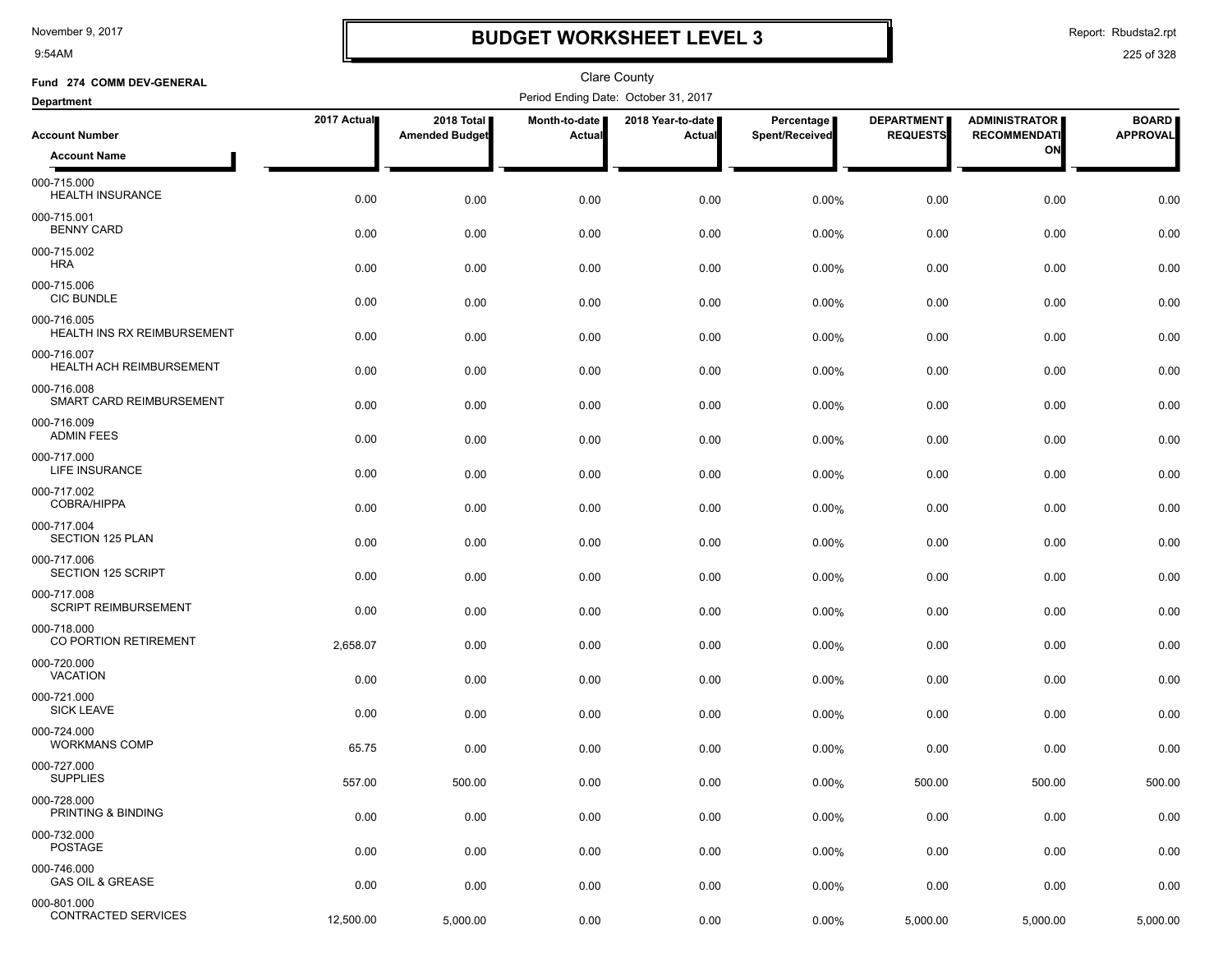9:54AM

## **BUDGET WORKSHEET LEVEL 3**

Report: Rbudsta2.rpt

| Fund 274 COMM DEV-GENERAL                      |             |                                     |                         | <b>Clare County</b>                  |                              |                                      |                                             |                                 |
|------------------------------------------------|-------------|-------------------------------------|-------------------------|--------------------------------------|------------------------------|--------------------------------------|---------------------------------------------|---------------------------------|
| <b>Department</b>                              |             |                                     |                         | Period Ending Date: October 31, 2017 |                              |                                      |                                             |                                 |
| <b>Account Number</b>                          | 2017 Actual | 2018 Total<br><b>Amended Budget</b> | Month-to-date<br>Actual | 2018 Year-to-date  <br>Actual        | Percentage<br>Spent/Received | <b>DEPARTMENT</b><br><b>REQUESTS</b> | <b>ADMINISTRATOR</b><br><b>RECOMMENDATI</b> | <b>BOARD</b><br><b>APPROVAL</b> |
| <b>Account Name</b>                            |             |                                     |                         |                                      |                              |                                      | ON                                          |                                 |
| 000-715.000<br><b>HEALTH INSURANCE</b>         | 0.00        | 0.00                                | 0.00                    | 0.00                                 | 0.00%                        | 0.00                                 | 0.00                                        | 0.00                            |
| 000-715.001<br><b>BENNY CARD</b>               | 0.00        | 0.00                                | 0.00                    | 0.00                                 | 0.00%                        | 0.00                                 | 0.00                                        | 0.00                            |
| 000-715.002<br><b>HRA</b>                      | 0.00        | 0.00                                | 0.00                    | 0.00                                 | 0.00%                        | 0.00                                 | 0.00                                        | 0.00                            |
| 000-715.006<br><b>CIC BUNDLE</b>               | 0.00        | 0.00                                | 0.00                    | 0.00                                 | 0.00%                        | 0.00                                 | 0.00                                        | 0.00                            |
| 000-716.005<br>HEALTH INS RX REIMBURSEMENT     | 0.00        | 0.00                                | 0.00                    | 0.00                                 | 0.00%                        | 0.00                                 | 0.00                                        | 0.00                            |
| 000-716.007<br><b>HEALTH ACH REIMBURSEMENT</b> | 0.00        | 0.00                                | 0.00                    | 0.00                                 | 0.00%                        | 0.00                                 | 0.00                                        | 0.00                            |
| 000-716.008<br>SMART CARD REIMBURSEMENT        | 0.00        | 0.00                                | 0.00                    | 0.00                                 | 0.00%                        | 0.00                                 | 0.00                                        | 0.00                            |
| 000-716.009<br><b>ADMIN FEES</b>               | 0.00        | 0.00                                | 0.00                    | 0.00                                 | 0.00%                        | 0.00                                 | 0.00                                        | 0.00                            |
| 000-717.000<br><b>LIFE INSURANCE</b>           | 0.00        | 0.00                                | 0.00                    | 0.00                                 | 0.00%                        | 0.00                                 | 0.00                                        | 0.00                            |
| 000-717.002<br><b>COBRA/HIPPA</b>              | 0.00        | 0.00                                | 0.00                    | 0.00                                 | 0.00%                        | 0.00                                 | 0.00                                        | 0.00                            |
| 000-717.004<br><b>SECTION 125 PLAN</b>         | 0.00        | 0.00                                | 0.00                    | 0.00                                 | 0.00%                        | 0.00                                 | 0.00                                        | 0.00                            |
| 000-717.006<br>SECTION 125 SCRIPT              | 0.00        | 0.00                                | 0.00                    | 0.00                                 | 0.00%                        | 0.00                                 | 0.00                                        | 0.00                            |
| 000-717.008<br><b>SCRIPT REIMBURSEMENT</b>     | 0.00        | 0.00                                | 0.00                    | 0.00                                 | 0.00%                        | 0.00                                 | 0.00                                        | 0.00                            |
| 000-718.000<br>CO PORTION RETIREMENT           | 2,658.07    | 0.00                                | 0.00                    | 0.00                                 | 0.00%                        | 0.00                                 | 0.00                                        | 0.00                            |
| 000-720.000<br><b>VACATION</b>                 | 0.00        | 0.00                                | 0.00                    | 0.00                                 | 0.00%                        | 0.00                                 | 0.00                                        | 0.00                            |
| 000-721.000<br><b>SICK LEAVE</b>               | 0.00        | 0.00                                | 0.00                    | 0.00                                 | 0.00%                        | 0.00                                 | 0.00                                        | 0.00                            |
| 000-724.000<br><b>WORKMANS COMP</b>            | 65.75       | 0.00                                | 0.00                    | 0.00                                 | 0.00%                        | 0.00                                 | 0.00                                        | 0.00                            |
| 000-727.000<br><b>SUPPLIES</b>                 | 557.00      | 500.00                              | 0.00                    | 0.00                                 | 0.00%                        | 500.00                               | 500.00                                      | 500.00                          |
| 000-728.000<br>PRINTING & BINDING              | 0.00        | 0.00                                | 0.00                    | 0.00                                 | $0.00\%$                     | 0.00                                 | 0.00                                        | 0.00                            |
| 000-732.000<br>POSTAGE                         | 0.00        | 0.00                                | 0.00                    | 0.00                                 | 0.00%                        | 0.00                                 | 0.00                                        | 0.00                            |
| 000-746.000<br><b>GAS OIL &amp; GREASE</b>     | 0.00        | 0.00                                | 0.00                    | 0.00                                 | 0.00%                        | 0.00                                 | 0.00                                        | 0.00                            |
| 000-801.000<br><b>CONTRACTED SERVICES</b>      | 12,500.00   | 5,000.00                            | 0.00                    | 0.00                                 | 0.00%                        | 5,000.00                             | 5,000.00                                    | 5,000.00                        |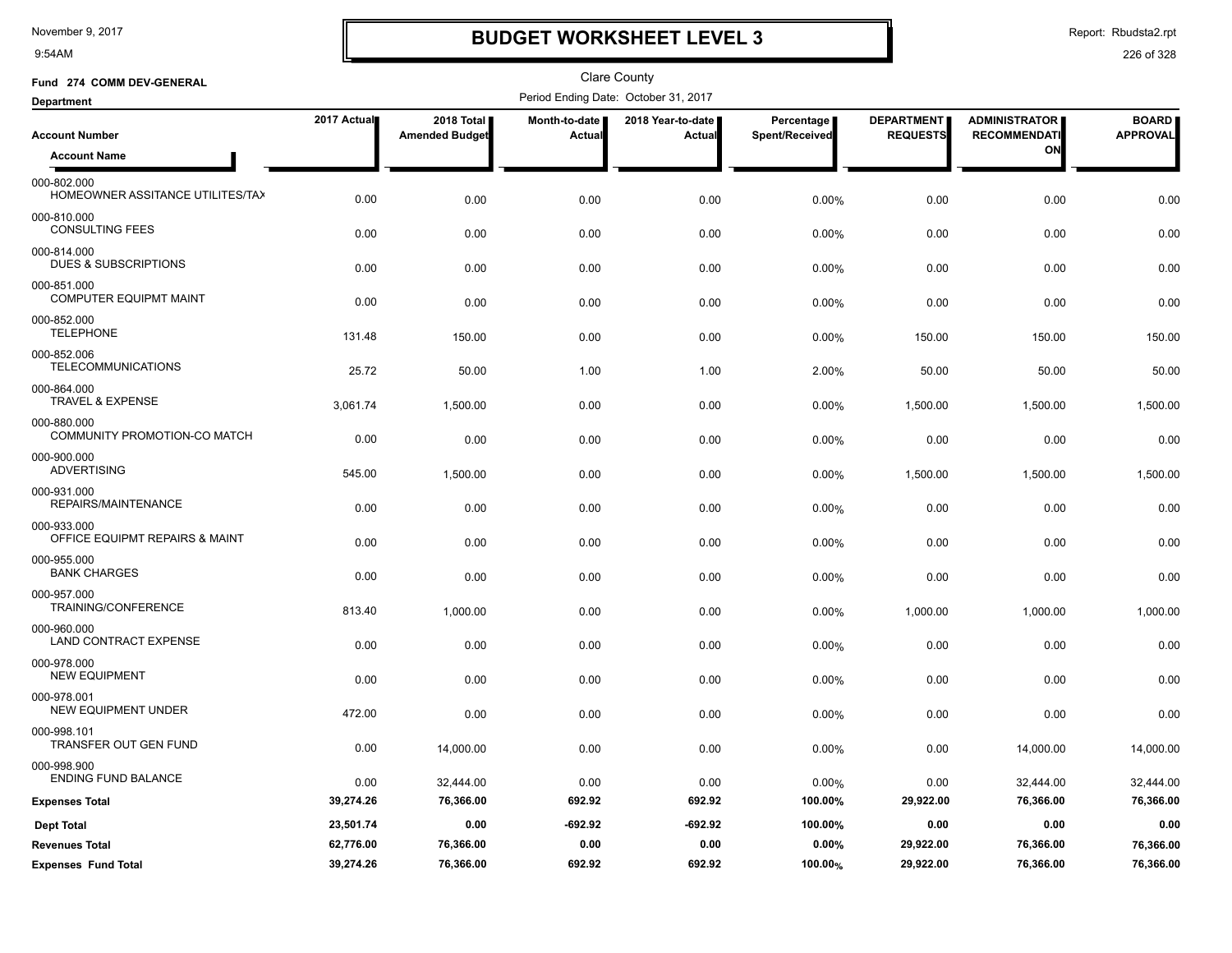9:54AM

# **BUDGET WORKSHEET LEVEL 3**

Report: Rbudsta2.rpt

| Fund 274 COMM DEV-GENERAL                       |             |                                     |                         | <b>Clare County</b>                  |                              |                                      |                                             |                                 |
|-------------------------------------------------|-------------|-------------------------------------|-------------------------|--------------------------------------|------------------------------|--------------------------------------|---------------------------------------------|---------------------------------|
| <b>Department</b>                               |             |                                     |                         | Period Ending Date: October 31, 2017 |                              |                                      |                                             |                                 |
| <b>Account Number</b>                           | 2017 Actual | 2018 Total<br><b>Amended Budget</b> | Month-to-date<br>Actual | 2018 Year-to-date<br>Actual          | Percentage<br>Spent/Received | <b>DEPARTMENT</b><br><b>REQUESTS</b> | <b>ADMINISTRATOR</b><br><b>RECOMMENDATI</b> | <b>BOARD</b><br><b>APPROVAL</b> |
| <b>Account Name</b>                             |             |                                     |                         |                                      |                              |                                      | ON                                          |                                 |
| 000-802.000<br>HOMEOWNER ASSITANCE UTILITES/TA> | 0.00        | 0.00                                | 0.00                    | 0.00                                 | 0.00%                        | 0.00                                 | 0.00                                        | 0.00                            |
| 000-810.000<br><b>CONSULTING FEES</b>           | 0.00        | 0.00                                | 0.00                    | 0.00                                 | 0.00%                        | 0.00                                 | 0.00                                        | 0.00                            |
| 000-814.000<br><b>DUES &amp; SUBSCRIPTIONS</b>  | 0.00        | 0.00                                | 0.00                    | 0.00                                 | 0.00%                        | 0.00                                 | 0.00                                        | 0.00                            |
| 000-851.000<br><b>COMPUTER EQUIPMT MAINT</b>    | 0.00        | 0.00                                | 0.00                    | 0.00                                 | 0.00%                        | 0.00                                 | 0.00                                        | 0.00                            |
| 000-852.000<br><b>TELEPHONE</b>                 | 131.48      | 150.00                              | 0.00                    | 0.00                                 | 0.00%                        | 150.00                               | 150.00                                      | 150.00                          |
| 000-852.006<br><b>TELECOMMUNICATIONS</b>        | 25.72       | 50.00                               | 1.00                    | 1.00                                 | 2.00%                        | 50.00                                | 50.00                                       | 50.00                           |
| 000-864.000<br><b>TRAVEL &amp; EXPENSE</b>      | 3,061.74    | 1,500.00                            | 0.00                    | 0.00                                 | 0.00%                        | 1,500.00                             | 1,500.00                                    | 1,500.00                        |
| 000-880.000<br>COMMUNITY PROMOTION-CO MATCH     | 0.00        | 0.00                                | 0.00                    | 0.00                                 | 0.00%                        | 0.00                                 | 0.00                                        | 0.00                            |
| 000-900.000<br><b>ADVERTISING</b>               | 545.00      | 1,500.00                            | 0.00                    | 0.00                                 | 0.00%                        | 1,500.00                             | 1,500.00                                    | 1,500.00                        |
| 000-931.000<br>REPAIRS/MAINTENANCE              | 0.00        | 0.00                                | 0.00                    | 0.00                                 | 0.00%                        | 0.00                                 | 0.00                                        | 0.00                            |
| 000-933.000<br>OFFICE EQUIPMT REPAIRS & MAINT   | 0.00        | 0.00                                | 0.00                    | 0.00                                 | 0.00%                        | 0.00                                 | 0.00                                        | 0.00                            |
| 000-955.000<br><b>BANK CHARGES</b>              | 0.00        | 0.00                                | 0.00                    | 0.00                                 | 0.00%                        | 0.00                                 | 0.00                                        | 0.00                            |
| 000-957.000<br>TRAINING/CONFERENCE              | 813.40      | 1,000.00                            | 0.00                    | 0.00                                 | 0.00%                        | 1,000.00                             | 1,000.00                                    | 1,000.00                        |
| 000-960.000<br>LAND CONTRACT EXPENSE            | 0.00        | 0.00                                | 0.00                    | 0.00                                 | 0.00%                        | 0.00                                 | 0.00                                        | 0.00                            |
| 000-978.000<br><b>NEW EQUIPMENT</b>             | 0.00        | 0.00                                | 0.00                    | 0.00                                 | 0.00%                        | 0.00                                 | 0.00                                        | 0.00                            |
| 000-978.001<br>NEW EQUIPMENT UNDER              | 472.00      | 0.00                                | 0.00                    | 0.00                                 | 0.00%                        | 0.00                                 | 0.00                                        | 0.00                            |
| 000-998.101<br><b>TRANSFER OUT GEN FUND</b>     | 0.00        | 14,000.00                           | 0.00                    | 0.00                                 | 0.00%                        | 0.00                                 | 14,000.00                                   | 14,000.00                       |
| 000-998.900<br><b>ENDING FUND BALANCE</b>       | 0.00        | 32,444.00                           | 0.00                    | 0.00                                 | 0.00%                        | 0.00                                 | 32,444.00                                   | 32,444.00                       |
| <b>Expenses Total</b>                           | 39,274.26   | 76,366.00                           | 692.92                  | 692.92                               | 100.00%                      | 29,922.00                            | 76,366.00                                   | 76,366.00                       |
| <b>Dept Total</b>                               | 23,501.74   | 0.00                                | $-692.92$               | $-692.92$                            | 100.00%                      | 0.00                                 | 0.00                                        | 0.00                            |
| <b>Revenues Total</b>                           | 62,776.00   | 76,366.00                           | 0.00                    | 0.00                                 | 0.00%                        | 29,922.00                            | 76,366.00                                   | 76,366.00                       |
| <b>Expenses Fund Total</b>                      | 39,274.26   | 76,366.00                           | 692.92                  | 692.92                               | 100.00%                      | 29,922.00                            | 76,366.00                                   | 76,366.00                       |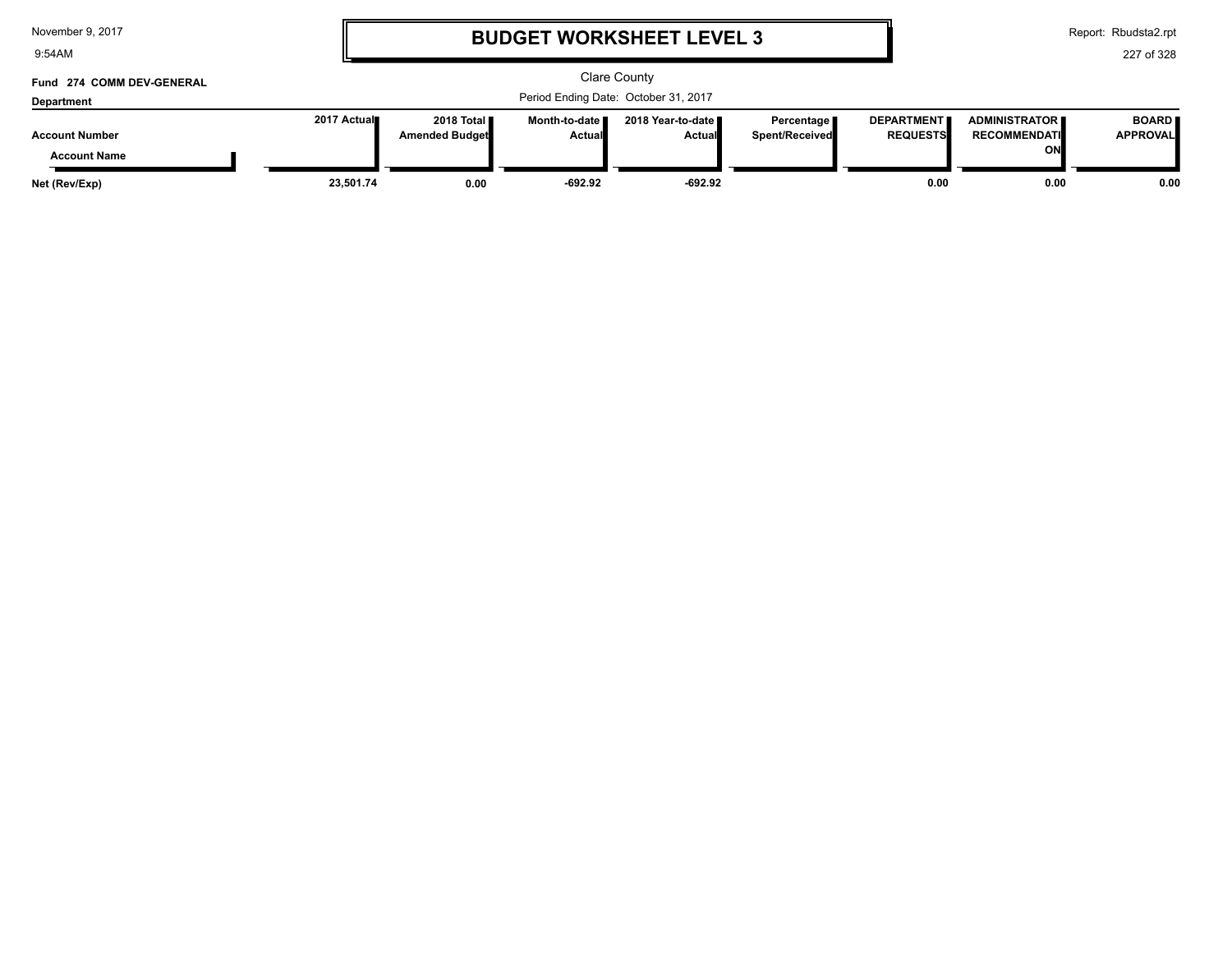| November 9, 2017 |  |  |  |
|------------------|--|--|--|
|------------------|--|--|--|

9:54AM

### **BUDGET WORKSHEET LEVEL 3**

Report: Rbudsta2.rpt

| Fund 274 COMM DEV-GENERAL<br><b>Department</b> | Clare County<br>Period Ending Date: October 31, 2017 |                                               |                                  |                               |                                       |                                      |                                                      |                                 |
|------------------------------------------------|------------------------------------------------------|-----------------------------------------------|----------------------------------|-------------------------------|---------------------------------------|--------------------------------------|------------------------------------------------------|---------------------------------|
| <b>Account Number</b>                          | 2017 Actual                                          | 2018 Total <b>II</b><br><b>Amended Budget</b> | Month-to-date ■<br><b>Actual</b> | 2018 Year-to-date ∎<br>Actual | Percentage I<br><b>Spent/Received</b> | <b>DEPARTMENT</b><br><b>REQUESTS</b> | <b>ADMINISTRATOR II</b><br><b>RECOMMENDATI</b><br>ON | <b>BOARD</b><br><b>APPROVAL</b> |
| <b>Account Name</b>                            |                                                      |                                               |                                  |                               |                                       |                                      |                                                      |                                 |
| Net (Rev/Exp)                                  | 23.501.74                                            | 0.00                                          | $-692.92$                        | $-692.92$                     |                                       | 0.00                                 | 0.00                                                 | 0.00                            |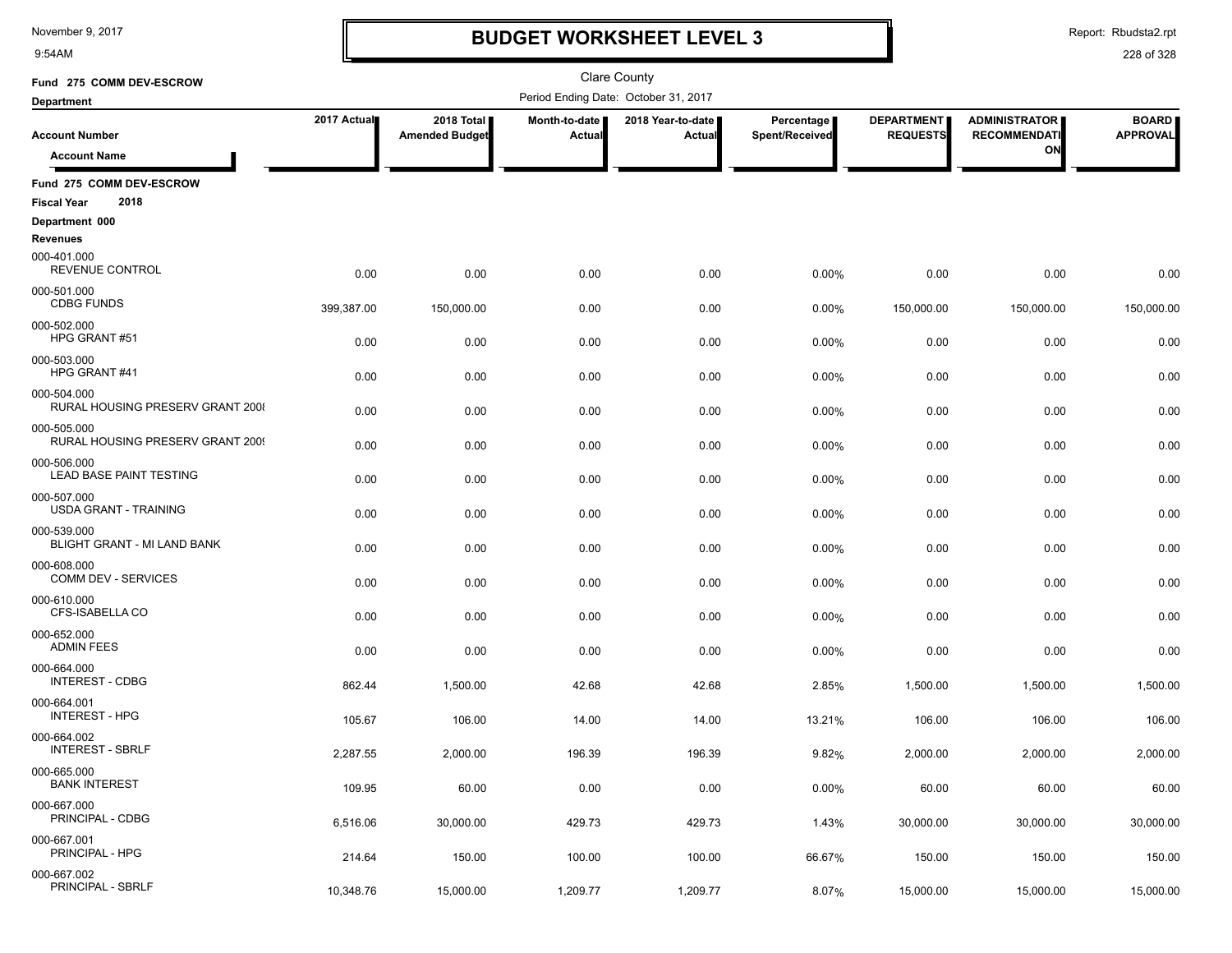9:54AM

### **BUDGET WORKSHEET LEVEL 3**

Report: Rbudsta2.rpt

| Fund 275 COMM DEV-ESCROW                               |             |                                     |                         | Clare County                         |                              |                                      |                                             |                                 |
|--------------------------------------------------------|-------------|-------------------------------------|-------------------------|--------------------------------------|------------------------------|--------------------------------------|---------------------------------------------|---------------------------------|
| <b>Department</b>                                      |             |                                     |                         | Period Ending Date: October 31, 2017 |                              |                                      |                                             |                                 |
| <b>Account Number</b>                                  | 2017 Actual | 2018 Total<br><b>Amended Budget</b> | Month-to-date<br>Actual | 2018 Year-to-date  <br>Actual        | Percentage<br>Spent/Received | <b>DEPARTMENT</b><br><b>REQUESTS</b> | <b>ADMINISTRATOR</b><br><b>RECOMMENDATI</b> | <b>BOARD</b><br><b>APPROVAL</b> |
| <b>Account Name</b>                                    |             |                                     |                         |                                      |                              |                                      | ON                                          |                                 |
| Fund 275 COMM DEV-ESCROW<br>2018                       |             |                                     |                         |                                      |                              |                                      |                                             |                                 |
| <b>Fiscal Year</b><br>Department 000                   |             |                                     |                         |                                      |                              |                                      |                                             |                                 |
| Revenues                                               |             |                                     |                         |                                      |                              |                                      |                                             |                                 |
| 000-401.000<br>REVENUE CONTROL                         | 0.00        | 0.00                                | 0.00                    | 0.00                                 | 0.00%                        | 0.00                                 | 0.00                                        | 0.00                            |
| 000-501.000<br><b>CDBG FUNDS</b>                       | 399,387.00  | 150,000.00                          | 0.00                    | 0.00                                 | 0.00%                        | 150,000.00                           | 150,000.00                                  | 150,000.00                      |
| 000-502.000<br>HPG GRANT#51                            | 0.00        | 0.00                                | 0.00                    | 0.00                                 | 0.00%                        | 0.00                                 | 0.00                                        | 0.00                            |
| 000-503.000<br>HPG GRANT#41                            | 0.00        | 0.00                                | 0.00                    | 0.00                                 | 0.00%                        | 0.00                                 | 0.00                                        | 0.00                            |
| 000-504.000<br><b>RURAL HOUSING PRESERV GRANT 2008</b> | 0.00        | 0.00                                | 0.00                    | 0.00                                 | 0.00%                        | 0.00                                 | 0.00                                        | 0.00                            |
| 000-505.000<br>RURAL HOUSING PRESERV GRANT 2009        | 0.00        | 0.00                                | 0.00                    | 0.00                                 | 0.00%                        | 0.00                                 | 0.00                                        | 0.00                            |
| 000-506.000<br><b>LEAD BASE PAINT TESTING</b>          | 0.00        | 0.00                                | 0.00                    | 0.00                                 | 0.00%                        | 0.00                                 | 0.00                                        | 0.00                            |
| 000-507.000<br><b>USDA GRANT - TRAINING</b>            | 0.00        | 0.00                                | 0.00                    | 0.00                                 | 0.00%                        | 0.00                                 | 0.00                                        | 0.00                            |
| 000-539.000<br>BLIGHT GRANT - MI LAND BANK             | 0.00        | 0.00                                | 0.00                    | 0.00                                 | 0.00%                        | 0.00                                 | 0.00                                        | 0.00                            |
| 000-608.000<br>COMM DEV - SERVICES                     | 0.00        | 0.00                                | 0.00                    | 0.00                                 | 0.00%                        | 0.00                                 | 0.00                                        | 0.00                            |
| 000-610.000<br>CFS-ISABELLA CO                         | 0.00        | 0.00                                | 0.00                    | 0.00                                 | 0.00%                        | 0.00                                 | 0.00                                        | 0.00                            |
| 000-652.000<br><b>ADMIN FEES</b>                       | 0.00        | 0.00                                | 0.00                    | 0.00                                 | 0.00%                        | 0.00                                 | 0.00                                        | 0.00                            |
| 000-664.000<br><b>INTEREST - CDBG</b>                  | 862.44      | 1,500.00                            | 42.68                   | 42.68                                | 2.85%                        | 1,500.00                             | 1,500.00                                    | 1,500.00                        |
| 000-664.001<br><b>INTEREST - HPG</b>                   | 105.67      | 106.00                              | 14.00                   | 14.00                                | 13.21%                       | 106.00                               | 106.00                                      | 106.00                          |
| 000-664.002<br><b>INTEREST - SBRLF</b>                 | 2,287.55    | 2,000.00                            | 196.39                  | 196.39                               | 9.82%                        | 2,000.00                             | 2,000.00                                    | 2,000.00                        |
| 000-665.000<br><b>BANK INTEREST</b>                    | 109.95      | 60.00                               | 0.00                    | 0.00                                 | 0.00%                        | 60.00                                | 60.00                                       | 60.00                           |
| 000-667.000<br>PRINCIPAL - CDBG                        | 6,516.06    | 30,000.00                           | 429.73                  | 429.73                               | 1.43%                        | 30,000.00                            | 30,000.00                                   | 30,000.00                       |
| 000-667.001<br>PRINCIPAL - HPG                         | 214.64      | 150.00                              | 100.00                  | 100.00                               | 66.67%                       | 150.00                               | 150.00                                      | 150.00                          |
| 000-667.002<br>PRINCIPAL - SBRLF                       | 10,348.76   | 15,000.00                           | 1,209.77                | 1,209.77                             | 8.07%                        | 15,000.00                            | 15,000.00                                   | 15,000.00                       |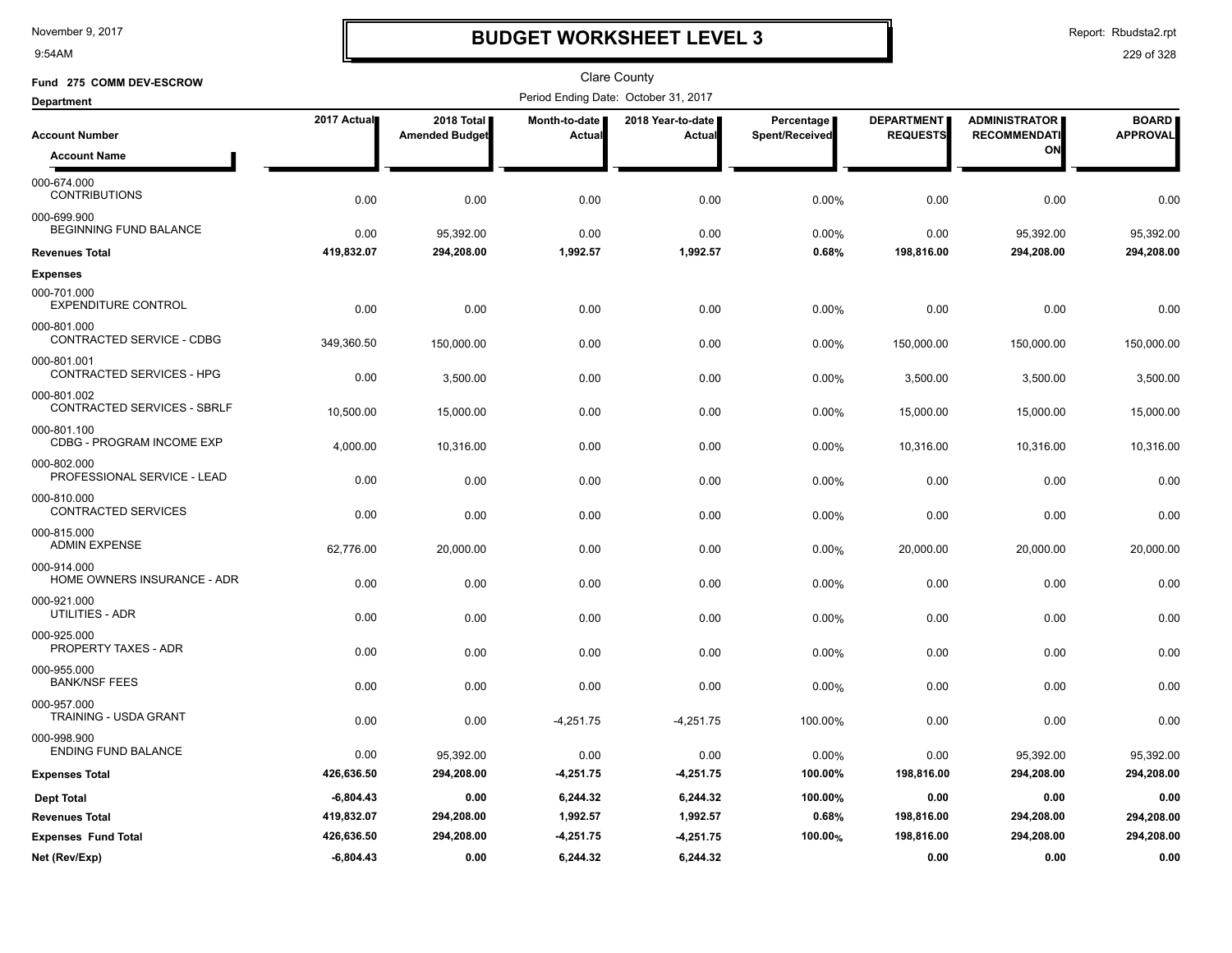9:54AM

### **BUDGET WORKSHEET LEVEL 3**

Report: Rbudsta2.rpt

| Fund 275 COMM DEV-ESCROW                     |             |                                     |                         | <b>Clare County</b>                  |                              |                                      |                                             |                                 |
|----------------------------------------------|-------------|-------------------------------------|-------------------------|--------------------------------------|------------------------------|--------------------------------------|---------------------------------------------|---------------------------------|
| <b>Department</b>                            |             |                                     |                         | Period Ending Date: October 31, 2017 |                              |                                      |                                             |                                 |
| <b>Account Number</b>                        | 2017 Actual | 2018 Total<br><b>Amended Budget</b> | Month-to-date<br>Actual | 2018 Year-to-date<br>Actual          | Percentage<br>Spent/Received | <b>DEPARTMENT</b><br><b>REQUESTS</b> | <b>ADMINISTRATOR</b><br><b>RECOMMENDATI</b> | <b>BOARD</b><br><b>APPROVAL</b> |
| <b>Account Name</b>                          |             |                                     |                         |                                      |                              |                                      | ON                                          |                                 |
| 000-674.000<br><b>CONTRIBUTIONS</b>          | 0.00        | 0.00                                | 0.00                    | 0.00                                 | 0.00%                        | 0.00                                 | 0.00                                        | 0.00                            |
| 000-699.900<br><b>BEGINNING FUND BALANCE</b> | 0.00        | 95,392.00                           | 0.00                    | 0.00                                 | 0.00%                        | 0.00                                 | 95,392.00                                   | 95,392.00                       |
| <b>Revenues Total</b>                        | 419,832.07  | 294,208.00                          | 1,992.57                | 1,992.57                             | 0.68%                        | 198,816.00                           | 294,208.00                                  | 294,208.00                      |
| <b>Expenses</b>                              |             |                                     |                         |                                      |                              |                                      |                                             |                                 |
| 000-701.000<br><b>EXPENDITURE CONTROL</b>    | 0.00        | 0.00                                | 0.00                    | 0.00                                 | 0.00%                        | 0.00                                 | 0.00                                        | 0.00                            |
| 000-801.000<br>CONTRACTED SERVICE - CDBG     | 349,360.50  | 150,000.00                          | 0.00                    | 0.00                                 | 0.00%                        | 150,000.00                           | 150,000.00                                  | 150,000.00                      |
| 000-801.001<br>CONTRACTED SERVICES - HPG     | 0.00        | 3,500.00                            | 0.00                    | 0.00                                 | 0.00%                        | 3,500.00                             | 3,500.00                                    | 3,500.00                        |
| 000-801.002<br>CONTRACTED SERVICES - SBRLF   | 10,500.00   | 15,000.00                           | 0.00                    | 0.00                                 | 0.00%                        | 15,000.00                            | 15,000.00                                   | 15,000.00                       |
| 000-801.100<br>CDBG - PROGRAM INCOME EXP     | 4,000.00    | 10,316.00                           | 0.00                    | 0.00                                 | 0.00%                        | 10,316.00                            | 10,316.00                                   | 10,316.00                       |
| 000-802.000<br>PROFESSIONAL SERVICE - LEAD   | 0.00        | 0.00                                | 0.00                    | 0.00                                 | 0.00%                        | 0.00                                 | 0.00                                        | 0.00                            |
| 000-810.000<br><b>CONTRACTED SERVICES</b>    | 0.00        | 0.00                                | 0.00                    | 0.00                                 | 0.00%                        | 0.00                                 | 0.00                                        | 0.00                            |
| 000-815.000<br><b>ADMIN EXPENSE</b>          | 62,776.00   | 20,000.00                           | 0.00                    | 0.00                                 | 0.00%                        | 20,000.00                            | 20,000.00                                   | 20,000.00                       |
| 000-914.000<br>HOME OWNERS INSURANCE - ADR   | 0.00        | 0.00                                | 0.00                    | 0.00                                 | 0.00%                        | 0.00                                 | 0.00                                        | 0.00                            |
| 000-921.000<br>UTILITIES - ADR               | 0.00        | 0.00                                | 0.00                    | 0.00                                 | 0.00%                        | 0.00                                 | 0.00                                        | 0.00                            |
| 000-925.000<br>PROPERTY TAXES - ADR          | 0.00        | 0.00                                | 0.00                    | 0.00                                 | 0.00%                        | 0.00                                 | 0.00                                        | 0.00                            |
| 000-955.000<br><b>BANK/NSF FEES</b>          | 0.00        | 0.00                                | 0.00                    | 0.00                                 | 0.00%                        | 0.00                                 | 0.00                                        | 0.00                            |
| 000-957.000<br><b>TRAINING - USDA GRANT</b>  | 0.00        | 0.00                                | $-4,251.75$             | $-4,251.75$                          | 100.00%                      | 0.00                                 | 0.00                                        | 0.00                            |
| 000-998.900<br><b>ENDING FUND BALANCE</b>    | 0.00        | 95,392.00                           | 0.00                    | 0.00                                 | 0.00%                        | 0.00                                 | 95,392.00                                   | 95,392.00                       |
| <b>Expenses Total</b>                        | 426,636.50  | 294,208.00                          | -4,251.75               | -4,251.75                            | 100.00%                      | 198,816.00                           | 294,208.00                                  | 294,208.00                      |
| <b>Dept Total</b>                            | -6,804.43   | 0.00                                | 6,244.32                | 6,244.32                             | 100.00%                      | 0.00                                 | 0.00                                        | 0.00                            |
| <b>Revenues Total</b>                        | 419,832.07  | 294,208.00                          | 1,992.57                | 1,992.57                             | 0.68%                        | 198,816.00                           | 294,208.00                                  | 294,208.00                      |
| <b>Expenses Fund Total</b>                   | 426,636.50  | 294,208.00                          | $-4,251.75$             | $-4,251.75$                          | 100.00%                      | 198,816.00                           | 294,208.00                                  | 294,208.00                      |
| Net (Rev/Exp)                                | $-6,804.43$ | 0.00                                | 6,244.32                | 6,244.32                             |                              | 0.00                                 | 0.00                                        | 0.00                            |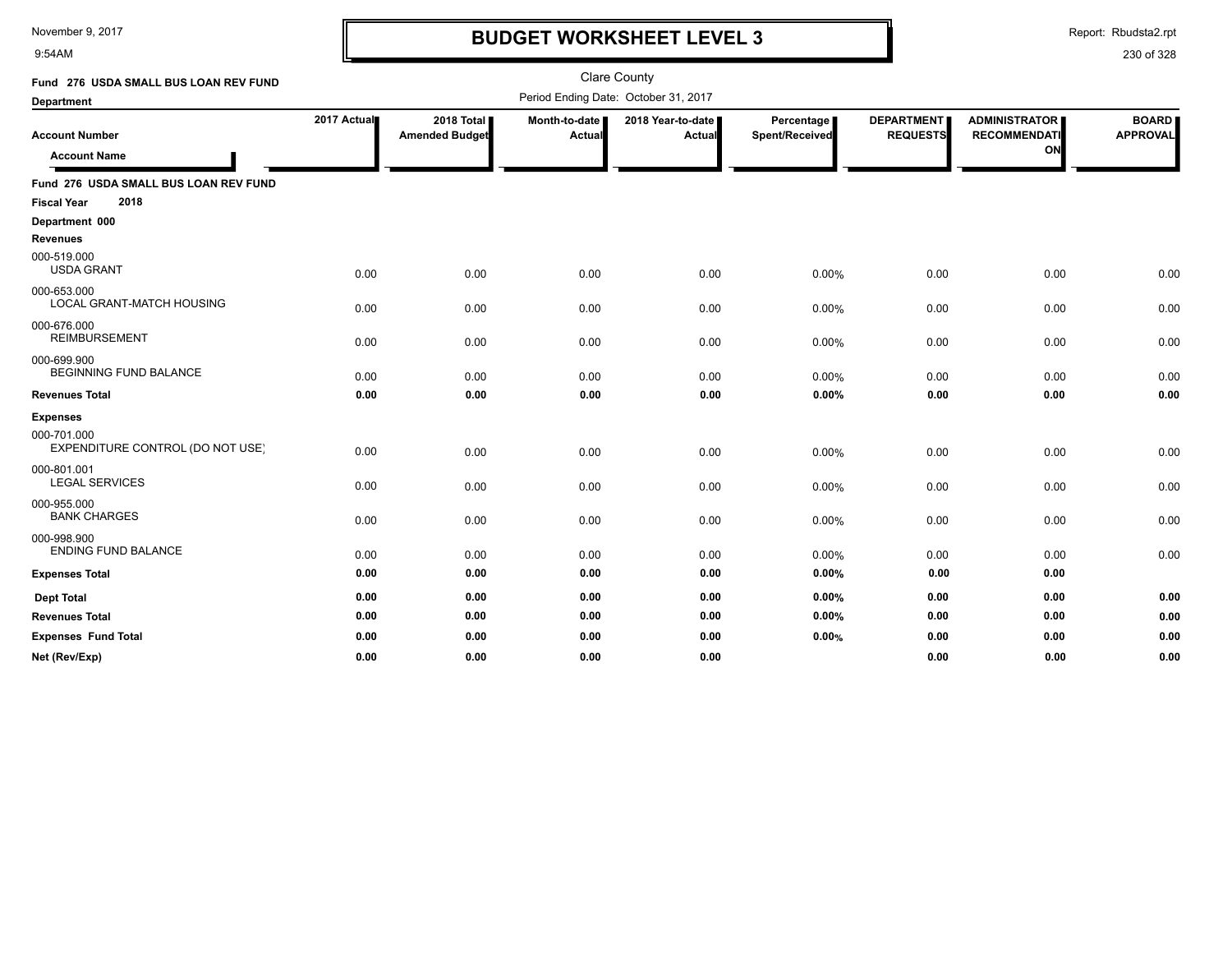9:54AM

### **BUDGET WORKSHEET LEVEL 3**

Report: Rbudsta2.rpt

| Fund 276 USDA SMALL BUS LOAN REV FUND           |             |                                     |                         | <b>Clare County</b>                  |                                     |                                      |                                                   |                                 |
|-------------------------------------------------|-------------|-------------------------------------|-------------------------|--------------------------------------|-------------------------------------|--------------------------------------|---------------------------------------------------|---------------------------------|
| <b>Department</b>                               |             |                                     |                         | Period Ending Date: October 31, 2017 |                                     |                                      |                                                   |                                 |
| <b>Account Number</b><br><b>Account Name</b>    | 2017 Actual | 2018 Total<br><b>Amended Budget</b> | Month-to-date<br>Actual | 2018 Year-to-date<br>Actual          | <b>Percentage</b><br>Spent/Received | <b>DEPARTMENT</b><br><b>REQUESTS</b> | <b>ADMINISTRATOR</b><br><b>RECOMMENDATI</b><br>ON | <b>BOARD</b><br><b>APPROVAL</b> |
| Fund 276 USDA SMALL BUS LOAN REV FUND           |             |                                     |                         |                                      |                                     |                                      |                                                   |                                 |
| 2018<br><b>Fiscal Year</b>                      |             |                                     |                         |                                      |                                     |                                      |                                                   |                                 |
| Department 000<br><b>Revenues</b>               |             |                                     |                         |                                      |                                     |                                      |                                                   |                                 |
| 000-519.000<br><b>USDA GRANT</b>                | 0.00        | 0.00                                | 0.00                    | 0.00                                 | 0.00%                               | 0.00                                 | 0.00                                              | 0.00                            |
| 000-653.000<br>LOCAL GRANT-MATCH HOUSING        | 0.00        | 0.00                                | 0.00                    | 0.00                                 | 0.00%                               | 0.00                                 | 0.00                                              | 0.00                            |
| 000-676.000<br><b>REIMBURSEMENT</b>             | 0.00        | 0.00                                | 0.00                    | 0.00                                 | 0.00%                               | 0.00                                 | 0.00                                              | 0.00                            |
| 000-699.900<br><b>BEGINNING FUND BALANCE</b>    | 0.00        | 0.00                                | 0.00                    | 0.00                                 | 0.00%                               | 0.00                                 | 0.00                                              | 0.00                            |
| <b>Revenues Total</b>                           | 0.00        | 0.00                                | 0.00                    | 0.00                                 | 0.00%                               | 0.00                                 | 0.00                                              | 0.00                            |
| <b>Expenses</b>                                 |             |                                     |                         |                                      |                                     |                                      |                                                   |                                 |
| 000-701.000<br>EXPENDITURE CONTROL (DO NOT USE) | 0.00        | 0.00                                | 0.00                    | 0.00                                 | 0.00%                               | 0.00                                 | 0.00                                              | 0.00                            |
| 000-801.001<br><b>LEGAL SERVICES</b>            | 0.00        | 0.00                                | 0.00                    | 0.00                                 | 0.00%                               | 0.00                                 | 0.00                                              | 0.00                            |
| 000-955.000<br><b>BANK CHARGES</b>              | 0.00        | 0.00                                | 0.00                    | 0.00                                 | 0.00%                               | 0.00                                 | 0.00                                              | 0.00                            |
| 000-998.900<br><b>ENDING FUND BALANCE</b>       | 0.00        | 0.00                                | 0.00                    | 0.00                                 | 0.00%                               | 0.00                                 | 0.00                                              | 0.00                            |
| <b>Expenses Total</b>                           | 0.00        | 0.00                                | 0.00                    | 0.00                                 | 0.00%                               | 0.00                                 | 0.00                                              |                                 |
| <b>Dept Total</b>                               | 0.00        | 0.00                                | 0.00                    | 0.00                                 | 0.00%                               | 0.00                                 | 0.00                                              | 0.00                            |
| <b>Revenues Total</b>                           | 0.00        | 0.00                                | 0.00                    | 0.00                                 | 0.00%                               | 0.00                                 | 0.00                                              | 0.00                            |
| <b>Expenses Fund Total</b>                      | 0.00        | 0.00                                | 0.00                    | 0.00                                 | 0.00%                               | 0.00                                 | 0.00                                              | 0.00                            |
| Net (Rev/Exp)                                   | 0.00        | 0.00                                | 0.00                    | 0.00                                 |                                     | 0.00                                 | 0.00                                              | 0.00                            |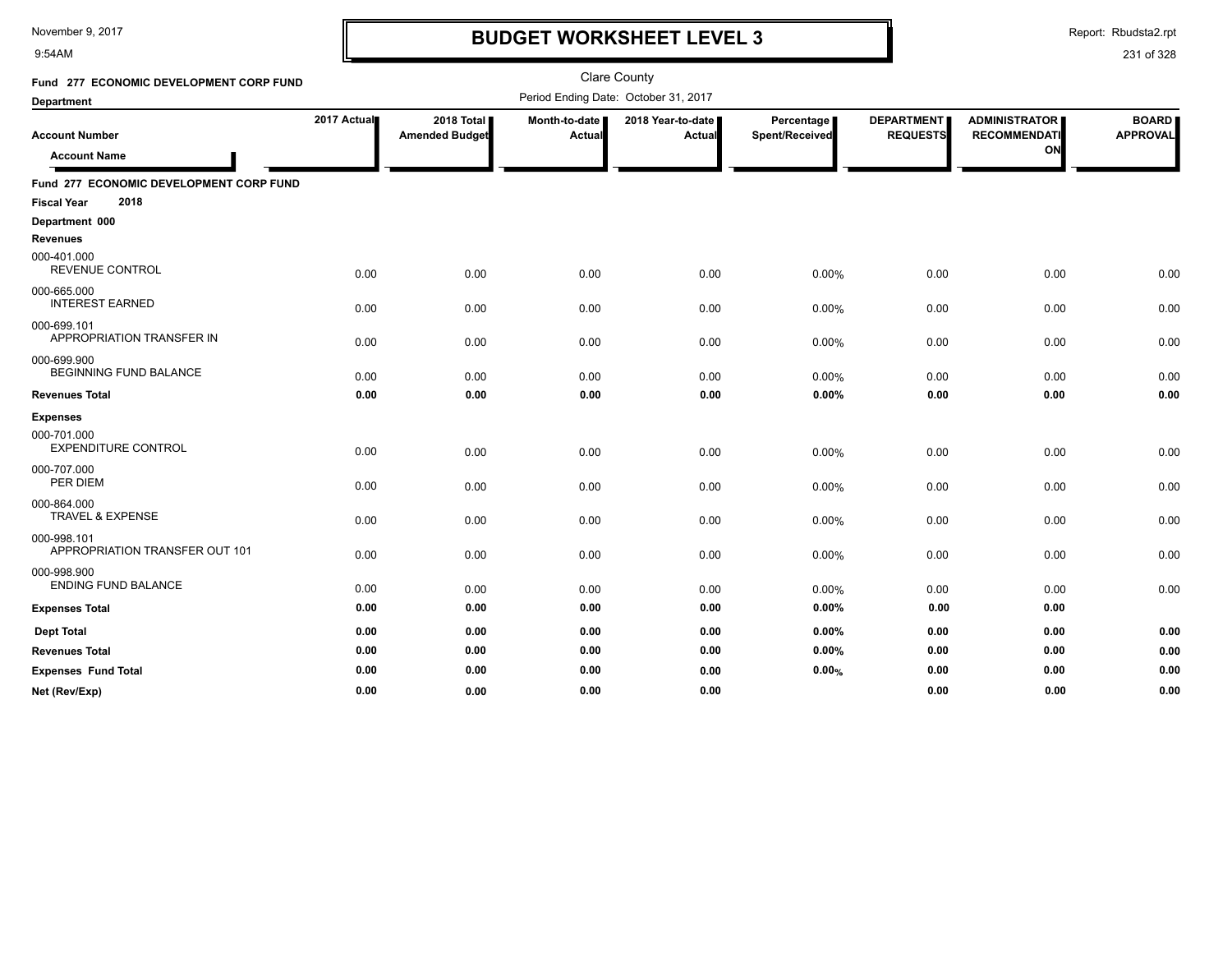9:54AM

## **BUDGET WORKSHEET LEVEL 3**

Report: Rbudsta2.rpt

| Fund 277 ECONOMIC DEVELOPMENT CORP FUND       |             |                                     |                         | <b>Clare County</b>                  |                              |                                      |                                                   |                                 |
|-----------------------------------------------|-------------|-------------------------------------|-------------------------|--------------------------------------|------------------------------|--------------------------------------|---------------------------------------------------|---------------------------------|
| <b>Department</b>                             |             |                                     |                         | Period Ending Date: October 31, 2017 |                              |                                      |                                                   |                                 |
| <b>Account Number</b><br><b>Account Name</b>  | 2017 Actual | 2018 Total<br><b>Amended Budget</b> | Month-to-date<br>Actual | 2018 Year-to-date<br><b>Actual</b>   | Percentage<br>Spent/Received | <b>DEPARTMENT</b><br><b>REQUESTS</b> | <b>ADMINISTRATOR</b><br><b>RECOMMENDATI</b><br>ON | <b>BOARD</b><br><b>APPROVAL</b> |
| Fund 277 ECONOMIC DEVELOPMENT CORP FUND       |             |                                     |                         |                                      |                              |                                      |                                                   |                                 |
| 2018<br><b>Fiscal Year</b>                    |             |                                     |                         |                                      |                              |                                      |                                                   |                                 |
| Department 000                                |             |                                     |                         |                                      |                              |                                      |                                                   |                                 |
| <b>Revenues</b>                               |             |                                     |                         |                                      |                              |                                      |                                                   |                                 |
| 000-401.000<br><b>REVENUE CONTROL</b>         | 0.00        | 0.00                                | 0.00                    | 0.00                                 | 0.00%                        | 0.00                                 | 0.00                                              | 0.00                            |
| 000-665.000<br><b>INTEREST EARNED</b>         | 0.00        | 0.00                                | 0.00                    | 0.00                                 | 0.00%                        | 0.00                                 | 0.00                                              | 0.00                            |
| 000-699.101<br>APPROPRIATION TRANSFER IN      | 0.00        | 0.00                                | 0.00                    | 0.00                                 | 0.00%                        | 0.00                                 | 0.00                                              | 0.00                            |
| 000-699.900<br><b>BEGINNING FUND BALANCE</b>  | 0.00        | 0.00                                | 0.00                    | 0.00                                 | 0.00%                        | 0.00                                 | 0.00                                              | 0.00                            |
| <b>Revenues Total</b>                         | 0.00        | 0.00                                | 0.00                    | 0.00                                 | 0.00%                        | 0.00                                 | 0.00                                              | 0.00                            |
| <b>Expenses</b>                               |             |                                     |                         |                                      |                              |                                      |                                                   |                                 |
| 000-701.000<br><b>EXPENDITURE CONTROL</b>     | 0.00        | 0.00                                | 0.00                    | 0.00                                 | 0.00%                        | 0.00                                 | 0.00                                              | 0.00                            |
| 000-707.000<br>PER DIEM                       | 0.00        | 0.00                                | 0.00                    | 0.00                                 | 0.00%                        | 0.00                                 | 0.00                                              | 0.00                            |
| 000-864.000<br><b>TRAVEL &amp; EXPENSE</b>    | 0.00        | 0.00                                | 0.00                    | 0.00                                 | 0.00%                        | 0.00                                 | 0.00                                              | 0.00                            |
| 000-998.101<br>APPROPRIATION TRANSFER OUT 101 | 0.00        | 0.00                                | 0.00                    | 0.00                                 | 0.00%                        | 0.00                                 | 0.00                                              | 0.00                            |
| 000-998.900<br><b>ENDING FUND BALANCE</b>     | 0.00        | 0.00                                | 0.00                    | 0.00                                 | 0.00%                        | 0.00                                 | 0.00                                              | 0.00                            |
| <b>Expenses Total</b>                         | 0.00        | 0.00                                | 0.00                    | 0.00                                 | 0.00%                        | 0.00                                 | 0.00                                              |                                 |
| <b>Dept Total</b>                             | 0.00        | 0.00                                | 0.00                    | 0.00                                 | 0.00%                        | 0.00                                 | 0.00                                              | 0.00                            |
| <b>Revenues Total</b>                         | 0.00        | 0.00                                | 0.00                    | 0.00                                 | 0.00%                        | 0.00                                 | 0.00                                              | 0.00                            |
| <b>Expenses Fund Total</b>                    | 0.00        | 0.00                                | 0.00                    | 0.00                                 | 0.00%                        | 0.00                                 | 0.00                                              | 0.00                            |
| Net (Rev/Exp)                                 | 0.00        | 0.00                                | 0.00                    | 0.00                                 |                              | 0.00                                 | 0.00                                              | 0.00                            |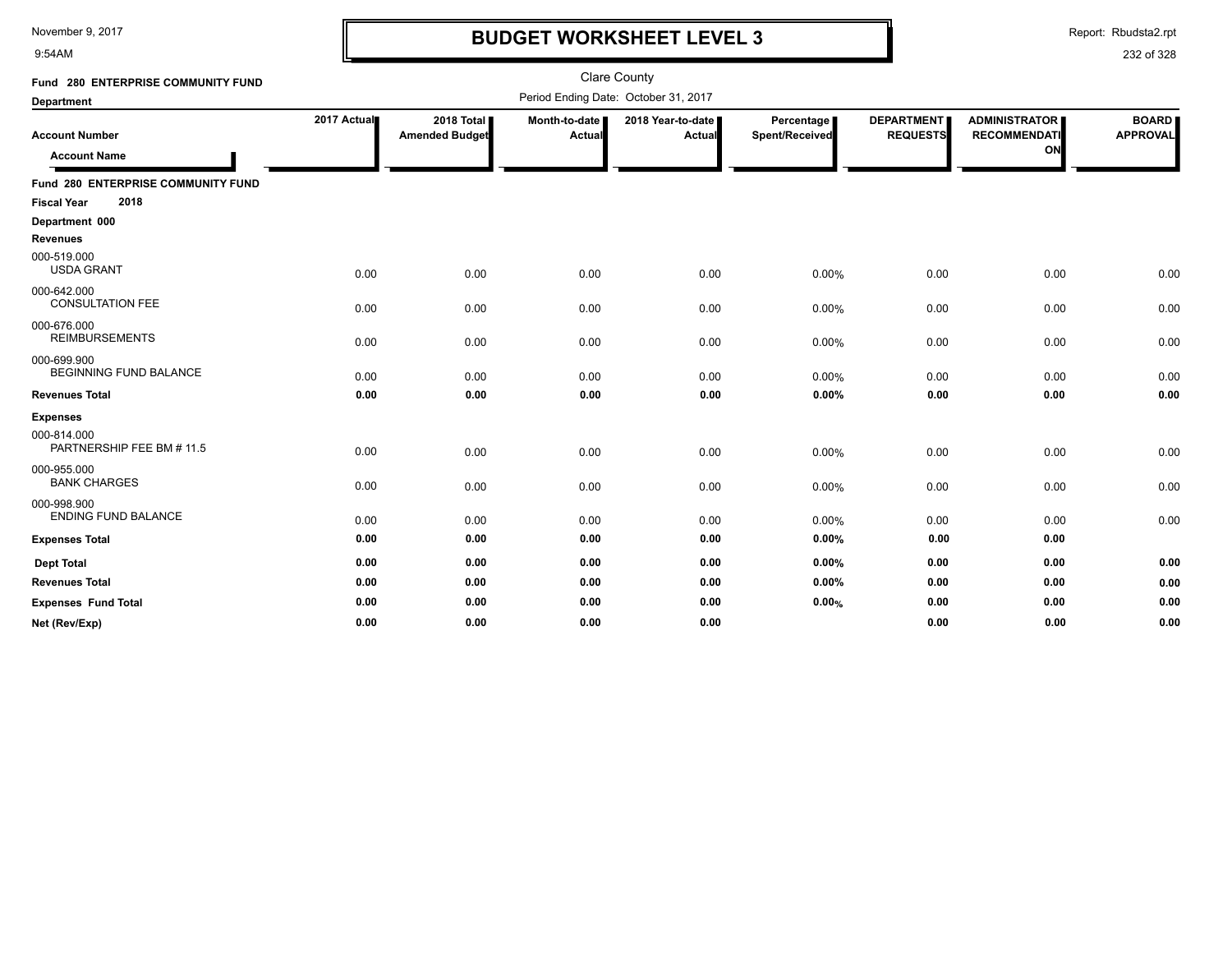9:54AM

### **BUDGET WORKSHEET LEVEL 3**

Report: Rbudsta2.rpt

| Fund 280 ENTERPRISE COMMUNITY FUND           |             |                                     |                         | <b>Clare County</b>                  |                              |                                      |                                                   |                                 |
|----------------------------------------------|-------------|-------------------------------------|-------------------------|--------------------------------------|------------------------------|--------------------------------------|---------------------------------------------------|---------------------------------|
| Department                                   |             |                                     |                         | Period Ending Date: October 31, 2017 |                              |                                      |                                                   |                                 |
| <b>Account Number</b><br><b>Account Name</b> | 2017 Actual | 2018 Total<br><b>Amended Budget</b> | Month-to-date<br>Actual | 2018 Year-to-date<br>Actual          | Percentage<br>Spent/Received | <b>DEPARTMENT</b><br><b>REQUESTS</b> | <b>ADMINISTRATOR</b><br><b>RECOMMENDATI</b><br>ON | <b>BOARD</b><br><b>APPROVAL</b> |
| Fund 280 ENTERPRISE COMMUNITY FUND           |             |                                     |                         |                                      |                              |                                      |                                                   |                                 |
| 2018<br><b>Fiscal Year</b>                   |             |                                     |                         |                                      |                              |                                      |                                                   |                                 |
| Department 000                               |             |                                     |                         |                                      |                              |                                      |                                                   |                                 |
| <b>Revenues</b>                              |             |                                     |                         |                                      |                              |                                      |                                                   |                                 |
| 000-519.000<br><b>USDA GRANT</b>             | 0.00        | 0.00                                | 0.00                    | 0.00                                 | 0.00%                        | 0.00                                 | 0.00                                              | 0.00                            |
| 000-642.000<br><b>CONSULTATION FEE</b>       | 0.00        | 0.00                                | 0.00                    | 0.00                                 | 0.00%                        | 0.00                                 | 0.00                                              | 0.00                            |
| 000-676.000<br><b>REIMBURSEMENTS</b>         | 0.00        | 0.00                                | 0.00                    | 0.00                                 | 0.00%                        | 0.00                                 | 0.00                                              | 0.00                            |
| 000-699.900<br><b>BEGINNING FUND BALANCE</b> | 0.00        | 0.00                                | 0.00                    | 0.00                                 | 0.00%                        | 0.00                                 | 0.00                                              | 0.00                            |
| <b>Revenues Total</b>                        | 0.00        | 0.00                                | 0.00                    | 0.00                                 | 0.00%                        | 0.00                                 | 0.00                                              | 0.00                            |
| <b>Expenses</b>                              |             |                                     |                         |                                      |                              |                                      |                                                   |                                 |
| 000-814.000<br>PARTNERSHIP FEE BM # 11.5     | 0.00        | 0.00                                | 0.00                    | 0.00                                 | 0.00%                        | 0.00                                 | 0.00                                              | 0.00                            |
| 000-955.000<br><b>BANK CHARGES</b>           | 0.00        | 0.00                                | 0.00                    | 0.00                                 | 0.00%                        | 0.00                                 | 0.00                                              | 0.00                            |
| 000-998.900<br><b>ENDING FUND BALANCE</b>    | 0.00        | 0.00                                | 0.00                    | 0.00                                 | 0.00%                        | 0.00                                 | 0.00                                              | 0.00                            |
| <b>Expenses Total</b>                        | 0.00        | 0.00                                | 0.00                    | 0.00                                 | $0.00\%$                     | 0.00                                 | 0.00                                              |                                 |
| <b>Dept Total</b>                            | 0.00        | 0.00                                | 0.00                    | 0.00                                 | $0.00\%$                     | 0.00                                 | 0.00                                              | 0.00                            |
| <b>Revenues Total</b>                        | 0.00        | 0.00                                | 0.00                    | 0.00                                 | $0.00\%$                     | 0.00                                 | 0.00                                              | 0.00                            |
| <b>Expenses Fund Total</b>                   | 0.00        | 0.00                                | 0.00                    | 0.00                                 | 0.00%                        | 0.00                                 | 0.00                                              | 0.00                            |
| Net (Rev/Exp)                                | 0.00        | 0.00                                | 0.00                    | 0.00                                 |                              | 0.00                                 | 0.00                                              | 0.00                            |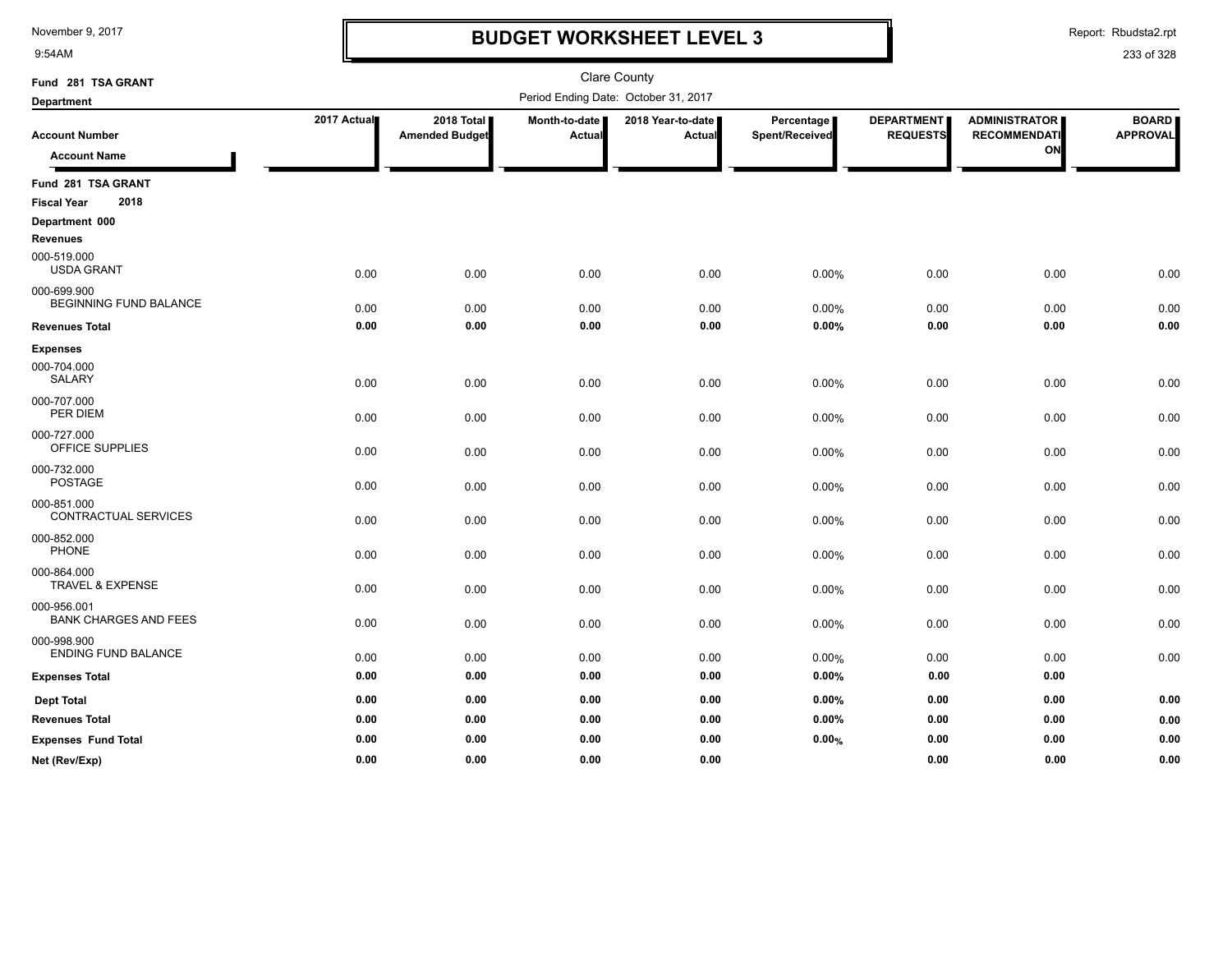9:54AM

### **BUDGET WORKSHEET LEVEL 3**

Report: Rbudsta2.rpt

| Fund 281 TSA GRANT                          |             |                       |               | <b>Clare County</b>                  |                |                   |                      |                 |
|---------------------------------------------|-------------|-----------------------|---------------|--------------------------------------|----------------|-------------------|----------------------|-----------------|
| <b>Department</b>                           |             |                       |               | Period Ending Date: October 31, 2017 |                |                   |                      |                 |
|                                             | 2017 Actual | 2018 Total            | Month-to-date | 2018 Year-to-date                    | Percentage     | <b>DEPARTMENT</b> | <b>ADMINISTRATOR</b> | <b>BOARD</b>    |
| <b>Account Number</b>                       |             | <b>Amended Budget</b> | Actual        | Actual                               | Spent/Received | <b>REQUESTS</b>   | <b>RECOMMENDATI</b>  | <b>APPROVAL</b> |
| <b>Account Name</b>                         |             |                       |               |                                      |                |                   | ON                   |                 |
| Fund 281 TSA GRANT                          |             |                       |               |                                      |                |                   |                      |                 |
| 2018<br><b>Fiscal Year</b>                  |             |                       |               |                                      |                |                   |                      |                 |
| Department 000<br><b>Revenues</b>           |             |                       |               |                                      |                |                   |                      |                 |
| 000-519.000<br><b>USDA GRANT</b>            | 0.00        | 0.00                  | 0.00          | 0.00                                 | 0.00%          | 0.00              | 0.00                 | 0.00            |
| 000-699.900                                 |             |                       |               |                                      |                |                   |                      |                 |
| BEGINNING FUND BALANCE                      | 0.00        | 0.00                  | 0.00          | 0.00                                 | 0.00%          | 0.00              | 0.00                 | 0.00            |
| <b>Revenues Total</b>                       | 0.00        | 0.00                  | 0.00          | 0.00                                 | 0.00%          | 0.00              | 0.00                 | 0.00            |
| <b>Expenses</b>                             |             |                       |               |                                      |                |                   |                      |                 |
| 000-704.000<br><b>SALARY</b>                | 0.00        | 0.00                  | 0.00          | 0.00                                 | 0.00%          | 0.00              | 0.00                 | 0.00            |
| 000-707.000<br>PER DIEM                     | 0.00        | 0.00                  | 0.00          | 0.00                                 | 0.00%          | 0.00              | 0.00                 | 0.00            |
| 000-727.000<br>OFFICE SUPPLIES              | 0.00        | 0.00                  | 0.00          | 0.00                                 | 0.00%          | 0.00              | 0.00                 | 0.00            |
| 000-732.000<br><b>POSTAGE</b>               | 0.00        | 0.00                  | 0.00          | 0.00                                 | 0.00%          | 0.00              | 0.00                 | 0.00            |
| 000-851.000<br>CONTRACTUAL SERVICES         | 0.00        | 0.00                  | 0.00          | 0.00                                 | 0.00%          | 0.00              | 0.00                 | 0.00            |
| 000-852.000<br><b>PHONE</b>                 | 0.00        | 0.00                  | 0.00          | 0.00                                 | 0.00%          | 0.00              | 0.00                 | 0.00            |
| 000-864.000<br><b>TRAVEL &amp; EXPENSE</b>  | 0.00        | 0.00                  | 0.00          | 0.00                                 | 0.00%          | 0.00              | 0.00                 | 0.00            |
| 000-956.001<br><b>BANK CHARGES AND FEES</b> | 0.00        | 0.00                  | 0.00          | 0.00                                 | 0.00%          | 0.00              | 0.00                 | 0.00            |
| 000-998.900<br><b>ENDING FUND BALANCE</b>   | 0.00        | 0.00                  | 0.00          | 0.00                                 | 0.00%          | 0.00              | 0.00                 | 0.00            |
| <b>Expenses Total</b>                       | 0.00        | 0.00                  | 0.00          | 0.00                                 | $0.00\%$       | 0.00              | 0.00                 |                 |
| <b>Dept Total</b>                           | 0.00        | 0.00                  | 0.00          | 0.00                                 | $0.00\%$       | 0.00              | 0.00                 | 0.00            |
| <b>Revenues Total</b>                       | 0.00        | 0.00                  | 0.00          | 0.00                                 | $0.00\%$       | 0.00              | 0.00                 | 0.00            |
| <b>Expenses Fund Total</b>                  | 0.00        | 0.00                  | 0.00          | 0.00                                 | 0.00%          | 0.00              | 0.00                 | 0.00            |
| Net (Rev/Exp)                               | 0.00        | 0.00                  | 0.00          | 0.00                                 |                | 0.00              | 0.00                 | 0.00            |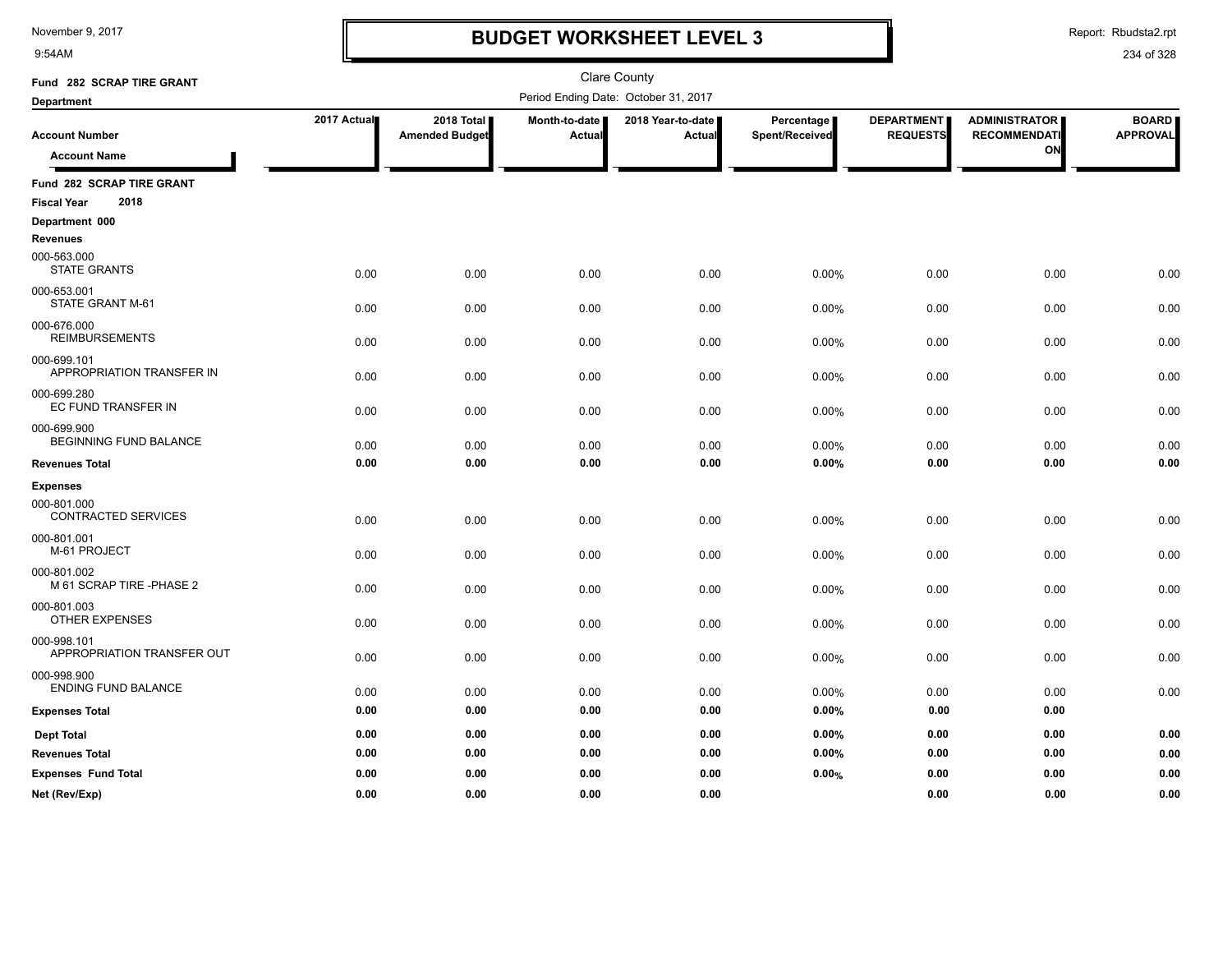9:54AM

### **BUDGET WORKSHEET LEVEL 3**

Report: Rbudsta2.rpt

| Fund 282 SCRAP TIRE GRANT                 |             |                       |               | <b>Clare County</b>                  |                |                   |                      |                 |
|-------------------------------------------|-------------|-----------------------|---------------|--------------------------------------|----------------|-------------------|----------------------|-----------------|
| <b>Department</b>                         |             |                       |               | Period Ending Date: October 31, 2017 |                |                   |                      |                 |
|                                           | 2017 Actual | 2018 Total            | Month-to-date | 2018 Year-to-date                    | Percentage     | <b>DEPARTMENT</b> | <b>ADMINISTRATOR</b> | <b>BOARD</b>    |
| <b>Account Number</b>                     |             | <b>Amended Budget</b> | Actual        | Actual                               | Spent/Received | <b>REQUESTS</b>   | <b>RECOMMENDATI</b>  | <b>APPROVAL</b> |
| <b>Account Name</b>                       |             |                       |               |                                      |                |                   | ON                   |                 |
| Fund 282 SCRAP TIRE GRANT                 |             |                       |               |                                      |                |                   |                      |                 |
| 2018<br><b>Fiscal Year</b>                |             |                       |               |                                      |                |                   |                      |                 |
| Department 000                            |             |                       |               |                                      |                |                   |                      |                 |
| <b>Revenues</b>                           |             |                       |               |                                      |                |                   |                      |                 |
| 000-563.000<br><b>STATE GRANTS</b>        | 0.00        | 0.00                  | 0.00          | 0.00                                 | 0.00%          | 0.00              | 0.00                 | 0.00            |
| 000-653.001<br>STATE GRANT M-61           | 0.00        | 0.00                  | 0.00          | 0.00                                 | 0.00%          | 0.00              | 0.00                 | 0.00            |
| 000-676.000                               |             |                       |               |                                      |                |                   |                      |                 |
| <b>REIMBURSEMENTS</b>                     | 0.00        | 0.00                  | 0.00          | 0.00                                 | 0.00%          | 0.00              | 0.00                 | 0.00            |
| 000-699.101<br>APPROPRIATION TRANSFER IN  | 0.00        | 0.00                  | 0.00          | 0.00                                 | 0.00%          | 0.00              | 0.00                 | 0.00            |
| 000-699.280<br>EC FUND TRANSFER IN        | 0.00        | 0.00                  | 0.00          | 0.00                                 | 0.00%          | 0.00              | 0.00                 | 0.00            |
| 000-699.900                               |             |                       |               |                                      |                |                   |                      |                 |
| BEGINNING FUND BALANCE                    | 0.00        | 0.00                  | 0.00          | 0.00                                 | 0.00%          | 0.00              | 0.00                 | 0.00            |
| <b>Revenues Total</b>                     | 0.00        | 0.00                  | 0.00          | 0.00                                 | 0.00%          | 0.00              | 0.00                 | 0.00            |
| <b>Expenses</b>                           |             |                       |               |                                      |                |                   |                      |                 |
| 000-801.000<br>CONTRACTED SERVICES        | 0.00        | 0.00                  | 0.00          | 0.00                                 | 0.00%          | 0.00              | 0.00                 | 0.00            |
| 000-801.001<br>M-61 PROJECT               | 0.00        | 0.00                  | 0.00          | 0.00                                 | 0.00%          | 0.00              | 0.00                 | 0.00            |
| 000-801.002                               |             |                       |               |                                      |                |                   |                      |                 |
| M 61 SCRAP TIRE -PHASE 2                  | 0.00        | 0.00                  | 0.00          | 0.00                                 | 0.00%          | 0.00              | 0.00                 | 0.00            |
| 000-801.003<br>OTHER EXPENSES             | 0.00        | 0.00                  | 0.00          | 0.00                                 | 0.00%          | 0.00              | 0.00                 | 0.00            |
| 000-998.101<br>APPROPRIATION TRANSFER OUT | 0.00        | 0.00                  | 0.00          | 0.00                                 | 0.00%          | 0.00              | 0.00                 | 0.00            |
| 000-998.900                               |             |                       |               |                                      |                |                   |                      |                 |
| <b>ENDING FUND BALANCE</b>                | 0.00        | 0.00                  | 0.00          | 0.00                                 | 0.00%          | 0.00              | 0.00                 | 0.00            |
| <b>Expenses Total</b>                     | 0.00        | 0.00                  | 0.00          | 0.00                                 | 0.00%          | 0.00              | 0.00                 |                 |
| <b>Dept Total</b>                         | 0.00        | 0.00                  | 0.00          | 0.00                                 | 0.00%          | 0.00              | 0.00                 | 0.00            |
| <b>Revenues Total</b>                     | 0.00        | 0.00                  | 0.00          | 0.00                                 | 0.00%          | 0.00              | 0.00                 | 0.00            |
| <b>Expenses Fund Total</b>                | 0.00        | 0.00                  | 0.00          | 0.00                                 | 0.00%          | 0.00              | 0.00                 | 0.00            |
| Net (Rev/Exp)                             | 0.00        | 0.00                  | 0.00          | 0.00                                 |                | 0.00              | 0.00                 | 0.00            |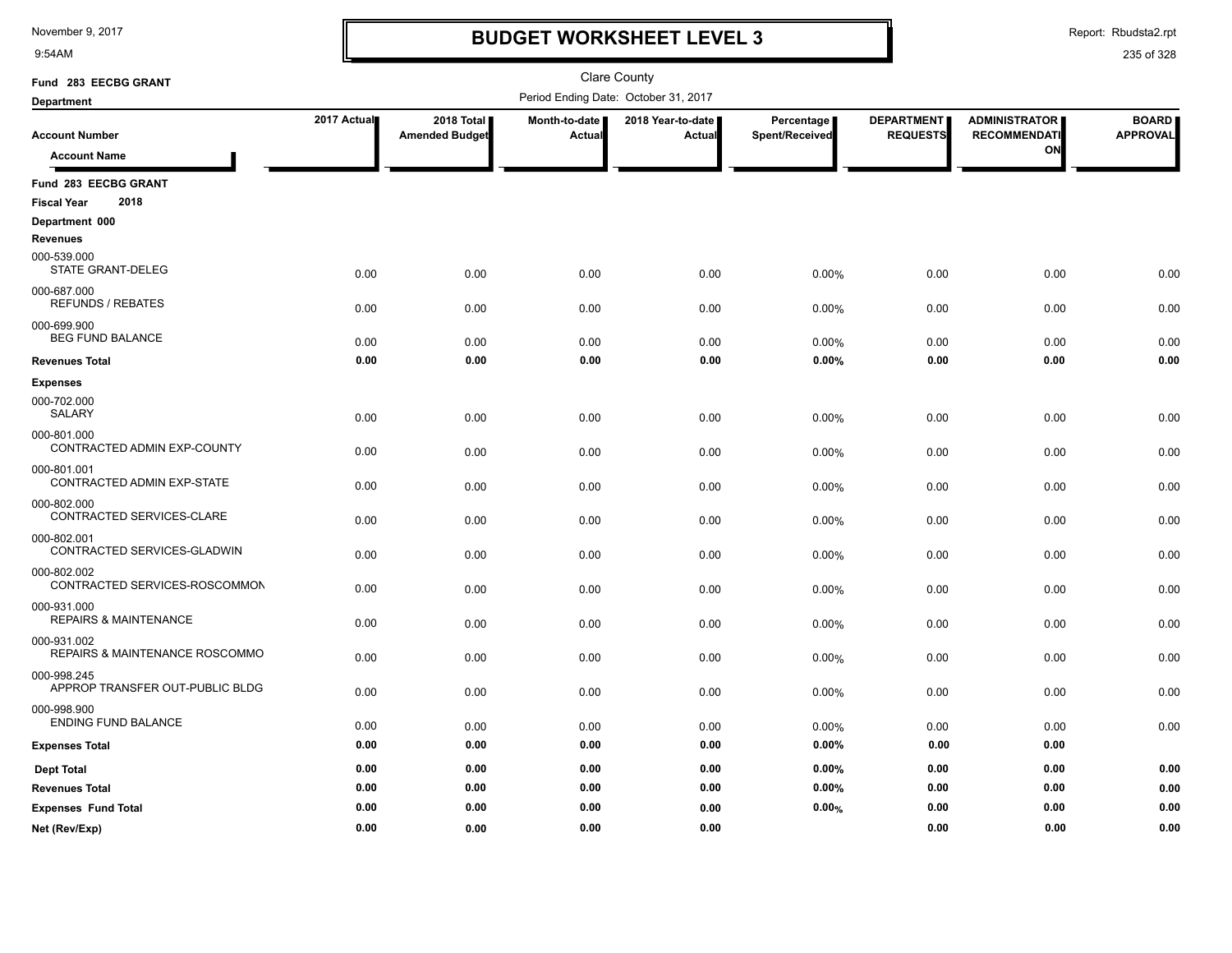9:54AM

### **BUDGET WORKSHEET LEVEL 3**

Report: Rbudsta2.rpt

| Fund 283 EECBG GRANT                            |             |                       |               | Clare County                         |                |                   |                      |                 |
|-------------------------------------------------|-------------|-----------------------|---------------|--------------------------------------|----------------|-------------------|----------------------|-----------------|
| Department                                      |             |                       |               | Period Ending Date: October 31, 2017 |                |                   |                      |                 |
|                                                 | 2017 Actual | 2018 Total            | Month-to-date | 2018 Year-to-date                    | Percentage     | <b>DEPARTMENT</b> | <b>ADMINISTRATOR</b> | <b>BOARD</b>    |
| <b>Account Number</b>                           |             | <b>Amended Budget</b> | Actual        | Actual                               | Spent/Received | <b>REQUESTS</b>   | <b>RECOMMENDATI</b>  | <b>APPROVAL</b> |
| <b>Account Name</b>                             |             |                       |               |                                      |                |                   | ON                   |                 |
| Fund 283 EECBG GRANT                            |             |                       |               |                                      |                |                   |                      |                 |
| 2018<br><b>Fiscal Year</b>                      |             |                       |               |                                      |                |                   |                      |                 |
| Department 000                                  |             |                       |               |                                      |                |                   |                      |                 |
| <b>Revenues</b>                                 |             |                       |               |                                      |                |                   |                      |                 |
| 000-539.000<br>STATE GRANT-DELEG                | 0.00        | 0.00                  | 0.00          | 0.00                                 | 0.00%          | 0.00              | 0.00                 | 0.00            |
| 000-687.000                                     |             |                       |               |                                      |                |                   |                      |                 |
| <b>REFUNDS / REBATES</b>                        | 0.00        | 0.00                  | 0.00          | 0.00                                 | 0.00%          | 0.00              | 0.00                 | 0.00            |
| 000-699.900                                     |             |                       |               |                                      |                |                   |                      |                 |
| <b>BEG FUND BALANCE</b>                         | 0.00        | 0.00                  | 0.00          | 0.00                                 | 0.00%          | 0.00              | 0.00                 | 0.00            |
| <b>Revenues Total</b>                           | 0.00        | 0.00                  | 0.00          | 0.00                                 | 0.00%          | 0.00              | 0.00                 | 0.00            |
| <b>Expenses</b>                                 |             |                       |               |                                      |                |                   |                      |                 |
| 000-702.000<br>SALARY                           | 0.00        | 0.00                  | 0.00          | 0.00                                 | 0.00%          | 0.00              | 0.00                 | 0.00            |
| 000-801.000                                     |             |                       |               |                                      |                |                   |                      |                 |
| CONTRACTED ADMIN EXP-COUNTY                     | 0.00        | 0.00                  | 0.00          | 0.00                                 | 0.00%          | 0.00              | 0.00                 | 0.00            |
| 000-801.001<br>CONTRACTED ADMIN EXP-STATE       | 0.00        | 0.00                  | 0.00          | 0.00                                 | 0.00%          | 0.00              | 0.00                 | 0.00            |
| 000-802.000                                     |             |                       |               |                                      |                |                   |                      |                 |
| CONTRACTED SERVICES-CLARE                       | 0.00        | 0.00                  | 0.00          | 0.00                                 | 0.00%          | 0.00              | 0.00                 | 0.00            |
| 000-802.001                                     |             |                       |               |                                      |                |                   |                      |                 |
| CONTRACTED SERVICES-GLADWIN                     | 0.00        | 0.00                  | 0.00          | 0.00                                 | 0.00%          | 0.00              | 0.00                 | 0.00            |
| 000-802.002<br>CONTRACTED SERVICES-ROSCOMMON    |             |                       |               |                                      |                |                   |                      |                 |
|                                                 | 0.00        | 0.00                  | 0.00          | 0.00                                 | 0.00%          | 0.00              | 0.00                 | 0.00            |
| 000-931.000<br><b>REPAIRS &amp; MAINTENANCE</b> | 0.00        | 0.00                  | 0.00          | 0.00                                 | 0.00%          | 0.00              | 0.00                 | 0.00            |
| 000-931.002                                     |             |                       |               |                                      |                |                   |                      |                 |
| REPAIRS & MAINTENANCE ROSCOMMO                  | 0.00        | 0.00                  | 0.00          | 0.00                                 | 0.00%          | 0.00              | 0.00                 | 0.00            |
| 000-998.245                                     |             |                       |               |                                      |                |                   |                      |                 |
| APPROP TRANSFER OUT-PUBLIC BLDG                 | 0.00        | 0.00                  | 0.00          | 0.00                                 | 0.00%          | 0.00              | 0.00                 | 0.00            |
| 000-998.900                                     |             |                       |               |                                      |                |                   |                      |                 |
| <b>ENDING FUND BALANCE</b>                      | 0.00        | 0.00                  | 0.00          | 0.00                                 | 0.00%          | 0.00              | 0.00                 | 0.00            |
| <b>Expenses Total</b>                           | 0.00        | 0.00                  | 0.00          | 0.00                                 | 0.00%          | 0.00              | 0.00                 |                 |
| <b>Dept Total</b>                               | 0.00        | 0.00                  | 0.00          | 0.00                                 | 0.00%          | 0.00              | 0.00                 | 0.00            |
| <b>Revenues Total</b>                           | 0.00        | 0.00                  | 0.00          | 0.00                                 | 0.00%          | 0.00              | 0.00                 | 0.00            |
| <b>Expenses Fund Total</b>                      | 0.00        | 0.00                  | 0.00          | 0.00                                 | 0.00%          | 0.00              | 0.00                 | 0.00            |
| Net (Rev/Exp)                                   | 0.00        | 0.00                  | 0.00          | 0.00                                 |                | 0.00              | 0.00                 | 0.00            |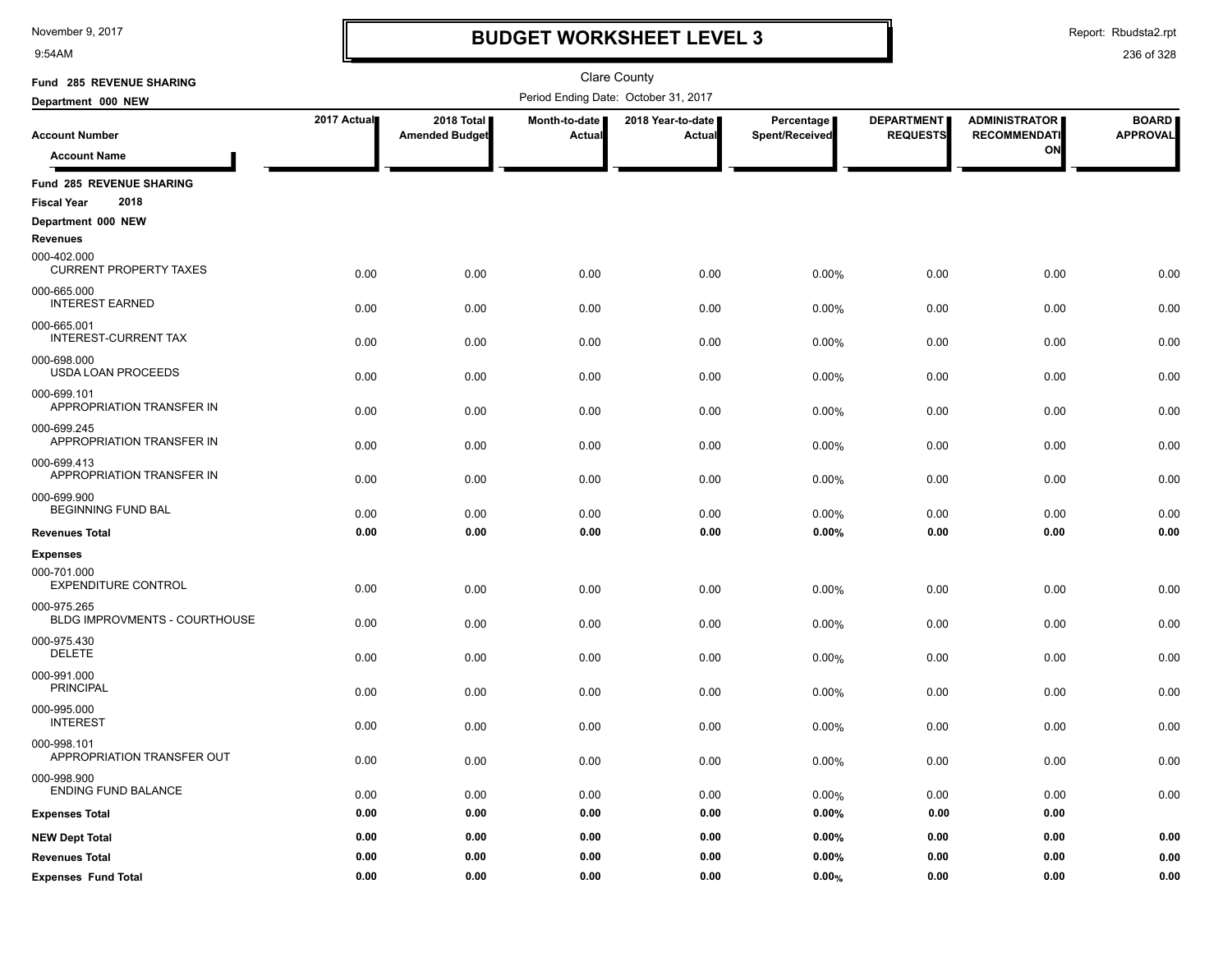9:54AM

### **BUDGET WORKSHEET LEVEL 3**

Report: Rbudsta2.rpt

| Fund 285 REVENUE SHARING                     |             |                                     |                         | <b>Clare County</b>                  |                              |                                      |                                             |                                 |
|----------------------------------------------|-------------|-------------------------------------|-------------------------|--------------------------------------|------------------------------|--------------------------------------|---------------------------------------------|---------------------------------|
| Department 000 NEW                           |             |                                     |                         | Period Ending Date: October 31, 2017 |                              |                                      |                                             |                                 |
| <b>Account Number</b>                        | 2017 Actual | 2018 Total<br><b>Amended Budget</b> | Month-to-date<br>Actual | 2018 Year-to-date<br>Actual          | Percentage<br>Spent/Received | <b>DEPARTMENT</b><br><b>REQUESTS</b> | <b>ADMINISTRATOR</b><br><b>RECOMMENDATI</b> | <b>BOARD</b><br><b>APPROVAL</b> |
| <b>Account Name</b>                          |             |                                     |                         |                                      |                              |                                      | ON                                          |                                 |
| Fund 285 REVENUE SHARING                     |             |                                     |                         |                                      |                              |                                      |                                             |                                 |
| 2018<br><b>Fiscal Year</b>                   |             |                                     |                         |                                      |                              |                                      |                                             |                                 |
| Department 000 NEW<br><b>Revenues</b>        |             |                                     |                         |                                      |                              |                                      |                                             |                                 |
| 000-402.000<br><b>CURRENT PROPERTY TAXES</b> | 0.00        | 0.00                                | 0.00                    | 0.00                                 | 0.00%                        | 0.00                                 | 0.00                                        | 0.00                            |
| 000-665.000<br><b>INTEREST EARNED</b>        | 0.00        | 0.00                                | 0.00                    | 0.00                                 | 0.00%                        | 0.00                                 | 0.00                                        | 0.00                            |
| 000-665.001<br><b>INTEREST-CURRENT TAX</b>   | 0.00        | 0.00                                | 0.00                    | 0.00                                 | 0.00%                        | 0.00                                 | 0.00                                        | 0.00                            |
| 000-698.000<br><b>USDA LOAN PROCEEDS</b>     | 0.00        | 0.00                                | 0.00                    | 0.00                                 | 0.00%                        | 0.00                                 | 0.00                                        | 0.00                            |
| 000-699.101<br>APPROPRIATION TRANSFER IN     | 0.00        | 0.00                                | 0.00                    | 0.00                                 | 0.00%                        | 0.00                                 | 0.00                                        | 0.00                            |
| 000-699.245<br>APPROPRIATION TRANSFER IN     | 0.00        | 0.00                                | 0.00                    | 0.00                                 | 0.00%                        | 0.00                                 | 0.00                                        | 0.00                            |
| 000-699.413<br>APPROPRIATION TRANSFER IN     | 0.00        | 0.00                                | 0.00                    | 0.00                                 | 0.00%                        | 0.00                                 | 0.00                                        | 0.00                            |
| 000-699.900<br><b>BEGINNING FUND BAL</b>     | 0.00        | 0.00                                | 0.00                    | 0.00                                 | 0.00%                        | 0.00                                 | 0.00                                        | 0.00                            |
| <b>Revenues Total</b>                        | 0.00        | 0.00                                | 0.00                    | 0.00                                 | 0.00%                        | 0.00                                 | 0.00                                        | 0.00                            |
| <b>Expenses</b>                              |             |                                     |                         |                                      |                              |                                      |                                             |                                 |
| 000-701.000<br><b>EXPENDITURE CONTROL</b>    | 0.00        | 0.00                                | 0.00                    | 0.00                                 | 0.00%                        | 0.00                                 | 0.00                                        | 0.00                            |
| 000-975.265<br>BLDG IMPROVMENTS - COURTHOUSE | 0.00        | 0.00                                | 0.00                    | 0.00                                 | 0.00%                        | 0.00                                 | 0.00                                        | 0.00                            |
| 000-975.430<br><b>DELETE</b>                 | 0.00        | 0.00                                | 0.00                    | 0.00                                 | 0.00%                        | 0.00                                 | 0.00                                        | 0.00                            |
| 000-991.000<br><b>PRINCIPAL</b>              | 0.00        | 0.00                                | 0.00                    | 0.00                                 | 0.00%                        | 0.00                                 | 0.00                                        | 0.00                            |
| 000-995.000<br><b>INTEREST</b>               | 0.00        | 0.00                                | 0.00                    | 0.00                                 | 0.00%                        | 0.00                                 | 0.00                                        | 0.00                            |
| 000-998.101<br>APPROPRIATION TRANSFER OUT    | 0.00        | 0.00                                | 0.00                    | 0.00                                 | 0.00%                        | 0.00                                 | 0.00                                        | 0.00                            |
| 000-998.900<br><b>ENDING FUND BALANCE</b>    | 0.00        | 0.00                                | 0.00                    | 0.00                                 | 0.00%                        | 0.00                                 | 0.00                                        | 0.00                            |
| <b>Expenses Total</b>                        | 0.00        | 0.00                                | 0.00                    | 0.00                                 | 0.00%                        | 0.00                                 | 0.00                                        |                                 |
| <b>NEW Dept Total</b>                        | 0.00        | 0.00                                | 0.00                    | 0.00                                 | 0.00%                        | 0.00                                 | 0.00                                        | 0.00                            |
| <b>Revenues Total</b>                        | 0.00        | 0.00                                | 0.00                    | 0.00                                 | 0.00%                        | 0.00                                 | 0.00                                        | 0.00                            |
| <b>Expenses Fund Total</b>                   | 0.00        | 0.00                                | 0.00                    | 0.00                                 | 0.00%                        | 0.00                                 | 0.00                                        | 0.00                            |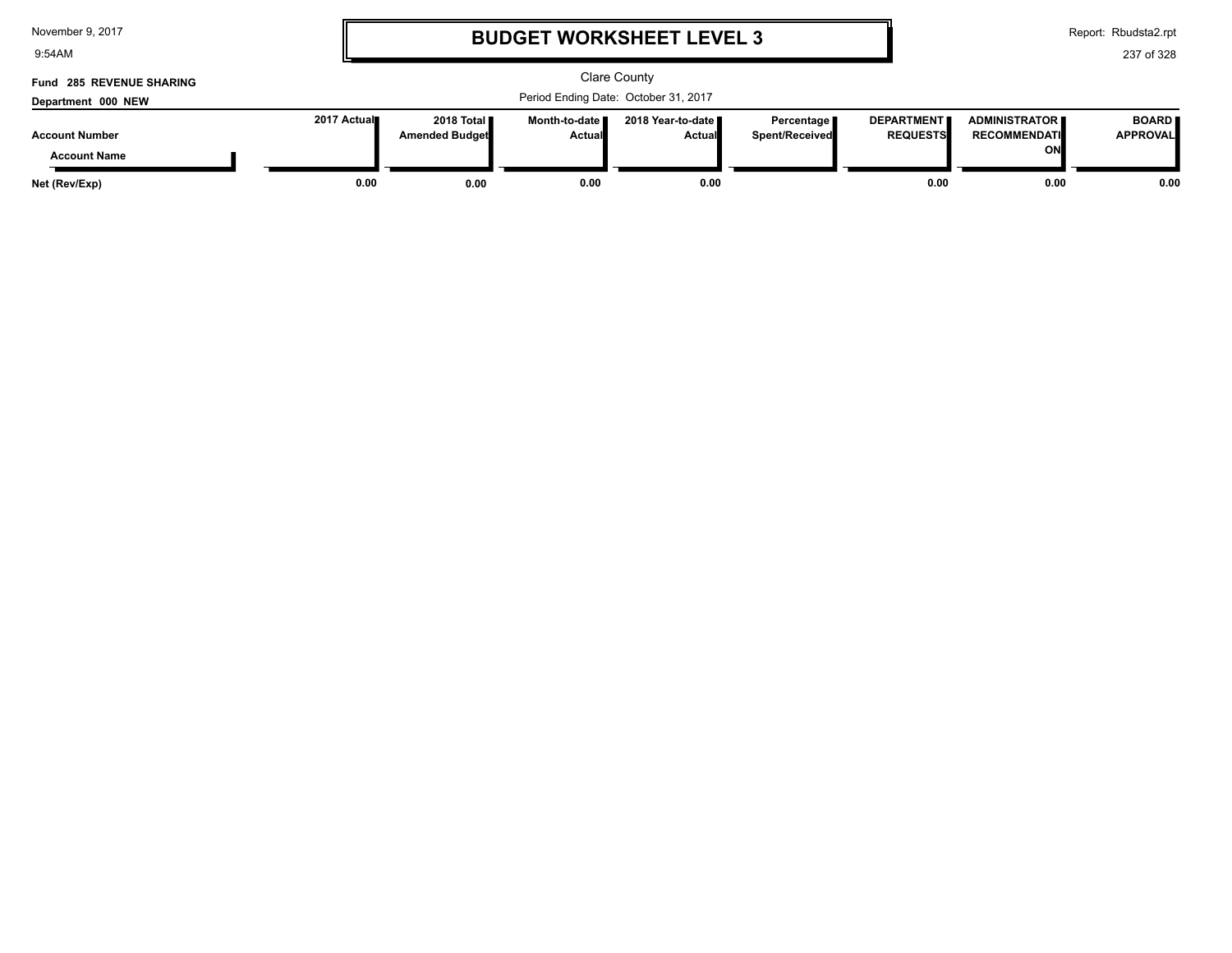9:54AM

# **BUDGET WORKSHEET LEVEL 3**

Report: Rbudsta2.rpt

| Fund 285 REVENUE SHARING<br>Department 000 NEW |              | Clare County<br>Period Ending Date: October 31, 2017 |                                  |                                      |                                     |                                      |                                                   |                                 |
|------------------------------------------------|--------------|------------------------------------------------------|----------------------------------|--------------------------------------|-------------------------------------|--------------------------------------|---------------------------------------------------|---------------------------------|
| <b>Account Number</b><br><b>Account Name</b>   | 2017 Actual∎ | 2018 Total<br><b>Amended Budget</b>                  | Month-to-date ■<br><b>Actual</b> | 2018 Year-to-date ∎<br><b>Actual</b> | Percentage<br><b>Spent/Received</b> | <b>DEPARTMENT</b><br><b>REQUESTS</b> | <b>ADMINISTRATOR</b><br><b>RECOMMENDATI</b><br>ON | <b>BOARD</b><br><b>APPROVAL</b> |
| Net (Rev/Exp)                                  | 0.00         | 0.00                                                 | 0.00                             | 0.00                                 |                                     | 0.00                                 | 0.00                                              | 0.00                            |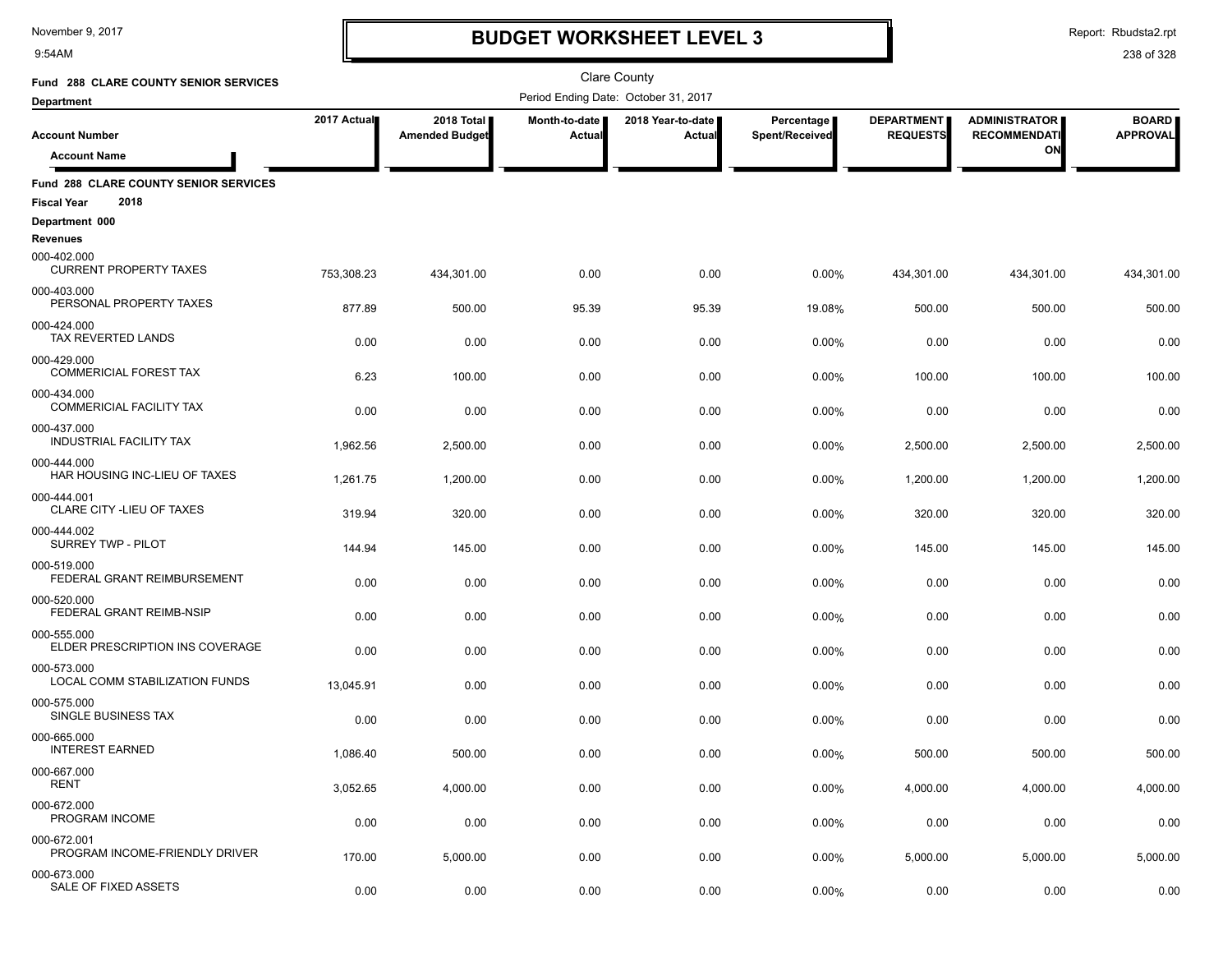9:54AM

## **BUDGET WORKSHEET LEVEL 3**

Report: Rbudsta2.rpt

| Fund 288 CLARE COUNTY SENIOR SERVICES          |             |                                     |                                | <b>Clare County</b>                  |                              |                                      |                                             |                                 |
|------------------------------------------------|-------------|-------------------------------------|--------------------------------|--------------------------------------|------------------------------|--------------------------------------|---------------------------------------------|---------------------------------|
| <b>Department</b>                              |             |                                     |                                | Period Ending Date: October 31, 2017 |                              |                                      |                                             |                                 |
| <b>Account Number</b>                          | 2017 Actual | 2018 Total<br><b>Amended Budget</b> | Month-to-date<br><b>Actual</b> | 2018 Year-to-date<br>Actual          | Percentage<br>Spent/Received | <b>DEPARTMENT</b><br><b>REQUESTS</b> | <b>ADMINISTRATOR</b><br><b>RECOMMENDATI</b> | <b>BOARD</b><br><b>APPROVAL</b> |
| <b>Account Name</b>                            |             |                                     |                                |                                      |                              |                                      | ON                                          |                                 |
| Fund 288 CLARE COUNTY SENIOR SERVICES          |             |                                     |                                |                                      |                              |                                      |                                             |                                 |
| 2018<br><b>Fiscal Year</b>                     |             |                                     |                                |                                      |                              |                                      |                                             |                                 |
| Department 000<br><b>Revenues</b>              |             |                                     |                                |                                      |                              |                                      |                                             |                                 |
| 000-402.000<br><b>CURRENT PROPERTY TAXES</b>   | 753,308.23  | 434,301.00                          | 0.00                           | 0.00                                 | 0.00%                        | 434,301.00                           | 434,301.00                                  | 434,301.00                      |
| 000-403.000<br>PERSONAL PROPERTY TAXES         | 877.89      | 500.00                              | 95.39                          | 95.39                                | 19.08%                       | 500.00                               | 500.00                                      | 500.00                          |
| 000-424.000<br>TAX REVERTED LANDS              | 0.00        | 0.00                                | 0.00                           | 0.00                                 | 0.00%                        | 0.00                                 | 0.00                                        | 0.00                            |
| 000-429.000<br><b>COMMERICIAL FOREST TAX</b>   | 6.23        | 100.00                              | 0.00                           | 0.00                                 | 0.00%                        | 100.00                               | 100.00                                      | 100.00                          |
| 000-434.000<br><b>COMMERICIAL FACILITY TAX</b> | 0.00        | 0.00                                | 0.00                           | 0.00                                 | 0.00%                        | 0.00                                 | 0.00                                        | 0.00                            |
| 000-437.000<br><b>INDUSTRIAL FACILITY TAX</b>  |             |                                     |                                |                                      |                              |                                      |                                             |                                 |
| 000-444.000<br>HAR HOUSING INC-LIEU OF TAXES   | 1,962.56    | 2,500.00                            | 0.00                           | 0.00                                 | 0.00%                        | 2,500.00                             | 2,500.00                                    | 2,500.00                        |
| 000-444.001                                    | 1,261.75    | 1,200.00                            | 0.00                           | 0.00                                 | 0.00%                        | 1,200.00                             | 1,200.00                                    | 1,200.00                        |
| CLARE CITY - LIEU OF TAXES                     | 319.94      | 320.00                              | 0.00                           | 0.00                                 | 0.00%                        | 320.00                               | 320.00                                      | 320.00                          |
| 000-444.002<br><b>SURREY TWP - PILOT</b>       | 144.94      | 145.00                              | 0.00                           | 0.00                                 | 0.00%                        | 145.00                               | 145.00                                      | 145.00                          |
| 000-519.000<br>FEDERAL GRANT REIMBURSEMENT     | 0.00        | 0.00                                | 0.00                           | 0.00                                 | 0.00%                        | 0.00                                 | 0.00                                        | 0.00                            |
| 000-520.000<br>FEDERAL GRANT REIMB-NSIP        | 0.00        | 0.00                                | 0.00                           | 0.00                                 | 0.00%                        | 0.00                                 | 0.00                                        | 0.00                            |
| 000-555.000<br>ELDER PRESCRIPTION INS COVERAGE | 0.00        | 0.00                                | 0.00                           | 0.00                                 | 0.00%                        | 0.00                                 | 0.00                                        | 0.00                            |
| 000-573.000<br>LOCAL COMM STABILIZATION FUNDS  | 13,045.91   | 0.00                                | 0.00                           | 0.00                                 | 0.00%                        | 0.00                                 | 0.00                                        | 0.00                            |
| 000-575.000<br>SINGLE BUSINESS TAX             | 0.00        | 0.00                                | 0.00                           | 0.00                                 | 0.00%                        | 0.00                                 | 0.00                                        | 0.00                            |
| 000-665.000<br><b>INTEREST EARNED</b>          |             | 500.00                              | 0.00                           |                                      |                              |                                      |                                             | 500.00                          |
| 000-667.000                                    | 1,086.40    |                                     |                                | 0.00                                 | 0.00%                        | 500.00                               | 500.00                                      |                                 |
| <b>RENT</b>                                    | 3,052.65    | 4,000.00                            | 0.00                           | 0.00                                 | 0.00%                        | 4,000.00                             | 4,000.00                                    | 4,000.00                        |
| 000-672.000<br>PROGRAM INCOME                  | 0.00        | 0.00                                | 0.00                           | 0.00                                 | 0.00%                        | 0.00                                 | 0.00                                        | 0.00                            |
| 000-672.001<br>PROGRAM INCOME-FRIENDLY DRIVER  | 170.00      | 5,000.00                            | 0.00                           | 0.00                                 | 0.00%                        | 5,000.00                             | 5,000.00                                    | 5,000.00                        |
| 000-673.000<br>SALE OF FIXED ASSETS            | 0.00        | 0.00                                | 0.00                           | 0.00                                 | 0.00%                        | 0.00                                 | 0.00                                        | 0.00                            |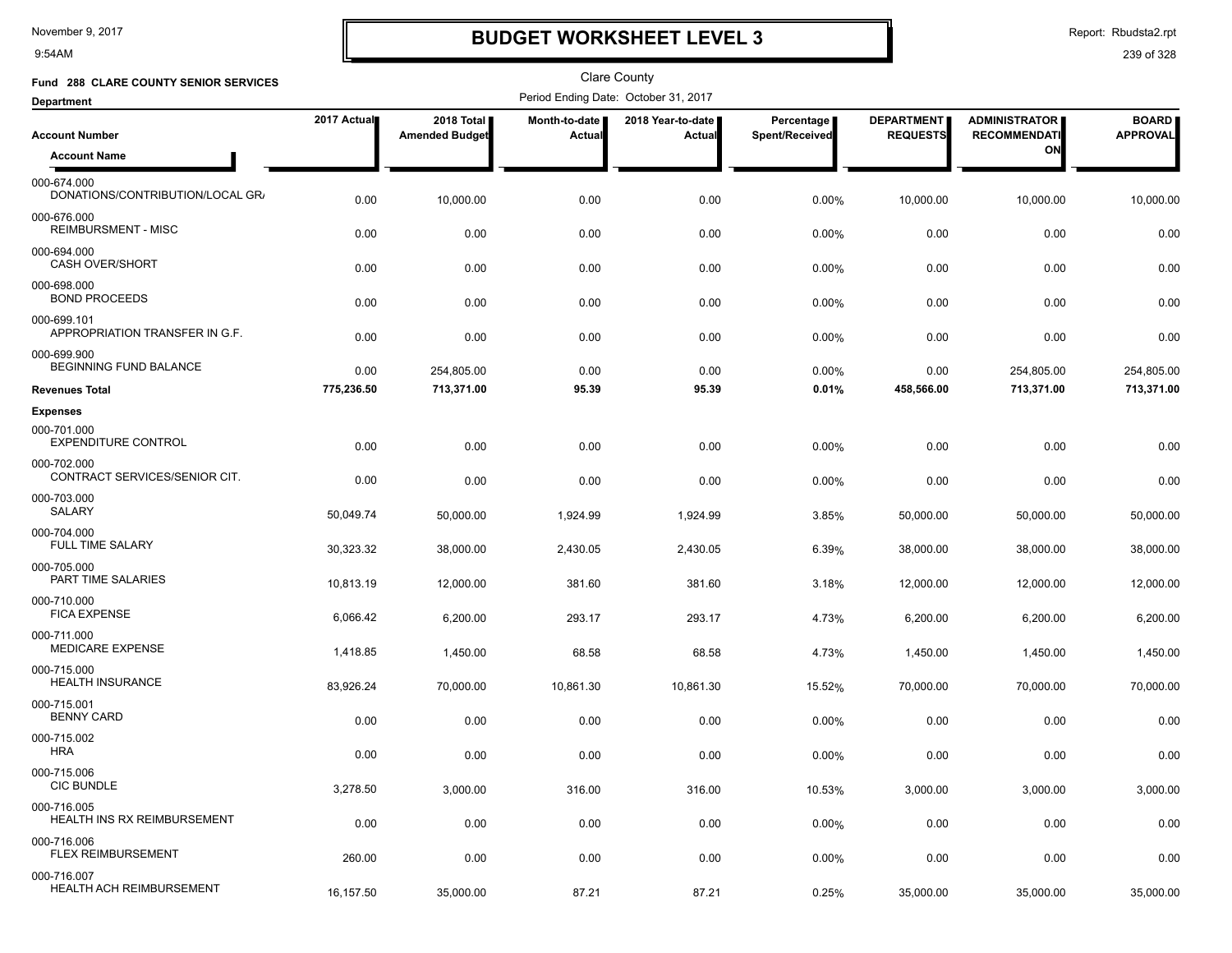9:54AM

### **BUDGET WORKSHEET LEVEL 3**

Report: Rbudsta2.rpt

| Fund 288 CLARE COUNTY SENIOR SERVICES           |             |                                     |                                | <b>Clare County</b>                  |                              |                                      |                                                   |                                 |
|-------------------------------------------------|-------------|-------------------------------------|--------------------------------|--------------------------------------|------------------------------|--------------------------------------|---------------------------------------------------|---------------------------------|
| <b>Department</b>                               |             |                                     |                                | Period Ending Date: October 31, 2017 |                              |                                      |                                                   |                                 |
| <b>Account Number</b><br><b>Account Name</b>    | 2017 Actual | 2018 Total<br><b>Amended Budget</b> | Month-to-date<br><b>Actual</b> | 2018 Year-to-date  <br>Actual        | Percentage<br>Spent/Received | <b>DEPARTMENT</b><br><b>REQUESTS</b> | <b>ADMINISTRATOR</b><br><b>RECOMMENDATI</b><br>ON | <b>BOARD</b><br><b>APPROVAL</b> |
|                                                 |             |                                     |                                |                                      |                              |                                      |                                                   |                                 |
| 000-674.000<br>DONATIONS/CONTRIBUTION/LOCAL GR/ | 0.00        | 10,000.00                           | 0.00                           | 0.00                                 | 0.00%                        | 10,000.00                            | 10,000.00                                         | 10,000.00                       |
| 000-676.000<br><b>REIMBURSMENT - MISC</b>       | 0.00        | 0.00                                | 0.00                           | 0.00                                 | 0.00%                        | 0.00                                 | 0.00                                              | 0.00                            |
| 000-694.000<br><b>CASH OVER/SHORT</b>           | 0.00        | 0.00                                | 0.00                           | 0.00                                 | 0.00%                        | 0.00                                 | 0.00                                              | 0.00                            |
| 000-698.000<br><b>BOND PROCEEDS</b>             | 0.00        | 0.00                                | 0.00                           | 0.00                                 | 0.00%                        | 0.00                                 | 0.00                                              | 0.00                            |
| 000-699.101<br>APPROPRIATION TRANSFER IN G.F.   | 0.00        | 0.00                                | 0.00                           | 0.00                                 | 0.00%                        | 0.00                                 | 0.00                                              | 0.00                            |
| 000-699.900<br><b>BEGINNING FUND BALANCE</b>    | 0.00        | 254,805.00                          | 0.00                           | 0.00                                 | 0.00%                        | 0.00                                 | 254,805.00                                        | 254,805.00                      |
| <b>Revenues Total</b>                           | 775,236.50  | 713,371.00                          | 95.39                          | 95.39                                | 0.01%                        | 458,566.00                           | 713,371.00                                        | 713,371.00                      |
| <b>Expenses</b>                                 |             |                                     |                                |                                      |                              |                                      |                                                   |                                 |
| 000-701.000<br><b>EXPENDITURE CONTROL</b>       | 0.00        | 0.00                                | 0.00                           | 0.00                                 | 0.00%                        | 0.00                                 | 0.00                                              | 0.00                            |
| 000-702.000<br>CONTRACT SERVICES/SENIOR CIT.    | 0.00        | 0.00                                | 0.00                           | 0.00                                 | 0.00%                        | 0.00                                 | 0.00                                              | 0.00                            |
| 000-703.000<br>SALARY                           | 50,049.74   | 50,000.00                           | 1,924.99                       | 1,924.99                             | 3.85%                        | 50,000.00                            | 50,000.00                                         | 50,000.00                       |
| 000-704.000<br>FULL TIME SALARY                 | 30,323.32   | 38,000.00                           | 2,430.05                       | 2,430.05                             | 6.39%                        | 38,000.00                            | 38,000.00                                         | 38,000.00                       |
| 000-705.000<br>PART TIME SALARIES               | 10,813.19   |                                     | 381.60                         | 381.60                               | 3.18%                        |                                      |                                                   |                                 |
| 000-710.000<br><b>FICA EXPENSE</b>              |             | 12,000.00                           |                                |                                      |                              | 12,000.00                            | 12,000.00                                         | 12,000.00                       |
| 000-711.000<br><b>MEDICARE EXPENSE</b>          | 6,066.42    | 6,200.00                            | 293.17                         | 293.17                               | 4.73%                        | 6,200.00                             | 6,200.00                                          | 6,200.00                        |
| 000-715.000<br><b>HEALTH INSURANCE</b>          | 1,418.85    | 1,450.00                            | 68.58                          | 68.58                                | 4.73%                        | 1,450.00                             | 1,450.00                                          | 1,450.00                        |
| 000-715.001<br><b>BENNY CARD</b>                | 83,926.24   | 70,000.00                           | 10,861.30                      | 10,861.30                            | 15.52%                       | 70,000.00                            | 70,000.00                                         | 70,000.00                       |
| 000-715.002                                     | 0.00        | 0.00                                | 0.00                           | 0.00                                 | 0.00%                        | 0.00                                 | 0.00                                              | 0.00                            |
| <b>HRA</b>                                      | 0.00        | 0.00                                | 0.00                           | 0.00                                 | 0.00%                        | 0.00                                 | 0.00                                              | 0.00                            |
| 000-715.006<br><b>CIC BUNDLE</b>                | 3,278.50    | 3,000.00                            | 316.00                         | 316.00                               | 10.53%                       | 3,000.00                             | 3,000.00                                          | 3,000.00                        |
| 000-716.005<br>HEALTH INS RX REIMBURSEMENT      | 0.00        | 0.00                                | 0.00                           | 0.00                                 | 0.00%                        | 0.00                                 | 0.00                                              | 0.00                            |
| 000-716.006<br>FLEX REIMBURSEMENT               | 260.00      | 0.00                                | 0.00                           | 0.00                                 | 0.00%                        | 0.00                                 | 0.00                                              | 0.00                            |
| 000-716.007<br>HEALTH ACH REIMBURSEMENT         | 16,157.50   | 35,000.00                           | 87.21                          | 87.21                                | 0.25%                        | 35,000.00                            | 35,000.00                                         | 35,000.00                       |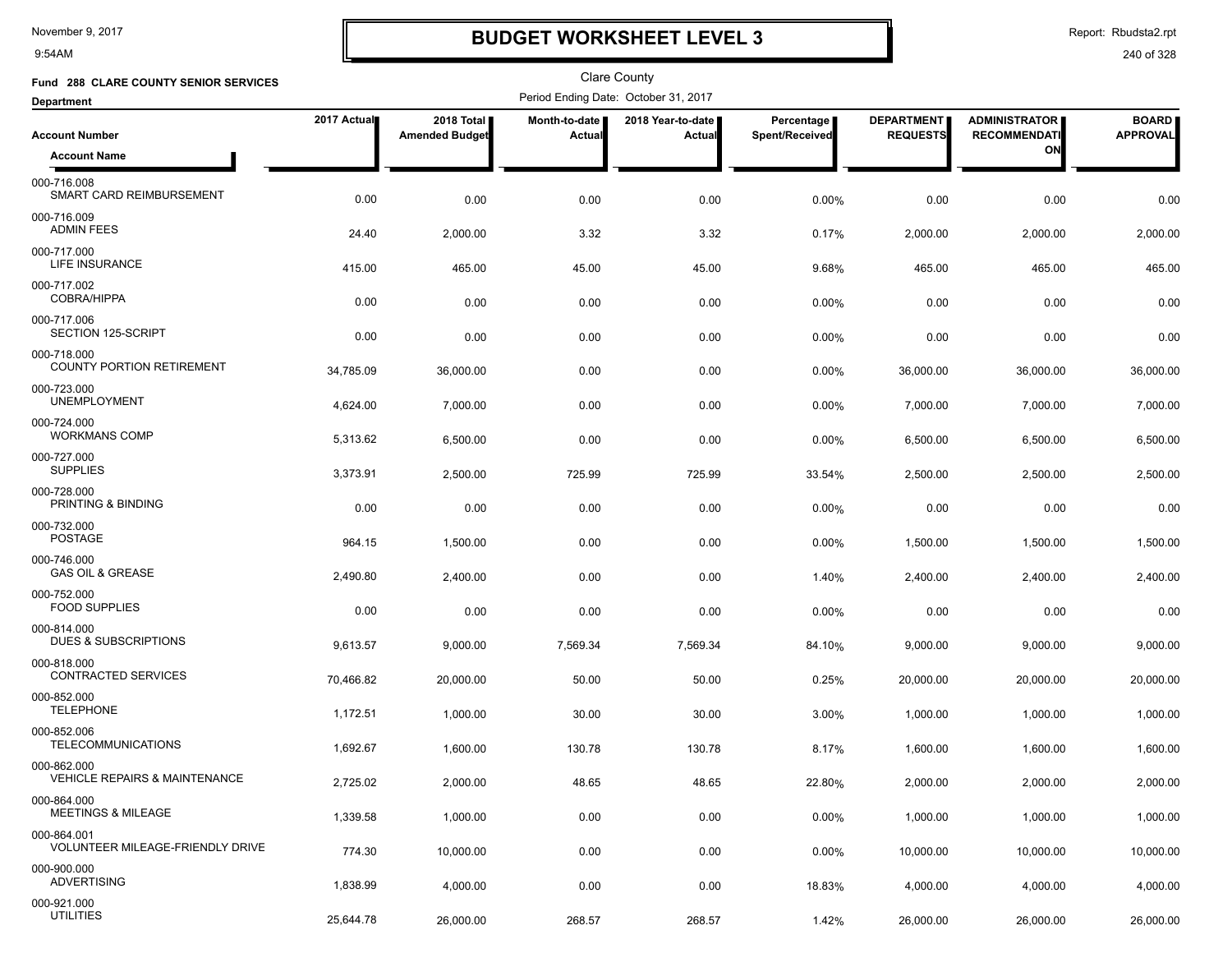9:54AM

# **BUDGET WORKSHEET LEVEL 3**

Report: Rbudsta2.rpt

| Fund 288 CLARE COUNTY SENIOR SERVICES                   |             |                                     |                         | <b>Clare County</b>                  |                              |                                      |                                             |                                 |
|---------------------------------------------------------|-------------|-------------------------------------|-------------------------|--------------------------------------|------------------------------|--------------------------------------|---------------------------------------------|---------------------------------|
| <b>Department</b>                                       |             |                                     |                         | Period Ending Date: October 31, 2017 |                              |                                      |                                             |                                 |
| <b>Account Number</b>                                   | 2017 Actual | 2018 Total<br><b>Amended Budget</b> | Month-to-date<br>Actual | 2018 Year-to-date<br>Actual          | Percentage<br>Spent/Received | <b>DEPARTMENT</b><br><b>REQUESTS</b> | <b>ADMINISTRATOR</b><br><b>RECOMMENDATI</b> | <b>BOARD</b><br><b>APPROVAL</b> |
| <b>Account Name</b>                                     |             |                                     |                         |                                      |                              |                                      | ON                                          |                                 |
| 000-716.008<br>SMART CARD REIMBURSEMENT                 | 0.00        | 0.00                                | 0.00                    | 0.00                                 | 0.00%                        | 0.00                                 | 0.00                                        | 0.00                            |
| 000-716.009<br><b>ADMIN FEES</b>                        | 24.40       | 2,000.00                            | 3.32                    | 3.32                                 | 0.17%                        | 2,000.00                             | 2,000.00                                    | 2,000.00                        |
| 000-717.000<br>LIFE INSURANCE                           | 415.00      | 465.00                              | 45.00                   | 45.00                                | 9.68%                        | 465.00                               | 465.00                                      | 465.00                          |
| 000-717.002<br><b>COBRA/HIPPA</b>                       | 0.00        | 0.00                                | 0.00                    | 0.00                                 | $0.00\%$                     | 0.00                                 | 0.00                                        | 0.00                            |
| 000-717.006<br>SECTION 125-SCRIPT                       | 0.00        | 0.00                                | 0.00                    | 0.00                                 | 0.00%                        | 0.00                                 | 0.00                                        | 0.00                            |
| 000-718.000<br><b>COUNTY PORTION RETIREMENT</b>         | 34,785.09   | 36,000.00                           | 0.00                    | 0.00                                 | 0.00%                        | 36,000.00                            | 36,000.00                                   | 36,000.00                       |
| 000-723.000<br><b>UNEMPLOYMENT</b>                      | 4,624.00    | 7,000.00                            | 0.00                    | 0.00                                 | 0.00%                        | 7,000.00                             | 7,000.00                                    | 7,000.00                        |
| 000-724.000<br><b>WORKMANS COMP</b>                     | 5,313.62    | 6,500.00                            | 0.00                    | 0.00                                 | 0.00%                        | 6,500.00                             | 6,500.00                                    | 6,500.00                        |
| 000-727.000<br><b>SUPPLIES</b>                          | 3,373.91    | 2,500.00                            | 725.99                  | 725.99                               | 33.54%                       | 2,500.00                             | 2,500.00                                    | 2,500.00                        |
| 000-728.000<br>PRINTING & BINDING                       | 0.00        | 0.00                                | 0.00                    | 0.00                                 | $0.00\%$                     | 0.00                                 | 0.00                                        | 0.00                            |
| 000-732.000<br><b>POSTAGE</b>                           | 964.15      | 1,500.00                            | 0.00                    | 0.00                                 | 0.00%                        | 1,500.00                             | 1,500.00                                    | 1,500.00                        |
| 000-746.000<br><b>GAS OIL &amp; GREASE</b>              | 2,490.80    | 2,400.00                            | 0.00                    | 0.00                                 | 1.40%                        | 2,400.00                             | 2,400.00                                    | 2,400.00                        |
| 000-752.000<br><b>FOOD SUPPLIES</b>                     | 0.00        | 0.00                                | 0.00                    | 0.00                                 | 0.00%                        | 0.00                                 | 0.00                                        | 0.00                            |
| 000-814.000<br>DUES & SUBSCRIPTIONS                     | 9,613.57    | 9,000.00                            | 7,569.34                | 7,569.34                             | 84.10%                       | 9,000.00                             | 9,000.00                                    | 9,000.00                        |
| 000-818.000<br>CONTRACTED SERVICES                      | 70,466.82   | 20.000.00                           | 50.00                   | 50.00                                | 0.25%                        | 20,000.00                            | 20,000.00                                   | 20,000.00                       |
| 000-852.000<br><b>TELEPHONE</b>                         | 1,172.51    | 1,000.00                            | 30.00                   | 30.00                                | $3.00\%$                     | 1,000.00                             | 1,000.00                                    | 1,000.00                        |
| 000-852.006<br><b>TELECOMMUNICATIONS</b>                | 1,692.67    | 1,600.00                            | 130.78                  | 130.78                               | 8.17%                        | 1,600.00                             | 1,600.00                                    | 1,600.00                        |
| 000-862.000<br><b>VEHICLE REPAIRS &amp; MAINTENANCE</b> | 2,725.02    | 2,000.00                            | 48.65                   | 48.65                                | 22.80%                       | 2,000.00                             | 2,000.00                                    | 2,000.00                        |
| 000-864.000<br><b>MEETINGS &amp; MILEAGE</b>            | 1,339.58    | 1,000.00                            | 0.00                    | 0.00                                 | 0.00%                        | 1,000.00                             | 1,000.00                                    | 1,000.00                        |
| 000-864.001<br><b>VOLUNTEER MILEAGE-FRIENDLY DRIVE</b>  | 774.30      | 10,000.00                           | 0.00                    | 0.00                                 | 0.00%                        | 10,000.00                            | 10,000.00                                   | 10,000.00                       |
| 000-900.000<br><b>ADVERTISING</b>                       | 1,838.99    | 4,000.00                            | 0.00                    | 0.00                                 | 18.83%                       | 4,000.00                             | 4,000.00                                    | 4,000.00                        |
| 000-921.000<br><b>UTILITIES</b>                         | 25,644.78   | 26,000.00                           | 268.57                  | 268.57                               | 1.42%                        | 26,000.00                            | 26,000.00                                   | 26,000.00                       |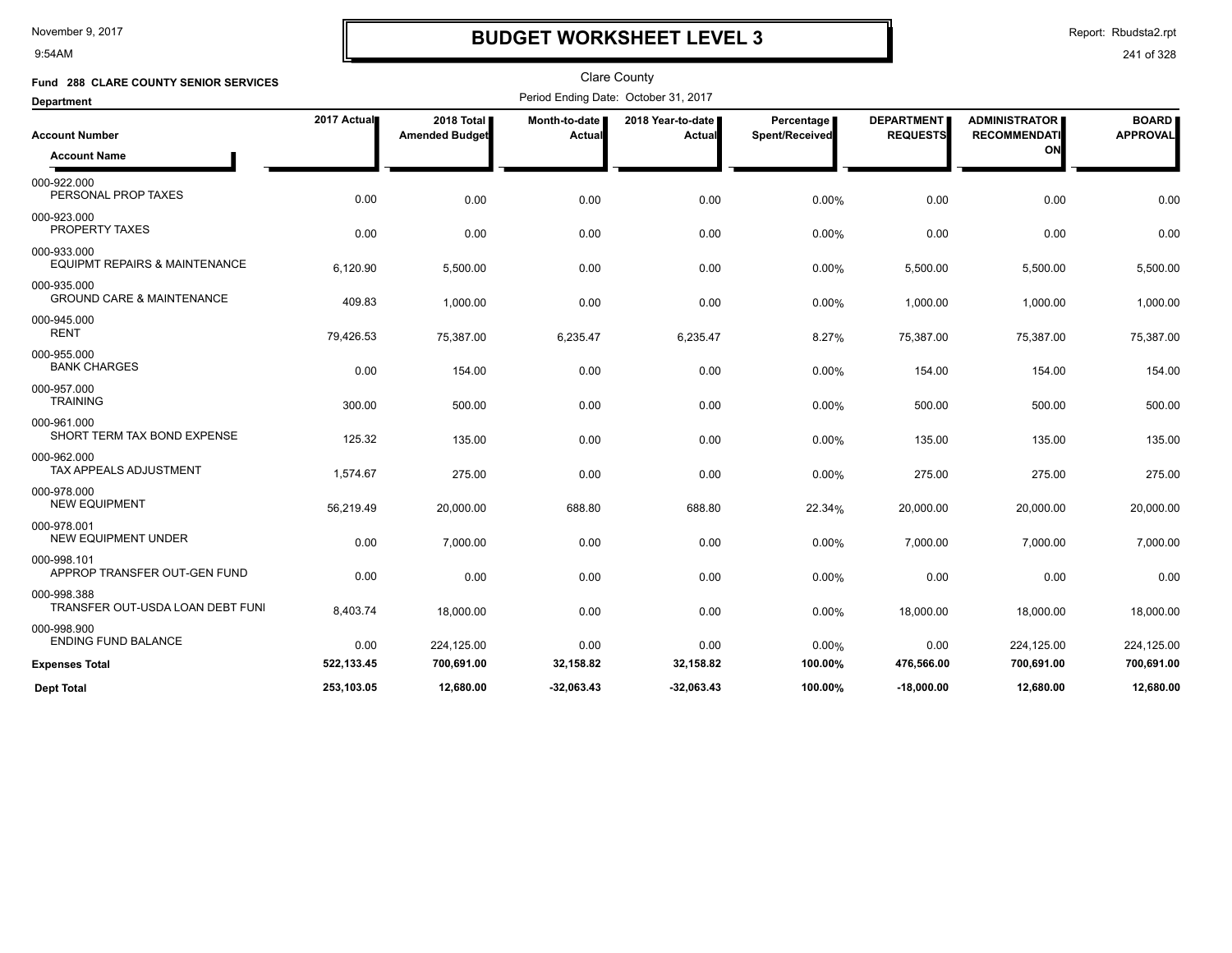9:54AM

# **BUDGET WORKSHEET LEVEL 3**

Report: Rbudsta2.rpt

| Fund 288 CLARE COUNTY SENIOR SERVICES                   |             |                                     |                         | <b>Clare County</b>                  |                              |                                      |                                             |                                 |
|---------------------------------------------------------|-------------|-------------------------------------|-------------------------|--------------------------------------|------------------------------|--------------------------------------|---------------------------------------------|---------------------------------|
| <b>Department</b>                                       |             |                                     |                         | Period Ending Date: October 31, 2017 |                              |                                      |                                             |                                 |
| <b>Account Number</b>                                   | 2017 Actual | 2018 Total<br><b>Amended Budget</b> | Month-to-date<br>Actual | 2018 Year-to-date<br>Actual          | Percentage<br>Spent/Received | <b>DEPARTMENT</b><br><b>REQUESTS</b> | <b>ADMINISTRATOR</b><br><b>RECOMMENDATI</b> | <b>BOARD</b><br><b>APPROVAL</b> |
| <b>Account Name</b>                                     |             |                                     |                         |                                      |                              |                                      | ON                                          |                                 |
| 000-922.000<br>PERSONAL PROP TAXES                      | 0.00        | 0.00                                | 0.00                    | 0.00                                 | 0.00%                        | 0.00                                 | 0.00                                        | 0.00                            |
| 000-923.000<br>PROPERTY TAXES                           | 0.00        | 0.00                                | 0.00                    | 0.00                                 | 0.00%                        | 0.00                                 | 0.00                                        | 0.00                            |
| 000-933.000<br><b>EQUIPMT REPAIRS &amp; MAINTENANCE</b> | 6,120.90    | 5,500.00                            | 0.00                    | 0.00                                 | 0.00%                        | 5,500.00                             | 5,500.00                                    | 5,500.00                        |
| 000-935.000<br><b>GROUND CARE &amp; MAINTENANCE</b>     | 409.83      | 1,000.00                            | 0.00                    | 0.00                                 | 0.00%                        | 1,000.00                             | 1,000.00                                    | 1,000.00                        |
| 000-945.000<br><b>RENT</b>                              | 79,426.53   | 75,387.00                           | 6,235.47                | 6,235.47                             | 8.27%                        | 75,387.00                            | 75,387.00                                   | 75,387.00                       |
| 000-955.000<br><b>BANK CHARGES</b>                      | 0.00        | 154.00                              | 0.00                    | 0.00                                 | 0.00%                        | 154.00                               | 154.00                                      | 154.00                          |
| 000-957.000<br><b>TRAINING</b>                          | 300.00      | 500.00                              | 0.00                    | 0.00                                 | 0.00%                        | 500.00                               | 500.00                                      | 500.00                          |
| 000-961.000<br>SHORT TERM TAX BOND EXPENSE              | 125.32      | 135.00                              | 0.00                    | 0.00                                 | 0.00%                        | 135.00                               | 135.00                                      | 135.00                          |
| 000-962.000<br><b>TAX APPEALS ADJUSTMENT</b>            | 1,574.67    | 275.00                              | 0.00                    | 0.00                                 | 0.00%                        | 275.00                               | 275.00                                      | 275.00                          |
| 000-978.000<br><b>NEW EQUIPMENT</b>                     | 56,219.49   | 20,000.00                           | 688.80                  | 688.80                               | 22.34%                       | 20,000.00                            | 20,000.00                                   | 20,000.00                       |
| 000-978.001<br><b>NEW EQUIPMENT UNDER</b>               | 0.00        | 7.000.00                            | 0.00                    | 0.00                                 | 0.00%                        | 7,000.00                             | 7.000.00                                    | 7,000.00                        |
| 000-998.101<br>APPROP TRANSFER OUT-GEN FUND             | 0.00        | 0.00                                | 0.00                    | 0.00                                 | 0.00%                        | 0.00                                 | 0.00                                        | 0.00                            |
| 000-998.388<br>TRANSFER OUT-USDA LOAN DEBT FUNI         | 8,403.74    | 18.000.00                           | 0.00                    | 0.00                                 | 0.00%                        | 18,000.00                            | 18,000.00                                   | 18,000.00                       |
| 000-998.900<br><b>ENDING FUND BALANCE</b>               | 0.00        | 224,125.00                          | 0.00                    | 0.00                                 | 0.00%                        | 0.00                                 | 224,125.00                                  | 224,125.00                      |
| <b>Expenses Total</b>                                   | 522,133.45  | 700,691.00                          | 32,158.82               | 32,158.82                            | 100.00%                      | 476,566.00                           | 700,691.00                                  | 700,691.00                      |
| <b>Dept Total</b>                                       | 253.103.05  | 12.680.00                           | $-32.063.43$            | $-32.063.43$                         | 100.00%                      | $-18,000.00$                         | 12.680.00                                   | 12,680.00                       |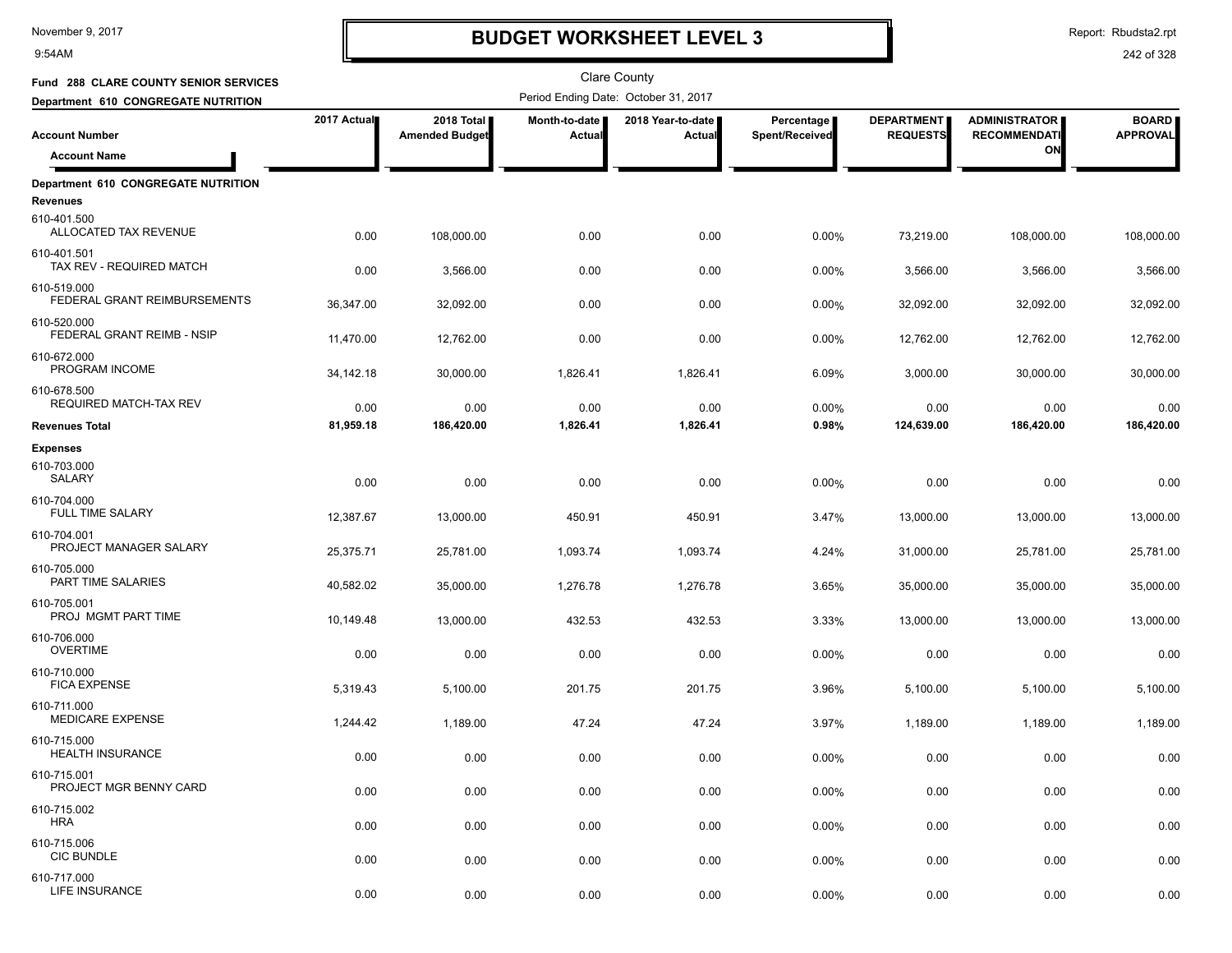9:54AM

# **BUDGET WORKSHEET LEVEL 3**

Report: Rbudsta2.rpt

| Fund 288 CLARE COUNTY SENIOR SERVICES                  |             |                                     |                                | Clare County                         |                              |                                      |                                             |                                 |
|--------------------------------------------------------|-------------|-------------------------------------|--------------------------------|--------------------------------------|------------------------------|--------------------------------------|---------------------------------------------|---------------------------------|
| Department 610 CONGREGATE NUTRITION                    |             |                                     |                                | Period Ending Date: October 31, 2017 |                              |                                      |                                             |                                 |
| <b>Account Number</b>                                  | 2017 Actual | 2018 Total<br><b>Amended Budget</b> | Month-to-date<br><b>Actual</b> | 2018 Year-to-date<br>Actual          | Percentage<br>Spent/Received | <b>DEPARTMENT</b><br><b>REQUESTS</b> | <b>ADMINISTRATOR</b><br><b>RECOMMENDATI</b> | <b>BOARD</b><br><b>APPROVAL</b> |
| <b>Account Name</b>                                    |             |                                     |                                |                                      |                              |                                      | ON                                          |                                 |
| Department 610 CONGREGATE NUTRITION<br><b>Revenues</b> |             |                                     |                                |                                      |                              |                                      |                                             |                                 |
| 610-401.500<br>ALLOCATED TAX REVENUE                   | 0.00        | 108,000.00                          | 0.00                           | 0.00                                 | 0.00%                        | 73,219.00                            | 108,000.00                                  | 108,000.00                      |
| 610-401.501<br>TAX REV - REQUIRED MATCH                | 0.00        | 3,566.00                            | 0.00                           | 0.00                                 | 0.00%                        | 3,566.00                             | 3,566.00                                    | 3,566.00                        |
| 610-519.000<br>FEDERAL GRANT REIMBURSEMENTS            | 36,347.00   | 32,092.00                           | 0.00                           | 0.00                                 | 0.00%                        | 32,092.00                            | 32,092.00                                   | 32,092.00                       |
| 610-520.000<br>FEDERAL GRANT REIMB - NSIP              | 11,470.00   | 12,762.00                           | 0.00                           | 0.00                                 | 0.00%                        | 12,762.00                            | 12,762.00                                   | 12,762.00                       |
| 610-672.000<br>PROGRAM INCOME                          | 34,142.18   | 30,000.00                           | 1,826.41                       | 1,826.41                             | 6.09%                        | 3,000.00                             | 30,000.00                                   | 30,000.00                       |
| 610-678.500<br><b>REQUIRED MATCH-TAX REV</b>           | 0.00        | 0.00                                | 0.00                           | 0.00                                 | 0.00%                        | 0.00                                 | 0.00                                        | 0.00                            |
| <b>Revenues Total</b>                                  | 81,959.18   | 186,420.00                          | 1,826.41                       | 1,826.41                             | 0.98%                        | 124,639.00                           | 186,420.00                                  | 186,420.00                      |
| <b>Expenses</b>                                        |             |                                     |                                |                                      |                              |                                      |                                             |                                 |
| 610-703.000<br>SALARY                                  | 0.00        | 0.00                                | 0.00                           | 0.00                                 | 0.00%                        | 0.00                                 | 0.00                                        | 0.00                            |
| 610-704.000<br><b>FULL TIME SALARY</b>                 | 12,387.67   | 13,000.00                           | 450.91                         | 450.91                               | 3.47%                        | 13,000.00                            | 13,000.00                                   | 13,000.00                       |
| 610-704.001<br>PROJECT MANAGER SALARY                  | 25,375.71   | 25,781.00                           | 1,093.74                       | 1,093.74                             | 4.24%                        | 31,000.00                            | 25,781.00                                   | 25,781.00                       |
| 610-705.000<br>PART TIME SALARIES                      | 40,582.02   | 35,000.00                           | 1,276.78                       | 1,276.78                             | 3.65%                        | 35,000.00                            | 35,000.00                                   | 35,000.00                       |
| 610-705.001<br>PROJ MGMT PART TIME                     | 10,149.48   | 13,000.00                           | 432.53                         | 432.53                               | 3.33%                        | 13,000.00                            | 13,000.00                                   | 13,000.00                       |
| 610-706.000<br><b>OVERTIME</b>                         | 0.00        | 0.00                                | 0.00                           | 0.00                                 | 0.00%                        | 0.00                                 | 0.00                                        | 0.00                            |
| 610-710.000<br><b>FICA EXPENSE</b>                     | 5,319.43    | 5,100.00                            | 201.75                         | 201.75                               | 3.96%                        | 5,100.00                             | 5,100.00                                    | 5,100.00                        |
| 610-711.000<br><b>MEDICARE EXPENSE</b>                 | 1,244.42    | 1,189.00                            | 47.24                          | 47.24                                | 3.97%                        | 1,189.00                             | 1,189.00                                    | 1,189.00                        |
| 610-715.000<br><b>HEALTH INSURANCE</b>                 | 0.00        | 0.00                                | 0.00                           | 0.00                                 | 0.00%                        | 0.00                                 | 0.00                                        | 0.00                            |
| 610-715.001<br>PROJECT MGR BENNY CARD                  | 0.00        | 0.00                                | 0.00                           | 0.00                                 | 0.00%                        | 0.00                                 | 0.00                                        | 0.00                            |
| 610-715.002<br><b>HRA</b>                              | 0.00        | 0.00                                | 0.00                           | 0.00                                 | 0.00%                        | 0.00                                 | 0.00                                        | 0.00                            |
| 610-715.006<br><b>CIC BUNDLE</b>                       | 0.00        | 0.00                                | 0.00                           | 0.00                                 | 0.00%                        | 0.00                                 | 0.00                                        | 0.00                            |
| 610-717.000<br>LIFE INSURANCE                          | 0.00        | 0.00                                | 0.00                           | 0.00                                 | 0.00%                        | 0.00                                 | 0.00                                        | 0.00                            |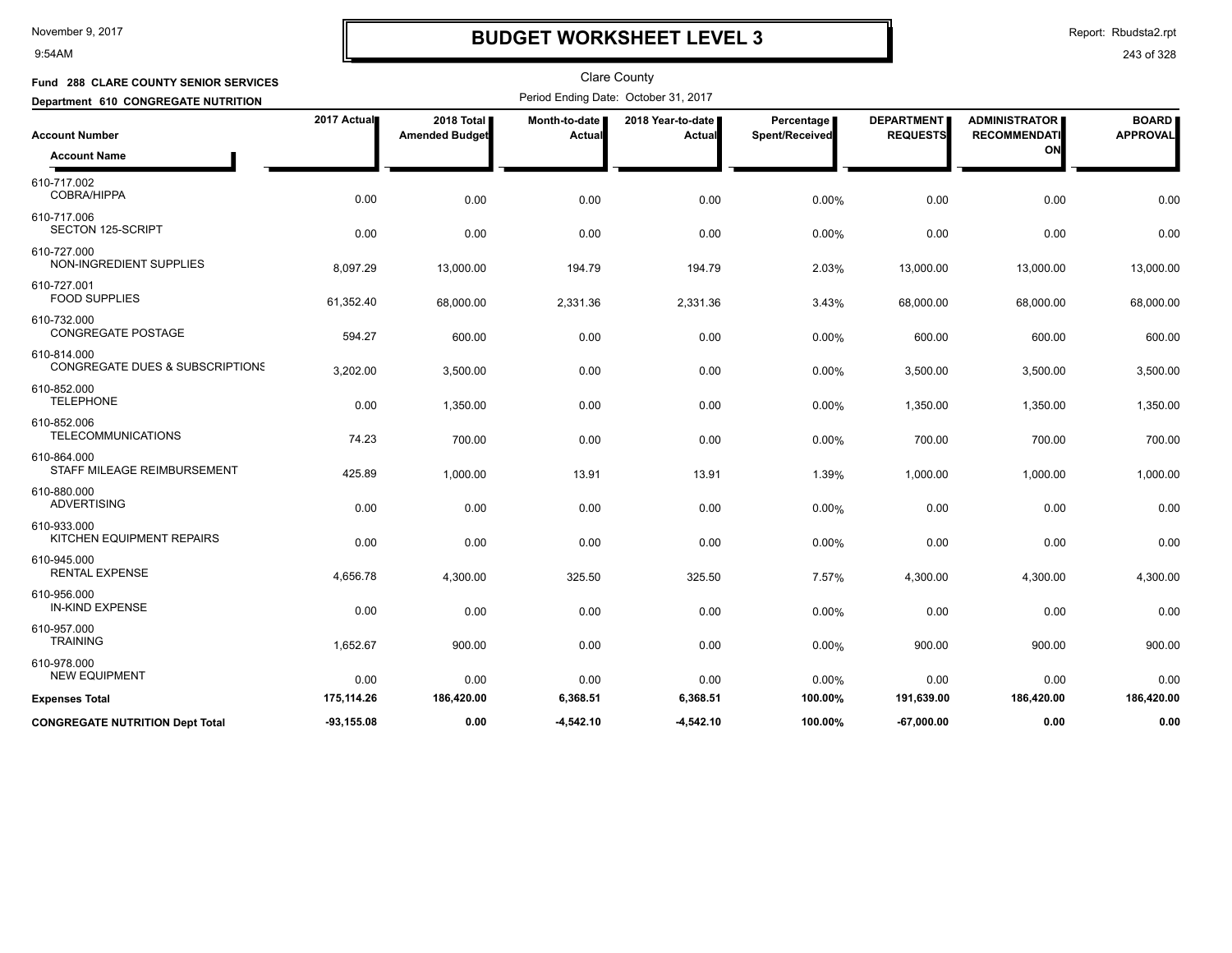9:54AM

# **BUDGET WORKSHEET LEVEL 3**

Report: Rbudsta2.rpt

| Fund 288 CLARE COUNTY SENIOR SERVICES                     |              |                                     |                           | <b>Clare County</b>                  |                              |                                      |                                             |                                 |
|-----------------------------------------------------------|--------------|-------------------------------------|---------------------------|--------------------------------------|------------------------------|--------------------------------------|---------------------------------------------|---------------------------------|
| Department 610 CONGREGATE NUTRITION                       |              |                                     |                           | Period Ending Date: October 31, 2017 |                              |                                      |                                             |                                 |
| <b>Account Number</b>                                     | 2017 Actual  | 2018 Total<br><b>Amended Budget</b> | Month-to-date  <br>Actual | 2018 Year-to-date  <br>Actual        | Percentage<br>Spent/Received | <b>DEPARTMENT</b><br><b>REQUESTS</b> | <b>ADMINISTRATOR</b><br><b>RECOMMENDATI</b> | <b>BOARD</b><br><b>APPROVAL</b> |
| <b>Account Name</b>                                       |              |                                     |                           |                                      |                              |                                      | ON                                          |                                 |
| 610-717.002<br><b>COBRA/HIPPA</b>                         | 0.00         | 0.00                                | 0.00                      | 0.00                                 | 0.00%                        | 0.00                                 | 0.00                                        | 0.00                            |
| 610-717.006<br>SECTON 125-SCRIPT                          | 0.00         | 0.00                                | 0.00                      | 0.00                                 | 0.00%                        | 0.00                                 | 0.00                                        | 0.00                            |
| 610-727.000<br>NON-INGREDIENT SUPPLIES                    | 8,097.29     | 13,000.00                           | 194.79                    | 194.79                               | 2.03%                        | 13,000.00                            | 13,000.00                                   | 13,000.00                       |
| 610-727.001<br><b>FOOD SUPPLIES</b>                       | 61,352.40    | 68,000.00                           | 2,331.36                  | 2,331.36                             | 3.43%                        | 68,000.00                            | 68,000.00                                   | 68,000.00                       |
| 610-732.000<br><b>CONGREGATE POSTAGE</b>                  | 594.27       | 600.00                              | 0.00                      | 0.00                                 | 0.00%                        | 600.00                               | 600.00                                      | 600.00                          |
| 610-814.000<br><b>CONGREGATE DUES &amp; SUBSCRIPTIONS</b> | 3,202.00     | 3,500.00                            | 0.00                      | 0.00                                 | 0.00%                        | 3,500.00                             | 3,500.00                                    | 3,500.00                        |
| 610-852.000<br><b>TELEPHONE</b>                           | 0.00         | 1,350.00                            | 0.00                      | 0.00                                 | 0.00%                        | 1,350.00                             | 1,350.00                                    | 1,350.00                        |
| 610-852.006<br><b>TELECOMMUNICATIONS</b>                  | 74.23        | 700.00                              | 0.00                      | 0.00                                 | 0.00%                        | 700.00                               | 700.00                                      | 700.00                          |
| 610-864.000<br>STAFF MILEAGE REIMBURSEMENT                | 425.89       | 1,000.00                            | 13.91                     | 13.91                                | 1.39%                        | 1,000.00                             | 1,000.00                                    | 1,000.00                        |
| 610-880.000<br><b>ADVERTISING</b>                         | 0.00         | 0.00                                | 0.00                      | 0.00                                 | 0.00%                        | 0.00                                 | 0.00                                        | 0.00                            |
| 610-933.000<br>KITCHEN EQUIPMENT REPAIRS                  | 0.00         | 0.00                                | 0.00                      | 0.00                                 | 0.00%                        | 0.00                                 | 0.00                                        | 0.00                            |
| 610-945.000<br><b>RENTAL EXPENSE</b>                      | 4,656.78     | 4,300.00                            | 325.50                    | 325.50                               | 7.57%                        | 4,300.00                             | 4,300.00                                    | 4,300.00                        |
| 610-956.000<br><b>IN-KIND EXPENSE</b>                     | 0.00         | 0.00                                | 0.00                      | 0.00                                 | 0.00%                        | 0.00                                 | 0.00                                        | 0.00                            |
| 610-957.000<br><b>TRAINING</b>                            | 1,652.67     | 900.00                              | 0.00                      | 0.00                                 | 0.00%                        | 900.00                               | 900.00                                      | 900.00                          |
| 610-978.000<br><b>NEW EQUIPMENT</b>                       | 0.00         | 0.00                                | 0.00                      | 0.00                                 | 0.00%                        | 0.00                                 | 0.00                                        | 0.00                            |
| <b>Expenses Total</b>                                     | 175,114.26   | 186,420.00                          | 6,368.51                  | 6,368.51                             | 100.00%                      | 191,639.00                           | 186,420.00                                  | 186,420.00                      |
| <b>CONGREGATE NUTRITION Dept Total</b>                    | $-93,155.08$ | 0.00                                | -4,542.10                 | $-4,542.10$                          | 100.00%                      | -67.000.00                           | 0.00                                        | 0.00                            |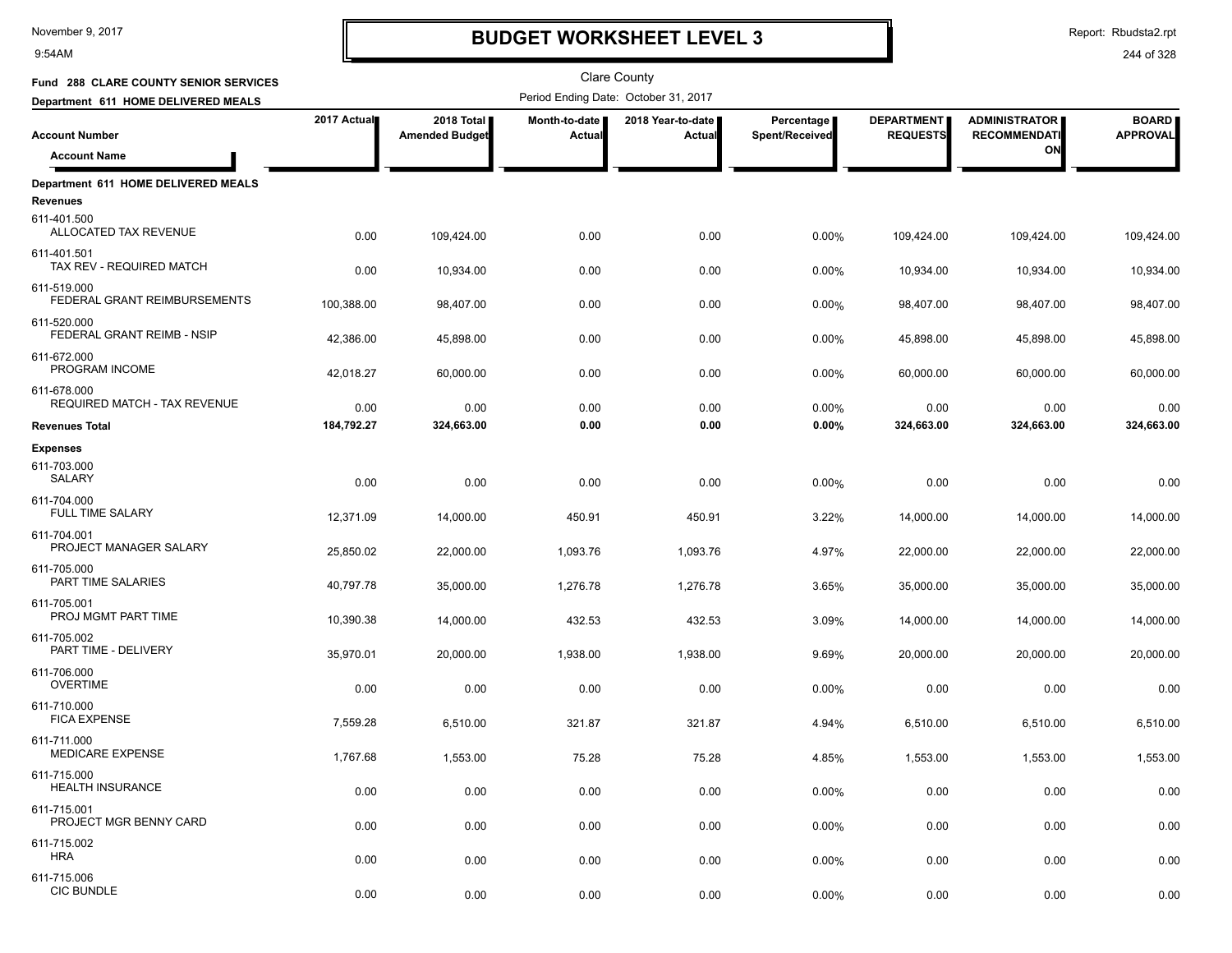9:54AM

# **BUDGET WORKSHEET LEVEL 3**

Report: Rbudsta2.rpt

| Fund 288 CLARE COUNTY SENIOR SERVICES                                 |             |                                     |                                | <b>Clare County</b>                  |                              |                                      |                                             |                                 |
|-----------------------------------------------------------------------|-------------|-------------------------------------|--------------------------------|--------------------------------------|------------------------------|--------------------------------------|---------------------------------------------|---------------------------------|
| Department 611 HOME DELIVERED MEALS                                   |             |                                     |                                | Period Ending Date: October 31, 2017 |                              |                                      |                                             |                                 |
| <b>Account Number</b>                                                 | 2017 Actual | 2018 Total<br><b>Amended Budget</b> | Month-to-date<br><b>Actual</b> | 2018 Year-to-date<br><b>Actual</b>   | Percentage<br>Spent/Received | <b>DEPARTMENT</b><br><b>REQUESTS</b> | <b>ADMINISTRATOR</b><br><b>RECOMMENDATI</b> | <b>BOARD</b><br><b>APPROVAL</b> |
| <b>Account Name</b>                                                   |             |                                     |                                |                                      |                              |                                      | ON                                          |                                 |
| Department 611 HOME DELIVERED MEALS<br><b>Revenues</b><br>611-401.500 |             |                                     |                                |                                      |                              |                                      |                                             |                                 |
| ALLOCATED TAX REVENUE                                                 | 0.00        | 109,424.00                          | 0.00                           | 0.00                                 | 0.00%                        | 109,424.00                           | 109,424.00                                  | 109,424.00                      |
| 611-401.501<br>TAX REV - REQUIRED MATCH                               | 0.00        | 10,934.00                           | 0.00                           | 0.00                                 | 0.00%                        | 10,934.00                            | 10,934.00                                   | 10,934.00                       |
| 611-519.000<br>FEDERAL GRANT REIMBURSEMENTS                           | 100,388.00  | 98,407.00                           | 0.00                           | 0.00                                 | 0.00%                        | 98,407.00                            | 98,407.00                                   | 98,407.00                       |
| 611-520.000<br>FEDERAL GRANT REIMB - NSIP                             | 42,386.00   | 45,898.00                           | 0.00                           | 0.00                                 | 0.00%                        | 45,898.00                            | 45,898.00                                   | 45,898.00                       |
| 611-672.000<br>PROGRAM INCOME                                         | 42,018.27   | 60,000.00                           | 0.00                           | 0.00                                 | 0.00%                        | 60,000.00                            | 60,000.00                                   | 60,000.00                       |
| 611-678.000<br>REQUIRED MATCH - TAX REVENUE                           | 0.00        | 0.00                                | 0.00                           | 0.00                                 | 0.00%                        | 0.00                                 | 0.00                                        | 0.00                            |
| <b>Revenues Total</b>                                                 | 184,792.27  | 324,663.00                          | 0.00                           | 0.00                                 | 0.00%                        | 324,663.00                           | 324,663.00                                  | 324,663.00                      |
| <b>Expenses</b>                                                       |             |                                     |                                |                                      |                              |                                      |                                             |                                 |
| 611-703.000<br>SALARY                                                 | 0.00        | 0.00                                | 0.00                           | 0.00                                 | 0.00%                        | 0.00                                 | 0.00                                        | 0.00                            |
| 611-704.000<br><b>FULL TIME SALARY</b>                                | 12,371.09   | 14,000.00                           | 450.91                         | 450.91                               | 3.22%                        | 14,000.00                            | 14,000.00                                   | 14,000.00                       |
| 611-704.001<br>PROJECT MANAGER SALARY                                 | 25,850.02   | 22,000.00                           | 1,093.76                       | 1,093.76                             | 4.97%                        | 22,000.00                            | 22,000.00                                   | 22,000.00                       |
| 611-705.000<br>PART TIME SALARIES                                     | 40,797.78   | 35,000.00                           | 1,276.78                       | 1,276.78                             | 3.65%                        | 35,000.00                            | 35,000.00                                   | 35,000.00                       |
| 611-705.001<br>PROJ MGMT PART TIME                                    | 10,390.38   | 14,000.00                           | 432.53                         | 432.53                               | 3.09%                        | 14,000.00                            | 14,000.00                                   | 14,000.00                       |
| 611-705.002<br>PART TIME - DELIVERY                                   | 35,970.01   | 20,000.00                           | 1,938.00                       | 1,938.00                             | 9.69%                        | 20,000.00                            | 20,000.00                                   | 20,000.00                       |
| 611-706.000<br><b>OVERTIME</b>                                        | 0.00        | 0.00                                | 0.00                           | 0.00                                 | 0.00%                        | 0.00                                 | 0.00                                        | 0.00                            |
| 611-710.000<br><b>FICA EXPENSE</b>                                    | 7,559.28    | 6,510.00                            | 321.87                         | 321.87                               | 4.94%                        | 6,510.00                             | 6,510.00                                    | 6,510.00                        |
| 611-711.000<br>MEDICARE EXPENSE                                       | 1,767.68    | 1,553.00                            | 75.28                          | 75.28                                | 4.85%                        | 1,553.00                             | 1,553.00                                    | 1,553.00                        |
| 611-715.000<br><b>HEALTH INSURANCE</b>                                | 0.00        | 0.00                                | 0.00                           | 0.00                                 | 0.00%                        | 0.00                                 | 0.00                                        | 0.00                            |
| 611-715.001<br>PROJECT MGR BENNY CARD                                 | 0.00        | 0.00                                | 0.00                           | 0.00                                 | 0.00%                        | 0.00                                 | 0.00                                        | 0.00                            |
| 611-715.002<br><b>HRA</b>                                             | 0.00        | 0.00                                | 0.00                           | 0.00                                 | 0.00%                        | 0.00                                 | 0.00                                        | 0.00                            |
| 611-715.006<br><b>CIC BUNDLE</b>                                      | 0.00        | 0.00                                | 0.00                           | 0.00                                 | 0.00%                        | 0.00                                 | 0.00                                        | 0.00                            |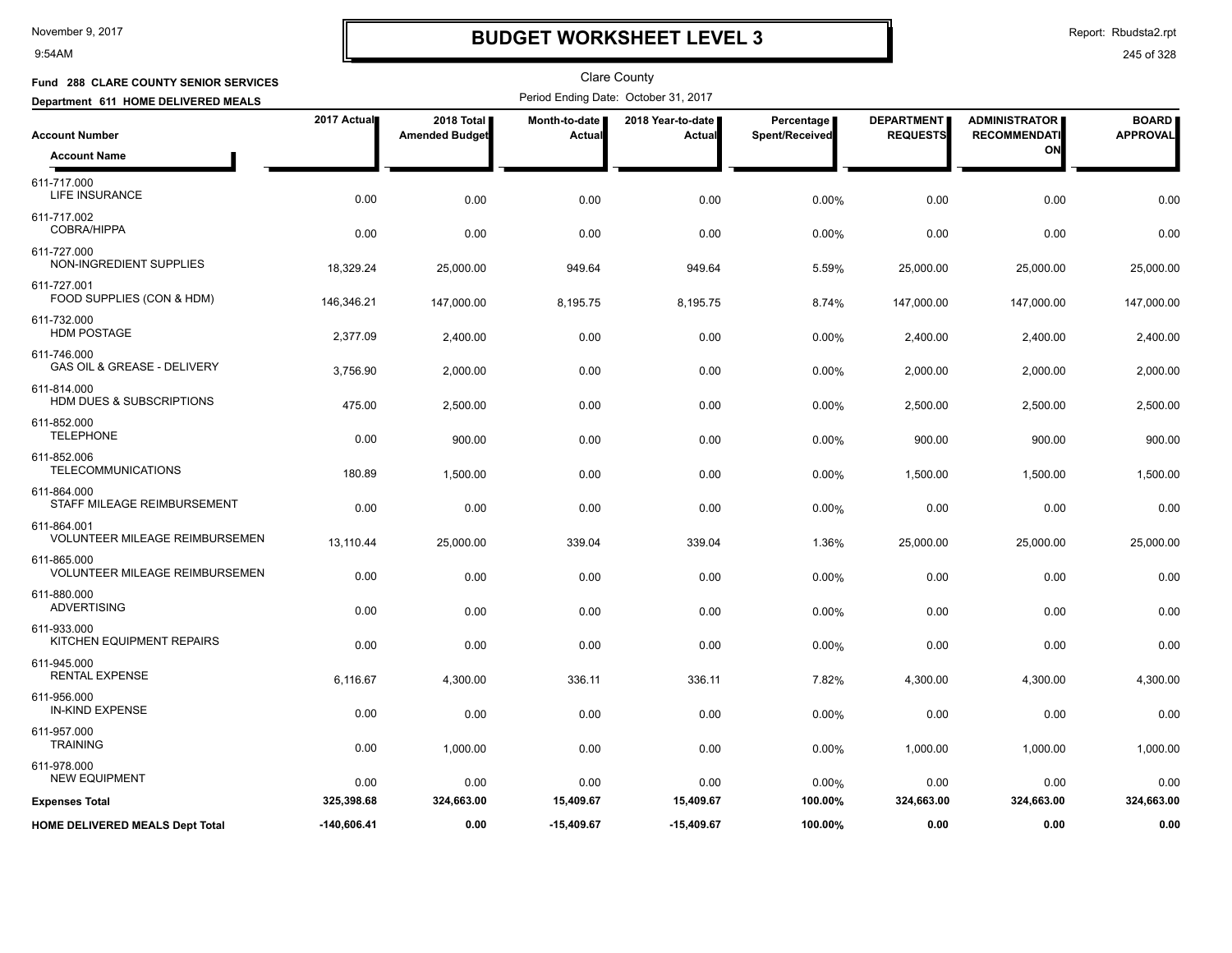9:54AM

# **BUDGET WORKSHEET LEVEL 3**

Report: Rbudsta2.rpt

| <b>Fund 288 CLARE COUNTY SENIOR SERVICES</b>         |               |                                     |                         | <b>Clare County</b>                  |                              |                                      |                                             |                                 |
|------------------------------------------------------|---------------|-------------------------------------|-------------------------|--------------------------------------|------------------------------|--------------------------------------|---------------------------------------------|---------------------------------|
| Department 611 HOME DELIVERED MEALS                  |               |                                     |                         | Period Ending Date: October 31, 2017 |                              |                                      |                                             |                                 |
| <b>Account Number</b>                                | 2017 Actual   | 2018 Total<br><b>Amended Budget</b> | Month-to-date<br>Actual | 2018 Year-to-date<br>Actual          | Percentage<br>Spent/Received | <b>DEPARTMENT</b><br><b>REQUESTS</b> | <b>ADMINISTRATOR</b><br><b>RECOMMENDATI</b> | <b>BOARD</b><br><b>APPROVAL</b> |
| <b>Account Name</b>                                  |               |                                     |                         |                                      |                              |                                      | ON                                          |                                 |
| 611-717.000<br>LIFE INSURANCE                        | 0.00          | 0.00                                | 0.00                    | 0.00                                 | 0.00%                        | 0.00                                 | 0.00                                        | 0.00                            |
| 611-717.002<br><b>COBRA/HIPPA</b>                    | 0.00          | 0.00                                | 0.00                    | 0.00                                 | 0.00%                        | 0.00                                 | 0.00                                        | 0.00                            |
| 611-727.000<br>NON-INGREDIENT SUPPLIES               | 18,329.24     | 25,000.00                           | 949.64                  | 949.64                               | 5.59%                        | 25,000.00                            | 25,000.00                                   | 25,000.00                       |
| 611-727.001<br>FOOD SUPPLIES (CON & HDM)             | 146,346.21    | 147,000.00                          | 8,195.75                | 8,195.75                             | 8.74%                        | 147,000.00                           | 147,000.00                                  | 147,000.00                      |
| 611-732.000<br><b>HDM POSTAGE</b>                    | 2,377.09      | 2,400.00                            | 0.00                    | 0.00                                 | 0.00%                        | 2,400.00                             | 2,400.00                                    | 2,400.00                        |
| 611-746.000<br>GAS OIL & GREASE - DELIVERY           | 3,756.90      | 2,000.00                            | 0.00                    | 0.00                                 | 0.00%                        | 2,000.00                             | 2,000.00                                    | 2,000.00                        |
| 611-814.000<br>HDM DUES & SUBSCRIPTIONS              | 475.00        | 2,500.00                            | 0.00                    | 0.00                                 | 0.00%                        | 2,500.00                             | 2,500.00                                    | 2,500.00                        |
| 611-852.000<br><b>TELEPHONE</b>                      | 0.00          | 900.00                              | 0.00                    | 0.00                                 | 0.00%                        | 900.00                               | 900.00                                      | 900.00                          |
| 611-852.006<br><b>TELECOMMUNICATIONS</b>             | 180.89        | 1,500.00                            | 0.00                    | 0.00                                 | 0.00%                        | 1,500.00                             | 1,500.00                                    | 1,500.00                        |
| 611-864.000<br>STAFF MILEAGE REIMBURSEMENT           | 0.00          | 0.00                                | 0.00                    | 0.00                                 | 0.00%                        | 0.00                                 | 0.00                                        | 0.00                            |
| 611-864.001<br><b>VOLUNTEER MILEAGE REIMBURSEMEN</b> | 13,110.44     | 25,000.00                           | 339.04                  | 339.04                               | 1.36%                        | 25,000.00                            | 25,000.00                                   | 25,000.00                       |
| 611-865.000<br><b>VOLUNTEER MILEAGE REIMBURSEMEN</b> | 0.00          | 0.00                                | 0.00                    | 0.00                                 | 0.00%                        | 0.00                                 | 0.00                                        | 0.00                            |
| 611-880.000<br><b>ADVERTISING</b>                    | 0.00          | 0.00                                | 0.00                    | 0.00                                 | 0.00%                        | 0.00                                 | 0.00                                        | 0.00                            |
| 611-933.000<br>KITCHEN EQUIPMENT REPAIRS             | 0.00          | 0.00                                | 0.00                    | 0.00                                 | 0.00%                        | 0.00                                 | 0.00                                        | 0.00                            |
| 611-945.000<br><b>RENTAL EXPENSE</b>                 | 6,116.67      | 4,300.00                            | 336.11                  | 336.11                               | 7.82%                        | 4,300.00                             | 4,300.00                                    | 4,300.00                        |
| 611-956.000<br><b>IN-KIND EXPENSE</b>                | 0.00          | 0.00                                | 0.00                    | 0.00                                 | 0.00%                        | 0.00                                 | 0.00                                        | 0.00                            |
| 611-957.000<br><b>TRAINING</b>                       | 0.00          | 1,000.00                            | 0.00                    | 0.00                                 | 0.00%                        | 1,000.00                             | 1,000.00                                    | 1,000.00                        |
| 611-978.000<br><b>NEW EQUIPMENT</b>                  | 0.00          | 0.00                                | 0.00                    | 0.00                                 | 0.00%                        | 0.00                                 | 0.00                                        | 0.00                            |
| <b>Expenses Total</b>                                | 325,398.68    | 324,663.00                          | 15,409.67               | 15,409.67                            | 100.00%                      | 324,663.00                           | 324,663.00                                  | 324,663.00                      |
| <b>HOME DELIVERED MEALS Dept Total</b>               | $-140,606.41$ | 0.00                                | $-15,409.67$            | $-15,409.67$                         | 100.00%                      | 0.00                                 | 0.00                                        | 0.00                            |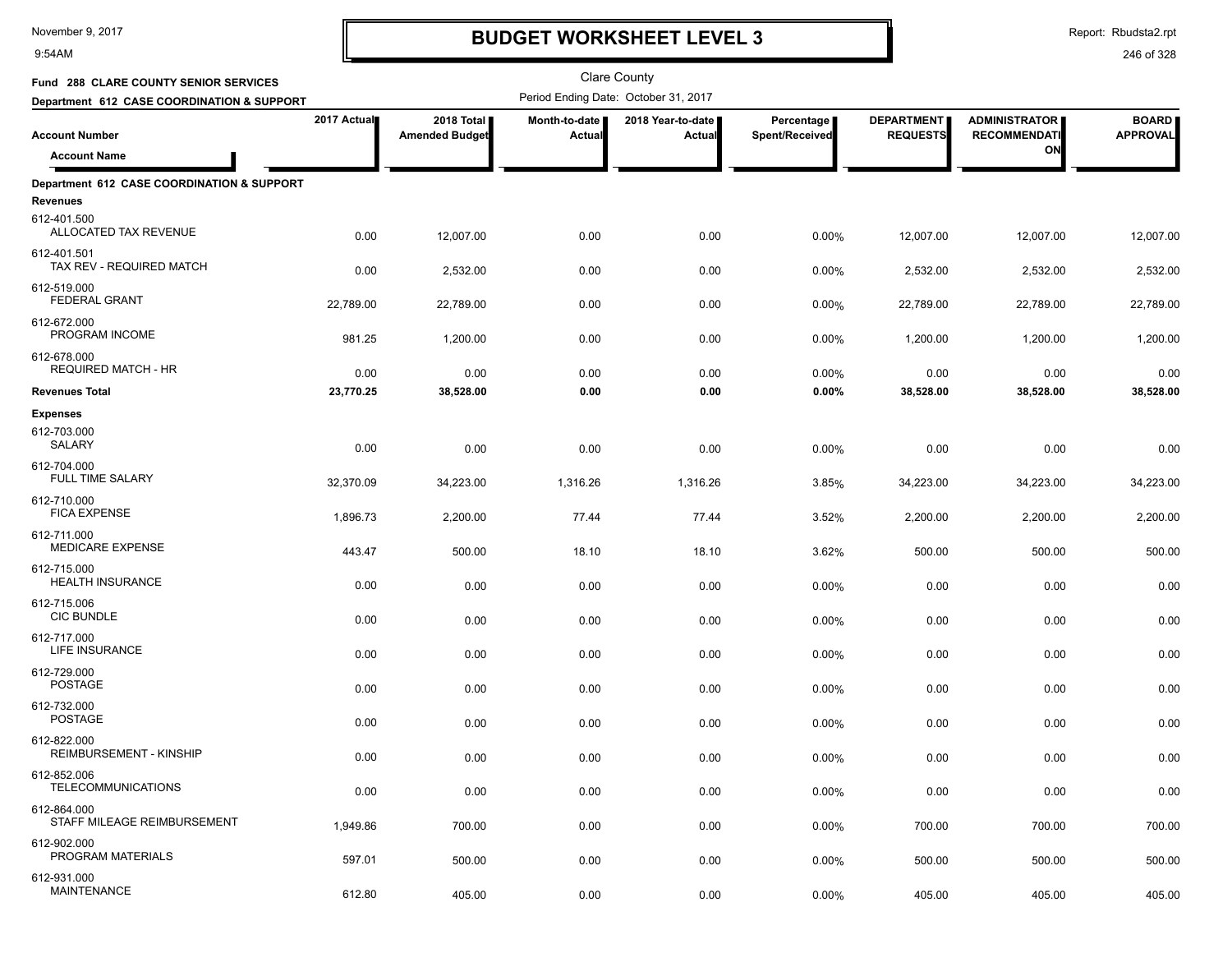9:54AM

# **BUDGET WORKSHEET LEVEL 3**

Report: Rbudsta2.rpt

| Fund 288 CLARE COUNTY SENIOR SERVICES                                 |             |                                     |                                | Clare County                         |                              |                                      |                                             |                                 |
|-----------------------------------------------------------------------|-------------|-------------------------------------|--------------------------------|--------------------------------------|------------------------------|--------------------------------------|---------------------------------------------|---------------------------------|
| Department 612 CASE COORDINATION & SUPPORT                            |             |                                     |                                | Period Ending Date: October 31, 2017 |                              |                                      |                                             |                                 |
| <b>Account Number</b>                                                 | 2017 Actual | 2018 Total<br><b>Amended Budget</b> | Month-to-date<br><b>Actual</b> | 2018 Year-to-date  <br>Actual        | Percentage<br>Spent/Received | <b>DEPARTMENT</b><br><b>REQUESTS</b> | <b>ADMINISTRATOR</b><br><b>RECOMMENDATI</b> | <b>BOARD</b><br><b>APPROVAL</b> |
| <b>Account Name</b>                                                   |             |                                     |                                |                                      |                              |                                      | ON                                          |                                 |
| Department 612 CASE COORDINATION & SUPPORT<br>Revenues<br>612-401.500 |             |                                     |                                |                                      |                              |                                      |                                             |                                 |
| ALLOCATED TAX REVENUE                                                 | 0.00        | 12,007.00                           | 0.00                           | 0.00                                 | 0.00%                        | 12,007.00                            | 12,007.00                                   | 12,007.00                       |
| 612-401.501<br>TAX REV - REQUIRED MATCH                               | 0.00        | 2,532.00                            | 0.00                           | 0.00                                 | 0.00%                        | 2,532.00                             | 2,532.00                                    | 2,532.00                        |
| 612-519.000<br><b>FEDERAL GRANT</b>                                   | 22,789.00   | 22,789.00                           | 0.00                           | 0.00                                 | 0.00%                        | 22,789.00                            | 22,789.00                                   | 22,789.00                       |
| 612-672.000<br>PROGRAM INCOME                                         | 981.25      | 1,200.00                            | 0.00                           | 0.00                                 | 0.00%                        | 1,200.00                             | 1,200.00                                    | 1,200.00                        |
| 612-678.000<br><b>REQUIRED MATCH - HR</b>                             | 0.00        | 0.00                                | 0.00                           | 0.00                                 | 0.00%                        | 0.00                                 | 0.00                                        | 0.00                            |
| <b>Revenues Total</b>                                                 | 23,770.25   | 38,528.00                           | 0.00                           | 0.00                                 | 0.00%                        | 38,528.00                            | 38,528.00                                   | 38,528.00                       |
| <b>Expenses</b><br>612-703.000<br>SALARY                              | 0.00        | 0.00                                | 0.00                           | 0.00                                 | 0.00%                        | 0.00                                 | 0.00                                        | 0.00                            |
| 612-704.000<br><b>FULL TIME SALARY</b>                                | 32,370.09   | 34,223.00                           | 1,316.26                       | 1,316.26                             | 3.85%                        | 34,223.00                            | 34,223.00                                   | 34,223.00                       |
| 612-710.000<br><b>FICA EXPENSE</b>                                    | 1,896.73    | 2,200.00                            | 77.44                          | 77.44                                | 3.52%                        | 2,200.00                             | 2,200.00                                    | 2,200.00                        |
| 612-711.000<br><b>MEDICARE EXPENSE</b>                                | 443.47      | 500.00                              | 18.10                          | 18.10                                | 3.62%                        | 500.00                               | 500.00                                      | 500.00                          |
| 612-715.000<br><b>HEALTH INSURANCE</b>                                | 0.00        | 0.00                                | 0.00                           | 0.00                                 | 0.00%                        | 0.00                                 | 0.00                                        | 0.00                            |
| 612-715.006<br><b>CIC BUNDLE</b>                                      | 0.00        | 0.00                                | 0.00                           | 0.00                                 | 0.00%                        | 0.00                                 | 0.00                                        | 0.00                            |
| 612-717.000<br>LIFE INSURANCE                                         | 0.00        | 0.00                                | 0.00                           | 0.00                                 | 0.00%                        | 0.00                                 | 0.00                                        | 0.00                            |
| 612-729.000<br><b>POSTAGE</b>                                         | 0.00        | 0.00                                | 0.00                           | 0.00                                 | 0.00%                        | 0.00                                 | 0.00                                        | 0.00                            |
| 612-732.000<br><b>POSTAGE</b>                                         | 0.00        | 0.00                                | 0.00                           | 0.00                                 | 0.00%                        | 0.00                                 | 0.00                                        | 0.00                            |
| 612-822.000<br>REIMBURSEMENT - KINSHIP                                | 0.00        | 0.00                                | 0.00                           | 0.00                                 | 0.00%                        | 0.00                                 | 0.00                                        | 0.00                            |
| 612-852.006<br><b>TELECOMMUNICATIONS</b>                              | 0.00        | 0.00                                | 0.00                           | 0.00                                 | 0.00%                        | 0.00                                 | 0.00                                        | 0.00                            |
| 612-864.000<br>STAFF MILEAGE REIMBURSEMENT                            | 1,949.86    | 700.00                              | 0.00                           | 0.00                                 | 0.00%                        | 700.00                               | 700.00                                      | 700.00                          |
| 612-902.000<br>PROGRAM MATERIALS                                      | 597.01      | 500.00                              | 0.00                           | 0.00                                 | 0.00%                        | 500.00                               | 500.00                                      | 500.00                          |
| 612-931.000<br><b>MAINTENANCE</b>                                     | 612.80      | 405.00                              | 0.00                           | 0.00                                 | 0.00%                        | 405.00                               | 405.00                                      | 405.00                          |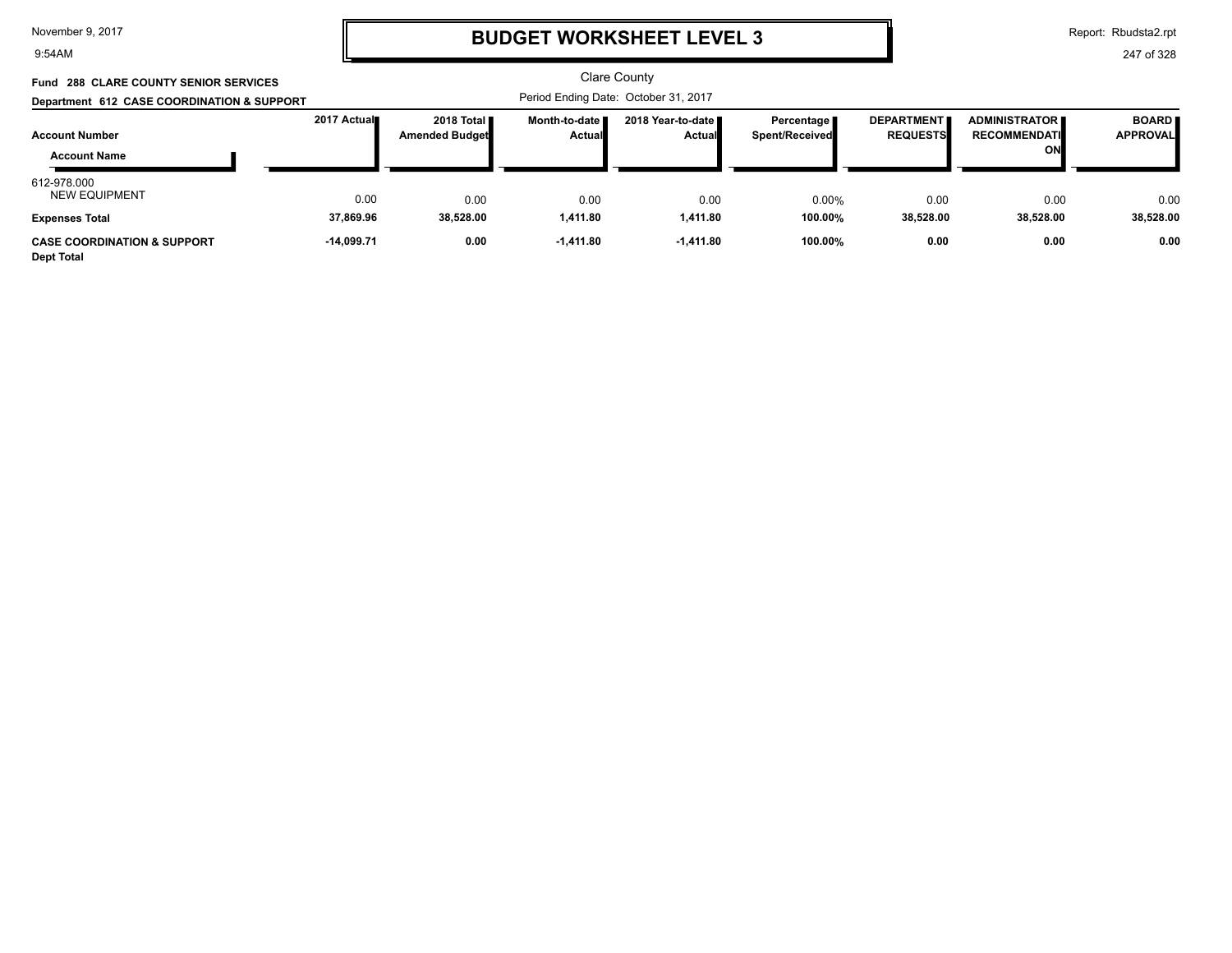#### 9:54AM

### **BUDGET WORKSHEET LEVEL 3**

Report: Rbudsta2.rpt

| Fund 288 CLARE COUNTY SENIOR SERVICES<br>Department 612 CASE COORDINATION & SUPPORT |              |                                     |                                  | <b>Clare County</b><br>Period Ending Date: October 31, 2017 |                                              |                                      |                                                   |                                 |
|-------------------------------------------------------------------------------------|--------------|-------------------------------------|----------------------------------|-------------------------------------------------------------|----------------------------------------------|--------------------------------------|---------------------------------------------------|---------------------------------|
| <b>Account Number</b><br><b>Account Name</b>                                        | 2017 Actual  | 2018 Total<br><b>Amended Budget</b> | Month-to-date I<br><b>Actual</b> | 2018 Year-to-date ■<br><b>Actual</b>                        | Percentage <b>P</b><br><b>Spent/Received</b> | <b>DEPARTMENT</b><br><b>REQUESTS</b> | <b>ADMINISTRATOR</b><br><b>RECOMMENDATI</b><br>ON | <b>BOARD</b><br><b>APPROVAL</b> |
| 612-978.000<br><b>NEW EQUIPMENT</b>                                                 | 0.00         | 0.00                                | 0.00                             | 0.00                                                        | 0.00%                                        | 0.00                                 | 0.00                                              | 0.00                            |
| <b>Expenses Total</b>                                                               | 37.869.96    | 38.528.00                           | 1.411.80                         | 1.411.80                                                    | 100.00%                                      | 38.528.00                            | 38.528.00                                         | 38,528.00                       |
| <b>CASE COORDINATION &amp; SUPPORT</b><br><b>Dept Total</b>                         | $-14.099.71$ | 0.00                                | $-1,411.80$                      | $-1,411.80$                                                 | 100.00%                                      | 0.00                                 | 0.00                                              | 0.00                            |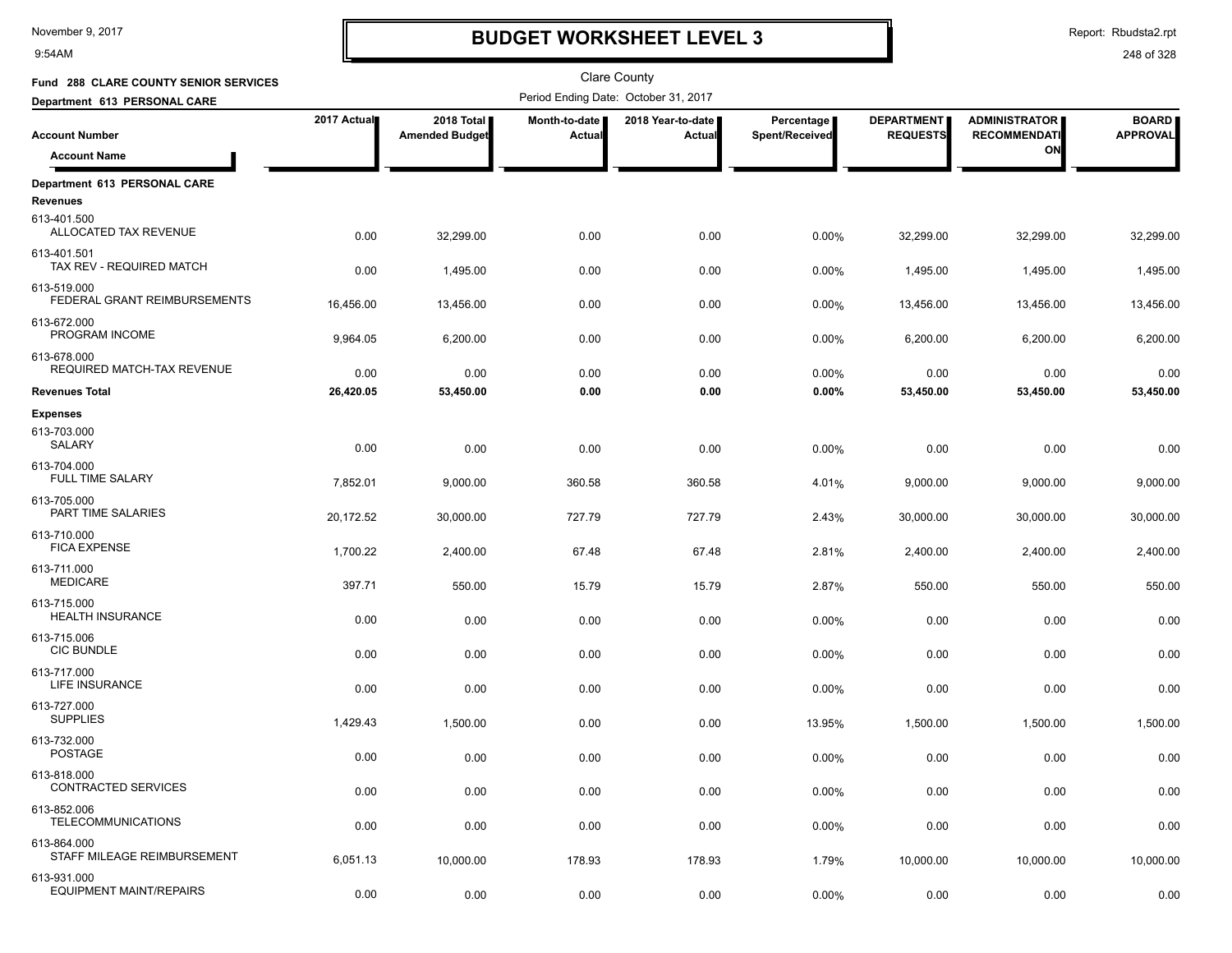9:54AM

### **BUDGET WORKSHEET LEVEL 3**

Report: Rbudsta2.rpt

| <b>Fund 288 CLARE COUNTY SENIOR SERVICES</b>            |             |                                     |                         | <b>Clare County</b>                  |                              |                                      |                                             |                                 |
|---------------------------------------------------------|-------------|-------------------------------------|-------------------------|--------------------------------------|------------------------------|--------------------------------------|---------------------------------------------|---------------------------------|
| Department 613 PERSONAL CARE                            |             |                                     |                         | Period Ending Date: October 31, 2017 |                              |                                      |                                             |                                 |
| <b>Account Number</b>                                   | 2017 Actual | 2018 Total<br><b>Amended Budget</b> | Month-to-date<br>Actual | 2018 Year-to-date  <br>Actual        | Percentage<br>Spent/Received | <b>DEPARTMENT</b><br><b>REQUESTS</b> | <b>ADMINISTRATOR</b><br><b>RECOMMENDATI</b> | <b>BOARD</b><br><b>APPROVAL</b> |
| <b>Account Name</b>                                     |             |                                     |                         |                                      |                              |                                      | ON                                          |                                 |
| Department 613 PERSONAL CARE<br>Revenues<br>613-401.500 |             |                                     |                         |                                      |                              |                                      |                                             |                                 |
| ALLOCATED TAX REVENUE                                   | 0.00        | 32,299.00                           | 0.00                    | 0.00                                 | 0.00%                        | 32,299.00                            | 32,299.00                                   | 32,299.00                       |
| 613-401.501<br>TAX REV - REQUIRED MATCH                 | 0.00        | 1,495.00                            | 0.00                    | 0.00                                 | 0.00%                        | 1.495.00                             | 1,495.00                                    | 1,495.00                        |
| 613-519.000<br>FEDERAL GRANT REIMBURSEMENTS             | 16,456.00   | 13,456.00                           | 0.00                    | 0.00                                 | 0.00%                        | 13,456.00                            | 13,456.00                                   | 13,456.00                       |
| 613-672.000<br>PROGRAM INCOME                           | 9,964.05    | 6,200.00                            | 0.00                    | 0.00                                 | 0.00%                        | 6,200.00                             | 6,200.00                                    | 6,200.00                        |
| 613-678.000<br>REQUIRED MATCH-TAX REVENUE               | 0.00        | 0.00                                | 0.00                    | 0.00                                 | 0.00%                        | 0.00                                 | 0.00                                        | 0.00                            |
| <b>Revenues Total</b>                                   | 26,420.05   | 53,450.00                           | 0.00                    | 0.00                                 | 0.00%                        | 53,450.00                            | 53,450.00                                   | 53,450.00                       |
| <b>Expenses</b><br>613-703.000<br>SALARY                | 0.00        | 0.00                                | 0.00                    | 0.00                                 | 0.00%                        | 0.00                                 | 0.00                                        | 0.00                            |
| 613-704.000<br><b>FULL TIME SALARY</b>                  | 7,852.01    | 9,000.00                            | 360.58                  | 360.58                               | 4.01%                        | 9,000.00                             | 9,000.00                                    | 9,000.00                        |
| 613-705.000<br>PART TIME SALARIES                       | 20,172.52   | 30,000.00                           | 727.79                  | 727.79                               | 2.43%                        | 30,000.00                            | 30,000.00                                   | 30,000.00                       |
| 613-710.000<br><b>FICA EXPENSE</b>                      | 1,700.22    | 2,400.00                            | 67.48                   | 67.48                                | 2.81%                        | 2,400.00                             | 2,400.00                                    | 2,400.00                        |
| 613-711.000<br><b>MEDICARE</b>                          | 397.71      | 550.00                              | 15.79                   | 15.79                                | 2.87%                        | 550.00                               | 550.00                                      | 550.00                          |
| 613-715.000<br><b>HEALTH INSURANCE</b>                  | 0.00        | 0.00                                | 0.00                    | 0.00                                 | 0.00%                        | 0.00                                 | 0.00                                        | 0.00                            |
| 613-715.006<br><b>CIC BUNDLE</b>                        | 0.00        | 0.00                                | 0.00                    | 0.00                                 | 0.00%                        | 0.00                                 | 0.00                                        | 0.00                            |
| 613-717.000<br>LIFE INSURANCE                           | 0.00        | 0.00                                | 0.00                    | 0.00                                 | 0.00%                        | 0.00                                 | 0.00                                        | 0.00                            |
| 613-727.000<br><b>SUPPLIES</b>                          | 1,429.43    | 1,500.00                            | 0.00                    | 0.00                                 | 13.95%                       | 1,500.00                             | 1,500.00                                    | 1,500.00                        |
| 613-732.000<br>POSTAGE                                  | 0.00        | 0.00                                | 0.00                    | 0.00                                 | 0.00%                        | 0.00                                 | 0.00                                        | 0.00                            |
| 613-818.000<br><b>CONTRACTED SERVICES</b>               | 0.00        | 0.00                                | 0.00                    | 0.00                                 | 0.00%                        | 0.00                                 | 0.00                                        | 0.00                            |
| 613-852.006<br><b>TELECOMMUNICATIONS</b>                | 0.00        | 0.00                                | 0.00                    | 0.00                                 | 0.00%                        | 0.00                                 | 0.00                                        | 0.00                            |
| 613-864.000<br>STAFF MILEAGE REIMBURSEMENT              | 6,051.13    | 10,000.00                           | 178.93                  | 178.93                               | 1.79%                        | 10,000.00                            | 10,000.00                                   | 10,000.00                       |
| 613-931.000<br><b>EQUIPMENT MAINT/REPAIRS</b>           | 0.00        | 0.00                                | 0.00                    | 0.00                                 | $0.00\%$                     | 0.00                                 | 0.00                                        | 0.00                            |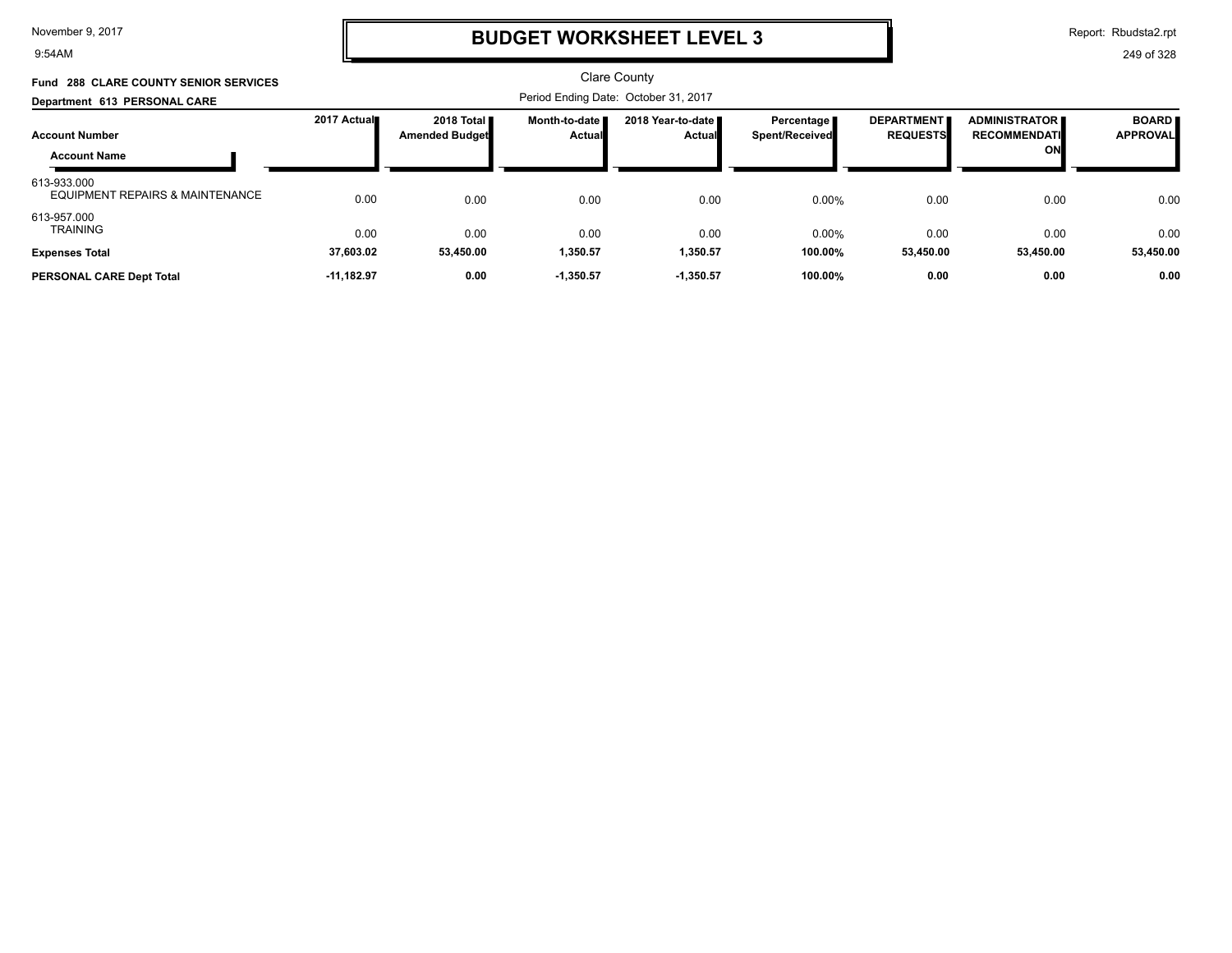9:54AM

## **BUDGET WORKSHEET LEVEL 3**

Report: Rbudsta2.rpt

| Fund 288 CLARE COUNTY SENIOR SERVICES          |              |                                              |                                  | <b>Clare County</b>                   |                                     |                                      |                                            |                                 |
|------------------------------------------------|--------------|----------------------------------------------|----------------------------------|---------------------------------------|-------------------------------------|--------------------------------------|--------------------------------------------|---------------------------------|
| Department 613 PERSONAL CARE                   |              |                                              |                                  | Period Ending Date: October 31, 2017  |                                     |                                      |                                            |                                 |
| <b>Account Number</b><br><b>Account Name</b>   | 2017 Actual∎ | 2018 Total <b>I</b><br><b>Amended Budget</b> | Month-to-date I<br><b>Actual</b> | 2018 Year-to-date II<br><b>Actual</b> | Percentage<br><b>Spent/Received</b> | <b>DEPARTMENT</b><br><b>REQUESTS</b> | ADMINISTRATOR<br><b>RECOMMENDATI</b><br>ON | <b>BOARD</b><br><b>APPROVAL</b> |
| 613-933.000<br>EQUIPMENT REPAIRS & MAINTENANCE | 0.00         | 0.00                                         | 0.00                             | 0.00                                  | 0.00%                               | 0.00                                 | 0.00                                       | 0.00                            |
| 613-957.000<br><b>TRAINING</b>                 | 0.00         | 0.00                                         | 0.00                             | 0.00                                  | 0.00%                               | 0.00                                 | 0.00                                       | 0.00                            |
| <b>Expenses Total</b>                          | 37,603.02    | 53,450.00                                    | 1,350.57                         | 1,350.57                              | 100.00%                             | 53,450.00                            | 53,450.00                                  | 53,450.00                       |
| PERSONAL CARE Dept Total                       | $-11.182.97$ | 0.00                                         | $-1.350.57$                      | $-1.350.57$                           | 100.00%                             | 0.00                                 | 0.00                                       | 0.00                            |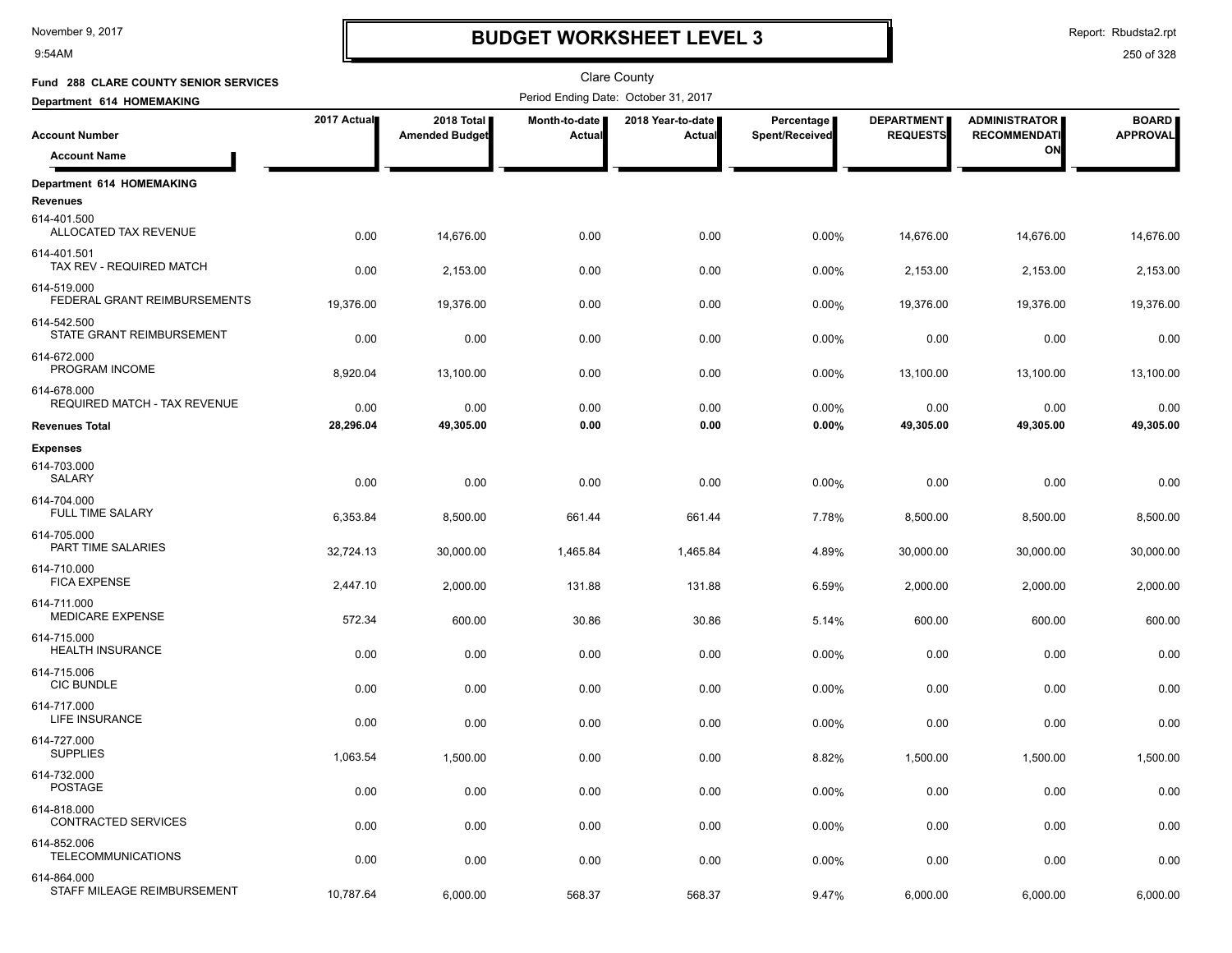9:54AM

# **BUDGET WORKSHEET LEVEL 3**

Report: Rbudsta2.rpt

| Fund 288 CLARE COUNTY SENIOR SERVICES        |             |                                     |                         | Clare County                         |                              |                                      |                                             |                                 |
|----------------------------------------------|-------------|-------------------------------------|-------------------------|--------------------------------------|------------------------------|--------------------------------------|---------------------------------------------|---------------------------------|
| Department 614 HOMEMAKING                    |             |                                     |                         | Period Ending Date: October 31, 2017 |                              |                                      |                                             |                                 |
| <b>Account Number</b>                        | 2017 Actual | 2018 Total<br><b>Amended Budget</b> | Month-to-date<br>Actual | 2018 Year-to-date<br>Actual          | Percentage<br>Spent/Received | <b>DEPARTMENT</b><br><b>REQUESTS</b> | <b>ADMINISTRATOR</b><br><b>RECOMMENDATI</b> | <b>BOARD</b><br><b>APPROVAL</b> |
| <b>Account Name</b>                          |             |                                     |                         |                                      |                              |                                      | ON                                          |                                 |
| Department 614 HOMEMAKING<br><b>Revenues</b> |             |                                     |                         |                                      |                              |                                      |                                             |                                 |
| 614-401.500<br>ALLOCATED TAX REVENUE         | 0.00        | 14,676.00                           | 0.00                    | 0.00                                 | 0.00%                        | 14,676.00                            | 14,676.00                                   | 14,676.00                       |
| 614-401.501<br>TAX REV - REQUIRED MATCH      | 0.00        | 2,153.00                            | 0.00                    | 0.00                                 | 0.00%                        | 2,153.00                             | 2,153.00                                    | 2,153.00                        |
| 614-519.000<br>FEDERAL GRANT REIMBURSEMENTS  | 19,376.00   | 19,376.00                           | 0.00                    | 0.00                                 | 0.00%                        | 19,376.00                            | 19,376.00                                   | 19,376.00                       |
| 614-542.500<br>STATE GRANT REIMBURSEMENT     | 0.00        | 0.00                                | 0.00                    | 0.00                                 | 0.00%                        | 0.00                                 | 0.00                                        | 0.00                            |
| 614-672.000<br>PROGRAM INCOME                | 8,920.04    | 13,100.00                           | 0.00                    | 0.00                                 | 0.00%                        | 13,100.00                            | 13,100.00                                   | 13,100.00                       |
| 614-678.000<br>REQUIRED MATCH - TAX REVENUE  | 0.00        | 0.00                                | 0.00                    | 0.00                                 | 0.00%                        | 0.00                                 | 0.00                                        | 0.00                            |
| <b>Revenues Total</b>                        | 28,296.04   | 49,305.00                           | 0.00                    | 0.00                                 | 0.00%                        | 49,305.00                            | 49,305.00                                   | 49,305.00                       |
| <b>Expenses</b>                              |             |                                     |                         |                                      |                              |                                      |                                             |                                 |
| 614-703.000<br>SALARY                        | 0.00        | 0.00                                | 0.00                    | 0.00                                 | 0.00%                        | 0.00                                 | 0.00                                        | 0.00                            |
| 614-704.000<br><b>FULL TIME SALARY</b>       | 6,353.84    | 8,500.00                            | 661.44                  | 661.44                               | 7.78%                        | 8,500.00                             | 8,500.00                                    | 8,500.00                        |
| 614-705.000<br>PART TIME SALARIES            | 32,724.13   | 30,000.00                           | 1,465.84                | 1,465.84                             | 4.89%                        | 30,000.00                            | 30,000.00                                   | 30,000.00                       |
| 614-710.000<br><b>FICA EXPENSE</b>           | 2,447.10    | 2,000.00                            | 131.88                  | 131.88                               | 6.59%                        | 2,000.00                             | 2,000.00                                    | 2,000.00                        |
| 614-711.000<br><b>MEDICARE EXPENSE</b>       | 572.34      | 600.00                              | 30.86                   | 30.86                                | 5.14%                        | 600.00                               | 600.00                                      | 600.00                          |
| 614-715.000<br><b>HEALTH INSURANCE</b>       | 0.00        | 0.00                                | 0.00                    | 0.00                                 | 0.00%                        | 0.00                                 | 0.00                                        | 0.00                            |
| 614-715.006<br><b>CIC BUNDLE</b>             | 0.00        | 0.00                                | 0.00                    | 0.00                                 | 0.00%                        | 0.00                                 | 0.00                                        | 0.00                            |
| 614-717.000<br>LIFE INSURANCE                | 0.00        | 0.00                                | 0.00                    | 0.00                                 | 0.00%                        | 0.00                                 | 0.00                                        | 0.00                            |
| 614-727.000<br><b>SUPPLIES</b>               | 1,063.54    | 1,500.00                            | 0.00                    | 0.00                                 | 8.82%                        | 1,500.00                             | 1,500.00                                    | 1,500.00                        |
| 614-732.000<br><b>POSTAGE</b>                | 0.00        | 0.00                                | 0.00                    | 0.00                                 | 0.00%                        | 0.00                                 | 0.00                                        | 0.00                            |
| 614-818.000<br>CONTRACTED SERVICES           | 0.00        | 0.00                                | 0.00                    | 0.00                                 | 0.00%                        | 0.00                                 | 0.00                                        | 0.00                            |
| 614-852.006<br><b>TELECOMMUNICATIONS</b>     | 0.00        | 0.00                                | 0.00                    | 0.00                                 | 0.00%                        | 0.00                                 | 0.00                                        | 0.00                            |
| 614-864.000<br>STAFF MILEAGE REIMBURSEMENT   | 10,787.64   | 6,000.00                            | 568.37                  | 568.37                               | 9.47%                        | 6,000.00                             | 6,000.00                                    | 6,000.00                        |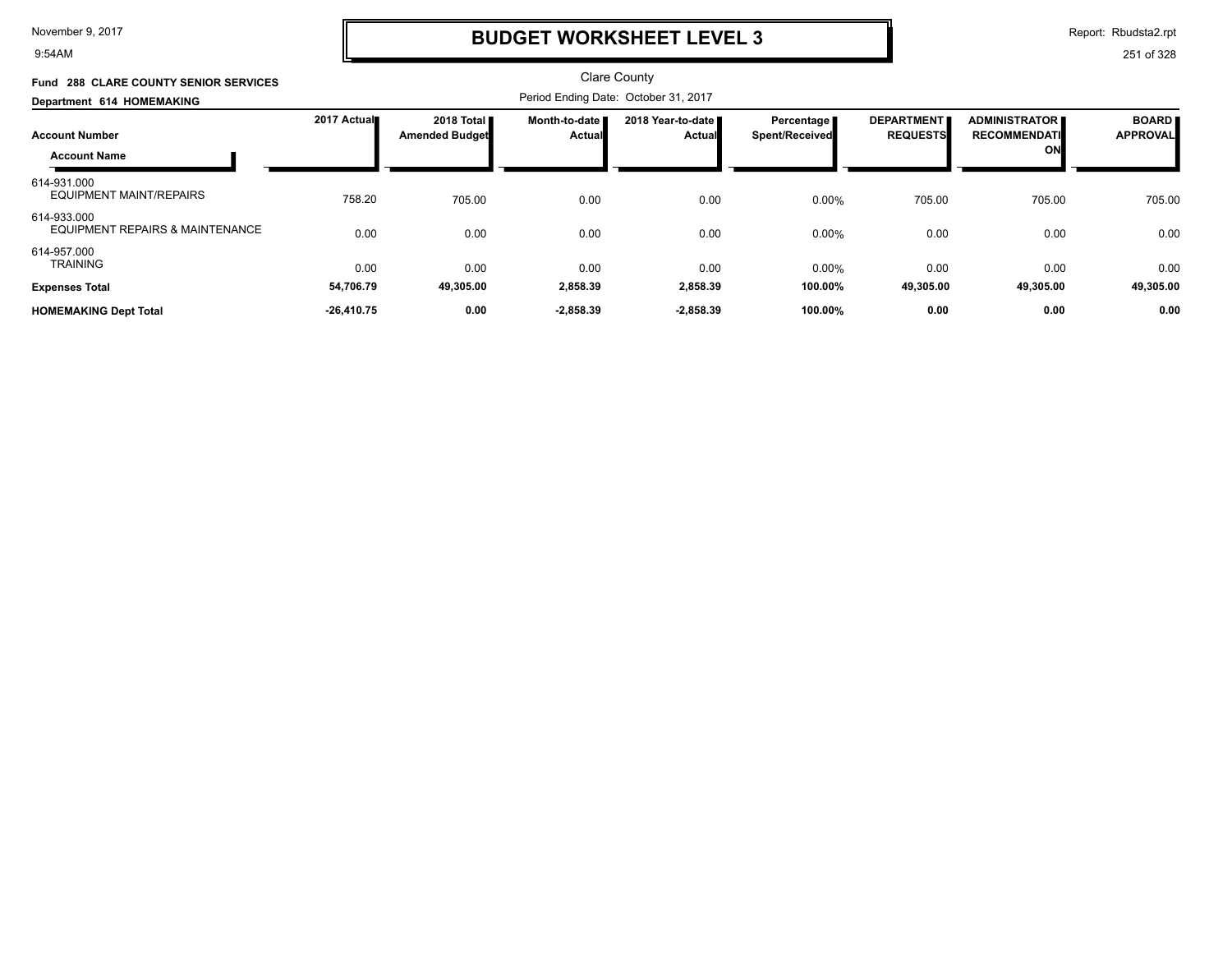9:54AM

# **BUDGET WORKSHEET LEVEL 3**

Report: Rbudsta2.rpt

| <b>Fund 288 CLARE COUNTY SENIOR SERVICES</b><br>Department 614 HOMEMAKING | <b>Clare County</b><br>Period Ending Date: October 31, 2017 |                                     |                                |                                    |                                     |                                      |                                            |                                 |
|---------------------------------------------------------------------------|-------------------------------------------------------------|-------------------------------------|--------------------------------|------------------------------------|-------------------------------------|--------------------------------------|--------------------------------------------|---------------------------------|
| <b>Account Number</b><br><b>Account Name</b>                              | 2017 Actual                                                 | 2018 Total<br><b>Amended Budget</b> | Month-to-date<br><b>Actual</b> | 2018 Year-to-date<br><b>Actual</b> | Percentage<br><b>Spent/Received</b> | <b>DEPARTMENT</b><br><b>REQUESTS</b> | ADMINISTRATOR<br><b>RECOMMENDATI</b><br>ON | <b>BOARD</b><br><b>APPROVAL</b> |
| 614-931.000<br><b>EQUIPMENT MAINT/REPAIRS</b>                             | 758.20                                                      | 705.00                              | 0.00                           | 0.00                               | 0.00%                               | 705.00                               | 705.00                                     | 705.00                          |
| 614-933.000<br><b>EQUIPMENT REPAIRS &amp; MAINTENANCE</b>                 | 0.00                                                        | 0.00                                | 0.00                           | 0.00                               | 0.00%                               | 0.00                                 | 0.00                                       | 0.00                            |
| 614-957.000<br><b>TRAINING</b><br><b>Expenses Total</b>                   | 0.00<br>54,706.79                                           | 0.00<br>49,305.00                   | 0.00<br>2,858.39               | 0.00<br>2,858.39                   | 0.00%<br>100.00%                    | 0.00<br>49,305.00                    | 0.00<br>49,305.00                          | 0.00<br>49,305.00               |
| <b>HOMEMAKING Dept Total</b>                                              | $-26,410.75$                                                | 0.00                                | $-2,858.39$                    | $-2,858.39$                        | 100.00%                             | 0.00                                 | 0.00                                       | 0.00                            |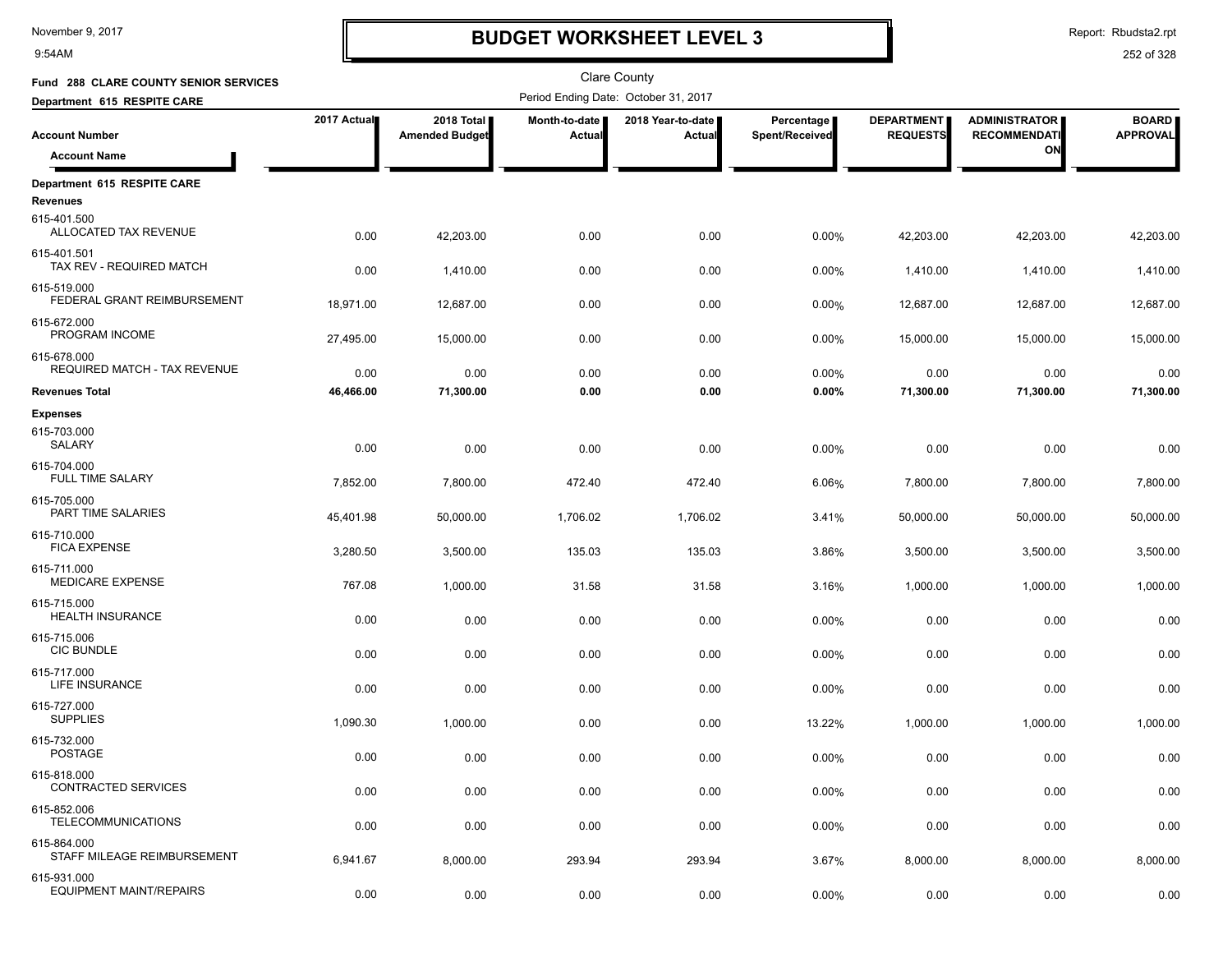9:54AM

### **BUDGET WORKSHEET LEVEL 3**

Report: Rbudsta2.rpt

| Fund 288 CLARE COUNTY SENIOR SERVICES         |             |                                     |                         | <b>Clare County</b>                  |                              |                                      |                                             |                                 |
|-----------------------------------------------|-------------|-------------------------------------|-------------------------|--------------------------------------|------------------------------|--------------------------------------|---------------------------------------------|---------------------------------|
| Department 615 RESPITE CARE                   |             |                                     |                         | Period Ending Date: October 31, 2017 |                              |                                      |                                             |                                 |
| <b>Account Number</b>                         | 2017 Actual | 2018 Total<br><b>Amended Budget</b> | Month-to-date<br>Actual | 2018 Year-to-date  <br>Actual        | Percentage<br>Spent/Received | <b>DEPARTMENT</b><br><b>REQUESTS</b> | <b>ADMINISTRATOR</b><br><b>RECOMMENDATI</b> | <b>BOARD</b><br><b>APPROVAL</b> |
| <b>Account Name</b>                           |             |                                     |                         |                                      |                              |                                      | ON                                          |                                 |
| Department 615 RESPITE CARE<br>Revenues       |             |                                     |                         |                                      |                              |                                      |                                             |                                 |
| 615-401.500<br>ALLOCATED TAX REVENUE          | 0.00        | 42,203.00                           | 0.00                    | 0.00                                 | 0.00%                        | 42,203.00                            | 42,203.00                                   | 42,203.00                       |
| 615-401.501<br>TAX REV - REQUIRED MATCH       | 0.00        | 1,410.00                            | 0.00                    | 0.00                                 | 0.00%                        | 1,410.00                             | 1,410.00                                    | 1,410.00                        |
| 615-519.000<br>FEDERAL GRANT REIMBURSEMENT    | 18,971.00   | 12,687.00                           | 0.00                    | 0.00                                 | 0.00%                        | 12,687.00                            | 12,687.00                                   | 12,687.00                       |
| 615-672.000<br>PROGRAM INCOME                 | 27,495.00   | 15,000.00                           | 0.00                    | 0.00                                 | 0.00%                        | 15,000.00                            | 15,000.00                                   | 15,000.00                       |
| 615-678.000<br>REQUIRED MATCH - TAX REVENUE   | 0.00        | 0.00                                | 0.00                    | 0.00                                 | 0.00%                        | 0.00                                 | 0.00                                        | 0.00                            |
| <b>Revenues Total</b>                         | 46,466.00   | 71,300.00                           | 0.00                    | 0.00                                 | 0.00%                        | 71,300.00                            | 71,300.00                                   | 71,300.00                       |
| <b>Expenses</b><br>615-703.000<br>SALARY      | 0.00        | 0.00                                | 0.00                    | 0.00                                 | 0.00%                        | 0.00                                 | 0.00                                        | 0.00                            |
| 615-704.000<br><b>FULL TIME SALARY</b>        | 7,852.00    | 7,800.00                            | 472.40                  | 472.40                               | 6.06%                        | 7,800.00                             | 7,800.00                                    | 7,800.00                        |
| 615-705.000<br>PART TIME SALARIES             | 45,401.98   | 50,000.00                           | 1,706.02                | 1,706.02                             | 3.41%                        | 50,000.00                            | 50,000.00                                   | 50,000.00                       |
| 615-710.000<br><b>FICA EXPENSE</b>            | 3,280.50    | 3,500.00                            | 135.03                  | 135.03                               | 3.86%                        | 3,500.00                             | 3,500.00                                    | 3,500.00                        |
| 615-711.000<br><b>MEDICARE EXPENSE</b>        | 767.08      | 1,000.00                            | 31.58                   | 31.58                                | 3.16%                        | 1,000.00                             | 1,000.00                                    | 1,000.00                        |
| 615-715.000<br><b>HEALTH INSURANCE</b>        | 0.00        | 0.00                                | 0.00                    | 0.00                                 | 0.00%                        | 0.00                                 | 0.00                                        | 0.00                            |
| 615-715.006<br><b>CIC BUNDLE</b>              | 0.00        | 0.00                                | 0.00                    | 0.00                                 | 0.00%                        | 0.00                                 | 0.00                                        | 0.00                            |
| 615-717.000<br>LIFE INSURANCE                 | 0.00        | 0.00                                | 0.00                    | 0.00                                 | 0.00%                        | 0.00                                 | 0.00                                        | 0.00                            |
| 615-727.000<br><b>SUPPLIES</b>                | 1,090.30    | 1,000.00                            | 0.00                    | 0.00                                 | 13.22%                       | 1,000.00                             | 1,000.00                                    | 1,000.00                        |
| 615-732.000<br><b>POSTAGE</b>                 | 0.00        | 0.00                                | 0.00                    | 0.00                                 | 0.00%                        | 0.00                                 | 0.00                                        | 0.00                            |
| 615-818.000<br>CONTRACTED SERVICES            | 0.00        | 0.00                                | 0.00                    | 0.00                                 | 0.00%                        | 0.00                                 | 0.00                                        | 0.00                            |
| 615-852.006<br><b>TELECOMMUNICATIONS</b>      | 0.00        | 0.00                                | 0.00                    | 0.00                                 | 0.00%                        | 0.00                                 | 0.00                                        | 0.00                            |
| 615-864.000<br>STAFF MILEAGE REIMBURSEMENT    | 6,941.67    | 8,000.00                            | 293.94                  | 293.94                               | 3.67%                        | 8,000.00                             | 8,000.00                                    | 8,000.00                        |
| 615-931.000<br><b>EQUIPMENT MAINT/REPAIRS</b> | 0.00        | 0.00                                | 0.00                    | 0.00                                 | $0.00\%$                     | 0.00                                 | 0.00                                        | 0.00                            |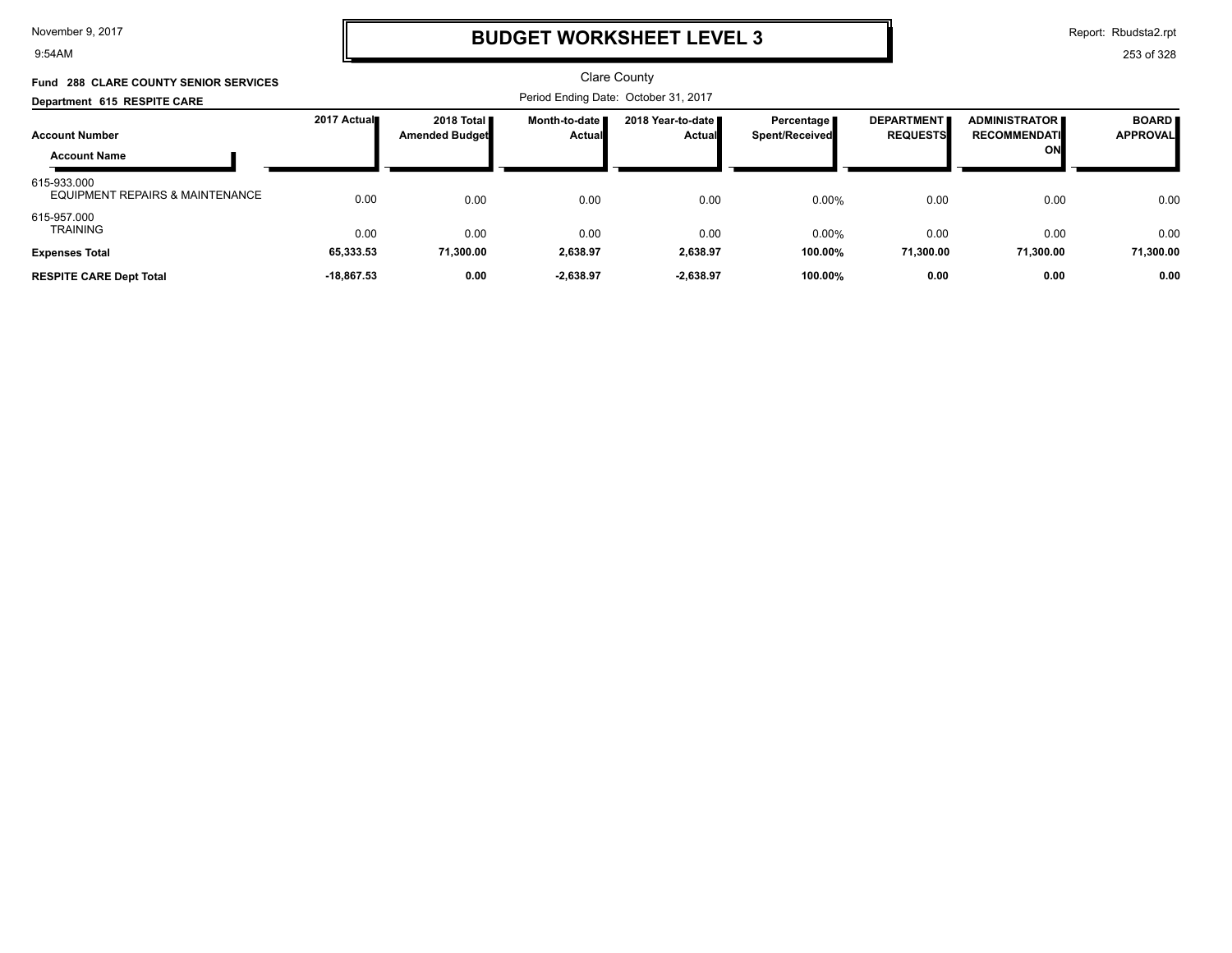9:54AM

# **BUDGET WORKSHEET LEVEL 3**

Report: Rbudsta2.rpt

| <b>Fund 288 CLARE COUNTY SENIOR SERVICES</b>   |              |                                              |                                      | <b>Clare County</b>                   |                                |                                      |                                                   |                                 |
|------------------------------------------------|--------------|----------------------------------------------|--------------------------------------|---------------------------------------|--------------------------------|--------------------------------------|---------------------------------------------------|---------------------------------|
| Department 615 RESPITE CARE                    |              |                                              | Period Ending Date: October 31, 2017 |                                       |                                |                                      |                                                   |                                 |
| <b>Account Number</b><br><b>Account Name</b>   | 2017 Actual  | 2018 Total <b>I</b><br><b>Amended Budget</b> | Month-to-date<br><b>Actual</b>       | 2018 Year-to-date II<br><b>Actual</b> | Percentage l<br>Spent/Received | <b>DEPARTMENT</b><br><b>REQUESTS</b> | <b>ADMINISTRATOR</b><br><b>RECOMMENDATI</b><br>ON | <b>BOARD</b><br><b>APPROVAL</b> |
| 615-933.000<br>EQUIPMENT REPAIRS & MAINTENANCE | 0.00         | 0.00                                         | 0.00                                 | 0.00                                  | 0.00%                          | 0.00                                 | 0.00                                              | 0.00                            |
| 615-957.000<br><b>TRAINING</b>                 | 0.00         | 0.00                                         | 0.00                                 | 0.00                                  | 0.00%                          | 0.00                                 | 0.00                                              | 0.00                            |
| <b>Expenses Total</b>                          | 65,333.53    | 71,300.00                                    | 2,638.97                             | 2,638.97                              | 100.00%                        | 71.300.00                            | 71.300.00                                         | 71,300.00                       |
| <b>RESPITE CARE Dept Total</b>                 | $-18.867.53$ | 0.00                                         | $-2,638.97$                          | $-2,638.97$                           | 100.00%                        | 0.00                                 | 0.00                                              | 0.00                            |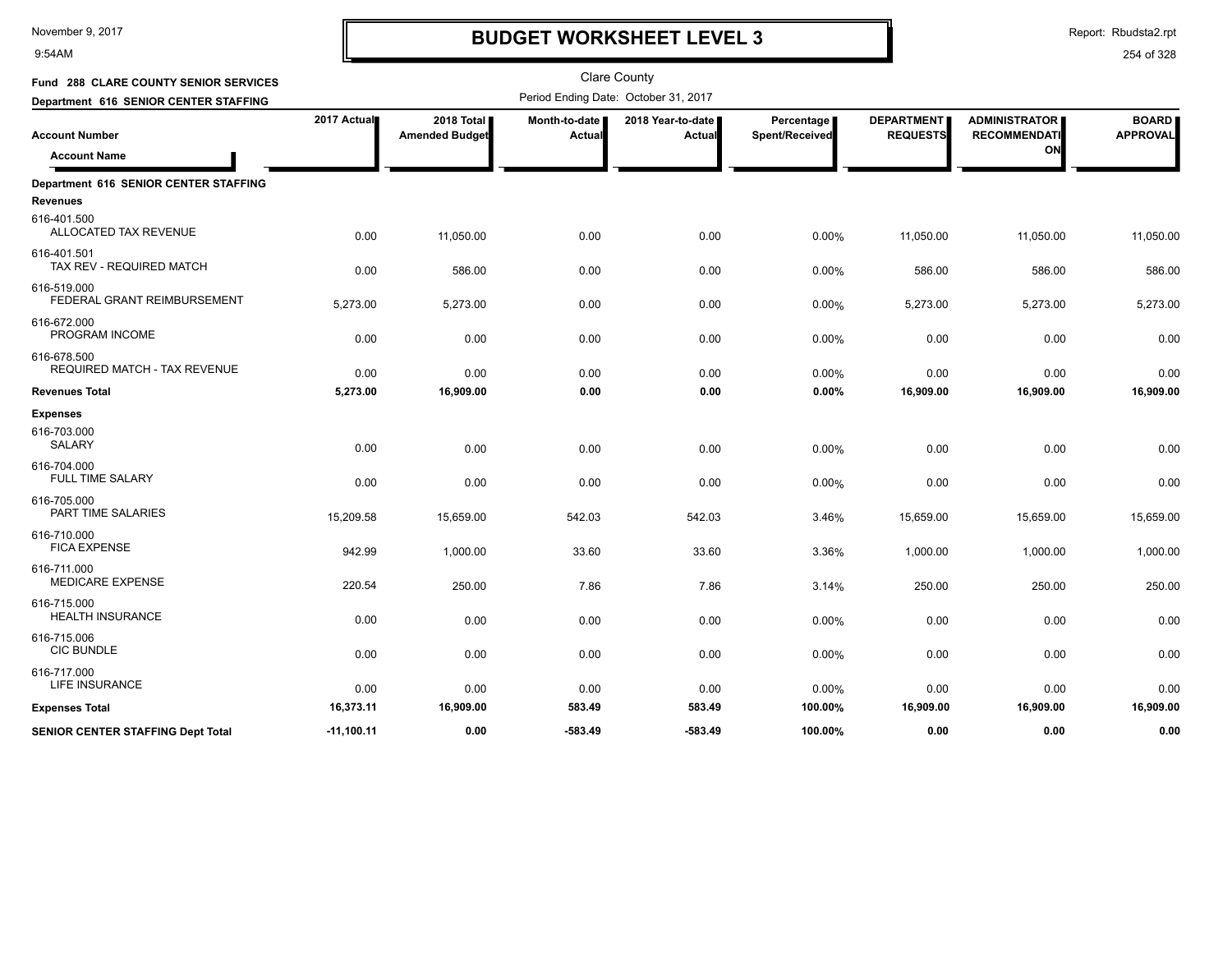9:54AM

# **BUDGET WORKSHEET LEVEL 3**

Report: Rbudsta2.rpt

| Fund 288 CLARE COUNTY SENIOR SERVICES              |              |                                     |                         | <b>Clare County</b>                  |                              |                                      |                                             |                                 |
|----------------------------------------------------|--------------|-------------------------------------|-------------------------|--------------------------------------|------------------------------|--------------------------------------|---------------------------------------------|---------------------------------|
| Department 616 SENIOR CENTER STAFFING              |              |                                     |                         | Period Ending Date: October 31, 2017 |                              |                                      |                                             |                                 |
| <b>Account Number</b>                              | 2017 Actual  | 2018 Total<br><b>Amended Budget</b> | Month-to-date<br>Actual | 2018 Year-to-date<br>Actual          | Percentage<br>Spent/Received | <b>DEPARTMENT</b><br><b>REQUESTS</b> | <b>ADMINISTRATOR</b><br><b>RECOMMENDATI</b> | <b>BOARD</b><br><b>APPROVAL</b> |
| <b>Account Name</b>                                |              |                                     |                         |                                      |                              |                                      | ON                                          |                                 |
| Department 616 SENIOR CENTER STAFFING              |              |                                     |                         |                                      |                              |                                      |                                             |                                 |
| <b>Revenues</b>                                    |              |                                     |                         |                                      |                              |                                      |                                             |                                 |
| 616-401.500<br>ALLOCATED TAX REVENUE               | 0.00         | 11,050.00                           | 0.00                    | 0.00                                 | 0.00%                        | 11,050.00                            | 11,050.00                                   | 11,050.00                       |
| 616-401.501<br>TAX REV - REQUIRED MATCH            | 0.00         | 586.00                              | 0.00                    | 0.00                                 | 0.00%                        | 586.00                               | 586.00                                      | 586.00                          |
| 616-519.000<br>FEDERAL GRANT REIMBURSEMENT         | 5,273.00     | 5,273.00                            | 0.00                    | 0.00                                 | 0.00%                        | 5,273.00                             | 5,273.00                                    | 5,273.00                        |
| 616-672.000<br>PROGRAM INCOME                      | 0.00         | 0.00                                | 0.00                    | 0.00                                 | 0.00%                        | 0.00                                 | 0.00                                        | 0.00                            |
| 616-678.500<br><b>REQUIRED MATCH - TAX REVENUE</b> | 0.00         | 0.00                                | 0.00                    | 0.00                                 | 0.00%                        | 0.00                                 | 0.00                                        | 0.00                            |
| <b>Revenues Total</b>                              | 5,273.00     | 16,909.00                           | 0.00                    | 0.00                                 | 0.00%                        | 16,909.00                            | 16,909.00                                   | 16,909.00                       |
| <b>Expenses</b>                                    |              |                                     |                         |                                      |                              |                                      |                                             |                                 |
| 616-703.000<br><b>SALARY</b>                       | 0.00         | 0.00                                | 0.00                    | 0.00                                 | 0.00%                        | 0.00                                 | 0.00                                        | 0.00                            |
| 616-704.000<br><b>FULL TIME SALARY</b>             | 0.00         | 0.00                                | 0.00                    | 0.00                                 | 0.00%                        | 0.00                                 | 0.00                                        | 0.00                            |
| 616-705.000<br>PART TIME SALARIES                  | 15,209.58    | 15,659.00                           | 542.03                  | 542.03                               | 3.46%                        | 15,659.00                            | 15,659.00                                   | 15,659.00                       |
| 616-710.000<br><b>FICA EXPENSE</b>                 | 942.99       | 1,000.00                            | 33.60                   | 33.60                                | 3.36%                        | 1,000.00                             | 1,000.00                                    | 1,000.00                        |
| 616-711.000<br><b>MEDICARE EXPENSE</b>             | 220.54       | 250.00                              | 7.86                    | 7.86                                 | 3.14%                        | 250.00                               | 250.00                                      | 250.00                          |
| 616-715.000<br><b>HEALTH INSURANCE</b>             | 0.00         | 0.00                                | 0.00                    | 0.00                                 | 0.00%                        | 0.00                                 | 0.00                                        | 0.00                            |
| 616-715.006<br><b>CIC BUNDLE</b>                   | 0.00         | 0.00                                | 0.00                    | 0.00                                 | 0.00%                        | 0.00                                 | 0.00                                        | 0.00                            |
| 616-717.000<br>LIFE INSURANCE                      | 0.00         | 0.00                                | 0.00                    | 0.00                                 | 0.00%                        | 0.00                                 | 0.00                                        | 0.00                            |
| <b>Expenses Total</b>                              | 16,373.11    | 16,909.00                           | 583.49                  | 583.49                               | 100.00%                      | 16,909.00                            | 16,909.00                                   | 16,909.00                       |
| <b>SENIOR CENTER STAFFING Dept Total</b>           | $-11,100.11$ | 0.00                                | -583.49                 | $-583.49$                            | 100.00%                      | 0.00                                 | 0.00                                        | 0.00                            |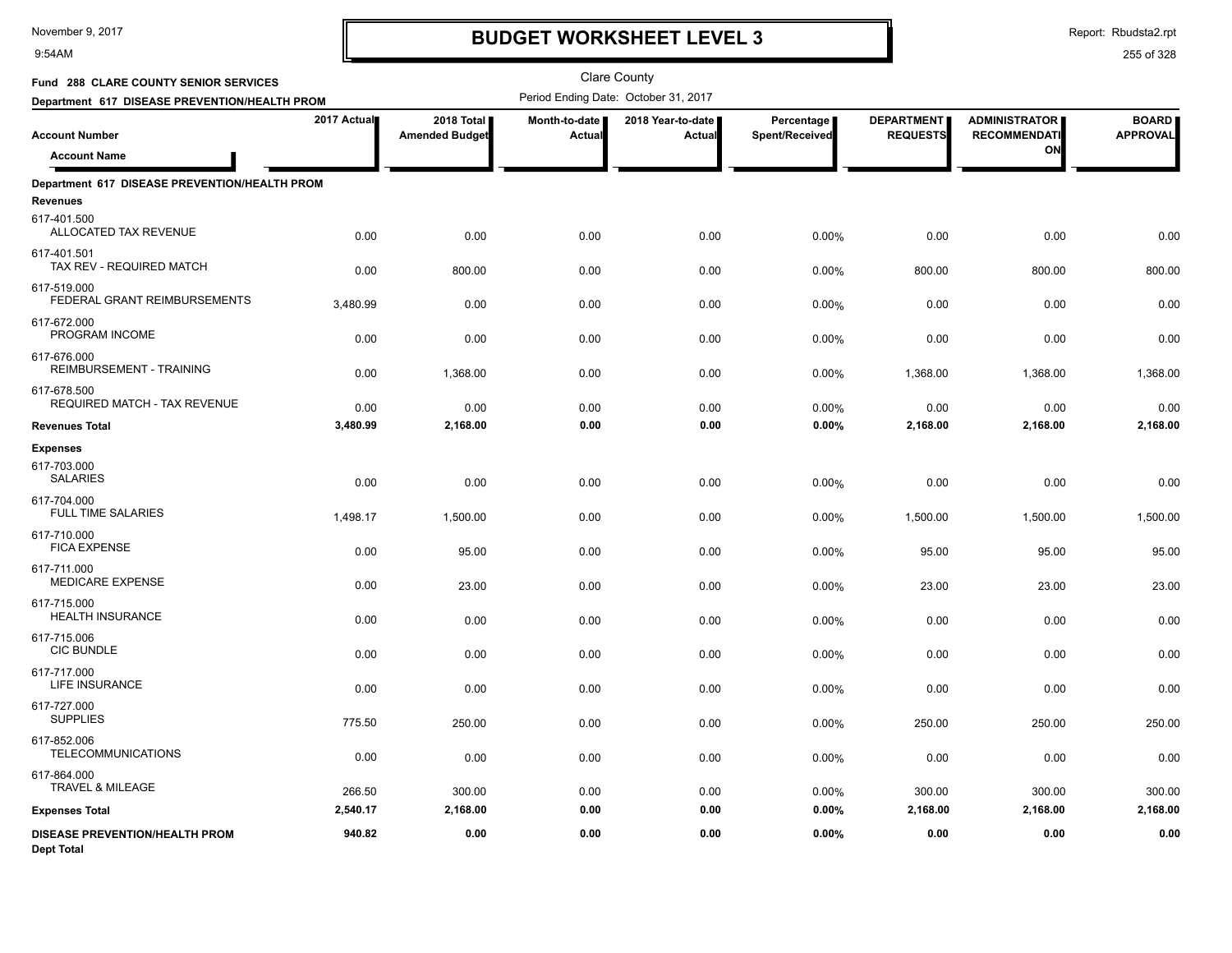9:54AM

## **BUDGET WORKSHEET LEVEL 3**

| Fund 288 CLARE COUNTY SENIOR SERVICES               |             |                                     |                         | <b>Clare County</b>                  |                              |                                      |                                             |                                 |
|-----------------------------------------------------|-------------|-------------------------------------|-------------------------|--------------------------------------|------------------------------|--------------------------------------|---------------------------------------------|---------------------------------|
| Department 617 DISEASE PREVENTION/HEALTH PROM       |             |                                     |                         | Period Ending Date: October 31, 2017 |                              |                                      |                                             |                                 |
| <b>Account Number</b>                               | 2017 Actual | 2018 Total<br><b>Amended Budget</b> | Month-to-date<br>Actual | 2018 Year-to-date<br>Actual          | Percentage<br>Spent/Received | <b>DEPARTMENT</b><br><b>REQUESTS</b> | <b>ADMINISTRATOR</b><br><b>RECOMMENDATI</b> | <b>BOARD</b><br><b>APPROVAL</b> |
| <b>Account Name</b>                                 |             |                                     |                         |                                      |                              |                                      | ON                                          |                                 |
| Department 617 DISEASE PREVENTION/HEALTH PROM       |             |                                     |                         |                                      |                              |                                      |                                             |                                 |
| <b>Revenues</b>                                     |             |                                     |                         |                                      |                              |                                      |                                             |                                 |
| 617-401.500<br>ALLOCATED TAX REVENUE                | 0.00        | 0.00                                | 0.00                    | 0.00                                 | 0.00%                        | 0.00                                 | 0.00                                        | 0.00                            |
| 617-401.501<br>TAX REV - REQUIRED MATCH             | 0.00        | 800.00                              | 0.00                    | 0.00                                 | 0.00%                        | 800.00                               | 800.00                                      | 800.00                          |
| 617-519.000<br>FEDERAL GRANT REIMBURSEMENTS         | 3,480.99    | 0.00                                | 0.00                    | 0.00                                 | 0.00%                        | 0.00                                 | 0.00                                        | 0.00                            |
| 617-672.000<br>PROGRAM INCOME                       | 0.00        | 0.00                                | 0.00                    | 0.00                                 | 0.00%                        | 0.00                                 | 0.00                                        | 0.00                            |
| 617-676.000<br><b>REIMBURSEMENT - TRAINING</b>      | 0.00        | 1,368.00                            | 0.00                    | 0.00                                 | 0.00%                        | 1,368.00                             | 1,368.00                                    | 1,368.00                        |
| 617-678.500<br><b>REQUIRED MATCH - TAX REVENUE</b>  | 0.00        | 0.00                                | 0.00                    | 0.00                                 | 0.00%                        | 0.00                                 | 0.00                                        | 0.00                            |
| <b>Revenues Total</b>                               | 3,480.99    | 2,168.00                            | 0.00                    | 0.00                                 | 0.00%                        | 2,168.00                             | 2,168.00                                    | 2,168.00                        |
| <b>Expenses</b>                                     |             |                                     |                         |                                      |                              |                                      |                                             |                                 |
| 617-703.000<br><b>SALARIES</b>                      | 0.00        | 0.00                                | 0.00                    | 0.00                                 | 0.00%                        | 0.00                                 | 0.00                                        | 0.00                            |
| 617-704.000<br><b>FULL TIME SALARIES</b>            | 1,498.17    | 1,500.00                            | 0.00                    | 0.00                                 | 0.00%                        | 1,500.00                             | 1,500.00                                    | 1,500.00                        |
| 617-710.000<br><b>FICA EXPENSE</b>                  | 0.00        | 95.00                               | 0.00                    | 0.00                                 | 0.00%                        | 95.00                                | 95.00                                       | 95.00                           |
| 617-711.000<br>MEDICARE EXPENSE                     | 0.00        | 23.00                               | 0.00                    | 0.00                                 | 0.00%                        | 23.00                                | 23.00                                       | 23.00                           |
| 617-715.000<br><b>HEALTH INSURANCE</b>              | 0.00        | 0.00                                | 0.00                    | 0.00                                 | 0.00%                        | 0.00                                 | 0.00                                        | 0.00                            |
| 617-715.006<br><b>CIC BUNDLE</b>                    | 0.00        | 0.00                                | 0.00                    | 0.00                                 | 0.00%                        | 0.00                                 | 0.00                                        | 0.00                            |
| 617-717.000<br><b>LIFE INSURANCE</b>                | 0.00        | 0.00                                | 0.00                    | 0.00                                 | 0.00%                        | 0.00                                 | 0.00                                        | 0.00                            |
| 617-727.000<br><b>SUPPLIES</b>                      | 775.50      | 250.00                              | 0.00                    | 0.00                                 | 0.00%                        | 250.00                               | 250.00                                      | 250.00                          |
| 617-852.006<br><b>TELECOMMUNICATIONS</b>            | 0.00        | 0.00                                | 0.00                    | 0.00                                 | 0.00%                        | 0.00                                 | 0.00                                        | 0.00                            |
| 617-864.000<br>TRAVEL & MILEAGE                     | 266.50      | 300.00                              | 0.00                    | 0.00                                 | 0.00%                        | 300.00                               | 300.00                                      | 300.00                          |
| <b>Expenses Total</b>                               | 2,540.17    | 2,168.00                            | 0.00                    | 0.00                                 | 0.00%                        | 2,168.00                             | 2,168.00                                    | 2,168.00                        |
| DISEASE PREVENTION/HEALTH PROM<br><b>Dept Total</b> | 940.82      | 0.00                                | 0.00                    | 0.00                                 | 0.00%                        | 0.00                                 | 0.00                                        | 0.00                            |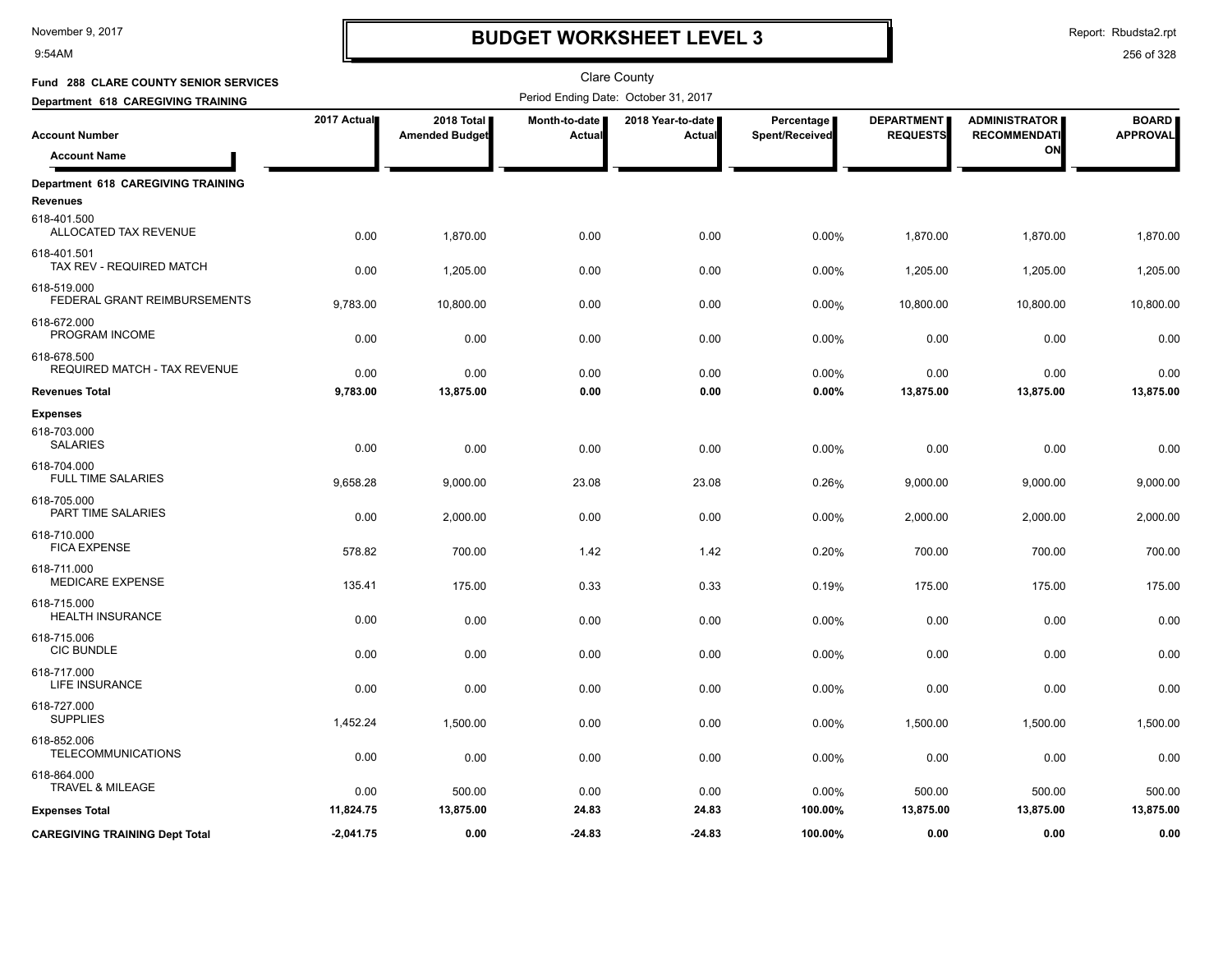9:54AM

# **BUDGET WORKSHEET LEVEL 3**

Report: Rbudsta2.rpt

| Fund 288 CLARE COUNTY SENIOR SERVICES                 |             |                                     |                         | <b>Clare County</b>                  |                              |                                      |                                             |                                 |
|-------------------------------------------------------|-------------|-------------------------------------|-------------------------|--------------------------------------|------------------------------|--------------------------------------|---------------------------------------------|---------------------------------|
| Department 618 CAREGIVING TRAINING                    |             |                                     |                         | Period Ending Date: October 31, 2017 |                              |                                      |                                             |                                 |
| <b>Account Number</b>                                 | 2017 Actual | 2018 Total<br><b>Amended Budget</b> | Month-to-date<br>Actual | 2018 Year-to-date<br>Actual          | Percentage<br>Spent/Received | <b>DEPARTMENT</b><br><b>REQUESTS</b> | <b>ADMINISTRATOR</b><br><b>RECOMMENDATI</b> | <b>BOARD</b><br><b>APPROVAL</b> |
| <b>Account Name</b>                                   |             |                                     |                         |                                      |                              |                                      | ON                                          |                                 |
| Department 618 CAREGIVING TRAINING<br><b>Revenues</b> |             |                                     |                         |                                      |                              |                                      |                                             |                                 |
| 618-401.500<br>ALLOCATED TAX REVENUE                  | 0.00        | 1,870.00                            | 0.00                    | 0.00                                 | 0.00%                        | 1,870.00                             | 1,870.00                                    | 1,870.00                        |
| 618-401.501<br>TAX REV - REQUIRED MATCH               | 0.00        | 1,205.00                            | 0.00                    | 0.00                                 | 0.00%                        | 1,205.00                             | 1,205.00                                    | 1,205.00                        |
| 618-519.000<br>FEDERAL GRANT REIMBURSEMENTS           | 9,783.00    | 10,800.00                           | 0.00                    | 0.00                                 | 0.00%                        | 10,800.00                            | 10,800.00                                   | 10,800.00                       |
| 618-672.000<br>PROGRAM INCOME                         | 0.00        | 0.00                                | 0.00                    | 0.00                                 | 0.00%                        | 0.00                                 | 0.00                                        | 0.00                            |
| 618-678.500<br>REQUIRED MATCH - TAX REVENUE           | 0.00        | 0.00                                | 0.00                    | 0.00                                 | 0.00%                        | 0.00                                 | 0.00                                        | 0.00                            |
| <b>Revenues Total</b>                                 | 9,783.00    | 13,875.00                           | 0.00                    | 0.00                                 | 0.00%                        | 13,875.00                            | 13,875.00                                   | 13,875.00                       |
| <b>Expenses</b>                                       |             |                                     |                         |                                      |                              |                                      |                                             |                                 |
| 618-703.000<br><b>SALARIES</b>                        | 0.00        | 0.00                                | 0.00                    | 0.00                                 | 0.00%                        | 0.00                                 | 0.00                                        | 0.00                            |
| 618-704.000<br><b>FULL TIME SALARIES</b>              | 9,658.28    | 9,000.00                            | 23.08                   | 23.08                                | 0.26%                        | 9,000.00                             | 9,000.00                                    | 9,000.00                        |
| 618-705.000<br>PART TIME SALARIES                     | 0.00        | 2,000.00                            | 0.00                    | 0.00                                 | 0.00%                        | 2,000.00                             | 2,000.00                                    | 2,000.00                        |
| 618-710.000<br><b>FICA EXPENSE</b>                    | 578.82      | 700.00                              | 1.42                    | 1.42                                 | 0.20%                        | 700.00                               | 700.00                                      | 700.00                          |
| 618-711.000<br><b>MEDICARE EXPENSE</b>                | 135.41      | 175.00                              | 0.33                    | 0.33                                 | 0.19%                        | 175.00                               | 175.00                                      | 175.00                          |
| 618-715.000<br><b>HEALTH INSURANCE</b>                | 0.00        | 0.00                                | 0.00                    | 0.00                                 | 0.00%                        | 0.00                                 | 0.00                                        | 0.00                            |
| 618-715.006<br><b>CIC BUNDLE</b>                      | 0.00        | 0.00                                | 0.00                    | 0.00                                 | 0.00%                        | 0.00                                 | 0.00                                        | 0.00                            |
| 618-717.000<br>LIFE INSURANCE                         | 0.00        | 0.00                                | 0.00                    | 0.00                                 | 0.00%                        | 0.00                                 | 0.00                                        | 0.00                            |
| 618-727.000<br><b>SUPPLIES</b>                        | 1,452.24    | 1,500.00                            | 0.00                    | 0.00                                 | 0.00%                        | 1,500.00                             | 1,500.00                                    | 1,500.00                        |
| 618-852.006<br><b>TELECOMMUNICATIONS</b>              | 0.00        | 0.00                                | 0.00                    | 0.00                                 | 0.00%                        | 0.00                                 | 0.00                                        | 0.00                            |
| 618-864.000<br>TRAVEL & MILEAGE                       | 0.00        | 500.00                              | 0.00                    | 0.00                                 | 0.00%                        | 500.00                               | 500.00                                      | 500.00                          |
| <b>Expenses Total</b>                                 | 11,824.75   | 13,875.00                           | 24.83                   | 24.83                                | 100.00%                      | 13,875.00                            | 13,875.00                                   | 13,875.00                       |
| <b>CAREGIVING TRAINING Dept Total</b>                 | $-2,041.75$ | 0.00                                | $-24.83$                | $-24.83$                             | 100.00%                      | 0.00                                 | 0.00                                        | 0.00                            |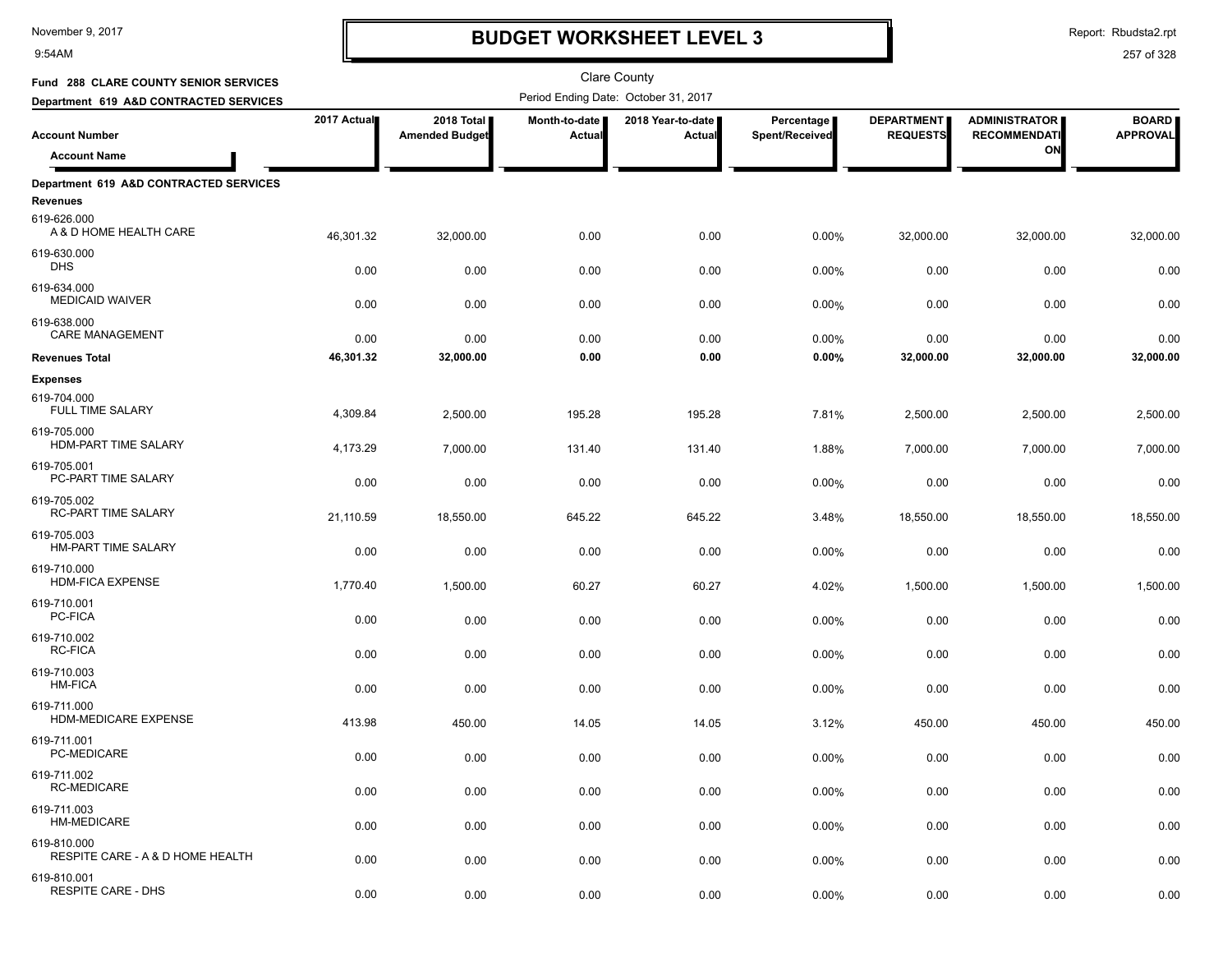9:54AM

# **BUDGET WORKSHEET LEVEL 3**

Report: Rbudsta2.rpt

| Fund 288 CLARE COUNTY SENIOR SERVICES              |             |                                     |                         | Clare County                         |                              |                                      |                                             |                                 |
|----------------------------------------------------|-------------|-------------------------------------|-------------------------|--------------------------------------|------------------------------|--------------------------------------|---------------------------------------------|---------------------------------|
| Department 619 A&D CONTRACTED SERVICES             |             |                                     |                         | Period Ending Date: October 31, 2017 |                              |                                      |                                             |                                 |
| <b>Account Number</b>                              | 2017 Actual | 2018 Total<br><b>Amended Budget</b> | Month-to-date<br>Actual | 2018 Year-to-date<br>Actual          | Percentage<br>Spent/Received | <b>DEPARTMENT</b><br><b>REQUESTS</b> | <b>ADMINISTRATOR</b><br><b>RECOMMENDATI</b> | <b>BOARD</b><br><b>APPROVAL</b> |
| <b>Account Name</b>                                |             |                                     |                         |                                      |                              |                                      | ON                                          |                                 |
| Department 619 A&D CONTRACTED SERVICES<br>Revenues |             |                                     |                         |                                      |                              |                                      |                                             |                                 |
| 619-626.000<br>A & D HOME HEALTH CARE              | 46,301.32   | 32,000.00                           | 0.00                    | 0.00                                 | 0.00%                        | 32,000.00                            | 32,000.00                                   | 32,000.00                       |
| 619-630.000<br><b>DHS</b>                          | 0.00        | 0.00                                | 0.00                    | 0.00                                 | 0.00%                        | 0.00                                 | 0.00                                        | 0.00                            |
| 619-634.000<br><b>MEDICAID WAIVER</b>              | 0.00        | 0.00                                | 0.00                    | 0.00                                 | 0.00%                        | 0.00                                 | 0.00                                        | 0.00                            |
| 619-638.000<br><b>CARE MANAGEMENT</b>              | 0.00        | 0.00                                | 0.00                    | 0.00                                 | 0.00%                        | 0.00                                 | 0.00                                        | 0.00                            |
| <b>Revenues Total</b>                              | 46,301.32   | 32,000.00                           | 0.00                    | 0.00                                 | 0.00%                        | 32,000.00                            | 32,000.00                                   | 32,000.00                       |
| <b>Expenses</b>                                    |             |                                     |                         |                                      |                              |                                      |                                             |                                 |
| 619-704.000<br><b>FULL TIME SALARY</b>             | 4,309.84    | 2,500.00                            | 195.28                  | 195.28                               | 7.81%                        | 2,500.00                             | 2,500.00                                    | 2,500.00                        |
| 619-705.000<br>HDM-PART TIME SALARY                | 4,173.29    | 7,000.00                            | 131.40                  | 131.40                               | 1.88%                        | 7,000.00                             | 7.000.00                                    | 7,000.00                        |
| 619-705.001<br>PC-PART TIME SALARY                 | 0.00        | 0.00                                | 0.00                    | 0.00                                 | 0.00%                        | 0.00                                 | 0.00                                        | 0.00                            |
| 619-705.002<br>RC-PART TIME SALARY                 | 21,110.59   | 18,550.00                           | 645.22                  | 645.22                               | 3.48%                        | 18,550.00                            | 18,550.00                                   | 18,550.00                       |
| 619-705.003<br>HM-PART TIME SALARY                 | 0.00        | 0.00                                | 0.00                    | 0.00                                 | 0.00%                        | 0.00                                 | 0.00                                        | 0.00                            |
| 619-710.000<br><b>HDM-FICA EXPENSE</b>             | 1,770.40    | 1,500.00                            | 60.27                   | 60.27                                | 4.02%                        | 1,500.00                             | 1,500.00                                    | 1,500.00                        |
| 619-710.001<br>PC-FICA                             | 0.00        | 0.00                                | 0.00                    | 0.00                                 | 0.00%                        | 0.00                                 | 0.00                                        | 0.00                            |
| 619-710.002<br>RC-FICA                             | 0.00        | 0.00                                | 0.00                    | 0.00                                 | 0.00%                        | 0.00                                 | 0.00                                        | 0.00                            |
| 619-710.003<br><b>HM-FICA</b>                      | 0.00        | 0.00                                | 0.00                    | 0.00                                 | 0.00%                        | 0.00                                 | 0.00                                        | 0.00                            |
| 619-711.000<br>HDM-MEDICARE EXPENSE                | 413.98      | 450.00                              | 14.05                   | 14.05                                | 3.12%                        | 450.00                               | 450.00                                      | 450.00                          |
| 619-711.001<br>PC-MEDICARE                         | 0.00        | 0.00                                | 0.00                    | 0.00                                 | 0.00%                        | 0.00                                 | 0.00                                        | 0.00                            |
| 619-711.002<br>RC-MEDICARE                         | 0.00        | 0.00                                | 0.00                    | 0.00                                 | 0.00%                        | 0.00                                 | 0.00                                        | 0.00                            |
| 619-711.003<br>HM-MEDICARE                         | 0.00        | 0.00                                | 0.00                    | 0.00                                 | 0.00%                        | 0.00                                 | 0.00                                        | 0.00                            |
| 619-810.000                                        |             |                                     |                         |                                      |                              |                                      |                                             |                                 |
| RESPITE CARE - A & D HOME HEALTH                   | 0.00        | 0.00                                | 0.00                    | 0.00                                 | 0.00%                        | 0.00                                 | 0.00                                        | 0.00                            |
| 619-810.001<br>RESPITE CARE - DHS                  | 0.00        | 0.00                                | 0.00                    | 0.00                                 | 0.00%                        | 0.00                                 | 0.00                                        | 0.00                            |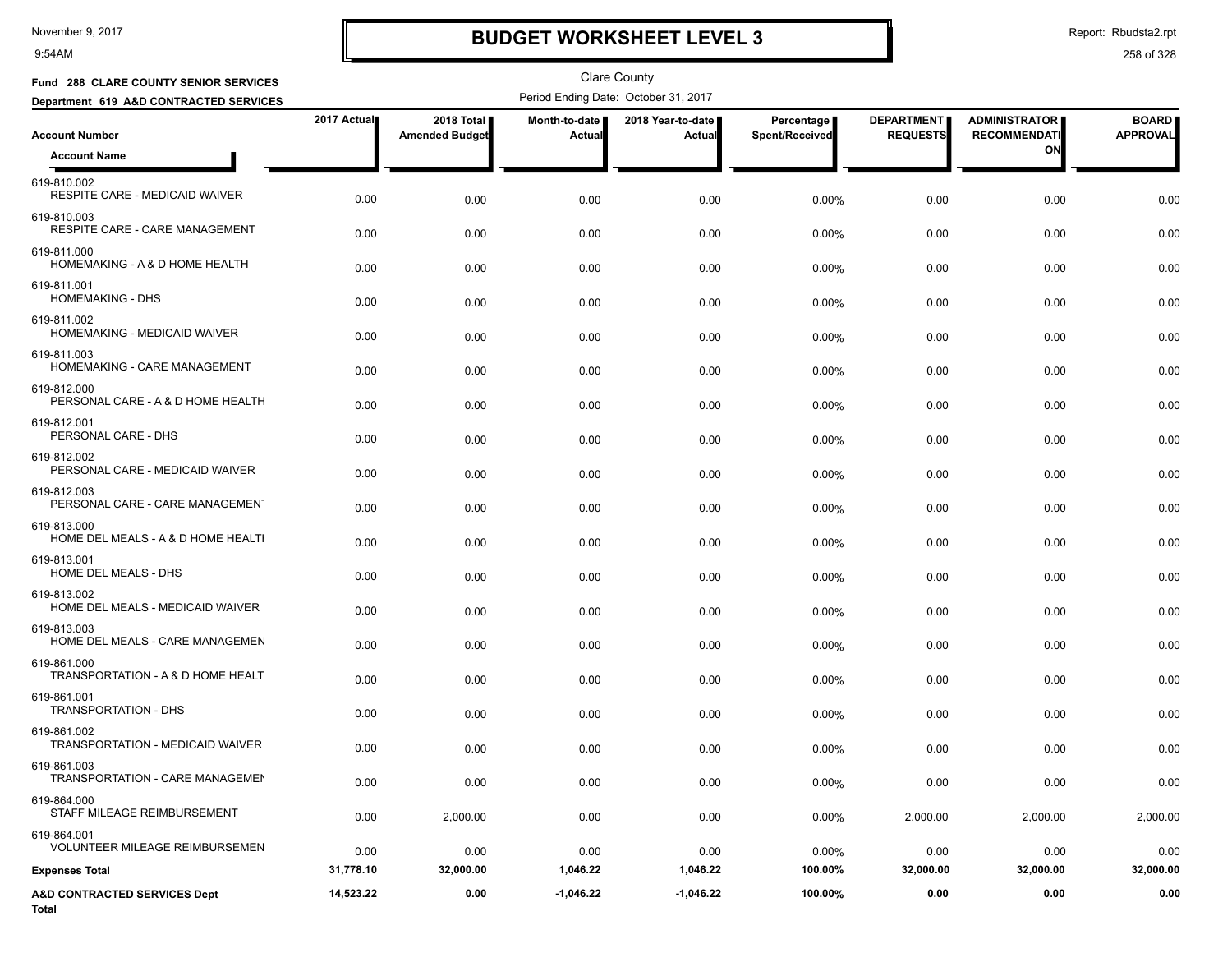9:54AM

# **BUDGET WORKSHEET LEVEL 3**

Report: Rbudsta2.rpt

| Fund 288 CLARE COUNTY SENIOR SERVICES                  |             |                                     |                                | <b>Clare County</b>                  |                              |                                      |                                             |                                 |
|--------------------------------------------------------|-------------|-------------------------------------|--------------------------------|--------------------------------------|------------------------------|--------------------------------------|---------------------------------------------|---------------------------------|
| Department 619 A&D CONTRACTED SERVICES                 |             |                                     |                                | Period Ending Date: October 31, 2017 |                              |                                      |                                             |                                 |
| <b>Account Number</b>                                  | 2017 Actual | 2018 Total<br><b>Amended Budget</b> | <b>Month-to-date</b><br>Actual | 2018 Year-to-date<br>Actual          | Percentage<br>Spent/Received | <b>DEPARTMENT</b><br><b>REQUESTS</b> | <b>ADMINISTRATOR</b><br><b>RECOMMENDATI</b> | <b>BOARD</b><br><b>APPROVAL</b> |
| <b>Account Name</b>                                    |             |                                     |                                |                                      |                              |                                      | ON                                          |                                 |
| 619-810.002<br>RESPITE CARE - MEDICAID WAIVER          | 0.00        | 0.00                                | 0.00                           | 0.00                                 | 0.00%                        | 0.00                                 | 0.00                                        | 0.00                            |
| 619-810.003<br>RESPITE CARE - CARE MANAGEMENT          | 0.00        | 0.00                                | 0.00                           | 0.00                                 | 0.00%                        | 0.00                                 | 0.00                                        | 0.00                            |
| 619-811.000<br>HOMEMAKING - A & D HOME HEALTH          | 0.00        | 0.00                                | 0.00                           | 0.00                                 | 0.00%                        | 0.00                                 | 0.00                                        | 0.00                            |
| 619-811.001<br><b>HOMEMAKING - DHS</b>                 | 0.00        | 0.00                                | 0.00                           | 0.00                                 | 0.00%                        | 0.00                                 | 0.00                                        | 0.00                            |
| 619-811.002<br>HOMEMAKING - MEDICAID WAIVER            | 0.00        | 0.00                                | 0.00                           | 0.00                                 | 0.00%                        | 0.00                                 | 0.00                                        | 0.00                            |
| 619-811.003<br>HOMEMAKING - CARE MANAGEMENT            | 0.00        | 0.00                                | 0.00                           | 0.00                                 | 0.00%                        | 0.00                                 | 0.00                                        | 0.00                            |
| 619-812.000<br>PERSONAL CARE - A & D HOME HEALTH       | 0.00        | 0.00                                | 0.00                           | 0.00                                 | 0.00%                        | 0.00                                 | 0.00                                        | 0.00                            |
| 619-812.001<br>PERSONAL CARE - DHS                     | 0.00        | 0.00                                | 0.00                           | 0.00                                 | 0.00%                        | 0.00                                 | 0.00                                        | 0.00                            |
| 619-812.002<br>PERSONAL CARE - MEDICAID WAIVER         | 0.00        | 0.00                                | 0.00                           | 0.00                                 | $0.00\%$                     | 0.00                                 | 0.00                                        | 0.00                            |
| 619-812.003<br>PERSONAL CARE - CARE MANAGEMENT         | 0.00        | 0.00                                | 0.00                           | 0.00                                 | 0.00%                        | 0.00                                 | 0.00                                        | 0.00                            |
| 619-813.000<br>HOME DEL MEALS - A & D HOME HEALTI      | 0.00        | 0.00                                | 0.00                           | 0.00                                 | 0.00%                        | 0.00                                 | 0.00                                        | 0.00                            |
| 619-813.001<br>HOME DEL MEALS - DHS                    | 0.00        | 0.00                                | 0.00                           | 0.00                                 | 0.00%                        | 0.00                                 | 0.00                                        | 0.00                            |
| 619-813.002<br>HOME DEL MEALS - MEDICAID WAIVER        | 0.00        | 0.00                                | 0.00                           | 0.00                                 | 0.00%                        | 0.00                                 | 0.00                                        | 0.00                            |
| 619-813.003<br>HOME DEL MEALS - CARE MANAGEMEN         | 0.00        | 0.00                                | 0.00                           | 0.00                                 | 0.00%                        | 0.00                                 | 0.00                                        | 0.00                            |
| 619-861.000<br>TRANSPORTATION - A & D HOME HEALT       | 0.00        | 0.00                                | 0.00                           | 0.00                                 | 0.00%                        | 0.00                                 | 0.00                                        | 0.00                            |
| 619-861.001<br><b>TRANSPORTATION - DHS</b>             | 0.00        | 0.00                                | 0.00                           | 0.00                                 | 0.00%                        | 0.00                                 | 0.00                                        | 0.00                            |
| 619-861.002<br><b>TRANSPORTATION - MEDICAID WAIVER</b> | 0.00        | 0.00                                | 0.00                           | 0.00                                 | 0.00%                        | 0.00                                 | 0.00                                        | 0.00                            |
| 619-861.003<br>TRANSPORTATION - CARE MANAGEMEN         | 0.00        | 0.00                                | 0.00                           | 0.00                                 | 0.00%                        | 0.00                                 | 0.00                                        | 0.00                            |
| 619-864.000<br>STAFF MILEAGE REIMBURSEMENT             | 0.00        | 2,000.00                            | 0.00                           | 0.00                                 | 0.00%                        | 2,000.00                             | 2,000.00                                    | 2,000.00                        |
| 619-864.001<br><b>VOLUNTEER MILEAGE REIMBURSEMEN</b>   | 0.00        | 0.00                                | 0.00                           | 0.00                                 | 0.00%                        | 0.00                                 | 0.00                                        | 0.00                            |
| <b>Expenses Total</b>                                  | 31,778.10   | 32,000.00                           | 1,046.22                       | 1,046.22                             | 100.00%                      | 32,000.00                            | 32,000.00                                   | 32,000.00                       |
| A&D CONTRACTED SERVICES Dept<br>Total                  | 14,523.22   | 0.00                                | $-1,046.22$                    | $-1,046.22$                          | 100.00%                      | 0.00                                 | 0.00                                        | 0.00                            |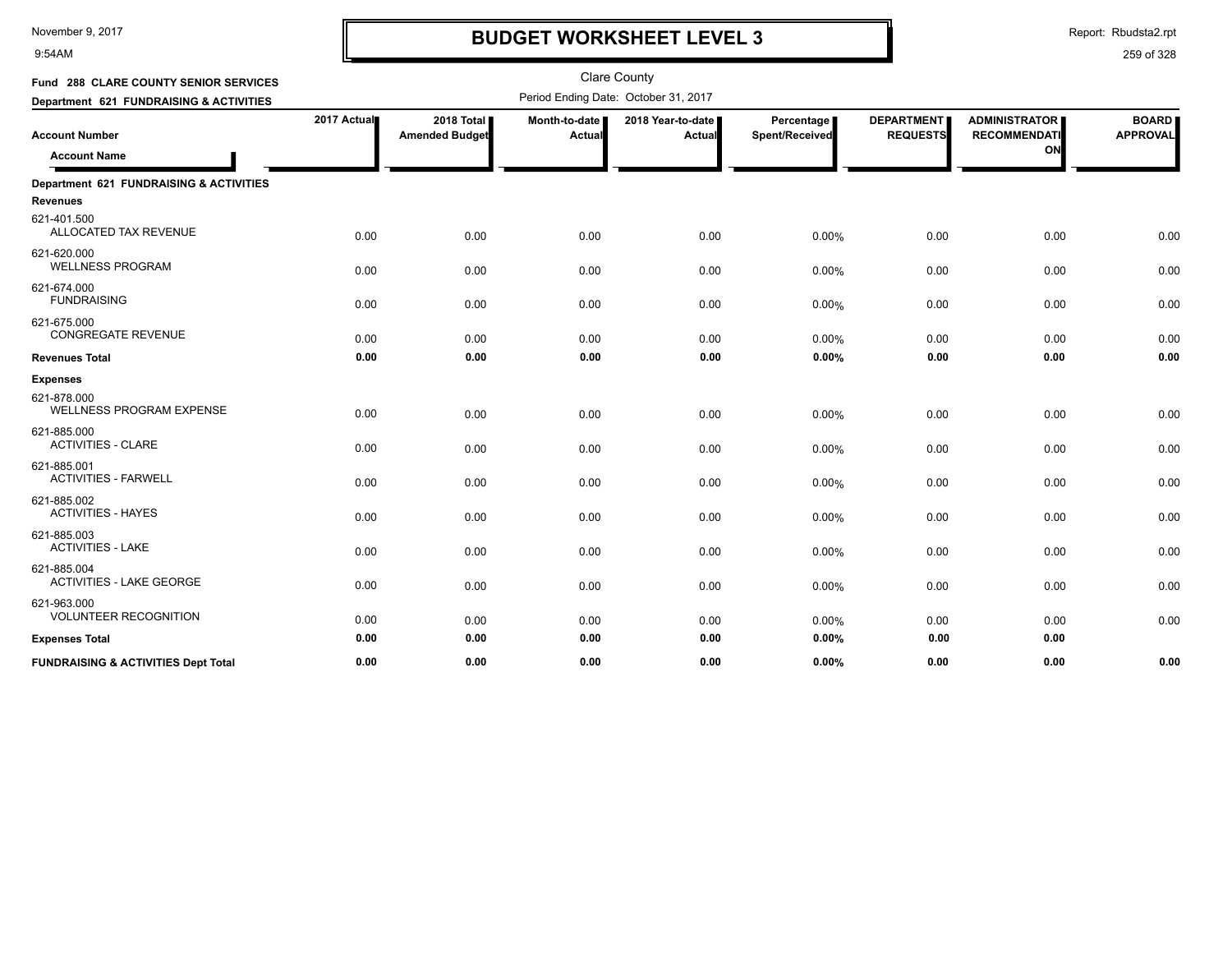9:54AM

## **BUDGET WORKSHEET LEVEL 3**

Report: Rbudsta2.rpt

| Fund 288 CLARE COUNTY SENIOR SERVICES          |             |                                     |                         | <b>Clare County</b>                  |                              |                                      |                                                   |                                 |
|------------------------------------------------|-------------|-------------------------------------|-------------------------|--------------------------------------|------------------------------|--------------------------------------|---------------------------------------------------|---------------------------------|
| Department 621 FUNDRAISING & ACTIVITIES        |             |                                     |                         | Period Ending Date: October 31, 2017 |                              |                                      |                                                   |                                 |
| <b>Account Number</b><br><b>Account Name</b>   | 2017 Actual | 2018 Total<br><b>Amended Budget</b> | Month-to-date<br>Actual | 2018 Year-to-date<br>Actual          | Percentage<br>Spent/Received | <b>DEPARTMENT</b><br><b>REQUESTS</b> | <b>ADMINISTRATOR</b><br><b>RECOMMENDATI</b><br>ON | <b>BOARD</b><br><b>APPROVAL</b> |
| Department 621 FUNDRAISING & ACTIVITIES        |             |                                     |                         |                                      |                              |                                      |                                                   |                                 |
| <b>Revenues</b>                                |             |                                     |                         |                                      |                              |                                      |                                                   |                                 |
| 621-401.500<br>ALLOCATED TAX REVENUE           | 0.00        | 0.00                                | 0.00                    | 0.00                                 | 0.00%                        | 0.00                                 | 0.00                                              | 0.00                            |
| 621-620.000<br><b>WELLNESS PROGRAM</b>         | 0.00        | 0.00                                | 0.00                    | 0.00                                 | 0.00%                        | 0.00                                 | 0.00                                              | 0.00                            |
| 621-674.000<br><b>FUNDRAISING</b>              | 0.00        | 0.00                                | 0.00                    | 0.00                                 | 0.00%                        | 0.00                                 | 0.00                                              | 0.00                            |
| 621-675.000<br><b>CONGREGATE REVENUE</b>       | 0.00        | 0.00                                | 0.00                    | 0.00                                 | 0.00%                        | 0.00                                 | 0.00                                              | 0.00                            |
| <b>Revenues Total</b>                          | 0.00        | 0.00                                | 0.00                    | 0.00                                 | 0.00%                        | 0.00                                 | 0.00                                              | 0.00                            |
| <b>Expenses</b>                                |             |                                     |                         |                                      |                              |                                      |                                                   |                                 |
| 621-878.000<br><b>WELLNESS PROGRAM EXPENSE</b> | 0.00        | 0.00                                | 0.00                    | 0.00                                 | 0.00%                        | 0.00                                 | 0.00                                              | 0.00                            |
| 621-885.000<br><b>ACTIVITIES - CLARE</b>       | 0.00        | 0.00                                | 0.00                    | 0.00                                 | 0.00%                        | 0.00                                 | 0.00                                              | 0.00                            |
| 621-885.001<br><b>ACTIVITIES - FARWELL</b>     | 0.00        | 0.00                                | 0.00                    | 0.00                                 | 0.00%                        | 0.00                                 | 0.00                                              | 0.00                            |
| 621-885.002<br><b>ACTIVITIES - HAYES</b>       | 0.00        | 0.00                                | 0.00                    | 0.00                                 | 0.00%                        | 0.00                                 | 0.00                                              | 0.00                            |
| 621-885.003<br><b>ACTIVITIES - LAKE</b>        | 0.00        | 0.00                                | 0.00                    | 0.00                                 | 0.00%                        | 0.00                                 | 0.00                                              | 0.00                            |
| 621-885.004<br><b>ACTIVITIES - LAKE GEORGE</b> | 0.00        | 0.00                                | 0.00                    | 0.00                                 | 0.00%                        | 0.00                                 | 0.00                                              | 0.00                            |
| 621-963.000<br><b>VOLUNTEER RECOGNITION</b>    | 0.00        | 0.00                                | 0.00                    | 0.00                                 | 0.00%                        | 0.00                                 | 0.00                                              | 0.00                            |
| <b>Expenses Total</b>                          | 0.00        | 0.00                                | 0.00                    | 0.00                                 | 0.00%                        | 0.00                                 | 0.00                                              |                                 |
| <b>FUNDRAISING &amp; ACTIVITIES Dept Total</b> | 0.00        | 0.00                                | 0.00                    | 0.00                                 | 0.00%                        | 0.00                                 | 0.00                                              | 0.00                            |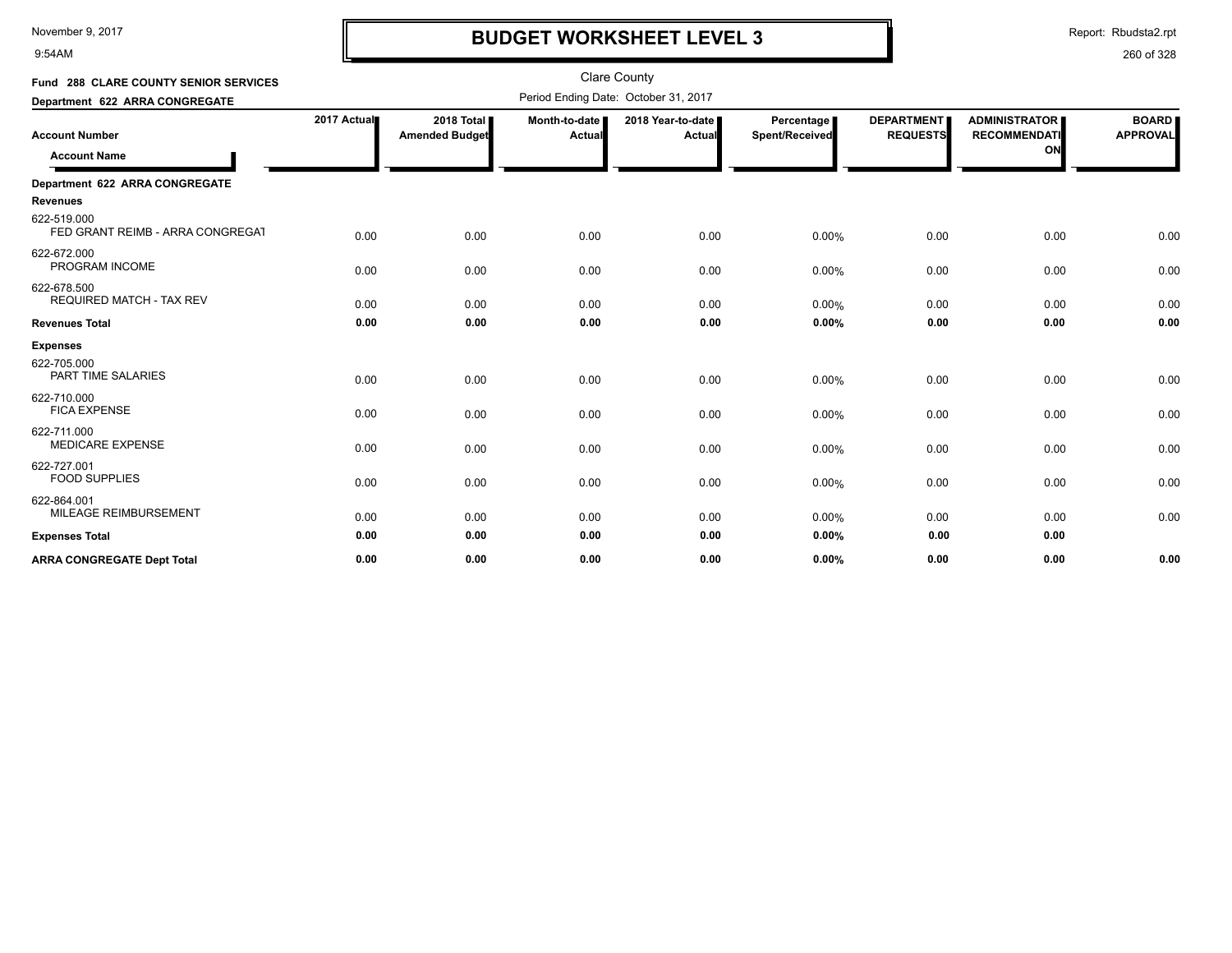9:54AM

## **BUDGET WORKSHEET LEVEL 3**

Report: Rbudsta2.rpt

| Fund 288 CLARE COUNTY SENIOR SERVICES           |             |                                      |                           | <b>Clare County</b>         |                              |                                      |                                                   |                                 |
|-------------------------------------------------|-------------|--------------------------------------|---------------------------|-----------------------------|------------------------------|--------------------------------------|---------------------------------------------------|---------------------------------|
| Department 622 ARRA CONGREGATE                  |             | Period Ending Date: October 31, 2017 |                           |                             |                              |                                      |                                                   |                                 |
| <b>Account Number</b><br><b>Account Name</b>    | 2017 Actual | 2018 Total<br><b>Amended Budget</b>  | Month-to-date  <br>Actual | 2018 Year-to-date<br>Actual | Percentage<br>Spent/Received | <b>DEPARTMENT</b><br><b>REQUESTS</b> | <b>ADMINISTRATOR</b><br><b>RECOMMENDATI</b><br>ON | <b>BOARD</b><br><b>APPROVAL</b> |
| Department 622 ARRA CONGREGATE                  |             |                                      |                           |                             |                              |                                      |                                                   |                                 |
| <b>Revenues</b>                                 |             |                                      |                           |                             |                              |                                      |                                                   |                                 |
| 622-519.000<br>FED GRANT REIMB - ARRA CONGREGAT | 0.00        | 0.00                                 | 0.00                      | 0.00                        | 0.00%                        | 0.00                                 | 0.00                                              | 0.00                            |
| 622-672.000<br>PROGRAM INCOME                   | 0.00        | 0.00                                 | 0.00                      | 0.00                        | 0.00%                        | 0.00                                 | 0.00                                              | 0.00                            |
| 622-678.500<br><b>REQUIRED MATCH - TAX REV</b>  | 0.00        | 0.00                                 | 0.00                      | 0.00                        | 0.00%                        | 0.00                                 | 0.00                                              | 0.00                            |
| <b>Revenues Total</b>                           | 0.00        | 0.00                                 | 0.00                      | 0.00                        | 0.00%                        | 0.00                                 | 0.00                                              | 0.00                            |
| <b>Expenses</b>                                 |             |                                      |                           |                             |                              |                                      |                                                   |                                 |
| 622-705.000<br><b>PART TIME SALARIES</b>        | 0.00        | 0.00                                 | 0.00                      | 0.00                        | 0.00%                        | 0.00                                 | 0.00                                              | 0.00                            |
| 622-710.000<br><b>FICA EXPENSE</b>              | 0.00        | 0.00                                 | 0.00                      | 0.00                        | 0.00%                        | 0.00                                 | 0.00                                              | 0.00                            |
| 622-711.000<br><b>MEDICARE EXPENSE</b>          | 0.00        | 0.00                                 | 0.00                      | 0.00                        | 0.00%                        | 0.00                                 | 0.00                                              | 0.00                            |
| 622-727.001<br><b>FOOD SUPPLIES</b>             | 0.00        | 0.00                                 | 0.00                      | 0.00                        | 0.00%                        | 0.00                                 | 0.00                                              | 0.00                            |
| 622-864.001<br>MILEAGE REIMBURSEMENT            | 0.00        | 0.00                                 | 0.00                      | 0.00                        | 0.00%                        | 0.00                                 | 0.00                                              | 0.00                            |
| <b>Expenses Total</b>                           | 0.00        | 0.00                                 | 0.00                      | 0.00                        | 0.00%                        | 0.00                                 | 0.00                                              |                                 |
| <b>ARRA CONGREGATE Dept Total</b>               | 0.00        | 0.00                                 | 0.00                      | 0.00                        | 0.00%                        | 0.00                                 | 0.00                                              | 0.00                            |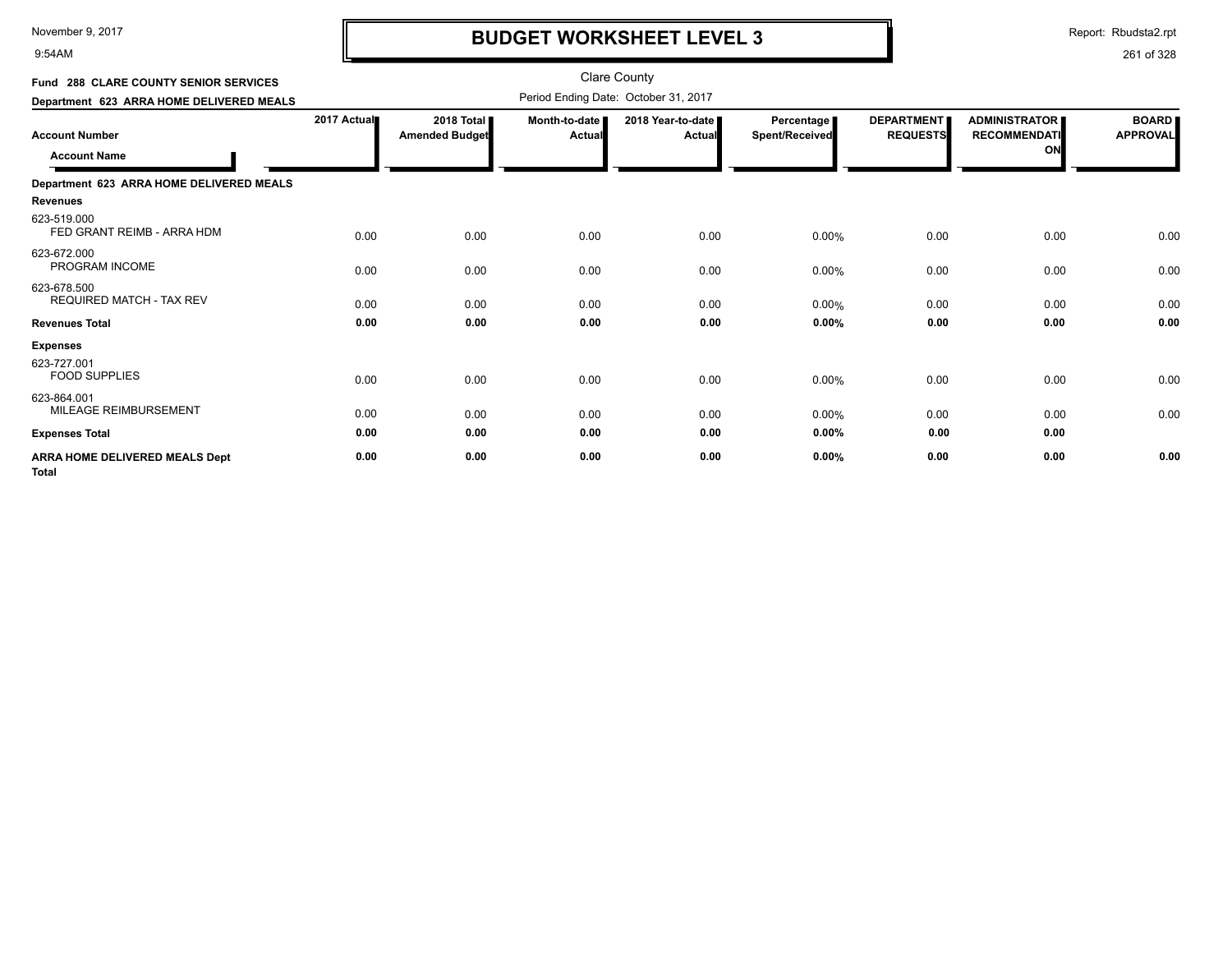9:54AM

# **BUDGET WORKSHEET LEVEL 3**

Report: Rbudsta2.rpt

| Fund 288 CLARE COUNTY SENIOR SERVICES                 |             |                                              |                         | Clare County                         |                              |                                      |                                                   |                                 |
|-------------------------------------------------------|-------------|----------------------------------------------|-------------------------|--------------------------------------|------------------------------|--------------------------------------|---------------------------------------------------|---------------------------------|
| Department 623 ARRA HOME DELIVERED MEALS              |             |                                              |                         | Period Ending Date: October 31, 2017 |                              |                                      |                                                   |                                 |
| <b>Account Number</b><br><b>Account Name</b>          | 2017 Actual | <b>2018 Total I</b><br><b>Amended Budget</b> | Month-to-date<br>Actual | 2018 Year-to-date I<br><b>Actual</b> | Percentage<br>Spent/Received | <b>DEPARTMENT</b><br><b>REQUESTS</b> | <b>ADMINISTRATOR</b><br><b>RECOMMENDATI</b><br>ON | <b>BOARD</b><br><b>APPROVAL</b> |
| Department 623 ARRA HOME DELIVERED MEALS              |             |                                              |                         |                                      |                              |                                      |                                                   |                                 |
| <b>Revenues</b>                                       |             |                                              |                         |                                      |                              |                                      |                                                   |                                 |
| 623-519.000<br>FED GRANT REIMB - ARRA HDM             | 0.00        | 0.00                                         | 0.00                    | 0.00                                 | 0.00%                        | 0.00                                 | 0.00                                              | 0.00                            |
| 623-672.000<br>PROGRAM INCOME                         | 0.00        | 0.00                                         | 0.00                    | 0.00                                 | 0.00%                        | 0.00                                 | 0.00                                              | 0.00                            |
| 623-678.500<br><b>REQUIRED MATCH - TAX REV</b>        | 0.00        | 0.00                                         | 0.00                    | 0.00                                 | 0.00%                        | 0.00                                 | 0.00                                              | 0.00                            |
| <b>Revenues Total</b>                                 | 0.00        | 0.00                                         | 0.00                    | 0.00                                 | 0.00%                        | 0.00                                 | 0.00                                              | 0.00                            |
| <b>Expenses</b>                                       |             |                                              |                         |                                      |                              |                                      |                                                   |                                 |
| 623-727.001<br><b>FOOD SUPPLIES</b>                   | 0.00        | 0.00                                         | 0.00                    | 0.00                                 | 0.00%                        | 0.00                                 | 0.00                                              | 0.00                            |
| 623-864.001<br>MILEAGE REIMBURSEMENT                  | 0.00        | 0.00                                         | 0.00                    | 0.00                                 | 0.00%                        | 0.00                                 | 0.00                                              | 0.00                            |
| <b>Expenses Total</b>                                 | 0.00        | 0.00                                         | 0.00                    | 0.00                                 | 0.00%                        | 0.00                                 | 0.00                                              |                                 |
| <b>ARRA HOME DELIVERED MEALS Dept</b><br><b>Total</b> | 0.00        | 0.00                                         | 0.00                    | 0.00                                 | 0.00%                        | 0.00                                 | 0.00                                              | 0.00                            |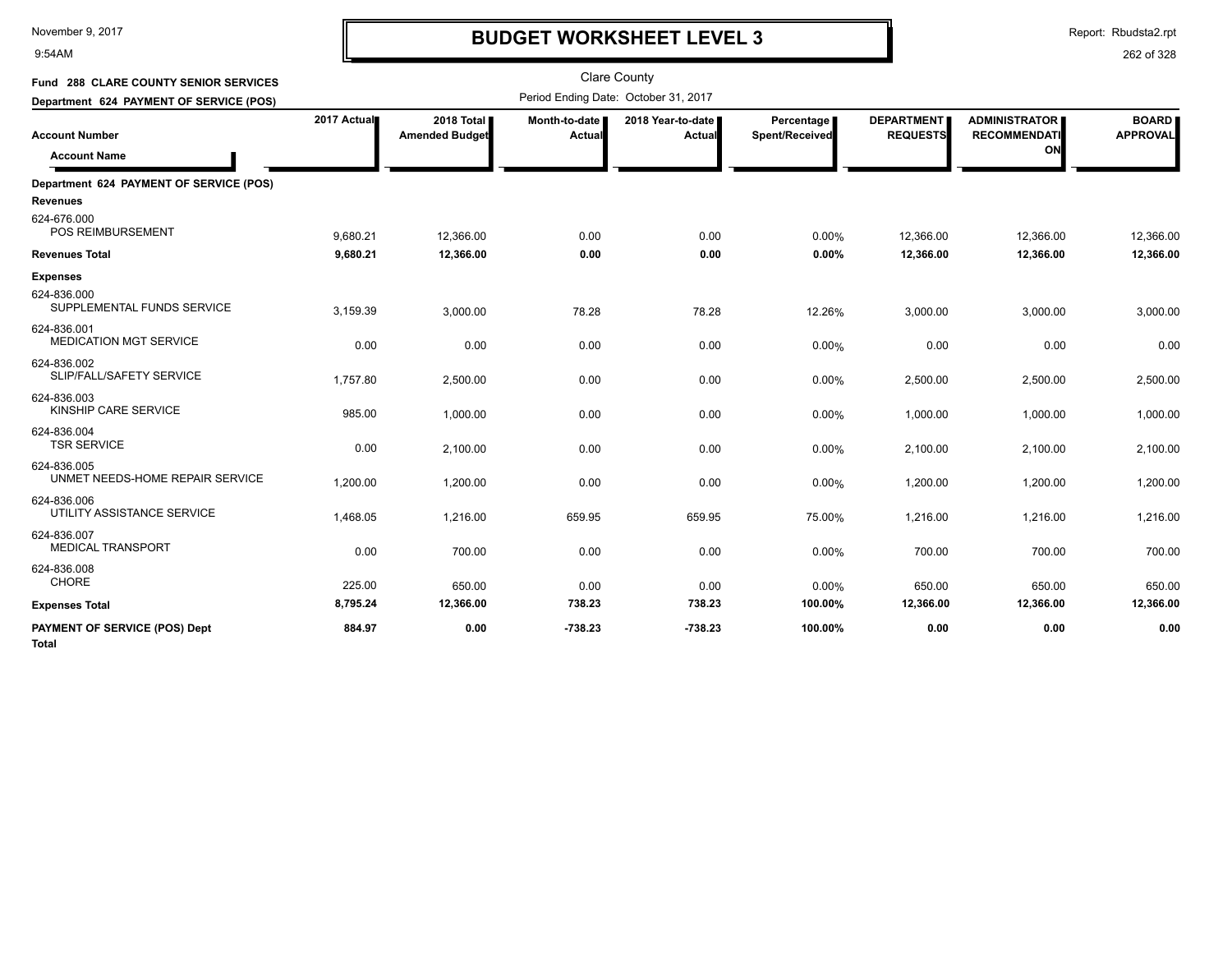9:54AM

# **BUDGET WORKSHEET LEVEL 3**

Report: Rbudsta2.rpt

#### 262 of 328

| Fund 288 CLARE COUNTY SENIOR SERVICES<br>Department 624 PAYMENT OF SERVICE (POS) | <b>Clare County</b><br>Period Ending Date: October 31, 2017 |                                     |                         |                             |                                     |                                      |                                                   |                                 |
|----------------------------------------------------------------------------------|-------------------------------------------------------------|-------------------------------------|-------------------------|-----------------------------|-------------------------------------|--------------------------------------|---------------------------------------------------|---------------------------------|
| <b>Account Number</b><br><b>Account Name</b>                                     | 2017 Actual                                                 | 2018 Total<br><b>Amended Budget</b> | Month-to-date<br>Actual | 2018 Year-to-date<br>Actual | Percentage<br><b>Spent/Received</b> | <b>DEPARTMENT</b><br><b>REQUESTS</b> | <b>ADMINISTRATOR</b><br><b>RECOMMENDATI</b><br>ON | <b>BOARD</b><br><b>APPROVAL</b> |
| Department 624 PAYMENT OF SERVICE (POS)<br>Revenues                              |                                                             |                                     |                         |                             |                                     |                                      |                                                   |                                 |
| 624-676.000<br>POS REIMBURSEMENT                                                 | 9,680.21                                                    | 12,366.00                           | 0.00                    | 0.00                        | 0.00%                               | 12,366.00                            | 12,366.00                                         | 12,366.00                       |
| Revenues Total                                                                   | 9,680.21                                                    | 12,366.00                           | 0.00                    | 0.00                        | 0.00%                               | 12,366.00                            | 12,366.00                                         | 12,366.00                       |
| <b>Expenses</b>                                                                  |                                                             |                                     |                         |                             |                                     |                                      |                                                   |                                 |
| 624-836.000<br>SUPPLEMENTAL FUNDS SERVICE                                        | 3,159.39                                                    | 3,000.00                            | 78.28                   | 78.28                       | 12.26%                              | 3,000.00                             | 3,000.00                                          | 3,000.00                        |
| 624-836.001<br><b>MEDICATION MGT SERVICE</b>                                     | 0.00                                                        | 0.00                                | 0.00                    | 0.00                        | 0.00%                               | 0.00                                 | 0.00                                              | 0.00                            |
| 624-836.002<br>SLIP/FALL/SAFETY SERVICE                                          | 1,757.80                                                    | 2,500.00                            | 0.00                    | 0.00                        | 0.00%                               | 2,500.00                             | 2,500.00                                          | 2,500.00                        |
| 624-836.003<br>KINSHIP CARE SERVICE                                              | 985.00                                                      | 1,000.00                            | 0.00                    | 0.00                        | 0.00%                               | 1,000.00                             | 1,000.00                                          | 1,000.00                        |
| 624-836.004<br><b>TSR SERVICE</b>                                                | 0.00                                                        | 2,100.00                            | 0.00                    | 0.00                        | 0.00%                               | 2,100.00                             | 2,100.00                                          | 2,100.00                        |
| 624-836.005<br>UNMET NEEDS-HOME REPAIR SERVICE                                   | 1,200.00                                                    | 1,200.00                            | 0.00                    | 0.00                        | 0.00%                               | 1,200.00                             | 1,200.00                                          | 1,200.00                        |
| 624-836.006<br>UTILITY ASSISTANCE SERVICE                                        | 1,468.05                                                    | 1,216.00                            | 659.95                  | 659.95                      | 75.00%                              | 1,216.00                             | 1,216.00                                          | 1,216.00                        |
| 624-836.007<br><b>MEDICAL TRANSPORT</b>                                          | 0.00                                                        | 700.00                              | 0.00                    | 0.00                        | 0.00%                               | 700.00                               | 700.00                                            | 700.00                          |
| 624-836.008<br><b>CHORE</b>                                                      | 225.00                                                      | 650.00                              | 0.00                    | 0.00                        | 0.00%                               | 650.00                               | 650.00                                            | 650.00                          |
| <b>Expenses Total</b>                                                            | 8,795.24                                                    | 12,366.00                           | 738.23                  | 738.23                      | 100.00%                             | 12,366.00                            | 12,366.00                                         | 12,366.00                       |
| <b>PAYMENT OF SERVICE (POS) Dept</b>                                             | 884.97                                                      | 0.00                                | $-738.23$               | $-738.23$                   | 100.00%                             | 0.00                                 | 0.00                                              | 0.00                            |

**Total**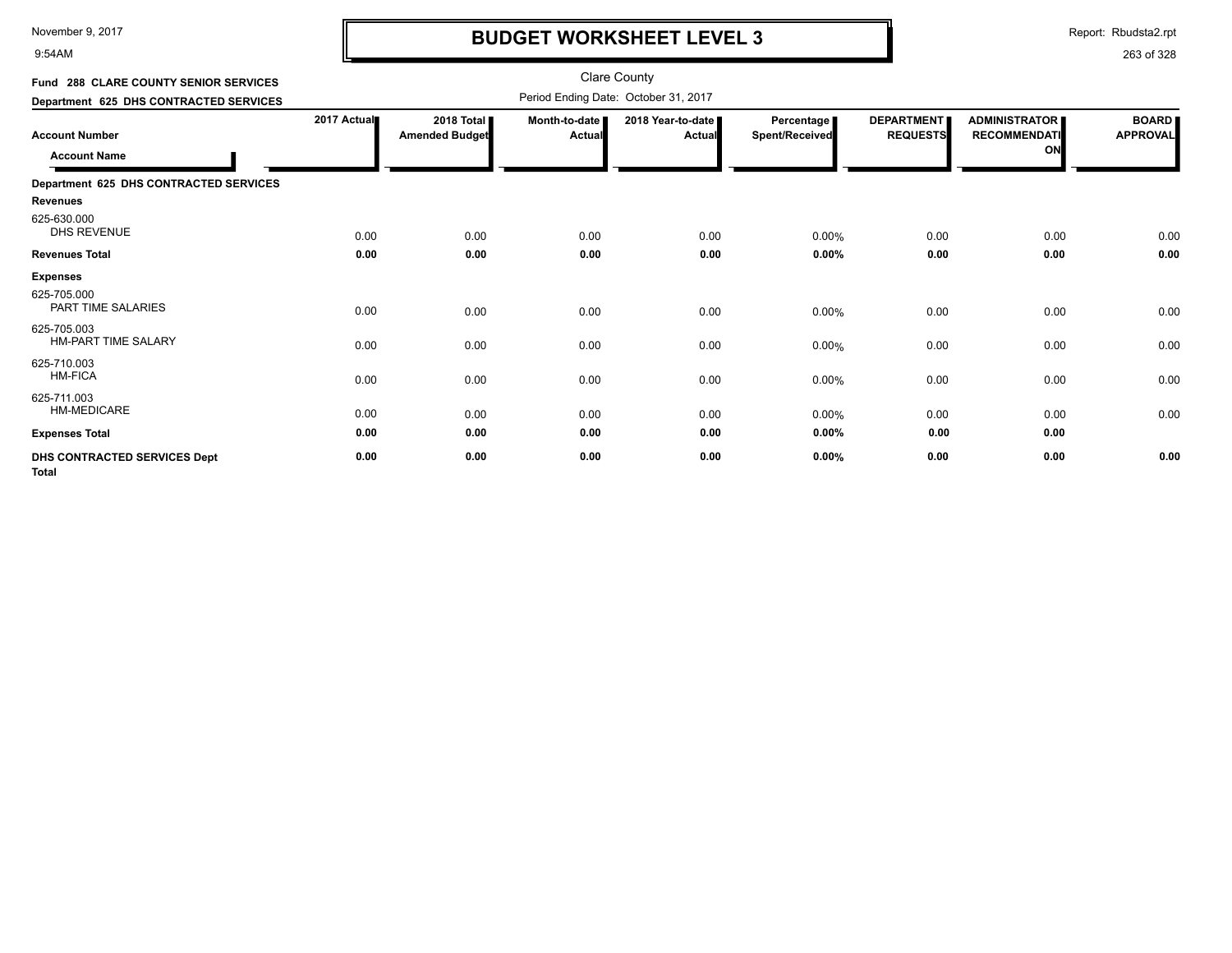9:54AM

# **BUDGET WORKSHEET LEVEL 3**

Report: Rbudsta2.rpt

| Fund 288 CLARE COUNTY SENIOR SERVICES        |             |                                     |                           | <b>Clare County</b>                  |                              |                                      |                                                   |                                 |
|----------------------------------------------|-------------|-------------------------------------|---------------------------|--------------------------------------|------------------------------|--------------------------------------|---------------------------------------------------|---------------------------------|
| Department 625 DHS CONTRACTED SERVICES       |             |                                     |                           | Period Ending Date: October 31, 2017 |                              |                                      |                                                   |                                 |
| <b>Account Number</b><br><b>Account Name</b> | 2017 Actual | 2018 Total<br><b>Amended Budget</b> | Month-to-date  <br>Actual | 2018 Year-to-date I<br><b>Actual</b> | Percentage<br>Spent/Received | <b>DEPARTMENT</b><br><b>REQUESTS</b> | <b>ADMINISTRATOR</b><br><b>RECOMMENDATI</b><br>ON | <b>BOARD</b><br><b>APPROVAL</b> |
| Department 625 DHS CONTRACTED SERVICES       |             |                                     |                           |                                      |                              |                                      |                                                   |                                 |
| <b>Revenues</b>                              |             |                                     |                           |                                      |                              |                                      |                                                   |                                 |
| 625-630.000<br><b>DHS REVENUE</b>            | 0.00        | 0.00                                | 0.00                      | 0.00                                 | 0.00%                        | 0.00                                 | 0.00                                              | 0.00                            |
| <b>Revenues Total</b>                        | 0.00        | 0.00                                | 0.00                      | 0.00                                 | 0.00%                        | 0.00                                 | 0.00                                              | 0.00                            |
| <b>Expenses</b>                              |             |                                     |                           |                                      |                              |                                      |                                                   |                                 |
| 625-705.000<br>PART TIME SALARIES            | 0.00        | 0.00                                | 0.00                      | 0.00                                 | 0.00%                        | 0.00                                 | 0.00                                              | 0.00                            |
| 625-705.003<br><b>HM-PART TIME SALARY</b>    | 0.00        | 0.00                                | 0.00                      | 0.00                                 | 0.00%                        | 0.00                                 | 0.00                                              | 0.00                            |
| 625-710.003<br><b>HM-FICA</b>                | 0.00        | 0.00                                | 0.00                      | 0.00                                 | 0.00%                        | 0.00                                 | 0.00                                              | 0.00                            |
| 625-711.003<br><b>HM-MEDICARE</b>            | 0.00        | 0.00                                | 0.00                      | 0.00                                 | 0.00%                        | 0.00                                 | 0.00                                              | 0.00                            |
| <b>Expenses Total</b>                        | 0.00        | 0.00                                | 0.00                      | 0.00                                 | 0.00%                        | 0.00                                 | 0.00                                              |                                 |
| DHS CONTRACTED SERVICES Dept<br><b>Total</b> | 0.00        | 0.00                                | 0.00                      | 0.00                                 | 0.00%                        | 0.00                                 | 0.00                                              | 0.00                            |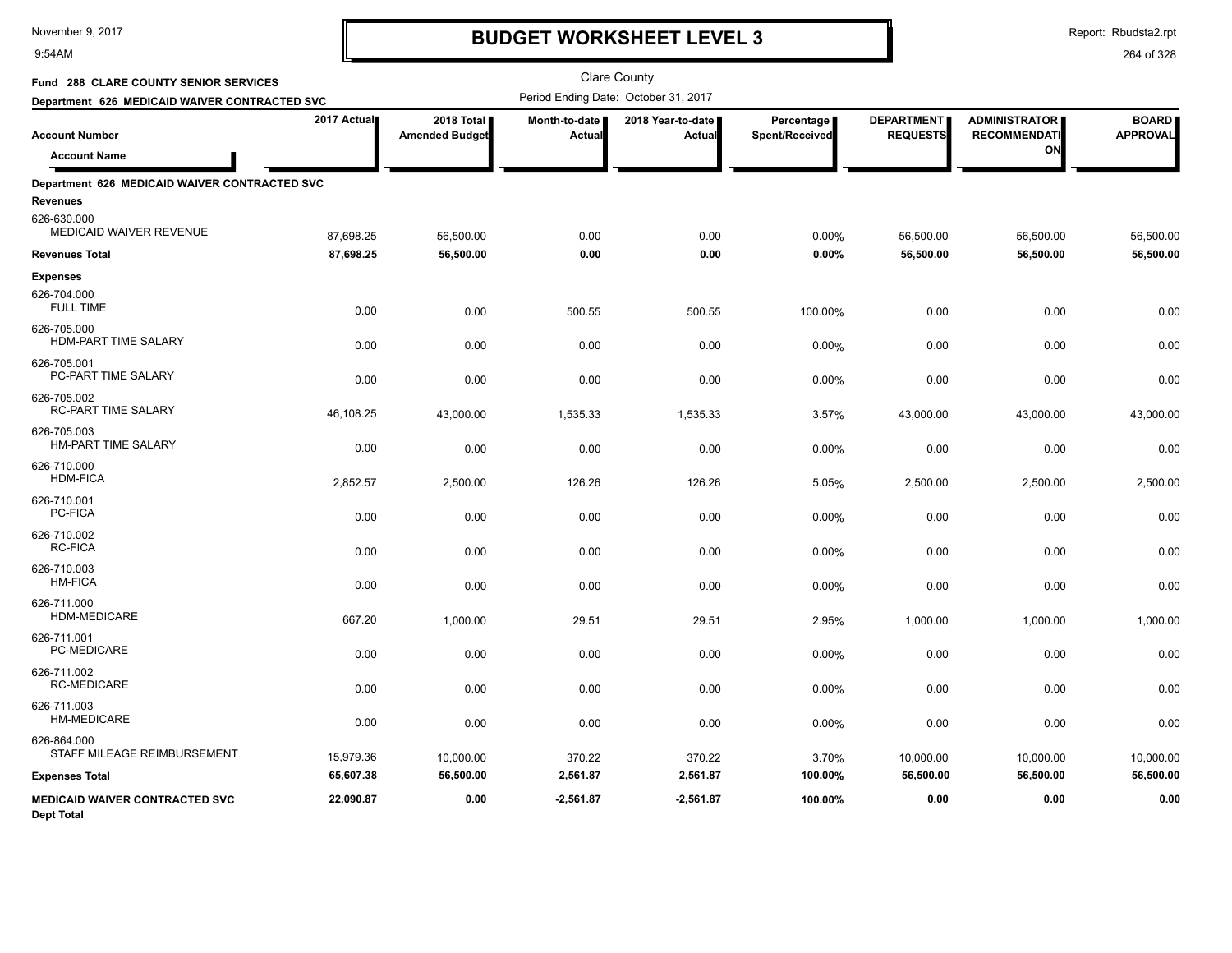#### 9:54AM

### **BUDGET WORKSHEET LEVEL 3**

Report: Rbudsta2.rpt

| Fund 288 CLARE COUNTY SENIOR SERVICES                     |             |                                     |                         | <b>Clare County</b>                  |                                     |                                      |                                                   |                                 |
|-----------------------------------------------------------|-------------|-------------------------------------|-------------------------|--------------------------------------|-------------------------------------|--------------------------------------|---------------------------------------------------|---------------------------------|
| Department 626 MEDICAID WAIVER CONTRACTED SVC             |             |                                     |                         | Period Ending Date: October 31, 2017 |                                     |                                      |                                                   |                                 |
| <b>Account Number</b><br><b>Account Name</b>              | 2017 Actual | 2018 Total<br><b>Amended Budget</b> | Month-to-date<br>Actual | 2018 Year-to-date<br>Actual          | <b>Percentage</b><br>Spent/Received | <b>DEPARTMENT</b><br><b>REQUESTS</b> | <b>ADMINISTRATOR</b><br><b>RECOMMENDATI</b><br>ON | <b>BOARD</b><br><b>APPROVAL</b> |
|                                                           |             |                                     |                         |                                      |                                     |                                      |                                                   |                                 |
| Department 626 MEDICAID WAIVER CONTRACTED SVC<br>Revenues |             |                                     |                         |                                      |                                     |                                      |                                                   |                                 |
| 626-630.000<br>MEDICAID WAIVER REVENUE                    | 87,698.25   | 56,500.00                           | 0.00                    | 0.00                                 | 0.00%                               | 56,500.00                            | 56,500.00                                         | 56,500.00                       |
| <b>Revenues Total</b>                                     | 87,698.25   | 56,500.00                           | 0.00                    | 0.00                                 | 0.00%                               | 56,500.00                            | 56,500.00                                         | 56,500.00                       |
| <b>Expenses</b>                                           |             |                                     |                         |                                      |                                     |                                      |                                                   |                                 |
| 626-704.000<br><b>FULL TIME</b>                           | 0.00        | 0.00                                | 500.55                  | 500.55                               | 100.00%                             | 0.00                                 | 0.00                                              | 0.00                            |
| 626-705.000<br>HDM-PART TIME SALARY                       | 0.00        | 0.00                                | 0.00                    | 0.00                                 | 0.00%                               | 0.00                                 | 0.00                                              | 0.00                            |
| 626-705.001<br>PC-PART TIME SALARY                        | 0.00        | 0.00                                | 0.00                    | 0.00                                 | 0.00%                               | 0.00                                 | 0.00                                              | 0.00                            |
| 626-705.002<br>RC-PART TIME SALARY                        | 46,108.25   | 43,000.00                           | 1,535.33                | 1,535.33                             | 3.57%                               | 43,000.00                            | 43,000.00                                         | 43,000.00                       |
| 626-705.003<br><b>HM-PART TIME SALARY</b>                 | 0.00        | 0.00                                | 0.00                    | 0.00                                 | 0.00%                               | 0.00                                 | 0.00                                              | 0.00                            |
| 626-710.000<br><b>HDM-FICA</b>                            | 2,852.57    | 2,500.00                            | 126.26                  | 126.26                               | 5.05%                               | 2,500.00                             | 2,500.00                                          | 2,500.00                        |
| 626-710.001<br>PC-FICA                                    | 0.00        | 0.00                                | 0.00                    | 0.00                                 | 0.00%                               | 0.00                                 | 0.00                                              | 0.00                            |
| 626-710.002<br><b>RC-FICA</b>                             | 0.00        | 0.00                                | 0.00                    | 0.00                                 | 0.00%                               | 0.00                                 | 0.00                                              | 0.00                            |
| 626-710.003<br><b>HM-FICA</b>                             | 0.00        | 0.00                                | 0.00                    | 0.00                                 | 0.00%                               | 0.00                                 | 0.00                                              | 0.00                            |
| 626-711.000<br>HDM-MEDICARE                               | 667.20      | 1,000.00                            | 29.51                   | 29.51                                | 2.95%                               | 1,000.00                             | 1,000.00                                          | 1,000.00                        |
| 626-711.001<br>PC-MEDICARE                                | 0.00        | 0.00                                | 0.00                    | 0.00                                 | 0.00%                               | 0.00                                 | 0.00                                              | 0.00                            |
| 626-711.002<br><b>RC-MEDICARE</b>                         | 0.00        | 0.00                                | 0.00                    | 0.00                                 | 0.00%                               | 0.00                                 | 0.00                                              | 0.00                            |
| 626-711.003<br>HM-MEDICARE                                | 0.00        | 0.00                                | 0.00                    | 0.00                                 | 0.00%                               | 0.00                                 | 0.00                                              | 0.00                            |
| 626-864.000<br>STAFF MILEAGE REIMBURSEMENT                | 15,979.36   | 10,000.00                           | 370.22                  | 370.22                               | 3.70%                               | 10,000.00                            | 10,000.00                                         | 10,000.00                       |
| <b>Expenses Total</b>                                     | 65,607.38   | 56,500.00                           | 2,561.87                | 2,561.87                             | 100.00%                             | 56,500.00                            | 56,500.00                                         | 56,500.00                       |
| MEDICAID WAIVER CONTRACTED SVC<br><b>Dept Total</b>       | 22,090.87   | 0.00                                | $-2,561.87$             | $-2,561.87$                          | 100.00%                             | 0.00                                 | 0.00                                              | 0.00                            |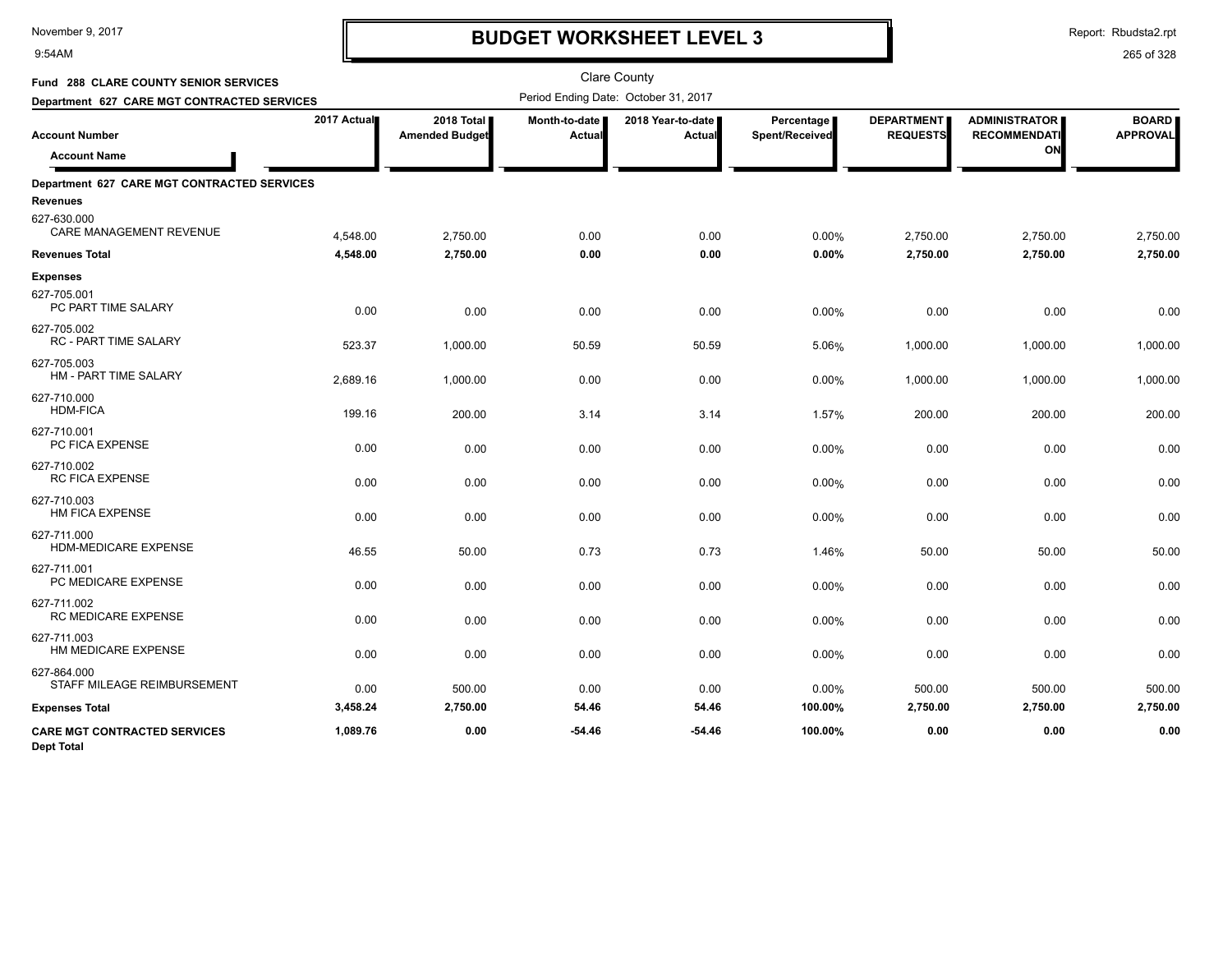#### 9:54AM

### **BUDGET WORKSHEET LEVEL 3**

Report: Rbudsta2.rpt

| Fund 288 CLARE COUNTY SENIOR SERVICES                    |             |                                     |                         | <b>Clare County</b>                  |                              |                                      |                                                   |                                 |
|----------------------------------------------------------|-------------|-------------------------------------|-------------------------|--------------------------------------|------------------------------|--------------------------------------|---------------------------------------------------|---------------------------------|
| Department 627 CARE MGT CONTRACTED SERVICES              |             |                                     |                         | Period Ending Date: October 31, 2017 |                              |                                      |                                                   |                                 |
| <b>Account Number</b><br><b>Account Name</b>             | 2017 Actual | 2018 Total<br><b>Amended Budget</b> | Month-to-date<br>Actual | 2018 Year-to-date<br><b>Actual</b>   | Percentage<br>Spent/Received | <b>DEPARTMENT</b><br><b>REQUESTS</b> | <b>ADMINISTRATOR</b><br><b>RECOMMENDATI</b><br>ON | <b>BOARD</b><br><b>APPROVAL</b> |
| Department 627 CARE MGT CONTRACTED SERVICES              |             |                                     |                         |                                      |                              |                                      |                                                   |                                 |
| <b>Revenues</b>                                          |             |                                     |                         |                                      |                              |                                      |                                                   |                                 |
| 627-630.000<br>CARE MANAGEMENT REVENUE                   | 4,548.00    | 2,750.00                            | 0.00                    | 0.00                                 | 0.00%                        | 2,750.00                             | 2,750.00                                          | 2,750.00                        |
| <b>Revenues Total</b>                                    | 4,548.00    | 2,750.00                            | 0.00                    | 0.00                                 | 0.00%                        | 2,750.00                             | 2,750.00                                          | 2,750.00                        |
| <b>Expenses</b><br>627-705.001<br>PC PART TIME SALARY    | 0.00        | 0.00                                | 0.00                    | 0.00                                 | 0.00%                        | 0.00                                 | 0.00                                              | 0.00                            |
| 627-705.002<br>RC - PART TIME SALARY                     | 523.37      | 1,000.00                            | 50.59                   | 50.59                                | 5.06%                        | 1,000.00                             | 1,000.00                                          | 1,000.00                        |
| 627-705.003<br>HM - PART TIME SALARY                     | 2,689.16    | 1,000.00                            | 0.00                    | 0.00                                 | 0.00%                        | 1,000.00                             | 1,000.00                                          | 1,000.00                        |
| 627-710.000<br><b>HDM-FICA</b>                           | 199.16      | 200.00                              | 3.14                    | 3.14                                 | 1.57%                        | 200.00                               | 200.00                                            | 200.00                          |
| 627-710.001<br>PC FICA EXPENSE                           | 0.00        | 0.00                                | 0.00                    | 0.00                                 | 0.00%                        | 0.00                                 | 0.00                                              | 0.00                            |
| 627-710.002<br><b>RC FICA EXPENSE</b>                    | 0.00        | 0.00                                | 0.00                    | 0.00                                 | 0.00%                        | 0.00                                 | 0.00                                              | 0.00                            |
| 627-710.003<br>HM FICA EXPENSE                           | 0.00        | 0.00                                | 0.00                    | 0.00                                 | 0.00%                        | 0.00                                 | 0.00                                              | 0.00                            |
| 627-711.000<br>HDM-MEDICARE EXPENSE                      | 46.55       | 50.00                               | 0.73                    | 0.73                                 | 1.46%                        | 50.00                                | 50.00                                             | 50.00                           |
| 627-711.001<br>PC MEDICARE EXPENSE                       | 0.00        | 0.00                                | 0.00                    | 0.00                                 | 0.00%                        | 0.00                                 | 0.00                                              | 0.00                            |
| 627-711.002<br>RC MEDICARE EXPENSE                       | 0.00        | 0.00                                | 0.00                    | 0.00                                 | 0.00%                        | 0.00                                 | 0.00                                              | 0.00                            |
| 627-711.003<br>HM MEDICARE EXPENSE                       | 0.00        | 0.00                                | 0.00                    | 0.00                                 | 0.00%                        | 0.00                                 | 0.00                                              | 0.00                            |
| 627-864.000<br>STAFF MILEAGE REIMBURSEMENT               | 0.00        | 500.00                              | 0.00                    | 0.00                                 | 0.00%                        | 500.00                               | 500.00                                            | 500.00                          |
| <b>Expenses Total</b>                                    | 3,458.24    | 2,750.00                            | 54.46                   | 54.46                                | 100.00%                      | 2,750.00                             | 2,750.00                                          | 2,750.00                        |
| <b>CARE MGT CONTRACTED SERVICES</b><br><b>Dept Total</b> | 1,089.76    | 0.00                                | $-54.46$                | $-54.46$                             | 100.00%                      | 0.00                                 | 0.00                                              | 0.00                            |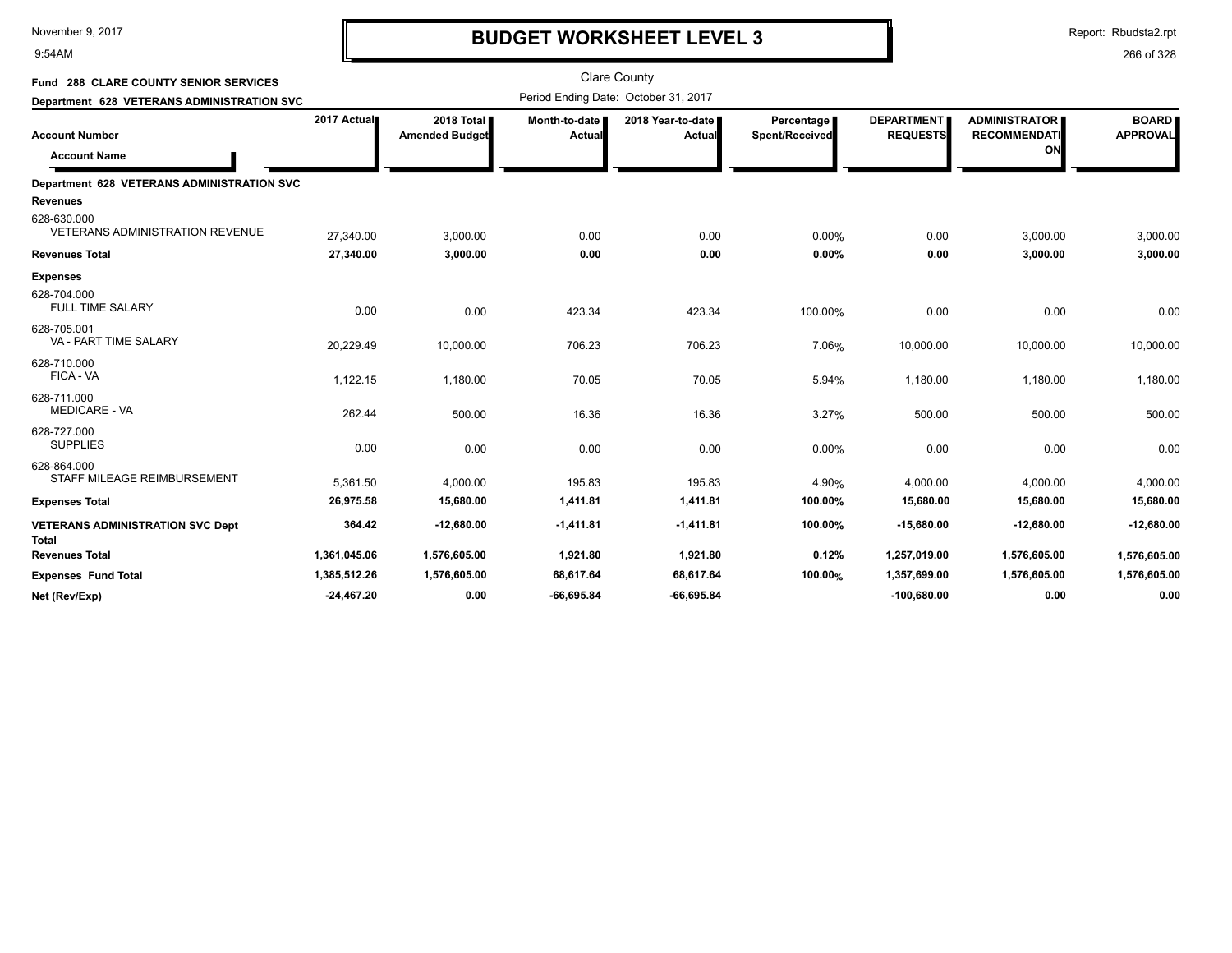9:54AM

# **BUDGET WORKSHEET LEVEL 3**

Report: Rbudsta2.rpt

| Fund 288 CLARE COUNTY SENIOR SERVICES                 |              |                                     |                         | <b>Clare County</b>                  |                              |                                      |                                                   |                                 |
|-------------------------------------------------------|--------------|-------------------------------------|-------------------------|--------------------------------------|------------------------------|--------------------------------------|---------------------------------------------------|---------------------------------|
| Department 628 VETERANS ADMINISTRATION SVC            |              |                                     |                         | Period Ending Date: October 31, 2017 |                              |                                      |                                                   |                                 |
| <b>Account Number</b><br><b>Account Name</b>          | 2017 Actual  | 2018 Total<br><b>Amended Budget</b> | Month-to-date<br>Actual | 2018 Year-to-date<br>Actual          | Percentage<br>Spent/Received | <b>DEPARTMENT</b><br><b>REQUESTS</b> | <b>ADMINISTRATOR</b><br><b>RECOMMENDATI</b><br>ON | <b>BOARD</b><br><b>APPROVAL</b> |
| Department 628 VETERANS ADMINISTRATION SVC            |              |                                     |                         |                                      |                              |                                      |                                                   |                                 |
| Revenues                                              |              |                                     |                         |                                      |                              |                                      |                                                   |                                 |
| 628-630.000<br><b>VETERANS ADMINISTRATION REVENUE</b> | 27,340.00    | 3,000.00                            | 0.00                    | 0.00                                 | 0.00%                        | 0.00                                 | 3,000.00                                          | 3,000.00                        |
| Revenues Total                                        | 27,340.00    | 3,000.00                            | 0.00                    | 0.00                                 | 0.00%                        | 0.00                                 | 3,000.00                                          | 3,000.00                        |
| <b>Expenses</b>                                       |              |                                     |                         |                                      |                              |                                      |                                                   |                                 |
| 628-704.000<br><b>FULL TIME SALARY</b>                | 0.00         | 0.00                                | 423.34                  | 423.34                               | 100.00%                      | 0.00                                 | 0.00                                              | 0.00                            |
| 628-705.001<br>VA - PART TIME SALARY                  | 20,229.49    | 10,000.00                           | 706.23                  | 706.23                               | 7.06%                        | 10,000.00                            | 10,000.00                                         | 10,000.00                       |
| 628-710.000<br>FICA - VA                              | 1,122.15     | 1,180.00                            | 70.05                   | 70.05                                | 5.94%                        | 1,180.00                             | 1,180.00                                          | 1,180.00                        |
| 628-711.000<br><b>MEDICARE - VA</b>                   | 262.44       | 500.00                              | 16.36                   | 16.36                                | 3.27%                        | 500.00                               | 500.00                                            | 500.00                          |
| 628-727.000<br><b>SUPPLIES</b>                        | 0.00         | 0.00                                | 0.00                    | 0.00                                 | 0.00%                        | 0.00                                 | 0.00                                              | 0.00                            |
| 628-864.000<br>STAFF MILEAGE REIMBURSEMENT            | 5,361.50     | 4,000.00                            | 195.83                  | 195.83                               | 4.90%                        | 4,000.00                             | 4,000.00                                          | 4,000.00                        |
| <b>Expenses Total</b>                                 | 26,975.58    | 15,680.00                           | 1,411.81                | 1,411.81                             | 100.00%                      | 15,680.00                            | 15,680.00                                         | 15,680.00                       |
| <b>VETERANS ADMINISTRATION SVC Dept</b><br>Total      | 364.42       | $-12,680.00$                        | $-1,411.81$             | $-1,411.81$                          | 100.00%                      | $-15,680.00$                         | $-12,680.00$                                      | $-12,680.00$                    |
| <b>Revenues Total</b>                                 | 1,361,045.06 | 1,576,605.00                        | 1,921.80                | 1,921.80                             | 0.12%                        | 1,257,019.00                         | 1,576,605.00                                      | 1,576,605.00                    |
| <b>Expenses Fund Total</b>                            | 1,385,512.26 | 1,576,605.00                        | 68,617.64               | 68,617.64                            | 100.00%                      | 1,357,699.00                         | 1,576,605.00                                      | 1,576,605.00                    |
| Net (Rev/Exp)                                         | $-24,467.20$ | 0.00                                | $-66,695.84$            | $-66.695.84$                         |                              | $-100,680.00$                        | 0.00                                              | 0.00                            |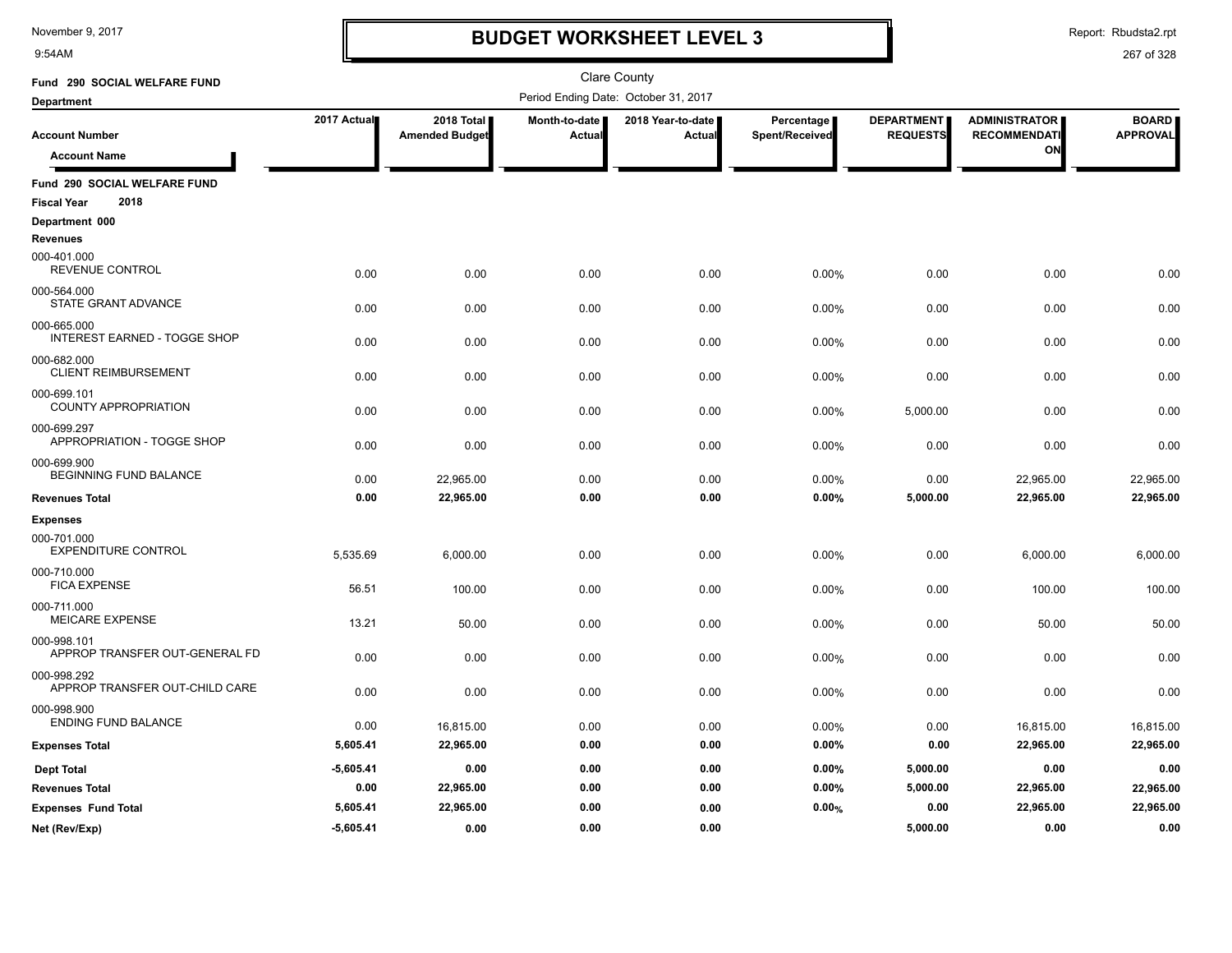9:54AM

# **BUDGET WORKSHEET LEVEL 3**

Report: Rbudsta2.rpt

| Fund 290 SOCIAL WELFARE FUND                               |             |                                     |                         | Clare County                         |                              |                                      |                                                   |                                 |
|------------------------------------------------------------|-------------|-------------------------------------|-------------------------|--------------------------------------|------------------------------|--------------------------------------|---------------------------------------------------|---------------------------------|
| <b>Department</b>                                          |             |                                     |                         | Period Ending Date: October 31, 2017 |                              |                                      |                                                   |                                 |
| <b>Account Number</b><br><b>Account Name</b>               | 2017 Actual | 2018 Total<br><b>Amended Budget</b> | Month-to-date<br>Actual | 2018 Year-to-date<br>Actual          | Percentage<br>Spent/Received | <b>DEPARTMENT</b><br><b>REQUESTS</b> | <b>ADMINISTRATOR</b><br><b>RECOMMENDATI</b><br>ON | <b>BOARD</b><br><b>APPROVAL</b> |
| Fund 290 SOCIAL WELFARE FUND<br>2018<br><b>Fiscal Year</b> |             |                                     |                         |                                      |                              |                                      |                                                   |                                 |
| Department 000                                             |             |                                     |                         |                                      |                              |                                      |                                                   |                                 |
| <b>Revenues</b>                                            |             |                                     |                         |                                      |                              |                                      |                                                   |                                 |
| 000-401.000<br>REVENUE CONTROL                             | 0.00        | 0.00                                | 0.00                    | 0.00                                 | 0.00%                        | 0.00                                 | 0.00                                              | 0.00                            |
| 000-564.000<br>STATE GRANT ADVANCE                         | 0.00        | 0.00                                | 0.00                    | 0.00                                 | 0.00%                        | 0.00                                 | 0.00                                              | 0.00                            |
| 000-665.000<br>INTEREST EARNED - TOGGE SHOP                | 0.00        | 0.00                                | 0.00                    | 0.00                                 | 0.00%                        | 0.00                                 | 0.00                                              | 0.00                            |
| 000-682.000<br><b>CLIENT REIMBURSEMENT</b>                 | 0.00        | 0.00                                | 0.00                    | 0.00                                 | 0.00%                        | 0.00                                 | 0.00                                              | 0.00                            |
| 000-699.101<br>COUNTY APPROPRIATION                        | 0.00        | 0.00                                | 0.00                    | 0.00                                 | 0.00%                        | 5,000.00                             | 0.00                                              | 0.00                            |
| 000-699.297<br>APPROPRIATION - TOGGE SHOP                  | 0.00        | 0.00                                | 0.00                    | 0.00                                 | 0.00%                        | 0.00                                 | 0.00                                              | 0.00                            |
| 000-699.900<br>BEGINNING FUND BALANCE                      | 0.00        | 22,965.00                           | 0.00                    | 0.00                                 | 0.00%                        | 0.00                                 | 22,965.00                                         | 22,965.00                       |
| <b>Revenues Total</b>                                      | 0.00        | 22,965.00                           | 0.00                    | 0.00                                 | 0.00%                        | 5,000.00                             | 22,965.00                                         | 22,965.00                       |
| <b>Expenses</b>                                            |             |                                     |                         |                                      |                              |                                      |                                                   |                                 |
| 000-701.000<br><b>EXPENDITURE CONTROL</b>                  | 5,535.69    | 6,000.00                            | 0.00                    | 0.00                                 | 0.00%                        | 0.00                                 | 6,000.00                                          | 6,000.00                        |
| 000-710.000<br><b>FICA EXPENSE</b>                         | 56.51       | 100.00                              | 0.00                    | 0.00                                 | 0.00%                        | 0.00                                 | 100.00                                            | 100.00                          |
| 000-711.000<br>MEICARE EXPENSE                             | 13.21       | 50.00                               | 0.00                    | 0.00                                 | 0.00%                        | 0.00                                 | 50.00                                             | 50.00                           |
| 000-998.101<br>APPROP TRANSFER OUT-GENERAL FD              | 0.00        | 0.00                                | 0.00                    | 0.00                                 | 0.00%                        | 0.00                                 | 0.00                                              | 0.00                            |
| 000-998.292<br>APPROP TRANSFER OUT-CHILD CARE              | 0.00        | 0.00                                | 0.00                    | 0.00                                 | 0.00%                        | 0.00                                 | 0.00                                              | 0.00                            |
| 000-998.900<br><b>ENDING FUND BALANCE</b>                  | 0.00        | 16,815.00                           | 0.00                    | 0.00                                 | 0.00%                        | 0.00                                 | 16,815.00                                         | 16,815.00                       |
| <b>Expenses Total</b>                                      | 5,605.41    | 22,965.00                           | 0.00                    | 0.00                                 | 0.00%                        | 0.00                                 | 22,965.00                                         | 22,965.00                       |
| <b>Dept Total</b>                                          | $-5,605.41$ | 0.00                                | 0.00                    | 0.00                                 | 0.00%                        | 5,000.00                             | 0.00                                              | 0.00                            |
| <b>Revenues Total</b>                                      | 0.00        | 22,965.00                           | 0.00                    | 0.00                                 | 0.00%                        | 5,000.00                             | 22,965.00                                         | 22,965.00                       |
| <b>Expenses Fund Total</b>                                 | 5,605.41    | 22,965.00                           | 0.00                    | 0.00                                 | 0.00%                        | 0.00                                 | 22,965.00                                         | 22,965.00                       |
| Net (Rev/Exp)                                              | $-5,605.41$ | 0.00                                | 0.00                    | 0.00                                 |                              | 5,000.00                             | 0.00                                              | 0.00                            |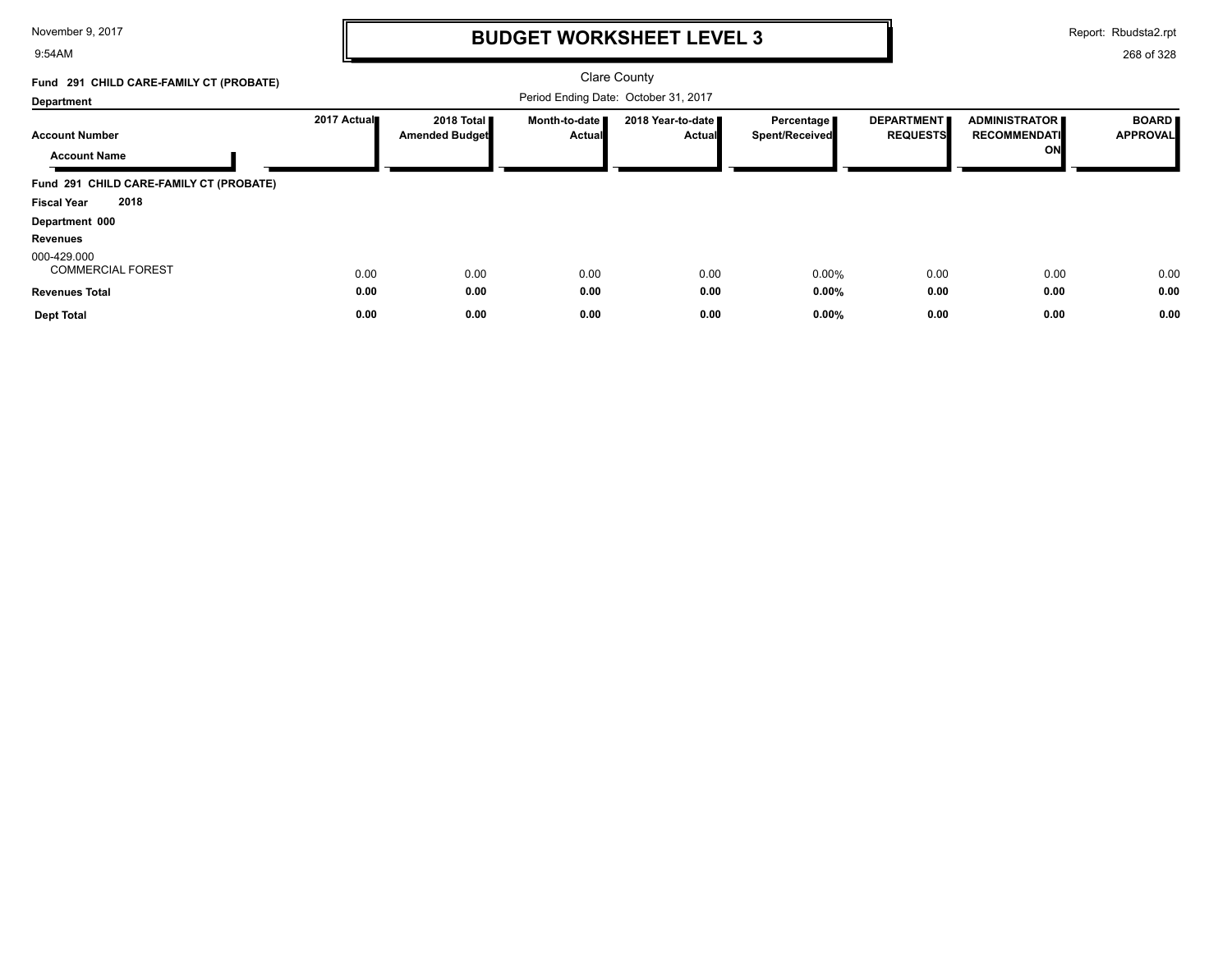#### 9:54AM

# **BUDGET WORKSHEET LEVEL 3**

Report: Rbudsta2.rpt

| Fund 291 CHILD CARE-FAMILY CT (PROBATE)      |             |                                               |                                | <b>Clare County</b>                  |                                     |                                      |                                                   |                                 |
|----------------------------------------------|-------------|-----------------------------------------------|--------------------------------|--------------------------------------|-------------------------------------|--------------------------------------|---------------------------------------------------|---------------------------------|
| Department                                   |             |                                               |                                | Period Ending Date: October 31, 2017 |                                     |                                      |                                                   |                                 |
| <b>Account Number</b><br><b>Account Name</b> | 2017 Actual | 2018 Total <b>II</b><br><b>Amended Budget</b> | Month-to-date<br><b>Actual</b> | 2018 Year-to-date<br><b>Actual</b>   | Percentage<br><b>Spent/Received</b> | <b>DEPARTMENT</b><br><b>REQUESTS</b> | <b>ADMINISTRATOR</b><br><b>RECOMMENDATI</b><br>ON | <b>BOARD</b><br><b>APPROVAL</b> |
| Fund 291 CHILD CARE-FAMILY CT (PROBATE)      |             |                                               |                                |                                      |                                     |                                      |                                                   |                                 |
| 2018<br><b>Fiscal Year</b>                   |             |                                               |                                |                                      |                                     |                                      |                                                   |                                 |
| Department 000                               |             |                                               |                                |                                      |                                     |                                      |                                                   |                                 |
| <b>Revenues</b>                              |             |                                               |                                |                                      |                                     |                                      |                                                   |                                 |
| 000-429.000<br><b>COMMERCIAL FOREST</b>      | 0.00        | 0.00                                          | 0.00                           | 0.00                                 | 0.00%                               | 0.00                                 | 0.00                                              | 0.00                            |
| <b>Revenues Total</b>                        | 0.00        | 0.00                                          | 0.00                           | 0.00                                 | 0.00%                               | 0.00                                 | 0.00                                              | 0.00                            |
| <b>Dept Total</b>                            | 0.00        | 0.00                                          | 0.00                           | 0.00                                 | 0.00%                               | 0.00                                 | 0.00                                              | 0.00                            |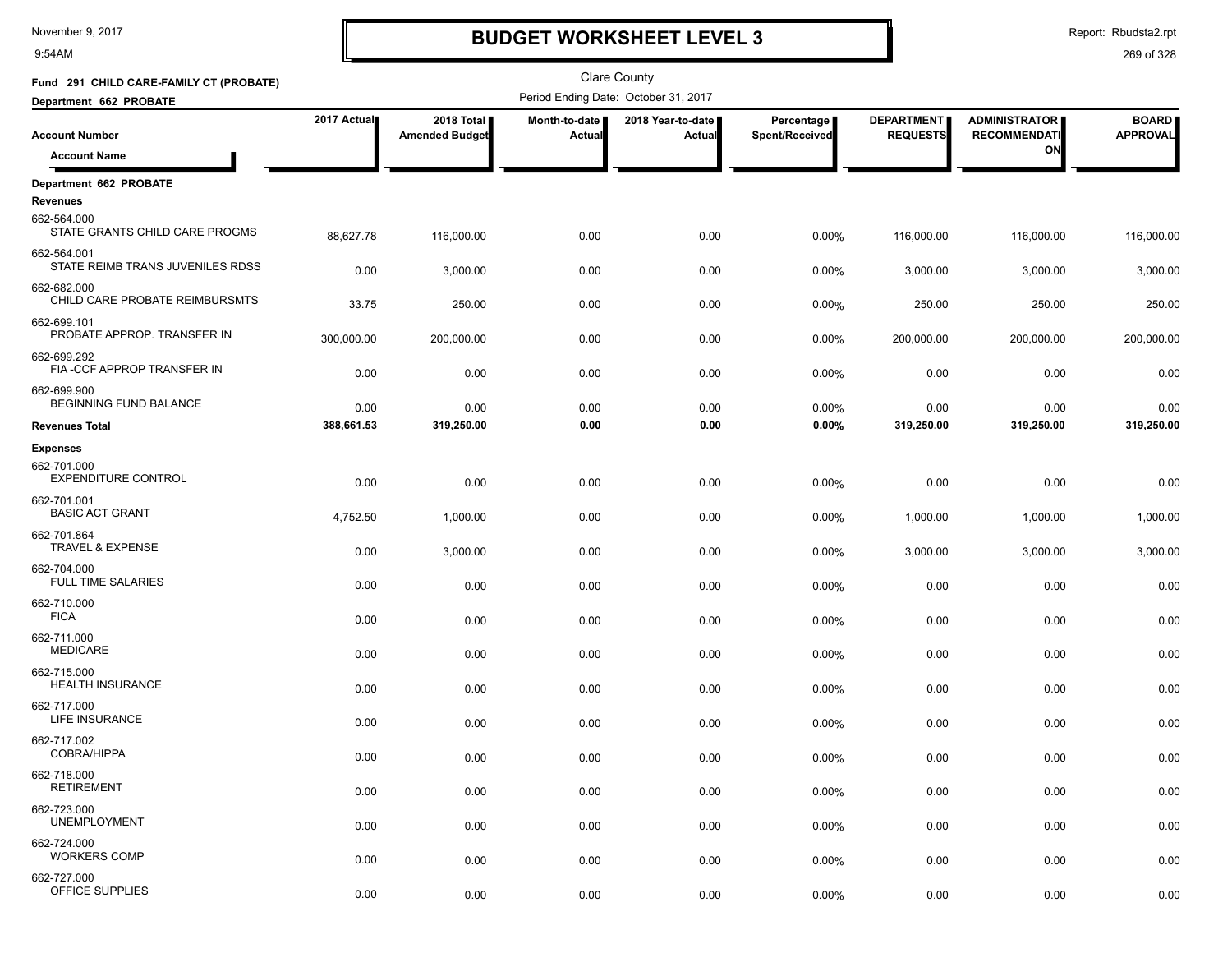9:54AM

# **BUDGET WORKSHEET LEVEL 3**

Report: Rbudsta2.rpt

| Fund 291 CHILD CARE-FAMILY CT (PROBATE)         |             |                                     |                         | <b>Clare County</b>                  |                              |                                      |                                             |                                 |
|-------------------------------------------------|-------------|-------------------------------------|-------------------------|--------------------------------------|------------------------------|--------------------------------------|---------------------------------------------|---------------------------------|
| Department 662 PROBATE                          |             |                                     |                         | Period Ending Date: October 31, 2017 |                              |                                      |                                             |                                 |
| <b>Account Number</b>                           | 2017 Actual | 2018 Total<br><b>Amended Budget</b> | Month-to-date<br>Actual | 2018 Year-to-date  <br>Actual        | Percentage<br>Spent/Received | <b>DEPARTMENT</b><br><b>REQUESTS</b> | <b>ADMINISTRATOR</b><br><b>RECOMMENDATI</b> | <b>BOARD</b><br><b>APPROVAL</b> |
| <b>Account Name</b>                             |             |                                     |                         |                                      |                              |                                      | ON                                          |                                 |
| Department 662 PROBATE<br><b>Revenues</b>       |             |                                     |                         |                                      |                              |                                      |                                             |                                 |
| 662-564.000<br>STATE GRANTS CHILD CARE PROGMS   | 88,627.78   | 116,000.00                          | 0.00                    | 0.00                                 | 0.00%                        | 116,000.00                           | 116,000.00                                  | 116,000.00                      |
| 662-564.001<br>STATE REIMB TRANS JUVENILES RDSS | 0.00        | 3,000.00                            | 0.00                    | 0.00                                 | 0.00%                        | 3,000.00                             | 3,000.00                                    | 3,000.00                        |
| 662-682.000<br>CHILD CARE PROBATE REIMBURSMTS   | 33.75       | 250.00                              | 0.00                    | 0.00                                 | 0.00%                        | 250.00                               | 250.00                                      | 250.00                          |
| 662-699.101<br>PROBATE APPROP. TRANSFER IN      | 300,000.00  | 200,000.00                          | 0.00                    | 0.00                                 | 0.00%                        | 200,000.00                           | 200,000.00                                  | 200,000.00                      |
| 662-699.292<br>FIA-CCF APPROP TRANSFER IN       | 0.00        | 0.00                                | 0.00                    | 0.00                                 | 0.00%                        | 0.00                                 | 0.00                                        | 0.00                            |
| 662-699.900<br>BEGINNING FUND BALANCE           | 0.00        | 0.00                                | 0.00                    | 0.00                                 | 0.00%                        | 0.00                                 | 0.00                                        | 0.00                            |
| <b>Revenues Total</b>                           | 388,661.53  | 319,250.00                          | 0.00                    | 0.00                                 | 0.00%                        | 319,250.00                           | 319,250.00                                  | 319,250.00                      |
| <b>Expenses</b>                                 |             |                                     |                         |                                      |                              |                                      |                                             |                                 |
| 662-701.000<br><b>EXPENDITURE CONTROL</b>       | 0.00        | 0.00                                | 0.00                    | 0.00                                 | 0.00%                        | 0.00                                 | 0.00                                        | 0.00                            |
| 662-701.001<br><b>BASIC ACT GRANT</b>           | 4,752.50    | 1,000.00                            | 0.00                    | 0.00                                 | 0.00%                        | 1,000.00                             | 1,000.00                                    | 1,000.00                        |
| 662-701.864<br>TRAVEL & EXPENSE                 | 0.00        | 3,000.00                            | 0.00                    | 0.00                                 | 0.00%                        | 3,000.00                             | 3,000.00                                    | 3,000.00                        |
| 662-704.000<br><b>FULL TIME SALARIES</b>        | 0.00        | 0.00                                | 0.00                    | 0.00                                 | 0.00%                        | 0.00                                 | 0.00                                        | 0.00                            |
| 662-710.000<br><b>FICA</b>                      | 0.00        | 0.00                                | 0.00                    | 0.00                                 | 0.00%                        | 0.00                                 | 0.00                                        | 0.00                            |
| 662-711.000<br><b>MEDICARE</b>                  | 0.00        | 0.00                                | 0.00                    | 0.00                                 | 0.00%                        | 0.00                                 | 0.00                                        | 0.00                            |
| 662-715.000<br><b>HEALTH INSURANCE</b>          | 0.00        | 0.00                                | 0.00                    | 0.00                                 | 0.00%                        | 0.00                                 | 0.00                                        | 0.00                            |
| 662-717.000<br>LIFE INSURANCE                   | 0.00        | 0.00                                | 0.00                    | 0.00                                 | 0.00%                        | 0.00                                 | 0.00                                        | 0.00                            |
| 662-717.002<br>COBRA/HIPPA                      | 0.00        | 0.00                                | 0.00                    | 0.00                                 | 0.00%                        | 0.00                                 | 0.00                                        | 0.00                            |
| 662-718.000<br><b>RETIREMENT</b>                | 0.00        | 0.00                                | 0.00                    | 0.00                                 | 0.00%                        | 0.00                                 | 0.00                                        | 0.00                            |
| 662-723.000<br><b>UNEMPLOYMENT</b>              | 0.00        | 0.00                                | 0.00                    | 0.00                                 | 0.00%                        | 0.00                                 | 0.00                                        | 0.00                            |
| 662-724.000<br><b>WORKERS COMP</b>              | 0.00        | 0.00                                | 0.00                    | 0.00                                 | 0.00%                        | 0.00                                 | 0.00                                        | 0.00                            |
| 662-727.000<br>OFFICE SUPPLIES                  | 0.00        | 0.00                                | 0.00                    | 0.00                                 | 0.00%                        | 0.00                                 | 0.00                                        | 0.00                            |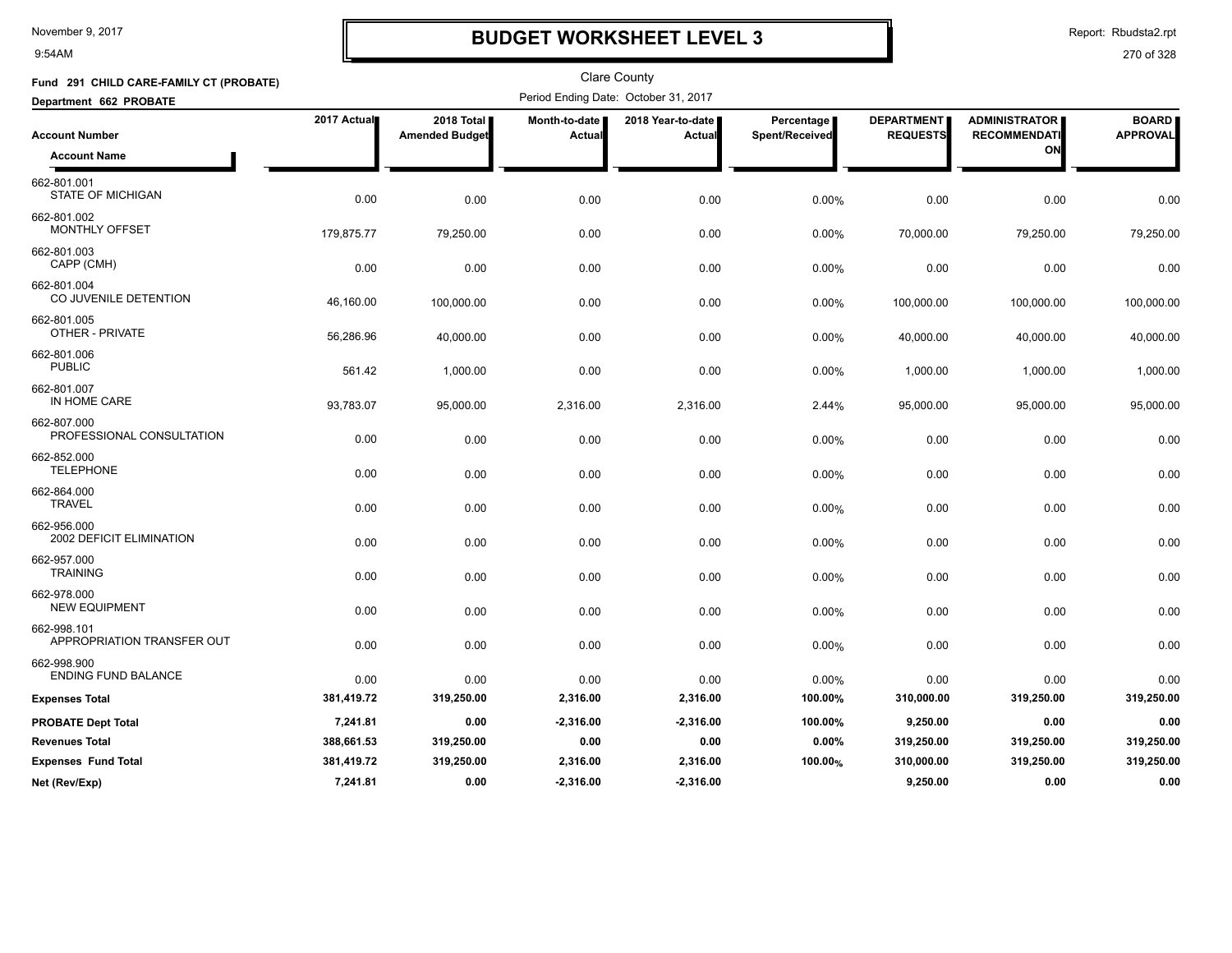9:54AM

# **BUDGET WORKSHEET LEVEL 3**

Report: Rbudsta2.rpt

| Fund 291 CHILD CARE-FAMILY CT (PROBATE)   |             |                                     |                         | <b>Clare County</b>                  |                                     |                                      |                                             |                                 |
|-------------------------------------------|-------------|-------------------------------------|-------------------------|--------------------------------------|-------------------------------------|--------------------------------------|---------------------------------------------|---------------------------------|
| Department 662 PROBATE                    |             |                                     |                         | Period Ending Date: October 31, 2017 |                                     |                                      |                                             |                                 |
| <b>Account Number</b>                     | 2017 Actual | 2018 Total<br><b>Amended Budget</b> | Month-to-date<br>Actual | 2018 Year-to-date<br>Actual          | <b>Percentage</b><br>Spent/Received | <b>DEPARTMENT</b><br><b>REQUESTS</b> | <b>ADMINISTRATOR</b><br><b>RECOMMENDATI</b> | <b>BOARD</b><br><b>APPROVAL</b> |
| <b>Account Name</b>                       |             |                                     |                         |                                      |                                     |                                      | ON                                          |                                 |
| 662-801.001<br><b>STATE OF MICHIGAN</b>   | 0.00        | 0.00                                | 0.00                    | 0.00                                 | 0.00%                               | 0.00                                 | 0.00                                        | 0.00                            |
| 662-801.002<br><b>MONTHLY OFFSET</b>      | 179,875.77  | 79,250.00                           | 0.00                    | 0.00                                 | 0.00%                               | 70,000.00                            | 79,250.00                                   | 79,250.00                       |
| 662-801.003<br>CAPP (CMH)                 | 0.00        | 0.00                                | 0.00                    | 0.00                                 | 0.00%                               | 0.00                                 | 0.00                                        | 0.00                            |
| 662-801.004<br>CO JUVENILE DETENTION      | 46,160.00   | 100,000.00                          | 0.00                    | 0.00                                 | 0.00%                               | 100,000.00                           | 100,000.00                                  | 100,000.00                      |
| 662-801.005<br>OTHER - PRIVATE            | 56,286.96   | 40,000.00                           | 0.00                    | 0.00                                 | 0.00%                               | 40,000.00                            | 40,000.00                                   | 40,000.00                       |
| 662-801.006<br><b>PUBLIC</b>              | 561.42      | 1,000.00                            | 0.00                    | 0.00                                 | 0.00%                               | 1,000.00                             | 1,000.00                                    | 1,000.00                        |
| 662-801.007<br>IN HOME CARE               | 93,783.07   | 95,000.00                           | 2,316.00                | 2,316.00                             | 2.44%                               | 95,000.00                            | 95,000.00                                   | 95,000.00                       |
| 662-807.000<br>PROFESSIONAL CONSULTATION  | 0.00        | 0.00                                | 0.00                    | 0.00                                 | 0.00%                               | 0.00                                 | 0.00                                        | 0.00                            |
| 662-852.000<br><b>TELEPHONE</b>           | 0.00        | 0.00                                | 0.00                    | 0.00                                 | 0.00%                               | 0.00                                 | 0.00                                        | 0.00                            |
| 662-864.000<br><b>TRAVEL</b>              | 0.00        | 0.00                                | 0.00                    | 0.00                                 | 0.00%                               | 0.00                                 | 0.00                                        | 0.00                            |
| 662-956.000<br>2002 DEFICIT ELIMINATION   | 0.00        | 0.00                                | 0.00                    | 0.00                                 | 0.00%                               | 0.00                                 | 0.00                                        | 0.00                            |
| 662-957.000<br><b>TRAINING</b>            | 0.00        | 0.00                                | 0.00                    | 0.00                                 | 0.00%                               | 0.00                                 | 0.00                                        | 0.00                            |
| 662-978.000<br><b>NEW EQUIPMENT</b>       | 0.00        | 0.00                                | 0.00                    | 0.00                                 | 0.00%                               | 0.00                                 | 0.00                                        | 0.00                            |
| 662-998.101<br>APPROPRIATION TRANSFER OUT | 0.00        | 0.00                                | 0.00                    | 0.00                                 | 0.00%                               | 0.00                                 | 0.00                                        | 0.00                            |
| 662-998.900<br><b>ENDING FUND BALANCE</b> | 0.00        | 0.00                                | 0.00                    | 0.00                                 | 0.00%                               | 0.00                                 | 0.00                                        | 0.00                            |
| <b>Expenses Total</b>                     | 381,419.72  | 319,250.00                          | 2,316.00                | 2,316.00                             | 100.00%                             | 310,000.00                           | 319,250.00                                  | 319,250.00                      |
| <b>PROBATE Dept Total</b>                 | 7,241.81    | 0.00                                | $-2,316.00$             | $-2,316.00$                          | 100.00%                             | 9,250.00                             | 0.00                                        | 0.00                            |
| <b>Revenues Total</b>                     | 388,661.53  | 319,250.00                          | 0.00                    | 0.00                                 | 0.00%                               | 319,250.00                           | 319,250.00                                  | 319,250.00                      |
| <b>Expenses Fund Total</b>                | 381,419.72  | 319,250.00                          | 2,316.00                | 2,316.00                             | 100.00%                             | 310,000.00                           | 319,250.00                                  | 319,250.00                      |
| Net (Rev/Exp)                             | 7,241.81    | 0.00                                | $-2,316.00$             | $-2,316.00$                          |                                     | 9.250.00                             | 0.00                                        | 0.00                            |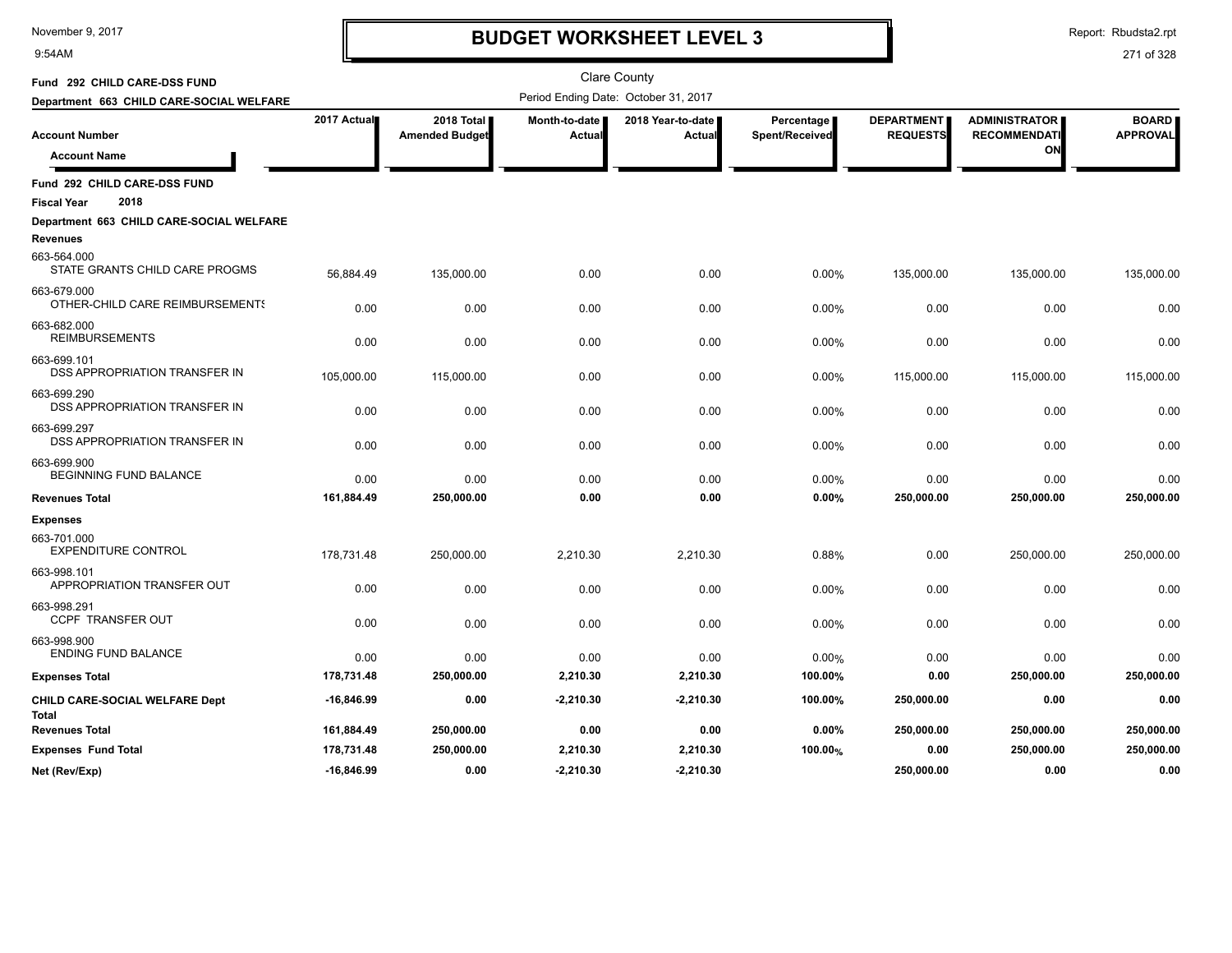9:54AM

## **BUDGET WORKSHEET LEVEL 3**

Report: Rbudsta2.rpt

| Fund 292 CHILD CARE-DSS FUND                        |              |                                     |                         | <b>Clare County</b>                  |                              |                                      |                                            |                                 |
|-----------------------------------------------------|--------------|-------------------------------------|-------------------------|--------------------------------------|------------------------------|--------------------------------------|--------------------------------------------|---------------------------------|
| Department 663 CHILD CARE-SOCIAL WELFARE            |              |                                     |                         | Period Ending Date: October 31, 2017 |                              |                                      |                                            |                                 |
| <b>Account Number</b><br><b>Account Name</b>        | 2017 Actual  | 2018 Total<br><b>Amended Budget</b> | Month-to-date<br>Actual | 2018 Year-to-date<br>Actual          | Percentage<br>Spent/Received | <b>DEPARTMENT</b><br><b>REQUESTS</b> | ADMINISTRATOR<br><b>RECOMMENDATI</b><br>ON | <b>BOARD</b><br><b>APPROVAL</b> |
| Fund 292 CHILD CARE-DSS FUND                        |              |                                     |                         |                                      |                              |                                      |                                            |                                 |
| 2018<br><b>Fiscal Year</b>                          |              |                                     |                         |                                      |                              |                                      |                                            |                                 |
| Department 663 CHILD CARE-SOCIAL WELFARE            |              |                                     |                         |                                      |                              |                                      |                                            |                                 |
| <b>Revenues</b>                                     |              |                                     |                         |                                      |                              |                                      |                                            |                                 |
| 663-564.000<br>STATE GRANTS CHILD CARE PROGMS       | 56,884.49    | 135,000.00                          | 0.00                    | 0.00                                 | 0.00%                        | 135,000.00                           | 135,000.00                                 | 135,000.00                      |
| 663-679.000<br>OTHER-CHILD CARE REIMBURSEMENTS      | 0.00         | 0.00                                | 0.00                    | 0.00                                 | 0.00%                        | 0.00                                 | 0.00                                       | 0.00                            |
| 663-682.000<br><b>REIMBURSEMENTS</b>                | 0.00         | 0.00                                | 0.00                    | 0.00                                 | 0.00%                        | 0.00                                 | 0.00                                       | 0.00                            |
| 663-699.101<br><b>DSS APPROPRIATION TRANSFER IN</b> | 105,000.00   | 115,000.00                          | 0.00                    | 0.00                                 | 0.00%                        | 115,000.00                           | 115,000.00                                 | 115,000.00                      |
| 663-699.290<br>DSS APPROPRIATION TRANSFER IN        | 0.00         | 0.00                                | 0.00                    | 0.00                                 | 0.00%                        | 0.00                                 | 0.00                                       | 0.00                            |
| 663-699.297<br>DSS APPROPRIATION TRANSFER IN        | 0.00         | 0.00                                | 0.00                    | 0.00                                 | 0.00%                        | 0.00                                 | 0.00                                       | 0.00                            |
| 663-699.900<br><b>BEGINNING FUND BALANCE</b>        | 0.00         | 0.00                                | 0.00                    | 0.00                                 | 0.00%                        | 0.00                                 | 0.00                                       | 0.00                            |
| <b>Revenues Total</b>                               | 161,884.49   | 250,000.00                          | 0.00                    | 0.00                                 | 0.00%                        | 250,000.00                           | 250,000.00                                 | 250,000.00                      |
| <b>Expenses</b>                                     |              |                                     |                         |                                      |                              |                                      |                                            |                                 |
| 663-701.000<br><b>EXPENDITURE CONTROL</b>           | 178,731.48   | 250,000.00                          | 2,210.30                | 2,210.30                             | 0.88%                        | 0.00                                 | 250,000.00                                 | 250,000.00                      |
| 663-998.101<br>APPROPRIATION TRANSFER OUT           | 0.00         | 0.00                                | 0.00                    | 0.00                                 | 0.00%                        | 0.00                                 | 0.00                                       | 0.00                            |
| 663-998.291<br>CCPF TRANSFER OUT                    | 0.00         | 0.00                                | 0.00                    | 0.00                                 | 0.00%                        | 0.00                                 | 0.00                                       | 0.00                            |
| 663-998.900<br><b>ENDING FUND BALANCE</b>           | 0.00         | 0.00                                | 0.00                    | 0.00                                 | 0.00%                        | 0.00                                 | 0.00                                       | 0.00                            |
| <b>Expenses Total</b>                               | 178,731.48   | 250,000.00                          | 2,210.30                | 2,210.30                             | 100.00%                      | 0.00                                 | 250,000.00                                 | 250,000.00                      |
| CHILD CARE-SOCIAL WELFARE Dept<br><b>Total</b>      | -16,846.99   | 0.00                                | $-2,210.30$             | $-2,210.30$                          | 100.00%                      | 250,000.00                           | 0.00                                       | 0.00                            |
| <b>Revenues Total</b>                               | 161,884.49   | 250,000.00                          | 0.00                    | 0.00                                 | 0.00%                        | 250,000.00                           | 250,000.00                                 | 250,000.00                      |
| <b>Expenses Fund Total</b>                          | 178,731.48   | 250,000.00                          | 2,210.30                | 2,210.30                             | 100.00%                      | 0.00                                 | 250,000.00                                 | 250,000.00                      |
| Net (Rev/Exp)                                       | $-16,846.99$ | 0.00                                | $-2.210.30$             | $-2,210.30$                          |                              | 250.000.00                           | 0.00                                       | 0.00                            |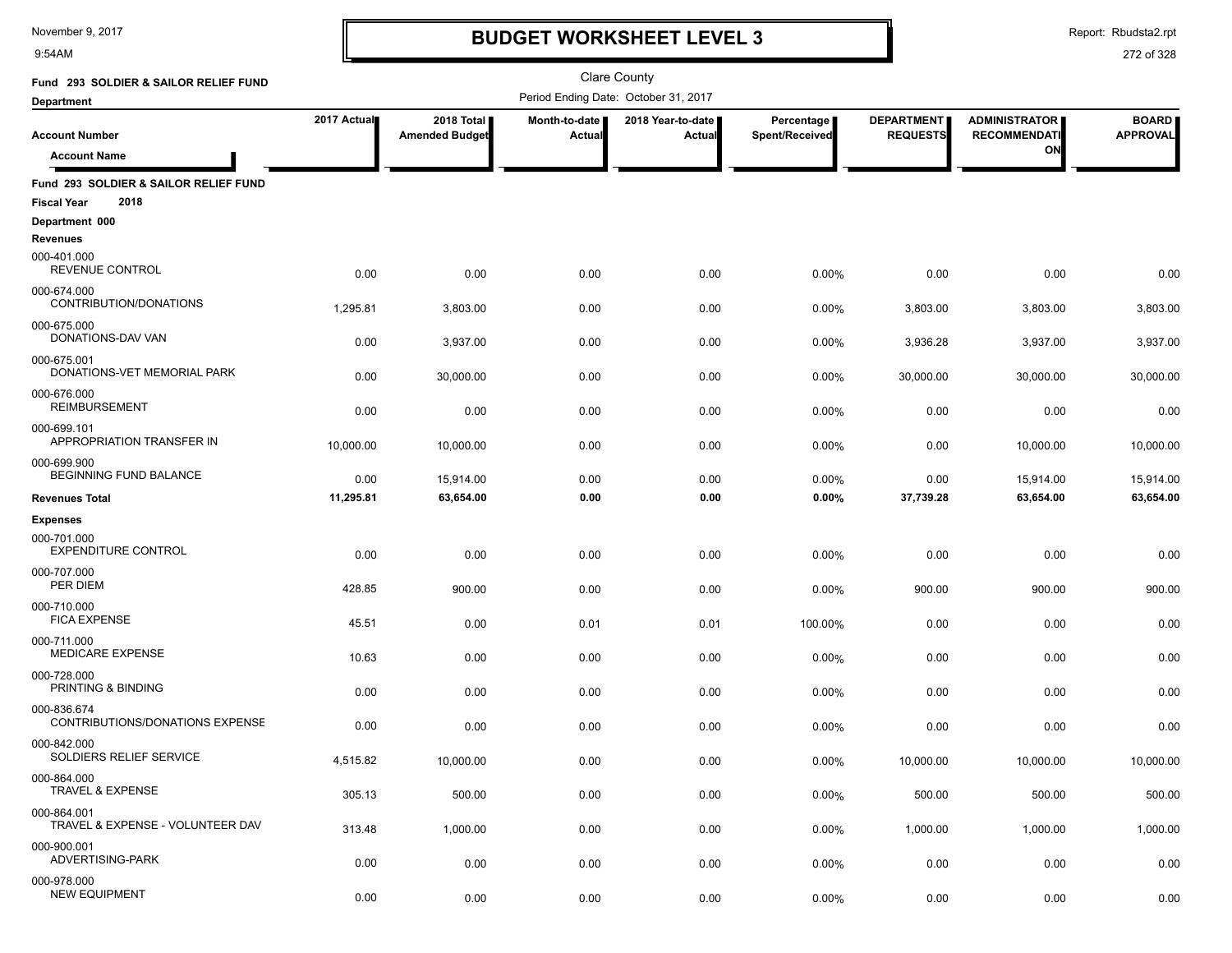9:54AM

# **BUDGET WORKSHEET LEVEL 3**

Report: Rbudsta2.rpt

| Fund 293 SOLDIER & SAILOR RELIEF FUND                               |             |                                     |                         | <b>Clare County</b>                  |                              |                                      |                                             |                                 |
|---------------------------------------------------------------------|-------------|-------------------------------------|-------------------------|--------------------------------------|------------------------------|--------------------------------------|---------------------------------------------|---------------------------------|
| <b>Department</b>                                                   |             |                                     |                         | Period Ending Date: October 31, 2017 |                              |                                      |                                             |                                 |
| <b>Account Number</b>                                               | 2017 Actual | 2018 Total<br><b>Amended Budget</b> | Month-to-date<br>Actual | 2018 Year-to-date<br>Actual          | Percentage<br>Spent/Received | <b>DEPARTMENT</b><br><b>REQUESTS</b> | <b>ADMINISTRATOR</b><br><b>RECOMMENDATI</b> | <b>BOARD</b><br><b>APPROVAL</b> |
| <b>Account Name</b>                                                 |             |                                     |                         |                                      |                              |                                      | ON                                          |                                 |
| Fund 293 SOLDIER & SAILOR RELIEF FUND<br>2018<br><b>Fiscal Year</b> |             |                                     |                         |                                      |                              |                                      |                                             |                                 |
| Department 000<br><b>Revenues</b>                                   |             |                                     |                         |                                      |                              |                                      |                                             |                                 |
| 000-401.000<br>REVENUE CONTROL                                      | 0.00        | 0.00                                | 0.00                    | 0.00                                 | 0.00%                        | 0.00                                 | 0.00                                        | 0.00                            |
| 000-674.000<br>CONTRIBUTION/DONATIONS                               | 1,295.81    | 3,803.00                            | 0.00                    | 0.00                                 | 0.00%                        | 3,803.00                             | 3,803.00                                    | 3,803.00                        |
| 000-675.000<br>DONATIONS-DAV VAN                                    | 0.00        | 3,937.00                            | 0.00                    | 0.00                                 | 0.00%                        | 3,936.28                             | 3,937.00                                    | 3,937.00                        |
| 000-675.001<br>DONATIONS-VET MEMORIAL PARK                          | 0.00        | 30,000.00                           | 0.00                    | 0.00                                 | 0.00%                        | 30,000.00                            | 30,000.00                                   | 30,000.00                       |
| 000-676.000<br><b>REIMBURSEMENT</b>                                 | 0.00        | 0.00                                | 0.00                    | 0.00                                 | 0.00%                        | 0.00                                 | 0.00                                        | 0.00                            |
| 000-699.101<br>APPROPRIATION TRANSFER IN                            | 10,000.00   | 10,000.00                           | 0.00                    | 0.00                                 | 0.00%                        | 0.00                                 | 10,000.00                                   | 10,000.00                       |
| 000-699.900<br>BEGINNING FUND BALANCE                               | 0.00        | 15,914.00                           | 0.00                    | 0.00                                 | 0.00%                        | 0.00                                 | 15,914.00                                   | 15,914.00                       |
| <b>Revenues Total</b>                                               | 11,295.81   | 63,654.00                           | 0.00                    | 0.00                                 | 0.00%                        | 37,739.28                            | 63,654.00                                   | 63,654.00                       |
| <b>Expenses</b>                                                     |             |                                     |                         |                                      |                              |                                      |                                             |                                 |
| 000-701.000<br><b>EXPENDITURE CONTROL</b>                           | 0.00        | 0.00                                | 0.00                    | 0.00                                 | 0.00%                        | 0.00                                 | 0.00                                        | 0.00                            |
| 000-707.000<br>PER DIEM                                             | 428.85      | 900.00                              | 0.00                    | 0.00                                 | 0.00%                        | 900.00                               | 900.00                                      | 900.00                          |
| 000-710.000<br><b>FICA EXPENSE</b>                                  | 45.51       | 0.00                                | 0.01                    | 0.01                                 | 100.00%                      | 0.00                                 | 0.00                                        | 0.00                            |
| 000-711.000<br><b>MEDICARE EXPENSE</b>                              | 10.63       | 0.00                                | 0.00                    | 0.00                                 | 0.00%                        | 0.00                                 | 0.00                                        | 0.00                            |
| 000-728.000<br>PRINTING & BINDING                                   | 0.00        | 0.00                                | 0.00                    | 0.00                                 | 0.00%                        | 0.00                                 | 0.00                                        | 0.00                            |
| 000-836.674<br><b>CONTRIBUTIONS/DONATIONS EXPENSE</b>               | 0.00        | 0.00                                | 0.00                    | 0.00                                 | 0.00%                        | 0.00                                 | 0.00                                        | 0.00                            |
| 000-842.000<br>SOLDIERS RELIEF SERVICE                              | 4,515.82    | 10,000.00                           | 0.00                    | 0.00                                 | 0.00%                        | 10,000.00                            | 10.000.00                                   | 10,000.00                       |
| 000-864.000<br>TRAVEL & EXPENSE                                     | 305.13      | 500.00                              | 0.00                    | 0.00                                 | 0.00%                        | 500.00                               | 500.00                                      | 500.00                          |
| 000-864.001<br>TRAVEL & EXPENSE - VOLUNTEER DAV                     | 313.48      | 1,000.00                            | 0.00                    | 0.00                                 | 0.00%                        | 1,000.00                             | 1,000.00                                    | 1,000.00                        |
| 000-900.001<br>ADVERTISING-PARK                                     | 0.00        | 0.00                                | 0.00                    | 0.00                                 | 0.00%                        | 0.00                                 | 0.00                                        | 0.00                            |
| 000-978.000<br><b>NEW EQUIPMENT</b>                                 | 0.00        | 0.00                                | 0.00                    | 0.00                                 | 0.00%                        | 0.00                                 | 0.00                                        | 0.00                            |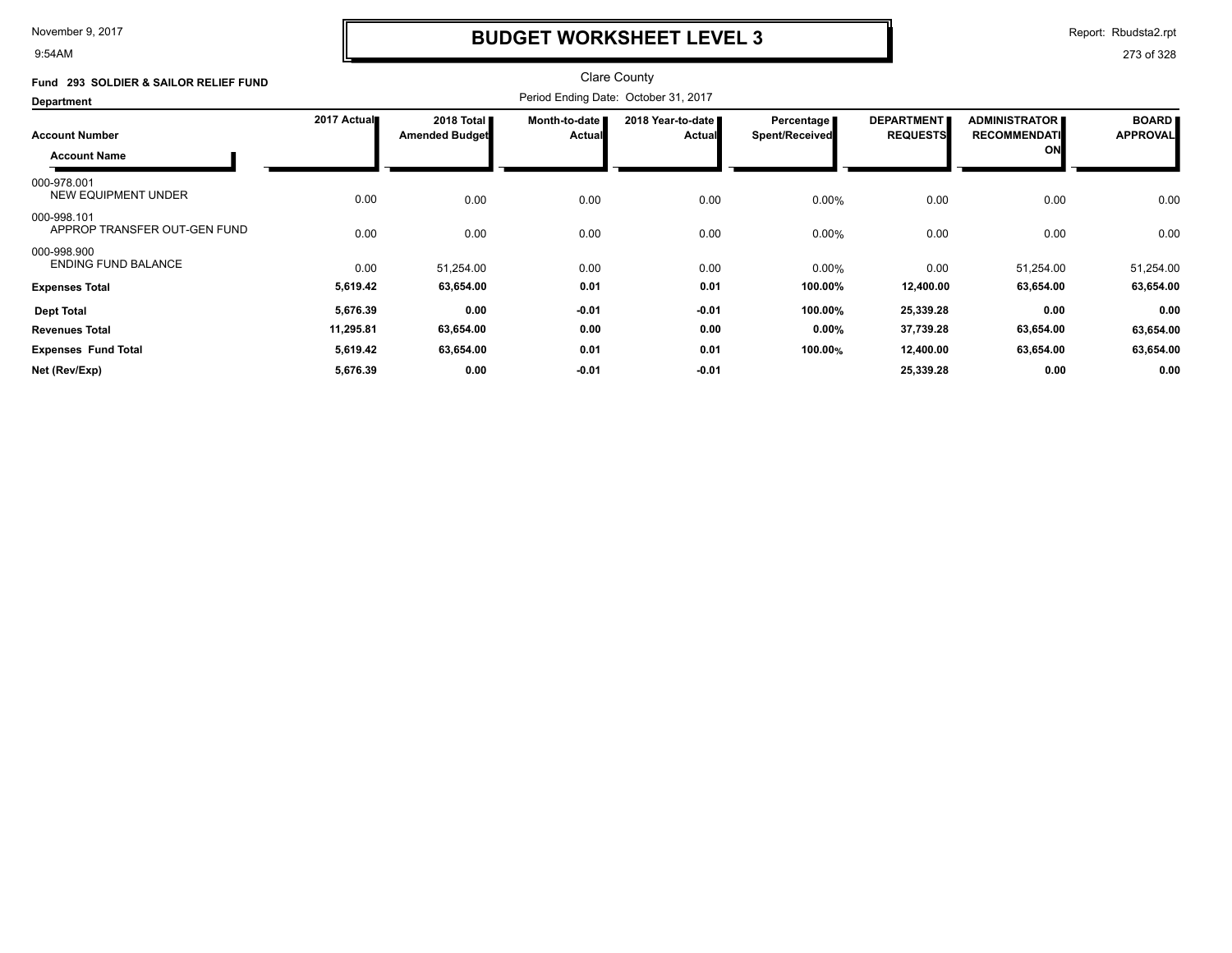9:54AM

# **BUDGET WORKSHEET LEVEL 3**

Report: Rbudsta2.rpt

| Fund 293 SOLDIER & SAILOR RELIEF FUND       |             |                                     |                         | <b>Clare County</b>                  |                                       |                                      |                                             |                                 |
|---------------------------------------------|-------------|-------------------------------------|-------------------------|--------------------------------------|---------------------------------------|--------------------------------------|---------------------------------------------|---------------------------------|
| <b>Department</b>                           |             |                                     |                         | Period Ending Date: October 31, 2017 |                                       |                                      |                                             |                                 |
| <b>Account Number</b>                       | 2017 Actual | 2018 Total<br><b>Amended Budget</b> | Month-to-date<br>Actual | 2018 Year-to-date<br><b>Actual</b>   | Percentage  <br><b>Spent/Received</b> | <b>DEPARTMENT</b><br><b>REQUESTS</b> | <b>ADMINISTRATOR</b><br><b>RECOMMENDATI</b> | <b>BOARD</b><br><b>APPROVAL</b> |
| <b>Account Name</b>                         |             |                                     |                         |                                      |                                       |                                      | ON                                          |                                 |
| 000-978.001<br>NEW EQUIPMENT UNDER          | 0.00        | 0.00                                | 0.00                    | 0.00                                 | 0.00%                                 | 0.00                                 | 0.00                                        | 0.00                            |
| 000-998.101<br>APPROP TRANSFER OUT-GEN FUND | 0.00        | 0.00                                | 0.00                    | 0.00                                 | 0.00%                                 | 0.00                                 | 0.00                                        | 0.00                            |
| 000-998.900<br><b>ENDING FUND BALANCE</b>   | 0.00        | 51,254.00                           | 0.00                    | 0.00                                 | 0.00%                                 | 0.00                                 | 51,254.00                                   | 51,254.00                       |
| <b>Expenses Total</b>                       | 5,619.42    | 63,654.00                           | 0.01                    | 0.01                                 | 100.00%                               | 12,400.00                            | 63,654.00                                   | 63,654.00                       |
| <b>Dept Total</b>                           | 5,676.39    | 0.00                                | $-0.01$                 | $-0.01$                              | 100.00%                               | 25,339.28                            | 0.00                                        | 0.00                            |
| <b>Revenues Total</b>                       | 11,295.81   | 63,654.00                           | 0.00                    | 0.00                                 | 0.00%                                 | 37,739.28                            | 63,654.00                                   | 63,654.00                       |
| <b>Expenses Fund Total</b>                  | 5,619.42    | 63,654.00                           | 0.01                    | 0.01                                 | 100.00%                               | 12,400.00                            | 63,654.00                                   | 63,654.00                       |
| Net (Rev/Exp)                               | 5,676.39    | 0.00                                | $-0.01$                 | $-0.01$                              |                                       | 25,339.28                            | 0.00                                        | 0.00                            |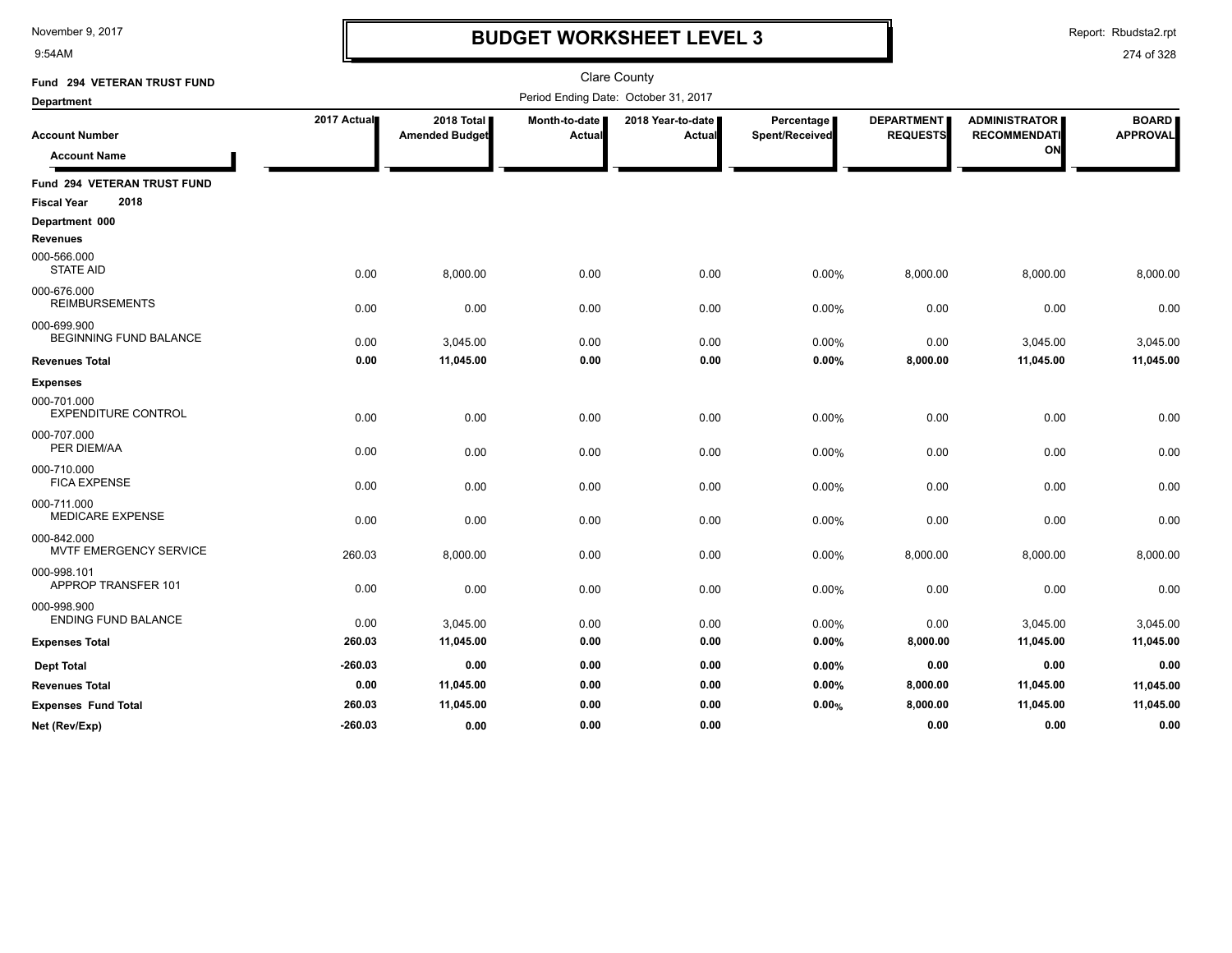9:54AM

# **BUDGET WORKSHEET LEVEL 3**

Report: Rbudsta2.rpt

| Fund 294 VETERAN TRUST FUND               |             |                       |               | <b>Clare County</b>                  |                |                   |                      |                 |
|-------------------------------------------|-------------|-----------------------|---------------|--------------------------------------|----------------|-------------------|----------------------|-----------------|
| <b>Department</b>                         |             |                       |               | Period Ending Date: October 31, 2017 |                |                   |                      |                 |
|                                           | 2017 Actual | 2018 Total            | Month-to-date | 2018 Year-to-date                    | Percentage     | <b>DEPARTMENT</b> | <b>ADMINISTRATOR</b> | <b>BOARD</b>    |
| <b>Account Number</b>                     |             | <b>Amended Budget</b> | <b>Actual</b> | Actual                               | Spent/Received | <b>REQUESTS</b>   | <b>RECOMMENDATI</b>  | <b>APPROVAL</b> |
| <b>Account Name</b>                       |             |                       |               |                                      |                |                   | ON                   |                 |
| Fund 294 VETERAN TRUST FUND               |             |                       |               |                                      |                |                   |                      |                 |
| 2018<br><b>Fiscal Year</b>                |             |                       |               |                                      |                |                   |                      |                 |
| Department 000                            |             |                       |               |                                      |                |                   |                      |                 |
| <b>Revenues</b>                           |             |                       |               |                                      |                |                   |                      |                 |
| 000-566.000<br><b>STATE AID</b>           | 0.00        | 8,000.00              | 0.00          | 0.00                                 | 0.00%          | 8,000.00          | 8,000.00             | 8,000.00        |
| 000-676.000<br><b>REIMBURSEMENTS</b>      | 0.00        | 0.00                  | 0.00          | 0.00                                 | 0.00%          | 0.00              | 0.00                 | 0.00            |
| 000-699.900<br>BEGINNING FUND BALANCE     | 0.00        | 3,045.00              | 0.00          | 0.00                                 | 0.00%          | 0.00              | 3,045.00             | 3,045.00        |
| <b>Revenues Total</b>                     | 0.00        | 11,045.00             | 0.00          | 0.00                                 | 0.00%          | 8,000.00          | 11,045.00            | 11,045.00       |
| <b>Expenses</b>                           |             |                       |               |                                      |                |                   |                      |                 |
| 000-701.000<br><b>EXPENDITURE CONTROL</b> | 0.00        | 0.00                  | 0.00          | 0.00                                 | 0.00%          | 0.00              | 0.00                 | 0.00            |
| 000-707.000<br>PER DIEM/AA                | 0.00        | 0.00                  | 0.00          | 0.00                                 | 0.00%          | 0.00              | 0.00                 | 0.00            |
| 000-710.000<br><b>FICA EXPENSE</b>        | 0.00        | 0.00                  | 0.00          | 0.00                                 | 0.00%          | 0.00              | 0.00                 | 0.00            |
| 000-711.000<br><b>MEDICARE EXPENSE</b>    | 0.00        | 0.00                  | 0.00          | 0.00                                 | 0.00%          | 0.00              | 0.00                 | 0.00            |
| 000-842.000<br>MVTF EMERGENCY SERVICE     | 260.03      | 8,000.00              | 0.00          | 0.00                                 | 0.00%          | 8,000.00          | 8,000.00             | 8,000.00        |
| 000-998.101<br>APPROP TRANSFER 101        | 0.00        | 0.00                  | 0.00          | 0.00                                 | 0.00%          | 0.00              | 0.00                 | 0.00            |
| 000-998.900<br><b>ENDING FUND BALANCE</b> | 0.00        | 3,045.00              | 0.00          | 0.00                                 | 0.00%          | 0.00              | 3,045.00             | 3,045.00        |
| <b>Expenses Total</b>                     | 260.03      | 11,045.00             | 0.00          | 0.00                                 | 0.00%          | 8,000.00          | 11,045.00            | 11,045.00       |
| <b>Dept Total</b>                         | $-260.03$   | 0.00                  | 0.00          | 0.00                                 | 0.00%          | 0.00              | 0.00                 | 0.00            |
| <b>Revenues Total</b>                     | 0.00        | 11,045.00             | 0.00          | 0.00                                 | 0.00%          | 8,000.00          | 11,045.00            | 11,045.00       |
| <b>Expenses Fund Total</b>                | 260.03      | 11,045.00             | 0.00          | 0.00                                 | 0.00%          | 8,000.00          | 11,045.00            | 11,045.00       |
| Net (Rev/Exp)                             | $-260.03$   | 0.00                  | 0.00          | 0.00                                 |                | 0.00              | 0.00                 | 0.00            |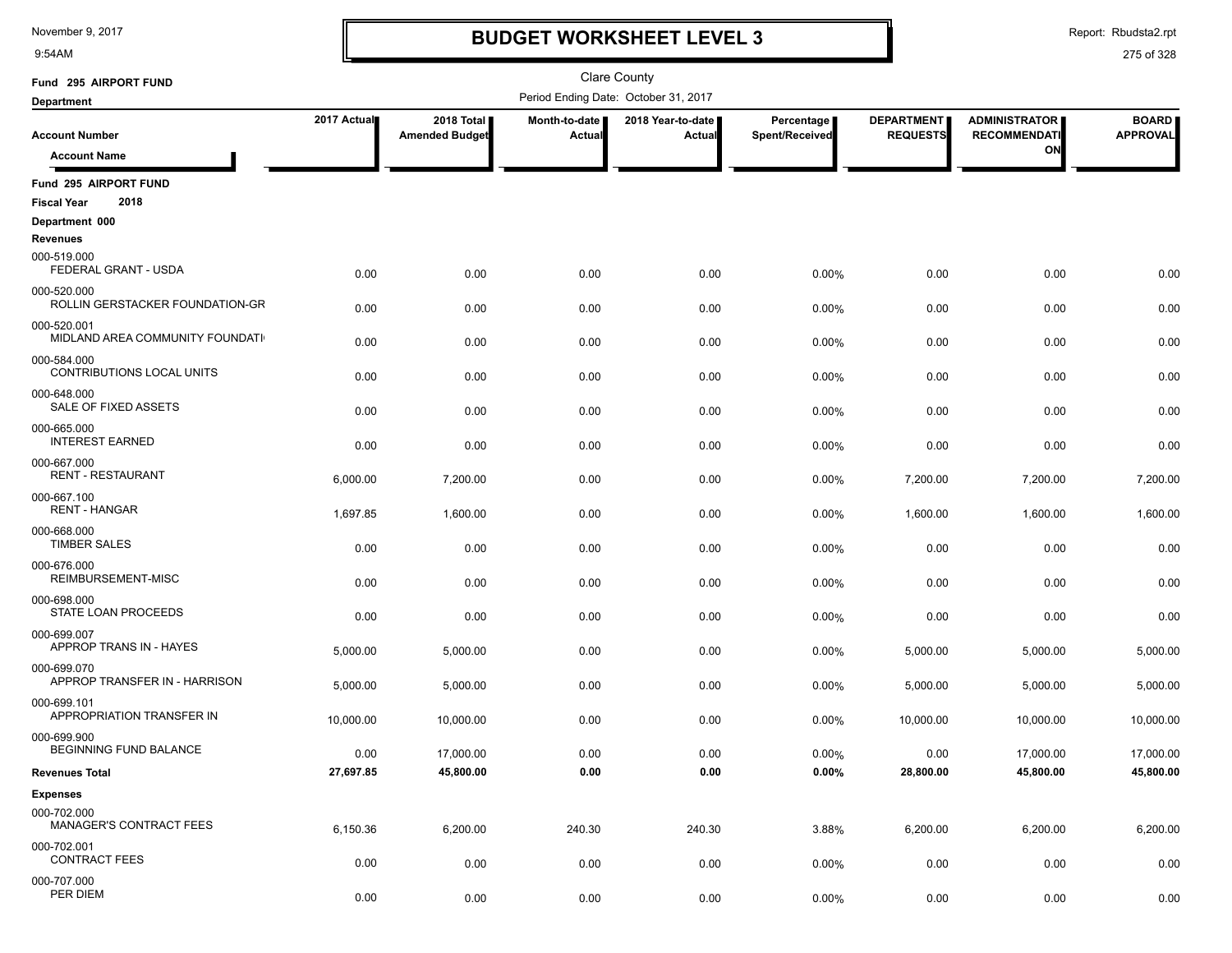9:54AM

# **BUDGET WORKSHEET LEVEL 3**

Report: Rbudsta2.rpt

| Fund 295 AIRPORT FUND                               |             |                                     |                         | <b>Clare County</b>                  |                              |                                      |                                             |                                 |
|-----------------------------------------------------|-------------|-------------------------------------|-------------------------|--------------------------------------|------------------------------|--------------------------------------|---------------------------------------------|---------------------------------|
| <b>Department</b>                                   |             |                                     |                         | Period Ending Date: October 31, 2017 |                              |                                      |                                             |                                 |
| <b>Account Number</b>                               | 2017 Actual | 2018 Total<br><b>Amended Budget</b> | Month-to-date<br>Actual | 2018 Year-to-date<br>Actual          | Percentage<br>Spent/Received | <b>DEPARTMENT</b><br><b>REQUESTS</b> | <b>ADMINISTRATOR</b><br><b>RECOMMENDATI</b> | <b>BOARD</b><br><b>APPROVAL</b> |
| <b>Account Name</b>                                 |             |                                     |                         |                                      |                              |                                      | ON                                          |                                 |
| Fund 295 AIRPORT FUND<br>2018<br><b>Fiscal Year</b> |             |                                     |                         |                                      |                              |                                      |                                             |                                 |
| Department 000                                      |             |                                     |                         |                                      |                              |                                      |                                             |                                 |
| <b>Revenues</b>                                     |             |                                     |                         |                                      |                              |                                      |                                             |                                 |
| 000-519.000<br>FEDERAL GRANT - USDA                 | 0.00        | 0.00                                | 0.00                    | 0.00                                 | 0.00%                        | 0.00                                 | 0.00                                        | 0.00                            |
| 000-520.000<br>ROLLIN GERSTACKER FOUNDATION-GR      | 0.00        | 0.00                                | 0.00                    | 0.00                                 | 0.00%                        | 0.00                                 | 0.00                                        | 0.00                            |
| 000-520.001<br>MIDLAND AREA COMMUNITY FOUNDATI      | 0.00        | 0.00                                | 0.00                    | 0.00                                 | 0.00%                        | 0.00                                 | 0.00                                        | 0.00                            |
| 000-584.000<br>CONTRIBUTIONS LOCAL UNITS            | 0.00        | 0.00                                | 0.00                    | 0.00                                 | 0.00%                        | 0.00                                 | 0.00                                        | 0.00                            |
| 000-648.000<br>SALE OF FIXED ASSETS                 | 0.00        | 0.00                                | 0.00                    | 0.00                                 | 0.00%                        | 0.00                                 | 0.00                                        | 0.00                            |
| 000-665.000<br><b>INTEREST EARNED</b>               | 0.00        | 0.00                                | 0.00                    | 0.00                                 | 0.00%                        | 0.00                                 | 0.00                                        | 0.00                            |
| 000-667.000<br><b>RENT - RESTAURANT</b>             | 6,000.00    | 7,200.00                            | 0.00                    | 0.00                                 | 0.00%                        | 7,200.00                             | 7,200.00                                    | 7,200.00                        |
| 000-667.100<br><b>RENT - HANGAR</b>                 | 1,697.85    | 1,600.00                            | 0.00                    | 0.00                                 | 0.00%                        | 1,600.00                             | 1,600.00                                    | 1,600.00                        |
| 000-668.000<br><b>TIMBER SALES</b>                  | 0.00        | 0.00                                | 0.00                    | 0.00                                 | 0.00%                        | 0.00                                 | 0.00                                        | 0.00                            |
| 000-676.000<br>REIMBURSEMENT-MISC                   | 0.00        | 0.00                                | 0.00                    | 0.00                                 | 0.00%                        | 0.00                                 | 0.00                                        | 0.00                            |
| 000-698.000<br>STATE LOAN PROCEEDS                  | 0.00        | 0.00                                | 0.00                    | 0.00                                 | 0.00%                        | 0.00                                 | 0.00                                        | 0.00                            |
| 000-699.007<br>APPROP TRANS IN - HAYES              | 5,000.00    | 5,000.00                            | 0.00                    | 0.00                                 | 0.00%                        | 5,000.00                             | 5,000.00                                    | 5,000.00                        |
| 000-699.070<br>APPROP TRANSFER IN - HARRISON        | 5,000.00    | 5,000.00                            | 0.00                    | 0.00                                 | 0.00%                        | 5,000.00                             | 5,000.00                                    | 5,000.00                        |
| 000-699.101<br>APPROPRIATION TRANSFER IN            | 10,000.00   | 10,000.00                           | 0.00                    | 0.00                                 | 0.00%                        | 10,000.00                            | 10,000.00                                   | 10,000.00                       |
| 000-699.900<br>BEGINNING FUND BALANCE               | 0.00        | 17,000.00                           | 0.00                    | 0.00                                 | 0.00%                        | 0.00                                 | 17,000.00                                   | 17,000.00                       |
| <b>Revenues Total</b>                               | 27,697.85   | 45,800.00                           | 0.00                    | 0.00                                 | $0.00\%$                     | 28,800.00                            | 45,800.00                                   | 45,800.00                       |
| <b>Expenses</b>                                     |             |                                     |                         |                                      |                              |                                      |                                             |                                 |
| 000-702.000<br><b>MANAGER'S CONTRACT FEES</b>       | 6,150.36    | 6,200.00                            | 240.30                  | 240.30                               | 3.88%                        | 6,200.00                             | 6,200.00                                    | 6,200.00                        |
| 000-702.001<br><b>CONTRACT FEES</b>                 | 0.00        | 0.00                                | 0.00                    | 0.00                                 | 0.00%                        | 0.00                                 | 0.00                                        | 0.00                            |
| 000-707.000<br>PER DIEM                             | 0.00        | 0.00                                | 0.00                    | 0.00                                 | 0.00%                        | 0.00                                 | 0.00                                        | 0.00                            |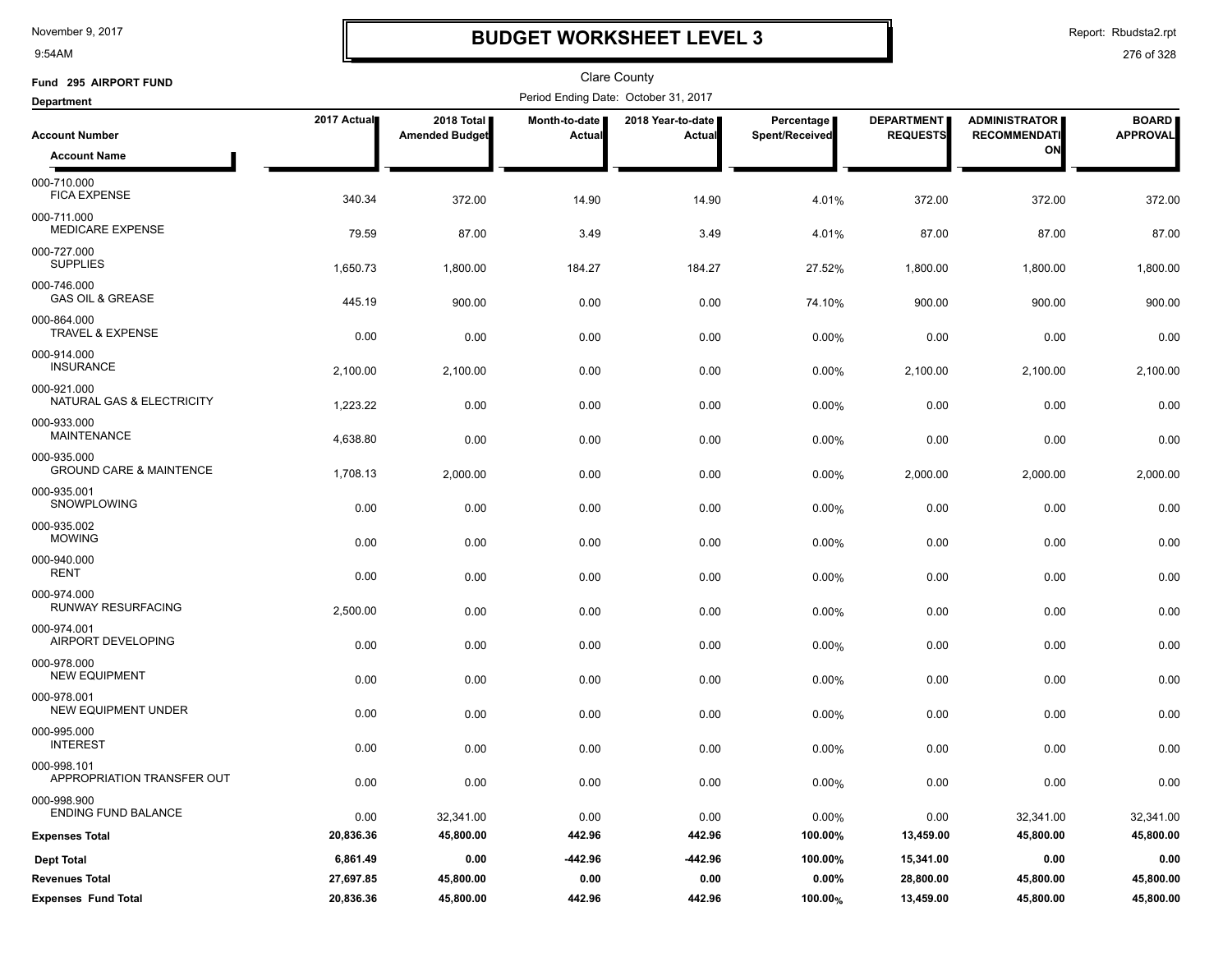9:54AM

### **BUDGET WORKSHEET LEVEL 3**

Report: Rbudsta2.rpt

| Fund 295 AIRPORT FUND                             |                   |                                     |                                | Clare County                         |                              |                                      |                                                   |                                 |
|---------------------------------------------------|-------------------|-------------------------------------|--------------------------------|--------------------------------------|------------------------------|--------------------------------------|---------------------------------------------------|---------------------------------|
| <b>Department</b>                                 |                   |                                     |                                | Period Ending Date: October 31, 2017 |                              |                                      |                                                   |                                 |
| <b>Account Number</b>                             | 2017 Actual       | 2018 Total<br><b>Amended Budget</b> | Month-to-date<br><b>Actual</b> | 2018 Year-to-date<br>Actual          | Percentage<br>Spent/Received | <b>DEPARTMENT</b><br><b>REQUESTS</b> | <b>ADMINISTRATOR</b><br><b>RECOMMENDATI</b><br>ON | <b>BOARD</b><br><b>APPROVAL</b> |
| <b>Account Name</b>                               |                   |                                     |                                |                                      |                              |                                      |                                                   |                                 |
| 000-710.000<br><b>FICA EXPENSE</b>                | 340.34            | 372.00                              | 14.90                          | 14.90                                | 4.01%                        | 372.00                               | 372.00                                            | 372.00                          |
| 000-711.000<br>MEDICARE EXPENSE                   | 79.59             | 87.00                               | 3.49                           | 3.49                                 | 4.01%                        | 87.00                                | 87.00                                             | 87.00                           |
| 000-727.000<br><b>SUPPLIES</b>                    | 1,650.73          | 1,800.00                            | 184.27                         | 184.27                               | 27.52%                       | 1,800.00                             | 1,800.00                                          | 1,800.00                        |
| 000-746.000<br><b>GAS OIL &amp; GREASE</b>        | 445.19            | 900.00                              | 0.00                           | 0.00                                 | 74.10%                       | 900.00                               | 900.00                                            | 900.00                          |
| 000-864.000<br><b>TRAVEL &amp; EXPENSE</b>        | 0.00              | 0.00                                | 0.00                           | 0.00                                 | $0.00\%$                     | 0.00                                 | 0.00                                              | 0.00                            |
| 000-914.000<br><b>INSURANCE</b>                   | 2,100.00          | 2,100.00                            | 0.00                           | 0.00                                 | 0.00%                        | 2,100.00                             | 2,100.00                                          | 2,100.00                        |
| 000-921.000<br>NATURAL GAS & ELECTRICITY          | 1,223.22          | 0.00                                | 0.00                           | 0.00                                 | 0.00%                        | 0.00                                 | 0.00                                              | 0.00                            |
| 000-933.000<br><b>MAINTENANCE</b>                 | 4,638.80          | 0.00                                | 0.00                           | 0.00                                 | 0.00%                        | 0.00                                 | 0.00                                              | 0.00                            |
| 000-935.000<br><b>GROUND CARE &amp; MAINTENCE</b> | 1,708.13          | 2,000.00                            | 0.00                           | 0.00                                 | 0.00%                        | 2,000.00                             | 2,000.00                                          | 2,000.00                        |
| 000-935.001<br>SNOWPLOWING                        | 0.00              | 0.00                                | 0.00                           | 0.00                                 | 0.00%                        | 0.00                                 | 0.00                                              | 0.00                            |
| 000-935.002<br><b>MOWING</b><br>000-940.000       | 0.00              | 0.00                                | 0.00                           | 0.00                                 | 0.00%                        | 0.00                                 | 0.00                                              | 0.00                            |
| <b>RENT</b><br>000-974.000                        | 0.00              | 0.00                                | 0.00                           | 0.00                                 | 0.00%                        | 0.00                                 | 0.00                                              | 0.00                            |
| RUNWAY RESURFACING<br>000-974.001                 | 2,500.00          | 0.00                                | 0.00                           | 0.00                                 | 0.00%                        | 0.00                                 | 0.00                                              | 0.00                            |
| AIRPORT DEVELOPING<br>000-978.000                 | 0.00              | 0.00                                | 0.00                           | 0.00                                 | 0.00%                        | 0.00                                 | 0.00                                              | 0.00                            |
| <b>NEW EQUIPMENT</b><br>000-978.001               | 0.00              | 0.00                                | 0.00                           | 0.00                                 | 0.00%                        | 0.00                                 | 0.00                                              | 0.00                            |
| <b>NEW EQUIPMENT UNDER</b><br>000-995.000         | 0.00              | 0.00                                | 0.00                           | 0.00                                 | 0.00%                        | 0.00                                 | 0.00                                              | 0.00                            |
| <b>INTEREST</b><br>000-998.101                    | 0.00              | 0.00                                | 0.00                           | 0.00                                 | 0.00%                        | 0.00                                 | 0.00                                              | 0.00                            |
| APPROPRIATION TRANSFER OUT<br>000-998.900         | 0.00              | 0.00                                | 0.00                           | 0.00                                 | 0.00%                        | 0.00                                 | 0.00                                              | 0.00                            |
| ENDING FUND BALANCE<br><b>Expenses Total</b>      | 0.00<br>20,836.36 | 32,341.00<br>45,800.00              | 0.00<br>442.96                 | 0.00<br>442.96                       | 0.00%<br>100.00%             | 0.00<br>13,459.00                    | 32,341.00<br>45,800.00                            | 32,341.00<br>45,800.00          |
| <b>Dept Total</b>                                 | 6,861.49          | 0.00                                | -442.96                        | -442.96                              | 100.00%                      | 15,341.00                            | 0.00                                              | 0.00                            |
| <b>Revenues Total</b>                             | 27,697.85         | 45,800.00                           | 0.00                           | 0.00                                 | 0.00%                        | 28,800.00                            | 45,800.00                                         | 45,800.00                       |
| <b>Expenses Fund Total</b>                        | 20,836.36         | 45,800.00                           | 442.96                         | 442.96                               | 100.00%                      | 13,459.00                            | 45,800.00                                         | 45,800.00                       |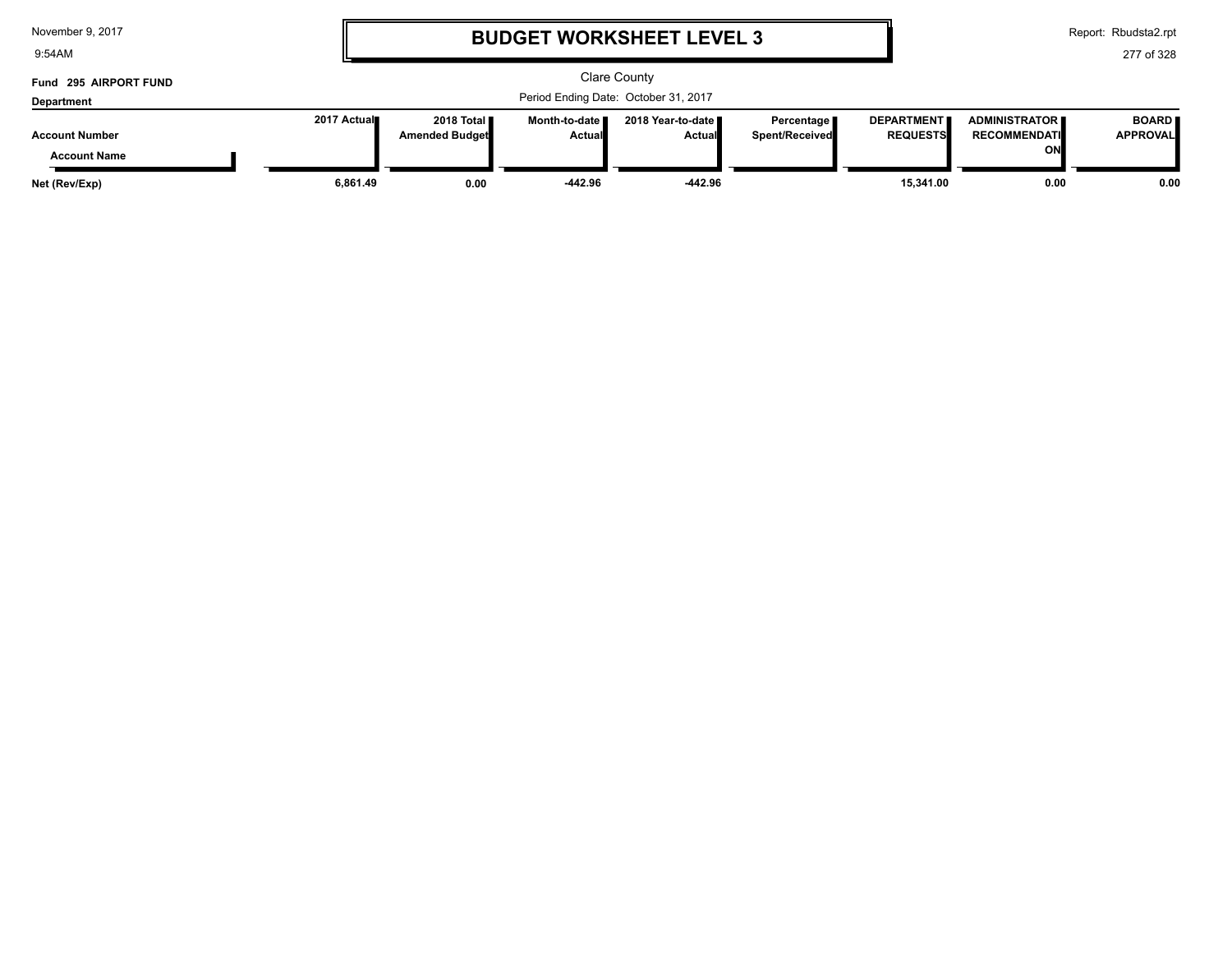| November 9, 2017 |  |  |  |
|------------------|--|--|--|
|------------------|--|--|--|

9:54AM

### **BUDGET WORKSHEET LEVEL 3**

Report: Rbudsta2.rpt

| Fund 295 AIRPORT FUND |             |                       |                 | Clare County                         |                |                   |                      |                 |
|-----------------------|-------------|-----------------------|-----------------|--------------------------------------|----------------|-------------------|----------------------|-----------------|
| Department            |             |                       |                 | Period Ending Date: October 31, 2017 |                |                   |                      |                 |
|                       | 2017 Actual | 2018 Total <b>II</b>  | Month-to-date ∎ | 2018 Year-to-date ∎                  | Percentage     | <b>DEPARTMENT</b> | <b>ADMINISTRATOR</b> | <b>BOARD</b>    |
| <b>Account Number</b> |             | <b>Amended Budget</b> | <b>Actual</b>   | <b>Actual</b>                        | Spent/Received | <b>REQUESTS</b>   | <b>RECOMMENDATI</b>  | <b>APPROVAL</b> |
| <b>Account Name</b>   |             |                       |                 |                                      |                |                   | ΟN                   |                 |
| Net (Rev/Exp)         | 6.861.49    | 0.00                  | $-442.96$       | $-442.96$                            |                | 15.341.00         | 0.00                 | 0.00            |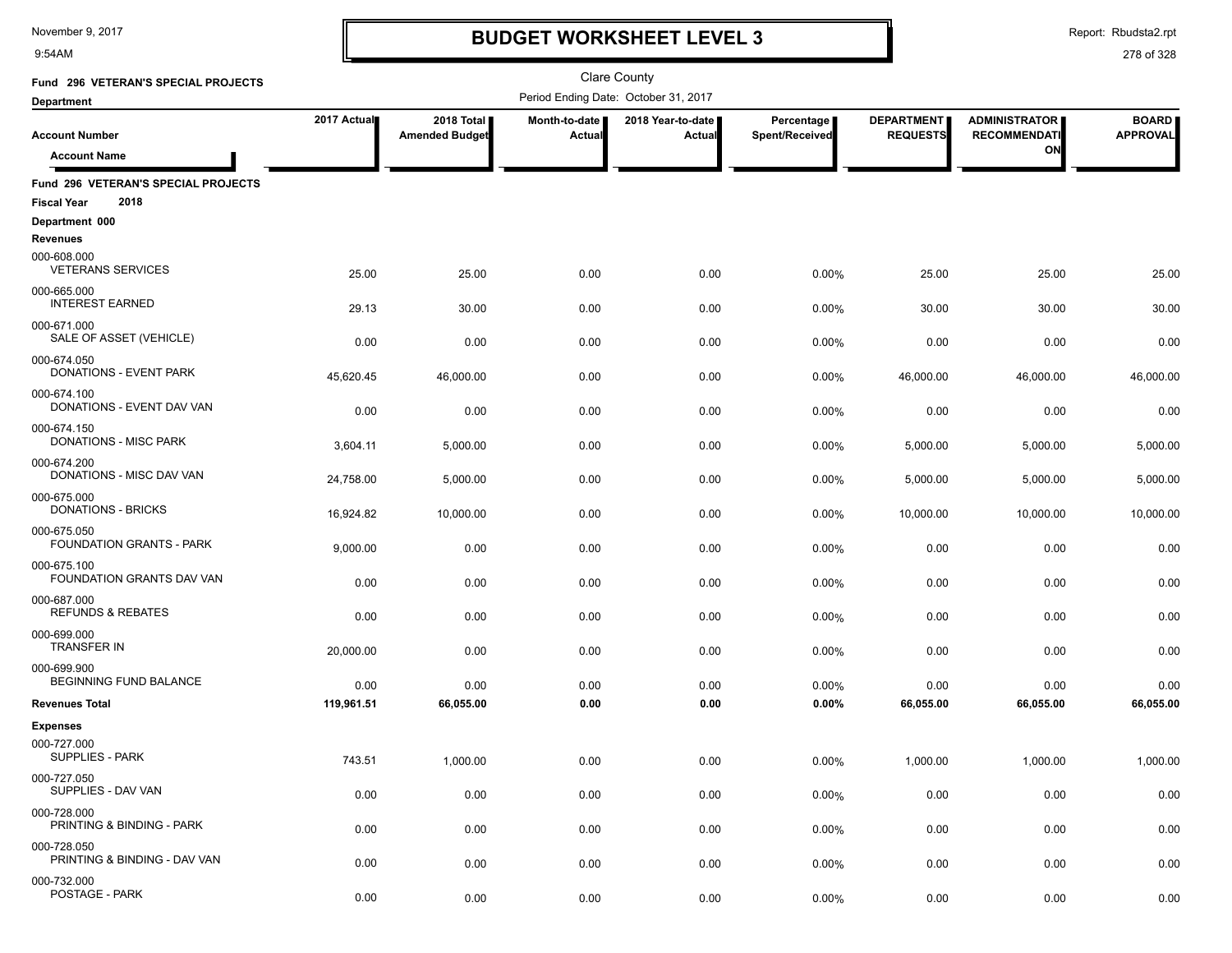9:54AM

# **BUDGET WORKSHEET LEVEL 3**

Report: Rbudsta2.rpt

| Fund 296 VETERAN'S SPECIAL PROJECTS                               |             |                                     |                                | <b>Clare County</b>                  |                              |                                      |                                             |                                 |
|-------------------------------------------------------------------|-------------|-------------------------------------|--------------------------------|--------------------------------------|------------------------------|--------------------------------------|---------------------------------------------|---------------------------------|
| <b>Department</b>                                                 |             |                                     |                                | Period Ending Date: October 31, 2017 |                              |                                      |                                             |                                 |
| <b>Account Number</b>                                             | 2017 Actual | 2018 Total<br><b>Amended Budget</b> | Month-to-date<br><b>Actual</b> | 2018 Year-to-date<br>Actual          | Percentage<br>Spent/Received | <b>DEPARTMENT</b><br><b>REQUESTS</b> | <b>ADMINISTRATOR</b><br><b>RECOMMENDATI</b> | <b>BOARD</b><br><b>APPROVAL</b> |
| <b>Account Name</b>                                               |             |                                     |                                |                                      |                              |                                      | ON                                          |                                 |
| Fund 296 VETERAN'S SPECIAL PROJECTS<br>2018<br><b>Fiscal Year</b> |             |                                     |                                |                                      |                              |                                      |                                             |                                 |
| Department 000                                                    |             |                                     |                                |                                      |                              |                                      |                                             |                                 |
| <b>Revenues</b><br>000-608.000<br><b>VETERANS SERVICES</b>        | 25.00       | 25.00                               | 0.00                           | 0.00                                 | 0.00%                        | 25.00                                | 25.00                                       | 25.00                           |
| 000-665.000<br><b>INTEREST EARNED</b>                             | 29.13       | 30.00                               | 0.00                           | 0.00                                 | 0.00%                        | 30.00                                | 30.00                                       | 30.00                           |
| 000-671.000<br>SALE OF ASSET (VEHICLE)                            | 0.00        | 0.00                                | 0.00                           | 0.00                                 | 0.00%                        | 0.00                                 | 0.00                                        | 0.00                            |
| 000-674.050<br>DONATIONS - EVENT PARK                             | 45,620.45   | 46,000.00                           | 0.00                           | 0.00                                 | 0.00%                        | 46,000.00                            | 46,000.00                                   | 46,000.00                       |
| 000-674.100<br>DONATIONS - EVENT DAV VAN                          | 0.00        | 0.00                                | 0.00                           | 0.00                                 | 0.00%                        | 0.00                                 | 0.00                                        | 0.00                            |
| 000-674.150<br>DONATIONS - MISC PARK                              | 3,604.11    | 5,000.00                            | 0.00                           | 0.00                                 | 0.00%                        | 5,000.00                             | 5,000.00                                    | 5,000.00                        |
| 000-674.200<br>DONATIONS - MISC DAV VAN                           | 24,758.00   | 5,000.00                            | 0.00                           | 0.00                                 | 0.00%                        | 5,000.00                             | 5,000.00                                    | 5,000.00                        |
| 000-675.000<br>DONATIONS - BRICKS                                 | 16,924.82   | 10,000.00                           | 0.00                           | 0.00                                 | 0.00%                        | 10,000.00                            | 10,000.00                                   | 10,000.00                       |
| 000-675.050<br><b>FOUNDATION GRANTS - PARK</b>                    | 9,000.00    | 0.00                                | 0.00                           | 0.00                                 | 0.00%                        | 0.00                                 | 0.00                                        | 0.00                            |
| 000-675.100<br>FOUNDATION GRANTS DAV VAN                          | 0.00        | 0.00                                | 0.00                           | 0.00                                 | 0.00%                        | 0.00                                 | 0.00                                        | 0.00                            |
| 000-687.000<br><b>REFUNDS &amp; REBATES</b>                       | 0.00        | 0.00                                | 0.00                           | 0.00                                 | 0.00%                        | 0.00                                 | 0.00                                        | 0.00                            |
| 000-699.000<br><b>TRANSFER IN</b>                                 | 20,000.00   | 0.00                                | 0.00                           | 0.00                                 | 0.00%                        | 0.00                                 | 0.00                                        | 0.00                            |
| 000-699.900<br>BEGINNING FUND BALANCE                             | 0.00        | 0.00                                | 0.00                           | 0.00                                 | 0.00%                        | 0.00                                 | 0.00                                        | 0.00                            |
| <b>Revenues Total</b>                                             | 119,961.51  | 66,055.00                           | 0.00                           | 0.00                                 | 0.00%                        | 66,055.00                            | 66,055.00                                   | 66,055.00                       |
| <b>Expenses</b>                                                   |             |                                     |                                |                                      |                              |                                      |                                             |                                 |
| 000-727.000<br>SUPPLIES - PARK                                    | 743.51      | 1,000.00                            | 0.00                           | 0.00                                 | 0.00%                        | 1,000.00                             | 1,000.00                                    | 1,000.00                        |
| 000-727.050<br>SUPPLIES - DAV VAN                                 | 0.00        | 0.00                                | 0.00                           | 0.00                                 | 0.00%                        | 0.00                                 | 0.00                                        | 0.00                            |
| 000-728.000<br>PRINTING & BINDING - PARK                          | 0.00        | 0.00                                | 0.00                           | 0.00                                 | 0.00%                        | 0.00                                 | 0.00                                        | 0.00                            |
| 000-728.050<br>PRINTING & BINDING - DAV VAN                       | 0.00        | 0.00                                | 0.00                           | 0.00                                 | 0.00%                        | 0.00                                 | 0.00                                        | 0.00                            |
| 000-732.000<br>POSTAGE - PARK                                     | 0.00        | 0.00                                | 0.00                           | 0.00                                 | 0.00%                        | 0.00                                 | 0.00                                        | 0.00                            |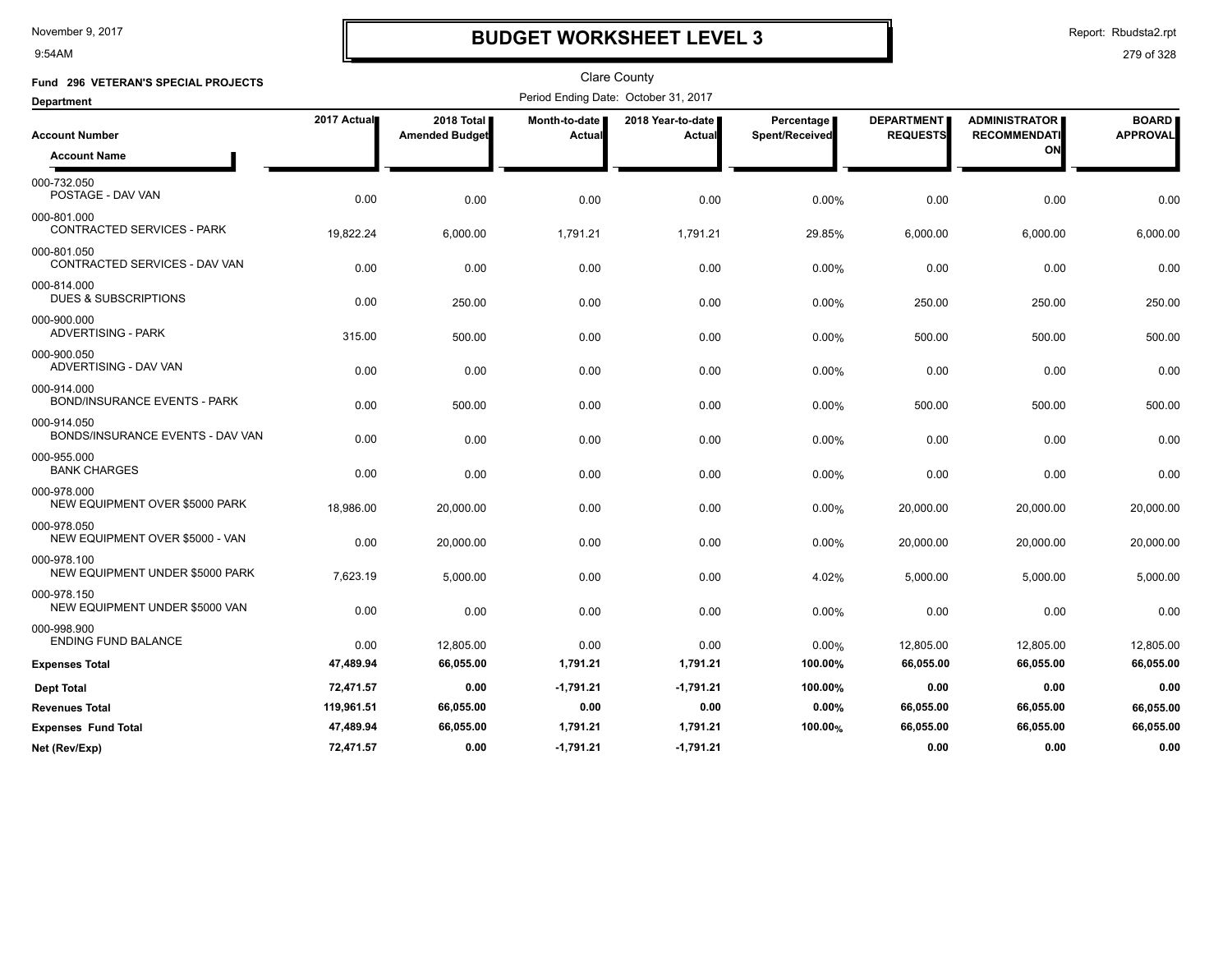9:54AM

# **BUDGET WORKSHEET LEVEL 3**

Report: Rbudsta2.rpt

| Fund 296 VETERAN'S SPECIAL PROJECTS                |             |                       |               | <b>Clare County</b>                  |                |                   |                      |                 |
|----------------------------------------------------|-------------|-----------------------|---------------|--------------------------------------|----------------|-------------------|----------------------|-----------------|
| <b>Department</b>                                  |             |                       |               | Period Ending Date: October 31, 2017 |                |                   |                      |                 |
|                                                    | 2017 Actual | 2018 Total            | Month-to-date | 2018 Year-to-date                    | Percentage     | <b>DEPARTMENT</b> | <b>ADMINISTRATOR</b> | <b>BOARD</b>    |
| <b>Account Number</b>                              |             | <b>Amended Budget</b> | Actual        | Actual                               | Spent/Received | <b>REQUESTS</b>   | <b>RECOMMENDATI</b>  | <b>APPROVAL</b> |
| <b>Account Name</b>                                |             |                       |               |                                      |                |                   | ON                   |                 |
| 000-732.050<br>POSTAGE - DAV VAN                   | 0.00        | 0.00                  | 0.00          | 0.00                                 | 0.00%          | 0.00              | 0.00                 | 0.00            |
| 000-801.000<br>CONTRACTED SERVICES - PARK          | 19,822.24   | 6,000.00              | 1,791.21      | 1,791.21                             | 29.85%         | 6,000.00          | 6,000.00             | 6,000.00        |
| 000-801.050<br>CONTRACTED SERVICES - DAV VAN       | 0.00        | 0.00                  | 0.00          | 0.00                                 | 0.00%          | 0.00              | 0.00                 | 0.00            |
| 000-814.000<br><b>DUES &amp; SUBSCRIPTIONS</b>     | 0.00        | 250.00                | 0.00          | 0.00                                 | 0.00%          | 250.00            | 250.00               | 250.00          |
| 000-900.000<br>ADVERTISING - PARK                  | 315.00      | 500.00                | 0.00          | 0.00                                 | 0.00%          | 500.00            | 500.00               | 500.00          |
| 000-900.050<br>ADVERTISING - DAV VAN               | 0.00        | 0.00                  | 0.00          | 0.00                                 | 0.00%          | 0.00              | 0.00                 | 0.00            |
| 000-914.000<br><b>BOND/INSURANCE EVENTS - PARK</b> | 0.00        | 500.00                | 0.00          | 0.00                                 | 0.00%          | 500.00            | 500.00               | 500.00          |
| 000-914.050<br>BONDS/INSURANCE EVENTS - DAV VAN    | 0.00        | 0.00                  | 0.00          | 0.00                                 | 0.00%          | 0.00              | 0.00                 | 0.00            |
| 000-955.000<br><b>BANK CHARGES</b>                 | 0.00        | 0.00                  | 0.00          | 0.00                                 | 0.00%          | 0.00              | 0.00                 | 0.00            |
| 000-978.000<br>NEW EQUIPMENT OVER \$5000 PARK      | 18,986.00   | 20,000.00             | 0.00          | 0.00                                 | 0.00%          | 20,000.00         | 20,000.00            | 20,000.00       |
| 000-978.050<br>NEW EQUIPMENT OVER \$5000 - VAN     | 0.00        | 20,000.00             | 0.00          | 0.00                                 | 0.00%          | 20,000.00         | 20,000.00            | 20,000.00       |
| 000-978.100<br>NEW EQUIPMENT UNDER \$5000 PARK     | 7,623.19    | 5,000.00              | 0.00          | 0.00                                 | 4.02%          | 5,000.00          | 5,000.00             | 5,000.00        |
| 000-978.150<br>NEW EQUIPMENT UNDER \$5000 VAN      | 0.00        | 0.00                  | 0.00          | 0.00                                 | 0.00%          | 0.00              | 0.00                 | 0.00            |
| 000-998.900<br><b>ENDING FUND BALANCE</b>          | 0.00        | 12,805.00             | 0.00          | 0.00                                 | 0.00%          | 12,805.00         | 12,805.00            | 12,805.00       |
| <b>Expenses Total</b>                              | 47,489.94   | 66,055.00             | 1,791.21      | 1,791.21                             | 100.00%        | 66,055.00         | 66,055.00            | 66,055.00       |
| <b>Dept Total</b>                                  | 72.471.57   | 0.00                  | $-1.791.21$   | $-1.791.21$                          | 100.00%        | 0.00              | 0.00                 | 0.00            |
| <b>Revenues Total</b>                              | 119,961.51  | 66,055.00             | 0.00          | 0.00                                 | 0.00%          | 66,055.00         | 66,055.00            | 66,055.00       |
| <b>Expenses Fund Total</b>                         | 47,489.94   | 66,055.00             | 1,791.21      | 1,791.21                             | 100.00%        | 66,055.00         | 66,055.00            | 66,055.00       |
| Net (Rev/Exp)                                      | 72,471.57   | 0.00                  | $-1,791.21$   | $-1,791.21$                          |                | 0.00              | 0.00                 | 0.00            |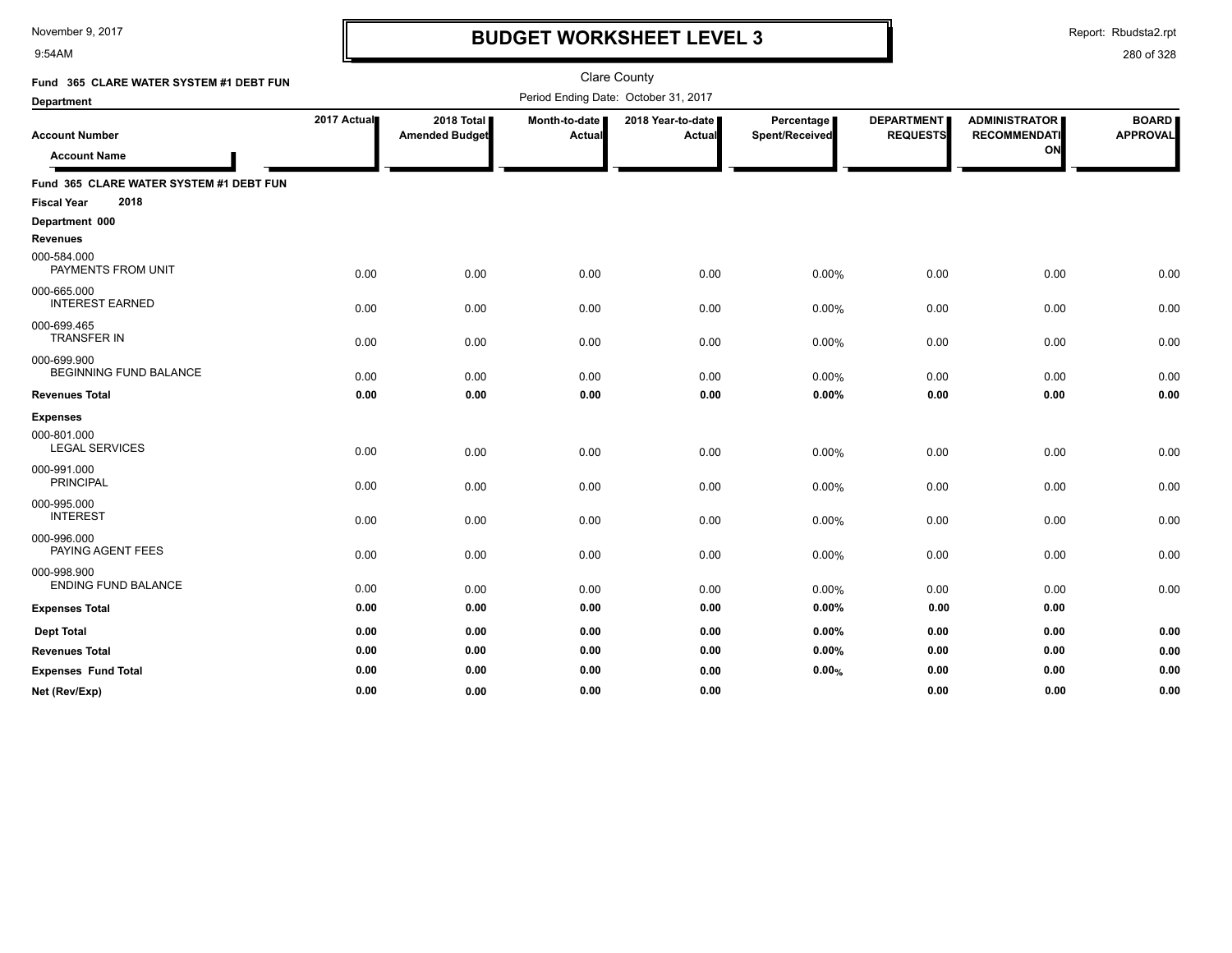9:54AM

# **BUDGET WORKSHEET LEVEL 3**

Report: Rbudsta2.rpt

| Fund 365 CLARE WATER SYSTEM #1 DEBT FUN<br>Department                 |             |                                     |                         | <b>Clare County</b><br>Period Ending Date: October 31, 2017 |                              |                                      |                                                   |                                 |
|-----------------------------------------------------------------------|-------------|-------------------------------------|-------------------------|-------------------------------------------------------------|------------------------------|--------------------------------------|---------------------------------------------------|---------------------------------|
| <b>Account Number</b><br><b>Account Name</b>                          | 2017 Actual | 2018 Total<br><b>Amended Budget</b> | Month-to-date<br>Actual | 2018 Year-to-date<br><b>Actual</b>                          | Percentage<br>Spent/Received | <b>DEPARTMENT</b><br><b>REQUESTS</b> | <b>ADMINISTRATOR</b><br><b>RECOMMENDATI</b><br>ON | <b>BOARD</b><br><b>APPROVAL</b> |
| Fund 365 CLARE WATER SYSTEM #1 DEBT FUN<br>2018<br><b>Fiscal Year</b> |             |                                     |                         |                                                             |                              |                                      |                                                   |                                 |
| Department 000                                                        |             |                                     |                         |                                                             |                              |                                      |                                                   |                                 |
| <b>Revenues</b>                                                       |             |                                     |                         |                                                             |                              |                                      |                                                   |                                 |
| 000-584.000<br>PAYMENTS FROM UNIT                                     | 0.00        | 0.00                                | 0.00                    | 0.00                                                        | 0.00%                        | 0.00                                 | 0.00                                              | 0.00                            |
| 000-665.000<br><b>INTEREST EARNED</b>                                 | 0.00        | 0.00                                | 0.00                    | 0.00                                                        | 0.00%                        | 0.00                                 | 0.00                                              | 0.00                            |
| 000-699.465<br><b>TRANSFER IN</b>                                     | 0.00        | 0.00                                | 0.00                    | 0.00                                                        | 0.00%                        | 0.00                                 | 0.00                                              | 0.00                            |
| 000-699.900<br><b>BEGINNING FUND BALANCE</b>                          | 0.00        | 0.00                                | 0.00                    | 0.00                                                        | 0.00%                        | 0.00                                 | 0.00                                              | 0.00                            |
| <b>Revenues Total</b>                                                 | 0.00        | 0.00                                | 0.00                    | 0.00                                                        | 0.00%                        | 0.00                                 | 0.00                                              | 0.00                            |
| <b>Expenses</b>                                                       |             |                                     |                         |                                                             |                              |                                      |                                                   |                                 |
| 000-801.000<br><b>LEGAL SERVICES</b>                                  | 0.00        | 0.00                                | 0.00                    | 0.00                                                        | 0.00%                        | 0.00                                 | 0.00                                              | 0.00                            |
| 000-991.000<br><b>PRINCIPAL</b>                                       | 0.00        | 0.00                                | 0.00                    | 0.00                                                        | 0.00%                        | 0.00                                 | 0.00                                              | 0.00                            |
| 000-995.000<br><b>INTEREST</b>                                        | 0.00        | 0.00                                | 0.00                    | 0.00                                                        | 0.00%                        | 0.00                                 | 0.00                                              | 0.00                            |
| 000-996.000<br>PAYING AGENT FEES                                      | 0.00        | 0.00                                | 0.00                    | 0.00                                                        | 0.00%                        | 0.00                                 | 0.00                                              | 0.00                            |
| 000-998.900<br><b>ENDING FUND BALANCE</b>                             | 0.00        | 0.00                                | 0.00                    | 0.00                                                        | 0.00%                        | 0.00                                 | 0.00                                              | 0.00                            |
| <b>Expenses Total</b>                                                 | 0.00        | 0.00                                | 0.00                    | 0.00                                                        | 0.00%                        | 0.00                                 | 0.00                                              |                                 |
| <b>Dept Total</b>                                                     | 0.00        | 0.00                                | 0.00                    | 0.00                                                        | 0.00%                        | 0.00                                 | 0.00                                              | 0.00                            |
| <b>Revenues Total</b>                                                 | 0.00        | 0.00                                | 0.00                    | 0.00                                                        | 0.00%                        | 0.00                                 | 0.00                                              | 0.00                            |
| <b>Expenses Fund Total</b>                                            | 0.00        | 0.00                                | 0.00                    | 0.00                                                        | 0.00%                        | 0.00                                 | 0.00                                              | 0.00                            |
| Net (Rev/Exp)                                                         | 0.00        | 0.00                                | 0.00                    | 0.00                                                        |                              | 0.00                                 | 0.00                                              | 0.00                            |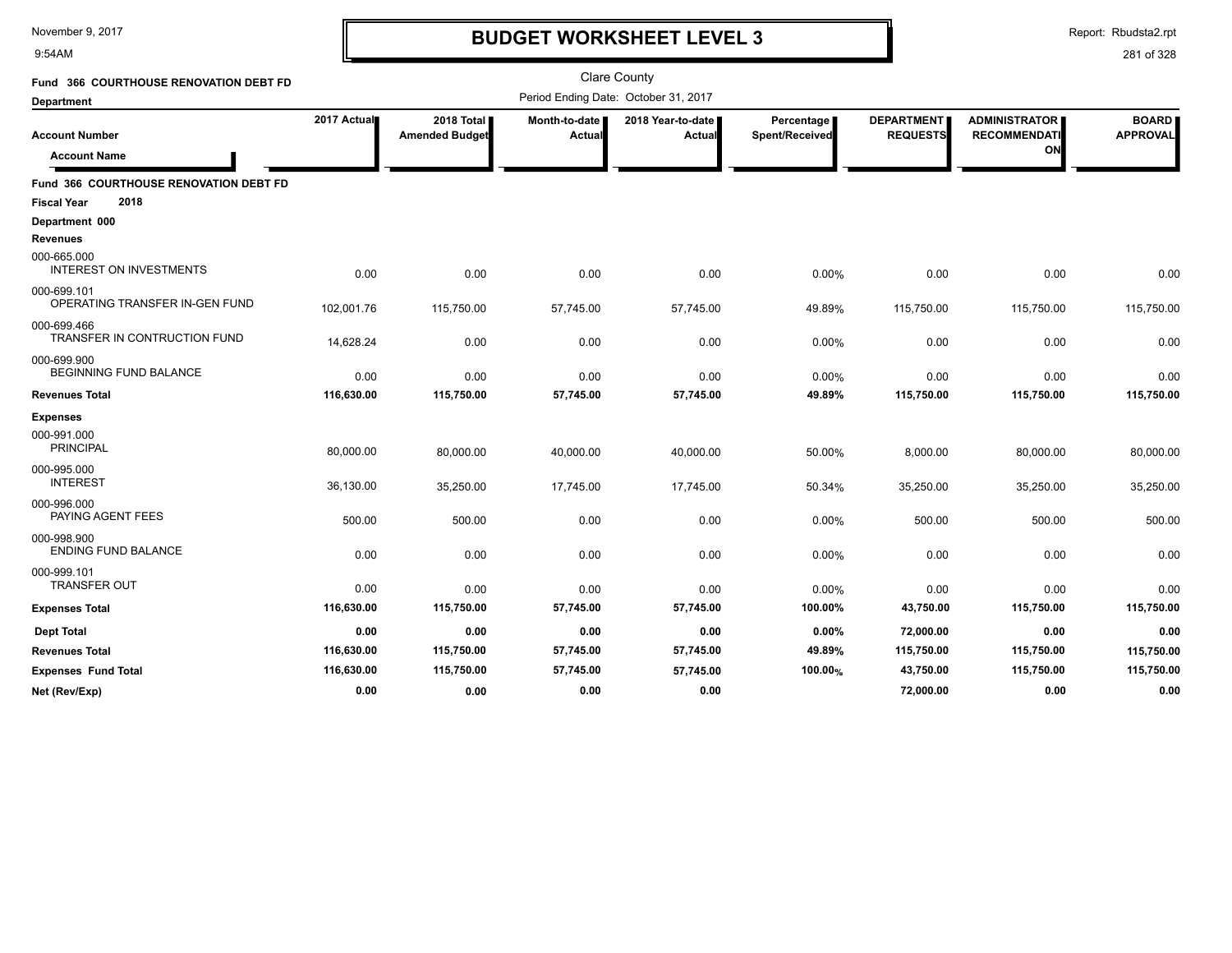9:54AM

# **BUDGET WORKSHEET LEVEL 3**

Report: Rbudsta2.rpt

| Fund 366 COURTHOUSE RENOVATION DEBT FD        |             |                                     |                         | <b>Clare County</b>                  |                              |                                      |                                                   |                                 |
|-----------------------------------------------|-------------|-------------------------------------|-------------------------|--------------------------------------|------------------------------|--------------------------------------|---------------------------------------------------|---------------------------------|
| <b>Department</b>                             |             |                                     |                         | Period Ending Date: October 31, 2017 |                              |                                      |                                                   |                                 |
| <b>Account Number</b><br><b>Account Name</b>  | 2017 Actual | 2018 Total<br><b>Amended Budget</b> | Month-to-date<br>Actual | 2018 Year-to-date<br><b>Actual</b>   | Percentage<br>Spent/Received | <b>DEPARTMENT</b><br><b>REQUESTS</b> | <b>ADMINISTRATOR</b><br><b>RECOMMENDATI</b><br>ON | <b>BOARD</b><br><b>APPROVAL</b> |
| Fund 366 COURTHOUSE RENOVATION DEBT FD        |             |                                     |                         |                                      |                              |                                      |                                                   |                                 |
| 2018<br><b>Fiscal Year</b>                    |             |                                     |                         |                                      |                              |                                      |                                                   |                                 |
| Department 000                                |             |                                     |                         |                                      |                              |                                      |                                                   |                                 |
| <b>Revenues</b>                               |             |                                     |                         |                                      |                              |                                      |                                                   |                                 |
| 000-665.000<br><b>INTEREST ON INVESTMENTS</b> | 0.00        | 0.00                                | 0.00                    | 0.00                                 | 0.00%                        | 0.00                                 | 0.00                                              | 0.00                            |
| 000-699.101<br>OPERATING TRANSFER IN-GEN FUND | 102,001.76  | 115,750.00                          | 57,745.00               | 57,745.00                            | 49.89%                       | 115,750.00                           | 115,750.00                                        | 115,750.00                      |
| 000-699.466<br>TRANSFER IN CONTRUCTION FUND   | 14,628.24   | 0.00                                | 0.00                    | 0.00                                 | 0.00%                        | 0.00                                 | 0.00                                              | 0.00                            |
| 000-699.900<br><b>BEGINNING FUND BALANCE</b>  | 0.00        | 0.00                                | 0.00                    | 0.00                                 | 0.00%                        | 0.00                                 | 0.00                                              | 0.00                            |
| <b>Revenues Total</b>                         | 116,630.00  | 115,750.00                          | 57,745.00               | 57,745.00                            | 49.89%                       | 115,750.00                           | 115,750.00                                        | 115,750.00                      |
| <b>Expenses</b>                               |             |                                     |                         |                                      |                              |                                      |                                                   |                                 |
| 000-991.000<br><b>PRINCIPAL</b>               | 80,000.00   | 80,000.00                           | 40,000.00               | 40,000.00                            | 50.00%                       | 8,000.00                             | 80,000.00                                         | 80,000.00                       |
| 000-995.000<br><b>INTEREST</b>                | 36,130.00   | 35,250.00                           | 17,745.00               | 17,745.00                            | 50.34%                       | 35,250.00                            | 35,250.00                                         | 35,250.00                       |
| 000-996.000<br>PAYING AGENT FEES              | 500.00      | 500.00                              | 0.00                    | 0.00                                 | 0.00%                        | 500.00                               | 500.00                                            | 500.00                          |
| 000-998.900<br><b>ENDING FUND BALANCE</b>     | 0.00        | 0.00                                | 0.00                    | 0.00                                 | 0.00%                        | 0.00                                 | 0.00                                              | 0.00                            |
| 000-999.101<br><b>TRANSFER OUT</b>            | 0.00        | 0.00                                | 0.00                    | 0.00                                 | 0.00%                        | 0.00                                 | 0.00                                              | 0.00                            |
| <b>Expenses Total</b>                         | 116,630.00  | 115,750.00                          | 57,745.00               | 57,745.00                            | 100.00%                      | 43,750.00                            | 115,750.00                                        | 115,750.00                      |
| <b>Dept Total</b>                             | 0.00        | 0.00                                | 0.00                    | 0.00                                 | 0.00%                        | 72,000.00                            | 0.00                                              | 0.00                            |
| <b>Revenues Total</b>                         | 116,630.00  | 115,750.00                          | 57,745.00               | 57,745.00                            | 49.89%                       | 115,750.00                           | 115,750.00                                        | 115,750.00                      |
| <b>Expenses Fund Total</b>                    | 116,630.00  | 115,750.00                          | 57,745.00               | 57,745.00                            | 100.00%                      | 43,750.00                            | 115,750.00                                        | 115,750.00                      |
| Net (Rev/Exp)                                 | 0.00        | 0.00                                | 0.00                    | 0.00                                 |                              | 72,000.00                            | 0.00                                              | 0.00                            |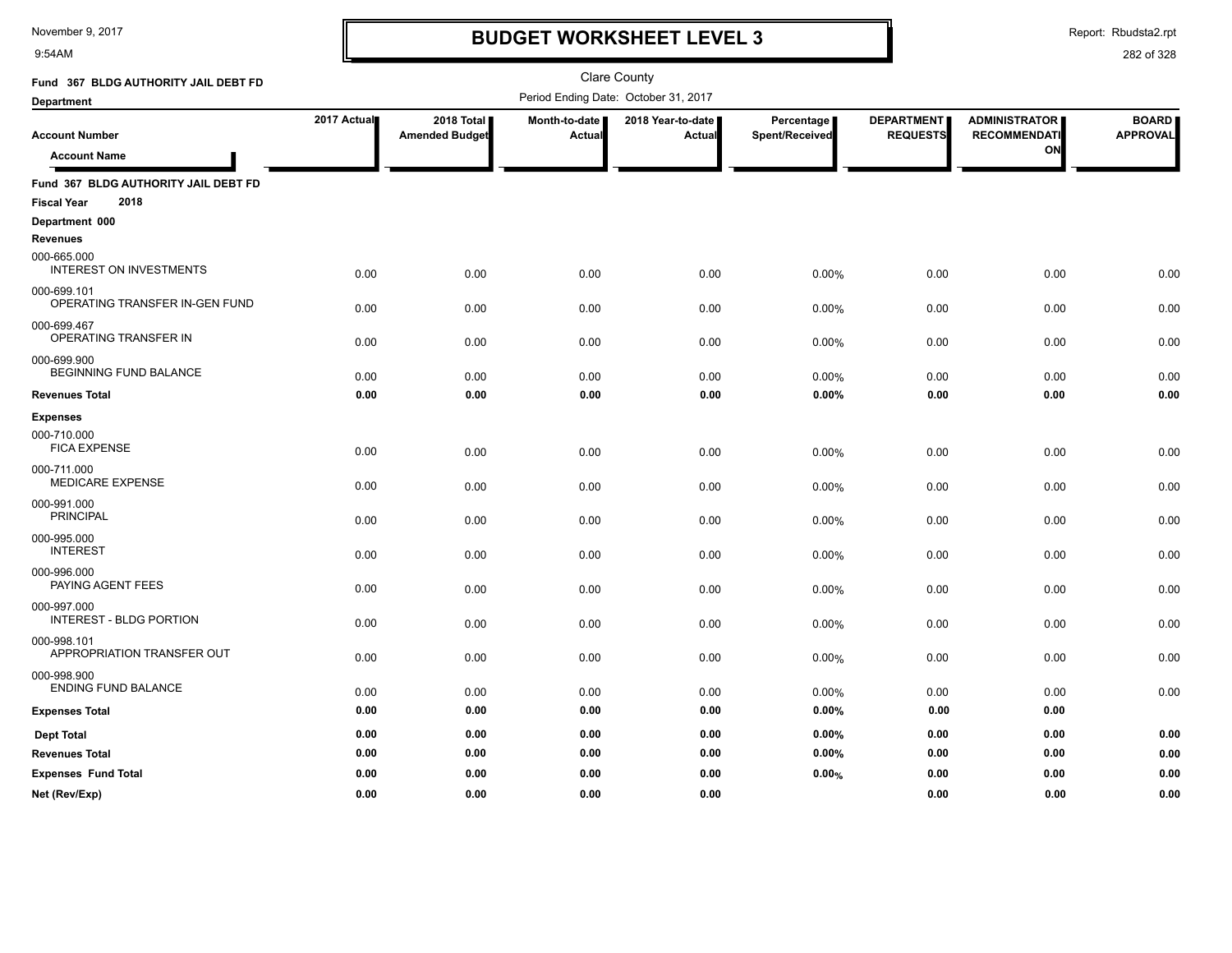9:54AM

# **BUDGET WORKSHEET LEVEL 3**

Report: Rbudsta2.rpt

| Fund 367 BLDG AUTHORITY JAIL DEBT FD          |             |                       |               | <b>Clare County</b>                  |                |                   |                      |                 |
|-----------------------------------------------|-------------|-----------------------|---------------|--------------------------------------|----------------|-------------------|----------------------|-----------------|
| <b>Department</b>                             |             |                       |               | Period Ending Date: October 31, 2017 |                |                   |                      |                 |
|                                               | 2017 Actual | 2018 Total            | Month-to-date | 2018 Year-to-date                    | Percentage     | <b>DEPARTMENT</b> | <b>ADMINISTRATOR</b> | <b>BOARD</b>    |
| <b>Account Number</b>                         |             | <b>Amended Budget</b> | Actual        | Actual                               | Spent/Received | <b>REQUESTS</b>   | <b>RECOMMENDATI</b>  | <b>APPROVAL</b> |
| <b>Account Name</b>                           |             |                       |               |                                      |                |                   | ON                   |                 |
| Fund 367 BLDG AUTHORITY JAIL DEBT FD          |             |                       |               |                                      |                |                   |                      |                 |
| 2018<br><b>Fiscal Year</b>                    |             |                       |               |                                      |                |                   |                      |                 |
| Department 000<br><b>Revenues</b>             |             |                       |               |                                      |                |                   |                      |                 |
| 000-665.000<br><b>INTEREST ON INVESTMENTS</b> | 0.00        | 0.00                  | 0.00          | 0.00                                 | 0.00%          | 0.00              | 0.00                 | 0.00            |
| 000-699.101<br>OPERATING TRANSFER IN-GEN FUND | 0.00        | 0.00                  | 0.00          | 0.00                                 | 0.00%          | 0.00              | 0.00                 | 0.00            |
| 000-699.467<br>OPERATING TRANSFER IN          | 0.00        | 0.00                  | 0.00          | 0.00                                 | 0.00%          | 0.00              | 0.00                 | 0.00            |
| 000-699.900<br>BEGINNING FUND BALANCE         | 0.00        | 0.00                  | 0.00          | 0.00                                 | 0.00%          | 0.00              | 0.00                 | 0.00            |
| <b>Revenues Total</b>                         | 0.00        | 0.00                  | 0.00          | 0.00                                 | 0.00%          | 0.00              | 0.00                 | 0.00            |
| <b>Expenses</b>                               |             |                       |               |                                      |                |                   |                      |                 |
| 000-710.000<br><b>FICA EXPENSE</b>            | 0.00        | 0.00                  | 0.00          | 0.00                                 | 0.00%          | 0.00              | 0.00                 | 0.00            |
| 000-711.000<br>MEDICARE EXPENSE               | 0.00        | 0.00                  | 0.00          | 0.00                                 | 0.00%          | 0.00              | 0.00                 | 0.00            |
| 000-991.000<br><b>PRINCIPAL</b>               | 0.00        | 0.00                  | 0.00          | 0.00                                 | 0.00%          | 0.00              | 0.00                 | 0.00            |
| 000-995.000<br><b>INTEREST</b>                | 0.00        | 0.00                  | 0.00          | 0.00                                 | 0.00%          | 0.00              | 0.00                 | 0.00            |
| 000-996.000<br>PAYING AGENT FEES              | 0.00        | 0.00                  | 0.00          | 0.00                                 | 0.00%          | 0.00              | 0.00                 | 0.00            |
| 000-997.000<br><b>INTEREST - BLDG PORTION</b> | 0.00        | 0.00                  | 0.00          | 0.00                                 | 0.00%          | 0.00              | 0.00                 | 0.00            |
| 000-998.101<br>APPROPRIATION TRANSFER OUT     | 0.00        | 0.00                  | 0.00          | 0.00                                 | 0.00%          | 0.00              | 0.00                 | 0.00            |
| 000-998.900<br><b>ENDING FUND BALANCE</b>     | 0.00        | 0.00                  | 0.00          | 0.00                                 | 0.00%          | 0.00              | 0.00                 | 0.00            |
| <b>Expenses Total</b>                         | 0.00        | 0.00                  | 0.00          | 0.00                                 | 0.00%          | 0.00              | 0.00                 |                 |
| <b>Dept Total</b>                             | 0.00        | 0.00                  | 0.00          | 0.00                                 | 0.00%          | 0.00              | 0.00                 | 0.00            |
| <b>Revenues Total</b>                         | 0.00        | 0.00                  | 0.00          | 0.00                                 | 0.00%          | 0.00              | 0.00                 | 0.00            |
| <b>Expenses Fund Total</b>                    | 0.00        | 0.00                  | 0.00          | 0.00                                 | 0.00%          | 0.00              | 0.00                 | 0.00            |
| Net (Rev/Exp)                                 | 0.00        | 0.00                  | 0.00          | 0.00                                 |                | 0.00              | 0.00                 | 0.00            |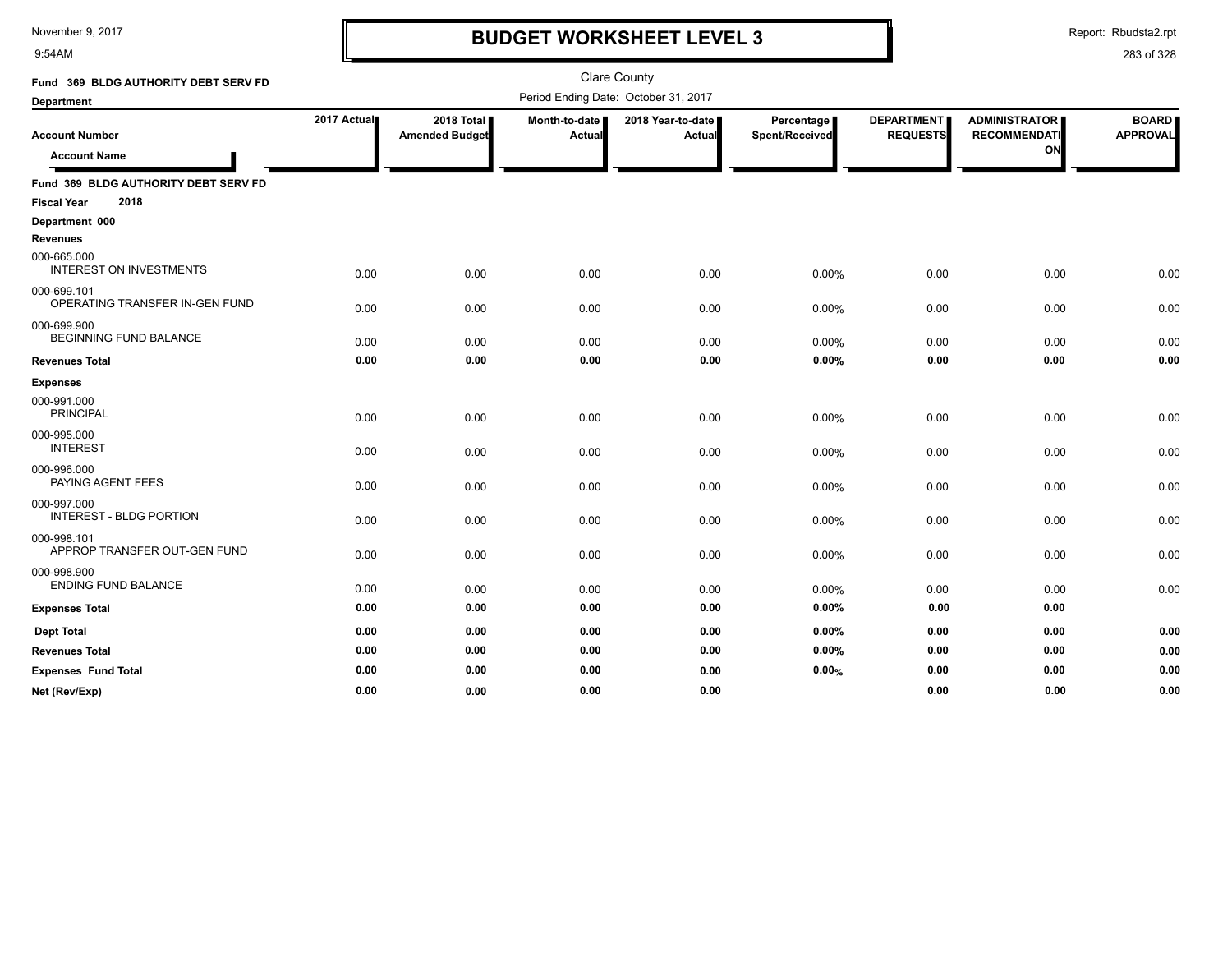9:54AM

### **BUDGET WORKSHEET LEVEL 3**

Report: Rbudsta2.rpt

| Fund 369 BLDG AUTHORITY DEBT SERV FD                               |             |                                     |                         | <b>Clare County</b>                  |                              |                               |                                                   |                                 |
|--------------------------------------------------------------------|-------------|-------------------------------------|-------------------------|--------------------------------------|------------------------------|-------------------------------|---------------------------------------------------|---------------------------------|
| <b>Department</b>                                                  |             |                                     |                         | Period Ending Date: October 31, 2017 |                              |                               |                                                   |                                 |
| <b>Account Number</b><br><b>Account Name</b>                       | 2017 Actual | 2018 Total<br><b>Amended Budget</b> | Month-to-date<br>Actual | 2018 Year-to-date  <br>Actual        | Percentage<br>Spent/Received | DEPARTMENT<br><b>REQUESTS</b> | <b>ADMINISTRATOR</b><br><b>RECOMMENDATI</b><br>ON | <b>BOARD</b><br><b>APPROVAL</b> |
| Fund 369 BLDG AUTHORITY DEBT SERV FD<br>2018<br><b>Fiscal Year</b> |             |                                     |                         |                                      |                              |                               |                                                   |                                 |
| Department 000                                                     |             |                                     |                         |                                      |                              |                               |                                                   |                                 |
| <b>Revenues</b>                                                    |             |                                     |                         |                                      |                              |                               |                                                   |                                 |
| 000-665.000<br><b>INTEREST ON INVESTMENTS</b>                      | 0.00        | 0.00                                | 0.00                    | 0.00                                 | 0.00%                        | 0.00                          | 0.00                                              | 0.00                            |
| 000-699.101<br>OPERATING TRANSFER IN-GEN FUND                      | 0.00        | 0.00                                | 0.00                    | 0.00                                 | 0.00%                        | 0.00                          | 0.00                                              | 0.00                            |
| 000-699.900<br><b>BEGINNING FUND BALANCE</b>                       | 0.00        | 0.00                                | 0.00                    | 0.00                                 | 0.00%                        | 0.00                          | 0.00                                              | 0.00                            |
| <b>Revenues Total</b>                                              | 0.00        | 0.00                                | 0.00                    | 0.00                                 | 0.00%                        | 0.00                          | 0.00                                              | 0.00                            |
| <b>Expenses</b>                                                    |             |                                     |                         |                                      |                              |                               |                                                   |                                 |
| 000-991.000<br><b>PRINCIPAL</b>                                    | 0.00        | 0.00                                | 0.00                    | 0.00                                 | 0.00%                        | 0.00                          | 0.00                                              | 0.00                            |
| 000-995.000<br><b>INTEREST</b>                                     | 0.00        | 0.00                                | 0.00                    | 0.00                                 | 0.00%                        | 0.00                          | 0.00                                              | 0.00                            |
| 000-996.000<br>PAYING AGENT FEES                                   | 0.00        | 0.00                                | 0.00                    | 0.00                                 | 0.00%                        | 0.00                          | 0.00                                              | 0.00                            |
| 000-997.000<br><b>INTEREST - BLDG PORTION</b>                      | 0.00        | 0.00                                | 0.00                    | 0.00                                 | 0.00%                        | 0.00                          | 0.00                                              | 0.00                            |
| 000-998.101<br>APPROP TRANSFER OUT-GEN FUND                        | 0.00        | 0.00                                | 0.00                    | 0.00                                 | 0.00%                        | 0.00                          | 0.00                                              | 0.00                            |
| 000-998.900<br><b>ENDING FUND BALANCE</b>                          | 0.00        | 0.00                                | 0.00                    | 0.00                                 | 0.00%                        | 0.00                          | 0.00                                              | 0.00                            |
| <b>Expenses Total</b>                                              | 0.00        | 0.00                                | 0.00                    | 0.00                                 | 0.00%                        | 0.00                          | 0.00                                              |                                 |
| <b>Dept Total</b>                                                  | 0.00        | 0.00                                | 0.00                    | 0.00                                 | 0.00%                        | 0.00                          | 0.00                                              | 0.00                            |
| <b>Revenues Total</b>                                              | 0.00        | 0.00                                | 0.00                    | 0.00                                 | 0.00%                        | 0.00                          | 0.00                                              | 0.00                            |
| <b>Expenses Fund Total</b>                                         | 0.00        | 0.00                                | 0.00                    | 0.00                                 | 0.00%                        | 0.00                          | 0.00                                              | 0.00                            |
| Net (Rev/Exp)                                                      | 0.00        | 0.00                                | 0.00                    | 0.00                                 |                              | 0.00                          | 0.00                                              | 0.00                            |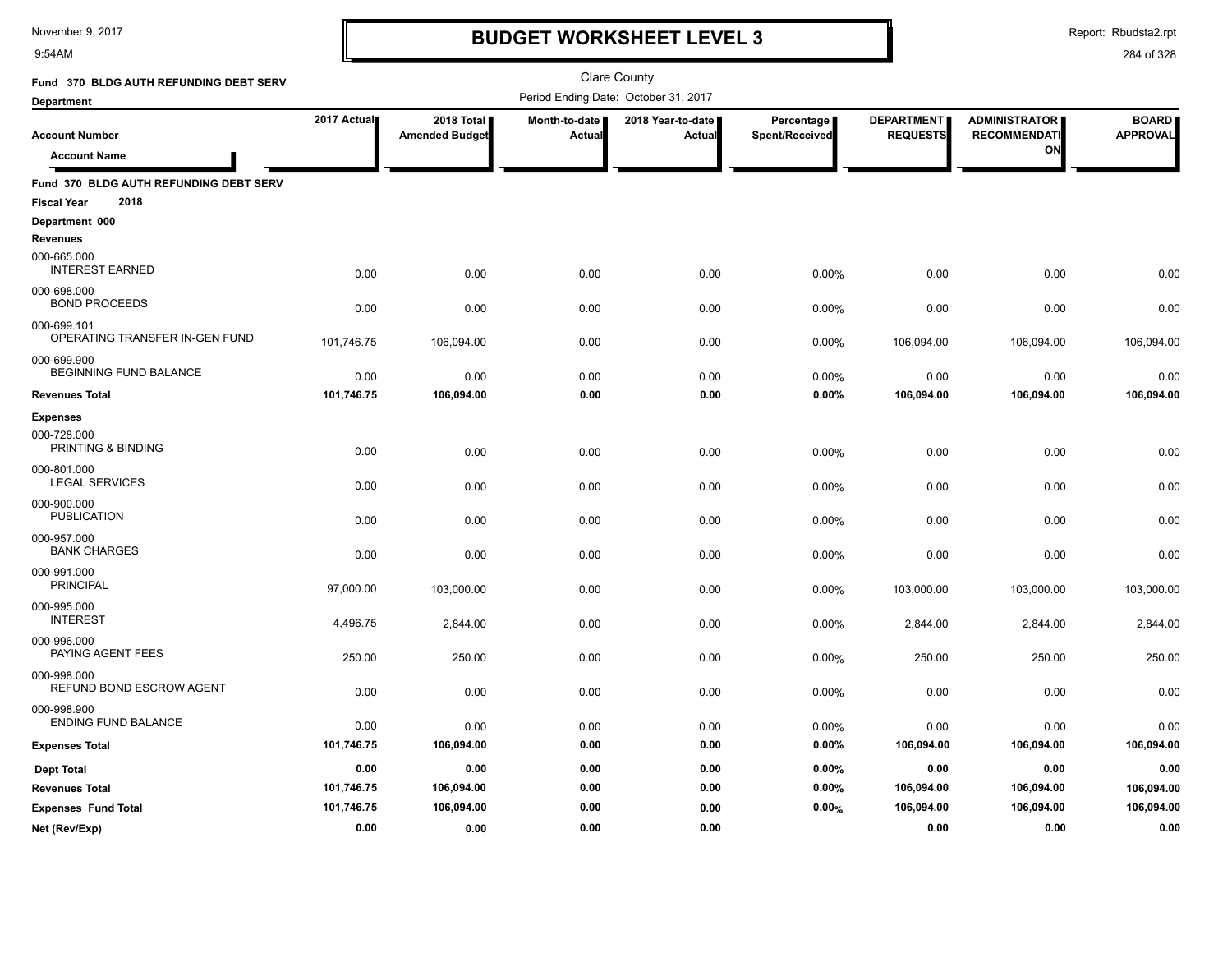9:54AM

## **BUDGET WORKSHEET LEVEL 3**

Report: Rbudsta2.rpt

| Fund 370 BLDG AUTH REFUNDING DEBT SERV                               |             |                                       |                         | Clare County                         |                              |                                      |                                                   |                                 |
|----------------------------------------------------------------------|-------------|---------------------------------------|-------------------------|--------------------------------------|------------------------------|--------------------------------------|---------------------------------------------------|---------------------------------|
| <b>Department</b>                                                    |             |                                       |                         | Period Ending Date: October 31, 2017 |                              |                                      |                                                   |                                 |
| <b>Account Number</b><br><b>Account Name</b>                         | 2017 Actual | 2018 Total  <br><b>Amended Budget</b> | Month-to-date<br>Actual | 2018 Year-to-date<br>Actual          | Percentage<br>Spent/Received | <b>DEPARTMENT</b><br><b>REQUESTS</b> | <b>ADMINISTRATOR</b><br><b>RECOMMENDATI</b><br>ON | <b>BOARD</b><br><b>APPROVAL</b> |
| Fund 370 BLDG AUTH REFUNDING DEBT SERV<br>2018<br><b>Fiscal Year</b> |             |                                       |                         |                                      |                              |                                      |                                                   |                                 |
| Department 000                                                       |             |                                       |                         |                                      |                              |                                      |                                                   |                                 |
| <b>Revenues</b>                                                      |             |                                       |                         |                                      |                              |                                      |                                                   |                                 |
| 000-665.000<br><b>INTEREST EARNED</b>                                | 0.00        | 0.00                                  | 0.00                    | 0.00                                 | 0.00%                        | 0.00                                 | 0.00                                              | 0.00                            |
| 000-698.000<br><b>BOND PROCEEDS</b>                                  | 0.00        | 0.00                                  | 0.00                    | 0.00                                 | 0.00%                        | 0.00                                 | 0.00                                              | 0.00                            |
| 000-699.101<br>OPERATING TRANSFER IN-GEN FUND                        | 101,746.75  | 106,094.00                            | 0.00                    | 0.00                                 | 0.00%                        | 106,094.00                           | 106,094.00                                        | 106,094.00                      |
| 000-699.900<br>BEGINNING FUND BALANCE                                | 0.00        | 0.00                                  | 0.00                    | 0.00                                 | 0.00%                        | 0.00                                 | 0.00                                              | 0.00                            |
| <b>Revenues Total</b>                                                | 101,746.75  | 106,094.00                            | 0.00                    | 0.00                                 | 0.00%                        | 106,094.00                           | 106,094.00                                        | 106,094.00                      |
| <b>Expenses</b>                                                      |             |                                       |                         |                                      |                              |                                      |                                                   |                                 |
| 000-728.000<br>PRINTING & BINDING                                    | 0.00        | 0.00                                  | 0.00                    | 0.00                                 | 0.00%                        | 0.00                                 | 0.00                                              | 0.00                            |
| 000-801.000<br><b>LEGAL SERVICES</b>                                 | 0.00        | 0.00                                  | 0.00                    | 0.00                                 | 0.00%                        | 0.00                                 | 0.00                                              | 0.00                            |
| 000-900.000<br><b>PUBLICATION</b>                                    | 0.00        | 0.00                                  | 0.00                    | 0.00                                 | 0.00%                        | 0.00                                 | 0.00                                              | 0.00                            |
| 000-957.000<br><b>BANK CHARGES</b>                                   | 0.00        | 0.00                                  | 0.00                    | 0.00                                 | 0.00%                        | 0.00                                 | 0.00                                              | 0.00                            |
| 000-991.000<br><b>PRINCIPAL</b>                                      | 97,000.00   | 103,000.00                            | 0.00                    | 0.00                                 | 0.00%                        | 103,000.00                           | 103,000.00                                        | 103,000.00                      |
| 000-995.000<br><b>INTEREST</b>                                       | 4,496.75    | 2,844.00                              | 0.00                    | 0.00                                 | 0.00%                        | 2,844.00                             | 2,844.00                                          | 2,844.00                        |
| 000-996.000<br>PAYING AGENT FEES                                     | 250.00      | 250.00                                | 0.00                    | 0.00                                 | 0.00%                        | 250.00                               | 250.00                                            | 250.00                          |
| 000-998.000<br>REFUND BOND ESCROW AGENT                              | 0.00        | 0.00                                  | 0.00                    | 0.00                                 | 0.00%                        | 0.00                                 | 0.00                                              | 0.00                            |
| 000-998.900<br><b>ENDING FUND BALANCE</b>                            | 0.00        | 0.00                                  | 0.00                    | 0.00                                 | 0.00%                        | 0.00                                 | 0.00                                              | 0.00                            |
| <b>Expenses Total</b>                                                | 101,746.75  | 106,094.00                            | 0.00                    | 0.00                                 | 0.00%                        | 106,094.00                           | 106,094.00                                        | 106,094.00                      |
| <b>Dept Total</b>                                                    | 0.00        | 0.00                                  | 0.00                    | 0.00                                 | 0.00%                        | 0.00                                 | 0.00                                              | 0.00                            |
| <b>Revenues Total</b>                                                | 101,746.75  | 106,094.00                            | 0.00                    | 0.00                                 | 0.00%                        | 106,094.00                           | 106,094.00                                        | 106,094.00                      |
| <b>Expenses Fund Total</b>                                           | 101,746.75  | 106,094.00                            | 0.00                    | 0.00                                 | 0.00%                        | 106,094.00                           | 106,094.00                                        | 106,094.00                      |
| Net (Rev/Exp)                                                        | 0.00        | 0.00                                  | 0.00                    | 0.00                                 |                              | 0.00                                 | 0.00                                              | 0.00                            |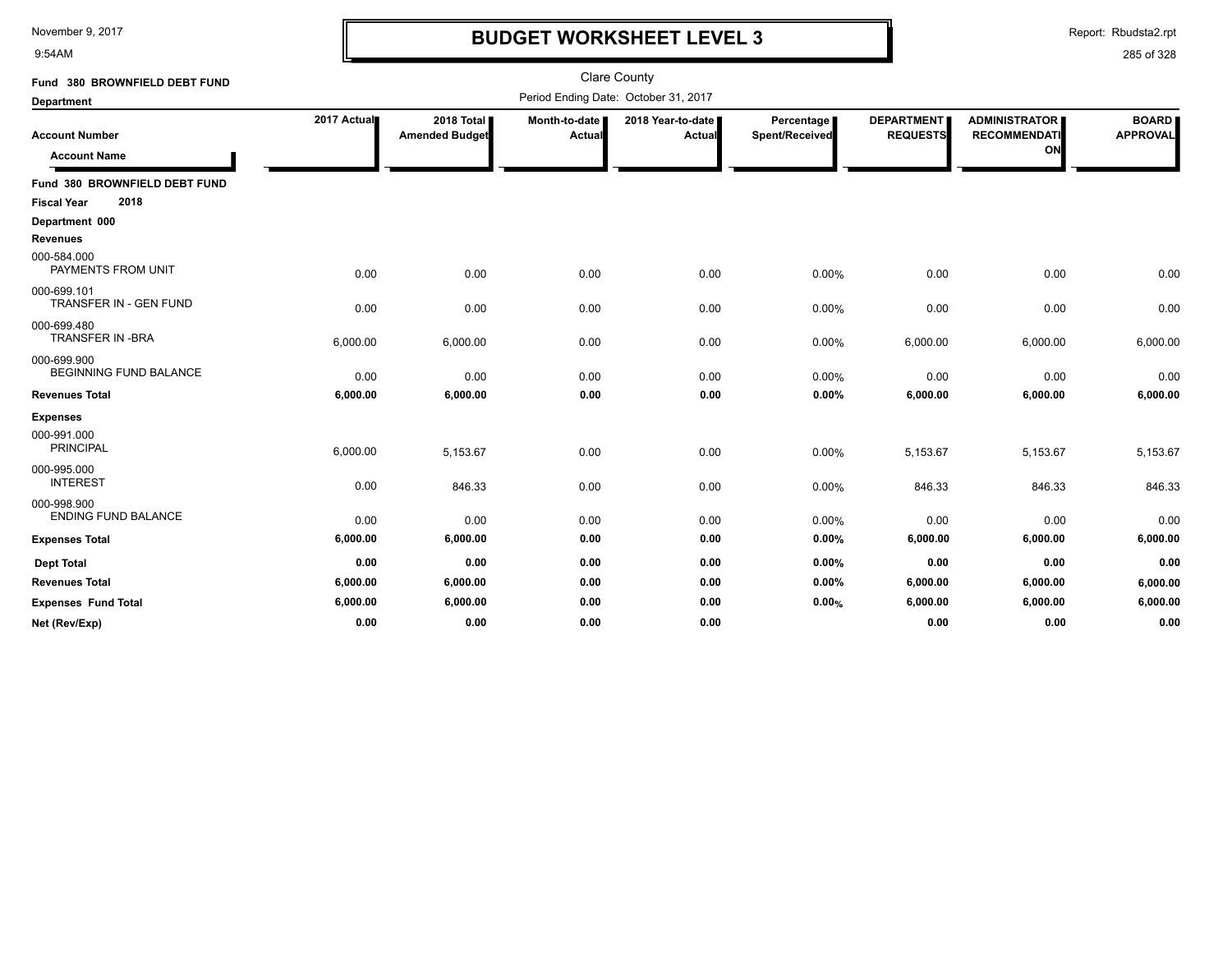9:54AM

# **BUDGET WORKSHEET LEVEL 3**

Report: Rbudsta2.rpt

| Fund 380 BROWNFIELD DEBT FUND                |             |                                     |                         | <b>Clare County</b>                  |                              |                                      |                                                   |                                 |
|----------------------------------------------|-------------|-------------------------------------|-------------------------|--------------------------------------|------------------------------|--------------------------------------|---------------------------------------------------|---------------------------------|
| <b>Department</b>                            |             |                                     |                         | Period Ending Date: October 31, 2017 |                              |                                      |                                                   |                                 |
| <b>Account Number</b><br><b>Account Name</b> | 2017 Actual | 2018 Total<br><b>Amended Budget</b> | Month-to-date<br>Actual | 2018 Year-to-date  <br>Actual        | Percentage<br>Spent/Received | <b>DEPARTMENT</b><br><b>REQUESTS</b> | <b>ADMINISTRATOR</b><br><b>RECOMMENDATI</b><br>ON | <b>BOARD</b><br><b>APPROVAL</b> |
| Fund 380 BROWNFIELD DEBT FUND                |             |                                     |                         |                                      |                              |                                      |                                                   |                                 |
| 2018<br><b>Fiscal Year</b>                   |             |                                     |                         |                                      |                              |                                      |                                                   |                                 |
| Department 000                               |             |                                     |                         |                                      |                              |                                      |                                                   |                                 |
| <b>Revenues</b>                              |             |                                     |                         |                                      |                              |                                      |                                                   |                                 |
| 000-584.000<br>PAYMENTS FROM UNIT            | 0.00        | 0.00                                | 0.00                    | 0.00                                 | 0.00%                        | 0.00                                 | 0.00                                              | 0.00                            |
| 000-699.101<br>TRANSFER IN - GEN FUND        | 0.00        | 0.00                                | 0.00                    | 0.00                                 | 0.00%                        | 0.00                                 | 0.00                                              | 0.00                            |
| 000-699.480<br><b>TRANSFER IN -BRA</b>       | 6,000.00    | 6,000.00                            | 0.00                    | 0.00                                 | 0.00%                        | 6,000.00                             | 6,000.00                                          | 6,000.00                        |
| 000-699.900<br><b>BEGINNING FUND BALANCE</b> | 0.00        | 0.00                                | 0.00                    | 0.00                                 | 0.00%                        | 0.00                                 | 0.00                                              | 0.00                            |
| <b>Revenues Total</b>                        | 6,000.00    | 6,000.00                            | 0.00                    | 0.00                                 | 0.00%                        | 6,000.00                             | 6,000.00                                          | 6,000.00                        |
| <b>Expenses</b>                              |             |                                     |                         |                                      |                              |                                      |                                                   |                                 |
| 000-991.000<br><b>PRINCIPAL</b>              | 6,000.00    | 5,153.67                            | 0.00                    | 0.00                                 | 0.00%                        | 5,153.67                             | 5,153.67                                          | 5,153.67                        |
| 000-995.000<br><b>INTEREST</b>               | 0.00        | 846.33                              | 0.00                    | 0.00                                 | 0.00%                        | 846.33                               | 846.33                                            | 846.33                          |
| 000-998.900<br><b>ENDING FUND BALANCE</b>    | 0.00        | 0.00                                | 0.00                    | 0.00                                 | 0.00%                        | 0.00                                 | 0.00                                              | 0.00                            |
| <b>Expenses Total</b>                        | 6,000.00    | 6,000.00                            | 0.00                    | 0.00                                 | 0.00%                        | 6,000.00                             | 6,000.00                                          | 6,000.00                        |
| <b>Dept Total</b>                            | 0.00        | 0.00                                | 0.00                    | 0.00                                 | 0.00%                        | 0.00                                 | 0.00                                              | 0.00                            |
| <b>Revenues Total</b>                        | 6,000.00    | 6,000.00                            | 0.00                    | 0.00                                 | 0.00%                        | 6,000.00                             | 6,000.00                                          | 6,000.00                        |
| <b>Expenses Fund Total</b>                   | 6,000.00    | 6,000.00                            | 0.00                    | 0.00                                 | 0.00%                        | 6,000.00                             | 6,000.00                                          | 6,000.00                        |
| Net (Rev/Exp)                                | 0.00        | 0.00                                | 0.00                    | 0.00                                 |                              | 0.00                                 | 0.00                                              | 0.00                            |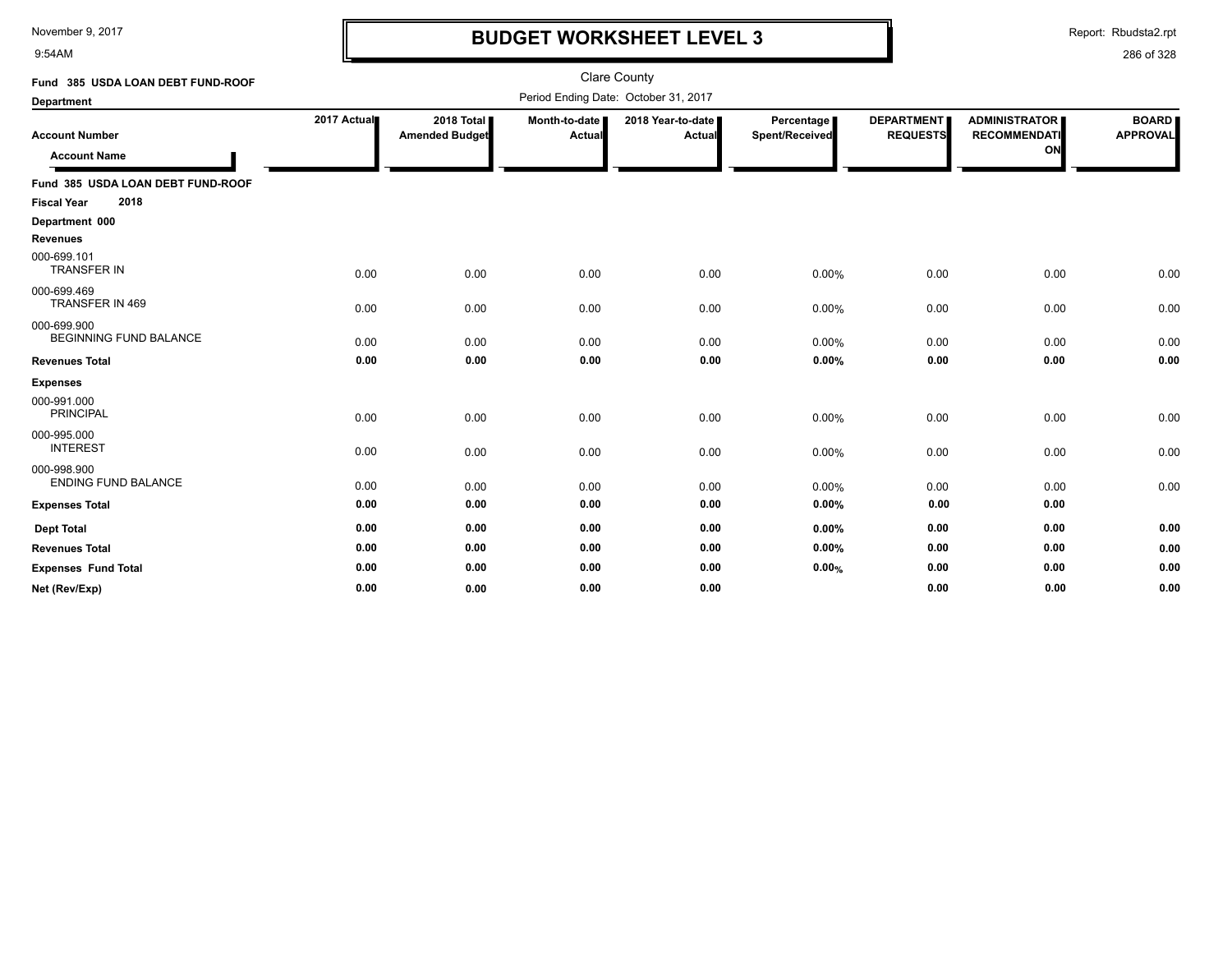9:54AM

## **BUDGET WORKSHEET LEVEL 3**

Report: Rbudsta2.rpt

| Fund 385 USDA LOAN DEBT FUND-ROOF                               |             |                                     |                         | <b>Clare County</b>                  |                              |                                      |                                                   |                                 |
|-----------------------------------------------------------------|-------------|-------------------------------------|-------------------------|--------------------------------------|------------------------------|--------------------------------------|---------------------------------------------------|---------------------------------|
| <b>Department</b>                                               |             |                                     |                         | Period Ending Date: October 31, 2017 |                              |                                      |                                                   |                                 |
| <b>Account Number</b><br><b>Account Name</b>                    | 2017 Actual | 2018 Total<br><b>Amended Budget</b> | Month-to-date<br>Actual | 2018 Year-to-date  <br><b>Actual</b> | Percentage<br>Spent/Received | <b>DEPARTMENT</b><br><b>REQUESTS</b> | <b>ADMINISTRATOR</b><br><b>RECOMMENDATI</b><br>ON | <b>BOARD</b><br><b>APPROVAL</b> |
| Fund 385 USDA LOAN DEBT FUND-ROOF<br>2018<br><b>Fiscal Year</b> |             |                                     |                         |                                      |                              |                                      |                                                   |                                 |
| Department 000<br><b>Revenues</b>                               |             |                                     |                         |                                      |                              |                                      |                                                   |                                 |
| 000-699.101<br><b>TRANSFER IN</b>                               | 0.00        | 0.00                                | 0.00                    | 0.00                                 | 0.00%                        | 0.00                                 | 0.00                                              | 0.00                            |
| 000-699.469<br>TRANSFER IN 469                                  | 0.00        | 0.00                                | 0.00                    | 0.00                                 | 0.00%                        | 0.00                                 | 0.00                                              | 0.00                            |
| 000-699.900<br><b>BEGINNING FUND BALANCE</b>                    | 0.00        | 0.00                                | 0.00                    | 0.00                                 | 0.00%                        | 0.00                                 | 0.00                                              | 0.00                            |
| <b>Revenues Total</b>                                           | 0.00        | 0.00                                | 0.00                    | 0.00                                 | 0.00%                        | 0.00                                 | 0.00                                              | 0.00                            |
| <b>Expenses</b>                                                 |             |                                     |                         |                                      |                              |                                      |                                                   |                                 |
| 000-991.000<br><b>PRINCIPAL</b>                                 | 0.00        | 0.00                                | 0.00                    | 0.00                                 | 0.00%                        | 0.00                                 | 0.00                                              | 0.00                            |
| 000-995.000<br><b>INTEREST</b>                                  | 0.00        | 0.00                                | 0.00                    | 0.00                                 | 0.00%                        | 0.00                                 | 0.00                                              | 0.00                            |
| 000-998.900<br><b>ENDING FUND BALANCE</b>                       | 0.00        | 0.00                                | 0.00                    | 0.00                                 | 0.00%                        | 0.00                                 | 0.00                                              | 0.00                            |
| <b>Expenses Total</b>                                           | 0.00        | 0.00                                | 0.00                    | 0.00                                 | 0.00%                        | 0.00                                 | 0.00                                              |                                 |
| <b>Dept Total</b>                                               | 0.00        | 0.00                                | 0.00                    | 0.00                                 | 0.00%                        | 0.00                                 | 0.00                                              | 0.00                            |
| <b>Revenues Total</b>                                           | 0.00        | 0.00                                | 0.00                    | 0.00                                 | 0.00%                        | 0.00                                 | 0.00                                              | 0.00                            |
| <b>Expenses Fund Total</b>                                      | 0.00        | 0.00                                | 0.00                    | 0.00                                 | 0.00%                        | 0.00                                 | 0.00                                              | 0.00                            |
| Net (Rev/Exp)                                                   | 0.00        | 0.00                                | 0.00                    | 0.00                                 |                              | 0.00                                 | 0.00                                              | 0.00                            |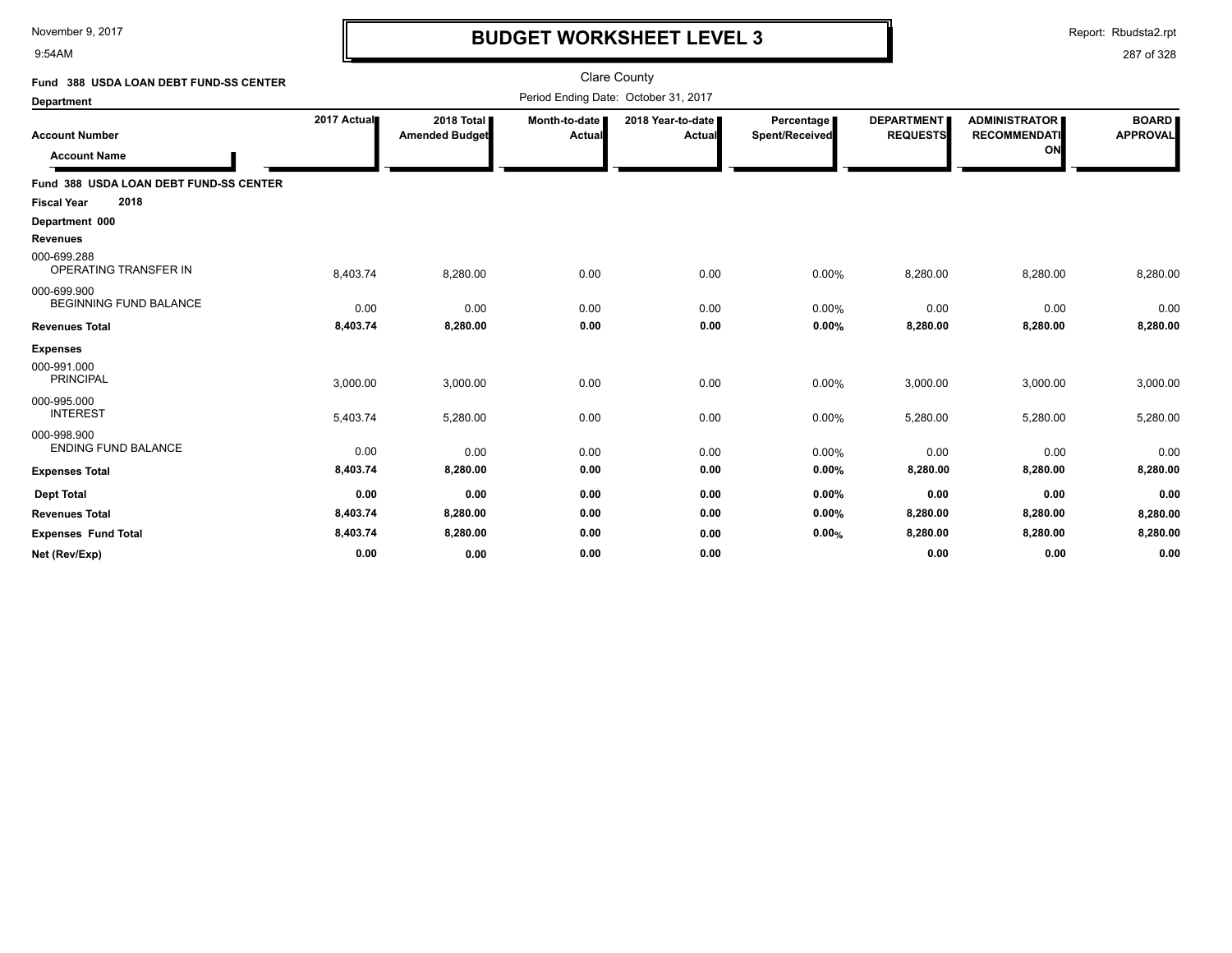9:54AM

## **BUDGET WORKSHEET LEVEL 3**

Report: Rbudsta2.rpt

| Fund 388 USDA LOAN DEBT FUND-SS CENTER       |             |                                     |                         | Clare County                         |                              |                                      |                                                   |                                 |
|----------------------------------------------|-------------|-------------------------------------|-------------------------|--------------------------------------|------------------------------|--------------------------------------|---------------------------------------------------|---------------------------------|
| <b>Department</b>                            |             |                                     |                         | Period Ending Date: October 31, 2017 |                              |                                      |                                                   |                                 |
| <b>Account Number</b><br><b>Account Name</b> | 2017 Actual | 2018 Total<br><b>Amended Budget</b> | Month-to-date<br>Actual | 2018 Year-to-date<br><b>Actual</b>   | Percentage<br>Spent/Received | <b>DEPARTMENT</b><br><b>REQUESTS</b> | <b>ADMINISTRATOR</b><br><b>RECOMMENDATI</b><br>ON | <b>BOARD</b><br><b>APPROVAL</b> |
| Fund 388 USDA LOAN DEBT FUND-SS CENTER       |             |                                     |                         |                                      |                              |                                      |                                                   |                                 |
| 2018<br><b>Fiscal Year</b>                   |             |                                     |                         |                                      |                              |                                      |                                                   |                                 |
| Department 000                               |             |                                     |                         |                                      |                              |                                      |                                                   |                                 |
| <b>Revenues</b>                              |             |                                     |                         |                                      |                              |                                      |                                                   |                                 |
| 000-699.288<br>OPERATING TRANSFER IN         | 8,403.74    | 8,280.00                            | 0.00                    | 0.00                                 | 0.00%                        | 8,280.00                             | 8,280.00                                          | 8,280.00                        |
| 000-699.900<br><b>BEGINNING FUND BALANCE</b> | 0.00        | 0.00                                | 0.00                    | 0.00                                 | 0.00%                        | 0.00                                 | 0.00                                              | 0.00                            |
| <b>Revenues Total</b>                        | 8,403.74    | 8,280.00                            | 0.00                    | 0.00                                 | 0.00%                        | 8,280.00                             | 8,280.00                                          | 8,280.00                        |
| <b>Expenses</b>                              |             |                                     |                         |                                      |                              |                                      |                                                   |                                 |
| 000-991.000<br><b>PRINCIPAL</b>              | 3,000.00    | 3,000.00                            | 0.00                    | 0.00                                 | 0.00%                        | 3,000.00                             | 3,000.00                                          | 3,000.00                        |
| 000-995.000<br><b>INTEREST</b>               | 5,403.74    | 5,280.00                            | 0.00                    | 0.00                                 | 0.00%                        | 5,280.00                             | 5,280.00                                          | 5,280.00                        |
| 000-998.900<br><b>ENDING FUND BALANCE</b>    | 0.00        | 0.00                                | 0.00                    | 0.00                                 | 0.00%                        | 0.00                                 | 0.00                                              | 0.00                            |
| <b>Expenses Total</b>                        | 8,403.74    | 8,280.00                            | 0.00                    | 0.00                                 | 0.00%                        | 8,280.00                             | 8,280.00                                          | 8,280.00                        |
| <b>Dept Total</b>                            | 0.00        | 0.00                                | 0.00                    | 0.00                                 | 0.00%                        | 0.00                                 | 0.00                                              | 0.00                            |
| <b>Revenues Total</b>                        | 8,403.74    | 8,280.00                            | 0.00                    | 0.00                                 | 0.00%                        | 8,280.00                             | 8,280.00                                          | 8,280.00                        |
| <b>Expenses Fund Total</b>                   | 8,403.74    | 8,280.00                            | 0.00                    | 0.00                                 | 0.00%                        | 8,280.00                             | 8,280.00                                          | 8,280.00                        |
| Net (Rev/Exp)                                | 0.00        | 0.00                                | 0.00                    | 0.00                                 |                              | 0.00                                 | 0.00                                              | 0.00                            |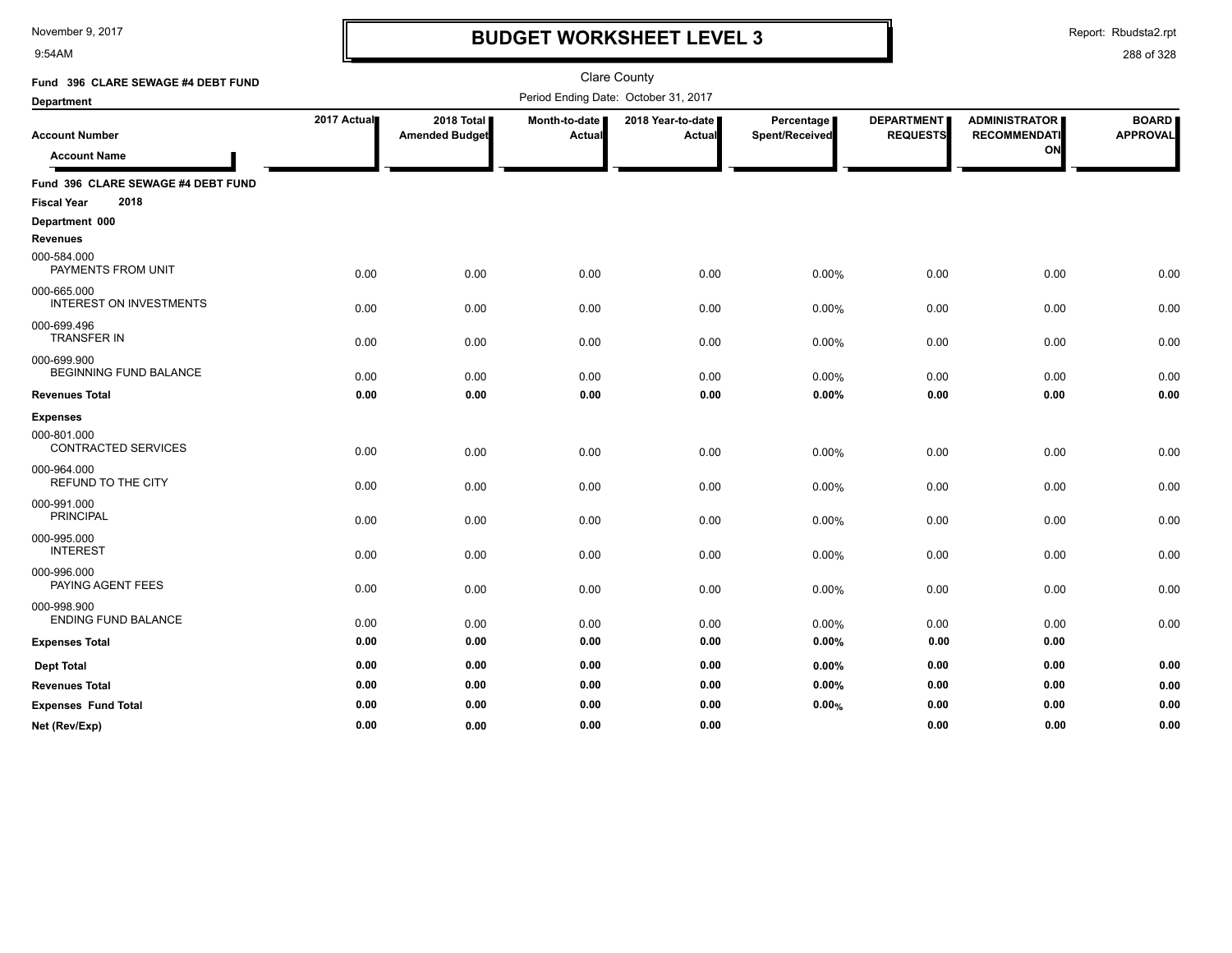9:54AM

# **BUDGET WORKSHEET LEVEL 3**

Report: Rbudsta2.rpt

| Fund 396 CLARE SEWAGE #4 DEBT FUND            | <b>Clare County</b><br>Period Ending Date: October 31, 2017 |                                     |                                |                                    |                              |                                      |                                             |                                 |
|-----------------------------------------------|-------------------------------------------------------------|-------------------------------------|--------------------------------|------------------------------------|------------------------------|--------------------------------------|---------------------------------------------|---------------------------------|
| <b>Department</b>                             |                                                             |                                     |                                |                                    |                              |                                      |                                             |                                 |
| <b>Account Number</b>                         | 2017 Actual                                                 | 2018 Total<br><b>Amended Budget</b> | Month-to-date<br><b>Actual</b> | 2018 Year-to-date<br><b>Actual</b> | Percentage<br>Spent/Received | <b>DEPARTMENT</b><br><b>REQUESTS</b> | <b>ADMINISTRATOR</b><br><b>RECOMMENDATI</b> | <b>BOARD</b><br><b>APPROVAL</b> |
| <b>Account Name</b>                           |                                                             |                                     |                                |                                    |                              |                                      | ON                                          |                                 |
| Fund 396 CLARE SEWAGE #4 DEBT FUND            |                                                             |                                     |                                |                                    |                              |                                      |                                             |                                 |
| 2018<br><b>Fiscal Year</b>                    |                                                             |                                     |                                |                                    |                              |                                      |                                             |                                 |
| Department 000                                |                                                             |                                     |                                |                                    |                              |                                      |                                             |                                 |
| <b>Revenues</b>                               |                                                             |                                     |                                |                                    |                              |                                      |                                             |                                 |
| 000-584.000<br>PAYMENTS FROM UNIT             | 0.00                                                        | 0.00                                | 0.00                           | 0.00                               | 0.00%                        | 0.00                                 | 0.00                                        | 0.00                            |
| 000-665.000<br><b>INTEREST ON INVESTMENTS</b> | 0.00                                                        | 0.00                                | 0.00                           | 0.00                               | 0.00%                        | 0.00                                 | 0.00                                        | 0.00                            |
| 000-699.496<br><b>TRANSFER IN</b>             | 0.00                                                        | 0.00                                | 0.00                           | 0.00                               | 0.00%                        | 0.00                                 | 0.00                                        | 0.00                            |
| 000-699.900<br>BEGINNING FUND BALANCE         | 0.00                                                        | 0.00                                | 0.00                           | 0.00                               | 0.00%                        | 0.00                                 | 0.00                                        | 0.00                            |
| <b>Revenues Total</b>                         | 0.00                                                        | 0.00                                | 0.00                           | 0.00                               | 0.00%                        | 0.00                                 | 0.00                                        | 0.00                            |
| <b>Expenses</b>                               |                                                             |                                     |                                |                                    |                              |                                      |                                             |                                 |
| 000-801.000<br><b>CONTRACTED SERVICES</b>     | 0.00                                                        | 0.00                                | 0.00                           | 0.00                               | 0.00%                        | 0.00                                 | 0.00                                        | 0.00                            |
| 000-964.000<br>REFUND TO THE CITY             | 0.00                                                        | 0.00                                | 0.00                           | 0.00                               | 0.00%                        | 0.00                                 | 0.00                                        | 0.00                            |
| 000-991.000<br><b>PRINCIPAL</b>               | 0.00                                                        | 0.00                                | 0.00                           | 0.00                               | 0.00%                        | 0.00                                 | 0.00                                        | 0.00                            |
| 000-995.000<br><b>INTEREST</b>                | 0.00                                                        | 0.00                                | 0.00                           | 0.00                               | 0.00%                        | 0.00                                 | 0.00                                        | 0.00                            |
| 000-996.000<br>PAYING AGENT FEES              | 0.00                                                        | 0.00                                | 0.00                           | 0.00                               | 0.00%                        | 0.00                                 | 0.00                                        | 0.00                            |
| 000-998.900<br><b>ENDING FUND BALANCE</b>     | 0.00                                                        | 0.00                                | 0.00                           | 0.00                               | 0.00%                        | 0.00                                 | 0.00                                        | 0.00                            |
| <b>Expenses Total</b>                         | 0.00                                                        | 0.00                                | 0.00                           | 0.00                               | 0.00%                        | 0.00                                 | 0.00                                        |                                 |
| <b>Dept Total</b>                             | 0.00                                                        | 0.00                                | 0.00                           | 0.00                               | 0.00%                        | 0.00                                 | 0.00                                        | 0.00                            |
| <b>Revenues Total</b>                         | 0.00                                                        | 0.00                                | 0.00                           | 0.00                               | 0.00%                        | 0.00                                 | 0.00                                        | 0.00                            |
| <b>Expenses Fund Total</b>                    | 0.00                                                        | 0.00                                | 0.00                           | 0.00                               | 0.00%                        | 0.00                                 | 0.00                                        | 0.00                            |
| Net (Rev/Exp)                                 | 0.00                                                        | 0.00                                | 0.00                           | 0.00                               |                              | 0.00                                 | 0.00                                        | 0.00                            |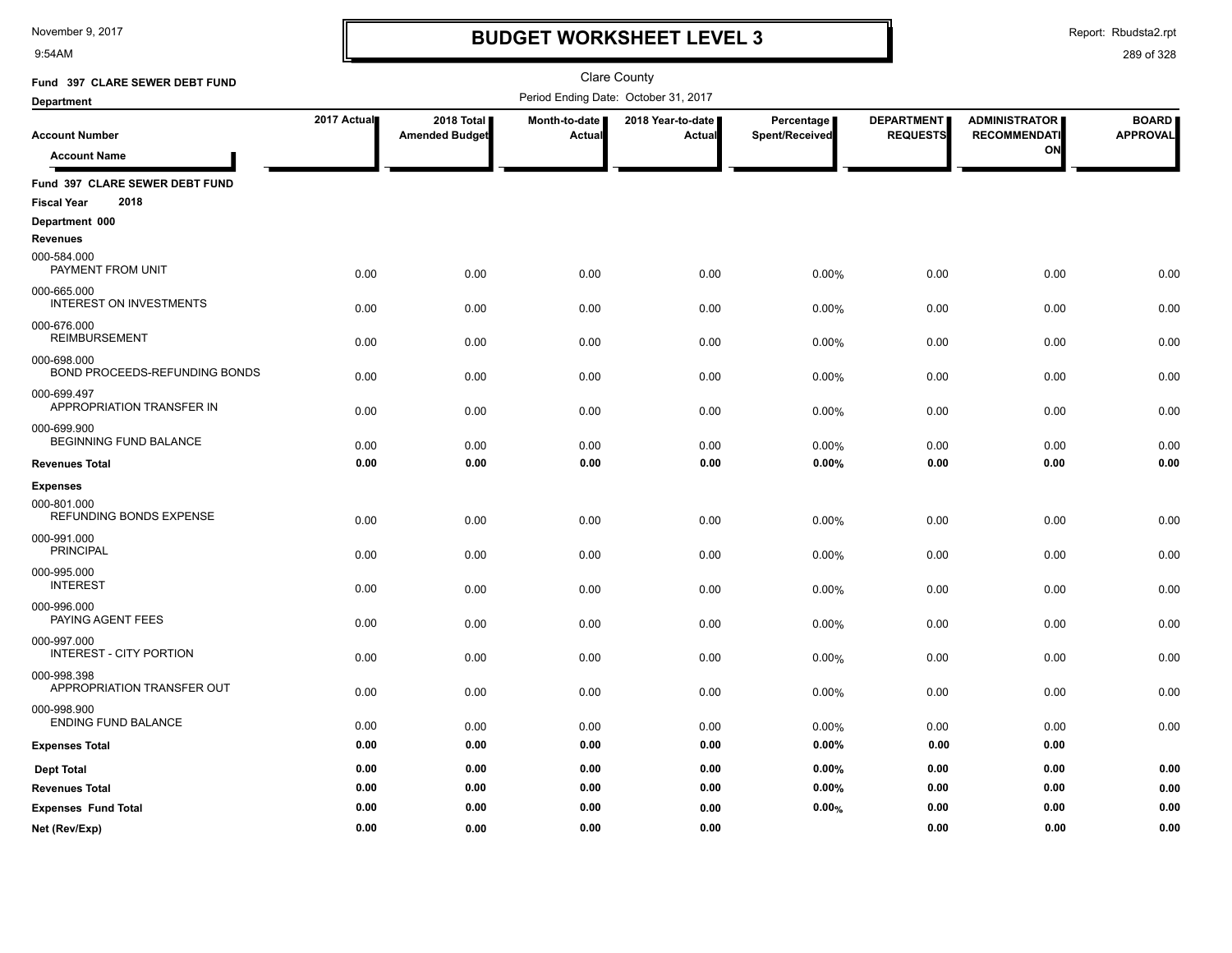9:54AM

### **BUDGET WORKSHEET LEVEL 3**

Report: Rbudsta2.rpt

| Fund 397 CLARE SEWER DEBT FUND                               |             |                                     |                         | <b>Clare County</b>                  |                              |                                      |                                             |                                 |
|--------------------------------------------------------------|-------------|-------------------------------------|-------------------------|--------------------------------------|------------------------------|--------------------------------------|---------------------------------------------|---------------------------------|
| Department                                                   |             |                                     |                         | Period Ending Date: October 31, 2017 |                              |                                      |                                             |                                 |
| <b>Account Number</b>                                        | 2017 Actual | 2018 Total<br><b>Amended Budget</b> | Month-to-date<br>Actual | 2018 Year-to-date<br><b>Actual</b>   | Percentage<br>Spent/Received | <b>DEPARTMENT</b><br><b>REQUESTS</b> | <b>ADMINISTRATOR</b><br><b>RECOMMENDATI</b> | <b>BOARD</b><br><b>APPROVAL</b> |
| <b>Account Name</b>                                          |             |                                     |                         |                                      |                              |                                      | ON                                          |                                 |
| Fund 397 CLARE SEWER DEBT FUND<br>2018<br><b>Fiscal Year</b> |             |                                     |                         |                                      |                              |                                      |                                             |                                 |
| Department 000                                               |             |                                     |                         |                                      |                              |                                      |                                             |                                 |
| <b>Revenues</b>                                              |             |                                     |                         |                                      |                              |                                      |                                             |                                 |
| 000-584.000<br>PAYMENT FROM UNIT                             | 0.00        | 0.00                                | 0.00                    | 0.00                                 | 0.00%                        | 0.00                                 | 0.00                                        | 0.00                            |
| 000-665.000<br><b>INTEREST ON INVESTMENTS</b>                | 0.00        | 0.00                                | 0.00                    | 0.00                                 | 0.00%                        | 0.00                                 | 0.00                                        | 0.00                            |
| 000-676.000<br><b>REIMBURSEMENT</b>                          | 0.00        | 0.00                                | 0.00                    | 0.00                                 | 0.00%                        | 0.00                                 | 0.00                                        | 0.00                            |
| 000-698.000<br>BOND PROCEEDS-REFUNDING BONDS                 | 0.00        | 0.00                                | 0.00                    | 0.00                                 | 0.00%                        | 0.00                                 | 0.00                                        | 0.00                            |
| 000-699.497<br>APPROPRIATION TRANSFER IN                     | 0.00        | 0.00                                | 0.00                    | 0.00                                 | 0.00%                        | 0.00                                 | 0.00                                        | 0.00                            |
| 000-699.900<br><b>BEGINNING FUND BALANCE</b>                 | 0.00        | 0.00                                | 0.00                    | 0.00                                 | 0.00%                        | 0.00                                 | 0.00                                        | 0.00                            |
| <b>Revenues Total</b>                                        | 0.00        | 0.00                                | 0.00                    | 0.00                                 | 0.00%                        | 0.00                                 | 0.00                                        | 0.00                            |
| <b>Expenses</b>                                              |             |                                     |                         |                                      |                              |                                      |                                             |                                 |
| 000-801.000<br>REFUNDING BONDS EXPENSE                       | 0.00        | 0.00                                | 0.00                    | 0.00                                 | 0.00%                        | 0.00                                 | 0.00                                        | 0.00                            |
| 000-991.000<br><b>PRINCIPAL</b>                              | 0.00        | 0.00                                | 0.00                    | 0.00                                 | 0.00%                        | 0.00                                 | 0.00                                        | 0.00                            |
| 000-995.000<br><b>INTEREST</b>                               | 0.00        | 0.00                                | 0.00                    | 0.00                                 | 0.00%                        | 0.00                                 | 0.00                                        | 0.00                            |
| 000-996.000<br>PAYING AGENT FEES                             | 0.00        | 0.00                                | 0.00                    | 0.00                                 | 0.00%                        | 0.00                                 | 0.00                                        | 0.00                            |
| 000-997.000<br><b>INTEREST - CITY PORTION</b>                | 0.00        | 0.00                                | 0.00                    | 0.00                                 | 0.00%                        | 0.00                                 | 0.00                                        | 0.00                            |
| 000-998.398<br>APPROPRIATION TRANSFER OUT                    | 0.00        | 0.00                                | 0.00                    | 0.00                                 | 0.00%                        | 0.00                                 | 0.00                                        | 0.00                            |
| 000-998.900<br><b>ENDING FUND BALANCE</b>                    | 0.00        | 0.00                                | 0.00                    | 0.00                                 | 0.00%                        | 0.00                                 | 0.00                                        | 0.00                            |
| <b>Expenses Total</b>                                        | 0.00        | 0.00                                | 0.00                    | 0.00                                 | 0.00%                        | 0.00                                 | 0.00                                        |                                 |
| <b>Dept Total</b>                                            | 0.00        | 0.00                                | 0.00                    | 0.00                                 | 0.00%                        | 0.00                                 | 0.00                                        | 0.00                            |
| <b>Revenues Total</b>                                        | 0.00        | 0.00                                | 0.00                    | 0.00                                 | 0.00%                        | 0.00                                 | 0.00                                        | 0.00                            |
| <b>Expenses Fund Total</b>                                   | 0.00        | 0.00                                | 0.00                    | 0.00                                 | 0.00%                        | 0.00                                 | 0.00                                        | 0.00                            |
| Net (Rev/Exp)                                                | 0.00        | 0.00                                | 0.00                    | 0.00                                 |                              | 0.00                                 | 0.00                                        | 0.00                            |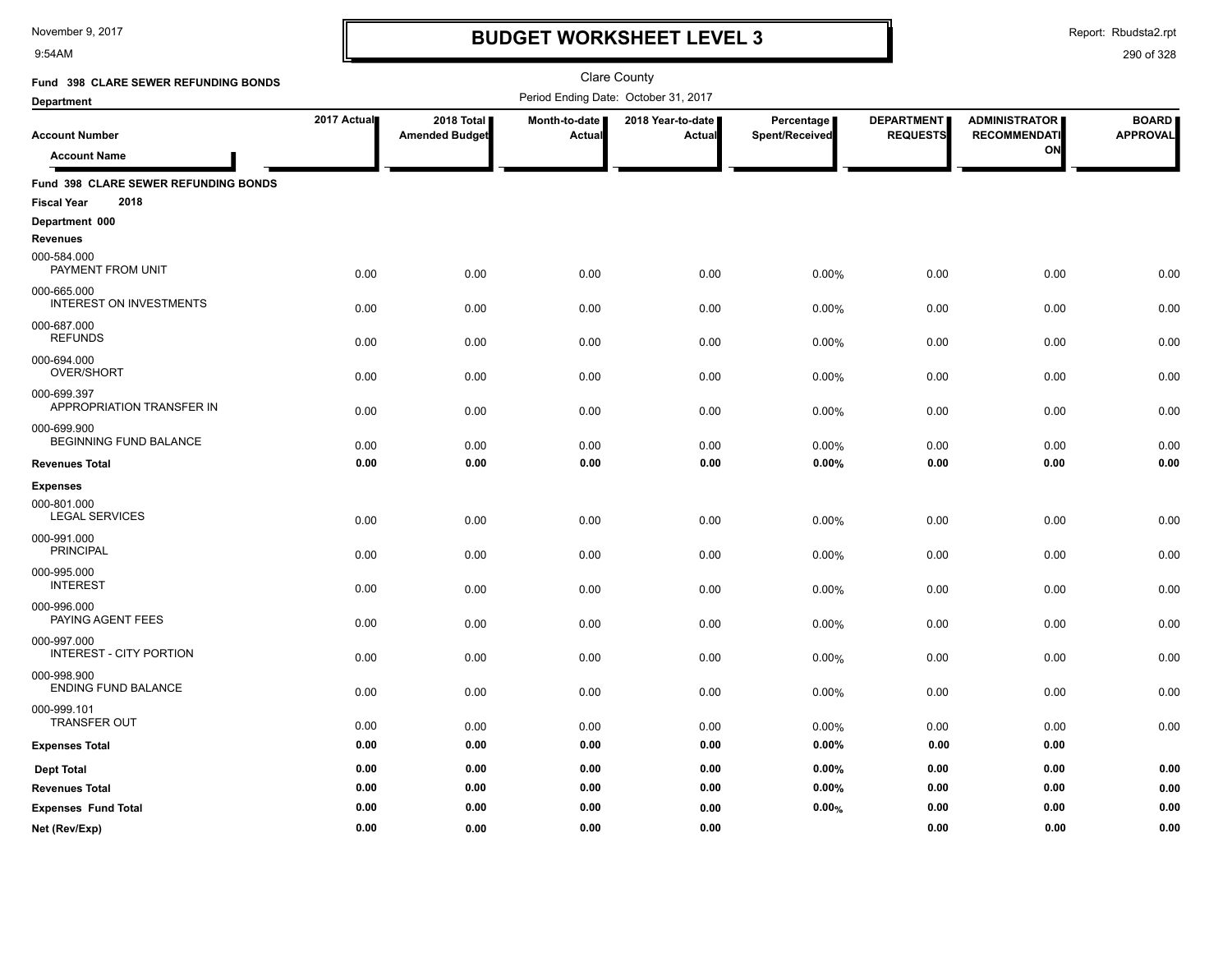9:54AM

### **BUDGET WORKSHEET LEVEL 3**

Report: Rbudsta2.rpt

| Fund 398 CLARE SEWER REFUNDING BONDS                               |             |                                     |                         | <b>Clare County</b>                  |                              |                                      |                                                   |                                 |
|--------------------------------------------------------------------|-------------|-------------------------------------|-------------------------|--------------------------------------|------------------------------|--------------------------------------|---------------------------------------------------|---------------------------------|
| <b>Department</b>                                                  |             |                                     |                         | Period Ending Date: October 31, 2017 |                              |                                      |                                                   |                                 |
| <b>Account Number</b><br><b>Account Name</b>                       | 2017 Actual | 2018 Total<br><b>Amended Budget</b> | Month-to-date<br>Actual | 2018 Year-to-date<br>Actual          | Percentage<br>Spent/Received | <b>DEPARTMENT</b><br><b>REQUESTS</b> | <b>ADMINISTRATOR</b><br><b>RECOMMENDATI</b><br>ON | <b>BOARD</b><br><b>APPROVAL</b> |
| Fund 398 CLARE SEWER REFUNDING BONDS<br>2018<br><b>Fiscal Year</b> |             |                                     |                         |                                      |                              |                                      |                                                   |                                 |
| Department 000<br><b>Revenues</b>                                  |             |                                     |                         |                                      |                              |                                      |                                                   |                                 |
| 000-584.000<br>PAYMENT FROM UNIT                                   | 0.00        | 0.00                                | 0.00                    | 0.00                                 | 0.00%                        | 0.00                                 | 0.00                                              | 0.00                            |
| 000-665.000<br><b>INTEREST ON INVESTMENTS</b>                      | 0.00        | 0.00                                | 0.00                    | 0.00                                 | 0.00%                        | 0.00                                 | 0.00                                              | 0.00                            |
| 000-687.000<br><b>REFUNDS</b>                                      | 0.00        | 0.00                                | 0.00                    | 0.00                                 | 0.00%                        | 0.00                                 | 0.00                                              | 0.00                            |
| 000-694.000<br>OVER/SHORT                                          | 0.00        | 0.00                                | 0.00                    | 0.00                                 | 0.00%                        | 0.00                                 | 0.00                                              | 0.00                            |
| 000-699.397<br>APPROPRIATION TRANSFER IN                           | 0.00        | 0.00                                | 0.00                    | 0.00                                 | 0.00%                        | 0.00                                 | 0.00                                              | 0.00                            |
| 000-699.900<br>BEGINNING FUND BALANCE                              | 0.00        | 0.00                                | 0.00                    | 0.00                                 | 0.00%                        | 0.00                                 | 0.00                                              | 0.00                            |
| <b>Revenues Total</b>                                              | 0.00        | 0.00                                | 0.00                    | 0.00                                 | 0.00%                        | 0.00                                 | 0.00                                              | 0.00                            |
| <b>Expenses</b>                                                    |             |                                     |                         |                                      |                              |                                      |                                                   |                                 |
| 000-801.000<br><b>LEGAL SERVICES</b>                               | 0.00        | 0.00                                | 0.00                    | 0.00                                 | 0.00%                        | 0.00                                 | 0.00                                              | 0.00                            |
| 000-991.000<br><b>PRINCIPAL</b>                                    | 0.00        | 0.00                                | 0.00                    | 0.00                                 | 0.00%                        | 0.00                                 | 0.00                                              | 0.00                            |
| 000-995.000<br><b>INTEREST</b>                                     | 0.00        | 0.00                                | 0.00                    | 0.00                                 | 0.00%                        | 0.00                                 | 0.00                                              | 0.00                            |
| 000-996.000<br>PAYING AGENT FEES                                   | 0.00        | 0.00                                | 0.00                    | 0.00                                 | 0.00%                        | 0.00                                 | 0.00                                              | 0.00                            |
| 000-997.000<br><b>INTEREST - CITY PORTION</b>                      | 0.00        | 0.00                                | 0.00                    | 0.00                                 | 0.00%                        | 0.00                                 | 0.00                                              | 0.00                            |
| 000-998.900<br>ENDING FUND BALANCE                                 | 0.00        | 0.00                                | 0.00                    | 0.00                                 | 0.00%                        | 0.00                                 | 0.00                                              | 0.00                            |
| 000-999.101<br><b>TRANSFER OUT</b>                                 | 0.00        | 0.00                                | 0.00                    | 0.00                                 | 0.00%                        | 0.00                                 | 0.00                                              | 0.00                            |
| <b>Expenses Total</b>                                              | 0.00        | 0.00                                | 0.00                    | 0.00                                 | 0.00%                        | $0.00\,$                             | 0.00                                              |                                 |
| <b>Dept Total</b>                                                  | 0.00        | 0.00                                | 0.00                    | 0.00                                 | 0.00%                        | 0.00                                 | 0.00                                              | 0.00                            |
| <b>Revenues Total</b>                                              | 0.00        | 0.00                                | 0.00                    | 0.00                                 | 0.00%                        | 0.00                                 | 0.00                                              | 0.00                            |
| <b>Expenses Fund Total</b>                                         | 0.00        | 0.00                                | 0.00                    | 0.00                                 | 0.00%                        | 0.00                                 | 0.00                                              | 0.00                            |
| Net (Rev/Exp)                                                      | 0.00        | 0.00                                | 0.00                    | 0.00                                 |                              | 0.00                                 | 0.00                                              | 0.00                            |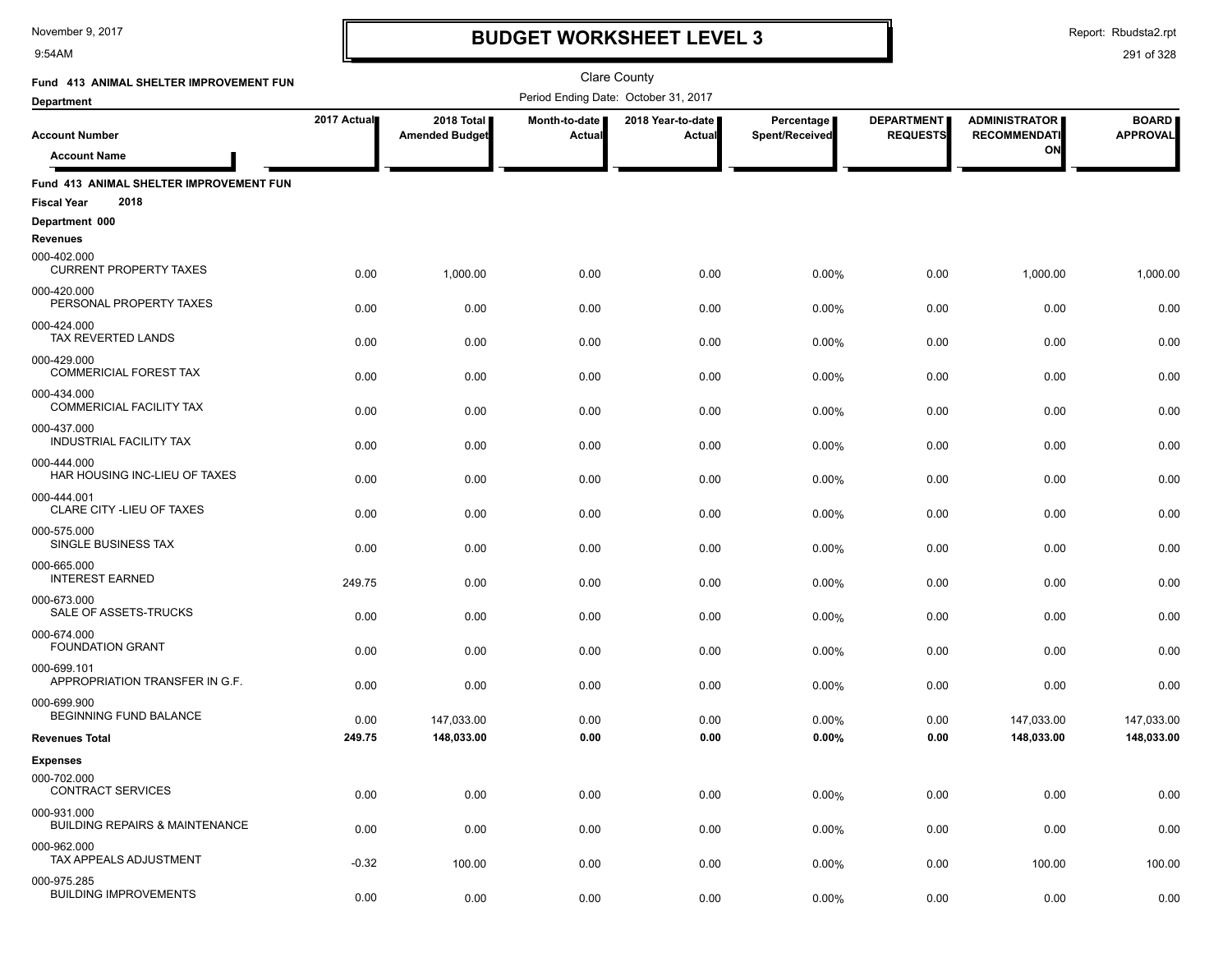9:54AM

### **BUDGET WORKSHEET LEVEL 3**

Clare County

Report: Rbudsta2.rpt

| Fund 413 ANIMAL SHELTER IMPROVEMENT FUN                               |             |                                     |                         | <b>Clare County</b>                  |                              |                                      |                                             |                                 |
|-----------------------------------------------------------------------|-------------|-------------------------------------|-------------------------|--------------------------------------|------------------------------|--------------------------------------|---------------------------------------------|---------------------------------|
| <b>Department</b>                                                     |             |                                     |                         | Period Ending Date: October 31, 2017 |                              |                                      |                                             |                                 |
| <b>Account Number</b>                                                 | 2017 Actual | 2018 Total<br><b>Amended Budget</b> | Month-to-date<br>Actual | 2018 Year-to-date<br>Actual          | Percentage<br>Spent/Received | <b>DEPARTMENT</b><br><b>REQUESTS</b> | <b>ADMINISTRATOR</b><br><b>RECOMMENDATI</b> | <b>BOARD</b><br><b>APPROVAL</b> |
| <b>Account Name</b>                                                   |             |                                     |                         |                                      |                              |                                      | ON                                          |                                 |
| Fund 413 ANIMAL SHELTER IMPROVEMENT FUN<br>2018<br><b>Fiscal Year</b> |             |                                     |                         |                                      |                              |                                      |                                             |                                 |
| Department 000<br><b>Revenues</b>                                     |             |                                     |                         |                                      |                              |                                      |                                             |                                 |
| 000-402.000<br><b>CURRENT PROPERTY TAXES</b>                          | 0.00        | 1,000.00                            | 0.00                    | 0.00                                 | 0.00%                        | 0.00                                 | 1,000.00                                    | 1,000.00                        |
| 000-420.000<br>PERSONAL PROPERTY TAXES                                | 0.00        | 0.00                                | 0.00                    | 0.00                                 | 0.00%                        | 0.00                                 | 0.00                                        | 0.00                            |
| 000-424.000<br>TAX REVERTED LANDS                                     | 0.00        | 0.00                                | 0.00                    | 0.00                                 | 0.00%                        | 0.00                                 | 0.00                                        | 0.00                            |
| 000-429.000<br><b>COMMERICIAL FOREST TAX</b>                          | 0.00        | 0.00                                | 0.00                    | 0.00                                 | 0.00%                        | 0.00                                 | 0.00                                        | 0.00                            |
| 000-434.000<br><b>COMMERICIAL FACILITY TAX</b>                        | 0.00        | 0.00                                | 0.00                    | 0.00                                 | 0.00%                        | 0.00                                 | 0.00                                        | 0.00                            |
| 000-437.000<br><b>INDUSTRIAL FACILITY TAX</b>                         | 0.00        | 0.00                                | 0.00                    | 0.00                                 | 0.00%                        | 0.00                                 | 0.00                                        | 0.00                            |
| 000-444.000<br>HAR HOUSING INC-LIEU OF TAXES                          | 0.00        | 0.00                                | 0.00                    | 0.00                                 | 0.00%                        | 0.00                                 | 0.00                                        | 0.00                            |
| 000-444.001<br>CLARE CITY - LIEU OF TAXES                             | 0.00        | 0.00                                | 0.00                    | 0.00                                 | 0.00%                        | 0.00                                 | 0.00                                        | 0.00                            |
| 000-575.000<br>SINGLE BUSINESS TAX                                    | 0.00        | 0.00                                | 0.00                    | 0.00                                 | 0.00%                        | 0.00                                 | 0.00                                        | 0.00                            |
| 000-665.000<br><b>INTEREST EARNED</b>                                 | 249.75      | 0.00                                | 0.00                    | 0.00                                 | 0.00%                        | 0.00                                 | 0.00                                        | 0.00                            |
| 000-673.000<br>SALE OF ASSETS-TRUCKS                                  | 0.00        | 0.00                                | 0.00                    | 0.00                                 | 0.00%                        | 0.00                                 | 0.00                                        | 0.00                            |
| 000-674.000<br><b>FOUNDATION GRANT</b>                                | 0.00        | 0.00                                | 0.00                    | 0.00                                 | 0.00%                        | 0.00                                 | 0.00                                        | 0.00                            |
| 000-699.101<br>APPROPRIATION TRANSFER IN G.F.                         | 0.00        | 0.00                                | 0.00                    | 0.00                                 | 0.00%                        | 0.00                                 | 0.00                                        | 0.00                            |
| 000-699.900<br><b>BEGINNING FUND BALANCE</b>                          | 0.00        | 147,033.00                          | 0.00                    | 0.00                                 | 0.00%                        | 0.00                                 | 147,033.00                                  | 147,033.00                      |
| <b>Revenues Total</b>                                                 | 249.75      | 148,033.00                          | 0.00                    | 0.00                                 | 0.00%                        | 0.00                                 | 148,033.00                                  | 148,033.00                      |
| <b>Expenses</b><br>000-702.000<br><b>CONTRACT SERVICES</b>            | 0.00        | 0.00                                | 0.00                    | 0.00                                 | 0.00%                        | 0.00                                 | 0.00                                        | 0.00                            |
| 000-931.000<br><b>BUILDING REPAIRS &amp; MAINTENANCE</b>              | 0.00        | 0.00                                | 0.00                    | 0.00                                 | 0.00%                        | 0.00                                 | 0.00                                        | 0.00                            |
| 000-962.000<br>TAX APPEALS ADJUSTMENT                                 | $-0.32$     | 100.00                              | 0.00                    | 0.00                                 | 0.00%                        | 0.00                                 | 100.00                                      | 100.00                          |
| 000-975.285<br><b>BUILDING IMPROVEMENTS</b>                           | 0.00        | 0.00                                | 0.00                    | 0.00                                 | 0.00%                        | 0.00                                 | 0.00                                        | 0.00                            |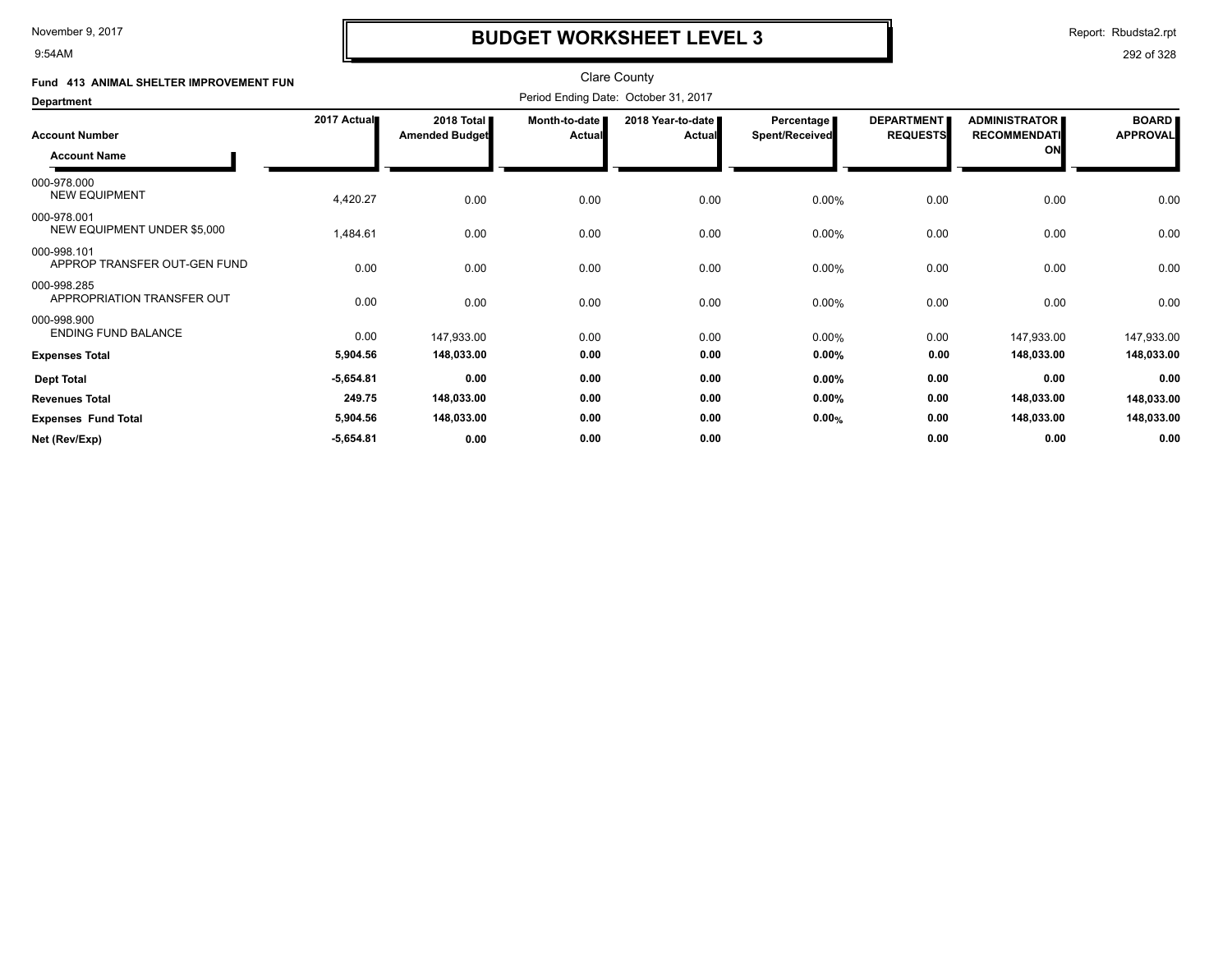9:54AM

### **BUDGET WORKSHEET LEVEL 3**

Report: Rbudsta2.rpt

| Fund 413 ANIMAL SHELTER IMPROVEMENT FUN     |             |                                              |                           | <b>Clare County</b>           |                                     |                                      |                                             |                                 |
|---------------------------------------------|-------------|----------------------------------------------|---------------------------|-------------------------------|-------------------------------------|--------------------------------------|---------------------------------------------|---------------------------------|
| <b>Department</b>                           |             |                                              |                           |                               |                                     |                                      |                                             |                                 |
| <b>Account Number</b>                       | 2017 Actual | 2018 Total <b>I</b><br><b>Amended Budget</b> | Month-to-date  <br>Actual | 2018 Year-to-date ■<br>Actual | <b>Percentage</b><br>Spent/Received | <b>DEPARTMENT</b><br><b>REQUESTS</b> | <b>ADMINISTRATOR</b><br><b>RECOMMENDATI</b> | <b>BOARD</b><br><b>APPROVAL</b> |
| <b>Account Name</b>                         |             |                                              |                           |                               |                                     |                                      | ON                                          |                                 |
| 000-978.000<br><b>NEW EQUIPMENT</b>         | 4,420.27    | 0.00                                         | 0.00                      | 0.00                          | 0.00%                               | 0.00                                 | 0.00                                        | 0.00                            |
| 000-978.001<br>NEW EQUIPMENT UNDER \$5,000  | 1,484.61    | 0.00                                         | 0.00                      | 0.00                          | 0.00%                               | 0.00                                 | 0.00                                        | 0.00                            |
| 000-998.101<br>APPROP TRANSFER OUT-GEN FUND | 0.00        | 0.00                                         | 0.00                      | 0.00                          | $0.00\%$                            | 0.00                                 | 0.00                                        | 0.00                            |
| 000-998.285<br>APPROPRIATION TRANSFER OUT   | 0.00        | 0.00                                         | 0.00                      | 0.00                          | 0.00%                               | 0.00                                 | 0.00                                        | 0.00                            |
| 000-998.900<br><b>ENDING FUND BALANCE</b>   | 0.00        | 147,933.00                                   | 0.00                      | 0.00                          | 0.00%                               | 0.00                                 | 147,933.00                                  | 147,933.00                      |
| <b>Expenses Total</b>                       | 5,904.56    | 148,033.00                                   | 0.00                      | 0.00                          | $0.00\%$                            | 0.00                                 | 148,033.00                                  | 148,033.00                      |
| <b>Dept Total</b>                           | $-5,654.81$ | 0.00                                         | 0.00                      | 0.00                          | 0.00%                               | 0.00                                 | 0.00                                        | 0.00                            |
| <b>Revenues Total</b>                       | 249.75      | 148,033.00                                   | 0.00                      | 0.00                          | $0.00\%$                            | 0.00                                 | 148,033.00                                  | 148,033.00                      |
| <b>Expenses Fund Total</b>                  | 5,904.56    | 148,033.00                                   | 0.00                      | 0.00                          | 0.00%                               | 0.00                                 | 148,033.00                                  | 148,033.00                      |
| Net (Rev/Exp)                               | $-5,654.81$ | 0.00                                         | 0.00                      | 0.00                          |                                     | 0.00                                 | 0.00                                        | 0.00                            |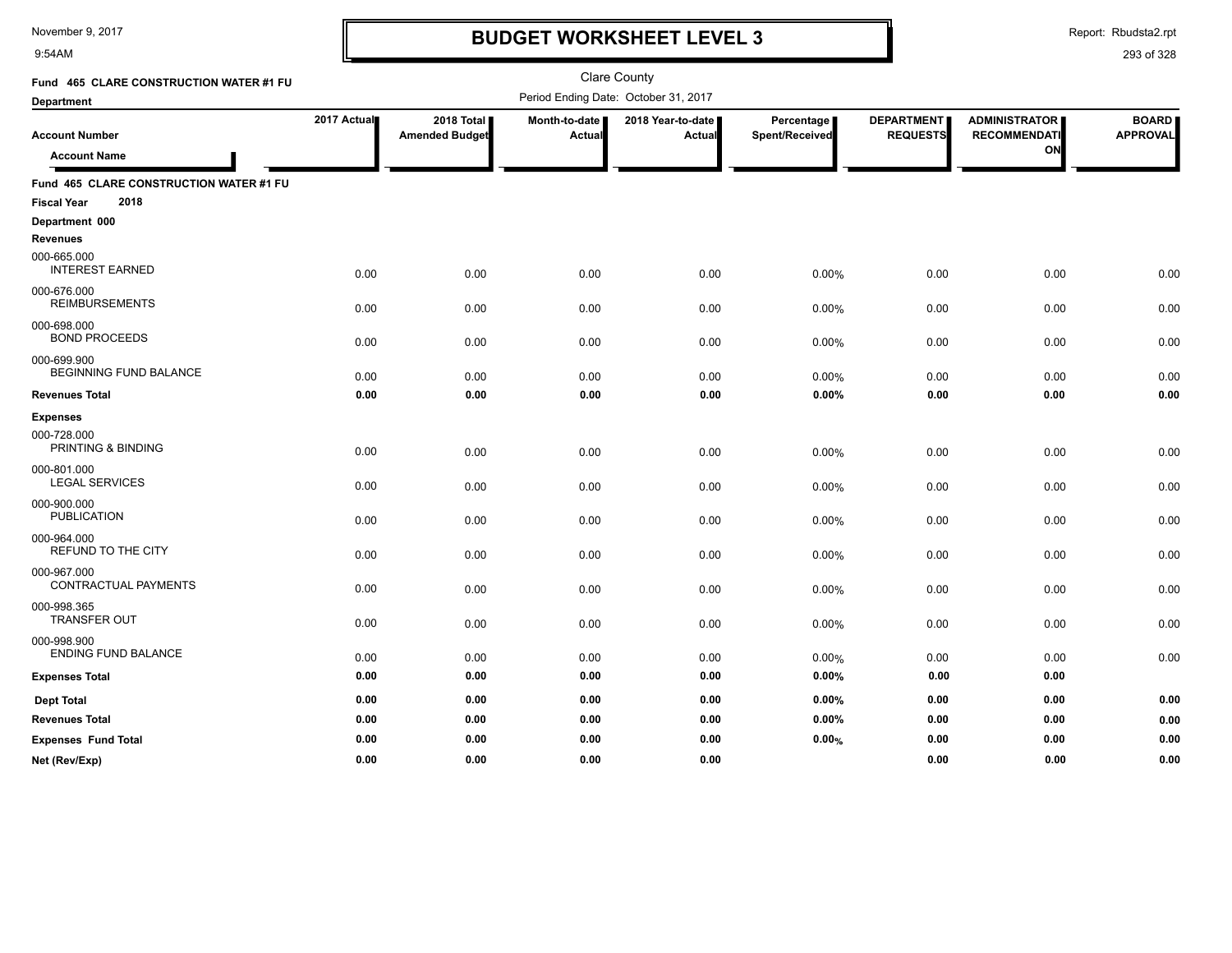9:54AM

### **BUDGET WORKSHEET LEVEL 3**

Report: Rbudsta2.rpt

| Fund 465 CLARE CONSTRUCTION WATER #1 FU      |             |                                     |                         | Clare County                         |                              |                                      |                                                   |                                 |
|----------------------------------------------|-------------|-------------------------------------|-------------------------|--------------------------------------|------------------------------|--------------------------------------|---------------------------------------------------|---------------------------------|
| <b>Department</b>                            |             |                                     |                         | Period Ending Date: October 31, 2017 |                              |                                      |                                                   |                                 |
| <b>Account Number</b><br><b>Account Name</b> | 2017 Actual | 2018 Total<br><b>Amended Budget</b> | Month-to-date<br>Actual | 2018 Year-to-date<br><b>Actual</b>   | Percentage<br>Spent/Received | <b>DEPARTMENT</b><br><b>REQUESTS</b> | <b>ADMINISTRATOR</b><br><b>RECOMMENDATI</b><br>ON | <b>BOARD</b><br><b>APPROVAL</b> |
| Fund 465 CLARE CONSTRUCTION WATER #1 FU      |             |                                     |                         |                                      |                              |                                      |                                                   |                                 |
| 2018<br><b>Fiscal Year</b>                   |             |                                     |                         |                                      |                              |                                      |                                                   |                                 |
| Department 000<br><b>Revenues</b>            |             |                                     |                         |                                      |                              |                                      |                                                   |                                 |
| 000-665.000<br><b>INTEREST EARNED</b>        | 0.00        | 0.00                                | 0.00                    | 0.00                                 | 0.00%                        | 0.00                                 | 0.00                                              | 0.00                            |
| 000-676.000<br><b>REIMBURSEMENTS</b>         | 0.00        | 0.00                                | 0.00                    | 0.00                                 | 0.00%                        | 0.00                                 | 0.00                                              | 0.00                            |
| 000-698.000<br><b>BOND PROCEEDS</b>          | 0.00        | 0.00                                | 0.00                    | 0.00                                 | 0.00%                        | 0.00                                 | 0.00                                              | 0.00                            |
| 000-699.900<br><b>BEGINNING FUND BALANCE</b> | 0.00        | 0.00                                | 0.00                    | 0.00                                 | 0.00%                        | 0.00                                 | 0.00                                              | 0.00                            |
| <b>Revenues Total</b>                        | 0.00        | 0.00                                | 0.00                    | 0.00                                 | 0.00%                        | 0.00                                 | 0.00                                              | 0.00                            |
| <b>Expenses</b>                              |             |                                     |                         |                                      |                              |                                      |                                                   |                                 |
| 000-728.000<br>PRINTING & BINDING            | 0.00        | 0.00                                | 0.00                    | 0.00                                 | 0.00%                        | 0.00                                 | 0.00                                              | 0.00                            |
| 000-801.000<br><b>LEGAL SERVICES</b>         | 0.00        | 0.00                                | 0.00                    | 0.00                                 | 0.00%                        | 0.00                                 | 0.00                                              | 0.00                            |
| 000-900.000<br><b>PUBLICATION</b>            | 0.00        | 0.00                                | 0.00                    | 0.00                                 | 0.00%                        | 0.00                                 | 0.00                                              | 0.00                            |
| 000-964.000<br>REFUND TO THE CITY            | 0.00        | 0.00                                | 0.00                    | 0.00                                 | 0.00%                        | 0.00                                 | 0.00                                              | 0.00                            |
| 000-967.000<br>CONTRACTUAL PAYMENTS          | 0.00        | 0.00                                | 0.00                    | 0.00                                 | 0.00%                        | 0.00                                 | 0.00                                              | 0.00                            |
| 000-998.365<br><b>TRANSFER OUT</b>           | 0.00        | 0.00                                | 0.00                    | 0.00                                 | 0.00%                        | 0.00                                 | 0.00                                              | 0.00                            |
| 000-998.900<br><b>ENDING FUND BALANCE</b>    | 0.00        | 0.00                                | 0.00                    | 0.00                                 | 0.00%                        | 0.00                                 | 0.00                                              | 0.00                            |
| <b>Expenses Total</b>                        | 0.00        | 0.00                                | 0.00                    | 0.00                                 | 0.00%                        | 0.00                                 | 0.00                                              |                                 |
| <b>Dept Total</b>                            | 0.00        | 0.00                                | 0.00                    | 0.00                                 | 0.00%                        | 0.00                                 | 0.00                                              | 0.00                            |
| <b>Revenues Total</b>                        | 0.00        | 0.00                                | 0.00                    | 0.00                                 | 0.00%                        | 0.00                                 | 0.00                                              | 0.00                            |
| <b>Expenses Fund Total</b>                   | 0.00        | 0.00                                | 0.00                    | 0.00                                 | 0.00%                        | 0.00                                 | 0.00                                              | 0.00                            |
| Net (Rev/Exp)                                | 0.00        | 0.00                                | 0.00                    | 0.00                                 |                              | 0.00                                 | 0.00                                              | 0.00                            |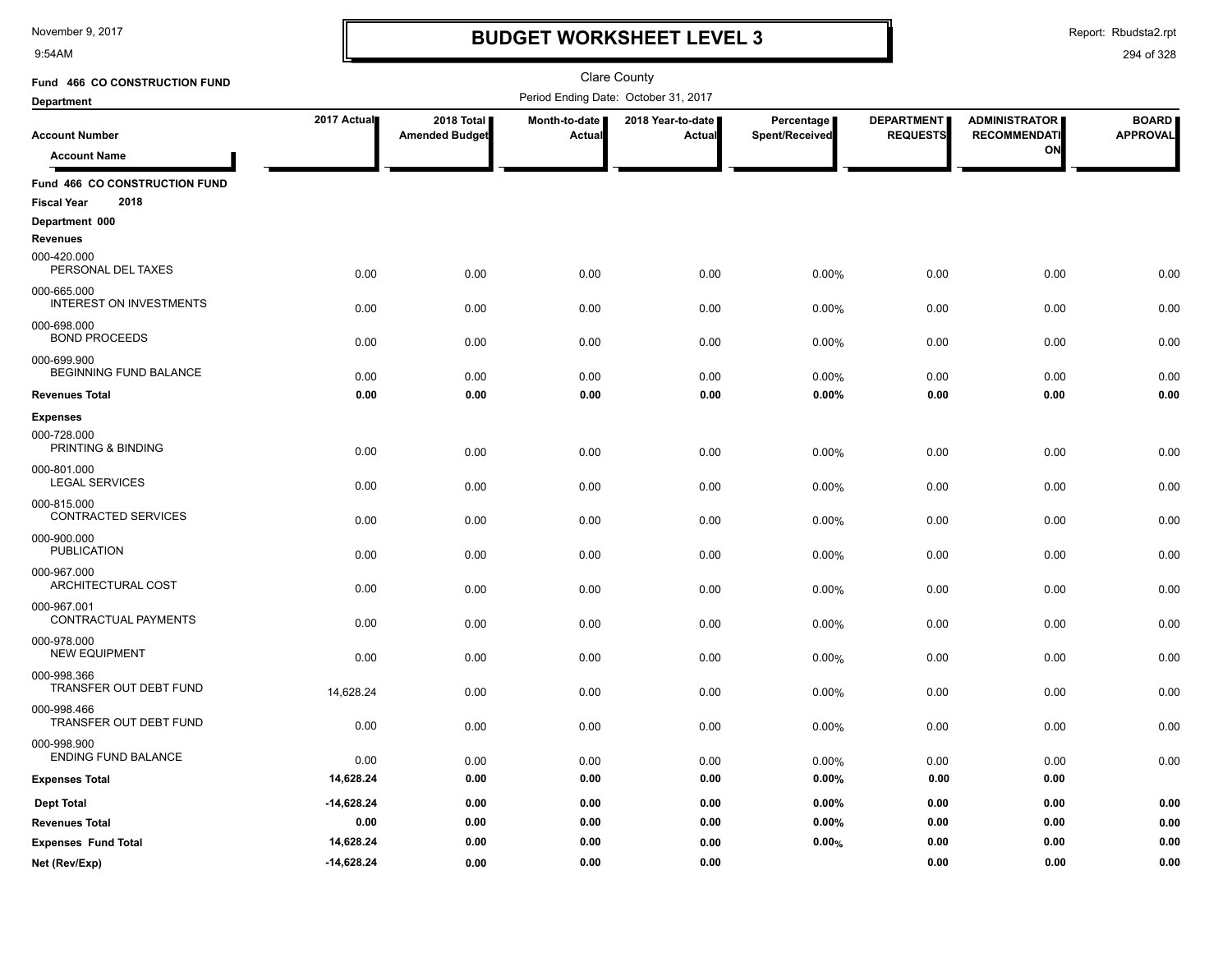9:54AM

### **BUDGET WORKSHEET LEVEL 3**

Report: Rbudsta2.rpt

| Fund 466 CO CONSTRUCTION FUND                 |              |                                     |                           | Clare County                         |                              |                                      |                                             |                                 |
|-----------------------------------------------|--------------|-------------------------------------|---------------------------|--------------------------------------|------------------------------|--------------------------------------|---------------------------------------------|---------------------------------|
| <b>Department</b>                             |              |                                     |                           | Period Ending Date: October 31, 2017 |                              |                                      |                                             |                                 |
| <b>Account Number</b>                         | 2017 Actual  | 2018 Total<br><b>Amended Budget</b> | Month-to-date  <br>Actual | 2018 Year-to-date<br>Actual          | Percentage<br>Spent/Received | <b>DEPARTMENT</b><br><b>REQUESTS</b> | <b>ADMINISTRATOR</b><br><b>RECOMMENDATI</b> | <b>BOARD</b><br><b>APPROVAL</b> |
| <b>Account Name</b>                           |              |                                     |                           |                                      |                              |                                      | ON                                          |                                 |
| Fund 466 CO CONSTRUCTION FUND                 |              |                                     |                           |                                      |                              |                                      |                                             |                                 |
| 2018<br><b>Fiscal Year</b>                    |              |                                     |                           |                                      |                              |                                      |                                             |                                 |
| Department 000                                |              |                                     |                           |                                      |                              |                                      |                                             |                                 |
| <b>Revenues</b>                               |              |                                     |                           |                                      |                              |                                      |                                             |                                 |
| 000-420.000<br>PERSONAL DEL TAXES             | 0.00         | 0.00                                | 0.00                      | 0.00                                 | 0.00%                        | 0.00                                 | 0.00                                        | 0.00                            |
| 000-665.000<br><b>INTEREST ON INVESTMENTS</b> | 0.00         | 0.00                                | 0.00                      | 0.00                                 | 0.00%                        | 0.00                                 | 0.00                                        | 0.00                            |
| 000-698.000<br><b>BOND PROCEEDS</b>           | 0.00         | 0.00                                | 0.00                      | 0.00                                 | 0.00%                        | 0.00                                 | 0.00                                        | 0.00                            |
| 000-699.900<br>BEGINNING FUND BALANCE         | 0.00         | 0.00                                | 0.00                      | 0.00                                 | 0.00%                        | 0.00                                 | 0.00                                        | 0.00                            |
| <b>Revenues Total</b>                         | 0.00         | 0.00                                | 0.00                      | 0.00                                 | 0.00%                        | 0.00                                 | 0.00                                        | 0.00                            |
| <b>Expenses</b>                               |              |                                     |                           |                                      |                              |                                      |                                             |                                 |
| 000-728.000<br>PRINTING & BINDING             | 0.00         | 0.00                                | 0.00                      | 0.00                                 | 0.00%                        | 0.00                                 | 0.00                                        | 0.00                            |
| 000-801.000<br><b>LEGAL SERVICES</b>          | 0.00         | 0.00                                | 0.00                      | 0.00                                 | 0.00%                        | 0.00                                 | 0.00                                        | 0.00                            |
| 000-815.000<br><b>CONTRACTED SERVICES</b>     | 0.00         | 0.00                                | 0.00                      | 0.00                                 | 0.00%                        | 0.00                                 | 0.00                                        | 0.00                            |
| 000-900.000<br><b>PUBLICATION</b>             | 0.00         | 0.00                                | 0.00                      | 0.00                                 | 0.00%                        | 0.00                                 | 0.00                                        | 0.00                            |
| 000-967.000<br>ARCHITECTURAL COST             | 0.00         | 0.00                                | 0.00                      | 0.00                                 | 0.00%                        | 0.00                                 | 0.00                                        | 0.00                            |
| 000-967.001<br>CONTRACTUAL PAYMENTS           | 0.00         | 0.00                                | 0.00                      | 0.00                                 | 0.00%                        | 0.00                                 | 0.00                                        | 0.00                            |
| 000-978.000<br><b>NEW EQUIPMENT</b>           | 0.00         | 0.00                                | 0.00                      | 0.00                                 | 0.00%                        | 0.00                                 | 0.00                                        | 0.00                            |
| 000-998.366<br>TRANSFER OUT DEBT FUND         | 14,628.24    | 0.00                                | 0.00                      | 0.00                                 | 0.00%                        | 0.00                                 | 0.00                                        | 0.00                            |
| 000-998.466<br>TRANSFER OUT DEBT FUND         | 0.00         | 0.00                                | 0.00                      | 0.00                                 | 0.00%                        | 0.00                                 | 0.00                                        | 0.00                            |
| 000-998.900<br><b>ENDING FUND BALANCE</b>     | 0.00         | 0.00                                | 0.00                      | 0.00                                 | 0.00%                        | 0.00                                 | 0.00                                        | 0.00                            |
| <b>Expenses Total</b>                         | 14,628.24    | 0.00                                | 0.00                      | 0.00                                 | 0.00%                        | 0.00                                 | 0.00                                        |                                 |
| <b>Dept Total</b>                             | $-14,628.24$ | 0.00                                | 0.00                      | 0.00                                 | 0.00%                        | 0.00                                 | 0.00                                        | 0.00                            |
| <b>Revenues Total</b>                         | 0.00         | 0.00                                | 0.00                      | 0.00                                 | 0.00%                        | 0.00                                 | 0.00                                        | 0.00                            |
| <b>Expenses Fund Total</b>                    | 14,628.24    | 0.00                                | 0.00                      | 0.00                                 | 0.00%                        | 0.00                                 | 0.00                                        | 0.00                            |
| Net (Rev/Exp)                                 | $-14,628.24$ | 0.00                                | 0.00                      | 0.00                                 |                              | 0.00                                 | 0.00                                        | 0.00                            |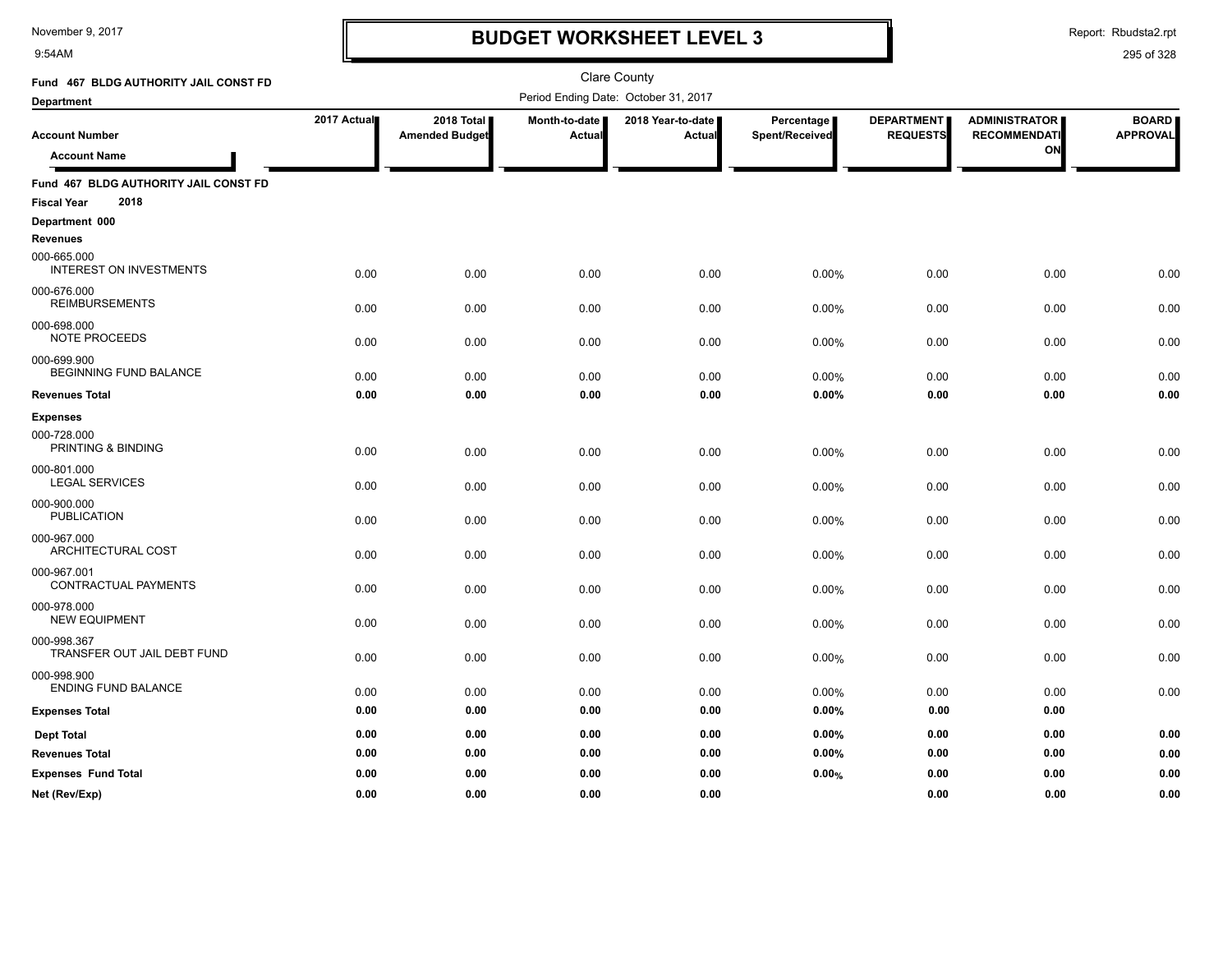9:54AM

### **BUDGET WORKSHEET LEVEL 3**

Report: Rbudsta2.rpt

| Fund 467 BLDG AUTHORITY JAIL CONST FD         |             |                                     |                                      | <b>Clare County</b>         |                              |                                      |                                             |                                 |
|-----------------------------------------------|-------------|-------------------------------------|--------------------------------------|-----------------------------|------------------------------|--------------------------------------|---------------------------------------------|---------------------------------|
| Department                                    |             |                                     | Period Ending Date: October 31, 2017 |                             |                              |                                      |                                             |                                 |
| <b>Account Number</b>                         | 2017 Actual | 2018 Total<br><b>Amended Budget</b> | Month-to-date<br>Actual              | 2018 Year-to-date<br>Actual | Percentage<br>Spent/Received | <b>DEPARTMENT</b><br><b>REQUESTS</b> | <b>ADMINISTRATOR</b><br><b>RECOMMENDATI</b> | <b>BOARD</b><br><b>APPROVAL</b> |
| <b>Account Name</b>                           |             |                                     |                                      |                             |                              |                                      | O٨                                          |                                 |
| Fund 467 BLDG AUTHORITY JAIL CONST FD         |             |                                     |                                      |                             |                              |                                      |                                             |                                 |
| 2018<br><b>Fiscal Year</b>                    |             |                                     |                                      |                             |                              |                                      |                                             |                                 |
| Department 000<br><b>Revenues</b>             |             |                                     |                                      |                             |                              |                                      |                                             |                                 |
| 000-665.000<br><b>INTEREST ON INVESTMENTS</b> | 0.00        | 0.00                                | 0.00                                 | 0.00                        | 0.00%                        | 0.00                                 | 0.00                                        | 0.00                            |
| 000-676.000<br><b>REIMBURSEMENTS</b>          | 0.00        | 0.00                                | 0.00                                 | 0.00                        | 0.00%                        | 0.00                                 | 0.00                                        | 0.00                            |
| 000-698.000<br><b>NOTE PROCEEDS</b>           | 0.00        | 0.00                                | 0.00                                 | 0.00                        | 0.00%                        | 0.00                                 | 0.00                                        | 0.00                            |
| 000-699.900<br>BEGINNING FUND BALANCE         | 0.00        | 0.00                                | 0.00                                 | 0.00                        | 0.00%                        | 0.00                                 | 0.00                                        | 0.00                            |
| <b>Revenues Total</b>                         | 0.00        | 0.00                                | 0.00                                 | 0.00                        | 0.00%                        | 0.00                                 | 0.00                                        | 0.00                            |
| <b>Expenses</b>                               |             |                                     |                                      |                             |                              |                                      |                                             |                                 |
| 000-728.000<br>PRINTING & BINDING             | 0.00        | 0.00                                | 0.00                                 | 0.00                        | 0.00%                        | 0.00                                 | 0.00                                        | 0.00                            |
| 000-801.000<br><b>LEGAL SERVICES</b>          | 0.00        | 0.00                                | 0.00                                 | 0.00                        | 0.00%                        | 0.00                                 | 0.00                                        | 0.00                            |
| 000-900.000<br><b>PUBLICATION</b>             | 0.00        | 0.00                                | 0.00                                 | 0.00                        | 0.00%                        | 0.00                                 | 0.00                                        | 0.00                            |
| 000-967.000<br>ARCHITECTURAL COST             | 0.00        | 0.00                                | 0.00                                 | 0.00                        | 0.00%                        | 0.00                                 | 0.00                                        | 0.00                            |
| 000-967.001<br>CONTRACTUAL PAYMENTS           | 0.00        | 0.00                                | 0.00                                 | 0.00                        | 0.00%                        | 0.00                                 | 0.00                                        | 0.00                            |
| 000-978.000<br><b>NEW EQUIPMENT</b>           | 0.00        | 0.00                                | 0.00                                 | 0.00                        | 0.00%                        | 0.00                                 | 0.00                                        | 0.00                            |
| 000-998.367<br>TRANSFER OUT JAIL DEBT FUND    | 0.00        | 0.00                                | 0.00                                 | 0.00                        | 0.00%                        | 0.00                                 | 0.00                                        | 0.00                            |
| 000-998.900<br>ENDING FUND BALANCE            | 0.00        | 0.00                                | 0.00                                 | 0.00                        | 0.00%                        | 0.00                                 | 0.00                                        | 0.00                            |
| <b>Expenses Total</b>                         | 0.00        | 0.00                                | 0.00                                 | 0.00                        | 0.00%                        | 0.00                                 | 0.00                                        |                                 |
| <b>Dept Total</b>                             | 0.00        | 0.00                                | 0.00                                 | 0.00                        | 0.00%                        | 0.00                                 | 0.00                                        | 0.00                            |
| <b>Revenues Total</b>                         | 0.00        | 0.00                                | 0.00                                 | 0.00                        | 0.00%                        | 0.00                                 | 0.00                                        | 0.00                            |
| <b>Expenses Fund Total</b>                    | 0.00        | 0.00                                | 0.00                                 | 0.00                        | 0.00%                        | 0.00                                 | 0.00                                        | 0.00                            |
| Net (Rev/Exp)                                 | 0.00        | 0.00                                | 0.00                                 | 0.00                        |                              | 0.00                                 | 0.00                                        | 0.00                            |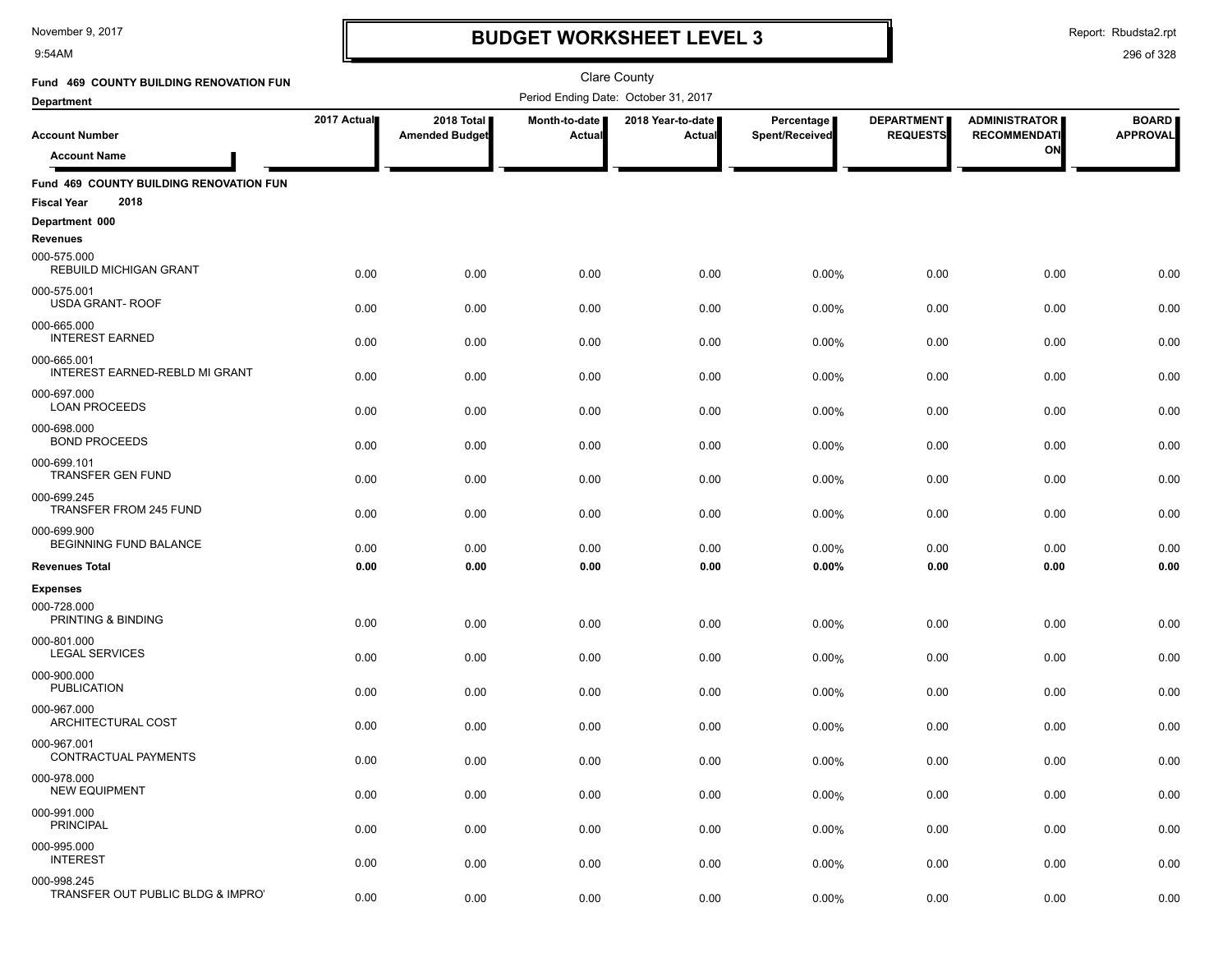9:54AM

### **BUDGET WORKSHEET LEVEL 3**

Report: Rbudsta2.rpt

| Fund 469 COUNTY BUILDING RENOVATION FUN                               |             |                                     |                         | Clare County                         |                              |                                      |                                             |                                 |
|-----------------------------------------------------------------------|-------------|-------------------------------------|-------------------------|--------------------------------------|------------------------------|--------------------------------------|---------------------------------------------|---------------------------------|
| <b>Department</b>                                                     |             |                                     |                         | Period Ending Date: October 31, 2017 |                              |                                      |                                             |                                 |
| <b>Account Number</b>                                                 | 2017 Actual | 2018 Total<br><b>Amended Budget</b> | Month-to-date<br>Actual | 2018 Year-to-date<br>Actual          | Percentage<br>Spent/Received | <b>DEPARTMENT</b><br><b>REQUESTS</b> | <b>ADMINISTRATOR</b><br><b>RECOMMENDATI</b> | <b>BOARD</b><br><b>APPROVAL</b> |
| <b>Account Name</b>                                                   |             |                                     |                         |                                      |                              |                                      | ON                                          |                                 |
| Fund 469 COUNTY BUILDING RENOVATION FUN<br>2018<br><b>Fiscal Year</b> |             |                                     |                         |                                      |                              |                                      |                                             |                                 |
| Department 000                                                        |             |                                     |                         |                                      |                              |                                      |                                             |                                 |
| <b>Revenues</b>                                                       |             |                                     |                         |                                      |                              |                                      |                                             |                                 |
| 000-575.000<br><b>REBUILD MICHIGAN GRANT</b>                          | 0.00        | 0.00                                | 0.00                    | 0.00                                 | 0.00%                        | 0.00                                 | 0.00                                        | 0.00                            |
| 000-575.001<br><b>USDA GRANT- ROOF</b>                                | 0.00        | 0.00                                | 0.00                    | 0.00                                 | 0.00%                        | 0.00                                 | 0.00                                        | 0.00                            |
| 000-665.000<br><b>INTEREST EARNED</b>                                 | 0.00        | 0.00                                | 0.00                    | 0.00                                 | 0.00%                        | 0.00                                 | 0.00                                        | 0.00                            |
| 000-665.001<br>INTEREST EARNED-REBLD MI GRANT                         | 0.00        | 0.00                                | 0.00                    | 0.00                                 | 0.00%                        | 0.00                                 | 0.00                                        | 0.00                            |
| 000-697.000<br><b>LOAN PROCEEDS</b>                                   | 0.00        | 0.00                                | 0.00                    | 0.00                                 | 0.00%                        | 0.00                                 | 0.00                                        | 0.00                            |
| 000-698.000<br><b>BOND PROCEEDS</b>                                   | 0.00        | 0.00                                | 0.00                    | 0.00                                 | 0.00%                        | 0.00                                 | 0.00                                        | 0.00                            |
| 000-699.101<br>TRANSFER GEN FUND                                      | 0.00        | 0.00                                | 0.00                    | 0.00                                 | 0.00%                        | 0.00                                 | 0.00                                        | 0.00                            |
| 000-699.245<br>TRANSFER FROM 245 FUND                                 | 0.00        | 0.00                                | 0.00                    | 0.00                                 | 0.00%                        | 0.00                                 | 0.00                                        | 0.00                            |
| 000-699.900<br><b>BEGINNING FUND BALANCE</b>                          | 0.00        | 0.00                                | 0.00                    | 0.00                                 | 0.00%                        | 0.00                                 | 0.00                                        | 0.00                            |
| <b>Revenues Total</b>                                                 | 0.00        | 0.00                                | 0.00                    | 0.00                                 | 0.00%                        | 0.00                                 | 0.00                                        | 0.00                            |
| <b>Expenses</b>                                                       |             |                                     |                         |                                      |                              |                                      |                                             |                                 |
| 000-728.000<br>PRINTING & BINDING                                     | 0.00        | 0.00                                | 0.00                    | 0.00                                 | 0.00%                        | 0.00                                 | 0.00                                        | 0.00                            |
| 000-801.000<br><b>LEGAL SERVICES</b>                                  | 0.00        | 0.00                                | 0.00                    | 0.00                                 | 0.00%                        | 0.00                                 | 0.00                                        | 0.00                            |
| 000-900.000<br><b>PUBLICATION</b>                                     | 0.00        | 0.00                                | 0.00                    | 0.00                                 | 0.00%                        | 0.00                                 | 0.00                                        | 0.00                            |
| 000-967.000<br>ARCHITECTURAL COST                                     | 0.00        | 0.00                                | 0.00                    | 0.00                                 | 0.00%                        | 0.00                                 | 0.00                                        | 0.00                            |
| 000-967.001<br>CONTRACTUAL PAYMENTS                                   | 0.00        | 0.00                                | 0.00                    | 0.00                                 | 0.00%                        | 0.00                                 | 0.00                                        | 0.00                            |
| 000-978.000<br><b>NEW EQUIPMENT</b>                                   | 0.00        | 0.00                                | 0.00                    | 0.00                                 | 0.00%                        | 0.00                                 | 0.00                                        | 0.00                            |
| 000-991.000<br><b>PRINCIPAL</b>                                       | 0.00        | 0.00                                | 0.00                    | 0.00                                 | 0.00%                        | 0.00                                 | 0.00                                        | 0.00                            |
| 000-995.000<br><b>INTEREST</b>                                        | 0.00        | 0.00                                | 0.00                    | 0.00                                 | 0.00%                        | 0.00                                 | 0.00                                        | 0.00                            |
| 000-998.245<br>TRANSFER OUT PUBLIC BLDG & IMPROT                      | 0.00        | 0.00                                | 0.00                    | 0.00                                 | 0.00%                        | 0.00                                 | 0.00                                        | 0.00                            |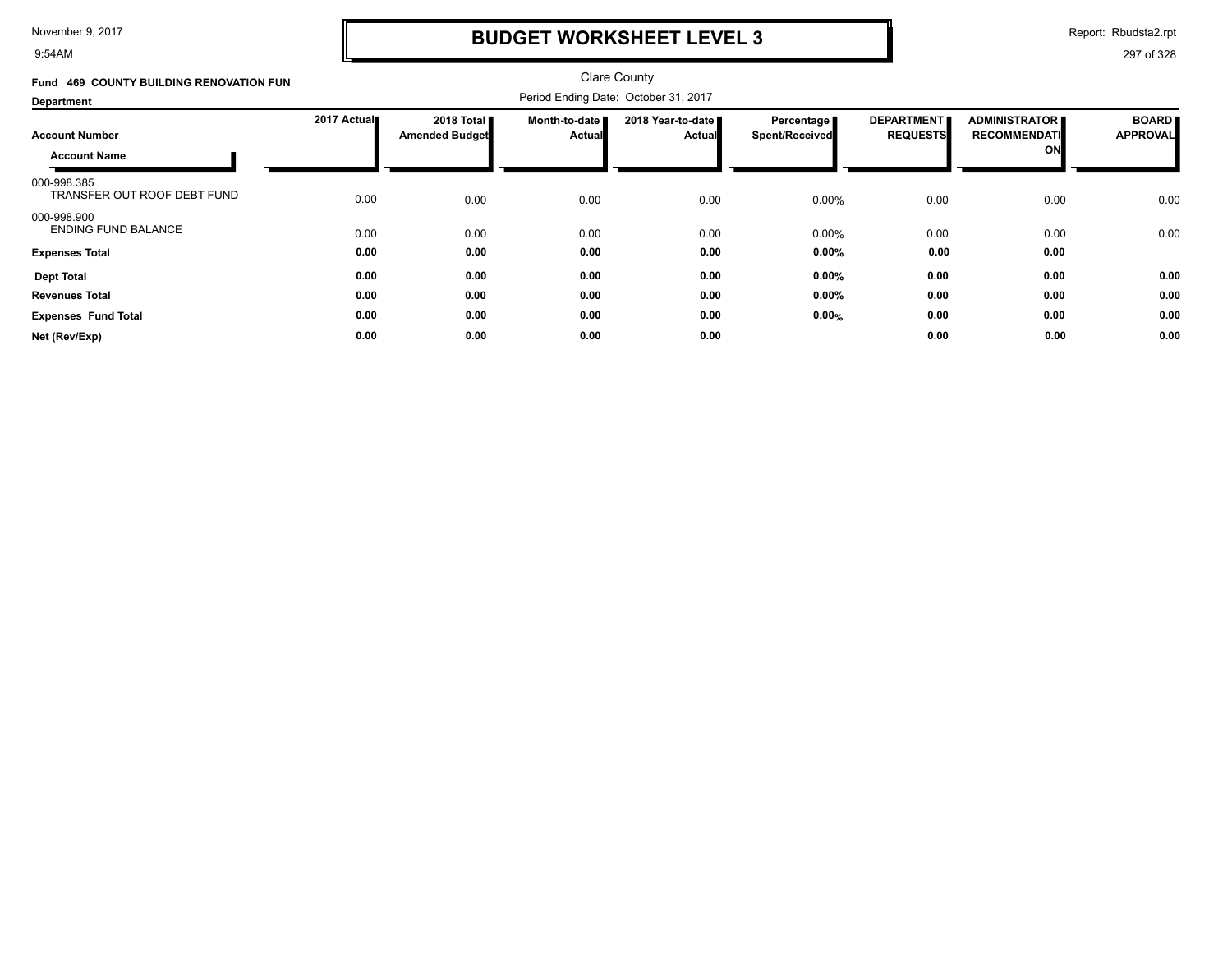9:54AM

### **BUDGET WORKSHEET LEVEL 3**

Report: Rbudsta2.rpt

| Fund 469 COUNTY BUILDING RENOVATION FUN      |             |                                               |                                  | <b>Clare County</b>           |                                     |                                      |                                                   |                                 |
|----------------------------------------------|-------------|-----------------------------------------------|----------------------------------|-------------------------------|-------------------------------------|--------------------------------------|---------------------------------------------------|---------------------------------|
| Department                                   |             |                                               |                                  |                               |                                     |                                      |                                                   |                                 |
| <b>Account Number</b><br><b>Account Name</b> | 2017 Actual | 2018 Total <b>II</b><br><b>Amended Budget</b> | Month-to-date  <br><b>Actual</b> | 2018 Year-to-date ■<br>Actual | Percentage<br><b>Spent/Received</b> | <b>DEPARTMENT</b><br><b>REQUESTS</b> | <b>ADMINISTRATOR</b><br><b>RECOMMENDATI</b><br>ON | <b>BOARD</b><br><b>APPROVAL</b> |
| 000-998.385<br>TRANSFER OUT ROOF DEBT FUND   | 0.00        | 0.00                                          | 0.00                             | 0.00                          | 0.00%                               | 0.00                                 | 0.00                                              | 0.00                            |
| 000-998.900<br><b>ENDING FUND BALANCE</b>    | 0.00        | 0.00                                          | 0.00                             | 0.00                          | 0.00%                               | 0.00                                 | 0.00                                              | 0.00                            |
| <b>Expenses Total</b>                        | 0.00        | 0.00                                          | 0.00                             | 0.00                          | 0.00%                               | 0.00                                 | 0.00                                              |                                 |
| <b>Dept Total</b>                            | 0.00        | 0.00                                          | 0.00                             | 0.00                          | 0.00%                               | 0.00                                 | 0.00                                              | 0.00                            |
| <b>Revenues Total</b>                        | 0.00        | 0.00                                          | 0.00                             | 0.00                          | 0.00%                               | 0.00                                 | 0.00                                              | 0.00                            |
| <b>Expenses Fund Total</b>                   | 0.00        | 0.00                                          | 0.00                             | 0.00                          | 0.00%                               | 0.00                                 | 0.00                                              | 0.00                            |
| Net (Rev/Exp)                                | 0.00        | 0.00                                          | 0.00                             | 0.00                          |                                     | 0.00                                 | 0.00                                              | 0.00                            |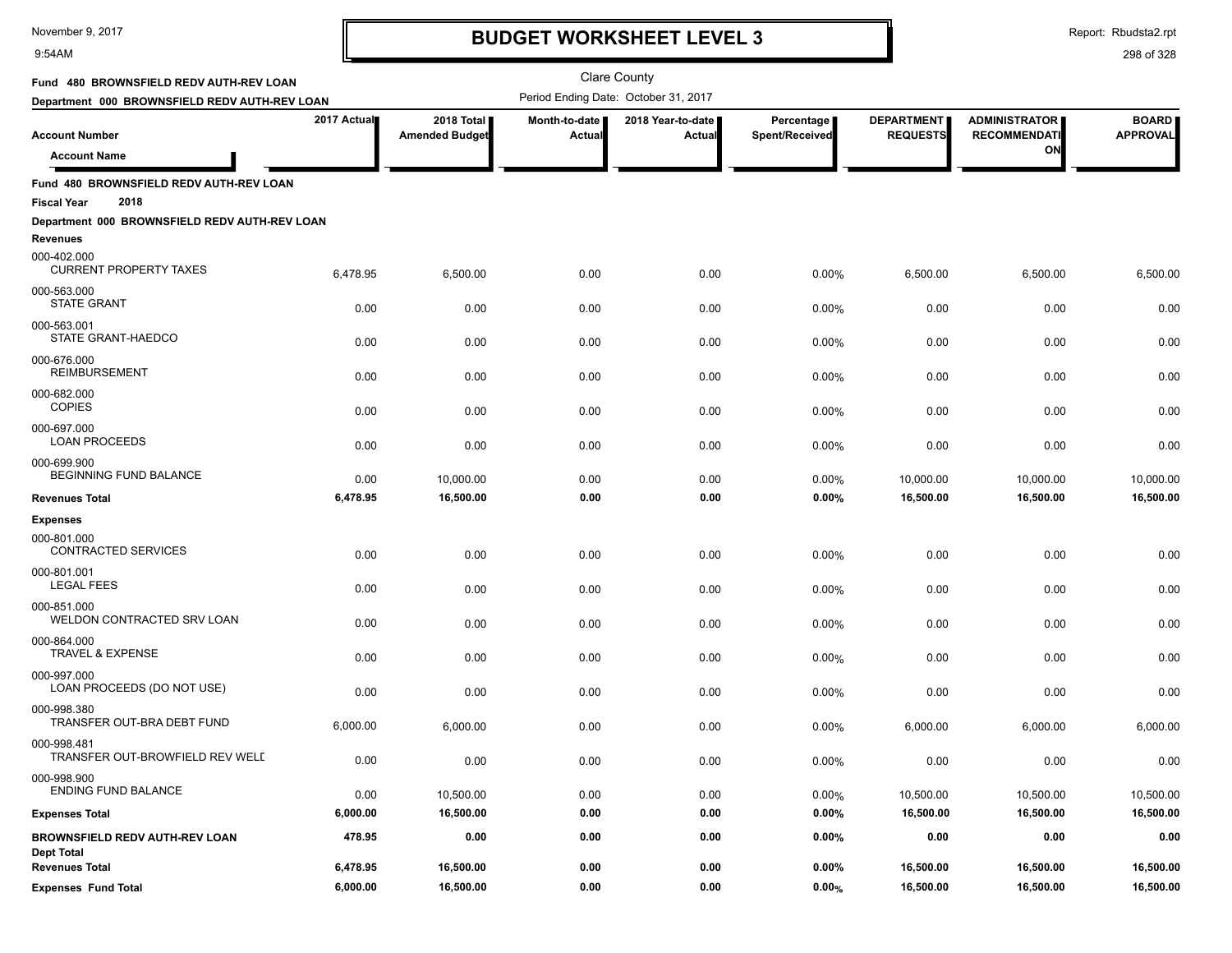#### 9:54AM

### **BUDGET WORKSHEET LEVEL 3**

Clare County

Report: Rbudsta2.rpt

| Fund 480 BROWNSFIELD REDV AUTH-REV LOAN                               |             |                                     |                         | <b>Clare County</b>                  |                              |                                      |                                             |                                 |
|-----------------------------------------------------------------------|-------------|-------------------------------------|-------------------------|--------------------------------------|------------------------------|--------------------------------------|---------------------------------------------|---------------------------------|
| Department 000 BROWNSFIELD REDV AUTH-REV LOAN                         |             |                                     |                         | Period Ending Date: October 31, 2017 |                              |                                      |                                             |                                 |
| <b>Account Number</b>                                                 | 2017 Actual | 2018 Total<br><b>Amended Budget</b> | Month-to-date<br>Actual | 2018 Year-to-date<br><b>Actual</b>   | Percentage<br>Spent/Received | <b>DEPARTMENT</b><br><b>REQUESTS</b> | <b>ADMINISTRATOR</b><br><b>RECOMMENDATI</b> | <b>BOARD</b><br><b>APPROVAL</b> |
| <b>Account Name</b>                                                   |             |                                     |                         |                                      |                              |                                      | ΟN                                          |                                 |
|                                                                       |             |                                     |                         |                                      |                              |                                      |                                             |                                 |
| Fund 480 BROWNSFIELD REDV AUTH-REV LOAN<br>2018<br><b>Fiscal Year</b> |             |                                     |                         |                                      |                              |                                      |                                             |                                 |
| Department 000 BROWNSFIELD REDV AUTH-REV LOAN                         |             |                                     |                         |                                      |                              |                                      |                                             |                                 |
| Revenues                                                              |             |                                     |                         |                                      |                              |                                      |                                             |                                 |
| 000-402.000<br><b>CURRENT PROPERTY TAXES</b>                          | 6,478.95    | 6,500.00                            | 0.00                    | 0.00                                 | 0.00%                        | 6,500.00                             | 6,500.00                                    | 6,500.00                        |
| 000-563.000<br><b>STATE GRANT</b>                                     | 0.00        | 0.00                                | 0.00                    | 0.00                                 | 0.00%                        | 0.00                                 | 0.00                                        | 0.00                            |
| 000-563.001<br>STATE GRANT-HAEDCO                                     | 0.00        | 0.00                                | 0.00                    | 0.00                                 | 0.00%                        | 0.00                                 | 0.00                                        | 0.00                            |
| 000-676.000<br><b>REIMBURSEMENT</b>                                   | 0.00        | 0.00                                | 0.00                    | 0.00                                 | 0.00%                        | 0.00                                 | 0.00                                        | 0.00                            |
| 000-682.000<br><b>COPIES</b>                                          | 0.00        | 0.00                                | 0.00                    | 0.00                                 | 0.00%                        | 0.00                                 | 0.00                                        | 0.00                            |
| 000-697.000<br><b>LOAN PROCEEDS</b>                                   | 0.00        | 0.00                                | 0.00                    | 0.00                                 | 0.00%                        | 0.00                                 | 0.00                                        | 0.00                            |
| 000-699.900<br>BEGINNING FUND BALANCE                                 | 0.00        | 10,000.00                           | 0.00                    | 0.00                                 | 0.00%                        | 10,000.00                            | 10,000.00                                   | 10,000.00                       |
| <b>Revenues Total</b>                                                 | 6,478.95    | 16,500.00                           | 0.00                    | 0.00                                 | 0.00%                        | 16,500.00                            | 16,500.00                                   | 16,500.00                       |
| <b>Expenses</b>                                                       |             |                                     |                         |                                      |                              |                                      |                                             |                                 |
| 000-801.000                                                           |             |                                     |                         |                                      |                              |                                      |                                             |                                 |
| CONTRACTED SERVICES                                                   | 0.00        | 0.00                                | 0.00                    | 0.00                                 | 0.00%                        | 0.00                                 | 0.00                                        | 0.00                            |
| 000-801.001<br><b>LEGAL FEES</b>                                      | 0.00        | 0.00                                | 0.00                    | 0.00                                 | 0.00%                        | 0.00                                 | 0.00                                        | 0.00                            |
| 000-851.000<br>WELDON CONTRACTED SRV LOAN                             | 0.00        | 0.00                                | 0.00                    | 0.00                                 | 0.00%                        | 0.00                                 | 0.00                                        | 0.00                            |
| 000-864.000<br><b>TRAVEL &amp; EXPENSE</b>                            | 0.00        | 0.00                                | 0.00                    | 0.00                                 | 0.00%                        | 0.00                                 | 0.00                                        | 0.00                            |
| 000-997.000<br>LOAN PROCEEDS (DO NOT USE)                             | 0.00        | 0.00                                | 0.00                    | 0.00                                 | 0.00%                        | 0.00                                 | 0.00                                        | 0.00                            |
| 000-998.380<br>TRANSFER OUT-BRA DEBT FUND                             | 6,000.00    | 6,000.00                            | 0.00                    | 0.00                                 | 0.00%                        | 6,000.00                             | 6,000.00                                    | 6,000.00                        |
| 000-998.481<br>TRANSFER OUT-BROWFIELD REV WELL                        | 0.00        | 0.00                                | 0.00                    | 0.00                                 | 0.00%                        | 0.00                                 | 0.00                                        | 0.00                            |
| 000-998.900<br>ENDING FUND BALANCE                                    | 0.00        | 10,500.00                           | 0.00                    | 0.00                                 | 0.00%                        | 10,500.00                            | 10,500.00                                   | 10,500.00                       |
| <b>Expenses Total</b>                                                 | 6,000.00    | 16,500.00                           | 0.00                    | 0.00                                 | 0.00%                        | 16,500.00                            | 16,500.00                                   | 16,500.00                       |
| BROWNSFIELD REDV AUTH-REV LOAN<br><b>Dept Total</b>                   | 478.95      | 0.00                                | 0.00                    | 0.00                                 | 0.00%                        | 0.00                                 | 0.00                                        | 0.00                            |
| <b>Revenues Total</b>                                                 | 6,478.95    | 16,500.00                           | 0.00                    | 0.00                                 | 0.00%                        | 16,500.00                            | 16,500.00                                   | 16,500.00                       |
| <b>Expenses Fund Total</b>                                            | 6,000.00    | 16,500.00                           | 0.00                    | 0.00                                 | $0.00\%$                     | 16,500.00                            | 16,500.00                                   | 16,500.00                       |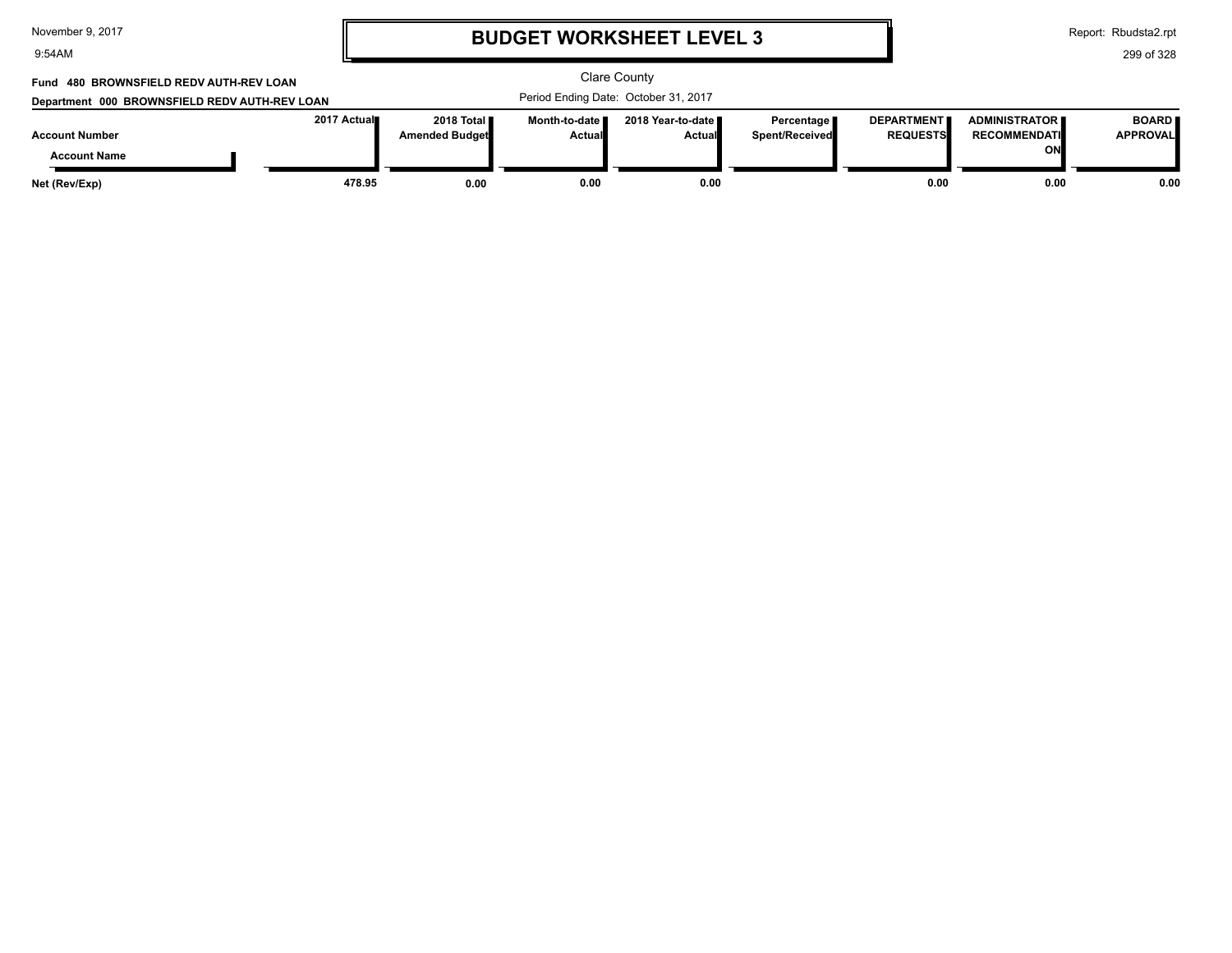| November 9, 2017 |  |  |
|------------------|--|--|
|------------------|--|--|

9:54AM

### **BUDGET WORKSHEET LEVEL 3**

Report: Rbudsta2.rpt

299 of 328

#### Clare County Period Ending Date: October 31, 2017 **Account Number Department 000 BROWNSFIELD REDV AUTH-REV LOAN Fund 480 BROWNSFIELD REDV AUTH-REV LOAN 2017 Actual 2018 Total Amended Budget Month-to-date Actual 2018 Year-to-date Actual Percentage Spent/Received DEPARTMENT REQUESTS ADMINISTRATOR RECOMMENDATI ON BOARD APPROVAL Account Name Net (Rev/Exp) 478.95 0.00 0.00 0.00 0.00 0.00 0.00**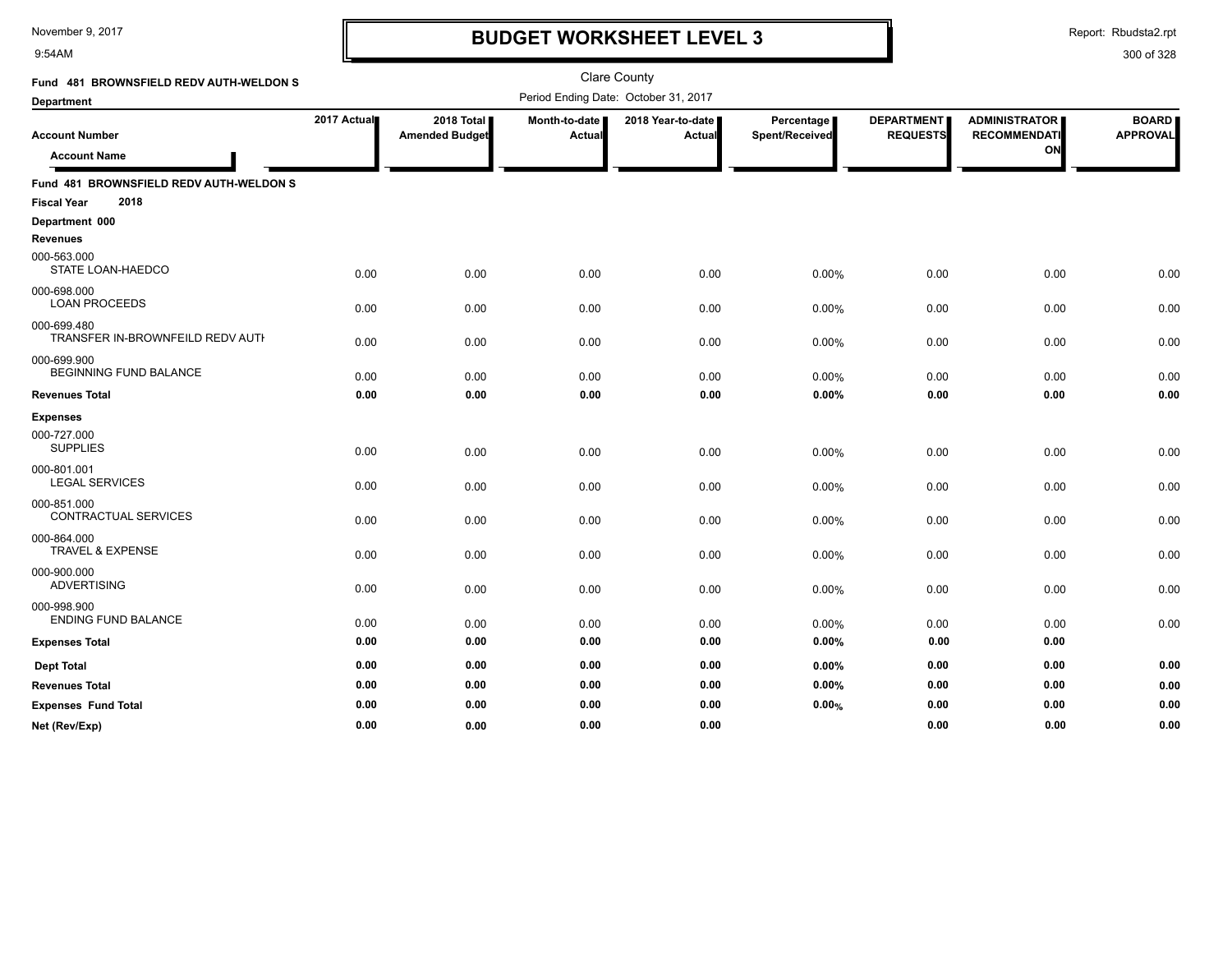9:54AM

### **BUDGET WORKSHEET LEVEL 3**

Report: Rbudsta2.rpt

| Fund 481 BROWNSFIELD REDV AUTH-WELDON S         |             |                       |               | <b>Clare County</b>                  |                |                   |                      |                 |
|-------------------------------------------------|-------------|-----------------------|---------------|--------------------------------------|----------------|-------------------|----------------------|-----------------|
| <b>Department</b>                               |             |                       |               | Period Ending Date: October 31, 2017 |                |                   |                      |                 |
|                                                 | 2017 Actual | 2018 Total            | Month-to-date | 2018 Year-to-date                    | Percentage     | <b>DEPARTMENT</b> | <b>ADMINISTRATOR</b> | <b>BOARD</b>    |
| <b>Account Number</b>                           |             | <b>Amended Budget</b> | <b>Actual</b> | Actual                               | Spent/Received | <b>REQUESTS</b>   | <b>RECOMMENDATI</b>  | <b>APPROVAL</b> |
| <b>Account Name</b>                             |             |                       |               |                                      |                |                   | ON                   |                 |
| Fund 481 BROWNSFIELD REDV AUTH-WELDON S         |             |                       |               |                                      |                |                   |                      |                 |
| 2018<br><b>Fiscal Year</b>                      |             |                       |               |                                      |                |                   |                      |                 |
| Department 000                                  |             |                       |               |                                      |                |                   |                      |                 |
| <b>Revenues</b>                                 |             |                       |               |                                      |                |                   |                      |                 |
| 000-563.000<br>STATE LOAN-HAEDCO                | 0.00        | 0.00                  | 0.00          | 0.00                                 | 0.00%          | 0.00              | 0.00                 | 0.00            |
| 000-698.000                                     |             |                       |               |                                      |                |                   |                      |                 |
| <b>LOAN PROCEEDS</b>                            | 0.00        | 0.00                  | 0.00          | 0.00                                 | 0.00%          | 0.00              | 0.00                 | 0.00            |
| 000-699.480<br>TRANSFER IN-BROWNFEILD REDV AUTH | 0.00        | 0.00                  | 0.00          | 0.00                                 | 0.00%          | 0.00              | 0.00                 | 0.00            |
| 000-699.900<br><b>BEGINNING FUND BALANCE</b>    | 0.00        | 0.00                  | 0.00          | 0.00                                 | 0.00%          | 0.00              | 0.00                 | 0.00            |
| <b>Revenues Total</b>                           | 0.00        | 0.00                  | 0.00          | 0.00                                 | 0.00%          | 0.00              | 0.00                 | 0.00            |
| <b>Expenses</b>                                 |             |                       |               |                                      |                |                   |                      |                 |
| 000-727.000                                     |             |                       |               |                                      |                |                   |                      |                 |
| <b>SUPPLIES</b>                                 | 0.00        | 0.00                  | 0.00          | 0.00                                 | 0.00%          | 0.00              | 0.00                 | 0.00            |
| 000-801.001<br><b>LEGAL SERVICES</b>            | 0.00        | 0.00                  | 0.00          | 0.00                                 | 0.00%          | 0.00              | 0.00                 | 0.00            |
| 000-851.000                                     |             |                       |               |                                      |                |                   |                      |                 |
| <b>CONTRACTUAL SERVICES</b>                     | 0.00        | 0.00                  | 0.00          | 0.00                                 | 0.00%          | 0.00              | 0.00                 | 0.00            |
| 000-864.000<br><b>TRAVEL &amp; EXPENSE</b>      | 0.00        | 0.00                  | 0.00          | 0.00                                 | 0.00%          | 0.00              | 0.00                 | 0.00            |
| 000-900.000<br><b>ADVERTISING</b>               | 0.00        | 0.00                  | 0.00          | 0.00                                 | 0.00%          | 0.00              | 0.00                 | 0.00            |
| 000-998.900<br><b>ENDING FUND BALANCE</b>       | 0.00        | 0.00                  | 0.00          | 0.00                                 | 0.00%          | 0.00              | 0.00                 | 0.00            |
| <b>Expenses Total</b>                           | 0.00        | 0.00                  | 0.00          | 0.00                                 | 0.00%          | 0.00              | 0.00                 |                 |
| <b>Dept Total</b>                               | 0.00        | 0.00                  | 0.00          | 0.00                                 | $0.00\%$       | 0.00              | 0.00                 | 0.00            |
| <b>Revenues Total</b>                           | 0.00        | 0.00                  | 0.00          | 0.00                                 | 0.00%          | 0.00              | 0.00                 | 0.00            |
| <b>Expenses Fund Total</b>                      | 0.00        | 0.00                  | 0.00          | 0.00                                 | 0.00%          | 0.00              | 0.00                 | 0.00            |
| Net (Rev/Exp)                                   | 0.00        | 0.00                  | 0.00          | 0.00                                 |                | 0.00              | 0.00                 | 0.00            |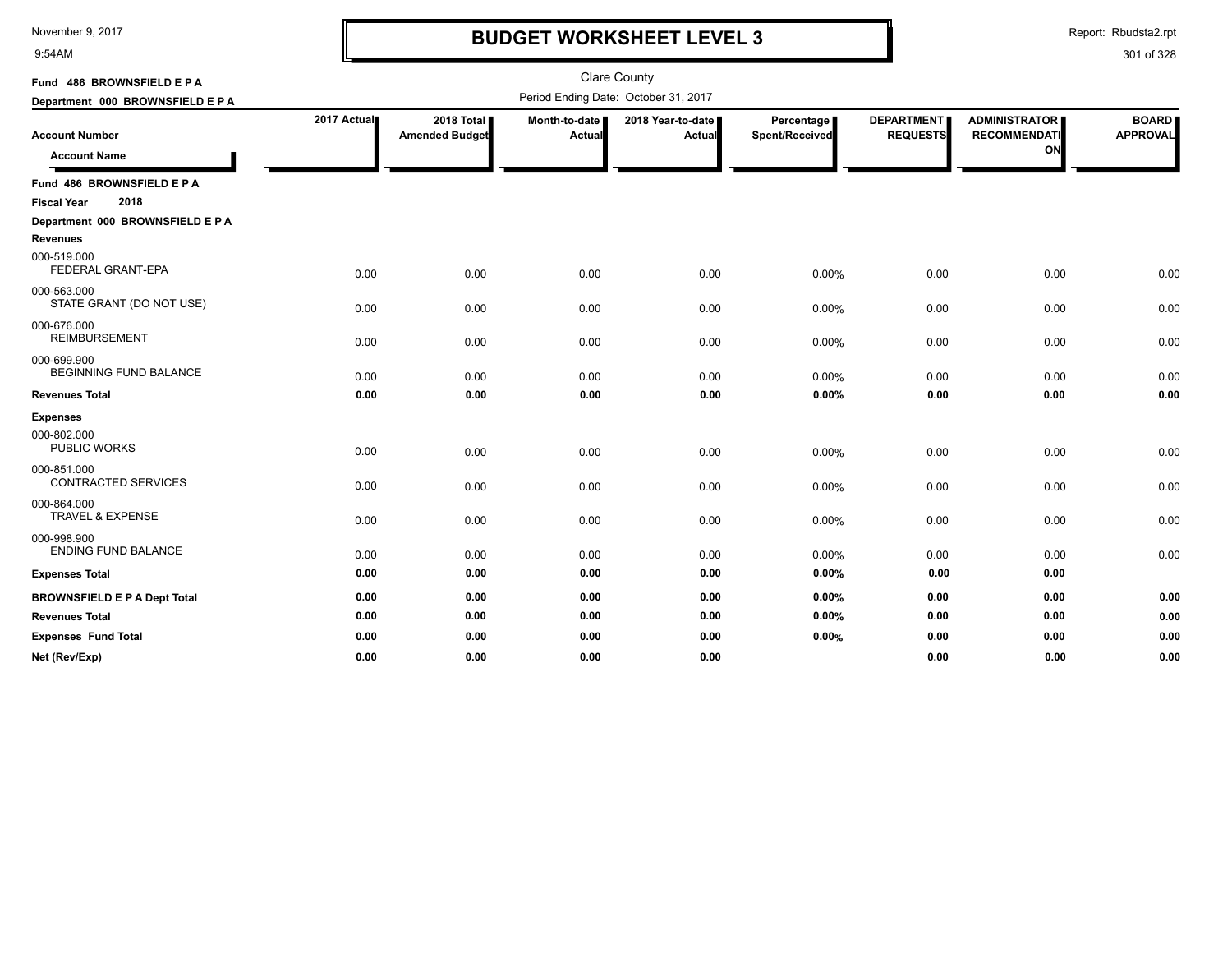9:54AM

### **BUDGET WORKSHEET LEVEL 3**

Report: Rbudsta2.rpt

| Fund 486 BROWNSFIELD E P A                          |             |                                     |                         | <b>Clare County</b>                  |                                |                                      |                                                   |                                 |
|-----------------------------------------------------|-------------|-------------------------------------|-------------------------|--------------------------------------|--------------------------------|--------------------------------------|---------------------------------------------------|---------------------------------|
| Department 000 BROWNSFIELD E P A                    |             |                                     |                         | Period Ending Date: October 31, 2017 |                                |                                      |                                                   |                                 |
| <b>Account Number</b><br><b>Account Name</b>        | 2017 Actual | 2018 Total<br><b>Amended Budget</b> | Month-to-date<br>Actual | 2018 Year-to-date<br>Actual          | Percentage  <br>Spent/Received | <b>DEPARTMENT</b><br><b>REQUESTS</b> | <b>ADMINISTRATOR</b><br><b>RECOMMENDATI</b><br>ON | <b>BOARD</b><br><b>APPROVAL</b> |
| Fund 486 BROWNSFIELD E P A                          |             |                                     |                         |                                      |                                |                                      |                                                   |                                 |
| 2018<br><b>Fiscal Year</b>                          |             |                                     |                         |                                      |                                |                                      |                                                   |                                 |
| Department 000 BROWNSFIELD E P A<br><b>Revenues</b> |             |                                     |                         |                                      |                                |                                      |                                                   |                                 |
| 000-519.000<br>FEDERAL GRANT-EPA                    | 0.00        | 0.00                                | 0.00                    | 0.00                                 | 0.00%                          | 0.00                                 | 0.00                                              | 0.00                            |
| 000-563.000<br>STATE GRANT (DO NOT USE)             | 0.00        | 0.00                                | 0.00                    | 0.00                                 | 0.00%                          | 0.00                                 | 0.00                                              | 0.00                            |
| 000-676.000<br><b>REIMBURSEMENT</b>                 | 0.00        | 0.00                                | 0.00                    | 0.00                                 | 0.00%                          | 0.00                                 | 0.00                                              | 0.00                            |
| 000-699.900<br><b>BEGINNING FUND BALANCE</b>        | 0.00        | 0.00                                | 0.00                    | 0.00                                 | 0.00%                          | 0.00                                 | 0.00                                              | 0.00                            |
| <b>Revenues Total</b>                               | 0.00        | 0.00                                | 0.00                    | 0.00                                 | 0.00%                          | 0.00                                 | 0.00                                              | 0.00                            |
| <b>Expenses</b>                                     |             |                                     |                         |                                      |                                |                                      |                                                   |                                 |
| 000-802.000<br><b>PUBLIC WORKS</b>                  | 0.00        | 0.00                                | 0.00                    | 0.00                                 | 0.00%                          | 0.00                                 | 0.00                                              | 0.00                            |
| 000-851.000<br><b>CONTRACTED SERVICES</b>           | 0.00        | 0.00                                | 0.00                    | 0.00                                 | 0.00%                          | 0.00                                 | 0.00                                              | 0.00                            |
| 000-864.000<br><b>TRAVEL &amp; EXPENSE</b>          | 0.00        | 0.00                                | 0.00                    | 0.00                                 | 0.00%                          | 0.00                                 | 0.00                                              | 0.00                            |
| 000-998.900<br><b>ENDING FUND BALANCE</b>           | 0.00        | 0.00                                | 0.00                    | 0.00                                 | 0.00%                          | 0.00                                 | 0.00                                              | 0.00                            |
| <b>Expenses Total</b>                               | 0.00        | 0.00                                | 0.00                    | 0.00                                 | 0.00%                          | 0.00                                 | 0.00                                              |                                 |
| <b>BROWNSFIELD E P A Dept Total</b>                 | 0.00        | 0.00                                | 0.00                    | 0.00                                 | 0.00%                          | 0.00                                 | 0.00                                              | 0.00                            |
| <b>Revenues Total</b>                               | 0.00        | 0.00                                | 0.00                    | 0.00                                 | 0.00%                          | 0.00                                 | 0.00                                              | 0.00                            |
| <b>Expenses Fund Total</b>                          | 0.00        | 0.00                                | 0.00                    | 0.00                                 | 0.00%                          | 0.00                                 | 0.00                                              | 0.00                            |
| Net (Rev/Exp)                                       | 0.00        | 0.00                                | 0.00                    | 0.00                                 |                                | 0.00                                 | 0.00                                              | 0.00                            |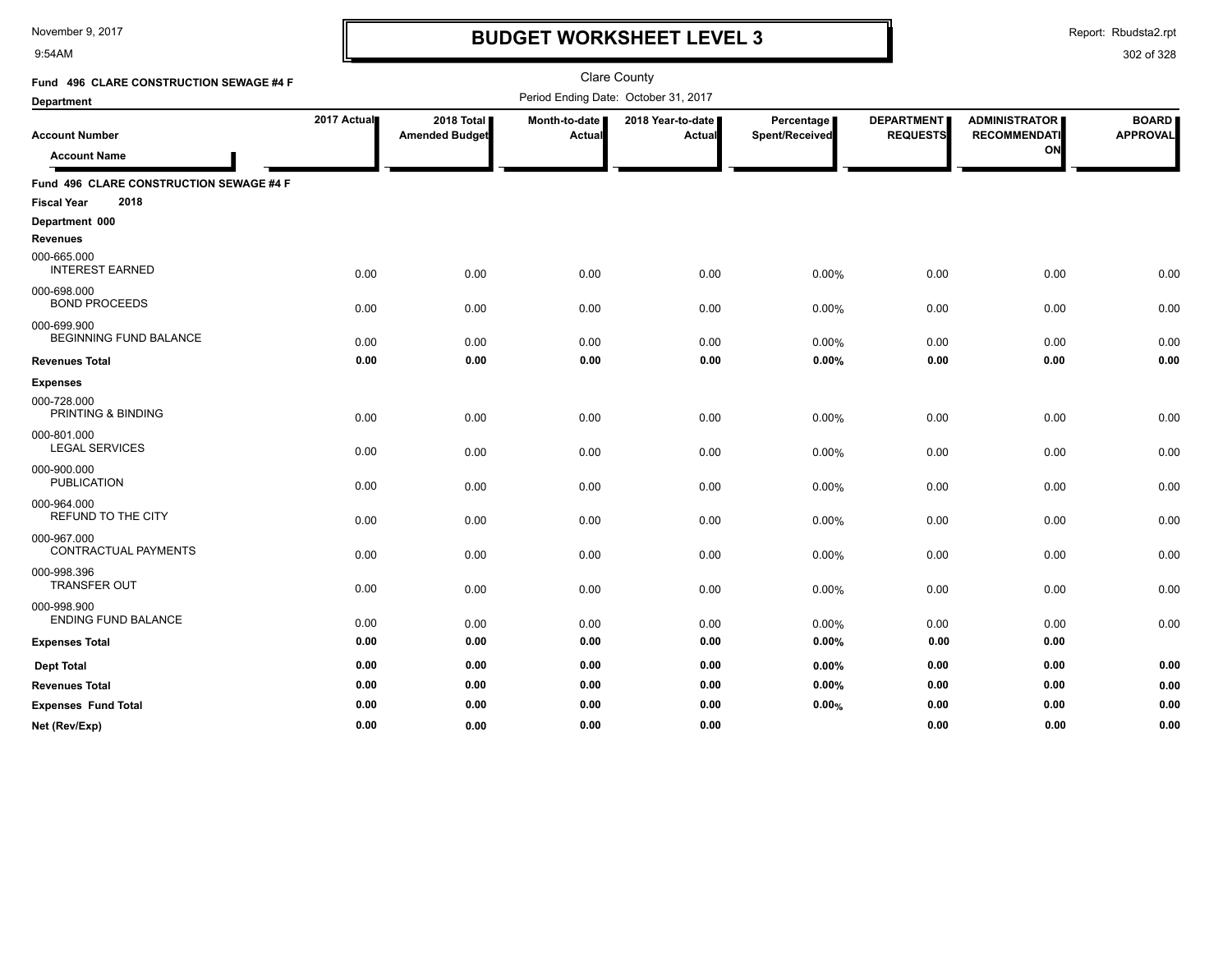9:54AM

### **BUDGET WORKSHEET LEVEL 3**

Report: Rbudsta2.rpt

| Fund 496 CLARE CONSTRUCTION SEWAGE #4 F      |             |                       |                                      | <b>Clare County</b> |                |                   |                      |                 |
|----------------------------------------------|-------------|-----------------------|--------------------------------------|---------------------|----------------|-------------------|----------------------|-----------------|
| <b>Department</b>                            |             |                       | Period Ending Date: October 31, 2017 |                     |                |                   |                      |                 |
|                                              | 2017 Actual | 2018 Total            | Month-to-date                        | 2018 Year-to-date I | Percentage     | <b>DEPARTMENT</b> | <b>ADMINISTRATOR</b> | <b>BOARD</b>    |
| <b>Account Number</b>                        |             | <b>Amended Budget</b> | Actual                               | <b>Actual</b>       | Spent/Received | <b>REQUESTS</b>   | <b>RECOMMENDATI</b>  | <b>APPROVAL</b> |
| <b>Account Name</b>                          |             |                       |                                      |                     |                |                   | ON                   |                 |
| Fund 496 CLARE CONSTRUCTION SEWAGE #4 F      |             |                       |                                      |                     |                |                   |                      |                 |
| 2018<br><b>Fiscal Year</b>                   |             |                       |                                      |                     |                |                   |                      |                 |
| Department 000                               |             |                       |                                      |                     |                |                   |                      |                 |
| <b>Revenues</b>                              |             |                       |                                      |                     |                |                   |                      |                 |
| 000-665.000<br><b>INTEREST EARNED</b>        | 0.00        | 0.00                  | 0.00                                 | 0.00                | 0.00%          | 0.00              | 0.00                 | 0.00            |
| 000-698.000<br><b>BOND PROCEEDS</b>          | 0.00        | 0.00                  | 0.00                                 | 0.00                | 0.00%          | 0.00              | 0.00                 | 0.00            |
| 000-699.900<br><b>BEGINNING FUND BALANCE</b> | 0.00        | 0.00                  | 0.00                                 | 0.00                | 0.00%          | 0.00              | 0.00                 | 0.00            |
| <b>Revenues Total</b>                        | 0.00        | 0.00                  | 0.00                                 | 0.00                | 0.00%          | 0.00              | 0.00                 | 0.00            |
| <b>Expenses</b>                              |             |                       |                                      |                     |                |                   |                      |                 |
| 000-728.000<br>PRINTING & BINDING            | 0.00        | 0.00                  | 0.00                                 | 0.00                | 0.00%          | 0.00              | 0.00                 | 0.00            |
| 000-801.000<br><b>LEGAL SERVICES</b>         | 0.00        | 0.00                  | 0.00                                 | 0.00                | 0.00%          | 0.00              | 0.00                 | 0.00            |
| 000-900.000<br><b>PUBLICATION</b>            | 0.00        | 0.00                  | 0.00                                 | 0.00                | 0.00%          | 0.00              | 0.00                 | 0.00            |
| 000-964.000<br>REFUND TO THE CITY            | 0.00        | 0.00                  | 0.00                                 | 0.00                | 0.00%          | 0.00              | 0.00                 | 0.00            |
| 000-967.000<br>CONTRACTUAL PAYMENTS          | 0.00        | 0.00                  | 0.00                                 | 0.00                | 0.00%          | 0.00              | 0.00                 | 0.00            |
| 000-998.396<br><b>TRANSFER OUT</b>           | 0.00        | 0.00                  | 0.00                                 | 0.00                | 0.00%          | 0.00              | 0.00                 | 0.00            |
| 000-998.900<br><b>ENDING FUND BALANCE</b>    | 0.00        | 0.00                  | 0.00                                 | 0.00                | 0.00%          | 0.00              | 0.00                 | 0.00            |
| <b>Expenses Total</b>                        | 0.00        | 0.00                  | 0.00                                 | 0.00                | 0.00%          | 0.00              | 0.00                 |                 |
| <b>Dept Total</b>                            | 0.00        | 0.00                  | 0.00                                 | 0.00                | 0.00%          | 0.00              | 0.00                 | 0.00            |
| <b>Revenues Total</b>                        | 0.00        | 0.00                  | 0.00                                 | 0.00                | 0.00%          | 0.00              | 0.00                 | 0.00            |
| <b>Expenses Fund Total</b>                   | 0.00        | 0.00                  | 0.00                                 | 0.00                | 0.00%          | 0.00              | 0.00                 | 0.00            |
| Net (Rev/Exp)                                | 0.00        | 0.00                  | 0.00                                 | 0.00                |                | 0.00              | 0.00                 | 0.00            |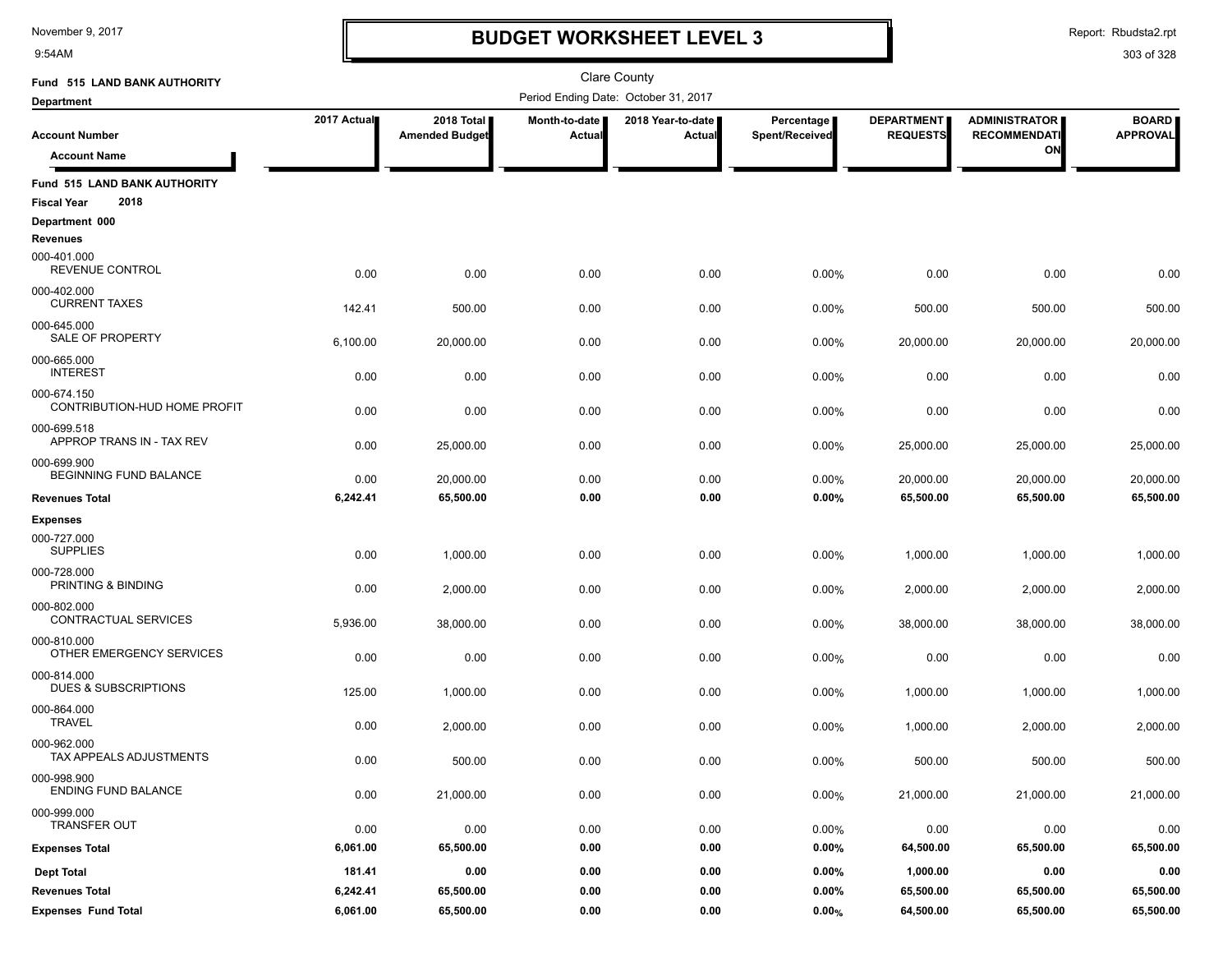9:54AM

### **BUDGET WORKSHEET LEVEL 3**

Report: Rbudsta2.rpt

| Fund 515 LAND BANK AUTHORITY                               |             |                                     |                                | <b>Clare County</b>                  |                              |                                      |                                             |                                 |
|------------------------------------------------------------|-------------|-------------------------------------|--------------------------------|--------------------------------------|------------------------------|--------------------------------------|---------------------------------------------|---------------------------------|
| <b>Department</b>                                          |             |                                     |                                | Period Ending Date: October 31, 2017 |                              |                                      |                                             |                                 |
| <b>Account Number</b>                                      | 2017 Actual | 2018 Total<br><b>Amended Budget</b> | Month-to-date<br><b>Actual</b> | 2018 Year-to-date<br>Actual          | Percentage<br>Spent/Received | <b>DEPARTMENT</b><br><b>REQUESTS</b> | <b>ADMINISTRATOR</b><br><b>RECOMMENDATI</b> | <b>BOARD</b><br><b>APPROVAL</b> |
| <b>Account Name</b>                                        |             |                                     |                                |                                      |                              |                                      | ON                                          |                                 |
| Fund 515 LAND BANK AUTHORITY<br>2018<br><b>Fiscal Year</b> |             |                                     |                                |                                      |                              |                                      |                                             |                                 |
| Department 000                                             |             |                                     |                                |                                      |                              |                                      |                                             |                                 |
| <b>Revenues</b>                                            |             |                                     |                                |                                      |                              |                                      |                                             |                                 |
| 000-401.000<br>REVENUE CONTROL                             | 0.00        | 0.00                                | 0.00                           | 0.00                                 | 0.00%                        | 0.00                                 | 0.00                                        | 0.00                            |
| 000-402.000<br><b>CURRENT TAXES</b>                        | 142.41      | 500.00                              | 0.00                           | 0.00                                 | 0.00%                        | 500.00                               | 500.00                                      | 500.00                          |
| 000-645.000<br>SALE OF PROPERTY                            | 6,100.00    | 20,000.00                           | 0.00                           | 0.00                                 | 0.00%                        | 20,000.00                            | 20,000.00                                   | 20,000.00                       |
| 000-665.000<br><b>INTEREST</b>                             | 0.00        | 0.00                                | 0.00                           | 0.00                                 | 0.00%                        | 0.00                                 | 0.00                                        | 0.00                            |
| 000-674.150<br>CONTRIBUTION-HUD HOME PROFIT                | 0.00        | 0.00                                | 0.00                           | 0.00                                 | 0.00%                        | 0.00                                 | 0.00                                        | 0.00                            |
| 000-699.518<br>APPROP TRANS IN - TAX REV                   | 0.00        | 25,000.00                           | 0.00                           | 0.00                                 | 0.00%                        | 25,000.00                            | 25,000.00                                   | 25,000.00                       |
| 000-699.900<br><b>BEGINNING FUND BALANCE</b>               | 0.00        | 20,000.00                           | 0.00                           | 0.00                                 | 0.00%                        | 20,000.00                            | 20,000.00                                   | 20,000.00                       |
| <b>Revenues Total</b>                                      | 6,242.41    | 65,500.00                           | 0.00                           | 0.00                                 | 0.00%                        | 65,500.00                            | 65,500.00                                   | 65,500.00                       |
| <b>Expenses</b>                                            |             |                                     |                                |                                      |                              |                                      |                                             |                                 |
| 000-727.000<br><b>SUPPLIES</b>                             | 0.00        | 1,000.00                            | 0.00                           | 0.00                                 | 0.00%                        | 1,000.00                             | 1,000.00                                    | 1,000.00                        |
| 000-728.000<br>PRINTING & BINDING                          | 0.00        | 2,000.00                            | 0.00                           | 0.00                                 | 0.00%                        | 2,000.00                             | 2,000.00                                    | 2,000.00                        |
| 000-802.000<br>CONTRACTUAL SERVICES                        | 5,936.00    | 38,000.00                           | 0.00                           | 0.00                                 | 0.00%                        | 38,000.00                            | 38,000.00                                   | 38,000.00                       |
| 000-810.000<br>OTHER EMERGENCY SERVICES                    | 0.00        | 0.00                                | 0.00                           | 0.00                                 | 0.00%                        | 0.00                                 | 0.00                                        | 0.00                            |
| 000-814.000<br>DUES & SUBSCRIPTIONS                        | 125.00      | 1,000.00                            | 0.00                           | 0.00                                 | 0.00%                        | 1,000.00                             | 1,000.00                                    | 1,000.00                        |
| 000-864.000<br><b>TRAVEL</b>                               | 0.00        | 2,000.00                            | 0.00                           | 0.00                                 | 0.00%                        | 1,000.00                             | 2,000.00                                    | 2,000.00                        |
| 000-962.000<br><b>TAX APPEALS ADJUSTMENTS</b>              | 0.00        | 500.00                              | 0.00                           | 0.00                                 | 0.00%                        | 500.00                               | 500.00                                      | 500.00                          |
| 000-998.900<br>ENDING FUND BALANCE                         | 0.00        | 21,000.00                           | 0.00                           | 0.00                                 | 0.00%                        | 21,000.00                            | 21,000.00                                   | 21,000.00                       |
| 000-999.000<br><b>TRANSFER OUT</b>                         | 0.00        | 0.00                                | 0.00                           | 0.00                                 | 0.00%                        | 0.00                                 | 0.00                                        | 0.00                            |
| <b>Expenses Total</b>                                      | 6,061.00    | 65,500.00                           | 0.00                           | 0.00                                 | 0.00%                        | 64,500.00                            | 65,500.00                                   | 65,500.00                       |
| <b>Dept Total</b>                                          | 181.41      | 0.00                                | 0.00                           | 0.00                                 | 0.00%                        | 1,000.00                             | 0.00                                        | 0.00                            |
| <b>Revenues Total</b>                                      | 6,242.41    | 65,500.00                           | 0.00                           | 0.00                                 | $0.00\%$                     | 65,500.00                            | 65,500.00                                   | 65,500.00                       |
| <b>Expenses Fund Total</b>                                 | 6,061.00    | 65,500.00                           | 0.00                           | 0.00                                 | 0.00%                        | 64,500.00                            | 65,500.00                                   | 65,500.00                       |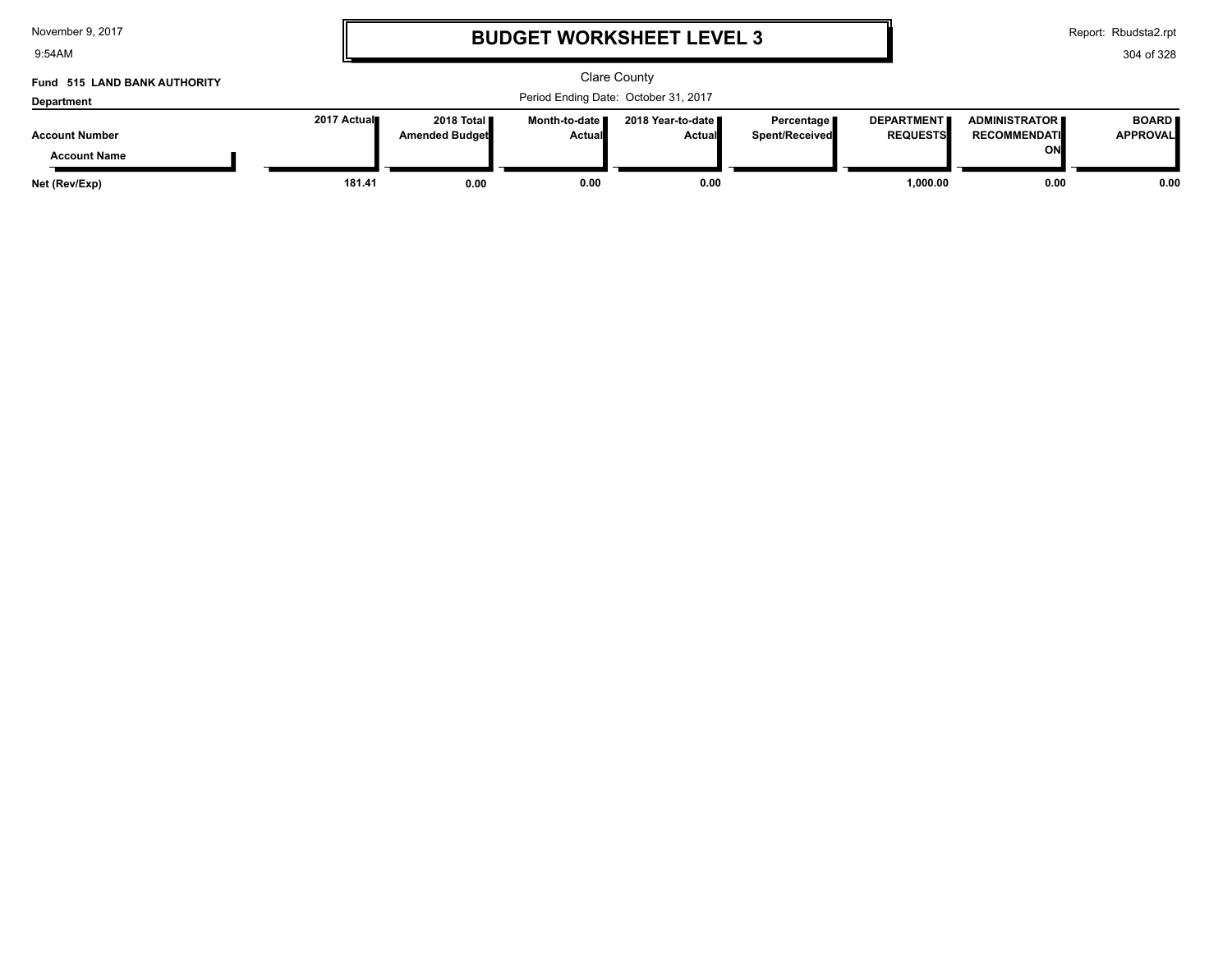| November 9, 2017 |  |  |
|------------------|--|--|
|------------------|--|--|

9:54AM

### **BUDGET WORKSHEET LEVEL 3**

Report: Rbudsta2.rpt

| Fund 515 LAND BANK AUTHORITY                 | Clare County |                                        |                                  |                                      |                                |                                      |                                                   |                                 |
|----------------------------------------------|--------------|----------------------------------------|----------------------------------|--------------------------------------|--------------------------------|--------------------------------------|---------------------------------------------------|---------------------------------|
| <b>Department</b>                            |              |                                        |                                  | Period Ending Date: October 31, 2017 |                                |                                      |                                                   |                                 |
| <b>Account Number</b><br><b>Account Name</b> | 2017 Actual  | 2018 Total <b>II</b><br>Amended Budget | Month-to-date ∎<br><b>Actual</b> | 2018 Year-to-date ∎<br><b>Actual</b> | Percentage I<br>Spent/Received | <b>DEPARTMENT</b><br><b>REQUESTS</b> | <b>ADMINISTRATOR</b><br><b>RECOMMENDATI</b><br>ON | <b>BOARD</b><br><b>APPROVAL</b> |
| Net (Rev/Exp)                                | 181.41       | 0.00                                   | 0.00                             | 0.00                                 |                                | 1.000.00                             | 0.00                                              | 0.00                            |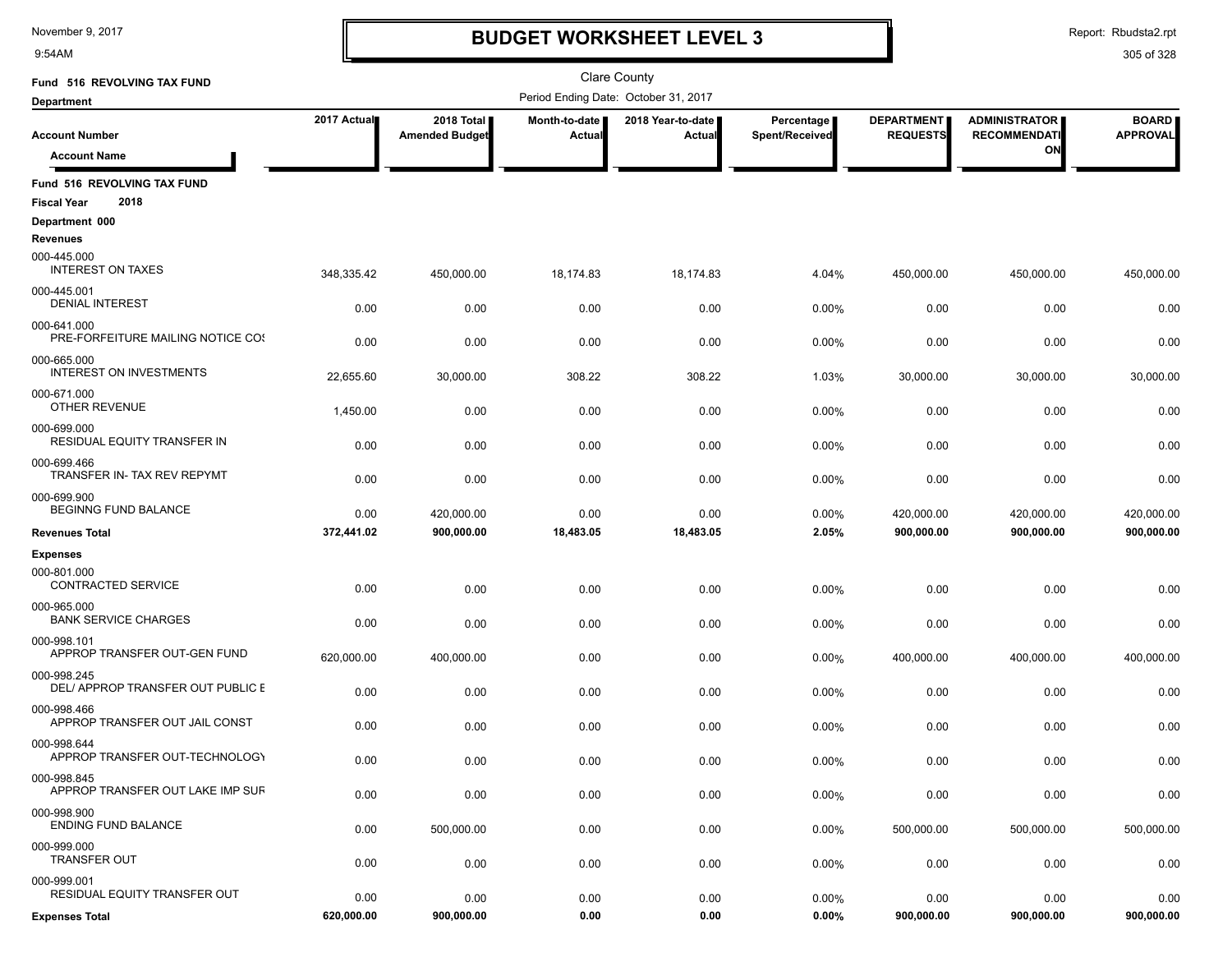9:54AM

### **BUDGET WORKSHEET LEVEL 3**

Report: Rbudsta2.rpt

| Fund 516 REVOLVING TAX FUND                                         |                    |                                     |                                | <b>Clare County</b>                  |                              |                                      |                                             |                                 |
|---------------------------------------------------------------------|--------------------|-------------------------------------|--------------------------------|--------------------------------------|------------------------------|--------------------------------------|---------------------------------------------|---------------------------------|
| <b>Department</b>                                                   |                    |                                     |                                | Period Ending Date: October 31, 2017 |                              |                                      |                                             |                                 |
| <b>Account Number</b>                                               | 2017 Actual        | 2018 Total<br><b>Amended Budget</b> | <b>Month-to-date</b><br>Actual | 2018 Year-to-date  <br>Actual        | Percentage<br>Spent/Received | <b>DEPARTMENT</b><br><b>REQUESTS</b> | <b>ADMINISTRATOR</b><br><b>RECOMMENDATI</b> | <b>BOARD</b><br><b>APPROVAL</b> |
| <b>Account Name</b>                                                 |                    |                                     |                                |                                      |                              |                                      | ON                                          |                                 |
| Fund 516 REVOLVING TAX FUND                                         |                    |                                     |                                |                                      |                              |                                      |                                             |                                 |
| 2018<br><b>Fiscal Year</b><br>Department 000                        |                    |                                     |                                |                                      |                              |                                      |                                             |                                 |
| <b>Revenues</b>                                                     |                    |                                     |                                |                                      |                              |                                      |                                             |                                 |
| 000-445.000<br><b>INTEREST ON TAXES</b>                             | 348,335.42         | 450,000.00                          | 18,174.83                      | 18,174.83                            | 4.04%                        | 450,000.00                           | 450,000.00                                  | 450,000.00                      |
| 000-445.001<br><b>DENIAL INTEREST</b>                               | 0.00               | 0.00                                | 0.00                           | 0.00                                 | 0.00%                        | 0.00                                 | 0.00                                        | 0.00                            |
| 000-641.000<br>PRE-FORFEITURE MAILING NOTICE COS                    | 0.00               | 0.00                                | 0.00                           | 0.00                                 | 0.00%                        | 0.00                                 | 0.00                                        | 0.00                            |
| 000-665.000<br><b>INTEREST ON INVESTMENTS</b>                       | 22,655.60          | 30,000.00                           | 308.22                         | 308.22                               | 1.03%                        | 30,000.00                            | 30,000.00                                   | 30,000.00                       |
| 000-671.000<br><b>OTHER REVENUE</b>                                 | 1,450.00           | 0.00                                | 0.00                           | 0.00                                 | 0.00%                        | 0.00                                 | 0.00                                        | 0.00                            |
| 000-699.000<br><b>RESIDUAL EQUITY TRANSFER IN</b>                   | 0.00               | 0.00                                | 0.00                           | 0.00                                 | 0.00%                        | 0.00                                 | 0.00                                        | 0.00                            |
| 000-699.466<br>TRANSFER IN- TAX REV REPYMT                          | 0.00               | 0.00                                | 0.00                           | 0.00                                 | 0.00%                        | 0.00                                 | 0.00                                        | 0.00                            |
| 000-699.900<br><b>BEGINNG FUND BALANCE</b><br><b>Revenues Total</b> | 0.00<br>372,441.02 | 420.000.00<br>900,000.00            | 0.00<br>18,483.05              | 0.00<br>18,483.05                    | 0.00%<br>2.05%               | 420,000.00<br>900,000.00             | 420,000.00<br>900,000.00                    | 420,000.00<br>900,000.00        |
|                                                                     |                    |                                     |                                |                                      |                              |                                      |                                             |                                 |
| <b>Expenses</b><br>000-801.000                                      |                    |                                     |                                |                                      |                              |                                      |                                             |                                 |
| CONTRACTED SERVICE<br>000-965.000                                   | 0.00               | 0.00                                | 0.00                           | 0.00                                 | 0.00%                        | 0.00                                 | 0.00                                        | 0.00                            |
| <b>BANK SERVICE CHARGES</b><br>000-998.101                          | 0.00               | 0.00                                | 0.00                           | 0.00                                 | 0.00%                        | 0.00                                 | 0.00                                        | 0.00                            |
| APPROP TRANSFER OUT-GEN FUND<br>000-998.245                         | 620,000.00         | 400,000.00                          | 0.00                           | 0.00                                 | 0.00%                        | 400,000.00                           | 400,000.00                                  | 400,000.00                      |
| DEL/ APPROP TRANSFER OUT PUBLIC E                                   | 0.00               | 0.00                                | 0.00                           | 0.00                                 | 0.00%                        | 0.00                                 | 0.00                                        | 0.00                            |
| 000-998.466<br>APPROP TRANSFER OUT JAIL CONST                       | 0.00               | 0.00                                | 0.00                           | 0.00                                 | 0.00%                        | 0.00                                 | 0.00                                        | 0.00                            |
| 000-998.644<br>APPROP TRANSFER OUT-TECHNOLOGY                       | 0.00               | 0.00                                | 0.00                           | 0.00                                 | 0.00%                        | 0.00                                 | 0.00                                        | 0.00                            |
| 000-998.845<br>APPROP TRANSFER OUT LAKE IMP SUF                     | 0.00               | 0.00                                | 0.00                           | 0.00                                 | 0.00%                        | 0.00                                 | 0.00                                        | 0.00                            |
| 000-998.900<br><b>ENDING FUND BALANCE</b>                           | 0.00               | 500,000.00                          | 0.00                           | 0.00                                 | 0.00%                        | 500,000.00                           | 500,000.00                                  | 500,000.00                      |
| 000-999.000<br><b>TRANSFER OUT</b>                                  | 0.00               | 0.00                                | 0.00                           | 0.00                                 | 0.00%                        | 0.00                                 | 0.00                                        | 0.00                            |
| 000-999.001<br>RESIDUAL EQUITY TRANSFER OUT                         | 0.00               | 0.00                                | 0.00                           | 0.00                                 | 0.00%                        | 0.00                                 | 0.00                                        | 0.00                            |
| <b>Expenses Total</b>                                               | 620,000.00         | 900,000.00                          | 0.00                           | 0.00                                 | 0.00%                        | 900,000.00                           | 900,000.00                                  | 900,000.00                      |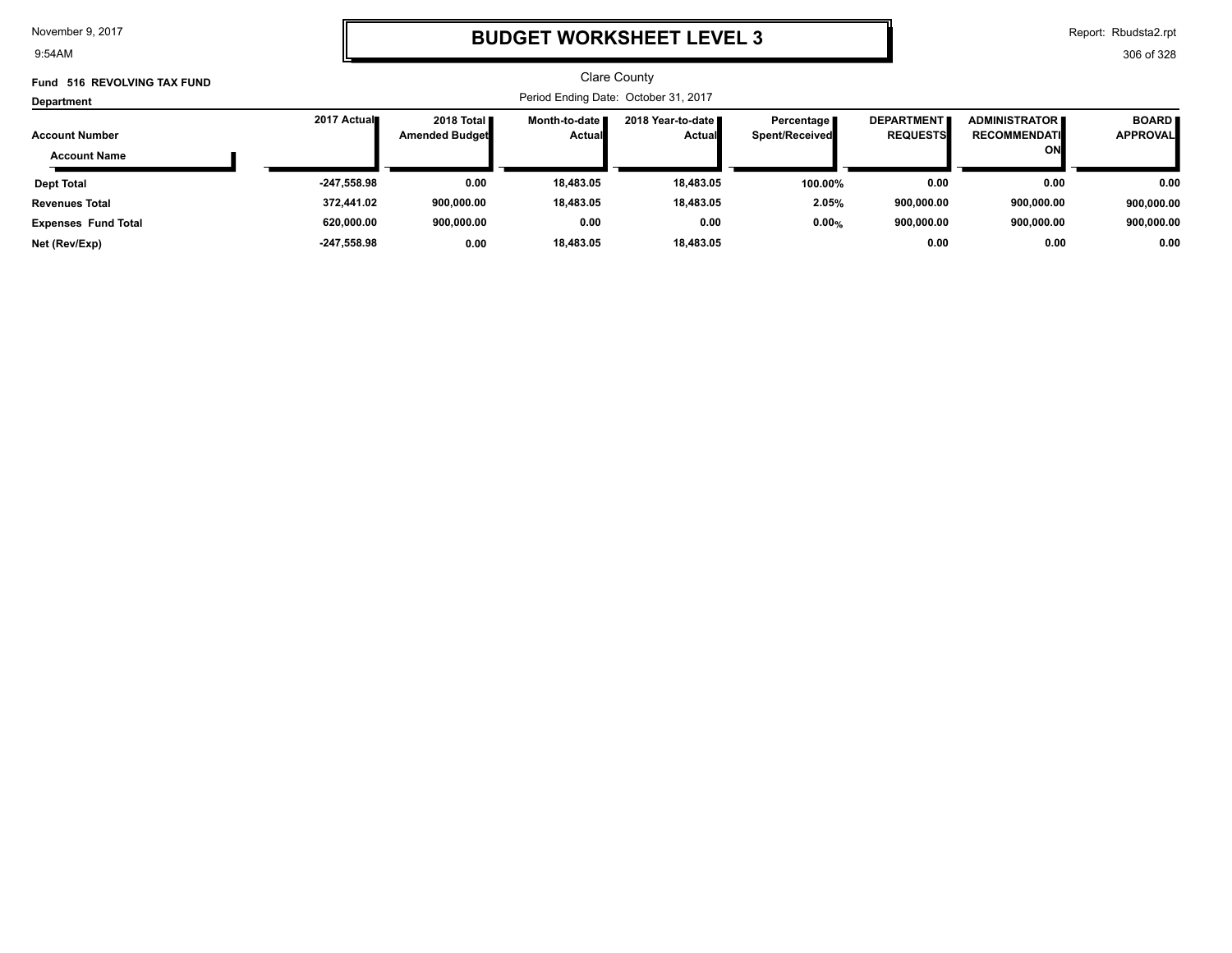9:54AM

# **BUDGET WORKSHEET LEVEL 3**

Report: Rbudsta2.rpt

| Fund 516 REVOLVING TAX FUND                  |               |                                               |                                  | Clare County                          |                                       |                                      |                                                   |                                 |
|----------------------------------------------|---------------|-----------------------------------------------|----------------------------------|---------------------------------------|---------------------------------------|--------------------------------------|---------------------------------------------------|---------------------------------|
| Department                                   |               | Period Ending Date: October 31, 2017          |                                  |                                       |                                       |                                      |                                                   |                                 |
| <b>Account Number</b><br><b>Account Name</b> | 2017 Actual   | 2018 Total <b>II</b><br><b>Amended Budget</b> | Month-to-date ■<br><b>Actual</b> | 2018 Year-to-date II<br><b>Actual</b> | Percentage I<br><b>Spent/Received</b> | <b>DEPARTMENT</b><br><b>REQUESTS</b> | <b>ADMINISTRATOR</b><br><b>RECOMMENDATI</b><br>ON | <b>BOARD</b><br><b>APPROVAL</b> |
| <b>Dept Total</b>                            | -247,558.98   | 0.00                                          | 18,483.05                        | 18,483.05                             | 100.00%                               | 0.00                                 | 0.00                                              | 0.00                            |
| <b>Revenues Total</b>                        | 372,441.02    | 900,000.00                                    | 18,483.05                        | 18,483.05                             | 2.05%                                 | 900,000.00                           | 900,000.00                                        | 900,000.00                      |
| <b>Expenses Fund Total</b>                   | 620,000.00    | 900,000.00                                    | 0.00                             | 0.00                                  | 0.00%                                 | 900,000.00                           | 900.000.00                                        | 900,000.00                      |
| Net (Rev/Exp)                                | $-247.558.98$ | 0.00                                          | 18.483.05                        | 18,483.05                             |                                       | 0.00                                 | 0.00                                              | 0.00                            |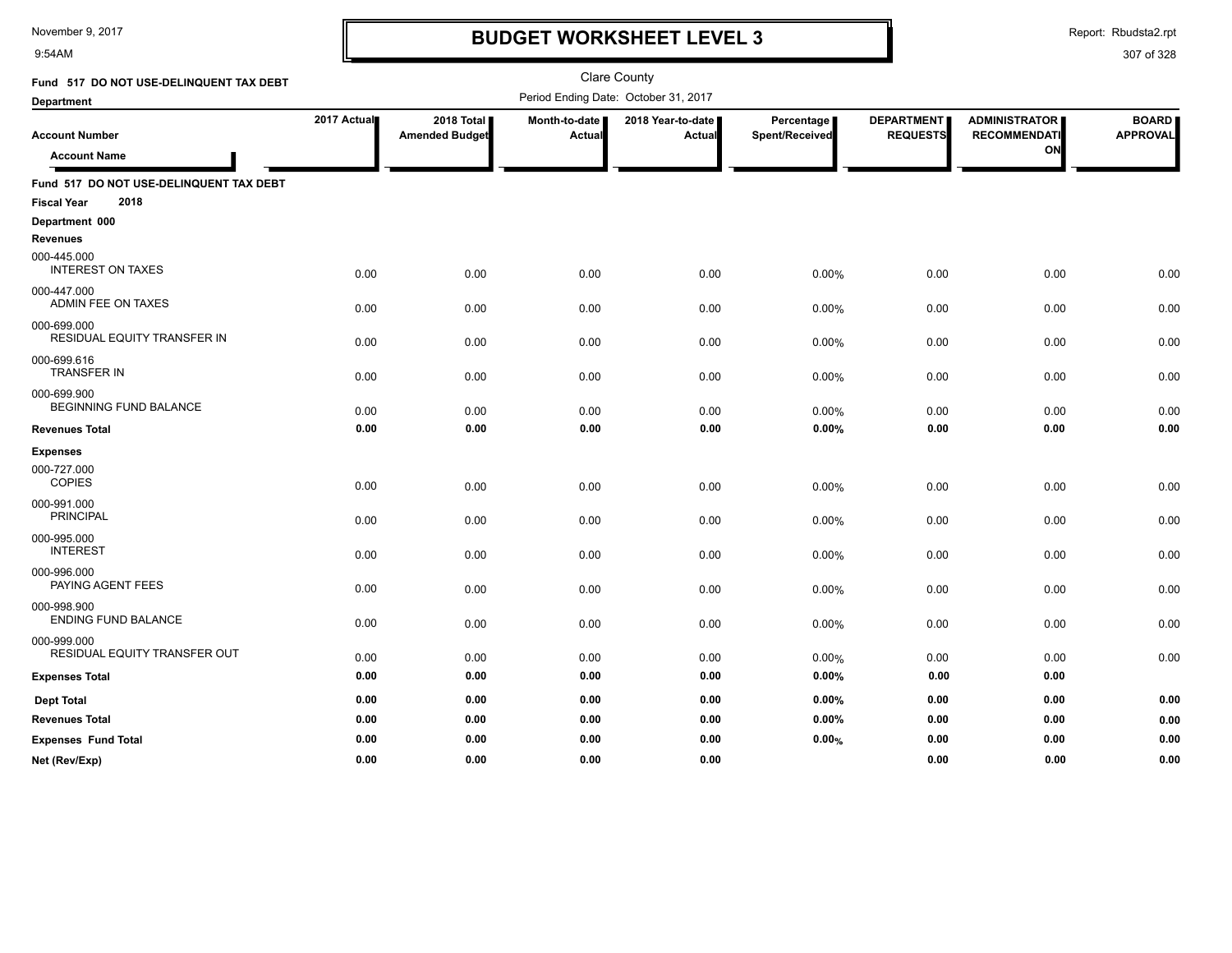9:54AM

### **BUDGET WORKSHEET LEVEL 3**

Report: Rbudsta2.rpt

| Fund 517 DO NOT USE-DELINQUENT TAX DEBT      |             |                                     |                         | <b>Clare County</b>                  |                              |                                      |                                                   |                                 |
|----------------------------------------------|-------------|-------------------------------------|-------------------------|--------------------------------------|------------------------------|--------------------------------------|---------------------------------------------------|---------------------------------|
| <b>Department</b>                            |             |                                     |                         | Period Ending Date: October 31, 2017 |                              |                                      |                                                   |                                 |
| <b>Account Number</b><br><b>Account Name</b> | 2017 Actual | 2018 Total<br><b>Amended Budget</b> | Month-to-date<br>Actual | 2018 Year-to-date  <br>Actual        | Percentage<br>Spent/Received | <b>DEPARTMENT</b><br><b>REQUESTS</b> | <b>ADMINISTRATOR</b><br><b>RECOMMENDATI</b><br>ON | <b>BOARD</b><br><b>APPROVAL</b> |
| Fund 517 DO NOT USE-DELINQUENT TAX DEBT      |             |                                     |                         |                                      |                              |                                      |                                                   |                                 |
| 2018<br><b>Fiscal Year</b>                   |             |                                     |                         |                                      |                              |                                      |                                                   |                                 |
| Department 000<br><b>Revenues</b>            |             |                                     |                         |                                      |                              |                                      |                                                   |                                 |
| 000-445.000<br><b>INTEREST ON TAXES</b>      | 0.00        | 0.00                                | 0.00                    | 0.00                                 | 0.00%                        | 0.00                                 | 0.00                                              | 0.00                            |
| 000-447.000<br>ADMIN FEE ON TAXES            | 0.00        | 0.00                                | 0.00                    | 0.00                                 | 0.00%                        | 0.00                                 | 0.00                                              | 0.00                            |
| 000-699.000<br>RESIDUAL EQUITY TRANSFER IN   | 0.00        | 0.00                                | 0.00                    | 0.00                                 | 0.00%                        | 0.00                                 | 0.00                                              | 0.00                            |
| 000-699.616<br><b>TRANSFER IN</b>            | 0.00        | 0.00                                | 0.00                    | 0.00                                 | 0.00%                        | 0.00                                 | 0.00                                              | 0.00                            |
| 000-699.900<br>BEGINNING FUND BALANCE        | 0.00        | 0.00                                | 0.00                    | 0.00                                 | 0.00%                        | 0.00                                 | 0.00                                              | 0.00                            |
| <b>Revenues Total</b>                        | 0.00        | 0.00                                | 0.00                    | 0.00                                 | 0.00%                        | 0.00                                 | 0.00                                              | 0.00                            |
| <b>Expenses</b>                              |             |                                     |                         |                                      |                              |                                      |                                                   |                                 |
| 000-727.000<br><b>COPIES</b>                 | 0.00        | 0.00                                | 0.00                    | 0.00                                 | 0.00%                        | 0.00                                 | 0.00                                              | 0.00                            |
| 000-991.000<br><b>PRINCIPAL</b>              | 0.00        | 0.00                                | 0.00                    | 0.00                                 | 0.00%                        | 0.00                                 | 0.00                                              | 0.00                            |
| 000-995.000<br><b>INTEREST</b>               | 0.00        | 0.00                                | 0.00                    | 0.00                                 | 0.00%                        | 0.00                                 | 0.00                                              | 0.00                            |
| 000-996.000<br>PAYING AGENT FEES             | 0.00        | 0.00                                | 0.00                    | 0.00                                 | 0.00%                        | 0.00                                 | 0.00                                              | 0.00                            |
| 000-998.900<br><b>ENDING FUND BALANCE</b>    | 0.00        | 0.00                                | 0.00                    | 0.00                                 | 0.00%                        | 0.00                                 | 0.00                                              | 0.00                            |
| 000-999.000<br>RESIDUAL EQUITY TRANSFER OUT  | 0.00        | 0.00                                | 0.00                    | 0.00                                 | 0.00%                        | 0.00                                 | 0.00                                              | 0.00                            |
| <b>Expenses Total</b>                        | 0.00        | 0.00                                | 0.00                    | 0.00                                 | 0.00%                        | 0.00                                 | 0.00                                              |                                 |
| <b>Dept Total</b>                            | 0.00        | 0.00                                | 0.00                    | 0.00                                 | 0.00%                        | 0.00                                 | 0.00                                              | 0.00                            |
| <b>Revenues Total</b>                        | 0.00        | 0.00                                | 0.00                    | 0.00                                 | 0.00%                        | 0.00                                 | 0.00                                              | 0.00                            |
| <b>Expenses Fund Total</b>                   | 0.00        | 0.00                                | 0.00                    | 0.00                                 | 0.00%                        | 0.00                                 | 0.00                                              | 0.00                            |
| Net (Rev/Exp)                                | 0.00        | 0.00                                | 0.00                    | 0.00                                 |                              | 0.00                                 | 0.00                                              | 0.00                            |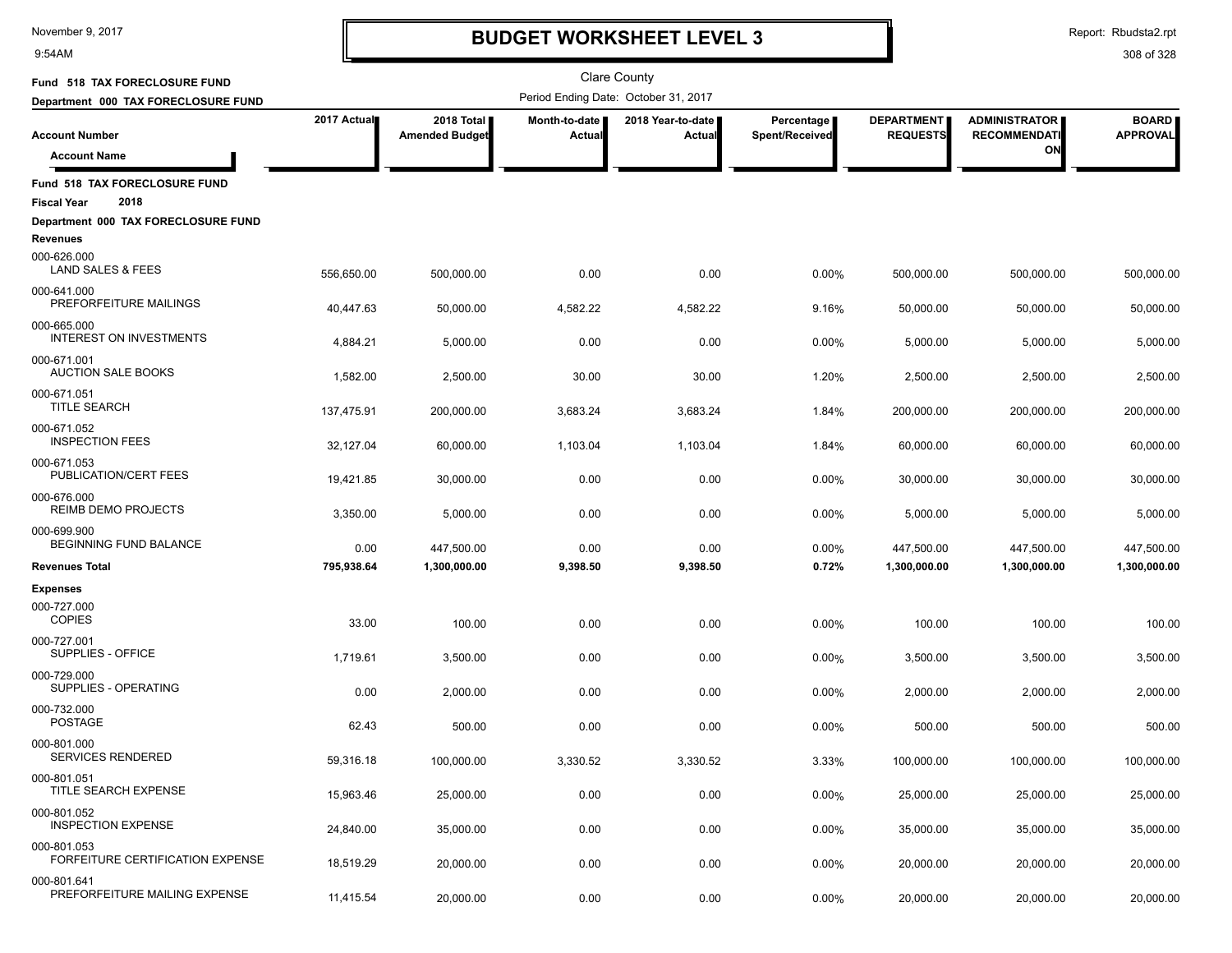9:54AM

### **BUDGET WORKSHEET LEVEL 3**

Report: Rbudsta2.rpt

| Fund 518 TAX FORECLOSURE FUND                               |             |                                     |                         | <b>Clare County</b>                  |                              |                                      |                                             |                                 |
|-------------------------------------------------------------|-------------|-------------------------------------|-------------------------|--------------------------------------|------------------------------|--------------------------------------|---------------------------------------------|---------------------------------|
| Department 000 TAX FORECLOSURE FUND                         |             |                                     |                         | Period Ending Date: October 31, 2017 |                              |                                      |                                             |                                 |
| <b>Account Number</b>                                       | 2017 Actual | 2018 Total<br><b>Amended Budget</b> | Month-to-date<br>Actual | 2018 Year-to-date<br>Actual          | Percentage<br>Spent/Received | <b>DEPARTMENT</b><br><b>REQUESTS</b> | <b>ADMINISTRATOR</b><br><b>RECOMMENDATI</b> | <b>BOARD</b><br><b>APPROVAL</b> |
| <b>Account Name</b>                                         |             |                                     |                         |                                      |                              |                                      | ON                                          |                                 |
| Fund 518 TAX FORECLOSURE FUND<br>2018<br><b>Fiscal Year</b> |             |                                     |                         |                                      |                              |                                      |                                             |                                 |
| Department 000 TAX FORECLOSURE FUND<br><b>Revenues</b>      |             |                                     |                         |                                      |                              |                                      |                                             |                                 |
| 000-626.000<br><b>LAND SALES &amp; FEES</b>                 | 556,650.00  | 500,000.00                          | 0.00                    | 0.00                                 | 0.00%                        | 500,000.00                           | 500.000.00                                  | 500,000.00                      |
| 000-641.000<br>PREFORFEITURE MAILINGS                       | 40,447.63   | 50,000.00                           | 4,582.22                | 4,582.22                             | 9.16%                        | 50,000.00                            | 50,000.00                                   | 50,000.00                       |
| 000-665.000<br><b>INTEREST ON INVESTMENTS</b>               | 4,884.21    | 5,000.00                            | 0.00                    | 0.00                                 | 0.00%                        | 5,000.00                             | 5,000.00                                    | 5,000.00                        |
| 000-671.001<br><b>AUCTION SALE BOOKS</b>                    | 1,582.00    | 2,500.00                            | 30.00                   | 30.00                                | 1.20%                        | 2,500.00                             | 2,500.00                                    | 2,500.00                        |
| 000-671.051<br><b>TITLE SEARCH</b>                          | 137,475.91  | 200,000.00                          | 3,683.24                | 3,683.24                             | 1.84%                        | 200,000.00                           | 200,000.00                                  | 200,000.00                      |
| 000-671.052<br><b>INSPECTION FEES</b>                       | 32,127.04   | 60,000.00                           | 1,103.04                | 1,103.04                             | 1.84%                        | 60,000.00                            | 60,000.00                                   | 60,000.00                       |
| 000-671.053<br>PUBLICATION/CERT FEES                        | 19,421.85   | 30,000.00                           | 0.00                    | 0.00                                 | 0.00%                        | 30,000.00                            | 30,000.00                                   | 30,000.00                       |
| 000-676.000<br>REIMB DEMO PROJECTS                          | 3,350.00    | 5,000.00                            | 0.00                    | 0.00                                 | 0.00%                        | 5,000.00                             | 5,000.00                                    | 5,000.00                        |
| 000-699.900<br>BEGINNING FUND BALANCE                       | 0.00        | 447,500.00                          | 0.00                    | 0.00                                 | 0.00%                        | 447,500.00                           | 447,500.00                                  | 447,500.00                      |
| <b>Revenues Total</b>                                       | 795,938.64  | 1,300,000.00                        | 9,398.50                | 9,398.50                             | 0.72%                        | 1,300,000.00                         | 1,300,000.00                                | 1,300,000.00                    |
| <b>Expenses</b>                                             |             |                                     |                         |                                      |                              |                                      |                                             |                                 |
| 000-727.000<br><b>COPIES</b>                                | 33.00       | 100.00                              | 0.00                    | 0.00                                 | 0.00%                        | 100.00                               | 100.00                                      | 100.00                          |
| 000-727.001<br>SUPPLIES - OFFICE                            | 1,719.61    | 3,500.00                            | 0.00                    | 0.00                                 | 0.00%                        | 3,500.00                             | 3,500.00                                    | 3,500.00                        |
| 000-729.000<br>SUPPLIES - OPERATING                         | 0.00        | 2,000.00                            | 0.00                    | 0.00                                 | 0.00%                        | 2,000.00                             | 2,000.00                                    | 2,000.00                        |
| 000-732.000<br><b>POSTAGE</b>                               | 62.43       | 500.00                              | 0.00                    | 0.00                                 | 0.00%                        | 500.00                               | 500.00                                      | 500.00                          |
| 000-801.000<br><b>SERVICES RENDERED</b>                     | 59,316.18   | 100,000.00                          | 3,330.52                | 3,330.52                             | 3.33%                        | 100,000.00                           | 100,000.00                                  | 100,000.00                      |
| 000-801.051<br><b>TITLE SEARCH EXPENSE</b>                  | 15,963.46   | 25,000.00                           | 0.00                    | 0.00                                 | 0.00%                        | 25,000.00                            | 25,000.00                                   | 25,000.00                       |
| 000-801.052<br><b>INSPECTION EXPENSE</b>                    | 24,840.00   | 35,000.00                           | 0.00                    | 0.00                                 | 0.00%                        | 35,000.00                            | 35,000.00                                   | 35,000.00                       |
| 000-801.053<br><b>FORFEITURE CERTIFICATION EXPENSE</b>      | 18,519.29   | 20,000.00                           | 0.00                    | 0.00                                 | 0.00%                        | 20,000.00                            | 20,000.00                                   | 20,000.00                       |
| 000-801.641<br>PREFORFEITURE MAILING EXPENSE                | 11,415.54   | 20,000.00                           | 0.00                    | 0.00                                 | 0.00%                        | 20,000.00                            | 20,000.00                                   | 20,000.00                       |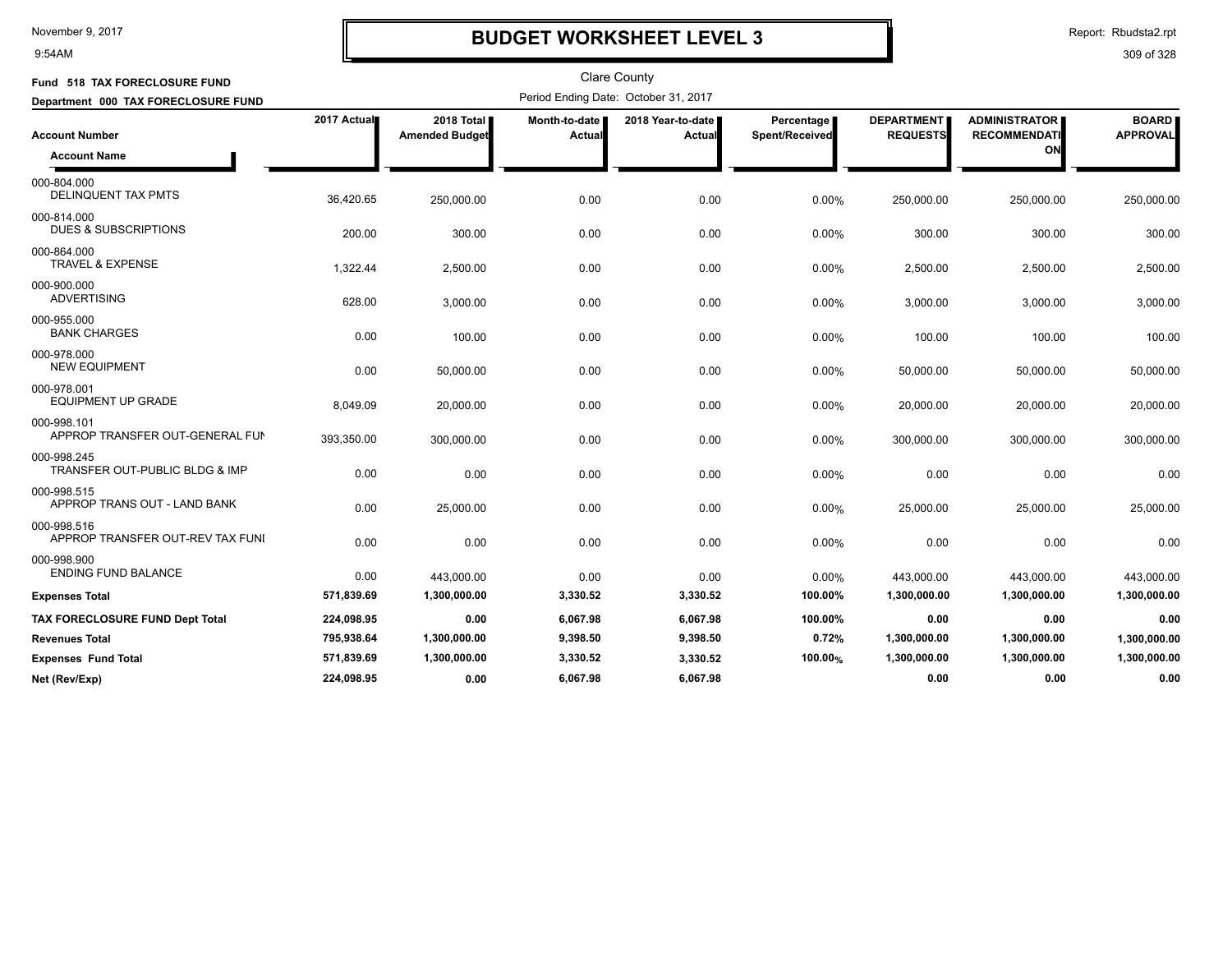9:54AM

### **BUDGET WORKSHEET LEVEL 3**

Report: Rbudsta2.rpt

| Fund 518 TAX FORECLOSURE FUND                   |             |                                     |                         | <b>Clare County</b>                  |                              |                                      |                                                   |                                 |
|-------------------------------------------------|-------------|-------------------------------------|-------------------------|--------------------------------------|------------------------------|--------------------------------------|---------------------------------------------------|---------------------------------|
| Department 000 TAX FORECLOSURE FUND             |             |                                     |                         | Period Ending Date: October 31, 2017 |                              |                                      |                                                   |                                 |
| <b>Account Number</b><br><b>Account Name</b>    | 2017 Actual | 2018 Total<br><b>Amended Budget</b> | Month-to-date<br>Actual | 2018 Year-to-date<br>Actual          | Percentage<br>Spent/Received | <b>DEPARTMENT</b><br><b>REQUESTS</b> | <b>ADMINISTRATOR</b><br><b>RECOMMENDATI</b><br>ON | <b>BOARD</b><br><b>APPROVAL</b> |
| 000-804.000<br><b>DELINQUENT TAX PMTS</b>       | 36,420.65   | 250,000.00                          | 0.00                    | 0.00                                 | 0.00%                        | 250,000.00                           | 250,000.00                                        | 250,000.00                      |
| 000-814.000<br><b>DUES &amp; SUBSCRIPTIONS</b>  | 200.00      | 300.00                              | 0.00                    | 0.00                                 | 0.00%                        | 300.00                               | 300.00                                            | 300.00                          |
| 000-864.000<br><b>TRAVEL &amp; EXPENSE</b>      | 1,322.44    | 2,500.00                            | 0.00                    | 0.00                                 | 0.00%                        | 2,500.00                             | 2,500.00                                          | 2,500.00                        |
| 000-900.000<br><b>ADVERTISING</b>               | 628.00      | 3,000.00                            | 0.00                    | 0.00                                 | 0.00%                        | 3,000.00                             | 3,000.00                                          | 3,000.00                        |
| 000-955.000<br><b>BANK CHARGES</b>              | 0.00        | 100.00                              | 0.00                    | 0.00                                 | 0.00%                        | 100.00                               | 100.00                                            | 100.00                          |
| 000-978.000<br><b>NEW EQUIPMENT</b>             | 0.00        | 50,000.00                           | 0.00                    | 0.00                                 | 0.00%                        | 50,000.00                            | 50,000.00                                         | 50,000.00                       |
| 000-978.001<br><b>EQUIPMENT UP GRADE</b>        | 8.049.09    | 20,000.00                           | 0.00                    | 0.00                                 | 0.00%                        | 20,000.00                            | 20,000.00                                         | 20,000.00                       |
| 000-998.101<br>APPROP TRANSFER OUT-GENERAL FUN  | 393,350.00  | 300,000.00                          | 0.00                    | 0.00                                 | 0.00%                        | 300,000.00                           | 300,000.00                                        | 300,000.00                      |
| 000-998.245<br>TRANSFER OUT-PUBLIC BLDG & IMP   | 0.00        | 0.00                                | 0.00                    | 0.00                                 | 0.00%                        | 0.00                                 | 0.00                                              | 0.00                            |
| 000-998.515<br>APPROP TRANS OUT - LAND BANK     | 0.00        | 25,000.00                           | 0.00                    | 0.00                                 | 0.00%                        | 25,000.00                            | 25,000.00                                         | 25,000.00                       |
| 000-998.516<br>APPROP TRANSFER OUT-REV TAX FUNI | 0.00        | 0.00                                | 0.00                    | 0.00                                 | 0.00%                        | 0.00                                 | 0.00                                              | 0.00                            |
| 000-998.900<br><b>ENDING FUND BALANCE</b>       | 0.00        | 443,000.00                          | 0.00                    | 0.00                                 | 0.00%                        | 443,000.00                           | 443,000.00                                        | 443,000.00                      |
| <b>Expenses Total</b>                           | 571,839.69  | 1,300,000.00                        | 3,330.52                | 3,330.52                             | 100.00%                      | 1,300,000.00                         | 1,300,000.00                                      | 1,300,000.00                    |
| TAX FORECLOSURE FUND Dept Total                 | 224,098.95  | 0.00                                | 6,067.98                | 6,067.98                             | 100.00%                      | 0.00                                 | 0.00                                              | 0.00                            |
| <b>Revenues Total</b>                           | 795,938.64  | 1,300,000.00                        | 9,398.50                | 9,398.50                             | 0.72%                        | 1,300,000.00                         | 1,300,000.00                                      | 1,300,000.00                    |
| <b>Expenses Fund Total</b>                      | 571,839.69  | 1,300,000.00                        | 3,330.52                | 3,330.52                             | 100.00%                      | 1,300,000.00                         | 1,300,000.00                                      | 1,300,000.00                    |
| Net (Rev/Exp)                                   | 224.098.95  | 0.00                                | 6.067.98                | 6.067.98                             |                              | 0.00                                 | 0.00                                              | 0.00                            |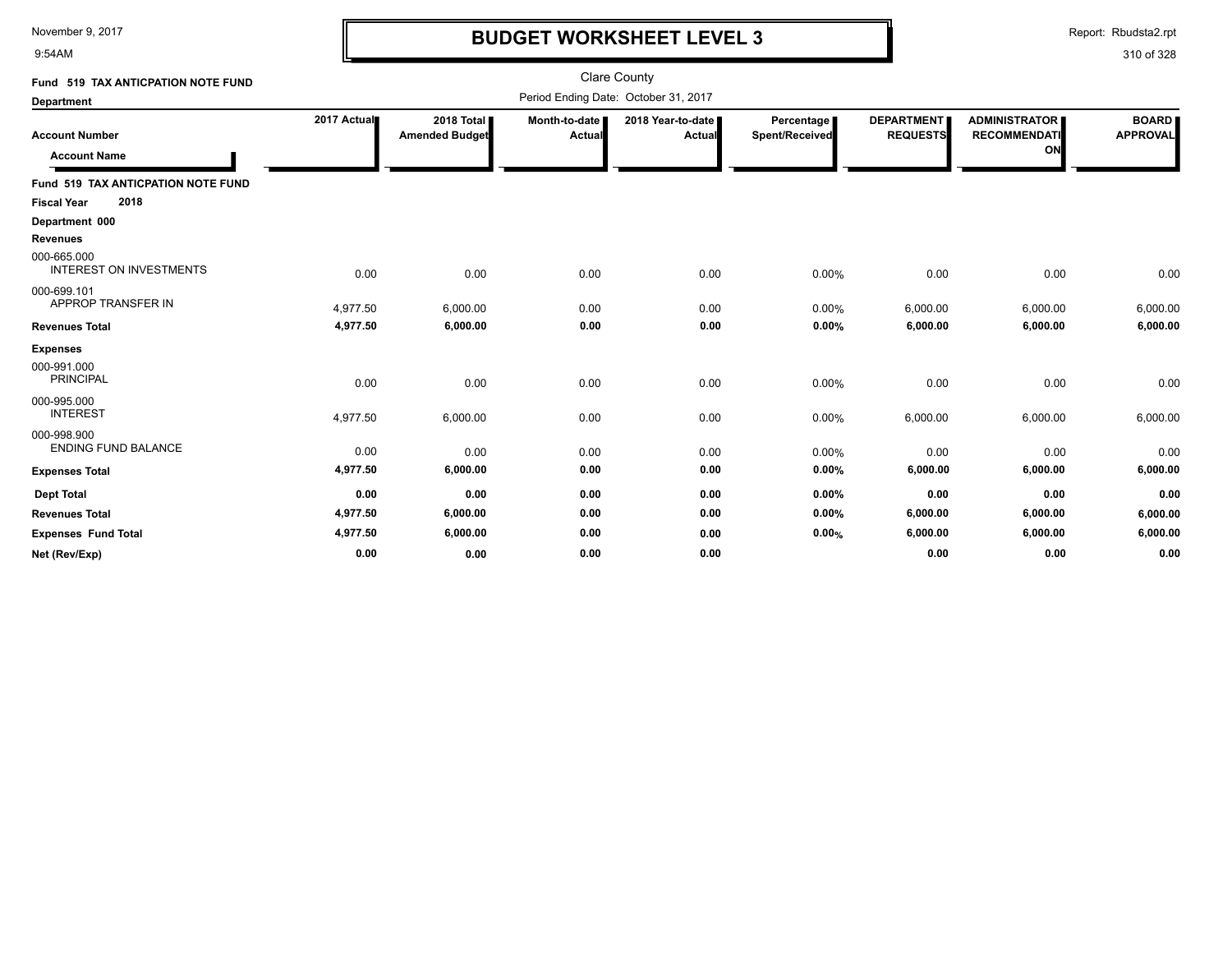9:54AM

### **BUDGET WORKSHEET LEVEL 3**

Report: Rbudsta2.rpt

| Fund 519 TAX ANTICPATION NOTE FUND            |             |                                     |                         | <b>Clare County</b>                  |                                     |                                      |                                                   |                                 |
|-----------------------------------------------|-------------|-------------------------------------|-------------------------|--------------------------------------|-------------------------------------|--------------------------------------|---------------------------------------------------|---------------------------------|
| <b>Department</b>                             |             |                                     |                         | Period Ending Date: October 31, 2017 |                                     |                                      |                                                   |                                 |
| <b>Account Number</b><br><b>Account Name</b>  | 2017 Actual | 2018 Total<br><b>Amended Budget</b> | Month-to-date<br>Actual | 2018 Year-to-date<br><b>Actual</b>   | <b>Percentage</b><br>Spent/Received | <b>DEPARTMENT</b><br><b>REQUESTS</b> | <b>ADMINISTRATOR</b><br><b>RECOMMENDATI</b><br>ON | <b>BOARD</b><br><b>APPROVAL</b> |
| Fund 519 TAX ANTICPATION NOTE FUND            |             |                                     |                         |                                      |                                     |                                      |                                                   |                                 |
| 2018<br><b>Fiscal Year</b>                    |             |                                     |                         |                                      |                                     |                                      |                                                   |                                 |
| Department 000                                |             |                                     |                         |                                      |                                     |                                      |                                                   |                                 |
| <b>Revenues</b>                               |             |                                     |                         |                                      |                                     |                                      |                                                   |                                 |
| 000-665.000<br><b>INTEREST ON INVESTMENTS</b> | 0.00        | 0.00                                | 0.00                    | 0.00                                 | 0.00%                               | 0.00                                 | 0.00                                              | 0.00                            |
| 000-699.101<br>APPROP TRANSFER IN             | 4,977.50    | 6,000.00                            | 0.00                    | 0.00                                 | 0.00%                               | 6,000.00                             | 6,000.00                                          | 6,000.00                        |
| <b>Revenues Total</b>                         | 4,977.50    | 6,000.00                            | 0.00                    | 0.00                                 | 0.00%                               | 6,000.00                             | 6,000.00                                          | 6,000.00                        |
| <b>Expenses</b>                               |             |                                     |                         |                                      |                                     |                                      |                                                   |                                 |
| 000-991.000<br><b>PRINCIPAL</b>               | 0.00        | 0.00                                | 0.00                    | 0.00                                 | 0.00%                               | 0.00                                 | 0.00                                              | 0.00                            |
| 000-995.000<br><b>INTEREST</b>                | 4,977.50    | 6,000.00                            | 0.00                    | 0.00                                 | 0.00%                               | 6,000.00                             | 6,000.00                                          | 6,000.00                        |
| 000-998.900<br><b>ENDING FUND BALANCE</b>     | 0.00        | 0.00                                | 0.00                    | 0.00                                 | 0.00%                               | 0.00                                 | 0.00                                              | 0.00                            |
| <b>Expenses Total</b>                         | 4,977.50    | 6,000.00                            | 0.00                    | 0.00                                 | 0.00%                               | 6,000.00                             | 6,000.00                                          | 6,000.00                        |
| <b>Dept Total</b>                             | 0.00        | 0.00                                | 0.00                    | 0.00                                 | 0.00%                               | 0.00                                 | 0.00                                              | 0.00                            |
| <b>Revenues Total</b>                         | 4,977.50    | 6,000.00                            | 0.00                    | 0.00                                 | 0.00%                               | 6,000.00                             | 6,000.00                                          | 6,000.00                        |
| <b>Expenses Fund Total</b>                    | 4,977.50    | 6,000.00                            | 0.00                    | 0.00                                 | 0.00%                               | 6,000.00                             | 6,000.00                                          | 6,000.00                        |
| Net (Rev/Exp)                                 | 0.00        | 0.00                                | 0.00                    | 0.00                                 |                                     | 0.00                                 | 0.00                                              | 0.00                            |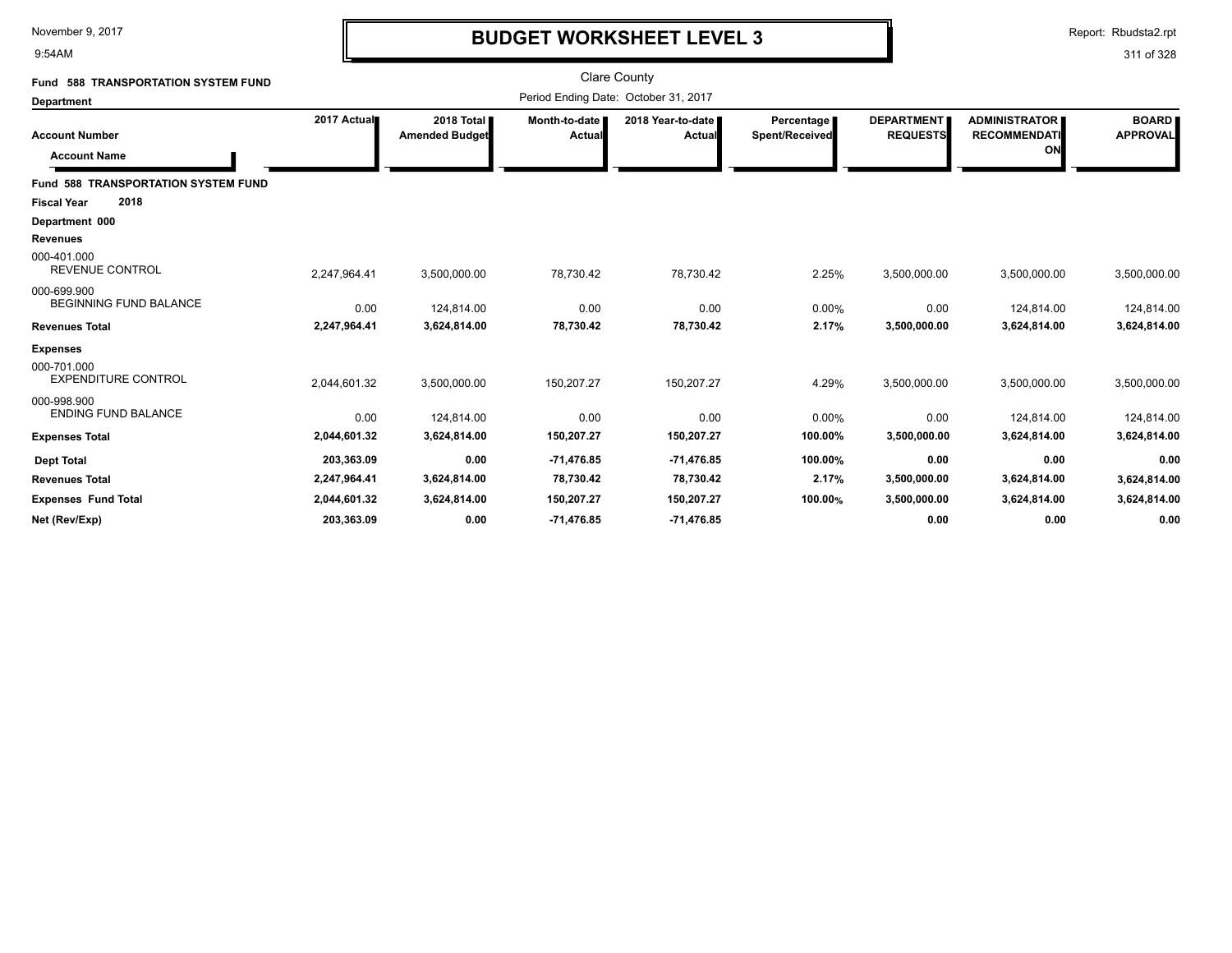9:54AM

### **BUDGET WORKSHEET LEVEL 3**

Report: Rbudsta2.rpt

| Fund 588 TRANSPORTATION SYSTEM FUND                                                                           |              |                                     |                         | <b>Clare County</b>                  |                                     |                                      |                                                   |                                 |
|---------------------------------------------------------------------------------------------------------------|--------------|-------------------------------------|-------------------------|--------------------------------------|-------------------------------------|--------------------------------------|---------------------------------------------------|---------------------------------|
| Department                                                                                                    |              |                                     |                         | Period Ending Date: October 31, 2017 |                                     |                                      |                                                   |                                 |
| <b>Account Number</b><br><b>Account Name</b>                                                                  | 2017 Actual  | 2018 Total<br><b>Amended Budget</b> | Month-to-date<br>Actual | 2018 Year-to-date<br>Actual          | <b>Percentage</b><br>Spent/Received | <b>DEPARTMENT</b><br><b>REQUESTS</b> | <b>ADMINISTRATOR</b><br><b>RECOMMENDATI</b><br>ON | <b>BOARD</b><br><b>APPROVAL</b> |
| <b>Fund 588 TRANSPORTATION SYSTEM FUND</b><br>2018<br><b>Fiscal Year</b><br>Department 000<br><b>Revenues</b> |              |                                     |                         |                                      |                                     |                                      |                                                   |                                 |
| 000-401.000<br><b>REVENUE CONTROL</b>                                                                         | 2,247,964.41 | 3,500,000.00                        | 78,730.42               | 78,730.42                            | 2.25%                               | 3,500,000.00                         | 3,500,000.00                                      | 3,500,000.00                    |
| 000-699.900<br><b>BEGINNING FUND BALANCE</b>                                                                  | 0.00         | 124,814.00                          | 0.00                    | 0.00                                 | 0.00%                               | 0.00                                 | 124,814.00                                        | 124,814.00                      |
| <b>Revenues Total</b>                                                                                         | 2,247,964.41 | 3,624,814.00                        | 78,730.42               | 78,730.42                            | 2.17%                               | 3,500,000.00                         | 3,624,814.00                                      | 3,624,814.00                    |
| <b>Expenses</b><br>000-701.000<br><b>EXPENDITURE CONTROL</b>                                                  | 2,044,601.32 | 3,500,000.00                        | 150,207.27              | 150,207.27                           | 4.29%                               | 3,500,000.00                         | 3,500,000.00                                      | 3,500,000.00                    |
| 000-998.900<br><b>ENDING FUND BALANCE</b>                                                                     | 0.00         | 124,814.00                          | 0.00                    | 0.00                                 | 0.00%                               | 0.00                                 | 124,814.00                                        | 124,814.00                      |
| <b>Expenses Total</b>                                                                                         | 2,044,601.32 | 3,624,814.00                        | 150,207.27              | 150,207.27                           | 100.00%                             | 3,500,000.00                         | 3,624,814.00                                      | 3,624,814.00                    |
| <b>Dept Total</b>                                                                                             | 203,363.09   | 0.00                                | $-71,476.85$            | $-71,476.85$                         | 100.00%                             | 0.00                                 | 0.00                                              | 0.00                            |
| <b>Revenues Total</b>                                                                                         | 2,247,964.41 | 3,624,814.00                        | 78,730.42               | 78,730.42                            | 2.17%                               | 3,500,000.00                         | 3,624,814.00                                      | 3,624,814.00                    |
| <b>Expenses Fund Total</b>                                                                                    | 2,044,601.32 | 3,624,814.00                        | 150,207.27              | 150,207.27                           | 100.00%                             | 3,500,000.00                         | 3,624,814.00                                      | 3,624,814.00                    |
| Net (Rev/Exp)                                                                                                 | 203,363.09   | 0.00                                | $-71,476.85$            | $-71,476.85$                         |                                     | 0.00                                 | 0.00                                              | 0.00                            |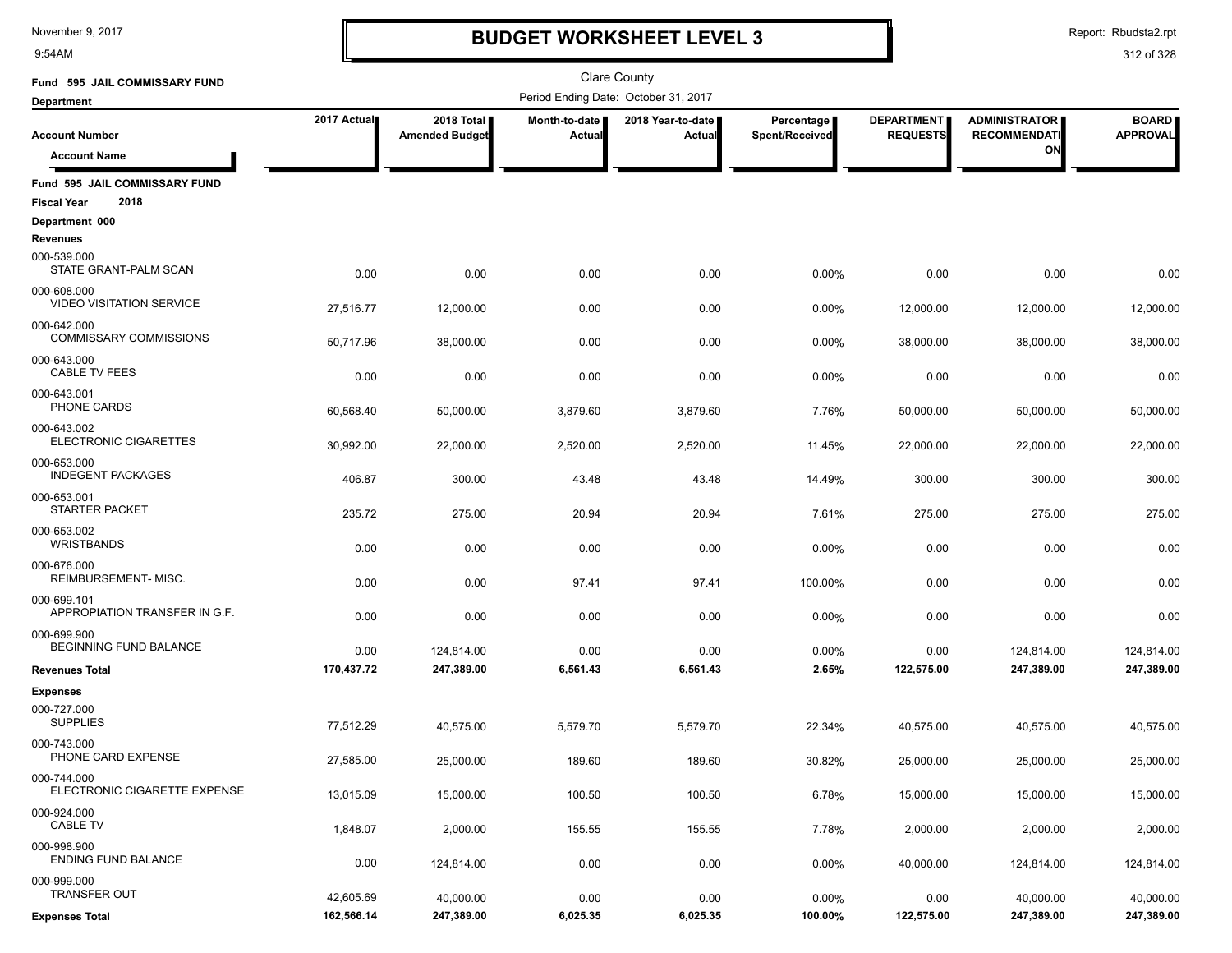9:54AM

### **BUDGET WORKSHEET LEVEL 3**

Report: Rbudsta2.rpt

| Fund 595 JAIL COMMISSARY FUND                               |                        |                                     |                         | <b>Clare County</b>                  |                              |                                      |                                             |                                 |
|-------------------------------------------------------------|------------------------|-------------------------------------|-------------------------|--------------------------------------|------------------------------|--------------------------------------|---------------------------------------------|---------------------------------|
| Department                                                  |                        |                                     |                         | Period Ending Date: October 31, 2017 |                              |                                      |                                             |                                 |
| <b>Account Number</b>                                       | 2017 Actual            | 2018 Total<br><b>Amended Budget</b> | Month-to-date<br>Actual | 2018 Year-to-date<br>Actual          | Percentage<br>Spent/Received | <b>DEPARTMENT</b><br><b>REQUESTS</b> | <b>ADMINISTRATOR</b><br><b>RECOMMENDATI</b> | <b>BOARD</b><br><b>APPROVAL</b> |
| <b>Account Name</b>                                         |                        |                                     |                         |                                      |                              |                                      | ON                                          |                                 |
| Fund 595 JAIL COMMISSARY FUND<br>2018<br><b>Fiscal Year</b> |                        |                                     |                         |                                      |                              |                                      |                                             |                                 |
| Department 000                                              |                        |                                     |                         |                                      |                              |                                      |                                             |                                 |
| <b>Revenues</b>                                             |                        |                                     |                         |                                      |                              |                                      |                                             |                                 |
| 000-539.000<br>STATE GRANT-PALM SCAN                        | 0.00                   | 0.00                                | 0.00                    | 0.00                                 | 0.00%                        | 0.00                                 | 0.00                                        | 0.00                            |
| 000-608.000<br>VIDEO VISITATION SERVICE                     | 27,516.77              | 12,000.00                           | 0.00                    | 0.00                                 | 0.00%                        | 12,000.00                            | 12,000.00                                   | 12,000.00                       |
| 000-642.000<br><b>COMMISSARY COMMISSIONS</b>                | 50,717.96              | 38,000.00                           | 0.00                    | 0.00                                 | 0.00%                        | 38,000.00                            | 38,000.00                                   | 38,000.00                       |
| 000-643.000<br><b>CABLE TV FEES</b>                         | 0.00                   | 0.00                                | 0.00                    | 0.00                                 | 0.00%                        | 0.00                                 | 0.00                                        | 0.00                            |
| 000-643.001<br><b>PHONE CARDS</b>                           | 60,568.40              | 50,000.00                           | 3,879.60                | 3,879.60                             | 7.76%                        | 50,000.00                            | 50,000.00                                   | 50,000.00                       |
| 000-643.002<br><b>ELECTRONIC CIGARETTES</b>                 | 30,992.00              | 22,000.00                           | 2,520.00                | 2,520.00                             | 11.45%                       | 22,000.00                            | 22,000.00                                   | 22,000.00                       |
| 000-653.000<br><b>INDEGENT PACKAGES</b>                     | 406.87                 | 300.00                              | 43.48                   | 43.48                                | 14.49%                       | 300.00                               | 300.00                                      | 300.00                          |
| 000-653.001<br><b>STARTER PACKET</b>                        | 235.72                 | 275.00                              | 20.94                   | 20.94                                | 7.61%                        | 275.00                               | 275.00                                      | 275.00                          |
| 000-653.002<br><b>WRISTBANDS</b>                            | 0.00                   | 0.00                                | 0.00                    | 0.00                                 | 0.00%                        | 0.00                                 | 0.00                                        | 0.00                            |
| 000-676.000<br>REIMBURSEMENT-MISC.                          | 0.00                   | 0.00                                | 97.41                   | 97.41                                | 100.00%                      | 0.00                                 | 0.00                                        | 0.00                            |
| 000-699.101<br>APPROPIATION TRANSFER IN G.F.                | 0.00                   | 0.00                                | 0.00                    | 0.00                                 | 0.00%                        | 0.00                                 | 0.00                                        | 0.00                            |
| 000-699.900<br>BEGINNING FUND BALANCE                       | 0.00                   | 124,814.00                          | 0.00                    | 0.00                                 | 0.00%                        | 0.00                                 | 124,814.00                                  | 124,814.00                      |
| <b>Revenues Total</b>                                       | 170,437.72             | 247,389.00                          | 6,561.43                | 6,561.43                             | 2.65%                        | 122,575.00                           | 247,389.00                                  | 247,389.00                      |
| <b>Expenses</b><br>000-727.000<br><b>SUPPLIES</b>           |                        |                                     |                         |                                      |                              |                                      |                                             |                                 |
| 000-743.000<br>PHONE CARD EXPENSE                           | 77,512.29<br>27,585.00 | 40,575.00<br>25.000.00              | 5,579.70<br>189.60      | 5,579.70<br>189.60                   | 22.34%<br>30.82%             | 40,575.00<br>25,000.00               | 40,575.00<br>25,000.00                      | 40,575.00<br>25,000.00          |
| 000-744.000<br>ELECTRONIC CIGARETTE EXPENSE                 | 13,015.09              | 15,000.00                           | 100.50                  | 100.50                               | 6.78%                        | 15,000.00                            | 15,000.00                                   | 15,000.00                       |
| 000-924.000<br><b>CABLE TV</b>                              | 1,848.07               | 2,000.00                            | 155.55                  | 155.55                               | 7.78%                        | 2,000.00                             | 2,000.00                                    | 2,000.00                        |
| 000-998.900<br><b>ENDING FUND BALANCE</b>                   | 0.00                   | 124,814.00                          | 0.00                    | 0.00                                 | 0.00%                        | 40,000.00                            | 124,814.00                                  | 124,814.00                      |
| 000-999.000<br>TRANSFER OUT                                 | 42,605.69              | 40,000.00                           | 0.00                    | 0.00                                 | 0.00%                        | 0.00                                 | 40,000.00                                   | 40,000.00                       |
| <b>Expenses Total</b>                                       | 162,566.14             | 247,389.00                          | 6,025.35                | 6,025.35                             | 100.00%                      | 122,575.00                           | 247,389.00                                  | 247,389.00                      |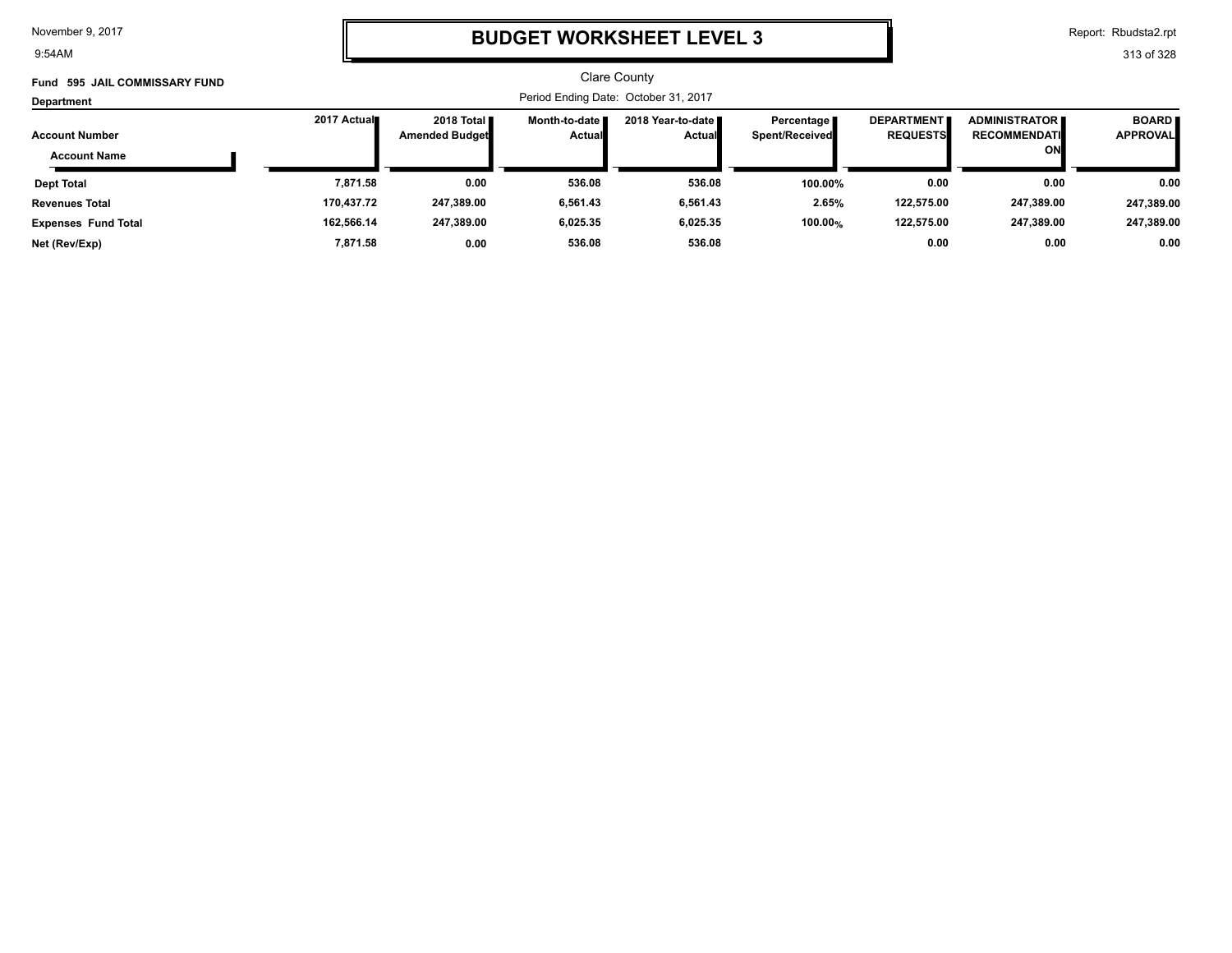9:54AM

### **BUDGET WORKSHEET LEVEL 3**

Report: Rbudsta2.rpt

| <b>595 JAIL COMMISSARY FUND</b><br>Fund |                                      |                       |                 | <b>Clare County</b> |                       |                   |                         |                 |
|-----------------------------------------|--------------------------------------|-----------------------|-----------------|---------------------|-----------------------|-------------------|-------------------------|-----------------|
| Department                              | Period Ending Date: October 31, 2017 |                       |                 |                     |                       |                   |                         |                 |
|                                         | 2017 Actual                          | 2018 Total <b>II</b>  | Month-to-date ■ | 2018 Year-to-date ■ | Percentage            | <b>DEPARTMENT</b> | <b>ADMINISTRATOR II</b> | <b>BOARD</b>    |
| <b>Account Number</b>                   |                                      | <b>Amended Budget</b> | <b>Actual</b>   | <b>Actual</b>       | <b>Spent/Received</b> | <b>REQUESTS</b>   | <b>RECOMMENDATI</b>     | <b>APPROVAL</b> |
| <b>Account Name</b>                     |                                      |                       |                 |                     |                       |                   | ON                      |                 |
| <b>Dept Total</b>                       | 7,871.58                             | 0.00                  | 536.08          | 536.08              | 100.00%               | 0.00              | 0.00                    | 0.00            |
| <b>Revenues Total</b>                   | 170,437.72                           | 247,389.00            | 6,561.43        | 6,561.43            | 2.65%                 | 122,575.00        | 247,389.00              | 247,389.00      |
| <b>Expenses Fund Total</b>              | 162,566.14                           | 247,389.00            | 6,025.35        | 6,025.35            | 100.00%               | 122,575.00        | 247,389.00              | 247,389.00      |
| Net (Rev/Exp)                           | 7.871.58                             | 0.00                  | 536.08          | 536.08              |                       | 0.00              | 0.00                    | 0.00            |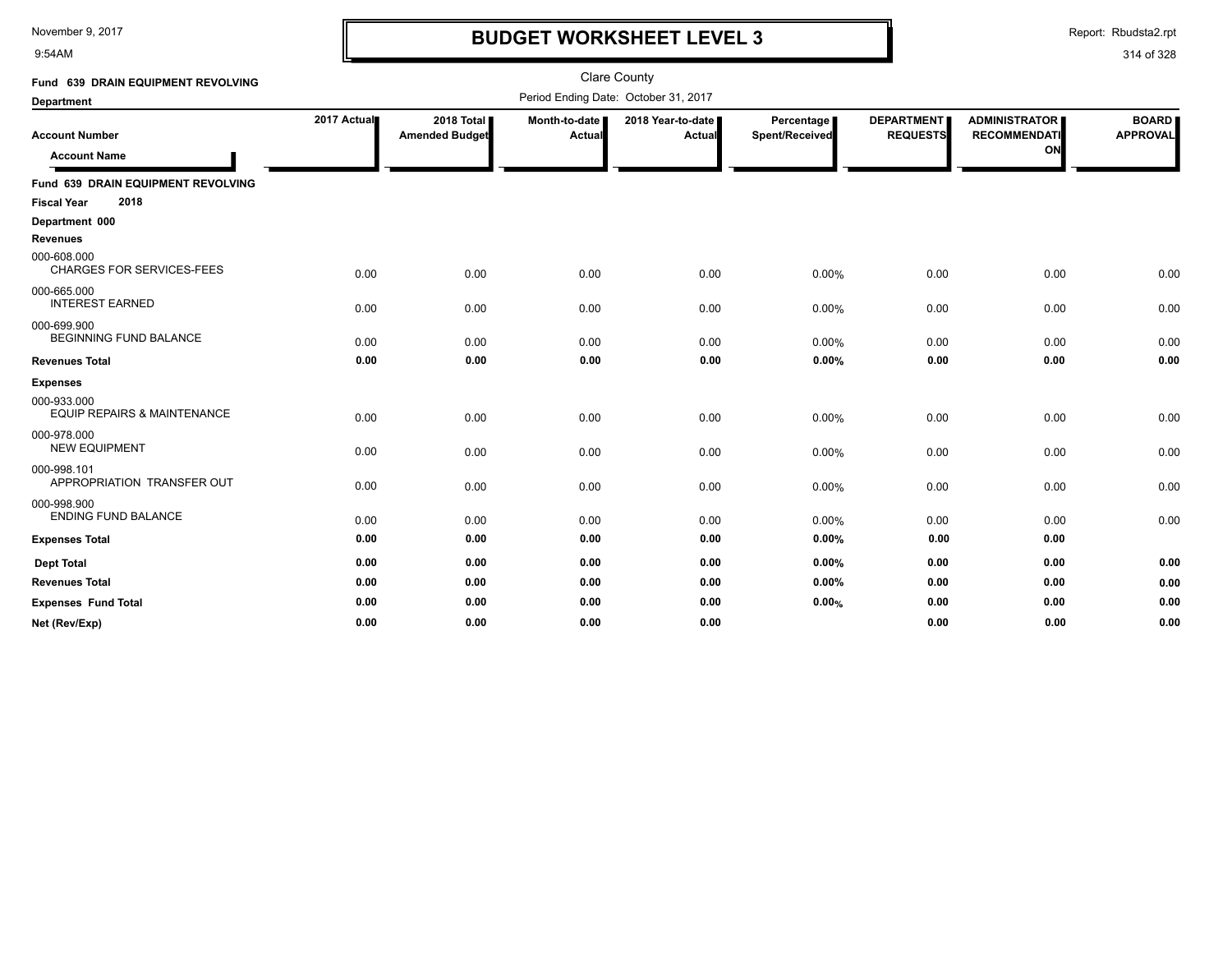9:54AM

### **BUDGET WORKSHEET LEVEL 3**

Report: Rbudsta2.rpt

| Fund 639 DRAIN EQUIPMENT REVOLVING                               |             |                                     |                         | <b>Clare County</b>                  |                              |                                      |                                                   |                                 |
|------------------------------------------------------------------|-------------|-------------------------------------|-------------------------|--------------------------------------|------------------------------|--------------------------------------|---------------------------------------------------|---------------------------------|
| <b>Department</b>                                                |             |                                     |                         | Period Ending Date: October 31, 2017 |                              |                                      |                                                   |                                 |
| <b>Account Number</b><br><b>Account Name</b>                     | 2017 Actual | 2018 Total<br><b>Amended Budget</b> | Month-to-date<br>Actual | 2018 Year-to-date<br>Actual          | Percentage<br>Spent/Received | <b>DEPARTMENT</b><br><b>REQUESTS</b> | <b>ADMINISTRATOR</b><br><b>RECOMMENDATI</b><br>ON | <b>BOARD</b><br><b>APPROVAL</b> |
| Fund 639 DRAIN EQUIPMENT REVOLVING<br>2018<br><b>Fiscal Year</b> |             |                                     |                         |                                      |                              |                                      |                                                   |                                 |
| Department 000                                                   |             |                                     |                         |                                      |                              |                                      |                                                   |                                 |
| <b>Revenues</b>                                                  |             |                                     |                         |                                      |                              |                                      |                                                   |                                 |
| 000-608.000<br><b>CHARGES FOR SERVICES-FEES</b>                  | 0.00        | 0.00                                | 0.00                    | 0.00                                 | 0.00%                        | 0.00                                 | 0.00                                              | 0.00                            |
| 000-665.000<br><b>INTEREST EARNED</b>                            | 0.00        | 0.00                                | 0.00                    | 0.00                                 | $0.00\%$                     | 0.00                                 | 0.00                                              | 0.00                            |
| 000-699.900<br><b>BEGINNING FUND BALANCE</b>                     | 0.00        | 0.00                                | 0.00                    | 0.00                                 | $0.00\%$                     | 0.00                                 | 0.00                                              | 0.00                            |
| <b>Revenues Total</b>                                            | 0.00        | 0.00                                | 0.00                    | 0.00                                 | $0.00\%$                     | 0.00                                 | 0.00                                              | 0.00                            |
| <b>Expenses</b>                                                  |             |                                     |                         |                                      |                              |                                      |                                                   |                                 |
| 000-933.000<br><b>EQUIP REPAIRS &amp; MAINTENANCE</b>            | 0.00        | 0.00                                | 0.00                    | 0.00                                 | 0.00%                        | 0.00                                 | 0.00                                              | 0.00                            |
| 000-978.000<br><b>NEW EQUIPMENT</b>                              | 0.00        | 0.00                                | 0.00                    | 0.00                                 | 0.00%                        | 0.00                                 | 0.00                                              | 0.00                            |
| 000-998.101<br>APPROPRIATION TRANSFER OUT                        | 0.00        | 0.00                                | 0.00                    | 0.00                                 | 0.00%                        | 0.00                                 | 0.00                                              | 0.00                            |
| 000-998.900<br><b>ENDING FUND BALANCE</b>                        | 0.00        | 0.00                                | 0.00                    | 0.00                                 | 0.00%                        | 0.00                                 | 0.00                                              | 0.00                            |
| <b>Expenses Total</b>                                            | 0.00        | 0.00                                | 0.00                    | 0.00                                 | $0.00\%$                     | 0.00                                 | 0.00                                              |                                 |
| <b>Dept Total</b>                                                | 0.00        | 0.00                                | 0.00                    | 0.00                                 | $0.00\%$                     | 0.00                                 | 0.00                                              | 0.00                            |
| <b>Revenues Total</b>                                            | 0.00        | 0.00                                | 0.00                    | 0.00                                 | $0.00\%$                     | 0.00                                 | 0.00                                              | 0.00                            |
| <b>Expenses Fund Total</b>                                       | 0.00        | 0.00                                | 0.00                    | 0.00                                 | 0.00%                        | 0.00                                 | 0.00                                              | 0.00                            |
| Net (Rev/Exp)                                                    | 0.00        | 0.00                                | 0.00                    | 0.00                                 |                              | 0.00                                 | 0.00                                              | 0.00                            |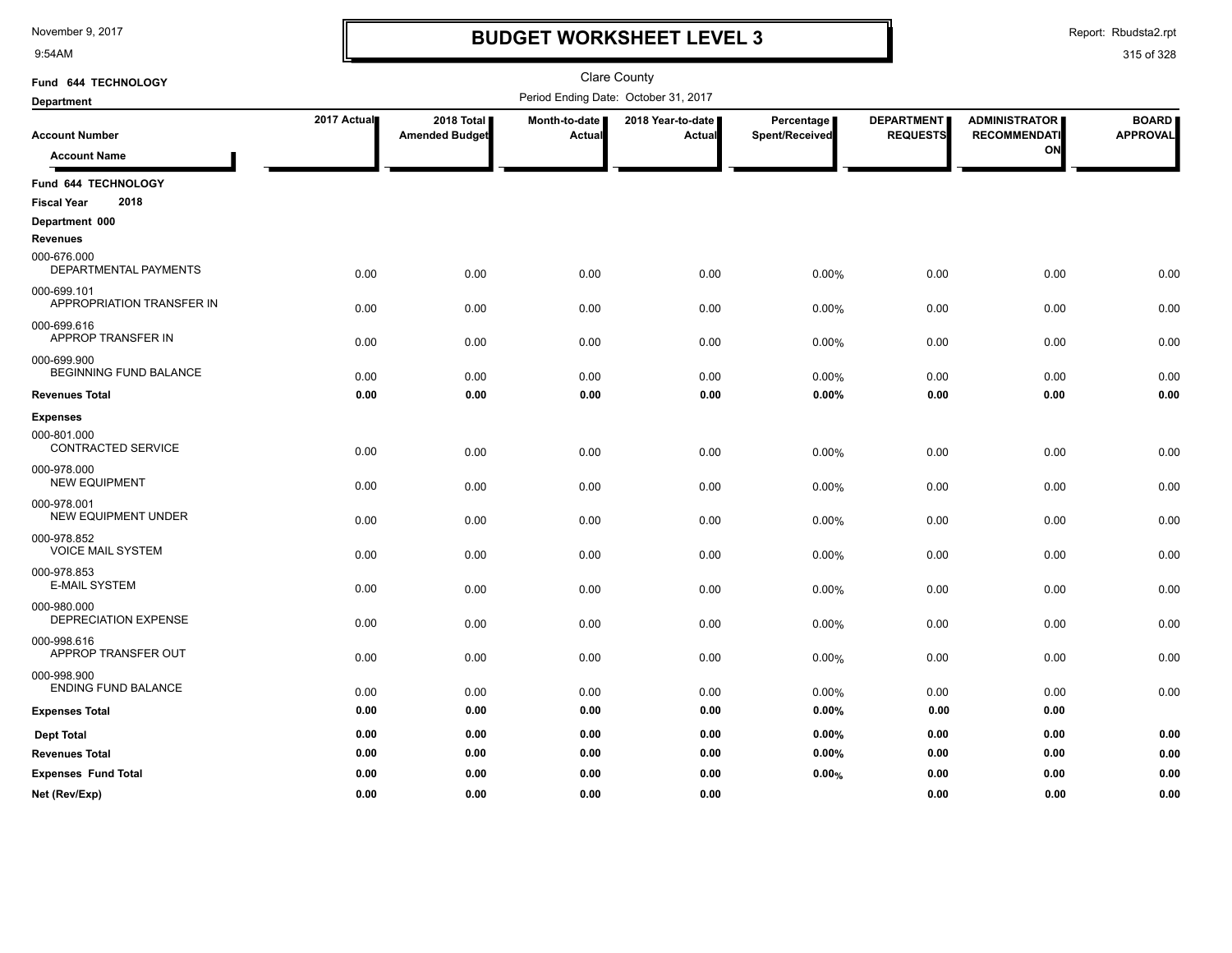9:54AM

### **BUDGET WORKSHEET LEVEL 3**

Report: Rbudsta2.rpt

| Fund 644 TECHNOLOGY                          |             |                                     |                         | <b>Clare County</b>                  |                              |                                      |                                                   |                                 |
|----------------------------------------------|-------------|-------------------------------------|-------------------------|--------------------------------------|------------------------------|--------------------------------------|---------------------------------------------------|---------------------------------|
| <b>Department</b>                            |             |                                     |                         | Period Ending Date: October 31, 2017 |                              |                                      |                                                   |                                 |
| <b>Account Number</b><br><b>Account Name</b> | 2017 Actual | 2018 Total<br><b>Amended Budget</b> | Month-to-date<br>Actual | 2018 Year-to-date<br>Actual          | Percentage<br>Spent/Received | <b>DEPARTMENT</b><br><b>REQUESTS</b> | <b>ADMINISTRATOR</b><br><b>RECOMMENDATI</b><br>ON | <b>BOARD</b><br><b>APPROVAL</b> |
| Fund 644 TECHNOLOGY                          |             |                                     |                         |                                      |                              |                                      |                                                   |                                 |
| 2018<br><b>Fiscal Year</b>                   |             |                                     |                         |                                      |                              |                                      |                                                   |                                 |
| Department 000<br><b>Revenues</b>            |             |                                     |                         |                                      |                              |                                      |                                                   |                                 |
| 000-676.000<br>DEPARTMENTAL PAYMENTS         | 0.00        | 0.00                                | 0.00                    | 0.00                                 | 0.00%                        | 0.00                                 | 0.00                                              | 0.00                            |
| 000-699.101<br>APPROPRIATION TRANSFER IN     | 0.00        | 0.00                                | 0.00                    | 0.00                                 | 0.00%                        | 0.00                                 | 0.00                                              | 0.00                            |
| 000-699.616<br>APPROP TRANSFER IN            | 0.00        | 0.00                                | 0.00                    | 0.00                                 | 0.00%                        | 0.00                                 | 0.00                                              | 0.00                            |
| 000-699.900<br>BEGINNING FUND BALANCE        | 0.00        | 0.00                                | 0.00                    | 0.00                                 | 0.00%                        | 0.00                                 | 0.00                                              | 0.00                            |
| <b>Revenues Total</b>                        | 0.00        | 0.00                                | 0.00                    | 0.00                                 | 0.00%                        | 0.00                                 | 0.00                                              | 0.00                            |
| <b>Expenses</b>                              |             |                                     |                         |                                      |                              |                                      |                                                   |                                 |
| 000-801.000<br>CONTRACTED SERVICE            | 0.00        | 0.00                                | 0.00                    | 0.00                                 | 0.00%                        | 0.00                                 | 0.00                                              | 0.00                            |
| 000-978.000<br><b>NEW EQUIPMENT</b>          | 0.00        | 0.00                                | 0.00                    | 0.00                                 | 0.00%                        | 0.00                                 | 0.00                                              | 0.00                            |
| 000-978.001<br>NEW EQUIPMENT UNDER           | 0.00        | 0.00                                | 0.00                    | 0.00                                 | 0.00%                        | 0.00                                 | 0.00                                              | 0.00                            |
| 000-978.852<br><b>VOICE MAIL SYSTEM</b>      | 0.00        | 0.00                                | 0.00                    | 0.00                                 | 0.00%                        | 0.00                                 | 0.00                                              | 0.00                            |
| 000-978.853<br><b>E-MAIL SYSTEM</b>          | 0.00        | 0.00                                | 0.00                    | 0.00                                 | 0.00%                        | 0.00                                 | 0.00                                              | 0.00                            |
| 000-980.000<br>DEPRECIATION EXPENSE          | 0.00        | 0.00                                | 0.00                    | 0.00                                 | 0.00%                        | 0.00                                 | 0.00                                              | 0.00                            |
| 000-998.616<br>APPROP TRANSFER OUT           | 0.00        | 0.00                                | 0.00                    | 0.00                                 | 0.00%                        | 0.00                                 | 0.00                                              | 0.00                            |
| 000-998.900<br><b>ENDING FUND BALANCE</b>    | 0.00        | 0.00                                | 0.00                    | 0.00                                 | 0.00%                        | 0.00                                 | 0.00                                              | 0.00                            |
| <b>Expenses Total</b>                        | 0.00        | 0.00                                | 0.00                    | 0.00                                 | $0.00\%$                     | 0.00                                 | 0.00                                              |                                 |
| <b>Dept Total</b>                            | 0.00        | 0.00                                | 0.00                    | 0.00                                 | $0.00\%$                     | 0.00                                 | 0.00                                              | 0.00                            |
| <b>Revenues Total</b>                        | 0.00        | 0.00                                | 0.00                    | 0.00                                 | 0.00%                        | 0.00                                 | 0.00                                              | 0.00                            |
| <b>Expenses Fund Total</b>                   | 0.00        | 0.00                                | 0.00                    | 0.00                                 | 0.00%                        | 0.00                                 | 0.00                                              | 0.00                            |
| Net (Rev/Exp)                                | 0.00        | 0.00                                | 0.00                    | 0.00                                 |                              | 0.00                                 | 0.00                                              | 0.00                            |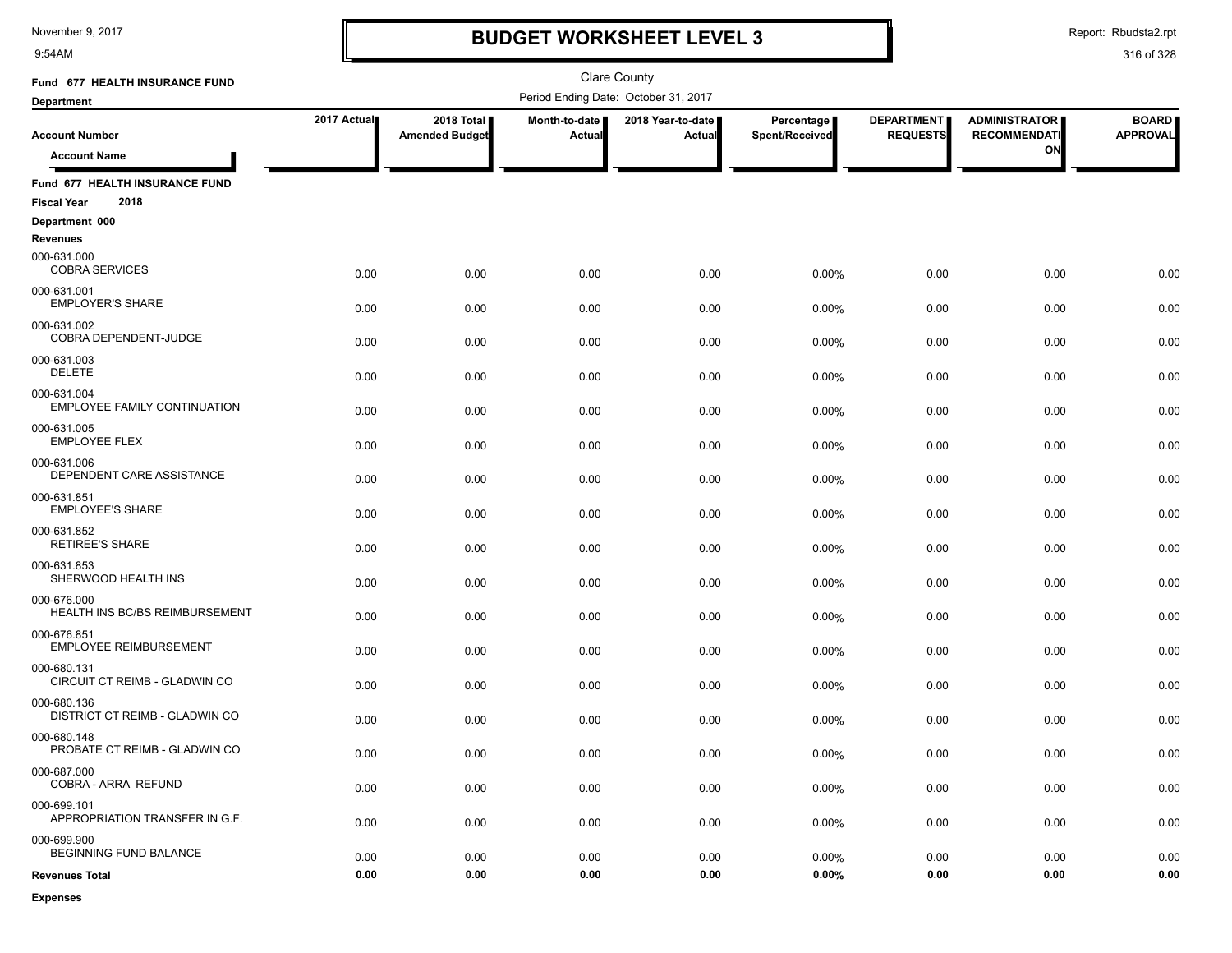9:54AM

**Expenses**

### **BUDGET WORKSHEET LEVEL 3**

Report: Rbudsta2.rpt

| Fund 677 HEALTH INSURANCE FUND                               |             |                                     |                         | Clare County                         |                              |                                      |                                             |                                 |
|--------------------------------------------------------------|-------------|-------------------------------------|-------------------------|--------------------------------------|------------------------------|--------------------------------------|---------------------------------------------|---------------------------------|
| <b>Department</b>                                            |             |                                     |                         | Period Ending Date: October 31, 2017 |                              |                                      |                                             |                                 |
| <b>Account Number</b>                                        | 2017 Actual | 2018 Total<br><b>Amended Budget</b> | Month-to-date<br>Actual | 2018 Year-to-date  <br><b>Actual</b> | Percentage<br>Spent/Received | <b>DEPARTMENT</b><br><b>REQUESTS</b> | <b>ADMINISTRATOR</b><br><b>RECOMMENDATI</b> | <b>BOARD</b><br><b>APPROVAL</b> |
| <b>Account Name</b>                                          |             |                                     |                         |                                      |                              |                                      | ON                                          |                                 |
| Fund 677 HEALTH INSURANCE FUND<br>2018<br><b>Fiscal Year</b> |             |                                     |                         |                                      |                              |                                      |                                             |                                 |
| Department 000                                               |             |                                     |                         |                                      |                              |                                      |                                             |                                 |
| <b>Revenues</b>                                              |             |                                     |                         |                                      |                              |                                      |                                             |                                 |
| 000-631.000<br><b>COBRA SERVICES</b>                         | 0.00        | 0.00                                | 0.00                    | 0.00                                 | 0.00%                        | 0.00                                 | 0.00                                        | 0.00                            |
| 000-631.001<br><b>EMPLOYER'S SHARE</b>                       | 0.00        | 0.00                                | 0.00                    | 0.00                                 | 0.00%                        | 0.00                                 | 0.00                                        | 0.00                            |
| 000-631.002<br>COBRA DEPENDENT-JUDGE                         | 0.00        | 0.00                                | 0.00                    | 0.00                                 | 0.00%                        | 0.00                                 | 0.00                                        | 0.00                            |
| 000-631.003<br><b>DELETE</b>                                 | 0.00        | 0.00                                | 0.00                    | 0.00                                 | 0.00%                        | 0.00                                 | 0.00                                        | 0.00                            |
| 000-631.004<br>EMPLOYEE FAMILY CONTINUATION                  | 0.00        | 0.00                                | 0.00                    | 0.00                                 | 0.00%                        | 0.00                                 | 0.00                                        | 0.00                            |
| 000-631.005<br><b>EMPLOYEE FLEX</b>                          | 0.00        | 0.00                                | 0.00                    | 0.00                                 | 0.00%                        | 0.00                                 | 0.00                                        | 0.00                            |
| 000-631.006<br>DEPENDENT CARE ASSISTANCE                     | 0.00        | 0.00                                | 0.00                    | 0.00                                 | 0.00%                        | 0.00                                 | 0.00                                        | 0.00                            |
| 000-631.851<br><b>EMPLOYEE'S SHARE</b>                       | 0.00        | 0.00                                | 0.00                    | 0.00                                 | 0.00%                        | 0.00                                 | 0.00                                        | 0.00                            |
| 000-631.852<br><b>RETIREE'S SHARE</b>                        | 0.00        | 0.00                                | 0.00                    | 0.00                                 | 0.00%                        | 0.00                                 | 0.00                                        | 0.00                            |
| 000-631.853<br>SHERWOOD HEALTH INS                           | 0.00        | 0.00                                | 0.00                    | 0.00                                 | 0.00%                        | 0.00                                 | 0.00                                        | 0.00                            |
| 000-676.000<br>HEALTH INS BC/BS REIMBURSEMENT                | 0.00        | 0.00                                | 0.00                    | 0.00                                 | 0.00%                        | 0.00                                 | 0.00                                        | 0.00                            |
| 000-676.851<br><b>EMPLOYEE REIMBURSEMENT</b>                 | 0.00        | 0.00                                | 0.00                    | 0.00                                 | 0.00%                        | 0.00                                 | 0.00                                        | 0.00                            |
| 000-680.131<br>CIRCUIT CT REIMB - GLADWIN CO                 | 0.00        | 0.00                                | 0.00                    | 0.00                                 | 0.00%                        | 0.00                                 | 0.00                                        | 0.00                            |
| 000-680.136<br>DISTRICT CT REIMB - GLADWIN CO                | 0.00        | 0.00                                | 0.00                    | 0.00                                 | 0.00%                        | 0.00                                 | 0.00                                        | 0.00                            |
| 000-680.148<br>PROBATE CT REIMB - GLADWIN CO                 | 0.00        | 0.00                                | 0.00                    | 0.00                                 | 0.00%                        | 0.00                                 | 0.00                                        | 0.00                            |
| 000-687.000<br>COBRA - ARRA REFUND                           | 0.00        | 0.00                                | 0.00                    | 0.00                                 | 0.00%                        | 0.00                                 | 0.00                                        | 0.00                            |
| 000-699.101<br>APPROPRIATION TRANSFER IN G.F.                | 0.00        | 0.00                                | 0.00                    | 0.00                                 | 0.00%                        | 0.00                                 | 0.00                                        | 0.00                            |
| 000-699.900<br><b>BEGINNING FUND BALANCE</b>                 | 0.00        | 0.00                                | 0.00                    | 0.00                                 | 0.00%                        | 0.00                                 | 0.00                                        | 0.00                            |
| <b>Revenues Total</b>                                        | 0.00        | 0.00                                | 0.00                    | 0.00                                 | 0.00%                        | 0.00                                 | 0.00                                        | 0.00                            |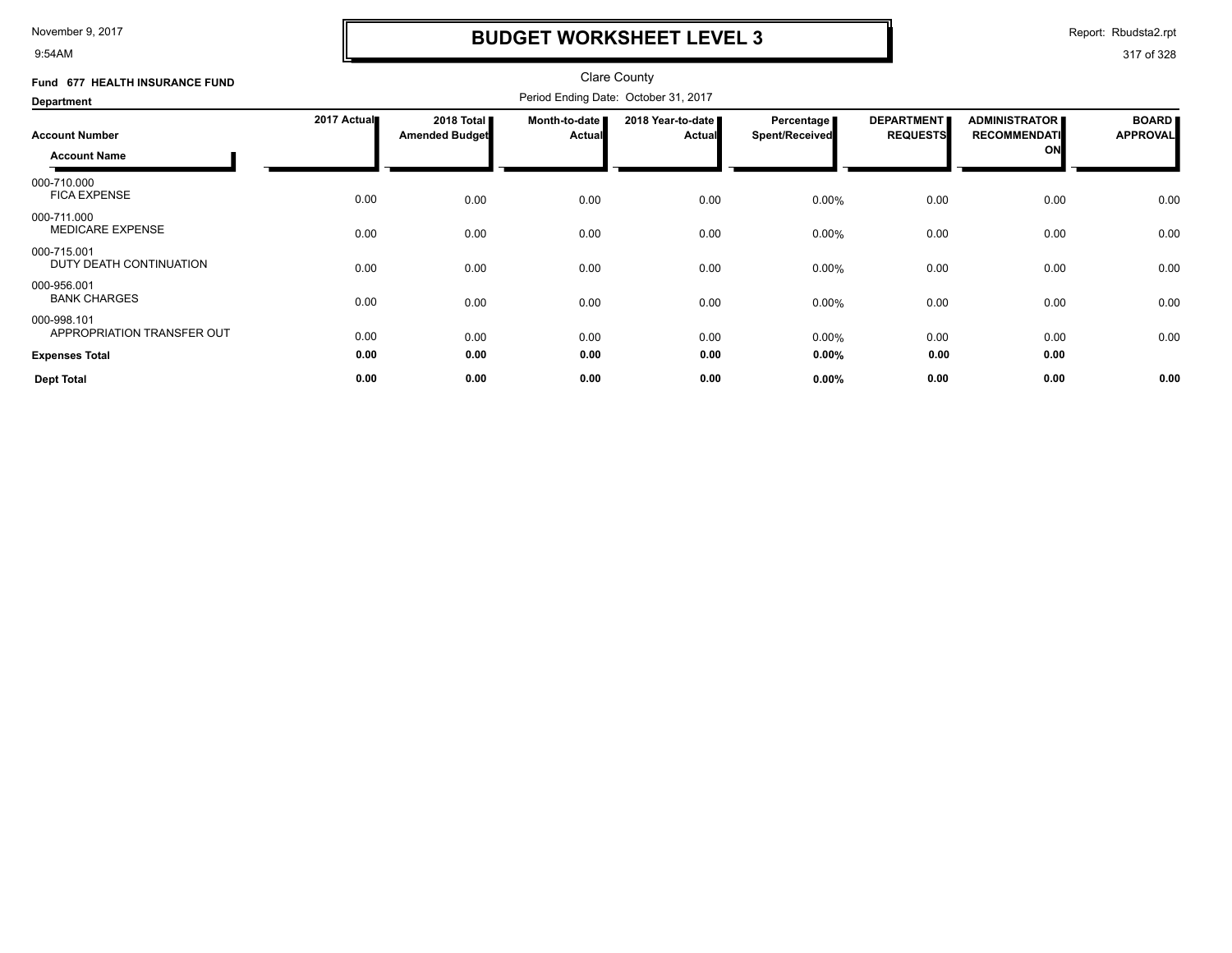9:54AM

# **BUDGET WORKSHEET LEVEL 3**

Report: Rbudsta2.rpt

| Fund 677 HEALTH INSURANCE FUND            |             |                                     |                                  | <b>Clare County</b>                  |                              |                                      |                                                   |                                 |
|-------------------------------------------|-------------|-------------------------------------|----------------------------------|--------------------------------------|------------------------------|--------------------------------------|---------------------------------------------------|---------------------------------|
| Department                                |             |                                     |                                  | Period Ending Date: October 31, 2017 |                              |                                      |                                                   |                                 |
| <b>Account Number</b>                     | 2017 Actual | 2018 Total<br><b>Amended Budget</b> | Month-to-date I<br><b>Actual</b> | 2018 Year-to-date<br><b>Actual</b>   | Percentage<br>Spent/Received | <b>DEPARTMENT</b><br><b>REQUESTS</b> | <b>ADMINISTRATOR</b><br><b>RECOMMENDATI</b><br>ON | <b>BOARD</b><br><b>APPROVAL</b> |
| <b>Account Name</b>                       |             |                                     |                                  |                                      |                              |                                      |                                                   |                                 |
| 000-710.000<br><b>FICA EXPENSE</b>        | 0.00        | 0.00                                | 0.00                             | 0.00                                 | 0.00%                        | 0.00                                 | 0.00                                              | 0.00                            |
| 000-711.000<br><b>MEDICARE EXPENSE</b>    | 0.00        | 0.00                                | 0.00                             | 0.00                                 | 0.00%                        | 0.00                                 | 0.00                                              | 0.00                            |
| 000-715.001<br>DUTY DEATH CONTINUATION    | 0.00        | 0.00                                | 0.00                             | 0.00                                 | 0.00%                        | 0.00                                 | 0.00                                              | 0.00                            |
| 000-956.001<br><b>BANK CHARGES</b>        | 0.00        | 0.00                                | 0.00                             | 0.00                                 | 0.00%                        | 0.00                                 | 0.00                                              | 0.00                            |
| 000-998.101<br>APPROPRIATION TRANSFER OUT | 0.00        | 0.00                                | 0.00                             | 0.00                                 | 0.00%                        | 0.00                                 | 0.00                                              | 0.00                            |
| <b>Expenses Total</b>                     | 0.00        | 0.00                                | 0.00                             | 0.00                                 | 0.00%                        | 0.00                                 | 0.00                                              |                                 |
| <b>Dept Total</b>                         | 0.00        | 0.00                                | 0.00                             | 0.00                                 | 0.00%                        | 0.00                                 | 0.00                                              | 0.00                            |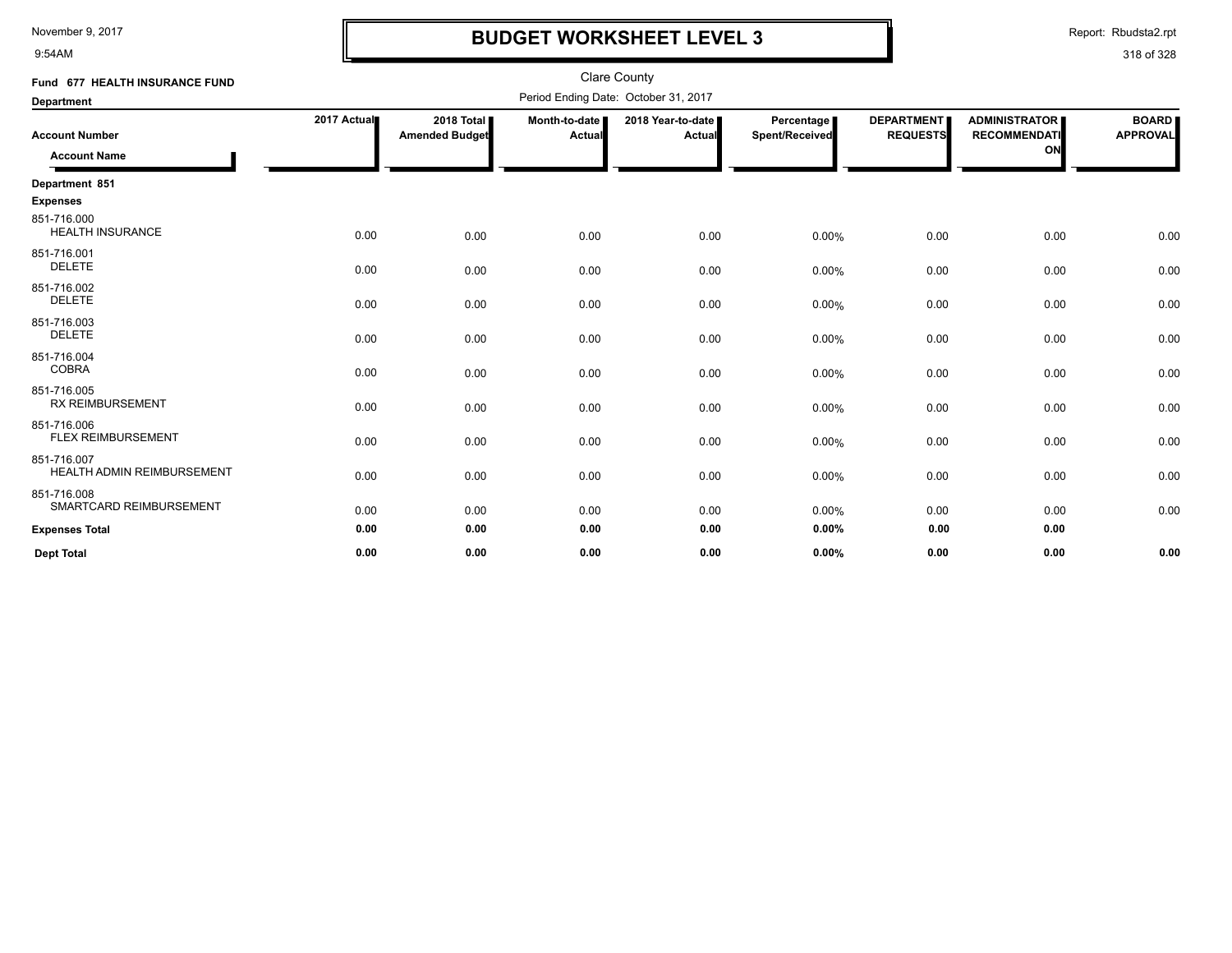9:54AM

### **BUDGET WORKSHEET LEVEL 3**

Report: Rbudsta2.rpt

| Fund 677 HEALTH INSURANCE FUND                   |             |                                     |                         | <b>Clare County</b>                  |                              |                                      |                                                   |                                 |
|--------------------------------------------------|-------------|-------------------------------------|-------------------------|--------------------------------------|------------------------------|--------------------------------------|---------------------------------------------------|---------------------------------|
| <b>Department</b>                                |             |                                     |                         | Period Ending Date: October 31, 2017 |                              |                                      |                                                   |                                 |
| <b>Account Number</b><br><b>Account Name</b>     | 2017 Actual | 2018 Total<br><b>Amended Budget</b> | Month-to-date<br>Actual | 2018 Year-to-date<br>Actual          | Percentage<br>Spent/Received | <b>DEPARTMENT</b><br><b>REQUESTS</b> | <b>ADMINISTRATOR</b><br><b>RECOMMENDATI</b><br>ON | <b>BOARD</b><br><b>APPROVAL</b> |
| Department 851                                   |             |                                     |                         |                                      |                              |                                      |                                                   |                                 |
| <b>Expenses</b>                                  |             |                                     |                         |                                      |                              |                                      |                                                   |                                 |
| 851-716.000<br><b>HEALTH INSURANCE</b>           | 0.00        | 0.00                                | 0.00                    | 0.00                                 | 0.00%                        | 0.00                                 | 0.00                                              | 0.00                            |
| 851-716.001<br><b>DELETE</b>                     | 0.00        | 0.00                                | 0.00                    | 0.00                                 | 0.00%                        | 0.00                                 | 0.00                                              | 0.00                            |
| 851-716.002<br><b>DELETE</b>                     | 0.00        | 0.00                                | 0.00                    | 0.00                                 | 0.00%                        | 0.00                                 | 0.00                                              | 0.00                            |
| 851-716.003<br><b>DELETE</b>                     | 0.00        | 0.00                                | 0.00                    | 0.00                                 | 0.00%                        | 0.00                                 | 0.00                                              | 0.00                            |
| 851-716.004<br><b>COBRA</b>                      | 0.00        | 0.00                                | 0.00                    | 0.00                                 | 0.00%                        | 0.00                                 | 0.00                                              | 0.00                            |
| 851-716.005<br><b>RX REIMBURSEMENT</b>           | 0.00        | 0.00                                | 0.00                    | 0.00                                 | 0.00%                        | 0.00                                 | 0.00                                              | 0.00                            |
| 851-716.006<br><b>FLEX REIMBURSEMENT</b>         | 0.00        | 0.00                                | 0.00                    | 0.00                                 | 0.00%                        | 0.00                                 | 0.00                                              | 0.00                            |
| 851-716.007<br><b>HEALTH ADMIN REIMBURSEMENT</b> | 0.00        | 0.00                                | 0.00                    | 0.00                                 | 0.00%                        | 0.00                                 | 0.00                                              | 0.00                            |
| 851-716.008<br>SMARTCARD REIMBURSEMENT           | 0.00        | 0.00                                | 0.00                    | 0.00                                 | 0.00%                        | 0.00                                 | 0.00                                              | 0.00                            |
| <b>Expenses Total</b>                            | 0.00        | 0.00                                | 0.00                    | 0.00                                 | 0.00%                        | 0.00                                 | 0.00                                              |                                 |
| <b>Dept Total</b>                                | 0.00        | 0.00                                | 0.00                    | 0.00                                 | 0.00%                        | 0.00                                 | 0.00                                              | 0.00                            |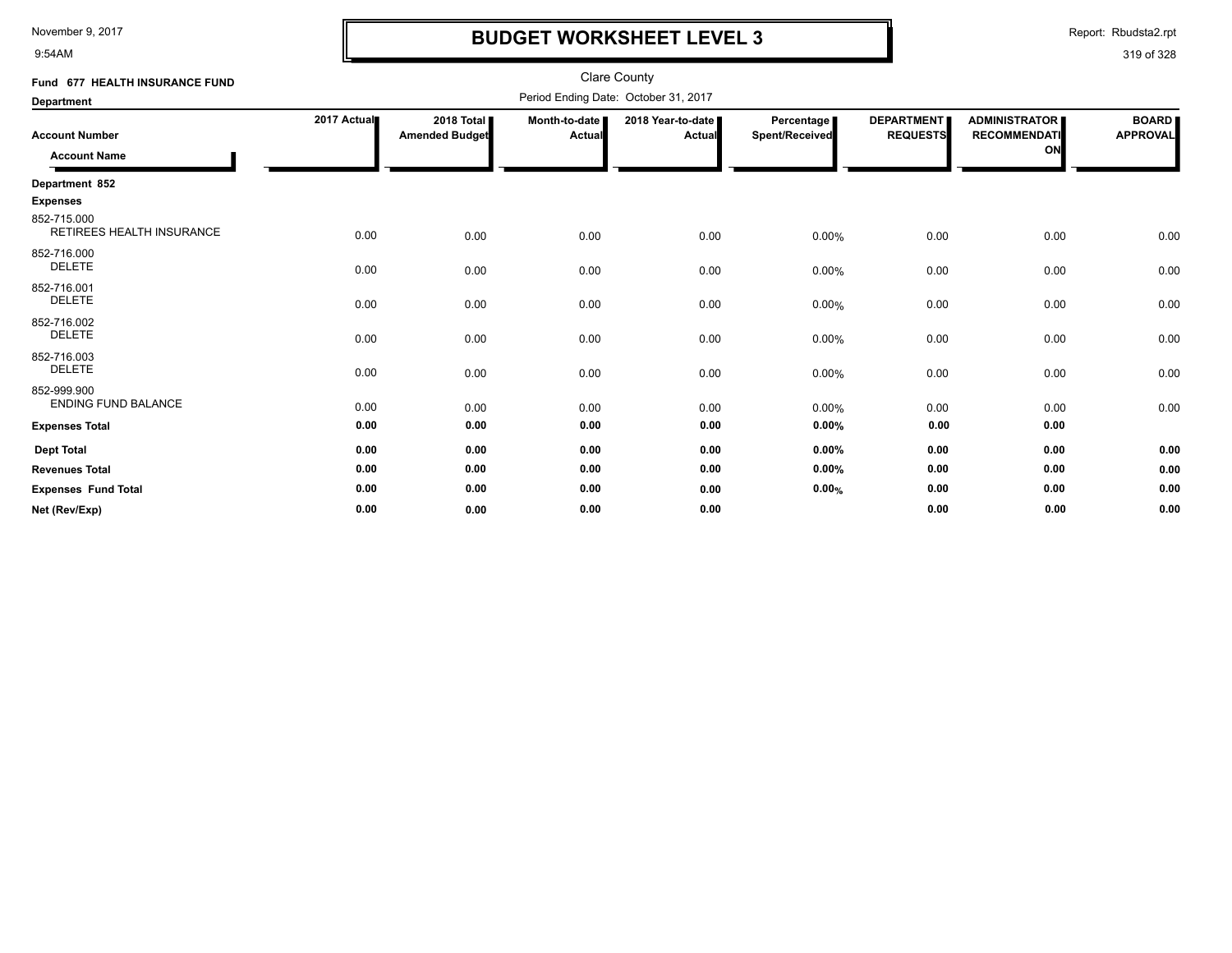9:54AM

### **BUDGET WORKSHEET LEVEL 3**

Report: Rbudsta2.rpt

| Fund 677 HEALTH INSURANCE FUND                  |             |                                              |                         | Clare County                         |                              |                                       |                                                   |                                 |
|-------------------------------------------------|-------------|----------------------------------------------|-------------------------|--------------------------------------|------------------------------|---------------------------------------|---------------------------------------------------|---------------------------------|
| <b>Department</b>                               |             |                                              |                         | Period Ending Date: October 31, 2017 |                              |                                       |                                                   |                                 |
| <b>Account Number</b><br><b>Account Name</b>    | 2017 Actual | 2018 Total <b>I</b><br><b>Amended Budget</b> | Month-to-date<br>Actual | 2018 Year-to-date<br><b>Actual</b>   | Percentage<br>Spent/Received | <b>DEPARTMENTI</b><br><b>REQUESTS</b> | <b>ADMINISTRATOR</b><br><b>RECOMMENDATI</b><br>ON | <b>BOARD</b><br><b>APPROVAL</b> |
| Department 852                                  |             |                                              |                         |                                      |                              |                                       |                                                   |                                 |
| <b>Expenses</b>                                 |             |                                              |                         |                                      |                              |                                       |                                                   |                                 |
| 852-715.000<br><b>RETIREES HEALTH INSURANCE</b> | 0.00        | 0.00                                         | 0.00                    | 0.00                                 | 0.00%                        | 0.00                                  | 0.00                                              | 0.00                            |
| 852-716.000<br><b>DELETE</b>                    | 0.00        | 0.00                                         | 0.00                    | 0.00                                 | 0.00%                        | 0.00                                  | 0.00                                              | 0.00                            |
| 852-716.001<br><b>DELETE</b>                    | 0.00        | 0.00                                         | 0.00                    | 0.00                                 | 0.00%                        | 0.00                                  | 0.00                                              | 0.00                            |
| 852-716.002<br><b>DELETE</b>                    | 0.00        | 0.00                                         | 0.00                    | 0.00                                 | 0.00%                        | 0.00                                  | 0.00                                              | 0.00                            |
| 852-716.003<br><b>DELETE</b>                    | 0.00        | 0.00                                         | 0.00                    | 0.00                                 | 0.00%                        | 0.00                                  | 0.00                                              | 0.00                            |
| 852-999.900<br><b>ENDING FUND BALANCE</b>       | 0.00        | 0.00                                         | 0.00                    | 0.00                                 | 0.00%                        | 0.00                                  | 0.00                                              | 0.00                            |
| <b>Expenses Total</b>                           | 0.00        | 0.00                                         | 0.00                    | 0.00                                 | 0.00%                        | 0.00                                  | 0.00                                              |                                 |
| <b>Dept Total</b>                               | 0.00        | 0.00                                         | 0.00                    | 0.00                                 | 0.00%                        | 0.00                                  | 0.00                                              | 0.00                            |
| <b>Revenues Total</b>                           | 0.00        | 0.00                                         | 0.00                    | 0.00                                 | 0.00%                        | 0.00                                  | 0.00                                              | 0.00                            |
| <b>Expenses Fund Total</b>                      | 0.00        | 0.00                                         | 0.00                    | 0.00                                 | 0.00%                        | 0.00                                  | 0.00                                              | 0.00                            |
| Net (Rev/Exp)                                   | 0.00        | 0.00                                         | 0.00                    | 0.00                                 |                              | 0.00                                  | 0.00                                              | 0.00                            |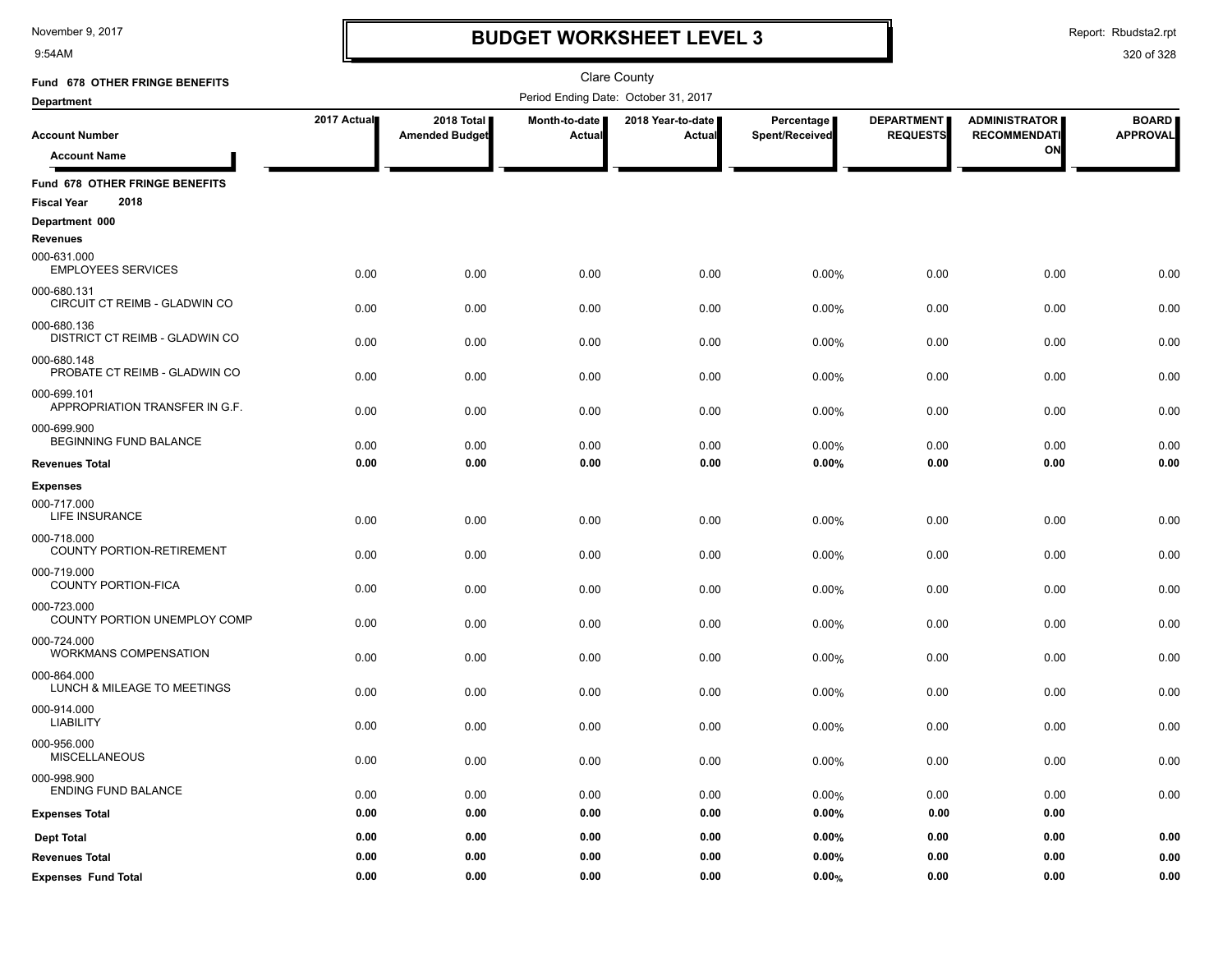9:54AM

### **BUDGET WORKSHEET LEVEL 3**

Report: Rbudsta2.rpt

| Fund 678 OTHER FRINGE BENEFITS                  |             |                                     |                         | <b>Clare County</b>                  |                              |                                      |                                             |                                 |
|-------------------------------------------------|-------------|-------------------------------------|-------------------------|--------------------------------------|------------------------------|--------------------------------------|---------------------------------------------|---------------------------------|
| <b>Department</b>                               |             |                                     |                         | Period Ending Date: October 31, 2017 |                              |                                      |                                             |                                 |
| <b>Account Number</b>                           | 2017 Actual | 2018 Total<br><b>Amended Budget</b> | Month-to-date<br>Actual | 2018 Year-to-date<br>Actual          | Percentage<br>Spent/Received | <b>DEPARTMENT</b><br><b>REQUESTS</b> | <b>ADMINISTRATOR</b><br><b>RECOMMENDATI</b> | <b>BOARD</b><br><b>APPROVAL</b> |
| <b>Account Name</b>                             |             |                                     |                         |                                      |                              |                                      | ON                                          |                                 |
| Fund 678 OTHER FRINGE BENEFITS                  |             |                                     |                         |                                      |                              |                                      |                                             |                                 |
| 2018<br><b>Fiscal Year</b>                      |             |                                     |                         |                                      |                              |                                      |                                             |                                 |
| Department 000<br><b>Revenues</b>               |             |                                     |                         |                                      |                              |                                      |                                             |                                 |
| 000-631.000<br><b>EMPLOYEES SERVICES</b>        | 0.00        | 0.00                                | 0.00                    | 0.00                                 | 0.00%                        | 0.00                                 | 0.00                                        | 0.00                            |
| 000-680.131<br>CIRCUIT CT REIMB - GLADWIN CO    | 0.00        | 0.00                                | 0.00                    | 0.00                                 | 0.00%                        | 0.00                                 | 0.00                                        | 0.00                            |
| 000-680.136<br>DISTRICT CT REIMB - GLADWIN CO   | 0.00        | 0.00                                | 0.00                    | 0.00                                 | 0.00%                        | 0.00                                 | 0.00                                        | 0.00                            |
| 000-680.148<br>PROBATE CT REIMB - GLADWIN CO    | 0.00        | 0.00                                | 0.00                    | 0.00                                 | 0.00%                        | 0.00                                 | 0.00                                        | 0.00                            |
| 000-699.101<br>APPROPRIATION TRANSFER IN G.F.   | 0.00        | 0.00                                | 0.00                    | 0.00                                 | 0.00%                        | 0.00                                 | 0.00                                        | 0.00                            |
| 000-699.900<br>BEGINNING FUND BALANCE           | 0.00        | 0.00                                | 0.00                    | 0.00                                 | 0.00%                        | 0.00                                 | 0.00                                        | 0.00                            |
| <b>Revenues Total</b>                           | 0.00        | 0.00                                | 0.00                    | 0.00                                 | 0.00%                        | 0.00                                 | 0.00                                        | 0.00                            |
| <b>Expenses</b>                                 |             |                                     |                         |                                      |                              |                                      |                                             |                                 |
| 000-717.000<br>LIFE INSURANCE                   | 0.00        | 0.00                                | 0.00                    | 0.00                                 | 0.00%                        | 0.00                                 | 0.00                                        | 0.00                            |
| 000-718.000<br><b>COUNTY PORTION-RETIREMENT</b> | 0.00        | 0.00                                | 0.00                    | 0.00                                 | 0.00%                        | 0.00                                 | 0.00                                        | 0.00                            |
| 000-719.000<br><b>COUNTY PORTION-FICA</b>       | 0.00        | 0.00                                | 0.00                    | 0.00                                 | 0.00%                        | 0.00                                 | 0.00                                        | 0.00                            |
| 000-723.000<br>COUNTY PORTION UNEMPLOY COMP     | 0.00        | 0.00                                | 0.00                    | 0.00                                 | 0.00%                        | 0.00                                 | 0.00                                        | 0.00                            |
| 000-724.000<br>WORKMANS COMPENSATION            | 0.00        | 0.00                                | 0.00                    | 0.00                                 | 0.00%                        | 0.00                                 | 0.00                                        | 0.00                            |
| 000-864.000<br>LUNCH & MILEAGE TO MEETINGS      | 0.00        | 0.00                                | 0.00                    | 0.00                                 | 0.00%                        | 0.00                                 | 0.00                                        | 0.00                            |
| 000-914.000<br><b>LIABILITY</b>                 | 0.00        | 0.00                                | 0.00                    | 0.00                                 | 0.00%                        | 0.00                                 | 0.00                                        | 0.00                            |
| 000-956.000<br><b>MISCELLANEOUS</b>             | 0.00        | 0.00                                | 0.00                    | 0.00                                 | 0.00%                        | 0.00                                 | 0.00                                        | 0.00                            |
| 000-998.900<br><b>ENDING FUND BALANCE</b>       | 0.00        | 0.00                                | 0.00                    | 0.00                                 | 0.00%                        | 0.00                                 | 0.00                                        | 0.00                            |
| <b>Expenses Total</b>                           | 0.00        | 0.00                                | 0.00                    | 0.00                                 | 0.00%                        | 0.00                                 | 0.00                                        |                                 |
| <b>Dept Total</b>                               | 0.00        | 0.00                                | 0.00                    | 0.00                                 | 0.00%                        | 0.00                                 | 0.00                                        | 0.00                            |
| <b>Revenues Total</b>                           | 0.00        | 0.00                                | 0.00                    | 0.00                                 | 0.00%                        | 0.00                                 | 0.00                                        | 0.00                            |
| <b>Expenses Fund Total</b>                      | 0.00        | 0.00                                | 0.00                    | 0.00                                 | 0.00%                        | 0.00                                 | 0.00                                        | 0.00                            |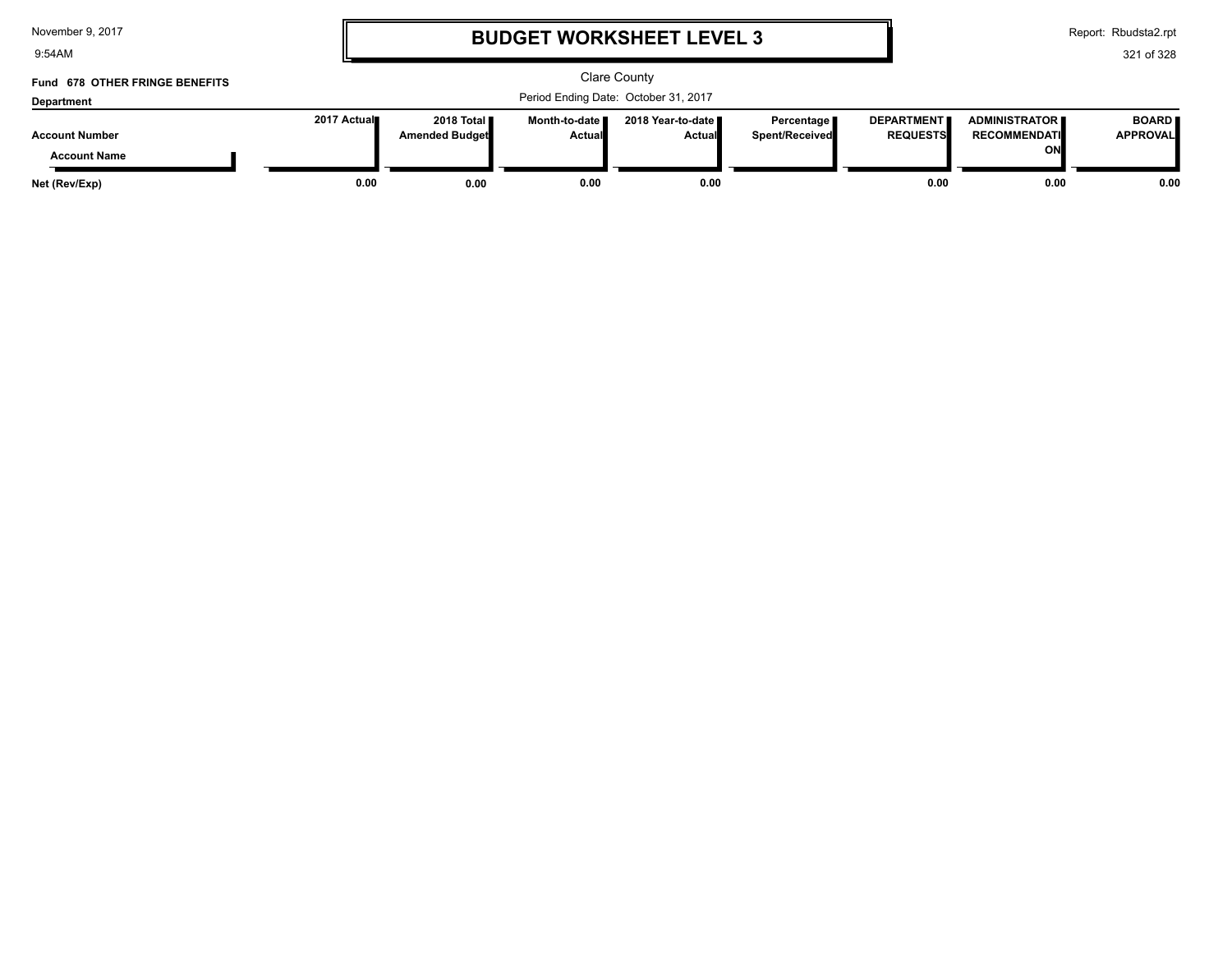9:54AM

# **BUDGET WORKSHEET LEVEL 3**

Report: Rbudsta2.rpt

| Fund 678 OTHER FRINGE BENEFITS |             |                                               |                                  | Clare County                         |                                |                                      |                                               |                                 |
|--------------------------------|-------------|-----------------------------------------------|----------------------------------|--------------------------------------|--------------------------------|--------------------------------------|-----------------------------------------------|---------------------------------|
| <b>Department</b>              |             |                                               |                                  | Period Ending Date: October 31, 2017 |                                |                                      |                                               |                                 |
| <b>Account Number</b>          | 2017 Actual | 2018 Total <b>II</b><br><b>Amended Budget</b> | Month-to-date ■<br><b>Actual</b> | 2018 Year-to-date ∎<br><b>Actual</b> | Percentage  <br>Spent/Received | <b>DEPARTMENT</b><br><b>REQUESTS</b> | <b>ADMINISTRATOR E</b><br><b>RECOMMENDATI</b> | <b>BOARD</b><br><b>APPROVAL</b> |
| <b>Account Name</b>            |             |                                               |                                  |                                      |                                |                                      | ON                                            |                                 |
| Net (Rev/Exp)                  | 0.00        | 0.00                                          | 0.00                             | 0.00                                 |                                | 0.00                                 | 0.00                                          | 0.00                            |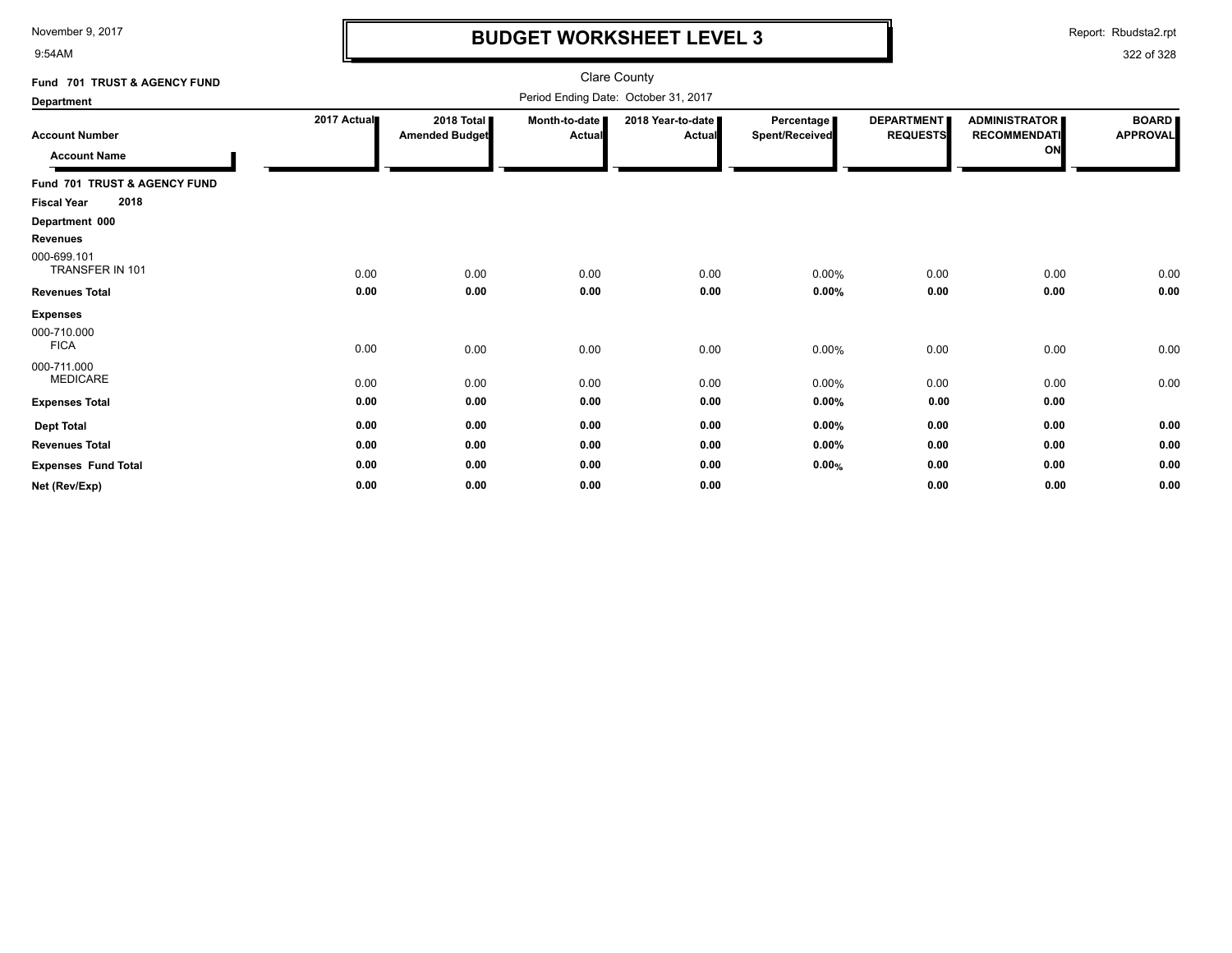9:54AM

### **BUDGET WORKSHEET LEVEL 3**

Report: Rbudsta2.rpt

| Fund 701 TRUST & AGENCY FUND                 |             |                                     |                         | <b>Clare County</b>                  |                                     |                                      |                                                   |                                 |
|----------------------------------------------|-------------|-------------------------------------|-------------------------|--------------------------------------|-------------------------------------|--------------------------------------|---------------------------------------------------|---------------------------------|
| <b>Department</b>                            |             |                                     |                         | Period Ending Date: October 31, 2017 |                                     |                                      |                                                   |                                 |
| <b>Account Number</b><br><b>Account Name</b> | 2017 Actual | 2018 Total<br><b>Amended Budget</b> | Month-to-date<br>Actual | 2018 Year-to-date<br><b>Actual</b>   | Percentage<br><b>Spent/Received</b> | <b>DEPARTMENT</b><br><b>REQUESTS</b> | <b>ADMINISTRATOR</b><br><b>RECOMMENDATI</b><br>ON | <b>BOARD</b><br><b>APPROVAL</b> |
| Fund 701 TRUST & AGENCY FUND                 |             |                                     |                         |                                      |                                     |                                      |                                                   |                                 |
| 2018<br><b>Fiscal Year</b>                   |             |                                     |                         |                                      |                                     |                                      |                                                   |                                 |
| Department 000                               |             |                                     |                         |                                      |                                     |                                      |                                                   |                                 |
| Revenues                                     |             |                                     |                         |                                      |                                     |                                      |                                                   |                                 |
| 000-699.101<br>TRANSFER IN 101               | 0.00        | 0.00                                | 0.00                    | 0.00                                 | 0.00%                               | 0.00                                 | 0.00                                              | 0.00                            |
| <b>Revenues Total</b>                        | 0.00        | 0.00                                | 0.00                    | 0.00                                 | $0.00\%$                            | 0.00                                 | 0.00                                              | 0.00                            |
| <b>Expenses</b>                              |             |                                     |                         |                                      |                                     |                                      |                                                   |                                 |
| 000-710.000<br><b>FICA</b>                   | 0.00        | 0.00                                | 0.00                    | 0.00                                 | 0.00%                               | 0.00                                 | 0.00                                              | 0.00                            |
| 000-711.000<br><b>MEDICARE</b>               | 0.00        | 0.00                                | 0.00                    | 0.00                                 | 0.00%                               | 0.00                                 | 0.00                                              | 0.00                            |
| <b>Expenses Total</b>                        | 0.00        | 0.00                                | 0.00                    | 0.00                                 | 0.00%                               | 0.00                                 | 0.00                                              |                                 |
| <b>Dept Total</b>                            | 0.00        | 0.00                                | 0.00                    | 0.00                                 | $0.00\%$                            | 0.00                                 | 0.00                                              | 0.00                            |
| <b>Revenues Total</b>                        | 0.00        | 0.00                                | 0.00                    | 0.00                                 | $0.00\%$                            | 0.00                                 | 0.00                                              | 0.00                            |
| <b>Expenses Fund Total</b>                   | 0.00        | 0.00                                | 0.00                    | 0.00                                 | 0.00%                               | 0.00                                 | 0.00                                              | 0.00                            |
| Net (Rev/Exp)                                | 0.00        | 0.00                                | 0.00                    | 0.00                                 |                                     | 0.00                                 | 0.00                                              | 0.00                            |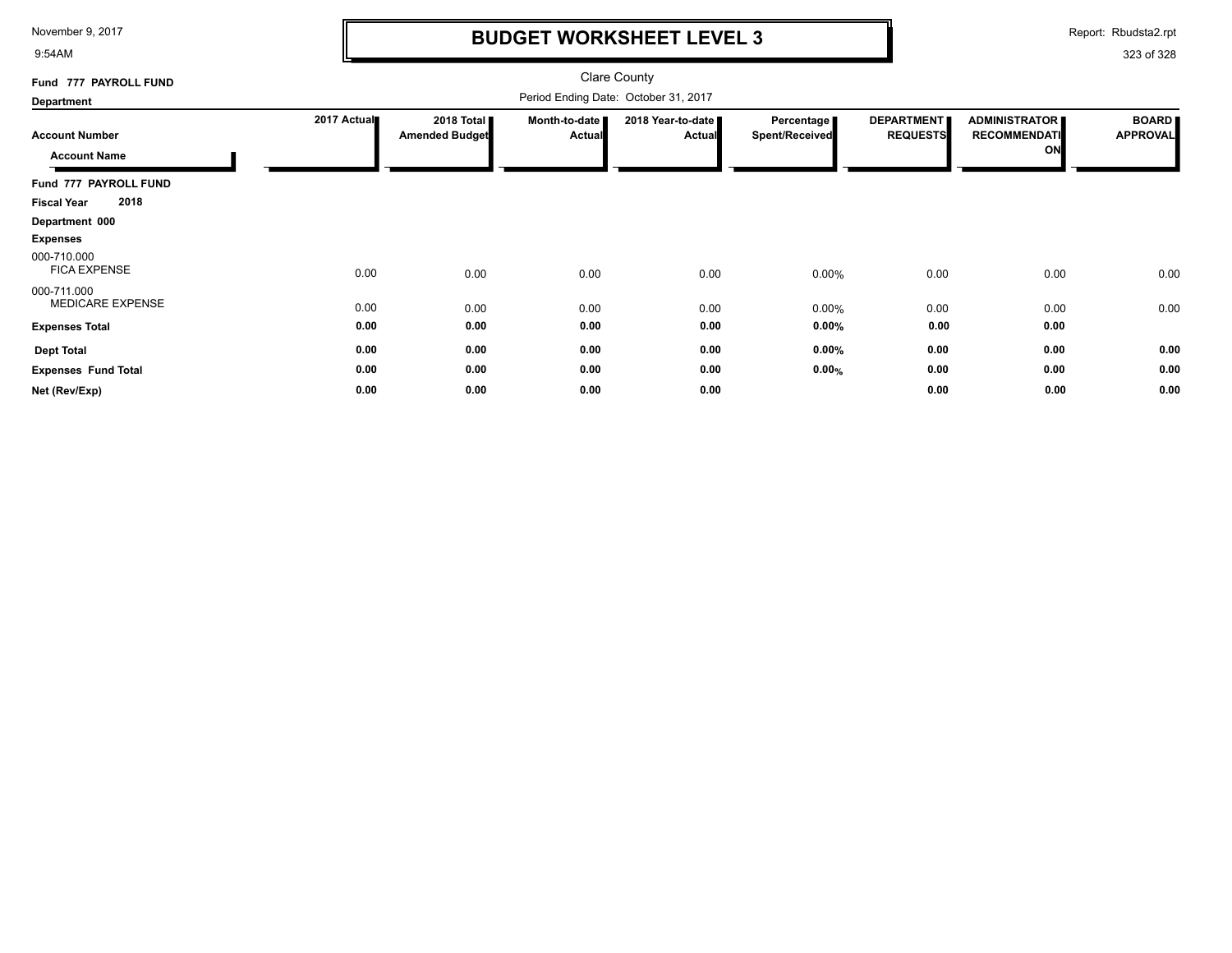9:54AM

# **BUDGET WORKSHEET LEVEL 3**

Report: Rbudsta2.rpt

| Fund 777 PAYROLL FUND                        |             |                                     |                                | <b>Clare County</b>                  |                              |                                      |                                                   |                                 |
|----------------------------------------------|-------------|-------------------------------------|--------------------------------|--------------------------------------|------------------------------|--------------------------------------|---------------------------------------------------|---------------------------------|
| Department                                   |             |                                     |                                | Period Ending Date: October 31, 2017 |                              |                                      |                                                   |                                 |
| <b>Account Number</b><br><b>Account Name</b> | 2017 Actual | 2018 Total<br><b>Amended Budget</b> | Month-to-date<br><b>Actual</b> | 2018 Year-to-date<br><b>Actual</b>   | Percentage<br>Spent/Received | <b>DEPARTMENT</b><br><b>REQUESTS</b> | <b>ADMINISTRATOR</b><br><b>RECOMMENDATI</b><br>ON | <b>BOARD</b><br><b>APPROVAL</b> |
| Fund 777 PAYROLL FUND                        |             |                                     |                                |                                      |                              |                                      |                                                   |                                 |
| 2018<br><b>Fiscal Year</b>                   |             |                                     |                                |                                      |                              |                                      |                                                   |                                 |
| Department 000                               |             |                                     |                                |                                      |                              |                                      |                                                   |                                 |
| <b>Expenses</b>                              |             |                                     |                                |                                      |                              |                                      |                                                   |                                 |
| 000-710.000<br><b>FICA EXPENSE</b>           | 0.00        | 0.00                                | 0.00                           | 0.00                                 | 0.00%                        | 0.00                                 | 0.00                                              | 0.00                            |
| 000-711.000<br>MEDICARE EXPENSE              | 0.00        | 0.00                                | 0.00                           | 0.00                                 | 0.00%                        | 0.00                                 | 0.00                                              | 0.00                            |
| <b>Expenses Total</b>                        | 0.00        | 0.00                                | 0.00                           | 0.00                                 | $0.00\%$                     | 0.00                                 | 0.00                                              |                                 |
| <b>Dept Total</b>                            | 0.00        | 0.00                                | 0.00                           | 0.00                                 | $0.00\%$                     | 0.00                                 | 0.00                                              | 0.00                            |
| <b>Expenses Fund Total</b>                   | 0.00        | 0.00                                | 0.00                           | 0.00                                 | 0.00%                        | 0.00                                 | 0.00                                              | 0.00                            |
| Net (Rev/Exp)                                | 0.00        | 0.00                                | 0.00                           | 0.00                                 |                              | 0.00                                 | 0.00                                              | 0.00                            |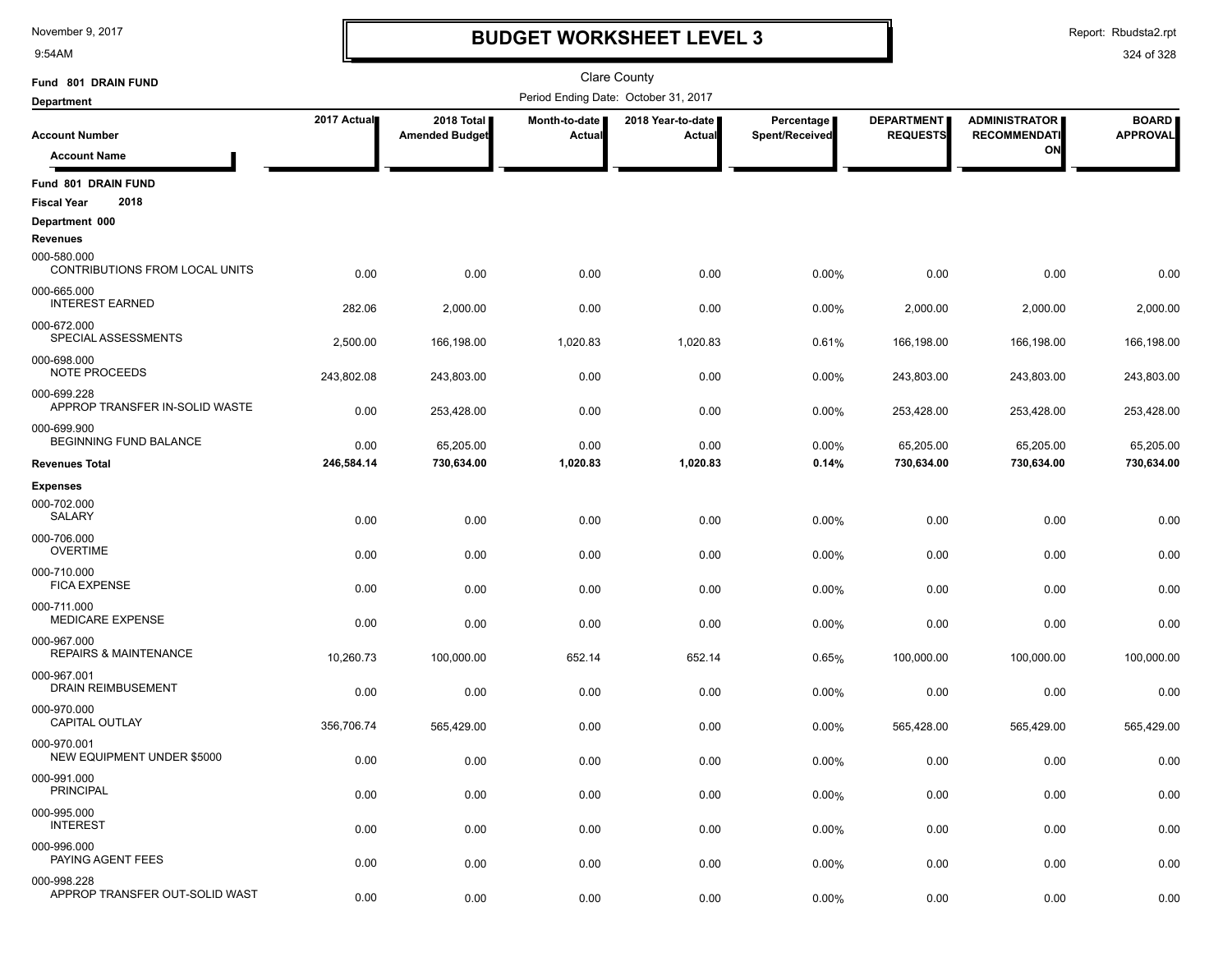9:54AM

### **BUDGET WORKSHEET LEVEL 3**

Report: Rbudsta2.rpt

| Fund 801 DRAIN FUND                                       |             | <b>Clare County</b>                 |                                      |                               |                              |                                      |                                               |                                 |
|-----------------------------------------------------------|-------------|-------------------------------------|--------------------------------------|-------------------------------|------------------------------|--------------------------------------|-----------------------------------------------|---------------------------------|
| <b>Department</b>                                         |             |                                     | Period Ending Date: October 31, 2017 |                               |                              |                                      |                                               |                                 |
| <b>Account Number</b>                                     | 2017 Actual | 2018 Total<br><b>Amended Budget</b> | Month-to-date<br>Actual              | 2018 Year-to-date  <br>Actual | Percentage<br>Spent/Received | <b>DEPARTMENT</b><br><b>REQUESTS</b> | <b>ADMINISTRATOR  </b><br><b>RECOMMENDATI</b> | <b>BOARD</b><br><b>APPROVAL</b> |
| <b>Account Name</b>                                       |             |                                     |                                      |                               |                              |                                      | ON                                            |                                 |
| Fund 801 DRAIN FUND<br>2018<br><b>Fiscal Year</b>         |             |                                     |                                      |                               |                              |                                      |                                               |                                 |
| Department 000                                            |             |                                     |                                      |                               |                              |                                      |                                               |                                 |
| Revenues<br>000-580.000<br>CONTRIBUTIONS FROM LOCAL UNITS | 0.00        | 0.00                                | 0.00                                 | 0.00                          | 0.00%                        | 0.00                                 | 0.00                                          | 0.00                            |
| 000-665.000<br><b>INTEREST EARNED</b>                     | 282.06      | 2,000.00                            | 0.00                                 | 0.00                          | 0.00%                        | 2,000.00                             | 2,000.00                                      | 2,000.00                        |
| 000-672.000<br>SPECIAL ASSESSMENTS                        | 2,500.00    | 166,198.00                          | 1,020.83                             | 1,020.83                      | 0.61%                        | 166,198.00                           | 166,198.00                                    | 166,198.00                      |
| 000-698.000<br>NOTE PROCEEDS                              | 243,802.08  | 243,803.00                          | 0.00                                 | 0.00                          | 0.00%                        | 243,803.00                           | 243,803.00                                    | 243,803.00                      |
| 000-699.228<br>APPROP TRANSFER IN-SOLID WASTE             | 0.00        | 253,428.00                          | 0.00                                 | 0.00                          | 0.00%                        | 253,428.00                           | 253,428.00                                    | 253,428.00                      |
| 000-699.900<br><b>BEGINNING FUND BALANCE</b>              | 0.00        | 65,205.00                           | 0.00                                 | 0.00                          | 0.00%                        | 65,205.00                            | 65,205.00                                     | 65,205.00                       |
| <b>Revenues Total</b>                                     | 246,584.14  | 730,634.00                          | 1,020.83                             | 1,020.83                      | 0.14%                        | 730,634.00                           | 730,634.00                                    | 730,634.00                      |
| <b>Expenses</b>                                           |             |                                     |                                      |                               |                              |                                      |                                               |                                 |
| 000-702.000<br>SALARY                                     | 0.00        | 0.00                                | 0.00                                 | 0.00                          | 0.00%                        | 0.00                                 | 0.00                                          | 0.00                            |
| 000-706.000<br><b>OVERTIME</b>                            | 0.00        | 0.00                                | 0.00                                 | 0.00                          | 0.00%                        | 0.00                                 | 0.00                                          | 0.00                            |
| 000-710.000<br><b>FICA EXPENSE</b>                        | 0.00        | 0.00                                | 0.00                                 | 0.00                          | 0.00%                        | 0.00                                 | 0.00                                          | 0.00                            |
| 000-711.000<br>MEDICARE EXPENSE                           | 0.00        | 0.00                                | 0.00                                 | 0.00                          | 0.00%                        | 0.00                                 | 0.00                                          | 0.00                            |
| 000-967.000<br><b>REPAIRS &amp; MAINTENANCE</b>           | 10,260.73   | 100,000.00                          | 652.14                               | 652.14                        | 0.65%                        | 100,000.00                           | 100,000.00                                    | 100,000.00                      |
| 000-967.001<br><b>DRAIN REIMBUSEMENT</b>                  | 0.00        | 0.00                                | 0.00                                 | 0.00                          | 0.00%                        | 0.00                                 | 0.00                                          | 0.00                            |
| 000-970.000<br><b>CAPITAL OUTLAY</b>                      | 356,706.74  | 565,429.00                          | 0.00                                 | 0.00                          | 0.00%                        | 565,428.00                           | 565,429.00                                    | 565,429.00                      |
| 000-970.001<br><b>NEW EQUIPMENT UNDER \$5000</b>          | 0.00        | 0.00                                | 0.00                                 | 0.00                          | 0.00%                        | 0.00                                 | 0.00                                          | 0.00                            |
| 000-991.000<br><b>PRINCIPAL</b>                           | 0.00        | 0.00                                | 0.00                                 | 0.00                          | 0.00%                        | 0.00                                 | 0.00                                          | 0.00                            |
| 000-995.000<br><b>INTEREST</b>                            | 0.00        | 0.00                                | 0.00                                 | 0.00                          | 0.00%                        | 0.00                                 | 0.00                                          | 0.00                            |
| 000-996.000<br>PAYING AGENT FEES                          | 0.00        | 0.00                                | 0.00                                 | 0.00                          | 0.00%                        | 0.00                                 | 0.00                                          | 0.00                            |
| 000-998.228<br>APPROP TRANSFER OUT-SOLID WAST             | 0.00        | 0.00                                | 0.00                                 | 0.00                          | 0.00%                        | 0.00                                 | 0.00                                          | 0.00                            |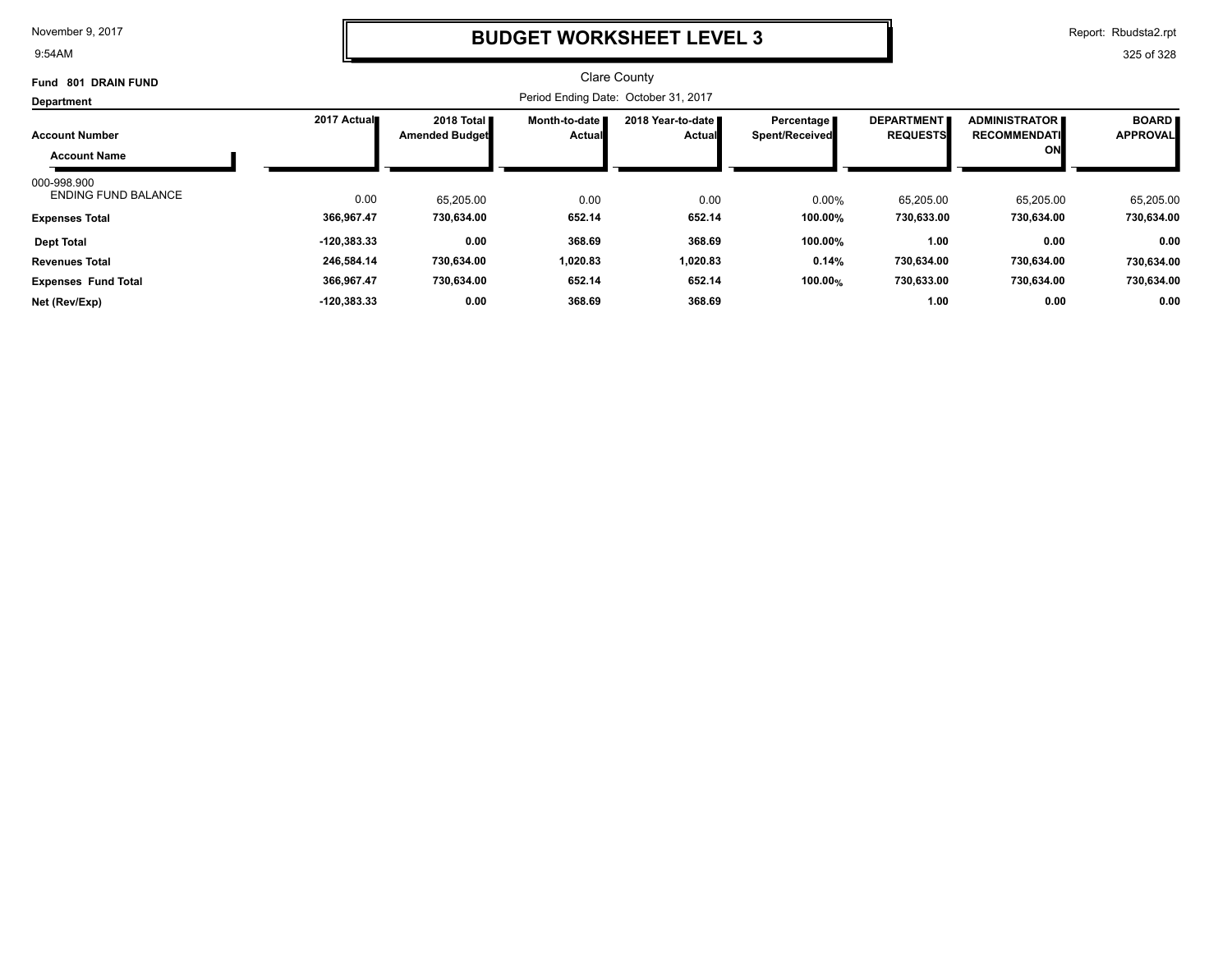9:54AM

### **BUDGET WORKSHEET LEVEL 3**

Report: Rbudsta2.rpt

| 801 DRAIN FUND<br>Fund                    |               |                                               |                                  | <b>Clare County</b>                  |                                     |                                      |                                             |                                 |
|-------------------------------------------|---------------|-----------------------------------------------|----------------------------------|--------------------------------------|-------------------------------------|--------------------------------------|---------------------------------------------|---------------------------------|
| Department                                |               |                                               |                                  | Period Ending Date: October 31, 2017 |                                     |                                      |                                             |                                 |
| <b>Account Number</b>                     | 2017 Actual   | 2018 Total <b>II</b><br><b>Amended Budget</b> | Month-to-date I<br><b>Actual</b> | 2018 Year-to-date ■<br><b>Actual</b> | Percentage<br><b>Spent/Received</b> | <b>DEPARTMENT</b><br><b>REQUESTS</b> | <b>ADMINISTRATOR</b><br><b>RECOMMENDATI</b> | <b>BOARD</b><br><b>APPROVAL</b> |
| <b>Account Name</b>                       |               |                                               |                                  |                                      |                                     |                                      | <b>ON</b>                                   |                                 |
| 000-998.900<br><b>ENDING FUND BALANCE</b> | 0.00          | 65.205.00                                     | 0.00                             | 0.00                                 | 0.00%                               | 65,205.00                            | 65,205.00                                   | 65,205.00                       |
| <b>Expenses Total</b>                     | 366,967.47    | 730,634.00                                    | 652.14                           | 652.14                               | 100.00%                             | 730,633.00                           | 730,634.00                                  | 730,634.00                      |
| <b>Dept Total</b>                         | $-120,383.33$ | 0.00                                          | 368.69                           | 368.69                               | 100.00%                             | 1.00                                 | 0.00                                        | 0.00                            |
| <b>Revenues Total</b>                     | 246,584.14    | 730,634.00                                    | 1,020.83                         | 1,020.83                             | 0.14%                               | 730,634.00                           | 730,634.00                                  | 730,634.00                      |
| <b>Expenses Fund Total</b>                | 366,967.47    | 730,634.00                                    | 652.14                           | 652.14                               | 100.00%                             | 730,633.00                           | 730,634.00                                  | 730,634.00                      |
| Net (Rev/Exp)                             | $-120,383.33$ | 0.00                                          | 368.69                           | 368.69                               |                                     | 1.00                                 | 0.00                                        | 0.00                            |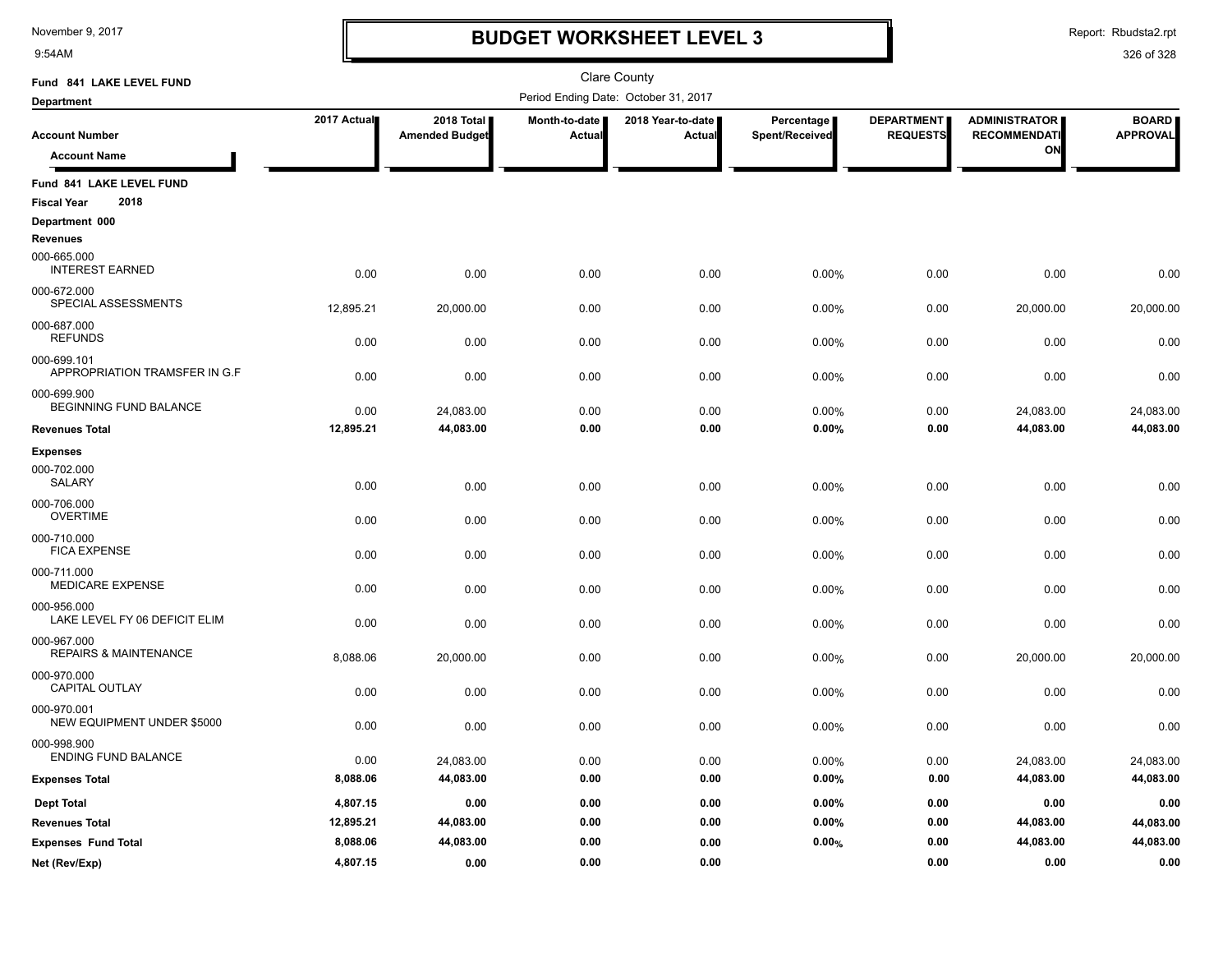9:54AM

# **BUDGET WORKSHEET LEVEL 3**

Report: Rbudsta2.rpt

| Fund 841 LAKE LEVEL FUND                        |             |                                     |                         | <b>Clare County</b>                  |                              |                                      |                                             |                                 |
|-------------------------------------------------|-------------|-------------------------------------|-------------------------|--------------------------------------|------------------------------|--------------------------------------|---------------------------------------------|---------------------------------|
| <b>Department</b>                               |             |                                     |                         | Period Ending Date: October 31, 2017 |                              |                                      |                                             |                                 |
| <b>Account Number</b>                           | 2017 Actual | 2018 Total<br><b>Amended Budget</b> | Month-to-date<br>Actual | 2018 Year-to-date<br>Actual          | Percentage<br>Spent/Received | <b>DEPARTMENT</b><br><b>REQUESTS</b> | <b>ADMINISTRATOR</b><br><b>RECOMMENDATI</b> | <b>BOARD</b><br><b>APPROVAL</b> |
| <b>Account Name</b>                             |             |                                     |                         |                                      |                              |                                      | ON                                          |                                 |
| Fund 841 LAKE LEVEL FUND                        |             |                                     |                         |                                      |                              |                                      |                                             |                                 |
| 2018<br><b>Fiscal Year</b>                      |             |                                     |                         |                                      |                              |                                      |                                             |                                 |
| Department 000                                  |             |                                     |                         |                                      |                              |                                      |                                             |                                 |
| <b>Revenues</b>                                 |             |                                     |                         |                                      |                              |                                      |                                             |                                 |
| 000-665.000<br><b>INTEREST EARNED</b>           | 0.00        | 0.00                                | 0.00                    | 0.00                                 | 0.00%                        | 0.00                                 | 0.00                                        | 0.00                            |
| 000-672.000<br>SPECIAL ASSESSMENTS              | 12,895.21   | 20,000.00                           | 0.00                    | 0.00                                 | 0.00%                        | 0.00                                 | 20,000.00                                   | 20,000.00                       |
| 000-687.000<br><b>REFUNDS</b>                   | 0.00        | 0.00                                | 0.00                    | 0.00                                 | 0.00%                        | 0.00                                 | 0.00                                        | 0.00                            |
| 000-699.101<br>APPROPRIATION TRAMSFER IN G.F    | 0.00        | 0.00                                | 0.00                    | 0.00                                 | 0.00%                        | 0.00                                 | 0.00                                        | 0.00                            |
| 000-699.900<br><b>BEGINNING FUND BALANCE</b>    | 0.00        | 24,083.00                           | 0.00                    | 0.00                                 | 0.00%                        | 0.00                                 | 24,083.00                                   | 24,083.00                       |
| <b>Revenues Total</b>                           | 12,895.21   | 44,083.00                           | 0.00                    | 0.00                                 | 0.00%                        | 0.00                                 | 44,083.00                                   | 44,083.00                       |
| <b>Expenses</b>                                 |             |                                     |                         |                                      |                              |                                      |                                             |                                 |
| 000-702.000<br><b>SALARY</b>                    | 0.00        | 0.00                                | 0.00                    | 0.00                                 | 0.00%                        | 0.00                                 | 0.00                                        | 0.00                            |
| 000-706.000<br><b>OVERTIME</b>                  | 0.00        | 0.00                                | 0.00                    | 0.00                                 | 0.00%                        | 0.00                                 | 0.00                                        | 0.00                            |
| 000-710.000<br><b>FICA EXPENSE</b>              | 0.00        | 0.00                                | 0.00                    | 0.00                                 | 0.00%                        | 0.00                                 | 0.00                                        | 0.00                            |
| 000-711.000<br><b>MEDICARE EXPENSE</b>          | 0.00        | 0.00                                | 0.00                    | 0.00                                 | 0.00%                        | 0.00                                 | 0.00                                        | 0.00                            |
| 000-956.000<br>LAKE LEVEL FY 06 DEFICIT ELIM    | 0.00        | 0.00                                | 0.00                    | 0.00                                 | 0.00%                        | 0.00                                 | 0.00                                        | 0.00                            |
| 000-967.000<br><b>REPAIRS &amp; MAINTENANCE</b> | 8,088.06    | 20,000.00                           | 0.00                    | 0.00                                 | 0.00%                        | 0.00                                 | 20,000.00                                   | 20,000.00                       |
| 000-970.000<br>CAPITAL OUTLAY                   | 0.00        | 0.00                                | 0.00                    | 0.00                                 | 0.00%                        | 0.00                                 | 0.00                                        | 0.00                            |
| 000-970.001<br>NEW EQUIPMENT UNDER \$5000       | 0.00        | 0.00                                | 0.00                    | 0.00                                 | 0.00%                        | 0.00                                 | 0.00                                        | 0.00                            |
| 000-998.900<br><b>ENDING FUND BALANCE</b>       | 0.00        | 24,083.00                           | 0.00                    | 0.00                                 | 0.00%                        | 0.00                                 | 24,083.00                                   | 24,083.00                       |
| <b>Expenses Total</b>                           | 8,088.06    | 44,083.00                           | 0.00                    | 0.00                                 | 0.00%                        | 0.00                                 | 44,083.00                                   | 44,083.00                       |
| <b>Dept Total</b>                               | 4,807.15    | 0.00                                | 0.00                    | 0.00                                 | 0.00%                        | 0.00                                 | 0.00                                        | 0.00                            |
| <b>Revenues Total</b>                           | 12,895.21   | 44,083.00                           | 0.00                    | 0.00                                 | 0.00%                        | 0.00                                 | 44,083.00                                   | 44,083.00                       |
| <b>Expenses Fund Total</b>                      | 8,088.06    | 44,083.00                           | 0.00                    | 0.00                                 | 0.00%                        | 0.00                                 | 44,083.00                                   | 44,083.00                       |
| Net (Rev/Exp)                                   | 4,807.15    | 0.00                                | 0.00                    | 0.00                                 |                              | 0.00                                 | 0.00                                        | 0.00                            |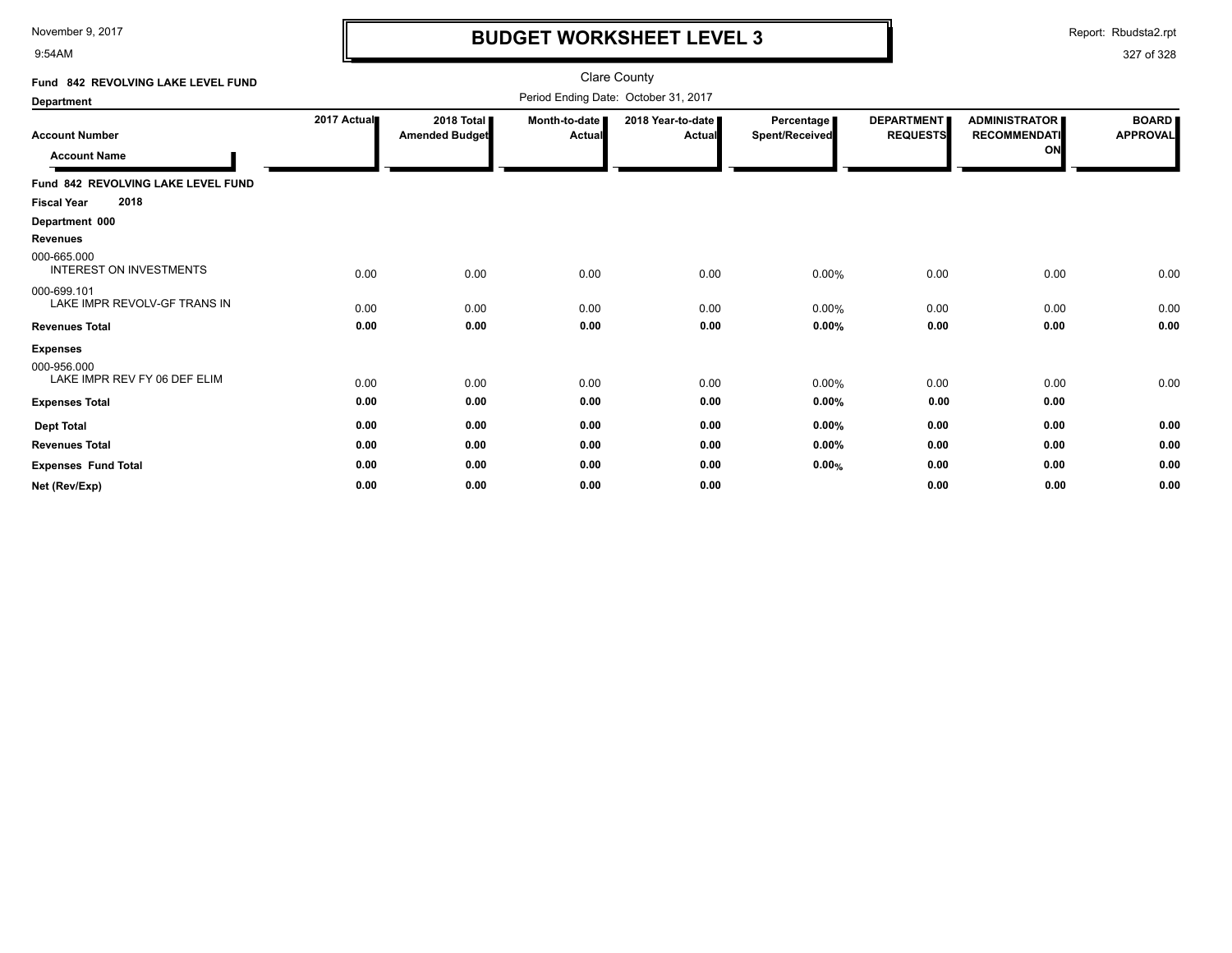9:54AM

# **BUDGET WORKSHEET LEVEL 3**

Report: Rbudsta2.rpt

| Fund 842 REVOLVING LAKE LEVEL FUND                             | Clare County |                                     |                         |                             |                                     |                                      |                                                   |                                 |
|----------------------------------------------------------------|--------------|-------------------------------------|-------------------------|-----------------------------|-------------------------------------|--------------------------------------|---------------------------------------------------|---------------------------------|
| <b>Department</b>                                              |              |                                     |                         |                             |                                     |                                      |                                                   |                                 |
| <b>Account Number</b><br><b>Account Name</b>                   | 2017 Actual  | 2018 Total<br><b>Amended Budget</b> | Month-to-date<br>Actual | 2018 Year-to-date<br>Actual | Percentage<br><b>Spent/Received</b> | <b>DEPARTMENT</b><br><b>REQUESTS</b> | <b>ADMINISTRATOR</b><br><b>RECOMMENDATI</b><br>ON | <b>BOARD</b><br><b>APPROVAL</b> |
| Fund 842 REVOLVING LAKE LEVEL FUND                             |              |                                     |                         |                             |                                     |                                      |                                                   |                                 |
| 2018<br><b>Fiscal Year</b>                                     |              |                                     |                         |                             |                                     |                                      |                                                   |                                 |
| Department 000                                                 |              |                                     |                         |                             |                                     |                                      |                                                   |                                 |
| <b>Revenues</b>                                                |              |                                     |                         |                             |                                     |                                      |                                                   |                                 |
| 000-665.000<br><b>INTEREST ON INVESTMENTS</b>                  | 0.00         | 0.00                                | 0.00                    | 0.00                        | 0.00%                               | 0.00                                 | 0.00                                              | 0.00                            |
| 000-699.101<br>LAKE IMPR REVOLV-GF TRANS IN                    | 0.00         | 0.00                                | 0.00                    | 0.00                        | 0.00%                               | 0.00                                 | 0.00                                              | 0.00                            |
| <b>Revenues Total</b>                                          | 0.00         | 0.00                                | 0.00                    | 0.00                        | 0.00%                               | 0.00                                 | 0.00                                              | 0.00                            |
| <b>Expenses</b><br>000-956.000<br>LAKE IMPR REV FY 06 DEF ELIM | 0.00         | 0.00                                | 0.00                    | 0.00                        | 0.00%                               | 0.00                                 | 0.00                                              | 0.00                            |
| <b>Expenses Total</b>                                          | 0.00         | 0.00                                | 0.00                    | 0.00                        | 0.00%                               | 0.00                                 | 0.00                                              |                                 |
| <b>Dept Total</b>                                              | 0.00         | 0.00                                | 0.00                    | 0.00                        | 0.00%                               | 0.00                                 | 0.00                                              | 0.00                            |
| <b>Revenues Total</b>                                          | 0.00         | 0.00                                | 0.00                    | 0.00                        | 0.00%                               | 0.00                                 | 0.00                                              | 0.00                            |
| <b>Expenses Fund Total</b>                                     | 0.00         | 0.00                                | 0.00                    | 0.00                        | 0.00%                               | 0.00                                 | 0.00                                              | 0.00                            |
| Net (Rev/Exp)                                                  | 0.00         | 0.00                                | 0.00                    | 0.00                        |                                     | 0.00                                 | 0.00                                              | 0.00                            |